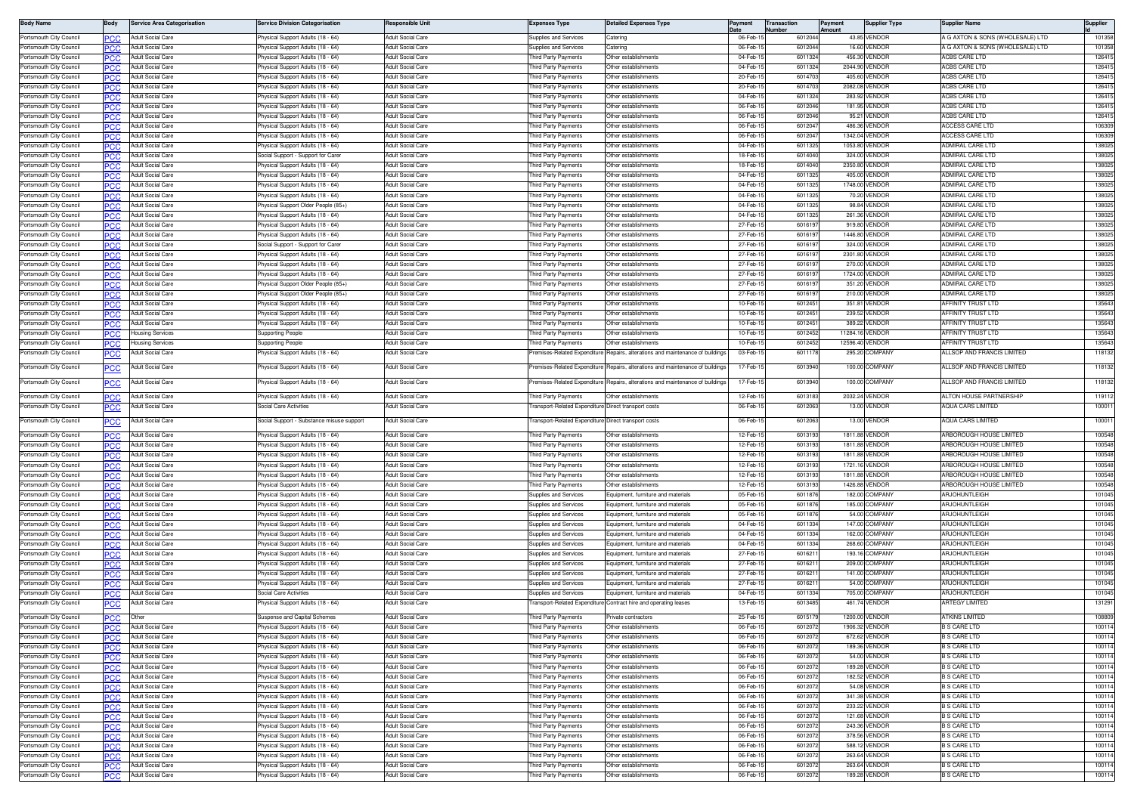| <b>Body Name</b>                                   |                   | <b>Service Area Categorisation</b>                   | ervice Division Categorisation                                       | esponsible Unit                                      | Expenses Type                                       | etailed Expenses Type                                                        | Payment              | <b>Transaction</b><br>Number |                  | Payment<br>∖m∩uni | <b>Supplier Type</b>           | <b>Supplier Name</b>                         | Supplier         |
|----------------------------------------------------|-------------------|------------------------------------------------------|----------------------------------------------------------------------|------------------------------------------------------|-----------------------------------------------------|------------------------------------------------------------------------------|----------------------|------------------------------|------------------|-------------------|--------------------------------|----------------------------------------------|------------------|
| Portsmouth City Council                            |                   | Adult Social Care                                    | hysical Support Adults (18 - 64)                                     | <b>Adult Social Care</b>                             | Supplies and Services                               | Catering                                                                     | 06-Feb-              |                              | 601204           |                   | 43.85 VENDOF                   | A G AXTON & SONS (WHOLESALE) LTD             | 101358           |
| Portsmouth City Council                            | PCC               | Adult Social Care                                    | hysical Support Adults (18 - 64)                                     | <b>Adult Social Care</b>                             | upplies and Services                                | atering                                                                      | 06-Feb-              |                              | 601204           |                   | 16.60 VENDOR                   | A G AXTON & SONS (WHOLESALE) LTD             | 101358           |
| Portsmouth City Council                            | ∍∩o               | <b>Adult Social Care</b>                             | hysical Support Adults (18 - 64)                                     | <b>Adult Social Care</b>                             | hird Party Payments                                 | Other establishments                                                         | 04-Feb-              |                              | 6011324          |                   | 456.30 VENDOR                  | ACBS CARE LTD                                | 126415           |
| Portsmouth City Counci                             |                   | Adult Social Care                                    | hysical Support Adults (18 - 64)                                     | <b>Adult Social Care</b>                             | iird Party Payments                                 | ther establishments                                                          | 04-Feb               |                              | 601132           |                   | 2044.90 VENDOF                 | <b>\CBS CARE LTD</b>                         | 12641            |
| Portsmouth City Counci                             | <b>PCC</b>        | Adult Social Care                                    | hysical Support Adults (18 - 64)                                     | <b>Adult Social Care</b>                             | hird Party Payments                                 | Other establishments                                                         | 20-Feb-1             |                              | 601470           |                   | 405.60 VENDOR                  | ACBS CARE LTD                                | 12641            |
| Portsmouth City Council                            |                   | Adult Social Care                                    | hysical Support Adults (18 - 64)                                     | <b>Adult Social Care</b>                             | hird Party Payments                                 | Other establishments                                                         | 20-Feb-              |                              | 601470           |                   | 2082.08 VENDOF                 | <b>ACBS CARE LTD</b>                         | 126415           |
| Portsmouth City Council<br>Portsmouth City Council | PCC               | Adult Social Care<br><b>Adult Social Care</b>        | 'hysical Support Adults (18 - 64)                                    | Adult Social Care<br><b>Adult Social Care</b>        | hird Party Payments                                 | Other establishments<br>Other establishments                                 | 04-Feb-1<br>06-Feb-1 |                              | 601132<br>601204 |                   | 283.92 VENDOR<br>181.95 VENDOR | <b>ACBS CARE LTD</b><br><b>ACBS CARE LTD</b> | 126415<br>126415 |
| Portsmouth City Council                            |                   | <b>Adult Social Care</b>                             | hysical Support Adults (18 - 64)<br>hysical Support Adults (18 - 64) | <b>Adult Social Care</b>                             | hird Party Payments<br>hird Party Payments          | Other establishments                                                         | 06-Feb-1             |                              | 601204           |                   | 95.21 VENDOR                   | ACBS CARE LTD                                | 126415           |
| Portsmouth City Council                            | PCC               | Adult Social Care                                    | hysical Support Adults (18 - 64)                                     | <b>Adult Social Care</b>                             | hird Party Payments                                 | Other establishments                                                         | 06-Feb-              |                              | 601204           |                   | 486.36 VENDOR                  | <b>ACCESS CARE LTD</b>                       | 106309           |
| Portsmouth City Council                            | PCC               | Adult Social Care                                    | hysical Support Adults (18 - 64)                                     | dult Social Care                                     | hird Party Payments                                 | Other establishments                                                         | 06-Feb-              |                              | 601204           |                   | 1342.04 VENDOF                 | ACCESS CARE LTD                              | 106309           |
| Portsmouth City Council                            | PCC.              | <b>Adult Social Care</b>                             | hysical Support Adults (18 - 64)                                     | <b>Adult Social Care</b>                             | hird Party Payments                                 | Other establishments                                                         | 04-Feb-1             |                              | 601132           |                   | 1053.80 VENDOR                 | <b>ADMIRAL CARE LTD</b>                      | 138025           |
| Portsmouth City Counci                             | PC X .            | Adult Social Care                                    | ocial Support - Support for Carer                                    | <b>Adult Social Care</b>                             | hird Party Payments                                 | ther establishments                                                          | 18-Feb-1             |                              | 601404           |                   | 324.00 VENDOR                  | ADMIRAL CARE LTD                             | 138025           |
| Portsmouth City Council                            | <b>PCC</b>        | <b>Adult Social Care</b>                             | 'hysical Support Adults (18 - 64)                                    | Adult Social Care                                    | hird Party Payments                                 | Other establishments                                                         | 18-Feb-              |                              | 601404           |                   | 2350.80 VENDOR                 | <b>ADMIRAL CARE LTD</b>                      | 138025           |
| Portsmouth City Council                            | PCC.              | <b>Adult Social Care</b>                             | 'hysical Support Adults (18 - 64)                                    | Adult Social Care                                    | hird Party Payments                                 | Other establishments                                                         | 04-Feb-              |                              | 601132           |                   | 405.00 VENDOR                  | <b>ADMIRAL CARE LTD</b>                      | 138025           |
| Portsmouth City Council                            | PCC               | <b>Adult Social Care</b>                             | hysical Support Adults (18 - 64)                                     | <b>Adult Social Care</b>                             | hird Party Payments                                 | Other establishments                                                         | 04-Feb-1             |                              | 601132           |                   | 1748.00 VENDOR                 | ADMIRAL CARE LTD                             | 138025           |
| Portsmouth City Council                            |                   | <b>Adult Social Care</b>                             | hysical Support Adults (18 - 64)                                     | <b>Adult Social Care</b>                             | hird Party Payments                                 | Other establishments                                                         | 04-Feb-1             |                              | 601132           |                   | 70.20 VENDOR                   | ADMIRAL CARE LTD                             | 138025           |
| Portsmouth City Council                            | PCC               | Adult Social Care                                    | hysical Support Older People (85+)                                   | <b>Adult Social Care</b>                             | hird Party Payments                                 | Other establishments                                                         | 04-Feb-              |                              | 601132           |                   | 98.84 VENDOR                   | ADMIRAL CARE LTD                             | 138025           |
| Portsmouth City Council                            | PCC               | Adult Social Care                                    | hysical Support Adults (18 - 64)                                     | <b>Adult Social Care</b>                             | hird Party Payments                                 | Other establishments                                                         | 04-Feb-              |                              | 6011325          |                   | 261.36 VENDOR                  | <b>ADMIRAL CARE LTD</b>                      | 138025           |
| Portsmouth City Council                            | PCC               | Adult Social Care                                    | hysical Support Adults (18 - 64)                                     | <b>Adult Social Care</b>                             | hird Party Payments                                 | ther establishments                                                          | 27-Feb-1             |                              | 601619           |                   | 919.80 VENDOF                  | ADMIRAL CARE LTD                             | 138025           |
| Portsmouth City Council                            | <b>PCC</b>        | Adult Social Care                                    | hysical Support Adults (18 - 64)                                     | <b>Adult Social Care</b>                             | hird Party Payments                                 | Other establishments                                                         | 27-Feb-1             |                              | 601619           |                   | 1446.80 VENDOR                 | ADMIRAL CARE LTD                             | 138025           |
| Portsmouth City Council                            |                   | Adult Social Care                                    | locial Support - Support for Carer                                   | Adult Social Care                                    | hird Party Payments                                 | Other establishments                                                         | 27-Feb-              |                              | 601619           |                   | 324.00 VENDOR                  | ADMIRAL CARE LTD                             | 138025           |
| Portsmouth City Council                            | PCC               | <b>Adult Social Care</b>                             | 'hysical Support Adults (18 - 64)                                    | Adult Social Care                                    | hird Party Payments                                 | Other establishments                                                         | 27-Feb-1             |                              | 601619           |                   | 2301.80 VENDOR                 | ADMIRAL CARE LTD                             | 138025           |
| Portsmouth City Council                            |                   | Adult Social Care                                    | 'hysical Support Adults (18 - 64)                                    | <b>Adult Social Care</b>                             | hird Party Payments                                 | Other establishments                                                         | 27-Feb-1             |                              | 601619           |                   | 270.00 VENDOR                  | ADMIRAL CARE LTD                             | 138025           |
| Portsmouth City Council                            | PCC               | Adult Social Care                                    | hysical Support Adults (18 - 64)                                     | <b>Adult Social Care</b>                             | hird Party Payments                                 | Other establishments                                                         | 27-Feb-1             |                              | 601619           |                   | 1724.00 VENDOR                 | ADMIRAL CARE LTD                             | 138025           |
| Portsmouth City Council                            |                   | <b>Adult Social Care</b>                             | hysical Support Older People (85+                                    | <b>Adult Social Care</b>                             | hird Party Payments                                 | Other establishments                                                         | 27-Feb-1             |                              | 601619           |                   | 351.20 VENDOR                  | ADMIRAL CARE LTD                             | 138025           |
| Portsmouth City Council                            | PCC               | Adult Social Care                                    | hysical Support Older People (85+)                                   | <b>Adult Social Care</b><br>Adult Social Care        | hird Party Payments                                 | Other establishments<br>Other establishments                                 | 27-Feb-<br>10-Feb-   |                              | 601619<br>601245 |                   | 210.00 VENDOR<br>351.81 VENDOR | ADMIRAL CARE LTD<br>AFFINITY TRUST LTD       | 13802<br>135643  |
| Portsmouth City Council                            | PCC               | <b>Adult Social Care</b><br><b>Adult Social Care</b> | hysical Support Adults (18 - 64)                                     | <b>Adult Social Care</b>                             | hird Party Payments                                 | ther establishments                                                          | 10-Feb-              |                              | 60124            |                   | 239.52 VENDOR                  | AFFINITY TRUST LTD                           | 135643           |
| Portsmouth City Counci<br>Portsmouth City Council  | PCC               | Adult Social Care                                    | hysical Support Adults (18 - 64)                                     | <b>Adult Social Care</b>                             | hird Party Payments<br>hird Party Payments          | Other establishments                                                         | 10-Feb-1             |                              | 601245           |                   | 389.22 VENDOR                  | AFFINITY TRUST LTD                           | 135643           |
| Portsmouth City Council                            | <b>PCC</b>        | Housing Services                                     | 'hysical Support Adults (18 - 64)<br>Supporting People               | <b>Adult Social Care</b>                             | hird Party Payments                                 | Other establishments                                                         | 10-Feb-              |                              | 601245           | 11284.16 VENDOF   |                                | AFFINITY TRUST LTD                           | 135643           |
| Portsmouth City Council                            | PCC               | <b>Housing Services</b>                              | <b>Supporting People</b>                                             | Adult Social Care                                    | hird Party Payments                                 | Other establishments                                                         | 10-Feb-1             |                              | 601245           | 12596 40 VENDOR   |                                | AFFINITY TRUST LTD                           | 135643           |
| Portsmouth City Council                            |                   | Adult Social Care                                    | hysical Support Adults (18 - 64)                                     | <b>Adult Social Care</b>                             | remises-Related Expenditure                         | lepairs, alterations and maintenance of buildings                            | 03-Feb-1             |                              | 601117           |                   | 295.20 COMPANY                 | ALLSOP AND FRANCIS LIMITED                   | 118132           |
|                                                    |                   |                                                      |                                                                      |                                                      |                                                     |                                                                              |                      |                              |                  |                   |                                |                                              |                  |
| Portsmouth City Council                            | PCC               | Adult Social Care                                    | hysical Support Adults (18 - 64)                                     | Adult Social Care                                    |                                                     | remises-Related Expenditure Repairs, alterations and maintenance of building | 17-Feb-              |                              | 601394           |                   | 100.00 COMPANY                 | ALLSOP AND FRANCIS LIMITED                   | 118132           |
| Portsmouth City Council                            |                   | Adult Social Care                                    | hysical Support Adults (18 - 64)                                     | <b>Adult Social Care</b>                             | emises-Related Expenditure                          | lepairs, alterations and maintenance of building                             | 17-Feb-1             |                              | 601394           |                   | 100.00 COMPANY                 | ALLSOP AND FRANCIS LIMITED                   | 118132           |
|                                                    |                   |                                                      |                                                                      |                                                      |                                                     |                                                                              |                      |                              |                  |                   | 2032.24 VENDOE                 |                                              |                  |
| Portsmouth City Council                            | PCC               | Adult Social Care                                    | hysical Support Adults (18 - 64)                                     | <b>Adult Social Care</b>                             | hird Party Payments                                 | Other establishments                                                         | 12-Feb-              |                              | 601318           |                   |                                | ALTON HOUSE PARTNERSHIP                      | 119112           |
| Portsmouth City Council                            |                   | dult Social Care                                     | ocial Care Activities                                                | dult Social Care                                     | ansport-Related Expenditur                          | Direct transport costs                                                       | 06-Feb               |                              | 601206           |                   | 13.00 VENDOR                   | AQUA CARS LIMITED                            | 1000             |
| Portsmouth City Council                            |                   | Adult Social Care                                    | Social Support - Substance misuse support                            | <b>Adult Social Care</b>                             | ransport-Related Expenditure Direct transport costs |                                                                              | 06-Feb-1             |                              | 601206           |                   | 13.00 VENDOR                   | AQUA CARS LIMITED                            | 10001            |
| Portsmouth City Council                            |                   | <b>Adult Social Care</b>                             | hysical Support Adults (18 - 64                                      | Adult Social Care                                    | hird Party Payments                                 | Other establishments                                                         | 12-Feb-              |                              | 601319           |                   | 1811.88 VENDOF                 | ARBOROUGH HOUSE LIMITED                      | 100548           |
| Portsmouth City Council                            | PCC               | Adult Social Care                                    | hysical Support Adults (18 - 64)                                     | <b>Adult Social Care</b>                             | hird Party Payments                                 | Other establishments                                                         | 12-Feb-              |                              | 601319           |                   | 1811.88 VENDOF                 | <b>ARBOROUGH HOUSE LIMITED</b>               | 100548           |
| Portsmouth City Council                            | PCC               | Adult Social Care                                    | hysical Support Adults (18 - 64)                                     | <b>Adult Social Care</b>                             | hird Party Payments                                 | Other establishments                                                         | 12-Feb-              |                              | 601319           |                   | 1811.88 VENDOF                 | ARBOROUGH HOUSE LIMITED                      | 100548           |
| Portsmouth City Council                            | PCC.              | <b>Adult Social Care</b>                             | hysical Support Adults (18 - 64)                                     | <b>Adult Social Care</b>                             | hird Party Payments                                 | Other establishments                                                         | 12-Feb-1             |                              | 601319           |                   | 1721.16 VENDOR                 | ARBOROUGH HOUSE LIMITED                      | 100548           |
| Portsmouth City Council                            | PCC.              | <b>Adult Social Care</b>                             | hysical Support Adults (18 - 64)                                     | <b>Adult Social Care</b>                             | hird Party Payments                                 | ther establishments                                                          | 12-Feb-              |                              | 601319           |                   | 1811.88 VENDOR                 | ARBOROUGH HOUSE LIMITED                      | 100548           |
| Portsmouth City Council                            | <b>PCC</b>        | Adult Social Care                                    | 'hysical Support Adults (18 - 64)                                    | Adult Social Care                                    | 'hird Party Payments                                | Other establishments                                                         | 12-Feb-              |                              | 601319           |                   | 1426.88 VENDOR                 | ARBOROUGH HOUSE LIMITED                      | 100548           |
| Portsmouth City Council                            |                   | <b>Adult Social Care</b>                             | hysical Support Adults (18 - 64)                                     | Adult Social Care                                    | Supplies and Services                               | quipment, furniture and materials                                            | 05-Feb-              |                              | 601187           |                   | 182.00 COMPANY                 | <b>ARJOHUNTLEIGH</b>                         | 101045           |
| Portsmouth City Council                            | PCC               | <b>Adult Social Care</b>                             | hysical Support Adults (18 - 64)                                     | <b>Adult Social Care</b>                             | upplies and Services                                | quipment, furniture and materials                                            | 05-Feb-1             |                              | 601187           |                   | 185.00 COMPANY                 | ARJOHUNTLEIGH                                | 101045           |
| Portsmouth City Council                            |                   | <b>Adult Social Care</b>                             | hysical Support Adults (18 - 64)                                     | <b>Adult Social Care</b>                             | <b>Supplies and Services</b>                        | quipment, furniture and materials                                            | 05-Feb-1             |                              | 6011876          |                   | 54.00 COMPANY                  | ARJOHUNTLEIGH                                | 101045           |
| Portsmouth City Council                            | PCC               | Adult Social Care                                    | hysical Support Adults (18 - 64)                                     | <b>Adult Social Care</b>                             | Supplies and Services                               | Equipment, furniture and materials                                           | 04-Feb-1             |                              | 6011334          |                   | 147.00 COMPANY                 | ARJOHUNTLEIGH                                | 101045           |
| Portsmouth City Council                            |                   | Adult Social Care                                    | hysical Support Adults (18 - 64)                                     | <b>Adult Social Care</b>                             | Supplies and Services                               | quipment, furniture and materials                                            | 04-Feb-              |                              | 601133           |                   | 162.00 COMPANY                 | <b>ARJOHUNTLEIGH</b>                         | 101045           |
| Portsmouth City Council                            |                   | Adult Social Care                                    | hysical Support Adults (18 - 64)                                     | dult Social Care                                     | upplies and Services                                | quipment, furniture and materials                                            | 04-Feb-              |                              | 601133           |                   | 268.60 COMPANY                 | ARJOHUNTLEIGH                                | 101045           |
| Portsmouth City Counci                             | PCC.              | <b>Adult Social Care</b>                             | hysical Support Adults (18 - 64)                                     | <b>Adult Social Care</b>                             | upplies and Services                                | quipment, furniture and material                                             | 27-Feb-1             |                              | 601621           |                   | 193.16 COMPANY                 | ARJOHUNTLEIGH                                | 101045           |
| Portsmouth City Council                            | PCC.              | Adult Social Care                                    | hysical Support Adults (18 - 64)                                     | <b>Adult Social Care</b>                             | Supplies and Services                               | quipment, furniture and material                                             | 27-Feb-1             |                              | 601621           |                   | 209.00 COMPANY                 | ARJOHUNTLEIGH                                | 101045           |
| Portsmouth City Council                            | <b>PCC</b>        | <b>Adult Social Care</b>                             | 'hysical Support Adults (18 - 64)                                    | Adult Social Care                                    | Supplies and Services                               | Equipment, furniture and materials                                           | 27-Feb-1             |                              | 601621           |                   | 141.00 COMPANY                 | ARJOHUNTLEIGH                                | 101045           |
| Portsmouth City Council                            |                   | Adult Social Care                                    | hysical Support Adults (18 - 64)                                     | <b>Adult Social Care</b>                             | upplies and Services                                | quipment, furniture and material                                             | 27-Feb-              |                              | 60162            |                   | 54.00 COMPANY                  | <b>ARJOHUNTLEIGH</b>                         | 101045           |
| Portsmouth City Council                            | PCC               | <b>Adult Social Care</b>                             | Social Care Activities                                               | <b>Adult Social Care</b>                             | upplies and Services                                | quipment, furniture and materials                                            | 04-Feb-              |                              | 601133           |                   | 705.00 COMPANY                 | ARJOHUNTLEIGH                                | 101045           |
| Portsmouth City Council                            |                   | Adult Social Care                                    | hysical Support Adults (18 - 64)                                     | Adult Social Care                                    | ransport-Related Expenditur                         | Contract hire and operating leases                                           | 13-Feb-1             |                              | 601348           |                   | 461.74 VENDOR                  | ARTEGY I IMITED                              | 131291           |
| Portsmouth City Council                            | <b>PCC</b>        | Other                                                | Suspense and Capital Schemes                                         | <b>Adult Social Care</b>                             | hird Party Payments                                 | rivate contractors                                                           | 25-Feb-1             |                              | 601517           |                   | 1200.00 VENDOF                 | <b>ATKINS LIMITED</b>                        | 108809           |
| Portsmouth City Council                            |                   | Adult Social Care                                    | hysical Support Adults (18 - 64)                                     | <b>Adult Social Care</b>                             | hird Party Payments                                 | Other establishments                                                         | 06-Feb-15            |                              | 6012072          |                   | 1906.32 VENDOR                 | <b>B S CARE LTD</b>                          | 100114           |
| Portsmouth City Council                            | PCC               | <b>Adult Social Care</b>                             | hysical Support Adults (18 - 64)                                     | <b>Adult Social Care</b>                             | hird Party Payments                                 | Other establishments                                                         | 06-Feb-1             |                              | 6012072          |                   | 672.62 VENDOR                  | <b>B S CARE LTD</b>                          | 100114           |
| Portsmouth City Council                            |                   | Adult Social Care                                    | hysical Support Adults (18 - 64)                                     | <b>Adult Social Care</b>                             | hird Party Payments                                 | Other establishments                                                         | 06-Feb-              |                              | 6012072          |                   | 189.36 VENDOR                  | <b>B S CARE LTD</b>                          | 100114           |
| Portsmouth City Council                            | PCC               | Adult Social Care                                    | hysical Support Adults (18 - 64)                                     | <b>Adult Social Care</b>                             | hird Party Payments                                 | Other establishments                                                         | 06-Feb-1             |                              | 6012072          |                   | 54.00 VENDOR                   | <b>B S CARE LTD</b>                          | 100114           |
| Portsmouth City Council                            | PCC.              | Adult Social Care                                    | hysical Support Adults (18 - 64)                                     | <b>Adult Social Care</b>                             | hird Party Payments                                 | Other establishments                                                         | 06-Feb-1             |                              | 601207           |                   | 189.28 VENDOR                  | <b>B S CARE LTD</b>                          | 100114           |
| Portsmouth City Council                            | <b>PCC</b>        | Adult Social Care                                    | hysical Support Adults (18 - 64)                                     | <b>Adult Social Care</b>                             | hird Party Payments                                 | Other establishments                                                         | 06-Feb-1             |                              | 601207           |                   | 182.52 VENDOR                  | <b>B S CARE LTD</b>                          | 100114           |
| Portsmouth City Council                            | <b>PCC</b>        | Adult Social Care                                    | 'hysical Support Adults (18 - 64)                                    | Adult Social Care                                    | hird Party Payments                                 | Other establishments                                                         | 06-Feb-1             |                              | 601207           |                   | 54.08 VENDOR                   | <b>B S CARE LTD</b>                          | 100114           |
| Portsmouth City Council                            |                   | Adult Social Care                                    | 'hysical Support Adults (18 - 64)                                    | <b>Adult Social Care</b>                             | hird Party Payments                                 | Other establishments                                                         | 06-Feb-1             |                              | 601207           |                   | 341.38 VENDOR                  | <b>B S CARE LTD</b>                          | 100114           |
| Portsmouth City Council                            | PCC               | <b>Adult Social Care</b>                             | hysical Support Adults (18 - 64)                                     | <b>Adult Social Care</b>                             | hird Party Payments                                 | Other establishments                                                         | 06-Feb-1             |                              | 601207           |                   | 233.22 VENDOR                  | <b>B S CARE LTD</b>                          | 100114           |
| Portsmouth City Council                            | PСC               | <b>Adult Social Care</b>                             | hysical Support Adults (18 - 64)                                     | <b>Adult Social Care</b>                             | hird Party Payments                                 | Other establishments                                                         | 06-Feb-1             |                              | 6012072          |                   | 121.68 VENDOR                  | <b>B S CARE LTD</b>                          | 100114           |
| Portsmouth City Council                            | PCC               | Adult Social Care                                    | hysical Support Adults (18 - 64)                                     | <b>Adult Social Care</b>                             | hird Party Payments                                 | Other establishments                                                         | 06-Feb-1             |                              | 601207           |                   | 243.36 VENDOR                  | <b>B S CARE LTD</b>                          | 100114           |
| Portsmouth City Council                            | PCC               | Adult Social Care                                    | hysical Support Adults (18 - 64)                                     | <b>Adult Social Care</b>                             | hird Party Payments                                 | Other establishments                                                         | 06-Feb-1             |                              | 601207           |                   | 378.56 VENDOR                  | <b>B S CARE LTD</b>                          | 100114           |
| Portsmouth City Council                            | PCC               | Adult Social Care<br>Adult Social Care               | hysical Support Adults (18 - 64)<br>hysical Support Adults (18 - 64) | <b>Adult Social Care</b><br><b>Adult Social Care</b> | hird Party Payments                                 | ther establishments<br>Other establishments                                  | 06-Feb-1<br>06-Feb-1 |                              | 601207<br>601207 |                   | 588.12 VENDOF<br>263.64 VENDOR | <b>3 S CARE LTD</b><br>B S CARE LTD          | 100114<br>100114 |
| Portsmouth City Council<br>Portsmouth City Council | PCC.              | Adult Social Care                                    | hysical Support Adults (18 - 64)                                     | <b>Adult Social Care</b>                             | hird Party Payments<br>hird Party Payments          | Other establishments                                                         | 06-Feb-1             |                              | 601207           |                   | 263.64 VENDOR                  | <b>B S CARE LTD</b>                          | 100114           |
| Portsmouth City Council                            | PCC<br><b>PCC</b> | <b>Adult Social Care</b>                             | Physical Support Adults (18 - 64)                                    | <b>Adult Social Care</b>                             | Third Party Payments                                | Other establishments                                                         | 06-Feb-15            |                              | 6012072          |                   | 189.28 VENDOR                  | <b>B S CARE LTD</b>                          | 100114           |
|                                                    |                   |                                                      |                                                                      |                                                      |                                                     |                                                                              |                      |                              |                  |                   |                                |                                              |                  |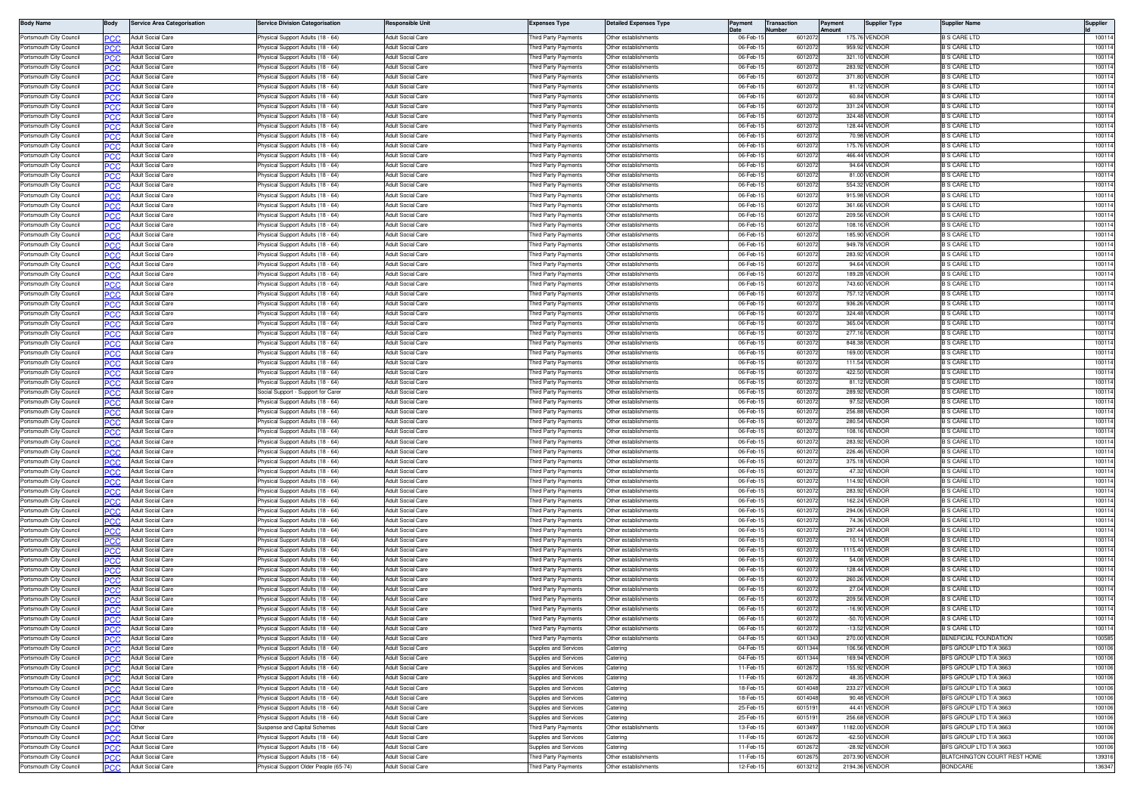| <b>Body Name</b>                                   | 3ody       | <b>Service Area Categorisation</b>     | <b>Service Division Categorisation</b>                                 | Responsible Unit                                     | Expenses Type                              | <b>Jetailed Expenses Type</b>                | Payment              | <b>Transaction</b><br>lumber | Payment<br><b>Amount</b> | <b>Supplier Type</b>           | Supplier Name                            | Supplier        |
|----------------------------------------------------|------------|----------------------------------------|------------------------------------------------------------------------|------------------------------------------------------|--------------------------------------------|----------------------------------------------|----------------------|------------------------------|--------------------------|--------------------------------|------------------------------------------|-----------------|
| Portsmouth City Council                            |            | Adult Social Care                      | Physical Support Adults (18 - 64)                                      | Adult Social Care                                    | hird Party Payments                        | Other establishments                         | 06-Feb-              | 601207                       |                          | 175,76 VENDOR                  | <b>S CARE LTD</b>                        | 10011           |
| Portsmouth City Council                            | сc         | Adult Social Care                      | hysical Support Adults (18 - 64)                                       | Adult Social Care                                    | hird Party Payments                        | Other establishments                         | 06-Feb-              | 601207                       |                          | 959.92 VENDOR                  | <b>S CARE LTD</b>                        | 100114          |
| Portsmouth City Council                            | חמי        | Adult Social Care                      | hysical Support Adults (18 - 64)                                       | <b>Adult Social Care</b>                             | hird Party Payments                        | Other establishments                         | 06-Feb-1             | 601207                       |                          | 321.10 VENDOF                  | <b>3 S CARE LTD</b>                      | 100114          |
| Portsmouth City Council                            |            | Adult Social Care                      | hysical Support Adults (18 - 64                                        | <b>Adult Social Care</b>                             | hird Party Payments                        | )ther establishments                         | 06-Feb               | 601207                       |                          | 283.92 VENDOR                  | S CARE LTD                               | 10011           |
| Portsmouth City Council                            | PC.C       | <b>Adult Social Care</b>               | Physical Support Adults (18 - 64)                                      | <b>Adult Social Care</b>                             | hird Party Payments                        | Other establishments                         | 06-Feb-              | 6012072                      |                          | 371.80 VENDOF                  | B S CARE LTD                             | 10011           |
| Portsmouth City Council                            |            | <b>Adult Social Care</b>               | 'hysical Support Adults (18 - 64)                                      | <b>Adult Social Care</b>                             | hird Party Payments                        | Other establishments                         | 06-Feb-1             | 601207                       |                          | 81.12 VENDOF                   | <b>B S CARE LTD</b>                      | 100114          |
| Portsmouth City Council                            | PC.C       | Adult Social Care                      | Physical Support Adults (18 - 64)                                      | Adult Social Care                                    | hird Party Payments                        | Other establishments                         | 06-Feb-1             | 601207                       |                          | 60.84 VENDOR                   | <b>B S CARE LTD</b>                      | 100114          |
| Portsmouth City Council                            |            | <b>Adult Social Care</b>               | Physical Support Adults (18 - 64)                                      | <b>Adult Social Care</b>                             | hird Party Payments                        | Other establishments                         | 06-Feb-              | 601207                       |                          | 331.24 VENDOR                  | <b>S CARE LTD</b>                        | 10011           |
| Portsmouth City Council                            |            | Adult Social Care                      | Physical Support Adults (18 - 64)                                      | Adult Social Care                                    | nird Party Payments                        | Other establishments                         | 06-Feb-1             | 601207                       |                          | 324.48 VENDOR                  | <b>S CARE LTD</b>                        | 100114          |
| Portsmouth City Council                            |            | Adult Social Care                      | Physical Support Adults (18 - 64)                                      | <b>Adult Social Care</b>                             | hird Party Payments                        | Other establishments                         | 06-Feb-              | 601207                       |                          | 128.44 VENDOF                  | <b>S CARE LTD</b>                        | 100114          |
| Portsmouth City Council                            |            | Adult Social Care                      | hysical Support Adults (18 - 64)                                       | Adult Social Care                                    | hird Party Payments                        | Other establishments                         | 06-Feb-              | 6012072                      |                          | 70.98 VENDOR                   | <b>S CARE LTD</b>                        | 10011           |
| Portsmouth City Council                            | חמפ        | <b>Adult Social Care</b>               | hysical Support Adults (18 - 64)                                       | <b>Adult Social Care</b>                             | hird Party Payments                        | Other establishments                         | 06-Feb-1             | 601207                       |                          | 175.76 VENDOR                  | <b>3 S CARE LTD</b>                      | 100114          |
| Portsmouth City Council                            |            | Adult Social Care                      | hysical Support Adults (18 - 64                                        | <b>Adult Social Care</b>                             | hird Party Payments                        | Other establishments                         | 06-Feb-              | 601207                       |                          | 466.44 VENDOF                  | <b>3 S CARE LTD</b>                      | 10011           |
| Portsmouth City Council                            | PC.C       | <b>Adult Social Care</b>               | Physical Support Adults (18 - 64)                                      | Adult Social Care                                    | nird Party Payments                        | Other establishments                         | 06-Feb-              | 601207                       |                          | 94.64 VENDOF                   | <b>B S CARE LTD</b>                      | 10011           |
| Portsmouth City Council                            |            | Adult Social Care                      | <sup>9</sup> hysical Support Adults (18 - 64)                          | Adult Social Care                                    | hird Party Payments                        | Other establishments                         | 06-Feb-1             | 601207                       |                          | 81.00 VENDOF                   | <b>B S CARE LTD</b>                      | 100114          |
| Portsmouth City Council                            | PC.C       | Adult Social Care                      | Physical Support Adults (18 - 64)                                      | Adult Social Care                                    | hird Party Payments                        | Other establishments                         | 06-Feb-              | 601207                       |                          | 554.32 VENDOR                  | <b>B S CARE LTD</b>                      | 100114          |
| Portsmouth City Council                            |            | <b>Adult Social Care</b>               | Physical Support Adults (18 - 64)                                      | Adult Social Care                                    | hird Party Payments                        | Other establishments                         | 06-Feb-              | 601207                       |                          | 915.98 VENDOR                  | <b>B S CARE LTD</b>                      | 100114          |
| Portsmouth City Council                            |            | Adult Social Care                      | hysical Support Adults (18 - 64)                                       | Adult Social Care                                    | <b>hird Party Payments</b>                 | Other establishments                         | 06-Feb-              | 601207                       |                          | 361.66 VENDOR                  | S CARE LTD                               | 10011           |
| Portsmouth City Council                            |            | Adult Social Care                      | Physical Support Adults (18 - 64)                                      | <b>Adult Social Care</b>                             | hird Party Payments                        | Other establishments                         | 06-Feb-              | 601207                       |                          | 209.56 VENDOF                  | <b>S CARE LTD</b>                        | 100114          |
| Portsmouth City Council                            |            | Adult Social Care                      | hysical Support Adults (18 - 64)                                       | <b>Adult Social Care</b>                             | hird Party Payments                        | )ther establishments                         | 06-Feb-1             | 601207                       |                          | 108.16 VENDOF                  | <b>3 S CARE LTD</b>                      | 100114          |
| Portsmouth City Council                            | PCC        | Adult Social Care                      | hysical Support Adults (18 - 64)                                       | <b>Adult Social Care</b>                             | hird Party Payments                        | Other establishments                         | 06-Feb-1             | 601207                       |                          | 185.90 VENDOR                  | B S CARE LTD                             | 100114          |
| Portsmouth City Council                            |            | <b>Adult Social Care</b>               | 'hysical Support Adults (18 - 64)                                      | Adult Social Care                                    | hird Party Payments                        | Other establishments                         | 06-Feb-              | 601207                       |                          | 949.78 VENDOF                  | B S CARE LTD                             | 10011           |
| Portsmouth City Council                            | PCC        | Adult Social Care                      | Physical Support Adults (18 - 64)                                      | Adult Social Care                                    | hird Party Payments                        | Other establishments                         | 06-Feb-              | 601207                       |                          | 283.92 VENDOF                  | B S CARE LTD                             | 10011           |
| Portsmouth City Council                            |            | <b>Adult Social Care</b>               | hysical Support Adults (18 - 64)                                       | <b>Adult Social Care</b>                             | hird Party Payments                        | Other establishments                         | 06-Feb-1             | 601207                       |                          | 94.64 VENDOF                   | <b>S CARE LTD</b>                        | 100114          |
| Portsmouth City Council                            |            | Adult Social Care                      | hysical Support Adults (18 - 64)                                       | <b>Adult Social Care</b>                             | hird Party Payments                        | Other establishments                         | 06-Feb-1             | 601207                       |                          | 189.28 VENDOR                  | <b>S CARE LTD</b>                        | 100114          |
| Portsmouth City Council                            |            | Adult Social Care                      | Physical Support Adults (18 - 64)                                      | <b>Adult Social Care</b>                             | hird Party Payments                        | Other establishments                         | 06-Feb-1             | 601207                       |                          | 743.60 VENDOF                  | <b>S CARE LTD</b>                        | 100114          |
| Portsmouth City Council                            |            | Adult Social Care                      | hysical Support Adults (18 - 64)                                       | Adult Social Care                                    | hird Party Payments                        | Other establishments                         | 06-Feb-              | 6012072                      |                          | 757.12 VENDOR                  | S CARE LTD                               | 100114          |
| Portsmouth City Council                            |            | Adult Social Care                      | Physical Support Adults (18 - 64)                                      | <b>Adult Social Care</b>                             | hird Party Payments                        | Other establishments                         | 06-Feb-              | 6012072                      |                          | 936.26 VENDOF                  | <b>S CARE LTD</b>                        | 10011           |
| Portsmouth City Council                            |            | <b>Adult Social Care</b>               | hysical Support Adults (18 - 64)                                       | <b>Adult Social Care</b>                             | hird Party Payments                        | ther establishments                          | 06-Feb-1             | 601207                       |                          | 324.48 VENDOF                  | <b>3 S CARE LTD</b>                      | 100114          |
| Portsmouth City Council                            | <b>PCC</b> | <b>Adult Social Care</b>               | Physical Support Adults (18 - 64)                                      | <b>Adult Social Care</b>                             | hird Party Payments                        | Other establishments                         | 06-Feb-1             | 601207                       |                          | 365.04 VENDOR                  | <b>B S CARE LTD</b>                      | 100114          |
| Portsmouth City Council                            |            | Adult Social Care                      | Physical Support Adults (18 - 64)                                      | Adult Social Care                                    | hird Party Payments                        | Other establishments                         | 06-Feb-              | 601207                       |                          | 277.16 VENDOF                  | B S CARE LTD                             | 100114          |
| Portsmouth City Council                            |            | Adult Social Care                      | Physical Support Adults (18 - 64)                                      | Adult Social Care                                    | hird Party Payments                        | Other establishments                         | 06-Feb-              | 601207                       |                          | 848.38 VENDOF                  | <b>B S CARE LTD</b>                      | 100114          |
| Portsmouth City Council                            |            | <b>Adult Social Care</b>               | Physical Support Adults (18 - 64)                                      | <b>Adult Social Care</b>                             | hird Party Payments                        | Other establishments                         | 06-Feb-1             | 601207                       |                          | 169.00 VENDOF                  | <b>B S CARE LTD</b>                      | 100114          |
| Portsmouth City Council                            | PCC        | Adult Social Care                      | hysical Support Adults (18 - 64)                                       | <b>Adult Social Care</b>                             | hird Party Payments                        | Other establishments                         | 06-Feb-1             | 601207                       |                          | 111.54 VENDOR                  | <b>S CARE LTD</b>                        | 100114          |
| Portsmouth City Council                            |            | Adult Social Care                      | Physical Support Adults (18 - 64)                                      | <b>Adult Social Care</b>                             | hird Party Payments                        | Other establishments                         | 06-Feb-              | 601207                       |                          | 422.50 VENDOF                  | S CARE LTD                               | 100114          |
| Portsmouth City Council                            |            | Adult Social Care                      | hysical Support Adults (18 - 64)                                       | Adult Social Care                                    | <b>hird Party Payments</b>                 | Other establishments                         | 06-Feb-              | 6012072                      |                          | 81.12 VENDOF                   | <b>S CARE LTD</b>                        | 100114          |
| Portsmouth City Council                            | חמי        | Adult Social Care                      | Social Support - Support for Care                                      | <b>Adult Social Care</b>                             | hird Party Payments                        | Other establishments                         | 06-Feb-1             | 601207                       |                          | 289.92 VENDOF                  | <b>3 S CARE LTD</b>                      | 100114          |
| Portsmouth City Council                            |            | Adult Social Care                      | hysical Support Adults (18 - 64)                                       | <b>Adult Social Care</b>                             | hird Party Payments                        | Other establishments                         | 06-Feb-1             | 601207                       |                          | 97.52 VENDOF                   | S CARE LTD                               | 100114          |
| Portsmouth City Council                            | PCC        | <b>Adult Social Care</b>               | Physical Support Adults (18 - 64)                                      | Adult Social Care                                    | hird Party Payments                        | Other establishments                         | 06-Feb-              | 601207                       |                          | 256.88 VENDOR                  | <b>B S CARE LTD</b>                      | 100114          |
| Portsmouth City Council                            |            | Adult Social Care<br>Adult Social Care | 'hysical Support Adults (18 - 64)                                      | Adult Social Care<br><b>Adult Social Care</b>        | hird Party Payments                        | Other establishments<br>Other establishments | 06-Feb-<br>06-Feb-   | 601207<br>601207             |                          | 280.54 VENDOF<br>108.16 VENDOR | <b>B S CARE LTD</b><br><b>S CARE LTD</b> | 100114<br>10011 |
| Portsmouth City Council                            |            |                                        | hysical Support Adults (18 - 64)                                       |                                                      | hird Party Payments                        |                                              |                      |                              |                          |                                |                                          |                 |
| Portsmouth City Council                            |            | Adult Social Care                      | Physical Support Adults (18 - 64)                                      | Adult Social Care                                    | hird Party Payments                        | Other establishments                         | 06-Feb-1             | 601207                       |                          | 283.92 VENDOF                  | <b>S CARE LTD</b>                        | 100114          |
| Portsmouth City Council                            |            | Adult Social Care                      | hysical Support Adults (18 - 64)                                       | Adult Social Care                                    | hird Party Payments                        | Other establishments<br>Other establishments | 06-Feb-<br>06-Feb-   | 601207<br>601207             |                          | 226.46 VENDOR<br>375.18 VENDOF | <b>S CARE LTD</b>                        | 100114<br>10011 |
| Portsmouth City Council<br>Portsmouth City Council |            | Adult Social Care<br>Adult Social Care | hysical Support Adults (18 - 64)<br>hysical Support Adults (18 - 64    | <b>Adult Social Care</b><br><b>Adult Social Care</b> | hird Party Payments<br>nird Party Payments | )ther establishments                         | 06-Feb-              | 601207                       |                          | 47.32 VENDOR                   | <b>S CARE LTD</b><br>S CARE LTD          | 10011           |
|                                                    |            |                                        |                                                                        |                                                      |                                            |                                              |                      |                              |                          |                                |                                          |                 |
| Portsmouth City Council                            |            | Adult Social Care                      | hysical Support Adults (18 - 64)                                       | <b>Adult Social Care</b>                             | hird Party Payments                        | Other establishments                         | 06-Feb-1             | 601207                       |                          | 114.92 VENDOF                  | <b>3 S CARE LTD</b>                      | 100114          |
| Portsmouth City Council<br>Portsmouth City Council |            | Adult Social Care                      | hysical Support Adults (18 - 64)                                       | <b>Adult Social Care</b>                             | hird Party Payments                        | Other establishments<br>Other establishments | 06-Feb-              | 601207<br>601207             |                          | 283.92 VENDOF<br>162.24 VENDOF | B S CARE LTD<br><b>B S CARE LTD</b>      | 10011<br>100114 |
| Portsmouth City Council                            |            | Adult Social Care                      | 'hysical Support Adults (18 - 64)                                      | Adult Social Care                                    | hird Party Payments                        | Other establishments                         | 06-Feb-1<br>06-Feb-1 | 601207                       |                          | 294.06 VENDOF                  | <b>B S CARE LTD</b>                      | 100114          |
| Portsmouth City Council                            |            | Adult Social Care<br>Adult Social Care | Physical Support Adults (18 - 64)<br>Physical Support Adults (18 - 64) | <b>Adult Social Care</b><br><b>Adult Social Care</b> | hird Party Payments                        | Other establishments                         | 06-Feb-              | 601207                       |                          | 74.36 VENDOR                   | <b>S CARE LTD</b>                        | 100114          |
| Portsmouth City Council                            |            | <b>Adult Social Care</b>               | Physical Support Adults (18 - 64)                                      | Adult Social Care                                    | hird Party Payments                        | Other establishments                         | 06-Feb-              | 601207                       |                          | 297.44 VENDOF                  | <b>S CARE LTD</b>                        | 100114          |
| Portsmouth City Council                            |            | Adult Social Care                      | hysical Support Adults (18 - 64)                                       | Adult Social Care                                    | hird Party Payments<br>hird Party Payments | Other establishments                         | 06-Feb-              | 601207                       |                          | 10.14 VENDOR                   | <b>S CARE LTD</b>                        | 100114          |
| Portsmouth City Council                            |            | Adult Social Care                      | Physical Support Adults (18 - 64)                                      | <b>Adult Social Care</b>                             | hird Party Payments                        | Other establishments                         | 06-Feb-              | 601207                       |                          | 1115.40 VENDOR                 | <b>B S CARE LTD</b>                      | 10011           |
| Portsmouth City Council                            |            | Adult Social Care                      | hysical Support Adults (18 - 64                                        | <b>Adult Social Care</b>                             | hird Party Payments                        | )ther establishments                         | 06-Feb-              | 601207                       |                          | 54.08 VENDOF                   | S CARE LTD                               | 10011           |
| Portsmouth City Council                            | PCC        | Adult Social Care                      | hysical Support Adults (18 - 64)                                       | <b>Adult Social Care</b>                             | nird Party Payments                        | Other establishments                         | 06-Feb-1             | 6012072                      |                          | 128.44 VENDOR                  | <b>3 S CARE LTD</b>                      | 100114          |
| Portsmouth City Council                            |            | <b>Adult Social Care</b>               | <sup>9</sup> hysical Support Adults (18 - 64)                          | <b>Adult Social Care</b>                             | hird Party Payments                        | Other establishments                         | 06-Feb-              | 601207                       |                          | 260.26 VENDOF                  | <b>B S CARE LTD</b>                      | 100114          |
| Portsmouth City Council                            | PCC        | Adult Social Care                      | Physical Support Adults (18 - 64)                                      | Adult Social Care                                    | hird Party Payments                        | Other establishments                         | 06-Feb-              | 601207                       |                          | 27.04 VENDOR                   | B S CARE LTD                             | 100114          |
| Portsmouth City Council                            |            | Adult Social Care                      | hysical Support Adults (18 - 64)                                       | Adult Social Care                                    | hird Party Payments                        | Other establishments                         | 06-Feb-              | 601207                       |                          | 209.56 VENDOF                  | <b>S CARE LTD</b>                        | 100114          |
| Portsmouth City Council                            |            | Adult Social Care                      | Physical Support Adults (18 - 64)                                      | <b>Adult Social Care</b>                             | hird Party Payments                        | Other establishments                         | 06-Feb-              | 601207                       |                          | -16.90 VENDOR                  | <b>B S CARE LTD</b>                      | 100114          |
| Portsmouth City Council                            |            | Adult Social Care                      | Physical Support Adults (18 - 64)                                      | <b>Adult Social Care</b>                             | hird Party Payments                        | Other establishments                         | 06-Feb-              | 601207                       |                          | -50.70 VENDOF                  | <b>3 S CARE LTD</b>                      | 100114          |
| Portsmouth City Council                            | PCC        | Adult Social Care                      | hysical Support Adults (18 - 64)                                       | Adult Social Care                                    | hird Party Payments                        | Other establishments                         | 06-Feb-1             | 6012072                      |                          | -13.52 VENDOR                  | B S CARE LTD                             | 100114          |
| Portsmouth City Council                            | PCC.       | <b>Adult Social Care</b>               | hysical Support Adults (18 - 64)                                       | Adult Social Care                                    | hird Party Payments                        | Other establishments                         | 04-Feb-1             | 6011343                      |                          | 270.00 VENDOR                  | BENEFICIAL FOUNDATION                    | 100585          |
| Portsmouth City Council                            |            | <b>Adult Social Care</b>               | hysical Support Adults (18 - 64)                                       | Adult Social Care                                    | upplies and Services                       | atering                                      | 04-Feb-1             | 6011344                      |                          | 106.56 VENDOR                  | 3FS GROUP LTD T/A 3663                   | 100106          |
| Portsmouth City Council                            | <b>PCC</b> | Adult Social Care                      | Physical Support Adults (18 - 64)                                      | Adult Social Care                                    | Supplies and Services                      | atering                                      | 04-Feb-              | 6011344                      |                          | 169.94 VENDOR                  | BFS GROUP LTD T/A 3663                   | 100106          |
| Portsmouth City Council                            | PCC        | <b>Adult Social Care</b>               | Physical Support Adults (18 - 64)                                      | Adult Social Care                                    | Supplies and Services                      | atering                                      | 11-Feb-1             | 601267                       |                          | 155.92 VENDOR                  | BFS GROUP LTD T/A 3663                   | 100106          |
| Portsmouth City Council                            | PCC        | <b>Adult Social Care</b>               | Physical Support Adults (18 - 64)                                      | Adult Social Care                                    | <b>Supplies and Services</b>               | Catering                                     | 11-Feb-1             | 601267                       |                          | 48.35 VENDOR                   | BFS GROUP LTD T/A 3663                   | 100106          |
| Portsmouth City Council                            |            | <b>Adult Social Care</b>               | Physical Support Adults (18 - 64)                                      | <b>Adult Social Care</b>                             | <b>Supplies and Services</b>               | Catering                                     | 18-Feb-1             | 6014048                      |                          | 233.27 VENDOR                  | BFS GROUP LTD T/A 3663                   | 100106          |
| Portsmouth City Council                            |            | <b>Adult Social Care</b>               | Physical Support Adults (18 - 64)                                      | <b>Adult Social Care</b>                             | <b>Supplies and Services</b>               | Catering                                     | 18-Feb-1             | 6014048                      |                          | 90.48 VENDOR                   | BFS GROUP LTD T/A 3663                   | 100106          |
| Portsmouth City Council                            | ንር ጋር      | Adult Social Care                      | Physical Support Adults (18 - 64)                                      | Adult Social Care                                    | Supplies and Services                      | Catering                                     | 25-Feb-1             | 601519                       |                          | 44.41 VENDOR                   | BFS GROUP LTD T/A 3663                   | 100106          |
| Portsmouth City Council                            | °СС        | Adult Social Care                      | Physical Support Adults (18 - 64)                                      | Adult Social Care                                    | upplies and Services                       | Catering                                     | 25-Feb-1             | 601519                       |                          | 256.68 VENDOR                  | <b>IFS GROUP LTD T/A 3663</b>            | 100106          |
| Portsmouth City Council                            | PCC.       | Other                                  | Suspense and Capital Schemes                                           | <b>Adult Social Care</b>                             | hird Party Payments                        | Other establishments                         | 13-Feb-1             | 601349                       |                          | 1182.00 VENDOR                 | BFS GROUP LTD T/A 3663                   | 100106          |
| Portsmouth City Council                            |            | Adult Social Care                      | Physical Support Adults (18 - 64)                                      | Adult Social Care                                    | <b>Supplies and Services</b>               | Catering                                     | 11-Feb-1             | 601267                       |                          | -62.50 VENDOR                  | BFS GROUP LTD T/A 3663                   | 100106          |
| Portsmouth City Council                            |            | Adult Social Care                      | Physical Support Adults (18 - 64)                                      | Adult Social Care                                    | Supplies and Services                      | Catering                                     | 11-Feb-1             | 601267                       |                          | -28.92 VENDOR                  | BFS GROUP LTD T/A 3663                   | 100106          |
| Portsmouth City Council                            |            | Adult Social Care                      | Physical Support Adults (18 - 64)                                      | Adult Social Care                                    | hird Party Payments                        | Other establishments                         | 11-Feb-1             | 601267                       |                          | 2073.90 VENDOR                 | BLATCHINGTON COURT REST HOME             | 139316          |
| Portsmouth City Council                            | PCC.       | <b>Adult Social Care</b>               | Physical Support Older People (65-74)                                  | <b>Adult Social Care</b>                             | hird Party Payments                        | Other establishments                         | 12-Feb-1             | 6013212                      |                          | 2194.36 VENDOR                 | <b>BONDCARE</b>                          | 136347          |
|                                                    |            |                                        |                                                                        |                                                      |                                            |                                              |                      |                              |                          |                                |                                          |                 |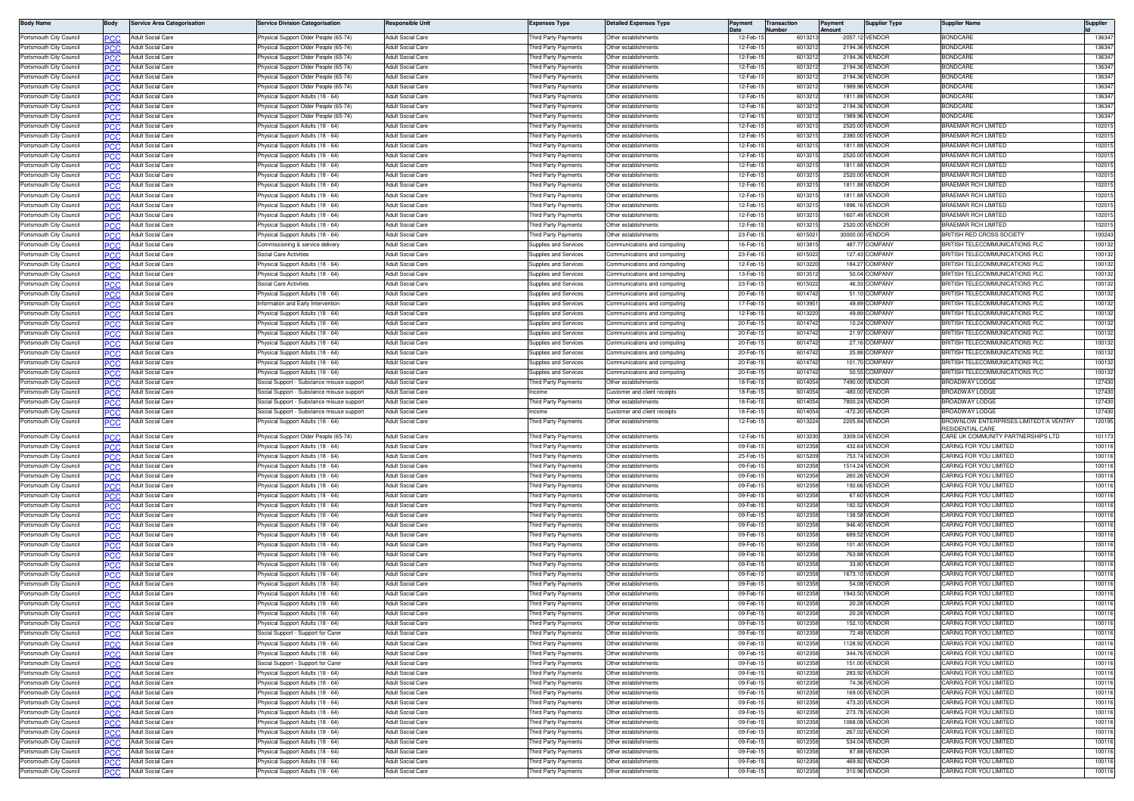| <b>Body Name</b>                                   | 3ody       | <b>Service Area Categorisation</b>            | Service Division Categorisation                                      | <b>Responsible Unit</b>                       | Expenses Type                                 | etailed Expenses Type                                        | Pavment             | <b>Transaction</b> | Payment | Supplier Type                     | Supplier Name                                             | Supplier         |
|----------------------------------------------------|------------|-----------------------------------------------|----------------------------------------------------------------------|-----------------------------------------------|-----------------------------------------------|--------------------------------------------------------------|---------------------|--------------------|---------|-----------------------------------|-----------------------------------------------------------|------------------|
| Portsmouth City Council                            |            | Adult Social Care                             | Physical Support Older People (65-74)                                | Adult Social Care                             | hird Party Payments                           | Other establishments                                         | 12-Feb-             | 601321             |         | -2057.12 VENDOF                   | <b>BONDCARE</b>                                           | 13634            |
| Portsmouth City Council                            |            | Adult Social Care                             | hysical Support Older People (65-74)                                 | Adult Social Care                             | hird Party Payments                           | Other establishments                                         | 12-Feb-             | 601321             |         | 2194.36 VENDOF                    | <b>SONDCARE</b>                                           | 13634            |
| Portsmouth City Council                            |            | Adult Social Care                             | hysical Support Older People (65-74)                                 | <b>Adult Social Care</b>                      | hird Party Payments                           | Other establishments                                         | 12-Feb-1            | 601321             |         | 2194.36 VENDOF                    | <b>SONDCARE</b>                                           | 13634            |
| Portsmouth City Council                            |            | Adult Social Care                             | hysical Support Older People (65-74                                  | Adult Social Care                             | <b>hird Party Payments</b>                    | ther establishments                                          | 12-Feb              | 601321             |         | 2194.36 VENDOI                    | ONDCARI                                                   | 13634            |
| Portsmouth City Council                            | PC.C       | <b>Adult Social Care</b>                      | hysical Support Older People (65-74)                                 | <b>Adult Social Care</b>                      | hird Party Payments                           | Other establishments                                         | 12-Feb-             | 601321             |         | 2194.36 VENDOF                    | <b>SONDCARE</b>                                           | 13634            |
| Portsmouth City Council                            |            | <b>Adult Social Care</b>                      | 'hysical Support Older People (65-74)                                | <b>Adult Social Care</b>                      | hird Party Payments                           | Other establishments                                         | 12-Feb-             | 601321             |         | 1989.96 VENDOF                    | BONDCARI                                                  | 136347           |
| Portsmouth City Council                            |            | Adult Social Care                             | Physical Support Adults (18 - 64)                                    | Adult Social Care                             | hird Party Payments                           | Other establishments                                         | 12-Feb-1            | 601321             |         | 1811.88 VENDOR                    | <b>BONDCARE</b>                                           | 136347           |
| Portsmouth City Council                            |            | Adult Social Care                             | Physical Support Older People (65-74)                                | Adult Social Care                             | hird Party Payments                           | Other establishments                                         | 12-Feb-             | 601321             |         | 2194.36 VENDOF                    | <b>BONDCARE</b>                                           | 136347           |
| Portsmouth City Council                            |            | Adult Social Care                             | hysical Support Older People (65-74)                                 | Adult Social Care                             | hird Party Payments                           | Ther establishments                                          | 12-Feb-1            | 601321             |         | 1989.96 VENDOF                    | <b>SONDCARE</b>                                           | 136347           |
| Portsmouth City Council                            |            | Adult Social Care                             | Physical Support Adults (18 - 64)                                    | Adult Social Care                             | hird Party Payments                           | Other establishments                                         | 12-Feb-             | 601321             |         | 2520.00 VENDOF                    | <b>RAEMAR RCH LIMITED</b>                                 | 10201            |
| Portsmouth City Council                            |            | Adult Social Care                             | hysical Support Adults (18 - 64)                                     | Adult Social Care                             | hird Party Payments                           | Other establishments                                         | 12-Feb-1            | 601321             |         | 2380.00 VENDOF                    | <b>RAEMAR RCH LIMITED</b>                                 | 10201            |
| Portsmouth City Council                            |            | <b>Adult Social Care</b>                      | 'hysical Support Adults (18 - 64)                                    | <b>Adult Social Care</b>                      | hird Party Payments                           | Other establishments                                         | 12-Feb-1            | 601321             |         | 1811.88 VENDOR                    | RAEMAR RCH LIMITED                                        | 102015           |
| Portsmouth City Council                            |            | <b>Adult Social Care</b>                      | hysical Support Adults (18 - 64                                      | <b>Adult Social Care</b>                      | <b>hird Party Payments</b>                    | ther establishment                                           | 12-Feb-             | 60132              |         | 2520.00 VENDOF                    | RAEMAR RCH LIMITED                                        | 10201            |
| Portsmouth City Council                            |            | <b>Adult Social Care</b>                      | 'hysical Support Adults (18 - 64)                                    | Adult Social Care                             | nird Party Payments                           | Ther establishments                                          | 12-Feb-             | 601321             |         | 1811.88 VENDOR                    | <b>RAFMAR RCH LIMITED</b>                                 | 10201            |
| Portsmouth City Council                            |            | Adult Social Care                             | <sup>9</sup> hysical Support Adults (18 - 64)                        | Adult Social Care                             | hird Party Payments                           | Other establishments                                         | 12-Feb-1            | 601321             |         | 2520.00 VENDOF                    | <b>RAEMAR RCH LIMITED</b><br><b>BRAEMAR RCH LIMITED</b>   | 102015           |
| Portsmouth City Council                            | PC.C       | <b>Adult Social Care</b>                      | Physical Support Adults (18 - 64)                                    | Adult Social Care                             | hird Party Payments                           | Other establishments                                         | 12-Feb-1            | 601321             |         | 1811.88 VENDOF                    |                                                           | 102015           |
| Portsmouth City Council                            |            | Adult Social Care                             | hysical Support Adults (18 - 64)                                     | Adult Social Care<br>Adult Social Care        | hird Party Payments                           | Other establishments                                         | 12-Feb-<br>12-Feb-  | 601321<br>601321   |         | 1811.88 VENDOR<br>1896.16 VENDOR  | <b>BRAEMAR RCH LIMITED</b>                                | 10201            |
| Portsmouth City Council                            |            | Adult Social Care                             | hysical Support Adults (18 - 64)                                     | Adult Social Care                             | hird Party Payments                           | Other establishments                                         | 12-Feb-             | 601321             |         |                                   | RAEMAR RCH LIMITED<br><b>RAEMAR RCH LIMITED</b>           | 10201<br>10201   |
| Portsmouth City Council<br>Portsmouth City Council |            | Adult Social Care<br>Adult Social Care        | Physical Support Adults (18 - 64)<br>hysical Support Adults (18 - 64 | <b>Adult Social Care</b>                      | hird Party Payments                           | Other establishments<br>)ther establishments                 | 12-Feb-             | 601321             |         | 1607.48 VENDOF<br>2520.00 VENDOF  | RAEMAR RCH LIMITED                                        | 102015           |
|                                                    |            |                                               |                                                                      |                                               | hird Party Payments                           |                                                              |                     |                    |         |                                   |                                                           |                  |
| Portsmouth City Council<br>Portsmouth City Council |            | Adult Social Care<br><b>Adult Social Care</b> | hysical Support Adults (18 - 64)                                     | <b>Adult Social Care</b>                      | hird Party Payments                           | Other establishments                                         | 23-Feb-<br>16-Feb-  | 601502<br>601381   | 487.7   | 30000.00 VENDOR<br><b>COMPANY</b> | RITISH RED CROSS SOCIETY<br>RITISH TELECOMMUNICATIONS PLC | 100243<br>100132 |
| Portsmouth City Council                            |            | <b>Adult Social Care</b>                      | Commissioning & service delivery<br>Social Care Activities           | Adult Social Care<br>Adult Social Care        | Supplies and Services                         | Communications and computing                                 | 23-Feb-1            | 601502             |         | 127.43 COMPANY                    | RITISH TELECOMMUNICATIONS PLC                             | 100132           |
| Portsmouth City Council                            | PC.C       | Adult Social Care                             | hysical Support Adults (18 - 64)                                     | <b>Adult Social Care</b>                      | supplies and Services<br>upplies and Services | Communications and computing<br>communications and computing | 12-Feb-1            | 601322             |         | 184.27 COMPANY                    | RITISH TELECOMMUNICATIONS PLC                             | 100132           |
| Portsmouth City Council                            |            | Adult Social Care                             | hysical Support Adults (18 - 64)                                     | Adult Social Care                             | upplies and Services                          | Communications and computing                                 | 13-Feb-1            | 601351             |         | 50.04 COMPANY                     | <b>IRITISH TELECOMMUNICATIONS PLC</b>                     | 100132           |
| Portsmouth City Council                            |            | Adult Social Care                             | Social Care Activities                                               | <b>Adult Social Care</b>                      | upplies and Services                          | Communications and computing                                 | 23-Feb-1            | 601502             |         | 46.33 COMPANY                     | RITISH TELECOMMUNICATIONS PLC                             | 100132           |
| Portsmouth City Council                            |            | Adult Social Care                             | hysical Support Adults (18 - 64)                                     | Adult Social Care                             | upplies and Services                          | Communications and computing                                 | 20-Feb-             | 601474             |         | 51.10 COMPANY                     | RITISH TELECOMMUNICATIONS PLC                             | 100132           |
| Portsmouth City Council                            |            | <b>Adult Social Care</b>                      | nformation and Early Intervention                                    | <b>Adult Social Care</b>                      | upplies and Services                          | communications and computing                                 | 17-Feb-             | 601395             |         | 49.89 COMPANY                     | RITISH TELECOMMUNICATIONS PLC                             | 100132           |
| Portsmouth City Council                            |            | <b>Adult Social Care</b>                      | hysical Support Adults (18 - 64                                      | Adult Social Care                             | upplies and Services                          | ommunications and computing                                  | 12-Feb-             | 601322             |         | 49.89 COMPANY                     | RITISH TELECOMMUNICATIONS PLC                             | 100132           |
| Portsmouth City Council                            | <b>PCC</b> | <b>Adult Social Care</b>                      | Physical Support Adults (18 - 64)                                    | Adult Social Care                             | Supplies and Services                         | Communications and computing                                 | 20-Feb-1            | 6014742            |         | 10.24 COMPANY                     | BRITISH TELECOMMUNICATIONS PLC                            | 100132           |
| Portsmouth City Council                            |            | <b>Adult Social Care</b>                      | 'hysical Support Adults (18 - 64)                                    | Adult Social Care                             | supplies and Services                         | communications and computing                                 | 20-Feb-             | 601474             |         | 21.97 COMPANY                     | RITISH TELECOMMUNICATIONS PLC                             | 100132           |
| Portsmouth City Council                            |            | Adult Social Care                             | 'hysical Support Adults (18 - 64)                                    | Adult Social Care                             | supplies and Services                         | Communications and computing                                 | 20-Feb-             | 601474             |         | 27.16 COMPANY                     | RITISH TELECOMMUNICATIONS PLC                             | 100132           |
| Portsmouth City Council                            |            | Adult Social Care                             | Physical Support Adults (18 - 64)                                    | <b>Adult Social Care</b>                      | Supplies and Services                         | Communications and computing                                 | 20-Feb-1            | 6014742            |         | 25.88 COMPANY                     | RITISH TELECOMMUNICATIONS PLC                             | 100132           |
| Portsmouth City Council                            |            | <b>Adult Social Care</b>                      | hysical Support Adults (18 - 64)                                     | Adult Social Care                             | upplies and Services                          | Communications and computing                                 | 20-Feb-             | 601474             |         | 101.70 COMPANY                    | <b>IRITISH TELECOMMUNICATIONS PLC</b>                     | 100132           |
| Portsmouth City Council                            |            | Adult Social Care                             | hysical Support Adults (18 - 64)                                     | <b>Adult Social Care</b>                      | supplies and Services                         | Communications and computing                                 | 20-Feb-             | 601474             |         | 50.55 COMPANY                     | RITISH TELECOMMUNICATIONS PLC                             | 100132           |
| Portsmouth City Council                            |            | Adult Social Care                             | Social Support - Substance misuse support                            | Adult Social Care                             | aird Party Payments                           | Other establishments                                         | 18-Feb-             | 601405             |         | 7490.00 VENDOR                    | ROADWAY LODGE                                             | 127430           |
| Portsmouth City Council                            |            | Adult Social Care                             | iocial Support - Substance misuse suppor                             | <b>Adult Social Care</b>                      | come                                          | ustomer and client receipt                                   | 18-Feb-1            | 601405             |         | -480.00 VENDOF                    | ROADWAY LODGE                                             | 127430           |
| Portsmouth City Council                            |            | <b>Adult Social Care</b>                      | ocial Support - Substance misuse suppor                              | <b>Adult Social Care</b>                      | hird Party Payments                           | Other establishment                                          | 18-Feb-             | 601405             |         | 7800.24 VENDOF                    | ROADWAY LODGE                                             | 127430           |
| Portsmouth City Council                            | PCC        | Adult Social Care                             | ocial Support - Substance misuse support                             | Adult Social Care                             | come                                          | customer and client receipts                                 | 18-Feb-             | 601405             |         | -472.20 VENDOF                    | ROADWAY LODGE                                             | 127430           |
| Portsmouth City Council                            |            | Adult Social Care                             | hysical Support Adults (18 - 64)                                     | Adult Social Care                             | hird Party Payments                           | Other establishments                                         | 12-Feb-1            | 601322             |         | 2205.84 VENDOR                    | ROWNLOW ENTERPRISES LIMITEDT/A VENTRY                     | 120195           |
|                                                    |            |                                               |                                                                      |                                               |                                               |                                                              |                     |                    |         |                                   | <b>ESIDENTIAL CARE</b>                                    |                  |
| Portsmouth City Council                            | PCC        | Adult Social Care                             | Physical Support Older People (65-74)                                | Adult Social Care                             | hird Party Payments                           | Other establishments                                         | 12-Feb-1            | 601323             |         | 3309.04 VENDOR                    | CARE UK COMMUNITY PARTNERSHIPS LTD                        | 101173           |
| Portsmouth City Council                            |            | <b>Adult Social Care</b>                      | 'hysical Support Adults (18 - 64)                                    | Adult Social Care                             | hird Party Payments                           | Other establishments                                         | 09-Feb-             | 60123              |         | 432.64 VENDOF                     | ARING FOR YOU LIMITED                                     | 10011            |
| Portsmouth City Council                            | PCC        | <b>Adult Social Care</b>                      | Physical Support Adults (18 - 64)                                    | Adult Social Care                             | hird Party Payments                           | Other establishments                                         | 25-Feb-             | 601520             |         | 753.74 VENDOF                     | CARING FOR YOU LIMITED                                    | 10011            |
| Portsmouth City Council                            |            | Adult Social Care                             | hysical Support Adults (18 - 64)                                     | <b>Adult Social Care</b>                      | hird Party Payments                           | Other establishments                                         | 09-Feb-1            | 6012358            |         | 1514.24 VENDOF                    | ARING FOR YOU LIMITED                                     | 100116           |
| Portsmouth City Council                            | PCC        | <b>Adult Social Care</b>                      | hysical Support Adults (18 - 64)                                     | Adult Social Care                             | hird Party Payments                           | Other establishments                                         | 09-Feb-1<br>09-Feb- | 601235             |         | 260.26 VENDOR                     | ARING FOR YOU LIMITED                                     | 100116           |
| Portsmouth City Council<br>Portsmouth City Council |            | Adult Social Care                             | hysical Support Adults (18 - 64)                                     | <b>Adult Social Care</b><br>Adult Social Care | hird Party Payments                           | Other establishments                                         | 09-Feb-             | 601235             |         | 192.66 VENDOF                     | CARING FOR YOU LIMITED                                    | 100116<br>10011  |
| Portsmouth City Council                            |            | Adult Social Care<br>Adult Social Care        | hysical Support Adults (18 - 64)<br>hysical Support Adults (18 - 64) | <b>Adult Social Care</b>                      | hird Party Payments<br>nird Party Payments    | Other establishments<br>Other establishments                 | 09-Feb-             | 601235<br>6012358  |         | 67.60 VENDOR<br>182.52 VENDOF     | ARING FOR YOU LIMITED<br>ARING FOR YOU LIMITED            | 100116           |
| Portsmouth City Council                            |            | <b>Adult Social Care</b>                      | hysical Support Adults (18 - 64                                      | <b>Adult Social Care</b>                      | hird Party Payments                           | )ther establishment                                          | 09-Feb-             | 601235             |         | 138.58 VENDOF                     | ARING FOR YOU LIMITED                                     | 100116           |
| Portsmouth City Council                            |            | <b>Adult Social Care</b>                      | Physical Support Adults (18 - 64)                                    | Adult Social Care                             | hird Party Payments                           | Other establishments                                         | 09-Feb-1            | 601235             |         | 946.40 VENDOF                     | CARING FOR YOU LIMITED                                    | 100116           |
| Portsmouth City Council                            | <b>PCC</b> | <b>Adult Social Care</b>                      | 'hysical Support Adults (18 - 64)                                    | Adult Social Care                             | hird Party Payments                           | Other establishments                                         | 09-Feb-1            | 601235             |         | 689.52 VENDOF                     | CARING FOR YOU LIMITED                                    | 10011            |
| Portsmouth City Council                            |            | Adult Social Care                             | hysical Support Adults (18 - 64)                                     | Adult Social Care                             | hird Party Payments                           | Other establishments                                         | 09-Feb-1            | 601235             |         | 101.40 VENDOF                     | ARING FOR YOU LIMITED                                     | 10011            |
| Portsmouth City Council                            |            | <b>Adult Social Care</b>                      | Physical Support Adults (18 - 64)                                    | Adult Social Care                             | hird Party Payments                           | Other establishments                                         | 09-Feb-1            | 601235             |         | 763,88 VENDOF                     | ARING FOR YOU LIMITED                                     | 100116           |
| Portsmouth City Council                            |            | Adult Social Care                             | hysical Support Adults (18 - 64)                                     | <b>Adult Social Care</b>                      | <b>hird Party Payments</b>                    | Other establishments                                         | 09-Feb-1            | 601235             |         | 33.80 VENDOR                      | ARING FOR YOU LIMITED                                     | 100116           |
| Portsmouth City Council                            |            | Adult Social Care                             | Physical Support Adults (18 - 64)                                    | <b>Adult Social Care</b>                      | hird Party Payments                           | Other establishments                                         | 09-Feb-             | 601235             |         | 1673.10 VENDOF                    | CARING FOR YOU LIMITED                                    | 10011            |
| Portsmouth City Council                            |            | <b>Adult Social Care</b>                      | hysical Support Adults (18 - 64)                                     | Adult Social Care                             | hird Party Payments                           | Other establishments                                         | 09-Feb-             | 601235             |         | 54.08 VENDOF                      | ARING FOR YOU LIMITED                                     | 10011            |
| Portsmouth City Council                            |            | Adult Social Care                             | hysical Support Adults (18 - 64                                      | <b>Adult Social Care</b>                      | aird Party Payments                           | Other establishments                                         | 09-Feb-             | 601235             |         | 1943.50 VENDOF                    | ARING FOR YOU LIMITED                                     | 10011            |
| Portsmouth City Council                            |            | <b>Adult Social Care</b>                      | hysical Support Adults (18 - 64)                                     | <b>Adult Social Care</b>                      | hird Party Payments                           | Other establishments                                         | 09-Feb-             | 601235             |         | 20.28 VENDOR                      | ARING FOR YOU LIMITED                                     | 100116           |
| Portsmouth City Council                            |            | <b>Adult Social Care</b>                      | 'hysical Support Adults (18 - 64)                                    | Adult Social Care                             | hird Party Payments                           | Ther establishments                                          | 09-Feb-1            | 601235             |         | 20.28 VENDOR                      | CARING FOR YOU LIMITED                                    | 100116           |
| insinouur ony coun                                 |            | iuil Juuai var                                | iyəlcal ədippolit Muditə (10 ° 04                                    |                                               | iiu raity rayinems                            |                                                              | na-Len              | <b>DO 120</b>      | ا ،عد ا | vervou                            | ring for you limitee                                      | 10011            |
| Portsmouth City Council                            |            | Adult Social Care                             | Social Support - Support for Carer                                   | Adult Social Care                             | hird Party Payments                           | Other establishments                                         | 09-Feb-1            | 6012358            |         | 72.48 VENDOR                      | CARING FOR YOU LIMITED                                    | 100116           |
| Portsmouth City Council                            |            | <b>Adult Social Care</b>                      | Physical Support Adults (18 - 64)                                    | Adult Social Care                             | hird Party Payments                           | Other establishments                                         | 09-Feb-1            | 6012358            |         | 1128.92 VENDOR                    | CARING FOR YOU LIMITED                                    | 100116           |
| Portsmouth City Council                            | PCC        | Adult Social Care                             | Physical Support Adults (18 - 64)                                    | Adult Social Care                             | hird Party Payments                           | Other establishments                                         | 09-Feb-1            | 6012358            |         | 344.76 VENDOR                     | CARING FOR YOU LIMITED                                    | 100116           |
| Portsmouth City Council                            |            | Adult Social Care                             | Social Support - Support for Carer                                   | Adult Social Care                             | hird Party Payments                           | Other establishments                                         | 09-Feb-1            | 601235             |         | 151.00 VENDOR                     | CARING FOR YOU LIMITED                                    | 100116           |
| Portsmouth City Council                            |            | Adult Social Care                             | 'hysical Support Adults (18 - 64)                                    | Adult Social Care                             | hird Party Payments                           | Other establishments                                         | 09-Feb-1            | 601235             |         | 283.92 VENDOR                     | ARING FOR YOU LIMITED                                     | 100116           |
| Portsmouth City Council                            | PCC.       | Adult Social Care                             | Physical Support Adults (18 - 64)                                    | Adult Social Care                             | hird Party Payments                           | Other establishments                                         | 09-Feb-1            | 6012358            |         | 74.36 VENDOR                      | CARING FOR YOU LIMITED                                    | 100116           |
| Portsmouth City Council                            |            | Adult Social Care                             | Physical Support Adults (18 - 64)                                    | Adult Social Care                             | hird Party Payments                           | Other establishments                                         | 09-Feb-1            | 6012358            |         | 169.00 VENDOR                     | CARING FOR YOU LIMITED                                    | 100116           |
| Portsmouth City Council                            | PCC        | Adult Social Care                             | Physical Support Adults (18 - 64)                                    | Adult Social Care                             | hird Party Payments                           | Other establishments                                         | 09-Feb-1            | 6012358            |         | 473.20 VENDOR                     | CARING FOR YOU LIMITED                                    | 100116           |
| Portsmouth City Council                            |            | Adult Social Care                             | Physical Support Adults (18 - 64)                                    | Adult Social Care                             | hird Party Payments                           | Other establishments                                         | 09-Feb-1            | 6012358            |         | 273.78 VENDOR                     | CARING FOR YOU LIMITED                                    | 100116           |
| Portsmouth City Council                            | PCC        | Adult Social Care                             | Physical Support Adults (18 - 64)                                    | Adult Social Care                             | hird Party Payments                           | Other establishments                                         | 09-Feb-1            | 6012358            |         | 1068.08 VENDOR                    | CARING FOR YOU LIMITED                                    | 100116           |
| Portsmouth City Council                            |            | Adult Social Care                             | Physical Support Adults (18 - 64)                                    | Adult Social Care                             | hird Party Payments                           | Other establishments                                         | 09-Feb-1            | 601235             |         | 267.02 VENDOR                     | CARING FOR YOU LIMITED                                    | 100116           |
| Portsmouth City Council                            | PCC.       | Adult Social Care                             | Physical Support Adults (18 - 64)                                    | Adult Social Care                             | hird Party Payments                           | Other establishments                                         | 09-Feb-1            | 6012358            |         | 534.04 VENDOR                     | CARING FOR YOU LIMITED                                    | 100116           |
| Portsmouth City Council                            | PCC.       | Adult Social Care                             | Physical Support Adults (18 - 64)                                    | Adult Social Care                             | hird Party Payments                           | Other establishments                                         | 09-Feb-1            | 6012358            |         | 87.88 VENDOR                      | CARING FOR YOU LIMITED                                    | 100116           |
| Portsmouth City Council                            |            | Adult Social Care                             | hysical Support Adults (18 - 64)                                     | <b>Adult Social Care</b>                      | hird Party Payments                           | Other establishments                                         | 09-Feb-1            | 6012358            |         | 469.82 VENDOR                     | CARING FOR YOU LIMITED                                    | 100116           |
| Portsmouth City Council                            | <b>PCC</b> | <b>Adult Social Care</b>                      | Physical Support Adults (18 - 64)                                    | Adult Social Care                             | hird Party Payments                           | Other establishments                                         | 09-Feb-1            | 6012358            |         | 310.96 VENDOR                     | CARING FOR YOU LIMITED                                    | 100116           |
|                                                    |            |                                               |                                                                      |                                               |                                               |                                                              |                     |                    |         |                                   |                                                           |                  |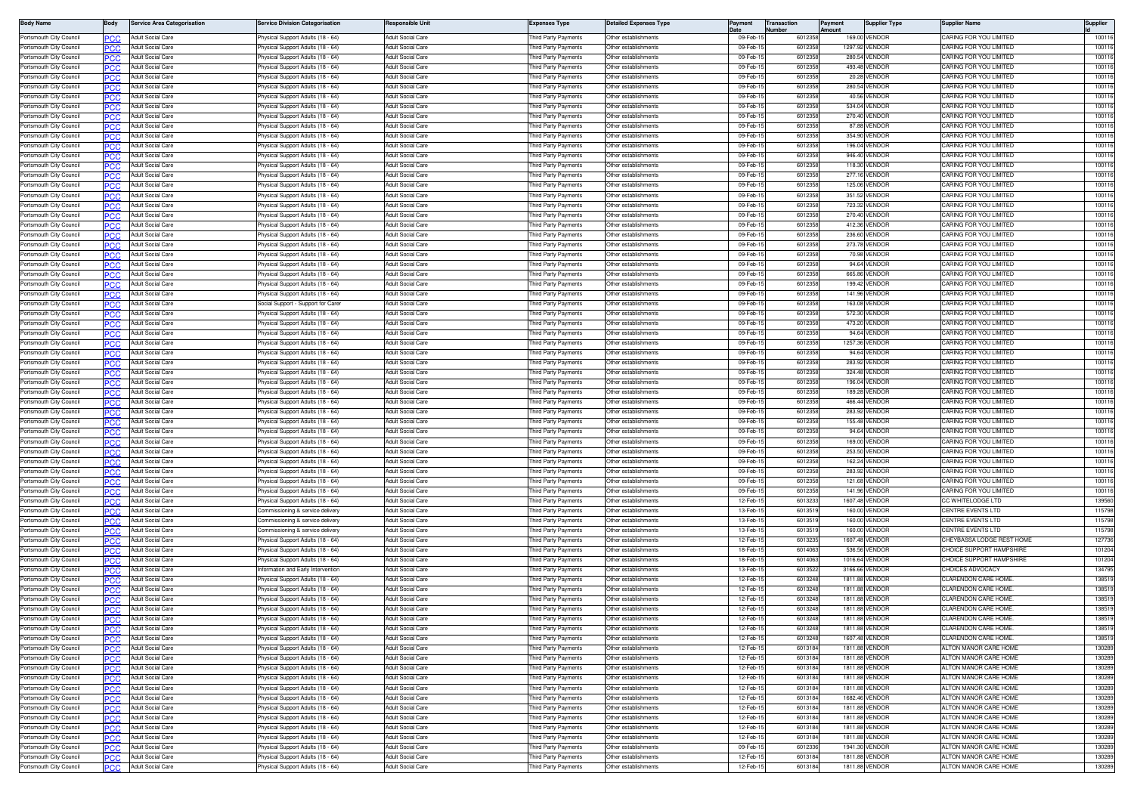| <b>Body Name</b>                                   | Body              | Service Area Categorisation                          | ervice Division Categorisation                                        | lesponsible Unit                                     | Expenses Type                               | <b>Detailed Expenses Type</b>                | Payment              | lumber | <b>Transaction</b> | Payment<br><b>Imount</b> | <b>Supplier Type</b>             | Supplier Name                                    | Supplier         |
|----------------------------------------------------|-------------------|------------------------------------------------------|-----------------------------------------------------------------------|------------------------------------------------------|---------------------------------------------|----------------------------------------------|----------------------|--------|--------------------|--------------------------|----------------------------------|--------------------------------------------------|------------------|
| Portsmouth City Council                            |                   | Adult Social Care                                    | hysical Support Adults (18 - 64)                                      | <b>Adult Social Care</b>                             | hird Party Payments                         | Other establishments                         | 09-Feb-              |        | 601235             |                          | 169.00 VENDOF                    | CARING FOR YOU LIMITED                           | 10011            |
| Portsmouth City Council                            | PCC               | Adult Social Care                                    | hysical Support Adults (18 - 64)                                      | <b>Adult Social Care</b>                             | hird Party Payments                         | Other establishments                         | 09-Feb-              |        | 601235             |                          | 1297.92 VENDOR                   | ARING FOR YOU LIMITED                            | 10011            |
| Portsmouth City Council                            | PCC               | Adult Social Care                                    | hysical Support Adults (18 - 64)                                      | <b>Adult Social Care</b>                             | hird Party Payments                         | Other establishments                         | 09-Feb-              |        | 601235             |                          | 280.54 VENDOR                    | CARING FOR YOU LIMITED                           | 100116           |
| Portsmouth City Council                            | PCC               | Adult Social Care                                    | hysical Support Adults (18 - 64)                                      | Adult Social Care                                    | hird Party Payments                         | Other establishments                         | 09-Feb-              |        | 601235             |                          | 493.48 VENDOF                    | ARING FOR YOU LIMITED                            | 10011            |
| Portsmouth City Council<br>Portsmouth City Council | <b>PCC</b>        | Adult Social Care<br>Adult Social Care               | hysical Support Adults (18 - 64)                                      | <b>Adult Social Care</b><br><b>Adult Social Care</b> | hird Party Payments                         | Other establishments<br>Other establishments | 09-Feb-1<br>09-Feb-1 |        | 6012358<br>601235  |                          | 20.28 VENDOF<br>280.54 VENDOF    | CARING FOR YOU LIMITED<br>CARING FOR YOU LIMITED | 10011<br>10011   |
| Portsmouth City Council                            | PCC<br>PCC        | Adult Social Care                                    | hysical Support Adults (18 - 64)<br>hysical Support Adults (18 - 64)  | <b>Adult Social Care</b>                             | hird Party Payments<br>hird Party Payments  | Other establishments                         | 09-Feb-              |        | 601235             |                          | 40.56 VENDOR                     | CARING FOR YOU LIMITED                           | 100116           |
| Portsmouth City Council                            |                   | <b>Adult Social Care</b>                             | hysical Support Adults (18 - 64)                                      | <b>Adult Social Care</b>                             | hird Party Payments                         | Other establishments                         | 09-Feb-              |        | 601235             |                          | 534.04 VENDOR                    | CARING FOR YOU LIMITED                           | 10011            |
| Portsmouth City Council                            | PCC               | Adult Social Care                                    | hysical Support Adults (18 - 64)                                      | <b>Adult Social Care</b>                             | hird Party Payments                         | Other establishments                         | 09-Feb-1             |        | 6012358            |                          | 270.40 VENDOR                    | ARING FOR YOU LIMITED                            | 100116           |
| Portsmouth City Council                            |                   | Adult Social Care                                    | hysical Support Adults (18 - 64)                                      | <b>Adult Social Care</b>                             | hird Party Payments                         | Other establishments                         | 09-Feb-              |        | 601235             |                          | 87.88 VENDOF                     | CARING FOR YOU LIMITED                           | 10011            |
| Portsmouth City Council                            | ∍сс               | Adult Social Care                                    | hysical Support Adults (18 - 64)                                      | <b>Adult Social Care</b>                             | hird Party Payments                         | Other establishments                         | 09-Feb-              |        | 601235             |                          | 354.90 VENDOR                    | CARING FOR YOU LIMITED                           | 10011            |
| Portsmouth City Council                            | PCC               | Adult Social Care                                    | hysical Support Adults (18 - 64)                                      | <b>Adult Social Care</b>                             | hird Party Payments                         | Other establishments                         | 09-Feb-1             |        | 6012358            |                          | 196.04 VENDOR                    | CARING FOR YOU LIMITED                           | 100116           |
| Portsmouth City Council                            | PCC               | Adult Social Care                                    | hysical Support Adults (18 - 64)                                      | <b>Adult Social Care</b>                             | hird Party Payments                         | Other establishments                         | 09-Feb-              |        | 601235             |                          | 946.40 VENDOF                    | CARING FOR YOU LIMITED                           | 10011            |
| Portsmouth City Council                            | <b>PCC</b>        | Adult Social Care                                    | hysical Support Adults (18 - 64)                                      | Adult Social Care                                    | hird Party Payments                         | Other establishments                         | 09-Feb-              |        | 601235             |                          | 118.30 VENDOR                    | CARING FOR YOU LIMITED                           | 10011            |
| Portsmouth City Council                            | PCC               | Adult Social Care<br><b>Adult Social Care</b>        | hysical Support Adults (18 - 64)<br>hysical Support Adults (18 - 64)  | Adult Social Care<br><b>Adult Social Care</b>        | hird Party Payments                         | Other establishments                         | 09-Feb-<br>09-Feb-1  |        | 601235<br>601235   |                          | 277.16 VENDOF<br>125.06 VENDOR   | CARING FOR YOU LIMITED<br>ARING FOR YOU LIMITED  | 10011<br>100116  |
| Portsmouth City Council<br>Portsmouth City Council | PCC               | <b>Adult Social Care</b>                             | hysical Support Adults (18 - 64)                                      | <b>Adult Social Care</b>                             | hird Party Payments<br>hird Party Payments  | Other establishments<br>Other establishments | 09-Feb-1             |        | 6012358            |                          | 351.52 VENDOR                    | CARING FOR YOU LIMITED                           | 100116           |
| Portsmouth City Council                            | PCC               | <b>Adult Social Care</b>                             | hysical Support Adults (18 - 64)                                      | Adult Social Care                                    | hird Party Payments                         | Other establishments                         | 09-Feb-1             |        | 601235             |                          | 723.32 VENDOR                    | ARING FOR YOU LIMITED                            | 10011            |
| Portsmouth City Council                            | PCC               | Adult Social Care                                    | hysical Support Adults (18 - 64)                                      | <b>Adult Social Care</b>                             | hird Party Payments                         | Other establishments                         | 09-Feb-              |        | 6012358            |                          | 270.40 VENDOF                    | CARING FOR YOU LIMITED                           | 10011            |
| Portsmouth City Council                            | эсс               | Adult Social Care                                    | hysical Support Adults (18 - 64)                                      | <b>Adult Social Care</b>                             | nird Party Payments                         | Other establishments                         | 09-Feb-1             |        | 601235             |                          | 412.36 VENDOF                    | ARING FOR YOU LIMITED                            | 100116           |
| Portsmouth City Council                            | PCC               | Adult Social Care                                    | hysical Support Adults (18 - 64)                                      | <b>Adult Social Care</b>                             | hird Party Payments                         | Other establishments                         | 09-Feb-1             |        | 601235             |                          | 236.60 VENDOR                    | CARING FOR YOU LIMITED                           | 100116           |
| Portsmouth City Council                            | PCC               | Adult Social Care                                    | hysical Support Adults (18 - 64)                                      | Adult Social Care                                    | hird Party Payments                         | Other establishments                         | 09-Feb-              |        | 601235             |                          | 273.78 VENDOF                    | CARING FOR YOU LIMITED                           | 10011            |
| Portsmouth City Council                            | PCC               | Adult Social Care                                    | hysical Support Adults (18 - 64)                                      | Adult Social Care                                    | hird Party Payments                         | Other establishments                         | 09-Feb-              |        | 601235             |                          | 70.98 VENDOR                     | CARING FOR YOU LIMITED                           | 10011            |
| Portsmouth City Council                            |                   | <b>Adult Social Care</b>                             | hysical Support Adults (18 - 64)                                      | <b>Adult Social Care</b>                             | hird Party Payments                         | Other establishments                         | 09-Feb-1             |        | 601235             |                          | 94.64 VENDOF                     | <b>CARING FOR YOU LIMITED</b>                    | 100116           |
| Portsmouth City Council                            | PCC               | Adult Social Care                                    | hysical Support Adults (18 - 64)                                      | <b>Adult Social Care</b>                             | hird Party Payments                         | Other establishments                         | 09-Feb-1             |        | 601235             |                          | 665.86 VENDOR                    | CARING FOR YOU LIMITED                           | 100116           |
| Portsmouth City Council                            |                   | Adult Social Care<br><b>Adult Social Care</b>        | hysical Support Adults (18 - 64)                                      | <b>Adult Social Care</b><br>Adult Social Care        | hird Party Payments                         | Other establishments<br>Other establishments | 09-Feb-1<br>09-Feb-  |        | 601235             |                          | 199.42 VENDOR<br>141.96 VENDOF   | CARING FOR YOU LIMITED<br>ARING FOR YOU LIMITED  | 100116<br>10011  |
| Portsmouth City Council<br>Portsmouth City Council | PCC<br>PCC        | <b>Adult Social Care</b>                             | hysical Support Adults (18 - 64)<br>ocial Support - Support for Carer | <b>Adult Social Care</b>                             | hird Party Payments<br>hird Party Payments  | Other establishments                         | 09-Feb-              |        | 601235<br>601235   |                          | 163.08 VENDOR                    | CARING FOR YOU LIMITED                           | 10011            |
| Portsmouth City Council                            | ∍сс               | Adult Social Care                                    | hysical Support Adults (18 - 64)                                      | <b>Adult Social Care</b>                             | hird Party Payments                         | Other establishments                         | 09-Feb-              |        | 601235             |                          | 572.30 VENDOF                    | ARING FOR YOU LIMITED                            | 10011            |
| Portsmouth City Council                            | <b>PCC</b>        | Adult Social Care                                    | hysical Support Adults (18 - 64)                                      | <b>Adult Social Care</b>                             | hird Party Payments                         | Other establishments                         | 09-Feb-              |        | 601235             |                          | 473.20 VENDOF                    | CARING FOR YOU LIMITED                           | 10011            |
| Portsmouth City Council                            |                   | Adult Social Care                                    | hysical Support Adults (18 - 64)                                      | <b>Adult Social Care</b>                             | hird Party Payments                         | Other establishments                         | 09-Feb-              |        | 601235             |                          | 94.64 VENDOF                     | CARING FOR YOU LIMITED                           | 10011            |
| Portsmouth City Council                            | PCC               | Adult Social Care                                    | hysical Support Adults (18 - 64)                                      | <b>Adult Social Care</b>                             | hird Party Payments                         | Other establishments                         | 09-Feb-              |        | 6012358            |                          | 1257.36 VENDOR                   | CARING FOR YOU LIMITED                           | 10011            |
| Portsmouth City Council                            | ∍сс               | <b>Adult Social Care</b>                             | hysical Support Adults (18 - 64)                                      | <b>Adult Social Care</b>                             | hird Party Payments                         | Other establishments                         | 09-Feb-              |        | 6012358            |                          | 94.64 VENDOF                     | CARING FOR YOU LIMITED                           | 100116           |
| Portsmouth City Council                            | PCC               | Adult Social Care                                    | hysical Support Adults (18 - 64)                                      | <b>Adult Social Care</b>                             | hird Party Payments                         | Other establishments                         | 09-Feb-              |        | 601235             |                          | 283.92 VENDOF                    | CARING FOR YOU LIMITED                           | 100116           |
| Portsmouth City Council                            |                   | Adult Social Care                                    | hysical Support Adults (18 - 64)                                      | <b>Adult Social Care</b>                             | hird Party Payments                         | Other establishments                         | 09-Feb-              |        | 601235             |                          | 324.48 VENDOF                    | CARING FOR YOU LIMITED                           | 10011            |
| Portsmouth City Council                            | РСС               | Adult Social Care                                    | hysical Support Adults (18 - 64)                                      | Adult Social Care                                    | hird Party Payments                         | Other establishments                         | 09-Feb-              |        | 601235             |                          | 196.04 VENDOR                    | CARING FOR YOU LIMITED                           | 10011            |
| Portsmouth City Council<br>Portsmouth City Council | PCC               | Adult Social Care<br>Adult Social Care               | hysical Support Adults (18 - 64)<br>hysical Support Adults (18 - 64)  | <b>Adult Social Care</b><br><b>Adult Social Care</b> | hird Party Payments<br>hird Party Payments  | Other establishments<br>Other establishments | 09-Feb-<br>09-Feb-1  |        | 6012358<br>601235  |                          | 189.28 VENDOR<br>466.44 VENDOF   | CARING FOR YOU LIMITED<br>CARING FOR YOU LIMITED | 100116<br>100116 |
| Portsmouth City Council                            | PCC<br><b>PCC</b> | Adult Social Care                                    | hysical Support Adults (18 - 64)                                      | Adult Social Care                                    | hird Party Payments                         | Other establishments                         | 09-Feb-              |        | 601235             |                          | 283.92 VENDOR                    | CARING FOR YOU LIMITED                           | 10011            |
| Portsmouth City Council                            | PCC               | Adult Social Care                                    | hysical Support Adults (18 - 64)                                      | Adult Social Care                                    | hird Party Payments                         | Other establishments                         | 09-Feb-              |        | 601235             |                          | 155.48 VENDOF                    | CARING FOR YOU LIMITED                           | 10011            |
| Portsmouth City Council                            | PCC               | <b>Adult Social Care</b>                             | hvsical Support Adults (18 - 64)                                      | <b>Adult Social Care</b>                             | nird Party Payments                         | Other establishments                         | 09-Feb-              |        | 601235             |                          | 94.64 VENDOF                     | ARING FOR YOU LIMITED                            | 100116           |
| Portsmouth City Council                            | ∍сс               | <b>Adult Social Care</b>                             | hysical Support Adults (18 - 64)                                      | <b>Adult Social Care</b>                             | hird Party Payments                         | Other establishments                         | 09-Feb-1             |        | 6012358            |                          | 169.00 VENDOF                    | ARING FOR YOU LIMITED                            | 100116           |
| Portsmouth City Council                            | PCC               | Adult Social Care                                    | hysical Support Adults (18 - 64)                                      | <b>Adult Social Care</b>                             | hird Party Payments                         | Other establishments                         | 09-Feb-1             |        | 601235             |                          | 253.50 VENDOR                    | ARING FOR YOU LIMITED                            | 100116           |
| Portsmouth City Council                            |                   | Adult Social Care                                    | hysical Support Adults (18 - 64)                                      | <b>Adult Social Care</b>                             | hird Party Payments                         | Other establishments                         | 09-Feb-              |        | 601235             |                          | 162.24 VENDOF                    | CARING FOR YOU LIMITED                           | 10011            |
| Portsmouth City Council                            |                   | Adult Social Care                                    | hysical Support Adults (18 - 64)                                      | <b>Adult Social Care</b>                             | hird Party Payments                         | Other establishments                         | 09-Feb-1             |        | 601235             |                          | 283.92 VENDOF                    | CARING FOR YOU LIMITED                           | 10011            |
| Portsmouth City Council                            | PCC.              | Adult Social Care                                    | hysical Support Adults (18 - 64)                                      | <b>Adult Social Care</b>                             | hird Party Payments                         | Other establishments                         | 09-Feb-1             |        | 6012358            |                          | 121.68 VENDOR                    | CARING FOR YOU LIMITED                           | 100116           |
| Portsmouth City Council<br>Portsmouth City Council | PCC<br>PCC        | Adult Social Care<br>Adult Social Care               | hysical Support Adults (18 - 64)<br>hysical Support Adults (18 - 64)  | <b>Adult Social Care</b><br>Adult Social Care        | hird Party Payments<br>hird Party Payments  | Other establishments<br>Other establishments | 09-Feb-1<br>12-Feb-  |        | 6012358<br>601323  |                          | 141.96 VENDOR<br>1607.48 VENDOR  | CARING FOR YOU LIMITED<br>CC WHITELODGE LTD      | 100116<br>139560 |
| Portsmouth City Council                            |                   | Adult Social Care                                    | ommissioning & service delivery                                       | <b>Adult Social Care</b>                             | hird Party Payments                         | Other establishments                         | 13-Feb-1             |        | 601351             |                          | 160.00 VENDOF                    | CENTRE EVENTS LTD                                | 115798           |
| Portsmouth City Council                            | PCC               | <b>Adult Social Care</b>                             | ommissioning & service delivery                                       | <b>Adult Social Care</b>                             | hird Party Payments                         | Other establishments                         | 13-Feb-1             |        | 601351             |                          | 160.00 VENDOR                    | CENTRE EVENTS LTD                                | 115798           |
| Portsmouth City Council                            |                   | Adult Social Care                                    | ommissioning & service delivery                                       | <b>Adult Social Care</b>                             | hird Party Payments                         | Other establishments                         | 13-Feb-              |        | 601351             |                          | 160.00 VENDOR                    | CENTRE EVENTS LTD                                | 115798           |
| Portsmouth City Council                            | ∍сс               | Adult Social Care                                    | hysical Support Adults (18 - 64)                                      | Adult Social Care                                    | hird Party Payments                         | Other establishments                         | 12-Feb-1             |        | 601323             |                          | 1607.48 VENDOR                   | <b>HEYBASSA LODGE REST HOME</b>                  | 127736           |
| Portsmouth City Council                            | PCC               | Adult Social Care                                    | hysical Support Adults (18 - 64)                                      | <b>Adult Social Care</b>                             | hird Party Payments                         | Other establishments                         | 18-Feb-1             |        | 601406             |                          | 536.56 VENDOR                    | CHOICE SUPPORT HAMPSHIRE                         | 101204           |
| Portsmouth City Council                            |                   | Adult Social Care                                    | hysical Support Adults (18 - 64)                                      | Adult Social Care                                    | hird Party Payments                         | Other establishments                         | 18-Feb-              |        | 601406             |                          | 1016.64 VENDOF                   | <b>HOICE SUPPORT HAMPSHIRE</b>                   | 10120            |
| Portsmouth City Council<br>Portsmouth City Council | <b>PCC</b>        | Adult Social Care<br>Adult Social Care               | iformation and Early Interventior                                     | <b>Adult Social Care</b><br><b>Adult Social Care</b> | hird Party Payments                         | Other establishments<br>Other establishments | 13-Feb-1<br>12-Feb-  |        | 6013522<br>6013248 |                          | 3166.66 VENDOR<br>1811.88 VENDOF | CHOICES ADVOCACY<br>CI ARENDON CARE HOME         | 134795<br>13851  |
| Portsmouth City Council                            | PCC<br>PCC        | Adult Social Care                                    | hysical Support Adults (18 - 64)<br>hysical Support Adults (18 - 64)  | Adult Social Care                                    | hird Party Payments<br>hird Party Payments  | Other establishments                         | 12-Feb-              |        | 601324             |                          | 1811.88 VENDOR                   | CI ARENDON CARE HOME                             | 13851            |
| Portsmouth City Council                            |                   | Adult Social Care                                    | hysical Support Adults (18 - 64)                                      | <b>Adult Social Care</b>                             | hird Party Payments                         | Other establishments                         | 12-Feb-              |        | 601324             |                          | 1811.88 VENDOR                   | CLARENDON CARE HOME                              | 138519           |
| Portsmouth City Council                            | PCC               | Adult Social Care                                    | hysical Support Adults (18 - 64)                                      | <b>Adult Social Care</b>                             | hird Party Payments                         | Other establishments                         | 12-Feb-              |        | 601324             |                          | 1811.88 VENDOF                   | <b>CLARENDON CARE HOME</b>                       | 138519           |
| Portsmouth City Council                            |                   | Adult Social Care                                    | hysical Support Adults (18 - 64)                                      | Adult Social Care                                    | hird Party Payments                         | Other establishments                         | 12-Feb-1             |        | 601324             |                          | 1811.88 VENDOR                   | CLARENDON CARE HOME                              | 138519           |
| Portsmouth City Council                            | PCC               | Adult Social Care                                    | hysical Support Adults (18 - 64)                                      | Adult Social Care                                    | hird Party Payments                         | Other establishments                         | 12-Feb-1             |        | 6013248            |                          | 1811.88 VENDOR                   | CLARENDON CARE HOME                              | 138519           |
| Portsmouth City Council                            | PCC               | Adult Social Care                                    | hysical Support Adults (18 - 64)                                      | Adult Social Care                                    | hird Party Payments                         | Other establishments                         | 12-Feb-1             |        | 6013248            |                          | 1607.48 VENDOR                   | CLARENDON CARE HOME                              | 138519           |
| Portsmouth City Council                            | PCC               | Adult Social Care                                    | hysical Support Adults (18 - 64)                                      | Adult Social Care                                    | hird Party Payments                         | ther establishments                          | 12-Feb-1             |        | 601318             |                          | 1811.88 VENDOR                   | ALTON MANOR CARE HOME                            | 130289           |
| Portsmouth City Council                            | <b>PCC</b>        | Adult Social Care                                    | hysical Support Adults (18 - 64)                                      | Adult Social Care                                    | hird Party Payments                         | Other establishments                         | 12-Feb-              |        | 6013184            |                          | 1811.88 VENDOR                   | ALTON MANOR CARE HOME                            | 130289           |
| Portsmouth City Council<br>Portsmouth City Council | PCC               | <b>Adult Social Care</b><br><b>Adult Social Care</b> | hysical Support Adults (18 - 64)<br>hysical Support Adults (18 - 64)  | Adult Social Care<br><b>Adult Social Care</b>        | Third Party Payments<br>hird Party Payments | Other establishments<br>Other establishments | 12-Feb-1<br>12-Feb-1 |        | 6013184<br>6013184 |                          | 1811.88 VENDOR<br>1811.88 VENDOR | ALTON MANOR CARE HOME<br>ALTON MANOR CARE HOME   | 130289<br>130289 |
| Portsmouth City Council                            | PCC               | <b>Adult Social Care</b>                             | hysical Support Adults (18 - 64)                                      | <b>Adult Social Care</b>                             | hird Party Payments                         | Other establishments                         | 12-Feb-1             |        | 6013184            |                          | 1811.88 VENDOR                   | ALTON MANOR CARE HOME                            | 130289           |
| Portsmouth City Council                            | PCC               | <b>Adult Social Care</b>                             | hysical Support Adults (18 - 64)                                      | Adult Social Care                                    | hird Party Payments                         | Other establishments                         | 12-Feb-1             |        | 6013184            |                          | 1682.46 VENDOR                   | ALTON MANOR CARE HOME                            | 130289           |
| Portsmouth City Council                            | ∍сс               | Adult Social Care                                    | hysical Support Adults (18 - 64)                                      | Adult Social Care                                    | hird Party Payments                         | Other establishments                         | 12-Feb-1             |        | 601318             |                          | 1811.88 VENDOR                   | ALTON MANOR CARE HOME                            | 130289           |
| Portsmouth City Council                            | PCC               | Adult Social Care                                    | hysical Support Adults (18 - 64)                                      | Adult Social Care                                    | hird Party Payments                         | Other establishments                         | 12-Feb-1             |        | 6013184            |                          | 1811.88 VENDOR                   | ALTON MANOR CARE HOME                            | 130289           |
| Portsmouth City Council                            | PCC.              | Adult Social Care                                    | hysical Support Adults (18 - 64)                                      | Adult Social Care                                    | hird Party Payments                         | Other establishments                         | 12-Feb-1             |        | 6013184            |                          | 1811.88 VENDOR                   | ALTON MANOR CARE HOME                            | 130289           |
| Portsmouth City Council                            | PCC               | Adult Social Care                                    | hysical Support Adults (18 - 64)                                      | Adult Social Care                                    | hird Party Payments                         | Other establishments                         | 12-Feb-1             |        | 601318             |                          | 1811.88 VENDOR                   | ALTON MANOR CARE HOME                            | 130289           |
| Portsmouth City Council                            | <b>PCC</b>        | Adult Social Care                                    | <sup>2</sup> hysical Support Adults (18 - 64)                         | Adult Social Care                                    | hird Party Payments                         | Other establishments                         | 09-Feb-1             |        | 6012336            |                          | 1941.30 VENDOR                   | ALTON MANOR CARE HOME                            | 130289           |
| Portsmouth City Council                            | ∍сс               | Adult Social Care                                    | <sup>2</sup> hysical Support Adults (18 - 64)                         | Adult Social Care                                    | Third Party Payments                        | Other establishments                         | 12-Feb-1             |        | 601318             |                          | 1811.88 VENDOR                   | ALTON MANOR CARE HOME                            | 130289           |
| Portsmouth City Council                            | <b>PCC</b>        | Adult Social Care                                    | hysical Support Adults (18 - 64)                                      | <b>Adult Social Care</b>                             | hird Party Payments                         | Other establishments                         | 12-Feb-1             |        | 6013184            |                          | 1811.88 VENDOR                   | ALTON MANOR CARE HOME                            | 130289           |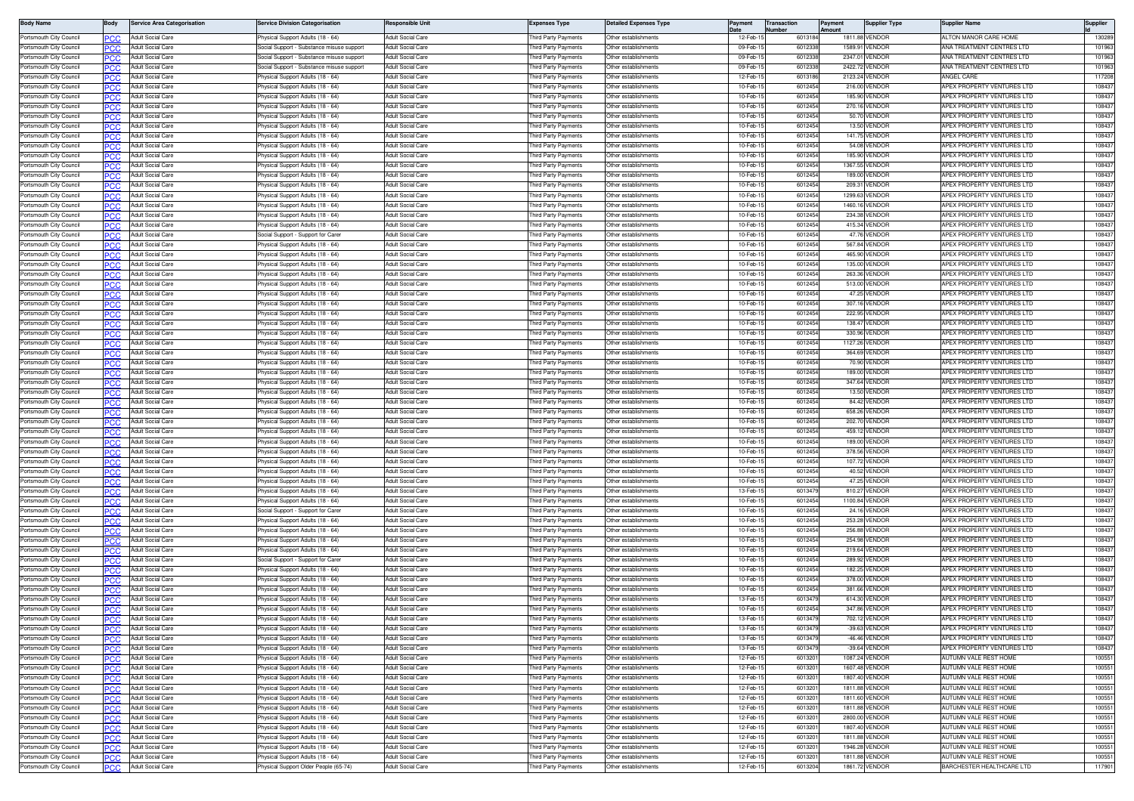| <b>Body Name</b>                                   | Body        | <b>Service Area Categorisation</b>                   | Service Division Categorisation                                       | esponsible Unit                                      | <b>Expenses Type</b>                       | etailed Expenses Type                        | Payment              | <b>Transaction</b><br>Number |                   | Payment<br>Amount | <b>Supplier Type</b>           | Supplier Name                                                   | Supplier         |
|----------------------------------------------------|-------------|------------------------------------------------------|-----------------------------------------------------------------------|------------------------------------------------------|--------------------------------------------|----------------------------------------------|----------------------|------------------------------|-------------------|-------------------|--------------------------------|-----------------------------------------------------------------|------------------|
| Portsmouth City Council                            |             | Adult Social Care                                    | hysical Support Adults (18 - 64)                                      | <b>Adult Social Care</b>                             | hird Party Payments                        | Other establishments                         | 12-Feb-              |                              | 601318            |                   | 1811.88 VENDOF                 | ALTON MANOR CARE HOME                                           | 130289           |
| Portsmouth City Council                            | PCC         | Adult Social Care                                    | Social Support - Substance misuse support                             | <b>Adult Social Care</b>                             | hird Party Payments                        | Other establishments                         | 09-Feb-              |                              | 601233            |                   | 1589.91 VENDOF                 | <b>NA TREATMENT CENTRES LTD</b>                                 | 101963           |
| Portsmouth City Council                            | PCC         | <b>Adult Social Care</b>                             | ocial Support - Substance misuse support                              | <b>Adult Social Care</b>                             | hird Party Payments                        | Other establishments                         | 09-Feb-1             |                              | 601233            |                   | 2347.01 VENDOR                 | ANA TREATMENT CENTRES LTD                                       | 101963           |
| Portsmouth City Counci                             |             | Adult Social Care                                    | ocial Support - Substance misuse support                              | Adult Social Care                                    | ird Party Payments                         | ther establishments                          | 09-Feb               |                              | 60123             |                   | 2422.72 VENDOF                 | ANA TREATMENT CENTRES LTD                                       | 10196            |
| Portsmouth City Council                            | <b>PCC</b>  | Adult Social Care                                    | hysical Support Adults (18 - 64)                                      | <b>Adult Social Care</b>                             | hird Party Payments                        | Other establishments                         | 12-Feb-              |                              | 601318            |                   | 2123.24 VENDOR                 | ANGEL CARE                                                      | 117208           |
| Portsmouth City Council                            |             | Adult Social Care                                    | hysical Support Adults (18 - 64)                                      | <b>Adult Social Care</b>                             | hird Party Payments                        | Other establishments                         | 10-Feb-              |                              | 601245            |                   | 216.00 VENDOF                  | APEX PROPERTY VENTURES LTD                                      | 108437           |
| Portsmouth City Council                            | PCC         | Adult Social Care                                    | 'hysical Support Adults (18 - 64)                                     | Adult Social Care                                    | hird Party Payments                        | Other establishments                         | 10-Feb-1             |                              | 601245            |                   | 185.90 VENDOF                  | APEX PROPERTY VENTURES LTD                                      | 108437           |
| Portsmouth City Council                            |             | <b>Adult Social Care</b>                             | hysical Support Adults (18 - 64)                                      | <b>Adult Social Care</b>                             | hird Party Payments                        | Other establishments                         | 10-Feb-              |                              | 601245            |                   | 270.16 VENDOR                  | APEX PROPERTY VENTURES LTD                                      | 108437           |
| Portsmouth City Council<br>Portsmouth City Council | PCC         | Adult Social Care<br>Adult Social Care               | hysical Support Adults (18 - 64)<br>hysical Support Adults (18 - 64)  | <b>Adult Social Care</b><br><b>Adult Social Care</b> | hird Party Payments<br>hird Party Payments | Other establishments<br>Other establishments | 10-Feb-1<br>10-Feb-  |                              | 6012454<br>601245 |                   | 50.70 VENDOR<br>13.50 VENDOF   | APEX PROPERTY VENTURES LTD<br>APEX PROPERTY VENTURES LTD        | 108437<br>108437 |
| Portsmouth City Council                            |             | Adult Social Care                                    | hysical Support Adults (18 - 64)                                      | dult Social Care                                     | hird Party Payments                        | Other establishments                         | 10-Feb-              |                              | 601245            |                   | 141.75 VENDOF                  | APEX PROPERTY VENTURES LTD                                      | 108437           |
| Portsmouth City Council                            | PCC<br>PCC. | <b>Adult Social Care</b>                             | hysical Support Adults (18 - 64)                                      | <b>Adult Social Care</b>                             | hird Party Payments                        | Other establishments                         | 10-Feb-1             |                              | 601245            |                   | 54.08 VENDOR                   | APEX PROPERTY VENTURES LTD                                      | 108437           |
| Portsmouth City Counci                             | PC X .      | Adult Social Care                                    | hysical Support Adults (18 - 64)                                      | <b>Adult Social Care</b>                             | hird Party Payments                        | ther establishments                          | 10-Feb-              |                              | 601245            |                   | 185.90 VENDOF                  | APEX PROPERTY VENTURES LTD                                      | 108437           |
| Portsmouth City Council                            | <b>PCC</b>  | <b>Adult Social Care</b>                             | 'hysical Support Adults (18 - 64)                                     | Adult Social Care                                    | hird Party Payments                        | Other establishments                         | 10-Feb-              |                              | 601245            |                   | 1367.55 VENDOF                 | APEX PROPERTY VENTURES LTD                                      | 10843            |
| Portsmouth City Council                            |             | <b>Adult Social Care</b>                             | hysical Support Adults (18 - 64)                                      | <b>Adult Social Care</b>                             | hird Party Payments                        | Other establishments                         | 10-Feb-              |                              | 601245            |                   | 189.00 VENDOR                  | APEX PROPERTY VENTURES LTD                                      | 108437           |
| Portsmouth City Council                            | PCC         | <b>Adult Social Care</b>                             | hysical Support Adults (18 - 64)                                      | <b>Adult Social Care</b>                             | hird Party Payments                        | Other establishments                         | 10-Feb-1             |                              | 601245            |                   | 209.31 VENDOR                  | APEX PROPERTY VENTURES LTD                                      | 108437           |
| Portsmouth City Council                            |             | <b>Adult Social Care</b>                             | hysical Support Adults (18 - 64)                                      | <b>Adult Social Care</b>                             | hird Party Payments                        | Other establishments                         | 10-Feb-1             |                              | 601245            |                   | 1299.63 VENDOR                 | APEX PROPERTY VENTURES LTD                                      | 108437           |
| Portsmouth City Council                            | PCC         | Adult Social Care                                    | hysical Support Adults (18 - 64)                                      | <b>Adult Social Care</b>                             | hird Party Payments                        | Other establishments                         | 10-Feb-1             |                              | 601245            |                   | 1460.16 VENDOR                 | APEX PROPERTY VENTURES LTD                                      | 108437           |
| Portsmouth City Council                            | PCC         | Adult Social Care                                    | hysical Support Adults (18 - 64)                                      | <b>Adult Social Care</b>                             | hird Party Payments                        | Other establishments                         | 10-Feb-              |                              | 601245            |                   | 234.38 VENDOF                  | APEX PROPERTY VENTURES LTD                                      | 108437           |
| Portsmouth City Counci                             | PCC         | Adult Social Care                                    | hysical Support Adults (18 - 64)                                      | <b>Adult Social Care</b>                             | hird Party Payments                        | ther establishments                          | 10-Feb-1             |                              | 601245            |                   | 415.34 VENDOF                  | APEX PROPERTY VENTURES LTD                                      | 108437           |
| Portsmouth City Council                            | <b>PCC</b>  | Adult Social Care                                    | locial Support - Support for Carer                                    | <b>Adult Social Care</b>                             | hird Party Payments                        | Other establishments                         | 10-Feb-1             |                              | 601245            |                   | 47.76 VENDOR                   | APEX PROPERTY VENTURES LTD                                      | 108437           |
| Portsmouth City Council                            | PCC         | <b>Adult Social Care</b>                             | hysical Support Adults (18 - 64)                                      | Adult Social Care                                    | hird Party Payments                        | Other establishments                         | 10-Feb-              |                              | 601245            |                   | 567.84 VENDOF                  | APEX PROPERTY VENTURES LTD                                      | 108437           |
| Portsmouth City Council                            | PCC         | <b>Adult Social Care</b>                             | hysical Support Adults (18 - 64)                                      | Adult Social Care                                    | hird Party Payments                        | Other establishments                         | 10-Feb-1             |                              | 601245            |                   | 465.90 VENDOF                  | APEX PROPERTY VENTURES LTD                                      | 10843            |
| Portsmouth City Council                            |             | Adult Social Care                                    | hysical Support Adults (18 - 64                                       | <b>Adult Social Care</b>                             | hird Party Payments                        | Other establishments                         | 10-Feb-1             |                              | 601245            |                   | 135.00 VENDOF                  | APEX PROPERTY VENTURES LTD                                      | 108437           |
| Portsmouth City Council                            | PCC         | <b>Adult Social Care</b>                             | hysical Support Adults (18 - 64)                                      | <b>Adult Social Care</b>                             | hird Party Payments                        | Other establishments                         | 10-Feb-1             |                              | 601245            |                   | 263.36 VENDOR                  | APEX PROPERTY VENTURES LTD                                      | 108437           |
| Portsmouth City Council                            |             | <b>Adult Social Care</b>                             | hysical Support Adults (18 - 64                                       | <b>Adult Social Care</b>                             | hird Party Payments                        | Other establishments                         | 10-Feb-              |                              | 601245            |                   | 513.00 VENDOR                  | APEX PROPERTY VENTURES LTD                                      | 108437           |
| Portsmouth City Council                            | PCC         | Adult Social Care                                    | hysical Support Adults (18 - 64)                                      | Adult Social Care                                    | hird Party Payments                        | Other establishments                         | 10-Feb-              |                              | 601245            |                   | 47.25 VENDOF                   | APEX PROPERTY VENTURES LTD                                      | 108437           |
| Portsmouth City Council                            | PCC         | <b>Adult Social Care</b>                             | hysical Support Adults (18 - 64)                                      | <b>Adult Social Care</b>                             | hird Party Payments                        | Other establishments                         | 10-Feb-              |                              | 601245            |                   | 307.16 VENDOR                  | APEX PROPERTY VENTURES LTD                                      | 108437           |
| Portsmouth City Counci                             | ጋርር         | <b>Adult Social Care</b>                             | hysical Support Adults (18 - 64                                       | <b>Adult Social Care</b>                             | hird Party Payments                        | ther establishments                          | 10-Feb-              |                              | 601245            |                   | 222.95 VENDOF                  | APEX PROPERTY VENTURES LTD                                      | 108437           |
| Portsmouth City Council                            | <b>PCC</b>  | Adult Social Care                                    | hysical Support Adults (18 - 64)                                      | <b>Adult Social Care</b>                             | hird Party Payments                        | Other establishments                         | 10-Feb-              |                              | 601245            |                   | 138.47 VENDOR                  | APEX PROPERTY VENTURES LTD                                      | 108437           |
| Portsmouth City Council                            |             | Adult Social Care                                    | hysical Support Adults (18 - 64)                                      | <b>Adult Social Care</b>                             | hird Party Payments                        | Other establishments                         | 10-Feb-              |                              | 601245            |                   | 330.96 VENDOF                  | APEX PROPERTY VENTURES LTD                                      | 108437           |
| Portsmouth City Counci                             | PCC         | Adult Social Care                                    | hysical Support Adults (18 - 64)                                      | <b>Adult Social Care</b>                             | hird Party Payments                        | Other establishments                         | 10-Feb-1             |                              | 6012454           |                   | 1127.26 VENDOR                 | APEX PROPERTY VENTURES LTD                                      | 108437           |
| Portsmouth City Council                            |             | <b>Adult Social Care</b>                             | hysical Support Adults (18 - 64)                                      | <b>Adult Social Care</b>                             | hird Party Payments                        | Other establishments                         | 10-Feb-1             |                              | 601245            |                   | 364.69 VENDOF                  | APEX PROPERTY VENTURES LTD                                      | 108437           |
| Portsmouth City Council<br>Portsmouth City Council | PCC         | <b>Adult Social Care</b>                             | 'hysical Support Adults (18 - 64)<br>hysical Support Adults (18 - 64) | <b>Adult Social Care</b><br><b>Adult Social Care</b> | hird Party Payments                        | Other establishments<br>Other establishments | 10-Feb-<br>10-Feb-   |                              | 601245<br>601245  |                   | 70.90 VENDOR                   | APEX PROPERTY VENTURES LTD                                      | 108437<br>10843  |
|                                                    |             | Adult Social Care                                    |                                                                       | Adult Social Care                                    | hird Party Payments                        | Other establishments                         | 10-Feb-              |                              |                   |                   | 189.00 VENDOF<br>347.64 VENDOF | APEX PROPERTY VENTURES LTD<br><b>APEX PROPERTY VENTURES LTD</b> | 108437           |
| Portsmouth City Council<br>Portsmouth City Council | PCC         | Adult Social Care<br><b>Adult Social Care</b>        | hysical Support Adults (18 - 64)<br>hysical Support Adults (18 - 64)  | <b>Adult Social Care</b>                             | hird Party Payments<br>hird Party Payments | Other establishments                         | 10-Feb-1             |                              | 601245<br>6012454 |                   | 13.50 VENDOR                   | APEX PROPERTY VENTURES LTD                                      | 108437           |
| Portsmouth City Council                            | PCC.        |                                                      |                                                                       |                                                      |                                            |                                              |                      |                              |                   |                   |                                |                                                                 |                  |
| Portsmouth City Council                            | PCC.        | <b>Adult Social Care</b><br><b>Adult Social Care</b> | hysical Support Adults (18 - 64)<br>'hysical Support Adults (18 - 64) | <b>Adult Social Care</b><br>Adult Social Care        | hird Party Payments<br>hird Party Payments | ther establishments<br>Other establishments  | 10-Feb-1<br>10-Feb-  |                              | 601245<br>601245  |                   | 84.42 VENDOR<br>658.26 VENDOF  | APEX PROPERTY VENTURES LTD<br>APEX PROPERTY VENTURES LTD        | 108437<br>108437 |
| Portsmouth City Council                            | <b>PCC</b>  | <b>Adult Social Care</b>                             | hysical Support Adults (18 - 64)                                      | Adult Social Care                                    | hird Party Payments                        | Other establishments                         | 10-Feb-              |                              | 60124             |                   | 202.70 VENDOF                  | APEX PROPERTY VENTURES LTD                                      | 108437           |
| Portsmouth City Council                            | PCC         | <b>Adult Social Care</b>                             | hysical Support Adults (18 - 64)                                      | <b>Adult Social Care</b>                             | hird Party Payments                        | Other establishments                         | 10-Feb-              |                              | 601245            |                   | 459.12 VENDOF                  | APEX PROPERTY VENTURES LTD                                      | 108437           |
| Portsmouth City Council                            |             | Adult Social Care                                    | hysical Support Adults (18 - 64)                                      | <b>Adult Social Care</b>                             | hird Party Payments                        | Other establishments                         | 10-Feb-1             |                              | 6012454           |                   | 189.00 VENDOR                  | APEX PROPERTY VENTURES LTD                                      | 108437           |
| Portsmouth City Council                            | PCC         | Adult Social Care                                    | hysical Support Adults (18 - 64)                                      | <b>Adult Social Care</b>                             | hird Party Payments                        | Other establishments                         | 10-Feb-1             |                              | 601245            |                   | 378.56 VENDOR                  | APEX PROPERTY VENTURES LTD                                      | 108437           |
| Portsmouth City Council                            |             | Adult Social Care                                    | hysical Support Adults (18 - 64)                                      | <b>Adult Social Care</b>                             | hird Party Payments                        | Other establishments                         | 10-Feb-              |                              | 601245            |                   | 107.72 VENDOR                  | APEX PROPERTY VENTURES LTD                                      | 108437           |
| Portsmouth City Counci                             |             | Adult Social Care                                    | nysical Support Adults (18 - 64                                       | <b>Adult Social Care</b>                             | hird Party Payments                        | ther establishments                          | 10-Feb-              |                              | 601245            |                   | 40.52 VENDOF                   | APEX PROPERTY VENTURES LTD                                      | 108437           |
| Portsmouth City Counci                             | PCC.        | Adult Social Care                                    | hysical Support Adults (18 - 64)                                      | <b>Adult Social Care</b>                             | hird Party Payments                        | Other establishments                         | 10-Feb-1             |                              | 6012454           |                   | 47.25 VENDOR                   | APEX PROPERTY VENTURES LTD                                      | 108437           |
| Portsmouth City Council                            | PCC         | Adult Social Care                                    | hysical Support Adults (18 - 64)                                      | <b>Adult Social Care</b>                             | hird Party Payments                        | Other establishments                         | 13-Feb-1             |                              | 601347            |                   | 810.27 VENDOR                  | APEX PROPERTY VENTURES LTD                                      | 108437           |
| Portsmouth City Council                            | PC.C        | <b>Adult Social Care</b>                             | hysical Support Adults (18 - 64)                                      | Adult Social Care                                    | hird Party Payments                        | Other establishments                         | 10-Feb-1             |                              | 601245            |                   | 1100.84 VENDOR                 | APEX PROPERTY VENTURES LTD                                      | 108437           |
| Portsmouth City Council                            |             | Adult Social Care                                    | Social Support - Support for Carer                                    | <b>Adult Social Care</b>                             | hird Party Payments                        | Other establishments                         | 10-Feb-1             |                              | 601245            |                   | 24.16 VENDOF                   | APEX PROPERTY VENTURES LTD                                      | 108437           |
| Portsmouth City Council                            | PCC         | <b>Adult Social Care</b>                             | hysical Support Adults (18 - 64)                                      | <b>Adult Social Care</b>                             | hird Party Payments                        | Other establishments                         | 10-Feb-1             |                              | 601245            |                   | 253.28 VENDOR                  | APEX PROPERTY VENTURES LTD                                      | 108437           |
| Portsmouth City Council                            |             | <b>Adult Social Care</b>                             | hysical Support Adults (18 - 64)                                      | <b>Adult Social Care</b>                             | hird Party Payments                        | Other establishments                         | 10-Feb-1             |                              | 601245            |                   | 256.88 VENDOR                  | APEX PROPERTY VENTURES LTD                                      | 108437           |
| Portsmouth City Council                            | PCC         | Adult Social Care                                    | hysical Support Adults (18 - 64)                                      | <b>Adult Social Care</b>                             | hird Party Payments                        | Other establishments                         | 10-Feb-1             |                              | 601245            |                   | 254.98 VENDOR                  | <b>APEX PROPERTY VENTURES LTD</b>                               | 108437           |
| Portsmouth City Council                            | PCC         | Adult Social Care                                    | hysical Support Adults (18 - 64)                                      | <b>Adult Social Care</b>                             | hird Party Payments                        | Other establishments                         | 10-Feb-              |                              | 601245            |                   | 219.64 VENDOR                  | APEX PROPERTY VENTURES LTD                                      | 108437           |
| Portsmouth City Counci                             |             | Adult Social Care                                    | ocial Support - Support for Care                                      | <b>Adult Social Care</b>                             | ird Party Payments                         | ther establishments                          | 10-Feb               |                              | 60124             |                   | 289.92 VENDOF                  | APEX PROPERTY VENTURES LTD                                      | 108437           |
| Portsmouth City Council                            | <b>PCC</b>  | Adult Social Care                                    | hysical Support Adults (18 - 64)                                      | <b>Adult Social Care</b>                             | hird Party Payments                        | Other establishments                         | 10-Feb-1             |                              | 601245            |                   | 182.25 VENDOR                  | APEX PROPERTY VENTURES LTD                                      | 108437           |
| Portsmouth City Council                            | PCC         | Adult Social Care                                    | hysical Support Adults (18 - 64)                                      | <b>Adult Social Care</b>                             | hird Party Payments                        | Other establishments                         | 10-Feb-1             |                              | 601245            |                   | 378.00 VENDOF                  | APEX PROPERTY VENTURES LTD                                      | 108437           |
| Portsmouth City Council                            | PCC         | <b>Adult Social Care</b>                             | hysical Support Adults (18 - 64)                                      | Adult Social Care                                    | hird Party Payments                        | Other establishments                         | 10-Feb-              |                              | 601245            |                   | 381.66 VENDOR                  | APEX PROPERTY VENTURES LTD                                      | 10843            |
| Portsmouth City Council                            |             | <b>Adult Social Care</b>                             | hysical Support Adults (18 - 64                                       | <b>Adult Social Care</b>                             | hird Party Payments                        | Other establishments                         | 13-Feb-              |                              | 601347            |                   | 614.30 VENDOF                  | APEX PROPERTY VENTURES LTD                                      | 108437           |
| Portsmouth City Council                            | PCC         | <b>Adult Social Care</b>                             | hysical Support Adults (18 - 64)                                      | <b>Adult Social Care</b>                             | hird Party Payments                        | Other establishments                         | 10-Feb-              |                              | 601245            |                   | 347.86 VENDOF                  | APEX PROPERTY VENTURES LTD                                      | 108437           |
| Portsmouth City Council                            |             | Adult Social Care                                    | hysical Support Adults (18 - 64)                                      | <b>Adult Social Care</b>                             | hird Party Payments                        | Other establishments                         | 13-Feb-1             |                              | 601347            |                   | 702.12 VENDOR                  | APEX PROPERTY VENTURES LTD                                      | 108437           |
| Portsmouth City Council                            | PCC         | Adult Social Care                                    | hysical Support Adults (18 - 64)                                      | Adult Social Care                                    | hird Party Payments                        | Other establishments<br>Other establishments | 13-Feb-1             |                              | 6013479           |                   | -39.63 VENDOR                  | APEX PROPERTY VENTURES LTD                                      | 108437           |
| Portsmouth City Council<br>Portsmouth City Council | PCC.        | Adult Social Care<br>Adult Social Care               | hysical Support Adults (18 - 64)<br>hysical Support Adults (18 - 64)  | <b>Adult Social Care</b><br><b>Adult Social Care</b> | hird Party Payments<br>hird Party Payments | ther establishments                          | 13-Feb-1<br>13-Feb-1 |                              | 601347<br>601347  |                   | -46.46 VENDOR<br>-39.64 VENDOR | APEX PROPERTY VENTURES LTD<br>APEX PROPERTY VENTURES LTD        | 108437<br>108437 |
| Portsmouth City Council                            | PCC         | <b>Adult Social Care</b>                             | 'hysical Support Adults (18 - 64)                                     | Adult Social Care                                    | hird Party Payments                        | Other establishments                         | 12-Feb-1             |                              | 601320            |                   | 1087.24 VENDOR                 | AUTUMN VALE REST HOME                                           | 100551           |
| Portsmouth City Council                            | PCC.<br>PCC | <b>Adult Social Care</b>                             | hysical Support Adults (18 - 64)                                      | <b>Adult Social Care</b>                             | hird Party Payments                        | Other establishments                         | 12-Feb-1             |                              | 601320            |                   | 1607.48 VENDOR                 | AUTUMN VALE REST HOME                                           | 100551           |
| Portsmouth City Council                            | <b>PCC</b>  | <b>Adult Social Care</b>                             | hysical Support Adults (18 - 64)                                      | <b>Adult Social Care</b>                             | hird Party Payments                        | Other establishments                         | 12-Feb-1             |                              | 601320            |                   | 1807.40 VENDOR                 | AUTUMN VALE REST HOME                                           | 100551           |
| Portsmouth City Council                            |             | <b>Adult Social Care</b>                             | hysical Support Adults (18 - 64)                                      | <b>Adult Social Care</b>                             | hird Party Payments                        | Other establishments                         | 12-Feb-1             |                              | 601320            |                   | 1811.88 VENDOR                 | AUTUMN VALE REST HOME                                           | 100551           |
| Portsmouth City Council                            | PCC         | Adult Social Care                                    | hysical Support Adults (18 - 64)                                      | <b>Adult Social Care</b>                             | hird Party Payments                        | Other establishments                         | 12-Feb-1             |                              | 601320            |                   | 1811.60 VENDOR                 | AUTUMN VALE REST HOME                                           | 100551           |
| Portsmouth City Council                            | PCC.        | Adult Social Care                                    | hysical Support Adults (18 - 64)                                      | <b>Adult Social Care</b>                             | hird Party Payments                        | Other establishments                         | 12-Feb-1             |                              | 601320            |                   | 1811.88 VENDOR                 | AUTUMN VALE REST HOME                                           | 100551           |
| Portsmouth City Council                            | PCC         | Adult Social Care                                    | hysical Support Adults (18 - 64)                                      | <b>Adult Social Care</b>                             | hird Party Payments                        | Other establishments                         | 12-Feb-1             |                              | 601320            |                   | 2800.00 VENDOR                 | AUTUMN VALE REST HOME                                           | 100551           |
| Portsmouth City Council                            | PCC.        | Adult Social Care                                    | hysical Support Adults (18 - 64)                                      | <b>Adult Social Care</b>                             | hird Party Payments                        | Other establishments                         | 12-Feb-1             |                              | 601320            |                   | 1807.40 VENDOR                 | AUTUMN VALE REST HOME                                           | 100551           |
| Portsmouth City Council                            | PCC         | Adult Social Care                                    | hysical Support Adults (18 - 64)                                      | <b>Adult Social Care</b>                             | hird Party Payments                        | Other establishments                         | 12-Feb-1             |                              | 601320            |                   | 1811.88 VENDOR                 | AUTUMN VALE REST HOME                                           | 100551           |
| Portsmouth City Council                            | <b>PCC</b>  | <b>Adult Social Care</b>                             | 'hysical Support Adults (18 - 64)                                     | Adult Social Care                                    | hird Party Payments                        | Other establishments                         | 12-Feb-1             |                              | 601320            |                   | 1946.28 VENDOR                 | AUTUMN VALE REST HOME                                           | 100551           |
| Portsmouth City Council                            |             | Adult Social Care                                    | 'hysical Support Adults (18 - 64)                                     | <b>Adult Social Care</b>                             | Third Party Payments                       | Other establishments                         | 12-Feb-1             |                              | 601320            |                   | 1811.88 VENDOR                 | AUTUMN VALE REST HOME                                           | 100551           |
| Portsmouth City Council                            | <b>PCC</b>  | Adult Social Care                                    | Physical Support Older People (65-74)                                 | <b>Adult Social Care</b>                             | Third Party Payments                       | Other establishments                         | 12-Feb-1             |                              | 6013204           |                   | 1861.72 VENDOR                 | BARCHESTER HEALTHCARE LTD                                       | 117901           |
|                                                    |             |                                                      |                                                                       |                                                      |                                            |                                              |                      |                              |                   |                   |                                |                                                                 |                  |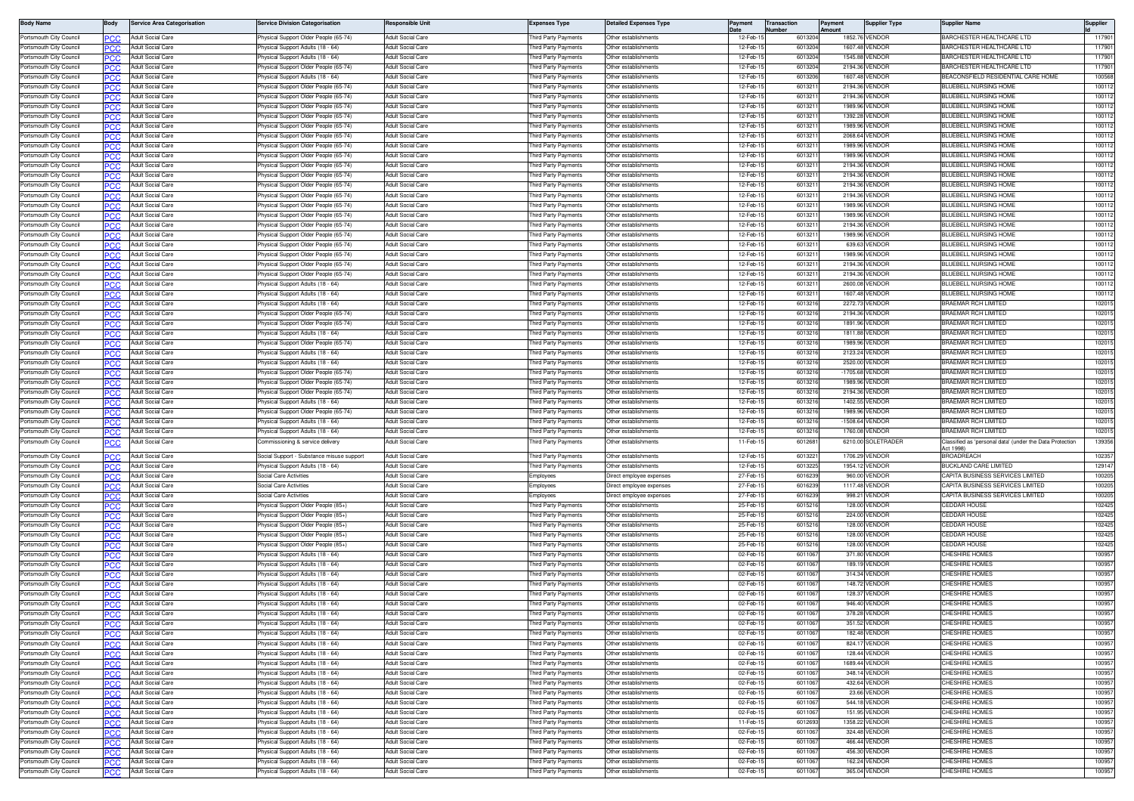| <b>Body Name</b>                                   | Body              | <b>Service Area Categorisation</b>                   | ervice Division Categorisation                                               | <b>lesponsible Unit</b>                              | Expenses Type                              | <b>Detailed Expenses Type</b>                   | Payment              | <b>Transaction</b><br>Number | Payment<br>Amount | <b>Supplier Type</b>             | <b>Supplier Name</b>                                                 | Supplier         |
|----------------------------------------------------|-------------------|------------------------------------------------------|------------------------------------------------------------------------------|------------------------------------------------------|--------------------------------------------|-------------------------------------------------|----------------------|------------------------------|-------------------|----------------------------------|----------------------------------------------------------------------|------------------|
| Portsmouth City Council                            | PCC               | Adult Social Care                                    | hysical Support Older People (65-74)                                         | <b>Adult Social Care</b>                             | hird Party Payments                        | Other establishments                            | 12-Feb-              | 601320                       | 1852.7            | VENDOR                           | BARCHESTER HEALTHCARE LTD                                            | 117901           |
| Portsmouth City Council                            | PCC               | Adult Social Care                                    | hysical Support Adults (18 - 64)                                             | <b>Adult Social Care</b>                             | hird Party Payments                        | Other establishments                            | 12-Feb-              | 601320                       | 1607.48           | VENDOR                           | BARCHESTER HEALTHCARE LTD                                            | 117901           |
| Portsmouth City Council                            |                   | <b>Adult Social Care</b>                             | hysical Support Adults (18 - 64)                                             | <b>Adult Social Care</b>                             | hird Party Payments                        | Other establishments                            | 12-Feb-              | 601320                       | 1545.8            | <b>/ENDOF</b>                    | <b>BARCHESTER HEALTHCARE LTD</b>                                     | 11790            |
| Portsmouth City Council                            | PCC               | <b>Adult Social Care</b>                             | hysical Support Older People (65-74)                                         | Adult Social Care                                    | hird Party Payments                        | Other establishments                            | 12-Feb-              | 601320                       | 2194.36           | VENDOF                           | <b>BARCHESTER HEALTHCARE LTD</b>                                     | 117901           |
| Portsmouth City Council                            | PCC               | <b>Adult Social Care</b><br>Adult Social Care        | hysical Support Adults (18 - 64)<br>hysical Support Older People (65-74      | <b>Adult Social Care</b><br>Adult Social Care        | hird Party Payments<br>hird Party Payments | Other establishments<br>ther establishments     | 12-Feb-<br>12-Feb-   | 601320<br>60132              | 1607.48           | VENDOR<br>2194.36 VENDOR         | BEACONSFIELD RESIDENTIAL CARE HOME<br>BLUEBELL NURSING HOME          | 100568<br>10011  |
| Portsmouth City Council<br>Portsmouth City Council | ∍сс<br><b>PCC</b> | Adult Social Care                                    | hvsical Support Older People (65-74)                                         | <b>Adult Social Care</b>                             | hird Party Payments                        | Other establishments                            | 12-Feb-              | 60132                        |                   | 2194.36 VENDOR                   | BLUEBELL NURSING HOME                                                | 100112           |
| Portsmouth City Council                            |                   | Adult Social Care                                    | hysical Support Older People (65-74)                                         | <b>Adult Social Care</b>                             | hird Party Payments                        | Other establishments                            | 12-Feb-              | 60132                        |                   | 1989.96 VENDOR                   | <b>BLUEBELL NURSING HOME</b>                                         | 10011            |
| Portsmouth City Council                            | PCC               | Adult Social Care                                    | hysical Support Older People (65-74)                                         | <b>Adult Social Care</b>                             | hird Party Payments                        | Other establishments                            | 12-Feb-1             | 60132                        | 1392.28           | VENDOR                           | <b>BLUEBELL NURSING HOME</b>                                         | 10011            |
| Portsmouth City Council                            |                   | Adult Social Care                                    | hysical Support Older People (65-74)                                         | <b>Adult Social Care</b>                             | hird Party Payments                        | Other establishments                            | 12-Feb-1             | 601321                       |                   | 1989.96 VENDOR                   | BLUEBELL NURSING HOME                                                | 100112           |
| Portsmouth City Council                            | ∍сс               | Adult Social Care                                    | hysical Support Older People (65-74)                                         | <b>Adult Social Care</b>                             | hird Party Payments                        | Other establishments                            | 12-Feb-1             | 60132                        |                   | 2068.64 VENDOR                   | <b>ILUEBELL NURSING HOME</b>                                         | 100112           |
| Portsmouth City Council                            |                   | Adult Social Care                                    | hysical Support Older People (65-74)                                         | <b>Adult Social Care</b>                             | hird Party Payments                        | Other establishments                            | 12-Feb-              | 60132                        | 1989.9            | <b>ENDOR</b>                     | BLUEBELL NURSING HOME                                                | 100112           |
| Portsmouth City Council                            | РСС               | <b>Adult Social Care</b>                             | hysical Support Older People (65-74)                                         | Adult Social Care                                    | hird Party Payments                        | Other establishments                            | 12-Feb-              | 60132                        | 1989.96           | VENDOR                           | BLUEBELL NURSING HOME                                                | 10011            |
| Portsmouth City Council                            | <b>PCC</b>        | Adult Social Care                                    | hvsical Support Older People (65-74)                                         | <b>Adult Social Care</b>                             | hird Party Payments                        | Other establishments                            | 12-Feb-1             | 601321                       |                   | 2194.36 VENDOR                   | BLUEBELL NURSING HOME                                                | 100112           |
| Portsmouth City Council                            | PCC               | Adult Social Care                                    | hysical Support Older People (65-74                                          | <b>Adult Social Care</b>                             | hird Party Payments                        | ther establishments                             | 12-Feb-1             | 60132                        |                   | 2194.36 VENDOR                   | BLUEBELL NURSING HOME                                                | 100112           |
| Portsmouth City Council                            | <b>PCC</b>        | <b>Adult Social Care</b>                             | hysical Support Older People (65-74)                                         | <b>Adult Social Care</b>                             | hird Party Payments                        | Other establishments                            | 12-Feb-1             | 60132                        |                   | 2194.36 VENDOF<br>2194.36 VENDOE | BLUEBELL NURSING HOME                                                | 10011            |
| Portsmouth City Council<br>Portsmouth City Council | PCC               | Adult Social Care<br>Adult Social Care               | hysical Support Older People (65-74)<br>hysical Support Older People (65-74) | <b>Adult Social Care</b><br><b>Adult Social Care</b> | hird Party Payments<br>hird Party Payments | Other establishments<br>Other establishments    | 12-Feb-<br>12-Feb-1  | 60132<br>601321              |                   | 1989.96 VENDOF                   | <b>BLUEBELL NURSING HOME</b><br>BLUEBELL NURSING HOME                | 10011<br>10011   |
| Portsmouth City Council                            | PCC<br>٥С         | Adult Social Care                                    | hysical Support Older People (65-74)                                         | <b>Adult Social Care</b>                             | hird Party Payments                        | Other establishments                            | 12-Feb-1             | 60132                        |                   | 1989.96 VENDOF                   | BLUEBELL NURSING HOME                                                | 100112           |
| Portsmouth City Council                            | ∍сс               | Adult Social Care                                    | hysical Support Older People (65-74)                                         | Adult Social Care                                    | hird Party Payments                        | Other establishments                            | 12-Feb-1             | 601321                       |                   | 2194.36 VENDOR                   | BLUEBELL NURSING HOME                                                | 100112           |
| Portsmouth City Council                            |                   | Adult Social Care                                    | hysical Support Older People (65-74)                                         | <b>Adult Social Care</b>                             | hird Party Payments                        | Other establishments                            | 12-Feb-              | 60132                        | 1989.96           | VENDOF                           | BLUEBELL NURSING HOME                                                | 100112           |
| Portsmouth City Council                            | PСC               | Adult Social Care                                    | hysical Support Older People (65-74)                                         | Adult Social Care                                    | hird Party Payments                        | ther establishments                             | 12-Feb-1             | 601321                       |                   | 639.63 VENDOR                    | BLUEBELL NURSING HOME                                                | 10011            |
| Portsmouth City Council                            | <b>PCC</b>        | Adult Social Care                                    | hysical Support Older People (65-74                                          | <b>Adult Social Care</b>                             | hird Party Payments                        | Other establishments                            | 12-Feb-1             | 601321                       |                   | 1989.96 VENDOR                   | BLUEBELL NURSING HOME                                                | 10011            |
| Portsmouth City Council                            | PСC               | Adult Social Care                                    | hysical Support Older People (65-74)                                         | Adult Social Care                                    | hird Party Payments                        | Other establishments                            | 12-Feb-1             | 60132                        |                   | 2194.36 VENDOR                   | BLUEBELL NURSING HOME                                                | 100112           |
| Portsmouth City Council                            | PCC               | <b>Adult Social Care</b>                             | hysical Support Older People (65-74)                                         | Adult Social Care                                    | hird Party Payments                        | Other establishments                            | 12-Feb-              | 60132                        |                   | 2194.36 VENDOR                   | BLUEBELL NURSING HOME                                                | 100112           |
| Portsmouth City Council                            |                   | Adult Social Care                                    | hysical Support Adults (18 - 64)                                             | Adult Social Care                                    | hird Party Payments                        | Other establishments                            | 12-Feb-              | 601321                       | 2600.0            | VENDOR                           | BLUEBELL NURSING HOME                                                | 10011            |
| Portsmouth City Council                            | PCC               | <b>Adult Social Care</b>                             | hysical Support Adults (18 - 64)                                             | <b>Adult Social Care</b>                             | hird Party Payments                        | Other establishments                            | 12-Feb-              | 60132                        |                   | 1607.48 VENDOR                   | BLUEBELL NURSING HOME                                                | 100112           |
| Portsmouth City Council                            | PСC               | <b>Adult Social Care</b>                             | hysical Support Adults (18 - 64)                                             | <b>Adult Social Care</b>                             | hird Party Payments                        | Other establishments                            | 12-Feb-1             | 601321                       | 2272.7            | VENDOR                           | <b>BRAEMAR RCH LIMITED</b>                                           | 102015           |
| Portsmouth City Council                            | ∍сс               | Adult Social Care                                    | hysical Support Older People (65-74)                                         | Adult Social Care                                    | hird Party Payments                        | Other establishments                            | 12-Feb-1             | 601321                       |                   | 2194.36 VENDOR                   | RAEMAR RCH LIMITED<br><b>BRAEMAR RCH LIMITED</b>                     | 102015           |
| Portsmouth City Council<br>Portsmouth City Council | PCC               | Adult Social Care<br>Adult Social Care               | hysical Support Older People (65-74)<br>hysical Support Adults (18 - 64      | Adult Social Care<br>Adult Social Care               | hird Party Payments<br>hird Party Payments | Other establishments<br>ther establishments     | 12-Feb-<br>12-Feb-   | 60132<br>60132               | 1891.96<br>1811.8 | VENDOR<br>VENDOF                 | <b>BRAEMAR RCH LIMITED</b>                                           | 10201<br>10201   |
| Portsmouth City Council                            | ∍cr<br><b>PCC</b> | Adult Social Care                                    | hysical Support Older People (65-74)                                         | <b>Adult Social Care</b>                             | hird Party Payments                        | Other establishments                            | 12-Feb-1             | 601321                       |                   | 1989.96 VENDOR                   | BRAEMAR RCH LIMITED                                                  | 102015           |
| Portsmouth City Council                            | PCC               | <b>Adult Social Care</b>                             | hysical Support Adults (18 - 64)                                             | Adult Social Care                                    | hird Party Payments                        | Other establishments                            | 12-Feb-              | 60132                        |                   | 2123.24 VENDOF                   | BRAEMAR RCH LIMITED                                                  | 102015           |
| Portsmouth City Council                            | PCC               | <b>Adult Social Care</b>                             | hysical Support Adults (18 - 64)                                             | Adult Social Care                                    | hird Party Payments                        | Other establishments                            | 12-Feb-1             | 60132                        |                   | 2520.00 VENDOR                   | BRAEMAR RCH LIMITED                                                  | 102015           |
| Portsmouth City Council                            |                   | <b>Adult Social Care</b>                             | hysical Support Older People (65-74)                                         | <b>Adult Social Care</b>                             | hird Party Payments                        | Other establishments                            | 12-Feb-              | 601321                       |                   | -1705.68 VENDOR                  | <b>BRAEMAR RCH LIMITED</b>                                           | 102015           |
| Portsmouth City Council                            | PCC               | <b>Adult Social Care</b>                             | hvsical Support Older People (65-74)                                         | <b>Adult Social Care</b>                             | hird Party Payments                        | Other establishments                            | 12-Feb-              | 601321                       |                   | 1989.96 VENDOR                   | <b>BRAEMAR RCH LIMITED</b>                                           | 102015           |
| Portsmouth City Council                            | PСC               | <b>Adult Social Care</b>                             | hysical Support Older People (65-74)                                         | Adult Social Care                                    | hird Party Payments                        | Other establishments                            | 12-Feb-              | 601321                       | 2194.36           | VENDOF                           | <b>BRAEMAR RCH LIMITED</b>                                           | 102015           |
| Portsmouth City Council                            | PCC               | Adult Social Care                                    | hysical Support Adults (18 - 64)                                             | Adult Social Care                                    | hird Party Payments                        | Other establishments                            | 12-Feb-1             | 601321                       |                   | 1402.55 VENDOR                   | <b>RAEMAR RCH LIMITED</b>                                            | 102015           |
| Portsmouth City Council                            | PCC               | Adult Social Care                                    | hysical Support Older People (65-74                                          | <b>Adult Social Care</b>                             | hird Party Payments                        | Other establishments                            | 12-Feb-              | 601321                       |                   | 1989.96 VENDOR                   | <b>BRAEMAR RCH LIMITED</b>                                           | 102015           |
| Portsmouth City Council                            | ጋር ጋር             | Adult Social Care                                    | hysical Support Adults (18 - 64)                                             | Adult Social Care                                    | hird Party Payments                        | ther establishments                             | 12-Feb-              | 60132                        |                   | -1508.64 VENDOR                  | <b>RAEMAR RCH LIMITED</b>                                            | 10201            |
| Portsmouth City Council<br>Portsmouth City Council | <b>PCC</b>        | <b>Adult Social Care</b>                             | hysical Support Adults (18 - 64)                                             | Adult Social Care                                    | hird Party Payments                        | Other establishments<br>Other establishments    | 12-Feb-<br>11-Feb-1  | 60132                        |                   | 1760.08 VENDOR                   | <b>BRAEMAR RCH LIMITED</b>                                           | 102015<br>139356 |
|                                                    | ∍сс               | Adult Social Care                                    | ommissioning & service delivery                                              | Adult Social Care                                    | hird Party Payments                        |                                                 |                      | 601268                       |                   | 6210.00 SOLETRADER               | lassified as 'personal data' (under the Data Protection<br>Act 1998) |                  |
| Portsmouth City Council                            | PCC.              | Adult Social Care                                    | ocial Support - Substance misuse support                                     | Adult Social Care                                    | hird Party Payments                        | Other establishments                            | 12-Feb-              | 601322                       |                   | 1706.29 VENDOR                   | BROADREACH                                                           | 102357           |
| Portsmouth City Council                            | <b>PCC</b>        | <b>Adult Social Care</b>                             | hysical Support Adults (18 - 64)                                             | <b>Adult Social Care</b>                             | hird Party Payments                        | Other establishments                            | 12-Feb-1             | 601322                       |                   | 1954.12 VENDOR                   | <b>BUCKLAND CARE LIMITED</b>                                         | 129147           |
| Portsmouth City Council                            | PCC               | <b>Adult Social Care</b>                             | Social Care Activities                                                       | Adult Social Care                                    | Employees                                  | Direct employee expenses                        | 27-Feb-1             | 601623                       |                   | 960.00 VENDOF                    | CAPITA BUSINESS SERVICES LIMITED                                     | 100205           |
| Portsmouth City Council<br>Portsmouth City Council |                   | <b>Adult Social Care</b><br><b>Adult Social Care</b> | ocial Care Activities<br>Social Care Activities                              | <b>Adult Social Care</b><br><b>Adult Social Care</b> | mployees                                   | )irect employee expenses                        | 27-Feb-1<br>27-Feb-  | 601623<br>601623             | 998.21            | 1117.48 VENDOF<br>VENDOR         | CAPITA BUSINESS SERVICES LIMITED<br>CAPITA BUSINESS SERVICES LIMITED | 100205<br>100205 |
| Portsmouth City Council                            | PCC               | dult Social Care                                     | hysical Support Older People (85+)                                           | Adult Social Care                                    | mplovees<br>hird Party Payments            | irect employee expenses<br>Other establishments | 25-Feb-              | 601521                       |                   | 128.00 VENDOR                    | CEDDAR HOUSE                                                         | 102425           |
| Portsmouth City Council                            | PCC               | Adult Social Care                                    | hysical Support Older People (85+)                                           | Adult Social Care                                    | hird Party Payments                        | Other establishments                            | 25-Feb-1             | 601521                       |                   | 224.00 VENDOR                    | <b>EDDAR HOUSE</b>                                                   | 102425           |
| Portsmouth City Council                            | <b>PCC</b>        | Adult Social Care                                    | hysical Support Older People (85+)                                           | <b>Adult Social Care</b>                             | hird Party Payments                        | Other establishments                            | 25-Feb-              | 601521                       |                   | 128.00 VENDOR                    | CEDDAR HOUSE                                                         | 102425           |
| Portsmouth City Council                            | PCC               | Adult Social Care                                    | hysical Support Older People (85+)                                           | Adult Social Care                                    | hird Party Payments                        | ther establishments                             | 25-Feb-              | 601521                       |                   | 128.00 VENDOR                    | CEDDAR HOUSE                                                         | 102425           |
| Portsmouth City Council                            | <b>PCC</b>        | <b>Adult Social Care</b>                             | hysical Support Older People (85+)                                           | Adult Social Care                                    | hird Party Payments                        | Other establishments                            | 25-Feb-              | 60152                        |                   | 128,00 VENDOR                    | CEDDAR HOUSE                                                         | 102425           |
| Portsmouth City Council                            | ∍сс               | Adult Social Care                                    | hysical Support Adults (18 - 64)                                             | Adult Social Care                                    | hird Party Payments                        | Other establishments                            | 02-Feb-              | 601106                       |                   | 371.80 VENDOF                    | <b>CHESHIRE HOMES</b>                                                | 100957           |
| Portsmouth City Council                            | PCC               | Adult Social Care                                    | hysical Support Adults (18 - 64)                                             | <b>Adult Social Care</b>                             | hird Party Payments                        | Other establishments                            | 02-Feb-1             | 601106                       |                   | 189.19 VENDOR                    | <b>CHESHIRE HOMES</b>                                                | 100957           |
| Portsmouth City Council                            |                   | <b>Adult Social Care</b>                             | hysical Support Adults (18 - 64)                                             | <b>Adult Social Care</b>                             | hird Party Payments                        | Other establishments                            | 02-Feb-1             | 601106                       |                   | 314.34 VENDOR                    | <b>CHESHIRE HOMES</b>                                                | 100957           |
| Portsmouth City Council                            | PCC               | <b>Adult Social Care</b>                             | hysical Support Adults (18 - 64)                                             | <b>Adult Social Care</b>                             | hird Party Payments                        | Other establishments                            | 02-Feb-1             | 601106                       |                   | 148,72 VENDOR                    | CHESHIRE HOMES                                                       | 100957           |
| Portsmouth City Council                            | PСC               | Adult Social Care<br><b>Adult Social Care</b>        | hysical Support Adults (18 - 64)                                             | Adult Social Care<br>dult Social Care                | hird Party Payments                        | Other establishments<br>Other establishments    | 02-Feb-<br>02-Feb-   | 601106<br>601106             | 128.37            | VENDOR<br>946.40 VENDOF          | <b>CHESHIRE HOMES</b><br>CHESHIRE HOMES                              | 10095<br>100957  |
| Portsmouth City Council<br>Portsmouth City Council | ∍сс               | Adult Social Care                                    | hysical Support Adults (18 - 64)<br>hysical Support Adults (18 - 64)         | <b>Adult Social Care</b>                             | hird Party Payments<br>hird Party Payments | Other establishments                            | 02-Feb-              | 601106                       | 378.28            | <b>ENDOR</b>                     | CHESHIRE HOMES                                                       | 100957           |
| <b>JITSIHOULH CILY COUNCI</b>                      | <b>PCC</b>        | Adult Social Care                                    | riysical Support Adults (16 - 64)                                            | uull Sucial Care                                     | nro Party Payments                         | ner establishments.                             | UZ-LAD-              | <b>POTT00</b>                | 351.52            | VENDOF                           | лсэпіне помез                                                        | 10095            |
| Portsmouth City Council                            | <b>PCC</b>        | <b>Adult Social Care</b>                             | hysical Support Adults (18 - 64)                                             | Adult Social Care                                    | hird Party Payments                        | Other establishments                            | 02-Feb-15            | 6011067                      |                   | 182.48 VENDOR                    | CHESHIRE HOMES                                                       | 100957           |
| Portsmouth City Council                            | PCC               | Adult Social Care                                    | hysical Support Adults (18 - 64)                                             | Adult Social Care                                    | Third Party Payments                       | Other establishments                            | 02-Feb-1             | 6011067                      |                   | 824.17 VENDOR                    | <b>CHESHIRE HOMES</b>                                                | 100957           |
| Portsmouth City Council                            | <b>PCC</b>        | Adult Social Care                                    | hysical Support Adults (18 - 64)                                             | <b>Adult Social Care</b>                             | hird Party Payments                        | Other establishments                            | 02-Feb-1             | 6011067                      |                   | 128.44 VENDOR                    | CHESHIRE HOMES                                                       | 100957           |
| Portsmouth City Council                            |                   | Adult Social Care                                    | hysical Support Adults (18 - 64)                                             | <b>Adult Social Care</b>                             | hird Party Payments                        | Other establishments                            | 02-Feb-1             | 6011067                      |                   | 1689.44 VENDOR                   | CHESHIRE HOMES                                                       | 100957           |
| Portsmouth City Council                            | PCC               | Adult Social Care                                    | hysical Support Adults (18 - 64)                                             | Adult Social Care                                    | hird Party Payments                        | Other establishments                            | 02-Feb-1             | 601106                       |                   | 348.14 VENDOR                    | CHESHIRE HOMES                                                       | 100957           |
| Portsmouth City Council                            | <b>PCC</b>        | Adult Social Care                                    | hysical Support Adults (18 - 64)                                             | Adult Social Care                                    | Third Party Payments                       | Other establishments                            | 02-Feb-1             | 601106                       |                   | 432.64 VENDOR                    | CHESHIRE HOMES                                                       | 100957           |
| Portsmouth City Council                            | PCC               | Adult Social Care                                    | hysical Support Adults (18 - 64)                                             | Adult Social Care                                    | hird Party Payments                        | ther establishments                             | 02-Feb-              | 601106                       |                   | 23.66 VENDOR                     | CHESHIRE HOMES                                                       | 100957           |
| Portsmouth City Council                            | PCC.              | Adult Social Care                                    | hysical Support Adults (18 - 64)                                             | Adult Social Care                                    | hird Party Payments                        | Other establishments                            | 02-Feb-1             | 601106                       |                   | 544.18 VENDOR                    | CHESHIRE HOMES<br><b>CHESHIRE HOMES</b>                              | 100957           |
| Portsmouth City Council<br>Portsmouth City Council | PCC               | Adult Social Care<br>Adult Social Care               | hysical Support Adults (18 - 64)                                             | Adult Social Care<br>Adult Social Care               | hird Party Payments<br>hird Party Payments | Other establishments<br>Other establishments    | 02-Feb-1<br>11-Feb-1 | 601106<br>601269             |                   | 151.95 VENDOR<br>1358.22 VENDOR  | <b>CHESHIRE HOMES</b>                                                | 100957<br>100957 |
| Portsmouth City Council                            | <b>PCC</b><br>PCC | Adult Social Care                                    | hysical Support Adults (18 - 64)<br>hysical Support Adults (18 - 64)         | Adult Social Care                                    | Third Party Payments                       | Other establishments                            | 02-Feb-1             | 6011067                      |                   | 324.48 VENDOR                    | <b>CHESHIRE HOMES</b>                                                | 100957           |
| Portsmouth City Council                            | PCC               | <b>Adult Social Care</b>                             | hysical Support Adults (18 - 64)                                             | <b>Adult Social Care</b>                             | hird Party Payments                        | Other establishments                            | 02-Feb-1             | 601106                       |                   | 466.44 VENDOR                    | CHESHIRE HOMES                                                       | 100957           |
| Portsmouth City Council                            |                   | Adult Social Care                                    | hysical Support Adults (18 - 64)                                             | Adult Social Care                                    | hird Party Payments                        | Other establishments                            | 02-Feb-              | 601106                       |                   | 456.30 VENDOR                    | CHESHIRE HOMES                                                       | 100957           |
| Portsmouth City Council                            | PCC               | Adult Social Care                                    | hysical Support Adults (18 - 64)                                             | Adult Social Care                                    | hird Party Payments                        | Other establishments                            | 02-Feb-1             | 6011067                      |                   | 162.24 VENDOR                    | CHESHIRE HOMES                                                       | 100957           |
| Portsmouth City Council                            | <b>PCC</b>        | Adult Social Care                                    | hysical Support Adults (18 - 64)                                             | Adult Social Care                                    | hird Party Payments                        | Other establishments                            | 02-Feb-1             | 6011067                      |                   | 365.04 VENDOR                    | CHESHIRE HOMES                                                       | 100957           |
|                                                    |                   |                                                      |                                                                              |                                                      |                                            |                                                 |                      |                              |                   |                                  |                                                                      |                  |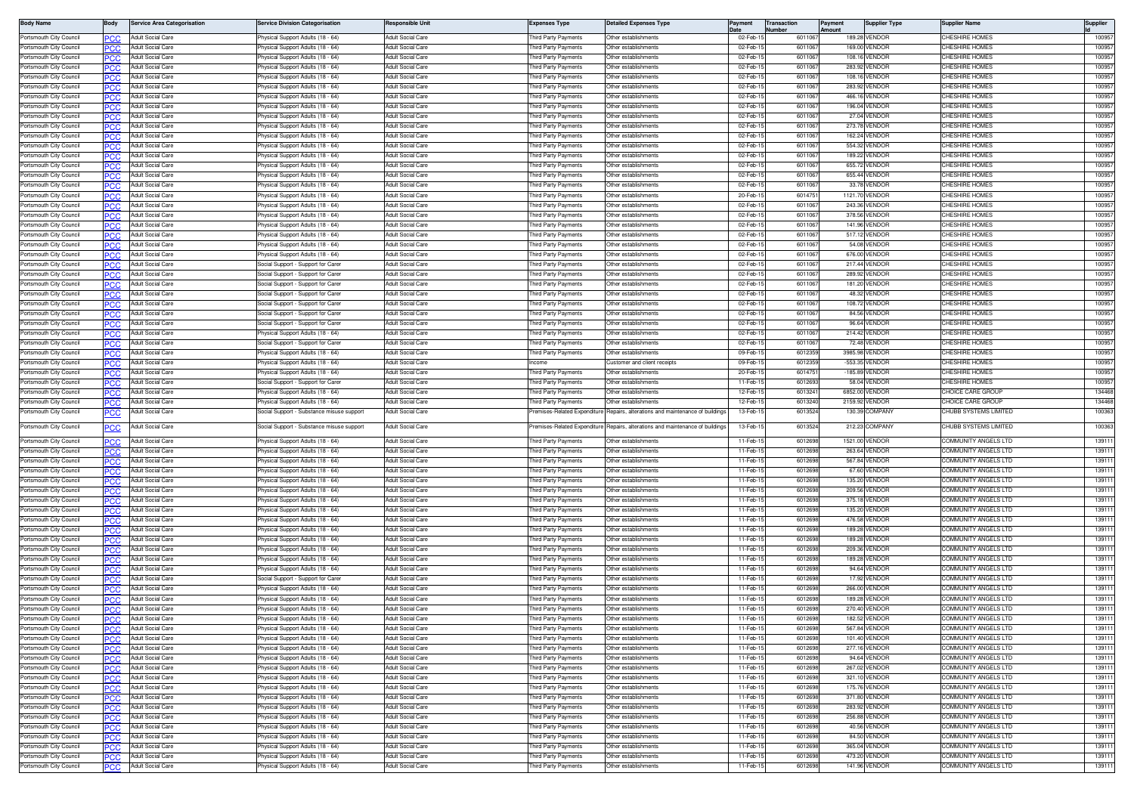|                                                    | Body        | <b>Service Area Categorisation</b>                   | ervice Division Categorisation                                                | esponsible Unit                                      | Expenses Type                                      | <b>Detailed Expenses Type</b>                                            | Pavment              | <b>Transaction</b><br>lumhei | Payment<br>mount | <b>Supplier Type</b>             | Supplier Name                                   | Supplier         |
|----------------------------------------------------|-------------|------------------------------------------------------|-------------------------------------------------------------------------------|------------------------------------------------------|----------------------------------------------------|--------------------------------------------------------------------------|----------------------|------------------------------|------------------|----------------------------------|-------------------------------------------------|------------------|
| Portsmouth City Council                            |             | Adult Social Care                                    | hysical Support Adults (18 - 64)                                              | Adult Social Care                                    | hird Party Payments                                | Other establishments                                                     | 02-Feb-              | 601106                       |                  | 189.28 VENDOR                    | <b>HESHIRE HOMES</b>                            | 10095            |
| Portsmouth City Council                            | PCC         | Adult Social Care                                    | hysical Support Adults (18 - 64)                                              | Adult Social Care                                    | hird Party Payments                                | Other establishments                                                     | 02-Feb-              | 601106                       |                  | 169.00 VENDOR                    | <b>HESHIRE HOMES</b>                            | 100957           |
| Portsmouth City Council                            | PCC         | <b>Adult Social Care</b>                             | hysical Support Adults (18 - 64)                                              | <b>Adult Social Care</b>                             | hird Party Payments                                | Other establishments                                                     | 02-Feb-              | 601106                       |                  | 108.16 VENDOR                    | <b>HESHIRE HOMES</b>                            | 10095            |
| Portsmouth City Counci                             |             | Adult Social Care                                    | hysical Support Adults (18 - 64)                                              | Adult Social Care                                    | hird Party Payments                                | Other establishments                                                     | 02-Feb               | 601106                       |                  | 283.92 VENDOR                    | <b>HESHIRE HOMES</b>                            | 10095            |
| Portsmouth City Counci<br>Portsmouth City Council  | <b>PCC</b>  | Adult Social Care<br>Adult Social Care               | hysical Support Adults (18 - 64)<br>hysical Support Adults (18 - 64)          | <b>Adult Social Care</b><br><b>Adult Social Care</b> | hird Party Payments<br>hird Party Payments         | Other establishments<br>Other establishments                             | 02-Feb-<br>02-Feb-   | 601106<br>601106             |                  | 108.16 VENDOR<br>283.92 VENDOR   | <b>HESHIRE HOMES</b><br><b>HESHIRE HOMES</b>    | 10095<br>100957  |
| Portsmouth City Council                            | PCC         | Adult Social Care                                    | 'hysical Support Adults (18 - 64)                                             | Adult Social Care                                    | hird Party Payments                                | Other establishments                                                     | 02-Feb-              | 601106                       |                  | 466.16 VENDOR                    | CHESHIRE HOMES                                  | 100957           |
| Portsmouth City Council                            |             | <b>Adult Social Care</b>                             | hysical Support Adults (18 - 64)                                              | <b>Adult Social Care</b>                             | hird Party Payments                                | Other establishments                                                     | 02-Feb-              | 601106                       |                  | 196.04 VENDOR                    | <b>CHESHIRE HOMES</b>                           | 100957           |
| Portsmouth City Council                            | PCC         | <b>Adult Social Care</b>                             | hysical Support Adults (18 - 64)                                              | Adult Social Care                                    | hird Party Payments                                | Other establishments                                                     | 02-Feb-1             | 601106                       |                  | 27.04 VENDOR                     | <b>HESHIRE HOMES</b>                            | 100957           |
| Portsmouth City Council                            |             | Adult Social Care                                    | hysical Support Adults (18 - 64)                                              | <b>Adult Social Care</b>                             | hird Party Payments                                | Other establishments                                                     | 02-Feb-1             | 601106                       |                  | 273.78 VENDOR                    | <b>HESHIRE HOMES</b>                            | 10095            |
| Portsmouth City Council                            | PCC         | Adult Social Care                                    | hysical Support Adults (18 - 64)                                              | dult Social Care                                     | hird Party Payments                                | Other establishments                                                     | 02-Feb-1             | 601106                       |                  | 162.24 VENDOR                    | <b>HESHIRE HOMES</b>                            | 100957           |
| Portsmouth City Council                            | PCC.        | <b>Adult Social Care</b>                             | hysical Support Adults (18 - 64)                                              | <b>Adult Social Care</b>                             | hird Party Payments                                | Other establishments                                                     | 02-Feb-1             | 601106                       |                  | 554.32 VENDOR                    | <b>HESHIRE HOMES</b>                            | 100957           |
| Portsmouth City Counci                             | PCC         | Adult Social Care                                    | hysical Support Adults (18 - 64)                                              | Adult Social Care<br>Adult Social Care               | hird Party Payments                                | Other establishments<br>Other establishments                             | 02-Feb-<br>02-Feb-   | 601106<br>601106             |                  | 189.22 VENDOR<br>655.72 VENDOR   | <b>HESHIRE HOMES</b><br><b>HESHIRE HOMES</b>    | 10095<br>10095   |
| Portsmouth City Council<br>Portsmouth City Council | <b>PCC</b>  | <b>Adult Social Care</b><br><b>Adult Social Care</b> | 'hysical Support Adults (18 - 64)<br>'hysical Support Adults (18 - 64)        | Adult Social Care                                    | hird Party Payments<br>hird Party Payments         | Other establishments                                                     | 02-Feb-              | 601106                       |                  | 655.44 VENDOR                    | <b>HESHIRE HOMES</b>                            | 100957           |
| Portsmouth City Council                            | PCC         | <b>Adult Social Care</b>                             | hysical Support Adults (18 - 64)                                              | <b>Adult Social Care</b>                             | hird Party Payments                                | Other establishments                                                     | 02-Feb-1             | 601106                       |                  | 33.78 VENDOR                     | <b>HESHIRE HOMES</b>                            | 100957           |
| Portsmouth City Council                            |             | <b>Adult Social Care</b>                             | hysical Support Adults (18 - 64)                                              | <b>Adult Social Care</b>                             | hird Party Payments                                | Other establishments                                                     | 20-Feb-1             | 601475                       |                  | 1121.70 VENDOR                   | <b>HESHIRE HOMES</b>                            | 100957           |
| Portsmouth City Council                            | PCC         | Adult Social Care                                    | hysical Support Adults (18 - 64)                                              | Adult Social Care                                    | hird Party Payments                                | Other establishments                                                     | 02-Feb-1             | 601106                       |                  | 243.36 VENDOR                    | <b>HESHIRE HOMES</b>                            | 10095            |
| Portsmouth City Council                            | PCC         | Adult Social Care                                    | hysical Support Adults (18 - 64)                                              | Adult Social Care                                    | hird Party Payments                                | Other establishments                                                     | 02-Feb-1             | 601106                       |                  | 378.56 VENDOR                    | <b>HESHIRE HOMES</b>                            | 10095            |
| Portsmouth City Council                            | PCC         | Adult Social Care                                    | hysical Support Adults (18 - 64)                                              | Adult Social Care                                    | hird Party Payments                                | Other establishments                                                     | 02-Feb-1             | 601106                       |                  | 141.96 VENDOR                    | <b>HESHIRE HOMES</b>                            | 100957           |
| Portsmouth City Council                            | <b>PCC</b>  | Adult Social Care                                    | hysical Support Adults (18 - 64)                                              | <b>Adult Social Care</b>                             | hird Party Payments                                | Other establishments                                                     | 02-Feb-1             | 601106                       |                  | 517.12 VENDOR                    | <b>HESHIRE HOMES</b>                            | 10095            |
| Portsmouth City Council                            | PCC         | Adult Social Care                                    | hysical Support Adults (18 - 64)                                              | Adult Social Care                                    | hird Party Payments                                | Other establishments                                                     | 02-Feb-              | 601106                       |                  | 54.08 VENDOR                     | <b>HESHIRE HOMES</b><br><b>CHESHIRE HOMES</b>   | 100957           |
| Portsmouth City Council<br>Portsmouth City Council | PCC         | <b>Adult Social Care</b><br>Adult Social Care        | 'hysical Support Adults (18 - 64)<br>Social Support - Support for Care        | Adult Social Care<br><b>Adult Social Care</b>        | hird Party Payments<br>hird Party Payments         | Other establishments<br>Other establishments                             | 02-Feb-<br>02-Feb-1  | 601106<br>601106             |                  | 676.00 VENDOR<br>217.44 VENDOR   | <b>HESHIRE HOMES</b>                            | 10095<br>100957  |
| Portsmouth City Council                            | PCC         | <b>Adult Social Care</b>                             | Social Support - Support for Carer                                            | <b>Adult Social Care</b>                             | hird Party Payments                                | Other establishments                                                     | 02-Feb-1             | 601106                       |                  | 289.92 VENDOR                    | <b>HESHIRE HOMES</b>                            | 100957           |
| Portsmouth City Council                            |             | <b>Adult Social Care</b>                             | Social Support - Support for Care                                             | <b>Adult Social Care</b>                             | hird Party Payments                                | Other establishments                                                     | 02-Feb-1             | 601106                       |                  | 181.20 VENDOR                    | <b>HESHIRE HOMES</b>                            | 100957           |
| Portsmouth City Council                            | PCC         | Adult Social Care                                    | Social Support - Support for Carer                                            | Adult Social Care                                    | hird Party Payments                                | Other establishments                                                     | 02-Feb-              | 601106                       |                  | 48.32 VENDOR                     | <b>HESHIRE HOMES</b>                            | 10095            |
| Portsmouth City Council                            | PCC         | <b>Adult Social Care</b>                             | Social Support - Support for Carer                                            | <b>Adult Social Care</b>                             | hird Party Payments                                | Other establishments                                                     | 02-Feb-1             | 601106                       |                  | 108.72 VENDOR                    | <b>HESHIRE HOMES</b>                            | 10095            |
| Portsmouth City Counci                             | PCC         | <b>Adult Social Care</b>                             | ocial Support - Support for Carer                                             | Adult Social Care                                    | hird Party Payments                                | Other establishments                                                     | 02-Feb-              | 601106                       |                  | 84.56 VENDOR                     | <b>HESHIRE HOMES</b>                            | 10095            |
| Portsmouth City Council                            | <b>PCC</b>  | Adult Social Care                                    | locial Support - Support for Carer                                            | <b>Adult Social Care</b>                             | hird Party Payments                                | Other establishments                                                     | 02-Feb-              | 601106                       |                  | 96.64 VENDOR                     | <b>HESHIRE HOMES</b>                            | 10095            |
| Portsmouth City Council                            |             | Adult Social Care                                    | hysical Support Adults (18 - 64)                                              | <b>Adult Social Care</b>                             | hird Party Payments                                | Other establishments                                                     | 02-Feb-              | 601106                       |                  | 214.42 VENDOR                    | <b>HESHIRE HOMES</b>                            | 10095            |
| Portsmouth City Council                            | PCC         | Adult Social Care                                    | Social Support - Support for Carer                                            | <b>Adult Social Care</b>                             | hird Party Payments                                | Other establishments                                                     | 02-Feb-              | 601106                       |                  | 72.48 VENDOR                     | <b>CHESHIRE HOMES</b>                           | 10095            |
| Portsmouth City Council                            |             | Adult Social Care                                    | 'hysical Support Adults (18 - 64)                                             | <b>Adult Social Care</b>                             | hird Party Payments                                | Other establishments                                                     | 09-Feb-              | 601235                       |                  | 3985.98 VENDOR                   | <b>HESHIRE HOMES</b>                            | 100957           |
| Portsmouth City Council                            | PCC         | <b>Adult Social Care</b>                             | hysical Support Adults (18 - 64)                                              | <b>Adult Social Care</b>                             | าcome                                              | Customer and client receipts                                             | 09-Feb-<br>20-Feb-   | 601235<br>601475             |                  | -553.35 VENDOR                   | <b>HESHIRE HOMES</b><br><b>HESHIRE HOMES</b>    | 100957<br>10095  |
| Portsmouth City Council<br>Portsmouth City Council |             | Adult Social Care<br>Adult Social Care               | hysical Support Adults (18 - 64)<br>Social Support - Support for Carer        | Adult Social Care<br>Adult Social Care               | hird Party Payments<br>hird Party Payments         | Other establishments<br>Other establishments                             | 11-Feb-1             | 601269                       |                  | -185.89 VENDOR<br>58.04 VENDOR   | <b>HESHIRE HOMES</b>                            | 10095            |
| Portsmouth City Council                            | PCC<br>PCC. | Adult Social Care                                    | hysical Support Adults (18 - 64)                                              | Adult Social Care                                    | hird Party Payments                                | Other establishments                                                     | 12-Feb-1             | 601324                       |                  | 6852.00 VENDOR                   | HOICE CARE GROUP                                | 134468           |
|                                                    |             |                                                      |                                                                               |                                                      |                                                    |                                                                          |                      |                              |                  |                                  |                                                 |                  |
|                                                    |             |                                                      |                                                                               |                                                      |                                                    |                                                                          |                      |                              |                  |                                  |                                                 |                  |
| Portsmouth City Council<br>Portsmouth City Council | PCC         | Adult Social Care<br>Adult Social Care               | hysical Support Adults (18 - 64)<br>locial Support - Substance misuse support | Adult Social Care<br>Adult Social Care               | hird Party Payments<br>remises-Related Expenditure | Other establishments<br>Repairs, alterations and maintenance of building | 12-Feb-1<br>13-Feb-1 | 601324<br>601352             |                  | 2159.92 VENDOR<br>130.39 COMPANY | <b>HOICE CARE GROUP</b><br>HUBB SYSTEMS LIMITED | 100363           |
|                                                    | РСС         |                                                      |                                                                               |                                                      |                                                    |                                                                          |                      |                              |                  |                                  |                                                 | 134468           |
| Portsmouth City Council                            | <u>PCC</u>  | Adult Social Care                                    | iocial Support - Substance misuse support                                     | Adult Social Care                                    | remises-Related Expenditure                        | Repairs, alterations and maintenance of building                         | 13-Feb-1             | 601352                       |                  | 212.23 COMPANY                   | HUBB SYSTEMS LIMITED                            | 100363           |
| Portsmouth City Council                            | PCC         | Adult Social Care                                    | hysical Support Adults (18 - 64)                                              | Adult Social Care                                    | hird Party Payments                                | Other establishments                                                     | 11-Feb-1             | 601269                       |                  | 1521.00 VENDOR                   | COMMUNITY ANGELS LTD                            | 13911            |
| Portsmouth City Council                            | PCC         | <b>Adult Social Care</b>                             | hysical Support Adults (18 - 64)                                              | Adult Social Care                                    | nird Party Payments                                | Other establishments                                                     | 11-Feb-1             | 601269                       |                  | 263.64 VENDOR                    | OMMUNITY ANGELS LTD                             | 13911            |
| Portsmouth City Council                            | <b>PCC</b>  | Adult Social Care                                    | hysical Support Adults (18 - 64)                                              | <b>Adult Social Care</b>                             | hird Party Payments                                | Other establishments                                                     | 11-Feb-1             | 601269                       |                  | 567.84 VENDOR                    | OMMUNITY ANGELS LTD                             | 13911            |
| Portsmouth City Council                            | PCC         | Adult Social Care                                    | hysical Support Adults (18 - 64)                                              | <b>Adult Social Care</b>                             | hird Party Payments                                | Other establishments                                                     | 11-Feb-1             | 601269                       |                  | 67.60 VENDOR                     | COMMUNITY ANGELS LTD                            | 13911            |
| Portsmouth City Council                            | PCC         | <b>Adult Social Care</b>                             | hysical Support Adults (18 - 64)                                              | Adult Social Care                                    | hird Party Payments                                | Other establishments                                                     | 11-Feb-1<br>11-Feb-1 | 601269                       |                  | 135.20 VENDOR                    | <b>COMMUNITY ANGELS LTD</b>                     | 13911            |
| Portsmouth City Council<br>Portsmouth City Council |             | Adult Social Care<br><b>Adult Social Care</b>        | 'hysical Support Adults (18 - 64)<br>hysical Support Adults (18 - 64)         | <b>Adult Social Care</b><br><b>Adult Social Care</b> | hird Party Payments                                | Other establishments<br>Other establishments                             | 11-Feb-1             | 601269<br>601269             |                  | 209.56 VENDOR<br>375.18 VENDOR   | COMMUNITY ANGELS LTD<br>OMMUNITY ANGELS LTD     | 13911<br>13911   |
| Portsmouth City Council                            | PCC         | <b>Adult Social Care</b>                             | hysical Support Adults (18 - 64)                                              | <b>Adult Social Care</b>                             | hird Party Payments<br>hird Party Payments         | Other establishments                                                     | 11-Feb-              | 601269                       |                  | 135.20 VENDOR                    | OMMUNITY ANGELS LTD                             | 13911            |
| Portsmouth City Council                            | PCC         | Adult Social Care                                    | hysical Support Adults (18 - 64)                                              | Adult Social Care                                    | hird Party Payments                                | Other establishments                                                     | 11-Feb-1             | 601269                       |                  | 476.58 VENDOR                    | OMMUNITY ANGELS LTD                             | 13911            |
| Portsmouth City Council                            | PCC         | <b>Adult Social Care</b>                             | hysical Support Adults (18 - 64)                                              | <b>Adult Social Care</b>                             | hird Party Payments                                | Other establishments                                                     | 11-Feb-1             | 601269                       |                  | 189.28 VENDOR                    | OMMUNITY ANGELS LTD                             | 13911            |
| Portsmouth City Counci                             | PCC         | Adult Social Care                                    | hysical Support Adults (18 - 64)                                              | Adult Social Care                                    | hird Party Payments                                | Other establishments                                                     | $11-Feb-$            | 60126                        |                  | 189.28 VENDOR                    | OMMUNITY ANGELS LTD                             | 13911            |
| Portsmouth City Council                            | <b>PCC</b>  | Adult Social Care                                    | hysical Support Adults (18 - 64)                                              | <b>Adult Social Care</b>                             | hird Party Payments                                | Other establishments                                                     | 11-Feb-1             | 601269                       |                  | 209.36 VENDOR                    | OMMUNITY ANGELS LTD                             | 13911            |
| Portsmouth City Council                            |             | Adult Social Care                                    | hysical Support Adults (18 - 64)                                              | Adult Social Care                                    | hird Party Payments                                | Other establishments                                                     | 11-Feb-              | 601269                       |                  | 189.28 VENDOR                    | COMMUNITY ANGELS LTD                            | 13911            |
| Portsmouth City Council                            | PCC         | <b>Adult Social Care</b>                             | hysical Support Adults (18 - 64)                                              | <b>Adult Social Care</b>                             | hird Party Payments                                | Other establishments                                                     | 11-Feb-1             | 601269                       |                  | 94.64 VENDOR                     | COMMUNITY ANGELS LTD                            | 13911            |
| Portsmouth City Council                            |             | Adult Social Care                                    | Social Support - Support for Carer                                            | <b>Adult Social Care</b>                             | hird Party Payments                                | Other establishments                                                     | 11-Feb-1             | 601269                       |                  | 17.92 VENDOR                     | OMMUNITY ANGELS LTD                             | 13911            |
| Portsmouth City Council                            | PCC         | <b>Adult Social Care</b>                             | hysical Support Adults (18 - 64)                                              | <b>Adult Social Care</b>                             | hird Party Payments                                | Other establishments<br>Other establishments                             | $11-Feb-$<br>11-Feb- | 601269<br>60126              |                  | 266.00 VENDOR                    | OMMUNITY ANGELS LTD<br>OMMUNITY ANGELS LTD      | 13911<br>13911   |
| Portsmouth City Council<br>Portsmouth City Council |             | <b>Adult Social Care</b><br>Adult Social Care        | hysical Support Adults (18 - 64)<br>hysical Support Adults (18 - 64)          | Adult Social Care<br>Adult Social Care               | hird Party Payments<br>hird Party Payments         | Other establishments                                                     | 11-Feb-              | 601269                       |                  | 189.28 VENDOR<br>270.40 VENDOE   | OMMUNITY ANGELS LTD                             | 13911            |
| Portsmouth City Council                            | PCC<br>PCC. | <b>Adult Social Care</b>                             | hysical Support Adults (18 - 64)                                              | Adult Social Care                                    | hird Party Payments                                | Other establishments                                                     | 11-Feb-1             | 601269                       |                  | 182.52 VENDOF                    | OMMUNITY ANGELS LTD                             | 13911            |
| Portsmouth City Counci                             | PCC         | Adult Social Care                                    | hysical Support Adults (18 - 64)                                              | Adult Social Care                                    | hird Party Payments                                | Other establishments                                                     | 11-Feb-1             | 601269                       |                  | 567.84 VENDOR                    | OMMUNITY ANGELS LTD:                            | 13911            |
| Portsmouth City Council                            | <b>PCC</b>  | Adult Social Care                                    | 'hysical Support Adults (18 - 64)                                             | Adult Social Care                                    | hird Party Payments                                | Other establishments                                                     | 11-Feb-1             | 601269                       |                  | 101.40 VENDOR                    | COMMUNITY ANGELS LTD                            | 13911            |
| Portsmouth City Council                            | PCC         | Adult Social Care                                    | hysical Support Adults (18 - 64)                                              | Adult Social Care                                    | hird Party Payments                                | Other establishments                                                     | 11-Feb-1             | 601269                       |                  | 277.16 VENDOR                    | COMMUNITY ANGELS LTD                            | 13911            |
| Portsmouth City Council                            | PCC         | <b>Adult Social Care</b>                             | hysical Support Adults (18 - 64)                                              | Adult Social Care                                    | hird Party Payments                                | Other establishments                                                     | 11-Feb-1             | 601269                       |                  | 94.64 VENDOR                     | OMMUNITY ANGELS LTD                             | 13911            |
| Portsmouth City Council                            | PCC         | <b>Adult Social Care</b>                             | hysical Support Adults (18 - 64)                                              | <b>Adult Social Care</b>                             | hird Party Payments                                | Other establishments                                                     | 11-Feb-1             | 601269                       |                  | 267.02 VENDOR                    | COMMUNITY ANGELS LTD                            | 13911            |
| Portsmouth City Council                            | PCC         | Adult Social Care                                    | hysical Support Adults (18 - 64)                                              | Adult Social Care                                    | hird Party Payments                                | Other establishments                                                     | 11-Feb-1             | 601269                       |                  | 321.10 VENDOR                    | COMMUNITY ANGELS LTD                            | 139111           |
| Portsmouth City Council                            |             | Adult Social Care                                    | hysical Support Adults (18 - 64)                                              | Adult Social Care                                    | hird Party Payments                                | Other establishments                                                     | 11-Feb-1             | 601269                       |                  | 175.76 VENDOR                    | COMMUNITY ANGELS LTD                            | 13911            |
| Portsmouth City Council                            | PCC         | Adult Social Care                                    | hysical Support Adults (18 - 64)                                              | Adult Social Care                                    | hird Party Payments                                | Other establishments                                                     | 11-Feb-1             | 601269                       |                  | 371.80 VENDOR                    | OMMUNITY ANGELS LTD                             | 13911            |
| Portsmouth City Council                            | PCC.        | Adult Social Care                                    | hysical Support Adults (18 - 64)                                              | Adult Social Care                                    | hird Party Payments                                | Other establishments                                                     | 11-Feb-1             | 601269                       |                  | 283.92 VENDOR                    | OMMUNITY ANGELS LTD                             | 13911            |
| Portsmouth City Council<br>Portsmouth City Council | PCC         | Adult Social Care<br>Adult Social Care               | hysical Support Adults (18 - 64)<br>'hysical Support Adults (18 - 64)         | Adult Social Care<br>Adult Social Care               | Third Party Payments<br>hird Party Payments        | Other establishments<br>Other establishments                             | 11-Feb-1<br>11-Feb-1 | 601269<br>601269             |                  | 256.88 VENDOR<br>40.56 VENDOR    | COMMUNITY ANGELS LTD<br>COMMUNITY ANGELS LTD    | 139111<br>139111 |
| Portsmouth City Council                            | PCC         | Adult Social Care                                    | 'hysical Support Adults (18 - 64)                                             | Adult Social Care                                    | hird Party Payments                                | Other establishments                                                     | 11-Feb-1             | 601269                       |                  | 84.50 VENDOR                     | COMMUNITY ANGELS LTD                            | 13911            |
| Portsmouth City Council                            | PCC         | Adult Social Care                                    | hysical Support Adults (18 - 64)                                              | Adult Social Care                                    | hird Party Payments                                | Other establishments                                                     | 11-Feb-1             | 601269                       |                  | 365.04 VENDOR                    | COMMUNITY ANGELS LTD                            | 13911            |
| Portsmouth City Council<br>Portsmouth City Council | PСC         | <b>Adult Social Care</b><br><b>Adult Social Care</b> | hysical Support Adults (18 - 64)<br>hysical Support Adults (18 - 64)          | <b>Adult Social Care</b><br>Adult Social Care        | hird Party Payments<br>hird Party Payments         | Other establishments<br>Other establishments                             | 11-Feb-1<br>11-Feb-1 | 601269<br>601269             |                  | 473.20 VENDOR<br>141.96 VENDOR   | COMMUNITY ANGELS LTD<br>COMMUNITY ANGELS LTD    | 139111<br>139111 |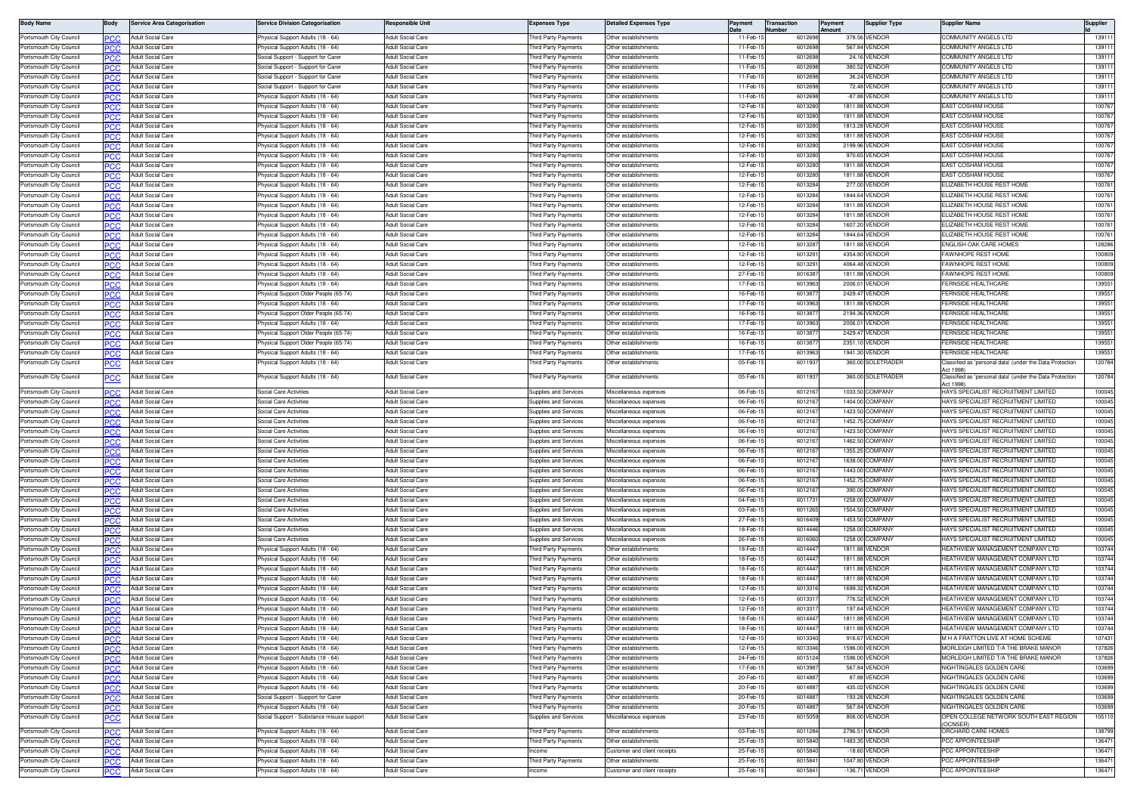| <b>Body Name</b>                                   |                   | <b>Service Area Categorisation</b>            | ervice Division Categorisation                                       | lesponsible Unit                                     | Expenses Type                              | etailed Expenses Type                       | Payment              | <b>Transaction</b><br>lumber | 'ayment<br>nount | <b>Supplier Type</b>             | Supplier Name                                                                | Supplier       |
|----------------------------------------------------|-------------------|-----------------------------------------------|----------------------------------------------------------------------|------------------------------------------------------|--------------------------------------------|---------------------------------------------|----------------------|------------------------------|------------------|----------------------------------|------------------------------------------------------------------------------|----------------|
| Portsmouth City Council                            |                   | Adult Social Care                             | hysical Support Adults (18 - 64)                                     | <b>Adult Social Care</b>                             | hird Party Payments                        | Other establishments                        | 11-Feb-              | 601269                       |                  | 378.56 VENDOF                    | COMMUNITY ANGELS LTD                                                         | 1391           |
| Portsmouth City Council                            | PCC               | <b>Adult Social Care</b>                      | hysical Support Adults (18 - 64)                                     | <b>Adult Social Care</b>                             | hird Party Payments                        | Other establishments                        | $11-Feb-$            | 601269                       |                  | 567.84 VENDOF                    | OMMUNITY ANGELS LTD                                                          | 13911          |
| Portsmouth City Council                            | PCC               | <b>Adult Social Care</b>                      | ocial Support - Support for Care                                     | <b>Adult Social Care</b>                             | hird Party Payments                        | Other establishments                        | 11-Feb-1             | 601269                       |                  | 24.16 VENDOR                     | COMMUNITY ANGELS LTD                                                         | 13911          |
| Portsmouth City Council                            |                   | <b>Adult Social Care</b>                      | ocial Support - Support for Care                                     | Adult Social Care                                    | nird Party Payments                        | ther establishment                          | 11-Feb-              | 60126                        |                  | 380.52 VENDOR                    | COMMUNITY ANGELS LTD                                                         | 13911          |
| Portsmouth City Council                            | <b>PCC</b>        | Adult Social Care                             | ocial Support - Support for Care                                     | <b>Adult Social Care</b>                             | hird Party Payments                        | Other establishments                        | 11-Feb-1             | 60126                        |                  | 36.24 VENDOR                     | COMMUNITY ANGELS LTD                                                         | 13911          |
| Portsmouth City Council                            |                   | Adult Social Care                             | Social Support - Support for Carer                                   | <b>Adult Social Care</b>                             | hird Party Payments                        | Other establishments                        | 11-Feb-              | 601269                       |                  | 72.48 VENDOR                     | COMMUNITY ANGELS LTD                                                         | 13911          |
| Portsmouth City Council                            | PCC               | Adult Social Care                             | hysical Support Adults (18 - 64)                                     | Adult Social Care                                    | hird Party Payments                        | Other establishments                        | 11-Feb-1             | 601269                       |                  | -87.88 VENDOR                    | COMMUNITY ANGELS LTD                                                         | 13911          |
| Portsmouth City Council                            |                   | <b>Adult Social Care</b>                      | hysical Support Adults (18 - 64)                                     | <b>Adult Social Care</b>                             | hird Party Payments                        | Other establishments                        | 12-Feb-              | 601328                       |                  | 1811.88 VENDOR                   | EAST COSHAM HOUSE                                                            | 10076          |
| Portsmouth City Council                            | PCC               | <b>Adult Social Care</b>                      | hysical Support Adults (18 - 64)                                     | <b>Adult Social Care</b>                             | nird Party Payments                        | Other establishments                        | 12-Feb-1             | 601328                       |                  | 1811.88 VENDOR                   | <b>EAST COSHAM HOUSE</b>                                                     | 10076          |
| Portsmouth City Council                            |                   | <b>Adult Social Care</b>                      | hysical Support Adults (18 - 64)                                     | <b>Adult Social Care</b>                             | hird Party Payments                        | Other establishments                        | 12-Feb-1             | 601328                       |                  | 1813.28 VENDOR                   | EAST COSHAM HOUSE                                                            | 10076          |
| Portsmouth City Council<br>Portsmouth City Council | PCC               | Adult Social Care<br><b>Adult Social Care</b> | hysical Support Adults (18 - 64)<br>hysical Support Adults (18 - 64) | <b>Adult Social Care</b><br><b>Adult Social Care</b> | hird Party Payments<br>hird Party Payments | ther establishments<br>Other establishments | 12-Feb-1<br>12-Feb-1 | 601328<br>601328             |                  | 1811.88 VENDOF<br>2199.96 VENDOR | <b>AST COSHAM HOUSE</b><br>EAST COSHAM HOUSE                                 | 10076<br>10076 |
| Portsmouth City Counci                             | PCC.              | <b>Adult Social Care</b>                      | hysical Support Adults (18 - 64)                                     | Adult Social Care                                    | hird Party Payments                        | ther establishments                         | 12-Feb-1             | 601328                       |                  | 970.65 VENDOR                    | EAST COSHAM HOUSE                                                            | 10076          |
| Portsmouth City Council                            | PCC<br><b>PCC</b> | <b>Adult Social Care</b>                      | hysical Support Adults (18 - 64)                                     | Adult Social Care                                    | hird Party Payments                        | Other establishments                        | 12-Feb-1             | 601328                       |                  | 1811.88 VENDOR                   | EAST COSHAM HOUSE                                                            | 10076          |
| Portsmouth City Council                            |                   | <b>Adult Social Care</b>                      | hysical Support Adults (18 - 64)                                     | Adult Social Care                                    | hird Party Payments                        | Other establishments                        | 12-Feb-1             | 601328                       |                  | 1811.88 VENDOR                   | EAST COSHAM HOUSE                                                            | 10076          |
| Portsmouth City Council                            | PCC               | Adult Social Care                             | hysical Support Adults (18 - 64)                                     | <b>Adult Social Care</b>                             | hird Party Payments                        | Other establishments                        | 12-Feb-              | 601328                       |                  | 277.00 VENDOR                    | LIZABETH HOUSE REST HOME                                                     | 10076          |
| Portsmouth City Council                            |                   | <b>Adult Social Care</b>                      | hysical Support Adults (18 - 64)                                     | <b>Adult Social Care</b>                             | hird Party Payments                        | Other establishments                        | 12-Feb-              | 601328                       |                  | 1844.64 VENDOR                   | LIZABETH HOUSE REST HOME                                                     | 10076          |
| Portsmouth City Council                            | PCC               | Adult Social Care                             | hysical Support Adults (18 - 64)                                     | Adult Social Care                                    | hird Party Payments                        | Other establishments                        | 12-Feb-              | 601328                       |                  | 1811.88 VENDOR                   | LIZABETH HOUSE REST HOME                                                     | 10076          |
| Portsmouth City Council                            | PCC               | <b>Adult Social Care</b>                      | hysical Support Adults (18 - 64)                                     | <b>Adult Social Care</b>                             | hird Party Payments                        | Other establishments                        | 12-Feb-              | 601328                       |                  | 1811.88 VENDOF                   | LIZABETH HOUSE REST HOME                                                     | 10076          |
| Portsmouth City Council                            | PCC               | <b>Adult Social Care</b>                      | hysical Support Adults (18 - 64)                                     | <b>Adult Social Care</b>                             | hird Party Payments                        | )ther establishment                         | 12-Feb-              | 601328                       |                  | 1607.20 VENDOF                   | LIZABETH HOUSE REST HOME                                                     | 10076          |
| Portsmouth City Counci                             | PCC               | Adult Social Care                             | hysical Support Adults (18 - 64)                                     | <b>Adult Social Care</b>                             | hird Party Payments                        | Other establishments                        | 12-Feb-1             | 601328                       |                  | 1844.64 VENDOR                   | LIZABETH HOUSE REST HOME                                                     | 10076          |
| Portsmouth City Council                            | PCC               | Adult Social Care                             | hysical Support Adults (18 - 64)                                     | Adult Social Care                                    | hird Party Payments                        | Other establishments                        | 12-Feb-              | 601328                       |                  | 1811.88 VENDOR                   | ENGLISH OAK CARE HOME:                                                       | 12828          |
| Portsmouth City Council                            | PCC               | <b>Adult Social Care</b>                      | hysical Support Adults (18 - 64)                                     | Adult Social Care                                    | hird Party Payments                        | Other establishments                        | 12-Feb-              | 601329                       |                  | 4354.80 VENDOR                   | AWNHOPE REST HOME                                                            | 10080          |
| Portsmouth City Council                            |                   | <b>Adult Social Care</b>                      | hysical Support Adults (18 - 64)                                     | <b>Adult Social Care</b>                             | hird Party Payments                        | Other establishment                         | 12-Feb-1             | 601329                       |                  | 4064.48 VENDOR                   | <b>FAWNHOPE REST HOME</b>                                                    | 10080          |
| Portsmouth City Council                            | PCC               | <b>Adult Social Care</b>                      | hysical Support Adults (18 - 64)                                     | <b>Adult Social Care</b>                             | hird Party Payments                        | Other establishments                        | 27-Feb-1             | 601638                       |                  | 1811.88 VENDOR                   | AWNHOPE REST HOME                                                            | 10080          |
| Portsmouth City Council                            |                   | Adult Social Care                             | hysical Support Adults (18 - 64)                                     | <b>Adult Social Care</b>                             | hird Party Payments                        | Other establishments                        | 17-Feb-              | 601396                       |                  | 2006.01 VENDOR                   | <b>ERNSIDE HEALTHCARE</b>                                                    | 13955          |
| Portsmouth City Council                            | PCC               | Adult Social Care                             | hysical Support Older People (65-74)                                 | Adult Social Care                                    | hird Party Payments                        | Other establishments                        | 16-Feb-              | 601387                       |                  | 2429.47 VENDOR                   | ERNSIDE HEALTHCARE                                                           | 13955          |
| Portsmouth City Council                            | PCC.              | <b>Adult Social Care</b>                      | hysical Support Adults (18 - 64)                                     | <b>Adult Social Care</b>                             | hird Party Payments                        | Other establishments                        | 17-Feb-1             | 601396                       |                  | 1811.88 VENDOF                   | ERNSIDE HEALTHCARE                                                           | 13955          |
| Portsmouth City Council                            | PCC               | <b>Adult Social Care</b>                      | hysical Support Older People (65-74                                  | Adult Social Care                                    | nird Party Payments                        | )ther establishment                         | 16-Feb-              | 601387                       |                  | 2194.36 VENDOF                   | <b>ERNSIDE HEALTHCARE</b>                                                    | 13955          |
| Portsmouth City Council                            | <b>PCC</b>        | Adult Social Care                             | hysical Support Adults (18 - 64)                                     | <b>Adult Social Care</b>                             | hird Party Payments                        | Other establishments                        | 17-Feb-1             | 601396                       |                  | 2006.01 VENDOR                   | <b>ERNSIDE HEALTHCARE</b>                                                    | 13955          |
| Portsmouth City Council                            |                   | Adult Social Care                             | hysical Support Older People (65-74)                                 | Adult Social Care                                    | hird Party Payments                        | Other establishments                        | 16-Feb-              | 60138                        |                  | 2429.47 VENDOF                   | <b>ERNSIDE HEALTHCARE</b>                                                    | 13955          |
| Portsmouth City Council                            | PCC               | Adult Social Care                             | hysical Support Older People (65-74)                                 | Adult Social Care                                    | hird Party Payments                        | Other establishments                        | 16-Feb-1             | 601387                       |                  | 2351.10 VENDOR                   | <b>FRNSIDE HEALTHCARE</b>                                                    | 13955          |
| Portsmouth City Council                            |                   | Adult Social Care                             | hysical Support Adults (18 - 64)                                     | <b>Adult Social Care</b>                             | hird Party Payments                        | Other establishment                         | 17-Feb-              | 601396                       |                  | 1941.30 VENDOR                   | ERNSIDE HEALTHCARE                                                           | 13955          |
| Portsmouth City Council                            | PСC               | Adult Social Care                             | hysical Support Adults (18 - 64)                                     | <b>Adult Social Care</b>                             | hird Party Payments                        | ther establishments                         | 05-Feb-              | 601193                       |                  | 360.00 SOLETRADER                | Classified as 'personal data' (under the Data Protection<br><b>Let 1998)</b> | 12078          |
| Portsmouth City Council                            |                   | Adult Social Care                             | hysical Support Adults (18 - 64)                                     | Adult Social Care                                    | hird Party Payments                        | Other establishments                        | 05-Feb-              | 601193                       |                  | 360.00 SOLETRADER                | Classified as 'personal data' (under the Data Protection<br>Act 1998)        | 120784         |
| Portsmouth City Council                            | <b>PCC</b>        | <b>Adult Social Care</b>                      | ocial Care Activities                                                | Adult Social Care                                    | upplies and Services                       | liscellaneous expenses                      | 06-Feb-              | 601216                       |                  | 1033.50 COMPANY                  | HAYS SPECIALIST RECRUITMENT LIMITED                                          | 10004          |
| Portsmouth City Council                            | PCC               | Adult Social Care                             | ocial Care Activitie                                                 | Adult Social Care                                    | supplies and Services                      | liscellaneous expense                       | 06-Feb-              | 601216                       |                  | 1404.00 COMPANY                  | HAYS SPECIALIST RECRUITMENT LIMITED                                          | 10004          |
| Portsmouth City Council                            | PCC               | Adult Social Care                             | ocial Care Activitie                                                 | Adult Social Care                                    | upplies and Services                       | Viscellaneous expense                       | 06-Feb-              | 601216                       |                  | 1423.50 COMPANY                  | HAYS SPECIALIST RECRUITMENT LIMITED                                          | 10004          |
| Portsmouth City Council                            |                   | Adult Social Care                             | ocial Care Activitie                                                 | <b>Adult Social Care</b>                             | upplies and Services                       | Miscellaneous expense                       | 06-Feb-              | 601216                       |                  | 1452.75 COMPANY                  | HAYS SPECIALIST RECRUITMENT LIMITED                                          | 10004          |
| Portsmouth City Council                            | PCC               | Adult Social Care                             | ocial Care Activitie                                                 | Adult Social Care                                    | upplies and Services                       | liscellaneous expenses                      | 06-Feb-              | 601216                       | 1423.50          | <b>COMPANY</b>                   | HAYS SPECIALIST RECRUITMENT LIMITED                                          | 10004          |
| Portsmouth City Council                            |                   | <b>Adult Social Care</b>                      | Social Care Activitie                                                | <b>Adult Social Care</b>                             | upplies and Services                       | liscellaneous expenses                      | 06-Feb-              | 601216                       |                  | 1462.50 COMPANY                  | HAYS SPECIALIST RECRUITMENT LIMITED                                          | 10004          |
| Portsmouth City Council                            | PCC               | <b>Adult Social Care</b>                      | ocial Care Activitie                                                 | <b>Adult Social Care</b>                             | upplies and Services                       | liscellaneous expense                       | 06-Feb-1             | 601216                       |                  | 1355.25 COMPANY                  | HAYS SPECIALIST RECRUITMENT LIMITED                                          | 10004          |
| Portsmouth City Council                            | <b>PCC</b>        | Adult Social Care                             | ocial Care Activitie                                                 | <b>Adult Social Care</b>                             | upplies and Services                       | Miscellaneous expense                       | 06-Feb-1             | 601216                       |                  | 1638.00 COMPANY                  | HAYS SPECIALIST RECRUITMENT LIMITED                                          | 10004          |
| Portsmouth City Council                            | PCC               | Adult Social Care                             | ocial Care Activities                                                | <b>Adult Social Care</b>                             | upplies and Services                       | Miscellaneous expense                       | 06-Feb-1             | 601216                       |                  | 1443.00 COMPANY                  | HAYS SPECIALIST RECRUITMENT LIMITED                                          | 10004          |
| Portsmouth City Council                            | PCC               | <b>Adult Social Care</b>                      | Social Care Activities                                               | Adult Social Care                                    | upplies and Services                       | Miscellaneous expenses                      | 06-Feb-              | 601216                       |                  | 1452.75 COMPANY                  | HAYS SPECIALIST RECRUITMENT LIMITED                                          | 10004          |
| Portsmouth City Council                            |                   | <b>Adult Social Care</b>                      | Social Care Activitie                                                | <b>Adult Social Care</b>                             | Supplies and Services                      | liscellaneous expense                       | 06-Feb-              | 60121                        |                  | 390.00 COMPANY                   | HAYS SPECIALIST RECRUITMENT LIMITED                                          | 10004          |
| Portsmouth City Council                            | PCC               | <b>Adult Social Care</b>                      | Social Care Activitie                                                | <b>Adult Social Care</b>                             | upplies and Services                       | discellaneous expense                       | 04-Feb-1             | 60117                        |                  | 1258.00 COMPANY                  | HAYS SPECIALIST RECRUITMENT LIMITED                                          | 10004          |
| Portsmouth City Council                            |                   | <b>Adult Social Care</b>                      | Social Care Activitie                                                | <b>Adult Social Care</b>                             | Supplies and Services                      | Viiscellaneous expense                      | 03-Feb-1             | 601126                       |                  | 1504.50 COMPANY                  | HAYS SPECIALIST RECRUITMENT LIMITED                                          | 10004          |
| Portsmouth City Council                            | PCC               | Adult Social Care                             | ocial Care Activities                                                | Adult Social Care                                    | upplies and Services                       | Miscellaneous expenses                      | 27-Feb-1             | 601640                       | 1453.50          | <b>COMPANY</b>                   | HAYS SPECIALIST RECRUITMENT LIMITED                                          | 10004          |
| Portsmouth City Council                            | PCC               | <b>Adult Social Care</b>                      | Social Care Activitie                                                | <b>Adult Social Care</b>                             | upplies and Services                       | Aiscellaneous expenses                      | 18-Feb-1             | 601444                       |                  | 1258.00 COMPANY                  | HAYS SPECIALIST RECRUITMENT LIMITED                                          | 10004          |
| Portsmouth City Council                            | PCC               | Adult Social Care                             | ocial Care Activitie                                                 | Adult Social Care                                    | upplies and Services                       | Miscellaneous expense                       | 26-Feb-              | 601606                       |                  | 1258.00 COMPANY                  | HAYS SPECIALIST RECRUITMENT LIMITED                                          | 10004          |
| Portsmouth City Council<br>Portsmouth City Council | <b>PCC</b>        | Adult Social Care<br>Adult Social Care        | hysical Support Adults (18 - 64)<br>hysical Support Adults (18 - 64) | <b>Adult Social Care</b><br>Adult Social Care        | hird Party Payments<br>hird Party Payments | Other establishments<br>ther establishments | 18-Feb-1<br>18-Feb-  | 601444<br>601444             |                  | 1811.88 VENDOR<br>1811.88 VENDOR | HEATHVIEW MANAGEMENT COMPANY LTD<br>HEATHVIEW MANAGEMENT COMPANY LTD         | 10374<br>10374 |
| Portsmouth City Council                            | PCC               | Adult Social Care                             | hysical Support Adults (18 - 64)                                     | Adult Social Care                                    | hird Party Payments                        | Other establishments                        | 18-Feb-              | 601444                       |                  | 1811.88 VENDOR                   | <b>HEATHVIEW MANAGEMENT COMPANY LTD</b>                                      | 10374          |
| Portsmouth City Council                            | PCC               | <b>Adult Social Care</b>                      | hysical Support Adults (18 - 64)                                     | <b>Adult Social Care</b>                             | hird Party Payments                        | Other establishment                         | 18-Feb-              | 601444                       |                  | 1811.88 VENDOF                   | <b>HEATHVIEW MANAGEMENT COMPANY LTD</b>                                      | 10374          |
| Portsmouth City Council                            | PCC               | <b>Adult Social Care</b>                      | hysical Support Adults (18 - 64)                                     | Adult Social Care                                    | hird Party Payments                        | Other establishments                        | 12-Feb-1             | 60133                        |                  | 1699.32 VENDOR                   | <b>HEATHVIEW MANAGEMENT COMPANY LTD</b>                                      | 103744         |
| Portsmouth City Council                            |                   | <b>Adult Social Care</b>                      | hysical Support Adults (18 - 64)                                     | <b>Adult Social Care</b>                             | hird Party Payments                        | ther establishments                         | 12-Feb               | 60133                        |                  | 776.52 VENDOE                    | <b>HEATHVIEW MANAGEMENT COMPANY LTD</b>                                      | 10374          |
| Portsmouth City Council                            | PCC               | Adult Social Care                             | hysical Support Adults (18 - 64)                                     | <b>Adult Social Care</b>                             | hird Party Payments                        | Other establishments                        | 12-Feb-              | 60133                        |                  | 197.64 VENDOE                    | <b>HEATHVIEW MANAGEMENT COMPANY LTD</b>                                      | 10374          |
| Portsmouth City Council                            | PCC.              | <b>Adult Social Care</b>                      | hysical Support Adults (18 - 64)                                     | <b>Adult Social Care</b>                             | hird Party Payments                        | Other establishments                        | 18-Feb-1             | 601444                       |                  | 1811.88 VENDOR                   | <b>HEATHVIEW MANAGEMENT COMPANY LTD</b>                                      | 103744         |
| Portsmouth City Council                            | PCC               | <b>Adult Social Care</b>                      | hysical Support Adults (18 - 64)                                     | Adult Social Care                                    | hird Party Payments                        | ther establishments                         | 18-Feb-1             | 601444                       |                  | 1811.88 VENDOR                   | HEATHVIEW MANAGEMENT COMPANY LTD                                             | 103744         |
| Portsmouth City Council                            | <b>PCC</b>        | Adult Social Care                             | hysical Support Adults (18 - 64)                                     | Adult Social Care                                    | hird Party Payments                        | Other establishments                        | 12-Feb-1             | 601334                       |                  | 916.67 VENDOR                    | M H A FRATTON LIVE AT HOME SCHEME                                            | 10743          |
| Portsmouth City Council                            | PCC               | Adult Social Care                             | hysical Support Adults (18 - 64)                                     | Adult Social Care                                    | hird Party Payments                        | Other establishments                        | 12-Feb-1             | 601334                       |                  | 1596.00 VENDOR                   | MORLEIGH LIMITED T/A THE BRAKE MANOF                                         | 13782          |
| Portsmouth City Council                            | PCC               | <b>Adult Social Care</b>                      | hysical Support Adults (18 - 64)                                     | <b>Adult Social Care</b>                             | hird Party Payments                        | Other establishments                        | 24-Feb-1             | 601512                       |                  | 1596.00 VENDOR                   | <b>JORLEIGH LIMITED T/A THE BRAKE MANOR</b>                                  | 13782          |
| Portsmouth City Council                            | PСC               | <b>Adult Social Care</b>                      | hysical Support Adults (18 - 64)                                     | <b>Adult Social Care</b>                             | hird Party Payments                        | Other establishments                        | 17-Feb-1             | 601398                       |                  | 567.84 VENDOR                    | NIGHTINGALES GOLDEN CARE                                                     | 103699         |
| Portsmouth City Council                            | PCC               | <b>Adult Social Care</b>                      | hysical Support Adults (18 - 64)                                     | <b>Adult Social Care</b>                             | hird Party Payments                        | Other establishments                        | 20-Feb-1             | 601488                       |                  | 87.88 VENDOR                     | NIGHTINGALES GOLDEN CARE                                                     | 103699         |
| Portsmouth City Council                            | PCC               | Adult Social Care                             | hysical Support Adults (18 - 64)                                     | Adult Social Care                                    | hird Party Payments                        | Other establishments                        | 20-Feb-              | 601488                       |                  | 435.02 VENDOR                    | NIGHTINGALES GOLDEN CARE                                                     | 10369          |
| Portsmouth City Council                            | PCC               | Adult Social Care                             | Social Support - Support for Carer                                   | Adult Social Care                                    | hird Party Payments                        | Other establishments                        | 20-Feb-              | 601488                       |                  | 193.28 VENDOR                    | <b>VIGHTINGALES GOLDEN CARE</b>                                              | 10369          |
| Portsmouth City Council                            | PCC.              | <b>Adult Social Care</b>                      | hysical Support Adults (18 - 64)                                     | <b>Adult Social Care</b>                             | hird Party Payments                        | Other establishments                        | 20-Feb-1             | 601488                       |                  | 567.84 VENDOR                    | NIGHTINGALES GOLDEN CARE                                                     | 10369          |
| Portsmouth City Council                            | <u>PCC</u>        | Adult Social Care                             | ocial Support - Substance misuse support                             | Adult Social Care                                    | upplies and Services                       | Miscellaneous expenses                      | 23-Feb-1             | 601505                       |                  | 806.00 VENDOR                    | OPEN COLLEGE NETWORK SOUTH EAST REGION                                       | 10511          |
| Portsmouth City Council                            | PCC.              | Adult Social Care                             | hysical Support Adults (18 - 64)                                     | Adult Social Care                                    | hird Party Payments                        | Other establishments                        | 03-Feb-15            | 601128                       |                  | 2796.51 VENDOR                   | (OCNSER)<br>ORCHARD CARE HOMES                                               | 13879          |
| Portsmouth City Council                            | PCC.              | Adult Social Care                             | hysical Support Adults (18 - 64)                                     | <b>Adult Social Care</b>                             | hird Party Payments                        | Other establishments                        | 25-Feb-1             | 601584                       |                  | 1483.35 VENDOR                   | <b>CC APPOINTEESHIP</b>                                                      | 13647          |
| Portsmouth City Council                            | <b>PCC</b>        | <b>Adult Social Care</b>                      | hysical Support Adults (18 - 64)                                     | Adult Social Care                                    | acome                                      | Customer and client receipts                | 25-Feb-1             | 601584                       |                  | -18.60 VENDOR                    | <b>PCC APPOINTEESHIP</b>                                                     | 13647          |
| Portsmouth City Council                            | PCC               | <b>Adult Social Care</b>                      | hysical Support Adults (18 - 64)                                     | Adult Social Care                                    | Third Party Payments                       | Other establishments                        | 25-Feb-              | 601584                       |                  | 1047.80 VENDOR                   | <b>PCC APPOINTEESHIP</b>                                                     | 13647          |
| Portsmouth City Council                            | PCC.              | Adult Social Care                             | hysical Support Adults (18 - 64)                                     | Adult Social Care                                    | ncome                                      | Customer and client receipts                | 25-Feb-1             | 601584                       |                  | -136.71 VENDOR                   | PCC APPOINTEESHIP                                                            | 13647          |
|                                                    |                   |                                               |                                                                      |                                                      |                                            |                                             |                      |                              |                  |                                  |                                                                              |                |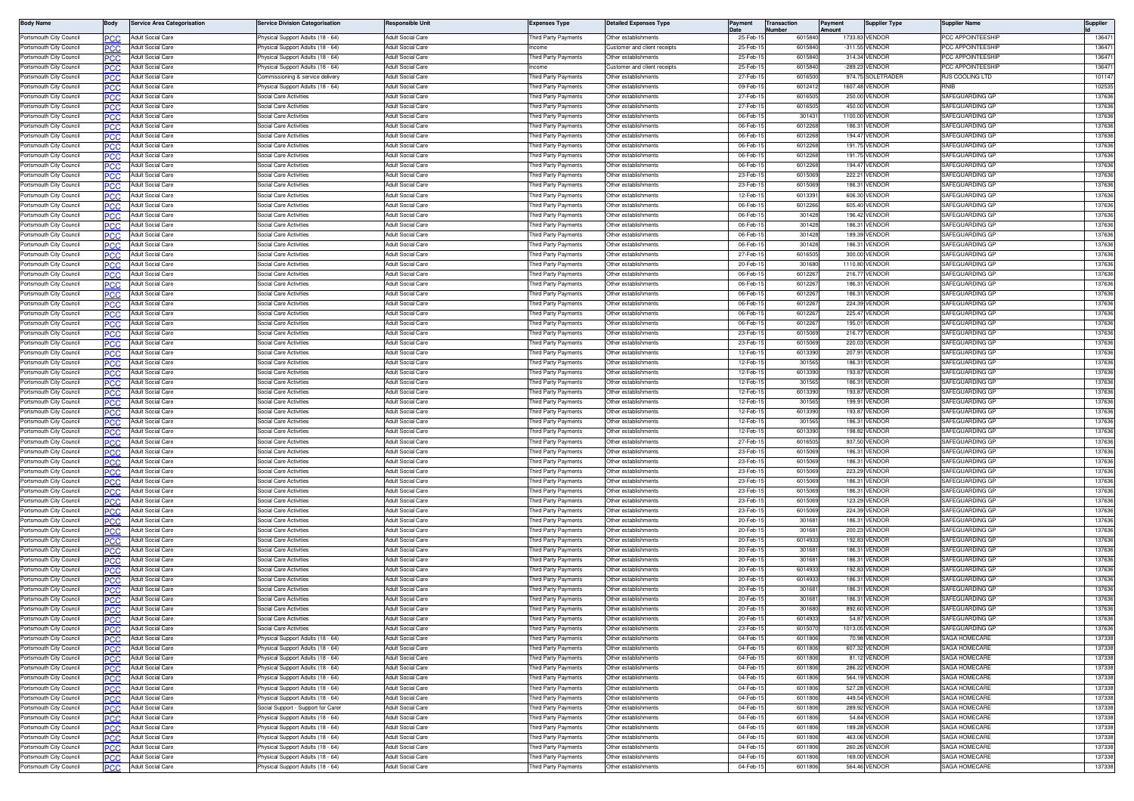| <b>Body Name</b>                                   | Body              | <b>Service Area Categorisation</b>            | ervice Division Categorisation                                       | esponsible Unit                                      | <b>Expenses Type</b>                       | <b>Detailed Expenses Type</b>                       | Payment              | Transaction<br>lumber |                    | Payment<br>Amount | <b>Supplier Type</b>                | Supplier Name                             | Supplier         |
|----------------------------------------------------|-------------------|-----------------------------------------------|----------------------------------------------------------------------|------------------------------------------------------|--------------------------------------------|-----------------------------------------------------|----------------------|-----------------------|--------------------|-------------------|-------------------------------------|-------------------------------------------|------------------|
| Portsmouth City Council                            |                   | Adult Social Care                             | hysical Support Adults (18 - 64)                                     | <b>Adult Social Care</b>                             | hird Party Payments                        | Other establishments                                | 25-Feb-              |                       | 601584             |                   | 1733.83 VENDOR                      | <b>PCC APPOINTEESHI</b>                   | 13647            |
| Portsmouth City Council                            | PCC               | Adult Social Care                             | hysical Support Adults (18 - 64)                                     | <b>Adult Social Care</b>                             | tcome                                      | Customer and client receipts                        | 25-Feb-1             |                       | 601584             |                   | -311.55 VENDOF                      | <b>CC APPOINTEESHI</b>                    | 13647            |
| Portsmouth City Council                            | PCC               | <b>Adult Social Care</b>                      | hysical Support Adults (18 - 64)                                     | <b>Adult Social Care</b>                             | hird Party Payments                        | Other establishments                                | 25-Feb-              |                       | 601584             |                   | 314.34 VENDOR                       | <b>CC APPOINTEESHIP</b>                   | 13647            |
| Portsmouth City Counci<br>Portsmouth City Council  |                   | Adult Social Care<br>Adult Social Care        | hysical Support Adults (18 - 64<br>commissioning & service delivery  | <b>Adult Social Care</b><br><b>Adult Social Care</b> | hird Party Payments                        | ustomer and client receipts<br>Other establishments | 25-Feb-<br>27-Feb-   |                       | 601584<br>6016500  |                   | -289.23 VENDOF<br>974.75 SOLETRADEF | <b>CC APPOINTEESHI</b><br>RJS COOLING LTD | 13647<br>10114   |
| Portsmouth City Council                            | <b>PCC</b>        | Adult Social Care                             | hysical Support Adults (18 - 64)                                     | <b>Adult Social Care</b>                             | hird Party Payments                        | Other establishments                                | 09-Feb-1             |                       | 601241             |                   | 1607.48 VENDOF                      |                                           | 10253            |
| Portsmouth City Council                            | PCC               | Adult Social Care                             | Social Care Activities                                               | Adult Social Care                                    | hird Party Payments                        | Other establishments                                | 27-Feb-1             |                       | 601650             |                   | 250.00 VENDOE                       | SAFEGUARDING GF                           | 137636           |
| Portsmouth City Council                            |                   | <b>Adult Social Care</b>                      | Social Care Activities                                               | <b>Adult Social Care</b>                             | hird Party Payments                        | Other establishments                                | 27-Feb-1             |                       | 601650             |                   | 450.00 VENDOR                       | SAFEGUARDING GF                           | 137636           |
| Portsmouth City Council                            | PCC               | Adult Social Care                             | Social Care Activities                                               | <b>Adult Social Care</b>                             | hird Party Payments                        | Other establishments                                | 06-Feb-1             |                       | 30143              |                   | 1100.00 VENDOR                      | SAFEGUARDING GF                           | 137636           |
| Portsmouth City Council                            |                   | Adult Social Care                             | Social Care Activities                                               | <b>Adult Social Care</b>                             | hird Party Payments                        | Other establishments                                | 06-Feb-              |                       | 601226             |                   | 186.31 VENDOF                       | SAFEGUARDING GI                           | 13763            |
| Portsmouth City Council                            | PCC               | Adult Social Care                             | Social Care Activities                                               | <b>Adult Social Care</b>                             | hird Party Payments                        | Other establishments                                | 06-Feb-              |                       | 601226             |                   | 194.47 VENDOR                       | SAFEGUARDING GF                           | 137636           |
| Portsmouth City Council<br>Portsmouth City Counci  | <b>PCC</b><br>PCC | <b>Adult Social Care</b><br>Adult Social Care | ocial Care Activities<br>ocial Care Activities                       | <b>Adult Social Care</b><br><b>Adult Social Care</b> | hird Party Payments<br>hird Party Payments | Other establishments<br>ther establishments         | 06-Feb-1<br>06-Feb-  |                       | 601226<br>601226   |                   | 191.75 VENDOR<br>191.75 VENDOF      | SAFEGUARDING GF<br>SAFEGUARDING GF        | 137636<br>137636 |
| Portsmouth City Council                            | <b>PCC</b>        | <b>Adult Social Care</b>                      | Social Care Activities                                               | Adult Social Care                                    | hird Party Payments                        | Other establishments                                | 06-Feb-              |                       | 601226             |                   | 194.47 VENDOR                       | SAFEGUARDING GF                           | 13763            |
| Portsmouth City Council                            |                   | <b>Adult Social Care</b>                      | Social Care Activities                                               | <b>Adult Social Care</b>                             | hird Party Payments                        | Other establishments                                | 23-Feb-1             |                       | 601506             |                   | 222.21 VENDOF                       | SAFEGUARDING GF                           | 137636           |
| Portsmouth City Council                            | PCC               | <b>Adult Social Care</b>                      | Social Care Activities                                               | <b>Adult Social Care</b>                             | hird Party Payments                        | Other establishments                                | 23-Feb-1             |                       | 601506             |                   | 186.31 VENDOR                       | SAFEGUARDING GF                           | 137636           |
| Portsmouth City Council                            |                   | <b>Adult Social Care</b>                      | <b>Social Care Activities</b>                                        | <b>Adult Social Care</b>                             | hird Party Payments                        | Other establishments                                | 12-Feb-1             |                       | 601339             |                   | 606.30 VENDOR                       | SAFEGUARDING GF                           | 137636           |
| Portsmouth City Council                            | PCC               | Adult Social Care                             | Social Care Activities                                               | <b>Adult Social Care</b>                             | hird Party Payments                        | Other establishments                                | 06-Feb-              |                       | 601226             |                   | 605.40 VENDOR                       | SAFEGUARDING GF                           | 137636           |
| Portsmouth City Council                            | PCC               | Adult Social Care                             | Social Care Activities                                               | <b>Adult Social Care</b>                             | hird Party Payments                        | Other establishments                                | 06-Feb-              |                       | 301428             |                   | 196.42 VENDOR                       | SAFEGUARDING GF                           | 137636           |
| Portsmouth City Council<br>Portsmouth City Council | PCC<br><b>PCC</b> | Adult Social Care<br>Adult Social Care        | ocial Care Activities<br><b>Social Care Activities</b>               | <b>Adult Social Care</b><br><b>Adult Social Care</b> | hird Party Payments<br>hird Party Payments | ther establishments<br>Other establishments         | 06-Feb-1<br>06-Feb-1 |                       | 301428<br>301428   |                   | 186.31 VENDOF<br>189.39 VENDOR      | SAFEGUARDING GI<br>SAFEGUARDING GF        | 137636<br>137636 |
| Portsmouth City Council                            | PC.C              | <b>Adult Social Care</b>                      | iocial Care Activities                                               | Adult Social Care                                    | hird Party Payments                        | Other establishments                                | 06-Feb-              |                       | 30142              |                   | 186.31 VENDOF                       | SAFEGUARDING GF                           | 137636           |
| Portsmouth City Council                            | PCC               | <b>Adult Social Care</b>                      | Social Care Activities                                               | Adult Social Care                                    | hird Party Payments                        | Other establishments                                | 27-Feb-              |                       | 601650             |                   | 300.00 VENDOF                       | SAFEGUARDING GI                           | 13763            |
| Portsmouth City Council                            |                   | Adult Social Care                             | Social Care Activities                                               | <b>Adult Social Care</b>                             | hird Party Payments                        | Other establishments                                | 20-Feb-1             |                       | 301680             |                   | 1110.80 VENDOF                      | SAFEGUARDING GF                           | 137636           |
| Portsmouth City Council                            | PCC               | <b>Adult Social Care</b>                      | Social Care Activities                                               | <b>Adult Social Care</b>                             | hird Party Payments                        | Other establishments                                | 06-Feb-1             |                       | 601226             |                   | 216.77 VENDOR                       | SAFEGUARDING GF                           | 137636           |
| Portsmouth City Council                            |                   | <b>Adult Social Care</b>                      | Social Care Activities                                               | <b>Adult Social Care</b>                             | hird Party Payments                        | Other establishments                                | 06-Feb-              |                       | 601226             |                   | 186.31 VENDOR                       | SAFEGUARDING GF                           | 137636           |
| Portsmouth City Council                            | PCC               | Adult Social Care                             | Social Care Activities                                               | <b>Adult Social Care</b>                             | hird Party Payments                        | Other establishments                                | 06-Feb-              |                       | 601226             |                   | 186.31 VENDOF                       | SAFEGUARDING GI                           | 13763            |
| Portsmouth City Council<br>Portsmouth City Council | PCC               | Adult Social Care<br><b>Adult Social Care</b> | Social Care Activities<br>iocial Care Activitie                      | <b>Adult Social Care</b><br><b>Adult Social Care</b> | hird Party Payments<br>hird Party Payments | Other establishments<br>ther establishments         | 06-Feb-<br>06-Feb-   |                       | 601226<br>601226   |                   | 224.39 VENDOR<br>225.47 VENDOF      | SAFEGUARDING GF<br>SAFEGUARDING GI        | 13763<br>137636  |
| Portsmouth City Council                            | PCC<br><b>PCC</b> | Adult Social Care                             | Social Care Activities                                               | <b>Adult Social Care</b>                             | hird Party Payments                        | Other establishments                                | 06-Feb-              |                       | 601226             |                   | 195.01 VENDOR                       | SAFEGUARDING GF                           | 13763            |
| Portsmouth City Council                            |                   | Adult Social Care                             | Social Care Activities                                               | <b>Adult Social Care</b>                             | hird Party Payments                        | Other establishments                                | 23-Feb-              |                       | 601506             |                   | 216.77 VENDOF                       | SAFEGUARDING GF                           | 13763            |
| Portsmouth City Counci                             | PCC               | Adult Social Care                             | Social Care Activities                                               | <b>Adult Social Care</b>                             | hird Party Payments                        | Other establishments                                | 23-Feb-1             |                       | 6015069            |                   | 220.03 VENDOF                       | SAFEGUARDING GF                           | 137636           |
| Portsmouth City Council                            |                   | <b>Adult Social Care</b>                      | Social Care Activities                                               | <b>Adult Social Care</b>                             | hird Party Payments                        | Other establishments                                | 12-Feb-1             |                       | 601339             |                   | 207.91 VENDOF                       | SAFEGUARDING GF                           | 137636           |
| Portsmouth City Council                            | PCC               | <b>Adult Social Care</b>                      | Social Care Activities                                               | <b>Adult Social Care</b>                             | hird Party Payments                        | Other establishments                                | 12-Feb-1             |                       | 30156              |                   | 186.31 VENDOF                       | SAFEGUARDING GF                           | 137636           |
| Portsmouth City Council                            |                   | Adult Social Care                             | Social Care Activities                                               | <b>Adult Social Care</b>                             | hird Party Payments                        | Other establishments                                | 12-Feb-              |                       | 601339             |                   | 193.87 VENDOF                       | SAFEGUARDING GF                           | 13763            |
| Portsmouth City Council                            | PCC               | Adult Social Care                             | Social Care Activities                                               | <b>Adult Social Care</b>                             | hird Party Payments                        | Other establishments                                | 12-Feb-              |                       | 30156              |                   | 186.31 VENDOR                       | SAFEGUARDING GF                           | 13763            |
| Portsmouth City Council<br>Portsmouth City Council | PCC.              | <b>Adult Social Care</b><br>Adult Social Care | ocial Care Activities<br>ocial Care Activities                       | <b>Adult Social Care</b><br><b>Adult Social Care</b> | hird Party Payments<br>hird Party Payments | Other establishments<br>ther establishments         | 12-Feb-1<br>12-Feb-1 |                       | 6013390<br>301565  |                   | 193.87 VENDOR<br>199.91 VENDOF      | SAFEGUARDING GF<br>SAFEGUARDING GI        | 137636<br>137636 |
| Portsmouth City Council                            | PCC<br><b>PCC</b> | <b>Adult Social Care</b>                      | Social Care Activities                                               | Adult Social Care                                    | hird Party Payments                        | Other establishments                                | 12-Feb-              |                       | 601339             |                   | 193.87 VENDOR                       | SAFEGUARDING GF                           | 13763            |
| Portsmouth City Council                            |                   | <b>Adult Social Care</b>                      | Social Care Activities                                               | Adult Social Care                                    | hird Party Payments                        | Other establishments                                | 12-Feb-              |                       | 30156              |                   | 186.31 VENDOF                       | SAFEGUARDING GP                           | 13763            |
| Portsmouth City Council                            | PCC               | <b>Adult Social Care</b>                      | Social Care Activities                                               | <b>Adult Social Care</b>                             | hird Party Payments                        | Other establishments                                | 12-Feb-1             |                       | 601339             |                   | 198.82 VENDOF                       | SAFEGUARDING GF                           | 137636           |
| Portsmouth City Council                            |                   | Adult Social Care                             | Social Care Activities                                               | <b>Adult Social Care</b>                             | hird Party Payments                        | Other establishments                                | 27-Feb-1             |                       | 6016505            |                   | 937.50 VENDOF                       | SAFEGUARDING GF                           | 137636           |
| Portsmouth City Council                            | PCC               | Adult Social Care                             | Social Care Activities                                               | <b>Adult Social Care</b>                             | hird Party Payments                        | Other establishments                                | 23-Feb-1             |                       | 601506             |                   | 186.31 VENDOR                       | SAFEGUARDING GF                           | 137636           |
| Portsmouth City Council                            | PCC               | Adult Social Care                             | Social Care Activities                                               | <b>Adult Social Care</b>                             | hird Party Payments                        | Other establishments                                | 23-Feb-              |                       | 601506             |                   | 186.31 VENDOR                       | SAFEGUARDING GF                           | 13763            |
| Portsmouth City Counci                             | PCC               | Adult Social Care                             | ocial Care Activities                                                | <b>Adult Social Care</b>                             | hird Party Payments                        | ther establishments                                 | 23-Feb-              |                       | 601506             |                   | 223.29 VENDOF                       | SAFEGUARDING GI                           | 13763            |
| Portsmouth City Council<br>Portsmouth City Council | PCC.<br>PCC       | Adult Social Care<br>Adult Social Care        | Social Care Activities<br>Social Care Activities                     | <b>Adult Social Care</b><br><b>Adult Social Care</b> | hird Party Payments<br>hird Party Payments | Other establishments<br>Other establishments        | 23-Feb-1<br>23-Feb-1 |                       | 601506<br>601506   |                   | 186.31 VENDOF<br>186.31 VENDOR      | SAFEGUARDING GF<br>SAFEGUARDING GF        | 137636<br>137636 |
| Portsmouth City Council                            | PCC               | <b>Adult Social Care</b>                      | iocial Care Activities                                               | Adult Social Care                                    | hird Party Payments                        | Other establishments                                | 23-Feb-              |                       | 601506             |                   | 123.29 VENDOR                       | SAFEGUARDING GP                           | 137636           |
| Portsmouth City Council                            |                   | Adult Social Care                             | Social Care Activities                                               | <b>Adult Social Care</b>                             | hird Party Payments                        | Other establishments                                | 23-Feb-              |                       | 601506             |                   | 224.39 VENDOF                       | SAFEGUARDING GF                           | 137636           |
| Portsmouth City Council                            | PCC               | <b>Adult Social Care</b>                      | Social Care Activities                                               | <b>Adult Social Care</b>                             | hird Party Payments                        | Other establishments                                | 20-Feb-1             |                       | 30168              |                   | 186.31 VENDOR                       | SAFEGUARDING GF                           | 137636           |
| Portsmouth City Council                            |                   | <b>Adult Social Care</b>                      | Social Care Activities                                               | <b>Adult Social Care</b>                             | hird Party Payments                        | Other establishments                                | 20-Feb-              |                       | 30168              |                   | 200.23 VENDOR                       | SAFEGUARDING GF                           | 137636           |
| Portsmouth City Council                            | PCC               | Adult Social Care                             | Social Care Activities                                               | <b>Adult Social Care</b>                             | hird Party Payments                        | Other establishments                                | 20-Feb-              |                       | 601493             |                   | 192.83 VENDOR                       | SAFEGUARDING GF                           | 137636           |
| Portsmouth City Council<br>Portsmouth City Counci  | PCC               | Adult Social Care<br>Adult Social Care        | Social Care Activities<br>ocial Care Activitie                       | <b>Adult Social Care</b><br><b>Adult Social Care</b> | hird Party Payments<br>hird Party Payments | Other establishments<br>ther establishments         | 20-Feb-<br>20-Feb-   |                       | 30168<br>30168     |                   | 186.31 VENDOR<br>186.31 VENDOF      | SAFEGUARDING GF<br>SAFEGUARDING GI        | 137636<br>13763  |
| Portsmouth City Council                            | <b>PCC</b>        | Adult Social Care                             | ocial Care Activities                                                | <b>Adult Social Care</b>                             | hird Party Payments                        | Other establishments                                | 20-Feb-              |                       | 601493             |                   | 192.83 VENDOR                       | SAFEGUARDING GF                           | 137636           |
| Portsmouth City Council                            | PCC               | Adult Social Care                             | Social Care Activities                                               | <b>Adult Social Care</b>                             | hird Party Payments                        | Other establishments                                | 20-Feb-1             |                       | 6014933            |                   | 186.31 VENDOF                       | SAFEGUARDING GR                           | 137636           |
| Portsmouth City Council                            | PCC               | <b>Adult Social Care</b>                      | Social Care Activities                                               | Adult Social Care                                    | hird Party Payments                        | Other establishments                                | 20-Feb-              |                       | 30168              |                   | 186.31 VENDOR                       | SAFEGUARDING GF                           | 13763            |
| Portsmouth City Council                            |                   | <b>Adult Social Care</b>                      | Social Care Activities                                               | <b>Adult Social Care</b>                             | hird Party Payments                        | Other establishments                                | 20-Feb-              |                       | 30168              |                   | 186.31 VENDOR                       | SAFEGUARDING GF                           | 137636           |
| Portsmouth City Counci                             | PCC               | <b>Adult Social Care</b>                      | <b>Social Care Activities</b>                                        | <b>Adult Social Care</b>                             | hird Party Payments                        | Other establishments                                | 20-Feb-              |                       | 301680             |                   | 892.60 VENDOF                       | SAFEGUARDING GF                           | 137636           |
| Portsmouth City Council                            |                   | Adult Social Care                             | Social Care Activities                                               | <b>Adult Social Care</b>                             | hird Party Payments                        | Other establishments                                | 20-Feb-1             |                       | 6014933            |                   | 54.87 VENDOR                        | SAFEGUARDING G                            | 137636           |
| Portsmouth City Council                            | PCC               | Adult Social Care<br><b>Adult Social Care</b> | Social Care Activities<br>hysical Support Adults (18 - 64)           | Adult Social Care                                    | hird Party Payments                        | Other establishments<br>Other establishments        | 23-Feb-1             |                       | 601507             |                   | 1013.05 VENDOR                      | SAFEGUARDING GF                           | 137636           |
| Portsmouth City Council<br>Portsmouth City Council | PCC.              | Adult Social Care                             | hysical Support Adults (18 - 64)                                     | <b>Adult Social Care</b><br><b>Adult Social Care</b> | hird Party Payments<br>hird Party Payments | ther establishments                                 | 04-Feb-1<br>04-Feb-1 |                       | 6011806<br>6011806 |                   | 70.98 VENDOR<br>607.32 VENDOR       | SAGA HOMECARE<br>SAGA HOMECARE            | 137338<br>137338 |
| Portsmouth City Council                            | PCC<br>PCC.       | <b>Adult Social Care</b>                      | 'hysical Support Adults (18 - 64)                                    | Adult Social Care                                    | hird Party Payments                        | Other establishments                                | 04-Feb-1             |                       | 6011806            |                   | 81.12 VENDOR                        | SAGA HOMECARE                             | 137338           |
| Portsmouth City Council                            | PCC               | <b>Adult Social Care</b>                      | hysical Support Adults (18 - 64)                                     | <b>Adult Social Care</b>                             | hird Party Payments                        | Other establishments                                | 04-Feb-1             |                       | 6011806            |                   | 286.22 VENDOR                       | SAGA HOMECARE                             | 137338           |
| Portsmouth City Council                            | PCC               | <b>Adult Social Care</b>                      | hysical Support Adults (18 - 64)                                     | <b>Adult Social Care</b>                             | hird Party Payments                        | Other establishments                                | 04-Feb-1             |                       | 6011806            |                   | 564.19 VENDOR                       | SAGA HOMECARE                             | 137338           |
| Portsmouth City Council                            |                   | Adult Social Care                             | hysical Support Adults (18 - 64)                                     | <b>Adult Social Care</b>                             | hird Party Payments                        | Other establishments                                | 04-Feb-1             |                       | 6011806            |                   | 527.28 VENDOR                       | SAGA HOMECARE                             | 137338           |
| Portsmouth City Council                            | PCC               | Adult Social Care                             | hysical Support Adults (18 - 64)                                     | <b>Adult Social Care</b>                             | hird Party Payments                        | Other establishments                                | 04-Feb-1             |                       | 6011806            |                   | 449.54 VENDOR                       | SAGA HOMECARE                             | 137338           |
| Portsmouth City Council                            | PCC.              | Adult Social Care                             | Social Support - Support for Carer                                   | <b>Adult Social Care</b><br>Adult Social Care        | hird Party Payments                        | Other establishments                                | 04-Feb-1             |                       | 6011806            |                   | 289.92 VENDOR                       | SAGA HOMECARE                             | 137338           |
| Portsmouth City Council<br>Portsmouth City Council | PCC<br>PCC.       | Adult Social Care<br>Adult Social Care        | hysical Support Adults (18 - 64)<br>hysical Support Adults (18 - 64) | <b>Adult Social Care</b>                             | hird Party Payments<br>hird Party Payments | Other establishments<br>Other establishments        | 04-Feb-1<br>04-Feb-1 |                       | 6011806<br>6011806 |                   | 54.84 VENDOR<br>189.28 VENDOR       | SAGA HOMECARE<br>SAGA HOMECARE            | 137338<br>137338 |
| Portsmouth City Council                            | PCC               | <b>Adult Social Care</b>                      | hysical Support Adults (18 - 64)                                     | <b>Adult Social Care</b>                             | hird Party Payments                        | Other establishments                                | 04-Feb-1             |                       | 6011806            |                   | 463.06 VENDOR                       | SAGA HOMECARE                             | 137338           |
| Portsmouth City Council                            | PCC               | <b>Adult Social Care</b>                      | 'hysical Support Adults (18 - 64)                                    | Adult Social Care                                    | hird Party Payments                        | Other establishments                                | 04-Feb-1             |                       | 6011806            |                   | 260.26 VENDOR                       | SAGA HOMECARE                             | 137338           |
| Portsmouth City Council                            |                   | <b>Adult Social Care</b>                      | 'hysical Support Adults (18 - 64)                                    | <b>Adult Social Care</b>                             | Third Party Payments                       | Other establishments                                | 04-Feb-1             |                       | 6011806            |                   | 169.00 VENDOR                       | SAGA HOMECARE                             | 137338           |
| Portsmouth City Council                            | <b>PCC</b>        | Adult Social Care                             | hysical Support Adults (18 - 64)                                     | <b>Adult Social Care</b>                             | Third Party Payments                       | Other establishments                                | 04-Feb-1             |                       | 6011806            |                   | 564.46 VENDOR                       | SAGA HOMECARE                             | 137338           |
|                                                    |                   |                                               |                                                                      |                                                      |                                            |                                                     |                      |                       |                    |                   |                                     |                                           |                  |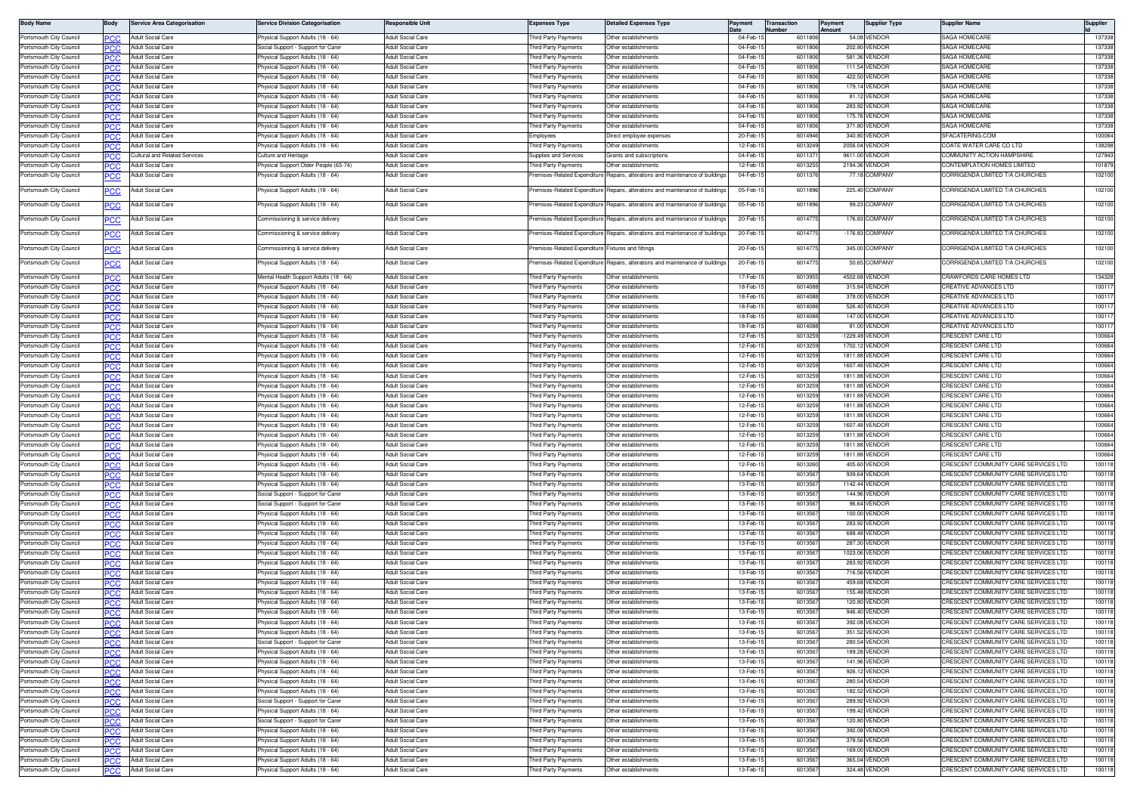| <b>Body Name</b>                                   | Body              | <b>Service Area Categorisation</b>     | ervice Division Categorisation                                       | Responsible Unit                                     | <b>Expenses Type</b>                       | <b>Detailed Expenses Type</b>                    |                      | Transaction<br>lumber | Payment<br>Amount | <b>Supplier Type</b>             | <b>Supplier Name</b>                                                         | <b>Supplier</b>  |
|----------------------------------------------------|-------------------|----------------------------------------|----------------------------------------------------------------------|------------------------------------------------------|--------------------------------------------|--------------------------------------------------|----------------------|-----------------------|-------------------|----------------------------------|------------------------------------------------------------------------------|------------------|
| Portsmouth City Council                            | PCC               | Adult Social Care                      | hysical Support Adults (18 - 64)                                     | Adult Social Care                                    | hird Party Payments                        | Other establishments                             | 04-Feb-              | 6011806               |                   | 54.08 VENDOR                     | SAGA HOMECARE                                                                | 137338           |
| Portsmouth City Council                            | PCC               | Adult Social Care                      | ocial Support - Support for Care                                     | <b>Adult Social Care</b>                             | hird Party Payments                        | Other establishments                             | 04-Feb-              | 601180                |                   | 202.80 VENDOF                    | SAGA HOMECARE                                                                | 13733            |
| Portsmouth City Council                            | <b>PCC</b>        | Adult Social Care                      | hysical Support Adults (18 - 64)                                     | <b>Adult Social Care</b>                             | hird Party Payments                        | Other establishments                             | 04-Feb-              | 601180                |                   | 581.36 VENDOF                    | SAGA HOMECARE                                                                | 137338           |
| Portsmouth City Council                            | PCC               | Adult Social Care                      | hysical Support Adults (18 - 64)                                     | Adult Social Care<br><b>Adult Social Care</b>        | hird Party Payments                        | Other establishments                             | 04-Feb-1<br>04-Feb-1 | 6011806<br>6011806    |                   | 111.54 VENDOF<br>422.50 VENDOR   | SAGA HOMECARE<br>SAGA HOMECARE                                               | 137338<br>137338 |
| Portsmouth City Council<br>Portsmouth City Council | <b>PCC</b>        | Adult Social Care<br>Adult Social Care | hysical Support Adults (18 - 64)<br>hysical Support Adults (18 - 64) | <b>Adult Social Care</b>                             | hird Party Payments<br>hird Party Payments | Other establishments<br>Other establishments     | 04-Feb-1             | 6011806               |                   | 179.14 VENDOR                    | SAGA HOMECARE                                                                | 137338           |
| Portsmouth City Council                            | PCC               | <b>Adult Social Care</b>               | hysical Support Adults (18 - 64)                                     | Adult Social Care                                    | hird Party Payments                        | Other establishments                             | 04-Feb-1             | 6011806               |                   | 81.12 VENDOR                     | <b>SAGA HOMECARE</b>                                                         | 137338           |
| Portsmouth City Council                            |                   | Adult Social Care                      | hysical Support Adults (18 - 64)                                     | <b>Adult Social Care</b>                             | hird Party Payments                        | Other establishments                             | 04-Feb-              | 601180                |                   | 283.92 VENDOF                    | SAGA HOMECARE                                                                | 137338           |
| Portsmouth City Council                            | PCC               | Adult Social Care                      | hysical Support Adults (18 - 64)                                     | Adult Social Care                                    | hird Party Payments                        | Other establishments                             | 04-Feb-              | 6011806               |                   | 175.76 VENDOR                    | <b>SAGA HOMECARE</b>                                                         | 13733            |
| Portsmouth City Council                            | PCC               | Adult Social Care                      | hysical Support Adults (18 - 64)                                     | <b>Adult Social Care</b>                             | hird Party Payments                        | Other establishments                             | 04-Feb-1             | 6011806               |                   | 371.80 VENDOR                    | SAGA HOMECARE                                                                | 137338           |
| Portsmouth City Council                            | PCC               | Adult Social Care                      | hysical Support Adults (18 - 64)                                     | <b>Adult Social Care</b>                             | :mployees                                  | Direct employee expenses                         | 20-Feb-1             | 6014946               |                   | 340.80 VENDOF                    | SFACATERING.COM                                                              | 100064           |
| Portsmouth City Council                            | <b>PCC</b>        | Adult Social Care                      | hysical Support Adults (18 - 64)                                     | Adult Social Care                                    | hird Party Payments                        | Other establishments                             | 12-Feb-1             | 601324                |                   | 2056.04 VENDOR                   | COATE WATER CARE CO LTD                                                      | 138298           |
| Portsmouth City Council                            |                   | Cultural and Related Services          | ulture and Heritage                                                  | Adult Social Care                                    | upplies and Services                       | Grants and subscriptions                         | 04-Feb-              | 601137                |                   | 9611.00 VENDOF                   | COMMUNITY ACTION HAMPSHIRE                                                   | 127943           |
| Portsmouth City Council                            | PCC               | <b>Adult Social Care</b>               | hysical Support Older People (65-74)                                 | <b>Adult Social Care</b>                             | hird Party Payments                        | Ther establishments                              | 12-Feb-1             | 601325                |                   | 2194.36 VENDOF                   | <b>CONTEMPLATION HOMES LIMITED</b>                                           | 101879           |
| Portsmouth City Council                            |                   | dult Social Care                       | hysical Support Adults (18 - 64)                                     | <b>Adult Social Care</b>                             | remises-Related Expenditure                | Repairs, alterations and maintenance of building | 04-Feb-1             | 6011376               |                   | 77.18 COMPANY                    | CORRIGENDA LIMITED T/A CHURCHES                                              | 102100           |
| Portsmouth City Council                            | <u>PCC</u>        | Adult Social Care                      | hysical Support Adults (18 - 64)                                     | Adult Social Care                                    | remises-Related Expenditure                | Repairs, alterations and maintenance of building | 05-Feb-              | 6011896               |                   | 225.40 COMPANY                   | CORRIGENDA LIMITED T/A CHURCHES                                              | 102100           |
| Portsmouth City Council                            |                   | Adult Social Care                      | <sup>9</sup> hysical Support Adults (18 - 64)                        | Adult Social Care                                    | remises-Related Expenditure                | Repairs, alterations and maintenance of building | 05-Feb-1             | 6011896               |                   | 99.23 COMPANY                    | CORRIGENDA LIMITED T/A CHURCHES                                              | 102100           |
| Portsmouth City Council                            | PCC               | Adult Social Care                      | ommissioning & service delivery                                      | Adult Social Care                                    | remises-Related Expenditure                | epairs, alterations and maintenance of building  | 20-Feb-1             | 6014775               |                   | 176.83 COMPANY                   | CORRIGENDA LIMITED T/A CHURCHES                                              | 102100           |
| Portsmouth City Council                            | PCC               | Adult Social Care                      | ommissioning & service delivery                                      | Adult Social Care                                    | remises-Related Expenditure                | Repairs, alterations and maintenance of building | 20-Feb-1             | 601477                |                   | -176.83 COMPANY                  | CORRIGENDA LIMITED T/A CHURCHES                                              | 102100           |
| Portsmouth City Council                            | PCC               | Adult Social Care                      | ommissioning & service delivery                                      | <b>Adult Social Care</b>                             | remises-Related Expenditure                | Fixtures and fittings                            | 20-Feb-1             | 6014775               |                   | 345.00 COMPANY                   | CORRIGENDA LIMITED T/A CHURCHES                                              | 102100           |
| Portsmouth City Council                            | <u>PCC</u>        | Adult Social Care                      | hysical Support Adults (18 - 64)                                     | Adult Social Care                                    | remises-Related Expenditure                | Repairs, alterations and maintenance of building | 20-Feb-              | 601477                |                   | 50.65 COMPANY                    | CORRIGENDA LIMITED T/A CHURCHES                                              | 102100           |
| Portsmouth City Council                            | PCC               | <b>Adult Social Care</b>               | 18 - 18 Mealth Support Adults (18                                    | Adult Social Care                                    | hird Party Payments                        | Other establishments                             | 17-Feb-              | 601395                |                   | 4502.68 VENDOR                   | CRAWFORDS CARE HOMES LTD                                                     | 134328           |
| Portsmouth City Council                            | PCC               | Adult Social Care                      | hysical Support Adults (18 - 64)                                     | Adult Social Care                                    | hird Party Payments                        | Other establishments                             | 18-Feb-              | 6014088               |                   | 315.84 VENDOR                    | CREATIVE ADVANCES LTD                                                        | 10011            |
| Portsmouth City Council                            | эсс               | Adult Social Care                      | hysical Support Adults (18 - 64)                                     | <b>Adult Social Care</b>                             | hird Party Payments                        | Other establishments                             | 18-Feb-1             | 6014088               |                   | 378.00 VENDOF                    | <b>REATIVE ADVANCES LTD</b>                                                  | 10011            |
| Portsmouth City Council                            | PCC               | Adult Social Care                      | hysical Support Adults (18 - 64)                                     | <b>Adult Social Care</b>                             | hird Party Payments                        | Other establishments                             | 18-Feb-1             | 6014088               |                   | 526.40 VENDOR                    | CREATIVE ADVANCES LTD                                                        | 100117           |
| Portsmouth City Council                            |                   | <b>Adult Social Care</b>               | hysical Support Adults (18 - 64)                                     | Adult Social Care                                    | hird Party Payments                        | Other establishments                             | 18-Feb-              | 601408                |                   | 147.00 VENDOR                    | CREATIVE ADVANCES LTD                                                        | 10011            |
| Portsmouth City Council                            | PCC               | Adult Social Care                      | hysical Support Adults (18 - 64)                                     | Adult Social Care                                    | hird Party Payments                        | Other establishments                             | 18-Feb-              | 601408                |                   | 81.00 VENDOF                     | REATIVE ADVANCES LTD                                                         | 10011            |
| Portsmouth City Council                            | PCC               | <b>Adult Social Care</b>               | hysical Support Adults (18 - 64)                                     | <b>Adult Social Care</b>                             | hird Party Payments                        | Other establishments                             | 12-Feb-              | 601325                |                   | -1229.49 VENDOR                  | CRESCENT CARE LTD                                                            | 100664           |
| Portsmouth City Council                            | ∍сс               | Adult Social Care                      | hysical Support Adults (18 - 64)                                     | <b>Adult Social Care</b>                             | hird Party Payments                        | Other establishments                             | 12-Feb-              | 601325                |                   | 1702.12 VENDOF                   | <b>RESCENT CARE LTD</b>                                                      | 100664           |
| Portsmouth City Council                            | <b>PCC</b>        | Adult Social Care                      | hysical Support Adults (18 - 64)                                     | <b>Adult Social Care</b>                             | hird Party Payments                        | Other establishments<br>Other establishments     | 12-Feb-1<br>12-Feb-  | 601325<br>601325      |                   | 1811.88 VENDOR<br>1607.48 VENDOF | CRESCENT CARE LTD<br><b>CRESCENT CARE LTD</b>                                | 100664           |
| Portsmouth City Council                            | PCC               | Adult Social Care<br>Adult Social Care | hysical Support Adults (18 - 64)                                     | Adult Social Care<br><b>Adult Social Care</b>        | hird Party Payments                        | Other establishments                             | 12-Feb-1             | 601325                |                   | 1811.88 VENDOF                   | CRESCENT CARE LTD                                                            | 100664<br>100664 |
| Portsmouth City Council<br>Portsmouth City Council | <b>PCC</b>        | <b>Adult Social Care</b>               | hysical Support Adults (18 - 64)<br>hysical Support Adults (18 - 64) | <b>Adult Social Care</b>                             | hird Party Payments<br>hird Party Payments | Other establishments                             | 12-Feb-1             | 601325                |                   | 1811.88 VENDOR                   | CRESCENT CARE LTD                                                            | 100664           |
| Portsmouth City Council                            | PCC               | Adult Social Care                      | hysical Support Adults (18 - 64)                                     | <b>Adult Social Care</b>                             | hird Party Payments                        | Other establishments                             | 12-Feb-1             | 601325                |                   | 1811.88 VENDOR                   | CRESCENT CARE LTD                                                            | 100664           |
| Portsmouth City Council                            |                   | <b>Adult Social Care</b>               | hysical Support Adults (18 - 64)                                     | <b>Adult Social Care</b>                             | hird Party Payments                        | Other establishments                             | 12-Feb-              | 601325                |                   | 1811.88 VENDOF                   | <b>CRESCENT CARE LTD</b>                                                     | 100664           |
| Portsmouth City Council                            | РСС               | <b>Adult Social Care</b>               | hysical Support Adults (18 - 64)                                     | Adult Social Care                                    | hird Party Payments                        | Other establishments                             | 12-Feb-              | 601325                |                   | 1811.88 VENDOR                   | CRESCENT CARE LTD                                                            | 100664           |
| Portsmouth City Council<br>Portsmouth City Council | PCC               | Adult Social Care<br>Adult Social Care | hysical Support Adults (18 - 64)<br>hysical Support Adults (18 - 64) | <b>Adult Social Care</b><br><b>Adult Social Care</b> | hird Party Payments<br>hird Party Payments | Other establishments<br>Other establishments     | 12-Feb-1<br>12-Feb-1 | 601325<br>601325      |                   | 1607.48 VENDOR<br>1811.88 VENDOR | CRESCENT CARE LTD<br><b>RESCENT CARE LTD</b>                                 | 100664<br>100664 |
| Portsmouth City Council                            | PCC<br><b>PCC</b> | Adult Social Care                      | hysical Support Adults (18 - 64)                                     | Adult Social Care                                    | hird Party Payments                        | Other establishments                             | 12-Feb-              | 601325                |                   | 1811.88 VENDOR                   | CRESCENT CARE LTD                                                            | 100664           |
| Portsmouth City Council                            | PCC               | Adult Social Care                      | hysical Support Adults (18 - 64)                                     | Adult Social Care                                    | hird Party Payments                        | Other establishments                             | 12-Feb-1             | 601325                |                   | 1811.88 VENDOF                   | CRESCENT CARE LTD                                                            | 100664           |
| Portsmouth City Council                            | PCC               | <b>Adult Social Care</b>               | hysical Support Adults (18 - 64)                                     | <b>Adult Social Care</b>                             | nird Party Payments                        | Other establishments                             | 12-Feb-1             | 6013260               |                   | 405.60 VENDOF                    | RESCENT COMMUNITY CARE SERVICES LTD                                          | 100118           |
| Portsmouth City Council                            | ∍сс               | <b>Adult Social Care</b>               | hysical Support Adults (18 - 64)                                     | <b>Adult Social Care</b>                             | hird Party Payments                        | Other establishments                             | 13-Feb-1             | 6013567               |                   | 939.64 VENDOR                    | RESCENT COMMUNITY CARE SERVICES LTD                                          | 100118           |
| Portsmouth City Council                            | PCC               | Adult Social Care                      | hysical Support Adults (18 - 64)                                     | Adult Social Care                                    | hird Party Payments                        | Other establishments                             | 13-Feb-1             | 6013567               |                   | 1142.44 VENDOR                   | RESCENT COMMUNITY CARE SERVICES LTD                                          | 100118           |
| Portsmouth City Council                            |                   | Adult Social Care                      | Social Support - Support for Carer                                   | <b>Adult Social Care</b>                             | hird Party Payments                        | Other establishments                             | 13-Feb-              | 601356                |                   | 144.96 VENDOF                    | CRESCENT COMMUNITY CARE SERVICES LTD                                         | 10011            |
| Portsmouth City Council                            | PCC               | Adult Social Care                      | ocial Support - Support for Care                                     | Adult Social Care                                    | hird Party Payments                        | Other establishments                             | 13-Feb-1             | 601356                |                   | 96.64 VENDOF                     | RESCENT COMMUNITY CARE SERVICES LTD                                          | 10011            |
| Portsmouth City Council                            | <b>PCC</b>        | Adult Social Care                      | hysical Support Adults (18 - 64)                                     | <b>Adult Social Care</b>                             | hird Party Payments                        | Other establishments                             | 13-Feb-1             | 6013567               |                   | 100.00 VENDOF                    | RESCENT COMMUNITY CARE SERVICES LTD                                          | 100118           |
| Portsmouth City Council                            | PCC               | Adult Social Care                      | hysical Support Adults (18 - 64)                                     | Adult Social Care                                    | hird Party Payments                        | Other establishments                             | 13-Feb-              | 601356                |                   | 283.92 VENDOF                    | RESCENT COMMUNITY CARE SERVICES LTD                                          | 100118           |
| Portsmouth City Council<br>Portsmouth City Council | <b>PCC</b>        | Adult Social Care<br>Adult Social Care | hysical Support Adults (18 - 64)                                     | Adult Social Care<br><b>Adult Social Care</b>        | hird Party Payments                        | Other establishments<br>Other establishments     | 13-Feb-<br>13-Feb-1  | 601356<br>601356      |                   | 688.48 VENDOF<br>287.30 VENDOF   | CRESCENT COMMUNITY CARE SERVICES LTD<br>CRESCENT COMMUNITY CARE SERVICES LTD | 100118<br>10011  |
| Portsmouth City Council                            | PCC               | <b>Adult Social Care</b>               | hysical Support Adults (18 - 64)<br>hysical Support Adults (18 - 64) | <b>Adult Social Care</b>                             | hird Party Payments<br>hird Party Payments | Other establishments                             | 13-Feb-1             | 601356                |                   | 1023.06 VENDOR                   | RESCENT COMMUNITY CARE SERVICES LTD                                          | 100118           |
| Portsmouth City Council                            |                   | <b>Adult Social Care</b>               | hysical Support Adults (18 - 64)                                     | <b>Adult Social Care</b>                             | hird Party Payments                        | Other establishments                             | 13-Feb-1             | 6013567               |                   | 283.92 VENDOR                    | RESCENT COMMUNITY CARE SERVICES LTD                                          | 100118           |
| Portsmouth City Council                            | ∍сс               | Adult Social Care                      | hysical Support Adults (18 - 64)                                     | Adult Social Care                                    | hird Party Payments                        | Other establishments                             | 13-Feb-1             | 6013567               |                   | 716.56 VENDOR                    | RESCENT COMMUNITY CARE SERVICES LTD                                          | 100118           |
| Portsmouth City Council                            | PCC               | Adult Social Care                      | hysical Support Adults (18 - 64)                                     | <b>Adult Social Care</b>                             | hird Party Payments                        | Other establishments                             | 13-Feb-1             | 601356                |                   | 459.68 VENDOF                    | CRESCENT COMMUNITY CARE SERVICES LTD                                         | 100118           |
| Portsmouth City Council                            |                   | Adult Social Care                      | hysical Support Adults (18 - 64)                                     | Adult Social Care                                    | hird Party Payments                        | Other establishments                             | 13-Feb-              | 601356                |                   | 155.48 VENDOF                    | RESCENT COMMUNITY CARE SERVICES LTD                                          | 10011            |
| Portsmouth City Council                            | <b>PCC</b>        | Adult Social Care                      | hysical Support Adults (18 - 64)                                     | <b>Adult Social Care</b>                             | hird Party Payments                        | Other establishments                             | 13-Feb-              | 601356                |                   | 120.80 VENDOF                    | <b>RESCENT COMMUNITY CARE SERVICES LTD</b>                                   | 10011            |
| Portsmouth City Council                            | PCC               | Adult Social Care                      | hysical Support Adults (18 - 64)                                     | <b>Adult Social Care</b>                             | hird Party Payments                        | Other establishments                             | 13-Feb-1             | 601356                |                   | 946.40 VENDOF                    | RESCENT COMMUNITY CARE SERVICES LTD                                          | 100118           |
| Portsmouth City Council                            |                   | Adult Social Care                      | hysical Support Adults (18 - 64)                                     | Adult Social Care                                    | Third Party Payments                       | Other establishments                             | 13-Feb-1             | 6013567               |                   | 392.08 VENDOF                    | CRESCENT COMMUNITY CARE SERVICES LTD                                         | 100118           |
| Portsmouth City Council                            | PCC               | Adult Social Care                      | hysical Support Adults (18 - 64)                                     | <b>Adult Social Care</b>                             | hird Party Payments                        | Other establishments                             | 13-Feb-              | 601356                |                   | 351.52 VENDOF                    | CRESCENT COMMUNITY CARE SERVICES LTD                                         | 100118           |
| Portsmouth City Council                            | PCC               | <b>Adult Social Care</b>               | Social Support - Support for Carer                                   | <b>Adult Social Care</b><br><b>Adult Social Care</b> | hird Party Payments<br>hird Party Payments | Other establishments<br>Other establishments     | 13-Feb-<br>13-Feb-   | 6013567<br>601356     |                   | 280.54 VENDOR                    | CRESCENT COMMUNITY CARE SERVICES LTD<br>RESCENT COMMUNITY CARE SERVICES LTD: | 100118<br>100118 |
| Portsmouth City Council<br>Portsmouth City Council |                   | Adult Social Care<br>Adult Social Care | hysical Support Adults (18 - 64)<br>hysical Support Adults (18 - 64) | Adult Social Care                                    | hird Party Payments                        | Other establishments                             | 13-Feb-1             | 601356                |                   | 189.28 VENDOR<br>141.96 VENDOR   | CRESCENT COMMUNITY CARE SERVICES LTD                                         | 100118           |
| Portsmouth City Council                            | PCC<br>PCC        | Adult Social Care                      | hysical Support Adults (18 - 64)                                     | Adult Social Care                                    | hird Party Payments                        | Other establishments                             | 13-Feb-1             | 6013567               |                   | 926.12 VENDOR                    | CRESCENT COMMUNITY CARE SERVICES LTD                                         | 100118           |
| Portsmouth City Council                            | PCC               | Adult Social Care                      | hysical Support Adults (18 - 64)                                     | Adult Social Care                                    | hird Party Payments                        | Other establishments                             | 13-Feb-1             | 601356                |                   | 280.54 VENDOR                    | RESCENT COMMUNITY CARE SERVICES LTD                                          | 100118           |
| Portsmouth City Council                            | <b>PCC</b>        | Adult Social Care                      | hysical Support Adults (18 - 64)                                     | Adult Social Care                                    | hird Party Payments                        | Other establishments                             | 13-Feb-              | 601356                |                   | 182.52 VENDOR                    | CRESCENT COMMUNITY CARE SERVICES LTD                                         | 100118           |
| Portsmouth City Council                            | PCC               | <b>Adult Social Care</b>               | Social Support - Support for Carer                                   | Adult Social Care                                    | hird Party Payments                        | Other establishments                             | 13-Feb-1             | 6013567               |                   | 289.92 VENDOR                    | CRESCENT COMMUNITY CARE SERVICES LTD                                         | 100118           |
| Portsmouth City Council                            | PCC               | Adult Social Care                      | hysical Support Adults (18 - 64)                                     | <b>Adult Social Care</b>                             | hird Party Payments                        | Other establishments                             | 13-Feb-1             | 6013567               |                   | 199.42 VENDOR                    | CRESCENT COMMUNITY CARE SERVICES LTD                                         | 100118           |
| Portsmouth City Council                            |                   | <b>Adult Social Care</b>               | Social Support - Support for Carer                                   | <b>Adult Social Care</b>                             | hird Party Payments                        | Other establishments                             | 13-Feb-1             | 6013567               |                   | 120.80 VENDOR                    | CRESCENT COMMUNITY CARE SERVICES LTD                                         | 100118           |
| Portsmouth City Council                            | PCC               | Adult Social Care                      | hysical Support Adults (18 - 64)                                     | <b>Adult Social Care</b>                             | hird Party Payments                        | Other establishments                             | 13-Feb-1             | 6013567               |                   | 392.08 VENDOR                    | CRESCENT COMMUNITY CARE SERVICES LTD                                         | 100118           |
| Portsmouth City Council                            | ∍сс               | Adult Social Care                      | hysical Support Adults (18 - 64)                                     | Adult Social Care                                    | hird Party Payments                        | Other establishments                             | 13-Feb-              | 6013567               |                   | 378.56 VENDOR                    | CRESCENT COMMUNITY CARE SERVICES LTD                                         | 100118           |
| Portsmouth City Council                            | ∍сс               | Adult Social Care                      | hysical Support Adults (18 - 64)                                     | Adult Social Care                                    | hird Party Payments                        | Other establishments                             | 13-Feb-1             | 6013567               |                   | 169.00 VENDOR                    | RESCENT COMMUNITY CARE SERVICES LTD                                          | 100118           |
| Portsmouth City Council                            | PCC               | Adult Social Care                      | hysical Support Adults (18 - 64)                                     | Adult Social Care                                    | hird Party Payments                        | Other establishments                             | 13-Feb-1             | 601356                |                   | 365.04 VENDOR                    | CRESCENT COMMUNITY CARE SERVICES LTD                                         | 100118           |
| Portsmouth City Council                            | PCC               | Adult Social Care                      | hysical Support Adults (18 - 64)                                     | Adult Social Care                                    | Third Party Payments                       | Other establishments                             | 13-Feb-1             | 6013567               |                   | 324.48 VENDOR                    | CRESCENT COMMUNITY CARE SERVICES LTD                                         | 100118           |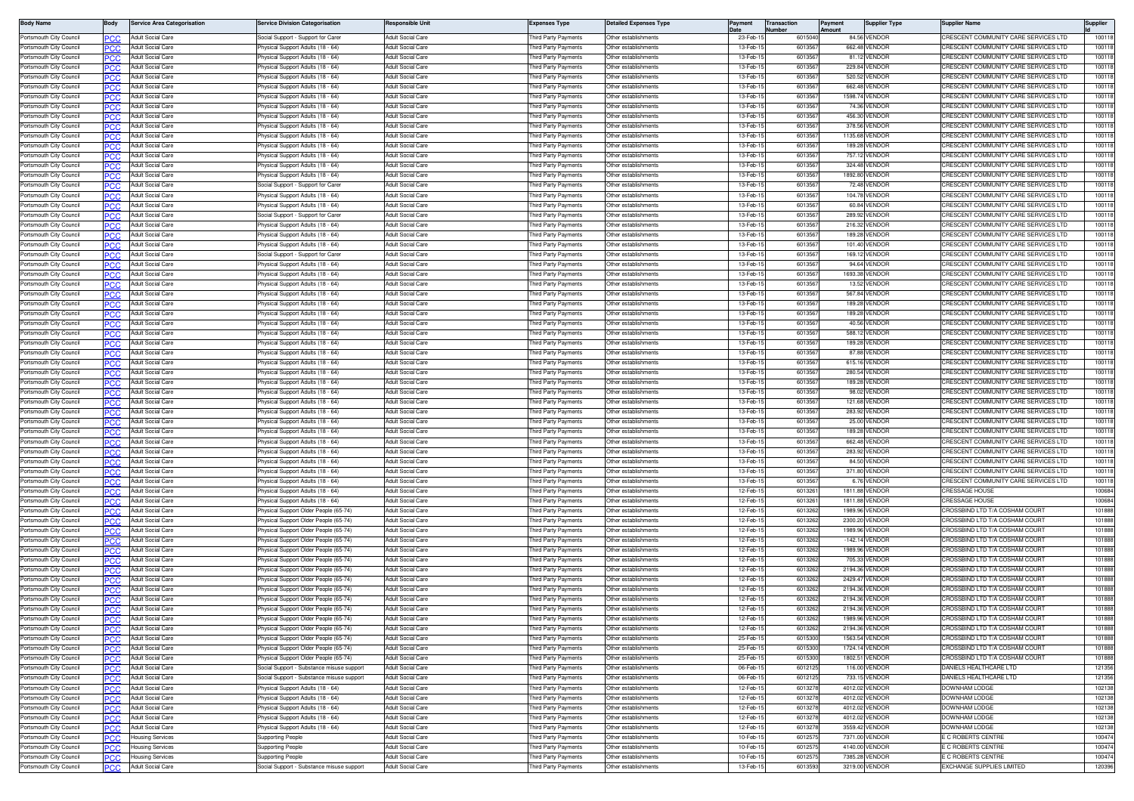| <b>Body Name</b>                                   | <b>Body</b>       | Service Area Categorisation                          | Service Division Categorisation                                               | Responsible Unit                                     | Expenses Type                               | <b>Detailed Expenses Type</b>                | Pavment              | ransaction<br>lumbe | Payment<br>nount | Supplier Type                    | Supplier Name                                                                | Supplier       |
|----------------------------------------------------|-------------------|------------------------------------------------------|-------------------------------------------------------------------------------|------------------------------------------------------|---------------------------------------------|----------------------------------------------|----------------------|---------------------|------------------|----------------------------------|------------------------------------------------------------------------------|----------------|
| Portsmouth City Council                            | PCC               | <b>Adult Social Care</b>                             | Social Support - Support for Care                                             | Adult Social Care                                    | hird Party Payments                         | Other establishment:                         | 23-Feb-              | 601504              |                  | 84.56 VENDOR                     | CRESCENT COMMUNITY CARE SERVICES LTD                                         | 10011          |
| Portsmouth City Council                            | PCC               | <b>Adult Social Care</b>                             | hysical Support Adults (18 - 64)                                              | Adult Social Care                                    | hird Party Payments                         | Other establishments                         | 13-Feb-1             | 601356              |                  | 662.48 VENDOF                    | RESCENT COMMUNITY CARE SERVICES LTD                                          | 10011          |
| Portsmouth City Council                            |                   | <b>Adult Social Care</b>                             | hysical Support Adults (18 - 64)                                              | <b>Adult Social Care</b>                             | hird Party Payments                         | ther establishments                          | 13-Feb-              | 601356              |                  | 81.12 VENDOR                     | RESCENT COMMUNITY CARE SERVICES LTD:                                         | 10011          |
| Portsmouth City Council                            | PCC               | <b>Adult Social Care</b>                             | hysical Support Adults (18 - 64)                                              | Adult Social Care<br>Adult Social Care               | hird Party Payments                         | Other establishments<br>Other establishment: | 13-Feb-<br>13-Feb-1  | 601356<br>601356    |                  | 229.84 VENDOR<br>520.52 VENDOR   | RESCENT COMMUNITY CARE SERVICES LTD<br>CRESCENT COMMUNITY CARE SERVICES LTD  | 10011<br>10011 |
| Portsmouth City Council<br>Portsmouth City Council | PCC               | Adult Social Care<br>Adult Social Care               | Physical Support Adults (18 - 64)<br>hysical Support Adults (18 - 64)         | <b>Adult Social Care</b>                             | hird Party Payments<br>hird Party Payments  | Other establishment                          | 13-Feb-1             | 601356              |                  | 662.48 VENDOR                    | RESCENT COMMUNITY CARE SERVICES LTD                                          | 10011          |
| Portsmouth City Council                            | <b>PCC</b>        | Adult Social Care                                    | Physical Support Adults (18 - 64)                                             | Adult Social Care                                    | hird Party Payments                         | Other establishments                         | 13-Feb-1             | 601356              |                  | 1598.74 VENDOR                   | CRESCENT COMMUNITY CARE SERVICES LTD                                         | 10011          |
| Portsmouth City Council                            |                   | Adult Social Care                                    | 'hysical Support Adults (18 - 64)                                             | <b>Adult Social Care</b>                             | hird Party Payments                         | Other establishment:                         | 13-Feb-              | 601356              |                  | 74.36 VENDOF                     | CRESCENT COMMUNITY CARE SERVICES LTD                                         | 10011          |
| Portsmouth City Council                            | PCC               | Adult Social Care                                    | Physical Support Adults (18 - 64)                                             | Adult Social Care                                    | hird Party Payments                         | Other establishments                         | 13-Feb-1             | 601356              |                  | 456.30 VENDOR                    | CRESCENT COMMUNITY CARE SERVICES LTD                                         | 10011          |
| Portsmouth City Council                            |                   | Adult Social Care                                    | Physical Support Adults (18 - 64)                                             | Adult Social Care                                    | hird Party Payments                         | Other establishments                         | 13-Feb-1             | 601356              |                  | 378.56 VENDOR                    | CRESCENT COMMUNITY CARE SERVICES LTD                                         | 10011          |
| Portsmouth City Council                            | PCC               | Adult Social Care                                    | hysical Support Adults (18 - 64)                                              | Adult Social Care                                    | hird Party Payments                         | Other establishments                         | 13-Feb-1             | 601356              |                  | 1135.68 VENDOR                   | CRESCENT COMMUNITY CARE SERVICES LTD                                         | 10011          |
| Portsmouth City Council                            |                   | <b>Adult Social Care</b>                             | hysical Support Adults (18 - 64)                                              | <b>Adult Social Care</b>                             | hird Party Payments                         | Other establishments                         | 13-Feb-              | 601356              |                  | 189.28 VENDOR                    | CRESCENT COMMUNITY CARE SERVICES LTD                                         | 10011          |
| Portsmouth City Council                            | PCC               | Adult Social Care                                    | hysical Support Adults (18 - 64)                                              | Adult Social Care                                    | hird Party Payments                         | Other establishments                         | 13-Feb-1             | 601356              |                  | 757.12 VENDOR<br>324.48 VENDOR   | RESCENT COMMUNITY CARE SERVICES LTD<br>RESCENT COMMUNITY CARE SERVICES LTD   | 10011          |
| Portsmouth City Council<br>Portsmouth City Council | PCC               | Adult Social Care<br>Adult Social Care               | hysical Support Adults (18 - 64)<br>hysical Support Adults (18 - 64)          | <b>Adult Social Care</b><br><b>Adult Social Care</b> | hird Party Payments<br>hird Party Payments  | Other establishment:<br>Other establishment  | 13-Feb-1<br>13-Feb-1 | 601356<br>601356    |                  | 1892.80 VENDOR                   | CRESCENT COMMUNITY CARE SERVICES LTD                                         | 10011<br>10011 |
| Portsmouth City Council                            | PCC<br><b>PCC</b> | Adult Social Care                                    | Social Support - Support for Care                                             | <b>Adult Social Care</b>                             | hird Party Payments                         | Other establishments                         | 13-Feb-1             | 601356              |                  | 72.48 VENDOR                     | CRESCENT COMMUNITY CARE SERVICES LTD                                         | 10011          |
| Portsmouth City Council                            | PCC               | Adult Social Care                                    | 'hysical Support Adults (18 - 64)                                             | <b>Adult Social Care</b>                             | hird Party Payments                         | Other establishment:                         | 13-Feb-              | 601356              |                  | 104.78 VENDOR                    | CRESCENT COMMUNITY CARE SERVICES LTD                                         | 10011          |
| Portsmouth City Council                            | PCC               | <b>Adult Social Care</b>                             | hysical Support Adults (18 - 64)                                              | <b>Adult Social Care</b>                             | hird Party Payments                         | Other establishments                         | 13-Feb-1             | 601356              |                  | 60.84 VENDOR                     | RESCENT COMMUNITY CARE SERVICES LTD                                          | 10011          |
| Portsmouth City Council                            |                   | <b>Adult Social Care</b>                             | Social Support - Support for Carer                                            | <b>Adult Social Care</b>                             | hird Party Payments                         | Other establishment:                         | 13-Feb-1             | 601356              |                  | 289.92 VENDOR                    | RESCENT COMMUNITY CARE SERVICES LTD                                          | 10011          |
| Portsmouth City Council                            | PCC               | Adult Social Care                                    | hysical Support Adults (18 - 64)                                              | <b>Adult Social Care</b>                             | hird Party Payments                         | Other establishments                         | 13-Feb-1             | 601356              |                  | 216.32 VENDOR                    | RESCENT COMMUNITY CARE SERVICES LTD                                          | 10011          |
| Portsmouth City Council                            |                   | Adult Social Care                                    | Physical Support Adults (18 - 64)                                             | <b>Adult Social Care</b>                             | hird Party Payments                         | Other establishments                         | 13-Feb-              | 601356              |                  | 189.28 VENDOR                    | CRESCENT COMMUNITY CARE SERVICES LTD                                         | 1001           |
| Portsmouth City Council                            |                   | <b>Adult Social Care</b>                             | hysical Support Adults (18 - 64                                               | <b>Adult Social Care</b>                             | hird Party Payments                         | ther establishment                           | 13-Feb-1             | 601356              |                  | 101.40 VENDOF                    | RESCENT COMMUNITY CARE SERVICES LTD                                          | 10011          |
| Portsmouth City Council<br>Portsmouth City Council | PCC               | Adult Social Care<br>Adult Social Care               | Social Support - Support for Care<br>'hysical Support Adults (18 - 64)        | <b>Adult Social Care</b><br><b>Adult Social Care</b> | hird Party Payments<br>'hird Party Payments | Other establishments<br>Other establishment: | 13-Feb-1<br>13-Feb-1 | 601356<br>601356    |                  | 169.12 VENDOR<br>94.64 VENDOR    | CRESCENT COMMUNITY CARE SERVICES LTD<br>RESCENT COMMUNITY CARE SERVICES LTD  | 10011<br>10011 |
| Portsmouth City Council                            | PCC<br>PCC        | Adult Social Care                                    | Physical Support Adults (18 - 64)                                             | Adult Social Care                                    | hird Party Payments                         | Other establishments                         | 13-Feb-1             | 601356              |                  | 1693.38 VENDOR                   | CRESCENT COMMUNITY CARE SERVICES LTD                                         | 10011          |
| Portsmouth City Council                            |                   | Adult Social Care                                    | 'hysical Support Adults (18 - 64)                                             | <b>Adult Social Care</b>                             | hird Party Payments                         | Other establishment:                         | 13-Feb-              | 601356              |                  | 13.52 VENDOR                     | CRESCENT COMMUNITY CARE SERVICES LTD                                         | 10011          |
| Portsmouth City Council                            | PCC               | <b>Adult Social Care</b>                             | hysical Support Adults (18 - 64)                                              | <b>Adult Social Care</b>                             | hird Party Payments                         | Other establishments                         | 13-Feb-1             | 601356              |                  | 567.84 VENDOR                    | RESCENT COMMUNITY CARE SERVICES LTD                                          | 10011          |
| Portsmouth City Council                            |                   | <b>Adult Social Care</b>                             | Physical Support Adults (18 - 64)                                             | Adult Social Care                                    | hird Party Payments                         | Other establishment:                         | 13-Feb-1             | 601356              |                  | 189.28 VENDOR                    | CRESCENT COMMUNITY CARE SERVICES LTD                                         | 10011          |
| Portsmouth City Council                            | PСC               | <b>Adult Social Care</b>                             | hysical Support Adults (18 - 64)                                              | <b>Adult Social Care</b>                             | hird Party Payments                         | Other establishments                         | 13-Feb-1             | 601356              |                  | 189.28 VENDOR                    | RESCENT COMMUNITY CARE SERVICES LTD                                          | 10011          |
| Portsmouth City Council                            | PCC               | Adult Social Care                                    | hysical Support Adults (18 - 64)                                              | Adult Social Care                                    | hird Party Payments                         | ther establishment                           | 13-Feb-1             | 601356              |                  | 40.56 VENDOR                     | CRESCENT COMMUNITY CARE SERVICES LTD                                         | 10011          |
| Portsmouth City Council                            |                   | Adult Social Care                                    | hysical Support Adults (18 - 64                                               | <b>Adult Social Care</b>                             | hird Party Payments                         | ther establishment                           | 13-Feb-              | 601356              |                  | 588.12 VENDOR                    | RESCENT COMMUNITY CARE SERVICES LTD                                          | 10011          |
| Portsmouth City Council                            | <b>PCC</b>        | Adult Social Care                                    | Physical Support Adults (18 - 64)                                             | <b>Adult Social Care</b>                             | hird Party Payments                         | Other establishments                         | 13-Feb-1             | 601356              |                  | 189.28 VENDOR                    | CRESCENT COMMUNITY CARE SERVICES LTD                                         | 10011          |
| Portsmouth City Council<br>Portsmouth City Council | PCC               | Adult Social Care<br>Adult Social Care               | 'hysical Support Adults (18 - 64)                                             | <b>Adult Social Care</b><br>Adult Social Care        | hird Party Payments                         | Other establishment:<br>Other establishments | 13-Feb-1<br>13-Feb-1 | 601356<br>601356    |                  | 87.88 VENDOR<br>615.16 VENDOR    | CRESCENT COMMUNITY CARE SERVICES LTD<br>CRESCENT COMMUNITY CARE SERVICES LTD | 10011<br>10011 |
| Portsmouth City Council                            | PCC               | <b>Adult Social Care</b>                             | 'hysical Support Adults (18 - 64)<br>'hysical Support Adults (18 - 64)        | Adult Social Care                                    | hird Party Payments<br>hird Party Payments  | Other establishment:                         | 13-Feb-1             | 601356              |                  | 280.54 VENDOR                    | CRESCENT COMMUNITY CARE SERVICES LTD                                         | 10011          |
| Portsmouth City Council                            | PCC               | Adult Social Care                                    | hysical Support Adults (18 - 64)                                              | Adult Social Care                                    | hird Party Payments                         | Other establishments                         | 13-Feb-1             | 601356              |                  | 189.28 VENDOR                    | CRESCENT COMMUNITY CARE SERVICES LTD                                         | 10011          |
| Portsmouth City Council                            |                   | <b>Adult Social Care</b>                             | Physical Support Adults (18 - 64)                                             | <b>Adult Social Care</b>                             | hird Party Payments                         | Other establishment:                         | 13-Feb-              | 601356              |                  | 98.02 VENDOR                     | RESCENT COMMUNITY CARE SERVICES LTD                                          | 10011          |
| Portsmouth City Council                            | РСС               | Adult Social Care                                    | Physical Support Adults (18 - 64)                                             | <b>Adult Social Care</b>                             | hird Party Payments                         | Other establishments                         | 13-Feb-1             | 601356              |                  | 121.68 VENDOR                    | RESCENT COMMUNITY CARE SERVICES LTD                                          | 10011          |
| Portsmouth City Council                            | PCC               | Adult Social Care                                    | hysical Support Adults (18 - 64)                                              | <b>Adult Social Care</b>                             | hird Party Payments                         | Other establishments                         | 13-Feb-1             | 601356              |                  | 283.92 VENDOR                    | CRESCENT COMMUNITY CARE SERVICES LTD                                         | 10011          |
| Portsmouth City Council                            | PCC               | Adult Social Care                                    | hysical Support Adults (18 - 64)                                              | <b>Adult Social Care</b>                             | hird Party Payments                         | ther establishment                           | 13-Feb-1             | 601356              |                  | 25.00 VENDOR                     | CRESCENT COMMUNITY CARE SERVICES LTD                                         | 10011          |
| Portsmouth City Council                            | <b>PCC</b>        | Adult Social Care                                    | Physical Support Adults (18 - 64)                                             | Adult Social Care                                    | hird Party Payments                         | Other establishments                         | 13-Feb-1             | 601356              |                  | 189.28 VENDOR                    | RESCENT COMMUNITY CARE SERVICES LTD                                          | 10011          |
| Portsmouth City Council                            | PCC               | Adult Social Care                                    | <sup>9</sup> hysical Support Adults (18 - 64)                                 | Adult Social Care                                    | 'hird Party Payments                        | Other establishment:                         | 13-Feb-1             | 601356              |                  | 662.48 VENDOR                    | CRESCENT COMMUNITY CARE SERVICES LTD                                         | 10011          |
| Portsmouth City Council<br>Portsmouth City Council | PCC               | <b>Adult Social Care</b><br><b>Adult Social Care</b> | hysical Support Adults (18 - 64)<br>hysical Support Adults (18 - 64)          | <b>Adult Social Care</b><br><b>Adult Social Care</b> | hird Party Payments<br>hird Party Payments  | Other establishments<br>Other establishments | 13-Feb-1<br>13-Feb-1 | 601356<br>601356    |                  | 283.92 VENDOR<br>84.50 VENDOR    | RESCENT COMMUNITY CARE SERVICES LTD<br>CRESCENT COMMUNITY CARE SERVICES LTD  | 10011<br>10011 |
| Portsmouth City Council                            | PCC               | <b>Adult Social Care</b>                             | hysical Support Adults (18 - 64)                                              | Adult Social Care                                    | hird Party Payments                         | Other establishments                         | 13-Feb-1             | 601356              |                  | 371.80 VENDOR                    | RESCENT COMMUNITY CARE SERVICES LTD                                          | 10011          |
| Portsmouth City Council                            |                   | Adult Social Care                                    | Physical Support Adults (18 - 64)                                             | <b>Adult Social Care</b>                             | hird Party Payments                         | Other establishments                         | 13-Feb-1             | 601356              |                  | 6.76 VENDOR                      | CRESCENT COMMUNITY CARE SERVICES LTD                                         | 10011          |
| Portsmouth City Council                            |                   | Adult Social Care                                    | hysical Support Adults (18 - 64)                                              | Adult Social Care                                    | hird Party Payments                         | ther establishments                          | 12-Feb-1             | 601326              |                  | 1811.88 VENDOR                   | CRESSAGE HOUSE                                                               | 10068          |
| Portsmouth City Council                            | PCC               | Adult Social Care                                    | hysical Support Adults (18 - 64)                                              | <b>Adult Social Care</b>                             | hird Party Payments                         | Other establishments                         | 12-Feb-1             | 601326              |                  | 1811.88 VENDOR                   | CRESSAGE HOUSE                                                               | 10068          |
| Portsmouth City Council                            |                   | Adult Social Care                                    | hysical Support Older People (65-74)                                          | <b>Adult Social Care</b>                             | hird Party Payments                         | Other establishments                         | 12-Feb-1             | 601326              |                  | 1989.96 VENDOR                   | CROSSBIND LTD T/A COSHAM COURT                                               | 10188          |
| Portsmouth City Council                            | PCC               | Adult Social Care                                    | Physical Support Older People (65-74)                                         | Adult Social Care                                    | hird Party Payments                         | Other establishments                         | 12-Feb-1             | 601326              |                  | 2300.20 VENDOF                   | <b>CROSSBIND LTD T/A COSHAM COURT</b>                                        | 10188          |
| Portsmouth City Council                            |                   | Adult Social Care                                    | <sup>2</sup> hysical Support Older People (65-74)                             | <b>Adult Social Care</b>                             | 'hird Party Payments                        | Other establishment:                         | 12-Feb-1             | 601326              |                  | 1989.96 VENDOR                   | CROSSBIND LTD T/A COSHAM COURT                                               | 10188          |
| Portsmouth City Council                            | PCC               | Adult Social Care<br><b>Adult Social Care</b>        | hysical Support Older People (65-74)                                          | Adult Social Care<br>Adult Social Care               | hird Party Payments                         | Other establishments<br>Other establishments | 12-Feb-1<br>12-Feb-  | 601326<br>601326    |                  | -142.14 VENDOR<br>1989.96 VENDOR | ROSSBIND LTD T/A COSHAM COURT<br>CROSSBIND LTD T/A COSHAM COURT              | 10188<br>10188 |
| Portsmouth City Council<br>Portsmouth City Council |                   | <b>Adult Social Care</b>                             | Physical Support Older People (65-74)<br>hysical Support Older People (65-74) | Adult Social Care                                    | hird Party Payments<br>hird Party Payments  | Other establishments                         | 12-Feb-              | 601326              |                  | 705.33 VENDOR                    | <b>CROSSBIND LTD T/A COSHAM COURT</b>                                        | 10188          |
| Portsmouth City Council                            | PCC<br>PCC        | Adult Social Care                                    | Physical Support Older People (65-74)                                         | Adult Social Care                                    | hird Party Payments                         | Other establishments                         | 12-Feb-              | 601326              |                  | 2194.36 VENDOR                   | <b>CROSSBIND LTD T/A COSHAM COURT</b>                                        | 10188          |
| Portsmouth City Council                            | PСC               | Adult Social Care                                    | hysical Support Older People (65-74)                                          | Adult Social Care                                    | hird Party Payments                         | Other establishment:                         | 12-Feb-1             | 601326              |                  | 2429.47 VENDOR                   | ROSSBIND LTD T/A COSHAM COUR                                                 | 10188          |
| Portsmouth City Council                            | PCC               | Adult Social Care                                    | hysical Support Older People (65-74)                                          | <b>Adult Social Care</b>                             | hird Party Payments                         | Other establishments                         | 12-Feb-1             | 601326              |                  | 2194.36 VENDOR                   | CROSSBIND LTD T/A COSHAM COURT                                               | 10188          |
| Portsmouth City Counci                             |                   | <b>Adult Social Care</b>                             | hysical Support Older People (65-74)                                          | <b>Adult Social Care</b>                             | hird Party Payments                         | Other establishment:                         | 12-Feb-              | 601326              |                  | 2194.36 VENDOR                   | <b>CROSSBIND LTD T/A COSHAM COUR</b>                                         | 10188          |
| Portsmouth City Council                            | PCC               | Adult Social Care                                    | Physical Support Older People (65-74)                                         | <b>Adult Social Care</b>                             | hird Party Payments                         | Other establishments                         | 12-Feb-1             | 601326              |                  | 2194.36 VENDOF                   | CROSSBIND LTD T/A COSHAM COUR                                                | 10188          |
| Portsmouth City Council                            |                   | <b>Adult Social Care</b>                             | Physical Support Older People (65-74)                                         | <b>Adult Social Care</b>                             | hird Party Payments                         | Other establishment:                         | 12-Feb-1             | 601326              |                  | 1989.96 VENDOF                   | CROSSBIND LTD T/A COSHAM COURT                                               | 10188          |
| Portsmouth City Council                            | PCC.              | <b>Adult Social Care</b>                             | hysical Support Older People (65-74)                                          | Adult Social Care                                    | hird Party Payments                         | Other establishments                         | 12-Feb-1             | 601326              |                  | 2194.36 VENDOR                   | CROSSBIND LTD T/A COSHAM COURT                                               | 101888         |
| Portsmouth City Council                            |                   | Adult Social Care                                    | Physical Support Older People (65-74)                                         | Adult Social Care<br>Adult Social Care               | hird Party Payments                         | Other establishments<br>Other establishments | 25-Feb-<br>25-Feb-1  | 601530<br>601530    |                  | 1563.54 VENDOR<br>1724.14 VENDOR | CROSSBIND LTD T/A COSHAM COURT<br><b>CROSSBIND LTD T/A COSHAM COURT</b>      | 10188          |
| Portsmouth City Council<br>Portsmouth City Council | PCC<br>PCC        | Adult Social Care<br>Adult Social Care               | Physical Support Older People (65-74)<br>hysical Support Older People (65-74) | <b>Adult Social Care</b>                             | hird Party Payments<br>hird Party Payments  | Other establishments                         | 25-Feb-1             | 601530              |                  | 1802.51 VENDOR                   | CROSSBIND LTD T/A COSHAM COURT                                               | 10188<br>10188 |
| Portsmouth City Council                            | PCC.              | <b>Adult Social Care</b>                             | locial Support - Substance misuse support                                     | Adult Social Care                                    | hird Party Payments                         | Other establishments                         | 06-Feb-1             | 601212              |                  | 116.00 VENDOR                    | DANIELS HEALTHCARE LTD                                                       | 12135          |
| Portsmouth City Council                            | <b>PCC</b>        | Adult Social Care                                    | Social Support - Substance misuse support                                     | Adult Social Care                                    | hird Party Payments                         | Other establishments                         | 06-Feb-1             | 601212              |                  | 733.15 VENDOR                    | DANIELS HEALTHCARE LTD                                                       | 121356         |
| Portsmouth City Council                            | PCC               | Adult Social Care                                    | Physical Support Adults (18 - 64)                                             | Adult Social Care                                    | hird Party Payments                         | Other establishments                         | 12-Feb-1             | 601327              |                  | 4012.02 VENDOR                   | DOWNHAM LODGE                                                                | 10213          |
| Portsmouth City Council                            | <b>PCC</b>        | Adult Social Care                                    | Physical Support Adults (18 - 64)                                             | Adult Social Care                                    | hird Party Payments                         | Other establishments                         | 12-Feb-1             | 601327              |                  | 4012.02 VENDOR                   | DOWNHAM LODGE                                                                | 10213          |
| Portsmouth City Council                            |                   | <b>Adult Social Care</b>                             | Physical Support Adults (18 - 64)                                             | <b>Adult Social Care</b>                             | hird Party Payments                         | Other establishments                         | 12-Feb-1             | 601327              |                  | 4012.02 VENDOR                   | DOWNHAM LODGE                                                                | 10213          |
| Portsmouth City Council                            | PCC               | <b>Adult Social Care</b>                             | Physical Support Adults (18 - 64)                                             | <b>Adult Social Care</b>                             | hird Party Payments                         | Other establishments                         | 12-Feb-1             | 601327              |                  | 4012.02 VENDOR                   | DOWNHAM LODGE                                                                | 102138         |
| Portsmouth City Council                            |                   | Adult Social Care                                    | Physical Support Adults (18 - 64)                                             | Adult Social Care                                    | hird Party Payments                         | Other establishments                         | 12-Feb-1             | 601327              |                  | 3559.42 VENDOR                   | DOWNHAM LODGE                                                                | 10213          |
| Portsmouth City Council                            | PCC               | Housing Services                                     | Supporting People                                                             | Adult Social Care                                    | hird Party Payments                         | Other establishments                         | 10-Feb-1             | 601257              |                  | 7371.00 VENDOR                   | C ROBERTS CENTRE                                                             | 10047          |
| Portsmouth City Council                            | PCC               | <b>Housing Services</b>                              | Supporting People                                                             | <b>Adult Social Care</b>                             | hird Party Payments                         | Other establishments                         | 10-Feb-1             | 601257              |                  | 4140.00 VENDOR                   | E C ROBERTS CENTRE                                                           | 10047          |
| Portsmouth City Council                            | PCC               | <b>Housing Services</b>                              | Supporting People                                                             | Adult Social Care<br><b>Adult Social Care</b>        | hird Party Payments                         | Other establishments                         | 10-Feb-1             | 601257              |                  | 7385.28 VENDOR                   | E C ROBERTS CENTRE<br>EXCHANGE SUPPLIES LIMITED                              | 10047          |
| Portsmouth City Council                            | <b>PCC</b>        | <b>Adult Social Care</b>                             | Social Support - Substance misuse support                                     |                                                      | hird Party Payments                         | Other establishments                         | 13-Feb-1             | 601359              |                  | 3219.00 VENDOR                   |                                                                              | 120396         |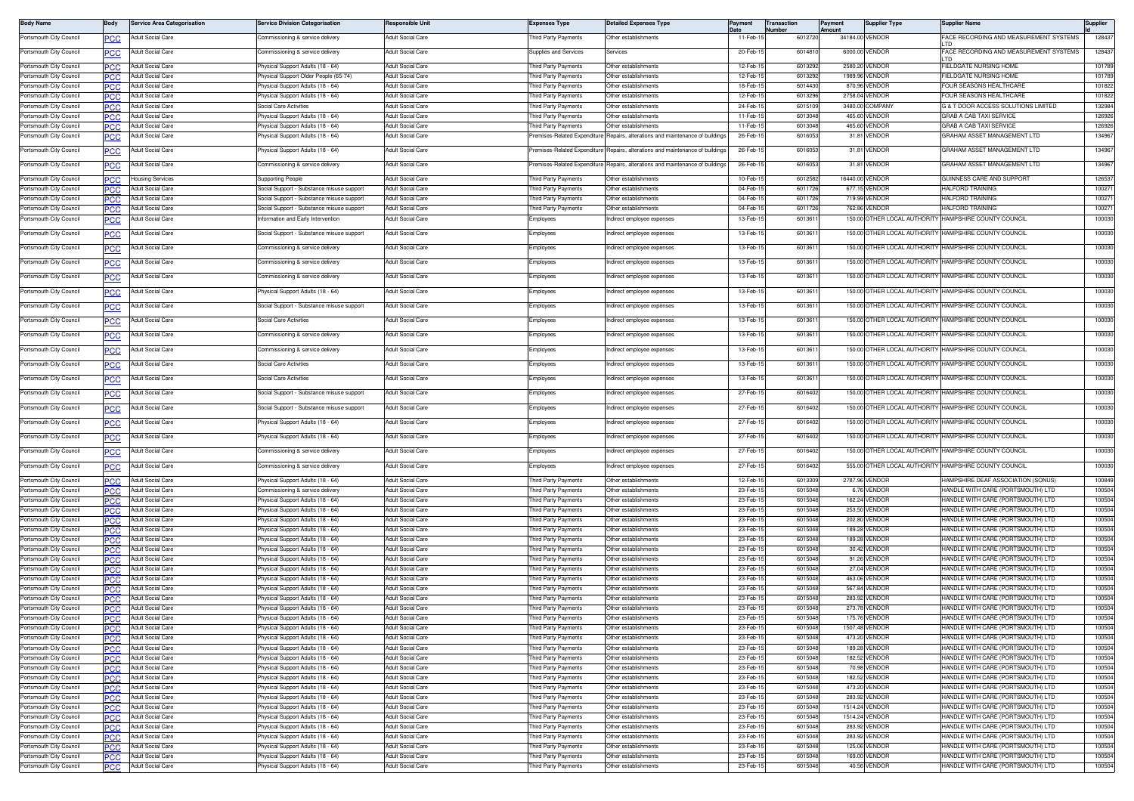| <b>Body Name</b>                                   | 3ody        | <b>Service Area Categorisation</b>                   | ervice Division Categorisation                                             | <b>Responsible Unit</b>                       | Expenses Type                                     | <b>Detailed Expenses Type</b>                     | Payment              | Transaction<br>Number | Payment<br>Amount | <b>Supplier Type</b>             | Supplier Name                                                          | Supplier         |
|----------------------------------------------------|-------------|------------------------------------------------------|----------------------------------------------------------------------------|-----------------------------------------------|---------------------------------------------------|---------------------------------------------------|----------------------|-----------------------|-------------------|----------------------------------|------------------------------------------------------------------------|------------------|
| Portsmouth City Council                            | ٥СС         | Adult Social Care                                    | Commissioning & service delivery                                           | Adult Social Care                             | hird Party Payments                               | Other establishments                              | 11-Feb-1             | 6012720               |                   | 34184.00 VENDOR                  | FACE RECORDING AND MEASUREMENT SYSTEMS                                 | 128437           |
| Portsmouth City Council                            | ٥СС         | <b>Adult Social Care</b>                             | ommissioning & service delivery                                            | Adult Social Care                             | upplies and Services                              | ervices                                           | 20-Feb-              | 601481                | 6000.00           | VENDOR                           | ACE RECORDING AND MEASUREMENT SYSTEMS                                  | 128437           |
|                                                    |             |                                                      |                                                                            |                                               |                                                   |                                                   |                      |                       |                   |                                  | <b>TD</b>                                                              |                  |
| Portsmouth City Council<br>Portsmouth City Council |             | <b>Adult Social Care</b><br><b>Adult Social Care</b> | 'hysical Support Adults (18 - 64)<br>Physical Support Older People (65-74) | Adult Social Care<br>Adult Social Care        | hird Party Payments<br>hird Party Payments        | Other establishments<br>Other establishments      | 12-Feb-1<br>12-Feb-1 | 601329<br>601329      |                   | 2580.20 VENDOF<br>1989.96 VENDOR | <b>IELDGATE NURSING HOME</b><br>FIELDGATE NURSING HOME                 | 101789<br>101789 |
| Portsmouth City Council                            | PCC         | <b>Adult Social Care</b>                             | Physical Support Adults (18 - 64)                                          | <b>Adult Social Care</b>                      | hird Party Payments                               | Other establishments                              | 18-Feb-1             | 6014430               | 870.96            | VENDOR                           | FOUR SEASONS HEALTHCARE                                                | 101822           |
| Portsmouth City Council                            | 'CC         | <b>Adult Social Care</b>                             | Physical Support Adults (18 - 64)                                          | Adult Social Care                             | hird Party Payments                               | Other establishments                              | 12-Feb-1             | 601329                |                   | 2758.04 VENDOR                   | FOUR SEASONS HEALTHCARE                                                | 101822           |
| Portsmouth City Council                            |             | <b>Adult Social Care</b>                             | Social Care Activities                                                     | <b>Adult Social Care</b>                      | hird Party Payments                               | Other establishments                              | 24-Feb-              | 601510                | 3480.00           | COMPAN'                          | 3 & T DOOR ACCESS SOLUTIONS LIMITED                                    | 132984           |
| Portsmouth City Council                            |             | <b>Adult Social Care</b>                             | hysical Support Adults (18 - 64)                                           | dult Social Care                              | hird Party Payments                               | Other establishments                              | $11-Feb-$            | 60130                 | 465.60            | VENDOR                           | GRAB A CAB TAXI SERVICE                                                | 126926           |
| Portsmouth City Council                            | PCC.        | <b>Adult Social Care</b>                             | hysical Support Adults (18 - 64)                                           | <b>Adult Social Care</b>                      | nird Party Payments                               | Other establishments                              | 11-Feb-              | 601304                | 465.60            | /ENDOR                           | GRAB A CAB TAXI SERVICE                                                | 126926           |
| Portsmouth City Council                            | сc          | Adult Social Care                                    | hysical Support Adults (18 - 64)                                           | Adult Social Care                             | emises-Related Expenditure                        | Repairs, alterations and maintenance of building  | 26-Feb-1             | 601605                |                   | 31.81 VENDOR                     | GRAHAM ASSET MANAGEMENT LTD                                            | 134967           |
| Portsmouth City Council                            | сC          | Adult Social Care                                    | hysical Support Adults (18 - 64)                                           | Adult Social Care                             | remises-Related Expenditure                       | Repairs, alterations and maintenance of buildings | 26-Feb-1             | 6016053               |                   | 31.81 VENDOR                     | GRAHAM ASSET MANAGEMENT LTD                                            | 134967           |
| Portsmouth City Council                            | PСC         | Adult Social Care                                    | ommissioning & service delivery                                            | Adult Social Care                             | emises-Related Expenditure                        | Repairs, alterations and maintenance of buildings | 26-Feb-1             | 601605                |                   | 31.81 VENDOR                     | GRAHAM ASSET MANAGEMENT LTD                                            | 134967           |
| Portsmouth City Council                            |             | <b>Housing Services</b>                              | Supporting People                                                          | <b>Adult Social Care</b>                      | hird Party Payments                               | Other establishments                              | 10-Feb-1             | 6012582               |                   | 16440.00 VENDOR                  | GUINNESS CARE AND SUPPORT                                              | 126537           |
| Portsmouth City Council                            | PСC         | Adult Social Care                                    | Social Support - Substance misuse support                                  | Adult Social Care                             | hird Party Payments                               | Other establishments                              | 04-Feb-1             | 601172                | 677.15            | <b>VENDOR</b>                    | HALFORD TRAINING                                                       | 100271           |
| Portsmouth City Council                            |             | <b>Adult Social Care</b>                             | Social Support - Substance misuse support                                  | <b>Adult Social Care</b>                      | hird Party Payments                               | Other establishments                              | 04-Feb-              | 6011726               | 719.99            | VENDOR                           | HALFORD TRAINING                                                       | 100271           |
| Portsmouth City Council                            | 'CC         | <b>Adult Social Care</b>                             | locial Support - Substance misuse support                                  | Adult Social Care                             | hird Party Payments                               | Other establishments                              | 04-Feb-1             | 601172                | 762.86            | VENDOR                           | HALFORD TRAINING                                                       | 100271           |
| Portsmouth City Council                            | сc          | <b>Adult Social Care</b>                             | nformation and Early Interventior                                          | <b>Adult Social Care</b>                      | imployees                                         | ndirect employee expenses                         | 13-Feb-1             | 601361                |                   | 150.00 OTHER LOCAL AUTHORITY     | HAMPSHIRE COUNTY COUNCIL                                               | 100030           |
| Portsmouth City Council                            | PСC         | Adult Social Care                                    | locial Support - Substance misuse support                                  | Adult Social Care                             | Employees                                         | ndirect employee expenses                         | 13-Feb-1             | 601361                |                   |                                  | 150.00 OTHER LOCAL AUTHORITY HAMPSHIRE COUNTY COUNCIL                  | 100030           |
| Portsmouth City Council                            | сc          | <b>Adult Social Care</b>                             | Commissioning & service delivery                                           | <b>Adult Social Care</b>                      | Employees                                         | Indirect employee expenses                        | 13-Feb-1             | 601361                |                   |                                  | 150.00 OTHER LOCAL AUTHORITY HAMPSHIRE COUNTY COUNCIL                  | 100030           |
| Portsmouth City Council                            | <u>PCC</u>  | Adult Social Care                                    | Commissioning & service delivery                                           | Adult Social Care                             | Employees                                         | Indirect employee expenses                        | 13-Feb-1             | 601361                |                   | 150.00 OTHER LOCAL AUTHORITY     | HAMPSHIRE COUNTY COUNCIL                                               | 100030           |
| Portsmouth City Council                            | сc          | Adult Social Care                                    | Commissioning & service delivery                                           | Adult Social Care                             | imployees                                         | ndirect employee expenses                         | 13-Feb-1             | 601361                |                   |                                  | 150.00 OTHER LOCAL AUTHORITY HAMPSHIRE COUNTY COUNCIL                  | 100030           |
|                                                    |             | Adult Social Care                                    | hysical Support Adults (18 - 64)                                           | Adult Social Care                             |                                                   |                                                   | 13-Feb-1             | 601361                |                   |                                  | 150.00 OTHER LOCAL AUTHORITY HAMPSHIRE COUNTY COUNCIL                  | 100030           |
| Portsmouth City Council                            | сc          |                                                      |                                                                            |                                               | imployees                                         | ndirect employee expenses                         |                      |                       |                   |                                  |                                                                        |                  |
| Portsmouth City Council                            | ٥СС         | Adult Social Care                                    | locial Support - Substance misuse support                                  | Adult Social Care                             | Employees                                         | ndirect employee expenses                         | 13-Feb-1             | 601361                |                   |                                  | 150.00 OTHER LOCAL AUTHORITY HAMPSHIRE COUNTY COUNCIL                  | 100030           |
| Portsmouth City Council                            | сc          | Adult Social Care                                    | Social Care Activities                                                     | <b>Adult Social Care</b>                      | Employees                                         | Indirect employee expenses                        | 13-Feb-1             | 601361                |                   |                                  | 150.00 OTHER LOCAL AUTHORITY HAMPSHIRE COUNTY COUNCIL                  | 100030           |
| Portsmouth City Council                            | <u>PCC</u>  | Adult Social Care                                    | Commissioning & service delivery                                           | Adult Social Care                             | imployees                                         | Indirect employee expenses                        | 13-Feb-1             | 601361                |                   | 150.00 OTHER LOCAL AUTHORITY     | HAMPSHIRE COUNTY COUNCIL                                               | 100030           |
| Portsmouth City Council                            | сC          | Adult Social Care                                    | Commissioning & service delivery                                           | Adult Social Care                             | imployees                                         | ndirect employee expenses                         | 13-Feb-1             | 60136                 |                   |                                  | 150.00 OTHER LOCAL AUTHORITY HAMPSHIRE COUNTY COUNCIL                  | 100030           |
| Portsmouth City Council                            | сC          | Adult Social Care                                    | ocial Care Activities                                                      | Adult Social Care                             | imployees                                         | Indirect employee expenses                        | 13-Feb-1             | 601361                |                   |                                  | 150.00 OTHER LOCAL AUTHORITY HAMPSHIRE COUNTY COUNCIL                  | 100030           |
| Portsmouth City Council                            | PСC         | Adult Social Care                                    | Social Care Activities                                                     | Adult Social Care                             | <b>Employees</b>                                  | ndirect emplovee expenses                         | 13-Feb-1             | 601361                |                   | 150.00 OTHER LOCAL AUTHORITY     | HAMPSHIRE COUNTY COUNCIL                                               | 100030           |
| Portsmouth City Council                            | сc          | Adult Social Care                                    | Social Support - Substance misuse support                                  | Adult Social Care                             | Employees                                         | Indirect employee expenses                        | 27-Feb-1             | 6016402               |                   |                                  | 150.00 OTHER LOCAL AUTHORITY HAMPSHIRE COUNTY COUNCIL                  | 100030           |
| Portsmouth City Council                            | ٥СС         | Adult Social Care                                    | iocial Support - Substance misuse support                                  | Adult Social Care                             | :mployees                                         | ndirect employee expenses                         | 27-Feb-1             | 6016402               |                   | 150.00 OTHER LOCAL AUTHORITY     | HAMPSHIRE COUNTY COUNCIL                                               | 100030           |
| Portsmouth City Council                            | сc          | Adult Social Care                                    | 'hysical Support Adults (18 - 64)                                          | Adult Social Care                             | imployees                                         | ndirect employee expenses                         | 27-Feb-15            | 6016402               |                   | 150.00 OTHER LOCAL AUTHORITY     | HAMPSHIRE COUNTY COUNCIL                                               | 100030           |
| Portsmouth City Council                            | сc          | Adult Social Care                                    | hysical Support Adults (18 - 64)                                           | Adult Social Care                             | Employees                                         | Indirect employee expenses                        | 27-Feb-1             | 6016402               |                   |                                  | 150.00 OTHER LOCAL AUTHORITY HAMPSHIRE COUNTY COUNCIL                  | 100030           |
| Portsmouth City Council                            | ٥СС         | Adult Social Care                                    | commissioning & service delivery                                           | Adult Social Care                             | Employees                                         | ndirect employee expenses                         | 27-Feb-1             | 6016402               |                   |                                  | 150.00 OTHER LOCAL AUTHORITY HAMPSHIRE COUNTY COUNCIL                  | 100030           |
| Portsmouth City Council                            | сC          | <b>Adult Social Care</b>                             | Commissioning & service delivery                                           | <b>Adult Social Care</b>                      | Employees                                         | Indirect employee expenses                        | 27-Feb-1             | 6016402               |                   |                                  | 555.00 OTHER LOCAL AUTHORITY HAMPSHIRE COUNTY COUNCIL                  | 100030           |
| Portsmouth City Council                            |             | <b>Adult Social Care</b>                             | Physical Support Adults (18 - 64)                                          | Adult Social Care                             | hird Party Payments                               | Other establishments                              | 12-Feb-1             | 601330                |                   | 2787.96 VENDOR                   | HAMPSHIRE DEAF ASSOCIATION (SONUS)                                     | 100849           |
| Portsmouth City Council                            | PCC         | Adult Social Care                                    | Commissioning & service delivery                                           | Adult Social Care                             | hird Party Payments                               | Other establishments                              | 23-Feb-1             | 601504                |                   | 6.76 VENDOR                      | HANDLE WITH CARE (PORTSMOUTH) LTD                                      | 100504           |
| Portsmouth City Council                            | PCC         | <b>Adult Social Care</b>                             | Physical Support Adults (18 - 64)                                          | Adult Social Care                             | hird Party Payments                               | Other establishments                              | 23-Feb-1             | 601504                |                   | 162.24 VENDOR                    | HANDLE WITH CARE (PORTSMOUTH) LTD                                      | 100504           |
| Portsmouth City Council                            |             | <b>Adult Social Care</b>                             | Physical Support Adults (18 - 64)                                          | <b>Adult Social Care</b>                      | hird Party Payments                               | Other establishments                              | 23-Feb-              | 601504                | 253.5             | /ENDOR                           | HANDLE WITH CARE (PORTSMOUTH) LTD                                      | 100504           |
| Portsmouth City Council                            | °CC         | Adult Social Care                                    | hysical Support Adults (18 - 64)                                           | Adult Social Care                             | hird Party Payments                               | Other establishments                              | 23-Feb-              | 601504                | 202.80            | VENDOR                           | HANDLE WITH CARE (PORTSMOUTH) LTD                                      | 100504           |
| Portsmouth City Council                            | <b>CC</b>   | <b>Adult Social Care</b>                             | hysical Support Adults (18 - 64)                                           | <b>Adult Social Care</b>                      | hird Party Payments                               | Other establishments                              | 23-Feb-1             | 601504                | 189.28            | VENDOR                           | HANDLE WITH CARE (PORTSMOUTH) LTD                                      | 100504           |
| Portsmouth City Council                            | 'CC         | <b>Adult Social Care</b>                             | hysical Support Adults (18 - 64                                            | <b>Adult Social Care</b>                      | hird Party Payments                               | Other establishments                              | 23-Feb-              | 60150                 |                   | 189.28 VENDOR                    | HANDLE WITH CARE (PORTSMOUTH) LTD                                      | 100504           |
| Portsmouth City Council                            | PCC         | <b>Adult Social Care</b>                             | Physical Support Adults (18 - 64)                                          | Adult Social Care                             | hird Party Payments                               | Other establishments                              | 23-Feb-              | 60150                 |                   | 30.42 VENDOR                     | HANDLE WITH CARE (PORTSMOUTH) LTD                                      | 100504           |
| Portsmouth City Council                            |             | Adult Social Care                                    | 'hysical Support Adults (18 - 64)                                          | Adult Social Care                             | hird Party Payments                               | Other establishments                              | 23-Feb-              | 601504                |                   | 91.26 VENDOR                     | HANDLE WITH CARE (PORTSMOUTH) LTD                                      | 100504           |
| Portsmouth City Council                            | ንርር         | <b>Adult Social Care</b>                             | hysical Support Adults (18 - 64)                                           | Adult Social Care                             | hird Party Payments                               | Other establishments                              | 23-Feb-1             | 60150                 | 27.04             | VENDOR                           | HANDLE WITH CARE (PORTSMOUTH) LTD                                      | 100504           |
| Portsmouth City Council                            |             | <b>Adult Social Care</b>                             | Physical Support Adults (18 - 64)<br>hysical Support Adults (18 - 64)      | Adult Social Care                             | hird Party Payments<br><b>hird Party Payments</b> | Other establishments                              | 23-Feb-1             | 601504<br>601504      |                   | 463.06 VENDOR                    | HANDLE WITH CARE (PORTSMOUTH) LTD                                      | 100504           |
| Portsmouth City Council                            | 'CC         | Adult Social Care                                    |                                                                            | Adult Social Care                             |                                                   | Other establishments<br>Other establishments      | 23-Feb-<br>23-Feb-   | 601504                | 567.84<br>283.9   | VENDOR                           | HANDLE WITH CARE (PORTSMOUTH) LTD                                      | 100504<br>100504 |
| Portsmouth City Council<br>Portsmouth City Council |             | Adult Social Care<br><b>Adult Social Care</b>        | hysical Support Adults (18 - 64)<br>hysical Support Adults (18 - 64)       | <b>Adult Social Care</b><br>Adult Social Care | hird Party Payments<br>hird Party Payments        | Other establishments                              | 23-Feb-              | 60150                 | 273.7             | <b>ENDOR</b><br><b>ENDOR</b>     | HANDLE WITH CARE (PORTSMOUTH) LTD<br>HANDLE WITH CARE (PORTSMOUTH) LTD | 100504           |
| Portsmouth City Council                            | °СС<br>PCC. | <b>Adult Social Care</b>                             | hysical Support Adults (18 - 64)                                           | <b>Adult Social Care</b>                      | hird Party Payments                               | Other establishments                              | 23-Feb-1             | 601504                | 175.76            | /ENDOR                           | HANDLE WITH CARE (PORTSMOUTH) LTD                                      | 100504           |
| Portsmouth City Council                            | PCC         | Adult Social Care                                    | Physical Support Adults (18 - 64)                                          | Adult Social Care                             | Third Party Payments                              | Other establishments                              | 23-Feb-15            | 6015048               |                   | 1507.48 VENDOR                   | HANDLE WITH CARE (PORTSMOUTH) LTD                                      | 100504           |
| Portsmouth City Council                            | PCC.        | <b>Adult Social Care</b>                             | Physical Support Adults (18 - 64)                                          | Adult Social Care                             | hird Party Payments                               | Other establishments                              | 23-Feb-1             | 601504                |                   | 473.20 VENDOR                    | HANDLE WITH CARE (PORTSMOUTH) LTD                                      | 100504           |
| Portsmouth City Council                            | 'CC         | Adult Social Care                                    | Physical Support Adults (18 - 64)                                          | Adult Social Care                             | hird Party Payments                               | Other establishments                              | 23-Feb-1             | 601504                |                   | 189.28 VENDOR                    | HANDLE WITH CARE (PORTSMOUTH) LTD                                      | 100504           |
| Portsmouth City Council                            | ንርር         | <b>Adult Social Care</b>                             | hysical Support Adults (18 - 64)                                           | <b>Adult Social Care</b>                      | hird Party Payments                               | Other establishments                              | 23-Feb-1             | 601504                |                   | 182.52 VENDOR                    | HANDLE WITH CARE (PORTSMOUTH) LTD                                      | 100504           |
| Portsmouth City Council                            | сc          | <b>Adult Social Care</b>                             | Physical Support Adults (18 - 64)                                          | Adult Social Care                             | hird Party Payments                               | Other establishments                              | 23-Feb-1             | 601504                |                   | 70.98 VENDOR                     | HANDLE WITH CARE (PORTSMOUTH) LTD                                      | 100504           |
| Portsmouth City Council                            | PCC         | Adult Social Care                                    | Physical Support Adults (18 - 64)                                          | Adult Social Care                             | hird Party Payments                               | Other establishments                              | 23-Feb-1             | 601504                |                   | 182.52 VENDOR                    | HANDLE WITH CARE (PORTSMOUTH) LTD                                      | 100504           |
| Portsmouth City Council                            |             | Adult Social Care                                    | Physical Support Adults (18 - 64)                                          | Adult Social Care                             | hird Party Payments                               | Other establishments                              | 23-Feb-              | 601504                |                   | 473.20 VENDOR                    | HANDLE WITH CARE (PORTSMOUTH) LTD                                      | 100504           |
| Portsmouth City Council                            | 'CC         | <b>Adult Social Care</b>                             | hysical Support Adults (18 - 64)                                           | Adult Social Care                             | hird Party Payments                               | Other establishments                              | 23-Feb-1             | 601504                |                   | 283.92 VENDOR                    | HANDLE WITH CARE (PORTSMOUTH) LTD                                      | 100504           |
| Portsmouth City Council                            | <b>PCC</b>  | Adult Social Care                                    | Physical Support Adults (18 - 64)                                          | Adult Social Care                             | hird Party Payments                               | Other establishments                              | 23-Feb-1             | 601504                |                   | 1514.24 VENDOR                   | HANDLE WITH CARE (PORTSMOUTH) LTD                                      | 100504           |
| Portsmouth City Council                            | PСC         | Adult Social Care                                    | Physical Support Adults (18 - 64)                                          | Adult Social Care                             | hird Party Payments                               | Other establishments                              | 23-Feb-1             | 601504                |                   | 1514.24 VENDOR                   | HANDLE WITH CARE (PORTSMOUTH) LTD                                      | 100504           |
| Portsmouth City Council                            | PCC         | <b>Adult Social Care</b>                             | Physical Support Adults (18 - 64)                                          | <b>Adult Social Care</b>                      | hird Party Payments                               | Other establishments                              | 23-Feb-1             | 601504                |                   | 283.92 VENDOR                    | HANDLE WITH CARE (PORTSMOUTH) LTD                                      | 100504           |
| Portsmouth City Council                            |             | <b>Adult Social Care</b>                             | hysical Support Adults (18 - 64)                                           | <b>Adult Social Care</b>                      | hird Party Payments                               | Other establishments                              | 23-Feb-1             | 601504                |                   | 283.92 VENDOR                    | HANDLE WITH CARE (PORTSMOUTH) LTD                                      | 100504           |
| Portsmouth City Council                            | PСC         | Adult Social Care                                    | hysical Support Adults (18 - 64)                                           | <b>Adult Social Care</b>                      | hird Party Payments                               | Other establishments                              | 23-Feb-1             | 601504                |                   | 125.06 VENDOR                    | HANDLE WITH CARE (PORTSMOUTH) LTD                                      | 100504           |
| Portsmouth City Council                            | сc          | Adult Social Care                                    | Physical Support Adults (18 - 64)                                          | Adult Social Care                             | hird Party Payments                               | Other establishments                              | 23-Feb-1             | 601504                |                   | 169.00 VENDOR                    | HANDLE WITH CARE (PORTSMOUTH) LTD                                      | 100504           |
| Portsmouth City Council                            | PCC         | Adult Social Care                                    | Physical Support Adults (18 - 64)                                          | <b>Adult Social Care</b>                      | hird Party Payments                               | Other establishments                              | 23-Feb-1             | 601504                |                   | 40.56 VENDOR                     | HANDLE WITH CARE (PORTSMOUTH) LTD                                      | 100504           |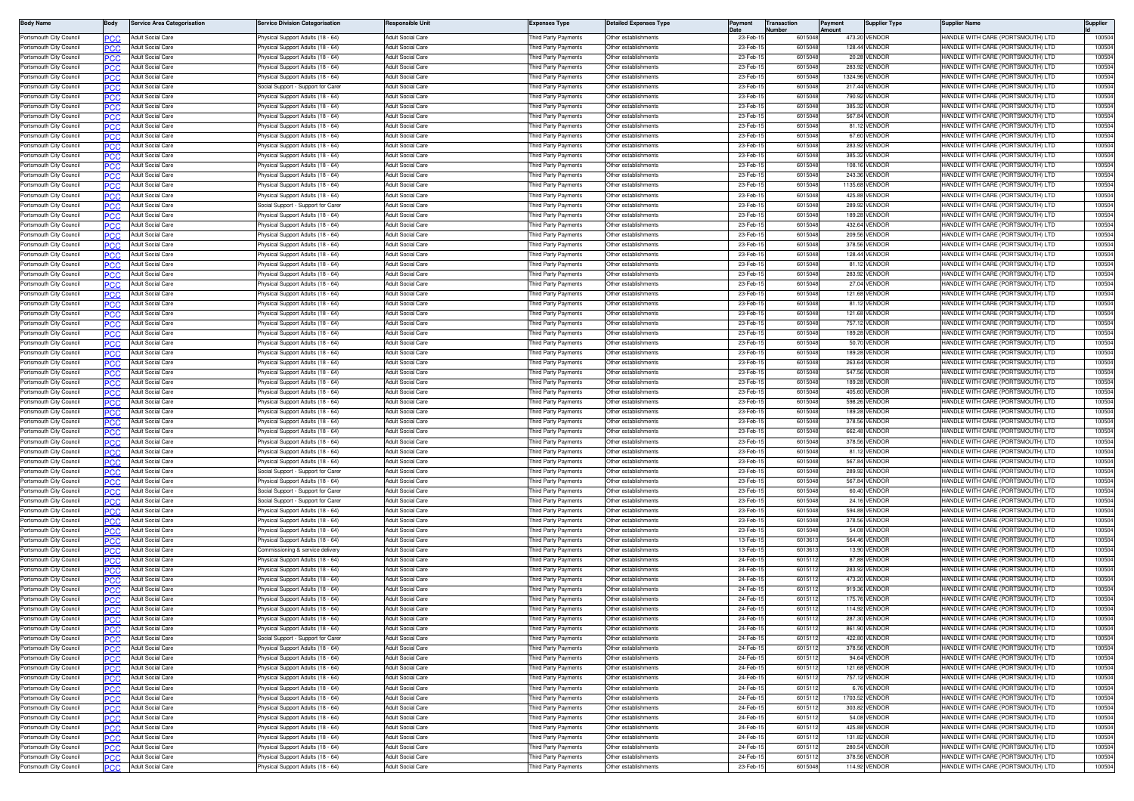| <b>Body Name</b>                                   | Body              | <b>Service Area Categorisation</b>     | <b>Service Division Categorisation</b>                                 | Responsible Unit                                     | <b>Expenses Type</b>                       | <b>Detailed Expenses Type</b>                | <b>Transaction</b><br>Payment<br>Vumber | ayment<br>Amount | Supplier Type                  | <b>Supplier Name</b>                                                   | Supplier        |
|----------------------------------------------------|-------------------|----------------------------------------|------------------------------------------------------------------------|------------------------------------------------------|--------------------------------------------|----------------------------------------------|-----------------------------------------|------------------|--------------------------------|------------------------------------------------------------------------|-----------------|
| Portsmouth City Council                            |                   | Adult Social Care                      | Physical Support Adults (18 - 64)                                      | <b>Adult Social Care</b>                             | hird Party Payments                        | Other establishments                         | 23-Feb-<br>601504                       |                  | 473.20 VENDOR                  | HANDLE WITH CARE (PORTSMOUTH) LTD                                      | 10050           |
| Portsmouth City Council                            | PCC               | Adult Social Care                      | hysical Support Adults (18 - 64)                                       | Adult Social Care                                    | hird Party Payments                        | Other establishments                         | 23-Feb-<br>601504                       |                  | 128.44 VENDOR                  | HANDLE WITH CARE (PORTSMOUTH) LTD                                      | 10050           |
| Portsmouth City Council                            |                   | Adult Social Care                      | hysical Support Adults (18 - 64                                        | <b>Adult Social Care</b>                             | hird Party Payments                        | Other establishments                         | 23-Feb-<br>601504                       | 20.28            | VENDOR                         | HANDLE WITH CARE (PORTSMOUTH) LTD                                      | 10050           |
| Portsmouth City Council                            |                   | Adult Social Care                      | nysical Support Adults (18 - 64                                        | Adult Social Care                                    | iird Party Payments                        | ther establishments                          | 23-Feb<br>60150                         | 283.92           | VENDOR                         | HANDLE WITH CARE (PORTSMOUTH) LTD                                      | 10050           |
| Portsmouth City Council                            | <b>PCC</b>        | Adult Social Care                      | hysical Support Adults (18 - 64                                        | <b>Adult Social Care</b>                             | hird Party Payments                        | Other establishments                         | 23-Feb-<br>601504                       |                  | 1324.96 VENDOR                 | HANDLE WITH CARE (PORTSMOUTH) LTD                                      | 10050           |
| Portsmouth City Council                            |                   | <b>Adult Social Care</b>               | Social Support - Support for Carer                                     | Adult Social Care                                    | hird Party Payments                        | Other establishments                         | 23-Feb-<br>601504                       |                  | 217.44 VENDOR                  | HANDLE WITH CARE (PORTSMOUTH) LTD                                      | 10050           |
| Portsmouth City Council                            | PCC               | <b>Adult Social Care</b>               | <sup>2</sup> hysical Support Adults (18 - 64)                          | <b>Adult Social Care</b>                             | hird Party Payments                        | Other establishments                         | 23-Feb-<br>601504                       |                  | 790.92 VENDOR                  | HANDLE WITH CARE (PORTSMOUTH) LTD                                      | 10050           |
| Portsmouth City Council                            |                   | <b>Adult Social Care</b>               | hysical Support Adults (18 - 64)                                       | <b>Adult Social Care</b>                             | hird Party Payments                        | ther establishments                          | 23-Feb-<br>601504                       | 385.32           | <b>VENDOR</b>                  | HANDLE WITH CARE (PORTSMOUTH) LTD                                      | 10050           |
| Portsmouth City Council                            |                   | <b>Adult Social Care</b>               | hysical Support Adults (18 - 64)                                       | <b>Adult Social Care</b>                             | hird Party Payments                        | Other establishments                         | 23-Feb-<br>601504                       |                  | 567.84 VENDOR                  | HANDLE WITH CARE (PORTSMOUTH) LTD                                      | 10050           |
| Portsmouth City Council                            |                   | Adult Social Care                      | Physical Support Adults (18 - 64                                       | <b>Adult Social Care</b>                             | hird Party Payments                        | Other establishments                         | 23-Feb-<br>601504                       |                  | 81.12 VENDOR                   | HANDLE WITH CARE (PORTSMOUTH) LTD                                      | 10050           |
| Portsmouth City Council                            |                   | Adult Social Care                      | hysical Support Adults (18 - 64)                                       | Adult Social Care                                    | hird Party Payments                        | ther establishments                          | 23-Feb-<br>601504<br>601504             |                  | 67.60 VENDOR                   | <b>IANDLE WITH CARE (PORTSMOUTH) LTD</b>                               | 10050           |
| Portsmouth City Council<br>Portsmouth City Council | PCC               | Adult Social Care<br>Adult Social Care | hysical Support Adults (18 - 64)<br>nysical Support Adults (18 - 64    | <b>Adult Social Care</b><br><b>Adult Social Care</b> | hird Party Payments<br>hird Party Payments | Other establishments<br>Other establishments | 23-Feb-<br>23-Feb-<br>601504            |                  | 283.92 VENDOR<br>385.32 VENDOR | HANDLE WITH CARE (PORTSMOUTH) LTD<br>HANDLE WITH CARE (PORTSMOUTH) LTD | 10050<br>10050  |
| Portsmouth City Council                            |                   | Adult Social Care                      | Physical Support Adults (18 - 64)                                      | Adult Social Care                                    | hird Party Payments                        | Other establishments                         | 23-Feb-<br>601504                       |                  | 108.16 VENDOR                  | HANDLE WITH CARE (PORTSMOUTH) LTD                                      | 10050           |
| Portsmouth City Council                            | <b>PCC</b><br>PCC | Adult Social Care                      | Physical Support Adults (18 - 64)                                      | Adult Social Care                                    | hird Party Payments                        | Other establishments                         | 23-Feb-<br>601504                       |                  | 243.36 VENDOR                  | HANDLE WITH CARE (PORTSMOUTH) LTD                                      | 10050           |
| Portsmouth City Council                            | PCC               | Adult Social Care                      | hysical Support Adults (18 - 64)                                       | Adult Social Care                                    | hird Party Payments                        | Other establishments                         | 23-Feb-<br>601504                       | 1135.68          | VENDOR                         | HANDLE WITH CARE (PORTSMOUTH) LTD                                      | 10050           |
| Portsmouth City Council                            |                   | Adult Social Care                      | Physical Support Adults (18 - 64)                                      | <b>Adult Social Care</b>                             | hird Party Payments                        | Other establishments                         | 23-Feb-<br>601504                       | 425.88           | VENDOR                         | HANDLE WITH CARE (PORTSMOUTH) LTD                                      | 10050           |
| Portsmouth City Council                            |                   | <b>Adult Social Care</b>               | Social Support - Support for Care                                      | Adult Social Care                                    | aird Party Payments                        | Other establishments                         | 23-Feb-<br>601504                       | 289.92           | VENDOF                         | <b>IANDLE WITH CARE (PORTSMOUTH) LTD</b>                               | 10050           |
| Portsmouth City Council                            |                   | Adult Social Care                      | hysical Support Adults (18 - 64                                        | <b>Adult Social Care</b>                             | hird Party Payments                        | Other establishments                         | 23-Feb-<br>601504                       |                  | 189.28 VENDOF                  | HANDLE WITH CARE (PORTSMOUTH) LTD                                      | 10050           |
| Portsmouth City Council                            |                   | Adult Social Care                      | hysical Support Adults (18 - 64                                        | <b>Adult Social Care</b>                             | nird Party Payments                        | Other establishments                         | 23-Feb-<br>601504                       |                  | 432.64 VENDOR                  | IANDLE WITH CARE (PORTSMOUTH) LTD                                      | 10050           |
| Portsmouth City Council                            | PCC               | Adult Social Care                      | hysical Support Adults (18 - 64                                        | <b>Adult Social Care</b>                             | hird Party Payments                        | Other establishments                         | 23-Feb-<br>601504                       |                  | 209.56 VENDOR                  | HANDLE WITH CARE (PORTSMOUTH) LTD                                      | 10050           |
| Portsmouth City Council                            |                   | Adult Social Care                      | hysical Support Adults (18 - 64                                        | <b>Adult Social Care</b>                             | nird Party Payments                        | Other establishments                         | 23-Feb<br>601504                        |                  | 378.56 VENDOF                  | HANDLE WITH CARE (PORTSMOUTH) LTD                                      | 10050           |
| Portsmouth City Council                            | PCC               | Adult Social Care                      | Physical Support Adults (18 - 64                                       | Adult Social Care                                    | hird Party Payments                        | Other establishments                         | 23-Feb-<br>601504                       |                  | 128.44 VENDOR                  | HANDLE WITH CARE (PORTSMOUTH) LTD                                      | 10050           |
| Portsmouth City Council                            |                   | Adult Social Care                      | Physical Support Adults (18 - 64                                       | Adult Social Care                                    | hird Party Payments                        | Other establishments                         | 23-Feb-<br>601504                       |                  | 81.12 VENDOR                   | HANDLE WITH CARE (PORTSMOUTH) LTD                                      | 10050           |
| Portsmouth City Council                            | PCC               | Adult Social Care                      | Physical Support Adults (18 - 64                                       | Adult Social Care                                    | hird Party Payments                        | Other establishments                         | 23-Feb-<br>601504                       |                  | 283.92 VENDOR                  | HANDLE WITH CARE (PORTSMOUTH) LTD                                      | 10050           |
| Portsmouth City Council                            |                   | <b>Adult Social Care</b>               | Physical Support Adults (18 - 64                                       | <b>Adult Social Care</b>                             | hird Party Payments                        | Other establishments                         | 23-Feb-<br>601504                       | 27.04            | VENDOR                         | HANDLE WITH CARE (PORTSMOUTH) LTD                                      | 10050           |
| Portsmouth City Council                            |                   | <b>Adult Social Care</b>               | hysical Support Adults (18 - 64)                                       | Adult Social Care                                    | hird Party Payments                        | Other establishments                         | 23-Feb-<br>601504                       | 121.68           | VENDOR                         | IANDLE WITH CARE (PORTSMOUTH) LTD                                      | 10050           |
| Portsmouth City Council                            | PCC               | Adult Social Care                      | Physical Support Adults (18 - 64                                       | <b>Adult Social Care</b>                             | hird Party Payments                        | Other establishments                         | 23-Feb-<br>601504                       |                  | 81.12 VENDOR                   | HANDLE WITH CARE (PORTSMOUTH) LTD                                      | 10050           |
| Portsmouth City Council                            |                   | Adult Social Care                      | hysical Support Adults (18 - 64                                        | <b>Adult Social Care</b>                             | hird Party Payments                        | )ther establishment                          | 23-Feb-<br>601504                       |                  | 121.68 VENDOR                  | HANDLE WITH CARE (PORTSMOUTH) LTD                                      | 10050           |
| Portsmouth City Council<br>Portsmouth City Council | <b>PCC</b>        | Adult Social Care<br>Adult Social Care | Physical Support Adults (18 - 64                                       | Adult Social Care<br>Adult Social Care               | Third Party Payments                       | Other establishments<br>Other establishments | 23-Feb-<br>601504<br>23-Feb-<br>601504  |                  | 757.12 VENDOR<br>189.28 VENDOR | HANDLE WITH CARE (PORTSMOUTH) LTD<br>HANDLE WITH CARE (PORTSMOUTH) LTD | 10050<br>10050  |
| Portsmouth City Council                            | PCC               | Adult Social Care                      | 'hysical Support Adults (18 - 64)<br>Physical Support Adults (18 - 64) | <b>Adult Social Care</b>                             | hird Party Payments<br>hird Party Payments | Other establishments                         | 23-Feb-<br>601504                       |                  | 50.70 VENDOR                   | HANDLE WITH CARE (PORTSMOUTH) LTD                                      | 10050           |
| Portsmouth City Council                            |                   | Adult Social Care                      | Physical Support Adults (18 - 64                                       | <b>Adult Social Care</b>                             | hird Party Payments                        | Other establishments                         | 23-Feb-<br>601504                       |                  | 189.28 VENDOR                  | HANDLE WITH CARE (PORTSMOUTH) LTD                                      | 10050           |
| Portsmouth City Council                            | PCC               | Adult Social Care                      | hysical Support Adults (18 - 64)                                       | Adult Social Care                                    | aird Party Payments                        | Other establishments                         | 23-Feb-<br>601504                       |                  | 263.64 VENDOR                  | HANDLE WITH CARE (PORTSMOUTH) LTD                                      | 10050           |
| Portsmouth City Council                            |                   | Adult Social Care                      | hysical Support Adults (18 - 64)                                       | <b>Adult Social Care</b>                             | hird Party Payments                        | Other establishments                         | 23-Feb-<br>601504                       | 547.5            | <b>VENDOF</b>                  | HANDLE WITH CARE (PORTSMOUTH) LTD                                      | 10050           |
| Portsmouth City Council                            |                   | <b>Adult Social Care</b>               | hysical Support Adults (18 - 64)                                       | Adult Social Care                                    | aird Party Payments                        | Other establishments                         | 23-Feb-<br>601504                       | 189.28           | <b>VENDOF</b>                  | <b>IANDLE WITH CARE (PORTSMOUTH) LTD</b>                               | 10050           |
| Portsmouth City Council                            | PCC               | Adult Social Care                      | hysical Support Adults (18 - 64                                        | Adult Social Care                                    | hird Party Payments                        | Other establishments                         | 23-Feb-<br>601504                       |                  | 405.60 VENDOR                  | HANDLE WITH CARE (PORTSMOUTH) LTD                                      | 10050           |
| Portsmouth City Council                            | عرد               | Adult Social Care                      | hysical Support Adults (18 - 64                                        | <b>Adult Social Care</b>                             | hird Party Payments                        | Other establishments                         | 23-Feb-<br>60150                        |                  | 598.26 VENDOR                  | HANDLE WITH CARE (PORTSMOUTH) LTD                                      | 10050           |
| Portsmouth City Council                            | <b>PCC</b>        | Adult Social Care                      | hysical Support Adults (18 - 64                                        | <b>Adult Social Care</b>                             | hird Party Payments                        | Other establishments                         | 23-Feb-<br>601504                       |                  | 189.28 VENDOR                  | HANDLE WITH CARE (PORTSMOUTH) LTD                                      | 10050           |
| Portsmouth City Council                            | PCC               | Adult Social Care                      | hysical Support Adults (18 - 64                                        | <b>Adult Social Care</b>                             | hird Party Payments                        | Other establishments                         | 23-Feb-<br>601504                       |                  | 378.56 VENDOF                  | HANDLE WITH CARE (PORTSMOUTH) LTD                                      | 10050           |
| Portsmouth City Council                            | PCC               | Adult Social Care                      | Physical Support Adults (18 - 64                                       | <b>Adult Social Care</b>                             | hird Party Payments                        | Other establishments                         | 23-Feb-<br>601504                       |                  | 662.48 VENDOR                  | HANDLE WITH CARE (PORTSMOUTH) LTD                                      | 10050           |
| Portsmouth City Council                            |                   | Adult Social Care                      | Physical Support Adults (18 - 64                                       | <b>Adult Social Care</b>                             | hird Party Payments                        | Other establishments                         | 23-Feb-<br>601504                       |                  | 378.56 VENDOR                  | HANDLE WITH CARE (PORTSMOUTH) LTD                                      | 10050           |
| Portsmouth City Council                            | PCC               | Adult Social Care                      | hysical Support Adults (18 - 64)                                       | Adult Social Care                                    | hird Party Payments                        | Other establishments                         | 23-Feb-<br>601504                       | 81.12            | VENDOR                         | IANDLE WITH CARE (PORTSMOUTH) LTD                                      | 10050           |
| Portsmouth City Council                            |                   | Adult Social Care                      | hysical Support Adults (18 - 64)                                       | <b>Adult Social Care</b>                             | hird Party Payments                        | Other establishments                         | 23-Feb-<br>601504                       | 567.8            | VENDOR                         | HANDLE WITH CARE (PORTSMOUTH) LTD                                      | 10050           |
| Portsmouth City Council                            |                   | Adult Social Care                      | iocial Support - Support for Care                                      | Adult Social Care                                    | hird Party Payments                        | Other establishments                         | 23-Feb-<br>601504                       |                  | 289.92 VENDOR                  | HANDLE WITH CARE (PORTSMOUTH) LTD                                      | 10050           |
| Portsmouth City Council                            | PCC               | Adult Social Care                      | hysical Support Adults (18 - 64                                        | Adult Social Care                                    | hird Party Payments                        | Other establishments                         | 23-Feb-<br>601504                       |                  | 567.84 VENDOR                  | HANDLE WITH CARE (PORTSMOUTH) LTD                                      | 10050           |
| Portsmouth City Council                            |                   | Adult Social Care                      | Social Support - Support for Care                                      | <b>Adult Social Care</b>                             | hird Party Payments                        | Other establishments                         | 23-Feb-<br>601504                       |                  | 60.40 VENDOR                   | HANDLE WITH CARE (PORTSMOUTH) LTD                                      | 10050           |
| Portsmouth City Council<br>Portsmouth City Council |                   | Adult Social Care<br>Adult Social Care | Social Support - Support for Carer                                     | Adult Social Care<br>Adult Social Care               | Third Party Payments                       | Other establishments<br>Other establishments | 23-Feb-<br>601504<br>23-Feb<br>601504   | 594.88           | 24.16 VENDOR<br>VENDOR         | HANDLE WITH CARE (PORTSMOUTH) LTD<br>HANDLE WITH CARE (PORTSMOUTH) LTD | 10050<br>10050  |
| Portsmouth City Council                            |                   | <b>Adult Social Care</b>               | 'hysical Support Adults (18 - 64)<br>hysical Support Adults (18 - 64   | <b>Adult Social Care</b>                             | hird Party Payments<br>hird Party Payments | Other establishments                         | 23-Feb-<br>601504                       |                  | 378.56 VENDOR                  | HANDLE WITH CARE (PORTSMOUTH) LTD                                      | 10050           |
| Portsmouth City Council                            |                   | Adult Social Care                      | Physical Support Adults (18 - 64                                       | Adult Social Care                                    | hird Party Payments                        | Other establishments                         | 23-Feb-<br>601504                       |                  | 54.08 VENDOR                   | HANDLE WITH CARE (PORTSMOUTH) LTD                                      | 10050           |
| Portsmouth City Council                            |                   | Adult Social Care                      | hysical Support Adults (18 - 64)                                       | Adult Social Care                                    | aird Party Payments                        | Other establishments                         | 13-Feb-1<br>60136                       |                  | 564.46 VENDOR                  | IANDLE WITH CARE (PORTSMOUTH) LTD                                      | 10050           |
| Portsmouth City Council                            |                   | Adult Social Care                      | commissioning & service deliver                                        | <b>Adult Social Care</b>                             | hird Party Payments                        | Other establishments                         | 13-Feb-<br>60136                        | 13.90            | <b>VENDOR</b>                  | HANDLE WITH CARE (PORTSMOUTH) LTD                                      | 10050           |
| Portsmouth City Counci                             |                   | <b>Adult Social Care</b>               | hysical Support Adults (18 - 64                                        | Adult Social Care                                    | iird Party Payments                        | ther establishments                          | 24-Feb<br>60151                         | 87.8             | VENDOR                         | IANDLE WITH CARE (PORTSMOUTH) LTD                                      | 10050           |
| Portsmouth City Council                            | PCC               | Adult Social Care                      | hysical Support Adults (18 - 64                                        | <b>Adult Social Care</b>                             | hird Party Payments                        | Other establishments                         | 24-Feb-<br>60151                        |                  | 283.92 VENDOR                  | HANDLE WITH CARE (PORTSMOUTH) LTD                                      | 10050           |
| Portsmouth City Council                            |                   | <b>Adult Social Care</b>               | hysical Support Adults (18 - 64                                        | Adult Social Care                                    | hird Party Payments                        | Other establishments                         | 24-Feb-<br>601511                       |                  | 473.20 VENDOR                  | HANDLE WITH CARE (PORTSMOUTH) LTD                                      | 10050           |
| Portsmouth City Council                            | PCC               | Adult Social Care                      | 'hysical Support Adults (18 - 64)                                      | Adult Social Care                                    | hird Party Payments                        | Other establishments                         | 24-Feb-<br>601511                       |                  | 919.36 VENDOR                  | HANDLE WITH CARE (PORTSMOUTH) LTD                                      | 10050           |
| Portsmouth City Council                            |                   | <b>Adult Social Care</b>               | hysical Support Adults (18 - 64                                        | <b>Adult Social Care</b>                             | hird Party Payments                        | Other establishments                         | 24-Feb-<br>60151                        | 175.7            | VENDOR                         | HANDLE WITH CARE (PORTSMOUTH) LTD                                      | 10050           |
| Portsmouth City Council                            | PCC               | Adult Social Care                      | Physical Support Adults (18 - 64                                       | Adult Social Care                                    | hird Party Payments                        | Other establishments                         | 24-Feb-<br>601511                       | 114.92           | <b>VENDOR</b>                  | HANDLE WITH CARE (PORTSMOUTH) LTD                                      | 10050           |
| Portsmouth City Council                            |                   | Adult Social Care                      | Physical Support Adults (18 - 64)                                      | <b>Adult Social Care</b>                             | hird Party Payments                        | Other establishments                         | 24-Feb-1<br>601511                      |                  | 287.30 VENDOF                  | HANDLE WITH CARE (PORTSMOUTH) LTD                                      | 100504          |
| Portsmouth City Council                            | PCC               | Adult Social Care                      | hysical Support Adults (18 - 64)                                       | Adult Social Care                                    | hird Party Payments                        | Other establishments                         | 24-Feb-1<br>601511                      |                  | 861.90 VENDOR                  | HANDLE WITH CARE (PORTSMOUTH) LTD                                      | 100504          |
| Portsmouth City Council                            | PCC               | Adult Social Care                      | locial Support - Support for Carer                                     | Adult Social Care                                    | hird Party Payments                        | Other establishments                         | 24-Feb-1<br>601511                      |                  | 422.80 VENDOR                  | HANDLE WITH CARE (PORTSMOUTH) LTD                                      | 100504          |
| Portsmouth City Council                            | PCC:              | Adult Social Care                      | hysical Support Adults (18 - 64)                                       | Adult Social Care                                    | hird Party Payments                        | ther establishments                          | 24-Feb-<br>601511                       |                  | 378.56 VENDOR                  | HANDLE WITH CARE (PORTSMOUTH) LTD                                      | 10050           |
| Portsmouth City Council                            | <b>PCC</b>        | Adult Social Care                      | Physical Support Adults (18 - 64)                                      | Adult Social Care                                    | Third Party Payments                       | Other establishments                         | 24-Feb-<br>601511                       |                  | 94.64 VENDOR                   | HANDLE WITH CARE (PORTSMOUTH) LTD                                      | 10050           |
| Portsmouth City Council                            | PCC               | <b>Adult Social Care</b>               | Physical Support Adults (18 - 64)                                      | Adult Social Care<br>Adult Social Care               | Third Party Payments                       | Other establishments                         | 24-Feb-<br>601511                       |                  | 121.68 VENDOR                  | HANDLE WITH CARE (PORTSMOUTH) LTD                                      | 100504          |
| Portsmouth City Council                            | PCC               | Adult Social Care                      | Physical Support Adults (18 - 64)                                      |                                                      | hird Party Payments                        | Other establishments                         | 24-Feb-1<br>601511                      |                  | 757.12 VENDOR                  | HANDLE WITH CARE (PORTSMOUTH) LTD                                      | 100504          |
| Portsmouth City Council                            |                   | Adult Social Care                      | Physical Support Adults (18 - 64)                                      | <b>Adult Social Care</b>                             | hird Party Payments                        | Other establishments                         | 24-Feb-1<br>601511                      |                  | 6.76 VENDOR                    | HANDLE WITH CARE (PORTSMOUTH) LTD                                      | 100504          |
| Portsmouth City Council                            | PCC               | Adult Social Care                      | Physical Support Adults (18 - 64)                                      | Adult Social Care                                    | hird Party Payments                        | Other establishments                         | 24-Feb-1<br>601511<br>601511            |                  | 1703.52 VENDOR                 | HANDLE WITH CARE (PORTSMOUTH) LTD<br>HANDLE WITH CARE (PORTSMOUTH) LTD | 100504          |
| Portsmouth City Council<br>Portsmouth City Council |                   | Adult Social Care<br>Adult Social Care | Physical Support Adults (18 - 64)<br>hysical Support Adults (18 - 64)  | Adult Social Care<br><b>Adult Social Care</b>        | hird Party Payments<br>hird Party Payments | Other establishments<br>Other establishments | 24-Feb-1<br>24-Feb-1<br>601511          |                  | 303.82 VENDOR<br>54.08 VENDOR  | HANDLE WITH CARE (PORTSMOUTH) LTD                                      | 10050<br>100504 |
| Portsmouth City Council                            | PCC<br>PCC        | <b>Adult Social Care</b>               | Physical Support Adults (18 - 64)                                      | Adult Social Care                                    | hird Party Payments                        | Other establishments                         | 24-Feb-<br>601511                       |                  | 425.88 VENDOR                  | HANDLE WITH CARE (PORTSMOUTH) LTD                                      | 10050           |
| Portsmouth City Council                            |                   | Adult Social Care                      | hysical Support Adults (18 - 64)                                       | Adult Social Care                                    | hird Party Payments                        | Other establishments                         | 24-Feb-<br>601511                       |                  | 131.82 VENDOR                  | HANDLE WITH CARE (PORTSMOUTH) LTD                                      | 10050           |
| Portsmouth City Council                            | PCC<br><b>PCC</b> | Adult Social Care                      | <sup>2</sup> hysical Support Adults (18 - 64)                          | <b>Adult Social Care</b>                             | hird Party Payments                        | Other establishments                         | 24-Feb-<br>601511                       |                  | 280.54 VENDOR                  | HANDLE WITH CARE (PORTSMOUTH) LTD                                      | 10050           |
| Portsmouth City Council                            | PCC               | <b>Adult Social Care</b>               | Physical Support Adults (18 - 64)                                      | Adult Social Care                                    | Third Party Payments                       | Other establishments                         | 24-Feb-<br>601511                       |                  | 378.56 VENDOR                  | HANDLE WITH CARE (PORTSMOUTH) LTD                                      | 100504          |
| Portsmouth City Council                            | <b>PCC</b>        | Adult Social Care                      | Physical Support Adults (18 - 64)                                      | Adult Social Care                                    | Third Party Payments                       | Other establishments                         | 23-Feb-1<br>601504                      |                  | 114.92 VENDOR                  | HANDLE WITH CARE (PORTSMOUTH) LTD                                      | 100504          |
|                                                    |                   |                                        |                                                                        |                                                      |                                            |                                              |                                         |                  |                                |                                                                        |                 |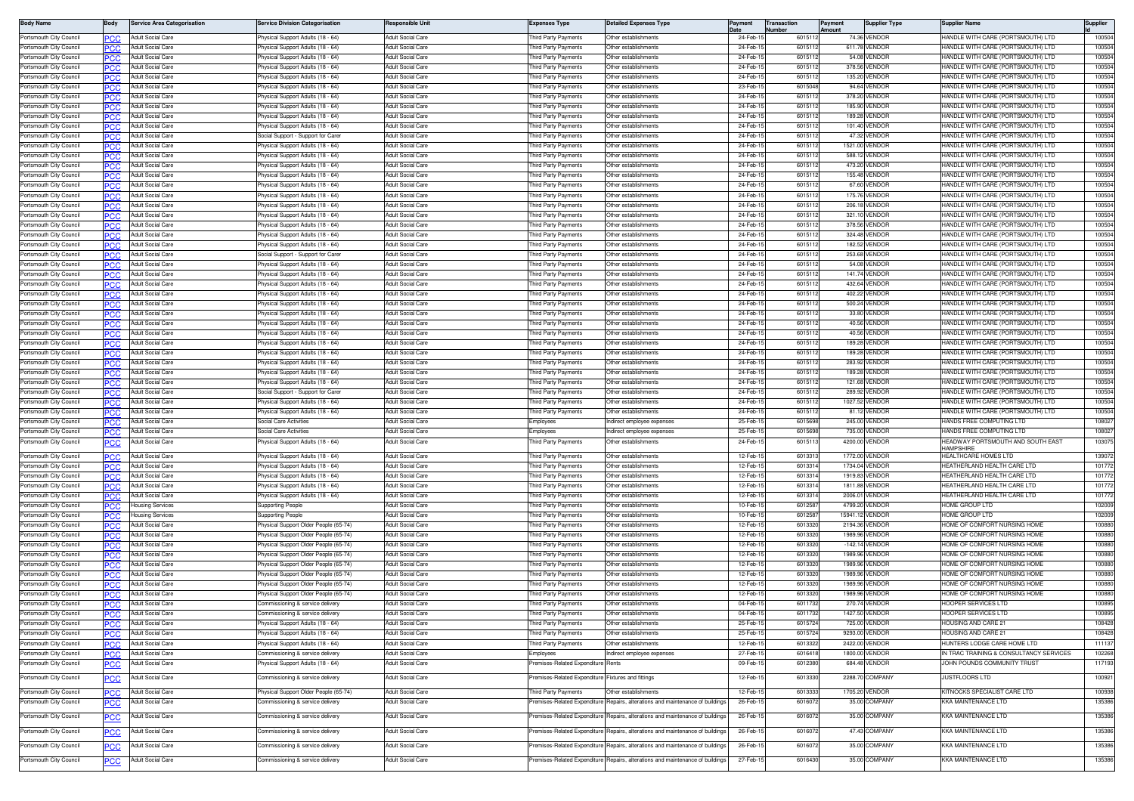| <b>Body Name</b>                                    | Body              | <b>Service Area Categorisation</b>            | ervice Division Categorisation                                       | lesponsible Unit                                     | Expenses Type                              | <b>Detailed Expenses Type</b>                                                 | Payment              | <b>Transaction</b><br>umber |                    | Payment | <b>Supplier Type</b>            | Supplier Name                                                          | Supplier         |
|-----------------------------------------------------|-------------------|-----------------------------------------------|----------------------------------------------------------------------|------------------------------------------------------|--------------------------------------------|-------------------------------------------------------------------------------|----------------------|-----------------------------|--------------------|---------|---------------------------------|------------------------------------------------------------------------|------------------|
| Portsmouth City Council                             |                   | Adult Social Care                             | hysical Support Adults (18 - 64)                                     | <b>Adult Social Care</b>                             | hird Party Payments                        | Other establishments                                                          | 24-Feb-              |                             | 601511             |         | 74.36 VENDOR                    | HANDLE WITH CARE (PORTSMOUTH) LTD                                      | 100504           |
| Portsmouth City Council                             | PCC               | Adult Social Care                             | hysical Support Adults (18 - 64)                                     | Adult Social Care                                    | hird Party Payments                        | Other establishments                                                          | 24-Feb-              |                             | 601511             |         | 611.78 VENDOR                   | <b>IANDLE WITH CARE (PORTSMOUTH) LTD</b>                               | 100504           |
| Portsmouth City Council                             | PCC               | Adult Social Care                             | hysical Support Adults (18 - 64)                                     | <b>Adult Social Care</b>                             | hird Party Payments                        | Other establishments                                                          | 24-Feb-              |                             | 601511             |         | 54.08 VENDOR                    | HANDLE WITH CARE (PORTSMOUTH) LTD                                      | 100504           |
| Portsmouth City Council                             | عرد               | Adult Social Care                             | hysical Support Adults (18 - 64)                                     | Adult Social Care                                    | hird Party Payments                        | Other establishments                                                          | 24-Feb-              |                             | 601511             |         | 378.56 VENDOF                   | <b>IANDLE WITH CARE (PORTSMOUTH) LTD</b>                               | 100504           |
| Portsmouth City Council                             | <b>PCC</b>        | Adult Social Care                             | hysical Support Adults (18 - 64)                                     | <b>Adult Social Care</b>                             | hird Party Payments                        | Other establishments                                                          | 24-Feb-1<br>23-Feb-1 |                             | 6015112<br>6015048 |         | 135.20 VENDOF                   | HANDLE WITH CARE (PORTSMOUTH) LTD<br>HANDLE WITH CARE (PORTSMOUTH) LTD | 100504           |
| Portsmouth City Council                             | PCC               | Adult Social Care                             | hysical Support Adults (18 - 64)                                     | <b>Adult Social Care</b>                             | hird Party Payments                        | Other establishments                                                          | 24-Feb-              |                             | 6015112            |         | 94.64 VENDOF                    |                                                                        | 100504<br>100504 |
| Portsmouth City Council<br>Portsmouth City Council  | PCC               | Adult Social Care<br><b>Adult Social Care</b> | hysical Support Adults (18 - 64)<br>hysical Support Adults (18 - 64) | <b>Adult Social Care</b><br><b>Adult Social Care</b> | hird Party Payments<br>hird Party Payments | Other establishments<br>Other establishments                                  | 24-Feb-1             |                             | 601511             |         | 378.20 VENDOR<br>185.90 VENDOR  | HANDLE WITH CARE (PORTSMOUTH) LTD<br>HANDLE WITH CARE (PORTSMOUTH) LTD | 100504           |
| Portsmouth City Council                             |                   | <b>Adult Social Care</b>                      | hysical Support Adults (18 - 64)                                     | <b>Adult Social Care</b>                             | nird Party Payments                        | Other establishments                                                          | 24-Feb-1             |                             | 601511             |         | 189.28 VENDOR                   | HANDLE WITH CARE (PORTSMOUTH) LTD                                      | 100504           |
| Portsmouth City Council                             | PCC               | Adult Social Care                             | hysical Support Adults (18 - 64)                                     | Adult Social Care                                    | hird Party Payments                        | Other establishments                                                          | 24-Feb-              |                             | 601511             |         | 101.40 VENDOF                   | HANDLE WITH CARE (PORTSMOUTH) LTD                                      | 100504           |
| Portsmouth City Council                             | ∍сс               | Adult Social Care                             | ocial Support - Support for Carer                                    | Adult Social Care                                    | hird Party Payments                        | Other establishments                                                          | 24-Feb-              |                             | 601511             |         | 47.32 VENDOR                    | HANDLE WITH CARE (PORTSMOUTH) LTD                                      | 100504           |
| Portsmouth City Council                             | PCC               | Adult Social Care                             | hysical Support Adults (18 - 64)                                     | <b>Adult Social Care</b>                             | hird Party Payments                        | Other establishments                                                          | 24-Feb-              |                             | 6015112            |         | 1521.00 VENDOF                  | HANDLE WITH CARE (PORTSMOUTH) LTD                                      | 100504           |
| Portsmouth City Council                             | عرد               | Adult Social Care                             | hysical Support Adults (18 - 64)                                     | <b>Adult Social Care</b>                             | hird Party Payments                        | Other establishments                                                          | 24-Feb-              |                             | 6015112            |         | 588.12 VENDOF                   | IANDLE WITH CARE (PORTSMOUTH) LTD                                      | 100504           |
| Portsmouth City Council                             | <b>PCC</b>        | Adult Social Care                             | hysical Support Adults (18 - 64)                                     | Adult Social Care                                    | hird Party Payments                        | Other establishments                                                          | 24-Feb-              |                             | 6015112            |         | 473.20 VENDOF                   | IANDLE WITH CARE (PORTSMOUTH) LTD                                      | 100504           |
| Portsmouth City Council                             | ∍сс               | <b>Adult Social Care</b>                      | hysical Support Adults (18 - 64)                                     | Adult Social Care                                    | hird Party Payments                        | Other establishments                                                          | 24-Feb-              |                             | 601511             |         | 155.48 VENDOF                   | HANDLE WITH CARE (PORTSMOUTH) LTD                                      | 100504           |
| Portsmouth City Council                             | PCC               | <b>Adult Social Care</b>                      | hysical Support Adults (18 - 64)                                     | <b>Adult Social Care</b>                             | hird Party Payments                        | Other establishments                                                          | 24-Feb-1             |                             | 601511             |         | 67.60 VENDOF                    | HANDLE WITH CARE (PORTSMOUTH) LTD                                      | 100504           |
| Portsmouth City Council                             |                   | <b>Adult Social Care</b>                      | hysical Support Adults (18 - 64)                                     | <b>Adult Social Care</b>                             | hird Party Payments                        | Other establishments                                                          | 24-Feb-1             |                             | 601511             |         | 175.76 VENDOF                   | HANDLE WITH CARE (PORTSMOUTH) LTD                                      | 100504           |
| Portsmouth City Council                             | PCC               | Adult Social Care                             | hysical Support Adults (18 - 64)                                     | Adult Social Care                                    | hird Party Payments                        | Other establishments                                                          | 24-Feb-              |                             | 6015112            |         | 206.18 VENDOR                   | ANDLE WITH CARE (PORTSMOUTH) LTD                                       | 100504           |
| Portsmouth City Council                             | ∍сс               | Adult Social Care                             | hysical Support Adults (18 - 64)                                     | Adult Social Care                                    | hird Party Payments                        | Other establishments                                                          | 24-Feb-              |                             | 6015112            |         | 321.10 VENDOR                   | IANDLE WITH CARE (PORTSMOUTH) LTD                                      | 100504           |
| Portsmouth City Council                             | эсс               | Adult Social Care                             | hysical Support Adults (18 - 64)                                     | Adult Social Care                                    | hird Party Payments                        | Other establishments                                                          | 24-Feb-1             |                             | 601511             |         | 378.56 VENDOF                   | HANDLE WITH CARE (PORTSMOUTH) LTD                                      | 100504           |
| Portsmouth City Council                             | PCC               | Adult Social Care                             | hysical Support Adults (18 - 64)                                     | <b>Adult Social Care</b>                             | hird Party Payments                        | Other establishments                                                          | 24-Feb-1             |                             | 601511             |         | 324.48 VENDOR                   | HANDLE WITH CARE (PORTSMOUTH) LTD                                      | 100504           |
| Portsmouth City Council                             | PCC               | Adult Social Care                             | hysical Support Adults (18 - 64)                                     | Adult Social Care                                    | hird Party Payments                        | Other establishments                                                          | 24-Feb-              |                             | 601511             |         | 182.52 VENDOF                   | HANDLE WITH CARE (PORTSMOUTH) LTD                                      | 100504           |
| Portsmouth City Council                             | PCC               | Adult Social Care                             | ocial Support - Support for Carer                                    | Adult Social Care                                    | hird Party Payments                        | Other establishments                                                          | 24-Feb-              |                             | 6015112            |         | 253.68 VENDOF                   | HANDLE WITH CARE (PORTSMOUTH) LTD                                      | 100504           |
| Portsmouth City Council                             |                   | <b>Adult Social Care</b>                      | hysical Support Adults (18 - 64)                                     | <b>Adult Social Care</b>                             | hird Party Payments                        | Other establishments                                                          | 24-Feb-1             |                             | 601511             |         | 54.08 VENDOF                    | IANDLE WITH CARE (PORTSMOUTH) LTD                                      | 100504           |
| Portsmouth City Council                             | PCC               | Adult Social Care                             | hysical Support Adults (18 - 64)                                     | <b>Adult Social Care</b>                             | hird Party Payments                        | Other establishments<br>Other establishments                                  | 24-Feb-1             |                             | 601511             |         | 141.74 VENDOR                   | HANDLE WITH CARE (PORTSMOUTH) LTD                                      | 100504           |
| Portsmouth City Council<br>Portsmouth City Council  |                   | Adult Social Care<br>Adult Social Care        | hysical Support Adults (18 - 64)<br>hysical Support Adults (18 - 64) | <b>Adult Social Care</b><br>Adult Social Care        | hird Party Payments<br>hird Party Payments | Other establishments                                                          | 24-Feb-1<br>24-Feb-  |                             | 601511<br>6015112  |         | 432.64 VENDOR<br>402.22 VENDOF  | HANDLE WITH CARE (PORTSMOUTH) LTD<br>ANDLE WITH CARE (PORTSMOUTH) LTD  | 100504<br>100504 |
| Portsmouth City Council                             | PСC               | Adult Social Care                             | hysical Support Adults (18 - 64)                                     | <b>Adult Social Care</b>                             | hird Party Payments                        | Other establishments                                                          | 24-Feb-              |                             | 601511             |         | 500.24 VENDOF                   | HANDLE WITH CARE (PORTSMOUTH) LTD                                      | 100504           |
| Portsmouth City Council                             | PCC               | Adult Social Care                             | hysical Support Adults (18 - 64)                                     | <b>Adult Social Care</b>                             | hird Party Payments                        | Other establishments                                                          | 24-Feb-              |                             | 601511             |         | 33.80 VENDOF                    | IANDLE WITH CARE (PORTSMOUTH) LTD                                      | 100504           |
| Portsmouth City Council                             | ∍сс<br><b>PCC</b> | Adult Social Care                             | hysical Support Adults (18 - 64)                                     | <b>Adult Social Care</b>                             | hird Party Payments                        | Other establishments                                                          | 24-Feb-              |                             | 6015112            |         | 40.56 VENDOF                    | HANDLE WITH CARE (PORTSMOUTH) LTD                                      | 100504           |
| Portsmouth City Council                             |                   | Adult Social Care                             | hysical Support Adults (18 - 64)                                     | <b>Adult Social Care</b>                             | hird Party Payments                        | Other establishments                                                          | 24-Feb-              |                             | 601511             |         | 40.56 VENDOF                    | HANDLE WITH CARE (PORTSMOUTH) LTD                                      | 100504           |
| Portsmouth City Council                             | PCC               | Adult Social Care                             | hysical Support Adults (18 - 64)                                     | Adult Social Care                                    | hird Party Payments                        | Other establishments                                                          | 24-Feb-              |                             | 6015112            |         | 189.28 VENDOR                   | HANDLE WITH CARE (PORTSMOUTH) LTD                                      | 100504           |
| Portsmouth City Council                             | ∍сс               | Adult Social Care                             | hysical Support Adults (18 - 64)                                     | <b>Adult Social Care</b>                             | hird Party Payments                        | Other establishments                                                          | 24-Feb-1             |                             | 6015112            |         | 189.28 VENDOR                   | HANDLE WITH CARE (PORTSMOUTH) LTD                                      | 100504           |
| Portsmouth City Council                             | PCC               | <b>Adult Social Care</b>                      | hysical Support Adults (18 - 64)                                     | Adult Social Care                                    | hird Party Payments                        | Other establishments                                                          | 24-Feb-              |                             | 601511             |         | 283.92 VENDOF                   | HANDLE WITH CARE (PORTSMOUTH) LTD                                      | 100504           |
| Portsmouth City Council                             |                   | <b>Adult Social Care</b>                      | hysical Support Adults (18 - 64)                                     | <b>Adult Social Care</b>                             | hird Party Payments                        | Other establishments                                                          | 24-Feb-              |                             | 601511             |         | 189.28 VENDOF                   | IANDLE WITH CARE (PORTSMOUTH) LTD                                      | 100504           |
| Portsmouth City Council                             | PСC               | Adult Social Care                             | hysical Support Adults (18 - 64)                                     | Adult Social Care                                    | hird Party Payments                        | Other establishments                                                          | 24-Feb-              |                             | 601511             |         | 121.68 VENDOR                   | <b>IANDLE WITH CARE (PORTSMOUTH) LTD</b>                               | 100504           |
| Portsmouth City Council                             | PCC               | Adult Social Care                             | ocial Support - Support for Care                                     | <b>Adult Social Care</b>                             | hird Party Payments                        | Other establishments                                                          | 24-Feb-              |                             | 6015112            |         | 289.92 VENDOF                   | IANDLE WITH CARE (PORTSMOUTH) LTD                                      | 100504           |
| Portsmouth City Council                             | PCC               | Adult Social Care                             | hysical Support Adults (18 - 64)                                     | <b>Adult Social Care</b>                             | hird Party Payments                        | Other establishments                                                          | 24-Feb-1             |                             | 6015112            |         | 1027.52 VENDOF                  | HANDLE WITH CARE (PORTSMOUTH) LTD                                      | 100504           |
| Portsmouth City Council                             | <b>PCC</b>        | Adult Social Care                             | hysical Support Adults (18 - 64)                                     | Adult Social Care                                    | hird Party Payments                        | Other establishments                                                          | 24-Feb-              |                             | 601511             |         | 81.12 VENDOF                    | HANDLE WITH CARE (PORTSMOUTH) LTD                                      | 100504           |
| Portsmouth City Council                             | PCC               | Adult Social Care                             | ocial Care Activitie                                                 | Adult Social Care                                    | imployees                                  | ndirect employee expenses                                                     | 25-Feb-              |                             | 601569             |         | 245.00 VENDOF                   | HANDS FREE COMPUTING LTD                                               | 10802            |
| Portsmouth City Council                             | PCC               | dult Social Care                              | ocial Care Activities                                                | <b>Adult Social Care</b>                             | imployees                                  | ndirect employee expenses                                                     | 25-Feb-1             |                             | 601569             |         | 735.00 VENDOR                   | <b>IANDS FREE COMPUTING LTD</b>                                        | 10802            |
| Portsmouth City Council                             | PCC               | dult Social Care                              | hysical Support Adults (18 - 64)                                     | <b>Adult Social Care</b>                             | hird Party Payments                        | Other establishments                                                          | 24-Feb-1             |                             | 601511             |         | 4200.00 VENDOR                  | HEADWAY PORTSMOUTH AND SOUTH EAST<br><b>HAMPSHIRF</b>                  | 103075           |
| Portsmouth City Council                             | PCC               | Adult Social Care                             | hysical Support Adults (18 - 64)                                     | Adult Social Care                                    | hird Party Payments                        | Other establishments                                                          | 12-Feb-              |                             | 601331             |         | 1772.00 VENDOF                  | HEALTHCARE HOMES LTD                                                   | 139072           |
| Portsmouth City Council                             | PСC               | Adult Social Care                             | hysical Support Adults (18 - 64)                                     | <b>Adult Social Care</b>                             | hird Party Payments                        | Other establishments                                                          | 12-Feb-              |                             | 6013314            |         | 1734.04 VENDOR                  | <b>IEATHERLAND HEALTH CARE LTD</b>                                     | 101772           |
| Portsmouth City Council                             | PCC               | Adult Social Care                             | hysical Support Adults (18 - 64)                                     | Adult Social Care                                    | hird Party Payments                        | Other establishments                                                          | 12-Feb-              |                             | 601331             |         | 1919.83 VENDOR                  | HEATHERLAND HEALTH CARE LTD                                            | 101772           |
| Portsmouth City Council                             |                   | Adult Social Care                             | hysical Support Adults (18 - 64)                                     | <b>Adult Social Care</b>                             | hird Party Payments                        | Other establishments                                                          | 12-Feb-              |                             | 601331             |         | 1811.88 VENDOF                  | HEATHERLAND HEALTH CARE LTD                                            | 101772           |
| Portsmouth City Council                             | පርር               | <b>Adult Social Care</b>                      | hysical Support Adults (18 - 64)                                     | Adult Social Care                                    | hird Party Payments                        | Other establishments                                                          | 12-Feb-              |                             | 601331             |         | 2006.01 VENDOF                  | <b>IEATHERLAND HEALTH CARE LTD</b>                                     | 101772           |
| Portsmouth City Council                             | PCC               | ousing Services                               | upporting People                                                     | <b>Adult Social Care</b>                             | hird Party Payments                        | Other establishments                                                          | 10-Feb-1             |                             | 601258             |         | 4799.20 VENDOR                  | HOME GROUP LTD                                                         | 102009           |
| Portsmouth City Council                             | PCC.              | ousing Services                               | upporting People                                                     | <b>Adult Social Care</b>                             | hird Party Payments                        | Other establishments                                                          | 10-Feb-1             |                             | 601258             |         | 15941.12 VENDOF                 | HOME GROUP LTD                                                         | 102009           |
| Portsmouth City Council                             | <b>PCC</b>        | <b>Adult Social Care</b>                      | hysical Support Older People (65-74)                                 | Adult Social Care                                    | hird Party Payments                        | Other establishments                                                          | 12-Feb-              |                             | 601332             |         | 2194.36 VENDOF                  | HOME OF COMFORT NURSING HOME                                           | 100880           |
| Portsmouth City Council                             | PCC               | Adult Social Care                             | hysical Support Older People (65-74)                                 | Adult Social Care                                    | hird Party Payments                        | Other establishments                                                          | 12-Feb-              |                             | 601332             |         | 1989.96 VENDOR                  | HOME OF COMFORT NURSING HOME                                           | 100880           |
| Portsmouth City Council                             | PCC               | <b>Adult Social Care</b>                      | hvsical Support Older People (65-74)                                 | <b>Adult Social Care</b>                             | hird Party Payments                        | Other establishments                                                          | 12-Feb-1             |                             | 601332             |         | -142.14 VENDOF                  | <b>IOME OF COMFORT NURSING HOME</b>                                    | 100880           |
| Portsmouth City Council                             |                   | <b>Adult Social Care</b>                      | hysical Support Older People (65-74)                                 | <b>Adult Social Care</b>                             | hird Party Payments                        | Other establishments                                                          | 12-Feb-1             |                             | 6013320            |         | 1989.96 VENDOR                  | HOME OF COMFORT NURSING HOME                                           | 100880           |
| Portsmouth City Council                             | PCC               | Adult Social Care                             | hysical Support Older People (65-74)                                 | <b>Adult Social Care</b>                             | hird Party Payments                        | Other establishments                                                          | 12-Feb-1             |                             | 6013320            |         | 1989.96 VENDOR                  | IOME OF COMFORT NURSING HOME                                           | 100880           |
| Portsmouth City Council                             |                   | Adult Social Care                             | hysical Support Older People (65-74)                                 | Adult Social Care<br>Adult Social Care               | hird Party Payments                        | Other establishments                                                          | 12-Feb-              |                             | 601332             |         | 1989.96 VENDOR                  | HOME OF COMFORT NURSING HOME<br><b>IOME OF COMFORT NURSING HOME</b>    | 100880           |
| Portsmouth City Council                             |                   | Adult Social Care                             | hysical Support Older People (65-74)                                 |                                                      | hird Party Payments                        | Other establishments                                                          | 12-Feb-              |                             | 601332             |         | 1989.96 VENDOR                  | <b>IOME OF COMFORT NURSING HOME</b>                                    | 10088            |
| Portsmouth City Council                             | PCC               | Adult Social Care                             | hysical Support Older People (65-74                                  | <b>Adult Social Care</b>                             | hird Party Payments                        | Other establishments                                                          | 12-Feb-<br>04-Feb-   |                             | 601332<br>601173   |         | 1989.96 VENDOF                  |                                                                        | 100880           |
| Portsmouth City Council<br>Portsmouth City Council  | PCC               | Adult Social Care<br>Adult Social Care        | ommissioning & service delivery<br>ommissioning & service delivery   | <b>Adult Social Care</b><br>Adult Social Care        | hird Party Payments<br>hird Party Payments | Other establishments<br>Other establishments                                  | 04-Feb-              |                             | 601173             |         | 270.74 VENDOR<br>1427.50 VENDOR | HOOPER SERVICES LTD<br>HOOPER SERVICES I TD                            | 100895<br>100895 |
|                                                     | PCC               |                                               | sicai Support Adults                                                 |                                                      |                                            |                                                                               |                      |                             |                    | 725.00  |                                 | USING AND CAHE 2                                                       | 108421           |
| <b>IDULII CILY COULI</b><br>Portsmouth City Council | <b>PCC</b>        | <b>Adult Social Care</b>                      | hysical Support Adults (18 - 64)                                     | uit Juural Cali<br><b>Adult Social Care</b>          | iu raity rayilleit:<br>hird Party Payments | Other establishments                                                          | CO-LOD-<br>25-Feb-1  |                             | ,,,,,,<br>6015724  |         | 'ENDO<br>9293.00 VENDOR         | HOUSING AND CARE 21                                                    | 108428           |
| Portsmouth City Council                             | PСC               | <b>Adult Social Care</b>                      | hysical Support Adults (18 - 64)                                     | <b>Adult Social Care</b>                             | Third Party Payments                       | Other establishments                                                          | 12-Feb-1             |                             | 6013322            |         | 2422.00 VENDOR                  | HUNTERS LODGE CARE HOME LTD                                            | 111137           |
| Portsmouth City Council                             | PCC               | Adult Social Care                             | ommissioning & service delivery                                      | Adult Social Care                                    | Employees                                  | Indirect employee expenses                                                    | 27-Feb-1             |                             | 601641             |         | 1800.00 VENDOR                  | N TRAC TRAINING & CONSULTANCY SERVICES                                 | 102268           |
| Portsmouth City Council                             |                   | Adult Social Care                             | hysical Support Adults (18 - 64)                                     | Adult Social Care                                    | remises-Related Expenditure                | Rents                                                                         | 09-Feb-1             |                             | 6012380            |         | 684.48 VENDOR                   | JOHN POUNDS COMMUNITY TRUST                                            | 117193           |
|                                                     |                   |                                               |                                                                      |                                                      |                                            |                                                                               |                      |                             |                    |         |                                 |                                                                        |                  |
| Portsmouth City Council                             | <u>PCC</u>        | Adult Social Care                             | Commissioning & service delivery                                     | Adult Social Care                                    | remises-Related Expenditure                | Fixtures and fittings                                                         | 12-Feb-15            |                             | 6013330            |         | 2288.70 COMPANY                 | JUSTFLOORS LTD                                                         | 100921           |
| Portsmouth City Council                             | PCC               | Adult Social Care                             | hysical Support Older People (65-74)                                 | Adult Social Care                                    | Third Party Payments                       | Other establishments                                                          | 12-Feb-1             |                             | 6013333            |         | 1705.20 VENDOR                  | KITNOCKS SPECIALIST CARE LTD                                           | 100938           |
| Portsmouth City Council                             | <u>PCC</u>        | Adult Social Care                             | ommissioning & service delivery'                                     | Adult Social Care                                    | remises-Related Expenditure                | Repairs, alterations and maintenance of building                              | 26-Feb-1             |                             | 601607             |         | 35.00 COMPANY                   | KKA MAINTENANCE LTD                                                    | 135386           |
| Portsmouth City Council                             |                   | Adult Social Care                             |                                                                      |                                                      |                                            | Repairs, alterations and maintenance of buildings                             | 26-Feb-15            |                             | 6016072            |         | 35.00 COMPANY                   | KKA MAINTENANCE LTD                                                    | 135386           |
|                                                     | <u>PCC</u>        |                                               | ommissioning & service delivery                                      | Adult Social Care                                    | remises-Related Expenditure                |                                                                               |                      |                             |                    |         |                                 |                                                                        |                  |
| Portsmouth City Council                             | <u>PCC</u>        | <b>Adult Social Care</b>                      | Commissioning & service delivery                                     | Adult Social Care                                    |                                            | remises-Related Expenditure Repairs, alterations and maintenance of buildings | 26-Feb-1             |                             | 601607             |         | 47.43 COMPANY                   | KKA MAINTENANCE LTD                                                    | 135386           |
| Portsmouth City Council                             |                   | Adult Social Care                             | ommissioning & service delivery                                      | Adult Social Care                                    | remises-Related Expenditure                | Repairs, alterations and maintenance of building                              | 26-Feb-1             |                             | 6016072            |         | 35.00 COMPANY                   | <b>KKA MAINTENANCE LTD</b>                                             | 135386           |
|                                                     |                   |                                               |                                                                      |                                                      |                                            |                                                                               |                      |                             |                    |         |                                 |                                                                        |                  |
| Portsmouth City Council                             | <u>PCC</u>        | Adult Social Care                             | ommissioning & service delivery                                      | Adult Social Care                                    |                                            | remises-Related Expenditure Repairs, alterations and maintenance of buildings | 27-Feb-1             |                             | 6016430            |         | 35.00 COMPANY                   | KKA MAINTENANCE LTD                                                    | 135386           |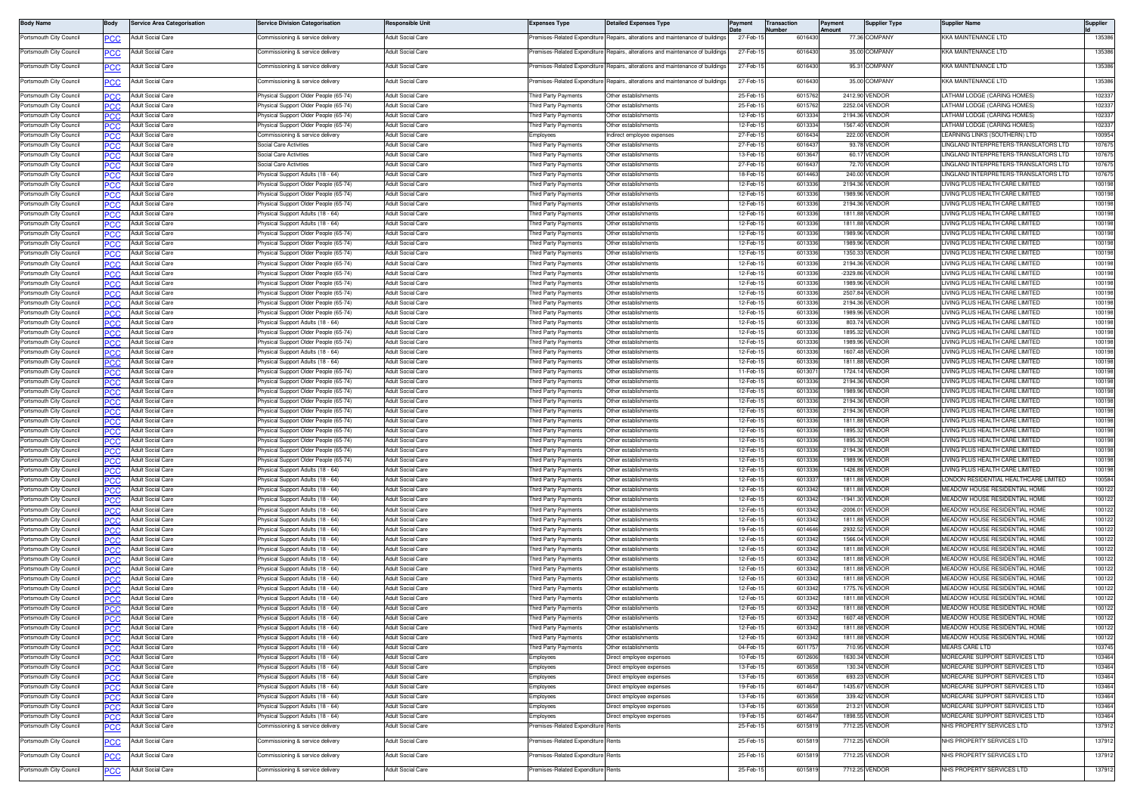| <b>Body Name</b>                                   | Body        | Service Area Categorisation                          | ervice Division Categorisation                                                    | Responsible Unit                                     | Expenses Type                               | Jetailed Expenses Type                            | Pavment              | Transaction      | Payment<br><b>Imoun</b> | Supplier Type                    | Supplier Name                                                                              | Supplier         |
|----------------------------------------------------|-------------|------------------------------------------------------|-----------------------------------------------------------------------------------|------------------------------------------------------|---------------------------------------------|---------------------------------------------------|----------------------|------------------|-------------------------|----------------------------------|--------------------------------------------------------------------------------------------|------------------|
| Portsmouth City Council                            | <u>PCC</u>  | Adult Social Care                                    | Commissioning & service delivery                                                  | <b>Adult Social Care</b>                             | remises-Related Expenditure                 | Repairs, alterations and maintenance of buildings | 27-Feb-              | 601643           |                         | 77.36 COMPANY                    | <b>KKA MAINTENANCE LTD</b>                                                                 | 135386           |
| Portsmouth City Council                            | <u>PCC</u>  | Adult Social Care                                    | ommissioning & service delivery                                                   | Adult Social Care                                    | remises-Related Expenditure                 | Repairs, alterations and maintenance of building  | 27-Feb-              | 601643           |                         | 35.00 COMPANY                    | KKA MAINTENANCE LTD                                                                        | 135386           |
| Portsmouth City Council                            |             | Adult Social Care                                    | mmissioning & service delivery                                                    | Adult Social Care                                    | emises-Related Expenditure                  | Repairs, alterations and maintenance of building  | 27-Feb-              | 601643           |                         | 95.31 COMPANY                    | (KA MAINTENANCE LTD                                                                        | 135386           |
|                                                    |             |                                                      |                                                                                   |                                                      |                                             |                                                   |                      |                  |                         |                                  |                                                                                            |                  |
| Portsmouth City Council                            | сC          | Adult Social Care                                    | Commissioning & service delivery                                                  | Adult Social Care                                    | remises-Related Expenditure                 | Repairs, alterations and maintenance of buildings | 27-Feb-1             | 601643           |                         | 35.00 COMPANY                    | <b>KKA MAINTENANCE LTD</b>                                                                 | 135386           |
| Portsmouth City Council                            | <b>PCC</b>  | <b>Adult Social Care</b>                             | hysical Support Older People (65-74)                                              | <b>Adult Social Care</b>                             | hird Party Payments                         | Other establishments                              | 25-Feb-              | 601576           |                         | 2412.90 VENDOF                   | ATHAM LODGE (CARING HOMES)                                                                 | 102337           |
| Portsmouth City Council                            |             | Adult Social Care                                    | hysical Support Older People (65-74)                                              | <b>Adult Social Care</b>                             | hird Party Payments                         | Other establishments                              | 25-Feb-              | 60157            |                         | 2252.04 VENDOF                   | ATHAM LODGE (CARING HOMES)                                                                 | 10233            |
| Portsmouth City Council                            | 'CC         | Adult Social Care                                    | hysical Support Older People (65-74)                                              | Adult Social Care                                    | hird Party Payments                         | Other establishments                              | 12-Feb-              | 601333           |                         | 2194.36 VENDOE                   | ATHAM LODGE (CARING HOMES)                                                                 | 102337           |
| Portsmouth City Council                            | PCC         | <b>Adult Social Care</b>                             | Physical Support Older People (65-74)                                             | Adult Social Care                                    | hird Party Payments                         | Other establishment                               | 12-Feb-1             | 601333           |                         | 1567.40 VENDOR                   | ATHAM LODGE (CARING HOMES)                                                                 | 102337           |
| Portsmouth City Council<br>Portsmouth City Council | .c<br>PCC   | Adult Social Care<br><b>Adult Social Care</b>        | ommissioning & service delivery<br>Social Care Activities                         | <b>Adult Social Care</b><br>Adult Social Care        | nployees<br>hird Party Payments             | ndirect employee expenses<br>Other establishments | 27-Feb-<br>27-Feb-   | 601643<br>601643 |                         | 222.00 VENDOF<br>93.78 VENDOR    | EARNING LINKS (SOUTHERN) LTD<br>INGLAND INTERPRETERS-TRANSLATORS LTD                       | 100954<br>107675 |
| Portsmouth City Council                            | 'CC         | Adult Social Care                                    | Social Care Activities                                                            | <b>Adult Social Care</b>                             | hird Party Payments                         | Other establishments                              | 13-Feb-1             | 601364           |                         | 60.17 VENDOF                     | INGLAND INTERPRETERS-TRANSLATORS LTD                                                       | 10767            |
| Portsmouth City Council                            | PCC         | Adult Social Care                                    | Social Care Activities                                                            | Adult Social Care                                    | hird Party Payments                         | Other establishments                              | 27-Feb-              | 601643           |                         | 72.70 VENDOR                     | INGLAND INTERPRETERS-TRANSLATORS LTD                                                       | 10767            |
| Portsmouth City Council                            | сc          | <b>Adult Social Care</b>                             | <sup>9</sup> hysical Support Adults (18 - 64)                                     | <b>Adult Social Care</b>                             | hird Party Payments                         | Other establishments                              | 18-Feb-1             | 601446           |                         | 240.00 VENDOR                    | INGLAND INTERPRETERS-TRANSLATORS LTD                                                       | 107675           |
| Portsmouth City Council                            | сC          | Adult Social Care                                    | hysical Support Older People (65-74)                                              | Adult Social Care                                    | hird Party Payments                         | Other establishments                              | 12-Feb-              | 601333           |                         | 2194.36 VENDOR                   | IVING PLUS HEALTH CARE LIMITED                                                             | 100198           |
| Portsmouth City Council                            |             | Adult Social Care                                    | hysical Support Older People (65-74)                                              | <b>Adult Social Care</b>                             | hird Party Payments                         | Other establishments                              | 12-Feb-              | 601333           |                         | 1989.96 VENDOF                   | IVING PLUS HEALTH CARE LIMITED                                                             | 100198           |
| Portsmouth City Council                            | 'CC         | Adult Social Care                                    | hysical Support Older People (65-74                                               | Adult Social Care                                    | hird Party Payments                         | ther establishment                                | 12-Feb-              | 601333           |                         | 2194.36 VENDOF                   | IVING PLUS HEALTH CARE LIMITED                                                             | 100198           |
| Portsmouth City Council                            | PCC         | Adult Social Care                                    | hysical Support Adults (18 - 64                                                   | Adult Social Care                                    | hird Party Payments                         | Other establishments                              | 12-Feb-1             | 601333           |                         | 1811.88 VENDOR                   | IVING PLUS HEALTH CARE LIMITED                                                             | 100198           |
| Portsmouth City Council<br>Portsmouth City Council | сc          | <b>Adult Social Care</b>                             | hysical Support Adults (18 - 64)                                                  | <b>Adult Social Care</b><br>Adult Social Care        | 'hird Party Payments                        | Other establishment<br>Other establishments       | 12-Feb-<br>12-Feb-   | 601333<br>601333 |                         | 1811.88 VENDOF<br>1989.96 VENDOF | IVING PLUS HEALTH CARE LIMITED<br>IVING PLUS HEALTH CARE LIMITED                           | 100198<br>100198 |
| Portsmouth City Council                            | PCC         | <b>Adult Social Care</b><br>Adult Social Care        | Physical Support Older People (65-74)<br>hysical Support Older People (65-74)     | <b>Adult Social Care</b>                             | hird Party Payments<br>'hird Party Payments | Other establishments                              | 12-Feb-              | 601333           |                         | 1989.96 VENDOF                   | IVING PLUS HEALTH CARE LIMITED                                                             | 100198           |
| Portsmouth City Council                            | ንርር         | <b>Adult Social Care</b>                             | hysical Support Older People (65-74)                                              | <b>Adult Social Care</b>                             | hird Party Payments                         | Other establishments                              | 12-Feb-              | 601333           |                         | 1350.33 VENDOF                   | IVING PLUS HEALTH CARE LIMITED                                                             | 100198           |
| Portsmouth City Council                            | .c          | <b>Adult Social Care</b>                             | hysical Support Older People (65-74)                                              | Adult Social Care                                    | hird Party Payments                         | Other establishments                              | 12-Feb-1             | 601333           |                         | 2194.36 VENDOR                   | IVING PLUS HEALTH CARE LIMITED                                                             | 100198           |
| Portsmouth City Council                            | 'CC         | Adult Social Care                                    | hysical Support Older People (65-74)                                              | Adult Social Care                                    | hird Party Payments                         | Other establishments                              | 12-Feb-1             | 601333           |                         | -2329.86 VENDOR                  | IVING PLUS HEALTH CARE LIMITED                                                             | 100198           |
| Portsmouth City Council                            | PCC.        | Adult Social Care                                    | hysical Support Older People (65-74)                                              | <b>Adult Social Care</b>                             | hird Party Payments                         | Other establishments                              | 12-Feb-              | 601333           |                         | 1989.96 VENDOF                   | IVING PLUS HEALTH CARE LIMITED                                                             | 100198           |
| Portsmouth City Council                            | C.C         | Adult Social Care                                    | hysical Support Older People (65-74                                               | Adult Social Care                                    | hird Party Payments                         | Other establishment                               | 12-Feb-              | 601333           |                         | 2507.84 VENDOF                   | IVING PLUS HEALTH CARE LIMITED                                                             | 10019            |
| Portsmouth City Council                            | PCC.        | Adult Social Care                                    | Physical Support Older People (65-74)                                             | <b>Adult Social Care</b>                             | hird Party Payments                         | Other establishments                              | 12-Feb-1             | 601333           |                         | 2194.36 VENDOR                   | IVING PLUS HEALTH CARE LIMITED                                                             | 100198           |
| Portsmouth City Council                            | nr.         | <b>Adult Social Care</b>                             | Physical Support Older People (65-74)                                             | Adult Social Care                                    | hird Party Payments                         | Other establishment                               | 12-Feb-              | 601333           |                         | 1989.96 VENDOF                   | IVING PLUS HEALTH CARE LIMITED                                                             | 100198           |
| Portsmouth City Council                            | PCC         | Adult Social Care<br><b>Adult Social Care</b>        | hysical Support Adults (18 - 64)                                                  | <b>Adult Social Care</b><br><b>Adult Social Care</b> | hird Party Payments                         | Other establishments<br>Other establishments      | 12-Feb-1<br>12-Feb-  | 601333<br>601333 |                         | 803.74 VENDOR<br>1895.32 VENDOF  | IVING PLUS HEALTH CARE LIMITED<br>IVING PLUS HEALTH CARE LIMITED                           | 100198<br>100198 |
| Portsmouth City Council<br>Portsmouth City Council |             | <b>Adult Social Care</b>                             | hysical Support Older People (65-74)<br>hysical Support Older People (65-74)      | <b>Adult Social Care</b>                             | hird Party Payments<br>hird Party Payments  | Other establishments                              | 12-Feb-              | 601333           |                         | 1989.96 VENDOR                   | IVING PLUS HEALTH CARE LIMITED                                                             | 100198           |
| Portsmouth City Council                            | PCC<br>'CC  | Adult Social Care                                    | <sup>2</sup> hysical Support Adults (18 - 64                                      | <b>Adult Social Care</b>                             | hird Party Payments                         | Other establishments                              | 12-Feb-1             | 601333           |                         | 1607.48 VENDOF                   | IVING PLUS HEALTH CARE LIMITED                                                             | 100198           |
| Portsmouth City Council                            | 'CC         | Adult Social Care                                    | hysical Support Adults (18 - 64)                                                  | Adult Social Care                                    | hird Party Payments                         | Other establishments                              | 12-Feb-1             | 601333           |                         | 1811.88 VENDOR                   | IVING PLUS HEALTH CARE LIMITED                                                             | 100198           |
| Portsmouth City Council                            | PCC.        | Adult Social Care                                    | hysical Support Older People (65-74)                                              | <b>Adult Social Care</b>                             | hird Party Payments                         | Other establishments                              | 11-Feb-              | 601307           |                         | 1724.14 VENDOF                   | IVING PLUS HEALTH CARE LIMITED                                                             | 100198           |
| Portsmouth City Council                            | C.C         | Adult Social Care                                    | hysical Support Older People (65-74)                                              | <b>Adult Social Care</b>                             | hird Party Payments                         | Other establishment                               | 12-Feb-              | 601333           |                         | 2194.36 VENDOF                   | IVING PLUS HEALTH CARE LIMITED                                                             | 100198           |
| Portsmouth City Council                            | PCC         | <b>Adult Social Care</b>                             | hysical Support Older People (65-74)                                              | Adult Social Care                                    | hird Party Payments                         | Other establishments                              | 12-Feb-              | 601333           |                         | 1989.96 VENDOF                   | IVING PLUS HEALTH CARE LIMITED                                                             | 100198           |
| Portsmouth City Council                            | .c          | <b>Adult Social Care</b>                             | Physical Support Older People (65-74)                                             | Adult Social Care                                    | 'hird Party Payments                        | Other establishments                              | 12-Feb-1             | 601333           |                         | 2194.36 VENDOR                   | IVING PLUS HEALTH CARE LIMITED                                                             | 100198           |
| Portsmouth City Council                            | PCC         | Adult Social Care                                    | hysical Support Older People (65-74)                                              | <b>Adult Social Care</b>                             | hird Party Payments                         | Other establishments                              | 12-Feb-1             | 601333           |                         | 2194.36 VENDOR                   | IVING PLUS HEALTH CARE LIMITED                                                             | 100198           |
| Portsmouth City Council                            |             | <b>Adult Social Care</b>                             | hysical Support Older People (65-74)                                              | <b>Adult Social Care</b><br>Adult Social Care        | hird Party Payments                         | Other establishments                              | 12-Feb-<br>12-Feb-   | 601333           |                         | 1811.88 VENDOR                   | IVING PLUS HEALTH CARE LIMITED<br>IVING PLUS HEALTH CARE LIMITED                           | 100198<br>100198 |
| Portsmouth City Council<br>Portsmouth City Council | °СС         | Adult Social Care<br>Adult Social Care               | hysical Support Older People (65-74)<br>hysical Support Older People (65-74)      | Adult Social Care                                    | hird Party Payments<br>hird Party Payments  | Other establishments<br>Other establishments      | 12-Feb-              | 601333<br>601333 |                         | 1895.32 VENDOR<br>1895.32 VENDOF | IVING PLUS HEALTH CARE LIMITED                                                             | 100198           |
| Portsmouth City Council                            | сc<br>сc    | Adult Social Care                                    | hysical Support Older People (65-74)                                              | Adult Social Care                                    | hird Party Payments                         | ther establishments                               | 12-Feb-              | 601333           |                         | 2194.36 VENDOF                   | IVING PLUS HEALTH CARE LIMITED                                                             | 100198           |
| Portsmouth City Council                            | PCC.        | Adult Social Care                                    | hysical Support Older People (65-74)                                              | <b>Adult Social Care</b>                             | hird Party Payments                         | Other establishments                              | 12-Feb-1             | 601333           |                         | 1989.96 VENDOR                   | IVING PLUS HEALTH CARE LIMITED                                                             | 100198           |
| Portsmouth City Council                            | 'CC         | Adult Social Care                                    | hysical Support Adults (18 - 64)                                                  | <b>Adult Social Care</b>                             | hird Party Payments                         | Other establishments                              | 12-Feb-              | 601333           |                         | 1426.88 VENDOF                   | IVING PLUS HEALTH CARE LIMITED                                                             | 10019            |
| Portsmouth City Council                            | המפ         | <b>Adult Social Care</b>                             | hysical Support Adults (18 - 64                                                   | Adult Social Care                                    | hird Party Payments                         | Other establishments                              | 12-Feb-              | 601333           |                         | 1811.88 VENDOF                   | ONDON RESIDENTIAL HEALTHCARE LIMITED                                                       | 100584           |
| Portsmouth City Council                            |             | Adult Social Care                                    | <sup>2</sup> hysical Support Adults (18 - 64                                      | <b>Adult Social Care</b>                             | 'hird Party Payments                        | Other establishment                               | 12-Feb-              | 601334           |                         | 1811.88 VENDOR                   | MEADOW HOUSE RESIDENTIAL HOME                                                              | 100122           |
| Portsmouth City Council                            | ንርር         | <b>Adult Social Care</b>                             | hysical Support Adults (18 - 64                                                   | <b>Adult Social Care</b>                             | hird Party Payments                         | Other establishments                              | 12-Feb-              | 601334           |                         | -1941.30 VENDOR                  | <b><i>MEADOW HOUSE RESIDENTIAL HOME</i></b>                                                | 100122           |
| Portsmouth City Council                            |             | Adult Social Care                                    | hysical Support Adults (18 - 64                                                   | <b>Adult Social Care</b>                             | hird Party Payments                         | Other establishments                              | 12-Feb-              | 601334           |                         | -2006.01 VENDOR                  | <b><i>MEADOW HOUSE RESIDENTIAL HOME</i></b>                                                | 100122           |
| Portsmouth City Council                            | 'CC         | Adult Social Care                                    | hysical Support Adults (18 - 64)                                                  | Adult Social Care                                    | hird Party Payments                         | Other establishments                              | 12-Feb-              | 601334           |                         | 1811.88 VENDOF                   | <b>IEADOW HOUSE RESIDENTIAL HOME</b>                                                       | 100122           |
| Portsmouth City Council<br>Portsmouth City Council | <b>PCC</b>  | <b>Adult Social Care</b><br><b>Adult Social Care</b> | hysical Support Adults (18 - 64<br>hysical Support Adults (18 - 64                | <b>Adult Social Care</b><br>Adult Social Care        | hird Party Payments<br>hird Party Payments  | Other establishment<br>Other establishment        | 19-Feb-1<br>12-Feb-  | 601464<br>601334 |                         | 2932.52 VENDOR<br>1566.04 VENDOF | <b><i>MEADOW HOUSE RESIDENTIAL HOME</i></b><br><b><i>MEADOW HOUSE RESIDENTIAL HOME</i></b> | 100122<br>100122 |
| Portsmouth City Council                            | 'CC<br>PCC  | <b>Adult Social Care</b>                             | hysical Support Adults (18 - 64                                                   | <b>Adult Social Care</b>                             | hird Party Payments                         | Other establishments                              | 12-Feb-              | 601334           |                         | 1811.88 VENDOR                   | MEADOW HOUSE RESIDENTIAL HOME                                                              | 100122           |
| Portsmouth City Council                            | ٢C٢         | Adult Social Care                                    | hysical Support Adults (18 - 64)                                                  | <b>Adult Social Care</b>                             | hird Party Payments                         | Other establishments                              | 12-Feb-              | 601334           |                         | 1811.88 VENDOF                   | <b>MEADOW HOUSE RESIDENTIAL HOME</b>                                                       | 100122           |
| Portsmouth City Council                            | PCC         | <b>Adult Social Care</b>                             | hysical Support Adults (18 - 64                                                   | Adult Social Care                                    | hird Party Payments                         | Other establishments                              | 12-Feb-              | 601334           |                         | 1811.88 VENDOR                   | <b><i>MEADOW HOUSE RESIDENTIAL HOME</i></b>                                                | 100122           |
| Portsmouth City Council                            |             | <b>Adult Social Care</b>                             | hysical Support Adults (18 - 64                                                   | <b>Adult Social Care</b>                             | hird Party Payments                         | Other establishments                              | 12-Feb-              | 601334           |                         | 1811.88 VENDOR                   | <b><i>MEADOW HOUSE RESIDENTIAL HOME</i></b>                                                | 100122           |
| Portsmouth City Council                            | °СС         | <b>Adult Social Care</b>                             | hysical Support Adults (18 - 64                                                   | <b>Adult Social Care</b>                             | hird Party Payments                         | Other establishments                              | 12-Feb-              | 601334           |                         | 1775.76 VENDOR                   | <b><i>MEADOW HOUSE RESIDENTIAL HOME</i></b>                                                | 100122           |
| Portsmouth City Council                            |             | Adult Social Care                                    | hysical Support Adults (18 - 64)                                                  | Adult Social Care                                    | hird Party Payments                         | ther establishments                               | 12-Feb               | 601334           |                         | 1811.88 VENDOF                   | <b><i>IEADOW HOUSE RESIDENTIAL HOME</i></b>                                                | 100122           |
| Portsmouth City Council                            | °СС         | Adult Social Care                                    | hysical Support Adults (18 - 64)                                                  | Adult Social Care                                    | hird Party Payments                         | Other establishments                              | 12-Feb-              | 601334           |                         | 1811.88 VENDOF                   | <b>IEADOW HOUSE RESIDENTIAL HOME</b>                                                       | 100122           |
| Portsmouth City Council                            | PCC.        | Adult Social Care                                    | hysical Support Adults (18 - 64)                                                  | Adult Social Care                                    | hird Party Payments                         | Other establishments                              | 12-Feb-1             | 601334           |                         | 1607.48 VENDOF                   | <b>JEADOW HOUSE RESIDENTIAL HOME</b>                                                       | 100122           |
| Portsmouth City Council<br>Portsmouth City Council | PCC.        | <b>Adult Social Care</b><br><b>Adult Social Care</b> | nysical Support Adults (18 - 64)<br><sup>9</sup> hysical Support Adults (18 - 64) | <b>Adult Social Care</b><br>Adult Social Care        | hird Party Payments<br>hird Party Payments  | Other establishments<br>Other establishments      | 12-Feb-1<br>12-Feb-1 | 601334<br>601334 |                         | 1811.88 VENDOR<br>1811.88 VENDOR | MEADOW HOUSE RESIDENTIAL HOME<br>MEADOW HOUSE RESIDENTIAL HOME                             | 100122<br>100122 |
| Portsmouth City Council                            | PCC.<br>.cr | Adult Social Care                                    | <sup>2</sup> hysical Support Adults (18 - 64)                                     | Adult Social Care                                    | hird Party Payments                         | Other establishments                              | 04-Feb-              | 601175           |                         | 710.95 VENDOR                    | <b>MEARS CARE LTD</b>                                                                      | 103745           |
| Portsmouth City Council                            | PCC         | Adult Social Care                                    | <sup>2</sup> hysical Support Adults (18 - 64)                                     | Adult Social Care                                    | Employees                                   | Direct employee expenses                          | 10-Feb-1             | 601260           |                         | 1630.34 VENDOR                   | MORECARE SUPPORT SERVICES LTD                                                              | 103464           |
| Portsmouth City Council                            |             | <b>Adult Social Care</b>                             | hysical Support Adults (18 - 64)                                                  | <b>Adult Social Care</b>                             | Employees                                   | Direct employee expenses                          | 13-Feb-1             | 601365           |                         | 130.34 VENDOR                    | <b>MORECARE SUPPORT SERVICES LTD</b>                                                       | 103464           |
| Portsmouth City Council                            | PСC         | Adult Social Care                                    | hysical Support Adults (18 - 64)                                                  | <b>Adult Social Care</b>                             | Employees                                   | Direct emplovee expenses                          | 13-Feb-1             | 601365           |                         | 693.23 VENDOR                    | MORECARE SUPPORT SERVICES LTD                                                              | 103464           |
| Portsmouth City Council                            |             | Adult Social Care                                    | Physical Support Adults (18 - 64)                                                 | <b>Adult Social Care</b>                             | <b>Employees</b>                            | Direct employee expenses                          | 19-Feb-1             | 601464           |                         | 1435.67 VENDOR                   | <b>MORECARE SUPPORT SERVICES LTD</b>                                                       | 103464           |
| Portsmouth City Council                            | 'CC         | Adult Social Care                                    | hysical Support Adults (18 - 64)                                                  | <b>Adult Social Care</b>                             | mployees                                    | Direct employee expenses                          | 13-Feb-1             | 601365           |                         | 339.42 VENDOR                    | <b>MORECARE SUPPORT SERVICES LTD</b>                                                       | 103464           |
| Portsmouth City Council                            | PCC         | Adult Social Care                                    | hysical Support Adults (18 - 64)                                                  | <b>Adult Social Care</b>                             | mployees                                    | )irect employee expenses                          | 13-Feb-1             | 601365           |                         | 213.21 VENDOR                    | <b>MORECARE SUPPORT SERVICES LTD</b>                                                       | 103464           |
| Portsmouth City Council                            | PСC         | Adult Social Care                                    | Physical Support Adults (18 - 64)                                                 | Adult Social Care                                    | <b>Employees</b>                            | Direct employee expenses                          | 19-Feb-1             | 601464           |                         | 1898.55 VENDOR<br>7712.25 VENDOR | MORECARE SUPPORT SERVICES LTD<br>VHS PROPERTY SERVICES LTD                                 | 103464<br>137912 |
| Portsmouth City Council                            | PСC         | Adult Social Care                                    | ommissioning & service delivery                                                   | Adult Social Care                                    | remises-Related Expenditure                 | Rents                                             | 25-Feb-              | 601581           |                         |                                  |                                                                                            |                  |
| Portsmouth City Council                            | сc          | Adult Social Care                                    | ommissioning & service delivery                                                   | Adult Social Care                                    | remises-Related Expenditure                 | Rents                                             | 25-Feb-1             | 601581           |                         | 7712.25 VENDOR                   | VHS PROPERTY SERVICES LTD                                                                  | 137912           |
| Portsmouth City Council                            | сc          | Adult Social Care                                    | Commissioning & service delivery                                                  | Adult Social Care                                    | remises-Related Expenditure Rents           |                                                   | 25-Feb-1             | 601581           |                         | 7712.25 VENDOR                   | VHS PROPERTY SERVICES LTD                                                                  | 137912           |
| Portsmouth City Council                            |             | <b>Adult Social Care</b>                             | ommissioning & service delivery                                                   | <b>Adult Social Care</b>                             | remises-Related Expenditure Rents           |                                                   | 25-Feb-1             | 601581           |                         | 7712.25 VENDOR                   | <b>NHS PROPERTY SERVICES LTD</b>                                                           | 137912           |
|                                                    | <u>PCC</u>  |                                                      |                                                                                   |                                                      |                                             |                                                   |                      |                  |                         |                                  |                                                                                            |                  |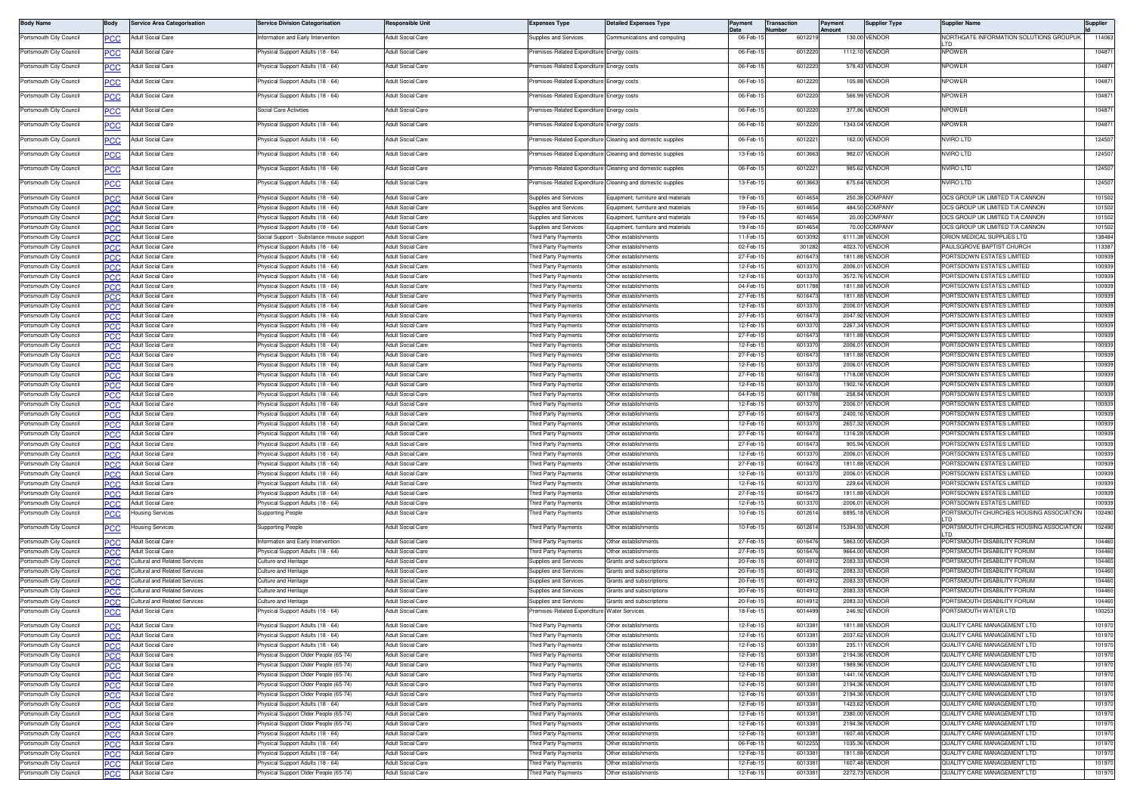| <b>Body Name</b>                                   | 3ody        | <b>Service Area Categorisation</b>                             | Service Division Categorisation                                                   | Responsible Unit                                     | <b>Expenses Type</b>                         | <b>Detailed Expenses Type</b>                                          | Payment              | <b>Transaction</b><br>lumber | Payment<br><b>Imoun</b> | <b>Supplier Type</b>             | Supplier Name                                                             | Supplier         |
|----------------------------------------------------|-------------|----------------------------------------------------------------|-----------------------------------------------------------------------------------|------------------------------------------------------|----------------------------------------------|------------------------------------------------------------------------|----------------------|------------------------------|-------------------------|----------------------------------|---------------------------------------------------------------------------|------------------|
| Portsmouth City Council                            | сc          | Adult Social Care                                              | iformation and Early Intervention                                                 | Adult Social Care                                    | upplies and Services                         | ommunications and computing                                            | 06-Feb-              | 601221                       |                         | 130.00 VENDOR                    | <b>VORTHGATE INFORMATION SOLUTIONS GROUPUK</b>                            | 114063           |
| Portsmouth City Council                            |             | Adult Social Care                                              | hysical Support Adults (18 - 64)                                                  | <b>Adult Social Care</b>                             | emises-Related Expenditure                   | Energy costs                                                           | 06-Feb-1             | 601222                       |                         | 1112.10 VENDOF                   | <b>NPOWER</b>                                                             | 10487            |
| Portsmouth City Council                            |             | Adult Social Care                                              | hysical Support Adults (18 - 64)                                                  | <b>Adult Social Care</b>                             | remises-Related Expenditure                  | nergy costs                                                            | 06-Feb-              | 601222                       |                         | 578.43 VENDOF                    | <b>NPOWER</b>                                                             | 10487            |
|                                                    | сc          |                                                                |                                                                                   |                                                      |                                              |                                                                        |                      |                              |                         |                                  |                                                                           |                  |
| Portsmouth City Council                            | PСC         | <b>Adult Social Care</b>                                       | hysical Support Adults (18 - 64)                                                  | Adult Social Care                                    | remises-Related Expenditure                  | Energy costs                                                           | 06-Feb-              | 601222                       |                         | 105.88 VENDOF                    | <b>VPOWER</b>                                                             | 10487            |
| Portsmouth City Council                            | <u>'CC</u>  | <b>Adult Social Care</b>                                       | <sup>9</sup> hysical Support Adults (18 - 64)                                     | Adult Social Care                                    | remises-Related Expenditure                  | Energy costs                                                           | 06-Feb-1             | 601222                       |                         | 566.99 VENDOR                    | NPOWER                                                                    | 104871           |
| Portsmouth City Council                            | PСC         | Adult Social Care                                              | Social Care Activities                                                            | Adult Social Care                                    | remises-Related Expenditure                  | Energy costs                                                           | 06-Feb-              | 601222                       |                         | 377.86 VENDOF                    | <b>NPOWER</b>                                                             | 10487            |
| Portsmouth City Council                            |             | Adult Social Care                                              | hysical Support Adults (18 - 64)                                                  | <b>Adult Social Care</b>                             | emises-Related Expenditure                   | nergy costs                                                            | 06-Feb-1             | 601222                       |                         | 1343.04 VENDOR                   | <b>NPOWER</b>                                                             | 10487            |
|                                                    | сc          |                                                                |                                                                                   |                                                      |                                              |                                                                        |                      |                              |                         |                                  |                                                                           |                  |
| Portsmouth City Council                            | PСC         | Adult Social Care                                              | hysical Support Adults (18 - 64)                                                  | Adult Social Care                                    | remises-Related Expenditure                  | Cleaning and domestic supplies                                         | 06-Feb-1             | 601222                       |                         | 162.00 VENDOF                    | <b>IVIRO LTD</b>                                                          | 124507           |
| Portsmouth City Council                            | PСC         | Adult Social Care                                              | hysical Support Adults (18 - 64)                                                  | Adult Social Care                                    | emises-Related Expenditure                   | Cleaning and domestic supplie:                                         | 13-Feb-              | 601366                       |                         | 982.07 VENDOF                    | <b>VVIRO LTD</b>                                                          | 12450            |
| Portsmouth City Council                            | <u>PCC</u>  | Adult Social Care                                              | hysical Support Adults (18 - 64)                                                  | Adult Social Care                                    |                                              | remises-Related Expenditure Cleaning and domestic supplies             | 06-Feb-1             | 601222                       |                         | 985.62 VENDOR                    | NVIRO LTD                                                                 | 124507           |
| Portsmouth City Council                            | ∍CC         | Adult Social Care                                              | <sup>9</sup> hysical Support Adults (18 - 64)                                     | Adult Social Care                                    |                                              | remises-Related Expenditure Cleaning and domestic supplies             | 13-Feb-1             | 601366                       |                         | 675.64 VENDOR                    | NVIRO LTD                                                                 | 12450            |
|                                                    |             |                                                                |                                                                                   |                                                      |                                              |                                                                        |                      |                              |                         |                                  |                                                                           |                  |
| Portsmouth City Council<br>Portsmouth City Council | сc<br>PСC   | <b>Adult Social Care</b><br><b>Adult Social Care</b>           | hysical Support Adults (18 - 64<br>hysical Support Adults (18 - 64                | <b>Adult Social Care</b><br><b>Adult Social Care</b> | upplies and Services<br>upplies and Services | quipment, furniture and materials<br>quipment, furniture and materials | 19-Feb-<br>19-Feb-1  | 601465<br>6014654            |                         | 250.38 COMPANY<br>484.50 COMPANY | DCS GROUP UK LIMITED T/A CANNON<br><b>DCS GROUP UK LIMITED T/A CANNON</b> | 101502<br>101502 |
| Portsmouth City Council                            | C.C         | <b>Adult Social Care</b>                                       | hysical Support Adults (18 - 64)                                                  | <b>Adult Social Care</b>                             | Supplies and Services                        | Equipment, furniture and materials                                     | 19-Feb-              | 601465                       |                         | 20.00 COMPANY                    | OCS GROUP UK LIMITED T/A CANNON                                           | 101502           |
| Portsmouth City Council                            | PCC         | <b>Adult Social Care</b>                                       | <sup>2</sup> hysical Support Adults (18 - 64)                                     | Adult Social Care                                    | Supplies and Services                        | Equipment, furniture and materials                                     | 19-Feb-1             | 601465                       |                         | 70.00 COMPANY                    | OCS GROUP UK LIMITED T/A CANNON                                           | 101502           |
| Portsmouth City Council                            |             | Adult Social Care                                              | Social Support - Substance misuse support                                         | Adult Social Care                                    | hird Party Payments                          | Other establishments                                                   | 11-Feb-              | 601309                       |                         | 6111.38 VENDOR                   | <b>PRION MEDICAL SUPPLIES LTD</b>                                         | 138484           |
| Portsmouth City Council                            | °СС         | <b>Adult Social Care</b>                                       | hysical Support Adults (18 - 64                                                   | Adult Social Care                                    | hird Party Payments                          | Other establishments                                                   | 02-Feb-              | 30128                        |                         | 4023.70 VENDOR                   | AULSGROVE BAPTIST CHURCH                                                  | 113387           |
| Portsmouth City Council<br>Portsmouth City Council |             | Adult Social Care<br>Adult Social Care                         | hysical Support Adults (18 - 64<br>hysical Support Adults (18 - 64)               | Adult Social Care<br>Adult Social Care               | hird Party Payments<br>hird Party Payments   | Other establishments<br>Other establishments                           | 27-Feb-<br>12-Feb-   | 601647<br>601337             |                         | 1811.88 VENDOF<br>2006.01 VENDOR | ORTSDOWN ESTATES LIMITED<br>ORTSDOWN ESTATES LIMITED                      | 100939<br>100939 |
| Portsmouth City Council                            | 'CC<br>PCC  | <b>Adult Social Care</b>                                       | hysical Support Adults (18 - 64                                                   | <b>Adult Social Care</b>                             | hird Party Payments                          | Other establishments                                                   | 12-Feb-              | 601337                       |                         | 3572.76 VENDOR                   | ORTSDOWN ESTATES LIMITED                                                  | 100939           |
| Portsmouth City Council                            | 'CC         | <b>Adult Social Care</b>                                       | hysical Support Adults (18 - 64                                                   | <b>Adult Social Care</b>                             | hird Party Payments                          | Other establishments                                                   | 04-Feb-              | 601178                       |                         | 1811.88 VENDOF                   | ORTSDOWN ESTATES LIMITED                                                  | 100939           |
| Portsmouth City Council                            | PCC         | Adult Social Care                                              | hysical Support Adults (18 - 64)                                                  | <b>Adult Social Care</b>                             | hird Party Payments                          | Other establishments                                                   | 27-Feb-              | 601647                       |                         | 1811.88 VENDOR                   | ORTSDOWN ESTATES LIMITED                                                  | 100939           |
| Portsmouth City Council                            |             | <b>Adult Social Care</b>                                       | <sup>2</sup> hysical Support Adults (18 - 64                                      | <b>Adult Social Care</b>                             | hird Party Payments                          | Other establishments                                                   | 12-Feb-1             | 601337                       |                         | 2006.01 VENDOF                   | ORTSDOWN ESTATES LIMITED                                                  | 100939           |
| Portsmouth City Council                            | PCC         | Adult Social Care                                              | hysical Support Adults (18 - 64)                                                  | <b>Adult Social Care</b>                             | hird Party Payments                          | Other establishments                                                   | 27-Feb-              | 601647                       |                         | 2047.92 VENDOR                   | ORTSDOWN ESTATES LIMITED                                                  | 100939           |
| Portsmouth City Council<br>Portsmouth City Council |             | <b>Adult Social Care</b><br>Adult Social Care                  | hysical Support Adults (18 - 64)<br>hysical Support Adults (18 - 64)              | <b>Adult Social Care</b><br><b>Adult Social Care</b> | hird Party Payments<br>hird Party Payments   | Other establishments<br>Other establishments                           | 12-Feb-<br>27-Feb-1  | 601337<br>601647             |                         | 2267.34 VENDOF<br>1811.88 VENDOR | ORTSDOWN ESTATES LIMITED<br>ORTSDOWN ESTATES LIMITED                      | 100939<br>100939 |
| Portsmouth City Council                            | °СС<br>nc   | <b>Adult Social Care</b>                                       | hysical Support Adults (18 - 64                                                   | Adult Social Care                                    | hird Party Payments                          | Other establishments                                                   | 12-Feb-1             | 601337                       |                         | 2006.01 VENDOF                   | ORTSDOWN ESTATES LIMITED                                                  | 100939           |
| Portsmouth City Council                            | сC          | Adult Social Care                                              | hysical Support Adults (18 - 64)                                                  | Adult Social Care                                    | hird Party Payments                          | ther establishments                                                    | 27-Feb-              | 601647                       |                         | 1811.88 VENDOE                   | ORTSDOWN ESTATES LIMITED                                                  | 100939           |
| Portsmouth City Council                            | PCC         | <b>Adult Social Care</b>                                       | hysical Support Adults (18 - 64)                                                  | <b>Adult Social Care</b>                             | hird Party Payments                          | Other establishments                                                   | 12-Feb-1             | 601337                       |                         | 2006.01 VENDOF                   | ORTSDOWN ESTATES LIMITED                                                  | 100939           |
| Portsmouth City Council                            | 2C.C        | <b>Adult Social Care</b>                                       | hysical Support Adults (18 - 64                                                   | <b>Adult Social Care</b>                             | hird Party Payments                          | Other establishments                                                   | 27-Feb-              | 601647                       |                         | 1718.08 VENDOF                   | ORTSDOWN ESTATES LIMITED                                                  | 100939           |
| Portsmouth City Council                            | PCC.        | Adult Social Care                                              | hysical Support Adults (18 - 64)                                                  | Adult Social Care                                    | hird Party Payments                          | Other establishments                                                   | 12-Feb-              | 601337                       |                         | 1902.16 VENDOR                   | ORTSDOWN ESTATES LIMITED                                                  | 100939           |
| Portsmouth City Council<br>Portsmouth City Council | .cr         | <b>Adult Social Care</b><br><b>Adult Social Care</b>           | hysical Support Adults (18 - 64)<br>hysical Support Adults (18 - 64)              | Adult Social Care<br><b>Adult Social Care</b>        | hird Party Payments<br>hird Party Payments   | Other establishments<br>Other establishments                           | 04-Feb-<br>12-Feb-   | 601178<br>601337             |                         | -258.84 VENDOF<br>2006.01 VENDOR | ORTSDOWN ESTATES LIMITED<br>ORTSDOWN ESTATES LIMITED                      | 100939<br>100939 |
| Portsmouth City Council                            | PCC         | <b>Adult Social Care</b>                                       | hysical Support Adults (18 - 64)                                                  | <b>Adult Social Care</b>                             | hird Party Payments                          | Other establishments                                                   | 27-Feb-              | 601647                       |                         | 2400.16 VENDOR                   | ORTSDOWN ESTATES LIMITED                                                  | 100939           |
| Portsmouth City Council                            | 'CC         | Adult Social Care                                              | hysical Support Adults (18 - 64)                                                  | Adult Social Care                                    | hird Party Payments                          | Other establishments                                                   | 12-Feb-1             | 601337                       |                         | 2657.32 VENDOR                   | ORTSDOWN ESTATES LIMITED                                                  | 100939           |
| Portsmouth City Council                            | сc          | Adult Social Care                                              | hysical Support Adults (18 - 64)                                                  | Adult Social Care                                    | hird Party Payments                          | Other establishments                                                   | 27-Feb-              | 601647                       |                         | 1316.28 VENDOF                   | ORTSDOWN ESTATES LIMITED                                                  | 100939           |
| Portsmouth City Council                            | сc          | <b>Adult Social Care</b>                                       | hysical Support Adults (18 - 64                                                   | <b>Adult Social Care</b>                             | hird Party Payments                          | Other establishment                                                    | 27-Feb-              | 601647                       |                         | 905.94 VENDOF                    | ORTSDOWN ESTATES LIMITED                                                  | 100939           |
| Portsmouth City Council                            | PСC         | Adult Social Care                                              | hysical Support Adults (18 - 64)                                                  | <b>Adult Social Care</b>                             | hird Party Payments                          | Other establishments                                                   | 12-Feb-<br>27-Feb-   | 601337<br>601647             |                         | 2006.01 VENDOR<br>1811.88 VENDOF | PORTSDOWN ESTATES LIMITED                                                 | 100939           |
| Portsmouth City Council<br>Portsmouth City Council | ncr<br>PCC  | <b>Adult Social Care</b><br>Adult Social Care                  | hysical Support Adults (18 - 64)<br><sup>2</sup> hysical Support Adults (18 - 64) | <b>Adult Social Care</b><br>Adult Social Care        | hird Party Payments<br>hird Party Payments   | Other establishments<br>Other establishments                           | 12-Feb-              | 601337                       |                         | 2006.01 VENDOR                   | ORTSDOWN ESTATES LIMITED<br>ORTSDOWN ESTATES LIMITED                      | 100939<br>100939 |
| Portsmouth City Council                            |             | Adult Social Care                                              | hysical Support Adults (18 - 64)                                                  | <b>Adult Social Care</b>                             | hird Party Payments                          | Other establishments                                                   | 12-Feb-              | 601337                       |                         | 229.64 VENDOF                    | ORTSDOWN ESTATES LIMITED                                                  | 100939           |
| Portsmouth City Council                            | 'CC         | <b>Adult Social Care</b>                                       | hysical Support Adults (18 - 64)                                                  | <b>Adult Social Care</b>                             | hird Party Payments                          | Other establishments                                                   | 27-Feb-              | 601647                       |                         | 1811.88 VENDOR                   | ORTSDOWN ESTATES LIMITED                                                  | 100939           |
| Portsmouth City Council                            |             | <b>Adult Social Care</b>                                       | hysical Support Adults (18 - 64)                                                  | <b>Adult Social Care</b>                             | hird Party Payments                          | Other establishments                                                   | 12-Feb-              | 601337                       |                         | 2006.01 VENDOR                   | PORTSDOWN ESTATES LIMITED                                                 | 100939           |
| Portsmouth City Council                            | PСC         | lousing Services                                               | Supporting People                                                                 | Adult Social Care                                    | hird Party Payments                          | ther establishments                                                    | 10-Feb-              | 601261                       |                         | 6895.18 VENDOR                   | ORTSMOUTH CHURCHES HOUSING ASSOCIATION                                    | 102490           |
| Portsmouth City Council                            | сC          | Housing Services                                               | Supporting People                                                                 | <b>Adult Social Care</b>                             | hird Party Payments                          | Other establishments                                                   | 10-Feb-1             | 601261                       |                         | 15394.93 VENDOR                  | PORTSMOUTH CHURCHES HOUSING ASSOCIATION                                   | 102490           |
| Portsmouth City Council                            | PCC         | <b>Adult Social Care</b>                                       | nformation and Early Intervention                                                 | Adult Social Care                                    | hird Party Payments                          | Other establishments                                                   | 27-Feb-              | 601647                       |                         | 5863.00 VENDOF                   | PORTSMOUTH DISABILITY FORUM                                               | 104460           |
| Portsmouth City Council                            |             | <b>Adult Social Care</b>                                       | hysical Support Adults (18 - 64)                                                  | <b>Adult Social Care</b>                             | hird Party Payments                          | Other establishments                                                   | 27-Feb-              | 601647                       |                         | 9664.00 VENDOF                   | PORTSMOUTH DISABILITY FORUM                                               | 104460           |
| Portsmouth City Council                            | PCC         | Cultural and Related Services                                  | <b>Culture and Heritage</b>                                                       | <b>Adult Social Care</b>                             | Supplies and Services                        | Grants and subscriptions                                               | 20-Feb-              | 601491                       |                         | 2083.33 VENDOR                   | ORTSMOUTH DISABILITY FORUM                                                | 104460           |
| Portsmouth City Council                            | C.C         | <b>Cultural and Related Services</b>                           | ulture and Heritage                                                               | Adult Social Care                                    | upplies and Services                         | irants and subscriptions                                               | 20-Feb-              | 601491                       |                         | 2083.33 VENDOF                   | ORTSMOUTH DISABILITY FORUM                                                | 104460           |
| Portsmouth City Council<br>Portsmouth City Council | PCC<br>PCC. | Cultural and Related Services<br>Cultural and Related Services | ulture and Heritage<br>ulture and Heritage                                        | <b>Adult Social Care</b><br><b>Adult Social Care</b> | upplies and Services<br>upplies and Services | irants and subscriptions<br>Grants and subscriptions                   | 20-Feb-<br>20-Feb-   | 601491<br>601491             |                         | 2083.33 VENDOE<br>2083.33 VENDOR | ORTSMOUTH DISABILITY FORUM<br>ORTSMOUTH DISABILITY FORUM                  | 104460<br>104460 |
| Portsmouth City Council                            |             | Cultural and Related Services                                  | ulture and Heritage                                                               | <b>Adult Social Care</b>                             | upplies and Services                         | irants and subscriptions                                               | 20-Feb               | 60149                        |                         | 2083.33 VENDOF                   | ORTSMOUTH DISABILITY FORUM                                                | 104460           |
| Portsmouth City Council                            | сc          | Adult Social Care                                              | hysical Support Adults (18 - 64)                                                  | Adult Social Care                                    | emises-Related Expenditure                   | <i><b>Nater Services</b></i>                                           | 18-Feb-              | 601449                       |                         | 246.92 VENDOF                    | ORTSMOUTH WATER LTD                                                       | 100253           |
| ortsmouth City Council                             |             | <b>HOUIL SOCIEL CRIB</b>                                       | riysical Support Adults (16 - 64)                                                 | uull Sucial Care                                     | liru Party Payments                          | iner establishments                                                    | IS-LOD-              | <b>DUIJ3</b>                 |                         | 1911.00 VENDOP                   | IUALII I VARE MANAGEMEN I LIL                                             | 10131            |
| Portsmouth City Council                            | PCC.        | Adult Social Care                                              | Physical Support Adults (18 - 64)                                                 | Adult Social Care                                    | hird Party Payments                          | Other establishments                                                   | 12-Feb-1             | 6013381                      |                         | 2037.62 VENDOR                   | QUALITY CARE MANAGEMENT LTD                                               | 101970           |
| Portsmouth City Council                            | PCC         | Adult Social Care                                              | <sup>9</sup> hysical Support Adults (18 - 64)                                     | Adult Social Care                                    | hird Party Payments                          | Other establishments                                                   | 12-Feb-1             | 601338                       |                         | 235.11 VENDOR                    | QUALITY CARE MANAGEMENT LTD                                               | 101970           |
| Portsmouth City Council                            | PCC.        | <b>Adult Social Care</b>                                       | Physical Support Older People (65-74)                                             | Adult Social Care                                    | hird Party Payments                          | Other establishments                                                   | 12-Feb-1             | 601338                       |                         | 2194.36 VENDOR                   | QUALITY CARE MANAGEMENT LTD                                               | 101970           |
| Portsmouth City Council                            |             | <b>Adult Social Care</b>                                       | Physical Support Older People (65-74)                                             | <b>Adult Social Care</b>                             | hird Party Payments                          | Other establishments                                                   | 12-Feb-1             | 601338                       |                         | 1989.96 VENDOR                   | QUALITY CARE MANAGEMENT LTD                                               | 101970           |
| Portsmouth City Council<br>Portsmouth City Council | PCC∶        | <b>Adult Social Care</b><br>Adult Social Care                  | hysical Support Older People (65-74)<br>hysical Support Older People (65-74)      | <b>Adult Social Care</b><br><b>Adult Social Care</b> | hird Party Payments<br>hird Party Payments   | Other establishments<br>Other establishments                           | 12-Feb-1<br>12-Feb-1 | 601338<br>601338             |                         | 1441.16 VENDOR<br>2194.36 VENDOR | QUALITY CARE MANAGEMENT LTD<br>QUALITY CARE MANAGEMENT LTD                | 101970<br>101970 |
| Portsmouth City Council                            | PСC<br>PСC⊹ | <b>Adult Social Care</b>                                       | hysical Support Older People (65-74)                                              | Adult Social Care                                    | hird Party Payments                          | Other establishments                                                   | 12-Feb-1             | 601338                       |                         | 2194.36 VENDOR                   | QUALITY CARE MANAGEMENT LTD                                               | 101970           |
| Portsmouth City Council                            | PCC         | Adult Social Care                                              | Physical Support Adults (18 - 64)                                                 | <b>Adult Social Care</b>                             | hird Party Payments                          | Other establishments                                                   | 12-Feb-1             | 601338                       |                         | 1423.62 VENDOR                   | QUALITY CARE MANAGEMENT LTD                                               | 101970           |
| Portsmouth City Council                            | °СС         | Adult Social Care                                              | hysical Support Older People (65-74)                                              | <b>Adult Social Care</b>                             | hird Party Payments                          | Other establishments                                                   | 12-Feb-1             | 601338                       |                         | 2380.00 VENDOR                   | QUALITY CARE MANAGEMENT LTD                                               | 101970           |
| Portsmouth City Council                            | PCC         | Adult Social Care                                              | <sup>9</sup> hysical Support Older People (65-74)                                 | Adult Social Care                                    | hird Party Payments                          | Other establishments                                                   | 12-Feb-1             | 601338                       |                         | 2194.36 VENDOR                   | QUALITY CARE MANAGEMENT LTD                                               | 101970           |
| Portsmouth City Council                            | PCC.        | Adult Social Care                                              | <sup>2</sup> hysical Support Adults (18 - 64)                                     | Adult Social Care                                    | hird Party Payments                          | Other establishments                                                   | 12-Feb-1             | 601338                       |                         | 1607.48 VENDOR<br>1035.36 VENDOR | QUALITY CARE MANAGEMENT LTD<br>QUALITY CARE MANAGEMENT LTD                | 101970           |
| Portsmouth City Council<br>Portsmouth City Council | PCC         | Adult Social Care<br>Adult Social Care                         | Physical Support Adults (18 - 64)<br>hysical Support Adults (18 - 64)             | Adult Social Care<br><b>Adult Social Care</b>        | hird Party Payments<br>hird Party Payments   | Other establishments<br>Other establishments                           | 06-Feb-1<br>12-Feb-1 | 601225<br>601338             |                         | 1811.88 VENDOR                   | QUALITY CARE MANAGEMENT LTD                                               | 101970<br>101970 |
| Portsmouth City Council                            | сc<br>PCC.  | Adult Social Care                                              | hysical Support Adults (18 - 64)                                                  | Adult Social Care                                    | hird Party Payments                          | Other establishments                                                   | 12-Feb-1             | 601338                       |                         | 1607.48 VENDOR                   | QUALITY CARE MANAGEMENT LTD                                               | 101970           |
| Portsmouth City Council                            | PCC         | <b>Adult Social Care</b>                                       | hysical Support Older People (65-74)                                              | Adult Social Care                                    | hird Party Payments                          | Other establishments                                                   | 12-Feb-1             | 601338                       |                         | 2272.73 VENDOR                   | QUALITY CARE MANAGEMENT LTD                                               | 101970           |
|                                                    |             |                                                                |                                                                                   |                                                      |                                              |                                                                        |                      |                              |                         |                                  |                                                                           |                  |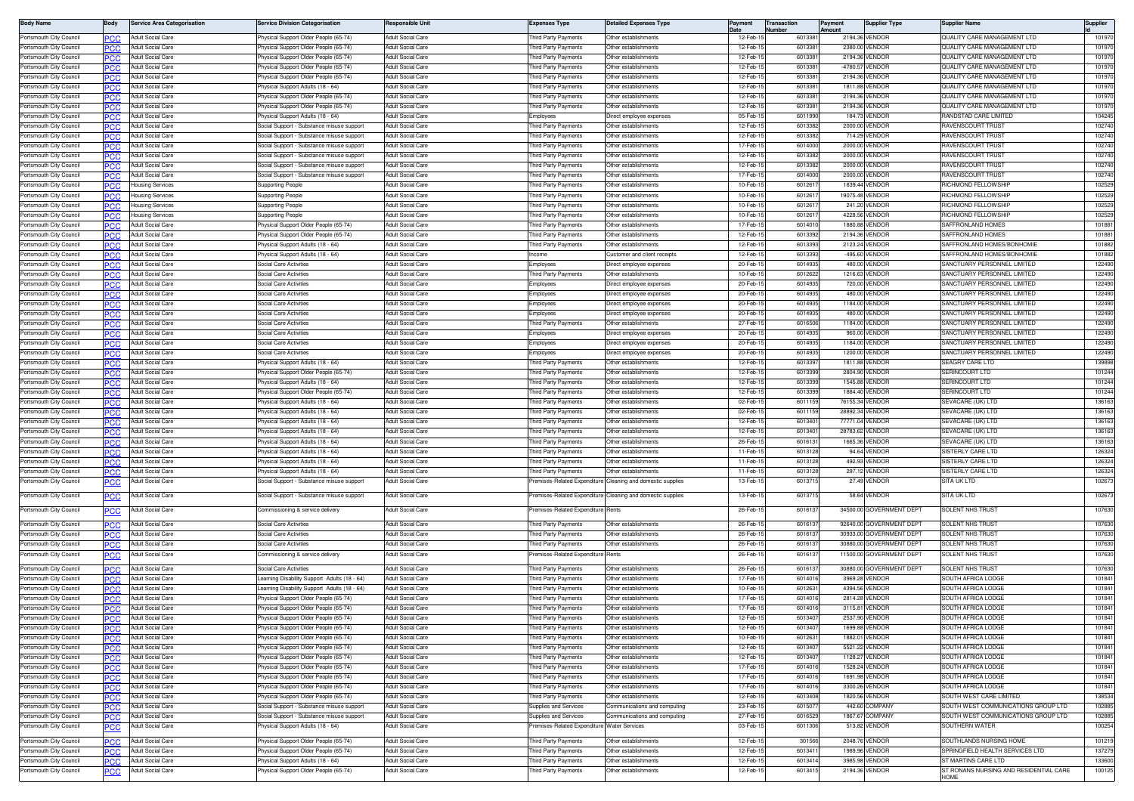| <b>Body Name</b>        | 3ody        | <b>Service Area Categorisation</b> | Service Division Categorisation                   | Responsible Unit         | Expenses Type                              | <b>Detailed Expenses Type</b>                              | Payment   | Transaction<br>lumber | 'ayment<br>mount | Supplier Type            | Supplier Name                                          | Supplier         |
|-------------------------|-------------|------------------------------------|---------------------------------------------------|--------------------------|--------------------------------------------|------------------------------------------------------------|-----------|-----------------------|------------------|--------------------------|--------------------------------------------------------|------------------|
| Portsmouth City Council |             | Adult Social Care                  | Physical Support Older People (65-74)             | Adult Social Care        | hird Party Payments                        | Other establishment:                                       | 12-Feb-   | 601338                |                  | 2194.36 VENDOR           | QUALITY CARE MANAGEMENT LTD                            | 101970           |
| Portsmouth City Council | ĸю          | <b>Adult Social Care</b>           | hysical Support Older People (65-74)              | Adult Social Care        | hird Party Payments                        | Other establishments                                       | 12-Feb-   | 601338                |                  | 2380.00 VENDOR           | QUALITY CARE MANAGEMENT LTD                            | 101970           |
| Portsmouth City Council |             | Adult Social Care                  | hysical Support Older People (65-74)              | Adult Social Care        | hird Party Payments                        | ther establishments                                        | 12-Feb-   | 601338                |                  | 2194.36 VENDOF           | QUALITY CARE MANAGEMENT LTD                            | 101970           |
| Portsmouth City Council |             | Adult Social Care                  | hysical Support Older People (65-74)              | Adult Social Care        | hird Party Payments                        | Other establishments                                       | 12-Feb-   | 601338                |                  | -4780.57 VENDOF          | QUALITY CARE MANAGEMENT LTD                            | 101970           |
| Portsmouth City Council |             | <b>Adult Social Care</b>           | hysical Support Older People (65-74)              | Adult Social Care        | hird Party Payments                        | Other establishment:                                       | 12-Feb-1  | 601338                |                  | 2194.36 VENDOR           | QUALITY CARE MANAGEMENT LTD                            | 101970           |
| Portsmouth City Council |             | <b>Adult Social Care</b>           | hysical Support Adults (18 - 64                   | Adult Social Care        | hird Party Payments                        | Other establishment                                        | 12-Feb-1  | 601338                |                  | 1811.88 VENDOR           | QUALITY CARE MANAGEMENT LTD                            | 101970           |
| Portsmouth City Council | PCC         | <b>Adult Social Care</b>           | hysical Support Older People (65-74               | Adult Social Care        | hird Party Payments                        | Other establishments                                       | 12-Feb-1  | 601338                |                  | 2194.36 VENDOR           | QUALITY CARE MANAGEMENT LTD                            | 101970           |
| Portsmouth City Council |             | Adult Social Care                  | 'hysical Support Older People (65-74)             | Adult Social Care        | hird Party Payments                        | Other establishments                                       | 12-Feb-   | 601338                |                  | 2194.36 VENDOR           | QUALITY CARE MANAGEMENT LTD                            | 10197            |
| Portsmouth City Council | PCC         | Adult Social Care                  | Physical Support Adults (18 - 64)                 | Adult Social Care        | :mployees                                  | Direct employee expenses                                   | 05-Feb-1  | 601199                |                  | 184.73 VENDOR            | <b>RANDSTAD CARE LIMITED</b>                           | 104245           |
| Portsmouth City Council |             | Adult Social Care                  | Social Support - Substance misuse support         | <b>Adult Social Care</b> | hird Party Payments                        | Other establishment:                                       | 12-Feb-1  | 601338                |                  | 2000.00 VENDOR           | RAVENSCOURT TRUST                                      | 102740           |
| Portsmouth City Council |             | <b>Adult Social Care</b>           | Social Support - Substance misuse support         | Adult Social Care        | hird Party Payments                        | Other establishments                                       | 12-Feb-1  | 601338                |                  | 714.29 VENDOR            | <b>AVENSCOURT TRUST</b>                                | 102740           |
| Portsmouth City Council |             | <b>Adult Social Care</b>           | Social Support - Substance misuse support         | <b>Adult Social Care</b> | hird Party Payments                        | Other establishments                                       | $17-Feb-$ | 601400                |                  | 2000.00 VENDOR           | <b>IAVENSCOURT TRUST</b>                               | 102740           |
| Portsmouth City Council |             | Adult Social Care                  | Social Support - Substance misuse support         | Adult Social Care        | hird Party Payments                        | Other establishments                                       | 12-Feb-1  | 601338                |                  | 2000.00 VENDOR           | AVENSCOURT TRUST                                       | 102740           |
| Portsmouth City Council | PCC.        | Adult Social Care                  | iocial Support - Substance misuse suppor          | Adult Social Care        | hird Party Payments                        | Other establishment:                                       | 12-Feb-1  | 601338                |                  | 2000.00 VENDOR           | IAVENSCOURT TRUST                                      | 102740           |
| Portsmouth City Council |             | <b>Adult Social Care</b>           | locial Support - Substance misuse support         | <b>Adult Social Care</b> | hird Party Payments                        | Other establishment:                                       | 17-Feb-1  | 601400                |                  | 2000.00 VENDOR           | RAVENSCOURT TRUST                                      | 102740           |
| Portsmouth City Council | <b>PCC</b>  | <b>Housing Services</b>            | Supporting People                                 | Adult Social Care        | hird Party Payments                        | Other establishments                                       | 10-Feb-   | 60126                 |                  | 1839.44 VENDOR           | RICHMOND FELLOWSHII                                    | 102529           |
| Portsmouth City Council |             | <b>Housing Services</b>            | Supporting People                                 | <b>Adult Social Care</b> | hird Party Payments                        | Other establishments                                       | 10-Feb-   | 60126                 |                  | 19075.48 VENDOR          | RICHMOND FELLOWSHII                                    | 102529           |
| Portsmouth City Council |             | <b>Housing Services</b>            | Supporting People                                 | <b>Adult Social Care</b> | hird Party Payments                        | Other establishments                                       | 10-Feb-1  | 60126                 |                  | 241.20 VENDOR            | <b>ICHMOND FELLOWSHIP</b>                              | 102529           |
| Portsmouth City Council |             | <b>Housing Services</b>            | Supporting People                                 | <b>Adult Social Care</b> | hird Party Payments                        | Other establishments                                       | 10-Feb-1  | 601261                |                  | 4228.56 VENDOR           | <b>ICHMOND FELLOWSHIP</b>                              | 102529           |
| Portsmouth City Council |             | Adult Social Care                  | Physical Support Older People (65-74)             | <b>Adult Social Care</b> | hird Party Payments                        | Other establishments                                       | 17-Feb-1  | 60140                 |                  | 1880.88 VENDOR           | SAFFRONLAND HOMES                                      | 101881           |
| Portsmouth City Council |             | Adult Social Care                  | Physical Support Older People (65-74)             | <b>Adult Social Care</b> | hird Party Payments                        | Other establishments                                       | 12-Feb-   | 601339                |                  | 2194.36 VENDOR           | SAFFRONLAND HOMES                                      | 101881           |
| Portsmouth City Council |             | Adult Social Care                  | hysical Support Adults (18 - 64                   | <b>Adult Social Care</b> | hird Party Payments                        | Other establishment                                        | 12-Feb-   | 601339                |                  | 2123.24 VENDOR           | SAFFRONLAND HOMES/BONHOMIE                             | 101882           |
| Portsmouth City Council | PCC         | <b>Adult Social Care</b>           | hysical Support Adults (18 - 64)                  | <b>Adult Social Care</b> | acome                                      | ustomer and client receipts                                | 12-Feb-1  | 601339                |                  | -495.60 VENDOR           | SAFFRONLAND HOMES/BONHOMIE                             | 101882           |
| Portsmouth City Council |             | <b>Adult Social Care</b>           | Social Care Activities                            | <b>Adult Social Care</b> | mployees                                   | )irect employee expenses                                   | 20-Feb-   | 601493                |                  | 480.00 VENDOR            | SANCTUARY PERSONNEL LIMITED                            | 122490           |
| Portsmouth City Council |             | <b>Adult Social Care</b>           | Social Care Activities                            | Adult Social Care        | hird Party Payments                        | Other establishments                                       | 10-Feb-1  | 601262                |                  | 1216.63 VENDOR           | SANCTUARY PERSONNEL LIMITED                            | 122490           |
| Portsmouth City Council |             | Adult Social Care                  | Social Care Activities                            | <b>Adult Social Care</b> | :mployees                                  | Direct employee expenses                                   | 20-Feb-   | 601493                |                  | 720.00 VENDOR            | SANCTUARY PERSONNEL LIMITED                            | 122490           |
| Portsmouth City Council |             | <b>Adult Social Care</b>           | Social Care Activities                            | <b>Adult Social Care</b> | mployees                                   | Direct employee expenses                                   | 20-Feb-   | 601493                |                  | 480.00 VENDOR            | SANCTUARY PERSONNEL LIMITED                            | 122490           |
| Portsmouth City Council |             | <b>Adult Social Care</b>           | Social Care Activities                            | Adult Social Care        | mployees                                   | Direct employee expenses                                   | 20-Feb-   | 601493                |                  | 1184.00 VENDOR           | SANCTUARY PERSONNEL LIMITED                            | 122490           |
| Portsmouth City Council |             | Adult Social Care                  | Social Care Activities                            | <b>Adult Social Care</b> | mployees                                   | Direct emplovee expenses                                   | 20-Feb-   | 601493                |                  | 480.00 VENDOR            | ANCTUARY PERSONNEL LIMITED                             | 122490           |
| Portsmouth City Council |             | <b>Adult Social Care</b>           | ocial Care Activities                             | Adult Social Care        | hird Party Payments                        | Other establishment:                                       | 27-Feb-1  | 601650                |                  | 1184.00 VENDOR           | SANCTUARY PERSONNEL LIMITED                            | 122490           |
| Portsmouth City Council |             | <b>Adult Social Care</b>           | ocial Care Activities                             | <b>Adult Social Care</b> | nployees                                   | irect employee expenses                                    | 20-Feb-   | 601493                |                  | 960.00 VENDOR            | SANCTUARY PERSONNEL LIMITED                            | 122490           |
| Portsmouth City Council | PCC         | Adult Social Care                  | Social Care Activities                            | Adult Social Care        | mployees                                   | Direct employee expenses                                   | 20-Feb-1  | 601493                |                  | 1184.00 VENDOR           | SANCTUARY PERSONNEL LIMITED                            | 122490           |
| Portsmouth City Council |             | <b>Adult Social Care</b>           | Social Care Activities                            | <b>Adult Social Care</b> | mployees                                   | )irect employee expenses                                   | 20-Feb-   | 601493                |                  | 1200.00 VENDOR           | SANCTUARY PERSONNEL LIMITED                            | 122490           |
| Portsmouth City Council | PCC         | <b>Adult Social Care</b>           | 'hysical Support Adults (18 - 64)                 | Adult Social Care        | hird Party Payments                        | Other establishments                                       | 12-Feb-1  | 601339                |                  | 1811.88 VENDOR           | SEAGRY CARE LTD                                        | 13989            |
| Portsmouth City Council |             | Adult Social Care                  | hysical Support Older People (65-74)              | Adult Social Care        | hird Party Payments                        | Other establishments                                       | 12-Feb-   | 601339                |                  | 2804.90 VENDOR           | SERINCOURT LTD                                         | 101244           |
| Portsmouth City Council |             | <b>Adult Social Care</b>           | Physical Support Adults (18 - 64                  | Adult Social Care        | hird Party Payments                        | Other establishments                                       | 12-Feb-1  | 601339                |                  | 1545.88 VENDOR           | <b>SERINCOURT LTD</b>                                  | 101244           |
| Portsmouth City Council |             | Adult Social Care                  | Physical Support Older People (65-74)             | <b>Adult Social Care</b> | hird Party Payments                        | Other establishment:                                       | 12-Feb-   | 601339                |                  | 1884.40 VENDOR           | SERINCOURT LTD                                         | 101244           |
| Portsmouth City Council |             | Adult Social Care                  | hysical Support Adults (18 - 64)                  | <b>Adult Social Care</b> | hird Party Payments                        | Other establishments                                       | 02-Feb-1  | 601115                |                  | 76155.34 VENDOR          | EVACARE (UK) LTD                                       | 136163           |
| Portsmouth City Council | חמפ         | <b>Adult Social Care</b>           | hysical Support Adults (18 - 64)                  | Adult Social Care        | hird Party Payments                        | Other establishments                                       | 02-Feb-1  | 601115                |                  | 28892.34 VENDOR          | SEVACARE (UK) LTD                                      | 136163           |
| Portsmouth City Council |             | <b>Adult Social Care</b>           | nysical Support Adults (18 - 64)                  | <b>Adult Social Care</b> | hird Party Payments                        | Other establishments                                       | 12-Feb-1  | 601340                |                  | 77771.04 VENDOR          | SEVACARE (UK) LTD                                      | 136163           |
| Portsmouth City Council | PCC         | <b>Adult Social Care</b>           | <sup>2</sup> hysical Support Adults (18 - 64)     | Adult Social Care        | hird Party Payments                        | Other establishments                                       | 12-Feb-1  | 601340                |                  | 28783.62 VENDOR          | SEVACARE (UK) LTD                                      | 136163           |
| Portsmouth City Council |             | <b>Adult Social Care</b>           | Physical Support Adults (18 - 64)                 | Adult Social Care        | 'hird Party Payments                       | Other establishment:                                       | 26-Feb-   | 60161                 |                  | 1665.36 VENDOR           | SEVACARE (UK) LTD                                      | 136163           |
| Portsmouth City Council |             | <b>Adult Social Care</b>           | hysical Support Adults (18 - 64)                  | <b>Adult Social Care</b> | hird Party Payments                        | Other establishments                                       | 11-Feb-1  | 601312                |                  | 94.64 VENDOR             | <b>ISTERLY CARE LTD</b>                                | 126324           |
| Portsmouth City Council |             | <b>Adult Social Care</b>           | hysical Support Adults (18 - 64)                  | <b>Adult Social Care</b> | hird Party Payments                        | Other establishments                                       | 11-Feb-1  | 601312                |                  | 492.93 VENDOR            | SISTERLY CARE LTD                                      | 126324           |
| Portsmouth City Council |             | Adult Social Care                  | hysical Support Adults (18 - 64)                  | <b>Adult Social Care</b> | hird Party Payments                        | Other establishments                                       | 11-Feb-1  | 601312                |                  | 297.12 VENDOR            | <b>ISTERLY CARE LTD</b>                                | 126324           |
| Portsmouth City Council | <u>cc</u>   | Adult Social Care                  | Social Support - Substance misuse support         | <b>Adult Social Care</b> | remises-Related Expenditure                | Cleaning and domestic supplies                             | 13-Feb-1  | 60137                 |                  | 27.49 VENDOR             | SITA UK LTD                                            | 102673           |
| Portsmouth City Council |             | Adult Social Care                  | Social Support - Substance misuse support         | Adult Social Care        |                                            | remises-Related Expenditure Cleaning and domestic supplies | 13-Feb-1  | 60137                 |                  | 58.64 VENDOR             | <b>TTA UK LTD</b>                                      | 102673           |
|                         | ပင          |                                    |                                                   |                          |                                            |                                                            |           |                       |                  |                          |                                                        |                  |
| Portsmouth City Council |             | <b>Adult Social Care</b>           | Commissioning & service delivery                  | Adult Social Care        | remises-Related Expenditure                | Rents                                                      | 26-Feb-1  | 601613                |                  | 34500.00 GOVERNMENT DEPT | SOLENT NHS TRUST                                       | 107630           |
| Portsmouth City Council | <b>PCC</b>  | Adult Social Care                  | Social Care Activities                            | Adult Social Care        | hird Party Payments                        | Other establishments                                       | 26-Feb-   | 60161                 |                  | 92640.00 GOVERNMENT DEPT | SOLENT NHS TRUS'                                       | 107630           |
| Portsmouth City Council |             | <b>Adult Social Care</b>           | Social Care Activities                            | Adult Social Care        | hird Party Payments                        | Other establishments                                       | 26-Feb-   | 60161                 |                  | 30933.00 GOVERNMENT DEPT | SOLENT NHS TRUST                                       | 107630           |
| Portsmouth City Council |             | Adult Social Care                  | <b>Social Care Activities</b>                     | <b>Adult Social Care</b> | hird Party Payments                        | ther establishments                                        | 26-Feb-1  | 601613                |                  | 30880.00 GOVERNMENT DEPT | <b>OLENT NHS TRUST</b>                                 | 107630           |
| Portsmouth City Council |             | Adult Social Care                  | Commissioning & service delivery                  | <b>Adult Social Care</b> | remises-Related Expenditure                | Rents                                                      | 26-Feb-1  | 601613                |                  | 11500.00 GOVERNMENT DEPT | SOLENT NHS TRUST                                       | 107630           |
|                         | יטע         |                                    |                                                   |                          |                                            |                                                            |           |                       |                  |                          |                                                        |                  |
| Portsmouth City Council | PCC         | <b>Adult Social Care</b>           | <b>Social Care Activities</b>                     | Adult Social Care        | hird Party Payments                        | Other establishments                                       | 26-Feb-   | 601613                |                  | 30880.00 GOVERNMENT DEPT | SOLENT NHS TRUST                                       | 107630           |
| Portsmouth City Council |             | <b>Adult Social Care</b>           | earning Disability Support Adults (18 - 64)       | Adult Social Care        | hird Party Payments                        | Other establishment:                                       | 17-Feb-1  | 601401                |                  | 3969.28 VENDOR           | <b>SOUTH AFRICA LODGE</b>                              | 101841           |
| Portsmouth City Council |             | <b>Adult Social Care</b>           | earning Disability Support Adults (18 - 64)       | Adult Social Care        | hird Party Payments                        | Other establishments                                       | 10-Feb-1  | 601263                |                  | 4394 56 VENDOR           | <b>SOUTH AFRICA LODGE</b>                              | 101841           |
| Portsmouth City Council |             | Adult Social Care                  | hysical Support Older People (65-74)              | Adult Social Care        | hird Party Payments                        | ther establishments                                        | 17-Feb-   | 60140                 |                  | 2814.28 VENDOR           | SOUTH AFRICA LODGE                                     | 10184            |
| Portsmouth City Council |             | Adult Social Care                  | hysical Support Older People (65-74)              | Adult Social Care        | hird Party Payments                        | Other establishments                                       | 17-Feb-   | 60140                 |                  | 3115.81 VENDOE           | OUTH AFRICA LODGE                                      | 101841           |
| Portsmouth City Council | PCC.        | Adult Social Care                  | hysical Support Older People (65-74)              | Adult Social Care        | hird Party Payments                        | Other establishment                                        | 12-Feb-1  | 601340                |                  | 2537.90 VENDOR           | SOUTH AFRICA LODGE                                     | 101841           |
| Portsmouth City Council | PCC.        | <b>Adult Social Care</b>           | hysical Support Older People (65-74)              | <b>Adult Social Care</b> | hird Party Payments                        | Other establishments                                       | 12-Feb-1  | 601340                |                  | 1699.88 VENDOR           | SOUTH AFRICA LODGI                                     | 101841           |
| Portsmouth City Council | <b>PCC</b>  | Adult Social Care                  | <sup>2</sup> hysical Support Older People (65-74) | Adult Social Care        | hird Party Payments                        | Other establishments                                       | 10-Feb-1  | 601263                |                  | 1882.01 VENDOR           | SOUTH AFRICA LODGE                                     | 101841           |
| Portsmouth City Council |             | Adult Social Care                  | Physical Support Older People (65-74)             | Adult Social Care        | hird Party Payments                        | Other establishments                                       | 12-Feb-1  | 601340                |                  | 5521.22 VENDOR           | SOUTH AFRICA LODGE                                     | 101841           |
| Portsmouth City Council | PCC         | Adult Social Care                  | Physical Support Older People (65-74)             | Adult Social Care        | hird Party Payments                        | Other establishments                                       | 12-Feb-1  | 601340                |                  | 1128.27 VENDOR           | SOUTH AFRICA LODGE                                     | 101841           |
| Portsmouth City Council |             | <b>Adult Social Care</b>           | Physical Support Older People (65-74)             | <b>Adult Social Care</b> | hird Party Payments                        | Other establishments                                       | 17-Feb-1  | 601401                |                  | 1528.24 VENDOR           | SOUTH AFRICA LODGE                                     | 101841           |
| Portsmouth City Council | PCC         | Adult Social Care                  | Physical Support Older People (65-74)             | <b>Adult Social Care</b> | hird Party Payments                        | Other establishments                                       | 17-Feb-1  | 601401                |                  | 1691.98 VENDOR           | SOUTH AFRICA LODGE                                     | 101841           |
| Portsmouth City Council |             | Adult Social Care                  | Physical Support Older People (65-74)             | <b>Adult Social Care</b> | hird Party Payments                        | Other establishments                                       | 17-Feb-1  | 60140                 |                  | 3300.26 VENDOR           | SOUTH AFRICA LODGE                                     | 101841           |
| Portsmouth City Council |             | Adult Social Care                  | hysical Support Older People (65-74)              | Adult Social Care        | hird Party Payments                        | Other establishments                                       | 12-Feb-1  | 601340                |                  | 1820.56 VENDOR           | OUTH WEST CARE LIMITED                                 | 138534           |
| Portsmouth City Council | PCC.        | Adult Social Care                  | Social Support - Substance misuse support         | <b>Adult Social Care</b> | upplies and Services                       | Communications and computing                               | 23-Feb-1  | 601507                |                  | 442.60 COMPANY           | SOUTH WEST COMMUNICATIONS GROUP LTD                    | 102885           |
| Portsmouth City Council |             | <b>Adult Social Care</b>           | Social Support - Substance misuse support         | Adult Social Care        | Supplies and Services                      | Communications and computing                               | 27-Feb-1  | 601652                |                  | 1867.67 COMPANY          | SOUTH WEST COMMUNICATIONS GROUP LTD                    | 102885           |
| Portsmouth City Council |             | Adult Social Care                  | <sup>2</sup> hysical Support Adults (18 - 64)     | Adult Social Care        | remises-Related Expenditure Water Services |                                                            | 03-Feb-1  | 601130                |                  | 513.82 VENDOR            | SOUTHERN WATER                                         | 100254           |
|                         |             |                                    | hysical Support Older People (65-74)              |                          |                                            |                                                            |           |                       |                  | 2048.76 VENDOR           |                                                        |                  |
| Portsmouth City Council | PCC         | Adult Social Care                  |                                                   | Adult Social Care        | <b>hird Party Payments</b>                 | Other establishments<br>Other establishments               | 12-Feb-1  | 30156                 |                  |                          | SOUTHLANDS NURSING HOME                                | 101219           |
| Portsmouth City Council | <b>PCC</b>  | Adult Social Care                  | Physical Support Older People (65-74)             | Adult Social Care        | hird Party Payments                        |                                                            | 12-Feb-1  | 601341                |                  | 1989.96 VENDOR           | SPRINGFIELD HEALTH SERVICES LTD<br>ST MARTINS CARE LTD | 137279<br>133600 |
| Portsmouth City Council |             | Adult Social Care                  | Physical Support Adults (18 - 64)                 | Adult Social Care        | 'hird Party Payments                       | Other establishments                                       | 12-Feb-1  | 601341                |                  | 3985.98 VENDOR           | ST RONANS NURSING AND RESIDENTIAL CARE                 | 100125           |
| Portsmouth City Council | <u> °СС</u> | Adult Social Care                  | hysical Support Older People (65-74)              | Adult Social Care        | hird Party Payments                        | Other establishments                                       | 12-Feb-1  | 601341                |                  | 2194.36 VENDOR           |                                                        |                  |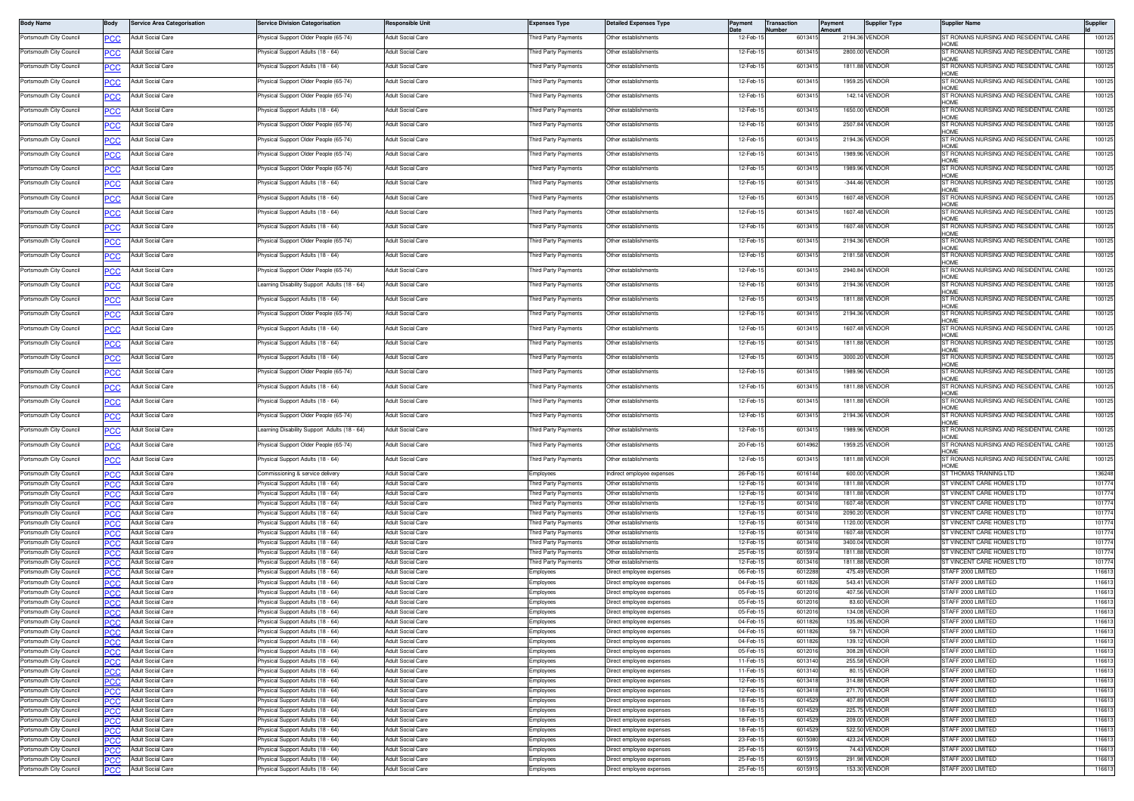| <b>Body Name</b>                                   | Body              | <b>Service Area Categorisation</b>            | ervice Division Categorisation                                       | <b>Responsible Unit</b>                       | <b>Expenses Type</b>                       | Detailed Expenses Type                               | Paymen                 | <b>Transaction</b><br>Number | Payment<br>Amount  | <b>Supplier Type</b>          | Supplier Name                                                 | Supplier         |
|----------------------------------------------------|-------------------|-----------------------------------------------|----------------------------------------------------------------------|-----------------------------------------------|--------------------------------------------|------------------------------------------------------|------------------------|------------------------------|--------------------|-------------------------------|---------------------------------------------------------------|------------------|
| Portsmouth City Council                            | <u>PCC</u>        | <b>Adult Social Care</b>                      | hysical Support Older People (65-74)                                 | Adult Social Care                             | hird Party Payments                        | Other establishments                                 | 12-Feb-                | 601341                       |                    | 2194.36 VENDOR                | ST RONANS NURSING AND RESIDENTIAL CARE                        | 100125           |
| Portsmouth City Council                            |                   | Adult Social Care                             | hysical Support Adults (18 - 64)                                     | Adult Social Care                             | hird Party Payments                        | Other establishments                                 | 12-Feb-1               | 601341                       |                    | 2800.00 VENDOR                | ST RONANS NURSING AND RESIDENTIAL CARE                        | 100125           |
| Portsmouth City Council                            | ∍сс               | Adult Social Care                             | hysical Support Adults (18 - 64)                                     | Adult Social Care                             | hird Party Payments                        | Other establishments                                 | 12-Feb-1               | 601341                       |                    | 1811.88 VENDOR                | HOME<br>ST RONANS NURSING AND RESIDENTIAL CARE                | 100125           |
| Portsmouth City Council                            | PCC               | <b>Adult Social Care</b>                      | hysical Support Older People (65-74)                                 | Adult Social Care                             | hird Party Payments                        | Other establishments                                 | 12-Feb-1               | 601341                       |                    | 1959.25 VENDOR                | HOMF<br>ST RONANS NURSING AND RESIDENTIAL CARE                | 100125           |
| Portsmouth City Council                            |                   | Adult Social Care                             | <sup>2</sup> hysical Support Older People (65-74)                    | Adult Social Care                             | Third Party Payments                       | Other establishments                                 | 12-Feb-1               | 6013415                      |                    | 142.14 VENDOR                 | HOME<br>ST RONANS NURSING AND RESIDENTIAL CARE                | 100125           |
|                                                    |                   |                                               |                                                                      |                                               |                                            |                                                      |                        |                              |                    |                               | HOMF                                                          |                  |
| Portsmouth City Council                            | <u>PCC</u>        | Adult Social Care                             | hysical Support Adults (18 - 64)                                     | Adult Social Care                             | 'hird Party Payments                       | Other establishments                                 | 12-Feb-1               | 601341                       |                    | 1650.00 VENDOR                | ST RONANS NURSING AND RESIDENTIAL CARE<br>HOMF                | 100125           |
| Portsmouth City Council                            |                   | Adult Social Care                             | hysical Support Older People (65-74)                                 | Adult Social Care                             | hird Party Payments                        | Other establishments                                 | 12-Feb-1               | 601341                       |                    | 2507.84 VENDOR                | ST RONANS NURSING AND RESIDENTIAL CARE<br>HOME                | 100125           |
| Portsmouth City Council                            | ∍сс               | Adult Social Care                             | hysical Support Older People (65-74)                                 | Adult Social Care                             | hird Party Payments                        | Other establishments                                 | 12-Feb-1               | 601341                       |                    | 2194.36 VENDOR                | ST RONANS NURSING AND RESIDENTIAL CARE<br>HOME                | 100125           |
| Portsmouth City Council                            | <b>PCC</b>        | <b>Adult Social Care</b>                      | hysical Support Older People (65-74)                                 | Adult Social Care                             | hird Party Payments                        | Other establishments                                 | 12-Feb-1               | 601341                       |                    | 1989.96 VENDOR                | ST RONANS NURSING AND RESIDENTIAL CARE                        | 100125           |
| Portsmouth City Council                            | <u>PCC</u>        | Adult Social Care                             | hysical Support Older People (65-74)                                 | <b>Adult Social Care</b>                      | 'hird Party Payments                       | Other establishments                                 | 12-Feb-1               | 6013415                      |                    | 1989.96 VENDOR                | HOMF<br>ST RONANS NURSING AND RESIDENTIAL CARE                | 100125           |
| Portsmouth City Council                            | <u>PCC</u>        | Adult Social Care                             | hysical Support Adults (18 - 64)                                     | Adult Social Care                             | hird Party Payments                        | Other establishments                                 | 12-Feb-1               | 601341                       |                    | -344.46 VENDOR                | HOME<br>ST RONANS NURSING AND RESIDENTIAL CARE                | 100125           |
| Portsmouth City Council                            |                   | Adult Social Care                             | hysical Support Adults (18 - 64)                                     | Adult Social Care                             | hird Party Payments                        | Other establishments                                 | 12-Feb-1               | 601341                       |                    | 1607.48 VENDOR                | HOMF<br>ST RONANS NURSING AND RESIDENTIAL CARE                | 100125           |
|                                                    |                   |                                               | hysical Support Adults (18 - 64)                                     |                                               | hird Party Payments                        |                                                      |                        |                              |                    | 1607.48 VENDOR                | HOME                                                          |                  |
| Portsmouth City Council                            | ∍сс               | Adult Social Care                             |                                                                      | dult Social Care                              |                                            | Other establishments                                 | 12-Feb-1               | 601341                       |                    |                               | ST RONANS NURSING AND RESIDENTIAL CARE<br>HOMF                | 100125           |
| Portsmouth City Council                            | PCC               | Adult Social Care                             | hysical Support Adults (18 - 64)                                     | Adult Social Care                             | hird Party Payments                        | Other establishments                                 | 12-Feb-1               | 601341                       | 1607.48            | VENDOR                        | ST RONANS NURSING AND RESIDENTIAL CARE<br>HOME                | 100125           |
| Portsmouth City Council                            |                   | Adult Social Care                             | <sup>2</sup> hysical Support Older People (65-74)                    | Adult Social Care                             | 'hird Party Payments                       | Other establishments                                 | 12-Feb-1               | 601341                       |                    | 2194.36 VENDOR                | ST RONANS NURSING AND RESIDENTIAL CARE<br>HOMF                | 100125           |
| Portsmouth City Council                            | <u>PCC</u>        | Adult Social Care                             | hysical Support Adults (18 - 64)                                     | Adult Social Care                             | hird Party Payments                        | Other establishments                                 | 12-Feb-1               | 6013415                      |                    | 2181.58 VENDOR                | ST RONANS NURSING AND RESIDENTIAL CARE<br>HOMF                | 100125           |
| Portsmouth City Council                            |                   | Adult Social Care                             | hysical Support Older People (65-74                                  | dult Social Care                              | hird Party Payments                        | Other establishments                                 | 12-Feb-1               | 601341                       |                    | 2940.84 VENDOR                | ST RONANS NURSING AND RESIDENTIAL CARE                        | 100125           |
| Portsmouth City Council                            | PСC               | Adult Social Care                             | earning Disability Support Adults (18 - 64)                          | Adult Social Care                             | hird Party Payments                        | Other establishments                                 | 12-Feb-1               | 601341                       |                    | 2194.36 VENDOR                | HOMF<br>ST RONANS NURSING AND RESIDENTIAL CARE                | 100125           |
| Portsmouth City Council                            |                   | Adult Social Care                             | hysical Support Adults (18 - 64)                                     | Adult Social Care                             | hird Party Payments                        | Other establishments                                 | 12-Feb-                | 601341                       | 1811.88            | VENDOR                        | HOMF<br>ST RONANS NURSING AND RESIDENTIAL CARE                | 100125           |
|                                                    | <u>PCC</u>        |                                               |                                                                      |                                               |                                            |                                                      |                        |                              |                    |                               | HOME                                                          |                  |
| Portsmouth City Council                            | <u>PCC</u>        | <b>Adult Social Care</b>                      | hysical Support Older People (65-74)                                 | Adult Social Care                             | 'hird Party Payments                       | Other establishments                                 | 12-Feb-1               | 601341                       |                    | 2194.36 VENDOR                | ST RONANS NURSING AND RESIDENTIAL CARE<br>HOMF                | 100125           |
| Portsmouth City Council                            | <u>PCC</u>        | Adult Social Care                             | hysical Support Adults (18 - 64)                                     | Adult Social Care                             | hird Party Payments                        | Other establishments                                 | 12-Feb-1               | 6013415                      |                    | 1607.48 VENDOR                | ST RONANS NURSING AND RESIDENTIAL CARE                        | 100125           |
| Portsmouth City Council                            |                   | Adult Social Care                             | hysical Support Adults (18 - 64)                                     | Adult Social Care                             | hird Party Payments                        | Other establishments                                 | 12-Feb-1               | 601341                       |                    | 1811.88 VENDOR                | ST RONANS NURSING AND RESIDENTIAL CARE<br>HOME                | 100125           |
| Portsmouth City Council                            | ∍сс               | Adult Social Care                             | hysical Support Adults (18 - 64)                                     | Adult Social Care                             | hird Party Payments                        | Other establishments                                 | 12-Feb-1               | 601341                       |                    | 3000.20 VENDOR                | ST RONANS NURSING AND RESIDENTIAL CARE                        | 100125           |
| Portsmouth City Council                            | PCC               | Adult Social Care                             | hysical Support Older People (65-74)                                 | Adult Social Care                             | hird Party Payments                        | Other establishments                                 | 12-Feb-                | 601341                       |                    | 1989.96 VENDOR                | HOME<br>ST RONANS NURSING AND RESIDENTIAL CARE                | 100125           |
| Portsmouth City Council                            |                   | <b>Adult Social Care</b>                      | hysical Support Adults (18 - 64)                                     | Adult Social Care                             | 'hird Party Payments                       | Other establishments                                 | 12-Feb-1               | 601341                       |                    | 1811.88 VENDOR                | HOME<br>ST RONANS NURSING AND RESIDENTIAL CARE                | 100125           |
| Portsmouth City Council                            |                   | Adult Social Care                             | hysical Support Adults (18 - 64)                                     | Adult Social Care                             | hird Party Payments                        | Other establishments                                 | 12-Feb-1               | 6013415                      |                    | 1811.88 VENDOR                | HOMF<br>ST RONANS NURSING AND RESIDENTIAL CARE                | 100125           |
|                                                    | <u>PCC</u>        |                                               |                                                                      |                                               |                                            |                                                      |                        |                              |                    |                               |                                                               |                  |
| Portsmouth City Council                            |                   | Adult Social Care                             | hysical Support Older People (65-74)                                 | Adult Social Care                             | hird Party Payments                        | Other establishments                                 | 12-Feb-1               | 601341                       |                    | 2194.36 VENDOR                | ST RONANS NURSING AND RESIDENTIAL CARE<br>HOME                | 100125           |
| Portsmouth City Council                            | PСC               | Adult Social Care                             | earning Disability Support Adults (18 - 64)                          | Adult Social Care                             | hird Party Payments                        | Other establishments                                 | 12-Feb-1               | 601341                       |                    | 1989.96 VENDOF                | ST RONANS NURSING AND RESIDENTIAL CARE<br>HOME                | 100125           |
| Portsmouth City Council                            | PCC               | <b>Adult Social Care</b>                      | hysical Support Older People (65-74)                                 | <b>Adult Social Care</b>                      | hird Party Payments                        | Other establishments                                 | 20-Feb-                | 601496                       |                    | 1959.25 VENDOR                | ST RONANS NURSING AND RESIDENTIAL CARE<br>HOME                | 100125           |
| Portsmouth City Council                            | PСC               | Adult Social Care                             | hysical Support Adults (18 - 64)                                     | Adult Social Care                             | hird Party Payments                        | Other establishments                                 | 12-Feb-1               | 601341                       |                    | 1811.88 VENDOR                | ST RONANS NURSING AND RESIDENTIAL CARE<br>HOMF                | 100125           |
| Portsmouth City Council                            | <b>PCC</b>        | Adult Social Care                             | ommissioning & service delivery                                      | Adult Social Care                             | <i>imployees</i>                           | Indirect employee expenses                           | 26-Feb-1               | 6016144                      |                    | 600.00 VENDOR                 | ST THOMAS TRAINING LTD                                        | 136248           |
| Portsmouth City Council                            | PCC               | Adult Social Care                             | hysical Support Adults (18 - 64)                                     | Adult Social Care                             | hird Party Payments                        | Other establishments                                 | 12-Feb-1               | 601341                       |                    | 1811.88 VENDOR                | ST VINCENT CARE HOMES LTD                                     | 101774           |
| Portsmouth City Council                            | PCC               | Adult Social Care                             | hysical Support Adults (18 - 64)                                     | Adult Social Care                             | hird Party Payments                        | Other establishments                                 | 12-Feb-1               | 601341                       |                    | 1811.88 VENDOR                | ST VINCENT CARE HOMES LTD                                     | 101774           |
| Portsmouth City Council<br>Portsmouth City Council |                   | <b>Adult Social Care</b><br>Adult Social Care | hysical Support Adults (18 - 64)                                     | <b>Adult Social Care</b><br>Adult Social Care | hird Party Payments<br>hird Party Payments | Other establishments<br>Other establishments         | 12-Feb-<br>12-Feb-1    | 601341<br>601341             | 1607.48<br>2090.20 | VENDOR<br>VENDOR              | ST VINCENT CARE HOMES LTD<br><b>ST VINCENT CARE HOMES LTD</b> | 101774<br>101774 |
| Portsmouth City Council                            | PCC               | Adult Social Care                             | hysical Support Adults (18 - 64)<br>hysical Support Adults (18 - 64) | <b>Adult Social Care</b>                      | hird Party Payments                        | Other establishments                                 | 12-Feb-1               | 601341                       | 1120.00            | VENDOF                        | <b>T VINCENT CARE HOMES LTD</b>                               | 101774           |
| Portsmouth City Council                            | ∍сс               | Adult Social Care                             | hysical Support Adults (18 - 64)                                     | Adult Social Care                             | hird Party Payments                        | Other establishments                                 | 12-Feb-1               | 601341                       |                    | 1607.48 VENDOR                | <b>ST VINCENT CARE HOMES LTD</b>                              | 101774           |
| Portsmouth City Council                            | ∍сс<br>PCC        | Adult Social Care                             | hysical Support Adults (18 - 64)                                     | <b>Adult Social Care</b>                      | hird Party Payments                        | Other establishments                                 | 12-Feb-                | 601341                       | 3400.04            | VENDOR                        | ST VINCENT CARE HOMES LTD                                     | 101774           |
| Portsmouth City Council                            | PCC               | Adult Social Care                             | hysical Support Adults (18 - 64)                                     | <b>Adult Social Care</b>                      | hird Party Payments                        | Other establishments                                 | 25-Feb-                | 60159                        | 1811.8             | VENDOF                        | ST VINCENT CARE HOMES LTD                                     | 10177            |
| Portsmouth City Council                            | <b>PCC</b>        | Adult Social Care                             | hysical Support Adults (18 - 64)                                     | <b>Adult Social Care</b>                      | hird Party Payments                        | Other establishments                                 | 12-Feb-1               | 601341                       | 1811.88            | VENDOI                        | ST VINCENT CARE HOMES LTD                                     | 101774           |
| Portsmouth City Council                            | PCC               | Adult Social Care                             | hysical Support Adults (18 - 64)                                     | <b>Adult Social Care</b>                      | mployees                                   | )irect employee expenses                             | 06-Feb-                | 601228                       |                    | 475.49 VENDOF                 | STAFF 2000 LIMITED                                            | 116613           |
| Portsmouth City Council                            | PCC               | <b>Adult Social Care</b>                      | hysical Support Adults (18 - 64)                                     | <b>Adult Social Care</b>                      | mployees                                   | Direct employee expenses                             | 04-Feb-1               | 601182                       |                    | 543.41 VENDOR                 | STAFF 2000 LIMITED                                            | 116613           |
| Portsmouth City Council                            |                   | <b>Adult Social Care</b>                      | hysical Support Adults (18 - 64)                                     | <b>Adult Social Care</b>                      | mplovees                                   | Direct employee expenses                             | 05-Feb-1               | 601201                       |                    | 407.56 VENDOR                 | <b>STAFF 2000 LIMITED</b>                                     | 116613           |
| Portsmouth City Council                            | ∍сс               | <b>Adult Social Care</b>                      | hysical Support Adults (18 - 64)                                     | Adult Social Care                             | mployees                                   | irect employee expenses                              | 05-Feb-                | 60120                        | 83.60              | <b>/ENDOF</b>                 | <b>STAFF 2000 LIMITED</b>                                     | 116613           |
| Portsmouth City Council                            | PCC               | <b>Adult Social Care</b>                      | hysical Support Adults (18 - 64)                                     | <b>Adult Social Care</b>                      | <b>Employees</b>                           | Direct emplovee expenses                             | 05-Feb-                | 60120                        | 134.08             | VENDOR                        | STAFF 2000 LIMITED                                            | 116613           |
| Portsmouth City Council                            |                   | Adult Social Care                             | hysical Support Adults (18 - 64)                                     | Adult Social Care                             | nployees                                   | Direct employee expenses                             | 04-Feb-1               | 6011826                      |                    | 135.86 VENDOR                 | STAFF 2000 LIMITED                                            | 116613           |
| Portsmouth City Council                            | PCC.              | <b>Adult Social Care</b>                      | hysical Support Adults (18 - 64)                                     | Adult Social Care                             | mployees                                   | irect employee expenses                              | 04-Feb-1               | 6011826                      |                    | 59.71 VENDOR                  | STAFF 2000 LIMITED                                            | 116613           |
| Portsmouth City Council                            | PCC               | <b>Adult Social Care</b>                      | hysical Support Adults (18 - 64)                                     | Adult Social Care                             | mployees                                   | Direct employee expenses                             | 04-Feb-1               | 601182                       |                    | 139.12 VENDOR                 | STAFF 2000 LIMITED                                            | 116613           |
| Portsmouth City Council                            | <b>PCC</b>        | Adult Social Care                             | hysical Support Adults (18 - 64)                                     | <b>Adult Social Care</b>                      | Employees                                  | Direct employee expenses                             | 05-Feb-1               | 601201                       |                    | 308.28 VENDOR                 | STAFF 2000 LIMITED                                            | 116613           |
| Portsmouth City Council<br>Portsmouth City Council | PCC               | Adult Social Care<br><b>Adult Social Care</b> | <sup>2</sup> hysical Support Adults (18 - 64)                        | Adult Social Care<br>Adult Social Care        | Employees                                  | Direct employee expenses                             | 11-Feb-1<br>$11-Feb-1$ | 601314<br>601314             |                    | 255.58 VENDOR<br>80.15 VENDOR | STAFF 2000 LIMITED<br>STAFF 2000 LIMITED                      | 116613<br>116613 |
| Portsmouth City Council                            | PCC               | Adult Social Care                             | hysical Support Adults (18 - 64)<br>hysical Support Adults (18 - 64) | Adult Social Care                             | mployees<br><b>Employees</b>               | Direct employee expenses<br>)irect employee expenses | 12-Feb-1               | 601341                       |                    | 314.88 VENDOR                 | STAFF 2000 LIMITED                                            | 116613           |
| Portsmouth City Council                            |                   | Adult Social Care                             | hysical Support Adults (18 - 64)                                     | Adult Social Care                             | <b>Employees</b>                           | Direct employee expenses                             | 12-Feb-1               | 601341                       | 271.70             | VENDOR                        | STAFF 2000 LIMITED                                            | 116613           |
| Portsmouth City Council                            | PCC<br><b>PCC</b> | Adult Social Care                             | hysical Support Adults (18 - 64)                                     | Adult Social Care                             | <b>Employees</b>                           | Direct employee expenses                             | 18-Feb-1               | 6014529                      |                    | 407.89 VENDOR                 | STAFF 2000 LIMITED                                            | 116613           |
| Portsmouth City Council                            | PCC               | Adult Social Care                             | hysical Support Adults (18 - 64)                                     | Adult Social Care                             | mployees                                   | irect employee expenses                              | 18-Feb-1               | 601452                       |                    | <b>225.75 VENDOR</b>          | STAFF 2000 LIMITED                                            | 116613           |
| Portsmouth City Council                            | PCC.              | <b>Adult Social Care</b>                      | hysical Support Adults (18 - 64)                                     | Adult Social Care                             | Employees                                  | Direct employee expenses                             | 18-Feb-1               | 601452                       |                    | 209.00 VENDOR                 | STAFF 2000 LIMITED                                            | 116613           |
| Portsmouth City Council                            | PCC               | Adult Social Care                             | hysical Support Adults (18 - 64)                                     | Adult Social Care                             | mployees                                   | )irect employee expenses                             | 18-Feb-1               | 601452                       |                    | 522.50 VENDOR                 | STAFF 2000 LIMITED                                            | 116613           |
| Portsmouth City Council                            | PCC               | <b>Adult Social Care</b>                      | <sup>2</sup> hysical Support Adults (18 - 64)                        | Adult Social Care                             | Employees                                  | Direct employee expenses                             | 23-Feb-1               | 601508                       |                    | 423.24 VENDOR                 | STAFF 2000 LIMITED                                            | 116613           |
| Portsmouth City Council                            | PСC               | <b>Adult Social Care</b>                      | hysical Support Adults (18 - 64)                                     | <b>Adult Social Care</b>                      | mployees                                   | )irect employee expenses                             | 25-Feb-1               | 601591                       |                    | 74.43 VENDOR                  | STAFF 2000 LIMITED                                            | 116613           |
| Portsmouth City Council                            | PCC               | <b>Adult Social Care</b>                      | hysical Support Adults (18 - 64)                                     | <b>Adult Social Care</b>                      | mployees                                   | Direct employee expenses                             | 25-Feb-1               | 601591                       |                    | 291.98 VENDOR                 | STAFF 2000 LIMITED                                            | 116613           |
| Portsmouth City Council                            | PСC               | Adult Social Care                             | hysical Support Adults (18 - 64)                                     | Adult Social Care                             | <b>Employees</b>                           | Direct employee expenses                             | 25-Feb-1               | 601591                       |                    | 153.30 VENDOR                 | STAFF 2000 LIMITED                                            | 116613           |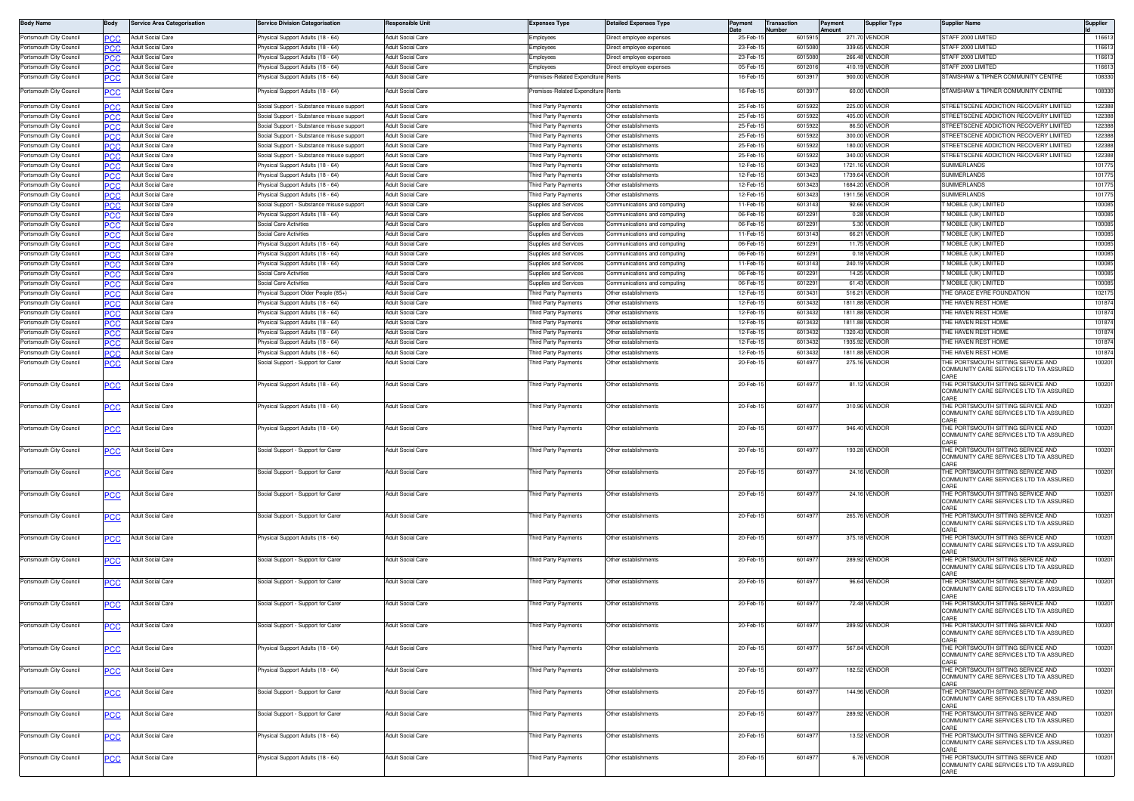| <b>Body Name</b>                                   | Body              | <b>Service Area Categorisation</b>     | ervice Division Categorisation                                                | Responsible Unit                              | Expenses Type                              | Jetailed Expenses Type                       | Payment              | Transaction<br>Jumber | ayment<br>mount | <b>Supplier Type</b>             | Supplier Name                                                                                 | Supplier         |
|----------------------------------------------------|-------------------|----------------------------------------|-------------------------------------------------------------------------------|-----------------------------------------------|--------------------------------------------|----------------------------------------------|----------------------|-----------------------|-----------------|----------------------------------|-----------------------------------------------------------------------------------------------|------------------|
| Portsmouth City Council                            | PСC               | Adult Social Care                      | hysical Support Adults (18 - 64)                                              | Adult Social Care                             | Employees                                  | Direct employee expenses                     | 25-Feb-              | 601591                |                 | 271.70 VENDOR                    | STAFF 2000 LIMITED                                                                            | 116613           |
| Portsmouth City Council                            | PCC               | Adult Social Care                      | hysical Support Adults (18 - 64)                                              | Adult Social Care                             | Employees                                  | Direct employee expenses                     | 23-Feb-              | 601508                |                 | 339.65 VENDOR                    | TAFF 2000 LIMITED                                                                             | 116613           |
| Portsmouth City Council                            | PCC               | Adult Social Care                      | hysical Support Adults (18 - 64)                                              | <b>Adult Social Care</b>                      | imployees                                  | Direct employee expenses                     | 23-Feb-              | 601508                |                 | 266.48 VENDOR                    | STAFF 2000 LIMITED                                                                            | 116613           |
| Portsmouth City Council                            | PCC               | Adult Social Care                      | hysical Support Adults (18 - 64)                                              | <b>Adult Social Care</b>                      | nployees                                   | lirect employee expenses                     | 05-Feb               | 60120                 |                 | 410.19 VENDOR                    | TAFF 2000 LIMITED                                                                             | 116613           |
| Portsmouth City Council                            | <u>PCC</u>        | <b>Adult Social Care</b>               | hysical Support Adults (18 - 64)                                              | <b>Adult Social Care</b>                      | emises-Related Expenditure                 | Rents                                        | 16-Feb-              | 601391                |                 | 900.00 VENDOR                    | STAMSHAW & TIPNER COMMUNITY CENTRE                                                            | 108330           |
| Portsmouth City Council                            | <b>PCC</b>        | <b>Adult Social Care</b>               | hysical Support Adults (18 - 64)                                              | Adult Social Care                             | emises-Related Expenditure                 | Rents                                        | 16-Feb-1             | 601391                |                 | 60.00 VENDOR                     | STAMSHAW & TIPNER COMMUNITY CENTRE                                                            | 108330           |
| Portsmouth City Council                            |                   | Adult Social Care                      | Social Support - Substance misuse support                                     | Adult Social Care                             | hird Party Payments                        | Other establishments                         | 25-Feb-              | 601592                |                 | 225.00 VENDOR                    | STREETSCENE ADDICTION RECOVERY LIMITED                                                        | 122388           |
| Portsmouth City Council                            | PCC               | Adult Social Care                      | ocial Support - Substance misuse support                                      | Adult Social Care                             | hird Party Payments                        | Other establishments                         | 25-Feb-              | 601592                |                 | 405.00 VENDOR                    | TREETSCENE ADDICTION RECOVERY LIMITED                                                         | 122388           |
| Portsmouth City Council                            | PCC               | Adult Social Care                      | ocial Support - Substance misuse suppor                                       | <b>Adult Social Care</b>                      | hird Party Payments                        | Other establishments                         | 25-Feb-1             | 601592                |                 | 86.50 VENDOR                     | TREETSCENE ADDICTION RECOVERY LIMITED                                                         | 122388           |
| Portsmouth City Council                            | PCC               | Adult Social Care                      | Social Support - Substance misuse support                                     | <b>Adult Social Care</b>                      | hird Party Payments                        | Other establishments                         | 25-Feb-1             | 601592                |                 | 300.00 VENDOR                    | STREETSCENE ADDICTION RECOVERY LIMITED                                                        | 122388           |
| Portsmouth City Council                            | <b>PCC</b>        | Adult Social Care                      | Social Support - Substance misuse support                                     | <b>Adult Social Care</b>                      | hird Party Payments                        | Other establishments                         | 25-Feb-              | 601592                |                 | 180.00 VENDOR                    | TREETSCENE ADDICTION RECOVERY LIMITED                                                         | 122388           |
| Portsmouth City Council                            | PCC               | Adult Social Care                      | ocial Support - Substance misuse support                                      | Adult Social Care                             | hird Party Payments                        | Other establishments                         | 25-Feb-              | 601592                |                 | 340.00 VENDOR                    | STREETSCENE ADDICTION RECOVERY LIMITED                                                        | 122388           |
| Portsmouth City Council                            | PCC               | <b>Adult Social Care</b>               | hysical Support Adults (18 - 64)                                              | Adult Social Care                             | hird Party Payments                        | Ther establishments                          | 12-Feb-1             | 601342                |                 | 1721.16 VENDOR                   | <b>UMMERLANDS</b>                                                                             | 101775           |
| Portsmouth City Council                            | ∍сс               | <b>Adult Social Care</b>               | hysical Support Adults (18 - 64)                                              | Adult Social Care                             | hird Party Payments                        | Other establishments                         | 12-Feb-1             | 601342                |                 | 1739.64 VENDOR                   | SUMMERLANDS                                                                                   | 101775           |
| Portsmouth City Council                            | PCC               | Adult Social Care                      | hysical Support Adults (18 - 64)                                              | Adult Social Care                             | hird Party Payments<br>hird Party Payments | Other establishments<br>Other establishments | 12-Feb-1             | 601342<br>601342      |                 | 1684.20 VENDOR<br>1911.56 VENDOR | <b>UMMERLANDS</b><br><b>SUMMERLANDS</b>                                                       | 101775<br>101775 |
| Portsmouth City Council<br>Portsmouth City Council | эсс               | Adult Social Care<br>Adult Social Care | Physical Support Adults (18 - 64)<br>ocial Support - Substance misuse support | Adult Social Care<br><b>Adult Social Care</b> | upplies and Services                       | ommunications and computing                  | 12-Feb-1<br>11-Feb-1 | 601314                |                 | 92.66 VENDOR                     | MOBILE (UK) LIMITED                                                                           | 100085           |
| Portsmouth City Council                            | эсс<br><b>PCC</b> | Adult Social Care                      | hysical Support Adults (18 - 64)                                              | <b>Adult Social Care</b>                      | upplies and Services                       | communications and computing                 | 06-Feb-1             | 601229                |                 | 0.28 VENDOR                      | MOBILE (UK) LIMITED                                                                           | 100085           |
| Portsmouth City Council                            | PCC               | Adult Social Care                      | Social Care Activities                                                        | Adult Social Care                             | Supplies and Services                      | Communications and computing                 | 06-Feb-              | 601229                |                 | 5.30 VENDOR                      | MOBILE (UK) LIMITED                                                                           | 100085           |
| Portsmouth City Council                            | PCC               | Adult Social Care                      | Social Care Activities                                                        | Adult Social Care                             | Supplies and Services                      | Communications and computing                 | 11-Feb-1             | 601314                |                 | 66.21 VENDOR                     | MOBILE (UK) LIMITED                                                                           | 100085           |
| Portsmouth City Council                            |                   | <b>Adult Social Care</b>               | hysical Support Adults (18 - 64)                                              | <b>Adult Social Care</b>                      | Supplies and Services                      | Communications and computing                 | 06-Feb-              | 601229                |                 | 11.75 VENDOR                     | MOBILE (UK) LIMITED                                                                           | 100085           |
| Portsmouth City Council                            | PCC               | <b>Adult Social Care</b>               | hysical Support Adults (18 - 64)                                              | <b>Adult Social Care</b>                      | <b>Supplies and Services</b>               | Communications and computing                 | 06-Feb-1             | 601229                |                 | 0.18 VENDOR                      | MOBILE (UK) LIMITED                                                                           | 100085           |
| Portsmouth City Council                            |                   | <b>Adult Social Care</b>               | hysical Support Adults (18 - 64)                                              | Adult Social Care                             | Supplies and Services                      | Communications and computing                 | 11-Feb-1             | 601314                |                 | 240.19 VENDOR                    | MOBILE (UK) LIMITED                                                                           | 100085           |
| Portsmouth City Council                            | PCC               | Adult Social Care                      | <b>Social Care Activities</b>                                                 | Adult Social Care                             | Supplies and Services                      | Communications and computing                 | 06-Feb-1             | 601229                |                 | 14.25 VENDOR                     | MOBILE (UK) LIMITED                                                                           | 100085           |
| Portsmouth City Council                            | PCC               | Adult Social Care                      | Social Care Activities                                                        | <b>Adult Social Care</b>                      | upplies and Services                       | Communications and computing                 | 06-Feb-1             | 601229                |                 | 61.43 VENDOR                     | MOBILE (UK) LIMITED                                                                           | 100085           |
| Portsmouth City Council                            | PСC               | Adult Social Care                      | hysical Support Older People (85+)                                            | <b>Adult Social Care</b>                      | hird Party Payments                        | Other establishments                         | 12-Feb               | 601343                |                 | 516.21 VENDOR                    | HE GRACE EYRE FOUNDATION                                                                      | 102175           |
| Portsmouth City Council                            | <b>PCC</b>        | Adult Social Care                      | hysical Support Adults (18 - 64)                                              | <b>Adult Social Care</b>                      | hird Party Payments                        | Other establishments                         | 12-Feb-1             | 601343                |                 | 1811.88 VENDOR                   | HE HAVEN REST HOME                                                                            | 101874           |
| Portsmouth City Council                            | PCC               | Adult Social Care                      | hysical Support Adults (18 - 64)                                              | Adult Social Care                             | hird Party Payments                        | Other establishments                         | 12-Feb-              | 601343                |                 | 1811.88 VENDOR                   | HE HAVEN REST HOME                                                                            | 101874           |
| Portsmouth City Council                            | <b>PCC</b>        | Adult Social Care                      | Physical Support Adults (18 - 64)                                             | Adult Social Care                             | hird Party Payments                        | Other establishments                         | 12-Feb-1             | 601343                |                 | 1811.88 VENDOR                   | THE HAVEN REST HOME                                                                           | 101874           |
| Portsmouth City Council                            |                   | Adult Social Care                      | <sup>2</sup> hysical Support Adults (18 - 64)                                 | <b>Adult Social Care</b>                      | hird Party Payments                        | Other establishments                         | 12-Feb-              | 601343                |                 | 1320.43 VENDOR                   | <b>HE HAVEN REST HOME</b>                                                                     | 101874           |
| Portsmouth City Council                            | PCC               | Adult Social Care                      | hysical Support Adults (18 - 64)                                              | <b>Adult Social Care</b><br>Adult Social Care | hird Party Payments                        | Other establishments                         | 12-Feb-              | 601343                |                 | 1935.92 VENDOR<br>1811.88 VENDOE | HE HAVEN REST HOME                                                                            | 101874           |
| Portsmouth City Council<br>Portsmouth City Council | эсс               | <b>Adult Social Care</b>               | hysical Support Adults (18 - 64)<br>Social Support - Support for Carer        |                                               | hird Party Payments                        | Other establishments                         | 12-Feb-              | 601343                |                 |                                  | HE HAVEN REST HOME                                                                            | 101874<br>100201 |
|                                                    | ∍сс               | <b>Adult Social Care</b>               |                                                                               | Adult Social Care                             | hird Party Payments                        | Other establishments                         | 20-Feb-1             | 601497                |                 | 275.16 VENDOR                    | HE PORTSMOUTH SITTING SERVICE AND<br>COMMUNITY CARE SERVICES LTD T/A ASSURED                  |                  |
| Portsmouth City Council                            | <b>PCC</b>        | Adult Social Care                      | hysical Support Adults (18 - 64)                                              | Adult Social Care                             | hird Party Payments                        | Other establishments                         | 20-Feb-1             | 601497                |                 | 81.12 VENDOR                     | THE PORTSMOUTH SITTING SERVICE AND<br>COMMUNITY CARE SERVICES LTD T/A ASSURED                 | 100201           |
| Portsmouth City Council                            | PCC               | <b>Adult Social Care</b>               | hysical Support Adults (18 - 64)                                              | Adult Social Care                             | hird Party Payments                        | Other establishments                         | 20-Feb-1             | 601497                |                 | 310.96 VENDOR                    | THE PORTSMOUTH SITTING SERVICE AND<br>COMMUNITY CARE SERVICES LTD T/A ASSURED<br><b>ARF</b>   | 100201           |
| Portsmouth City Council                            | <b>PCC</b>        | Adult Social Care                      | <sup>2</sup> hysical Support Adults (18 - 64)                                 | Adult Social Care                             | hird Party Payments                        | Other establishments                         | 20-Feb-1             | 601497                |                 | 946.40 VENDOR                    | THE PORTSMOUTH SITTING SERVICE AND<br>COMMUNITY CARE SERVICES LTD T/A ASSURED<br>ARF:         | 100201           |
| Portsmouth City Council                            | <b>PCC</b>        | <b>Adult Social Care</b>               | Social Support - Support for Carer                                            | Adult Social Care                             | Third Party Payments                       | Other establishments                         | 20-Feb-1             | 601497                |                 | 193.28 VENDOR                    | THE PORTSMOUTH SITTING SERVICE AND<br>COMMUNITY CARE SERVICES LTD T/A ASSURED<br>ABE          | 100201           |
| Portsmouth City Council                            | PCC               | <b>Adult Social Care</b>               | Social Support - Support for Carer                                            | <b>Adult Social Care</b>                      | hird Party Payments                        | Other establishments                         | 20-Feb-              | 601497                |                 | 24.16 VENDOR                     | THE PORTSMOUTH SITTING SERVICE AND<br>COMMUNITY CARE SERVICES LTD T/A ASSURED<br>ARF:         | 100201           |
| Portsmouth City Council                            | <b>PCC</b>        | Adult Social Care                      | Social Support - Support for Carer                                            | <b>Adult Social Care</b>                      | hird Party Payments                        | Other establishments                         | 20-Feb-1             | 601497                |                 | 24.16 VENDOR                     | THE PORTSMOUTH SITTING SERVICE AND<br>COMMUNITY CARE SERVICES LTD T/A ASSURED                 | 100201           |
| Portsmouth City Council                            | PCC               | Adult Social Care                      | Social Support - Support for Carer                                            | Adult Social Care                             | hird Party Payments                        | Other establishments                         | 20-Feb-1             | 601497                |                 | 265.76 VENDOR                    | THE PORTSMOUTH SITTING SERVICE AND                                                            | 100201           |
|                                                    |                   |                                        |                                                                               |                                               |                                            |                                              |                      |                       |                 |                                  | COMMUNITY CARE SERVICES LTD T/A ASSURED                                                       |                  |
| Portsmouth City Council                            | PCC               | Adult Social Care                      | hysical Support Adults (18 - 64)                                              | Adult Social Care                             | hird Party Payments                        | Other establishments                         | 20-Feb-              | 601497                |                 | 375.18 VENDOR                    | THE PORTSMOUTH SITTING SERVICE AND<br>COMMUNITY CARE SERVICES LTD T/A ASSURED                 | 100201           |
| Portsmouth City Council                            | PCC               | Adult Social Care                      | ocial Support - Support for Carer                                             | Adult Social Care                             | hird Party Payments                        | Other establishments                         | 20-Feb-1             | 601497                |                 | 289.92 VENDOR                    | THE PORTSMOUTH SITTING SERVICE AND<br>COMMUNITY CARE SERVICES LTD T/A ASSURED                 | 100201           |
| Portsmouth City Council                            | PCC               | Adult Social Care                      | ocial Support - Support for Carer                                             | Adult Social Care                             | hird Party Payments                        | Other establishments                         | 20-Feb-1             | 601497                |                 | 96.64 VENDOR                     | THE PORTSMOUTH SITTING SERVICE AND<br>COMMUNITY CARE SERVICES LTD T/A ASSURED<br><b>ADD</b>   | 100201           |
| Portsmouth City Council                            | PCC               | Adult Social Care                      | Social Support - Support for Carer                                            | Adult Social Care                             | hird Party Payments                        | Other establishments                         | 20-Feb-1             | 601497                |                 | 72.48 VENDOR                     | THE PORTSMOUTH SITTING SERVICE AND<br>COMMUNITY CARE SERVICES LTD T/A ASSURED<br>CARE         | 100201           |
| ortsmouth City Council?                            |                   | <b>Adult Social Care</b>               | ocial Support - Support for Carer                                             | Adult Social Care                             | hird Party Payments                        | Other establishments                         | 20-Feb-1             | 601497                |                 | 289.92 VENDOR                    | HE PORTSMOUTH SITTING SERVICE AND<br>COMMUNITY CARE SERVICES LTD T/A ASSURED<br>ARF:          | 100201           |
| Portsmouth City Council                            | <u>PCC</u>        | Adult Social Care                      | hysical Support Adults (18 - 64)                                              | <b>Adult Social Care</b>                      | Third Party Payments                       | Other establishments                         | 20-Feb-15            | 601497                |                 | 567.84 VENDOR                    | THE PORTSMOUTH SITTING SERVICE AND<br>COMMUNITY CARE SERVICES LTD T/A ASSURED<br>CARE         | 100201           |
| Portsmouth City Council                            | <b>PCC</b>        | <b>Adult Social Care</b>               | hysical Support Adults (18 - 64)                                              | <b>Adult Social Care</b>                      | hird Party Payments                        | Other establishments                         | 20-Feb-1             | 601497                |                 | 182.52 VENDOR                    | THE PORTSMOUTH SITTING SERVICE AND<br>COMMUNITY CARE SERVICES LTD T/A ASSURED<br>CARE         | 100201           |
| Portsmouth City Council                            | <b>PCC</b>        | Adult Social Care                      | Social Support - Support for Carer                                            | Adult Social Care                             | hird Party Payments                        | Other establishments                         | 20-Feb-1             | 601497                |                 | 144.96 VENDOR                    | THE PORTSMOUTH SITTING SERVICE AND<br>COMMUNITY CARE SERVICES LTD T/A ASSURED                 | 100201           |
| Portsmouth City Council                            | PCC               | Adult Social Care                      | Social Support - Support for Carer                                            | <b>Adult Social Care</b>                      | hird Party Payments                        | Other establishments                         | 20-Feb-1             | 601497                |                 | 289.92 VENDOR                    | THE PORTSMOUTH SITTING SERVICE AND<br>COMMUNITY CARE SERVICES LTD T/A ASSURED                 | 100201           |
| Portsmouth City Council                            | <u>PCC</u>        | Adult Social Care                      | hysical Support Adults (18 - 64)                                              | <b>Adult Social Care</b>                      | hird Party Payments                        | Other establishments                         | 20-Feb-1             | 601497                |                 | 13.52 VENDOR                     | THE PORTSMOUTH SITTING SERVICE AND<br>COMMUNITY CARE SERVICES LTD T/A ASSURED                 | 100201           |
| Portsmouth City Council                            | PCC               | <b>Adult Social Care</b>               | hysical Support Adults (18 - 64)                                              | Adult Social Care                             | hird Party Payments                        | Other establishments                         | 20-Feb-1             | 601497                |                 | 6.76 VENDOR                      | CARE<br>THE PORTSMOUTH SITTING SERVICE AND<br>COMMUNITY CARE SERVICES LTD T/A ASSURED<br>CARE | 100201           |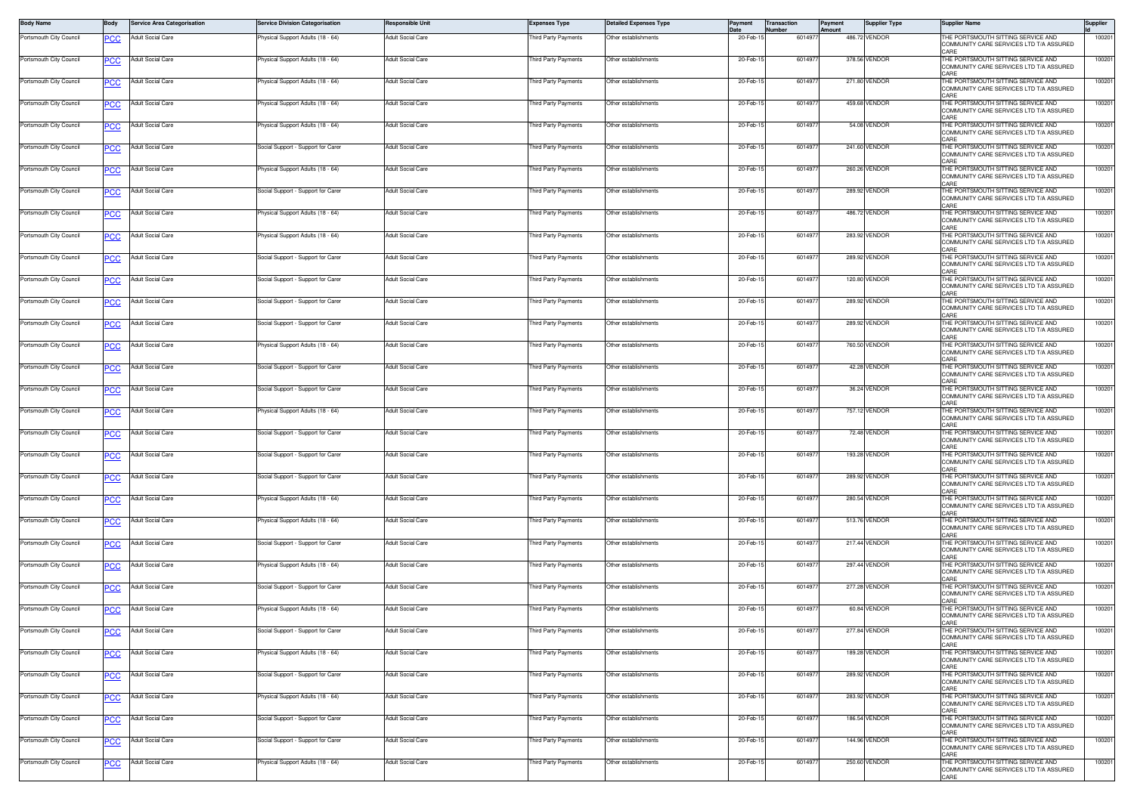| <b>Body Name</b>        | Body       | <b>Service Area Categorisation</b> | <b>Service Division Categorisation</b> | <b>Responsible Unit</b>  | <b>Expenses Type</b> | <b>Detailed Expenses Type</b> |          | ransaction | Paymen<br>Amount | <b>Supplier Type</b> | <b>Supplier Name</b>                                                                              | Supplier |
|-------------------------|------------|------------------------------------|----------------------------------------|--------------------------|----------------------|-------------------------------|----------|------------|------------------|----------------------|---------------------------------------------------------------------------------------------------|----------|
| Portsmouth City Council | <b>PCC</b> | Adult Social Care                  | Physical Support Adults (18 - 64)      | Adult Social Care        | hird Party Payments  | Other establishments          | 20-Feb-1 | 601497     |                  | 486,72 VENDOR        | HE PORTSMOUTH SITTING SERVICE AND<br>COMMUNITY CARE SERVICES LTD T/A ASSURED<br>ARF               | 100201   |
| Portsmouth City Council | <b>PCC</b> | Adult Social Care                  | Physical Support Adults (18 - 64)      | Adult Social Care        | Third Party Payments | Other establishments          | 20-Feb-1 | 601497     |                  | 378.56 VENDOR        | HE PORTSMOUTH SITTING SERVICE AND<br>COMMUNITY CARE SERVICES LTD T/A ASSURED<br>ARF:              | 100201   |
| Portsmouth City Council | <b>PCC</b> | Adult Social Care                  | Physical Support Adults (18 - 64)      | Adult Social Care        | hird Party Payments  | Other establishments          | 20-Feb-1 | 601497     |                  | 271.80 VENDOR        | THE PORTSMOUTH SITTING SERVICE AND<br>COMMUNITY CARE SERVICES LTD T/A ASSURED<br>ARF:             | 100201   |
| Portsmouth City Council | <b>PCC</b> | Adult Social Care                  | Physical Support Adults (18 - 64)      | Adult Social Care        | Third Party Payments | Other establishments          | 20-Feb-1 | 601497     |                  | 459.68 VENDOR        | THE PORTSMOUTH SITTING SERVICE AND<br>COMMUNITY CARE SERVICES LTD T/A ASSURED<br>ARF              | 100201   |
| Portsmouth City Council | <b>PCC</b> | Adult Social Care                  | Physical Support Adults (18 - 64)      | Adult Social Care        | Third Party Payments | Other establishments          | 20-Feb-1 | 6014977    |                  | 54.08 VENDOR         | HE PORTSMOUTH SITTING SERVICE AND<br>COMMUNITY CARE SERVICES LTD T/A ASSURED                      | 100201   |
| Portsmouth City Council | <b>PCC</b> | Adult Social Care                  | Social Support - Support for Carer     | Adult Social Care        | Third Party Payments | Other establishments          | 20-Feb-1 | 6014977    |                  | 241.60 VENDOR        | THE PORTSMOUTH SITTING SERVICE AND<br>COMMUNITY CARE SERVICES LTD T/A ASSURED<br>ARF              | 100201   |
| Portsmouth City Council | <b>PCC</b> | Adult Social Care                  | Physical Support Adults (18 - 64)      | Adult Social Care        | Third Party Payments | Other establishments          | 20-Feb-1 | 601497     |                  | 260.26 VENDOR        | THE PORTSMOUTH SITTING SERVICE AND<br>COMMUNITY CARE SERVICES LTD T/A ASSURED<br>ARF              | 100201   |
| Portsmouth City Council | <b>PCC</b> | Adult Social Care                  | Social Support - Support for Carer     | Adult Social Care        | Third Party Payments | Other establishments          | 20-Feb-1 | 601497     |                  | 289.92 VENDOR        | THE PORTSMOUTH SITTING SERVICE AND<br>COMMUNITY CARE SERVICES LTD T/A ASSURED<br>ABE              | 100201   |
| Portsmouth City Council | <b>PCC</b> | Adult Social Care                  | Physical Support Adults (18 - 64)      | Adult Social Care        | Third Party Payments | Other establishments          | 20-Feb-1 | 6014977    |                  | 486.72 VENDOR        | THE PORTSMOUTH SITTING SERVICE AND<br>COMMUNITY CARE SERVICES LTD T/A ASSURED<br>ARF:             | 100201   |
| Portsmouth City Council | <b>PCC</b> | Adult Social Care                  | Physical Support Adults (18 - 64)      | Adult Social Care        | Third Party Payments | Other establishments          | 20-Feb-1 | 601497     |                  | 283.92 VENDOR        | THE PORTSMOUTH SITTING SERVICE AND<br>COMMUNITY CARE SERVICES LTD T/A ASSURED<br><b>CARE</b>      | 100201   |
| Portsmouth City Council | <b>PCC</b> | Adult Social Care                  | Social Support - Support for Carer     | Adult Social Care        | Third Party Payments | Other establishments          | 20-Feb-1 | 601497     |                  | 289.92 VENDOR        | THE PORTSMOUTH SITTING SERVICE AND<br>COMMUNITY CARE SERVICES LTD T/A ASSURED<br>ARF:             | 100201   |
| Portsmouth City Council | <b>PCC</b> | Adult Social Care                  | Social Support - Support for Carer     | Adult Social Care        | hird Party Payments  | Other establishments          | 20-Feb-1 | 601497     |                  | 120.80 VENDOR        | THE PORTSMOUTH SITTING SERVICE AND<br>COMMUNITY CARE SERVICES LTD T/A ASSURED<br>ARF              | 100201   |
| Portsmouth City Council | <b>PCC</b> | Adult Social Care                  | Social Support - Support for Carer     | Adult Social Care        | Third Party Payments | Other establishments          | 20-Feb-1 | 6014977    |                  | 289.92 VENDOR        | HE PORTSMOUTH SITTING SERVICE AND<br>COMMUNITY CARE SERVICES LTD T/A ASSURED                      | 100201   |
| Portsmouth City Council | <b>PCC</b> | Adult Social Care                  | Social Support - Support for Carer     | Adult Social Care        | Third Party Payments | Other establishments          | 20-Feb-1 | 601497     |                  | 289.92 VENDOR        | THE PORTSMOUTH SITTING SERVICE AND<br>COMMUNITY CARE SERVICES LTD T/A ASSURED<br>ARF              | 100201   |
| Portsmouth City Council | <b>PCC</b> | Adult Social Care                  | Physical Support Adults (18 - 64)      | Adult Social Care        | Third Party Payments | Other establishments          | 20-Feb-1 | 601497     |                  | 760.50 VENDOR        | THE PORTSMOUTH SITTING SERVICE AND<br>COMMUNITY CARE SERVICES LTD T/A ASSURED<br>ARE              | 100201   |
| Portsmouth City Council | <b>PCC</b> | Adult Social Care                  | Social Support - Support for Carer     | Adult Social Care        | hird Party Payments  | Other establishments          | 20-Feb-1 | 601497     |                  | 42.28 VENDOR         | THE PORTSMOUTH SITTING SERVICE AND<br>COMMUNITY CARE SERVICES LTD T/A ASSURED<br>ARF:             | 100201   |
| Portsmouth City Council | <b>PCC</b> | Adult Social Care                  | Social Support - Support for Carer     | Adult Social Care        | Third Party Payments | Other establishments          | 20-Feb-1 | 6014977    |                  | 36.24 VENDOR         | THE PORTSMOUTH SITTING SERVICE AND<br>COMMUNITY CARE SERVICES LTD T/A ASSURED<br><b>ARE</b>       | 100201   |
| Portsmouth City Council | <b>PCC</b> | Adult Social Care                  | Physical Support Adults (18 - 64)      | Adult Social Care        | Third Party Payments | Other establishments          | 20-Feb-1 | 601497     |                  | 757.12 VENDOR        | THE PORTSMOUTH SITTING SERVICE AND<br>COMMUNITY CARE SERVICES LTD T/A ASSURED<br>ARF              | 100201   |
| Portsmouth City Council | <b>PCC</b> | Adult Social Care                  | Social Support - Support for Carer     | Adult Social Care        | Third Party Payments | Other establishments          | 20-Feb-1 | 601497     |                  | 72.48 VENDOR         | THE PORTSMOUTH SITTING SERVICE AND<br>COMMUNITY CARE SERVICES LTD T/A ASSURED<br>ARF:             | 100201   |
| Portsmouth City Council | <b>PCC</b> | <b>Adult Social Care</b>           | Social Support - Support for Carer     | <b>Adult Social Care</b> | Third Party Payments | Other establishments          | 20-Feb-1 | 6014977    |                  | 193.28 VENDOR        | THE PORTSMOUTH SITTING SERVICE AND<br>COMMUNITY CARE SERVICES LTD T/A ASSURED<br>ARF:             | 100201   |
| Portsmouth City Council | <b>PCC</b> | Adult Social Care                  | Social Support - Support for Carer     | Adult Social Care        | Third Party Payments | Other establishments          | 20-Feb-1 | 601497     |                  | 289.92 VENDOR        | HE PORTSMOUTH SITTING SERVICE AND<br>COMMUNITY CARE SERVICES LTD T/A ASSURED<br>ARF:              | 100201   |
| Portsmouth City Council | <b>PCC</b> | Adult Social Care                  | Physical Support Adults (18 - 64)      | Adult Social Care        | Third Party Payments | Other establishments          | 20-Feb-1 | 6014977    |                  | 280.54 VENDOR        | THE PORTSMOUTH SITTING SERVICE AND<br>COMMUNITY CARE SERVICES LTD T/A ASSURED<br>ARF              | 100201   |
| Portsmouth City Council | <b>PCC</b> | Adult Social Care                  | Physical Support Adults (18 - 64)      | Adult Social Care        | hird Party Payments  | Other establishments          | 20-Feb-1 | 6014977    |                  | 513.76 VENDOR        | THE PORTSMOUTH SITTING SERVICE AND<br>COMMUNITY CARE SERVICES LTD T/A ASSURED<br>ARF              | 100201   |
| Portsmouth City Council | <b>PCC</b> | Adult Social Care                  | Social Support - Support for Carer     | Adult Social Care        | Third Party Payments | Other establishments          | 20-Feb-1 | 6014977    |                  | 217.44 VENDOR        | THE PORTSMOUTH SITTING SERVICE AND<br>COMMUNITY CARE SERVICES LTD T/A ASSURED<br>ARE <sup>*</sup> | 100201   |
| Portsmouth City Council | <b>PCC</b> | Adult Social Care                  | Physical Support Adults (18 - 64)      | <b>Adult Social Care</b> | Third Party Payments | Other establishments          | 20-Feb-1 | 601497     |                  | 297.44 VENDOR        | THE PORTSMOUTH SITTING SERVICE AND<br>COMMUNITY CARE SERVICES LTD T/A ASSURED<br>ARF              | 100201   |
| Portsmouth City Council | <b>PCC</b> | Adult Social Care                  | Social Support - Support for Carer     | Adult Social Care        | Third Party Payments | Other establishments          | 20-Feb-1 | 601497     |                  | 277.28 VENDOR        | THE PORTSMOUTH SITTING SERVICE AND<br>COMMUNITY CARE SERVICES LTD T/A ASSURED<br>ARF:             | 100201   |
| Portsmouth City Council | <b>PCC</b> | Adult Social Care                  | Physical Support Adults (18 - 64)      | Adult Social Care        | Third Party Payments | Other establishments          | 20-Feb-1 | 6014977    |                  | 60.84 VENDOR         | THE PORTSMOUTH SITTING SERVICE AND<br>COMMUNITY CARE SERVICES LTD T/A ASSURED<br>CARE             | 100201   |
| Portsmouth City Council | <u>PCC</u> | Adult Social Care                  | Social Support - Support for Carer     | Adult Social Care        | hird Party Payments  | ther establishments           | 20-Feb-1 | 601497     |                  | 277.84 VENDOR        | HE PORTSMOUTH SITTING SERVICE AND<br>COMMUNITY CARE SERVICES LTD T/A ASSURED<br><b>CARE</b>       | 100201   |
| Portsmouth City Council | <b>PCC</b> | <b>Adult Social Care</b>           | Physical Support Adults (18 - 64)      | <b>Adult Social Care</b> | Third Party Payments | Other establishments          | 20-Feb-1 | 6014977    |                  | 189.28 VENDOR        | THE PORTSMOUTH SITTING SERVICE AND<br>COMMUNITY CARE SERVICES LTD T/A ASSURED<br>ARF              | 100201   |
| Portsmouth City Council | <b>PCC</b> | <b>Adult Social Care</b>           | Social Support - Support for Carer     | <b>Adult Social Care</b> | hird Party Payments  | Other establishments          | 20-Feb-1 | 601497     |                  | 289.92 VENDOR        | THE PORTSMOUTH SITTING SERVICE AND<br>COMMUNITY CARE SERVICES LTD T/A ASSURED<br>ARF              | 100201   |
| Portsmouth City Council | <b>PCC</b> | <b>Adult Social Care</b>           | Physical Support Adults (18 - 64)      | <b>Adult Social Care</b> | Third Party Payments | Other establishments          | 20-Feb-1 | 6014977    |                  | 283.92 VENDOR        | THE PORTSMOUTH SITTING SERVICE AND<br>COMMUNITY CARE SERVICES LTD T/A ASSURED<br>CARE             | 100201   |
| Portsmouth City Council | <b>PCC</b> | <b>Adult Social Care</b>           | Social Support - Support for Carer     | <b>Adult Social Care</b> | hird Party Payments  | ther establishments           | 20-Feb-1 | 601497     |                  | 186.54 VENDOR        | THE PORTSMOUTH SITTING SERVICE AND<br>COMMUNITY CARE SERVICES LTD T/A ASSURED<br>CARE             | 100201   |
| Portsmouth City Council | PCC        | <b>Adult Social Care</b>           | Social Support - Support for Carer     | Adult Social Care        | Third Party Payments | Other establishments          | 20-Feb-1 | 601497     |                  | 144.96 VENDOR        | THE PORTSMOUTH SITTING SERVICE AND<br>COMMUNITY CARE SERVICES LTD T/A ASSURED<br>CARE             | 100201   |
| Portsmouth City Council | <b>PCC</b> | <b>Adult Social Care</b>           | Physical Support Adults (18 - 64)      | <b>Adult Social Care</b> | hird Party Payments  | Other establishments          | 20-Feb-1 | 601497     |                  | 250.60 VENDOR        | THE PORTSMOUTH SITTING SERVICE AND<br>COMMUNITY CARE SERVICES LTD T/A ASSURED<br>CARE             | 100201   |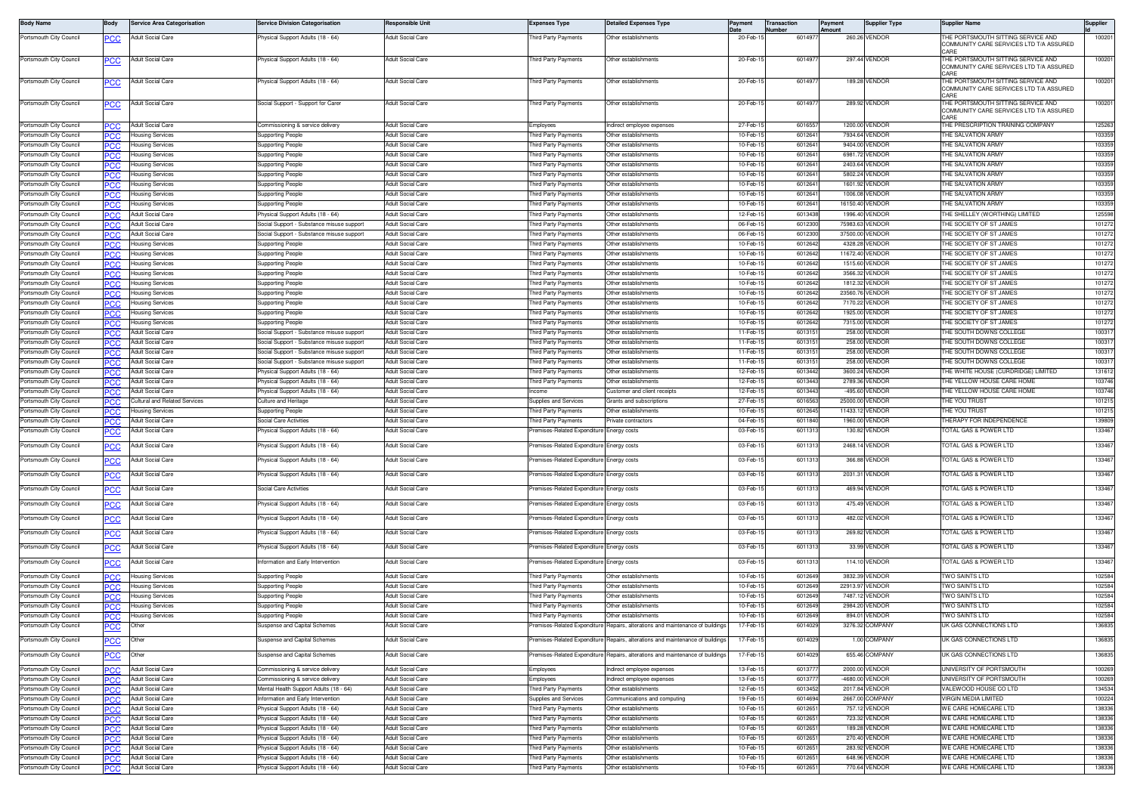| <b>Body Name</b>                                   | Body              | <b>Service Area Categorisation</b>                      | <b>Service Division Categorisation</b>                                 | Responsible Unit                              | <b>Expenses Type</b>                                       | <b>Detailed Expenses Type</b>                                                                                    | Payment              | Transaction<br>umber | Payment<br>Amount | <b>Supplier Type</b>             | <b>Supplier Name</b>                                                                  | Supplier         |
|----------------------------------------------------|-------------------|---------------------------------------------------------|------------------------------------------------------------------------|-----------------------------------------------|------------------------------------------------------------|------------------------------------------------------------------------------------------------------------------|----------------------|----------------------|-------------------|----------------------------------|---------------------------------------------------------------------------------------|------------------|
| Portsmouth City Council                            | PCC               | Adult Social Care                                       | hysical Support Adults (18 - 64)                                       | Adult Social Care                             | hird Party Payments                                        | Other establishments                                                                                             | 20-Feb-1             | 601497               |                   | 260.26 VENDOR                    | HE PORTSMOUTH SITTING SERVICE AND<br>OMMUNITY CARE SERVICES LTD T/A ASSURED<br>ARF:   | 100201           |
| Portsmouth City Council                            | <b>PCC</b>        | Adult Social Care                                       | Physical Support Adults (18 - 64)                                      | <b>Adult Social Care</b>                      | hird Party Payments                                        | Other establishments                                                                                             | 20-Feb-1             | 601497               |                   | 297.44 VENDOR                    | HE PORTSMOUTH SITTING SERVICE AND<br>COMMUNITY CARE SERVICES LTD T/A ASSURED          | 100201           |
| Portsmouth City Council                            | <b>PCC</b>        | <b>Adult Social Care</b>                                | hysical Support Adults (18 - 64)                                       | <b>Adult Social Care</b>                      | hird Party Payments                                        | Other establishments                                                                                             | 20-Feb-1             | 601497               |                   | 189.28 VENDOR                    | THE PORTSMOUTH SITTING SERVICE AND<br>COMMUNITY CARE SERVICES LTD T/A ASSURED<br>:ARF | 100201           |
| Portsmouth City Council                            | <b>PCC</b>        | Adult Social Care                                       | Social Support - Support for Carer                                     | Adult Social Care                             | hird Party Payments                                        | Other establishments                                                                                             | 20-Feb-1             | 601497               |                   | 289.92 VENDOR                    | THE PORTSMOUTH SITTING SERVICE AND<br>COMMUNITY CARE SERVICES LTD T/A ASSURED         | 100201           |
| Portsmouth City Council                            | PCC               | <b>Adult Social Care</b>                                | Commissioning & service delivery                                       | Adult Social Care                             | Emplovees                                                  | Indirect emplovee expenses                                                                                       | 27-Feb-1             | 601655               |                   | 1200.00 VENDOR                   | THE PRESCRIPTION TRAINING COMPANY                                                     | 125263           |
| Portsmouth City Council                            | PCC               | <b>Housing Services</b>                                 | Supporting People                                                      | <b>Adult Social Care</b>                      | hird Party Payments                                        | Other establishments                                                                                             | 10-Feb-              | 601264               |                   | 7934.64 VENDOR                   | <b>HE SALVATION ARMY</b>                                                              | 103359           |
| Portsmouth City Council                            | PСC               | lousing Services                                        | Supporting People                                                      | Adult Social Care                             | hird Party Payments                                        | Other establishments                                                                                             | 10-Feb-              | 601264               |                   | 9404.00 VENDOR                   | HE SALVATION ARMY                                                                     | 103359           |
| Portsmouth City Council                            | PCC.              | <del>l</del> ousing Services                            | Supporting People                                                      | Adult Social Care                             | hird Party Payments                                        | Other establishments                                                                                             | 10-Feb-1             | 601264               |                   | 6981.72 VENDOR                   | HE SALVATION ARMY                                                                     | 103359           |
| Portsmouth City Council                            | ∍сс               | lousing Services                                        | Supporting People                                                      | <b>Adult Social Care</b>                      | hird Party Payments                                        | Other establishments                                                                                             | 10-Feb-1             | 601264               |                   | 2403.64 VENDOR                   | HE SALVATION ARMY                                                                     | 103359           |
| Portsmouth City Council                            | PCC               | Housing Services                                        | <b>Supporting People</b>                                               | Adult Social Care                             | hird Party Payments                                        | Other establishments                                                                                             | 10-Feb-1             | 6012641              |                   | 5802.24 VENDOR                   | HE SALVATION ARMY                                                                     | 103359           |
| Portsmouth City Council                            | °СС               | <del>l</del> ousing Services                            | <b>Supporting People</b>                                               | <b>Adult Social Care</b>                      | Third Party Payments                                       | Other establishments                                                                                             | 10-Feb-1             | 601264               |                   | 1601.92 VENDOR                   | HE SALVATION ARMY                                                                     | 103359           |
| Portsmouth City Council                            | PСC               | <b>Housing Services</b>                                 | Supporting People                                                      | Adult Social Care                             | hird Party Payments                                        | Other establishments                                                                                             | 10-Feb-1             | 601264               |                   | 1006.08 VENDOR                   | <b>HE SALVATION ARMY</b>                                                              | 103359           |
| Portsmouth City Council                            | °СС               | Housing Services                                        | Supporting People                                                      | <b>Adult Social Care</b>                      | hird Party Payments                                        | Other establishments                                                                                             | 10-Feb-              | 601264               |                   | 16150.40 VENDOR                  | HE SALVATION ARMY                                                                     | 103359           |
| Portsmouth City Council                            | PСC               | Adult Social Care                                       | Physical Support Adults (18 - 64)                                      | Adult Social Care                             | hird Party Payments                                        | Other establishments                                                                                             | 12-Feb-1             | 6013438              |                   | 1996.40 VENDOR                   | <b>HE SHELLEY (WORTHING) LIMITED</b>                                                  | 125598           |
| Portsmouth City Council                            | <b>PCC</b>        | <b>Adult Social Care</b>                                | Social Support - Substance misuse support                              | <b>Adult Social Care</b>                      | hird Party Payments                                        | Other establishments                                                                                             | 06-Feb-              | 6012300              |                   | 75983.63 VENDOR                  | HE SOCIETY OF ST JAMES                                                                | 101272           |
| Portsmouth City Council                            | PСC               | Adult Social Care                                       | Social Support - Substance misuse support                              | <b>Adult Social Care</b>                      | hird Party Payments                                        | Other establishments                                                                                             | 06-Feb-1             | 601230               |                   | 37500.00 VENDOR                  | HE SOCIETY OF ST JAMES                                                                | 101272           |
| Portsmouth City Council                            | PCC               | Housing Services                                        | Supporting Peopl                                                       | <b>Adult Social Care</b>                      | hird Party Payments                                        | Other establishments                                                                                             | 10-Feb-1             | 6012642              |                   | 4328.28 VENDOR                   | HE SOCIETY OF ST JAMES                                                                | 101272           |
| Portsmouth City Council                            | PCC               | lousing Services                                        | Supporting People                                                      | Adult Social Care                             | hird Party Payments                                        | Other establishments                                                                                             | 10-Feb-1<br>10-Feb-1 | 6012642              |                   | 11672.40 VENDOR                  | HE SOCIETY OF ST JAMES                                                                | 101272           |
| Portsmouth City Council<br>Portsmouth City Council | PCC               | Housing Services                                        | <b>Supporting People</b>                                               | Adult Social Care<br><b>Adult Social Care</b> | hird Party Payments<br>hird Party Payments                 | Other establishments<br>Other establishments                                                                     | 10-Feb-1             | 601264<br>6012642    |                   | 1515.60 VENDOR<br>3566.32 VENDOR | HE SOCIETY OF ST JAMES<br>HE SOCIETY OF ST JAMES                                      | 101272<br>101272 |
| Portsmouth City Council                            | <b>PCC</b>        | <del>l</del> ousing Services<br><b>Housing Services</b> | Supporting People                                                      | <b>Adult Social Care</b>                      | hird Party Payments                                        | Other establishments                                                                                             | 10-Feb-1             | 6012642              |                   | 1812.32 VENDOR                   | HE SOCIETY OF ST JAMES                                                                | 101272           |
| Portsmouth City Council                            | PСC<br>°СС        | lousing Services                                        | Supporting People<br>Supporting People                                 | Adult Social Care                             | hird Party Payments                                        | Other establishments                                                                                             | 10-Feb-              | 6012642              |                   | 23560.76 VENDOF                  | HE SOCIETY OF ST JAMES                                                                | 101272           |
| Portsmouth City Council                            |                   | lousing Services                                        | Supporting People                                                      | Adult Social Care                             | hird Party Payments                                        | Other establishments                                                                                             | 10-Feb-1             | 6012642              |                   | 7170.22 VENDOR                   | <b>HE SOCIETY OF ST JAMES</b>                                                         | 101272           |
| Portsmouth City Council                            | PСC<br><b>PCC</b> | lousing Services                                        | Supporting People                                                      | <b>Adult Social Care</b>                      | hird Party Payments                                        | Other establishments                                                                                             | 10-Feb-1             | 6012642              |                   | 1925.00 VENDOR                   | HE SOCIETY OF ST JAMES                                                                | 101272           |
| Portsmouth City Council                            | PСC               | lousing Services                                        | Supporting People                                                      | Adult Social Care                             | hird Party Payments                                        | Other establishments                                                                                             | 10-Feb-1             | 6012642              |                   | 7315.00 VENDOR                   | HE SOCIETY OF ST JAMES                                                                | 101272           |
| Portsmouth City Council                            | PCC               | <b>Adult Social Care</b>                                | Social Support - Substance misuse support                              | Adult Social Care                             | hird Party Payments                                        | Other establishments                                                                                             | 11-Feb-1             | 601315               |                   | 258.00 VENDOR                    | HE SOUTH DOWNS COLLEGE                                                                | 100317           |
| Portsmouth City Council                            | PСC               | Adult Social Care                                       | Social Support - Substance misuse support                              | Adult Social Care                             | hird Party Payments                                        | Other establishments                                                                                             | $11-Feb-1$           | 601315               |                   | 258.00 VENDOR                    | HE SOUTH DOWNS COLLEGE                                                                | 100317           |
| Portsmouth City Council                            | PCC               | Adult Social Care                                       | Social Support - Substance misuse support                              | Adult Social Care                             | hird Party Payments                                        | Other establishments                                                                                             | 11-Feb-1             | 6013151              |                   | 258.00 VENDOR                    | HE SOUTH DOWNS COLLEGE                                                                | 100317           |
| Portsmouth City Council                            | <b>CC</b>         | <b>Adult Social Care</b>                                | Social Support - Substance misuse support                              | <b>Adult Social Care</b>                      | hird Party Payments                                        | Other establishments                                                                                             | 11-Feb-1             | 601315               |                   | 258.00 VENDOR                    | HE SOUTH DOWNS COLLEGE                                                                | 100317           |
| Portsmouth City Council                            | PСC               | Adult Social Care                                       | Physical Support Adults (18 - 64)                                      | Adult Social Care                             | hird Party Payments                                        | Other establishments                                                                                             | 12-Feb-1             | 6013442              |                   | 3600.24 VENDOR                   | HE WHITE HOUSE (CURDRIDGE) LIMITED                                                    | 131612           |
| Portsmouth City Council                            | PCC               | <b>Adult Social Care</b>                                | Physical Support Adults (18 - 64)                                      | Adult Social Care                             | hird Party Payments                                        | Other establishments                                                                                             | 12-Feb-              | 6013443              |                   | 2789.36 VENDOR                   | HE YELLOW HOUSE CARE HOME                                                             | 103746           |
| Portsmouth City Council                            | PСC               | Adult Social Care                                       | hysical Support Adults (18 - 64)                                       | <b>Adult Social Care</b>                      | come                                                       | Customer and client receipts                                                                                     | 12-Feb-1             | 6013443              |                   | -495.60 VENDOR                   | HE YELLOW HOUSE CARE HOME                                                             | 103746           |
| Portsmouth City Council                            | <b>PCC</b>        | Cultural and Related Services                           | Culture and Heritage                                                   | <b>Adult Social Care</b>                      | upplies and Services                                       | <b>Grants and subscriptions</b>                                                                                  | 27-Feb-1             | 601656               |                   | 25000.00 VENDOR                  | HE YOU TRUST                                                                          | 101215           |
| Portsmouth City Council                            | PСC               | lousing Services                                        | Supporting People                                                      | <b>Adult Social Care</b>                      | nird Party Payments                                        | Other establishments                                                                                             | 10-Feb-1             | 6012645              |                   | 11433.12 VENDOR                  | HE YOU TRUST                                                                          | 101215           |
| Portsmouth City Council                            | <b>PCC</b>        | <b>Adult Social Care</b>                                | Social Care Activities                                                 | Adult Social Care                             | hird Party Payments                                        | Private contractors                                                                                              | 04-Feb-1             | 601184               |                   | 1960.00 VENDOR                   | HERAPY FOR INDEPENDENCE                                                               | 139809<br>133467 |
| Portsmouth City Council<br>Portsmouth City Council | эсс               | Adult Social Care<br>Adult Social Care                  | Physical Support Adults (18 - 64)<br>Physical Support Adults (18 - 64) | Adult Social Care<br><b>Adult Social Care</b> | remises-Related Expenditure<br>remises-Related Expenditure | Energy costs<br>Energy costs                                                                                     | 03-Feb-1<br>03-Feb-1 | 6011313<br>6011313   |                   | 130.82 VENDOR<br>2468.14 VENDOR  | OTAL GAS & POWER LTD<br>OTAL GAS & POWER LTD                                          | 133467           |
| Portsmouth City Council                            | <b>PCC</b>        | Adult Social Care                                       | <sup>2</sup> hysical Support Adults (18 - 64)                          | Adult Social Care                             | emises-Related Expenditure                                 | nergy costs                                                                                                      | 03-Feb-1             | 6011313              |                   | 366.88 VENDOR                    | OTAL GAS & POWER LTD                                                                  | 133467           |
| Portsmouth City Council                            | <b>PCC</b>        | Adult Social Care                                       | hysical Support Adults (18 - 64)                                       | <b>Adult Social Care</b>                      | remises-Related Expenditure                                | Energy costs                                                                                                     | 03-Feb-1             | 6011313              |                   | 2031.31 VENDOR                   | OTAL GAS & POWER LTD                                                                  | 133467           |
| Portsmouth City Council                            | PСC               | <b>Adult Social Care</b>                                | Social Care Activities                                                 | <b>Adult Social Care</b>                      | emises-Related Expenditure                                 | Energy costs                                                                                                     | 03-Feb-1             | 601131               |                   | 469.94 VENDOR                    | OTAL GAS & POWER LTD                                                                  | 133467           |
| Portsmouth City Council                            | ٥СС               | Adult Social Care                                       | Physical Support Adults (18 - 64)                                      | Adult Social Care                             | emises-Related Expenditure Energy costs                    |                                                                                                                  | 03-Feb-1             | 6011313              |                   | 475.49 VENDOR                    | OTAL GAS & POWER LTD                                                                  | 133467           |
| Portsmouth City Council                            | $\overline{PCC}$  | Adult Social Care                                       | Physical Support Adults (18 - 64)                                      | Adult Social Care                             | remises-Related Expenditure                                | Energy costs                                                                                                     | 03-Feb-1             | 6011313              |                   | 482.02 VENDOR                    | OTAL GAS & POWER LTD                                                                  | 133467           |
| Portsmouth City Council                            | $\overline{PCC}$  | Adult Social Care                                       | <sup>2</sup> hysical Support Adults (18 - 64)                          | Adult Social Care                             | emises-Related Expenditure                                 | nergy costs                                                                                                      | 03-Feb-1             | 6011313              |                   | 269.82 VENDOR                    | OTAL GAS & POWER LTD                                                                  | 133467           |
| Portsmouth City Council                            | <b>PCC</b>        | Adult Social Care                                       | Physical Support Adults (18 - 64)                                      | Adult Social Care                             | remises-Related Expenditure Energy costs                   |                                                                                                                  | 03-Feb-1             | 6011313              |                   | 33.99 VENDOR                     | OTAL GAS & POWER LTD                                                                  | 133467           |
| Portsmouth City Council                            | <u>PCC</u>        | Adult Social Care                                       | Information and Early Intervention                                     | Adult Social Care                             | remises-Related Expenditure                                | Energy costs                                                                                                     | 03-Feb-1             | 601131               |                   | 114.10 VENDOR                    | OTAL GAS & POWER LTD                                                                  | 133467           |
| Portsmouth City Council                            | °СС               | Housing Services                                        | <b>Supporting People</b>                                               | Adult Social Care                             | hird Party Payments                                        | Other establishments                                                                                             | 10-Feb-1             | 601264               |                   | 3832.39 VENDOR                   | <b>WO SAINTS LTD</b>                                                                  | 102584           |
| Portsmouth City Council                            | PСC               | Housing Services                                        | Supporting People                                                      | Adult Social Care                             | hird Party Payments                                        | Other establishments                                                                                             | 10-Feb-1             | 6012649              |                   | 22913.97 VENDOR                  | <b>WO SAINTS LTD</b>                                                                  | 102584           |
| Portsmouth City Council                            | °СС               | <b>Housing Services</b>                                 | Supporting People                                                      | <b>Adult Social Care</b>                      | hird Party Payments                                        | Other establishments                                                                                             | 10-Feb-1             | 6012649              |                   | 7487.12 VENDOR                   | <b>WO SAINTS LTD</b>                                                                  | 102584           |
| Portsmouth City Council                            | PСC               | lousing Services                                        | Supporting People                                                      | Adult Social Care                             | hird Party Payments                                        | Other establishments                                                                                             | 10-Feb-1             | 601264               |                   | 2984.20 VENDOR                   | WO SAINTS LTD                                                                         | 102584           |
| Portsmouth City Council                            | PСC               | lousing Services                                        | <b>Supporting People</b>                                               | <b>Adult Social Care</b>                      | hird Party Payments                                        | Other establishments                                                                                             | 10-Feb-1             | 601264               |                   | 894.01 VENDOR                    | <b>WO SAINTS LTD</b>                                                                  | 102584           |
| ortsmouth Gity Council<br>Portsmouth City Council  | <u>ین</u>         | Other                                                   | spense and Capital Schemes<br>Suspense and Capital Schemes             | ui oociai Care<br>Adult Social Care           |                                                            | airs, aiterations and maintenar<br>remises-Related Expenditure Repairs, alterations and maintenance of buildings | 17-гер<br>17-Feb-1   | OU 140.<br>6014029   | 3210.32           | UMPAN 1<br>1.00 COMPANY          | , GAS CONNECTIONS LTD<br>UK GAS CONNECTIONS LTD                                       | 190092<br>136835 |
| Portsmouth City Council                            | <b>PCC</b>        | Other                                                   | Suspense and Capital Schemes                                           | Adult Social Care                             | remises-Related Expenditure                                | Repairs, alterations and maintenance of buildings                                                                | 17-Feb-1             | 6014029              |                   | 655.46 COMPANY                   | UK GAS CONNECTIONS LTD                                                                | 136835           |
|                                                    |                   |                                                         |                                                                        |                                               |                                                            |                                                                                                                  | 13-Feb-1             | 601377               |                   | 2000.00 VENDOR                   | UNIVERSITY OF PORTSMOUTH                                                              |                  |
| Portsmouth City Council<br>Portsmouth City Council | PСC               | Adult Social Care<br><b>Adult Social Care</b>           | Commissioning & service delivery<br>Commissioning & service delivery   | Adult Social Care<br><b>Adult Social Care</b> | Employees<br>Employees                                     | ndirect employee expenses                                                                                        | 13-Feb-1             | 601377               |                   | -4680.00 VENDOR                  | UNIVERSITY OF PORTSMOUTH                                                              | 100269<br>100269 |
| Portsmouth City Council                            | PCC<br>°СС        | Adult Social Care                                       | Mental Health Support Adults (18 - 64)                                 | <b>Adult Social Care</b>                      | Third Party Payments                                       | Indirect employee expenses<br>Other establishments                                                               | 12-Feb-1             | 6013452              |                   | 2017.84 VENDOR                   | VALEWOOD HOUSE CO LTD                                                                 | 134534           |
| Portsmouth City Council                            | ∍сс               | Adult Social Care                                       | Information and Early Intervention                                     | Adult Social Care                             | Supplies and Services                                      | Communications and computing                                                                                     | 19-Feb-1             | 601469               |                   | 2667.00 COMPANY                  | <b>IRGIN MEDIA LIMITED</b>                                                            | 100224           |
| Portsmouth City Council                            | PСC               | Adult Social Care                                       | Physical Support Adults (18 - 64)                                      | Adult Social Care                             | hird Party Payments                                        | Other establishments                                                                                             | 10-Feb-1             | 601265               |                   | 757.12 VENDOR                    | WE CARE HOMECARE LTD                                                                  | 138336           |
| Portsmouth City Council                            | PСC               | <b>Adult Social Care</b>                                | <sup>9</sup> hysical Support Adults (18 - 64)                          | Adult Social Care                             | hird Party Payments                                        | Other establishments                                                                                             | 10-Feb-1             | 601265               |                   | 723.32 VENDOR                    | WE CARE HOMECARE LTD                                                                  | 138336           |
| Portsmouth City Council                            | <b>PCC</b>        | Adult Social Care                                       | Physical Support Adults (18 - 64)                                      | Adult Social Care                             | hird Party Payments                                        | Other establishments                                                                                             | 10-Feb-1             | 601265               |                   | 189.28 VENDOR                    | WE CARE HOMECARE LTD                                                                  | 138336           |
| Portsmouth City Council                            | PСC               | Adult Social Care                                       | Physical Support Adults (18 - 64)                                      | Adult Social Care                             | hird Party Payments                                        | Other establishments                                                                                             | 10-Feb-1             | 601265               |                   | 270.40 VENDOR                    | WE CARE HOMECARE LTD                                                                  | 138336           |
| Portsmouth City Council                            | <b>PCC</b>        | Adult Social Care                                       | Physical Support Adults (18 - 64)                                      | Adult Social Care                             | hird Party Payments                                        | Other establishments                                                                                             | $10-Feb-1$           | 601265               |                   | 283.92 VENDOR                    | WE CARE HOMECARE LTD                                                                  | 138336           |
| Portsmouth City Council                            | ٥СС               | Adult Social Care                                       | Physical Support Adults (18 - 64)                                      | Adult Social Care                             | Third Party Payments                                       | Other establishments                                                                                             | 10-Feb-1             | 601265               |                   | 648.96 VENDOR                    | WE CARE HOMECARE LTD                                                                  | 138336           |
| Portsmouth City Council                            | PCC               | <b>Adult Social Care</b>                                | Physical Support Adults (18 - 64)                                      | <b>Adult Social Care</b>                      | Third Party Payments                                       | Other establishments                                                                                             | 10-Feb-1             | 6012651              |                   | 770.64 VENDOR                    | WE CARE HOMECARE LTD                                                                  | 138336           |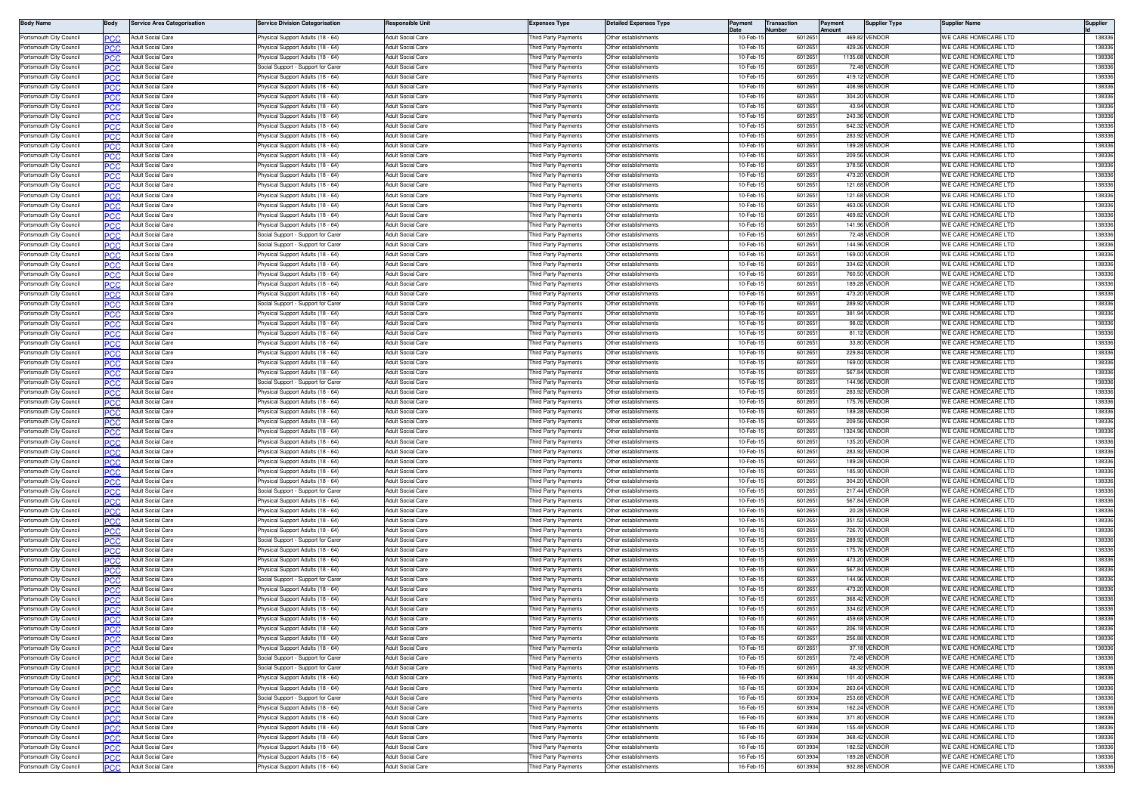| <b>Body Name</b>                                   | Body              | <b>Service Area Categorisation</b>                   | ervice Division Categorisation                                         | lesponsible Unit                                     | <b>Expenses Type</b>                        | <b>Detailed Expenses Type</b>                | Payment              | lumber | <b>Transaction</b> | Payment<br>mount | <b>Supplier Type</b>           | Supplier Name                                | Supplier         |
|----------------------------------------------------|-------------------|------------------------------------------------------|------------------------------------------------------------------------|------------------------------------------------------|---------------------------------------------|----------------------------------------------|----------------------|--------|--------------------|------------------|--------------------------------|----------------------------------------------|------------------|
| Portsmouth City Council                            |                   | Adult Social Care                                    | hysical Support Adults (18 - 64)                                       | <b>Adult Social Care</b>                             | hird Party Payments                         | Other establishments                         | 10-Feb-              |        | 601265             |                  | 469.82 VENDOF                  | WE CARE HOMECARE LTD                         | 13833            |
| Portsmouth City Council                            | ∍сс               | Adult Social Care                                    | hysical Support Adults (18 - 64)                                       | Adult Social Care                                    | hird Party Payments                         | Other establishments                         | 10-Feb-              |        | 601265             |                  | 429.26 VENDOR                  | WE CARE HOMECARE LTD                         | 13833            |
| Portsmouth City Council                            | PCC               | Adult Social Care                                    | hysical Support Adults (18 - 64)                                       | <b>Adult Social Care</b>                             | hird Party Payments                         | Other establishments                         | 10-Feb-              |        | 601265             |                  | 1135.68 VENDOR                 | WE CARE HOMECARE LTD                         | 138336           |
| Portsmouth City Council                            | PCC               | Adult Social Care                                    | ocial Support - Support for Care                                       | Adult Social Care                                    | hird Party Payments                         | Other establishments                         | 10-Feb               |        | 601265             |                  | 72.48 VENDOF                   | <b><i>NE CARE HOMECARE LTD</i></b>           | 13833            |
| Portsmouth City Council<br>Portsmouth City Council | <b>PCC</b>        | Adult Social Care<br>Adult Social Care               | hysical Support Adults (18 - 64)                                       | <b>Adult Social Care</b><br><b>Adult Social Care</b> | hird Party Payments                         | Other establishments<br>Other establishments | 10-Feb-<br>10-Feb-   |        | 6012651<br>601265  |                  | 419.12 VENDOF<br>408.98 VENDOF | WE CARE HOMECARE LTD<br>WE CARE HOMECARE LTD | 13833<br>138336  |
| Portsmouth City Council                            | PCC               | Adult Social Care                                    | hysical Support Adults (18 - 64)<br>hysical Support Adults (18 - 64)   | <b>Adult Social Care</b>                             | hird Party Payments<br>hird Party Payments  | Other establishments                         | 10-Feb-1             |        | 601265             |                  | 304.20 VENDOR                  | WE CARE HOMECARE LTD                         | 138336           |
| Portsmouth City Council                            | PCC               | <b>Adult Social Care</b>                             | hysical Support Adults (18 - 64)                                       | <b>Adult Social Care</b>                             | hird Party Payments                         | Other establishments                         | 10-Feb-1             |        | 601265             |                  | 43.94 VENDOR                   | WE CARE HOMECARE LTD                         | 138336           |
| Portsmouth City Council                            | PCC               | Adult Social Care                                    | hvsical Support Adults (18 - 64)                                       | <b>Adult Social Care</b>                             | hird Party Payments                         | Other establishments                         | 10-Feb-1             |        | 601265             |                  | 243.36 VENDOR                  | WE CARE HOMECARE LTD                         | 138336           |
| Portsmouth City Council                            | PCC               | Adult Social Care                                    | hysical Support Adults (18 - 64)                                       | <b>Adult Social Care</b>                             | hird Party Payments                         | Other establishments                         | 10-Feb-              |        | 601265             |                  | 642.32 VENDOF                  | WE CARE HOMECARE LTE                         | 138336           |
| Portsmouth City Council                            | ∍сс               | Adult Social Care                                    | hysical Support Adults (18 - 64)                                       | Adult Social Care                                    | hird Party Payments                         | Other establishments                         | 10-Feb-              |        | 601265             |                  | 283.92 VENDOF                  | WE CARE HOMECARE LTD                         | 13833            |
| Portsmouth City Council                            | PCC               | Adult Social Care                                    | hysical Support Adults (18 - 64)                                       | <b>Adult Social Care</b>                             | hird Party Payments                         | Other establishments                         | 10-Feb-1             |        | 601265             |                  | 189.28 VENDOR                  | WE CARE HOMECARE LTD                         | 138336           |
| Portsmouth City Council                            | PCC               | Adult Social Care                                    | hysical Support Adults (18 - 64)                                       | <b>Adult Social Care</b>                             | hird Party Payments                         | ther establishments                          | 10-Feb-              |        | 601265             |                  | 209.56 VENDOF                  | WE CARE HOMECARE LTD                         | 138336           |
| Portsmouth City Council                            | <b>PCC</b>        | Adult Social Care                                    | hysical Support Adults (18 - 64)                                       | Adult Social Care                                    | hird Party Payments                         | Other establishments                         | 10-Feb-              |        | 601265             |                  | 378.56 VENDOR                  | WE CARE HOMECARE LTD                         | 13833            |
| Portsmouth City Council                            | ∍сс               | Adult Social Care<br><b>Adult Social Care</b>        | hysical Support Adults (18 - 64)                                       | Adult Social Care<br><b>Adult Social Care</b>        | hird Party Payments                         | Other establishments                         | 10-Feb-<br>10-Feb-1  |        | 601265<br>601265   |                  | 473.20 VENDOF<br>121.68 VENDOR | WE CARE HOMECARE LTD<br>WE CARE HOMECARE LTD | 138336<br>138336 |
| Portsmouth City Council<br>Portsmouth City Council | PCC               | <b>Adult Social Care</b>                             | hysical Support Adults (18 - 64)<br>hvsical Support Adults (18 - 64)   | <b>Adult Social Care</b>                             | hird Party Payments<br>hird Party Payments  | Other establishments<br>Other establishments | 10-Feb-1             |        | 601265             |                  | 121.68 VENDOR                  | WE CARE HOMECARE LTD                         | 138336           |
| Portsmouth City Council                            | PCC               | <b>Adult Social Care</b>                             | hysical Support Adults (18 - 64)                                       | Adult Social Care                                    | hird Party Payments                         | Other establishments                         | 10-Feb-1             |        | 601265             |                  | 463.06 VENDOR                  | <b><i>NE CARE HOMECARE LTD</i></b>           | 138336           |
| Portsmouth City Council                            | ∍сс               | Adult Social Care                                    | hysical Support Adults (18 - 64)                                       | Adult Social Care                                    | hird Party Payments                         | Other establishments                         | 10-Feb-              |        | 601265             |                  | 469.82 VENDOR                  | WE CARE HOMECARE LTE                         | 138336           |
| Portsmouth City Council                            | эсс               | Adult Social Care                                    | hysical Support Adults (18 - 64)                                       | <b>Adult Social Care</b>                             | hird Party Payments                         | Other establishments                         | 10-Feb-1             |        | 601265             |                  | 141.96 VENDOF                  | WE CARE HOMECARE LTD                         | 138336           |
| Portsmouth City Council                            | PCC               | Adult Social Care                                    | ocial Support - Support for Care                                       | <b>Adult Social Care</b>                             | hird Party Payments                         | Other establishments                         | 10-Feb-1             |        | 601265             |                  | 72.48 VENDOR                   | WE CARE HOMECARE LTD                         | 138336           |
| Portsmouth City Council                            | PCC               | Adult Social Care                                    | ocial Support - Support for Carer                                      | Adult Social Care                                    | hird Party Payments                         | Other establishments                         | 10-Feb-              |        | 601265             |                  | 144.96 VENDOF                  | WE CARE HOMECARE LTD                         | 138336           |
| Portsmouth City Council                            | PCC               | Adult Social Care                                    | hysical Support Adults (18 - 64)                                       | Adult Social Care                                    | hird Party Payments                         | Other establishments                         | 10-Feb-              |        | 601265             |                  | 169.00 VENDOR                  | WE CARE HOMECARE LTD                         | 13833            |
| Portsmouth City Council                            |                   | <b>Adult Social Care</b>                             | hysical Support Adults (18 - 64)                                       | <b>Adult Social Care</b>                             | hird Party Payments                         | Other establishments                         | 10-Feb-1             |        | 601265             |                  | 334.62 VENDOF                  | WE CARE HOMECARE LTD                         | 138336           |
| Portsmouth City Council                            | PCC               | Adult Social Care                                    | hysical Support Adults (18 - 64)                                       | <b>Adult Social Care</b>                             | hird Party Payments                         | Other establishments                         | 10-Feb-1             |        | 601265             |                  | 760.50 VENDOR                  | WE CARE HOMECARE LTD                         | 138336           |
| Portsmouth City Council                            |                   | <b>Adult Social Care</b><br><b>Adult Social Care</b> | hvsical Support Adults (18 - 64)                                       | <b>Adult Social Care</b><br>Adult Social Care        | hird Party Payments                         | Other establishments<br>Other establishments | 10-Feb-1<br>10-Feb-  |        | 601265             |                  | 189.28 VENDOR<br>473.20 VENDOF | WE CARE HOMECARE LTD<br>WE CARE HOMECARE LTD | 138336<br>13833  |
| Portsmouth City Council<br>Portsmouth City Council | әсс<br>PCC        | <b>Adult Social Care</b>                             | hysical Support Adults (18 - 64)<br>ocial Support - Support for Carer  | <b>Adult Social Care</b>                             | hird Party Payments<br>hird Party Payments  | Other establishments                         | 10-Feb-              |        | 601265<br>601265   |                  | 289.92 VENDOR                  | WE CARE HOMECARE LTD                         | 138336           |
| Portsmouth City Council                            | әсс               | Adult Social Care                                    | hysical Support Adults (18 - 64)                                       | <b>Adult Social Care</b>                             | hird Party Payments                         | Other establishments                         | 10-Feb-              |        | 601265             |                  | 381.94 VENDOF                  | WE CARE HOMECARE LTD                         | 138336           |
| Portsmouth City Council                            | <b>PCC</b>        | Adult Social Care                                    | hysical Support Adults (18 - 64)                                       | <b>Adult Social Care</b>                             | hird Party Payments                         | Other establishments                         | 10-Feb-              |        | 601265             |                  | 98.02 VENDOF                   | WE CARE HOMECARE LTD                         | 138336           |
| Portsmouth City Council                            |                   | Adult Social Care                                    | hysical Support Adults (18 - 64)                                       | Adult Social Care                                    | hird Party Payments                         | Other establishments                         | 10-Feb-              |        | 601265             |                  | 81.12 VENDOF                   | WE CARE HOMECARE LTE                         | 13833            |
| Portsmouth City Council                            | PCC               | Adult Social Care                                    | hysical Support Adults (18 - 64)                                       | <b>Adult Social Care</b>                             | hird Party Payments                         | Other establishments                         | 10-Feb-1             |        | 6012651            |                  | 33.80 VENDOF                   | WE CARE HOMECARE LTD                         | 13833            |
| Portsmouth City Council                            | ∍сс               | Adult Social Care                                    | hysical Support Adults (18 - 64)                                       | <b>Adult Social Care</b>                             | hird Party Payments                         | Other establishments                         | 10-Feb-              |        | 601265             |                  | 229.84 VENDOF                  | WE CARE HOMECARE LTD                         | 138336           |
| Portsmouth City Council                            | PCC               | Adult Social Care                                    | hysical Support Adults (18 - 64)                                       | <b>Adult Social Care</b>                             | hird Party Payments                         | Other establishments                         | 10-Feb-              |        | 601265             |                  | 169.00 VENDOR                  | WE CARE HOMECARE LTD                         | 138336           |
| Portsmouth City Council                            |                   | <b>Adult Social Care</b>                             | hysical Support Adults (18 - 64)                                       | Adult Social Care                                    | hird Party Payments                         | Other establishments                         | 10-Feb-              |        | 601265             |                  | 567.84 VENDOF                  | WE CARE HOMECARE LTD                         | 138336           |
| Portsmouth City Council                            | РСС               | Adult Social Care                                    | Social Support - Support for Carer                                     | Adult Social Care                                    | hird Party Payments<br>hird Party Payments  | Other establishments                         | 10-Feb-              |        | 601265             |                  | 144.96 VENDOF<br>283.92 VENDOR | WE CARE HOMECARE LTD                         | 13833            |
| Portsmouth City Council<br>Portsmouth City Council | PCC               | Adult Social Care<br>Adult Social Care               | hysical Support Adults (18 - 64)<br>hysical Support Adults (18 - 64)   | <b>Adult Social Care</b><br><b>Adult Social Care</b> | hird Party Payments                         | Other establishments<br>Other establishments | 10-Feb-1<br>10-Feb-1 |        | 601265<br>601265   |                  | 175.76 VENDOF                  | WE CARE HOMECARE LTD<br>WE CARE HOMECARE LTD | 138336<br>138336 |
| Portsmouth City Council                            | PCC<br><b>PCC</b> | Adult Social Care                                    | hysical Support Adults (18 - 64)                                       | Adult Social Care                                    | hird Party Payments                         | Other establishments                         | 10-Feb-              |        | 601265             |                  | 189.28 VENDOR                  | WE CARE HOMECARE LTD                         | 138336           |
| Portsmouth City Council                            | PCC               | Adult Social Care                                    | hysical Support Adults (18 - 64)                                       | Adult Social Care                                    | hird Party Payments                         | Other establishments                         | 10-Feb-              |        | 601265             |                  | 209.56 VENDOF                  | WE CARE HOMECARE LTD                         | 138336           |
| Portsmouth City Council                            | PCC               | <b>Adult Social Care</b>                             | hvsical Support Adults (18 - 64)                                       | <b>Adult Social Care</b>                             | nird Party Payments                         | Other establishments                         | 10-Feb-1             |        | 601265             |                  | 1324.96 VENDOF                 | WE CARE HOMECARE LTD                         | 138336           |
| Portsmouth City Council                            | ٥СС               | <b>Adult Social Care</b>                             | hysical Support Adults (18 - 64)                                       | <b>Adult Social Care</b>                             | hird Party Payments                         | Other establishments                         | 10-Feb-1             |        | 601265             |                  | 135.20 VENDOF                  | WE CARE HOMECARE LTD                         | 138336           |
| Portsmouth City Council                            | PCC               | Adult Social Care                                    | hysical Support Adults (18 - 64)                                       | Adult Social Care                                    | hird Party Payments                         | Other establishments                         | 10-Feb-1             |        | 601265             |                  | 283.92 VENDOR                  | WE CARE HOMECARE LTD                         | 138336           |
| Portsmouth City Council                            |                   | Adult Social Care                                    | hysical Support Adults (18 - 64)                                       | Adult Social Care                                    | hird Party Payments                         | Other establishments                         | 10-Feb-              |        | 601265             |                  | 189.28 VENDOF                  | WE CARE HOMECARE LTD                         | 138336           |
| Portsmouth City Council                            | әсс               | Adult Social Care                                    | hysical Support Adults (18 - 64)                                       | Adult Social Care                                    | hird Party Payments                         | Other establishments                         | 10-Feb-              |        | 601265             |                  | 185.90 VENDOF                  | <b><i>NE CARE HOMECARE LTD</i></b>           | 13833            |
| Portsmouth City Council                            | PCC               | Adult Social Care                                    | hysical Support Adults (18 - 64)                                       | <b>Adult Social Care</b>                             | hird Party Payments                         | Other establishments                         | 10-Feb-1             |        | 601265             |                  | 304.20 VENDOF                  | WE CARE HOMECARE LTD                         | 138336           |
| Portsmouth City Council<br>Portsmouth City Council | PCC<br>PCC        | Adult Social Care<br>Adult Social Care               | Social Support - Support for Care<br>hysical Support Adults (18 - 64)  | <b>Adult Social Care</b><br>Adult Social Care        | hird Party Payments<br>hird Party Payments  | Other establishments<br>Other establishments | 10-Feb-1<br>10-Feb-  |        | 601265<br>601265   |                  | 217.44 VENDOR<br>567.84 VENDOR | WE CARE HOMECARE LTD<br>WE CARE HOMECARE LTD | 138336<br>138336 |
| Portsmouth City Council                            |                   | <b>Adult Social Care</b>                             | hysical Support Adults (18 - 64)                                       | <b>Adult Social Care</b>                             | hird Party Payments                         | Other establishments                         | 10-Feb-1             |        | 601265             |                  | 20.28 VENDOR                   | WE CARE HOMECARE LTD                         | 138336           |
| Portsmouth City Council                            | PCC               | <b>Adult Social Care</b>                             | hysical Support Adults (18 - 64)                                       | <b>Adult Social Care</b>                             | nird Party Payments                         | Other establishments                         | 10-Feb-1             |        | 601265             |                  | 351.52 VENDOR                  | WE CARE HOMECARE LTD                         | 138336           |
| Portsmouth City Council                            |                   | Adult Social Care                                    | hysical Support Adults (18 - 64)                                       | <b>Adult Social Care</b>                             | hird Party Payments                         | Other establishments                         | 10-Feb-              |        | 601265             |                  | 726.70 VENDOR                  | WE CARE HOMECARE LTD                         | 138336           |
| Portsmouth City Council                            | ∍сс               | Adult Social Care                                    | Social Support - Support for Carer                                     | Adult Social Care                                    | hird Party Payments                         | Other establishments                         | 10-Feb-1             |        | 601265             |                  | 289.92 VENDOR                  | WE CARE HOMECARE LTD                         | 138336           |
| Portsmouth City Council                            | PCC               | <b>Adult Social Care</b>                             | hysical Support Adults (18 - 64)                                       | <b>Adult Social Care</b>                             | hird Party Payments                         | Other establishments                         | 10-Feb-1             |        | 601265             |                  | 175.76 VENDOR                  | WE CARE HOMECARE LTD                         | 138336           |
| Portsmouth City Council                            |                   | <b>Adult Social Care</b>                             | hysical Support Adults (18 - 64)                                       | Adult Social Care                                    | hird Party Payments                         | Other establishments                         | 10-Feb-              |        | 601265             |                  | 473.20 VENDOF                  | <b><i>NE CARE HOMECARE LTD</i></b>           | 13833            |
| Portsmouth City Council<br>Portsmouth City Council | <b>PCC</b>        | Adult Social Care<br>Adult Social Care               | hysical Support Adults (18 - 64)                                       | <b>Adult Social Care</b><br><b>Adult Social Care</b> | hird Party Payments                         | Other establishments<br>Other establishments | 10-Feb-<br>10-Feb-   |        | 601265<br>601265   |                  | 567.84 VENDOR<br>144.96 VENDOF | WE CARE HOMECARE LTD<br>WE CARE HOMECARE LTD | 138336<br>138336 |
| Portsmouth City Council                            | PCC<br>PCC        | Adult Social Care                                    | ocial Support - Support for Carer<br>hysical Support Adults (18 - 64)  | Adult Social Care                                    | hird Party Payments<br>hird Party Payments  | Other establishments                         | 10-Feb-              |        | 601265             |                  | 473.20 VENDOR                  | WE CARE HOMECARE LTD                         | 138336           |
| Portsmouth City Council                            |                   | Adult Social Care                                    | hysical Support Adults (18 - 64)                                       | <b>Adult Social Care</b>                             | hird Party Payments                         | Other establishments                         | 10-Feb-              |        | 601265             |                  | 368.42 VENDOF                  | WE CARE HOMECARE LTD                         | 138336           |
| Portsmouth City Council                            | PCC               | Adult Social Care                                    | hysical Support Adults (18 - 64)                                       | <b>Adult Social Care</b>                             | hird Party Payments                         | Other establishments                         | 10-Feb-              |        | 601265             |                  | 334.62 VENDOR                  | WE CARE HOMECARE LTD                         | 138336           |
| Portsmouth City Council                            | ∍сс               | Adult Social Care                                    | hysical Support Adults (18 - 64)                                       | Adult Social Care                                    | hird Party Payments                         | Other establishments                         | 10-Feb-1             |        | 601265             |                  | 459.68 VENDOF                  | WE CARE HOMECARE LTD                         | 138336           |
| Portsmouth City Council                            | PCC               | Adult Social Care                                    | hysical Support Adults (18 - 64)                                       | Adult Social Care                                    | hird Party Payments                         | Other establishments                         | 10-Feb-1             |        | 601265             |                  | 206.18 VENDOR                  | WE CARE HOMECARE LTD                         | 138336           |
| Portsmouth City Council                            | PCC               | Adult Social Care                                    | hysical Support Adults (18 - 64)                                       | Adult Social Care                                    | hird Party Payments                         | Other establishments                         | 10-Feb-1             |        | 601265             |                  | 256.88 VENDOR                  | WE CARE HOMECARE LTD                         | 138336           |
| Portsmouth City Council                            | PCC               | Adult Social Care                                    | hysical Support Adults (18 - 64)                                       | Adult Social Care                                    | hird Party Payments                         | ther establishments                          | 10-Feb-1             |        | 601265             |                  | 37.18 VENDOR                   | WE CARE HOMECARE LTD                         | 138336           |
| Portsmouth City Council                            | <b>PCC</b>        | Adult Social Care                                    | Social Support - Support for Carer                                     | Adult Social Care                                    | hird Party Payments                         | Other establishments                         | 10-Feb-              |        | 601265             |                  | 72.48 VENDOR                   | WE CARE HOMECARE LTD                         | 138336           |
| Portsmouth City Council<br>Portsmouth City Council | PCC               | <b>Adult Social Care</b><br><b>Adult Social Care</b> | Social Support - Support for Carer<br>hysical Support Adults (18 - 64) | Adult Social Care<br>Adult Social Care               | Third Party Payments<br>hird Party Payments | Other establishments<br>Other establishments | 10-Feb-1<br>16-Feb-1 |        | 601265<br>6013934  |                  | 48.32 VENDOR<br>101.40 VENDOR  | WE CARE HOMECARE LTD<br>WE CARE HOMECARE LTD | 138336<br>138336 |
| Portsmouth City Council                            | PCC               | <b>Adult Social Care</b>                             | hysical Support Adults (18 - 64)                                       | <b>Adult Social Care</b>                             | hird Party Payments                         | Other establishments                         | 16-Feb-1             |        | 6013934            |                  | 263.64 VENDOR                  | WE CARE HOMECARE LTD                         | 138336           |
| Portsmouth City Council                            | PCC               | <b>Adult Social Care</b>                             | <b>Social Support - Support for Carer</b>                              | Adult Social Care                                    | hird Party Payments                         | Other establishments                         | 16-Feb-1             |        | 6013934            |                  | 253.68 VENDOR                  | WE CARE HOMECARE LTD                         | 138336           |
| Portsmouth City Council                            | ∍сс               | Adult Social Care                                    | hysical Support Adults (18 - 64)                                       | Adult Social Care                                    | hird Party Payments                         | Other establishments                         | 16-Feb-1             |        | 6013934            |                  | 162.24 VENDOR                  | WE CARE HOMECARE LTD                         | 138336           |
| Portsmouth City Council                            | PCC               | Adult Social Care                                    | hysical Support Adults (18 - 64)                                       | Adult Social Care                                    | hird Party Payments                         | Other establishments                         | 16-Feb-1             |        | 6013934            |                  | 371.80 VENDOR                  | WE CARE HOMECARE LTD                         | 138336           |
| Portsmouth City Council                            | PCC               | Adult Social Care                                    | hysical Support Adults (18 - 64)                                       | Adult Social Care                                    | hird Party Payments                         | Other establishments                         | 16-Feb-1             |        | 6013934            |                  | 155.48 VENDOR                  | WE CARE HOMECARE LTD                         | 138336           |
| Portsmouth City Council                            | PCC               | Adult Social Care                                    | hysical Support Adults (18 - 64)                                       | Adult Social Care                                    | hird Party Payments                         | Other establishments                         | 16-Feb-1             |        | 6013934            |                  | 368.42 VENDOR                  | WE CARE HOMECARE LTD                         | 138336           |
| Portsmouth City Council                            | <b>PCC</b>        | Adult Social Care                                    | <sup>2</sup> hysical Support Adults (18 - 64)                          | Adult Social Care                                    | hird Party Payments                         | Other establishments                         | 16-Feb-1             |        | 6013934            |                  | 182.52 VENDOR                  | WE CARE HOMECARE LTD                         | 138336           |
| Portsmouth City Council                            | ∍сс               | Adult Social Care                                    | <sup>2</sup> hysical Support Adults (18 - 64)                          | Adult Social Care                                    | Third Party Payments                        | Other establishments                         | 16-Feb-1             |        | 6013934            |                  | 189.28 VENDOR                  | WE CARE HOMECARE LTD                         | 138336           |
| Portsmouth City Council                            | <b>PCC</b>        | Adult Social Care                                    | hysical Support Adults (18 - 64)                                       | <b>Adult Social Care</b>                             | hird Party Payments                         | Other establishments                         | 16-Feb-1             |        | 6013934            |                  | 932.88 VENDOR                  | WE CARE HOMECARE LTD                         | 138336           |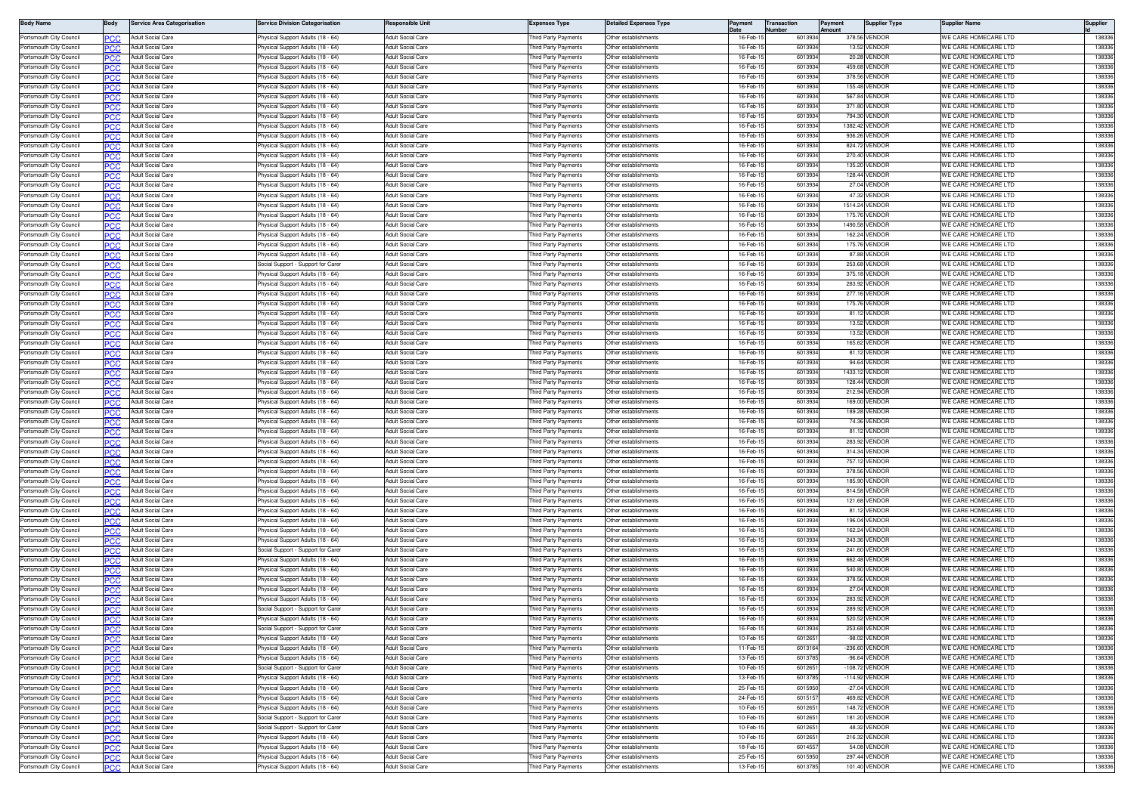| <b>Body Name</b>                                   | Body              | <b>Service Area Categorisation</b>                   | ervice Division Categorisation                                        | lesponsible Unit                                     | Expenses Type                               | <b>Detailed Expenses Type</b>                | Payment              | lumber | <b>Transaction</b> | Payment<br>∆m∩uni | <b>Supplier Type</b>           | Supplier Name                                | Supplier         |
|----------------------------------------------------|-------------------|------------------------------------------------------|-----------------------------------------------------------------------|------------------------------------------------------|---------------------------------------------|----------------------------------------------|----------------------|--------|--------------------|-------------------|--------------------------------|----------------------------------------------|------------------|
| Portsmouth City Council                            |                   | Adult Social Care                                    | hysical Support Adults (18 - 64)                                      | <b>Adult Social Care</b>                             | hird Party Payments                         | Other establishments                         | 16-Feb-              |        | 6013934            |                   | 378.56 VENDOF                  | WE CARE HOMECARE LTD                         | 13833            |
| Portsmouth City Council                            | PCC               | Adult Social Care                                    | hysical Support Adults (18 - 64)                                      | Adult Social Care                                    | hird Party Payments                         | Other establishments                         | 16-Feb-1             |        | 6013934            |                   | 13.52 VENDOF                   | WE CARE HOMECARE LTD                         | 13833            |
| Portsmouth City Council                            | PCC               | Adult Social Care                                    | hysical Support Adults (18 - 64)                                      | <b>Adult Social Care</b>                             | hird Party Payments                         | Other establishments                         | 16-Feb-1             |        | 6013934            |                   | 20.28 VENDOR                   | WE CARE HOMECARE LTD                         | 138336           |
| Portsmouth City Council                            | PCC               | Adult Social Care                                    | hysical Support Adults (18 - 64)                                      | <b>Adult Social Care</b>                             | hird Party Payments                         | Other establishments                         | 16-Feb-              |        | 601393             |                   | 459.68 VENDOF                  | WE CARE HOMECARE LTD                         | 13833            |
| Portsmouth City Council<br>Portsmouth City Council | <b>PCC</b>        | Adult Social Care<br>Adult Social Care               | hysical Support Adults (18 - 64)<br>hysical Support Adults (18 - 64)  | <b>Adult Social Care</b><br><b>Adult Social Care</b> | hird Party Payments                         | Other establishments<br>Other establishments | 16-Feb-1<br>16-Feb-1 |        | 6013934<br>6013934 |                   | 378.56 VENDOF<br>155.48 VENDOF | WE CARE HOMECARE LTD<br>WE CARE HOMECARE LTD | 138336<br>138336 |
| Portsmouth City Council                            | PCC               | Adult Social Care                                    | hysical Support Adults (18 - 64)                                      | <b>Adult Social Care</b>                             | hird Party Payments<br>hird Party Payments  | Other establishments                         | 16-Feb-1             |        | 6013934            |                   | 567.84 VENDOF                  | WE CARE HOMECARE LTD                         | 138336           |
| Portsmouth City Council                            | PCC               | Adult Social Care                                    | hysical Support Adults (18 - 64)                                      | <b>Adult Social Care</b>                             | hird Party Payments                         | Other establishments                         | 16-Feb-              |        | 6013934            |                   | 371.80 VENDOR                  | WE CARE HOMECARE LTD                         | 138336           |
| Portsmouth City Council                            | PCC               | Adult Social Care                                    | hysical Support Adults (18 - 64)                                      | Adult Social Care                                    | hird Party Payments                         | Other establishments                         | 16-Feb-1             |        | 6013934            |                   | 794.30 VENDOR                  | WE CARE HOMECARE LTD                         | 138336           |
| Portsmouth City Council                            | ∍сс               | Adult Social Care                                    | hysical Support Adults (18 - 64)                                      | <b>Adult Social Care</b>                             | hird Party Payments                         | Other establishments                         | 16-Feb-              |        | 6013934            |                   | 1382.42 VENDOR                 | WE CARE HOMECARE LTE                         | 138336           |
| Portsmouth City Council                            | ∍сс               | Adult Social Care                                    | hysical Support Adults (18 - 64)                                      | Adult Social Care                                    | hird Party Payments                         | Other establishments                         | 16-Feb-              |        | 6013934            |                   | 936.26 VENDOF                  | WE CARE HOMECARE LTD                         | 138336           |
| Portsmouth City Council                            | PCC               | Adult Social Care                                    | hysical Support Adults (18 - 64)                                      | <b>Adult Social Care</b>                             | hird Party Payments                         | Other establishments                         | 16-Feb-1             |        | 6013934            |                   | 824.72 VENDOR                  | WE CARE HOMECARE LTD                         | 138336           |
| Portsmouth City Council                            | PCC               | Adult Social Care                                    | hysical Support Adults (18 - 64)                                      | <b>Adult Social Care</b>                             | hird Party Payments                         | Other establishments                         | 16-Feb-1             |        | 6013934            |                   | 270.40 VENDOF                  | WE CARE HOMECARE LTD                         | 138336           |
| Portsmouth City Council                            | <b>PCC</b>        | Adult Social Care                                    | hysical Support Adults (18 - 64)                                      | Adult Social Care                                    | hird Party Payments                         | Other establishments                         | 16-Feb-              |        | 6013934            |                   | 135,20 VENDOF                  | WE CARE HOMECARE LTD                         | 13833            |
| Portsmouth City Council                            | PCC               | Adult Social Care                                    | hysical Support Adults (18 - 64)                                      | Adult Social Care                                    | hird Party Payments                         | Other establishments                         | 16-Feb-              |        | 6013934            |                   | 128.44 VENDOF                  | WE CARE HOMECARE LTD                         | 138336           |
| Portsmouth City Council<br>Portsmouth City Council | PCC               | <b>Adult Social Care</b><br><b>Adult Social Care</b> | hysical Support Adults (18 - 64)<br>hvsical Support Adults (18 - 64)  | <b>Adult Social Care</b><br><b>Adult Social Care</b> | hird Party Payments<br>hird Party Payments  | Other establishments<br>Other establishments | 16-Feb-1<br>16-Feb-1 |        | 6013934<br>6013934 |                   | 27.04 VENDOR<br>47.32 VENDOR   | WE CARE HOMECARE LTD<br>WE CARE HOMECARE LTD | 138336<br>138336 |
| Portsmouth City Council                            |                   | Adult Social Care                                    | hysical Support Adults (18 - 64)                                      | Adult Social Care                                    | hird Party Payments                         | Other establishments                         | 16-Feb-1             |        | 6013934            |                   | 1514.24 VENDOR                 | WE CARE HOMECARE LTD                         | 138336           |
| Portsmouth City Council                            | PCC<br>PCC        | Adult Social Care                                    | hysical Support Adults (18 - 64)                                      | Adult Social Care                                    | hird Party Payments                         | Other establishments                         | 16-Feb-              |        | 6013934            |                   | 175.76 VENDOR                  | WE CARE HOMECARE LTD                         | 138336           |
| Portsmouth City Council                            | ∍сс               | Adult Social Care                                    | hysical Support Adults (18 - 64)                                      | <b>Adult Social Care</b>                             | hird Party Payments                         | Other establishments                         | 16-Feb-1             |        | 6013934            |                   | 1490.58 VENDOF                 | WE CARE HOMECARE LTD                         | 138336           |
| Portsmouth City Council                            | PCC.              | Adult Social Care                                    | hysical Support Adults (18 - 64)                                      | <b>Adult Social Care</b>                             | hird Party Payments                         | Other establishments                         | 16-Feb-1             |        | 6013934            |                   | 162.24 VENDOR                  | WE CARE HOMECARE LTD                         | 138336           |
| Portsmouth City Council                            | PCC               | Adult Social Care                                    | hysical Support Adults (18 - 64)                                      | Adult Social Care                                    | hird Party Payments                         | Other establishments                         | 16-Feb-              |        | 601393             |                   | 175.76 VENDOF                  | WE CARE HOMECARE LTD                         | 138336           |
| Portsmouth City Council                            | PCC               | Adult Social Care                                    | hysical Support Adults (18 - 64)                                      | Adult Social Care                                    | hird Party Payments                         | Other establishments                         | 16-Feb-1             |        | 6013934            |                   | 87.88 VENDOR                   | WE CARE HOMECARE LTD                         | 138336           |
| Portsmouth City Council                            |                   | <b>Adult Social Care</b>                             | Social Support - Support for Care                                     | <b>Adult Social Care</b>                             | hird Party Payments                         | Other establishments                         | 16-Feb-1             |        | 6013934            |                   | 253.68 VENDOF                  | WE CARE HOMECARE LTD                         | 138336           |
| Portsmouth City Council                            | PCC               | Adult Social Care                                    | hysical Support Adults (18 - 64)                                      | <b>Adult Social Care</b>                             | hird Party Payments                         | Other establishments                         | 16-Feb-1             |        | 6013934            |                   | 375.18 VENDOR                  | WE CARE HOMECARE LTD                         | 138336           |
| Portsmouth City Council                            |                   | Adult Social Care                                    | hysical Support Adults (18 - 64)                                      | <b>Adult Social Care</b>                             | hird Party Payments                         | Other establishments                         | 16-Feb-1             |        | 6013934            |                   | 283.92 VENDOR                  | WE CARE HOMECARE LTD                         | 138336           |
| Portsmouth City Council                            | PCC               | <b>Adult Social Care</b>                             | hysical Support Adults (18 - 64)                                      | Adult Social Care                                    | hird Party Payments                         | Other establishments                         | 16-Feb-              |        | 6013934            |                   | 277.16 VENDOR                  | WE CARE HOMECARE LTD                         | 13833            |
| Portsmouth City Council<br>Portsmouth City Council | PCC               | <b>Adult Social Care</b><br>Adult Social Care        | hysical Support Adults (18 - 64)<br>hysical Support Adults (18 - 64)  | <b>Adult Social Care</b><br><b>Adult Social Care</b> | hird Party Payments<br>hird Party Payments  | Other establishments<br>Other establishments | 16-Feb-<br>16-Feb-   |        | 6013934<br>601393  |                   | 175.76 VENDOR<br>81.12 VENDOF  | WE CARE HOMECARE LTD<br>WE CARE HOMECARE LTD | 138336<br>138336 |
| Portsmouth City Council                            | ∍сс<br><b>PCC</b> | Adult Social Care                                    | hysical Support Adults (18 - 64)                                      | <b>Adult Social Care</b>                             | hird Party Payments                         | Other establishments                         | 16-Feb-              |        | 6013934            |                   | 13.52 VENDOR                   | WE CARE HOMECARE LTD                         | 138336           |
| Portsmouth City Council                            | PCC               | Adult Social Care                                    | hysical Support Adults (18 - 64)                                      | Adult Social Care                                    | hird Party Payments                         | Other establishments                         | 16-Feb-              |        | 601393             |                   | 13.52 VENDOF                   | WE CARE HOMECARE LTD                         | 138336           |
| Portsmouth City Council                            | PCC               | <b>Adult Social Care</b>                             | hysical Support Adults (18 - 64)                                      | Adult Social Care                                    | hird Party Payments                         | Other establishments                         | 16-Feb-1             |        | 6013934            |                   | 165.62 VENDOR                  | WE CARE HOMECARE LTD                         | 138336           |
| Portsmouth City Council                            | PCC               | Adult Social Care                                    | hysical Support Adults (18 - 64)                                      | <b>Adult Social Care</b>                             | hird Party Payments                         | Other establishments                         | 16-Feb-              |        | 6013934            |                   | 81.12 VENDOR                   | WE CARE HOMECARE LTD                         | 138336           |
| Portsmouth City Council                            | PCC               | <b>Adult Social Care</b>                             | hysical Support Adults (18 - 64)                                      | <b>Adult Social Care</b>                             | hird Party Payments                         | Other establishments                         | 16-Feb-              |        | 601393             |                   | 94.64 VENDOF                   | WE CARE HOMECARE LTD                         | 138336           |
| Portsmouth City Council                            |                   | Adult Social Care                                    | hysical Support Adults (18 - 64)                                      | <b>Adult Social Care</b>                             | hird Party Payments                         | Other establishments                         | 16-Feb-              |        | 601393             |                   | 1433.12 VENDOR                 | WE CARE HOMECARE LTD                         | 138336           |
| Portsmouth City Council                            | РСС               | Adult Social Care                                    | hysical Support Adults (18 - 64)                                      | <b>Adult Social Care</b>                             | hird Party Payments                         | Other establishments                         | 16-Feb-              |        | 6013934            |                   | 128,44 VENDOF                  | WE CARE HOMECARE LTD                         | 138336           |
| Portsmouth City Council                            | PCC               | Adult Social Care                                    | hysical Support Adults (18 - 64)                                      | <b>Adult Social Care</b>                             | hird Party Payments                         | Other establishments                         | 16-Feb-1             |        | 6013934            |                   | 212.94 VENDOR                  | WE CARE HOMECARE LTD                         | 138336           |
| Portsmouth City Council                            | PCC               | Adult Social Care                                    | hysical Support Adults (18 - 64)                                      | <b>Adult Social Care</b>                             | hird Party Payments                         | Other establishments                         | 16-Feb-1             |        | 6013934            |                   | 169.00 VENDOF                  | WE CARE HOMECARE LTD                         | 138336<br>138336 |
| Portsmouth City Council<br>Portsmouth City Council | <b>PCC</b>        | Adult Social Care<br>Adult Social Care               | hysical Support Adults (18 - 64)<br>hysical Support Adults (18 - 64)  | Adult Social Care<br>Adult Social Care               | hird Party Payments<br>hird Party Payments  | Other establishments<br>Other establishments | 16-Feb-<br>16-Feb-   |        | 601393<br>601393   |                   | 189.28 VENDOR<br>74.36 VENDOF  | WE CARE HOMECARE LTD<br>WE CARE HOMECARE LTD | 138336           |
| Portsmouth City Council                            | PCC<br>PCC        | <b>Adult Social Care</b>                             | hvsical Support Adults (18 - 64)                                      | <b>Adult Social Care</b>                             | nird Party Payments                         | Other establishments                         | 16-Feb-1             |        | 6013934            |                   | 81.12 VENDOF                   | WE CARE HOMECARE LTD                         | 138336           |
| Portsmouth City Council                            | ∍сс               | <b>Adult Social Care</b>                             | hysical Support Adults (18 - 64)                                      | <b>Adult Social Care</b>                             | hird Party Payments                         | Other establishments                         | 16-Feb-1             |        | 6013934            |                   | 283.92 VENDOF                  | WE CARE HOMECARE LTD                         | 138336           |
| Portsmouth City Council                            | PCC               | Adult Social Care                                    | hysical Support Adults (18 - 64)                                      | Adult Social Care                                    | hird Party Payments                         | Other establishments                         | 16-Feb-1             |        | 6013934            |                   | 314.34 VENDOR                  | WE CARE HOMECARE LTD                         | 138336           |
| Portsmouth City Council                            |                   | Adult Social Care                                    | hysical Support Adults (18 - 64)                                      | Adult Social Care                                    | hird Party Payments                         | Other establishments                         | 16-Feb-              |        | 601393             |                   | 757.12 VENDOR                  | WE CARE HOMECARE LTD                         | 138336           |
| Portsmouth City Council                            | эсс               | Adult Social Care                                    | hysical Support Adults (18 - 64)                                      | Adult Social Care                                    | hird Party Payments                         | Other establishments                         | 16-Feb-1             |        | 601393             |                   | 378.56 VENDOF                  | WE CARE HOMECARE LTD                         | 138336           |
| Portsmouth City Council                            | PCC               | Adult Social Care                                    | hysical Support Adults (18 - 64)                                      | <b>Adult Social Care</b>                             | hird Party Payments                         | Other establishments                         | 16-Feb-1             |        | 6013934            |                   | 185.90 VENDOR                  | WE CARE HOMECARE LTD                         | 138336           |
| Portsmouth City Council                            | PCC               | Adult Social Care                                    | hysical Support Adults (18 - 64)                                      | <b>Adult Social Care</b>                             | hird Party Payments                         | Other establishments                         | 16-Feb-1             |        | 6013934            |                   | 814.58 VENDOR                  | WE CARE HOMECARE LTD                         | 138336           |
| Portsmouth City Council                            | PCC               | Adult Social Care                                    | hysical Support Adults (18 - 64)                                      | Adult Social Care                                    | hird Party Payments                         | Other establishments                         | 16-Feb-1             |        | 601393             |                   | 121.68 VENDOR<br>81.12 VENDOF  | WE CARE HOMECARE LTD                         | 138336           |
| Portsmouth City Council<br>Portsmouth City Council |                   | Adult Social Care<br><b>Adult Social Care</b>        | hysical Support Adults (18 - 64)<br>hysical Support Adults (18 - 64)  | <b>Adult Social Care</b><br><b>Adult Social Care</b> | 'hird Party Payments<br>nird Party Payments | Other establishments<br>Other establishments | 16-Feb-<br>16-Feb-1  |        | 601393<br>6013934  |                   | 196.04 VENDOR                  | WE CARE HOMECARE LTD<br>WE CARE HOMECARE LTD | 138336<br>138336 |
| Portsmouth City Council                            | PCC               | <b>Adult Social Care</b>                             | hysical Support Adults (18 - 64)                                      | <b>Adult Social Care</b>                             | hird Party Payments                         | Other establishments                         | 16-Feb-1             |        | 6013934            |                   | 162.24 VENDOR                  | WE CARE HOMECARE LTD                         | 138336           |
| Portsmouth City Council                            | PCC               | Adult Social Care                                    | hysical Support Adults (18 - 64)                                      | Adult Social Care                                    | hird Party Payments                         | Other establishments                         | 16-Feb-1             |        | 601393             |                   | 243.36 VENDOR                  | WE CARE HOMECARE LTD                         | 138336           |
| Portsmouth City Council                            | PCC               | <b>Adult Social Care</b>                             | ocial Support - Support for Carer                                     | <b>Adult Social Care</b>                             | hird Party Payments                         | Other establishments                         | 16-Feb-              |        | 601393             |                   | 241.60 VENDOR                  | WE CARE HOMECARE LTD                         | 138336           |
| Portsmouth City Council                            |                   | Adult Social Care                                    | hysical Support Adults (18 - 64)                                      | Adult Social Care                                    | hird Party Payments                         | Other establishments                         | 16-Feb-              |        | 601393             |                   | 662.48 VENDOF                  | WE CARE HOMECARE LTD                         | 138336           |
| Portsmouth City Council                            | <b>PCC</b>        | Adult Social Care                                    | hysical Support Adults (18 - 64)                                      | <b>Adult Social Care</b>                             | hird Party Payments                         | Other establishments                         | 16-Feb-1             |        | 6013934            |                   | 540.80 VENDOR                  | WE CARE HOMECARE LTD                         | 138336           |
| Portsmouth City Council                            | PCC               | Adult Social Care                                    | hysical Support Adults (18 - 64)                                      | <b>Adult Social Care</b>                             | hird Party Payments                         | Other establishments                         | 16-Feb-1             |        | 6013934            |                   | 378.56 VENDOF                  | WE CARE HOMECARE LTD                         | 138336           |
| Portsmouth City Council                            | PCC               | Adult Social Care                                    | hysical Support Adults (18 - 64)                                      | Adult Social Care                                    | hird Party Payments                         | Other establishments                         | 16-Feb-              |        | 601393             |                   | 27.04 VENDOR                   | WE CARE HOMECARE LTD                         | 138336           |
| Portsmouth City Council<br>Portsmouth City Council |                   | <b>Adult Social Care</b>                             | hysical Support Adults (18 - 64)<br>Social Support - Support for Care | <b>Adult Social Care</b>                             | hird Party Payments                         | Other establishments                         | 16-Feb-              |        | 601393             |                   | 283.92 VENDOF                  | WE CARE HOMECARE LTD<br>WE CARE HOMECARE LTD | 138336           |
| Portsmouth City Council                            | PCC               | Adult Social Care<br>Adult Social Care               | hysical Support Adults (18 - 64)                                      | <b>Adult Social Care</b><br><b>Adult Social Care</b> | hird Party Payments<br>hird Party Payments  | Other establishments<br>Other establishments | 16-Feb-<br>16-Feb-1  |        | 601393<br>6013934  |                   | 289.92 VENDOF<br>520.52 VENDOF | WE CARE HOMECARE LTD                         | 138336<br>138336 |
| Portsmouth City Council                            | ∍сс<br>PCC        | Adult Social Care                                    | ocial Support - Support for Carer                                     | Adult Social Care                                    | hird Party Payments                         | Other establishments                         | 16-Feb-1             |        | 6013934            |                   | 253.68 VENDOR                  | WE CARE HOMECARE LTD                         | 138336           |
| Portsmouth City Council                            | PCC               | Adult Social Care                                    | hysical Support Adults (18 - 64)                                      | Adult Social Care                                    | hird Party Payments                         | Other establishments                         | 10-Feb-1             |        | 601265             |                   | -98.02 VENDOR                  | WE CARE HOMECARE LTD                         | 138336           |
| Portsmouth City Council                            | PCC               | Adult Social Care                                    | hysical Support Adults (18 - 64)                                      | Adult Social Care                                    | hird Party Payments                         | ther establishments                          | 11-Feb-1             |        | 6013164            |                   | -236.60 VENDOR                 | WE CARE HOMECARE LTD                         | 138336           |
| Portsmouth City Council                            | <b>PCC</b>        | Adult Social Care                                    | <sup>9</sup> hysical Support Adults (18 - 64)                         | Adult Social Care                                    | hird Party Payments                         | Other establishments                         | 13-Feb-              |        | 601378             |                   | -96.64 VENDOR                  | WE CARE HOMECARE LTD                         | 138336           |
| Portsmouth City Council                            | PCC               | <b>Adult Social Care</b>                             | Social Support - Support for Carer                                    | Adult Social Care                                    | Third Party Payments                        | Other establishments                         | 10-Feb-1             |        | 601265             |                   | -108.72 VENDOR                 | WE CARE HOMECARE LTD                         | 138336           |
| Portsmouth City Council                            | PCC               | <b>Adult Social Care</b>                             | hysical Support Adults (18 - 64)                                      | Adult Social Care                                    | hird Party Payments                         | Other establishments                         | 13-Feb-1             |        | 601378             |                   | -114.92 VENDOR                 | WE CARE HOMECARE LTD                         | 138336           |
| Portsmouth City Council                            |                   | <b>Adult Social Care</b>                             | hysical Support Adults (18 - 64)                                      | <b>Adult Social Care</b>                             | hird Party Payments                         | Other establishments                         | 25-Feb-1             |        | 6015950            |                   | -27.04 VENDOR                  | WE CARE HOMECARE LTD                         | 138336           |
| Portsmouth City Council                            | PCC               | <b>Adult Social Care</b>                             | hysical Support Adults (18 - 64)                                      | <b>Adult Social Care</b>                             | hird Party Payments                         | Other establishments                         | 24-Feb-1             |        | 6015157            |                   | 469.82 VENDOR                  | WE CARE HOMECARE LTD                         | 138336           |
| Portsmouth City Council                            | ∍сс               | Adult Social Care                                    | hysical Support Adults (18 - 64)                                      | Adult Social Care                                    | hird Party Payments                         | Other establishments                         | 10-Feb-1             |        | 601265             |                   | 148.72 VENDOR                  | WE CARE HOMECARE LTD                         | 138336           |
| Portsmouth City Council                            | PCC               | Adult Social Care<br>Adult Social Care               | Social Support - Support for Carer                                    | Adult Social Care<br>Adult Social Care               | hird Party Payments                         | Other establishments<br>Other establishments | 10-Feb-1<br>10-Feb-1 |        | 601265<br>601265   |                   | 181.20 VENDOR<br>48.32 VENDOR  | WE CARE HOMECARE LTD<br>WE CARE HOMECARE LTD | 138336<br>138336 |
| Portsmouth City Council<br>Portsmouth City Council | PCC               | Adult Social Care                                    | ocial Support - Support for Carer<br>hysical Support Adults (18 - 64) | Adult Social Care                                    | hird Party Payments<br>hird Party Payments  | Other establishments                         | 10-Feb-1             |        | 601265             |                   | 216.32 VENDOR                  | WE CARE HOMECARE LTD                         | 138336           |
| Portsmouth City Council                            | PCC<br><b>PCC</b> | Adult Social Care                                    | <sup>2</sup> hysical Support Adults (18 - 64)                         | Adult Social Care                                    | hird Party Payments                         | Other establishments                         | 18-Feb-1             |        | 6014557            |                   | 54.08 VENDOR                   | WE CARE HOMECARE LTD                         | 138336           |
| Portsmouth City Council                            | ∍сс               | Adult Social Care                                    | <sup>2</sup> hysical Support Adults (18 - 64)                         | Adult Social Care                                    | Third Party Payments                        | Other establishments                         | 25-Feb-1             |        | 6015950            |                   | 297.44 VENDOR                  | WE CARE HOMECARE LTD                         | 138336           |
| Portsmouth City Council                            | <b>PCC</b>        | Adult Social Care                                    | hysical Support Adults (18 - 64)                                      | <b>Adult Social Care</b>                             | hird Party Payments                         | Other establishments                         | 13-Feb-1             |        | 6013785            |                   | 101.40 VENDOR                  | WE CARE HOMECARE LTD                         | 138336           |
|                                                    |                   |                                                      |                                                                       |                                                      |                                             |                                              |                      |        |                    |                   |                                |                                              |                  |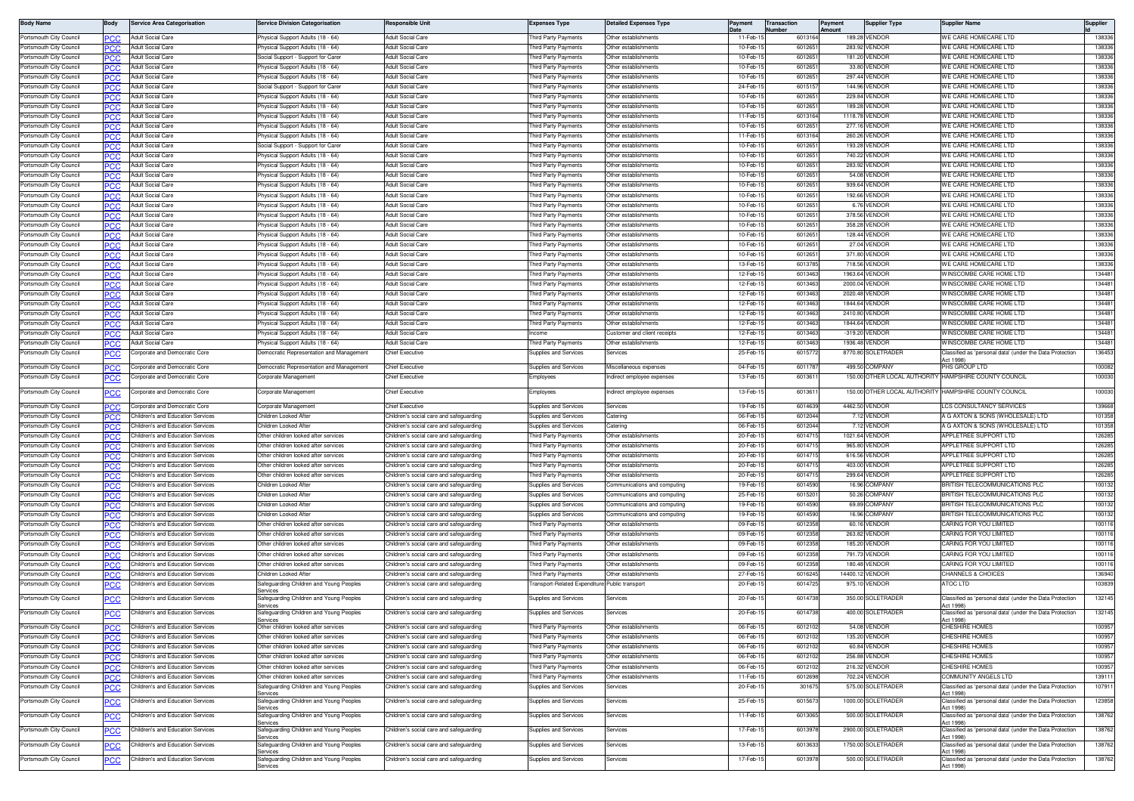| <b>Body Name</b>        |            | <b>Service Area Categorisation</b> | Service Division Categorisation                    | Responsible Unit                                                                   | Expenses Type                                | <b>Detailed Expenses Type</b>                                | Paymen                 | Transaction | Payment<br>Amount | <b>Supplier Type</b>         | Supplier Nam                                                          | Supplier |
|-------------------------|------------|------------------------------------|----------------------------------------------------|------------------------------------------------------------------------------------|----------------------------------------------|--------------------------------------------------------------|------------------------|-------------|-------------------|------------------------------|-----------------------------------------------------------------------|----------|
| Portsmouth City Counci  | PCC.       | Adult Social Care                  | hysical Support Adults (18 - 64)                   | <b>Adult Social Care</b>                                                           | hird Party Payments                          | Other establishments                                         | 11-Feb-1               | 6013164     |                   | 189.28 VENDOR                | WE CARE HOMECARE LTD                                                  | 138336   |
| Portsmouth City Council | PCC        | <b>Adult Social Care</b>           | hysical Support Adults (18 - 64                    | Adult Social Care                                                                  | hird Party Payments                          | )ther establishments                                         | 10-Feb-1               | 60126       | 283.9             | <b>ENDOF</b>                 | WE CARE HOMECARE LTD                                                  | 138336   |
| Portsmouth City Council | PCC        | Adult Social Care                  | iocial Support - Support for Carer                 | Adult Social Care                                                                  | hird Party Payments                          | Other establishments                                         | 10-Feb-1               | 601265      |                   | 181.20 VENDOR                | WE CARE HOMECARE LTD                                                  | 138336   |
| Portsmouth City Council | -60        | Adult Social Care                  | hysical Support Adults (18 - 64)                   | <b>Adult Social Care</b>                                                           | hird Party Payments                          | Other establishments                                         | 10-Feb-1               | 601265      |                   | 33.80 VENDOR                 | WE CARE HOMECARE LTD                                                  | 138336   |
| Portsmouth City Council | PCC        | Adult Social Care                  | 'hysical Support Adults (18 - 64)                  | Adult Social Care                                                                  | hird Party Payments                          | Other establishments                                         | 10-Feb-1               | 601265      |                   | 297.44 VENDOR                | WE CARE HOMECARE LTD                                                  | 138336   |
| Portsmouth City Council |            | Adult Social Care                  | Social Support - Support for Carer                 | <b>Adult Social Care</b>                                                           | hird Party Payments                          | Other establishments                                         | 24-Feb-1               | 601515      |                   | 144.96 VENDOR                | WE CARE HOMECARE LTD                                                  | 138336   |
| Portsmouth City Council | ∍сс        | <b>Adult Social Care</b>           | hysical Support Adults (18 - 64)                   | Adult Social Care                                                                  | hird Party Payments                          | Other establishments                                         | 10-Feb-1               | 601265      |                   | 229.84 VENDOR                | WE CARE HOMECARE LTD                                                  | 138336   |
| Portsmouth City Council |            | Adult Social Care                  | hysical Support Adults (18 - 64)                   | <b>Adult Social Care</b>                                                           | hird Party Payments                          | Other establishments                                         | 10-Feb-                | 601265      | 189.28            | <b>/ENDOR</b>                | WE CARE HOMECARE LTD                                                  | 138336   |
| Portsmouth City Council | PСC        | Adult Social Care                  | hysical Support Adults (18 - 64)                   | Adult Social Care                                                                  | hird Party Payments                          | ther establishments                                          | 11-Feb-                | 601316      | 1118.78           | VENDOR                       | WE CARE HOMECARE LTD                                                  | 138336   |
| Portsmouth City Council | <b>PCC</b> | Adult Social Care                  | hysical Support Adults (18 - 64                    | <b>Adult Social Care</b>                                                           | hird Party Payments                          | Other establishments                                         | 10-Feb-1               | 601265      |                   | 277.16 VENDOR                | WE CARE HOMECARE LTD                                                  | 138336   |
| Portsmouth City Council | PCC        | Adult Social Care                  | hysical Support Adults (18 - 64)                   | <b>Adult Social Care</b>                                                           | hird Party Payments                          | Other establishments                                         | 11-Feb-1               | 6013164     |                   | 260.26 VENDOR                | WE CARE HOMECARE LTD                                                  | 138336   |
| Portsmouth City Council | PCC        | <b>Adult Social Care</b>           | iocial Support - Support for Carer                 | Adult Social Care                                                                  | hird Party Payments                          | Other establishments                                         | 10-Feb-1               | 601265      |                   | 193.28 VENDOR                | WE CARE HOMECARE LTD                                                  | 138336   |
| Portsmouth City Council |            | Adult Social Care                  | hysical Support Adults (18 - 64)                   | <b>Adult Social Care</b>                                                           | hird Party Payments                          | Other establishments                                         | 10-Feb-1               | 601265      |                   | 740.22 VENDOR                | WE CARE HOMECARE LTD                                                  | 138336   |
| Portsmouth City Council | PCC        | Adult Social Care                  | hysical Support Adults (18 - 64)                   | Adult Social Care                                                                  | hird Party Payments                          | Other establishments                                         | 10-Feb-1               | 601265      |                   | 283.92 VENDOR                | WE CARE HOMECARE LTD                                                  | 138336   |
| Portsmouth City Council | PСC        | Adult Social Care                  | 'hysical Support Adults (18 - 64)                  | Adult Social Care                                                                  | hird Party Payments                          | Other establishments                                         | 10-Feb-1               | 601265      |                   | 54.08 VENDOR                 | WE CARE HOMECARE LTD                                                  | 138336   |
| Portsmouth City Council |            | Adult Social Care                  | hysical Support Adults (18 - 64)                   | <b>Adult Social Care</b>                                                           | hird Party Payments                          | Other establishments                                         | 10-Feb-1               | 601265      |                   | 939.64 VENDOR                | WE CARE HOMECARE LTD                                                  | 138336   |
| Portsmouth City Council | ∍сс        | Adult Social Care                  | hysical Support Adults (18 - 64)                   | <b>Adult Social Care</b>                                                           | hird Party Payments                          | Other establishments                                         | 10-Feb-                | 601265      | 192.66            | VENDOR                       | WE CARE HOMECARE LTD                                                  | 138336   |
| Portsmouth City Council |            | Adult Social Care                  | hysical Support Adults (18 - 64)                   | Adult Social Care                                                                  | hird Party Payments                          | ther establishments                                          | 10-Feb-1               | 601265      |                   | 6.76 VENDOF                  | WE CARE HOMECARE LTD                                                  | 138336   |
|                         | PCC        |                                    |                                                    |                                                                                    |                                              |                                                              |                        |             |                   | 378.56 VENDOR                |                                                                       |          |
| Portsmouth City Council | PCC.       | Adult Social Care                  | hysical Support Adults (18 - 64)                   | Adult Social Care                                                                  | hird Party Payments                          | Other establishments                                         | 10-Feb-1<br>$10-Feb-1$ | 601265      |                   |                              | WE CARE HOMECARE LTD<br>WE CARE HOMECARE LTD                          | 138336   |
| Portsmouth City Council | PСC        | <b>Adult Social Care</b>           | hysical Support Adults (18 - 64)                   | Adult Social Care                                                                  | hird Party Payments                          | Other establishments                                         |                        | 601265      |                   | 358.28 VENDOR                |                                                                       | 138336   |
| Portsmouth City Council | PCC        | <b>Adult Social Care</b>           | 'hysical Support Adults (18 - 64)                  | Adult Social Care                                                                  | hird Party Payments                          | Other establishments                                         | 10-Feb-                | 601265      |                   | 128.44 VENDOR                | WE CARE HOMECARE LTD                                                  | 138336   |
| Portsmouth City Council |            | <b>Adult Social Care</b>           | hysical Support Adults (18 - 64)                   | <b>Adult Social Care</b>                                                           | hird Party Payments                          | Other establishments                                         | 10-Feb-                | 601265      |                   | 27.04 VENDOR                 | WE CARE HOMECARE LTD                                                  | 138336   |
| Portsmouth City Council | ∍сс        | Adult Social Care                  | hysical Support Adults (18 - 64)                   | <b>Adult Social Care</b>                                                           | hird Party Payments                          | Other establishments                                         | 10-Feb-1               | 601265      |                   | 371.80 VENDOR                | WE CARE HOMECARE LTD                                                  | 138336   |
| Portsmouth City Council |            | <b>Adult Social Care</b>           | hysical Support Adults (18 - 64)                   | Adult Social Care                                                                  | hird Party Payments                          | Other establishments                                         | 13-Feb-                | 601378      |                   | 718.56 VENDOR                | WE CARE HOMECARE LTD                                                  | 138336   |
| Portsmouth City Council | ∍сс        | Adult Social Care                  | hysical Support Adults (18 - 64)                   | <b>Adult Social Care</b>                                                           | hird Party Payments                          | Other establishments                                         | 12-Feb-1               | 601346      |                   | 1963.64 VENDOR               | <b><i>NINSCOMBE CARE HOME LTD</i></b>                                 | 134481   |
| Portsmouth City Council | PCC        | Adult Social Care                  | hysical Support Adults (18 - 64)                   | Adult Social Care                                                                  | hird Party Payments                          | Other establishments                                         | 12-Feb-1               | 601346      | 2000.04           | VENDOR                       | WINSCOMBE CARE HOME LTD                                               | 134481   |
| Portsmouth City Council | PCC        | Adult Social Care                  | hysical Support Adults (18 - 64                    | Adult Social Care                                                                  | hird Party Payments                          | )ther establishments                                         | 12-Feb-1               | 601346      | 2020.48           | VENDOF                       | WINSCOMBE CARE HOME LTD                                               | 134481   |
| Portsmouth City Council | <b>PCC</b> | Adult Social Care                  | hysical Support Adults (18 - 64)                   | <b>Adult Social Care</b>                                                           | hird Party Payments                          | Other establishments                                         | 12-Feb-1               | 6013463     |                   | 1844.64 VENDOR               | WINSCOMBE CARE HOME LTD                                               | 134481   |
| Portsmouth City Council | PСC        | <b>Adult Social Care</b>           | hysical Support Adults (18 - 64)                   | Adult Social Care                                                                  | hird Party Payments                          | Other establishments                                         | 12-Feb-1               | 601346      |                   | 2410.80 VENDOF               | WINSCOMBE CARE HOME LTD                                               | 134481   |
| Portsmouth City Council | PCC        | Adult Social Care                  | 'hysical Support Adults (18 - 64)                  | Adult Social Care                                                                  | hird Party Payments                          | Other establishments                                         | 12-Feb-1               | 601346      |                   | 1844.64 VENDOR               | WINSCOMBE CARE HOME LTD                                               | 134481   |
| Portsmouth City Council |            | <b>Adult Social Care</b>           | hysical Support Adults (18 - 64)                   | <b>Adult Social Care</b>                                                           | <b>come</b>                                  | ustomer and client receipts                                  | 12-Feb-                | 601346      |                   | -319.20 VENDOR               | WINSCOMBE CARE HOME LTD                                               | 134481   |
| Portsmouth City Council | PCC        | Adult Social Care                  | hysical Support Adults (18 - 64)                   | Adult Social Care                                                                  | hird Party Payments                          | Other establishments                                         | 12-Feb-1               | 6013463     |                   | 1936.48 VENDOR               | WINSCOMBE CARE HOME LTD                                               | 134481   |
| Portsmouth City Council | <u>PCC</u> | orporate and Democratic Core       | emocratic Representation and Management            | Chief Executive                                                                    | upplies and Services                         | Services                                                     | 25-Feb-1               | 6015772     |                   | 8770.80 SOLETRADEF           | Classified as 'personal data' (under the Data Protection              | 136453   |
|                         |            |                                    |                                                    |                                                                                    |                                              |                                                              |                        |             |                   |                              | Act 1998                                                              |          |
| Portsmouth City Council | PCC        | Corporate and Democratic Core      | emocratic Representation and Management            | Chief Executive                                                                    | upplies and Services                         | fiscellaneous expenses                                       | 04-Feb-1               | 601178      |                   | 499.50 COMPANY               | <b>PHS GROUP I TD</b>                                                 | 100082   |
| Portsmouth City Council | <u>PCC</u> | orporate and Democratic Core       | orporate Managemen'                                | Chief Executive                                                                    | mployees                                     | ndirect employee expenses                                    | 13-Feb-1               | 601361      |                   |                              | 150.00 OTHER LOCAL AUTHORITY HAMPSHIRE COUNTY COUNCIL                 | 100030   |
| Portsmouth City Council |            | orporate and Democratic Core       | Corporate Management                               | Chief Executive                                                                    | mployees                                     | ndirect employee expenses                                    | 13-Feb-1               | 601361      |                   | 150.00 OTHER LOCAL AUTHORITY | HAMPSHIRE COUNTY COUNCIL                                              | 100030   |
|                         | <u>PCC</u> |                                    |                                                    |                                                                                    |                                              |                                                              |                        |             |                   |                              |                                                                       |          |
| Portsmouth City Council | PCC        | Corporate and Democratic Core      | Corporate Management                               | Chief Executive                                                                    | Supplies and Services                        | Services                                                     | 19-Feb-1               | 601463      |                   | 4462.50 VENDOF               | <b>LCS CONSULTANCY SERVICES</b>                                       | 139668   |
| Portsmouth City Council | PCC        | Children's and Education Services  | Children Looked Afte                               | Children's social care and safeguarding                                            | upplies and Services                         | atering                                                      | 06-Feb-                | 601204      |                   | 7.12 VENDOR                  | A G AXTON & SONS (WHOLESALE) LTD                                      | 101358   |
| Portsmouth City Council |            | Children's and Education Services  | Children Looked Afte                               | Children's social care and safeguarding                                            | upplies and Services                         | atering                                                      | 06-Feb-1               | 6012044     |                   | 7.12 VENDOR                  | A G AXTON & SONS (WHOLESALE) LTD                                      | 101358   |
| Portsmouth City Council | ∍сс        | Children's and Education Services  | Other children looked after services               | Children's social care and safeguarding                                            | hird Party Payments                          | Other establishments                                         | 20-Feb-1               | 601471      |                   | 1021.64 VENDOR               | APPLETREE SUPPORT LTD                                                 | 126285   |
| Portsmouth City Council |            | Children's and Education Services  | Other children looked after services               | Children's social care and safeguarding                                            | hird Party Payments                          | Other establishments                                         | 20-Feb-                | 60147       | 965.80            | /ENDOR                       | APPLETREE SUPPORT LTD                                                 | 126285   |
| Portsmouth City Council | PCC        | Children's and Education Services  | ther children looked after services                | Children's social care and safeguarding                                            | hird Party Payments                          | Other establishments                                         | 20-Feb-                | 601471      |                   | 616.56 VENDOR                | <b>APPLETREE SUPPORT LTD</b>                                          | 126285   |
| Portsmouth City Council | PCC        | hildren's and Education Services   | Other children looked after services               | Children's social care and safeguarding                                            | hird Party Payments                          | Other establishments                                         | 20-Feb-1               | 601471      |                   | 403.00 VENDOR                | APPLETREE SUPPORT LTD                                                 | 126285   |
| Portsmouth City Council | ∍сс        | Children's and Education Services  | Other children looked after services               | Children's social care and safeguarding                                            | hird Party Payments                          | )ther establishments                                         | 20-Feb-1               | 601471      |                   | 299.64 VENDOR                | APPLETREE SUPPORT LTD                                                 | 126285   |
| Portsmouth City Council | PCC.       | Children's and Education Services  | Children Looked Afte                               | Children's social care and safeguarding                                            | Supplies and Services                        | Communications and computing                                 | 19-Feb-1               | 601459      |                   | 16.96 COMPANY                | BRITISH TELECOMMUNICATIONS PLC                                        | 100132   |
| Portsmouth City Council |            | Children's and Education Services  | Children Looked Afte                               |                                                                                    |                                              |                                                              | 25-Feb-                | 601520      |                   | 50.26 COMPANY                | BRITISH TELECOMMUNICATIONS PLC                                        | 100132   |
| Portsmouth City Council | ∍сс        | Children's and Education Services  | hildren Looked After                               | Children's social care and safeguarding<br>Children's social care and safeguarding | upplies and Services<br>upplies and Services | Communications and computing<br>Communications and computing | 19-Feb-1               | 601459      |                   | 69.89 COMPANY                | <b>BRITISH TELECOMMUNICATIONS PLC</b>                                 | 100132   |
|                         | ∍сс        |                                    |                                                    |                                                                                    |                                              |                                                              |                        |             |                   |                              |                                                                       |          |
| Portsmouth City Council | ٥С         | hildren's and Education Services   | Children Looked Afte                               | Children's social care and safeguarding                                            | upplies and Services                         | Communications and computing                                 | 19-Feb-1               | 6014590     |                   | 16.96 COMPANY                | BRITISH TELECOMMUNICATIONS PLC                                        | 100132   |
| Portsmouth City Council | ∍сс        | hildren's and Education Services   | Other children looked after services               | Children's social care and safeguarding                                            | hird Party Payments                          | Other establishments                                         | 09-Feb-                | 601235      |                   | 60.16 VENDOR                 | CARING FOR YOU LIMITED                                                | 100116   |
| Portsmouth City Council |            | Children's and Education Services  | Other children looked after services               | Children's social care and safeguarding                                            | hird Party Payments                          | Other establishments                                         | 09-Feb-                | 601235      |                   | 263.82 VENDOR                | CARING FOR YOU LIMITED                                                | 100116   |
| Portsmouth City Council |            | hildren's and Education Services   | ther children looked after services                | hildren's social care and safeguarding                                             | hird Party Payments                          | ther establishments                                          | 09-Feb-1               | 601235      | 185.20            | VENDOF                       | CARING FOR YOU LIMITED                                                | 100116   |
| Portsmouth City Council | PCC        | hildren's and Education Services   | ther children looked after services                | Children's social care and safeguarding                                            | hird Party Payments                          | Other establishments                                         | 09-Feb-1               | 601235      |                   | 791.73 VENDOR                | CARING FOR YOU LIMITED                                                | 100116   |
| Portsmouth City Council | PCC        | Children's and Education Services  | Other children looked after services               | Children's social care and safeguarding                                            | hird Party Payments                          | ther establishments                                          | 09-Feb-1               | 601235      |                   | 180.48 VENDOR                | CARING FOR YOU LIMITED                                                | 100116   |
| Portsmouth City Council | PCC        | Children's and Education Services  | Children Looked Afte                               | Children's social care and safeguarding                                            | hird Party Payments                          | Other establishments                                         | 27-Feb-                | 601624      |                   | 14400.12 VENDOR              | CHANNELS & CHOICES                                                    | 136940   |
| Portsmouth City Council | <u>PCC</u> | hildren's and Education Services   | afeguarding Children and Young Peoples             | Children's social care and safeguarding                                            | ransport-Related Expenditur                  | ublic transport <sup>,</sup>                                 | 20-Feb-                | 601472      |                   | 975.10 VENDOR                | ATOC LTD                                                              | 103839   |
| Portsmouth City Council |            | Children's and Education Services  | ervices<br>afeguarding Children and Young Peoples  | Children's social care and safeguarding                                            | Supplies and Services                        | iervices                                                     | 20-Feb-1               | 601473      |                   | 350.00 SOLETRADER            | Classified as 'personal data' (under the Data Protection              | 132145   |
|                         | <u>PCC</u> |                                    | ervices                                            |                                                                                    |                                              |                                                              |                        |             |                   |                              | ct 1998                                                               |          |
| Portsmouth City Council | <b>PCC</b> | Children's and Education Services  | afeguarding Children and Young Peoples             | Children's social care and safeguarding                                            | upplies and Services                         | ervices                                                      | 20-Feb-1               | 601473      |                   | 400.00 SOLETRADER            | Classified as 'personal data' (under the Data Protection              | 132145   |
|                         |            |                                    | anvices<br>Other children looked after services    |                                                                                    |                                              | Other establishments                                         |                        |             |                   |                              | Act 1998)<br><b>CHESHIRE HOMES</b>                                    | 100957   |
| Portsmouth City Council |            | Children's and Education Services  |                                                    | Children's social care and safeguarding                                            | Third Party Payments                         |                                                              | 06-Feb-1               | 6012102     |                   | 54.08 VENDOR                 |                                                                       |          |
| Portsmouth City Council | PCC        | Children's and Education Services  | ther children looked after services                | Children's social care and safeguarding                                            | hird Party Payments                          | Other establishments                                         | 06-Feb-1               | 6012102     |                   | 135.20 VENDOR                | CHESHIRE HOMES                                                        | 100957   |
| Portsmouth City Council | PCC.       | Children's and Education Services  | Other children looked after services               | Children's social care and safeguarding                                            | hird Party Payments                          | Other establishments                                         | 06-Feb-1               | 6012102     |                   | 60.84 VENDOR                 | CHESHIRE HOMES                                                        | 100957   |
| Portsmouth City Council | <b>PCC</b> | Children's and Education Services  | Other children looked after services               | Children's social care and safeguarding                                            | hird Party Payments                          | Other establishments                                         | 06-Feb-1               | 6012102     |                   | 256.88 VENDOR                | CHESHIRE HOMES                                                        | 100957   |
| Portsmouth City Council | <b>PCC</b> | Children's and Education Services  | Other children looked after services               | Children's social care and safeguarding                                            | hird Party Payments                          | Other establishments                                         | 06-Feb-1               | 6012102     |                   | 216.32 VENDOR                | CHESHIRE HOMES                                                        | 100957   |
| Portsmouth City Council | PСC        | Children's and Education Services  | Other children looked after services               | Children's social care and safeguarding                                            | hird Party Payments                          | Other establishments                                         | 11-Feb-1               | 6012698     |                   | 702.24 VENDOR                | COMMUNITY ANGELS LTD                                                  | 139111   |
| Portsmouth City Council | <u>PCC</u> | Children's and Education Services  | afeguarding Children and Young Peoples             | Children's social care and safeguarding                                            | upplies and Services                         | ervices                                                      | 20-Feb-1               | 30167       |                   | 575.00 SOLETRADER            | Classified as 'personal data' (under the Data Protection              | 107911   |
| Portsmouth City Council |            |                                    | Services                                           | Children's social care and safeguarding                                            |                                              |                                                              | 25-Feb-1               | 6015673     |                   | 1000.00 SOLETRADER           | Act 1998)<br>Classified as 'personal data' (under the Data Protection | 123858   |
|                         | <u>PCC</u> | Children's and Education Services  | Safeguarding Children and Young Peoples<br>ervices |                                                                                    | Supplies and Services                        | iervices                                                     |                        |             |                   |                              | Act 1998)                                                             |          |
| Portsmouth City Council | <u>PCC</u> | Children's and Education Services  | Safeguarding Children and Young Peoples            | Children's social care and safeguarding                                            | Supplies and Services                        | iervices                                                     | 11-Feb-1               | 6013065     |                   | 500.00 SOLETRADER            | Classified as 'personal data' (under the Data Protection              | 138762   |
|                         |            |                                    | ervices                                            |                                                                                    |                                              |                                                              |                        |             |                   |                              | Act 1998)                                                             |          |
| Portsmouth City Council | <u>PCC</u> | Children's and Education Services  | afeguarding Children and Young Peoples<br>ervices  | Children's social care and safeguarding                                            | upplies and Services                         | ervices                                                      | 17-Feb-1               | 6013978     |                   | 2900.00 SOLETRADER           | Classified as 'personal data' (under the Data Protection<br>Act 1998) | 138762   |
| Portsmouth City Council | <u>PCC</u> | Children's and Education Services  | Safeguarding Children and Young Peoples            | Children's social care and safeguarding                                            | Supplies and Services                        | ervices                                                      | 13-Feb-1               | 6013633     |                   | 1750.00 SOLETRADER           | Classified as 'personal data' (under the Data Protection              | 138762   |
|                         |            |                                    | ervices                                            |                                                                                    |                                              |                                                              |                        |             |                   |                              | Act 1998)                                                             |          |
| Portsmouth City Council | <u>PCC</u> | Children's and Education Services  | afeguarding Children and Young Peoples<br>iervices | Children's social care and safeguarding                                            | upplies and Services                         | ervices                                                      | 17-Feb-1               | 601397      |                   | 500.00 SOLETRADER            | Classified as 'personal data' (under the Data Protection<br>Act 1998) | 138762   |
|                         |            |                                    |                                                    |                                                                                    |                                              |                                                              |                        |             |                   |                              |                                                                       |          |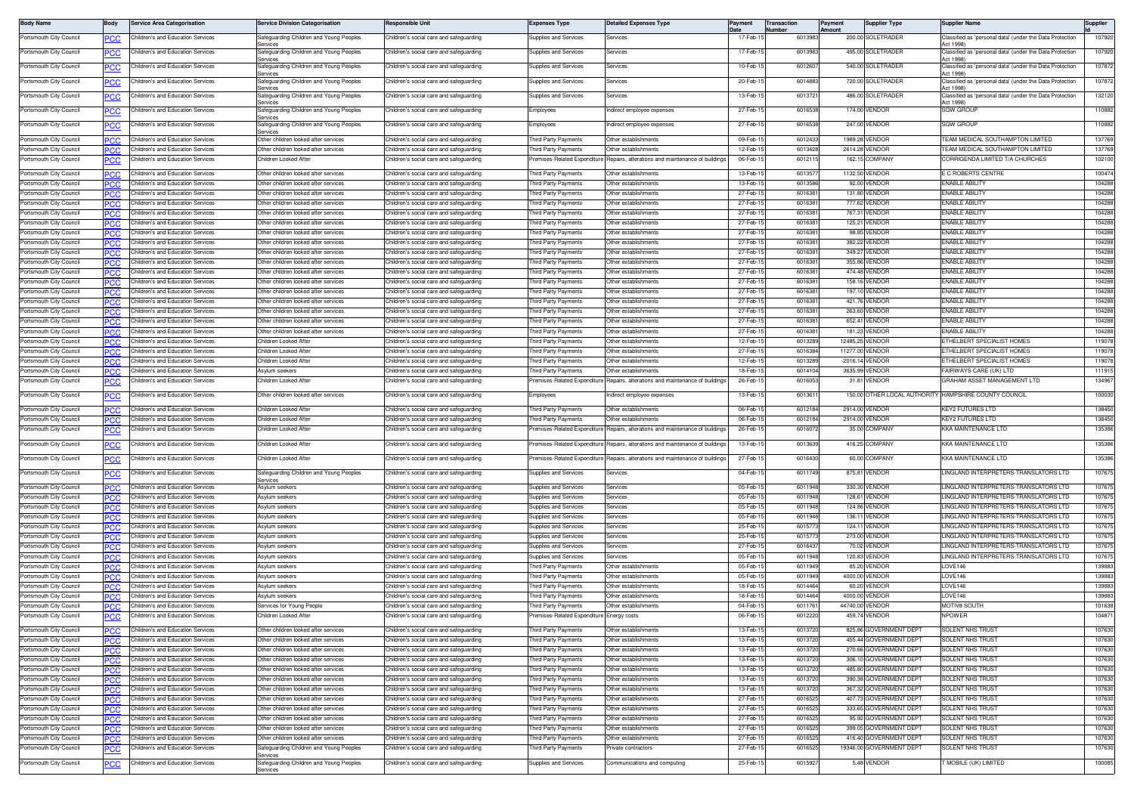| <b>Body Name</b>                                   | <b>Body</b>       | Service Area Categorisation                                            | <b>Service Division Categorisation</b>                                          | Responsible Unit                                                                   | xpenses Type                                       | <b>Detailed Expenses Type</b>                                             | Payment              | ransaction<br>lumber | Payment<br><b>Amount</b> | <b>Supplier Type</b>                               | Supplier Name                                                                | Supplier         |
|----------------------------------------------------|-------------------|------------------------------------------------------------------------|---------------------------------------------------------------------------------|------------------------------------------------------------------------------------|----------------------------------------------------|---------------------------------------------------------------------------|----------------------|----------------------|--------------------------|----------------------------------------------------|------------------------------------------------------------------------------|------------------|
| Portsmouth City Council                            |                   | Children's and Education Services                                      | Safeguarding Children and Young Peoples                                         | Children's social care and safeguarding                                            | <b>Supplies and Services</b>                       | Services                                                                  | 17-Feb-1             | 6013983              |                          | 200.00 SOLETRADER                                  | Classified as 'personal data' (under the Data Protection                     | 107920           |
| Portsmouth City Council                            | <u>PCC</u>        | Children's and Education Services                                      | ervices<br>Safeguarding Children and Young Peoples                              | Children's social care and safequarding                                            | Supplies and Services                              | Services                                                                  | 17-Feb-1             | 601398               |                          | 495.00 SOLETRADER                                  | ct 1998)<br>Classified as 'personal data' (under the Data Protection         | 107920           |
| Portsmouth City Council                            |                   | Children's and Education Services                                      | anvices<br>Safeguarding Children and Young Peoples                              | hildren's social care and safeguarding                                             | upplies and Services                               | ervices                                                                   | 10-Feb-1             | 601260               |                          | 540.00 SOLETRADER                                  | ct 1998)<br>lassified as 'personal data' (under the Data Protection          | 107872           |
|                                                    |                   |                                                                        | ervices                                                                         |                                                                                    |                                                    |                                                                           |                      |                      |                          |                                                    | Act 1998)                                                                    |                  |
| Portsmouth City Council                            | ٥с                | Children's and Education Services                                      | Safeguarding Children and Young Peoples<br>ervices                              | Children's social care and safeguarding                                            | upplies and Services                               | Services                                                                  | 20-Feb-1             | 6014883              |                          | 720.00 SOLETRADER                                  | Classified as 'personal data' (under the Data Protection<br>ct 1998)         | 107872           |
| Portsmouth City Council                            | <b>PCC</b>        | Children's and Education Services                                      | Safeguarding Children and Young Peoples                                         | Children's social care and safequarding                                            | Supplies and Services                              | Services                                                                  | 13-Feb-1             | 601372               |                          | 486.00 SOLETRADER                                  | Classified as 'personal data' (under the Data Protection                     | 132120           |
| Portsmouth City Council                            | <b>PCC</b>        | Children's and Education Services                                      | ervices<br>Safeguarding Children and Young Peoples                              | Children's social care and safequarding                                            | :mployees                                          | Indirect employee expenses                                                | 27-Feb-1             | 6016538              |                          | 174.00 VENDOR                                      | Act 1998)<br><b>SQW GROUF</b>                                                | 110882           |
|                                                    |                   | Children's and Education Services                                      | iervices                                                                        | Children's social care and safequarding                                            |                                                    |                                                                           | 27-Feb-1             | 601653               |                          | 247.00 VENDOR                                      | SQW GROUP                                                                    | 110882           |
| Portsmouth City Council                            | PCC               |                                                                        | Safeguarding Children and Young Peoples<br>anvices                              |                                                                                    | :mployees                                          | Indirect employee expenses                                                |                      |                      |                          |                                                    |                                                                              |                  |
| Portsmouth City Council                            |                   | Children's and Education Services                                      | Other children looked after services                                            | hildren's social care and safeguarding                                             | hird Party Payments                                | Other establishments                                                      | 09-Feb-1             | 601243               |                          | 1989.28 VENDOR                                     | EAM MEDICAL SOUTHAMPTON LIMITED                                              | 137769           |
| Portsmouth City Council<br>Portsmouth City Council | <b>PCC</b>        | Children's and Education Services<br>Children's and Education Services | Other children looked after services<br>Children Looked After                   | Children's social care and safeguarding<br>Children's social care and safequarding | hird Party Payments<br>remises-Related Expenditure | Other establishments<br>Repairs, alterations and maintenance of buildings | 12-Feb-<br>06-Feb-1  | 6013428<br>6012115   |                          | 2614.28 VENDOR<br>162.15 COMPANY                   | EAM MEDICAL SOUTHAMPTON LIMITED<br>CORRIGENDA LIMITED T/A CHURCHES           | 137769<br>102100 |
|                                                    |                   |                                                                        |                                                                                 |                                                                                    |                                                    |                                                                           |                      |                      |                          |                                                    |                                                                              |                  |
| Portsmouth City Council<br>Portsmouth City Council | PCC               | Children's and Education Services<br>Children's and Education Services | Other children looked after services<br>Other children looked after services    | Children's social care and safeguarding                                            | hird Party Payments<br>hird Party Payments         | Other establishments<br>Other establishments                              | 13-Feb-1<br>13-Feb-1 | 601357<br>601358     |                          | 1132.50 VENDOR<br>92.00 VENDOR                     | E C ROBERTS CENTRE<br>NABLE ABILITY                                          | 100474<br>104288 |
| Portsmouth City Council                            | ማርር<br><b>PCC</b> | Children's and Education Services                                      | Other children looked after services                                            | hildren's social care and safeguarding:<br>Children's social care and safeguarding | hird Party Payments                                | Other establishments                                                      | 27-Feb-1             | 601638               |                          | 131.80 VENDOR                                      | <b>NABLE ABILITY</b>                                                         | 104288           |
| Portsmouth City Council                            |                   | Children's and Education Services                                      | Other children looked after services                                            | Children's social care and safequarding                                            | hird Party Payments                                | Other establishments                                                      | 27-Feb-              | 601638               |                          | 777.62 VENDOR                                      | <b>NABLE ABILITY</b>                                                         | 104288           |
| Portsmouth City Council                            | PCC               | Children's and Education Services                                      | Other children looked after services                                            | Children's social care and safeguarding                                            | hird Party Payments                                | Other establishments                                                      | 27-Feb-1             | 6016381              |                          | 767.31 VENDOR                                      | <b>NABLE ABILITY</b>                                                         | 104288           |
| Portsmouth City Council                            |                   | Children's and Education Services                                      | Other children looked after services                                            | Children's social care and safequarding                                            | hird Party Payments                                | Other establishments                                                      | 27-Feb-1             | 6016381              |                          | 125.21 VENDOR                                      | <b>NABLE ABILITY</b>                                                         | 104288           |
| Portsmouth City Council                            | PCC               | Children's and Education Services                                      | Other children looked after services                                            | Children's social care and safeguarding                                            | hird Party Payments                                | Other establishments                                                      | 27-Feb-1             | 601638               |                          | 98.85 VENDOR                                       | NABLE ABILITY                                                                | 104288           |
| Portsmouth City Council<br>Portsmouth City Council | <b>CC</b>         | Children's and Education Services<br>hildren's and Education Services  | Other children looked after services<br>Other children looked after services    | Children's social care and safeguarding<br>hildren's social care and safequarding  | hird Party Payments<br>hird Party Payments         | Other establishments<br>Other establishments                              | 27-Feb-<br>27-Feb-   | 601638<br>601638     |                          | 382.22 VENDOR<br>349.27 VENDOF                     | <b>NABLE ABILITY</b><br>NABLE ABILITY                                        | 104288<br>104288 |
| Portsmouth City Council                            | <b>PCC</b>        | Children's and Education Services                                      | Other children looked after services                                            | Children's social care and safequarding                                            | hird Party Payments                                | Other establishments                                                      | 27-Feb-1             | 6016381              |                          | 355.86 VENDOR                                      | <b>ENABLE ABILITY</b>                                                        | 104288           |
| Portsmouth City Council                            |                   | Children's and Education Services                                      | Other children looked after services                                            | hildren's social care and safeguarding:                                            | hird Party Payments                                | Other establishments                                                      | 27-Feb-1             | 601638               |                          | 474.48 VENDOR                                      | <b>NABLE ABILITY</b>                                                         | 104288           |
| Portsmouth City Council                            | IPCC              | Children's and Education Services                                      | Other children looked after services                                            | Children's social care and safeguarding                                            | hird Party Payments                                | Other establishments                                                      | 27-Feb-1             | 601638               |                          | 158.16 VENDOR                                      | <b>NABLE ABILITY</b>                                                         | 104288           |
| Portsmouth City Council                            |                   | Children's and Education Services                                      | Ther children looked after services                                             | Children's social care and safeguarding                                            | hird Party Payments                                | Other establishments                                                      | 27-Feb-              | 6016381              |                          | 197.10 VENDOR                                      | <b>NABLE ABILITY</b>                                                         | 104288           |
| Portsmouth City Council                            | PCC               | Children's and Education Services                                      | Other children looked after services                                            | Children's social care and safeguarding                                            | hird Party Payments                                | Other establishments                                                      | 27-Feb-1             | 6016381              |                          | 421.76 VENDOR                                      | <b>NABLE ABILITY</b>                                                         | 104288           |
| Portsmouth City Council                            | °СС               | Children's and Education Services                                      | Other children looked after services                                            | hildren's social care and safequarding                                             | hird Party Payments                                | Other establishments                                                      | 27-Feb-              | 601638               |                          | 263.60 VENDOR<br>652.41 VENDOR                     | <b>NABLE ABILITY</b><br>NABLE ABILITY                                        | 104288<br>104288 |
| Portsmouth City Council<br>Portsmouth City Council | PCC<br>PCC.       | Children's and Education Services<br>Children's and Education Services | Other children looked after services<br>Other children looked after services    | Children's social care and safequarding<br>hildren's social care and safequarding  | aird Party Payments<br>hird Party Payments         | Other establishments<br>Other establishments                              | 27-Feb-1<br>27-Feb-  | 6016381<br>601638    |                          | 181.23 VENDOR                                      | <b>ENABLE ABILITY</b>                                                        | 104288           |
| Portsmouth City Council                            | ንር ጋር             | Children's and Education Services                                      | Children Looked After                                                           | hildren's social care and safeguarding                                             | hird Party Payments                                | Other establishments                                                      | 12-Feb-              | 601328               |                          | 12485.25 VENDOR                                    | THELBERT SPECIALIST HOMES                                                    | 119078           |
| Portsmouth City Council                            | <b>PCC</b>        | Children's and Education Services                                      | Children Looked After                                                           | Children's social care and safeguarding                                            | hird Party Payments                                | Other establishments                                                      | 27-Feb-1             | 601638               |                          | 11277.00 VENDOR                                    | THELBERT SPECIALIST HOMES                                                    | 119078           |
| Portsmouth City Council                            | PCC               | Children's and Education Services                                      | Children Looked Afte                                                            | Children's social care and safeguarding                                            | hird Party Payments                                | Other establishments                                                      | 12-Feb-1             | 601328               |                          | -2016.14 VENDOF                                    | THELBERT SPECIALIST HOMES                                                    | 119078           |
| Portsmouth City Council                            | <b>PCC</b>        | Children's and Education Services                                      | Asvlum seekers                                                                  | Children's social care and safeguarding                                            | hird Party Payments                                | Other establishments                                                      | 18-Feb-1             | 6014104              |                          | 3635.99 VENDOR                                     | AIRWAYS CARE (UK) LTD                                                        | 111915           |
| Portsmouth City Council                            | сc                | Children's and Education Services                                      | Children Looked After                                                           | Children's social care and safeguarding                                            | remises-Related Expenditure                        | Repairs, alterations and maintenance of buildings                         | 26-Feb-1             | 6016053              |                          | 31.81 VENDOR                                       | GRAHAM ASSET MANAGEMENT LTD                                                  | 134967           |
| Portsmouth City Council                            | <u>PCC</u>        | Children's and Education Services                                      | Other children looked after services                                            | Children's social care and safequarding                                            | :mployees                                          | ndirect employee expenses                                                 | 13-Feb-1             | 601361               |                          |                                                    | 150.00 OTHER LOCAL AUTHORITY HAMPSHIRE COUNTY COUNCIL                        | 100030           |
| Portsmouth City Council                            | PCC               | Children's and Education Services                                      | Children Looked After                                                           | Children's social care and safequarding                                            | hird Party Payments                                | Other establishments                                                      | 06-Feb-1             | 6012184              |                          | 2914.00 VENDOR                                     | <b>KEY2 FUTURES LTD</b>                                                      | 138450           |
| Portsmouth City Council                            | <b>PCC</b>        | Children's and Education Services                                      | Children Looked After                                                           | Children's social care and safeguarding                                            | hird Party Payments                                | Other establishments                                                      | 06-Feb-              | 601218               |                          | 2914.00 VENDOR                                     | <b>KEY2 FUTURES LTD</b>                                                      | 138450           |
| Portsmouth City Council                            |                   | Children's and Education Services                                      | Children Looked After                                                           | Children's social care and safeguarding                                            | remises-Related Expenditure                        | Repairs, alterations and maintenance of building:                         | 26-Feb-1             | 601607               |                          | 35.00 COMPANY                                      | KKA MAINTENANCE LTD                                                          | 135386           |
| Portsmouth City Council                            | <u>PCC</u>        | Children's and Education Services                                      | Children Looked After                                                           | Children's social care and safequarding                                            | remises-Related Expenditure                        | Repairs, alterations and maintenance of building:                         | 13-Feb-1             | 601363               |                          | 416.25 COMPANY                                     | <b>KKA MAINTENANCE LTD</b>                                                   | 135386           |
| Portsmouth City Council                            | <u>PCC</u>        | Children's and Education Services                                      | Children Looked After                                                           | Children's social care and safeguarding                                            | emises-Related Expenditure                         | Repairs, alterations and maintenance of buildings                         | 27-Feb-1             | 6016430              |                          | 60.00 COMPANY                                      | KKA MAINTENANCE LTD                                                          | 135386           |
|                                                    |                   |                                                                        |                                                                                 |                                                                                    |                                                    |                                                                           |                      |                      |                          |                                                    |                                                                              |                  |
| Portsmouth City Council                            | PСC               | Children's and Education Services                                      | Safeguarding Children and Young Peoples<br>ervices                              | Children's social care and safeguarding                                            | Supplies and Services                              | Services                                                                  | 04-Feb-1             | 6011749              |                          | 875.81 VENDOR                                      | INGLAND INTERPRETERS-TRANSLATORS LTD                                         | 107675           |
| Portsmouth City Council                            | PCC               | Children's and Education Services                                      | Asvlum seekers                                                                  | Children's social care and safeguarding                                            | <b>Supplies and Services</b>                       | Services                                                                  | 05-Feb-1             | 6011948              |                          | 330.30 VENDOR                                      | INGLAND INTERPRETERS-TRANSLATORS LTD                                         | 107675           |
| Portsmouth City Council                            | °СС               | Children's and Education Services                                      | Asylum seekers                                                                  | Children's social care and safeguarding                                            | upplies and Services                               | Services                                                                  | 05-Feb-              | 601194               |                          | 128.61 VENDOR                                      | INGLAND INTERPRETERS-TRANSLATORS LTD                                         | 107675           |
| Portsmouth City Council<br>Portsmouth City Council | PCC<br>PCC.       | Children's and Education Services<br>Children's and Education Services | Asylum seekers<br>Asylum seekers                                                | Children's social care and safeguarding<br>Children's social care and safequarding | upplies and Services<br>upplies and Services       | Services<br>Services                                                      | 05-Feb-1<br>05-Feb-1 | 6011948<br>6011948   |                          | 124.86 VENDOR<br>136.11 VENDOR                     | INGLAND INTERPRETERS-TRANSLATORS LTD<br>INGLAND INTERPRETERS-TRANSLATORS LTD | 107675<br>107675 |
| Portsmouth City Council                            | PCC               | Children's and Education Services                                      | Asylum seekers                                                                  | hildren's social care and safeguarding                                             | upplies and Services                               | iervices                                                                  | 25-Feb-              | 601577               |                          | 124.11 VENDOR                                      | INGLAND INTERPRETERS-TRANSLATORS LTD.                                        | 107675           |
| Portsmouth City Council                            | <b>PCC</b>        | Children's and Education Services                                      | Asylum seekers                                                                  | Children's social care and safeguarding                                            | upplies and Services                               | Services                                                                  | 25-Feb-              | 601577               |                          | 273.00 VENDOR                                      | INGLAND INTERPRETERS-TRANSLATORS LTD                                         | 107675           |
| Portsmouth City Council                            | PCC               | Children's and Education Services                                      | Asylum seekers                                                                  | Children's social care and safeguarding                                            | Supplies and Services                              | Services                                                                  | 27-Feb-1             | 6016437              |                          | 70.02 VENDOR                                       | INGLAND INTERPRETERS-TRANSLATORS LTD.                                        | 107675           |
| Portsmouth City Council                            | <b>PCC</b>        | Children's and Education Services                                      | Asvlum seekers                                                                  | Children's social care and safeguarding                                            | Supplies and Services                              | Services                                                                  | 05-Feb-1             | 6011948              |                          | 120.83 VENDOR                                      | INGLAND INTERPRETERS-TRANSLATORS LTD                                         | 107675           |
| Portsmouth City Council<br>Portsmouth City Council |                   | Children's and Education Services<br>Children's and Education Services | Asvlum seekers                                                                  | Children's social care and safeguarding<br>Children's social care and safeguarding | <b>hird Party Payments</b>                         | Other establishments<br>Other establishments                              | 05-Feb-1<br>05-Feb-1 | 6011949<br>6011949   |                          | 85.20 VENDOR<br>4000.00 VENDOR                     | LOVE146<br>LOVE146                                                           | 139883<br>139883 |
| Portsmouth City Council                            | PCC<br>PCC        | Children's and Education Services                                      | Asvlum seekers<br>Asylum seekers                                                | Children's social care and safequarding                                            | hird Party Payments<br>hird Party Payments         | Other establishments                                                      | 18-Feb-              | 6014464              |                          | 60.20 VENDOR                                       | OVE146                                                                       | 139883           |
| Portsmouth City Council                            |                   | Children's and Education Services                                      | Asylum seekers                                                                  | Children's social care and safeguarding                                            | hird Party Payments                                | Other establishments                                                      | 18-Feb-1             | 6014464              |                          | 4000.00 VENDOR                                     | OVE146                                                                       | 139883           |
| Portsmouth City Council                            | PCC.              | Children's and Education Services                                      | Services for Young People                                                       | Children's social care and safequarding                                            | hird Party Payments                                | Other establishments                                                      | 04-Feb-              | 601176               |                          | 44740.00 VENDOR                                    | MOTIV8 SOUTH                                                                 | 101638           |
| Portsmouth City Council                            | <b>PCC</b>        | Children's and Education Services                                      | Children Looked After                                                           | Children's social care and safeguarding                                            | Premises-Related Expenditure Energy costs          |                                                                           | 06-Feb-1             | 6012220              |                          | 459.74 VENDOR                                      | <b>NPOWER</b>                                                                | 104871           |
| Portsmouth City Council                            | PCC               | Children's and Education Services                                      | Other children looked after services                                            | Children's social care and safeguarding                                            | hird Party Payments                                | Other establishments                                                      | 13-Feb-1             | 6013720              |                          | 825.86 GOVERNMENT DEPT                             | SOLENT NHS TRUST                                                             | 107630           |
| Portsmouth City Council                            | PCC               | hildren's and Education Services                                       | ther children looked after services                                             | hildren's social care and safeguarding                                             | hird Party Payments                                | Other establishments                                                      | 13-Feb-1             | 6013720              |                          | 455.44 GOVERNMENT DEPT                             | SOLENT NHS TRUST                                                             | 107630           |
| Portsmouth City Council                            | <b>PCC</b>        | Children's and Education Services                                      | Other children looked after services                                            | Children's social care and safeguarding                                            | hird Party Payments                                | Other establishments                                                      | 13-Feb-1             | 6013720              |                          | 270.66 GOVERNMENT DEPT                             | SOLENT NHS TRUST                                                             | 107630           |
| Portsmouth City Council                            | <b>PCC</b>        | Children's and Education Services                                      | Other children looked after services                                            | Children's social care and safeguarding                                            | hird Party Payments                                | Other establishments                                                      | 13-Feb-1             | 6013720              |                          | 306.10 GOVERNMENT DEPT                             | SOLENT NHS TRUST                                                             | 107630           |
| Portsmouth City Council                            | <b>PCC</b>        | Children's and Education Services<br>Children's and Education Services | Other children looked after services                                            | Children's social care and safeguarding                                            | hird Party Payments                                | Other establishments<br>Other establishments                              | 13-Feb-1<br>13-Feb-1 | 6013720<br>6013720   |                          | 485.80 GOVERNMENT DEPT                             | SOLENT NHS TRUST<br><b>SOLENT NHS TRUST</b>                                  | 107630<br>107630 |
| Portsmouth City Council<br>Portsmouth City Council | PCC               | Children's and Education Services                                      | Other children looked after services<br>Other children looked after services    | Children's social care and safeguarding<br>Children's social care and safeguarding | hird Party Payments<br>hird Party Payments         | Other establishments                                                      | 13-Feb-1             | 6013720              |                          | 390.38 GOVERNMENT DEPT<br>367.32 GOVERNMENT DEPT   | SOLENT NHS TRUST                                                             | 107630           |
| Portsmouth City Council                            | PСC               | Children's and Education Services                                      | Other children looked after services                                            | Children's social care and safequarding                                            | hird Party Payments                                | Other establishments                                                      | 27-Feb-1             | 6016525              |                          | 407.73 GOVERNMENT DEPT                             | SOLENT NHS TRUST                                                             | 107630           |
| Portsmouth City Council                            | PCC               | Children's and Education Services                                      | Other children looked after services                                            | Children's social care and safeguarding                                            | hird Party Payments                                | Other establishments                                                      | 27-Feb-1             | 6016525              |                          | 333.65 GOVERNMENT DEPT                             | SOLENT NHS TRUST                                                             | 107630           |
| Portsmouth City Council                            | PCC.              | Children's and Education Services                                      | Other children looked after services                                            | Children's social care and safeguarding                                            | hird Party Payments                                | Other establishments                                                      | 27-Feb-1             | 601652               |                          | 95.92 GOVERNMENT DEPT                              | <b>SOLENT NHS TRUST</b>                                                      | 107630           |
| Portsmouth City Council                            | РΩ                | Children's and Education Services                                      | Other children looked after services                                            | hildren's social care and safeguarding                                             | hird Party Payments                                | Other establishments                                                      | 27-Feb-              | 601652               |                          | 399.05 GOVERNMENT DEPT                             | SOLENT NHS TRUST                                                             | 107630           |
| Portsmouth City Council<br>Portsmouth City Council | PCC               | Children's and Education Services<br>Children's and Education Services | Other children looked after services<br>Safeguarding Children and Young Peoples | Children's social care and safeguarding<br>Children's social care and safeguarding | hird Party Payments<br>hird Party Payments         | Other establishments<br>rivate contractors                                | 27-Feb-1<br>27-Feb-1 | 601652<br>6016525    |                          | 416.40 GOVERNMENT DEPT<br>19346.00 GOVERNMENT DEPT | SOLENT NHS TRUST<br>SOLENT NHS TRUST                                         | 107630<br>107630 |
|                                                    | <u>PCC</u>        |                                                                        | ervices                                                                         |                                                                                    |                                                    |                                                                           |                      |                      |                          |                                                    |                                                                              |                  |
| Portsmouth City Council                            | <b>PCC</b>        | Children's and Education Services                                      | Safeguarding Children and Young Peoples<br>ervices                              | Children's social care and safeguarding                                            | Supplies and Services                              | Communications and computing                                              | 25-Feb-1             | 601592               |                          | 5.48 VENDOR                                        | MOBILE (UK) LIMITED                                                          | 100085           |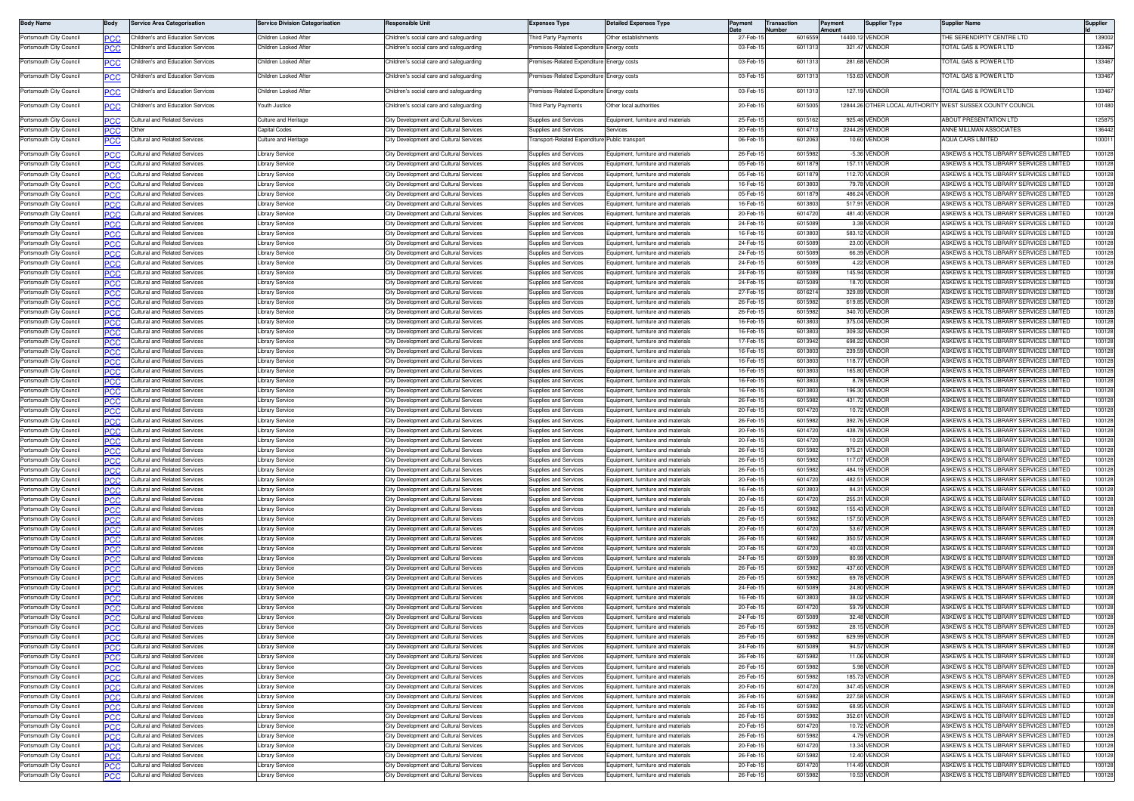| <b>Body Name</b>                                   | Body              | Service Area Categorisation                                    | <b>Service Division Categorisation</b> | <b>Responsible Unit</b>                                                          | Expenses Type                                                | <b>Detailed Expenses Type</b>                                                    | Pavment              | <b>Transaction</b><br>lumber | 'ayment<br>nount | Supplier Type                  | Supplier Name                                                                                 | Supplier         |
|----------------------------------------------------|-------------------|----------------------------------------------------------------|----------------------------------------|----------------------------------------------------------------------------------|--------------------------------------------------------------|----------------------------------------------------------------------------------|----------------------|------------------------------|------------------|--------------------------------|-----------------------------------------------------------------------------------------------|------------------|
| Portsmouth City Council                            | PCC               | Children's and Education Services                              | Children Looked Afte                   | Children's social care and safeguarding                                          | hird Party Payments                                          | Other establishments                                                             | 27-Feb-1             | 601655                       |                  | 14400.12 VENDOR                | HE SERENDIPITY CENTRE LTD                                                                     | 139002           |
| Portsmouth City Council                            | PСC               | Children's and Education Services                              | Children Looked Afte                   | Children's social care and safequarding                                          | remises-Related Expenditure                                  | Energy costs                                                                     | 03-Feb-1             | 601131                       |                  | 321.47 VENDOR                  | OTAL GAS & POWER LTD                                                                          | 133467           |
| Portsmouth City Council                            | <u>PCC</u>        | Children's and Education Services                              | Children Looked Afte                   | Children's social care and safeguarding                                          | remises-Related Expenditure Energy costs                     |                                                                                  | 03-Feb-1             | 601131                       |                  | 281.68 VENDOR                  | TOTAL GAS & POWER LTD                                                                         | 133467           |
| Portsmouth City Council                            |                   | Children's and Education Services                              | Children Looked Afte                   | Children's social care and safeguarding                                          | Premises-Related Expenditure Energy costs                    |                                                                                  | 03-Feb-1             | 601131                       |                  | 153.63 VENDOR                  | OTAL GAS & POWER LTD                                                                          | 133467           |
|                                                    |                   | hildren's and Education Services                               | Children Looked Afte                   | Children's social care and safeguarding                                          | emises-Related Expenditure                                   |                                                                                  | 03-Feb-1             | 601131                       |                  | 127.19 VENDOR                  | OTAL GAS & POWER LTD                                                                          | 133467           |
| Portsmouth City Council                            |                   |                                                                |                                        |                                                                                  |                                                              | Energy costs                                                                     |                      |                              |                  |                                |                                                                                               |                  |
| Portsmouth City Council                            | PСC               | Children's and Education Services                              | Youth Justice                          | Children's social care and safequarding                                          | Third Party Payments                                         | Other local authorities                                                          | 20-Feb-1             | 601500                       |                  |                                | 12844.26 OTHER LOCAL AUTHORITY WEST SUSSEX COUNTY COUNCIL                                     | 101480           |
| Portsmouth City Council                            | PCC               | Cultural and Related Services                                  | Culture and Heritage                   | City Development and Cultural Services                                           | Supplies and Services                                        | Equipment, furniture and materials                                               | 25-Feb-1             | 601516                       |                  | 925.48 VENDOF                  | <b>IBOUT PRESENTATION LTD</b>                                                                 | 125875           |
| Portsmouth City Council                            | сc                | Other                                                          | Capital Codes                          | City Development and Cultural Services                                           | Supplies and Services                                        | iervices                                                                         | 20-Feb-              | 60147                        |                  | 2244.29 VENDOR                 | ANNE MILLMAN ASSOCIATES                                                                       | 136442           |
| Portsmouth City Council                            | ပင                | ultural and Related Services                                   | <b>Culture and Heritage</b>            | City Development and Cultural Services                                           | ransport-Related Expenditure                                 | Public transport                                                                 | 06-Feb-1             | 601206                       |                  | 10.60 VENDOR                   | QUA CARS LIMITED                                                                              | 10001            |
| Portsmouth City Council                            | ٥СС               | <b>Cultural and Related Services</b>                           | Library Service                        | City Development and Cultural Services                                           | <b>Supplies and Services</b>                                 | Equipment, furniture and materials                                               | 26-Feb-1             | 601598                       |                  | -5.36 VENDOR                   | ASKEWS & HOLTS LIBRARY SERVICES LIMITED                                                       | 100128           |
| Portsmouth City Council<br>Portsmouth City Council | ∍сс               | ultural and Related Services<br>ultural and Related Services   | ibrary Service<br>ibrary Service       | City Development and Cultural Services<br>City Development and Cultural Services | <b>Supplies and Services</b><br>Supplies and Services        | Equipment, furniture and materials<br>Equipment, furniture and materials         | 05-Feb-<br>05-Feb-   | 601187<br>601187             |                  | 157.11 VENDOR<br>112.70 VENDOF | SKEWS & HOLTS LIBRARY SERVICES LIMITED<br>ASKEWS & HOLTS LIBRARY SERVICES LIMITED             | 100128<br>100128 |
| Portsmouth City Council                            | PСC<br>ድርሮ        | ultural and Related Services                                   | ibrary Service                         | City Development and Cultural Service                                            | supplies and Services                                        | quipment, furniture and materials                                                | 16-Feb-1             | 601380                       |                  | 79.78 VENDOR                   | <b>ISKEWS &amp; HOLTS LIBRARY SERVICES LIMITED</b>                                            | 100128           |
| Portsmouth City Council                            | PCC               | ultural and Related Services                                   | Library Service                        | City Development and Cultural Services                                           | <b>Supplies and Services</b>                                 | Equipment, furniture and materials                                               | 05-Feb-1             | 601187                       |                  | 486.24 VENDOR                  | ASKEWS & HOLTS LIBRARY SERVICES LIMITED                                                       | 100128           |
| Portsmouth City Council                            | ገርር               | ultural and Related Services                                   | Library Service                        | City Development and Cultural Services                                           | <b>Supplies and Services</b>                                 | Equipment, furniture and materials                                               | 16-Feb-              | 601380                       |                  | 517.91 VENDOR                  | ASKEWS & HOLTS LIBRARY SERVICES LIMITED                                                       | 100128           |
| Portsmouth City Council                            | PCC               | ultural and Related Services                                   | Library Service                        | City Development and Cultural Services                                           | <b>Supplies and Services</b>                                 | Equipment, furniture and materials                                               | 20-Feb-1             | 601472                       |                  | 481.40 VENDOR                  | <b>ISKEWS &amp; HOLTS LIBRARY SERVICES LIMITED</b>                                            | 100128           |
| Portsmouth City Council<br>Portsmouth City Council | PСC               | ultural and Related Services<br>ultural and Related Services   | ibrary Service<br>Library Service      | City Development and Cultural Services<br>City Development and Cultural Services | Supplies and Services<br>Supplies and Services               | couipment, furniture and materials<br>Equipment, furniture and materials         | 24-Feb-1<br>16-Feb-1 | 601508<br>601380             |                  | 3.38 VENDOR<br>583.12 VENDOR   | <b>ISKEWS &amp; HOLTS LIBRARY SERVICES LIMITED</b><br>ASKEWS & HOLTS LIBRARY SERVICES LIMITED | 100128<br>100128 |
| Portsmouth City Council                            | PCC               | ultural and Related Services                                   | ibrary Service                         | City Development and Cultural Services                                           | Supplies and Services                                        | Equipment, furniture and materials                                               | 24-Feb-1             | 601508                       |                  | 23.00 VENDOR                   | <b>ISKEWS &amp; HOLTS LIBRARY SERVICES LIMITED</b>                                            | 100128           |
| Portsmouth City Council                            | PСC               | ultural and Related Services                                   | ibrary Service                         | City Development and Cultural Services                                           | Supplies and Services                                        | Equipment, furniture and materials                                               | 24-Feb-              | 601508                       |                  | 66.39 VENDOR                   | SKEWS & HOLTS LIBRARY SERVICES LIMITED                                                        | 100128           |
| Portsmouth City Council                            | PCC               | ultural and Related Services                                   | ibrary Service                         | City Development and Cultural Services                                           | <b>Supplies and Services</b>                                 | Equipment, furniture and materials                                               | 24-Feb-1             | 601508                       |                  | 4.22 VENDOR                    | <b>ISKEWS &amp; HOLTS LIBRARY SERVICES LIMITED</b>                                            | 100128           |
| Portsmouth City Council                            | היפ               | ultural and Related Services                                   | Library Service                        | City Development and Cultural Service                                            | supplies and Services                                        | quipment, furniture and material                                                 | 24-Feb-1             | 601508                       |                  | 145.94 VENDOR                  | <b>ISKEWS &amp; HOLTS LIBRARY SERVICES LIMITED</b>                                            | 100128           |
| Portsmouth City Council<br>Portsmouth City Council | PCC               | ultural and Related Services<br>ultural and Related Services   | Library Service                        | City Development and Cultural Services<br>City Development and Cultural Services | <b>Supplies and Services</b><br><b>Supplies and Services</b> | Equipment, furniture and materials<br>Equipment, furniture and materials         | 24-Feb-1<br>27-Feb-  | 601508<br>60162              |                  | 18.70 VENDOR<br>329.89 VENDOR  | ASKEWS & HOLTS LIBRARY SERVICES LIMITED<br>ASKEWS & HOLTS LIBRARY SERVICES LIMITED            | 100128<br>100128 |
| Portsmouth City Council                            | PCC               | Cultural and Related Services                                  | Library Service<br>Library Service     | City Development and Cultural Services                                           | Supplies and Services                                        | Equipment, furniture and materials                                               | 26-Feb-1             | 601598                       |                  | 619.85 VENDOF                  | ASKEWS & HOLTS LIBRARY SERVICES LIMITED                                                       | 100128           |
| Portsmouth City Council                            | ۲C                | ultural and Related Services                                   | Library Service                        | City Development and Cultural Services                                           | Supplies and Services                                        | couipment, furniture and materials                                               | 26-Feb-1             | 601598                       |                  | 340.70 VENDOF                  | <b>ISKEWS &amp; HOLTS LIBRARY SERVICES LIMITED</b>                                            | 100128           |
| Portsmouth City Council                            | PCC               | Cultural and Related Services                                  | Library Service                        | City Development and Cultural Services                                           | Supplies and Services                                        | Fouinment, furniture and materials                                               | 16-Feb-1             | 601380                       |                  | 375.04 VENDOR                  | ASKEWS & HOLTS LIBRARY SERVICES LIMITED                                                       | 100128           |
| Portsmouth City Council                            |                   | ultural and Related Services                                   | ibrary Service                         | City Development and Cultural Services                                           | Supplies and Services                                        | Equipment, furniture and materials                                               | 16-Feb-              | 601380                       |                  | 309.32 VENDOF                  | <b>ISKEWS &amp; HOLTS LIBRARY SERVICES LIMITED</b>                                            | 100128           |
| Portsmouth City Council                            | -60               | ultural and Related Services                                   | ibrary Service                         | City Development and Cultural Services                                           | Supplies and Services                                        | Equipment, furniture and materials                                               | 17-Feb-1             | 601394                       |                  | 698.22 VENDOF                  | <b>ISKEWS &amp; HOLTS LIBRARY SERVICES LIMITED</b>                                            | 100128           |
| Portsmouth City Council<br>Portsmouth City Council | PCC               | ultural and Related Services<br>ultural and Related Services   | Library Service<br>ibrary Service      | City Development and Cultural Services<br>City Development and Cultural Service  | <b>Supplies and Services</b><br>supplies and Service         | quipment, furniture and materials<br>quipment, furniture and materials           | 16-Feb-1<br>16-Feb-1 | 601380<br>601380             |                  | 239.59 VENDOR<br>118.77 VENDOR | ASKEWS & HOLTS LIBRARY SERVICES LIMITED<br>ASKEWS & HOLTS LIBRARY SERVICES LIMITED            | 100128<br>100128 |
| Portsmouth City Council                            | ℃С<br>PCC.        | ultural and Related Services                                   | Library Service                        | City Development and Cultural Services                                           | Supplies and Services                                        | Equipment, furniture and materials                                               | 16-Feb-1             | 60138                        |                  | 165.80 VENDOR                  | ASKEWS & HOLTS LIBRARY SERVICES LIMITED                                                       | 100128           |
| Portsmouth City Council                            | ∍сс               | ultural and Related Services                                   | Library Service                        | City Development and Cultural Services                                           | <b>Supplies and Services</b>                                 | Equipment, furniture and materials                                               | 16-Feb-1             | 601380                       |                  | 8.78 VENDOR                    | ASKEWS & HOLTS LIBRARY SERVICES LIMITED                                                       | 100128           |
| Portsmouth City Council                            | PCC               | ultural and Related Services                                   | Library Service                        | City Development and Cultural Services                                           | Supplies and Services                                        | Equipment, furniture and materials                                               | 16-Feb-1             | 601380                       |                  | 196.30 VENDOR                  | <b>ISKEWS &amp; HOLTS LIBRARY SERVICES LIMITED</b>                                            | 100128           |
| Portsmouth City Council                            | °СС               | ultural and Related Services                                   | Library Service                        | City Development and Cultural Services                                           | <b>Supplies and Services</b>                                 | Foujoment, furniture and materials                                               | 26-Feb-1             | 601598                       |                  | 431.72 VENDOR                  | ASKEWS & HOLTS LIBRARY SERVICES LIMITED                                                       | 100128           |
| Portsmouth City Council<br>Portsmouth City Council | ℃С                | ultural and Related Services<br>ultural and Related Services   | ibrary Service<br>ibrary Service       | City Development and Cultural Services<br>City Development and Cultural Services | Supplies and Services<br><b>Supplies and Services</b>        | Equipment, furniture and materials<br><b>Equipment</b> , furniture and materials | 20-Feb-<br>26-Feb-   | 601472<br>601598             |                  | 10.72 VENDOR<br>392.76 VENDOR  | <b>ISKEWS &amp; HOLTS LIBRARY SERVICES LIMITED</b><br>ASKEWS & HOLTS LIBRARY SERVICES LIMITED | 100128<br>100128 |
| Portsmouth City Council                            |                   | ultural and Related Services                                   | ibrary Service                         | City Development and Cultural Services                                           | upplies and Services                                         | quipment, furniture and materials                                                | 20-Feb-1             | 601472                       |                  | 438.78 VENDOR                  | ASKEWS & HOLTS LIBRARY SERVICES LIMITED                                                       | 100128           |
| Portsmouth City Council                            | PCC               | ultural and Related Services                                   | ibrary Service                         | City Development and Cultural Services                                           | Supplies and Services                                        | quipment, furniture and materials                                                | 20-Feb-1             | 601472                       |                  | 10.23 VENDOR                   | ASKEWS & HOLTS LIBRARY SERVICES LIMITED                                                       | 100128           |
| Portsmouth City Council                            | PCC               | ultural and Related Services                                   | Library Service                        | City Development and Cultural Services                                           | Supplies and Services                                        | Equipment, furniture and materials                                               | 26-Feb-1             | 601598                       |                  | 975.21 VENDOR                  | ASKEWS & HOLTS LIBRARY SERVICES LIMITED                                                       | 100128           |
| Portsmouth City Council                            | <b>PCC</b>        | ultural and Related Services                                   | Library Service                        | City Development and Cultural Services                                           | Supplies and Services                                        | Equipment, furniture and materials                                               | 26-Feb-1             | 601598                       |                  | 117.07 VENDOR                  | ASKEWS & HOLTS LIBRARY SERVICES LIMITED                                                       | 100128           |
| Portsmouth City Council<br>Portsmouth City Council | ንርር               | ultural and Related Services<br>ultural and Related Services   | Library Service<br>Library Service     | City Development and Cultural Services<br>City Development and Cultural Services | <b>Supplies and Services</b><br>Supplies and Services        | Equipment, furniture and materials<br>Equipment, furniture and materials         | 26-Feb-<br>20-Feb-1  | 601598<br>601472             |                  | 484.19 VENDOR<br>482.51 VENDOR | ASKEWS & HOLTS LIBRARY SERVICES LIMITED<br><b>ISKEWS &amp; HOLTS LIBRARY SERVICES LIMITED</b> | 100128<br>100128 |
| Portsmouth City Council                            | PCC<br>'СС        | ultural and Related Services                                   | Library Service                        | City Development and Cultural Services                                           | Supplies and Services                                        | couipment, furniture and materials                                               | 16-Feb-1             | 601380                       |                  | 84.31 VENDOR                   | <b>ISKEWS &amp; HOLTS LIBRARY SERVICES LIMITED</b>                                            | 100128           |
| Portsmouth City Council                            | C.C               | ultural and Related Services                                   | ibrary Service                         | City Development and Cultural Services                                           | Supplies and Services                                        | Equipment, furniture and materials                                               | 20-Feb-1             | 601472                       |                  | 255.31 VENDOR                  | SKEWS & HOLTS LIBRARY SERVICES LIMITED                                                        | 100128           |
| Portsmouth City Council                            | PCC               | ultural and Related Services                                   | ibrary Service                         | City Development and Cultural Services                                           | <b>Supplies and Services</b>                                 | Equipment, furniture and materials                                               | 26-Feb-1             | 601598                       |                  | 155.43 VENDOR                  | ASKEWS & HOLTS LIBRARY SERVICES LIMITED                                                       | 100128           |
| Portsmouth City Council                            |                   | ultural and Related Services                                   | ibrary Service                         | City Development and Cultural Services                                           | upplies and Services                                         | quipment, furniture and materials                                                | 26-Feb-1             | 601598                       |                  | 157.50 VENDOR                  | ASKEWS & HOLTS LIBRARY SERVICES LIMITED                                                       | 100128           |
| Portsmouth City Council<br>Portsmouth City Council | PCC.              | ultural and Related Services<br>ultural and Related Services   | ibrary Service<br>Library Service      | City Development and Cultural Services<br>City Development and Cultural Services | Supplies and Services<br><b>Supplies and Services</b>        | quipment, furniture and materials<br>Equipment, furniture and materials          | 20-Feb-1<br>26-Feb-1 | 601472<br>601598             |                  | 53.67 VENDOR<br>350.57 VENDOR  | ASKEWS & HOLTS LIBRARY SERVICES LIMITED<br>ASKEWS & HOLTS LIBRARY SERVICES LIMITED            | 100128<br>100128 |
| Portsmouth City Council                            | PСC<br><b>PCC</b> | Cultural and Related Services                                  | Library Service                        | City Development and Cultural Services                                           | Supplies and Services                                        | Equipment, furniture and materials                                               | 20-Feb-1             | 601472                       |                  | 40.03 VENDOR                   | ASKEWS & HOLTS LIBRARY SERVICES LIMITED                                                       | 100128           |
| Portsmouth City Council                            |                   | ultural and Related Services                                   | Library Service                        | City Development and Cultural Services                                           | Supplies and Services                                        | Equipment, furniture and materials                                               | 24-Feb-              | 601508                       |                  | 80.99 VENDOR                   | <b>SKEWS &amp; HOLTS LIBRARY SERVICES LIMITED</b>                                             | 100128           |
| Portsmouth City Council                            | PCC               | ultural and Related Services                                   | Library Service                        | City Development and Cultural Services                                           | Supplies and Services                                        | Foujoment, furniture and materials                                               | 26-Feb-1             | 601598                       |                  | 437.60 VENDOR                  | <b>ISKEWS &amp; HOLTS LIBRARY SERVICES LIMITED</b>                                            | 100128           |
| Portsmouth City Council                            | 'СС               | ultural and Related Services                                   | ibrary Service                         | City Development and Cultural Services                                           | Supplies and Services                                        | Equipment, furniture and materials                                               | 26-Feb-              | 601598                       |                  | 69.78 VENDOR                   | <b>ISKEWS &amp; HOLTS LIBRARY SERVICES LIMITED</b>                                            | 100128           |
| Portsmouth City Council<br>Portsmouth City Council | °CC.<br>PCC       | ultural and Related Services<br>ultural and Related Services   | ibrary Service<br>ibrary Service       | City Development and Cultural Services<br>City Development and Cultural Services | Supplies and Services<br>Supplies and Services               | Equipment, furniture and materials<br>quipment, furniture and materials          | 24-Feb-1<br>16-Feb-1 | 601508<br>601380             |                  | 24.80 VENDOR<br>38.02 VENDOR   | SKEWS & HOLTS LIBRARY SERVICES LIMITED<br><b>ISKEWS &amp; HOLTS LIBRARY SERVICES LIMITED</b>  | 100128<br>100128 |
| Portsmouth City Council                            | PСC               | ultural and Related Services                                   | Library Service                        | City Development and Cultural Services                                           | upplies and Services                                         | quipment, furniture and materials                                                | 20-Feb-1             | 601472                       |                  | 59.79 VENDOR                   | ASKEWS & HOLTS LIBRARY SERVICES LIMITED                                                       | 100128           |
| Portsmouth City Council                            | <b>PCC</b>        | Cultural and Related Services                                  | Library Service                        | City Development and Cultural Services                                           | Supplies and Services                                        | Equipment, furniture and materials                                               | 24-Feb-1             | 601508                       |                  | 32.48 VENDOF                   | ASKEWS & HOLTS LIBRARY SERVICES LIMITED                                                       | 100128           |
| Portsmouth City Council                            | PCC               | <b>Cultural and Related Services</b>                           | Library Service                        | City Development and Cultural Services                                           | Supplies and Services                                        | Equipment, furniture and materials                                               | 26-Feb-1             | 601598                       |                  | 28.15 VENDOR                   | ASKEWS & HOLTS LIBRARY SERVICES LIMITED                                                       | 100128           |
| Portsmouth City Council                            | PCC               | Cultural and Related Services                                  | Library Service                        | City Development and Cultural Services                                           | Supplies and Services                                        | Equipment, furniture and materials                                               | 26-Feb-1             | 601598                       |                  | 629.99 VENDOR                  | ASKEWS & HOLTS LIBRARY SERVICES LIMITED                                                       | 100128           |
| Portsmouth City Council<br>Portsmouth City Council | ٥СС               | Cultural and Related Services<br>Cultural and Related Services | Library Service<br>Library Service     | City Development and Cultural Services<br>City Development and Cultural Services | Supplies and Services<br>Supplies and Services               | Equipment, furniture and materials<br>Equipment, furniture and materials         | 24-Feb-1<br>26-Feb-1 | 601508<br>601598             |                  | 94.57 VENDOR<br>11.06 VENDOR   | ASKEWS & HOLTS LIBRARY SERVICES LIMITED<br>ASKEWS & HOLTS LIBRARY SERVICES LIMITED            | 100128<br>100128 |
| Portsmouth City Council                            | PCC<br>PCC        | <b>Cultural and Related Services</b>                           | Library Service                        | City Development and Cultural Services                                           | Supplies and Services                                        | Equipment, furniture and materials                                               | 26-Feb-1             | 601598                       |                  | 5.98 VENDOR                    | ASKEWS & HOLTS LIBRARY SERVICES LIMITED                                                       | 100128           |
| Portsmouth City Council                            | PCC               | Cultural and Related Services                                  | Library Service                        | City Development and Cultural Services                                           | Supplies and Services                                        | Equipment, furniture and materials                                               | 26-Feb-1             | 601598                       |                  | 185.73 VENDOR                  | <b>ISKEWS &amp; HOLTS LIBRARY SERVICES LIMITED</b>                                            | 100128           |
| Portsmouth City Council                            | <b>PCC</b>        | ultural and Related Services                                   | Library Service                        | City Development and Cultural Services                                           | <b>Supplies and Services</b>                                 | Equipment, furniture and materials                                               | 20-Feb-1             | 601472                       |                  | 347.45 VENDOR                  | ASKEWS & HOLTS LIBRARY SERVICES LIMITED                                                       | 100128           |
| Portsmouth City Council                            | PCC               | ultural and Related Services                                   | Library Service                        | City Development and Cultural Services                                           | Supplies and Services                                        | Equipment, furniture and materials                                               | 26-Feb-1             | 601598                       |                  | 227.58 VENDOR                  | ASKEWS & HOLTS LIBRARY SERVICES LIMITED                                                       | 100128           |
| Portsmouth City Council                            | <b>PCC</b>        | Cultural and Related Services                                  | Library Service                        | City Development and Cultural Services                                           | Supplies and Services                                        | Equipment, furniture and materials                                               | 26-Feb-1             | 601598<br>601598             |                  | 68.95 VENDOR                   | ASKEWS & HOLTS LIBRARY SERVICES LIMITED                                                       | 100128           |
| Portsmouth City Council<br>Portsmouth City Council | PCC<br>PCC        | ultural and Related Services<br>ultural and Related Services   | Library Service<br>Library Service     | City Development and Cultural Services<br>City Development and Cultural Services | Supplies and Services<br>Supplies and Services               | Equipment, furniture and materials<br>Equipment, furniture and materials         | 26-Feb-1<br>20-Feb-1 | 601472                       |                  | 352.61 VENDOR<br>10.72 VENDOR  | ASKEWS & HOLTS LIBRARY SERVICES LIMITED<br>ASKEWS & HOLTS LIBRARY SERVICES LIMITED            | 100128<br>100128 |
| Portsmouth City Council                            | ℃С                | Cultural and Related Services                                  | Library Service                        | City Development and Cultural Services                                           | Supplies and Services                                        | Equipment, furniture and materials                                               | 26-Feb-1             | 601598                       |                  | 4.79 VENDOR                    | ASKEWS & HOLTS LIBRARY SERVICES LIMITED                                                       | 100128           |
| Portsmouth City Council                            | PCC               | Cultural and Related Services                                  | Library Service                        | City Development and Cultural Services                                           | Supplies and Services                                        | Equipment, furniture and materials                                               | 20-Feb-1             | 601472                       |                  | 13.34 VENDOR                   | ASKEWS & HOLTS LIBRARY SERVICES LIMITED                                                       | 100128           |
| Portsmouth City Council                            | PCC               | Cultural and Related Services                                  | Library Service                        | City Development and Cultural Services                                           | Supplies and Services                                        | Equipment, furniture and materials                                               | 26-Feb-1             | 601598                       |                  | 12.40 VENDOR                   | ASKEWS & HOLTS LIBRARY SERVICES LIMITED                                                       | 100128           |
| Portsmouth City Council                            | PСC               | ultural and Related Services                                   | Library Service                        | City Development and Cultural Services<br>City Development and Cultural Services | Supplies and Services<br>Supplies and Services               | Equipment, furniture and materials                                               | 20-Feb-1             | 601472                       |                  | 114.49 VENDOR                  | ASKEWS & HOLTS LIBRARY SERVICES LIMITED                                                       | 100128           |
| Portsmouth City Council                            | <b>PCC</b>        | Cultural and Related Services                                  | Library Service                        |                                                                                  |                                                              | Equipment, furniture and materials                                               | 26-Feb-15            | 601598                       |                  | 10.53 VENDOR                   | ASKEWS & HOLTS LIBRARY SERVICES LIMITED                                                       | 100128           |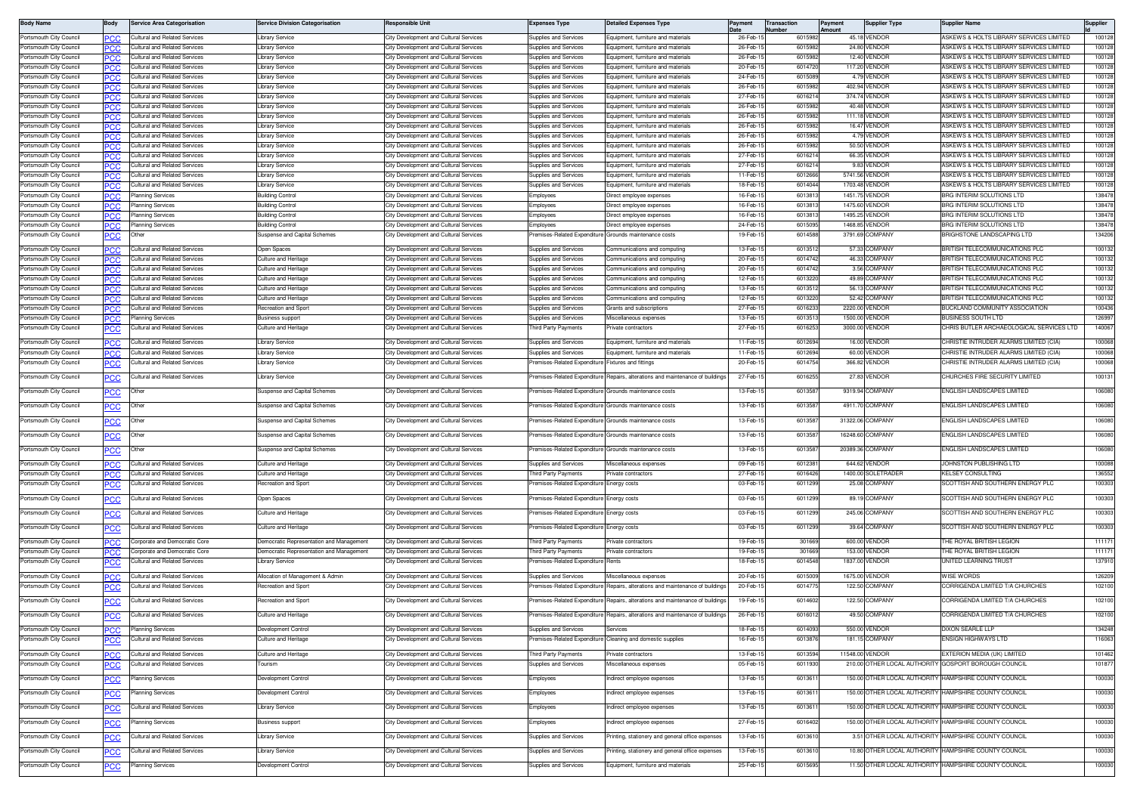| <b>Body Name</b>                                   | Body       | Service Area Categorisation                                   | <b>Service Division Categorisation</b>      | <b>Responsible Unit</b>                                                          | <b>Expenses Type</b>                                         | <b>Detailed Expenses Type</b>                                  | Payment              | Transaction<br>umbe | Payment<br>nount | <b>Supplier Type</b>             | Supplier Name                                                        |                 |
|----------------------------------------------------|------------|---------------------------------------------------------------|---------------------------------------------|----------------------------------------------------------------------------------|--------------------------------------------------------------|----------------------------------------------------------------|----------------------|---------------------|------------------|----------------------------------|----------------------------------------------------------------------|-----------------|
| Portsmouth City Council                            | <b>PCC</b> | ultural and Related Services                                  | ibrary Service                              | City Development and Cultural Services                                           | Supplies and Services                                        | Equipment, furniture and materials                             | 26-Feb-1             | 6015982             |                  | 45.18 VENDOR                     | ASKEWS & HOLTS LIBRARY SERVICES LIMITED                              | 100128          |
| Portsmouth City Council                            | PCC        | ultural and Related Services                                  | Library Service                             | City Development and Cultural Services                                           | Supplies and Services                                        | quipment, furniture and materials                              | 26-Feb-1             | 601598              |                  | 24.80 VENDOF                     | ASKEWS & HOLTS LIBRARY SERVICES LIMITED                              | 100128          |
| Portsmouth City Council                            | PCC        | ultural and Related Services                                  | ibrary Service                              | City Development and Cultural Services                                           | Supplies and Services                                        | Foujoment, furniture and materials                             | 26-Feb-1             | 601598              |                  | <b>12.40 VENDOR</b>              | ASKEWS & HOLTS LIBRARY SERVICES LIMITED                              | 100128          |
| Portsmouth City Council                            |            | ultural and Related Services                                  | ibrary Service                              | City Development and Cultural Services                                           | Supplies and Services                                        | Equipment, furniture and materials                             | 20-Feb-1             | 601472              |                  | 117.20 VENDOR                    | ASKEWS & HOLTS LIBRARY SERVICES LIMITED                              | 100128          |
| Portsmouth City Council                            | PСC        | ultural and Related Services                                  | ibrary Service                              | City Development and Cultural Services                                           | Supplies and Services                                        | Equipment, furniture and materials                             | 24-Feb-1             | 601508              |                  | 4.79 VENDOR                      | ASKEWS & HOLTS LIBRARY SERVICES LIMITED                              | 10012           |
| Portsmouth City Council                            |            | ultural and Related Services                                  | ibrary Service                              | City Development and Cultural Services                                           | Supplies and Services                                        | Equipment, furniture and materials                             | 26-Feb-1             | 601598              |                  | 402.94 VENDOR                    | ASKEWS & HOLTS LIBRARY SERVICES LIMITED                              | 10012           |
| Portsmouth City Council                            | 'CC        | ultural and Related Services                                  | ibrary Service                              | City Development and Cultural Services                                           | Supplies and Services                                        | cuipment, furniture and materials                              | 27-Feb-1             | 601621              |                  | 374.74 VENDOR                    | ASKEWS & HOLTS LIBRARY SERVICES LIMITED                              | 100128          |
| Portsmouth City Council                            | <b>PCC</b> | ultural and Related Services                                  | ibrary Service                              | City Development and Cultural Services                                           | <b>Supplies and Services</b>                                 | quipment, furniture and materials                              | 26-Feb-1             | 601598              |                  | 40.48 VENDOR                     | ASKEWS & HOLTS LIBRARY SERVICES LIMITED                              | 100128          |
| Portsmouth City Council                            | ጋር ጋር      | ultural and Related Services                                  | ibrary Service                              | City Development and Cultural Services                                           | Supplies and Services                                        | quipment, furniture and materials                              | 26-Feb-1             | 601598              |                  | 111.18 VENDOR                    | ASKEWS & HOLTS LIBRARY SERVICES LIMITED                              | 10012           |
| Portsmouth City Council                            | <b>PCC</b> | ultural and Related Services                                  | Library Service                             | City Development and Cultural Services                                           | Supplies and Services                                        | Equipment, furniture and materials                             | 26-Feb-1             | 601598              |                  | 16.47 VENDOR                     | ASKEWS & HOLTS LIBRARY SERVICES LIMITED                              | 10012           |
| Portsmouth City Council                            |            | Cultural and Related Services                                 | Library Service                             | City Development and Cultural Services                                           | Supplies and Services                                        | Equipment, furniture and materials                             | 26-Feb-1             | 601598              |                  | 4.79 VENDOR                      | ASKEWS & HOLTS LIBRARY SERVICES LIMITED                              | 100128          |
| Portsmouth City Council                            | PCC        | ultural and Related Services                                  | ibrary Service                              | City Development and Cultural Services                                           | Supplies and Services                                        | Equipment, furniture and materials                             | 26-Feb-1             | 601598              |                  | 50.50 VENDOR                     | ASKEWS & HOLTS LIBRARY SERVICES LIMITED                              | 10012           |
| Portsmouth City Council                            |            | ultural and Related Services                                  | ibrary Service                              | City Development and Cultural Services                                           | <b>Supplies and Services</b>                                 | Equipment, furniture and materials                             | 27-Feb-1             | 601621              |                  | 66.35 VENDOR                     | ASKEWS & HOLTS LIBRARY SERVICES LIMITED                              | 10012           |
| Portsmouth City Council                            | PСC        | ultural and Related Services                                  | ibrary Service                              | City Development and Cultural Services                                           | Supplies and Services                                        | quipment, furniture and materials                              | 27-Feb-1             | 60162               |                  | 9.83 VENDOR                      | ASKEWS & HOLTS LIBRARY SERVICES LIMITED                              | 10012           |
| Portsmouth City Council                            | הים        | ultural and Related Services                                  | ibrary Service                              | City Development and Cultural Services                                           | Supplies and Services                                        | <b>Equipment, furniture and materials</b>                      | 11-Feb-1             | 601266              |                  | 5741.56 VENDOR                   | ASKEWS & HOLTS LIBRARY SERVICES LIMITED                              | 10012           |
| Portsmouth City Council                            | 'CC        | ultural and Related Services<br>lanning Services              | ibrary Service<br><b>Juilding Control</b>   | City Development and Cultural Service<br>City Development and Cultural Services  | supplies and Services<br>Employee                            | quipment, furniture and materials                              | 18-Feb-1<br>16-Feb-1 | 601404<br>601381    |                  | 1703.48 VENDOF<br>1451.75 VENDOR | ASKEWS & HOLTS LIBRARY SERVICES LIMITED<br>BRG INTERIM SOLUTIONS LTD | 100128<br>13847 |
| Portsmouth City Council<br>Portsmouth City Council | <b>PCC</b> | 'lanning Services                                             | luilding Control                            | City Development and Cultural Services                                           | :mployee                                                     | irect employee expense:<br>Direct employee expenses            | 16-Feb-              | 60138               |                  | 1475.60 VENDOF                   | BRG INTERIM SOLUTIONS LTD                                            | 13847           |
| Portsmouth City Council                            | ecc        | 'lanning Services                                             | Building Control                            | City Development and Cultural Services                                           | Employees                                                    | Direct employee expenses                                       | 16-Feb-1             | 601381              |                  | 1495.25 VENDOR                   | BRG INTERIM SOLUTIONS LTD                                            | 13847           |
| Portsmouth City Council                            | <b>PCC</b> | 'lanning Services                                             | <b>Building Control</b>                     | City Development and Cultural Services                                           | Employee:                                                    | )irect employee expenses                                       | 24-Feb-1             | 601509              |                  | 1468.85 VENDOR                   | BRG INTERIM SOLUTIONS LTD                                            | 138478          |
| Portsmouth City Council                            | PCC.       | ther                                                          | uspense and Capital Schemes                 | City Development and Cultural Services                                           | remises-Related Expenditure                                  | Grounds maintenance costs                                      | 19-Feb-1             | 601458              |                  | 3791.69 COMPANY                  | BRIGHSTONE LANDSCAPING LTD                                           | 134206          |
|                                                    |            |                                                               |                                             |                                                                                  |                                                              |                                                                |                      |                     |                  |                                  |                                                                      |                 |
| Portsmouth City Council                            | 'CC        | Cultural and Related Services                                 | Jpen Spaces                                 | City Development and Cultural Services                                           | Supplies and Services                                        | Communications and computing                                   | 13-Feb-1             | 601351              |                  | 57.33 COMPANY                    | BRITISH TELECOMMUNICATIONS PLC                                       | 100132          |
| Portsmouth City Council                            | PCC        | ultural and Related Services                                  | Julture and Heritage                        | City Development and Cultural Services                                           | <b>Supplies and Services</b>                                 | Communications and computing                                   | 20-Feb-1             | 601474              |                  | 46.33 COMPANY                    | <b>BRITISH TELECOMMUNICATIONS PLC</b>                                | 100132          |
| Portsmouth City Council                            |            | Cultural and Related Services                                 | Julture and Heritage                        | City Development and Cultural Services                                           | <b>Supplies and Services</b>                                 | ommunications and computing                                    | 20-Feb-1             | 6014742             |                  | 3.56 COMPANY                     | <b>BRITISH TELECOMMUNICATIONS PLC</b>                                | 100132          |
| Portsmouth City Council                            | PCC        | ultural and Related Services                                  | Julture and Heritage                        | City Development and Cultural Services                                           | Supplies and Services                                        | ommunications and computing                                    | 12-Feb-1             | 601322              |                  | 49.89 COMPANY                    | RITISH TELECOMMUNICATIONS PLC                                        | 10013           |
| Portsmouth City Council                            | 'nС        | ultural and Related Services                                  | Culture and Heritage<br>ulture and Heritage | City Development and Cultural Services                                           | Supplies and Services                                        | ommunications and computing                                    | 13-Feb-1             | 601351              |                  | 56.13 COMPANY                    | BRITISH TELECOMMUNICATIONS PLC<br>BRITISH TELECOMMUNICATIONS PLC     | 100132          |
| Portsmouth City Council                            | °CC        | ultural and Related Services                                  |                                             | City Development and Cultural Services<br>City Development and Cultural Services | supplies and Services                                        | ommunications and computing<br><b>Grants and subscriptions</b> | 12-Feb-              | 60132               |                  | 52.42 COMPANY                    |                                                                      | 100132          |
| Portsmouth City Council<br>Portsmouth City Council | PCC        | ultural and Related Services                                  | ecreation and Spor                          |                                                                                  | <b>Supplies and Services</b><br><b>Supplies and Services</b> | iscellaneous expenses                                          | 27-Feb-1<br>13-Feb-1 | 601623<br>60135     |                  | 2220.00 VENDOR<br>1500.00 VENDOR | BUCKLAND COMMUNITY ASSOCIATION<br><b>BUSINESS SOUTH LTD</b>          | 100436<br>12699 |
| Portsmouth City Council                            |            | lanning Services<br>ultural and Related Services              | Business support<br>Culture and Heritage    | City Development and Cultural Services<br>City Development and Cultural Services | Third Party Payments                                         | rivate contractors                                             | 27-Feb-1             | 60162               |                  | 3000.00 VENDOR                   | CHRIS BUTLER ARCHAEOLOGICAL SERVICES LTD                             | 14006           |
|                                                    | ∍сс        |                                                               |                                             |                                                                                  |                                                              |                                                                |                      |                     |                  |                                  |                                                                      |                 |
| Portsmouth City Council                            |            | ultural and Related Services                                  | ibrary Service                              | City Development and Cultural Services                                           | Supplies and Services                                        | quipment, furniture and materials                              | 11-Feb-              | 601269              |                  | 16.00 VENDOF                     | CHRISTIE INTRUDER ALARMS LIMITED (CIA)                               | 100068          |
| Portsmouth City Council                            | PCC        | ultural and Related Services                                  | ibrary Service                              | City Development and Cultural Services                                           | <b>Supplies and Services</b>                                 | Equipment, furniture and materials                             | 11-Feb-1             | 60126               |                  | 60.00 VENDOR                     | CHRISTIE INTRUDER ALARMS LIMITED (CIA)                               | 10006           |
| Portsmouth City Council                            | <u>'CC</u> | ultural and Related Services                                  | Library Service                             | City Development and Cultural Services                                           | emises-Related Expenditure                                   | ixtures and fittings                                           | 20-Feb-1             | 6014754             |                  | 366.82 VENDOR                    | CHRISTIE INTRUDER ALARMS LIMITED (CIA)                               | 100068          |
| Portsmouth City Council                            | <b>PCC</b> | ultural and Related Services                                  | Library Service                             | City Development and Cultural Services                                           | Premises-Related Expenditure                                 | Repairs, alterations and maintenance of buildings              | 27-Feb-1             | 601625              |                  | 27.83 VENDOR                     | CHURCHES FIRE SECURITY LIMITED                                       | 100131          |
|                                                    |            | )ther                                                         | suspense and Capital Schemes                | City Development and Cultural Services                                           | emises-Related Expenditure                                   | Grounds maintenance costs                                      | 13-Feb-1             | 6013587             |                  | 9319.94 COMPANY                  | ENGLISH LANDSCAPES LIMITED                                           | 106080          |
| Portsmouth City Council                            | <u>CC </u> |                                                               |                                             |                                                                                  |                                                              |                                                                |                      |                     |                  |                                  |                                                                      |                 |
| Portsmouth City Council                            | сC         | Other                                                         | Suspense and Capital Schemes                | City Development and Cultural Services                                           | remises-Related Expenditure                                  | Grounds maintenance costs                                      | 13-Feb-1             | 601358              |                  | 4911.70 COMPANY                  | ENGLISH LANDSCAPES LIMITED                                           | 10608           |
| Portsmouth City Council                            | °СС        | ther                                                          | suspense and Capital Schemes                | City Development and Cultural Services                                           | remises-Related Expenditure                                  | Grounds maintenance costs                                      | 13-Feb-1             | 601358              |                  | 31322.06 COMPANY                 | ENGLISH LANDSCAPES LIMITED                                           | 106080          |
|                                                    |            |                                                               |                                             |                                                                                  |                                                              |                                                                |                      |                     |                  |                                  |                                                                      |                 |
| Portsmouth City Council                            | PСC        | Other                                                         | Suspense and Capital Schemes                | City Development and Cultural Services                                           | remises-Related Expenditure Grounds maintenance costs        |                                                                | 13-Feb-1             | 601358              |                  | 16248.60 COMPANY                 | ENGLISH LANDSCAPES LIMITED                                           | 106080          |
| Portsmouth City Council                            | ∍сс        | )ther                                                         | Suspense and Capital Schemes                | City Development and Cultural Services                                           | remises-Related Expenditure Grounds maintenance costs        |                                                                | 13-Feb-1             | 601358              |                  | 20389.36 COMPANY                 | ENGLISH LANDSCAPES LIMITED                                           | 10608           |
| Portsmouth City Council                            |            | ultural and Related Services                                  | Culture and Heritage                        | City Development and Cultural Services                                           | supplies and Services                                        | <i><b>Aiscellaneous expenses</b></i>                           | 09-Feb-1             | 601238              |                  | 644.62 VENDOR                    | JOHNSTON PUBLISHING LTD                                              | 100088          |
| Portsmouth City Council                            | PСC        | ultural and Related Services                                  | ulture and Heritage                         | City Development and Cultural Services                                           | hird Party Payments                                          | rivate contractors                                             | 27-Feb-1             | 601642              |                  | 1400.00 SOLETRADER               | <b>KELSEY CONSULTING</b>                                             | 136552          |
| Portsmouth City Council                            | PСC        | ultural and Related Services                                  | ecreation and Sport                         | City Development and Cultural Services                                           | emises-Related Expenditure                                   | Energy costs                                                   | 03-Feb-1             | 601129              |                  | 25.08 COMPANY                    | SCOTTISH AND SOUTHERN ENERGY PLC                                     | 100303          |
| Portsmouth City Council                            |            | ultural and Related Services                                  | Jpen Spaces                                 | City Development and Cultural Services                                           | remises-Related Expenditure                                  |                                                                | 03-Feb-1             | 6011299             |                  | 89.19 COMPANY                    | SCOTTISH AND SOUTHERN ENERGY PLC                                     | 100303          |
|                                                    |            |                                                               |                                             |                                                                                  |                                                              | Energy costs                                                   |                      |                     |                  |                                  |                                                                      |                 |
| Portsmouth City Council                            |            | ultural and Related Services                                  | Culture and Heritage                        | City Development and Cultural Services                                           | remises-Related Expenditure                                  | Energy costs                                                   | 03-Feb-1             | 6011299             |                  | 245.06 COMPANY                   | SCOTTISH AND SOUTHERN ENERGY PLC                                     | 100303          |
| Portsmouth City Council                            | PСC        | Cultural and Related Services                                 | Culture and Heritage                        | City Development and Cultural Services                                           | remises-Related Expenditure                                  | Energy costs                                                   | 03-Feb-1             | 6011299             |                  | 39.64 COMPANY                    | SCOTTISH AND SOUTHERN ENERGY PLC                                     | 100303          |
|                                                    |            |                                                               |                                             |                                                                                  |                                                              |                                                                |                      |                     |                  |                                  |                                                                      |                 |
| Portsmouth City Council                            | PCC        | Corporate and Democratic Core                                 | emocratic Representation and Management     | City Development and Cultural Services                                           | Third Party Payments                                         | rivate contractors                                             | 19-Feb-1             | 30166               |                  | 600.00 VENDOF<br>153,00 VENDOR   | THE ROYAL BRITISH LEGION                                             | 1111            |
| Portsmouth City Council                            |            | Corporate and Democratic Core<br>ultural and Related Services | emocratic Representation and Management     | City Development and Cultural Services                                           | hird Party Payments                                          | ivate contractors                                              | 19-Feb-1<br>18-Feb-1 | 30166<br>601454     |                  |                                  | <b>HE ROYAL BRITISH LEGION</b><br><b>JNITED LEARNING TRUST</b>       | 11117           |
| Portsmouth City Council                            | <u>PCC</u> |                                                               | ibrary Service                              | City Development and Cultural Services                                           | emises-Related Expenditure                                   | Rents                                                          |                      |                     |                  | 1837.00 VENDOR                   |                                                                      | 13791           |
| Portsmouth City Council                            | ٥СС        | Cultural and Related Services                                 | Allocation of Management & Admin            | City Development and Cultural Services                                           | Supplies and Services                                        | Miscellaneous expenses                                         | 20-Feb-1             | 601500              |                  | 1675.00 VENDOR                   | WISE WORDS                                                           | 126209          |
| Portsmouth City Council                            | ٥С         | ultural and Related Services                                  | ecreation and Sport                         | City Development and Cultural Services                                           | emises-Related Expenditur                                    | Repairs, alterations and maintenance of building               | 20-Feb-1             | 60147               |                  | 122.50 COMPANY                   | ORRIGENDA LIMITED T/A CHURCHES                                       | 10210           |
| Portsmouth City Council                            | PСC        | ultural and Related Services                                  | Recreation and Sport                        | City Development and Cultural Services                                           | emises-Related Expenditure                                   | Repairs, alterations and maintenance of building               | 19-Feb-1             | 601460              |                  | 122.50 COMPANY                   | CORRIGENDA LIMITED T/A CHURCHES                                      | 102100          |
|                                                    |            |                                                               |                                             |                                                                                  |                                                              |                                                                |                      |                     |                  |                                  |                                                                      |                 |
| Portsmouth City Council                            | <b>PCC</b> | ultural and Related Services                                  | Culture and Heritage                        | City Development and Cultural Services                                           | Premises-Related Expenditure                                 | Repairs, alterations and maintenance of building               | 26-Feb-1             | 601601              |                  | 49.50 COMPANY                    | CORRIGENDA LIMITED T/A CHURCHES                                      | 10210           |
| Portsmouth City Council                            | <b>PCC</b> | Planning Services                                             | )evelopment Control                         | City Development and Cultural Services                                           | Supplies and Services                                        | Services                                                       | 18-Feb-15            | 601409              |                  | 550.00 VENDOR                    | DIXON SEARLE LLP                                                     | 134248          |
| Portsmouth City Council                            | PCC        | ultural and Related Services                                  | Julture and Heritage                        | City Development and Cultural Services                                           | emises-Related Expenditure                                   | Cleaning and domestic supplies                                 | 16-Feb-15            | 6013876             |                  | 181.15 COMPANY                   | ENSIGN HIGHWAYS LTD                                                  | 116063          |
| Portsmouth City Council                            | PCC        | Cultural and Related Services                                 | Julture and Heritage                        | City Development and Cultural Services                                           | hird Party Payments                                          | rivate contractors                                             | 13-Feb-1             | 601359              |                  | 11548.00 VENDOR                  | EXTERION MEDIA (UK) LIMITED                                          | 101462          |
| Portsmouth City Council                            | PСC        | ultural and Related Services                                  | ourism                                      | City Development and Cultural Services                                           | Supplies and Services                                        | liscellaneous expenses                                         | 05-Feb-15            | 6011930             |                  |                                  | 210.00 OTHER LOCAL AUTHORITY GOSPORT BOROUGH COUNCIL                 | 101877          |
|                                                    |            |                                                               |                                             |                                                                                  |                                                              |                                                                |                      |                     |                  |                                  |                                                                      |                 |
| Portsmouth City Council                            | <b>PCC</b> | lanning Services                                              | evelopment Control                          | City Development and Cultural Services                                           | Employees                                                    | ndirect employee expenses                                      | 13-Feb-15            | 601361              |                  |                                  | 150.00 OTHER LOCAL AUTHORITY HAMPSHIRE COUNTY COUNCIL                | 100030          |
| Portsmouth City Council                            | <u> СС</u> | Planning Services                                             | Jevelopment Control                         | City Development and Cultural Services                                           | Employees                                                    | ndirect employee expenses                                      | 13-Feb-15            | 6013611             |                  |                                  | 150.00 OTHER LOCAL AUTHORITY HAMPSHIRE COUNTY COUNCIL                | 100030          |
| Portsmouth City Council                            |            | Cultural and Related Services                                 | Library Service                             | City Development and Cultural Services                                           | Employees                                                    | ndirect employee expenses                                      | 13-Feb-1             | 601361              |                  |                                  | 150.00 OTHER LOCAL AUTHORITY HAMPSHIRE COUNTY COUNCIL                | 100030          |
|                                                    | <u>PCC</u> |                                                               |                                             |                                                                                  |                                                              |                                                                |                      |                     |                  |                                  |                                                                      |                 |
| Portsmouth City Council                            | <b>PCC</b> | Planning Services                                             | Business support                            | City Development and Cultural Services                                           | Employees                                                    | ndirect employee expenses                                      | 27-Feb-15            | 6016402             |                  |                                  | 150.00 OTHER LOCAL AUTHORITY HAMPSHIRE COUNTY COUNCIL                | 100030          |
| Portsmouth City Council                            | PСC        | ultural and Related Services                                  | ibrary Service                              | City Development and Cultural Services                                           | Supplies and Services                                        | rinting, stationery and general office expenses                | 13-Feb-15            | 6013610             |                  |                                  | 3.51 OTHER LOCAL AUTHORITY HAMPSHIRE COUNTY COUNCIL                  | 100030          |
| Portsmouth City Council                            |            | ultural and Related Services                                  | ibrary Service                              | City Development and Cultural Services                                           | Supplies and Services                                        | rinting, stationery and general office expenses                | 13-Feb-15            | 6013610             |                  |                                  | 10.80 OTHER LOCAL AUTHORITY HAMPSHIRE COUNTY COUNCIL                 | 100030          |
|                                                    | <u>PCC</u> |                                                               |                                             |                                                                                  |                                                              |                                                                |                      |                     |                  |                                  |                                                                      |                 |
| Portsmouth City Council                            | <u>CC</u>  | Planning Services                                             | evelopment Control                          | City Development and Cultural Services                                           | Supplies and Services                                        | quipment, furniture and materials                              | 25-Feb-15            | 6015695             |                  |                                  | 11.50 OTHER LOCAL AUTHORITY HAMPSHIRE COUNTY COUNCIL                 | 100030          |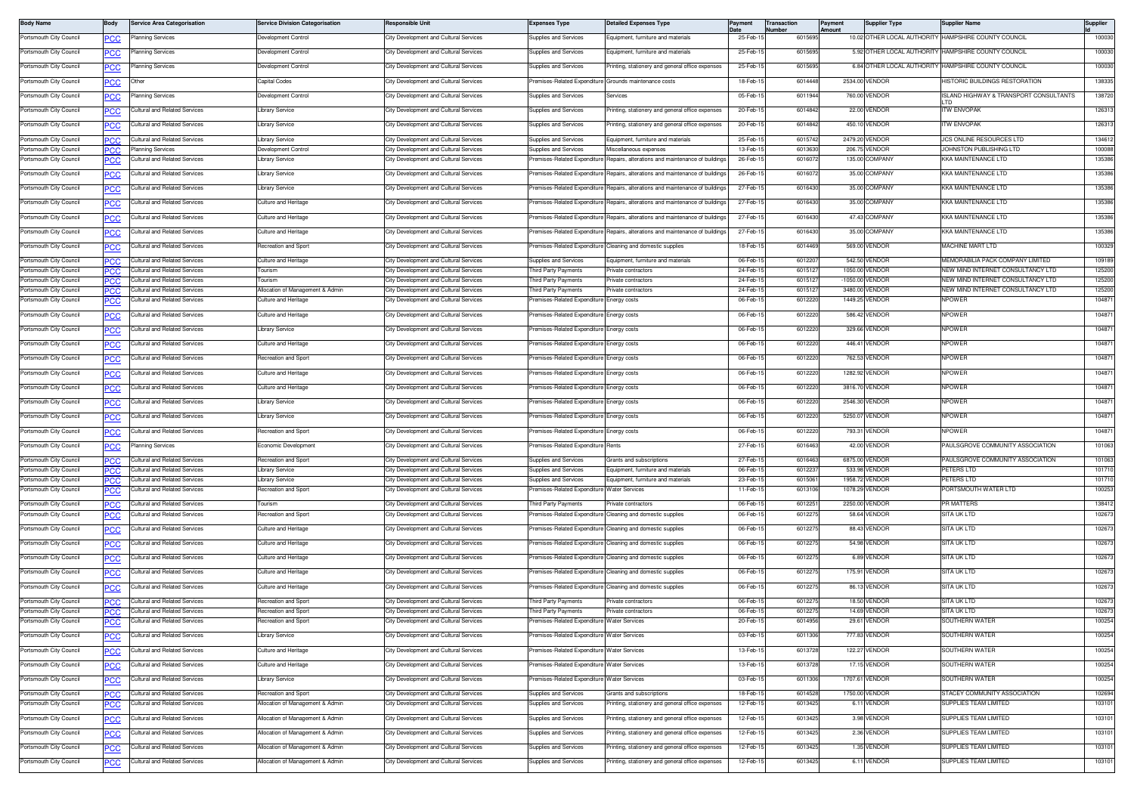| <b>Body Name</b>        | Body              | <b>Service Area Categorisation</b>   | <b>Service Division Categorisation</b> | Responsible Uni                        | <b>Expenses Type</b>                                  | <b>Detailed Expenses Type</b>                              | Payment  | Transaction<br>lumber | Payment<br>Amount | <b>Supplier Type</b>        | <b>Supplier Name</b>                   | Supplier |
|-------------------------|-------------------|--------------------------------------|----------------------------------------|----------------------------------------|-------------------------------------------------------|------------------------------------------------------------|----------|-----------------------|-------------------|-----------------------------|----------------------------------------|----------|
| Portsmouth City Council | <b>CC</b>         | Planning Services                    | Development Control                    | City Development and Cultural Services | upplies and Services                                  | quipment, furniture and materials                          | 25-Feb-1 | 6015695               |                   | 10.02 OTHER LOCAL AUTHORITY | HAMPSHIRE COUNTY COUNCIL               | 100030   |
| Portsmouth City Council | <u>PCC</u>        | lanning Services                     | Development Control                    | City Development and Cultural Services | upplies and Services                                  | Equipment, furniture and materials                         | 25-Feb-1 | 6015695               |                   | 5.92 OTHER LOCAL AUTHORITY  | HAMPSHIRE COUNTY COUNCIL               | 100030   |
| Portsmouth City Council | <b>PCC</b>        | Planning Services                    | Development Control                    | City Development and Cultural Services | Supplies and Services                                 | Printing, stationery and general office expenses           | 25-Feb-1 | 6015695               |                   | 6.84 OTHER LOCAL AUTHORITY  | HAMPSHIRE COUNTY COUNCIL               | 100030   |
| Portsmouth City Council | <u>PCC</u>        | Other                                | Capital Codes                          | City Development and Cultural Services | remises-Related Expenditure Grounds maintenance costs |                                                            | 18-Feb-1 | 601444                |                   | 2534.00 VENDOR              | <b>HISTORIC BUILDINGS RESTORATION</b>  | 138335   |
| Portsmouth City Council | <b>PCC</b>        | Planning Services                    | Development Control                    | City Development and Cultural Services | upplies and Services                                  | Services                                                   | 05-Feb-1 | 6011944               |                   | 760.00 VENDOR               | ISLAND HIGHWAY & TRANSPORT CONSULTANTS | 138720   |
| Portsmouth City Council | <b>CC</b>         | Cultural and Related Services        | Library Service                        | City Development and Cultural Services | upplies and Services                                  | Printing, stationery and general office expenses           | 20-Feb-1 | 6014842               |                   | 22.00 VENDOR                | TW ENVOPAK                             | 126313   |
| Portsmouth City Council | <b>PCC</b>        | Cultural and Related Services        | Library Service                        | City Development and Cultural Services | upplies and Services                                  | Printing, stationery and general office expenses           | 20-Feb-1 | 6014842               |                   | 450.10 VENDOR               | TW ENVOPAK                             | 126313   |
| Portsmouth City Council |                   | Cultural and Related Services        | Library Service                        | City Development and Cultural Services | <b>Supplies and Services</b>                          | Equipment, furniture and materials                         | 25-Feb-1 | 6015742               |                   | 2479.20 VENDOR              | <b>JCS ONLINE RESOURCES LTD</b>        | 134612   |
| Portsmouth City Council | <b>PCC</b>        | Planning Services                    | Development Control                    | City Development and Cultural Services | Supplies and Services                                 | Miscellaneous expenses                                     | 13-Feb-1 | 6013630               |                   | 206.75 VENDOR               | JOHNSTON PUBLISHING LTD                | 100088   |
| Portsmouth City Council | <u>PCC</u>        | ultural and Related Services         | Library Service                        | City Development and Cultural Services | remises-Related Expenditure                           | Repairs, alterations and maintenance of buildings          | 26-Feb-1 | 6016072               |                   | 135.00 COMPANY              | <b>KA MAINTENANCE LTD</b>              | 135386   |
| Portsmouth City Council | <u>PCC</u>        | ultural and Related Services         | Library Service                        | City Development and Cultural Services | remises-Related Expenditure                           | Repairs, alterations and maintenance of building:          | 26-Feb-1 | 601607                |                   | 35.00 COMPANY               | <b>KA MAINTENANCE LTD</b>              | 135386   |
| Portsmouth City Council | <u>PCC</u>        | Cultural and Related Services        | Library Service                        | City Development and Cultural Services | remises-Related Expenditure                           | Repairs, alterations and maintenance of buildings          | 27-Feb-1 | 6016430               |                   | 35.00 COMPANY               | KKA MAINTENANCE LTD                    | 135386   |
| Portsmouth City Council | PCC               | Cultural and Related Services        | Culture and Heritage                   | City Development and Cultural Services | remises-Related Expenditure                           | Repairs, alterations and maintenance of building:          | 27-Feb-1 | 6016430               |                   | 35.00 COMPANY               | KKA MAINTENANCE LTD                    | 135386   |
| Portsmouth City Council |                   | ultural and Related Services         | Culture and Heritage                   | City Development and Cultural Services | emises-Related Expenditure                            | Repairs, alterations and maintenance of buildings          | 27-Feb-1 | 6016430               |                   | 47.43 COMPANY               | KKA MAINTENANCE LTD                    | 135386   |
| Portsmouth City Council | PCC               | Cultural and Related Services        | Culture and Heritage                   | City Development and Cultural Services | remises-Related Expenditure                           | Repairs, alterations and maintenance of buildings          | 27-Feb-1 | 6016430               |                   | 35.00 COMPANY               | KKA MAINTENANCE LTD                    | 135386   |
| Portsmouth City Council | <u>PCC</u>        | ultural and Related Services         | Recreation and Sport                   | City Development and Cultural Services | remises-Related Expenditure                           | Cleaning and domestic supplies                             | 18-Feb-1 | 601446                |                   | 569.00 VENDOR               | <b>MACHINE MART LTD</b>                | 100329   |
| Portsmouth City Council |                   | Cultural and Related Services        | <b>Culture and Heritage</b>            | City Development and Cultural Services | Supplies and Services                                 | Equipment, furniture and materials                         | 06-Feb-1 | 601220                |                   | 542.50 VENDOR               | MEMORABILIA PACK COMPANY LIMITED       | 109189   |
| Portsmouth City Council | PCC<br>IPCC       | ultural and Related Services         | <b>Tourism</b>                         | City Development and Cultural Services | hird Party Payments                                   | Private contractors                                        | 24-Feb-  | 601512                |                   | 1050.00 VENDOR              | VEW MIND INTERNET CONSULTANCY LTD      | 125200   |
| Portsmouth City Council | PСC               | Cultural and Related Services        | Tourism                                | City Development and Cultural Services | hird Party Payments                                   | Private contractors                                        | 24-Feb-1 | 6015127               |                   | -1050.00 VENDOR             | NEW MIND INTERNET CONSULTANCY LTD      | 125200   |
| Portsmouth City Council | PCC               | Cultural and Related Services        | Allocation of Management & Admin       | City Development and Cultural Services | hird Party Payments                                   | rivate contractors                                         | 24-Feb-1 | 601512                |                   | 3480.00 VENDOR              | NEW MIND INTERNET CONSULTANCY LTD      | 125200   |
| Portsmouth City Council | сc                | ultural and Related Services         | <b>Culture and Heritage</b>            | City Development and Cultural Services | remises-Related Expenditure                           | Energy costs                                               | 06-Feb-1 | 6012220               |                   | 1449.25 VENDOR              | <b>NPOWER</b>                          | 104871   |
| Portsmouth City Council | <b>PCC</b>        | Cultural and Related Services        | Culture and Heritage                   | City Development and Cultural Services | remises-Related Expenditure Energy costs              |                                                            | 06-Feb-1 | 6012220               |                   | 586.42 VENDOR               | <b>NPOWER</b>                          | 104871   |
| Portsmouth City Council | <u>PCC</u>        | Cultural and Related Services        | ibrary Service                         | City Development and Cultural Services | remises-Related Expenditure                           | Energy costs                                               | 06-Feb-1 | 6012220               |                   | 329.66 VENDOR               | <b>NPOWER</b>                          | 104871   |
| Portsmouth City Council | <u>PCC</u>        | Cultural and Related Services        | Culture and Heritage                   | City Development and Cultural Services | remises-Related Expenditure                           | Energy costs                                               | 06-Feb-1 | 6012220               |                   | 446.41 VENDOR               | <b>NPOWER</b>                          | 104871   |
| Portsmouth City Council | <u>CC</u>         | Cultural and Related Services        | Recreation and Sport                   | City Development and Cultural Services | emises-Related Expenditure                            | Energy costs                                               | 06-Feb-  | 601222                |                   | 762.53 VENDOR               | <b>IPOWER</b>                          | 104871   |
| Portsmouth City Council | ٥с                | Cultural and Related Services        | Culture and Heritage                   | City Development and Cultural Services | remises-Related Expenditure                           | Energy costs                                               | 06-Feb-1 | 6012220               |                   | 1282.92 VENDOR              | <b>IPOWER</b>                          | 104871   |
| Portsmouth City Council | <u>PCC</u>        | Cultural and Related Services        | Culture and Heritage                   | City Development and Cultural Services | remises-Related Expenditure                           | Energy costs                                               | 06-Feb-  | 6012220               |                   | 3816.70 VENDOR              | <b>NPOWER</b>                          | 104871   |
| Portsmouth City Council | <u>PCC</u>        | Cultural and Related Services        | Library Service                        | City Development and Cultural Services | remises-Related Expenditure                           | Energy costs                                               | 06-Feb-1 | 6012220               |                   | 2546.30 VENDOR              | <b>NPOWER</b>                          | 104871   |
| Portsmouth City Council | <u>PCC</u>        | Cultural and Related Services        | Library Service                        | City Development and Cultural Services | remises-Related Expenditure                           | Energy costs                                               | 06-Feb-1 | 6012220               |                   | 5250.07 VENDOR              | <b>NPOWER</b>                          | 104871   |
| Portsmouth City Council | <u>CC</u>         | Cultural and Related Services        | Recreation and Sport                   | City Development and Cultural Services | emises-Related Expenditure                            | Energy costs                                               | 06-Feb-1 | 6012220               |                   | 793.31 VENDOR               | <b>IPOWER</b>                          | 104871   |
| Portsmouth City Council | PСC               | Planning Services                    | Economic Development                   | City Development and Cultural Services | remises-Related Expenditure                           | Rents                                                      | 27-Feb-1 | 6016463               |                   | 42.00 VENDOR                | PAULSGROVE COMMUNITY ASSOCIATION       | 101063   |
| Portsmouth City Council | <b>PCC</b>        | Cultural and Related Services        | Recreation and Sport                   | City Development and Cultural Services | <b>Supplies and Services</b>                          | Grants and subscriptions                                   | 27-Feb-1 | 601646                |                   | 6875.00 VENDOR              | PAULSGROVE COMMUNITY ASSOCIATION       | 101063   |
| Portsmouth City Council | °СС               | <b>Cultural and Related Services</b> | ibrary Service                         | City Development and Cultural Services | Supplies and Services                                 | Equipment, furniture and materials                         | 06-Feb-  | 601223                |                   | 533.98 VENDOR               | <b>PETERS LTD</b>                      | 101710   |
| Portsmouth City Council | PCC               | <b>Cultural and Related Services</b> | ibrary Service                         | City Development and Cultural Services | upplies and Services                                  | Equipment, furniture and materials                         | 23-Feb-1 | 601506                |                   | 1958.72 VENDOR              | <b>PETERS LTD</b>                      | 101710   |
| Portsmouth City Council | PСC               | ultural and Related Services         | Recreation and Sport                   | City Development and Cultural Services | remises-Related Expenditure                           | <b>Water Services</b>                                      | 11-Feb-1 | 6013106               |                   | 1078.29 VENDOR              | ORTSMOUTH WATER LTD                    | 100253   |
| Portsmouth City Council |                   | Cultural and Related Services        | Tourism                                | City Development and Cultural Services | hird Party Payments                                   | rivate contractors                                         | 06-Feb-1 | 601225                |                   | 2250.00 VENDOR              | <b>PR MATTERS</b>                      | 138412   |
| Portsmouth City Council | PCC<br><b>PCC</b> | Cultural and Related Services        | Recreation and Sport                   | City Development and Cultural Services |                                                       | emises-Related Expenditure Cleaning and domestic supplies  | 06-Feb-  | 601227                |                   | 58.64 VENDOR                | SITA UK LTD                            | 102673   |
|                         |                   |                                      |                                        |                                        |                                                       |                                                            |          |                       |                   |                             |                                        |          |
| Portsmouth City Council | <u>PCC</u>        | Cultural and Related Services        | Culture and Heritage                   | City Development and Cultural Services |                                                       | emises-Related Expenditure Cleaning and domestic supplies  | 06-Feb-1 | 601227                |                   | 88.43 VENDOR                | SITA UK LTD                            | 102673   |
| Portsmouth City Council | <u>PCC</u>        | Cultural and Related Services        | Culture and Heritage                   | City Development and Cultural Services |                                                       | remises-Related Expenditure Cleaning and domestic supplies | 06-Feb-1 | 601227                |                   | 54.98 VENDOR                | SITA UK LTD                            | 102673   |
| Portsmouth City Council | <u>PCC</u>        | Cultural and Related Services        | Culture and Heritage                   | City Development and Cultural Services |                                                       | remises-Related Expenditure Cleaning and domestic supplies | 06-Feb-1 | 601227                |                   | 6.89 VENDOR                 | SITA UK LTD                            | 102673   |
| Portsmouth City Council | <u>PCC</u>        | Cultural and Related Services        | Culture and Heritage                   | City Development and Cultural Services | remises-Related Expenditure                           | Cleaning and domestic supplies                             | 06-Feb-1 | 601227                |                   | 175.91 VENDOR               | SITA UK LTD                            | 102673   |
| Portsmouth City Council | <b>CC</b>         | Cultural and Related Services        | Culture and Heritage                   | City Development and Cultural Services |                                                       | remises-Related Expenditure Cleaning and domestic supplies | 06-Feb-1 | 601227                |                   | 86.13 VENDOR                | SITA UK LTD                            | 102673   |
| Portsmouth City Council | ∍сс               | Cultural and Related Services        | Recreation and Sport                   | City Development and Cultural Services | hird Party Payments                                   | rivate contractors                                         | 06-Feb-  | 601227                |                   | 18.50 VENDOR                | SITA UK LTD                            | 102673   |
| Portsmouth City Council | PСC               | Cultural and Related Services        | Recreation and Sport                   | City Development and Cultural Services | hird Party Payments                                   | Private contractors                                        | 06-Feb-  | 601227                |                   | 14.69 VENDOR                | SITA UK LTD                            | 102673   |
| Portsmouth City Council |                   | <b>Cultural and Related Services</b> | Recreation and Sport                   | City Development and Cultural Services | remises-Related Expenditure Water Services            |                                                            | 20-Feb-1 | 6014956               |                   | 29.61 VENDOR                | SOUTHERN WATER                         | 100254   |
| Portsmouth City Council | <b>PCC</b>        | Cultural and Related Services        | Library Service                        | City Development and Cultural Services | remises-Related Expenditure Water Services            |                                                            | 03-Feb-1 | 6011306               |                   | 777.83 VENDOR               | SOUTHERN WATER                         | 100254   |
| Portsmouth City Council | <b>PCC</b>        | Cultural and Related Services        | Culture and Heritage                   | City Development and Cultural Services | remises-Related Expenditure Water Services            |                                                            | 13-Feb-1 | 6013728               |                   | 122.27 VENDOR               | SOUTHERN WATER                         | 100254   |
| Portsmouth City Council | <u>PCC</u>        | Cultural and Related Services        | Culture and Heritage                   | City Development and Cultural Services | remises-Related Expenditure Water Services            |                                                            | 13-Feb-1 | 6013728               |                   | 17.15 VENDOR                | SOUTHERN WATER                         | 100254   |
| Portsmouth City Council | <u>PCC</u>        | Cultural and Related Services        | Library Service                        | City Development and Cultural Services | remises-Related Expenditure                           | Water Services                                             | 03-Feb-1 | 6011306               |                   | 1707.61 VENDOR              | SOUTHERN WATER                         | 100254   |
| Portsmouth City Council | PСC               | Cultural and Related Services        | Recreation and Sport                   | City Development and Cultural Services | upplies and Services                                  | <b>Grants and subscriptions</b>                            | 18-Feb-1 | 6014528               |                   | 1750.00 VENDOR              | STACEY COMMUNITY ASSOCIATION           | 102694   |
| Portsmouth City Council | °СС               | ultural and Related Services         | Allocation of Management & Admin       | City Development and Cultural Services | upplies and Services                                  | rinting, stationery and general office expenses            | 12-Feb-1 | 6013425               |                   | 6.11 VENDOR                 | SUPPLIES TEAM LIMITED                  | 103101   |
| Portsmouth City Council | PCC               | ultural and Related Services         | Allocation of Management & Admin       | City Development and Cultural Services | upplies and Services                                  | rinting, stationery and general office expenses            | 12-Feb-1 | 601342                |                   | 3.98 VENDOR                 | SUPPLIES TEAM LIMITED                  | 103101   |
| Portsmouth City Council | <u>PCC</u>        | Cultural and Related Services        | Allocation of Management & Admin       | City Development and Cultural Services | Supplies and Services                                 | Printing, stationery and general office expenses           | 12-Feb-1 | 6013425               |                   | 2.36 VENDOR                 | SUPPLIES TEAM LIMITED                  | 103101   |
| Portsmouth City Council | <u>PCC</u>        | ultural and Related Services         | Allocation of Management & Admin       | City Development and Cultural Services | upplies and Services                                  | rinting, stationery and general office expenses            | 12-Feb-1 | 601342                |                   | 1.35 VENDOR                 | SUPPLIES TEAM LIMITED                  | 103101   |
| Portsmouth City Council | <u>PCC</u>        | Cultural and Related Services        | Allocation of Management & Admin       | City Development and Cultural Services | Supplies and Services                                 | Printing, stationery and general office expenses           | 12-Feb-1 | 6013425               |                   | 6.11 VENDOR                 | SUPPLIES TEAM LIMITED                  | 103101   |
|                         |                   |                                      |                                        |                                        |                                                       |                                                            |          |                       |                   |                             |                                        |          |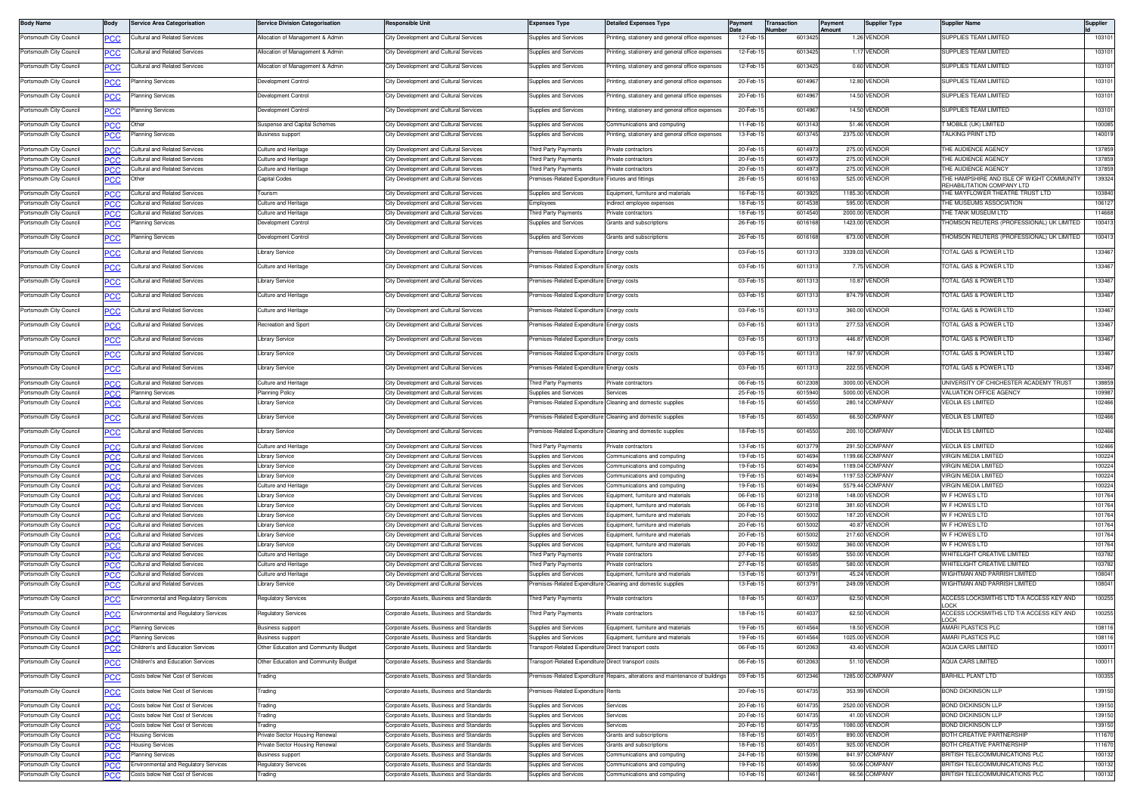| <b>Body Name</b>                                   | Body              | <b>Service Area Categorisation</b>                                        | <b>Service Division Categorisation</b>         | Responsible Unit                                                                        | Expenses Type                                         | Detailed Expenses Type                                                  | Pavment               | <b>Transaction</b><br><b>Number</b> | Payment<br><b>Amount</b> | Supplier Type                      | Supplier Name                                                       | Supplier         |
|----------------------------------------------------|-------------------|---------------------------------------------------------------------------|------------------------------------------------|-----------------------------------------------------------------------------------------|-------------------------------------------------------|-------------------------------------------------------------------------|-----------------------|-------------------------------------|--------------------------|------------------------------------|---------------------------------------------------------------------|------------------|
| Portsmouth City Council                            |                   | Cultural and Related Services                                             | Allocation of Management & Admin               | City Development and Cultural Services                                                  | <b>Supplies and Services</b>                          | rinting, stationery and general office expenses                         | 12-Feb-1              | 6013425                             |                          | 1.26 VENDOR                        | SUPPLIES TEAM LIMITED                                               | 103101           |
| Portsmouth City Council                            | <u>PCC</u>        | Cultural and Related Services                                             | Allocation of Management & Admin               | City Development and Cultural Services                                                  | Supplies and Services                                 | rinting, stationery and general office expenses                         | 12-Feb-1              | 6013425                             |                          | 1.17 VENDOR                        | SUPPLIES TEAM LIMITED                                               | 103101           |
| Portsmouth City Council                            |                   | ultural and Related Services                                              | Allocation of Management & Admin               | City Development and Cultural Services                                                  | upplies and Services                                  | inting, stationery and general office expenses                          | 12-Feb-1              | 6013425                             |                          | 0.60 VENDOR                        | SUPPLIES TEAM LIMITED                                               | 103101           |
| Portsmouth City Council                            |                   | lanning Services                                                          | Development Control                            | City Development and Cultural Services                                                  | Supplies and Services                                 | rinting, stationery and general office expenses                         | 20-Feb-1              | 601496                              |                          | 12.80 VENDOR                       | SUPPLIES TEAM LIMITED                                               | 103101           |
|                                                    |                   |                                                                           |                                                |                                                                                         |                                                       |                                                                         |                       |                                     |                          | 14.50 VENDOR                       |                                                                     |                  |
| Portsmouth City Council                            | <u>PCC</u>        | Planning Services                                                         | Development Control                            | City Development and Cultural Services                                                  | Supplies and Services                                 | rinting, stationery and general office expenses                         | 20-Feb-1              | 601496                              |                          |                                    | SUPPLIES TEAM LIMITED                                               | 103101           |
| Portsmouth City Council                            | <u>PCC</u>        | Planning Services                                                         | Development Control                            | City Development and Cultural Services                                                  | Supplies and Services                                 | rinting, stationery and general office expenses                         | 20-Feb-1              | 6014967                             |                          | 14.50 VENDOR                       | SUPPLIES TEAM LIMITED                                               | 103101           |
| Portsmouth City Council                            | <b>PCC</b>        | Other                                                                     | Suspense and Capital Schemes                   | City Development and Cultural Services                                                  | Supplies and Services                                 | Communications and computing                                            | 11-Feb-1              | 601314                              |                          | 51.46 VENDOR                       | " MOBILE (UK) LIMITED                                               | 100085           |
| Portsmouth City Council                            | PCC               | Planning Services                                                         | Business support                               | City Development and Cultural Services                                                  | Supplies and Services                                 | rinting, stationery and general office expenses                         | 13-Feb-1              | 6013745                             |                          | 2375.00 VENDOR                     | FALKING PRINT LTD                                                   | 140019           |
| Portsmouth City Council<br>Portsmouth City Council | <b>PCC</b>        | Cultural and Related Services<br><b>Cultural and Related Services</b>     | Culture and Heritage<br>Culture and Heritage   | City Development and Cultural Services                                                  | Third Party Payments                                  | rivate contractors                                                      | 20-Feb-1              | 601497<br>601497                    |                          | 275.00 VENDOR<br>275.00 VENDOR     | THE AUDIENCE AGENCY<br>THE AUDIENCE AGENCY                          | 137859<br>137859 |
| Portsmouth City Council                            | IPC.C             | Cultural and Related Services                                             | Culture and Heritage                           | City Development and Cultural Services<br>City Development and Cultural Services        | hird Party Payments<br>'hird Party Payments           | rivate contractors<br>Private contractors                               | 20-Feb-1<br>20-Feb-1  | 601497                              |                          | 275.00 VENDOR                      | THE AUDIENCE AGENCY                                                 | 137859           |
| Portsmouth City Council                            |                   |                                                                           | Capital Codes                                  | City Development and Cultural Services                                                  | remises-Related Expenditure                           | Fixtures and fittings                                                   | 26-Feb-1              | 601616                              |                          | 525.00 VENDOR                      | THE HAMPSHIRE AND ISLE OF WIGHT COMMUNITY                           | 139324           |
| Portsmouth City Council                            | <b>PCC.</b>       | Cultural and Related Services                                             | Tourism                                        | City Development and Cultural Services                                                  | Supplies and Services                                 | Equipment, furniture and materials                                      | 16-Feb-1              | 601392                              |                          | 1185.30 VENDOR                     | REHABILITATION COMPANY LTD<br>THE MAYFLOWER THEATRE TRUST LTD       | 103840           |
| Portsmouth City Council                            |                   | Cultural and Related Services                                             | Culture and Heritage                           | City Development and Cultural Services                                                  | Emplovees                                             | ndirect employee expenses                                               | 18-Feb-1              | 601453                              |                          | 595,00 VENDOR                      | THE MUSEUMS ASSOCIATION                                             | 106127           |
| Portsmouth City Council                            | PCC               | <b>Cultural and Related Services</b>                                      | Culture and Heritage                           | City Development and Cultural Services                                                  | hird Party Payments                                   | rivate contractors                                                      | 18-Feb-1              | 601454                              |                          | 2000.00 VENDOR                     | <b>HE TANK MUSEUM LTD</b>                                           | 114668           |
| Portsmouth City Council                            | <u>CC</u>         | Planning Services                                                         | Development Control                            | City Development and Cultural Services                                                  | Supplies and Services                                 | Grants and subscriptions                                                | 26-Feb-1              | 6016168                             |                          | 1423.00 VENDOR                     | HOMSON REUTERS (PROFESSIONAL) UK LIMITED                            | 100413           |
| Portsmouth City Council                            | <u>PCC</u>        | lanning Services                                                          | Development Control                            | City Development and Cultural Services                                                  | Supplies and Services                                 | Grants and subscriptions                                                | 26-Feb-1              | 601616                              | 673.00                   | VENDOR                             | HOMSON REUTERS (PROFESSIONAL) UK LIMITED                            | 100413           |
| Portsmouth City Council                            |                   | ultural and Related Services                                              | Library Service                                | City Development and Cultural Services                                                  | remises-Related Expenditure                           | Energy costs                                                            | 03-Feb-1              | 601131                              |                          | 3339.03 VENDOR                     | OTAL GAS & POWER LTD                                                | 133467           |
| Portsmouth City Council                            |                   | ultural and Related Services                                              | Culture and Heritage                           | City Development and Cultural Services                                                  | remises-Related Expenditure                           | nergy costs                                                             | 03-Feb-1              | 6011313                             |                          | 7.75 VENDOR                        | <b>FOTAL GAS &amp; POWER LTD</b>                                    | 133467           |
| Portsmouth City Council                            | PCC               | Cultural and Related Services                                             | Library Service                                | City Development and Cultural Services                                                  | remises-Related Expenditure                           | nergy costs                                                             | 03-Feb-1              | 601131                              |                          | 10.87 VENDOR                       | OTAL GAS & POWER LTD                                                | 133467           |
| Portsmouth City Council                            | <u>PCC</u>        | Cultural and Related Services                                             | Culture and Heritage                           | City Development and Cultural Services                                                  | Premises-Related Expenditure                          | Energy costs                                                            | 03-Feb-1              | 6011313                             |                          | 874.79 VENDOR                      | TOTAL GAS & POWER LTD                                               | 133467           |
| Portsmouth City Council                            | <u>PCC</u>        | ultural and Related Services                                              | Culture and Heritage                           | City Development and Cultural Services                                                  | remises-Related Expenditure                           | Energy costs                                                            | 03-Feb-1              | 601131                              |                          | 360.00 VENDOR                      | OTAL GAS & POWER LTD                                                | 133467           |
| Portsmouth City Council                            |                   | ultural and Related Services                                              | Recreation and Sport                           | City Development and Cultural Services                                                  | remises-Related Expenditure                           | Energy costs                                                            | 03-Feb-1              | 601131                              |                          | 277.53 VENDOR                      | <b>FOTAL GAS &amp; POWER LTD</b>                                    | 133467           |
| Portsmouth City Council                            | PCC               | ultural and Related Services                                              | <b>Library Service</b>                         | City Development and Cultural Services                                                  | remises-Related Expenditure                           | nergy costs                                                             | 03-Feb-1              | 6011313                             |                          | 446.87 VENDOR                      | <b>FOTAL GAS &amp; POWER LTD</b>                                    | 133467           |
| Portsmouth City Council                            | PCC               | ultural and Related Services                                              | Library Service                                | City Development and Cultural Services                                                  | remises-Related Expenditure                           | nergy costs                                                             | 03-Feb-1              | 601131                              |                          | 167.97 VENDOR                      | OTAL GAS & POWER LTD                                                | 133467           |
| Portsmouth City Council                            | <u>PCC</u>        | Cultural and Related Services                                             | Library Service                                | City Development and Cultural Services                                                  | Premises-Related Expenditure Energy costs             |                                                                         | 03-Feb-1              | 6011313                             |                          | 222.55 VENDOR                      | <b>FOTAL GAS &amp; POWER LTD</b>                                    | 133467           |
| Portsmouth City Council                            | <b>PCC</b>        | <b>Cultural and Related Services</b>                                      | Culture and Heritage                           | City Development and Cultural Services                                                  | hird Party Payments                                   | rivate contractors                                                      | 06-Feb-1              | 601230                              |                          | 3000.00 VENDOR                     | JNIVERSITY OF CHICHESTER ACADEMY TRUST                              | 138859           |
| Portsmouth City Council                            | °CC               | Planning Services                                                         | Planning Polic                                 | <b>City Development and Cultural Services</b>                                           | Supplies and Services                                 | Services                                                                | 25-Feb-1              | 601594                              |                          | 5000.00 VENDOR                     | <b>/ALUATION OFFICE AGENCY</b>                                      | 109987           |
| Portsmouth City Council                            | PCC               | ultural and Related Services                                              | Library Service                                | City Development and Cultural Services                                                  | remises-Related Expenditure                           | Cleaning and domestic supplies                                          | 18-Feb-1              | 6014550                             |                          | 280.14 COMPANY                     | <b>/EOLIA ES LIMITED</b>                                            | 102466           |
| Portsmouth City Council                            | <u>PCC</u>        | Cultural and Related Services                                             | Library Service                                | City Development and Cultural Services                                                  | Premises-Related Expenditure                          | Cleaning and domestic supplies                                          | 18-Feb-1              | 6014550                             |                          | 66.50 COMPANY                      | VEOLIA ES LIMITED                                                   | 102466           |
| Portsmouth City Council                            | <b>PCC</b>        | Cultural and Related Services                                             | Library Service                                | City Development and Cultural Services                                                  |                                                       | remises-Related Expenditure Cleaning and domestic supplies              | 18-Feb-1              | 601455                              |                          | 200.10 COMPANY                     | VEOLIA ES LIMITED                                                   | 102466           |
| Portsmouth City Council                            | PCC               | <b>Cultural and Related Services</b>                                      | Culture and Heritage                           | City Development and Cultural Service                                                   | hird Party Payments                                   | rivate contractors                                                      | 13-Feb-1              | 60137                               |                          | 291.50 COMPANY                     | <b>/EOLIA ES LIMITED</b>                                            | 102466           |
| Portsmouth City Council                            | <b>PCC</b>        | <b>Cultural and Related Services</b>                                      | Library Service                                | City Development and Cultural Services                                                  | Supplies and Services                                 | Communications and computing                                            | 19-Feb-1              | 601469                              |                          | 1199.66 COMPANY                    | /IRGIN MEDIA LIMITED                                                | 100224           |
| Portsmouth City Council<br>Portsmouth City Council | PCC               | Cultural and Related Services<br>Cultural and Related Services            | Library Service                                | City Development and Cultural Services<br>City Development and Cultural Services        | Supplies and Services<br>Supplies and Services        | Communications and computing<br>Communications and computing            | 19-Feb-1<br>19-Feb-1  | 6014694<br>601469                   |                          | 1189.04 COMPANY<br>1197.53 COMPANY | /IRGIN MEDIA LIMITED<br>VIRGIN MEDIA LIMITED                        | 100224<br>100224 |
| Portsmouth City Council                            | <b>PCC</b>        | <b>Cultural and Related Services</b>                                      | <b>Library Service</b><br>Culture and Heritage | City Development and Cultural Services                                                  | Supplies and Services                                 | Communications and computing                                            | 19-Feb-1              | 601469                              |                          | 5579.44 COMPANY                    | VIRGIN MEDIA LIMITED                                                | 100224           |
| Portsmouth City Council                            | PCC               | Cultural and Related Services                                             | Library Service                                | City Development and Cultural Services                                                  | Supplies and Services                                 | Equipment, furniture and materials                                      | 06-Feb-1              | 60123                               | 148.00                   | VENDOR                             | <b>V F HOWES LTD</b>                                                | 101764           |
| Portsmouth City Council                            | PCC               | Cultural and Related Services                                             | Library Service                                | City Development and Cultural Services                                                  | Supplies and Services                                 | Equipment, furniture and materials                                      | 06-Feb-               | 601231                              | 381.60                   | VENDOF                             | W F HOWES LTD                                                       | 101764           |
| Portsmouth City Council<br>Portsmouth City Council |                   | <b>Cultural and Related Services</b><br>Cultural and Related Services     | Library Service<br><b>Library Service</b>      | City Development and Cultural Services<br>City Development and Cultural Services        | Supplies and Services<br>Supplies and Services        | Equipment, furniture and materials<br>Equipment, furniture and material | 20-Feb-1<br>20-Feb-1  | 601500<br>601500                    | 187.20                   | VENDOF<br>40.87 VENDOR             | W F HOWES LTD<br>W F HOWES LTD                                      | 101764<br>101764 |
| Portsmouth City Council                            | PCC.              | <b>Cultural and Related Services</b>                                      | Library Service                                | City Development and Cultural Services                                                  | Supplies and Services                                 | Equipment, furniture and material                                       | 20-Feb-1              | 601500                              |                          | 217.60 VENDOR                      | W F HOWES LTD                                                       | 101764           |
| Portsmouth City Council                            | <b>PCC</b>        | <b>Cultural and Related Services</b>                                      | Library Service                                | City Development and Cultural Services                                                  | Supplies and Services                                 | Equipment, furniture and materials                                      | 20-Feb-1              | 601500                              |                          | 360.00 VENDOF                      | W F HOWES LTD                                                       | 101764           |
| Portsmouth City Council                            |                   | Cultural and Related Services                                             | Culture and Heritage                           | City Development and Cultural Services                                                  | 'hird Party Payments                                  | rivate contractors                                                      | 27-Feb-1              | 601658                              |                          | 550.00 VENDOR                      | WHITELIGHT CREATIVE LIMITED                                         | 103782           |
| Portsmouth City Council                            | <b>PCC</b>        | Cultural and Related Services<br><b>Cultural and Related Services</b>     | Culture and Heritage                           | City Development and Cultural Services<br><b>City Development and Cultural Services</b> | hird Party Payments                                   | rivate contractors                                                      | 27-Feb-1              | 601658                              |                          | 580.00 VENDOR                      | WHITELIGHT CREATIVE LIMITED                                         | 103782           |
| Portsmouth City Council<br>Portsmouth City Council | PCC<br><u>PCC</u> | ultural and Related Services                                              | Culture and Heritage<br>Library Service        | City Development and Cultural Services                                                  | Supplies and Services<br>remises-Related Expenditure  | Equipment, furniture and materials<br>Cleaning and domestic supplies    | 13-Feb-1<br>13-Feb-1  | 601379<br>601379                    | 249.09                   | 45.24 VENDOR<br>VENDOR             | WIGHTMAN AND PARRISH LIMITED<br><b>WIGHTMAN AND PARRISH LIMITED</b> | 108041<br>108041 |
| Portsmouth City Council                            | PСC               | nvironmental and Regulatory Services                                      | Regulatory Services                            | Corporate Assets, Business and Standards                                                | hird Party Payments                                   | rivate contractors                                                      | 18-Feb-1              | 601403                              |                          | 62.50 VENDOR                       | ACCESS LOCKSMITHS LTD T/A ACCESS KEY AND                            | 100255           |
| Portsmouth City Council                            | <b>PCC</b>        | Environmental and Regulatory Services                                     | Regulatory Services                            | Corporate Assets, Business and Standards                                                | hird Party Payments                                   | rivate contractors                                                      | 18-Feb-1              | 601403                              |                          | 62.50 VENDOR                       | OCK<br>ACCESS LOCKSMITHS LTD T/A ACCESS KEY AND                     | 100255           |
| Portsmouth City Council                            | <b>PCC</b>        | <b>Planning Services</b>                                                  | <b>Business support</b>                        | Corporate Assets, Business and Standards                                                | Supplies and Services                                 | Equipment, furniture and materials                                      | 19-Feb-15             | 6014564                             |                          | 18.50 VENDOR                       | <b>I</b> OCK<br>AMARI PLASTICS PLC                                  | 108116           |
| Portsmouth City Council                            | <b>PCC</b>        | Planning Services                                                         | <b>Business support</b>                        | Corporate Assets, Business and Standards                                                | Supplies and Services                                 | Equipment, furniture and materials                                      | 19-Feb-1              | 6014564                             |                          | 1025.00 VENDOR                     | AMARI PLASTICS PLC                                                  | 108116           |
| Portsmouth City Council                            | <u>PCC</u>        | Children's and Education Services                                         | Other Education and Community Budget           | Corporate Assets, Business and Standards                                                | ransport-Related Expenditure Direct transport costs   |                                                                         | 06-Feb-15             | 6012063                             |                          | 43.40 VENDOR                       | AQUA CARS LIMITED                                                   | 100011           |
| Portsmouth City Council                            | <b>PCC</b>        | Children's and Education Services                                         | Other Education and Community Budget           | Corporate Assets, Business and Standards                                                | Fransport-Related Expenditure Direct transport costs  |                                                                         | 06-Feb-1              | 6012063                             |                          | 51.10 VENDOR                       | <b>AQUA CARS LIMITED</b>                                            | 100011           |
| Portsmouth City Council                            | <u>PCC</u>        | Costs below Net Cost of Services                                          | Trading                                        | Corporate Assets, Business and Standards                                                | remises-Related Expenditure                           | Repairs, alterations and maintenance of buildings                       | 09-Feb-15             | 6012346                             |                          | 1285.00 COMPANY                    | <b>BARHILL PLANT LTD</b>                                            | 100355           |
| Portsmouth City Council                            | <u>PCC</u>        | Costs below Net Cost of Services                                          | Trading                                        | Corporate Assets, Business and Standards                                                | Premises-Related Expenditure Rents                    |                                                                         | 20-Feb-1              | 6014735                             |                          | 353.99 VENDOR                      | <b>BOND DICKINSON LLP</b>                                           | 139150           |
| Portsmouth City Council                            | PCC.              | Costs below Net Cost of Services                                          | Trading                                        | Corporate Assets, Business and Standards                                                | Supplies and Services                                 | Services                                                                | 20-Feb-1              | 6014735                             |                          | 2520.00 VENDOR                     | BOND DICKINSON LLP                                                  | 139150           |
| Portsmouth City Council<br>Portsmouth City Council | <b>PCC</b>        | Costs below Net Cost of Services<br>Costs below Net Cost of Services      | Trading<br>Trading                             | orporate Assets, Business and Standards<br>orporate Assets, Business and Standards      | Supplies and Services<br><b>Supplies and Services</b> | Services<br>Services                                                    | 20-Feb-1<br>20-Feb-1  | 6014735<br>6014735                  |                          | 41.00 VENDOR<br>1080.00 VENDOR     | <b>BOND DICKINSON LLP</b><br><b>BOND DICKINSON LLP</b>              | 139150<br>139150 |
| Portsmouth City Council                            | PCC.<br>PCC.      | <b>Housing Services</b>                                                   | Private Sector Housing Renewal                 | Corporate Assets, Business and Standards                                                | Supplies and Services                                 | Grants and subscriptions                                                | 18-Feb-1              | 601405                              |                          | 890.00 VENDOR                      | BOTH CREATIVE PARTNERSHIP                                           | 111670           |
| Portsmouth City Council                            | <b>PCC</b>        | Housing Services                                                          | Private Sector Housing Renewal                 | orporate Assets, Business and Standards                                                 | upplies and Services                                  | Grants and subscriptions                                                | 18-Feb-1              | 601405                              |                          | 925.00 VENDOR                      | <b>3OTH CREATIVE PARTNERSHIP</b>                                    | 111670           |
| Portsmouth City Council                            | <b>PCC</b>        | Planning Services                                                         | <b>Business support</b>                        | Corporate Assets, Business and Standards                                                | Supplies and Services                                 | ommunications and computing                                             | 24-Feb-1              | 6015096                             |                          | 841.97 COMPANY                     | BRITISH TELECOMMUNICATIONS PLC                                      | 100132           |
| Portsmouth City Council<br>Portsmouth City Council | <b>PCC</b>        | Environmental and Regulatory Services<br>Costs below Net Cost of Services | <b>Regulatory Services</b><br>Trading          | Corporate Assets, Business and Standards<br>Corporate Assets, Business and Standards    | Supplies and Services<br>Supplies and Services        | Communications and computing                                            | 19-Feb-1<br>10-Feb-15 | 6014590<br>6012461                  |                          | 50.06 COMPANY<br>66.56 COMPANY     | BRITISH TELECOMMUNICATIONS PLC<br>BRITISH TELECOMMUNICATIONS PLC    | 100132<br>100132 |
|                                                    | <b>PCC</b>        |                                                                           |                                                |                                                                                         |                                                       | Communications and computing                                            |                       |                                     |                          |                                    |                                                                     |                  |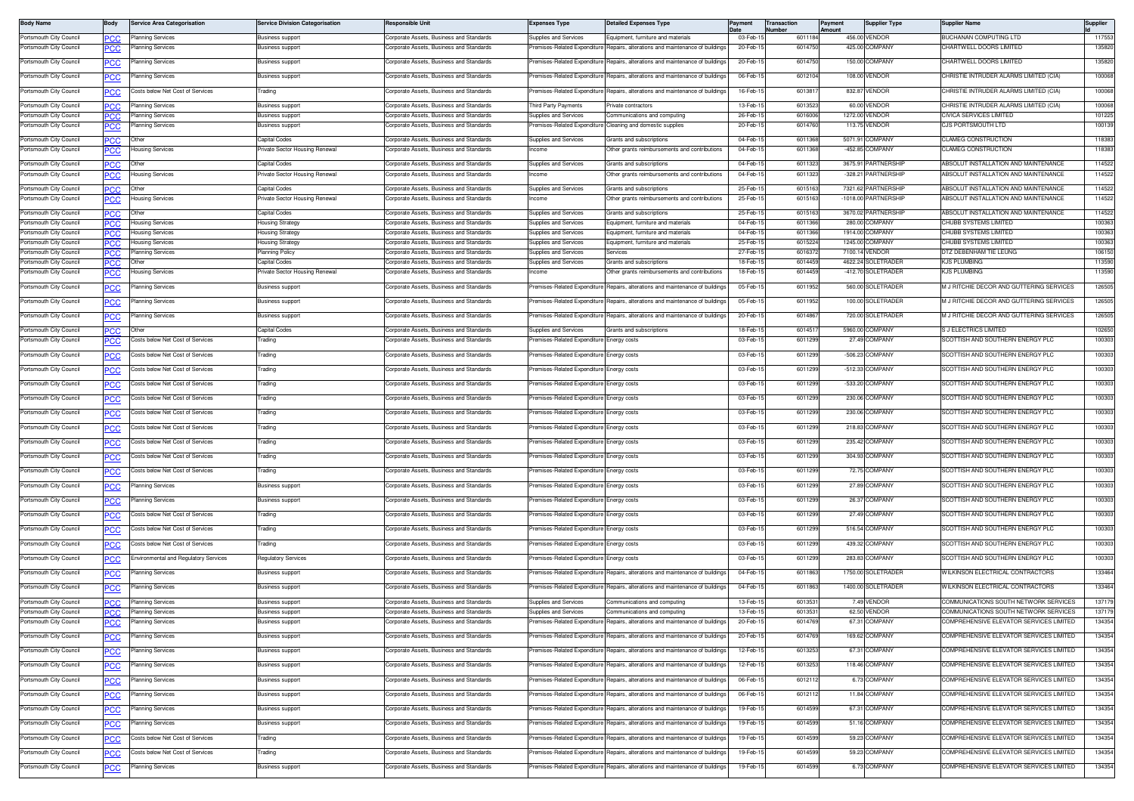| <b>Body Name</b>                                   | Body       | <b>Service Area Categorisation</b>            | <b>Service Division Categorisation</b>             | Responsible Unit                                                                     | <b>Expenses Type</b>                      | <b>Detailed Expenses Type</b>                                                                                  | Payment               | Transaction<br><b>Number</b> | Payment<br>Amount | <b>Supplier Type</b>                 | <b>Supplier Name</b>                                                             | Supplier         |
|----------------------------------------------------|------------|-----------------------------------------------|----------------------------------------------------|--------------------------------------------------------------------------------------|-------------------------------------------|----------------------------------------------------------------------------------------------------------------|-----------------------|------------------------------|-------------------|--------------------------------------|----------------------------------------------------------------------------------|------------------|
| Portsmouth City Council                            | PCC        | Planning Services                             | <b>Business support</b>                            | Corporate Assets, Business and Standards                                             | Supplies and Services                     | Equipment, furniture and materials                                                                             | 03-Feb-               | 6011184                      |                   | 456.00 VENDOR                        | <b>BUCHANAN COMPUTING LTD</b>                                                    | 117553           |
| Portsmouth City Council                            | PCC        | Planning Services                             | Business support                                   | orporate Assets, Business and Standards                                              | remises-Related Expenditure               | Repairs, alterations and maintenance of building                                                               | 20-Feb-1              | 601475                       | 425.00            | COMPANY                              | <b>CHARTWELL DOORS LIMITED</b>                                                   | 135820           |
| Portsmouth City Council                            | <u>PCC</u> | Planning Services                             | <b>Business support</b>                            | Corporate Assets, Business and Standards                                             | Premises-Related Expenditure              | Repairs, alterations and maintenance of buildings                                                              | 20-Feb-1              | 6014750                      |                   | 150.00 COMPANY                       | CHARTWELL DOORS LIMITED                                                          | 135820           |
| Portsmouth City Council                            | <u>PCC</u> | Planning Services                             | Business support                                   | Corporate Assets, Business and Standards                                             | remises-Related Expenditure               | Repairs, alterations and maintenance of building                                                               | 06-Feb-1              | 6012104                      |                   | 108.00 VENDOR                        | CHRISTIE INTRUDER ALARMS LIMITED (CIA)                                           | 100068           |
| Portsmouth City Council                            |            | Costs below Net Cost of Services              | Trading                                            | Corporate Assets, Business and Standards                                             |                                           | Premises-Related Expenditure Repairs, alterations and maintenance of building                                  | 16-Feb-1              | 601381                       |                   | 832.87 VENDOR                        | CHRISTIE INTRUDER ALARMS LIMITED (CIA)                                           | 100068           |
| Portsmouth City Council                            | <b>PCC</b> | <b>Planning Services</b>                      | <b>Business support</b>                            | Corporate Assets, Business and Standards                                             | hird Party Payments                       | rivate contractors                                                                                             | 13-Feb-1              | 601352                       |                   | 60.00 VENDOR                         | CHRISTIE INTRUDER ALARMS LIMITED (CIA)                                           | 100068           |
| Portsmouth City Council                            | IPC.C      | <b>Planning Services</b>                      | <b>Business support</b>                            | Corporate Assets, Business and Standards                                             | Supplies and Services                     | Communications and computing                                                                                   | 26-Feb-1              | 601600                       |                   | 1272.00 VENDOR                       | CIVICA SERVICES LIMITED                                                          | 101225           |
| Portsmouth City Council                            | <b>PCC</b> | Planning Services                             | Business support                                   | Corporate Assets, Business and Standards                                             |                                           | remises-Related Expenditure Cleaning and domestic supplies                                                     | 20-Feb-1              | 601476                       |                   | 113.75 VENDOR                        | CJS PORTSMOUTH LTD                                                               | 100139           |
| Portsmouth City Council                            | <b>PCC</b> |                                               | Capital Codes                                      | Corporate Assets, Business and Standards                                             | Supplies and Services                     | Grants and subscriptions                                                                                       | 04-Feb-1              | 601136                       |                   | 5071.91 COMPANY                      | CLAMEG CONSTRUCTION                                                              | 118383           |
| Portsmouth City Council                            | <b>PCC</b> | Housing Services                              | Private Sector Housing Renewal                     | Corporate Assets, Business and Standards                                             | acome                                     | Other grants reimbursements and contributions                                                                  | 04-Feb-1              | 601136                       |                   | -452.85 COMPANY                      | <b>CLAMEG CONSTRUCTION</b>                                                       | 118383           |
| Portsmouth City Council                            | PCC        |                                               | Capital Codes                                      | Corporate Assets, Business and Standards                                             | Supplies and Services                     | Grants and subscriptions                                                                                       | 04-Feb-1              | 6011323                      |                   | 3675.91 PARTNERSHIF                  | ABSOLUT INSTALLATION AND MAINTENANCE                                             | 114522           |
| Portsmouth City Council                            | PCC        | Housing Services                              | Private Sector Housing Renewal                     | Corporate Assets, Business and Standards                                             | acome                                     | Other grants reimbursements and contributions                                                                  | 04-Feb-1              | 6011323                      |                   | -328.21 PARTNERSHIP                  | ABSOLUT INSTALLATION AND MAINTENANCE                                             | 114522           |
| Portsmouth City Council                            | PCC        | Other                                         | Capital Codes                                      | orporate Assets, Business and Standards'                                             | Supplies and Services                     | <b>Grants and subscriptions</b>                                                                                | 25-Feb-1              | 601516                       |                   | 7321.62 PARTNERSHIP                  | ABSOLUT INSTALLATION AND MAINTENANCE                                             | 114522           |
| Portsmouth City Council                            | PCC        | lousing Services                              | Private Sector Housing Renewal                     | orporate Assets, Business and Standards'                                             | acome                                     | Other grants reimbursements and contribution:                                                                  | 25-Feb-1              | 6015163                      |                   | -1018.00 PARTNERSHIP                 | <b>IBSOLUT INSTALLATION AND MAINTENANCE</b>                                      | 114522           |
| Portsmouth City Council                            | PCC.       | Other                                         | Capital Codes                                      | <b>Corporate Assets, Business and Standards</b>                                      | Supplies and Services                     | Grants and subscriptions                                                                                       | 25-Feb-1              | 6015163                      |                   | 3670.02 PARTNERSHIP                  | ABSOLUT INSTALLATION AND MAINTENANCE                                             | 114522           |
| Portsmouth City Council                            | PCC.       | Housing Services                              | <b>Housing Strategy</b>                            | Corporate Assets, Business and Standards                                             | Supplies and Services                     | <b>Equipment, furniture and materials</b>                                                                      | 04-Feb-1              | 6011366                      |                   | 280.00 COMPANY                       | CHUBB SYSTEMS LIMITED                                                            | 100363           |
| Portsmouth City Counci                             | PCC.       | Housing Services                              | <del>l</del> ousing Strategy                       | orporate Assets, Business and Standards                                              | supplies and Service                      | quipment, furniture and material                                                                               | 04-Feb-1              | 601136                       |                   | 1914.00 COMPANY                      | CHUBB SYSTEMS LIMITED                                                            | 100363           |
| Portsmouth City Council                            | <b>PCC</b> | <b>Housing Services</b>                       | <b>Housing Strateg</b>                             | Corporate Assets, Business and Standards                                             | Supplies and Services                     | Equipment, furniture and materials                                                                             | 25-Feb-1              | 601522                       |                   | 1245.00 COMPANY                      | CHUBB SYSTEMS LIMITED                                                            | 100363           |
| Portsmouth City Council                            |            | Planning Services                             | Planning Policy                                    | Corporate Assets, Business and Standards                                             | <b>Supplies and Services</b>              | Services                                                                                                       | 27-Feb-1              | 601637<br>6014459            |                   | 7100.14 VENDOR<br>4622.24 SOLETRADER | <b>DTZ DEBENHAM TIE LEUNG</b><br>KJS PLUMBING                                    | 106150           |
| Portsmouth City Council<br>Portsmouth City Council | <b>PCC</b> | Other<br>lousing Services                     | Capital Codes<br>Private Sector Housing Renewal    | Corporate Assets, Business and Standards<br>Corporate Assets, Business and Standards | Supplies and Services<br>Income           | Grants and subscriptions<br>Other grants reimbursements and contributions                                      | 18-Feb-1<br>18-Feb-1  | 6014459                      |                   | -412.70 SOLETRADER                   | KJS PLUMBING                                                                     | 113590<br>113590 |
| Portsmouth City Council                            | <u>PCC</u> |                                               |                                                    |                                                                                      | Premises-Related Expenditure              | Repairs, alterations and maintenance of building                                                               | 05-Feb-1              | 6011952                      |                   | 560.00 SOLETRADER                    | M J RITCHIE DECOR AND GUTTERING SERVICES                                         | 126505           |
|                                                    | <b>PCC</b> | Planning Services                             | Business support                                   | Corporate Assets, Business and Standards                                             |                                           |                                                                                                                |                       |                              |                   |                                      |                                                                                  |                  |
| Portsmouth City Council                            |            | lanning Services                              | <b>Business support</b>                            | orporate Assets, Business and Standards'                                             | emises-Related Expenditure                | Repairs, alterations and maintenance of building                                                               | 05-Feb-1              | 6011952                      |                   | 100.00 SOLETRADER                    | M J RITCHIE DECOR AND GUTTERING SERVICES                                         | 126505           |
| Portsmouth City Council                            |            | Planning Services                             | <b>Business support</b>                            | Corporate Assets, Business and Standards                                             | remises-Related Expenditure               | Repairs, alterations and maintenance of building                                                               | 20-Feb-1              | 6014867                      |                   | 720.00 SOLETRADER                    | M J RITCHIE DECOR AND GUTTERING SERVICES                                         | 126505           |
| Portsmouth City Council                            | PCC        | Othe                                          | Capital Codes                                      | orporate Assets, Business and Standards                                              | Supplies and Services                     | <b>Grants and subscriptions</b>                                                                                | 18-Feb-1              | 601451                       |                   | 5960.00 COMPANY                      | S J ELECTRICS LIMITED                                                            | 102650           |
| Portsmouth City Council                            |            | Costs below Net Cost of Services              | Trading                                            | orporate Assets, Business and Standards                                              | remises-Related Expenditure               | inergy costs                                                                                                   | 03-Feb-1              | 6011299                      |                   | 27.49 COMPANY                        | SCOTTISH AND SOUTHERN ENERGY PLC                                                 | 100303           |
| Portsmouth City Council                            | <u>PCC</u> | Costs below Net Cost of Services              | Trading                                            | orporate Assets, Business and Standards                                              | remises-Related Expenditure               | Energy costs                                                                                                   | 03-Feb-1              | 6011299                      |                   | -506.23 COMPANY                      | SCOTTISH AND SOUTHERN ENERGY PLC                                                 | 100303           |
| Portsmouth City Council                            | <u>PCC</u> | Costs below Net Cost of Services              | Trading                                            | Corporate Assets, Business and Standards                                             | Premises-Related Expenditure              | Energy costs                                                                                                   | 03-Feb-1              | 6011299                      |                   | -512.33 COMPANY                      | SCOTTISH AND SOUTHERN ENERGY PLC                                                 | 100303           |
| Portsmouth City Council                            | <b>PCC</b> | Costs below Net Cost of Services              | Trading                                            | Corporate Assets, Business and Standards                                             | remises-Related Expenditure I             | Energy costs                                                                                                   | 03-Feb-1              | 6011299                      |                   | -533.20 COMPANY                      | SCOTTISH AND SOUTHERN ENERGY PLC                                                 | 100303           |
| Portsmouth City Council                            | <u>PCC</u> | osts below Net Cost of Services               | rading                                             | orporate Assets, Business and Standards                                              | emises-Related Expenditure                | nergy costs                                                                                                    | 03-Feb-1              | 6011299                      |                   | 230.06 COMPANY                       | SCOTTISH AND SOUTHERN ENERGY PLC                                                 | 100303           |
| Portsmouth City Council                            | PCC        | Costs below Net Cost of Services              | Trading                                            | Corporate Assets, Business and Standards                                             | remises-Related Expenditure               | nergy costs                                                                                                    | 03-Feb-1              | 6011299                      |                   | 230.06 COMPANY                       | SCOTTISH AND SOUTHERN ENERGY PLC                                                 | 100303           |
| Portsmouth City Council                            | <u>PCC</u> | Costs below Net Cost of Services              | Trading                                            | orporate Assets, Business and Standards                                              | remises-Related Expenditure               | nergy costs                                                                                                    | 03-Feb-1              | 601129                       |                   | 218.83 COMPANY                       | SCOTTISH AND SOUTHERN ENERGY PLC                                                 | 100303           |
| Portsmouth City Council                            | <u>PCC</u> | Costs below Net Cost of Services              | Trading                                            | Corporate Assets, Business and Standards                                             | remises-Related Expenditure               | nergy costs                                                                                                    | 03-Feb-1              | 6011299                      |                   | 235.42 COMPANY                       | SCOTTISH AND SOUTHERN ENERGY PLC                                                 | 100303           |
| Portsmouth City Council                            | <b>PCC</b> | Costs below Net Cost of Services              | Trading                                            | Corporate Assets, Business and Standards                                             | remises-Related Expenditure Energy costs  |                                                                                                                | 03-Feb-1              | 6011299                      |                   | 304.93 COMPANY                       | SCOTTISH AND SOUTHERN ENERGY PLC                                                 | 100303           |
| Portsmouth City Council                            |            | losts below Net Cost of Services              | Trading                                            | orporate Assets, Business and Standards                                              | emises-Related Expenditure                | Energy costs                                                                                                   | 03-Feb-1              | 6011299                      |                   | 72.75 COMPANY                        | SCOTTISH AND SOUTHERN ENERGY PLC                                                 | 100303           |
| Portsmouth City Council                            |            | lanning Services                              | <b>Business support</b>                            | Corporate Assets, Business and Standards                                             | remises-Related Expenditure               | nergy costs                                                                                                    | 03-Feb-1              | 6011299                      |                   | 27.89 COMPANY                        | SCOTTISH AND SOUTHERN ENERGY PLC                                                 | 100303           |
| Portsmouth City Council                            | <u>PCC</u> | Planning Services                             | <b>Business support</b>                            | orporate Assets, Business and Standards                                              | remises-Related Expenditure               | inergy costs                                                                                                   | 03-Feb-1              | 6011299                      |                   | 26.37 COMPANY                        | SCOTTISH AND SOUTHERN ENERGY PLC                                                 | 100303           |
| Portsmouth City Council                            |            | Costs below Net Cost of Services              | Trading                                            | Corporate Assets, Business and Standards                                             | Premises-Related Expenditure Energy costs |                                                                                                                | 03-Feb-1              | 6011299                      |                   | 27.49 COMPANY                        | SCOTTISH AND SOUTHERN ENERGY PLC                                                 | 100303           |
|                                                    | <u>PCC</u> |                                               |                                                    |                                                                                      |                                           |                                                                                                                | 03-Feb-1              | 6011299                      |                   | 516.54 COMPANY                       | SCOTTISH AND SOUTHERN ENERGY PLC                                                 | 100303           |
| Portsmouth City Council                            | <b>PCC</b> | Costs below Net Cost of Services              | Trading                                            | Corporate Assets, Business and Standards                                             | remises-Related Expenditure Energy costs  |                                                                                                                |                       |                              |                   |                                      |                                                                                  |                  |
| Portsmouth City Council                            | <u>PCC</u> | Costs below Net Cost of Services              | Trading                                            | orporate Assets, Business and Standards                                              | emises-Related Expenditure                | nergy costs                                                                                                    | 03-Feb-1              | 601129                       |                   | 439.32 COMPANY                       | SCOTTISH AND SOUTHERN ENERGY PLC                                                 | 100303           |
| Portsmouth City Council                            |            | <b>Environmental and Regulatory Services</b>  | Regulatory Services                                | Corporate Assets, Business and Standards                                             | remises-Related Expenditure               | nergy costs                                                                                                    | 03-Feb-1              | 6011299                      |                   | 283.83 COMPANY                       | SCOTTISH AND SOUTHERN ENERGY PLC                                                 | 100303           |
| Portsmouth City Council                            | PCC        | Planning Services                             | <b>Business support</b>                            | Corporate Assets, Business and Standards                                             | remises-Related Expenditure               | Repairs, alterations and maintenance of building                                                               | 04-Feb-               | 601186                       |                   | 1750.00 SOLETRADER                   | WILKINSON ELECTRICAL CONTRACTORS                                                 | 133464           |
| Portsmouth City Council                            | <u>PCC</u> | Planning Services                             | Business support                                   | Corporate Assets, Business and Standards                                             | remises-Related Expenditure               | Repairs, alterations and maintenance of buildings                                                              | 04-Feb-15             | 6011863                      |                   | 1400.00 SOLETRADER                   | WILKINSON ELECTRICAL CONTRACTORS                                                 | 133464           |
| Portsmouth City Council                            | <b>PCC</b> | Planning Services                             | <b>Business support</b>                            | Corporate Assets, Business and Standards                                             | Supplies and Services                     | Communications and computing                                                                                   | 13-Feb-1              | 601353                       |                   | 7.49 VENDOF                          | COMMUNICATIONS SOUTH NETWORK SERVICES                                            | 137179           |
| Portsmouth City Council<br>Portsmouth City Council | PCC.       | Planning Services<br><b>Planning Services</b> | <b>Business support</b><br><b>Business support</b> | Corporate Assets, Business and Standards<br>Corporate Assets, Business and Standards | Supplies and Services                     | Communications and computing<br>Premises-Related Expenditure Repairs, alterations and maintenance of buildings | 13-Feb-1<br>20-Feb-15 | 601353<br>6014769            |                   | 62.50 VENDOR<br>67.31 COMPANY        | COMMUNICATIONS SOUTH NETWORK SERVICES<br>COMPREHENSIVE ELEVATOR SERVICES LIMITED | 137179<br>134354 |
| Portsmouth City Council                            | <b>PCC</b> |                                               |                                                    |                                                                                      | Premises-Related Expenditure              |                                                                                                                | 20-Feb-1              | 6014769                      |                   | 169.62 COMPANY                       |                                                                                  | 134354           |
|                                                    | <b>PCC</b> | Planning Services                             | Business support                                   | Corporate Assets, Business and Standards                                             |                                           | Repairs, alterations and maintenance of buildings                                                              |                       |                              |                   |                                      | COMPREHENSIVE ELEVATOR SERVICES LIMITED                                          |                  |
| Portsmouth City Council                            | <u>PCC</u> | Planning Services                             | <b>Business support</b>                            | Corporate Assets, Business and Standards                                             |                                           | remises-Related Expenditure Repairs, alterations and maintenance of buildings                                  | 12-Feb-1              | 6013253                      |                   | 67.31 COMPANY                        | COMPREHENSIVE ELEVATOR SERVICES LIMITED                                          | 134354           |
| Portsmouth City Council                            | <b>PCC</b> | Planning Services                             | <b>Business support</b>                            | orporate Assets, Business and Standards                                              | remises-Related Expenditure               | Repairs, alterations and maintenance of buildings                                                              | 12-Feb-1              | 6013253                      |                   | 118.46 COMPANY                       | COMPREHENSIVE ELEVATOR SERVICES LIMITED                                          | 134354           |
| Portsmouth City Council                            | <b>PCC</b> | Planning Services                             | <b>Business support</b>                            | Corporate Assets, Business and Standards                                             | remises-Related Expenditure               | Repairs, alterations and maintenance of buildings                                                              | 06-Feb-1              | 6012112                      |                   | 6.73 COMPANY                         | COMPREHENSIVE ELEVATOR SERVICES LIMITED                                          | 134354           |
| Portsmouth City Council                            | <b>PCC</b> | Planning Services                             | Business support                                   | <b>Corporate Assets, Business and Standards</b>                                      | remises-Related Expenditure               | Repairs, alterations and maintenance of building                                                               | 06-Feb-1              | 601211                       |                   | 11.84 COMPANY                        | COMPREHENSIVE ELEVATOR SERVICES LIMITED                                          | 134354           |
| Portsmouth City Council                            | <b>PCC</b> | Planning Services                             | <b>Business support</b>                            | Corporate Assets, Business and Standards                                             | remises-Related Expenditure               | Repairs, alterations and maintenance of buildings                                                              | 19-Feb-1              | 6014599                      |                   | 67.31 COMPANY                        | COMPREHENSIVE ELEVATOR SERVICES LIMITED                                          | 134354           |
| Portsmouth City Council                            | PCC        | Planning Services                             | <b>Business support</b>                            | Corporate Assets, Business and Standards                                             | remises-Related Expenditure               | Repairs, alterations and maintenance of buildings                                                              | 19-Feb-1              | 6014599                      |                   | 51.16 COMPANY                        | COMPREHENSIVE ELEVATOR SERVICES LIMITED                                          | 134354           |
| Portsmouth City Council                            | <b>PCC</b> | Costs below Net Cost of Services              | rading                                             | orporate Assets, Business and Standards                                              | remises-Related Expenditure               | Repairs, alterations and maintenance of buildings                                                              | 19-Feb-1              | 6014599                      |                   | 59.23 COMPANY                        | COMPREHENSIVE ELEVATOR SERVICES LIMITED                                          | 134354           |
| Portsmouth City Council                            | <u>PCC</u> | Costs below Net Cost of Services              | Frading                                            | Corporate Assets, Business and Standards                                             | remises-Related Expenditure               | Repairs, alterations and maintenance of buildings                                                              | 19-Feb-15             | 6014599                      |                   | 59.23 COMPANY                        | COMPREHENSIVE ELEVATOR SERVICES LIMITED                                          | 134354           |
| Portsmouth City Council                            | <b>PCC</b> | Planning Services                             | Business support                                   | Corporate Assets, Business and Standards                                             | remises-Related Expenditure               | Repairs, alterations and maintenance of building                                                               | 19-Feb-1              | 6014599                      |                   | 6.73 COMPANY                         | COMPREHENSIVE ELEVATOR SERVICES LIMITED                                          | 134354           |
|                                                    |            |                                               |                                                    |                                                                                      |                                           |                                                                                                                |                       |                              |                   |                                      |                                                                                  |                  |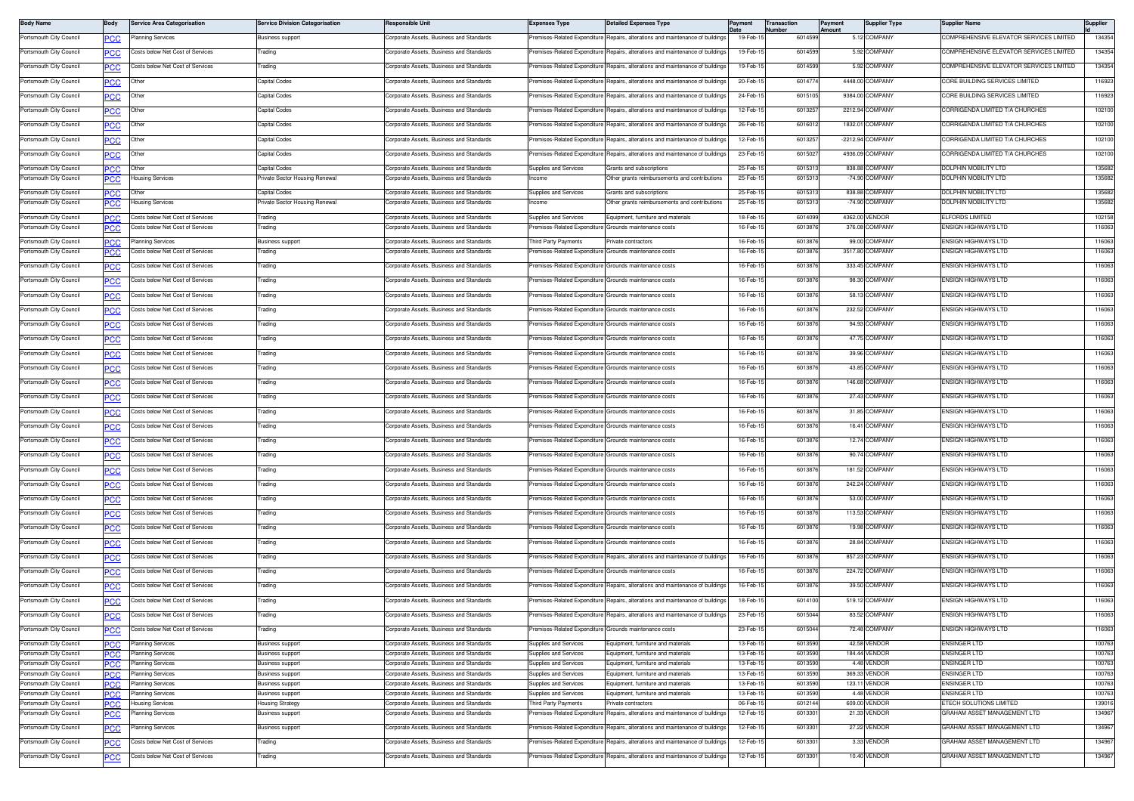| <b>Body Name</b>                                   | Body                | <b>Service Area Categorisation</b>                           | Service Division Categorisation                    | Responsible Unit                                                                     | <b>Expenses Type</b>                                   | <b>Detailed Expenses Type</b>                                                 | Payment              | <b>Transaction</b><br>Number | Payment<br>Amount | <b>Supplier Type</b>             | <b>Supplier Name</b>                                          | Supplier         |
|----------------------------------------------------|---------------------|--------------------------------------------------------------|----------------------------------------------------|--------------------------------------------------------------------------------------|--------------------------------------------------------|-------------------------------------------------------------------------------|----------------------|------------------------------|-------------------|----------------------------------|---------------------------------------------------------------|------------------|
| Portsmouth City Council                            | <b>PCC</b>          | Planning Services                                            | Business support                                   | Corporate Assets, Business and Standards                                             |                                                        | remises-Related Expenditure Repairs, alterations and maintenance of buildings | 19-Feb-1             | 6014599                      |                   | 5.12 COMPANY                     | COMPREHENSIVE ELEVATOR SERVICES LIMITED                       | 134354           |
| Portsmouth City Council                            |                     | osts below Net Cost of Services                              | Trading                                            | orporate Assets, Business and Standards                                              | emises-Related Expenditure                             | Repairs, alterations and maintenance of buildings                             | 19-Feb-1             | 6014599                      |                   | 5.92 COMPANY                     | COMPREHENSIVE ELEVATOR SERVICES LIMITED                       | 134354           |
| Portsmouth City Council                            | PCC                 | Costs below Net Cost of Services                             | Trading                                            | Corporate Assets, Business and Standards                                             | remises-Related Expenditure                            | Repairs, alterations and maintenance of buildings                             | 19-Feb-1             | 6014599                      |                   | 5.92 COMPANY                     | COMPREHENSIVE ELEVATOR SERVICES LIMITED                       | 134354           |
| Portsmouth City Council                            | PCC                 | Other                                                        | Capital Codes                                      | lorporate Assets, Business and Standards                                             | remises-Related Expenditure                            | Repairs, alterations and maintenance of building                              | 20-Feb-1             | 601477                       |                   | 4448.00 COMPANY                  | CORE BUILDING SERVICES LIMITED                                | 116923           |
| Portsmouth City Council                            | <u>PCC</u>          | Other                                                        | Capital Codes                                      | Corporate Assets, Business and Standards                                             | Premises-Related Expenditure                           | Repairs, alterations and maintenance of buildings                             | 24-Feb-1             | 6015105                      |                   | 9384.00 COMPANY                  | CORE BUILDING SERVICES LIMITED                                | 116923           |
| Portsmouth City Council                            | <b>PCC</b>          | Other                                                        | Capital Codes                                      | Corporate Assets, Business and Standards                                             | remises-Related Expenditure                            | Repairs, alterations and maintenance of building                              | 12-Feb-1             | 601325                       |                   | 2212.94 COMPANY                  | CORRIGENDA LIMITED T/A CHURCHES                               | 102100           |
| Portsmouth City Council                            | <u>PCC</u>          | Other                                                        | Capital Codes                                      | orporate Assets, Business and Standards                                              | emises-Related Expenditure                             | Repairs, alterations and maintenance of building                              | 26-Feb-1             | 601601                       |                   | 1832.01 COMPANY                  | CORRIGENDA LIMITED T/A CHURCHES                               | 102100           |
| Portsmouth City Council                            | <u>PCC</u>          | Other                                                        | Capital Codes                                      | Corporate Assets, Business and Standards                                             | Premises-Related Expenditure                           | Repairs, alterations and maintenance of building                              | 12-Feb-1             | 6013257                      |                   | -2212.94 COMPANY                 | CORRIGENDA LIMITED T/A CHURCHES                               | 102100           |
| Portsmouth City Council                            | PCC                 | Other                                                        | Capital Codes                                      | orporate Assets, Business and Standards                                              | Premises-Related Expenditure                           | Repairs, alterations and maintenance of building                              | 23-Feb-1             | 601502                       |                   | 4936.09 COMPANY                  | CORRIGENDA LIMITED T/A CHURCHES                               | 102100           |
| Portsmouth City Council                            | <b>PCC</b>          | Other                                                        | Capital Codes                                      | Corporate Assets, Business and Standards                                             | Supplies and Services                                  | Grants and subscriptions                                                      | 25-Feb-1             | 601531                       |                   | 838.88 COMPANY                   | DOLPHIN MOBILITY LTD                                          | 135682           |
| Portsmouth City Council                            | <b>PCC</b>          | Housing Services                                             | Private Sector Housing Renewal                     | Corporate Assets, Business and Standards                                             | ncome                                                  | Other grants reimbursements and contributions                                 | 25-Feb-1             | 601531                       |                   | -74.90 COMPANY                   | DOLPHIN MOBILITY LTD                                          | 135682           |
| Portsmouth City Council                            | <b>PCC</b>          | Other                                                        | Capital Codes                                      | Corporate Assets, Business and Standards                                             | Supplies and Services                                  | Grants and subscriptions                                                      | 25-Feb-1             | 601531                       |                   | 838.88 COMPANY                   | DOLPHIN MOBILITY LTD                                          | 135682           |
| Portsmouth City Council                            | <u>PCC</u>          | Housing Services                                             | Private Sector Housing Renewal                     | Corporate Assets, Business and Standards                                             | ncome                                                  | Other grants reimbursements and contributions                                 | 25-Feb-1             | 601531                       |                   | -74.90 COMPANY                   | DOLPHIN MOBILITY LTD                                          | 135682           |
| Portsmouth City Council                            | <b>PCC</b>          | Costs below Net Cost of Services                             | Trading                                            | Corporate Assets, Business and Standards                                             | Supplies and Services                                  | Equipment, furniture and materials                                            | 18-Feb-1             | 6014099                      |                   | 4362.00 VENDOR                   | <b>ELFORDS LIMITED</b>                                        | 102158           |
| Portsmouth City Council                            | <b>PCC</b>          | Costs below Net Cost of Services                             | Trading                                            | Corporate Assets, Business and Standards                                             | remises-Related Expenditure                            | Grounds maintenance costs                                                     | 16-Feb-1             | 601387                       |                   | 376.08 COMPANY                   | ENSIGN HIGHWAYS LTD                                           | 116063           |
| Portsmouth City Council<br>Portsmouth City Council | PCC.                | <b>Planning Services</b><br>Costs below Net Cost of Services | <b>Business support</b><br>Trading                 | Corporate Assets, Business and Standards<br>Corporate Assets, Business and Standards | Third Party Payments<br>remises-Related Expenditure    | rivate contractors<br>Grounds maintenance costs                               | 16-Feb-1<br>16-Feb-1 | 601387<br>601387             |                   | 99.00 COMPANY<br>3517.80 COMPANY | ENSIGN HIGHWAYS LTD<br>ENSIGN HIGHWAYS LTD                    | 116063<br>116063 |
|                                                    | <b>PCC</b>          |                                                              |                                                    |                                                                                      |                                                        |                                                                               |                      |                              |                   |                                  |                                                               |                  |
| Portsmouth City Council                            | <u>PCC</u>          | Costs below Net Cost of Services                             | Trading                                            | Corporate Assets, Business and Standards                                             | remises-Related Expenditure                            | Grounds maintenance costs                                                     | 16-Feb-1             | 601387                       |                   | 333.45 COMPANY                   | ENSIGN HIGHWAYS LTD                                           | 116063           |
| Portsmouth City Council                            | PCC                 | Costs below Net Cost of Services                             | Trading                                            | Corporate Assets, Business and Standards                                             | Premises-Related Expenditure Grounds maintenance costs |                                                                               | 16-Feb-1             | 6013876                      |                   | 98.30 COMPANY                    | ENSIGN HIGHWAYS LTD                                           | 116063           |
| Portsmouth City Council                            | <b>PCC</b>          | Costs below Net Cost of Services                             | Trading                                            | orporate Assets, Business and Standards                                              | remises-Related Expenditure Grounds maintenance costs  |                                                                               | 16-Feb-1             | 601387                       |                   | 58.13 COMPANY                    | ENSIGN HIGHWAYS LTD                                           | 116063           |
| Portsmouth City Council                            | °СС                 | Costs below Net Cost of Services                             | <b>Trading</b>                                     | Corporate Assets, Business and Standards                                             | remises-Related Expenditure Grounds maintenance costs  |                                                                               | 16-Feb-1             | 6013876                      |                   | 232.52 COMPANY                   | <b>ENSIGN HIGHWAYS LTD</b>                                    | 116063           |
| Portsmouth City Council                            | <b>PCC</b>          | Costs below Net Cost of Services                             | Trading                                            | Corporate Assets, Business and Standards                                             | remises-Related Expenditure Grounds maintenance costs  |                                                                               | 16-Feb-1             | 601387                       |                   | 94.93 COMPANY                    | ENSIGN HIGHWAYS LTD                                           | 116063           |
| Portsmouth City Council                            | PCC                 | losts below Net Cost of Services                             | Trading                                            | Corporate Assets, Business and Standards                                             | remises-Related Expenditure                            | Grounds maintenance costs                                                     | 16-Feb-1             | 601387                       |                   | 47.75 COMPANY                    | ENSIGN HIGHWAYS LTD                                           | 116063           |
| Portsmouth City Council                            | PCC                 | Costs below Net Cost of Services                             | Trading                                            | Corporate Assets, Business and Standards                                             | remises-Related Expenditure Grounds maintenance costs  |                                                                               | 16-Feb-1             | 6013876                      |                   | 39.96 COMPANY                    | ENSIGN HIGHWAYS LTD                                           | 116063           |
| Portsmouth City Council                            | <u>PCC</u>          | Costs below Net Cost of Services                             | <b>Trading</b>                                     | Corporate Assets, Business and Standards                                             | remises-Related Expenditure Grounds maintenance costs  |                                                                               | 16-Feb-1             | 6013876                      |                   | 43.85 COMPANY                    | ENSIGN HIGHWAYS LTD                                           | 116063           |
| Portsmouth City Council                            | <u>PCC</u>          | Costs below Net Cost of Services                             | Trading                                            | Corporate Assets, Business and Standards                                             | remises-Related Expenditure Grounds maintenance costs  |                                                                               | 16-Feb-1             | 6013876                      |                   | 146.68 COMPANY                   | ENSIGN HIGHWAYS LTD                                           | 116063           |
| Portsmouth City Council                            | <b>PCC</b>          | Costs below Net Cost of Services                             | Trading                                            | Corporate Assets, Business and Standards                                             | Premises-Related Expenditure Grounds maintenance costs |                                                                               | 16-Feb-1             | 601387                       |                   | 27.43 COMPANY                    | ENSIGN HIGHWAYS LTD                                           | 116063           |
| Portsmouth City Council                            | PCC                 | Costs below Net Cost of Services                             | Trading                                            | orporate Assets, Business and Standards                                              | remises-Related Expenditure                            | Grounds maintenance costs                                                     | 16-Feb-1             | 601387                       |                   | 31.85 COMPANY                    | ENSIGN HIGHWAYS LTD                                           | 116063           |
| Portsmouth City Council                            | PCC                 | Costs below Net Cost of Services                             | Trading                                            | Corporate Assets, Business and Standards                                             | Premises-Related Expenditure Grounds maintenance costs |                                                                               | 16-Feb-1             | 6013876                      |                   | 16.41 COMPANY                    | ENSIGN HIGHWAYS LTD                                           | 116063           |
| Portsmouth City Council                            | <b>PCC</b>          | Costs below Net Cost of Services                             | Trading                                            | lorporate Assets, Business and Standards                                             | remises-Related Expenditure Grounds maintenance costs  |                                                                               | 16-Feb-1             | 601387                       |                   | 12.74 COMPANY                    | ENSIGN HIGHWAYS LTD                                           | 116063           |
| Portsmouth City Council                            | PСC                 | Costs below Net Cost of Services                             | <b>Trading</b>                                     | Corporate Assets, Business and Standards                                             | remises-Related Expenditure Grounds maintenance costs  |                                                                               | 16-Feb-1             | 6013876                      |                   | 90.74 COMPANY                    | <b>ENSIGN HIGHWAYS LTD</b>                                    | 116063           |
| Portsmouth City Council                            |                     | Costs below Net Cost of Services                             | Trading                                            | Corporate Assets, Business and Standards                                             | remises-Related Expenditure Grounds maintenance costs  |                                                                               | 16-Feb-1             | 601387                       |                   | 181.52 COMPANY                   | ENSIGN HIGHWAYS LTD                                           | 116063           |
| Portsmouth City Council                            | <b>PCC</b>          | losts below Net Cost of Services                             | Trading                                            | Corporate Assets, Business and Standards                                             | emises-Related Expenditure                             | Grounds maintenance costs                                                     | 16-Feb-1             | 601387                       |                   | 242.24 COMPANY                   | ENSIGN HIGHWAYS LTD                                           | 116063           |
|                                                    | <u>PCC</u>          |                                                              |                                                    |                                                                                      |                                                        |                                                                               |                      |                              |                   |                                  |                                                               |                  |
| Portsmouth City Council                            | PCC                 | Costs below Net Cost of Services                             | Trading                                            | Corporate Assets, Business and Standards                                             | remises-Related Expenditure Grounds maintenance costs  |                                                                               | 16-Feb-1             | 6013876                      |                   | 53.00 COMPANY                    | ENSIGN HIGHWAYS LTD                                           | 116063           |
| Portsmouth City Council                            | <u>PCC</u>          | Costs below Net Cost of Services                             | <b>Trading</b>                                     | Corporate Assets, Business and Standards                                             | remises-Related Expenditure Grounds maintenance costs  |                                                                               | 16-Feb-1             | 6013876                      |                   | 113.53 COMPANY                   | ENSIGN HIGHWAYS LTD                                           | 116063           |
| Portsmouth City Council                            | <u>PCC</u>          | Costs below Net Cost of Services                             | Trading                                            | Corporate Assets, Business and Standards                                             | Premises-Related Expenditure Grounds maintenance costs |                                                                               | 16-Feb-1             | 6013876                      |                   | 19.98 COMPANY                    | ENSIGN HIGHWAYS LTD                                           | 116063           |
| Portsmouth City Council                            | <b>PCC</b>          | Costs below Net Cost of Services                             | Trading                                            | Corporate Assets, Business and Standards                                             | Premises-Related Expenditure Grounds maintenance costs |                                                                               | 16-Feb-1             | 601387                       |                   | 28.84 COMPANY                    | ENSIGN HIGHWAYS LTD                                           | 116063           |
| Portsmouth City Council                            | PCC                 | Costs below Net Cost of Services                             | Trading                                            | orporate Assets, Business and Standards                                              | remises-Related Expenditure                            | Repairs, alterations and maintenance of building                              | 16-Feb-1             | 601387                       |                   | 857.23 COMPANY                   | ENSIGN HIGHWAYS LTD                                           | 116063           |
| Portsmouth City Council                            | <u>CC </u>          | Costs below Net Cost of Services                             | Trading                                            | Corporate Assets, Business and Standards                                             | Premises-Related Expenditure Grounds maintenance costs |                                                                               | 16-Feb-1             | 6013876                      |                   | 224.72 COMPANY                   | ENSIGN HIGHWAYS LTD                                           | 116063           |
| Portsmouth City Council                            | <b>PCC</b>          | Costs below Net Cost of Services                             | Trading                                            | orporate Assets, Business and Standards                                              | remises-Related Expenditure                            | Benairs, alterations and maintenance of building                              | 16-Feb-1             | 6013876                      |                   | 39.50 COMPANY                    | ENSIGN HIGHWAYS LTD                                           | 116063           |
| Portsmouth City Council                            | <u>CC</u>           | Costs below Net Cost of Services                             | Trading                                            | Corporate Assets, Business and Standards                                             | remises-Related Expenditure                            | Repairs, alterations and maintenance of building                              | 18-Feb-1             | 6014100                      |                   | 519.12 COMPANY                   | ENSIGN HIGHWAYS LTD                                           | 116063           |
| Portsmouth City Council                            | <b>PCC</b>          | Costs below Net Cost of Services                             | Trading                                            | Corporate Assets, Business and Standards                                             |                                                        | Premises-Related Expenditure Repairs, alterations and maintenance of building | 23-Feb-1             | 601504                       |                   | 83.52 COMPANY                    | <b>FNSIGN HIGHWAYS I TD</b>                                   | 116063           |
| Portsmouth City Council                            | <b>PCC</b>          | Costs below Net Cost of Services                             | rading                                             | Corporate Assets, Business and Standards                                             | emises-Related Expenditure                             | Grounds maintenance costs                                                     | 23-Feb-1             | 601504                       |                   | 72.48 COMPANY                    | ENSIGN HIGHWAYS LTD                                           | 116063           |
| Portsmouth City Council                            | <b>PCC</b>          | <b>Planning Services</b>                                     | <b>Business support</b>                            | Corporate Assets, Business and Standards                                             | Supplies and Services                                  | Equipment, furniture and materials                                            | 13-Feb-1             | 6013590                      |                   | 42.58 VENDOR                     | <b>ENSINGER LTD</b>                                           | 100763           |
| Portsmouth City Council                            | <b>PCC</b>          | Planning Services                                            | <b>Business support</b>                            | Corporate Assets, Business and Standards                                             | supplies and Services                                  | cuipment, furniture and materials                                             | 13-Feb-1             | 601359                       |                   | 184.44 VENDOR                    | ENSINGER LTD                                                  | 100763           |
| Portsmouth City Council<br>Portsmouth City Council | <b>PCC</b><br>IPC.C | Planning Services<br><b>Planning Services</b>                | <b>Business support</b><br><b>Business support</b> | Corporate Assets, Business and Standards<br>Corporate Assets, Business and Standards | Supplies and Services<br>Supplies and Services         | Equipment, furniture and materials<br>quipment, furniture and materials       | 13-Feb-1<br>13-Feb-1 | 601359<br>601359             |                   | 4.48 VENDOR<br>369.33 VENDOR     | ENSINGER LTD<br>ENSINGER LTD                                  | 100763<br>100763 |
| Portsmouth City Council                            | <b>PCC</b>          | Planning Services                                            | <b>Business support</b>                            | Corporate Assets, Business and Standards                                             | Supplies and Services                                  | Equipment, furniture and materials                                            | 13-Feb-1             | 601359                       |                   | 123.11 VENDOR                    | <b>ENSINGER LTD</b>                                           | 100763           |
| Portsmouth City Council                            | PCC                 | Planning Services                                            | Business support                                   | Corporate Assets, Business and Standards                                             | Supplies and Services                                  | Equipment, furniture and materials                                            | 13-Feb-1             | 6013590                      |                   | 4.48 VENDOR                      | <b>ENSINGER LTD</b>                                           | 100763           |
| Portsmouth City Council                            | <b>PCC</b>          | Housing Services                                             | <b>Housing Strategy</b>                            | Corporate Assets, Business and Standards                                             | hird Party Payments<br>remises-Related Expenditure     | rivate contractors                                                            | 06-Feb-1<br>12-Feb-1 | 6012144<br>6013301           |                   | 609.00 VENDOR                    | <b>ETECH SOLUTIONS LIMITED</b><br>GRAHAM ASSET MANAGEMENT LTD | 139016<br>134967 |
| Portsmouth City Council                            | PCC                 | Planning Services                                            | <b>Business support</b>                            | Corporate Assets, Business and Standards                                             |                                                        | Repairs, alterations and maintenance of building                              |                      |                              |                   | 21.33 VENDOR                     |                                                               |                  |
| Portsmouth City Council                            | <u>PCC</u>          | Planning Services                                            | Business support                                   | <b>Corporate Assets, Business and Standards</b>                                      | remises-Related Expenditure                            | Repairs, alterations and maintenance of building                              | 12-Feb-1             | 601330                       |                   | 27.22 VENDOR                     | GRAHAM ASSET MANAGEMENT LTD                                   | 134967           |
| Portsmouth City Council                            | <b>PCC</b>          | Costs below Net Cost of Services                             | Trading                                            | Corporate Assets, Business and Standards                                             | Premises-Related Expenditure                           | Repairs, alterations and maintenance of buildings                             | 12-Feb-1             | 6013301                      |                   | 3.33 VENDOR                      | GRAHAM ASSET MANAGEMENT LTD                                   | 134967           |
| Portsmouth City Council                            | <u>PCC</u>          | Costs below Net Cost of Services                             | Trading                                            | Corporate Assets, Business and Standards                                             |                                                        | remises-Related Expenditure Repairs, alterations and maintenance of buildings | 12-Feb-1             | 6013301                      |                   | 10.40 VENDOR                     | GRAHAM ASSET MANAGEMENT LTD                                   | 134967           |
|                                                    |                     |                                                              |                                                    |                                                                                      |                                                        |                                                                               |                      |                              |                   |                                  |                                                               |                  |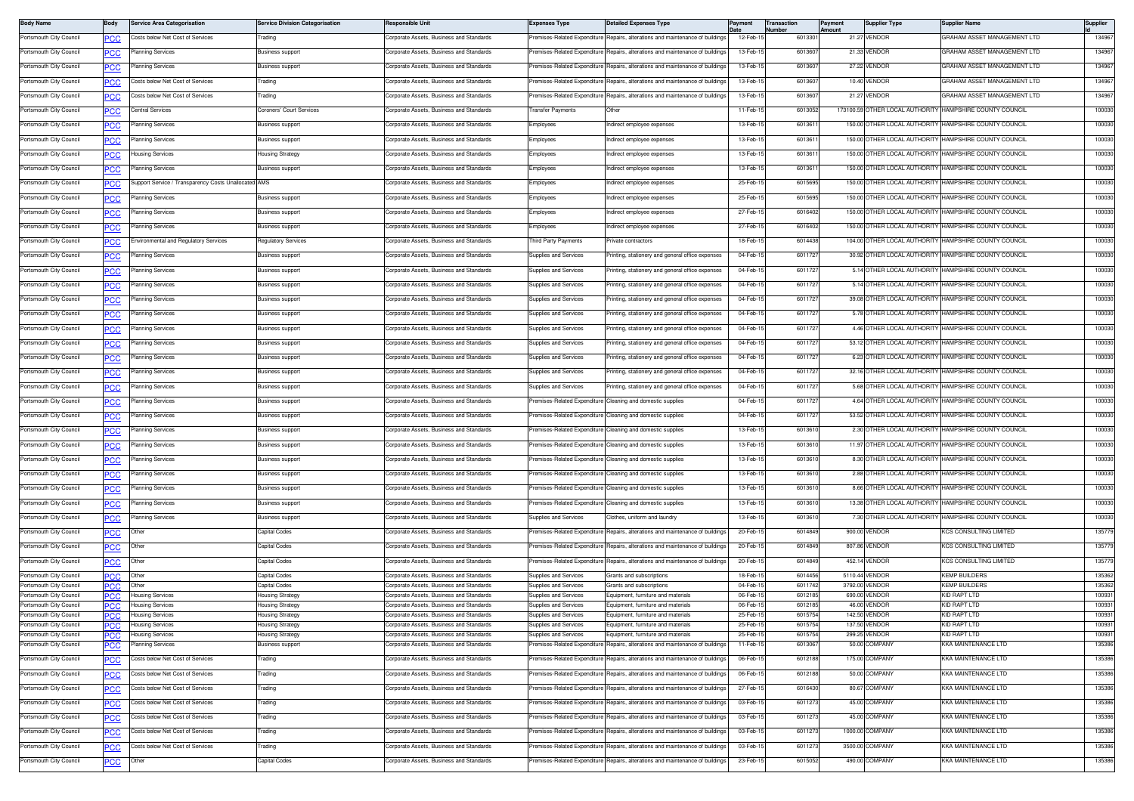| <b>Body Name</b>                                   | Body              | <b>Service Area Categorisation</b>                   | <b>Service Division Categorisation</b>    | Responsible Uni                                                                      | <b>Expenses Type</b>                                 | <b>Detailed Expenses Type</b>                                                  | Paymen               | Transaction<br><b>Number</b> | Payment<br>Amount | <b>Supplier Type</b>             | <b>Supplier Name</b>                                     | Supplier               |
|----------------------------------------------------|-------------------|------------------------------------------------------|-------------------------------------------|--------------------------------------------------------------------------------------|------------------------------------------------------|--------------------------------------------------------------------------------|----------------------|------------------------------|-------------------|----------------------------------|----------------------------------------------------------|------------------------|
| Portsmouth City Council                            | PСC               | Costs below Net Cost of Services                     | Trading                                   | Corporate Assets, Business and Standards                                             | remises-Related Expenditure                          | Repairs, alterations and maintenance of buildings                              | 12-Feb-1             | 6013301                      |                   | 21.27 VENDOR                     | GRAHAM ASSET MANAGEMENT LTD                              | 134967                 |
| Portsmouth City Council                            | <b>PCC</b>        | lanning Services                                     | Business support                          | Corporate Assets, Business and Standards                                             | remises-Related Expenditure                          | Repairs, alterations and maintenance of buildings                              | 13-Feb-1             | 601360                       |                   | 21.33 VENDOR                     | GRAHAM ASSET MANAGEMENT LTD                              | 134967                 |
| Portsmouth City Council                            |                   | Planning Services                                    | <b>Business support</b>                   | <b>Corporate Assets, Business and Standards</b>                                      | remises-Related Expenditure                          | Repairs, alterations and maintenance of buildings                              | 13-Feb-1             | 601360                       |                   | 27.22 VENDOR                     | GRAHAM ASSET MANAGEMENT LTD                              | 134967                 |
| Portsmouth City Council                            | <b>PCC</b>        | Costs below Net Cost of Services                     | Trading                                   | Corporate Assets, Business and Standards                                             | remises-Related Expenditure                          | Repairs, alterations and maintenance of building                               | 13-Feb-1             | 60136                        |                   | 10.40 VENDOR                     | GRAHAM ASSET MANAGEMENT LTD                              | 134967                 |
| Portsmouth City Council                            | <b>PCC</b>        | Costs below Net Cost of Services                     | Trading                                   | Corporate Assets, Business and Standards                                             | remises-Related Expenditure                          | Repairs, alterations and maintenance of buildings                              | 13-Feb-1             | 601360                       |                   | 21.27 VENDOR                     | GRAHAM ASSET MANAGEMENT LTD                              | 134967                 |
| Portsmouth City Council                            | <b>PCC</b>        | Central Services                                     | Coroners' Court Services                  | Corporate Assets, Business and Standards                                             | ransfer Payments                                     | Other                                                                          | 11-Feb-1             | 6013052                      |                   |                                  | 173100.59 OTHER LOCAL AUTHORITY HAMPSHIRE COUNTY COUNCIL | 100030                 |
| Portsmouth City Council                            | <b>PCC</b>        | lanning Services                                     | Business support                          | Corporate Assets, Business and Standards                                             | <i>imployees</i>                                     | ndirect employee expenses                                                      | 13-Feb-1             | 601361                       |                   |                                  | 150.00 OTHER LOCAL AUTHORITY HAMPSHIRE COUNTY COUNCIL    | 100030                 |
| Portsmouth City Council                            | <u>PCC</u>        | lanning Services                                     | <b>Business support</b>                   | Corporate Assets, Business and Standards                                             | Employees                                            | ndirect employee expenses                                                      | 13-Feb-1             | 6013611                      |                   |                                  | 150.00 OTHER LOCAL AUTHORITY HAMPSHIRE COUNTY COUNCIL    | 100030                 |
| Portsmouth City Council                            | PCC               | lousing Services                                     | <b>Housing Strategy</b>                   | Corporate Assets, Business and Standards                                             | Employees                                            | ndirect employee expenses                                                      | 13-Feb-1             | 601361                       |                   | 150.00 OTHER LOCAL AUTHORITY     | HAMPSHIRE COUNTY COUNCIL                                 | 100030                 |
| Portsmouth City Council                            | <b>PCC</b>        | Planning Services                                    | <b>Business support</b>                   | Corporate Assets, Business and Standards                                             | Employees                                            | ndirect employee expenses                                                      | 13-Feb-15            | 601361                       |                   |                                  | 150.00 OTHER LOCAL AUTHORITY HAMPSHIRE COUNTY COUNCIL    | 100030                 |
| Portsmouth City Council                            | <u>PCC</u>        | Support Service / Transparency Costs Unallocated AMS |                                           | Corporate Assets, Business and Standards                                             | Employees                                            | ndirect employee expenses                                                      | 25-Feb-1             | 6015695                      |                   |                                  | 150.00 OTHER LOCAL AUTHORITY HAMPSHIRE COUNTY COUNCIL    | 100030                 |
| Portsmouth City Council                            |                   | Planning Services                                    | Business support                          | Corporate Assets, Business and Standards                                             | <b>Employees</b>                                     | ndirect employee expenses                                                      | 25-Feb-1             | 6015695                      |                   | 150.00 OTHER LOCAL AUTHORITY     | HAMPSHIRE COUNTY COUNCIL                                 | 100030                 |
| Portsmouth City Council                            | <b>PCC</b>        | Planning Services                                    | <b>Business support</b>                   | Corporate Assets, Business and Standards                                             |                                                      |                                                                                | 27-Feb-1             | 6016402                      |                   | 150.00 OTHER LOCAL AUTHORITY     | HAMPSHIRE COUNTY COUNCIL                                 | 100030                 |
|                                                    | <u>PCC</u>        |                                                      |                                           |                                                                                      | Employees                                            | ndirect employee expenses                                                      |                      |                              |                   |                                  |                                                          |                        |
| Portsmouth City Council                            | <b>PCC</b>        | Planning Services                                    | <b>Business support</b>                   | Corporate Assets, Business and Standards                                             | Employees                                            | ndirect employee expenses                                                      | 27-Feb-1             | 601640                       |                   | 150.00 OTHER LOCAL AUTHORITY     | HAMPSHIRE COUNTY COUNCIL                                 | 100030                 |
| Portsmouth City Council                            | <b>PCC</b>        | nvironmental and Regulatory Services                 | <b>Regulatory Services</b>                | Corporate Assets, Business and Standards                                             | Third Party Payments                                 | rivate contractors                                                             | 18-Feb-1             | 6014438                      |                   |                                  | 104.00 OTHER LOCAL AUTHORITY HAMPSHIRE COUNTY COUNCIL    | 100030                 |
| Portsmouth City Council                            | <b>PCC</b>        | lanning Services                                     | <b>Business support</b>                   | Corporate Assets, Business and Standards                                             | Supplies and Services                                | rinting, stationery and general office expenses                                | 04-Feb-1             | 6011727                      |                   |                                  | 30.92 OTHER LOCAL AUTHORITY HAMPSHIRE COUNTY COUNCIL     | 100030                 |
| Portsmouth City Council                            | <b>PCC</b>        | lanning Services                                     | Business support                          | Corporate Assets, Business and Standards                                             | Supplies and Services                                | rinting, stationery and general office expenses                                | 04-Feb-1             | 601172                       |                   | 5.14 OTHER LOCAL AUTHORITY       | HAMPSHIRE COUNTY COUNCIL                                 | 100030                 |
| Portsmouth City Council                            | <b>PCC</b>        | Planning Services                                    | <b>Business support</b>                   | Corporate Assets, Business and Standards                                             | Supplies and Services                                | rinting, stationery and general office expenses                                | 04-Feb-1             | 6011727                      |                   |                                  | 5.14 OTHER LOCAL AUTHORITY HAMPSHIRE COUNTY COUNCIL      | 100030                 |
| Portsmouth City Council                            | PCC               | lanning Services                                     | <b>Business support</b>                   | Corporate Assets, Business and Standards                                             | Supplies and Services                                | rinting, stationery and general office expenses                                | 04-Feb-1             | 601172                       |                   |                                  | 39.08 OTHER LOCAL AUTHORITY HAMPSHIRE COUNTY COUNCIL     | 100030                 |
| Portsmouth City Council                            | <u>PCC</u>        | lanning Services                                     | <b>Business support</b>                   | Corporate Assets, Business and Standards                                             | upplies and Services                                 | inting, stationery and general office expenses                                 | 04-Feb-1             | 601172                       |                   |                                  | 5.78 OTHER LOCAL AUTHORITY HAMPSHIRE COUNTY COUNCIL      | 100030                 |
| Portsmouth City Council                            | <b>PCC</b>        | Planning Services                                    | <b>Business support</b>                   | Corporate Assets, Business and Standards                                             | Supplies and Services                                | rinting, stationery and general office expenses                                | 04-Feb-1             | 6011727                      |                   |                                  | 4.46 OTHER LOCAL AUTHORITY HAMPSHIRE COUNTY COUNCIL      | 100030                 |
| Portsmouth City Council                            | <b>PCC</b>        | Planning Services                                    | Business support                          | Corporate Assets, Business and Standards                                             | Supplies and Services                                | rinting, stationery and general office expenses                                | 04-Feb-1             | 6011727                      |                   | 53.12 OTHER LOCAL AUTHORITY      | HAMPSHIRE COUNTY COUNCIL                                 | 100030                 |
| Portsmouth City Council                            | <u>PCC</u>        | Planning Services                                    | <b>Business support</b>                   | Corporate Assets, Business and Standards                                             | Supplies and Services                                | rinting, stationery and general office expenses                                | 04-Feb-1             | 6011727                      |                   | 6.23 OTHER LOCAL AUTHORITY       | HAMPSHIRE COUNTY COUNCIL                                 | 100030                 |
| Portsmouth City Council                            | <b>PCC</b>        | Planning Services                                    | <b>Business support</b>                   | Corporate Assets, Business and Standards                                             | Supplies and Services                                | rinting, stationery and general office expenses                                | 04-Feb-1             | 601172                       |                   |                                  | 32.16 OTHER LOCAL AUTHORITY HAMPSHIRE COUNTY COUNCIL     | 100030                 |
| Portsmouth City Council                            | <u>PCC</u>        | lanning Services                                     | <b>Business support</b>                   | Corporate Assets, Business and Standards                                             | upplies and Services                                 | inting, stationery and general office expenses                                 | 04-Feb-1             | 601172                       |                   | 5.68 OTHER LOCAL AUTHORITY       | HAMPSHIRE COUNTY COUNCIL                                 | 100030                 |
| Portsmouth City Council                            | <b>PCC</b>        | lanning Services                                     | <b>Business support</b>                   | Corporate Assets, Business and Standards                                             |                                                      | remises-Related Expenditure Cleaning and domestic supplies                     | 04-Feb-1             | 6011727                      |                   |                                  | 4.64 OTHER LOCAL AUTHORITY HAMPSHIRE COUNTY COUNCIL      | 100030                 |
| Portsmouth City Council                            | <b>PCC</b>        | lanning Services                                     | Business support                          | Corporate Assets, Business and Standards                                             |                                                      | remises-Related Expenditure Cleaning and domestic supplies                     | 04-Feb-1             | 601172                       |                   | 53.52 OTHER LOCAL AUTHORITY      | HAMPSHIRE COUNTY COUNCIL                                 | 100030                 |
| Portsmouth City Council                            | <b>PCC</b>        | Planning Services                                    | <b>Business support</b>                   | Corporate Assets, Business and Standards                                             |                                                      | Premises-Related Expenditure Cleaning and domestic supplies                    | 13-Feb-1             | 601361                       |                   | 2.30 OTHER LOCAL AUTHORITY       | HAMPSHIRE COUNTY COUNCIL                                 | 100030                 |
| Portsmouth City Council                            | PCC               | Planning Services                                    | <b>Business support</b>                   | Corporate Assets, Business and Standards                                             | remises-Related Expenditure                          | Cleaning and domestic supplies                                                 | 13-Feb-1             | 601361                       |                   |                                  | 11.97 OTHER LOCAL AUTHORITY HAMPSHIRE COUNTY COUNCIL     | 100030                 |
| Portsmouth City Council                            | °СС               | lanning Services                                     | <b>Business support</b>                   | Corporate Assets, Business and Standards                                             | emises-Related Expenditure                           | leaning and domestic supplies                                                  | 13-Feb-1             | 601361                       |                   |                                  | 8.30 OTHER LOCAL AUTHORITY HAMPSHIRE COUNTY COUNCIL      | 100030                 |
| Portsmouth City Council                            |                   | Planning Services                                    | <b>Business support</b>                   | Corporate Assets, Business and Standards                                             |                                                      | remises-Related Expenditure Cleaning and domestic supplies                     | 13-Feb-1             | 6013610                      |                   |                                  | 2.88 OTHER LOCAL AUTHORITY HAMPSHIRE COUNTY COUNCIL      | 100030                 |
| Portsmouth City Council                            | <b>CC</b>         | Planning Services                                    | Business support                          | Corporate Assets, Business and Standards                                             | remises-Related Expenditure                          | Cleaning and domestic supplies                                                 | 13-Feb-1             | 601361                       |                   | 8.66 OTHER LOCAL AUTHORITY       | HAMPSHIRE COUNTY COUNCIL                                 | 100030                 |
|                                                    | <b>PCC</b>        |                                                      |                                           |                                                                                      |                                                      |                                                                                | 13-Feb-1             |                              |                   |                                  | 13.38 OTHER LOCAL AUTHORITY HAMPSHIRE COUNTY COUNCIL     | 100030                 |
| Portsmouth City Council                            | <u>PCC</u>        | Planning Services                                    | <b>Business support</b>                   | Corporate Assets, Business and Standards                                             |                                                      | remises-Related Expenditure Cleaning and domestic supplies                     |                      | 6013610                      |                   |                                  |                                                          |                        |
| Portsmouth City Council                            | PCC               | Planning Services                                    | <b>Business support</b>                   | Corporate Assets, Business and Standards                                             | Supplies and Services                                | Clothes, uniform and laundry                                                   | 13-Feb-1             | 601361                       |                   |                                  | 7.30 OTHER LOCAL AUTHORITY HAMPSHIRE COUNTY COUNCIL      | 100030                 |
| Portsmouth City Council                            | <u>PCC </u>       | Other                                                | Capital Codes                             | Corporate Assets, Business and Standards                                             | emises-Related Expenditure                           | Repairs, alterations and maintenance of buildings                              | 20-Feb-1             | 6014849                      |                   | 900.00 VENDOR                    | <b>(CS CONSULTING LIMITED</b>                            | 135779                 |
| Portsmouth City Council                            | <u>PCC</u>        | Other                                                | Capital Codes                             | Corporate Assets, Business and Standards                                             | remises-Related Expenditure                          | Repairs, alterations and maintenance of buildings                              | 20-Feb-1             | 6014849                      |                   | 807.86 VENDOR                    | KCS CONSULTING LIMITED                                   | 135779                 |
| Portsmouth City Council                            | <b>PCC</b>        | Other                                                | Capital Codes                             | Corporate Assets, Business and Standards                                             |                                                      | remises-Related Expenditure Repairs, alterations and maintenance of buildings  | 20-Feb-1             | 601484                       |                   | 452.14 VENDOR                    | <b>KCS CONSULTING LIMITED</b>                            | 135779                 |
| Portsmouth City Council                            | сc                | Other                                                | Capital Codes                             | Corporate Assets, Business and Standards<br>Corporate Assets, Business and Standards | <b>Supplies and Services</b>                         | <b>Grants and subscriptions</b>                                                | 18-Feb-1             | 6014456                      |                   | 5110.44 VENDOR<br>3792.00 VENDOR | <b>KEMP BUILDERS</b>                                     | 135362                 |
| Portsmouth City Council<br>Portsmouth City Council | <b>PCC</b><br>'nС | Other<br>Housing Services                            | Capital Codes<br><b>Housing Strategy</b>  | Corporate Assets, Business and Standards                                             | <b>Supplies and Services</b><br>upplies and Services | <b>Grants and subscriptions</b><br>Equipment, furniture and materials          | 04-Feb-1<br>06-Feb-  | 601174<br>601218             |                   | 690.00 VENDOR                    | <b>KEMP BUILDERS</b><br><b>ID RAPT LTD</b>               | 135362<br>100931       |
| Portsmouth City Council                            | PCC               | Housing Services                                     | <b>Housing Strategy</b>                   | Corporate Assets, Business and Standards                                             | Supplies and Services                                | Equipment, furniture and materials                                             | 06-Feb-1             | 601218                       |                   | 46.00 VENDOR                     | <b>ID RAPT LTD</b>                                       | 100931                 |
| Portsmouth City Council                            | PCC.              | lousing Services                                     | <b>Housing Strategy</b>                   | Corporate Assets, Business and Standards                                             | upplies and Services                                 | Equipment, furniture and materials                                             | 25-Feb-1             | 601575                       |                   | 142.50 VENDOR                    | <b>ID RAPT LTD</b>                                       | 100931                 |
| ortsmouth City Council<br>Portsmouth City Council  | <b>PCC</b>        | Housing Services<br><b>Housing Services</b>          | using Strategy<br><b>Housing Strategy</b> | orporate Assets, business and Standards,<br>Corporate Assets, Business and Standards | upplies and services<br>Supplies and Services        | zquipment, furniture and materials<br>Equipment, furniture and materials       | CO-LAD-<br>25-Feb-15 | <b>PC/CING</b><br>6015754    |                   | 137.30 VENDOR<br>299.25 VENDOR   | <b>SID HAP I LID</b><br>KID RAPT LTD                     | <b>Innan</b><br>100931 |
| Portsmouth City Council                            | <b>PCC</b>        | Planning Services                                    | <b>Business support</b>                   | Corporate Assets, Business and Standards                                             | remises-Related Expenditure                          | Repairs, alterations and maintenance of buildings                              | 11-Feb-15            | 6013067                      |                   | 50.00 COMPANY                    | KKA MAINTENANCE LTD                                      | 135386                 |
| Portsmouth City Council                            | <b>PCC</b>        | Costs below Net Cost of Services                     | Trading                                   | Corporate Assets, Business and Standards                                             |                                                      | Premises-Related Expenditure Repairs, alterations and maintenance of buildings | 06-Feb-15            | 6012188                      |                   | 175.00 COMPANY                   | <b>KKA MAINTENANCE LTD</b>                               | 135386                 |
| Portsmouth City Council                            | <b>PCC</b>        | Costs below Net Cost of Services                     | Trading                                   | Corporate Assets, Business and Standards                                             | remises-Related Expenditure                          | Repairs, alterations and maintenance of buildings                              | 06-Feb-1             | 6012188                      |                   | 50.00 COMPANY                    | KKA MAINTENANCE LTD                                      | 135386                 |
| Portsmouth City Council                            | <u>PCC</u>        | Costs below Net Cost of Services                     | Trading                                   | Corporate Assets, Business and Standards                                             | Premises-Related Expenditure                         | Repairs, alterations and maintenance of buildings                              | 27-Feb-1             | 6016430                      |                   | 80.67 COMPANY                    | <b>KKA MAINTENANCE LTD</b>                               | 135386                 |
| Portsmouth City Council                            | <u>PCC</u>        | Costs below Net Cost of Services                     | rading                                    | Corporate Assets, Business and Standards                                             | remises-Related Expenditure                          | Repairs, alterations and maintenance of building                               | 03-Feb-1             | 6011273                      |                   | 45.00 COMPANY                    | KKA MAINTENANCE LTD                                      | 135386                 |
| Portsmouth City Council                            | <u>PCC</u>        | Costs below Net Cost of Services                     | Trading                                   | Corporate Assets, Business and Standards                                             | remises-Related Expenditure                          | Repairs, alterations and maintenance of buildings                              | 03-Feb-1             | 6011273                      |                   | 45.00 COMPANY                    | KKA MAINTENANCE LTD                                      | 135386                 |
| Portsmouth City Council                            | <u>PCC</u>        | Costs below Net Cost of Services                     | Trading                                   | Corporate Assets, Business and Standards                                             |                                                      | Premises-Related Expenditure Repairs, alterations and maintenance of buildings | 03-Feb-1             | 6011273                      |                   | 1000.00 COMPANY                  | KKA MAINTENANCE LTD                                      | 135386                 |
| Portsmouth City Council                            | <u>PCC</u>        | Costs below Net Cost of Services                     | Trading                                   | Corporate Assets, Business and Standards                                             |                                                      | remises-Related Expenditure Repairs, alterations and maintenance of buildings  | 03-Feb-1             | 6011273                      |                   | 3500.00 COMPANY                  | KKA MAINTENANCE LTD                                      | 135386                 |
| Portsmouth City Council                            | <u>PCC</u>        | Other                                                | Capital Codes                             | Corporate Assets, Business and Standards                                             | Premises-Related Expenditure                         | Repairs, alterations and maintenance of buildings                              | 23-Feb-1             | 6015052                      |                   | 490.00 COMPANY                   | <b>KKA MAINTENANCE LTD</b>                               | 135386                 |
|                                                    |                   |                                                      |                                           |                                                                                      |                                                      |                                                                                |                      |                              |                   |                                  |                                                          |                        |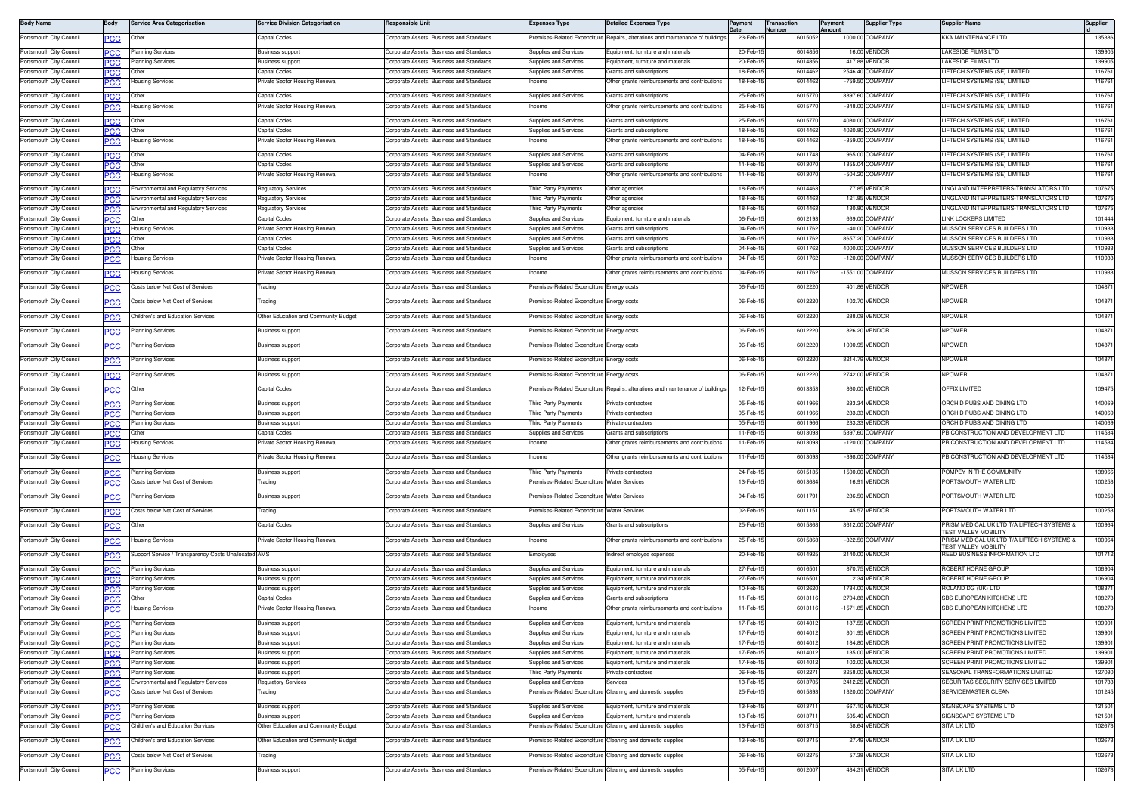| <b>Body Name</b>                                   | Body              | <b>Service Area Categorisation</b>                   | <b>Service Division Categorisation</b>             | Responsible Unit                                                                     | <b>Expenses Type</b>                           | <b>Detailed Expenses Type</b>                                            | Payment                     | Transaction<br>umbe | Payment<br><b>Amount</b> | <b>Supplier Type</b>                    | <b>Supplier Name</b>                                                       | <b>Supplier</b>  |
|----------------------------------------------------|-------------------|------------------------------------------------------|----------------------------------------------------|--------------------------------------------------------------------------------------|------------------------------------------------|--------------------------------------------------------------------------|-----------------------------|---------------------|--------------------------|-----------------------------------------|----------------------------------------------------------------------------|------------------|
| Portsmouth City Council                            | PСC               | Other                                                | Capital Codes                                      | Corporate Assets, Business and Standards                                             | remises-Related Expenditure                    | Repairs, alterations and maintenance of buildings                        | 23-Feb-1                    | 6015052             |                          | 1000.00 COMPANY                         | <b>KKA MAINTENANCE LTD</b>                                                 | 135386           |
| Portsmouth City Council                            | <b>PCC</b>        | Planning Services                                    | Business suppor                                    | Corporate Assets, Business and Standards                                             | upplies and Services                           | quipment, furniture and materials                                        | 20-Feb-1                    | 6014856             |                          | 16.00 VENDOR                            | AKESIDE FILMS LTD                                                          | 139905           |
| Portsmouth City Council                            | PСC               | lanning Services                                     | <b>Business support</b>                            | orporate Assets, Business and Standards                                              | upplies and Services                           | quipment, furniture and materials                                        | 20-Feb-1                    | 6014856             |                          | 417.88 VENDOR                           | AKESIDE FILMS LTD                                                          | 139905           |
| Portsmouth City Council                            | <b>PCC</b>        | Other                                                | Capital Codes                                      | Corporate Assets, Business and Standards                                             | upplies and Services                           | Grants and subscriptions                                                 | 18-Feb-1                    | 601446              |                          | 2546.40 COMPANY                         | IFTECH SYSTEMS (SE) LIMITED                                                | 116761           |
| Portsmouth City Council                            | PСC               | lousing Services                                     | Private Sector Housing Renewal                     | Corporate Assets, Business and Standards                                             | come                                           | Other grants reimbursements and contributions                            | 18-Feb-1                    | 6014462             |                          | -759.50 COMPANY                         | IFTECH SYSTEMS (SE) LIMITED                                                | 116761           |
| Portsmouth City Council                            |                   | Other                                                | Capital Codes                                      | Corporate Assets, Business and Standards                                             | Supplies and Services                          | Grants and subscriptions                                                 | 25-Feb-1                    | 6015770             |                          | 3897.60 COMPANY                         | LIFTECH SYSTEMS (SE) LIMITED                                               | 116761           |
| Portsmouth City Council                            | <b>PCC</b>        | lousing Services                                     | Private Sector Housing Renewal                     | Corporate Assets, Business and Standards                                             | <b>come</b>                                    | Other grants reimbursements and contributions                            | 25-Feb-1                    | 601577              |                          | -348.00 COMPANY                         | IFTECH SYSTEMS (SE) LIMITED                                                | 116761           |
|                                                    | <b>PCC</b>        |                                                      |                                                    |                                                                                      |                                                |                                                                          |                             |                     |                          |                                         |                                                                            |                  |
| Portsmouth City Council                            | <b>PCC</b>        | Other                                                | Capital Codes                                      | Corporate Assets, Business and Standards                                             | Supplies and Services                          | Grants and subscriptions                                                 | 25-Feb-1                    | 6015770             |                          | 4080.00 COMPANY                         | LIFTECH SYSTEMS (SE) LIMITED                                               | 116761           |
| Portsmouth City Council                            | PCC               | Other                                                | Capital Codes                                      | Corporate Assets, Business and Standards                                             | upplies and Services<br>come                   | Grants and subscriptions                                                 | 18-Feb-1<br>18-Feb-1        | 601446<br>6014462   |                          | 4020.80 COMPANY<br>-359.00 COMPANY      | IFTECH SYSTEMS (SE) LIMITED                                                | 116761<br>116761 |
| Portsmouth City Council                            | <u>PCC</u>        | Housing Services                                     | Private Sector Housing Renewal                     | Corporate Assets, Business and Standards                                             |                                                | Other grants reimbursements and contributions                            |                             |                     |                          |                                         | IFTECH SYSTEMS (SE) LIMITED                                                |                  |
| Portsmouth City Council                            | PСC               | Other                                                | Capital Codes                                      | orporate Assets, Business and Standards                                              | upplies and Services                           | <b>Grants and subscriptions</b>                                          | 04-Feb-1                    | 601174              |                          | 965.00 COMPANY                          | <b>IFTECH SYSTEMS (SE) LIMITED</b>                                         | 116761           |
| Portsmouth City Council                            | <b>PCC</b>        | Other                                                | Capital Codes                                      | Corporate Assets, Business and Standards                                             | upplies and Services                           | Grants and subscriptions                                                 | 11-Feb-1                    | 601307              |                          | 1855.04 COMPANY                         | IFTECH SYSTEMS (SE) LIMITED                                                | 116761           |
| Portsmouth City Council                            | ∍сс               | lousing Services                                     | Private Sector Housing Renewal                     | Corporate Assets, Business and Standards                                             | acome                                          | Other grants reimbursements and contributions                            | 11-Feb-1                    | 6013070             |                          | -504.20 COMPANY                         | <b>LIFTECH SYSTEMS (SE) LIMITED</b>                                        | 116761           |
| Portsmouth City Council                            | <b>PCC</b>        | <b>Environmental and Regulatory Services</b>         | Regulatory Services                                | Corporate Assets, Business and Standards                                             | hird Party Payments                            | Other agencies                                                           | 18-Feb-1                    | 6014463             |                          | 77.85 VENDOR                            | INGLAND INTERPRETERS-TRANSLATORS LTD                                       | 107675           |
| Portsmouth City Council                            | PСC               | <b>Environmental and Regulatory Services</b>         | <b>Regulatory Services</b>                         | Corporate Assets, Business and Standards                                             | hird Party Payments                            | Other agencies                                                           | 18-Feb-1                    | 6014463             |                          | 121.85 VENDOR                           | INGLAND INTERPRETERS-TRANSLATORS LTD                                       | 107675           |
| Portsmouth City Council                            | PCC               | Environmental and Regulatory Services                | <b>Regulatory Services</b>                         | Corporate Assets, Business and Standards                                             | hird Party Payments                            | Other agencies                                                           | 18-Feb-1                    | 6014463             |                          | 130.80 VENDOR                           | INGLAND INTERPRETERS-TRANSLATORS LTD                                       | 107675           |
| Portsmouth City Council                            | PСC               | Other                                                | Capital Codes                                      | Corporate Assets, Business and Standards                                             | upplies and Services                           | quipment, furniture and materials                                        | 06-Feb-                     | 6012193             |                          | 669.00 COMPANY                          | INK LOCKERS LIMITED                                                        | 101444           |
| Portsmouth City Council                            | PCC               | Housing Services<br>Other                            | Private Sector Housing Renewal                     | Corporate Assets, Business and Standards                                             | upplies and Services                           | Grants and subscriptions                                                 | 04-Feb-1<br>04-Feb-         | 6011762<br>601176   |                          | -40.00 COMPANY<br>8657.20 COMPANY       | MUSSON SERVICES BUILDERS LTD<br><i><b>IUSSON SERVICES BUILDERS LTD</b></i> | 110933<br>110933 |
| Portsmouth City Council<br>Portsmouth City Council | PCC               | Other                                                | Capital Codes<br>Capital Codes                     | Corporate Assets, Business and Standards<br>Corporate Assets, Business and Standards | upplies and Services<br>upplies and Services   | Grants and subscriptions<br>Grants and subscriptions                     | 04-Feb-                     | 601176              |                          | 4000.00 COMPANY                         | <i><b>IUSSON SERVICES BUILDERS LTD</b></i>                                 | 110933           |
| Portsmouth City Council                            | PСC<br>PСC        | ousing Services                                      | Private Sector Housing Renewal                     | orporate Assets, Business and Standards                                              | icome                                          | Other grants reimbursements and contributions                            | 04-Feb-1                    | 6011762             |                          | -120.00 COMPANY                         | <b>MUSSON SERVICES BUILDERS LTD</b>                                        | 110933           |
|                                                    |                   |                                                      |                                                    |                                                                                      |                                                |                                                                          |                             |                     |                          |                                         |                                                                            |                  |
| Portsmouth City Council                            | <u>PCC</u>        | lousing Services                                     | Private Sector Housing Renewal                     | Corporate Assets, Business and Standards                                             | ncome                                          | Other grants reimbursements and contributions                            | 04-Feb-1                    | 6011762             |                          | -1551.00 COMPANY                        | MUSSON SERVICES BUILDERS LTD                                               | 110933           |
| Portsmouth City Council                            | <b>PCC</b>        | Costs below Net Cost of Services                     | Trading                                            | Corporate Assets, Business and Standards                                             | remises-Related Expenditure                    | Energy costs                                                             | 06-Feb-1                    | 6012220             |                          | 401.86 VENDOR                           | <b>NPOWER</b>                                                              | 104871           |
| Portsmouth City Council                            |                   | Costs below Net Cost of Services                     | Trading                                            | Corporate Assets, Business and Standards                                             | remises-Related Expenditure                    | Energy costs                                                             | 06-Feb-1                    | 6012220             |                          | 102.70 VENDOR                           | <b>NPOWER</b>                                                              | 104871           |
|                                                    | <u>PCC</u>        |                                                      |                                                    |                                                                                      |                                                |                                                                          |                             |                     |                          |                                         |                                                                            |                  |
| Portsmouth City Council                            | <u>PCC</u>        | Children's and Education Services                    | Other Education and Community Budget               | Corporate Assets, Business and Standards                                             | emises-Related Expenditure                     | Energy costs                                                             | 06-Feb-1                    | 6012220             |                          | 288.08 VENDOR                           | <b>NPOWER</b>                                                              | 104871           |
| Portsmouth City Council                            | <b>PCC</b>        | lanning Services                                     | <b>Business support</b>                            | Corporate Assets, Business and Standards                                             | emises-Related Expenditure                     | nergy costs                                                              | 06-Feb-1                    | 6012220             |                          | 826.20 VENDOR                           | <b>NPOWER</b>                                                              | 104871           |
| Portsmouth City Council                            | <u>PCC</u>        | lanning Services                                     | Business support                                   | Corporate Assets, Business and Standards                                             | emises-Related Expenditure                     | nergy costs                                                              | 06-Feb-1                    | 601222              |                          | 1000.95 VENDOR                          | <b>IPOWER</b>                                                              | 104871           |
|                                                    |                   |                                                      |                                                    |                                                                                      |                                                |                                                                          |                             |                     |                          |                                         |                                                                            |                  |
| Portsmouth City Council                            | $\overline{SC}$   | lanning Services                                     | <b>Business support</b>                            | Corporate Assets, Business and Standards                                             | remises-Related Expenditure                    | nergy costs                                                              | 06-Feb-1                    | 6012220             |                          | 3214.79 VENDOR                          | <b>IPOWER</b>                                                              | 104871           |
| Portsmouth City Council                            | <u>PCC</u>        | Planning Services                                    | <b>Business support</b>                            | Corporate Assets, Business and Standards                                             | emises-Related Expenditure                     | Energy costs                                                             | 06-Feb-1                    | 6012220             |                          | 2742.00 VENDOR                          | <b>IPOWER</b>                                                              | 104871           |
| Portsmouth City Council                            | <u>PCC</u>        | Other                                                | Capital Codes                                      | Corporate Assets, Business and Standards                                             | remises-Related Expenditure                    | Repairs, alterations and maintenance of buildings                        | 12-Feb-1                    | 6013353             |                          | 860.00 VENDOR                           | <b>OFFIX LIMITED</b>                                                       | 109475           |
|                                                    |                   |                                                      |                                                    |                                                                                      |                                                |                                                                          |                             |                     |                          |                                         |                                                                            |                  |
| Portsmouth City Council                            | <b>PCC</b>        | <b>Planning Services</b>                             | <b>Business suppor</b>                             | Corporate Assets, Business and Standards                                             | hird Party Payments                            | rivate contractors                                                       | 05-Feb-1                    | 6011966             |                          | 233.34 VENDOR                           | ORCHID PUBS AND DINING LTD                                                 | 140069<br>140069 |
| Portsmouth City Council<br>Portsmouth City Council | PСC<br><b>PCC</b> | lanning Services<br>Planning Services                | Business suppor<br><b>Business support</b>         | orporate Assets, Business and Standards<br>Corporate Assets, Business and Standards  | hird Party Payments<br>hird Party Payments     | ivate contractors<br>rivate contractors                                  | 05-Feb-1<br>05-Feb-         | 6011966<br>6011966  |                          | 233.33 VENDOR<br>233.33 VENDOR          | ORCHID PUBS AND DINING LTD<br><b>DRCHID PUBS AND DINING LTD</b>            | 140069           |
| Portsmouth City Council                            | PСC               |                                                      | Capital Codes                                      | Corporate Assets, Business and Standards                                             | upplies and Services                           | <b>Grants and subscriptions</b>                                          | 11-Feb-1                    | 6013093             |                          | 5397.60 COMPANY                         | PB CONSTRUCTION AND DEVELOPMENT LTD                                        | 114534           |
| Portsmouth City Council                            |                   | lousing Services                                     | Private Sector Housing Renewal                     | Corporate Assets, Business and Standards                                             | come                                           | Other grants reimbursements and contributions                            | 11-Feb-1                    | 601309              |                          | -120.00 COMPANY                         | B CONSTRUCTION AND DEVELOPMENT LTD                                         | 114534           |
|                                                    |                   |                                                      |                                                    |                                                                                      |                                                |                                                                          |                             |                     |                          | -398.00 COMPANY                         |                                                                            |                  |
| Portsmouth City Council                            | $\overline{C}$    | Housing Services                                     | Private Sector Housing Renewal                     | Corporate Assets, Business and Standards                                             | ncome                                          | Other grants reimbursements and contributions                            | 11-Feb-1                    | 6013093             |                          |                                         | PB CONSTRUCTION AND DEVELOPMENT LTD                                        | 114534           |
| Portsmouth City Council                            | <b>PCC</b>        | Planning Services                                    | Business support                                   | Corporate Assets, Business and Standards                                             | hird Party Payments                            | rivate contractors                                                       | 24-Feb-1                    | 6015135             |                          | 1500.00 VENDOR                          | POMPEY IN THE COMMUNITY                                                    | 138966           |
| Portsmouth City Council                            | <b>PCC</b>        | Costs below Net Cost of Services                     | Trading                                            | Corporate Assets, Business and Standards                                             | emises-Related Expenditure                     | <b>Water Services</b>                                                    | 13-Feb-1                    | 6013684             |                          | 16.91 VENDOR                            | PORTSMOUTH WATER LTD                                                       | 100253           |
| Portsmouth City Council                            | <u>PCC</u>        | Planning Services                                    | <b>Business support</b>                            | Corporate Assets, Business and Standards                                             | emises-Related Expenditure Water Services      |                                                                          | 04-Feb-1                    | 6011791             |                          | 236.50 VENDOR                           | PORTSMOUTH WATER LTD                                                       | 100253           |
| Portsmouth City Council                            |                   | Costs below Net Cost of Services                     | rading                                             | Corporate Assets, Business and Standards                                             | emises-Related Expenditure Water Services      |                                                                          | 02-Feb-1                    | 601115              |                          | 45.57 VENDOR                            | PORTSMOUTH WATER LTD                                                       | 100253           |
|                                                    | <u>PCC</u>        |                                                      |                                                    |                                                                                      |                                                |                                                                          |                             |                     |                          |                                         |                                                                            |                  |
| Portsmouth City Council                            | Р                 | Other                                                | <b>Capital Codes</b>                               | Corporate Assets, Business and Standards                                             | Supplies and Services                          | Grants and subscriptions                                                 | 25-Feb-1                    | 6015868             |                          | 3612.00 COMPANY                         | PRISM MEDICAL UK LTD T/A LIFTECH SYSTEMS &<br>EST VALLEY MOBILITY          | 100964           |
| Portsmouth City Council                            | PCC               | Housing Services                                     | Private Sector Housing Renewal                     | Corporate Assets, Business and Standards                                             | ncome                                          | Other grants reimbursements and contributions                            | 25-Feb-1                    | 601586              |                          | -322.50 COMPANY                         | RISM MEDICAL UK LTD T/A LIFTECH SYSTEMS &                                  | 100964           |
| Portsmouth City Council                            | $\overline{C}$    | Support Service / Transparency Costs Unallocated AMS |                                                    | Corporate Assets, Business and Standards                                             | Employees                                      | ndirect employee expenses                                                | 20-Feb-1                    | 6014925             |                          | 2140.00 VENDOR                          | EST VALLEY MOBILITY<br>REED BUSINESS INFORMATION LTD                       | 101712           |
|                                                    |                   |                                                      |                                                    |                                                                                      |                                                |                                                                          |                             |                     |                          |                                         |                                                                            |                  |
| Portsmouth City Council                            | PCC               | Planning Services                                    | <b>Business support</b>                            | Corporate Assets, Business and Standards                                             | upplies and Services                           | Equipment, furniture and materials                                       | 27-Feb-1                    | 6016501             |                          | 870.75 VENDOR                           | ROBERT HORNE GROUP                                                         | 106904           |
| Portsmouth City Council<br>Portsmouth City Council | PСC               | lanning Services<br>Planning Services                | Business suppor<br><b>Business support</b>         | orporate Assets, Business and Standards<br>Corporate Assets, Business and Standards  | upplies and Services<br>supplies and Services  | quipment, furniture and materials<br>Equipment, furniture and materials  | 27-Feb-1<br>10-Feb-1        | 601650<br>601262    |                          | 2.34 VENDOR<br>1784.00 VENDOR           | ROBERT HORNE GROUP<br>ROLAND DG (UK) LTD                                   | 106904<br>108371 |
| Portsmouth City Council                            | <b>PCC</b><br>∍сс | Other                                                | Capital Codes                                      | Corporate Assets, Business and Standards                                             | upplies and Services                           | <b>Grants and subscriptions</b>                                          | 11-Feb-1                    | 60131               |                          | 2704.88 VENDOR                          | SBS EUROPEAN KITCHENS LTD                                                  | 108273           |
| Portsmouth City Council                            | <u>PCC</u>        | Housing Services                                     | Private Sector Housing Renewal                     | Corporate Assets, Business and Standards                                             | come                                           | Other grants reimbursements and contributions                            | 11-Feb-1                    | 601311              |                          | -1571.85 VENDOR                         | SBS EUROPEAN KITCHENS LTD                                                  | 108273           |
|                                                    |                   |                                                      |                                                    |                                                                                      |                                                |                                                                          |                             |                     |                          |                                         |                                                                            |                  |
| rtsmouth City Coun                                 |                   | anning oervice                                       | ess suppo                                          | orporate Assets, Bus                                                                 |                                                |                                                                          | 7-1- <b>an</b><br>17-Feb-15 | 00 I 40 I           |                          | 107.JJ<br><b>LIVUU</b><br>301.95 VENDOR | ACCIN PRIINT PROMU<br>SCREEN PRINT PROMOTIONS LIMITED                      | ເວລລ<br>139901   |
| Portsmouth City Council<br>Portsmouth City Council | <b>PCC</b><br>PСC | <b>Planning Services</b><br>Planning Services        | <b>Business support</b><br><b>Business support</b> | Corporate Assets, Business and Standards<br>Corporate Assets, Business and Standards | Supplies and Services<br>Supplies and Services | Equipment, furniture and materials<br>Equipment, furniture and materials | 17-Feb-1                    | 6014012<br>6014012  |                          | 184.80 VENDOR                           | SCREEN PRINT PROMOTIONS LIMITED                                            | 139901           |
| Portsmouth City Council                            | ∍сс               | Planning Services                                    | <b>Business support</b>                            | Corporate Assets, Business and Standards                                             | Supplies and Services                          | Equipment, furniture and materials                                       | 17-Feb-1                    | 6014012             |                          | 135.00 VENDOR                           | SCREEN PRINT PROMOTIONS LIMITED                                            | 139901           |
| Portsmouth City Council                            | °СС               | Planning Services                                    | Business support                                   | Corporate Assets, Business and Standards                                             | upplies and Services                           | Equipment, furniture and materials                                       | 17-Feb-1                    | 6014012             |                          | 102.00 VENDOR                           | SCREEN PRINT PROMOTIONS LIMITED                                            | 139901           |
| Portsmouth City Council                            | PCC               | Planning Services                                    | Business support                                   | Corporate Assets, Business and Standards                                             | hird Party Payments                            | rivate contractors                                                       | 06-Feb-1                    | 601227              |                          | 3258.00 VENDOR                          | SEASONAL TRANSFORMATIONS LIMITED                                           | 127030           |
| Portsmouth City Council                            | PCC               | <b>Environmental and Regulatory Services</b>         | Regulatory Services                                | Corporate Assets, Business and Standards                                             | upplies and Services                           | ervices                                                                  | 13-Feb-1                    | 6013705             |                          | 2412.25 VENDOR                          | SECURITAS SECURITY SERVICES LIMITED                                        | 101733           |
| Portsmouth City Council                            | <u>CC</u>         | Costs below Net Cost of Services                     | rading                                             | orporate Assets, Business and Standards                                              | remises-Related Expenditure                    | leaning and domestic supplies                                            | 25-Feb-1                    | 6015893             |                          | 1320.00 COMPANY                         | SERVICEMASTER CLEAN                                                        | 101245           |
| Portsmouth City Council                            | PCC               | Planning Services                                    | <b>Business support</b>                            | Corporate Assets, Business and Standards                                             | Supplies and Services                          | Equipment, furniture and materials                                       | 13-Feb-1                    | 601371              |                          | 667.10 VENDOR                           | SIGNSCAPE SYSTEMS LTD                                                      | 121501           |
| Portsmouth City Council                            | PСC               | lanning Services                                     | <b>Business support</b>                            | Corporate Assets, Business and Standards                                             | upplies and Services                           | quipment, furniture and materials                                        | 13-Feb-1                    | 601371              |                          | 505.40 VENDOR                           | SIGNSCAPE SYSTEMS LTD                                                      | 121501           |
| Portsmouth City Council                            | PСC               | Children's and Education Services                    | Other Education and Community Budget               | Corporate Assets, Business and Standards                                             | remises-Related Expenditure                    | leaning and domestic supplies                                            | 13-Feb-1                    | 6013715             |                          | 58.64 VENDOR                            | SITA UK LTD                                                                | 102673           |
| Portsmouth City Council                            |                   | Children's and Education Services                    | Other Education and Community Budget               | Corporate Assets, Business and Standards                                             | emises-Related Expenditure                     | Cleaning and domestic supplies                                           | 13-Feb-1                    | 6013715             |                          | 27.49 VENDOR                            | SITA UK LTD                                                                | 102673           |
|                                                    | <u>PCC</u>        |                                                      |                                                    |                                                                                      |                                                |                                                                          |                             |                     |                          |                                         |                                                                            |                  |
| Portsmouth City Council                            | <b>PCC</b>        | Costs below Net Cost of Services                     | Trading                                            | Corporate Assets, Business and Standards                                             | remises-Related Expenditure                    | Cleaning and domestic supplies                                           | 06-Feb-1                    | 6012275             |                          | 57.38 VENDOR                            | SITA UK LTD                                                                | 102673           |
| Portsmouth City Council                            | <u>PCC</u>        | Planning Services                                    | <b>Business support</b>                            | Corporate Assets, Business and Standards                                             | remises-Related Expenditure                    | Cleaning and domestic supplies                                           | 05-Feb-1                    | 601200              |                          | 434.31 VENDOR                           | SITA UK LTD                                                                | 102673           |
|                                                    |                   |                                                      |                                                    |                                                                                      |                                                |                                                                          |                             |                     |                          |                                         |                                                                            |                  |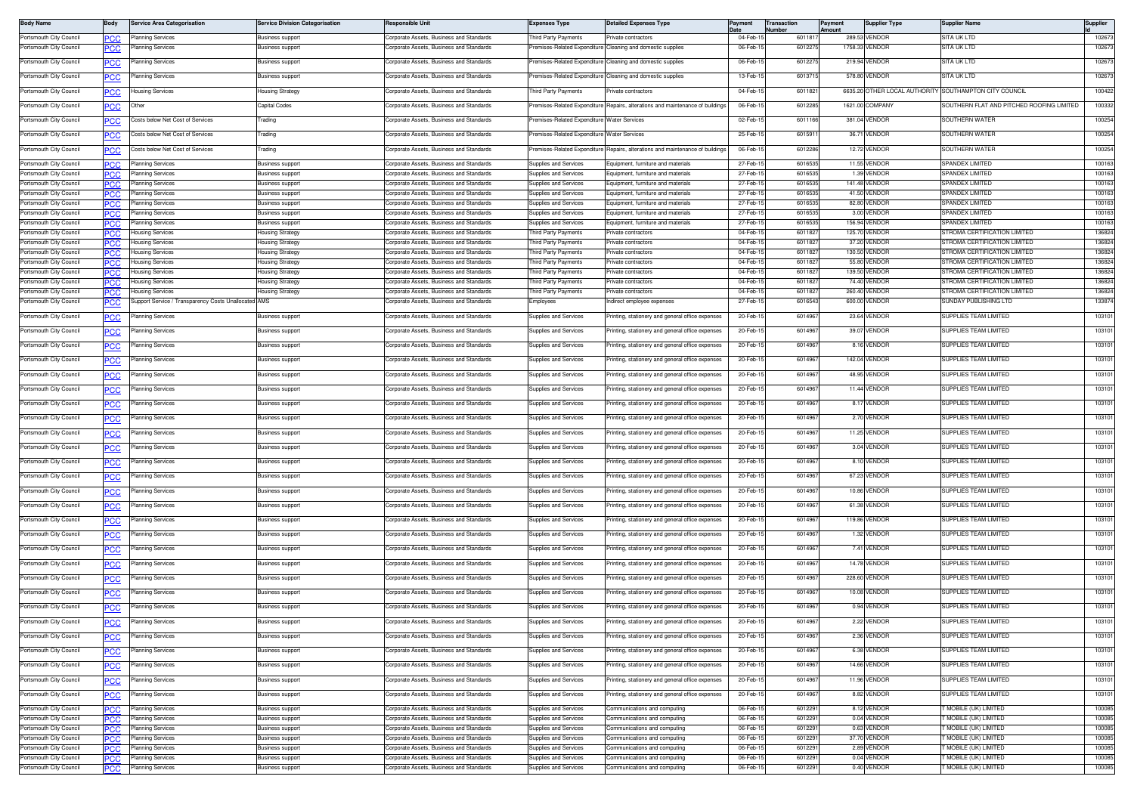| <b>Body Name</b>                                   | Body       | <b>Service Area Categorisation</b>                  | <b>Service Division Categorisation</b>             | <b>Responsible Unit</b>                                                              | <b>Expenses Type</b>                                  | <b>Detailed Expenses Type</b>                                                   | Payment              | <b>Transaction</b><br>Number | Payment<br>Amount | <b>Supplier Type</b>        | <b>Supplier Name</b>                                   | Supplier         |
|----------------------------------------------------|------------|-----------------------------------------------------|----------------------------------------------------|--------------------------------------------------------------------------------------|-------------------------------------------------------|---------------------------------------------------------------------------------|----------------------|------------------------------|-------------------|-----------------------------|--------------------------------------------------------|------------------|
| Portsmouth City Council                            | <b>PCC</b> | Planning Services                                   | <b>Business support</b>                            | Corporate Assets, Business and Standards                                             | hird Party Payments                                   | rivate contractors                                                              | 04-Feb-1             | 601181                       |                   | 289.53 VENDOR               | SITA UK LTD                                            | 102673           |
| Portsmouth City Council                            | сc         | anning Services                                     | <b>Business support</b>                            | Corporate Assets, Business and Standards                                             | remises-Related Expenditure                           | Cleaning and domestic supplies                                                  | 06-Feb-15            | 601227                       |                   | 1758.33 VENDOR              | SITA UK LTD                                            | 102673           |
| Portsmouth City Council                            | <b>PCC</b> | lanning Services                                    | <b>Business support</b>                            | Corporate Assets, Business and Standards                                             |                                                       | remises-Related Expenditure Cleaning and domestic supplies                      | 06-Feb-1             | 6012275                      |                   | 219.94 VENDOR               | SITA UK LTD                                            | 102673           |
| Portsmouth City Council                            | <u>cc</u>  | lanning Services                                    | <b>Business support</b>                            | Corporate Assets, Business and Standards                                             |                                                       | emises-Related Expenditure Cleaning and domestic supplies                       | 13-Feb-1             | 60137                        |                   | 578.80 VENDOR               | <b>SITA UK LTD</b>                                     | 102673           |
| Portsmouth City Council                            | <u>CC</u>  | lousing Services                                    | <b>Housing Strategy</b>                            | Corporate Assets, Business and Standards                                             | hird Party Payments                                   | rivate contractors                                                              | 04-Feb-1             | 6011821                      |                   |                             | 6635.20 OTHER LOCAL AUTHORITY SOUTHAMPTON CITY COUNCIL | 100422           |
| Portsmouth City Council                            | <u>PCC</u> | Other                                               | Capital Codes                                      | Corporate Assets, Business and Standards                                             | remises-Related Expenditure                           | Benairs, alterations and maintenance of building                                | 06-Feb-              | 601228                       |                   | 1621.00 COMPANY             | SOUTHERN FLAT AND PITCHED ROOFING LIMITED              | 100332           |
| Portsmouth City Council                            | сc         | Costs below Net Cost of Services                    | Trading                                            | Corporate Assets, Business and Standards                                             | remises-Related Expenditure Water Services            |                                                                                 | 02-Feb-1             | 601116                       |                   | 381.04 VENDOR               | SOUTHERN WATER                                         | 100254           |
| Portsmouth City Council                            |            | Costs below Net Cost of Services                    | Trading                                            | Corporate Assets, Business and Standards                                             | remises-Related Expenditure Water Services            |                                                                                 | 25-Feb-              | 601591                       |                   | 36.71 VENDOR                | SOUTHERN WATER                                         | 100254           |
| Portsmouth City Council                            | <u>cc</u>  | Costs below Net Cost of Services                    | Trading                                            | Corporate Assets, Business and Standards                                             | remises-Related Expenditure                           | Repairs, alterations and maintenance of buildings                               | 06-Feb-1             | 601228                       |                   | 12.72 VENDOR                | SOUTHERN WATER                                         | 100254           |
| Portsmouth City Council                            |            | Planning Services                                   | <b>Business support</b>                            | Corporate Assets, Business and Standards                                             | Supplies and Services                                 | Equipment, furniture and materials                                              | 27-Feb-              | 601653                       |                   | <b>11.55 VENDOF</b>         | SPANDEX LIMITED                                        | 100163           |
| Portsmouth City Council                            | PCC        | Planning Services                                   | <b>Business support</b>                            | Corporate Assets, Business and Standards                                             | upplies and Services                                  | Equipment, furniture and materials                                              | 27-Feb-              | 60165                        |                   | 1.39 VENDOR                 | <b>SPANDEX LIMITED</b>                                 | 100163           |
| Portsmouth City Council                            | PCC.       | Planning Services                                   | Business suppor                                    | Corporate Assets, Business and Standards                                             | upplies and Services                                  | quipment, furniture and material                                                | 27-Feb-              | 601653                       |                   | 141.48 VENDOR               | SPANDEX LIMITED                                        | 100163           |
| Portsmouth City Council                            | 'CC        | Planning Services                                   | Business suppor                                    | Corporate Assets, Business and Standards                                             | upplies and Services                                  | quipment, furniture and material                                                | 27-Feb-              | 60165                        |                   | 41.50 VENDOF                | SPANDEX LIMITED                                        | 100163           |
| Portsmouth City Council                            | <b>PCC</b> | Planning Services                                   | <b>Business support</b>                            | Corporate Assets, Business and Standards                                             | Supplies and Services                                 | Equipment, furniture and materials                                              | 27-Feb-1             | 60165                        |                   | 82.80 VENDOF                | <b>SPANDEX LIMITED</b>                                 | 100163           |
| Portsmouth City Council                            | °СС        | lanning Services                                    | <b>Business support</b>                            | Corporate Assets, Business and Standards                                             | upplies and Services                                  | quipment, furniture and materials                                               | 27-Feb-1             | 60165                        |                   | 3.00 VENDOF                 | SPANDEX LIMITED                                        | 100163           |
| Portsmouth City Council                            | <b>PCC</b> | Planning Services                                   | <b>Business support</b>                            | Corporate Assets, Business and Standards                                             | <b>Supplies and Services</b>                          | Equipment, furniture and materials                                              | 27-Feb-1             | 601653                       |                   | 156.94 VENDOR               | SPANDEX LIMITED                                        | 100163           |
| Portsmouth City Council                            |            | Housing Services                                    | Housing Strategy                                   | Corporate Assets, Business and Standards                                             | hird Party Payments                                   | rivate contractors                                                              | 04-Feb-1             | 6011827                      |                   | 125.70 VENDOR               | <b>STROMA CERTIFICATION LIMITED</b>                    | 136824           |
| Portsmouth City Council                            | PCC        | Housing Services                                    | <b>Housing Strategy</b>                            | Corporate Assets, Business and Standards                                             | hird Party Payments                                   | rivate contractors                                                              | 04-Feb-1             | 601182                       |                   | 37.20 VENDOR                | <b>STROMA CERTIFICATION LIMITED</b>                    | 136824           |
| Portsmouth City Council                            | nr         | lousing Services                                    | <b>Housing Strategy</b>                            | Corporate Assets, Business and Standards                                             | hird Party Payments                                   | fivate contractors                                                              | 04-Feb-              | 601182                       |                   | 130.50 VENDOR               | TROMA CERTIFICATION LIMITED                            | 136824           |
| Portsmouth City Council                            |            | lousing Services                                    | <b>Housing Strategy</b>                            | Corporate Assets, Business and Standards                                             | hird Party Payments                                   | ivate contractors                                                               | 04-Feb-              | 601182                       |                   | 55.80 VENDOR                | <b>STROMA CERTIFICATION LIMITED</b>                    | 136824           |
| Portsmouth City Council                            | PCC.       | <del>l</del> ousing Services                        | Housing Strateg                                    | Corporate Assets, Business and Standards                                             | hird Party Payments                                   | rivate contractors                                                              | 04-Feb-              | 601182                       |                   | 139.50 VENDOR               | TROMA CERTIFICATION LIMITED                            | 136824           |
| Portsmouth City Council                            | 70 X I     | <del>l</del> ousing Services                        | Housing Strateg                                    | Corporate Assets, Business and Standards                                             | hird Party Payments                                   | fivate contractors                                                              | 04-Feb-              | 601182                       |                   | 74.40 VENDOR                | TROMA CERTIFICATION LIMITED                            | 136824           |
| Portsmouth City Council                            | <b>PCC</b> | Housing Services                                    | <b>Housing Strategy</b>                            | Corporate Assets, Business and Standards                                             | hird Party Payments                                   | rivate contractors                                                              | 04-Feb-1             | 601182                       |                   | 260.40 VENDOR               | <b>STROMA CERTIFICATION LIMITED</b>                    | 136824           |
| Portsmouth City Council                            | <u>'CC</u> | upport Service / Transparency Costs Unallocated AMS |                                                    | Corporate Assets, Business and Standards                                             | mployees                                              | ndirect employee expenses                                                       | 27-Feb-1             | 601654                       |                   | 600.00 VENDOR               | SUNDAY PUBLISHING LTD                                  | 133874           |
| Portsmouth City Council                            | <b>PCC</b> | Planning Services                                   | <b>Business support</b>                            | Corporate Assets, Business and Standards                                             | Supplies and Services                                 | Printing, stationery and general office expenses                                | 20-Feb-1             | 601496                       |                   | 23.64 VENDOR                | SUPPLIES TEAM LIMITED                                  | 103101           |
| Portsmouth City Council                            | <u>CC</u>  | lanning Services                                    | <b>Business support</b>                            | Corporate Assets, Business and Standards                                             | upplies and Services                                  | inting, stationery and general office expenses                                  | 20-Feb-1             | 601496                       |                   | 39.07 VENDOR                | SUPPLIES TEAM LIMITED                                  | 103101           |
| Portsmouth City Council                            | <u>'CC</u> | lanning Services                                    | <b>Business support</b>                            | Corporate Assets, Business and Standards                                             | Supplies and Services                                 | rinting, stationery and general office expenses                                 | 20-Feb-1             | 6014967                      |                   | 8.16 VENDOR                 | SUPPLIES TEAM LIMITED                                  | 103101           |
| Portsmouth City Council                            | PCC        | Planning Services                                   | <b>Business support</b>                            | Corporate Assets, Business and Standards                                             | Supplies and Services                                 | rinting, stationery and general office expenses                                 | 20-Feb-              | 601496                       |                   | 142.04 VENDOR               | SUPPLIES TEAM LIMITED                                  | 103101           |
| Portsmouth City Council                            | <u>'CC</u> | lanning Services                                    | <b>Business support</b>                            | Corporate Assets, Business and Standards                                             | Supplies and Services                                 | rinting, stationery and general office expenses                                 | 20-Feb-1             | 601496                       |                   | 48.95 VENDOR                | SUPPLIES TEAM LIMITED                                  | 103101           |
| Portsmouth City Council                            | ٥с         | lanning Services                                    | <b>Business support</b>                            | Corporate Assets, Business and Standards                                             | Supplies and Services                                 | rinting, stationery and general office expenses                                 | 20-Feb-              | 601496                       |                   | 11.44 VENDOR                | SUPPLIES TEAM LIMITED                                  | 103101           |
| Portsmouth City Council                            |            | anning Services                                     | <b>Business support</b>                            | Corporate Assets, Business and Standards                                             | upplies and Services                                  | inting, stationery and general office expenses                                  | 20-Feb-1             | 601496                       |                   | 8.17 VENDOR                 | SUPPLIES TEAM LIMITED                                  | 103101           |
| Portsmouth City Council                            | сc         | lanning Services                                    | <b>Business support</b>                            | Corporate Assets, Business and Standards                                             | Supplies and Services                                 | rinting, stationery and general office expenses                                 | 20-Feb-1             | 601496                       |                   | 2.70 VENDOR                 | SUPPLIES TEAM LIMITED                                  | 103101           |
| Portsmouth City Council                            | PСC        | lanning Services                                    | Business support                                   | Corporate Assets, Business and Standards                                             | <b>Supplies and Services</b>                          | rinting, stationery and general office expenses                                 | 20-Feb-              | 601496                       |                   | 11.25 VENDOR                | SUPPLIES TEAM LIMITED                                  | 103101           |
| Portsmouth City Council                            | сc         | lanning Services                                    | <b>Business support</b>                            | Corporate Assets, Business and Standards                                             | Supplies and Services                                 | rinting, stationery and general office expenses                                 | 20-Feb-1             | 601496                       |                   | 3.04 VENDOR                 | SUPPLIES TEAM LIMITED                                  | 103101           |
| Portsmouth City Council                            | PCC        | Planning Services                                   | <b>Business support</b>                            | Corporate Assets, Business and Standards                                             | Supplies and Services                                 | rinting, stationery and general office expenses                                 | 20-Feb-1             | 601496                       |                   | 8.10 VENDOR                 | SUPPLIES TEAM LIMITED                                  | 103101           |
| Portsmouth City Council                            | <u>CC</u>  | anning Services                                     | <b>Business support</b>                            | Corporate Assets, Business and Standards                                             | upplies and Services                                  | inting, stationery and general office expenses                                  | 20-Feb-              | 601496                       |                   | 67.23 VENDOR                | SUPPLIES TEAM LIMITED                                  | 103101           |
| Portsmouth City Council                            | <u>'СС</u> | lanning Services                                    | <b>Business support</b>                            | Corporate Assets, Business and Standards                                             | Supplies and Services                                 | rinting, stationery and general office expenses                                 | 20-Feb-1             | 6014967                      |                   | 10.86 VENDOR                | SUPPLIES TEAM LIMITED                                  | 103101           |
| Portsmouth City Council                            | <u>PCC</u> | Planning Services                                   | Business support                                   | Corporate Assets, Business and Standards                                             | Supplies and Services                                 | rinting, stationery and general office expenses                                 | 20-Feb-              | 601496                       |                   | 61.38 VENDOR                | SUPPLIES TEAM LIMITED                                  | 103101           |
| Portsmouth City Council                            | сc         | lanning Services                                    | <b>Business support</b>                            | Corporate Assets, Business and Standards                                             | Supplies and Services                                 | Printing, stationery and general office expenses                                | 20-Feb-1             | 601496                       |                   | 119.86 VENDOR               | SUPPLIES TEAM LIMITED                                  | 103101           |
| Portsmouth City Council                            | ٥с         | lanning Services                                    | <b>Business support</b>                            | Corporate Assets, Business and Standards                                             | Supplies and Services                                 | rinting, stationery and general office expenses                                 | 20-Feb-              | 601496                       |                   | 1.32 VENDOR                 | SUPPLIES TEAM LIMITED                                  | 103101           |
| Portsmouth City Council                            |            | anning Services                                     | <b>Business support</b>                            | Corporate Assets, Business and Standards                                             | upplies and Services                                  | inting, stationery and general office expenses                                  | 20-Feb-1             | 601496                       |                   | 7.41 VENDOR                 | SUPPLIES TEAM LIMITED                                  | 103101           |
| Portsmouth City Council                            | <u>'СС</u> | lanning Services                                    | <b>Business support</b>                            | Corporate Assets, Business and Standards                                             | Supplies and Services                                 | rinting, stationery and general office expenses                                 | 20-Feb-1             | 601496                       |                   | 14.78 VENDOR                | SUPPLIES TEAM LIMITED                                  | 103101           |
| Portsmouth City Council                            |            | lanning Services                                    | <b>Business support</b>                            | Corporate Assets, Business and Standards                                             | Supplies and Services                                 | rinting, stationery and general office expenses                                 | 20-Feb-              | 601496                       |                   | 228.60 VENDOR               | SUPPLIES TEAM LIMITED                                  | 103101           |
| Portsmouth City Council                            | сc         | lanning Services                                    | <b>Business support</b>                            | Corporate Assets, Business and Standards                                             | <b>Supplies and Services</b>                          | rinting, stationery and general office expenses                                 | 20-Feb-1             | 601496                       |                   | 10.08 VENDOR                | SUPPLIES TEAM LIMITED                                  | 103101           |
| Portsmouth City Council                            | <b>PCC</b> | Planning Services                                   | <b>Business support</b>                            | Corporate Assets, Business and Standards                                             | Supplies and Services                                 | Printing, stationery and general office expenses                                | 20-Feb-1             | 601496                       |                   | 0.94 VENDOR                 | SUPPLIES TEAM LIMITED                                  | 103101           |
| Portsmouth City Council                            | <b>PCC</b> | Planning Services                                   | <b>Business support</b>                            | Corporate Assets, Business and Standards                                             | Supplies and Services                                 | Printing, stationery and general office expenses                                | 20-Feb-15            | 6014967                      |                   | 2.22 VENDOR                 | SUPPLIES TEAM LIMITED                                  | 103101           |
| Portsmouth City Council                            | <b>CC</b>  | lanning Services                                    | Business support                                   | Corporate Assets, Business and Standards                                             | <b>Supplies and Services</b>                          | rinting, stationery and general office expenses                                 | 20-Feb-1             | 6014967                      |                   | 2.36 VENDOR                 | SUPPLIES TEAM LIMITED                                  | 103101           |
| Portsmouth City Council                            | <b>PCC</b> | Planning Services                                   | Business support                                   | Corporate Assets, Business and Standards                                             | Supplies and Services                                 | rinting, stationery and general office expenses                                 | 20-Feb-              | 601496                       |                   | 6.38 VENDOR                 | SUPPLIES TEAM LIMITED                                  | 103101           |
| Portsmouth City Council                            | <b>PCC</b> | Planning Services                                   | <b>Business support</b>                            | Corporate Assets, Business and Standards                                             | Supplies and Services                                 | Printing, stationery and general office expenses                                | 20-Feb-1             | 6014967                      |                   | 14.66 VENDOR                | SUPPLIES TEAM LIMITED                                  | 103101           |
| Portsmouth City Council                            | <b>PCC</b> | lanning Services                                    | <b>Business support</b>                            | Corporate Assets, Business and Standards                                             | Supplies and Services                                 | rinting, stationery and general office expenses                                 | 20-Feb-1             | 601496                       |                   | 11.96 VENDOR                | SUPPLIES TEAM LIMITED                                  | 103101           |
| Portsmouth City Council<br>Portsmouth City Council | <b>CC</b>  | lanning Services<br>Planning Services               | <b>Business support</b><br><b>Business support</b> | Corporate Assets, Business and Standards<br>Corporate Assets, Business and Standards | Supplies and Services<br><b>Supplies and Services</b> | rinting, stationery and general office expenses<br>Communications and computing | 20-Feb-1<br>06-Feb-  | 601496<br>601229             |                   | 8.82 VENDOR<br>8.12 VENDOR  | SUPPLIES TEAM LIMITED<br>MOBILE (UK) LIMITED           | 103101<br>100085 |
|                                                    | °СС        |                                                     |                                                    |                                                                                      |                                                       | Communications and computing                                                    | 06-Feb-              | 601229                       |                   |                             | MOBILE (UK) LIMITED                                    | 100085           |
| Portsmouth City Council                            | PCC        | Planning Services                                   | Business support                                   | Corporate Assets, Business and Standards<br>Corporate Assets, Business and Standards | Supplies and Services                                 |                                                                                 |                      |                              |                   | 0.04 VENDOR                 |                                                        |                  |
| Portsmouth City Council                            | PCC.       | Planning Services                                   | <b>Business support</b>                            |                                                                                      | Supplies and Services<br>upplies and Services         | ommunications and computing                                                     | 06-Feb-1             | 601229                       |                   | 0.63 VENDOR                 | MOBILE (UK) LIMITED<br>MOBILE (UK) LIMITED             | 100085           |
| Portsmouth City Council<br>Portsmouth City Council | -60        | Planning Services                                   | <b>Business support</b>                            | Corporate Assets, Business and Standards<br>Corporate Assets, Business and Standards | <b>Supplies and Services</b>                          | ommunications and computing                                                     | 06-Feb-1<br>06-Feb-1 | 601229<br>601229             |                   | 37.70 VENDOR<br>2.89 VENDOR | MOBILE (UK) LIMITED                                    | 100085<br>100085 |
| Portsmouth City Council                            | <b>PCC</b> | Planning Services                                   | <b>Business support</b><br><b>Business support</b> | Corporate Assets, Business and Standards                                             | <b>Supplies and Services</b>                          | Communications and computing<br>Communications and computing                    | 06-Feb-1             | 6012291                      |                   | 0.04 VENDOR                 | MOBILE (UK) LIMITED                                    | 100085           |
| Portsmouth City Council                            | ∍сс        | Planning Services                                   | Business support                                   | Corporate Assets, Business and Standards                                             | Supplies and Services                                 | Communications and computing                                                    |                      | 6012291                      |                   | 0.40 VENDOR                 | <b>T MOBILE (UK) LIMITED</b>                           | 100085           |
|                                                    | <b>PCC</b> | Planning Services                                   |                                                    |                                                                                      |                                                       |                                                                                 | 06-Feb-1             |                              |                   |                             |                                                        |                  |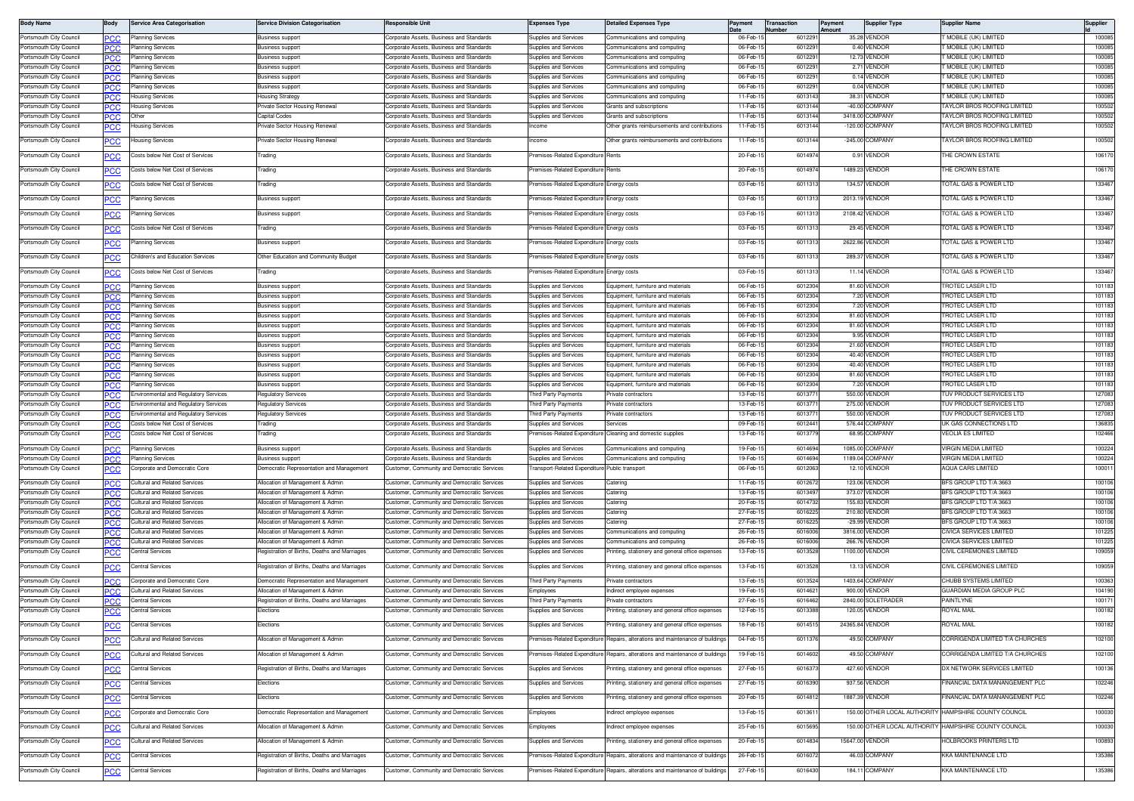| <b>Body Name</b>                                   | Body       | Service Area Categorisation           | <b>Service Division Categorisation</b>                    | <b>Responsible Unit</b>                                                                   | Expenses Type                                 | Detailed Expenses Type                                                         | Payment                | ransaction<br>ımbe | Payment<br>Amount | <b>Supplier Type</b>                | Supplier Name                                            | Supplier         |
|----------------------------------------------------|------------|---------------------------------------|-----------------------------------------------------------|-------------------------------------------------------------------------------------------|-----------------------------------------------|--------------------------------------------------------------------------------|------------------------|--------------------|-------------------|-------------------------------------|----------------------------------------------------------|------------------|
| Portsmouth City Council                            | PСC        | Planning Services                     | Business support                                          | Corporate Assets, Business and Standards                                                  | Supplies and Services                         | Communications and computing                                                   | 06-Feb-                | 601229             |                   | 35.28 VENDOR                        | MOBILE (UK) LIMITED                                      | 100085           |
| Portsmouth City Council                            | PСC        | Planning Services                     | Business suppor                                           | Corporate Assets, Business and Standards                                                  | <b>Supplies and Services</b>                  | Communications and computing                                                   | 06-Feb-                | 601229             |                   | 0.40 VENDOR                         | MOBILE (UK) LIMITED                                      | 100085           |
| Portsmouth City Council                            | °СС        | lanning Services                      | Business suppor                                           | orporate Assets, Business and Standards                                                   | upplies and Services                          | Communications and computing                                                   | 06-Feb-                | 601229             |                   | 12.73 VENDOR                        | MOBILE (UK) LIMITED                                      | 100085           |
| Portsmouth City Council                            | ∍сс        | Planning Services                     | Business support                                          | Corporate Assets, Business and Standards                                                  | upplies and Services                          | Communications and computing                                                   | 06-Feb-                | 601229             |                   | 2.71 VENDOR                         | MOBILE (UK) LIMITED                                      | 100085           |
| Portsmouth City Council                            | PCC        | lanning Services                      | Business suppor                                           | Corporate Assets, Business and Standards                                                  | supplies and Services                         | ommunications and computing                                                    | 06-Feb-                | 601229             |                   | 0.14 VENDOR                         | MOBILE (UK) LIMITED                                      | 100085           |
| Portsmouth City Council                            | PCC        | lanning Services                      | Business support                                          | Corporate Assets, Business and Standards                                                  | upplies and Services                          | ommunications and computing                                                    | 06-Feb-1               | 601229             |                   | 0.04 VENDOR                         | MOBILE (UK) LIMITED                                      | 100085           |
| Portsmouth City Council                            | <b>PCC</b> | <b>Housing Services</b>               | lousing Strategy                                          | Corporate Assets, Business and Standards                                                  | supplies and Services                         | Communications and computing                                                   | 11-Feb-1<br>$11-Feb-1$ | 6013143            |                   | 38.31 VENDOR<br>-40.00 COMPANY      | MOBILE (UK) LIMITED                                      | 100085           |
| Portsmouth City Council                            | ٥С         | lousing Services                      | Private Sector Housing Renewal<br>Capital Codes           | Corporate Assets, Business and Standards                                                  | upplies and Services<br>upplies and Services  | Grants and subscriptions                                                       | 11-Feb-1               | 601314<br>6013144  |                   | 3418.00 COMPANY                     | AYLOR BROS ROOFING LIMITED<br>AYLOR BROS ROOFING LIMITED | 100502<br>100502 |
| Portsmouth City Council<br>Portsmouth City Council | PCC        | Other<br>lousing Services             | Private Sector Housing Renewal                            | Corporate Assets, Business and Standards<br>Corporate Assets, Business and Standards      | ncome                                         | Grants and subscriptions<br>Other grants reimbursements and contributions      | 11-Feb-1               | 6013144            |                   | -120.00 COMPANY                     | AYLOR BROS ROOFING LIMITED                               | 100502           |
|                                                    | <b>PCC</b> |                                       |                                                           |                                                                                           |                                               |                                                                                |                        |                    |                   |                                     |                                                          |                  |
| Portsmouth City Council                            | PCC        | Housing Services                      | Private Sector Housing Renewal                            | Corporate Assets, Business and Standards                                                  | acome                                         | Other grants reimbursements and contributions                                  | 11-Feb-1               | 6013144            |                   | -245.00 COMPANY                     | AYLOR BROS ROOFING LIMITED                               | 100502           |
| Portsmouth City Council                            | <u>PCC</u> | Costs below Net Cost of Services      | rading                                                    | orporate Assets, Business and Standards                                                   | emises-Related Expenditure                    |                                                                                | 20-Feb-1               | 601497             |                   | 0.91 VENDOR                         | HE CROWN ESTATE                                          | 106170           |
| Portsmouth City Council                            | PСC        | Costs below Net Cost of Services      | Trading                                                   | Corporate Assets, Business and Standards                                                  | emises-Related Expenditure                    | Rents                                                                          | 20-Feb-                | 601497             |                   | 1489.23 VENDOR                      | HE CROWN ESTATE                                          | 106170           |
| Portsmouth City Council                            | <b>PCC</b> | Costs below Net Cost of Services      | rading                                                    | orporate Assets, Business and Standards                                                   | emises-Related Expenditure                    | nergy costs                                                                    | 03-Feb-1               | 601131             |                   | 134.57 VENDOR                       | OTAL GAS & POWER LTD                                     | 133467           |
| Portsmouth City Council                            | <u>PCC</u> | lanning Services                      | <b>Business support</b>                                   | Corporate Assets, Business and Standards                                                  | remises-Related Expenditure                   | Energy costs                                                                   | 03-Feb-1               | 6011313            |                   | 2013.19 VENDOR                      | OTAL GAS & POWER LTD                                     | 133467           |
| Portsmouth City Council                            | <u>PCC</u> | Planning Services                     | <b>Business support</b>                                   | Corporate Assets, Business and Standards                                                  | remises-Related Expenditure                   | nergy costs                                                                    | 03-Feb-1               | 601131             |                   | 2108.42 VENDOR                      | OTAL GAS & POWER LTD                                     | 133467           |
| Portsmouth City Council                            |            | Costs below Net Cost of Services      | Trading                                                   | orporate Assets, Business and Standards                                                   | emises-Related Expenditure                    | Energy costs                                                                   | 03-Feb-1               | 6011313            |                   | 29.45 VENDOR                        | OTAL GAS & POWER LTD                                     | 133467           |
|                                                    | <u>PCC</u> |                                       |                                                           |                                                                                           |                                               |                                                                                |                        |                    |                   |                                     |                                                          |                  |
| Portsmouth City Council                            | PСC        | lanning Services                      | Business support                                          | Corporate Assets, Business and Standards                                                  | emises-Related Expenditure                    | Energy costs                                                                   | 03-Feb-1               | 6011313            |                   | 2622.86 VENDOR                      | <b>OTAL GAS &amp; POWER LTD</b>                          | 133467           |
| Portsmouth City Council                            | <u>PCC</u> | Children's and Education Services     | Other Education and Community Budget                      | Corporate Assets, Business and Standards                                                  | emises-Related Expenditure                    | nergy costs                                                                    | 03-Feb-1               | 6011313            |                   | 289.37 VENDOR                       | OTAL GAS & POWER LTD                                     | 133467           |
| Portsmouth City Council                            | <b>PCC</b> | Costs below Net Cost of Services      | Trading                                                   | Corporate Assets, Business and Standards                                                  | remises-Related Expenditure                   | Energy costs                                                                   | 03-Feb-1               | 6011313            |                   | 11.14 VENDOR                        | OTAL GAS & POWER LTD                                     | 133467           |
| Portsmouth City Council                            | <b>PCC</b> | Planning Services                     | <b>Business support</b>                                   | Corporate Assets, Business and Standards                                                  | supplies and Services                         | Equipment, furniture and materials                                             | 06-Feb-1               | 601230             |                   | 81.60 VENDOR                        | ROTEC LASER LTD                                          | 101183           |
| Portsmouth City Council                            | °СС        | Planning Services                     | <b>Business support</b>                                   | Corporate Assets, Business and Standards                                                  | <b>Supplies and Services</b>                  | quipment, furniture and material                                               | 06-Feb-                | 6012304            |                   | 7.20 VENDOR                         | ROTEC LASER LTD                                          | 101183           |
| Portsmouth City Council                            | PСC        | Planning Services                     | Business suppor                                           | Corporate Assets, Business and Standards                                                  | Supplies and Services                         | Equipment, furniture and materials                                             | 06-Feb-                | 601230             |                   | 7.20 VENDOR                         | ROTEC LASER LTD                                          | 101183           |
| Portsmouth City Council                            | °СС        | Planning Services                     | <b>Business support</b>                                   | Corporate Assets, Business and Standards                                                  | <b>Junnlies and Services</b>                  | quipment, furniture and material                                               | 06-Feb-                | 6012304            |                   | 81.60 VENDOR                        | ROTEC LASER LTD                                          | 101183           |
| Portsmouth City Council                            | ∍сс        | Planning Services                     | Business support                                          | Corporate Assets, Business and Standards                                                  | upplies and Services                          | Equipment, furniture and materials                                             | 06-Feb-                | 6012304            |                   | 81.60 VENDOR                        | ROTEC LASER LTD                                          | 101183           |
| Portsmouth City Council                            | <b>PCC</b> | Planning Services                     | Business suppor                                           | Corporate Assets, Business and Standards                                                  | upplies and Services                          | quipment, furniture and material                                               | 06-Feb-                | 601230             |                   | 9.95 VENDOR                         | ROTEC LASER LTD                                          | 101183           |
| Portsmouth City Council                            | PСC        | lanning Services                      | Business support                                          | Corporate Assets, Business and Standards                                                  | upplies and Services                          | quipment, furniture and material                                               | 06-Feb-1               | 601230             |                   | 21.60 VENDOR                        | ROTEC LASER LTD                                          | 101183           |
| Portsmouth City Council                            | PCC        | Planning Services                     | <b>Business support</b>                                   | Corporate Assets, Business and Standards                                                  | supplies and Services                         | Equipment, furniture and material                                              | 06-Feb-1               | 601230             |                   | 40.40 VENDOR                        | <b>ROTEC LASER LTD</b>                                   | 101183           |
| Portsmouth City Council                            | ℃С         | lanning Services                      | <b>Business support</b>                                   | Corporate Assets, Business and Standards                                                  | upplies and Services<br>upplies and Services  | quipment, furniture and material                                               | 06-Feb-1               | 6012304            |                   | 40.40 VENDOR                        | ROTEC LASER LTD                                          | 101183           |
| Portsmouth City Council<br>Portsmouth City Council | PCC        | Planning Services<br>lanning Services | <b>Business support</b><br><b>Business support</b>        | Corporate Assets, Business and Standards<br>Corporate Assets, Business and Standards      | upplies and Services                          | Equipment, furniture and materials<br>quipment, furniture and material         | 06-Feb-1<br>06-Feb-    | 6012304<br>601230  |                   | 81.60 VENDOR<br>7.20 VENDOR         | ROTEC LASER LTD<br>ROTEC LASER LTD                       | 101183<br>101183 |
| Portsmouth City Council                            | PСC<br>PСC | Environmental and Regulatory Services | Regulatory Services                                       | Corporate Assets, Business and Standards                                                  | hird Party Payments                           | Private contractors                                                            | 13-Feb-1               | 601377             |                   | 550.00 VENDOR                       | <b>UV PRODUCT SERVICES LTD</b>                           | 127083           |
| Portsmouth City Council                            | °СС        | Environmental and Regulatory Services | Regulatory Services                                       | Corporate Assets, Business and Standards                                                  | hird Party Payments                           | rivate contractors                                                             | 13-Feb-                | 601377             |                   | 275.00 VENDOR                       | UV PRODUCT SERVICES LTD                                  | 127083           |
| Portsmouth City Council                            | PСC        | invironmental and Regulatory Services | Regulatory Services                                       | Corporate Assets, Business and Standards                                                  | hird Party Payments                           | rivate contractors                                                             | 13-Feb-1               | 601377             |                   | 550.00 VENDOR                       | UV PRODUCT SERVICES LTD                                  | 127083           |
| Portsmouth City Council                            | <b>PCC</b> | Costs below Net Cost of Service:      | Trading                                                   | Corporate Assets, Business and Standards                                                  | upplies and Services                          | ervices                                                                        | 09-Feb-                | 601244             |                   | 576.44 COMPANY                      | JK GAS CONNECTIONS LTD                                   | 136835           |
| Portsmouth City Council                            | <u>CC</u>  | osts below Net Cost of Services       | rading                                                    | orporate Assets, Business and Standards                                                   | emises-Related Expenditure                    | leaning and domestic supplies                                                  | 13-Feb-1               | 601377             |                   | 68.95 COMPANY                       | <b>/EOLIA ES LIMITED</b>                                 | 102466           |
| Portsmouth City Council                            | PСC        | Planning Services                     | Business suppor                                           | Corporate Assets, Business and Standards                                                  | upplies and Services                          | Communications and computing                                                   | 19-Feb-1               | 601469             |                   | 1085.00 COMPANY                     | VIRGIN MEDIA LIMITED                                     | 100224           |
| Portsmouth City Council                            | PСC        | lanning Services                      | Business suppor                                           | orporate Assets, Business and Standards                                                   | upplies and Services                          | ommunications and computing                                                    | 19-Feb-1               | 601469             |                   | 1189.04 COMPANY                     | IRGIN MEDIA LIMITED                                      | 100224           |
| Portsmouth City Council                            | <u>PCC</u> | Corporate and Democratic Core         | Jemocratic Representation and Management                  | Customer, Community and Democratic Services                                               | ransport-Related Expenditure Public transport |                                                                                | 06-Feb-1               | 6012063            |                   | 12.10 VENDOR                        | AQUA CARS LIMITED                                        | 100011           |
| Portsmouth City Council                            | PСC        | <b>Cultural and Related Services</b>  | Allocation of Management & Admin                          | Customer, Community and Democratic Services                                               | upplies and Services                          | Catering                                                                       | 11-Feb-1               | 6012672            |                   | 123.06 VENDOR                       | BFS GROUP LTD T/A 3663                                   | 100106           |
| Portsmouth City Council                            | PCC.       | Cultural and Related Services         | Allocation of Management & Admin                          | ustomer, Community and Democratic Services                                                | upplies and Services                          | aterino                                                                        | 13-Feb-1               | 601349             |                   | 373.07 VENDOR                       | BFS GROUP LTD T/A 3663                                   | 100106           |
| Portsmouth City Council                            | ∍сс        | Cultural and Related Services         | Allocation of Management & Admin                          | ustomer, Community and Democratic Services                                                | upplies and Services                          | atering                                                                        | 20-Feb-1               | 6014732            |                   | 155.83 VENDOR                       | BFS GROUP LTD T/A 3663                                   | 100106           |
| Portsmouth City Council                            | PCC        | Cultural and Related Services         | Allocation of Management & Admin                          | ustomer, Community and Democratic Services                                                | Supplies and Services                         | Catering                                                                       | 27-Feb-1               | 6016225            |                   | 210.80 VENDOR                       | BFS GROUP LTD T/A 3663                                   | 100106           |
| Portsmouth City Council                            | ٥С         | Cultural and Related Services         | Allocation of Management & Admin                          | Customer, Community and Democratic Services                                               | Supplies and Services                         | Caterino                                                                       | 27-Feb-1               | 6016225            |                   | -29.99 VENDOR                       | BFS GROUP LTD T/A 3663                                   | 100106           |
| Portsmouth City Council                            | PСC        | Cultural and Related Services         | Allocation of Management & Admin                          | ustomer, Community and Democratic Services                                                | Supplies and Services                         | Communications and computing                                                   | 26-Feb-                | 6016006            |                   | 3816.00 VENDOR                      | CIVICA SERVICES LIMITED                                  | 101225           |
| Portsmouth City Council                            | °СС        | Jultural and Related Services         | Allocation of Management & Admin                          | ustomer, Community and Democratic Services                                                | upplies and Services                          | ommunications and computing                                                    | 26-Feb-                | 6016006            |                   | 266.76 VENDOR                       | <b>IVICA SERVICES LIMITED</b>                            | 101225           |
| Portsmouth City Council                            |            | Central Services                      | Registration of Births, Deaths and Marriages              | ustomer, Community and Democratic Services                                                | upplies and Services                          | rinting, stationery and general office expenses                                | 13-Feb-1               | 601352             |                   | 1100.00 VENDOR                      | <b>IVIL CEREMONIES LIMITED</b>                           | 109059           |
| Portsmouth City Council                            | Ř          | Central Services                      | Registration of Births, Deaths and Marriages              | Customer, Community and Democratic Services                                               | Supplies and Services                         | rinting, stationery and general office expenses                                | 13-Feb-1               | 6013528            |                   | 13.13 VENDOR                        | CIVIL CEREMONIES LIMITED                                 | 109059           |
| Portsmouth City Council                            | PCC        | Corporate and Democratic Core         | Democratic Representation and Management                  | Customer, Community and Democratic Services                                               | hird Party Payments                           | Private contractors                                                            | 13-Feb-1               | 6013524            |                   | 1403.64 COMPANY                     | CHUBB SYSTEMS LIMITED                                    | 100363           |
| Portsmouth City Council                            | °СС        | Cultural and Related Services         | Allocation of Management & Admin                          | ustomer, Community and Democratic Service                                                 | imployees                                     | ndirect employee expenses                                                      | 19-Feb-1               | 601462             |                   | 900.00 VENDOR                       | <b>GUARDIAN MEDIA GROUP PLC</b>                          | 104190           |
| Portsmouth City Council<br>Portsmouth City Council | ∍сс        | Central Services<br>Central Services  | Registration of Births, Deaths and Marriages<br>Elections | Customer. Community and Democratic Services<br>ustomer, Community and Democratic Services | hird Party Payments<br>upplies and Services   | 'rivate contractors<br>rinting, stationery and general office expenses         | 27-Feb-1<br>12-Feb-1   | 601646<br>601338   |                   | 2840.00 SOLETRADER<br>120.05 VENDOR | <b>AINTLYNE</b><br><b>ROYAL MAIL</b>                     | 100171<br>100182 |
|                                                    | <b>CC</b>  |                                       |                                                           |                                                                                           |                                               |                                                                                |                        |                    |                   |                                     |                                                          |                  |
| Portsmouth City Council                            |            | Central Services                      | <b>Elections</b>                                          | ustomer, Community and Democratic Services                                                | upplies and Services                          | rinting, stationery and general office expenses                                | $18$ -reb-             | 601451             |                   | 24365.84 VENDOR                     | KUYAL MAIL⊣                                              | 100182           |
| Portsmouth City Council                            | <b>PCC</b> | <b>Cultural and Related Services</b>  | Allocation of Management & Admin                          | Customer, Community and Democratic Services                                               |                                               | remises-Related Expenditure Repairs, alterations and maintenance of buildings  | 04-Feb-15              | 6011376            |                   | 49.50 COMPANY                       | CORRIGENDA LIMITED T/A CHURCHES                          | 102100           |
| Portsmouth City Council                            | PСC        | Cultural and Related Services         | Allocation of Management & Admin                          | Customer, Community and Democratic Services                                               | remises-Related Expenditure                   | Repairs, alterations and maintenance of buildings                              | 19-Feb-1               | 6014602            |                   | 49.50 COMPANY                       | CORRIGENDA LIMITED T/A CHURCHES                          | 102100           |
| Portsmouth City Council                            | <u>PCC</u> | Central Services                      | Registration of Births, Deaths and Marriages              | Customer, Community and Democratic Services                                               | Supplies and Services                         | rinting, stationery and general office expenses                                | 27-Feb-1               | 6016373            |                   | 427.60 VENDOR                       | DX NETWORK SERVICES LIMITED                              | 100136           |
| Portsmouth City Council                            | <b>PCC</b> | Central Services                      | Elections                                                 | Customer, Community and Democratic Services                                               | Supplies and Services                         | Printing, stationery and general office expenses                               | 27-Feb-1               | 6016390            |                   | 937.56 VENDOR                       | INANCIAL DATA MANANGEMENT PLC                            | 102246           |
| Portsmouth City Council                            | <u>PCC</u> | Central Services                      | Elections                                                 | Customer, Community and Democratic Services                                               | Supplies and Services                         | Printing, stationery and general office expenses                               | 20-Feb-1               | 6014812            |                   | 1887.39 VENDOR                      | INANCIAL DATA MANANGEMENT PLC                            | 102246           |
| Portsmouth City Council                            |            | Corporate and Democratic Core         | Democratic Representation and Management                  | Customer, Community and Democratic Services                                               | Employees                                     | ndirect employee expenses                                                      | 13-Feb-15              | 6013611            |                   |                                     | 150.00 OTHER LOCAL AUTHORITY HAMPSHIRE COUNTY COUNCIL    | 100030           |
| Portsmouth City Council                            | PCC        | <b>Cultural and Related Services</b>  | Allocation of Management & Admin                          | ustomer, Community and Democratic Services                                                | Employees                                     | ndirect employee expenses                                                      | 25-Feb-1               | 6015695            |                   | 150.00 OTHER LOCAL AUTHORITY        | HAMPSHIRE COUNTY COUNCIL                                 | 100030           |
| Portsmouth City Council                            | <u>PCC</u> | Cultural and Related Services         | <b>Nlocation of Management &amp; Admin</b>                | ustomer, Community and Democratic Services                                                | Supplies and Services                         | rinting, stationery and general office expenses                                | 20-Feb-1               | 6014834            |                   | 15647.00 VENDOR                     | HOLBROOKS PRINTERS LTD                                   | 100893           |
| Portsmouth City Council                            |            | Central Services                      | Registration of Births, Deaths and Marriages              | Customer, Community and Democratic Services                                               |                                               | Premises-Related Expenditure Repairs, alterations and maintenance of buildings | 26-Feb-1               | 6016072            |                   | 46.03 COMPANY                       | <b>KKA MAINTENANCE LTD</b>                               | 135386           |
|                                                    | <b>PCC</b> |                                       |                                                           |                                                                                           |                                               |                                                                                |                        |                    |                   |                                     |                                                          |                  |
| Portsmouth City Council                            | <u>PCC</u> | <b>Central Services</b>               | Registration of Births, Deaths and Marriages              | Customer, Community and Democratic Services                                               | remises-Related Expenditure                   | Repairs, alterations and maintenance of buildings                              | 27-Feb-1               | 6016430            |                   | 184.11 COMPANY                      | <b>KKA MAINTENANCE LTD</b>                               | 135386           |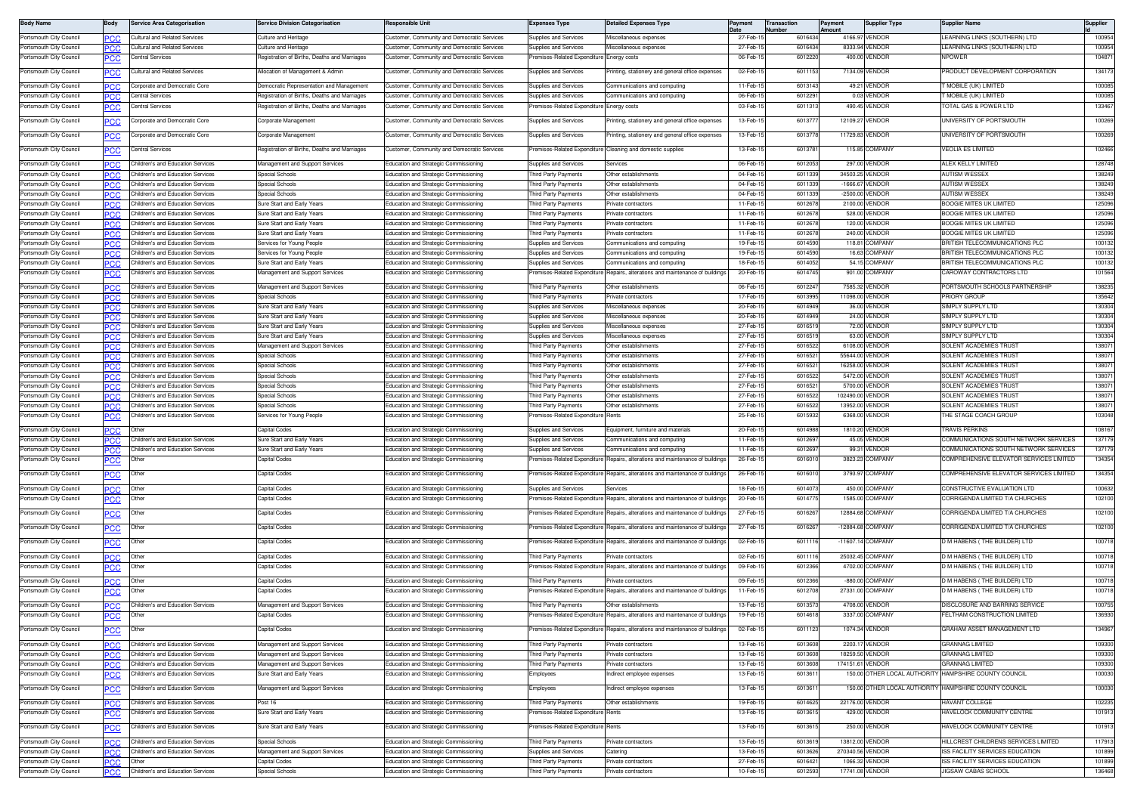| <b>Body Name</b>                                   | Body              | Service Area Categorisation                                            | <b>Service Division Categorisation</b>             | <b>Responsible Unit</b>                                                        | <b>Expenses Type</b>                       | <b>Detailed Expenses Type</b>                                                  | Payment              | <b>Transaction</b> | Payment          | <b>Supplier Type</b>              | <b>Supplier Name</b>                                  | Supplier         |
|----------------------------------------------------|-------------------|------------------------------------------------------------------------|----------------------------------------------------|--------------------------------------------------------------------------------|--------------------------------------------|--------------------------------------------------------------------------------|----------------------|--------------------|------------------|-----------------------------------|-------------------------------------------------------|------------------|
| Portsmouth City Council                            | PCC               | ultural and Related Services                                           | Culture and Heritage                               | Customer, Community and Democratic Services                                    | <b>Supplies and Services</b>               | Miscellaneous expenses                                                         | 27-Feb-              | lumber<br>6016434  |                  | 4166.97 VENDOR                    | LEARNING LINKS (SOUTHERN) LTD                         | 100954           |
| Portsmouth City Council                            | <b>PCC</b>        | Cultural and Related Services                                          | Culture and Heritage                               | Customer, Community and Democratic Services                                    | Supplies and Services                      | Miscellaneous expenses                                                         | 27-Feb-1             | 601643             |                  | 8333.94 VENDOR                    | LEARNING LINKS (SOUTHERN) LTD                         | 100954           |
| Portsmouth City Council                            |                   | Central Services                                                       | Registration of Births, Deaths and Marriages       | Customer, Community and Democratic Services                                    | emises-Related Expenditure                 | Energy costs                                                                   | 06-Feb-1             | 601222             |                  | 400.00 VENDOR                     | <b>NPOWER</b>                                         | 104871           |
|                                                    |                   |                                                                        |                                                    |                                                                                |                                            |                                                                                |                      |                    |                  |                                   |                                                       |                  |
| Portsmouth City Council                            | <u>PCC</u>        | Cultural and Related Services                                          | Allocation of Management & Admin                   | Customer, Community and Democratic Services                                    | Supplies and Services                      | Printing, stationery and general office expenses                               | 02-Feb-1             | 601115             |                  | 7134.09 VENDOF                    | RODUCT DEVELOPMENT CORPORATION                        | 134173           |
| Portsmouth City Council                            | PCC               | orporate and Democratic Core                                           | Democratic Representation and Management           | Customer, Community and Democratic Services                                    | <b>Supplies and Services</b>               | Communications and computing                                                   | 11-Feb-1             | 601314             |                  | 49.21 VENDOF                      | MOBILE (UK) LIMITED                                   | 100085           |
| Portsmouth City Council                            | PCC               | Central Services                                                       | Registration of Births, Deaths and Marriages       | Customer, Community and Democratic Services                                    | Supplies and Services                      | Communications and computing                                                   | 06-Feb-1             | 601229             |                  | 0.03 VENDOR                       | MOBILE (UK) LIMITED                                   | 100085           |
| Portsmouth City Council                            |                   | entral Services                                                        | Registration of Births, Deaths and Marriages       | Customer, Community and Democratic Services                                    | emises-Related Expenditure Energy costs    |                                                                                | 03-Feb-1             | 6011313            |                  | 490.45 VENDOR                     | <b>FOTAL GAS &amp; POWER LTD</b>                      | 133467           |
| Portsmouth City Council                            |                   | orporate and Democratic Core                                           | Corporate Management                               | Customer, Community and Democratic Services                                    | Supplies and Services                      | rinting, stationery and general office expenses                                | 13-Feb-1             | 601377             |                  | 12109.27 VENDOR                   | UNIVERSITY OF PORTSMOUTH                              | 100269           |
|                                                    | ∍сс               |                                                                        |                                                    |                                                                                |                                            |                                                                                |                      |                    |                  |                                   |                                                       |                  |
| Portsmouth City Council                            | <u>PCC</u>        | Corporate and Democratic Core                                          | Corporate Management                               | Customer, Community and Democratic Services                                    | Supplies and Services                      | rinting, stationery and general office expenses                                | 13-Feb-1             | 601377             |                  | 11729.83 VENDOR                   | JNIVERSITY OF PORTSMOUTH                              | 100269           |
| Portsmouth City Council                            | <u>PCC</u>        | Central Services                                                       | Registration of Births, Deaths and Marriages       | Customer, Community and Democratic Services                                    |                                            | Premises-Related Expenditure Cleaning and domestic supplies                    | 13-Feb-1             | 601378             |                  | 115.85 COMPANY                    | <b>VEOLIA ES LIMITED</b>                              | 102466           |
|                                                    |                   |                                                                        |                                                    |                                                                                |                                            |                                                                                |                      |                    |                  |                                   |                                                       |                  |
| Portsmouth City Council                            | <b>PCC</b>        | Children's and Education Services                                      | Management and Support Services                    | Education and Strategic Commissioning                                          | <b>Supplies and Services</b>               | Services                                                                       | 06-Feb-1             | 601205             |                  | 297.00 VENDOR                     | ALEX KELLY LIMITED                                    | 128748           |
| Portsmouth City Council                            | ٥с                | Children's and Education Services                                      | Special Schools                                    | <b>Education and Strategic Commissioning</b>                                   | hird Party Payments                        | Other establishments                                                           | 04-Feb-1             | 601133             |                  | 34503.25 VENDOR                   | AUTISM WESSEX                                         | 138249           |
| Portsmouth City Council                            | PСC               | Children's and Education Services                                      | Special Schools<br>Special Schools                 | Education and Strategic Commissioning                                          | hird Party Payments                        | Other establishments                                                           | 04-Feb-1<br>04-Feb-  | 601133<br>601133   |                  | -1666.67 VENDOR                   | <b>NUTISM WESSEX</b>                                  | 138249<br>138249 |
| Portsmouth City Council<br>Portsmouth City Council |                   | Children's and Education Services<br>hildren's and Education Services  | Sure Start and Early Years                         | Education and Strategic Commissioning                                          | hird Party Payments<br>hird Party Payments | Other establishments<br>fivate contractors                                     | 11-Feb-1             | 601267             |                  | -2500.00 VENDOR<br>2100.00 VENDOR | AUTISM WESSEX<br>BOOGIE MITES UK LIMITED              | 125096           |
| Portsmouth City Council                            | PCC               | Children's and Education Services                                      | Sure Start and Early Years                         | Education and Strategic Commissioning<br>Education and Strategic Commissioning | <b>Tird Party Payments</b>                 | rivate contractors                                                             | 11-Feb-1             | 601267             |                  | 528.00 VENDOR                     | <b>BOOGIE MITES UK LIMITED</b>                        | 125096           |
| Portsmouth City Council                            | PCC               | Children's and Education Services                                      | Sure Start and Early Years                         | Education and Strategic Commissioning                                          | hird Party Payments                        | rivate contractors                                                             | 11-Feb-1             | 601267             |                  | 120.00 VENDOR                     | BOOGIE MITES UK LIMITED                               | 125096           |
| Portsmouth City Council                            | PCC<br><b>PCC</b> | Children's and Education Services                                      | Sure Start and Early Years                         | Education and Strategic Commissioning                                          | hird Party Payments                        | Private contractors                                                            | 11-Feb-1             | 601267             |                  | 240.00 VENDOR                     | BOOGIE MITES UK LIMITED                               | 125096           |
| Portsmouth City Council                            | ∍сс               | Children's and Education Services                                      | Services for Young People                          | Education and Strategic Commissioning                                          | Supplies and Services                      | Communications and computing                                                   | 19-Feb-1             | 601459             |                  | 118.81 COMPANY                    | <b>BRITISH TELECOMMUNICATIONS PLC</b>                 | 100132           |
| Portsmouth City Council                            | PCC               | Children's and Education Services                                      | Services for Young People                          | Education and Strategic Commissioning                                          | <b>Supplies and Services</b>               | Communications and computing                                                   | 19-Feb-1             | 6014590            |                  | 16.63 COMPANY                     | RITISH TELECOMMUNICATIONS PLC                         | 100132           |
| Portsmouth City Council                            | PСC               | Children's and Education Services                                      | Sure Start and Early Years                         | Education and Strategic Commissioning                                          | Supplies and Services                      | Communications and computing                                                   | 18-Feb-1             | 6014052            |                  | 54.15 COMPANY                     | <b>BRITISH TELECOMMUNICATIONS PLC</b>                 | 100132           |
| Portsmouth City Council                            |                   | Children's and Education Services                                      | Management and Support Services                    | ducation and Strategic Commissioning                                           | remises-Related Expenditure                | Repairs, alterations and maintenance of buildings                              | 20-Feb-1             | 6014745            |                  | 901.00 COMPANY                    | AROWAY CONTRACTORS LTD:                               | 101564           |
|                                                    |                   |                                                                        |                                                    |                                                                                |                                            |                                                                                |                      |                    |                  |                                   |                                                       |                  |
| Portsmouth City Council                            | PCC               | Children's and Education Services                                      | Management and Support Services                    | Education and Strategic Commissioning                                          | hird Party Payments                        | Other establishments                                                           | 06-Feb-1             | 6012247            |                  | 7585.32 VENDOR                    | PORTSMOUTH SCHOOLS PARTNERSHIF                        | 138235           |
| Portsmouth City Council                            | ∍сс               | Children's and Education Services                                      | Special Schools                                    | Education and Strategic Commissioning                                          | hird Party Payments                        | rivate contractors                                                             | 17-Feb-1             | 601399             |                  | 11098.00 VENDOR                   | RIORY GROUI                                           | 135642           |
| Portsmouth City Council                            | PСC               | Children's and Education Services                                      | Sure Start and Early Years                         | Education and Strategic Commissioning                                          | Supplies and Services                      | discellaneous expenses                                                         | 20-Feb-              | 601494             |                  | 36.00 VENDOR                      | SIMPLY SUPPLY LTD                                     | 130304           |
| Portsmouth City Council                            | PCC               | hildren's and Education Service                                        | Sure Start and Early Years                         | Education and Strategic Commissioning                                          | upplies and Services                       | iscellaneous expenses                                                          | 20-Feb-1             | 601494             |                  | 24.00 VENDOR                      | SIMPLY SUPPLY LTD<br>SIMPLY SUPPLY LTD                | 130304           |
| Portsmouth City Council                            | <b>PCC</b>        | Children's and Education Services                                      | Sure Start and Early Years                         | Education and Strategic Commissioning                                          | Supplies and Services                      | liscellaneous expenses                                                         | 27-Feb-1             | 601651             |                  | 72.00 VENDOR                      |                                                       | 130304           |
| Portsmouth City Council<br>Portsmouth City Council | PCC               | Children's and Education Services<br>Children's and Education Services | Sure Start and Early Years                         | Education and Strategic Commissioning                                          | Supplies and Services                      | Miscellaneous expense:<br>Other establishments                                 | 27-Feb-1<br>27-Feb-1 | 601651<br>6016522  |                  | 63.00 VENDOR<br>6108.00 VENDOR    | SIMPLY SUPPLY LTD<br>SOLENT ACADEMIES TRUST           | 130304<br>13807  |
| Portsmouth City Council                            | <b>PCC</b>        | Children's and Education Services                                      | Management and Support Services<br>Special Schools | Education and Strategic Commissioning<br>Education and Strategic Commissioning | hird Party Payments<br>hird Party Payments | Other establishments                                                           | 27-Feb-1             | 601652             | 55644.00 VENDOR  |                                   | SOLENT ACADEMIES TRUST                                | 13807            |
| Portsmouth City Council                            | PCC               | Children's and Education Services                                      | Special Schools                                    | Education and Strategic Commissioning                                          | hird Party Payments                        | Other establishments                                                           | 27-Feb-1             | 601652             |                  | 16258.00 VENDOR                   | SOLENT ACADEMIES TRUST                                | 13807            |
| Portsmouth City Council                            | PCC<br>PСC        | Children's and Education Services                                      | Special Schools                                    | Education and Strategic Commissioning                                          | hird Party Payments                        | Other establishments                                                           | 27-Feb-1             | 6016522            |                  | 5472.00 VENDOR                    | SOLENT ACADEMIES TRUS"                                | 13807            |
| Portsmouth City Council                            |                   | Children's and Education Services                                      | Special Schools                                    | Education and Strategic Commissioning                                          | aird Party Payments                        | Other establishments                                                           | 27-Feb-1             | 601652             |                  | 5700.00 VENDOR                    | <b>SOLENT ACADEMIES TRUST</b>                         | 13807            |
| Portsmouth City Council                            | ∍сс<br>PCC        | Children's and Education Services                                      | Special Schools                                    | Education and Strategic Commissioning                                          | hird Party Payments                        | Other establishments                                                           | 27-Feb-              | 601652             | 102490.00 VENDOR |                                   | SOLENT ACADEMIES TRUST                                | 13807            |
| Portsmouth City Council                            | PCC               | hildren's and Education Services                                       | Special Schools                                    | Education and Strategic Commissioning                                          | hird Party Payments                        | ther establishments                                                            | 27-Feb-1             | 601652             |                  | 13952.00 VENDOR                   | <b>SOLENT ACADEMIES TRUST</b>                         | 13807            |
| Portsmouth City Council                            | <u>PCC</u>        | Children's and Education Services                                      | Services for Young People                          | Education and Strategic Commissioning                                          | emises-Related Expenditure                 |                                                                                | 25-Feb-1             | 601593             |                  | 6368.00 VENDOR                    | THE STAGE COACH GROUP                                 | 103048           |
|                                                    |                   |                                                                        |                                                    |                                                                                |                                            |                                                                                |                      |                    |                  |                                   |                                                       |                  |
| Portsmouth City Council                            | PСC               | Other                                                                  | Capital Codes                                      | Education and Strategic Commissioning                                          | Supplies and Services                      | Equipment, furniture and materials                                             | 20-Feb-1             | 601498             |                  | 1810.20 VENDOR                    | <b><i>FRAVIS PERKINS</i></b>                          | 108167           |
| Portsmouth City Council                            | PCC               | Children's and Education Services                                      | Sure Start and Early Years                         | Education and Strategic Commissioning                                          | <b>Supplies and Services</b>               | Communications and computing                                                   | 11-Feb-1             | 601269             |                  | 45.05 VENDOR                      | COMMUNICATIONS SOUTH NETWORK SERVICES                 | 137179           |
| Portsmouth City Council                            | PCC               | Children's and Education Services                                      | Sure Start and Early Years                         | Education and Strategic Commissioning                                          | Supplies and Services                      | communications and computing                                                   | 11-Feb-1             | 601269             |                  | 99.31 VENDOR                      | COMMUNICATIONS SOUTH NETWORK SERVICES                 | 137179           |
| Portsmouth City Council                            | <u>PCC</u>        | Other                                                                  | Capital Codes                                      | Education and Strategic Commissioning                                          | remises-Related Expenditure                | Repairs, alterations and maintenance of building                               | 26-Feb-1             | 601601             |                  | 3823.23 COMPANY                   | COMPREHENSIVE ELEVATOR SERVICES LIMITED               | 134354           |
| Portsmouth City Council                            |                   | Othe                                                                   | Capital Codes                                      | Education and Strategic Commissioning                                          | emises-Related Expenditure                 | Repairs, alterations and maintenance of buildings                              | 26-Feb-1             | 6016010            |                  | 3793.97 COMPANY                   | COMPREHENSIVE ELEVATOR SERVICES LIMITED               | 134354           |
| Portsmouth City Council                            |                   | Other                                                                  | Capital Codes                                      | Education and Strategic Commissioning                                          | Supplies and Services                      | iervices                                                                       | 18-Feb-              | 601407             |                  | 450.00 COMPANY                    | CONSTRUCTIVE EVALUATION LTD                           | 100632           |
| Portsmouth City Council                            | PCC               | )the                                                                   | Capital Codes                                      | Education and Strategic Commissioning                                          | emises-Related Expenditur                  | epairs, alterations and maintenance of building                                | 20-Feb-1             | 601477             |                  | 1585.00 COMPANY                   | CORRIGENDA LIMITED T/A CHURCHES                       | 102100           |
|                                                    |                   |                                                                        |                                                    |                                                                                |                                            |                                                                                |                      |                    |                  |                                   |                                                       |                  |
| Portsmouth City Council                            | <u>PCC</u>        | Other                                                                  | Capital Codes                                      | <b>Education and Strategic Commissioning</b>                                   | remises-Related Expenditure                | Repairs, alterations and maintenance of buildings                              | 27-Feb-1             | 6016267            |                  | 12884.68 COMPANY                  | CORRIGENDA LIMITED T/A CHURCHES                       | 102100           |
| Portsmouth City Council                            | <u>PCC</u>        | Other                                                                  | Capital Codes                                      | Education and Strategic Commissioning                                          | remises-Related Expenditure                | Repairs, alterations and maintenance of building                               | 27-Feb-1             | 601626             |                  | -12884.68 COMPANY                 | <b>CORRIGENDA LIMITED T/A CHURCHES</b>                | 102100           |
|                                                    |                   |                                                                        |                                                    |                                                                                |                                            |                                                                                |                      |                    |                  |                                   |                                                       |                  |
| Portsmouth City Council                            | <u>PCC</u>        | Other                                                                  | Capital Codes                                      | Education and Strategic Commissioning                                          | remises-Related Expenditure                | Repairs, alterations and maintenance of buildings                              | 02-Feb-1             | 601111             |                  | -11607.14 COMPANY                 | D M HABENS (THE BUILDER) LTD                          | 100718           |
| Portsmouth City Council                            | <b>PCC</b>        | Other                                                                  | Capital Codes                                      | Education and Strategic Commissioning                                          | hird Party Payments                        | Private contractors                                                            | 02-Feb-1             | 601111             |                  | 25032.45 COMPANY                  | D M HABENS ( THE BUILDER) LTD                         | 100718           |
| Portsmouth City Council                            | PCC               | Other                                                                  | Capital Codes                                      | Education and Strategic Commissioning                                          | emises-Related Expenditure                 | Repairs, alterations and maintenance of buildings                              | 09-Feb-1             | 6012366            |                  | 4702.00 COMPANY                   | ) M HABENS ( THE BUILDER) LTD                         | 100718           |
| Portsmouth City Council                            | PСC               | Other                                                                  | Capital Codes                                      | Education and Strategic Commissioning                                          | hird Party Payments                        | Private contractors                                                            | 09-Feb-1             | 601236             |                  | -880.00 COMPANY                   | D M HABENS ( THE BUILDER) LTD                         | 100718           |
| Portsmouth City Council                            | ∍сс               | )ther                                                                  | Capital Codes                                      | Education and Strategic Commissioning                                          | emises-Related Expenditure                 | Repairs, alterations and maintenance of building                               | 11-Feb-1             | 601270             |                  | 27331.00 COMPANY                  | D M HABENS (THE BUILDER) LTD                          | 100718           |
|                                                    |                   |                                                                        |                                                    |                                                                                |                                            |                                                                                |                      |                    |                  |                                   |                                                       |                  |
| Portsmouth City Council                            | PCC               | Children's and Education Services                                      | Management and Support Services                    | Education and Strategic Commissioning                                          | hird Party Payments                        | Other establishments                                                           | 13-Feb-1             | 601357             |                  | 4708.00 VENDOR                    | DISCLOSURE AND BARRING SERVICE                        | 100755           |
| Portsmouth City Council                            | <u>PCC</u>        | Other                                                                  | Capital Codes                                      | Education and Strategic Commissioning                                          |                                            | Premises-Related Expenditure Repairs, alterations and maintenance of buildings | 19-Feb-1             | 6014618            |                  | 3337.00 COMPANY                   | FELTHAM CONSTRUCTION LIMITED                          | 136930           |
| Portsmouth City Council                            | $\overline{PCC}$  | Other                                                                  | Capital Codes                                      | ducation and Strategic Commissioning                                           | emises-Related Expenditure                 | Repairs, alterations and maintenance of buildings                              | 02-Feb-1             | 6011123            |                  | 1074.34 VENDOR                    | GRAHAM ASSET MANAGEMENT LTD                           | 134967           |
| Portsmouth City Council                            |                   | Children's and Education Services                                      | Management and Support Services                    | Education and Strategic Commissioning                                          | hird Party Payments                        | rivate contractors                                                             | 13-Feb-1             | 6013608            |                  | 2203.17 VENDOR                    | GRANNAG LIMITED                                       | 109300           |
| Portsmouth City Council                            | <b>PCC</b>        | Children's and Education Services                                      | Management and Support Services                    | Education and Strategic Commissioning                                          | hird Party Payments                        | rivate contractors                                                             | 13-Feb-1             | 6013608            |                  | 18259.50 VENDOR                   | GRANNAG LIMITED                                       | 109300           |
| Portsmouth City Council                            | PCC<br>PCC        | hildren's and Education Services                                       | Aanagement and Support Services                    | Education and Strategic Commissioning                                          | hird Party Payments                        | ivate contractors                                                              | 13-Feb-1             | 601360             | 174151.61 VENDOR |                                   | GRANNAG LIMITED                                       | 109300           |
| Portsmouth City Council                            |                   | Children's and Education Services                                      | Sure Start and Early Years                         | Education and Strategic Commissioning                                          | mployees                                   | ndirect employee expenses                                                      | 13-Feb-1             | 601361             |                  |                                   | 150.00 OTHER LOCAL AUTHORITY HAMPSHIRE COUNTY COUNCIL | 100030           |
|                                                    |                   |                                                                        |                                                    |                                                                                |                                            |                                                                                |                      |                    |                  |                                   |                                                       |                  |
| Portsmouth City Council                            |                   | Children's and Education Services                                      | Management and Support Services                    | Education and Strategic Commissioning                                          | Employees                                  | ndirect employee expenses                                                      | 13-Feb-1             | 601361             |                  |                                   | 150.00 OTHER LOCAL AUTHORITY HAMPSHIRE COUNTY COUNCIL | 100030           |
| Portsmouth City Council                            | PCC               | Children's and Education Services                                      | Post 16                                            | Education and Strategic Commissioning                                          | hird Party Payments                        | Other establishments                                                           | 19-Feb-1             | 601462             |                  | 22176.00 VENDOR                   | HAVANT COLLEGE                                        | 102235           |
| Portsmouth City Council                            | PCC               | Children's and Education Services                                      | Sure Start and Early Years                         | Education and Strategic Commissioning                                          | emises-Related Expenditure                 | Rents                                                                          | 13-Feb-1             | 6013615            |                  | 429.00 VENDOR                     | HAVELOCK COMMUNITY CENTRE                             | 101913           |
|                                                    |                   | Children's and Education Services                                      | Sure Start and Early Years                         |                                                                                | remises-Related Expenditure                | Rents                                                                          | 13-Feb-1             | 6013615            |                  | 250.00 VENDOR                     | HAVELOCK COMMUNITY CENTRE                             | 101913           |
| Portsmouth City Council                            | PCC               |                                                                        |                                                    | Education and Strategic Commissioning                                          |                                            |                                                                                |                      |                    |                  |                                   |                                                       |                  |
| Portsmouth City Council                            | <b>PCC</b>        | Children's and Education Services                                      | Special Schools                                    | Education and Strategic Commissioning                                          | hird Party Payments                        | Private contractors                                                            | 13-Feb-1             | 6013619            |                  | 13812.00 VENDOR                   | HILLCREST CHILDRENS SERVICES LIMITED                  | 117913           |
| Portsmouth City Council                            | PCC               | Children's and Education Services                                      | Management and Support Services                    | <b>Education and Strategic Commissioning</b>                                   | Supplies and Services                      | aterina                                                                        | 13-Feb-1             | 601362             | 270340.56 VENDOR |                                   | SS FACILITY SERVICES EDUCATION                        | 101899           |
| Portsmouth City Council                            | PCC               | Other                                                                  | Capital Codes                                      | Education and Strategic Commissioning                                          | hird Party Payments                        | Private contractors                                                            | 27-Feb-1             | 601642             |                  | 1066.32 VENDOR                    | SS FACILITY SERVICES EDUCATION                        | 101899           |
| Portsmouth City Council                            | <b>PCC</b>        | Children's and Education Services                                      | Special Schools                                    | Education and Strategic Commissioning                                          | hird Party Payments                        | rivate contractors                                                             | 10-Feb-1             | 6012593            |                  | 17741.08 VENDOR                   | JIGSAW CABAS SCHOOL                                   | 136468           |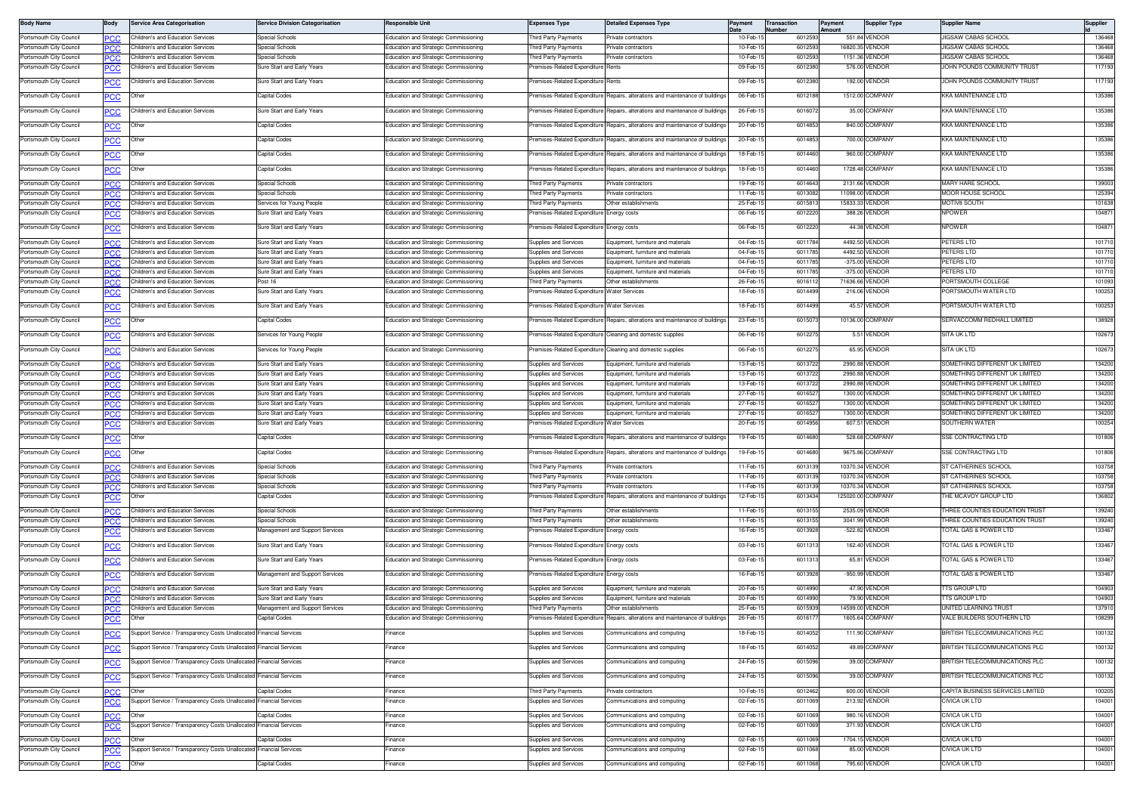| <b>Body Name</b>                                   | Body               | <b>Service Area Categorisation</b>                                            | <b>Service Division Categorisation</b>                   | <b>Responsible Unit</b>                                                                      | <b>Expenses Type</b>                                           | <b>Detailed Expenses Type</b>                                                  | Payment              | <b>Transaction</b><br>lumber | <b>Payment</b><br>Amount | <b>Supplier Type</b>             | <b>Supplier Name</b>                                             | Supplier         |
|----------------------------------------------------|--------------------|-------------------------------------------------------------------------------|----------------------------------------------------------|----------------------------------------------------------------------------------------------|----------------------------------------------------------------|--------------------------------------------------------------------------------|----------------------|------------------------------|--------------------------|----------------------------------|------------------------------------------------------------------|------------------|
| Portsmouth City Council                            | <b>PCC</b>         | Children's and Education Services                                             | Special Schools                                          | Education and Strategic Commissioning                                                        | hird Party Payments                                            | Private contractors                                                            | 10-Feb-              | 6012593                      |                          | 551.84 VENDOR                    | JIGSAW CABAS SCHOOL                                              | 136468           |
| Portsmouth City Council                            | сc                 | Children's and Education Services                                             | Special Schools                                          | Education and Strategic Commissioning                                                        | hird Party Payments                                            | rivate contractors                                                             | 10-Feb-              | 601259                       |                          | 16820.35 VENDOF                  | JIGSAW CABAS SCHOOL                                              | 136468           |
| Portsmouth City Council<br>Portsmouth City Council | <b>PCC</b>         | Children's and Education Services<br>Children's and Education Services        | Special Schools<br>Sure Start and Early Years            | Education and Strategic Commissioning<br><b>Education and Strategic Commissioning</b>        | hird Party Payments<br>emises-Related Expenditure              | Private contractors<br>Rents                                                   | 10-Feb-1<br>09-Feb-1 | 601259<br>601238             |                          | 1151.36 VENDOR<br>576.00 VENDOR  | <b>IIGSAW CABAS SCHOOL</b><br>JOHN POUNDS COMMUNITY TRUST        | 136468<br>117193 |
|                                                    | сc                 |                                                                               |                                                          |                                                                                              |                                                                |                                                                                |                      |                              |                          |                                  |                                                                  |                  |
| Portsmouth City Council                            | <b>PCC</b>         | Children's and Education Services                                             | Sure Start and Early Years                               | Education and Strategic Commissioning                                                        | Premises-Related Expenditure                                   | Rents                                                                          | 09-Feb-              | 601238                       |                          | 192.00 VENDOR                    | JOHN POUNDS COMMUNITY TRUST                                      | 117193           |
| Portsmouth City Council                            | <b>PCC</b>         | Other                                                                         | Capital Codes                                            | Education and Strategic Commissioning                                                        | remises-Related Expenditure                                    | Repairs, alterations and maintenance of buildings                              | 06-Feb-1             | 6012188                      |                          | 1512.00 COMPANY                  | KKA MAINTENANCE LTD                                              | 135386           |
| Portsmouth City Council                            | <b>PCC</b>         | Children's and Education Services                                             | Sure Start and Early Years                               | Education and Strategic Commissioning                                                        | remises-Related Expenditure                                    | Repairs, alterations and maintenance of buildings                              | 26-Feb-1             | 601607                       |                          | 35.00 COMPANY                    | KKA MAINTENANCE LTD                                              | 135386           |
| Portsmouth City Council                            | <b>PCC</b>         | Other                                                                         | Capital Codes                                            | <b>Education and Strategic Commissioning</b>                                                 | remises-Related Expenditure                                    | Repairs, alterations and maintenance of buildings                              | 20-Feb-1             | 601485                       |                          | 840.00 COMPANY                   | KA MAINTENANCE LTD                                               | 135386           |
| Portsmouth City Council                            |                    | Other                                                                         | Capital Codes                                            | Education and Strategic Commissioning                                                        | remises-Related Expenditure                                    | Repairs, alterations and maintenance of buildings                              | 20-Feb-1             | 6014853                      |                          | 700.00 COMPANY                   | KKA MAINTENANCE LTD                                              | 135386           |
|                                                    | °СС                |                                                                               |                                                          |                                                                                              |                                                                |                                                                                |                      |                              |                          |                                  |                                                                  |                  |
| Portsmouth City Council                            | PCC                | Other                                                                         | Capital Codes                                            | Education and Strategic Commissioning                                                        | remises-Related Expenditure                                    | lepairs, alterations and maintenance of building                               | 18-Feb-1             | 601446                       |                          | 960.00 COMPANY                   | KKA MAINTENANCE LTD                                              | 135386           |
| Portsmouth City Council                            | <b>PCC</b>         | Other                                                                         | Capital Codes                                            | Education and Strategic Commissioning                                                        |                                                                | Premises-Related Expenditure Repairs, alterations and maintenance of buildings | 18-Feb-1             | 6014460                      |                          | 1728.48 COMPANY                  | KKA MAINTENANCE LTD                                              | 135386           |
| Portsmouth City Council                            | PCC.               | Children's and Education Services                                             | Special Schools                                          | Education and Strategic Commissioning                                                        | Third Party Payments                                           | Private contractors                                                            | 19-Feb-1             | 6014643                      |                          | 2131.66 VENDOR                   | MARY HARE SCHOOL                                                 | 139003           |
| Portsmouth City Council                            | 'CC                | Children's and Education Services                                             | Special Schools                                          | Education and Strategic Commissioning                                                        | hird Party Payments                                            | rivate contractors                                                             | 11-Feb-              | 601308                       |                          | 11098.00 VENDOF                  | <b>MOOR HOUSE SCHOOL</b>                                         | 125394           |
| Portsmouth City Council<br>Portsmouth City Council | <b>PCC</b>         | Children's and Education Services<br>hildren's and Education Services         | Services for Young People<br>Sure Start and Early Years  | <b>Education and Strategic Commissioning</b><br>Education and Strategic Commissioning        | hird Party Payments<br>emises-Related Expenditure Energy costs | Other establishments                                                           | 25-Feb-<br>06-Feb-1  | 601581<br>6012220            |                          | 15833.33 VENDOR<br>388.26 VENDOR | <b>MOTIV8 SOUTH</b><br><b>NPOWER</b>                             | 101638<br>104871 |
|                                                    | ∍сс                |                                                                               |                                                          |                                                                                              |                                                                |                                                                                |                      |                              |                          |                                  |                                                                  |                  |
| Portsmouth City Council                            | PСC                | Children's and Education Services                                             | Sure Start and Early Years                               | Education and Strategic Commissioning                                                        | remises-Related Expenditure Energy costs                       |                                                                                | 06-Feb-1             | 6012220                      |                          | 44.38 VENDOR                     | <b>NPOWER</b>                                                    | 104871           |
| Portsmouth City Council                            | PCC                | Children's and Education Services                                             | Sure Start and Early Years                               | Education and Strategic Commissioning                                                        | Supplies and Services                                          | Equipment, furniture and materials                                             | 04-Feb-              | 6011784                      |                          | 4492.50 VENDOR                   | PETERS LTD                                                       | 101710           |
| Portsmouth City Council<br>Portsmouth City Council | PCC.               | <b>Children's and Education Services</b><br>Children's and Education Services | Sure Start and Early Years<br>Sure Start and Early Years | <b>Education and Strategic Commissioning</b><br><b>Education and Strategic Commissioning</b> | Supplies and Services<br><b>Supplies and Services</b>          | Equipment, furniture and materials<br>Equipment, furniture and materials       | 04-Feb-<br>04-Feb-   | 601178<br>601178             |                          | 4492.50 VENDOR<br>-375.00 VENDOR | PETERS LTD<br>PETERS LTD                                         | 101710<br>101710 |
| Portsmouth City Council                            | PC X<br><b>PCC</b> | Children's and Education Services                                             | Sure Start and Early Years                               | Education and Strategic Commissioning                                                        | <b>Supplies and Services</b>                                   | Equipment, furniture and materials                                             | 04-Feb-              | 601178                       |                          | -375.00 VENDOR                   | PETERS LTD                                                       | 101710           |
| Portsmouth City Council                            | PСC                | Children's and Education Services                                             | Post 16                                                  | Education and Strategic Commissioning                                                        | hird Party Payments                                            | Other establishments                                                           | 26-Feb-1             | 601611                       |                          | 71636.66 VENDOR                  | PORTSMOUTH COLLEGE                                               | 101093           |
| Portsmouth City Council                            | <u>PCC</u>         | Children's and Education Services                                             | Sure Start and Early Years                               | <b>Education and Strategic Commissioning</b>                                                 | remises-Related Expenditure Water Services                     |                                                                                | 18-Feb-              | 601449                       |                          | 216.06 VENDOR                    | ORTSMOUTH WATER LTD                                              | 100253           |
| Portsmouth City Council                            | <b>PCC</b>         | Children's and Education Services                                             | Sure Start and Early Years                               | Education and Strategic Commissioning                                                        | Premises-Related Expenditure Water Services                    |                                                                                | 18-Feb-1             | 6014499                      |                          | 45.57 VENDOR                     | PORTSMOUTH WATER LTD                                             | 100253           |
| Portsmouth City Council                            | <u>PCC</u>         | Other                                                                         | Capital Codes                                            | Education and Strategic Commissioning                                                        |                                                                | Premises-Related Expenditure Repairs, alterations and maintenance of buildings | 23-Feb-1             | 601507                       |                          | 10136.00 COMPANY                 | SERVACCOMM REDHALL LIMITED                                       | 138928           |
|                                                    |                    |                                                                               |                                                          |                                                                                              |                                                                |                                                                                |                      |                              |                          |                                  |                                                                  |                  |
| Portsmouth City Council                            | <u>'СС</u>         | Children's and Education Services                                             | Services for Young People                                | <b>Education and Strategic Commissioning</b>                                                 |                                                                | remises-Related Expenditure Cleaning and domestic supplies                     | 06-Feb-1             | 601227                       |                          | 5.51 VENDOR                      | SITA UK LTD                                                      | 102673           |
| Portsmouth City Council                            | PСC                | Children's and Education Services                                             | Services for Young People                                | Education and Strategic Commissioning                                                        |                                                                | remises-Related Expenditure Cleaning and domestic supplies                     | 06-Feb-1             | 601227                       |                          | 65.95 VENDOF                     | SITA UK LTD                                                      | 102673           |
| Portsmouth City Council                            | <b>PCC</b>         | Children's and Education Services                                             | Sure Start and Early Years                               | <b>Education and Strategic Commissioning</b>                                                 | <b>Supplies and Services</b>                                   | Equipment, furniture and materials                                             | 13-Feb-1             | 6013722                      |                          | 2990.88 VENDOF                   | SOMETHING DIFFERENT UK LIMITED                                   | 134200           |
| Portsmouth City Council                            |                    | Children's and Education Services                                             | Sure Start and Early Years                               | Education and Strategic Commissioning                                                        | Supplies and Services                                          | Equipment, furniture and materials                                             | 13-Feb-1             | 601372                       |                          | 2990.88 VENDOR                   | SOMETHING DIFFERENT UK LIMITED                                   | 134200           |
| Portsmouth City Council<br>Portsmouth City Council | PCC<br>∍сс         | Children's and Education Services<br>Children's and Education Services        | Sure Start and Early Years<br>Sure Start and Early Years | <b>Education and Strategic Commissioning</b><br>Education and Strategic Commissioning        | Supplies and Services<br>Supplies and Services                 | Equipment, furniture and materials<br>Equipment, furniture and materials       | 13-Feb-1<br>27-Feb-1 | 6013722<br>601652            |                          | 2990.88 VENDOR<br>1300.00 VENDOE | SOMETHING DIFFERENT UK LIMITED<br>SOMETHING DIFFERENT UK LIMITED | 134200<br>134200 |
| Portsmouth City Council                            | PCC                | Children's and Education Services                                             | Sure Start and Early Years                               | <b>Education and Strategic Commissioning</b>                                                 | upplies and Services                                           | quipment, furniture and materials                                              | 27-Feb-1             | 601652                       |                          | 1300.00 VENDOR                   | SOMETHING DIFFERENT UK LIMITED                                   | 134200           |
| Portsmouth City Council                            | <b>PCC</b>         | <b>Children's and Education Services</b>                                      | Sure Start and Early Years                               | Education and Strategic Commissioning                                                        | Supplies and Services                                          | Equipment, furniture and materials                                             | 27-Feb-              | 601652                       |                          | 1300.00 VENDOR                   | SOMETHING DIFFERENT UK LIMITED                                   | 134200           |
| Portsmouth City Council                            | <b>PCC</b>         | Children's and Education Services                                             | Sure Start and Early Years                               | Education and Strategic Commissioning                                                        | emises-Related Expenditure Water Services                      |                                                                                | 20-Feb-              | 6014956                      |                          | 607.51 VENDOR                    | SOUTHERN WATER                                                   | 100254           |
| Portsmouth City Council                            | <b>PCC</b>         | Other                                                                         | Capital Codes                                            | Education and Strategic Commissioning                                                        |                                                                | Premises-Related Expenditure Repairs, alterations and maintenance of building  | 19-Feb-1             | 6014680                      |                          | 528.68 COMPANY                   | SSE CONTRACTING LTD                                              | 101806           |
| Portsmouth City Council                            | <b>PCC</b>         | Other                                                                         | Capital Codes                                            | Education and Strategic Commissioning                                                        | Premises-Related Expenditure                                   | Repairs, alterations and maintenance of buildings                              | 19-Feb-1             | 6014680                      |                          | 9675.86 COMPANY                  | SSE CONTRACTING LTD                                              | 101806           |
| Portsmouth City Council                            | сc                 | Children's and Education Services                                             | Special Schools                                          | Education and Strategic Commissioning                                                        | <b>hird Party Payments</b>                                     | Private contractors                                                            | 11-Feb-1             | 601313                       |                          | 10370.34 VENDOR                  | ST CATHERINES SCHOOL                                             | 103758           |
| Portsmouth City Council                            | PCC                | Children's and Education Services                                             | Special Schools                                          | <b>Education and Strategic Commissioning</b>                                                 | hird Party Payments                                            | rivate contractors                                                             | 11-Feb-              | 601313                       |                          | 10370.34 VENDOR                  | <b>ST CATHERINES SCHOOL</b>                                      | 103758           |
| Portsmouth City Council                            | <b>PCC</b>         | Children's and Education Services                                             | Special Schools                                          | <b>Education and Strategic Commissioning</b>                                                 | hird Party Payments                                            | rivate contractors                                                             | $11-Feb-$            | 601313                       |                          | 10370.34 VENDOF                  | ST CATHERINES SCHOOL                                             | 103758           |
| Portsmouth City Council                            |                    |                                                                               | Capital Codes                                            | Education and Strategic Commissioning                                                        | emises-Related Expenditure                                     | Repairs, alterations and maintenance of building                               | 12-Feb-              | 601343                       |                          | 125020.00 COMPANY                | <b>HE MCAVOY GROUP LTD</b>                                       | 136802           |
| Portsmouth City Council                            |                    | Children's and Education Services                                             | Special Schools                                          | Education and Strategic Commissioning                                                        | Third Party Payments                                           | Other establishments                                                           | 11-Feb-              | 601315                       |                          | 2535.09 VENDOR                   | <b>HREE COUNTIES EDUCATION TRUST</b>                             | 139240           |
| Portsmouth City Council                            | PCC                | Children's and Education Services                                             | Special Schools                                          | <b>Education and Strategic Commissioning</b>                                                 | hird Party Payments                                            | Other establishments                                                           | 11-Feb-1             | 601315                       |                          | 3041.99 VENDOF                   | HREE COUNTIES EDUCATION TRUST                                    | 139240           |
| Portsmouth City Council                            | PCC                | hildren's and Education Services                                              | Management and Support Services                          | Education and Strategic Commissioning                                                        | emises-Related Expenditure Energy costs                        |                                                                                | 16-Feb-1             | 6013928                      |                          | -522.82 VENDOR                   | OTAL GAS & POWER LTD                                             | 133467           |
| Portsmouth City Council                            | <b>PCC</b>         | Children's and Education Services                                             | Sure Start and Early Years                               | ducation and Strategic Commissioning                                                         | remises-Related Expenditure                                    | Energy costs                                                                   | 03-Feb-1             | 601131                       |                          | 162.40 VENDOR                    | OTAL GAS & POWER LTD                                             | 133467           |
| Portsmouth City Council                            | PСC                | Children's and Education Services                                             | Sure Start and Early Years                               | Education and Strategic Commissioning                                                        | remises-Related Expenditure Energy costs                       |                                                                                | 03-Feb-1             | 601131                       |                          | 65.81 VENDOR                     | OTAL GAS & POWER LTD                                             | 133467           |
| Portsmouth City Council                            | <b>PCC</b>         | Children's and Education Services                                             | Management and Support Services                          | Education and Strategic Commissioning                                                        | Premises-Related Expenditure Energy costs                      |                                                                                | 16-Feb-1             | 601392                       |                          | -950.99 VENDOF                   | TOTAL GAS & POWER LTD                                            | 133467           |
| Portsmouth City Council                            | <b>PCC</b>         | Children's and Education Services                                             | Sure Start and Early Years                               | Education and Strategic Commissioning                                                        | Supplies and Services                                          | Equipment, furniture and materials                                             | 20-Feb-              | 6014990                      |                          | 47.90 VENDOF                     | TS GROUP LTD                                                     | 104903           |
| Portsmouth City Council                            | <b>PCC</b>         | Children's and Education Services                                             | Sure Start and Early Years                               | <b>Education and Strategic Commissioning</b>                                                 | Supplies and Services                                          | Equipment, furniture and materials                                             | 20-Feb-              | 601499                       |                          | 79.90 VENDOR                     | TS GROUP LTD                                                     | 104903           |
| Portsmouth City Council                            | °СС                | Children's and Education Services                                             | Management and Support Services                          | Education and Strategic Commissioning                                                        | hird Party Payments                                            | Other establishments                                                           | 25-Feb-              | 601593                       |                          | 14599.00 VENDOR                  | <b>JNITED LEARNING TRUST</b>                                     | 137910           |
| Portsmouth City Council                            | <b>PCC</b>         | <b>Ither</b>                                                                  | Capital Codes                                            | Education and Strategic Commissioning                                                        |                                                                | remises-Related Expenditure Repairs, alterations and maintenance of buildings  | 26-Feb-1             | 601617                       |                          | 1605.64 COMPANY                  | VALE BUILDERS SOUTHERN LTD                                       | 108299           |
| Portsmouth City Council                            | <b>PCC</b>         | Support Service / Transparency Costs Unallocated Financial Services           |                                                          | inance                                                                                       | Supplies and Services                                          | ommunications and computing                                                    | 18-Feb-1             | 6014052                      |                          | 111.90 COMPANY                   | BRITISH TELECOMMUNICATIONS PLC                                   | 100132           |
| Portsmouth City Council                            | <b>PCC</b>         | Support Service / Transparency Costs Unallocated Financial Services           |                                                          | Finance                                                                                      | Supplies and Services                                          | Communications and computing                                                   | 18-Feb-1             | 6014052                      |                          | 49.89 COMPANY                    | BRITISH TELECOMMUNICATIONS PLC                                   | 100132           |
| Portsmouth City Council                            |                    | Support Service / Transparency Costs Unallocated                              | <b>Financial Services</b>                                | Finance                                                                                      | Supplies and Services                                          | communications and computing                                                   | 24-Feb-1             | 6015096                      |                          | 39.00 COMPANY                    | BRITISH TELECOMMUNICATIONS PLC                                   | 100132           |
|                                                    | <u>PCC</u>         |                                                                               |                                                          |                                                                                              |                                                                |                                                                                |                      |                              |                          |                                  |                                                                  |                  |
| Portsmouth City Council                            | <b>PCC</b>         | Support Service / Transparency Costs Unallocated Financial Services           |                                                          | Finance                                                                                      | Supplies and Services                                          | Communications and computing                                                   | 24-Feb-1             | 6015096                      |                          | 39.00 COMPANY                    | BRITISH TELECOMMUNICATIONS PLC                                   | 100132           |
| Portsmouth City Council                            | <b>PCC</b>         | Other                                                                         | Capital Codes                                            | Finance                                                                                      | Third Party Payments                                           | Private contractors                                                            | 10-Feb-1             | 6012462                      |                          | 600.00 VENDOR                    | CAPITA BUSINESS SERVICES LIMITED                                 | 100205           |
| Portsmouth City Council                            | <u>CC</u>          | Support Service / Transparency Costs Unallocated Financial Services           |                                                          | Finance                                                                                      | <b>Supplies and Services</b>                                   | Communications and computing                                                   | 02-Feb-1             | 6011069                      |                          | 213.92 VENDOR                    | CIVICA UK LTD                                                    | 104001           |
| Portsmouth City Council                            | <b>PCC</b>         | Other                                                                         | Capital Codes                                            | inance                                                                                       | Supplies and Services                                          | Communications and computing                                                   | $02-Feb-1$           | 6011069                      |                          | 980.16 VENDOR                    | CIVICA UK LTD                                                    | 104001           |
| Portsmouth City Council                            | сc                 | Support Service / Transparency Costs Unallocated Financial Services           |                                                          | Finance                                                                                      | Supplies and Services                                          | Communications and computing                                                   | 02-Feb-1             | 6011069                      |                          | 371.93 VENDOR                    | CIVICA UK LTD                                                    | 104001           |
| Portsmouth City Council                            | <b>PCC</b>         | Other                                                                         | Capital Codes                                            | Finance                                                                                      | Supplies and Services                                          | Communications and computing                                                   | 02-Feb-1             | 6011069                      |                          | 1704.15 VENDOR                   | CIVICA UK LTD                                                    | 104001           |
| Portsmouth City Council                            | <u>CC</u>          | Support Service / Transparency Costs Unallocated Financial Services           |                                                          | Finance                                                                                      | Supplies and Services                                          | Communications and computing                                                   | 02-Feb-1             | 6011068                      |                          | 85.00 VENDOR                     | <b>CIVICA UK LTD</b>                                             | 104001           |
| Portsmouth City Council                            | <b>PCC</b>         | Other                                                                         | Capital Codes                                            | Finance                                                                                      | Supplies and Services                                          | Communications and computing                                                   | 02-Feb-1             | 6011068                      |                          | 795.60 VENDOR                    | CIVICA UK LTD                                                    | 104001           |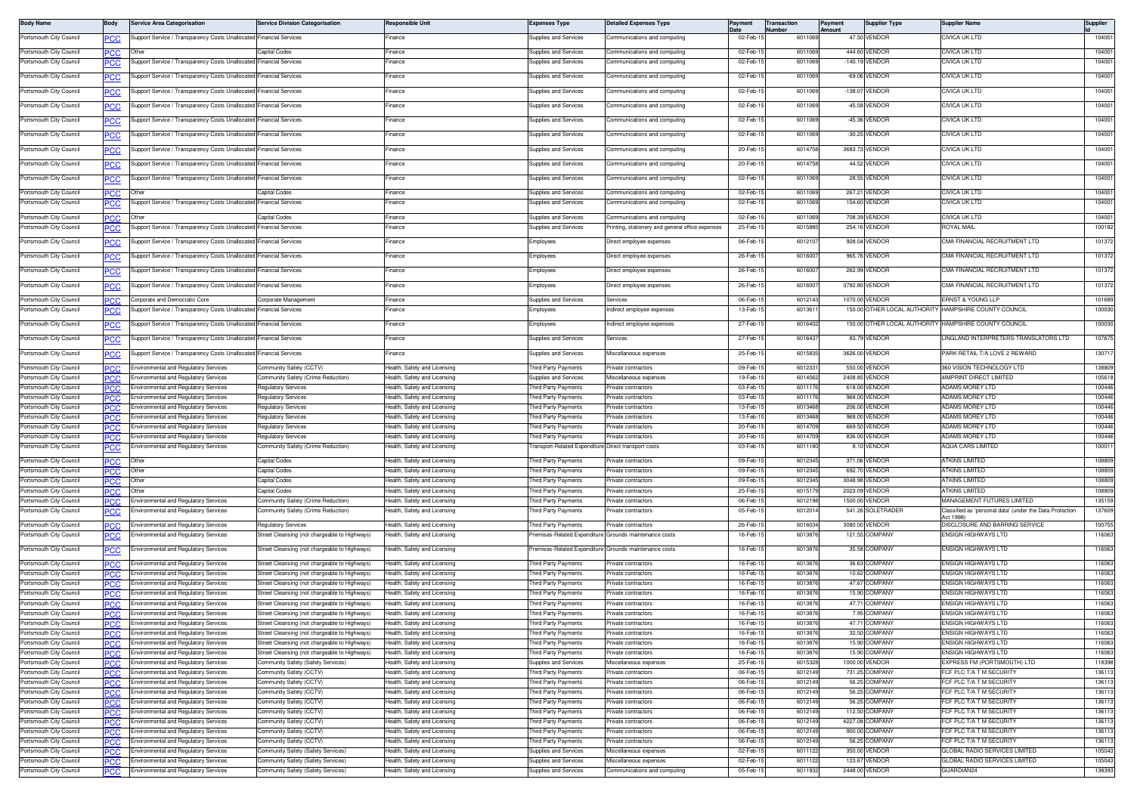| <b>Body Name</b>                                   |                   | <b>Service Area Categorisation</b>                                             | <b>Service Division Categorisation</b>                                                         | <b>Responsible Unit</b>                                      | <b>Expenses Type</b>                           | <b>Detailed Expenses Type</b>                                |                        | Transaction<br><b>Number</b> | Payment<br><b>\mount</b> | <b>Supplier Type</b>             | Supplier Nam                                              | Supplier         |
|----------------------------------------------------|-------------------|--------------------------------------------------------------------------------|------------------------------------------------------------------------------------------------|--------------------------------------------------------------|------------------------------------------------|--------------------------------------------------------------|------------------------|------------------------------|--------------------------|----------------------------------|-----------------------------------------------------------|------------------|
| Portsmouth City Council                            | <u>PCC</u>        | Support Service / Transparency Costs Unallocated Financial Services            |                                                                                                | inance                                                       | Supplies and Services                          | Communications and computing                                 | 02-Feb-1               | 601106                       |                          | 47.50 VENDOR                     | CIVICA UK LTD                                             | 104001           |
| Portsmouth City Council                            | PCC               | Other                                                                          | Capital Codes                                                                                  | inance                                                       | Supplies and Services                          | Communications and computing                                 | 02-Feb-1               | 601106                       |                          | 444.60 VENDOR                    | CIVICA UK LTD                                             | 104001           |
| Portsmouth City Council                            |                   | Support Service / Transparency Costs Unallocated Financial Services            |                                                                                                | inance                                                       | Supplies and Services                          | Communications and computing                                 | 02-Feb-1               | 601106                       |                          | -140.19 VENDOR                   | IVICA UK LTD                                              | 104001           |
| Portsmouth City Council                            | <u>PCC</u>        | Support Service / Transparency Costs Unallocated Financial Services            |                                                                                                | Finance                                                      | Supplies and Services                          | Communications and computing                                 | 02-Feb-1               | 601106                       |                          | -69.06 VENDOR                    | CIVICA UK LTD                                             | 104001           |
| Portsmouth City Council                            |                   | Support Service / Transparency Costs Unallocated Financial Services            |                                                                                                | Finance                                                      | Supplies and Services                          | Communications and computing                                 | $02-Feb-1$             | 601106                       |                          | -138.07 VENDOR                   | CIVICA UK LTD                                             | 104001           |
| Portsmouth City Council                            | PCC               | Support Service / Transparency Costs Unallocated                               | inancial Services                                                                              | inance                                                       | Supplies and Services                          | communications and computing                                 | 02-Feb-1               | 601106                       |                          | -45.58 VENDOF                    | CIVICA UK LTD                                             | 104001           |
| Portsmouth City Council                            | PCC               | Support Service / Transparency Costs Unallocated                               | inancial Services                                                                              | inance                                                       | <b>Supplies and Services</b>                   | ommunications and computing                                  | 02-Feb-1               | 601106                       |                          | -45.36 VENDOR                    | CIVICA UK LTD                                             | 104001           |
| Portsmouth City Council                            | <u>PCC</u>        | Support Service / Transparency Costs Unallocated Financial Services            |                                                                                                | Finance                                                      | Supplies and Services                          | Communications and computing                                 | 02-Feb-1               | 601106                       |                          | -30.25 VENDOR                    | CIVICA UK LTD                                             | 104001           |
| Portsmouth City Council                            | <u>PCC</u>        | Support Service / Transparency Costs Unallocated Financial Services            |                                                                                                | Finance                                                      | Supplies and Services                          | Communications and computing                                 | 20-Feb-1               | 601475                       |                          | 3683.73 VENDOR                   | CIVICA UK LTD                                             | 104001           |
| Portsmouth City Council                            | <u>PCC</u>        | Support Service / Transparency Costs Unallocated Financial Services            |                                                                                                | Finance                                                      | Supplies and Services                          | Communications and computing                                 | 20-Feb-1               | 601475                       |                          | 44.52 VENDOR                     | CIVICA UK LTD                                             | 104001           |
| Portsmouth City Council                            | <b>PCC</b>        | Support Service / Transparency Costs Unallocated Financial Services            |                                                                                                | Finance                                                      | Supplies and Services                          | Communications and computing                                 | 02-Feb-1               | 601106                       |                          | 28.55 VENDOR                     | CIVICA UK LTD                                             | 104001           |
|                                                    |                   |                                                                                |                                                                                                |                                                              |                                                |                                                              |                        |                              |                          | 267.21 VENDOR                    |                                                           |                  |
| Portsmouth City Council<br>Portsmouth City Council | PCC<br><b>PCC</b> | Support Service / Transparency Costs Unallocated Financial Services            | Capital Codes                                                                                  | inance<br>inance                                             | Supplies and Services<br>Supplies and Services | communications and computing<br>Communications and computing | 02-Feb-1<br>02-Feb-1   | 601106<br>601106             |                          | 154.60 VENDOR                    | CIVICA UK LTD<br>CIVICA UK LTD                            | 104001<br>104001 |
|                                                    |                   |                                                                                |                                                                                                |                                                              |                                                |                                                              |                        |                              |                          |                                  |                                                           |                  |
| Portsmouth City Council<br>Portsmouth City Council | PCC               |                                                                                | Capital Codes<br><b>Financial Services</b>                                                     | inance<br>inance                                             | Supplies and Services<br>Supplies and Services | communications and computing                                 | 02-Feb-1<br>25-Feb-1   | 601106<br>601588             |                          | 708.39 VENDOF<br>254.16 VENDOR   | CIVICA UK LTD<br>ROYAL MAIL                               | 104001<br>100182 |
|                                                    | PCC               | Support Service / Transparency Costs Unallocated                               |                                                                                                |                                                              |                                                | rinting, stationery and general office expenses              |                        |                              |                          |                                  |                                                           |                  |
| Portsmouth City Council                            | <u>PCC</u>        | Support Service / Transparency Costs Unallocated                               | inancial Services                                                                              | inance                                                       | Employees                                      | lirect employee expenses                                     | 06-Feb-1               | 601210                       |                          | 928.04 VENDOR                    | CMA FINANCIAL RECRUITMENT LTD                             | 101372           |
| Portsmouth City Council                            | <u>PCC</u>        | Support Service / Transparency Costs Unallocated Financial Services            |                                                                                                | Finance                                                      | Employees                                      | Direct employee expenses                                     | 26-Feb-1               | 601600                       |                          | 965.76 VENDOR                    | CMA FINANCIAL RECRUITMENT LTD                             | 101372           |
| Portsmouth City Council                            | <u>PCC</u>        | Support Service / Transparency Costs Unallocated Financial Services            |                                                                                                | inance                                                       | Employees                                      | Direct employee expenses                                     | 26-Feb-1               | 601600                       |                          | 262.99 VENDOF                    | CMA FINANCIAL RECRUITMENT LTD                             | 101372           |
| Portsmouth City Council                            |                   | Support Service / Transparency Costs Unallocated Financial Services            |                                                                                                | Finance                                                      | Employees                                      | Direct employee expenses                                     | 26-Feb-1               | 601600                       |                          | 3782.80 VENDOR                   | CMA FINANCIAL RECRUITMENT LTD                             | 101372           |
| Portsmouth City Council                            | <b>PCC</b>        | Corporate and Democratic Core                                                  | Corporate Management                                                                           | Finance                                                      | Supplies and Services                          | Services                                                     | 06-Feb-1               | 601214                       |                          | 1070.00 VENDOR                   | ERNST & YOUNG LLP                                         | 101689           |
| Portsmouth City Council                            | <u>PCC</u>        | Support Service / Transparency Costs Unallocated                               | inancial Services                                                                              | inance                                                       | Employees                                      | ndirect employee expenses                                    | 13-Feb-1               | 601361                       |                          |                                  | 150.00 OTHER LOCAL AUTHORITY HAMPSHIRE COUNTY COUNCIL     | 100030           |
| Portsmouth City Council                            |                   | Support Service / Transparency Costs Unallocated                               | <b>Financial Services</b>                                                                      | inance                                                       | Employees                                      | ndirect employee expenses                                    | 27-Feb-1               | 601640                       |                          |                                  | 150.00 OTHER LOCAL AUTHORITY HAMPSHIRE COUNTY COUNCIL     | 100030           |
| Portsmouth City Council                            | <b>PCC</b>        | Support Service / Transparency Costs Unallocated                               | inancial Services                                                                              | inance                                                       | <b>Supplies and Services</b>                   | iervices                                                     | 27-Feb-1               | 601643                       |                          | 83.79 VENDOR                     | INGLAND INTERPRETERS-TRANSLATORS LTD                      | 107675           |
| Portsmouth City Council                            | <u>PCC</u>        | Support Service / Transparency Costs Unallocated Financial Services            |                                                                                                | Finance                                                      | Supplies and Services                          | Miscellaneous expenses                                       | 25-Feb-1               | 6015835                      |                          | 3626.00 VENDOR                   | PARK RETAIL T/A LOVE 2 REWARD                             | 130717           |
| Portsmouth City Council                            | PCC.              | Environmental and Regulatory Services                                          | Community Safety (CCTV)                                                                        | lealth, Safety and Licensing                                 | Third Party Payments                           | Private contractors                                          | 09-Feb-1               | 601233                       |                          | 550.00 VENDOR                    | 360 VISION TECHNOLOGY LTD                                 | 138809           |
| Portsmouth City Council                            |                   | Environmental and Regulatory Services                                          | Community Safety (Crime Reduction)                                                             | Health, Safety and Licensing                                 | <b>Supplies and Services</b>                   | liscellaneous expenses                                       | 19-Feb-1               | 601456                       |                          | 2408.85 VENDOR                   | 4IMPRINT DIRECT LIMITED                                   | 105618           |
| Portsmouth City Council<br>Portsmouth City Council | PCC               | Environmental and Regulatory Services<br>Environmental and Regulatory Services | Regulatory Services<br>Regulatory Services                                                     | lealth, Safety and Licensing<br>lealth, Safety and Licensing | Third Party Payments<br>hird Party Payments    | Private contractors<br>ivate contractors                     | 03-Feb-1<br>03-Feb-    | 601117<br>60111              |                          | 618.00 VENDOR<br>968.00 VENDOR   | ADAMS MOREY LTD<br><b>ADAMS MOREY LTD</b>                 | 100446<br>100446 |
| Portsmouth City Council                            | PCC               | <b>Environmental and Regulatory Services</b>                                   | Regulatory Services                                                                            | lealth, Safety and Licensing                                 | hird Party Payments                            | rivate contractors                                           | 13-Feb-1               | 601346                       |                          | 206.00 VENDOR                    | ADAMS MOREY LTD                                           | 100446           |
| Portsmouth City Council                            | <b>PCC</b>        | nvironmental and Regulatory Services                                           | Requlatory Services                                                                            | lealth, Safety and Licensing                                 | hird Party Payments                            | rivate contractors                                           | 13-Feb-1               | 601346                       |                          | 968.00 VENDOR                    | ADAMS MOREY LTD                                           | 100446           |
| Portsmouth City Council                            | PCC.              | nvironmental and Regulatory Services                                           | <b>Requlatory Services</b>                                                                     | ealth, Safety and Licensing                                  | hird Party Payments                            | ivate contractors                                            | 20-Feb-1               | 60147                        |                          | 669.50 VENDOF                    | ADAMS MOREY LTD                                           | 100446           |
| Portsmouth City Council                            | PCC.              | Environmental and Regulatory Services                                          | Regulatory Services                                                                            | lealth, Safety and Licensing                                 | Third Party Payments                           | rivate contractors                                           | 20-Feb-1               | 601470                       |                          | 836.00 VENDOR                    | ADAMS MOREY LTD                                           | 100446           |
| Portsmouth City Council                            | PCC               | nvironmental and Regulatory Services                                           | Community Safety (Crime Reduction)                                                             | lealth, Safety and Licensing                                 | Fransport-Related Expenditure                  | Direct transport costs                                       | 03-Feb-1               | 601118                       |                          | 8.10 VENDOR                      | <b>AQUA CARS LIMITED</b>                                  | 100011           |
| Portsmouth City Council                            | PCC.              | Other                                                                          | Capital Codes                                                                                  | Health, Safety and Licensing                                 | Third Party Payments                           | Private contractors                                          | 09-Feb-15              | 6012345                      |                          | 371.06 VENDOR                    | <b>ATKINS LIMITED</b>                                     | 108809           |
| Portsmouth City Council                            | PCC.              | Other                                                                          | Capital Codes                                                                                  | lealth, Safety and Licensing                                 | Third Party Payments                           | rivate contractors                                           | 09-Feb-1               | 601234                       |                          | 692.70 VENDOR                    | ATKINS LIMITED                                            | 108809           |
| Portsmouth City Council<br>Portsmouth City Council | PCC.              | Other<br>)thei                                                                 | Capital Codes<br>Capital Codes                                                                 | lealth, Safety and Licensing                                 | Third Party Payments                           | rivate contractors<br>rivate contractors                     | 09-Feb-1<br>25-Feb-1   | 601234<br>601517             |                          | 3048.98 VENDOR<br>2023.09 VENDOR | ATKINS LIMITED<br><b>ATKINS LIMITED</b>                   | 108809<br>108809 |
| Portsmouth City Council                            | PCC               | Environmental and Regulatory Services                                          | Community Safety (Crime Reduction)                                                             | lealth, Safety and Licensing<br>lealth, Safety and Licensing | hird Party Payments<br>Third Party Payments    | rivate contractors                                           | $06 - Feb - 1$         | 601219                       |                          | 1500.00 VENDOR                   | MANAGEMENT FUTURES LIMITED                                | 135159           |
| Portsmouth City Council                            |                   | nvironmental and Regulatory Services                                           | Community Safety (Crime Reduction)                                                             | lealth, Safety and Licensing                                 | hird Party Payments                            | ivate contractors                                            | 05-Feb-1               | 601201                       |                          | 541.26 SOLETRADER                | Classified as 'personal data' (under the Data Protection  | 137609           |
| Portsmouth City Council                            | <b>PCC</b>        | <b>Environmental and Regulatory Services</b>                                   | Regulatory Services                                                                            | lealth, Safety and Licensing                                 | Third Party Payments                           | rivate contractors                                           | 26-Feb-1               | 601603                       |                          | 3080.00 VENDOR                   | Act 1998<br>DISCLOSURE AND BARRING SERVICE                | 100755           |
| Portsmouth City Council                            |                   | nvironmental and Regulatory Services                                           | Street Cleansing (not chargeable to Highways)                                                  | lealth, Safety and Licensing                                 |                                                | remises-Related Expenditure Grounds maintenance costs        | 16-Feb-1               | 601387                       |                          | 121.55 COMPANY                   | <b>ENSIGN HIGHWAYS LTD</b>                                | 116063           |
| Portsmouth City Council                            | <b>PCC</b>        | invironmental and Regulatory Services                                          | Street Cleansing (not chargeable to Highways)                                                  | lealth, Safety and Licensing                                 | Premises-Related Expenditure                   | Grounds maintenance costs                                    | 16-Feb-1               | 601387                       |                          | 35.58 COMPANY                    | ENSIGN HIGHWAYS LTD                                       | 116063           |
| Portsmouth City Council                            | PCC               | <b>Environmental and Regulatory Services</b>                                   | Street Cleansing (not chargeable to Highways)                                                  | Health, Safety and Licensing                                 | Third Party Payments                           | rivate contractors                                           | 16-Feb-1               | 601387                       |                          | 36.63 COMPANY                    | <b>FNSIGN HIGHWAYS I TD</b>                               | 116063           |
| Portsmouth City Council                            | <b>PCC</b>        | Environmental and Regulatory Services                                          | Street Cleansing (not chargeable to Highways)                                                  | lealth, Safety and Licensing                                 | Third Party Payments                           | rivate contractors                                           | 16-Feb-1               | 601387                       |                          | 10.62 COMPANY                    | ENSIGN HIGHWAYS LTD                                       | 116063           |
| Portsmouth City Council                            |                   | Environmental and Regulatory Services                                          | Street Cleansing (not chargeable to Highways)                                                  | Health, Safety and Licensing                                 | Third Party Payments                           | rivate contractors                                           | 16-Feb-1               | 601387                       |                          | 47.67 COMPANY                    | <b>FNSIGN HIGHWAYS I TD</b>                               | 116063           |
| Portsmouth City Council                            | PCC               | Environmental and Regulatory Services                                          | Street Cleansing (not chargeable to Highways)                                                  | lealth, Safety and Licensing                                 | hird Party Payments                            | rivate contractors                                           | 16-Feb-1               | 60138                        |                          | 15.90 COMPANY                    | ENSIGN HIGHWAYS LTD                                       | 116063           |
| Portsmouth City Council<br>Portsmouth City Council |                   | nvironmental and Regulatory Services                                           | Street Cleansing (not chargeable to Highways)<br>Street Cleansing (not chargeable to Highways) | lealth, Safety and Licensing                                 | hird Party Payments                            | fivate contractors                                           | 16-Feb-                | 60138<br>601387              |                          | 47.71 COMPANY<br>7.95 COMPANY    | NSIGN HIGHWAYS I TD<br>ENSIGN HIGHWAYS LTD                | 116063<br>116063 |
| Portsmouth City Council                            | PCC.              | Environmental and Regulatory Services<br>wironmental and Regulatory Services   | Street Cleansing (not chargeable to Highways)                                                  | Health, Safety and Licensing<br>Health, Safety and Licensing | hird Party Payments<br>Third Party Payments    | rivate contractors<br>rivate contractor                      | 16-Feb-1<br>16-Feb-1   | 601387                       |                          | 47.71 COMPANY                    | ENSIGN HIGHWAYS LTI                                       | 116063           |
| Portsmouth City Council                            | <b>PCC</b>        | nvironmental and Regulatory Services                                           | Street Cleansing (not chargeable to Highways)                                                  | lealth, Safety and Licensing                                 | hird Party Payments                            | ivate contractors                                            | 16-Feb-1               | 601387                       |                          | 32.50 COMPANY                    | <b>INSIGN HIGHWAYS LTD</b>                                | 116063           |
| Portsmouth City Council                            | <b>PCC</b>        | nvironmental and Regulatory Services                                           | Street Cleansing (not chargeable to Highways)                                                  | lealth, Safety and Licensing                                 | hird Party Payments                            | rivate contractors                                           | 16-Feb-1               | 601387                       |                          | 15.90 COMPANY                    | ENSIGN HIGHWAYS LTD                                       | 116063           |
| Portsmouth City Council                            | PCC               | nvironmental and Regulatory Services                                           | Street Cleansing (not chargeable to Highways)                                                  | lealth, Safety and Licensing                                 | Third Party Payments                           | rivate contractors                                           | 16-Feb-1               | 601387                       |                          | 15.90 COMPANY                    | ENSIGN HIGHWAYS LTD                                       | 116063           |
| Portsmouth City Council                            | <b>PCC</b>        | invironmental and Regulatory Services                                          | Community Safety (Safety Services)                                                             | lealth, Safety and Licensing                                 | Supplies and Services                          | liscellaneous expenses                                       | 25-Feb-1               | 601532                       |                          | 1000.00 VENDOR                   | EXPRESS FM (PORTSMOUTH) LTD                               | 118398           |
| Portsmouth City Council<br>Portsmouth City Council |                   | invironmental and Regulatory Services                                          | Community Safety (CCTV)                                                                        | lealth, Safety and Licensing                                 | hird Party Payments                            | rivate contractors                                           | 06-Feb-1               | 601214                       |                          | 731.25 COMPANY                   | FCF PLC T/A T M SECURITY                                  | 136113           |
| Portsmouth City Council                            | PCC<br><b>PCC</b> | invironmental and Regulatory Services<br>nvironmental and Regulatory Services  | Community Safety (CCTV)<br>Community Safety (CCTV)                                             | lealth, Safety and Licensing<br>lealth, Safety and Licensing | hird Party Payments<br>hird Party Payments     | rivate contractors<br>ivate contractors                      | 06-Feb-1<br>06-Feb-1   | 601214<br>601214             |                          | 56.25 COMPANY<br>56.25 COMPANY   | CF PLC T/A T M SECURITY<br>FCF PLC T/A T M SECURITY       | 136113<br>136113 |
| Portsmouth City Council                            | PCC               | invironmental and Regulatory Services                                          | Community Safety (CCTV)                                                                        | lealth, Safety and Licensing                                 | hird Party Payments                            | ivate contractors                                            | 06-Feb-1               | 601214                       |                          | 56.25 COMPANY                    | FCF PLC T/A T M SECURITY                                  | 136113           |
| Portsmouth City Council                            | PCC.              | nvironmental and Regulatory Services                                           | Community Safety (CCTV)                                                                        | lealth, Safety and Licensing                                 | hird Party Payments                            | rivate contractors                                           | 06-Feb-1               | 601214                       |                          | 112.50 COMPANY                   | FCF PLC T/A T M SECURITY                                  | 136113           |
| Portsmouth City Council                            | PCC               | nvironmental and Regulatory Services                                           | Community Safety (CCTV)                                                                        | lealth, Safety and Licensing                                 | hird Party Payments                            | ivate contractors                                            | 06-Feb-1               | 601214                       |                          | 4227.08 COMPANY                  | FCF PLC T/A T M SECURITY                                  | 136113           |
| Portsmouth City Council                            | <b>PCC</b>        | nvironmental and Regulatory Services                                           | Community Safety (CCTV)                                                                        | lealth, Safety and Licensing                                 | Third Party Payments                           | rivate contractors                                           | 06-Feb-1               | 601214                       |                          | 900.00 COMPANY                   | FCF PLC T/A T M SECURITY                                  | 136113           |
| Portsmouth City Council<br>Portsmouth City Council | ∍сс               | nvironmental and Regulatory Services<br>invironmental and Regulatory Services  | Community Safety (CCTV)<br>Community Safety (Safety Services)                                  | lealth, Safety and Licensing<br>lealth, Safety and Licensing | Third Party Payments<br>Supplies and Services  | rivate contractors<br><i><b>Aiscellaneous expenses</b></i>   | 06-Feb-1<br>$02-Feb-1$ | 601214<br>601112             |                          | 56.25 COMPANY<br>350.00 VENDOR   | FCF PLC T/A T M SECURITY<br>GLOBAL RADIO SERVICES LIMITED | 136113<br>105043 |
| Portsmouth City Council                            | PCC               | <b>Environmental and Regulatory Services</b>                                   | Community Safety (Safety Services)                                                             | lealth, Safety and Licensing                                 | <b>Supplies and Services</b>                   | liscellaneous expenses                                       | 02-Feb-1               | 601112                       |                          | 123.67 VENDOR                    | GLOBAL BADIO SERVICES LIMITED                             | 105043           |
| Portsmouth City Council                            | PCC               | Environmental and Regulatory Services                                          | Community Safety (Safety Services)                                                             | lealth, Safety and Licensing                                 | Supplies and Services                          | Communications and computing                                 | 05-Feb-1               | 601193                       |                          | 2448.00 VENDOR                   | GUARDIAN24                                                | 138393           |
|                                                    |                   |                                                                                |                                                                                                |                                                              |                                                |                                                              |                        |                              |                          |                                  |                                                           |                  |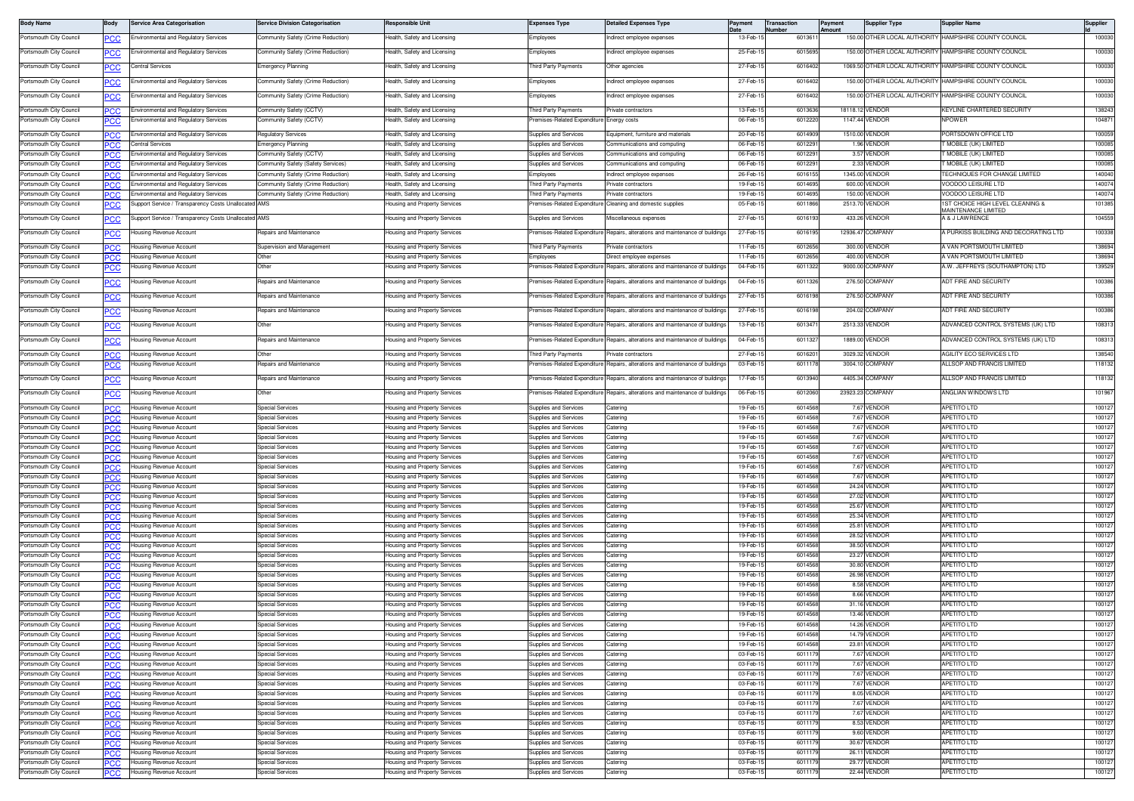| <b>Body Name</b>                                   | Body               | Service Area Categorisation                                                    | <b>Service Division Categorisation</b>                                   | Responsible Uni                                                       | <b>Expenses Type</b>                                         | <b>Detailed Expenses Type</b>                                                 | Payment              | Transaction<br>lumber | Payment | <b>Supplier Type</b>              | <b>Supplier Name</b>                                        | <b>Supplier</b>  |
|----------------------------------------------------|--------------------|--------------------------------------------------------------------------------|--------------------------------------------------------------------------|-----------------------------------------------------------------------|--------------------------------------------------------------|-------------------------------------------------------------------------------|----------------------|-----------------------|---------|-----------------------------------|-------------------------------------------------------------|------------------|
| Portsmouth City Council                            | <b>PCC</b>         | invironmental and Regulatory Services                                          | Community Safety (Crime Reduction)                                       | Health, Safety and Licensing                                          | Employees                                                    | ndirect employee expenses                                                     | 13-Feb-1             | 601361                |         |                                   | 150.00 OTHER LOCAL AUTHORITY HAMPSHIRE COUNTY COUNCIL       | 100030           |
| Portsmouth City Council                            | <b>CC</b>          | nvironmental and Regulatory Services                                           | Community Safety (Crime Reduction)                                       | lealth, Safety and Licensing                                          | Employees                                                    | ndirect employee expenses                                                     | 25-Feb-1             | 6015695               |         |                                   | 150.00 OTHER LOCAL AUTHORITY HAMPSHIRE COUNTY COUNCIL       | 100030           |
| Portsmouth City Council                            |                    |                                                                                |                                                                          | lealth, Safety and Licensing                                          |                                                              |                                                                               |                      |                       |         |                                   | HAMPSHIRE COUNTY COUNCIL                                    |                  |
|                                                    | <u>PCC</u>         | Central Services                                                               | <b>Emergency Planning</b>                                                |                                                                       | hird Party Payments                                          | ther agencies                                                                 | 27-Feb-1             | 6016402               |         | 1069.50 OTHER LOCAL AUTHORITY     |                                                             | 100030           |
| Portsmouth City Council                            | PСC                | nvironmental and Regulatory Services                                           | Community Safety (Crime Reduction)                                       | Health, Safety and Licensing                                          | Employees                                                    | ndirect employee expenses                                                     | 27-Feb-1             | 6016402               |         |                                   | 150.00 OTHER LOCAL AUTHORITY HAMPSHIRE COUNTY COUNCIL       | 100030           |
| Portsmouth City Council                            | <u>PCC</u>         | invironmental and Regulatory Services                                          | Community Safety (Crime Reduction)                                       | lealth, Safety and Licensing                                          | Employees                                                    | ndirect employee expenses                                                     | 27-Feb-1             | 6016402               |         | 150.00 OTHER LOCAL AUTHORITY      | HAMPSHIRE COUNTY COUNCIL                                    | 100030           |
| Portsmouth City Council                            |                    | invironmental and Regulatory Services                                          | Community Safety (CCTV)                                                  | Health, Safety and Licensing                                          | Third Party Payments                                         | rivate contractors                                                            | 13-Feb-1             | 6013636               |         | 18118.12 VENDOF                   | KEYLINE CHARTERED SECURITY                                  | 138243           |
| Portsmouth City Council                            | <b>PCC</b>         | Environmental and Regulatory Services                                          | Community Safety (CCTV)                                                  | Health, Safety and Licensing                                          | remises-Related Expenditure Energy costs                     |                                                                               | 06-Feb-              | 601222                |         | 1147.44 VENDOR                    | <b>NPOWER</b>                                               | 104871           |
| Portsmouth City Council                            | PCC                | Environmental and Regulatory Services                                          | Requlatory Service                                                       | Health, Safety and Licensing                                          | Supplies and Services                                        | quipment, furniture and material                                              | 20-Feb-              | 6014909               |         | 1510.00 VENDOR                    | ORTSDOWN OFFICE LTD                                         | 100059           |
| Portsmouth City Council                            | <b>PCC</b>         | Central Services                                                               | Emergency Planning                                                       | Health, Safety and Licensing                                          | Supplies and Services                                        | Communications and computing                                                  | 06-Feb-              | 60122                 |         | 1.96 VENDOR                       | MOBILE (UK) LIMITED                                         | 100085           |
| Portsmouth City Council                            | PCC                | nvironmental and Regulatory Services                                           | ommunity Safety (CCTV)                                                   | lealth, Safety and Licensing                                          | Supplies and Services                                        | Communications and computing                                                  | 06-Feb-              | 601229                |         | 3.57 VENDOR                       | MOBILE (UK) LIMITED                                         | 100085           |
| Portsmouth City Council                            | PCC                | <b>Environmental and Regulatory Services</b>                                   | Community Safety (Safety Services)                                       | lealth, Safety and Licensing                                          | <b>Supplies and Services</b>                                 | Communications and computing                                                  | 06-Feb-              | 601229                |         | 2.33 VENDOR                       | MOBILE (UK) LIMITED<br><b>ECHNIQUES FOR CHANGE LIMITED</b>  | 100085           |
| Portsmouth City Council<br>Portsmouth City Council | CС<br>PCC          | Environmental and Regulatory Services<br>Environmental and Regulatory Services | Community Safety (Crime Reduction)<br>Community Safety (Crime Reduction) | lealth, Safety and Licensing<br>lealth, Safety and Licensing          | Employees<br>hird Party Payments                             | indirect employee expenses<br>rivate contractors                              | 26-Feb-1<br>19-Feb-1 | 6016155<br>601469     |         | 1345.00 VENDOR<br>600.00 VENDOR   | /OODOO LEISURE LTD                                          | 140040<br>140074 |
| Portsmouth City Council                            | PСC                | Environmental and Regulatory Services                                          | Community Safety (Crime Reduction)                                       | lealth, Safety and Licensing                                          | hird Party Payments                                          | rivate contractors                                                            | 19-Feb-              | 601469                |         | 150.00 VENDOR                     | <b>/OODOO LEISURE LTD</b>                                   | 140074           |
| Portsmouth City Council                            |                    | upport Service / Transparency Costs Unallocated                                | I AMS                                                                    | lousing and Property Services                                         | emises-Related Expenditure                                   | Cleaning and domestic supplies                                                | 05-Feb-              | 601186                |         | 2513.70 VENDOR                    | ST CHOICE HIGH LEVEL CLEANING &                             | 101385           |
| Portsmouth City Council                            | <u>PCC</u>         | Support Service / Transparency Costs Unallocated AMS                           |                                                                          | Housing and Property Services                                         | Supplies and Services                                        | Miscellaneous expenses                                                        | 27-Feb-1             | 6016193               |         | 433.26 VENDOR                     | <b>JAINTENANCE LIMITED</b><br>A & J LAWRENCE                | 104559           |
| Portsmouth City Council                            |                    | Housing Revenue Account                                                        | Repairs and Maintenance                                                  | Housing and Property Services                                         | remises-Related Expenditure                                  | Repairs, alterations and maintenance of building                              | 27-Feb-              | 601619                |         | 12936.47 COMPANY                  | A PURKISS BUILDING AND DECORATING LTD                       | 100338           |
|                                                    | <b>PCC</b>         |                                                                                |                                                                          |                                                                       |                                                              |                                                                               |                      |                       |         |                                   |                                                             |                  |
| Portsmouth City Council<br>Portsmouth City Council | PСC                | Housing Revenue Account<br>Housing Revenue Account                             | Supervision and Management<br>Other                                      | Housing and Property Services                                         | Third Party Payments<br>Employees                            | rivate contractors                                                            | 11-Feb-1<br>11-Feb-1 | 601265<br>601265      |         | 300.00 VENDOR<br>400.00 VENDOR    | A VAN PORTSMOUTH LIMITED<br><b>A VAN PORTSMOUTH LIMITED</b> | 138694<br>138694 |
| Portsmouth City Council                            | <b>PCC</b><br>сc   | ousing Revenue Account                                                         | Other                                                                    | Housing and Property Services<br>Housing and Property Services        | remises-Related Expenditure                                  | Direct employee expenses<br>Repairs, alterations and maintenance of buildings | 04-Feb-1             | 6011322               |         | 9000.00 COMPANY                   | A.W. JEFFREYS (SOUTHAMPTON) LTD                             | 139529           |
|                                                    |                    |                                                                                |                                                                          |                                                                       |                                                              |                                                                               |                      |                       |         | 276.50 COMPANY                    |                                                             |                  |
| Portsmouth City Council                            | <u>PCC</u>         | lousing Revenue Account                                                        | Repairs and Maintenance                                                  | Housing and Property Services                                         | remises-Related Expenditure                                  | Repairs, alterations and maintenance of building                              | 04-Feb-              | 601132                |         |                                   | ADT FIRE AND SECURITY                                       | 100386           |
| Portsmouth City Council                            | <u>PCC</u>         | lousing Revenue Account                                                        | Repairs and Maintenance                                                  | Housing and Property Services                                         | Premises-Related Expenditure                                 | Repairs, alterations and maintenance of buildings                             | 27-Feb-1             | 601619                |         | 276.50 COMPANY                    | ADT FIRE AND SECURITY                                       | 100386           |
| Portsmouth City Council                            | <b>CC</b>          | lousing Revenue Account                                                        | Repairs and Maintenance                                                  | lousing and Property Services                                         | Premises-Related Expenditure                                 | Repairs, alterations and maintenance of building                              | 27-Feb-1             | 6016198               |         | 204.02 COMPANY                    | ADT FIRE AND SECURITY                                       | 100386           |
| Portsmouth City Council                            | <u>PCC</u>         | lousing Revenue Account                                                        | Other                                                                    | lousing and Property Services                                         | remises-Related Expenditure                                  | Repairs, alterations and maintenance of buildings                             | 13-Feb-1             | 601347                |         | 2513.33 VENDOR                    | ADVANCED CONTROL SYSTEMS (UK) LTD                           | 108313           |
| Portsmouth City Council                            | °СС                | lousing Revenue Account                                                        | Repairs and Maintenance                                                  | Housing and Property Services                                         | Premises-Related Expenditure                                 | Benairs, alterations and maintenance of buildings                             | 04-Feb-1             | 601132                |         | 1889.00 VENDOR                    | ADVANCED CONTROL SYSTEMS (UK) LTD                           | 108313           |
|                                                    |                    |                                                                                |                                                                          |                                                                       |                                                              |                                                                               |                      |                       |         |                                   |                                                             |                  |
| Portsmouth City Council<br>Portsmouth City Council | PCC                | lousing Revenue Account<br>ousing Revenue Account                              | Other<br><b>Repairs and Maintenance</b>                                  | Housing and Property Services<br><b>Housing and Property Services</b> | Third Party Payments<br>remises-Related Expenditure          | rivate contractors<br>Repairs, alterations and maintenance of building        | 27-Feb-<br>03-Feb-1  | 60162<br>60111        |         | 3029.32 VENDOR<br>3004.10 COMPANY | AGILITY ECO SERVICES LTD<br>ALLSOP AND FRANCIS LIMITED      | 138540<br>118132 |
|                                                    | сc                 |                                                                                |                                                                          |                                                                       |                                                              |                                                                               |                      |                       |         |                                   |                                                             |                  |
| Portsmouth City Council                            | <b>PCC</b>         | lousing Revenue Account                                                        | Repairs and Maintenance                                                  | Housing and Property Services                                         | Premises-Related Expenditure                                 | Repairs, alterations and maintenance of building                              | 17-Feb-1             | 60139                 |         | 4405.34 COMPANY                   | ALLSOP AND FRANCIS LIMITED                                  | 118132           |
| Portsmouth City Council                            | °СС                | lousing Revenue Account                                                        | Other                                                                    | Housing and Property Services                                         | remises-Related Expenditure                                  | Repairs, alterations and maintenance of buildings                             | 06-Feb-1             | 601206                |         | 23923.23 COMPANY                  | ANGLIAN WINDOWS LTD                                         | 101967           |
| Portsmouth City Council                            | PCC.               | Housing Revenue Account                                                        | <b>Special Services</b>                                                  | Housing and Property Services                                         | Supplies and Services                                        | atering                                                                       | 19-Feb-1             | 6014568               |         | 7.67 VENDOR                       | APETITO LTD                                                 | 100127           |
| Portsmouth City Council                            |                    | lousing Revenue Accoun                                                         | <b>Special Services</b>                                                  | Housing and Property Services                                         | upplies and Services                                         | atering                                                                       | 19-Feb-              | 601456                |         | 7.67 VENDOF                       | <b>APETITO LTD</b>                                          | 100127           |
| Portsmouth City Council                            | <b>PCC</b>         | Housing Revenue Account                                                        | <b>Special Services</b>                                                  | Housing and Property Services                                         | upplies and Services                                         | atering                                                                       | 19-Feb-              | 601456                |         | 7.67 VENDOR                       | APETITO LTD                                                 | 100127           |
| Portsmouth City Council<br>Portsmouth City Council | PCC.               | lousing Revenue Account<br>Housing Revenue Account                             | Special Services<br><b>Special Services</b>                              | Housing and Property Services<br>Housing and Property Services        | upplies and Services<br>Supplies and Services                | atering<br>atering                                                            | 19-Feb-1<br>19-Feb-1 | 601456<br>601456      |         | 7.67 VENDOR<br>7.67 VENDOR        | <b>APETITO LTD</b><br><b>APETITO LTD</b>                    | 100127<br>100127 |
| Portsmouth City Council                            | <b>PCC</b>         | lousing Revenue Accoun                                                         | <b>Special Services</b>                                                  | Housing and Property Services                                         | Supplies and Services                                        | aterino                                                                       | 19-Feb-1             | 6014568               |         | 7.67 VENDOF                       | <b>PETITO LTD</b>                                           | 100127           |
| Portsmouth City Council                            | PCC                | Housing Revenue Account                                                        | Special Services                                                         | <b>Housing and Property Services</b>                                  | <b>Supplies and Services</b>                                 | Catering                                                                      | 19-Feb-1             | 6014568               |         | 7.67 VENDOR                       | <b>PETITO LTD</b>                                           | 100127           |
| Portsmouth City Council                            |                    | lousing Revenue Account                                                        | <b>Special Services</b>                                                  | Housing and Property Services                                         | Supplies and Services                                        | Catering                                                                      | 19-Feb-              | 601456                |         | 7.67 VENDOR                       | <b>PETITO LTD</b>                                           | 100127           |
| Portsmouth City Council                            | PCC                | Housing Revenue Account                                                        | <b>Special Services</b>                                                  | lousing and Property Services                                         | Supplies and Services                                        | atering                                                                       | 19-Feb-1             | 6014568               |         | 24.24 VENDOR                      | <b>PETITO LTD</b>                                           | 100127           |
| Portsmouth City Council<br>Portsmouth City Council | PCC.<br>'CC        | lousing Revenue Accoun<br>Housing Revenue Account                              | <b>Special Services</b><br><b>Special Services</b>                       | Housing and Property Services<br>Housing and Property Services        | upplies and Services<br>upplies and Services                 | atering<br>atering                                                            | 19-Feb-1<br>19-Feb-  | 601456<br>601456      |         | 27.02 VENDOR<br>25.67 VENDOR      | <b>APETITO LTD</b><br><b>APETITO LTD</b>                    | 100127<br>100127 |
| Portsmouth City Council                            | <b>PCC</b>         | Housing Revenue Account                                                        | <b>Special Services</b>                                                  | Housing and Property Services                                         | Supplies and Services                                        | atering                                                                       | 19-Feb-1             | 601456                |         | 25.34 VENDOR                      | APETITO LTD                                                 | 100127           |
| Portsmouth City Council                            | ንርር                | lousing Revenue Account                                                        | <b>Special Services</b>                                                  | Housing and Property Services                                         | Supplies and Services                                        | atering                                                                       | 19-Feb-1             | 601456                |         | 25.81 VENDOR                      | <b>APETITO LTD</b>                                          | 100127           |
| Portsmouth City Council                            | PCC                | Housing Revenue Account                                                        | <b>Special Services</b>                                                  | Housing and Property Services                                         | Supplies and Services                                        | Catering                                                                      | 19-Feb-1             | 601456                |         | 28.52 VENDOR                      | <b>APETITO LTD</b>                                          | 100127           |
| Portsmouth City Council<br>Portsmouth City Council |                    | Housing Revenue Account<br>Housina Revenue Account                             | <b>Special Services</b><br>Special Services                              | Housing and Property Services                                         | <b>Supplies and Services</b><br><b>Supplies and Services</b> | Catering<br>Catering                                                          | 19-Feb-1<br>19-Feb-1 | 6014568<br>6014568    |         | 38.50 VENDOR<br>23.27 VENDOR      | <b>PETITO LTD</b><br><b>APETITO LTD</b>                     | 100127<br>100127 |
| Portsmouth City Council                            | PCC<br><b>CC</b>   | lousing Revenue Account                                                        | Special Services                                                         | <b>Housing and Property Services</b><br>Housing and Property Services | Supplies and Services                                        | Catering                                                                      | 19-Feb-              | 601456                |         | 30.80 VENDOR                      | <b>APETITO LTD</b>                                          | 100127           |
| Portsmouth City Council                            |                    | lousing Revenue Account                                                        | <b>Special Services</b>                                                  | lousing and Property Services                                         | upplies and Services                                         | atering                                                                       | 19-Feb-              | 601456                |         | 26.98 VENDOR                      | <b>APETITO LTD</b>                                          | 100127           |
| Portsmouth City Council                            | PCC.               | lousing Revenue Account                                                        | <b>Special Services</b>                                                  | Housing and Property Services                                         | upplies and Services                                         | atering                                                                       | 19-Feb-              | 601456                |         | 8.58 VENDOR                       | APETITO LTD                                                 | 100127           |
| Portsmouth City Council                            |                    | lousing Revenue Accoun                                                         | Special Services                                                         | Housing and Property Services                                         | <b>Supplies and Services</b>                                 | atering                                                                       | 19-Feb-1             | 601456                |         | 8.66 VENDOR                       | APETITO LTD                                                 | 100127           |
| Portsmouth City Council<br>Portsmouth City Council | <b>PCC</b>         | Housing Revenue Account<br>lousing Revenue Account                             | <b>Special Services</b><br>Special Services                              | Housing and Property Services                                         | Supplies and Services                                        | Catering                                                                      | 19-Feb-1<br>19-Feb-  | 601456<br>601456      |         | 31.16 VENDOR<br>13.46 VENDOR      | APETITO LTD<br><b>APETITO LTD</b>                           | 100127<br>100127 |
| Portsmouth City Council                            |                    | <b>Housing Hevenue Account</b>                                                 | Special Services                                                         | Housing and Property Services<br>Housing and Property Services        | Supplies and Services<br>Supplies and Services               | atering<br>Jatering                                                           | 19-Feb-15            | 6014568               |         | <b>14.26 VENDOR</b>               | APETITO LI D                                                | 10012/           |
| Portsmouth City Council                            | <b>PCC</b>         | Housing Revenue Account                                                        | <b>Special Services</b>                                                  | Housing and Property Services                                         | <b>Supplies and Services</b>                                 | Catering                                                                      | 19-Feb-1             | 6014568               |         | 14.79 VENDOR                      | <b>APETITO LTD</b>                                          | 100127           |
| Portsmouth City Council                            | PCC.               | Housing Revenue Account                                                        | Special Services                                                         | Housing and Property Services                                         | <b>Supplies and Services</b>                                 | Catering                                                                      | 19-Feb-1             | 6014568               |         | 23.81 VENDOR                      | <b>APETITO LTD</b>                                          | 100127           |
| Portsmouth City Council                            | PСC                | Housing Revenue Account                                                        | <b>Special Services</b>                                                  | Housing and Property Services                                         | Supplies and Services                                        | Catering                                                                      | 03-Feb-1             | 601117                |         | 7.67 VENDOR                       | <b>APETITO LTD</b>                                          | 100127           |
| Portsmouth City Council<br>Portsmouth City Council | PCC.<br><b>PCC</b> | lousing Revenue Account<br>Housing Revenue Account                             | <b>Special Services</b><br><b>Special Services</b>                       | Housing and Property Services<br>Housing and Property Services        | upplies and Services<br>Supplies and Services                | atering<br>atering                                                            | 03-Feb-1<br>03-Feb-1 | 601117<br>601117      |         | 7.67 VENDOR<br>7.67 VENDOR        | <b>APETITO LTD</b><br>APETITO LTD                           | 100127<br>100127 |
| Portsmouth City Council                            | PCC.               | lousing Revenue Account                                                        | <b>Special Services</b>                                                  | Housing and Property Services                                         | Supplies and Services                                        | atering                                                                       | 03-Feb-1             | 601117                |         | 7.67 VENDOR                       | APETITO LTD                                                 | 100127           |
| Portsmouth City Council                            | <b>PCC</b>         | Housing Revenue Account                                                        | <b>Special Services</b>                                                  | Housing and Property Services                                         | Supplies and Services                                        | Catering                                                                      | 03-Feb-1             | 601117                |         | 8.05 VENDOR                       | APETITO LTD                                                 | 100127           |
| Portsmouth City Council                            |                    | lousing Revenue Account                                                        | <b>Special Services</b>                                                  | Housing and Property Services                                         | Supplies and Services                                        | Catering                                                                      | 03-Feb-1             | 601117                |         | 7.67 VENDOR                       | <b>APETITO LTD</b>                                          | 100127           |
| Portsmouth City Council<br>Portsmouth City Council | PCC                | Housing Revenue Account                                                        | <b>Special Services</b>                                                  | Housing and Property Services                                         | Supplies and Services<br><b>Supplies and Services</b>        | Catering                                                                      | 03-Feb-1             | 601117                |         | 7.67 VENDOR                       | <b>APETITO LTD</b><br><b>IPETITO LTD</b>                    | 100127           |
| Portsmouth City Council                            | сc<br>PCC          | lousing Revenue Account<br>Housing Revenue Account                             | <b>Special Services</b><br>Special Services                              | Housing and Property Services<br>Housing and Property Services        | <b>Supplies and Services</b>                                 | Catering<br>Catering                                                          | 03-Feb-1<br>03-Feb-1 | 601117<br>601117      |         | 8.53 VENDOR<br>9.60 VENDOR        | <b>APETITO LTD</b>                                          | 100127<br>100127 |
| Portsmouth City Council                            | PCC.               | lousing Revenue Account                                                        | <b>Special Services</b>                                                  | Housing and Property Services                                         | Supplies and Services                                        | Catering                                                                      | 03-Feb-1             | 601117                |         | 30.67 VENDOR                      | APETITO LTD                                                 | 100127           |
| Portsmouth City Council                            | PCC                | lousing Revenue Account                                                        | <b>Special Services</b>                                                  | Housing and Property Services                                         | Supplies and Services                                        | atering                                                                       | 03-Feb-1             | 601117                |         | 26.11 VENDOR                      | <b>APETITO LTD</b>                                          | 100127           |
| Portsmouth City Council                            | <b>PCC</b>         | Housing Revenue Account                                                        | <b>Special Services</b>                                                  | Housing and Property Services                                         | <b>Supplies and Services</b>                                 | Catering                                                                      | 03-Feb-1             | 601117                |         | 29.77 VENDOR                      | APETITO LTD                                                 | 100127           |
| Portsmouth City Council                            | <b>PCC</b>         | Housing Revenue Account                                                        | <b>Special Services</b>                                                  | Housing and Property Services                                         | Supplies and Services                                        | Catering                                                                      | 03-Feb-15            | 601117                |         | 22.44 VENDOR                      | <b>APETITO LTD</b>                                          | 100127           |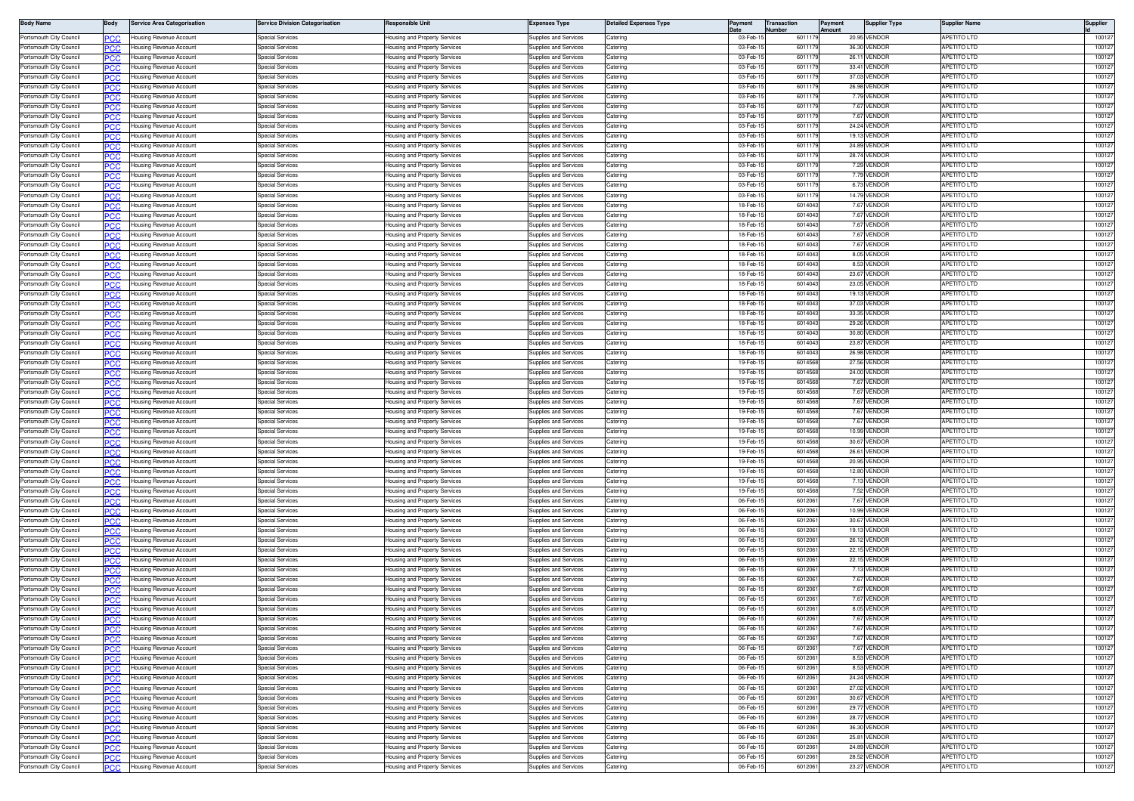| <b>Body Name</b>                                   | 3ody        | <b>Service Area Categorisation</b>                 | ervice Division Categorisation       | <b>Responsible Unit</b>                                        | Expenses Type                                  | <b>Jetailed Expenses Type</b> | Payment              | <b>Transaction</b><br>lumhe | 'ayment | <b>Supplier Type</b>         | Supplier Name                            | Supplier         |
|----------------------------------------------------|-------------|----------------------------------------------------|--------------------------------------|----------------------------------------------------------------|------------------------------------------------|-------------------------------|----------------------|-----------------------------|---------|------------------------------|------------------------------------------|------------------|
| Portsmouth City Council                            | .c          | Housing Revenue Account                            | pecial Services                      | lousing and Property Services                                  | Supplies and Services                          | Caterino                      | 03-Feb-              | 60111                       |         | 20.95 VENDOR                 | <b>APETITO LTD</b>                       | 10012            |
| Portsmouth City Council                            | 'CC         | Housing Revenue Account                            | pecial Services                      | lousing and Property Services                                  | upplies and Services                           | atering                       | 03-Feb-              | 60111                       |         | 36.30 VENDOR                 | <b>PETITO LTD</b>                        | 10012            |
| Portsmouth City Council                            | <b>CC</b>   | Housing Revenue Account                            | pecial Services                      | lousing and Property Services                                  | upplies and Services                           | atering                       | 03-Feb-              | 60111                       |         | 26.11 VENDOR                 | <b>APETITO LTD</b>                       | 10012            |
| Portsmouth City Council<br>Portsmouth City Council |             | lousing Revenue Account                            | pecial Services<br>Special Services  | lousing and Property Services                                  | upplies and Services<br>upplies and Services   | atering<br>atering            | 03-Feb<br>03-Feb-    | 60111<br>60111              |         | 33.41 VENDOF                 | PETITO LTD<br><b>APETITO LTD</b>         | 10012<br>10012   |
| Portsmouth City Council                            | PCC         | Housing Revenue Account<br>Housing Revenue Account | Special Services                     | lousing and Property Services<br>lousing and Property Services | upplies and Services                           | atering                       | 03-Feb-              | 60111                       |         | 37.03 VENDOF<br>26.98 VENDOF | <b>APETITO LTD</b>                       | 10012            |
| Portsmouth City Council                            | PCC         | Housing Revenue Account                            | Special Services                     | lousing and Property Services                                  | Supplies and Services                          | Catering                      | 03-Feb-1             | 60111                       |         | 7.79 VENDOR                  | APETITO LTD                              | 10012            |
| Portsmouth City Council                            |             | Housing Revenue Account                            | Special Services                     | lousing and Property Services                                  | Supplies and Services                          | Caterino                      | 03-Feb-              | 60111                       |         | 7.67 VENDOR                  | <b>APETITO LTD</b>                       | 10012            |
| Portsmouth City Council                            | °СС         | Housing Revenue Account                            | Special Services                     | lousing and Property Services                                  | upplies and Services                           | aterino                       | 03-Feb-              | 60111                       |         | 7.67 VENDOR                  | APETITO LTD                              | 10012            |
| Portsmouth City Council                            | сc          | Housing Revenue Account                            | Special Services                     | lousing and Property Services                                  | upplies and Services                           | atering                       | 03-Feb-              | 601117                      |         | 24.24 VENDOF                 | <b>APETITO LTD</b>                       | 10012            |
| Portsmouth City Council                            | 'CC         | lousing Revenue Account                            | pecial Services                      | lousing and Property Services                                  | upplies and Services                           | atering                       | 03-Feb-1             | 601117                      |         | 19.13 VENDOR                 | PETITO LTD                               | 10012            |
| Portsmouth City Council                            | PCC.        | Housing Revenue Account                            | pecial Services                      | lousing and Property Services                                  | upplies and Services                           | atering                       | 03-Feb-1             | 60111                       |         | 24.89 VENDOR                 | <b>APETITO LTD</b>                       | 10012            |
| Portsmouth City Council<br>Portsmouth City Council | 'CC         | lousing Revenue Account<br>Housing Revenue Account | pecial Services<br>Special Services  | lousing and Property Services<br>lousing and Property Services | upplies and Services<br>upplies and Services   | atering<br>atering            | 03-Feb-<br>03-Feb-   | 60111<br>60111              |         | 28.74 VENDOF<br>7.29 VENDOR  | PETITO LTD<br>APETITO LTD                | 10012<br>10012   |
| Portsmouth City Council                            | PCC<br>сc   | Housing Revenue Account                            | Special Services                     | lousing and Property Services                                  | Supplies and Services                          | atering                       | 03-Feb-1             | 60111                       |         | 7.79 VENDOF                  | <b>APETITO LTD</b>                       | 10012            |
| Portsmouth City Council                            | PCC         | Housing Revenue Account                            | Special Services                     | <del>l</del> ousing and Property Services                      | Supplies and Services                          | Catering                      | 03-Feb-1             | 60111                       |         | 6.73 VENDOR                  | <b>APETITO LTD</b>                       | 10012            |
| Portsmouth City Council                            |             | lousing Revenue Account                            | Special Services                     | lousing and Property Services                                  | Supplies and Services                          | aterino                       | 03-Feb-              | 60111                       |         | 14.79 VENDOR                 | <b>APETITO LTD</b>                       | 10012            |
| Portsmouth City Council                            | CC          | lousing Revenue Account                            | Special Services                     | lousing and Property Services                                  | upplies and Services                           | atering                       | 18-Feb-              | 601404                      |         | 7.67 VENDOR                  | PETITO LTD                               | 10012            |
| Portsmouth City Council                            | °СС         | Housing Revenue Account                            | Special Services                     | lousing and Property Services                                  | upplies and Services                           | Catering                      | 18-Feb-              | 601404                      |         | 7.67 VENDOF                  | <b>APETITO LTD</b>                       | 10012            |
| Portsmouth City Council                            | CC          | lousing Revenue Account                            | pecial Services                      | lousing and Property Services                                  | upplies and Services                           | atering                       | 18-Feb-1             | 601404                      |         | 7.67 VENDOF                  | <b>APETITO LTD</b>                       | 10012            |
| Portsmouth City Council<br>Portsmouth City Council | PСC         | Housing Revenue Account                            | pecial Services                      | lousing and Property Services                                  | upplies and Services                           | atering<br>atering            | 18-Feb-1<br>18-Feb-  | 601404<br>601404            |         | 7.67 VENDOR<br>7.67 VENDOF   | <b>APETITO LTD</b><br><b>APETITO LTD</b> | 10012<br>10012   |
| Portsmouth City Council                            | ncr<br>PCC  | lousing Revenue Account<br>Housing Revenue Account | pecial Services<br>Special Services  | lousing and Property Services<br>lousing and Property Services | upplies and Services<br>Supplies and Services  | atering                       | 18-Feb-1             | 601404                      |         | 8.05 VENDOR                  | APETITO LTD                              | 10012            |
| Portsmouth City Council                            |             | lousing Revenue Account                            | Special Services                     | lousing and Property Services                                  | upplies and Services                           | atering                       | 18-Feb-1             | 601404                      |         | 8.53 VENDOR                  | <b>APETITO LTD</b>                       | 10012            |
| Portsmouth City Council                            | 'CC         | Housing Revenue Account                            | Special Services                     | lousing and Property Services                                  | Supplies and Services                          | Catering                      | 18-Feb-1             | 601404                      |         | 23.67 VENDOR                 | <b>APETITO LTD</b>                       | 100127           |
| Portsmouth City Council                            |             | lousing Revenue Account                            | Special Services                     | lousing and Property Services                                  | Supplies and Services                          | Caterino                      | 18-Feb-              | 601404                      |         | 23.05 VENDOR                 | APETITO LTD                              | 100127           |
| Portsmouth City Council                            | 'CC         | lousing Revenue Account                            | Special Services                     | lousing and Property Services                                  | upplies and Services                           | Caterino                      | 18-Feb-              | 601404                      |         | 19.13 VENDOR                 | PETITO LTD                               | 100127           |
| Portsmouth City Council                            | PCC.        | Housing Revenue Account                            | pecial Services                      | lousing and Property Services                                  | upplies and Services                           | atering                       | 18-Feb-1             | 601404                      |         | 37.03 VENDOF                 | <b>APETITO LTD</b>                       | 10012            |
| Portsmouth City Council                            | cс          | lousing Revenue Account                            | pecial Services                      | lousing and Property Services                                  | upplies and Services                           | atering                       | 18-Feb-              | 601404                      |         | 33.35 VENDOF                 | <b>APETITO LTD</b>                       | 10012            |
| Portsmouth City Council<br>Portsmouth City Council | PCC.        | Housing Revenue Account                            | <b>Special Services</b>              | lousing and Property Services<br>lousing and Property Services | Supplies and Services                          | Catering                      | 18-Feb-1<br>18-Feb-  | 6014043<br>601404           |         | 29.26 VENDOR<br>30.80 VENDOF | APETITO LTD<br>APETITO LTD               | 100127<br>10012  |
| Portsmouth City Council                            | ٢C٢<br>PC.C | Housing Revenue Account<br>Housing Revenue Account | Special Services<br>Special Services | lousing and Property Services                                  | Supplies and Services<br>Supplies and Services | atering<br>atering            | 18-Feb-              | 601404                      |         | 23.87 VENDOR                 | <b>APETITO LTD</b>                       | 10012            |
| Portsmouth City Council                            |             | Housing Revenue Account                            | Special Services                     | lousing and Property Services                                  | Supplies and Services                          | atering                       | 18-Feb-1             | 601404                      |         | 26.98 VENDOR                 | <b>APETITO LTD</b>                       | 100127           |
| Portsmouth City Council                            | PCC         | Housing Revenue Account                            | Special Services                     | lousing and Property Services                                  | Supplies and Services                          | Catering                      | 19-Feb-1             | 601456                      |         | 27.56 VENDOR                 | <b>APETITO LTD</b>                       | 100127           |
| Portsmouth City Council                            | cс          | lousing Revenue Account                            | Special Services                     | lousing and Property Services                                  | upplies and Services                           | atering                       | 19-Feb-              | 601456                      |         | 24.00 VENDOR                 | <b>APETITO LTD</b>                       | 100127           |
| Portsmouth City Council                            | 'CC         | lousing Revenue Account                            | Special Services                     | lousing and Property Services                                  | upplies and Services                           | atering                       | 19-Feb-1             | 601456                      |         | 7.67 VENDOR                  | <b>APETITO LTD</b>                       | 10012            |
| Portsmouth City Council                            | PCC.        | Housing Revenue Account                            | pecial Services                      | lousing and Property Services                                  | upplies and Services                           | atering                       | 19-Feb-1             | 601456                      |         | 7.67 VENDOF                  | <b>APETITO LTD</b>                       | 10012            |
| Portsmouth City Council                            | cс          | Housing Revenue Account                            | pecial Services                      | lousing and Property Services                                  | upplies and Services                           | atering                       | 19-Feb-1             | 601456                      |         | 7.67 VENDOF                  | PETITO LTD                               | 10012            |
| Portsmouth City Council<br>Portsmouth City Council | PCC         | Housing Revenue Account                            | pecial Services<br>pecial Services   | lousing and Property Services                                  | upplies and Services                           | atering<br>atering            | 19-Feb-<br>19-Feb-   | 601456<br>601456            |         | 7.67 VENDOR<br>7.67 VENDOR   | <b>APETITO LTD</b><br><b>APETITO LTD</b> | 10012<br>10012   |
| Portsmouth City Council                            | PC.C        | Housing Revenue Account<br>Housing Revenue Account | Special Services                     | lousing and Property Services<br>lousing and Property Services | upplies and Services<br>Supplies and Services  | aterino                       | 19-Feb-              | 601456                      |         | 10.99 VENDOR                 | <b>APETITO LTD</b>                       | 10012            |
| Portsmouth City Council                            | cс          | Housing Revenue Account                            | Special Services                     | lousing and Property Services                                  | Supplies and Services                          | Caterino                      | 19-Feb-1             | 601456                      |         | 30.67 VENDOR                 | <b>APETITO LTD</b>                       | 100127           |
| Portsmouth City Council                            | сC          | lousing Revenue Account                            | pecial Services                      | lousing and Property Services                                  | upplies and Services                           | atering                       | 19-Feb-              | 601456                      |         | 26.61 VENDOR                 | PETITO LTD                               | 100127           |
| Portsmouth City Council                            | .c          | Housing Revenue Account                            | pecial Services                      | lousing and Property Services                                  | upplies and Services                           | aterino                       | 19-Feb-              | 601456                      |         | 20.95 VENDOF                 | <b>APETITO LTD</b>                       | 10012            |
| Portsmouth City Council                            | C.C         | lousing Revenue Account                            | pecial Services                      | lousing and Property Services                                  | upplies and Services                           | atering                       | 19-Feb               | 60145                       |         | 12.80 VENDOF                 | PETITO LTD                               | 10012            |
| Portsmouth City Council                            | 'CC         | Housing Revenue Account                            | pecial Services                      | lousing and Property Services                                  | upplies and Services                           | atering                       | 19-Feb-1             | 601456                      |         | 7.13 VENDOF                  | <b>APETITO LTD</b>                       | 10012            |
| Portsmouth City Council<br>Portsmouth City Council | C.C         | lousing Revenue Account                            | pecial Services<br>Special Services  | lousing and Property Services                                  | upplies and Services                           | atering                       | 19-Feb-<br>06-Feb-   | 601456<br>601206            |         | 7.52 VENDOF<br>7.67 VENDOR   | <b>APETITO LTD</b><br><b>APETITO LTD</b> | 10012<br>10012   |
| Portsmouth City Council                            | המפ         | Housing Revenue Account<br>Housing Revenue Account | Special Services                     | lousing and Property Services<br>lousing and Property Services | Supplies and Services<br>Supplies and Services | Catering<br>Catering          | 06-Feb-              | 601206                      |         | 10.99 VENDOF                 | APETITO LTD                              | 10012            |
| Portsmouth City Council                            | .cr         | Housing Revenue Account                            | Special Services                     | lousing and Property Services                                  | upplies and Services                           | Catering                      | 06-Feb-              | 601206                      |         | 30.67 VENDOR                 | <b>APETITO LTD</b>                       | 10012            |
| Portsmouth City Council                            |             | lousing Revenue Account                            | pecial Services                      | lousing and Property Services                                  | upplies and Services                           | aterino                       | 06-Feb-              | 601206                      |         | 19.13 VENDOR                 | <b>APETITO LTD</b>                       | 100127           |
| Portsmouth City Council                            | 'CC         | lousing Revenue Account                            | pecial Services                      | lousing and Property Services                                  | upplies and Services                           | atering                       | 06-Feb-              | 601206                      |         | 26.12 VENDOR                 | <b>PETITO LTD</b>                        | 100127           |
| Portsmouth City Council                            | PCC.        | Housing Revenue Account                            | Special Services                     | lousing and Property Services                                  | upplies and Services                           | Caterino                      | 06-Feb-              | 601206                      |         | 22.15 VENDOR                 | <b>APETITO LTD</b>                       | 10012            |
| Portsmouth City Council                            | C.C         | lousing Revenue Account                            | pecial Services                      | lousing and Property Services                                  | upplies and Services                           | atering                       | 06-Feb-              | 601206                      |         | 22.15 VENDOF                 | <b>APETITO LTD</b>                       | 10012            |
| Portsmouth City Counci                             | PCC         | Housing Revenue Account                            | pecial Services                      | lousing and Property Services                                  | upplies and Services                           | atering                       | 06-Feb-              | 601206                      |         | 7.13 VENDOR                  | <b>APETITO LTD</b>                       | 10012            |
| Portsmouth City Council<br>Portsmouth City Council | .cr         | Housing Revenue Account                            | Special Services<br>Special Services | lousing and Property Services                                  | Supplies and Services                          | atering                       | 06-Feb-<br>06-Feb-   | 601206<br>601206            |         | 7.67 VENDOF                  | <b>APETITO LTD</b><br><b>APETITO LTD</b> | 10012<br>10012   |
| Portsmouth City Council                            | PCC         | Housing Revenue Account<br>lousing Revenue Account | Special Services                     | lousing and Property Services<br>lousing and Property Services | Supplies and Services<br>upplies and Services  | Catering<br>aterino           | 06-Feb-              | 601206                      |         | 7.67 VENDOR<br>7.67 VENDOR   | <b>APETITO LTD</b>                       | 10012            |
| Portsmouth City Council                            | °СС         | Housing Revenue Account                            | Special Services                     | lousing and Property Services                                  | Supplies and Services                          | aterino                       | 06-Feb-              | 601206                      |         | 8.05 VENDOF                  | <b>APETITO LTD</b>                       | 100127           |
| Portsmouth City Council                            |             | Housing Revenue Account                            | pecial Services                      | lousing and Property Services                                  | upplies and Services                           | atering                       | 06-Feb-              | 601206                      |         | 7.67 VENDOF                  | <b>APETITO LTD</b>                       | 100127           |
| Portsmouth City Council                            | PСC         | Housing Revenue Account                            | pecial Services                      | lousing and Property Services                                  | upplies and Services                           | Catering                      | 06-Feb-1             | 601206                      |         | 7.67 VENDOR                  | APETITO LTD                              | 100127           |
| Portsmouth City Council                            | PCC         | Housing Revenue Account                            | pecial Services                      | lousing and Property Services                                  | upplies and Services                           | atering                       | 06-Feb-1             | 601206                      |         | 7.67 VENDOR                  | <b>APETITO LTD</b>                       | 100127           |
| Portsmouth City Council                            | PСC         | lousing Revenue Account                            | pecial Services                      | lousing and Property Services                                  | upplies and Services                           | atering                       | 06-Feb-1             | 601206                      |         | 7.67 VENDOR                  | <b>APETITO LTD</b>                       | 100127           |
| Portsmouth City Council                            | PCC         | Housing Revenue Account                            | Special Services                     | lousing and Property Services                                  | Supplies and Services                          | atering                       | 06-Feb-              | 601206                      |         | 8.53 VENDOR                  | APETITO LTD                              | 100127           |
| Portsmouth City Council<br>Portsmouth City Council | сc          | Housing Revenue Account<br>Housing Revenue Account | Special Services<br>Special Services | lousing and Property Services<br>lousing and Property Services | Supplies and Services<br>Supplies and Services | atering<br>Catering           | 06-Feb-1<br>06-Feb-1 | 601206<br>601206            |         | 8.53 VENDOR<br>24.24 VENDOR  | <b>APETITO LTD</b><br><b>APETITO LTD</b> | 100127<br>100127 |
| Portsmouth City Council                            | PСC         | Housing Revenue Account                            | Special Services                     | lousing and Property Services                                  | Supplies and Services                          | Catering                      | 06-Feb-1             | 601206                      |         | 27.02 VENDOR                 | <b>APETITO LTD</b>                       | 100127           |
| Portsmouth City Council                            | PСC         | Housing Revenue Account                            | <b>Special Services</b>              | <b>Housing and Property Services</b>                           | <b>Supplies and Services</b>                   | Catering                      | 06-Feb-1             | 601206                      |         | 30.67 VENDOR                 | APETITO LTD                              | 100127           |
| Portsmouth City Council                            | сc          | Housing Revenue Account                            | <b>Special Services</b>              | lousing and Property Services                                  | Supplies and Services                          | Catering                      | 06-Feb-1             | 601206                      |         | 29.77 VENDOR                 | <b>APETITO LTD</b>                       | 100127           |
| Portsmouth City Council                            | сC          | Housing Revenue Account                            | pecial Services                      | lousing and Property Services                                  | upplies and Services                           | atering                       | 06-Feb-1             | 601206                      |         | 28.77 VENDOR                 | APETITO LTD                              | 100127           |
| Portsmouth City Council                            | PCC.        | Housing Revenue Account                            | Special Services                     | lousing and Property Services                                  | Supplies and Services                          | atering                       | 06-Feb-1             | 601206                      |         | 36.30 VENDOR                 | <b>APETITO LTD</b>                       | 100127           |
| Portsmouth City Council                            | PCC         | Housing Revenue Account                            | <b>Special Services</b>              | lousing and Property Services                                  | Supplies and Services                          | Catering                      | 06-Feb-1             | 601206                      |         | 25.81 VENDOR                 | APETITO LTD                              | 100127           |
| Portsmouth City Council                            | PCC         | Housing Revenue Account                            | Special Services                     | Housing and Property Services                                  | Supplies and Services                          | Catering                      | 06-Feb-              | 601206                      |         | 24.89 VENDOR                 | APETITO LTD                              | 100127           |
| Portsmouth City Council                            | сc          | Housing Revenue Account                            | <b>Special Services</b>              | lousing and Property Services                                  | Supplies and Services                          | atering                       | 06-Feb-1             | 601206                      |         | 28.52 VENDOR                 | APETITO LTD                              | 100127           |
| Portsmouth City Council                            | PCC         | Housing Revenue Account                            | <b>Special Services</b>              | Housing and Property Services                                  | Supplies and Services                          | Catering                      | 06-Feb-1             | 6012061                     |         | 23.27 VENDOR                 | APETITO LTD                              | 100127           |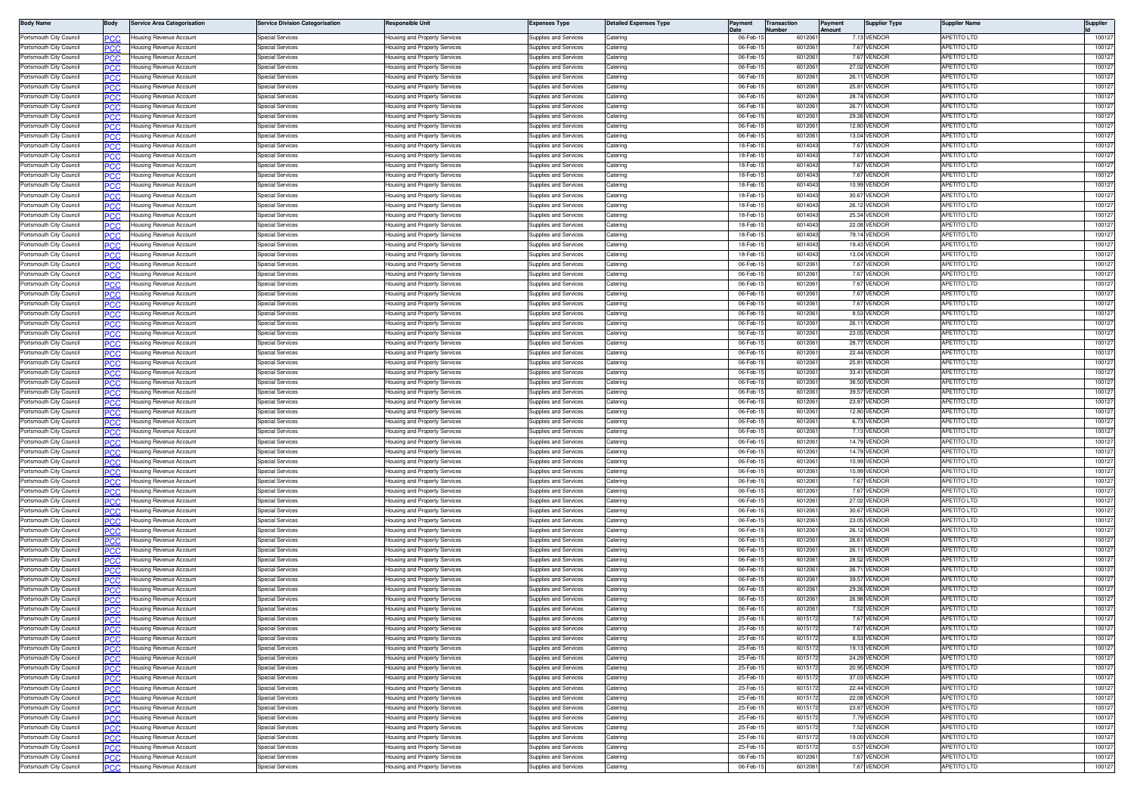| <b>Body Name</b>                                   | 3ody        | <b>Service Area Categorisation</b>                        | ervice Division Categorisation                     | Responsible Unit                                               | Expenses Type                                  | <b>Jetailed Expenses Type</b> | Payment              | <b>Transaction</b> | 'ayment | <b>Supplier Type</b>         | Supplier Name                            | Supplier         |
|----------------------------------------------------|-------------|-----------------------------------------------------------|----------------------------------------------------|----------------------------------------------------------------|------------------------------------------------|-------------------------------|----------------------|--------------------|---------|------------------------------|------------------------------------------|------------------|
| Portsmouth City Council                            | .c          | Housing Revenue Account                                   | pecial Services                                    | lousing and Property Services                                  | Supplies and Services                          | Caterino                      | 06-Feb-              | 601206             |         | 7.13 VENDOR                  | <b>APETITO LTD</b>                       | 10012            |
| Portsmouth City Council                            | 'CC         | Housing Revenue Account                                   | pecial Services                                    | lousing and Property Services                                  | upplies and Services                           | atering                       | 06-Feb-              | 601206             |         | 7.67 VENDOR                  | <b>PETITO LTD</b>                        | 10012            |
| Portsmouth City Council                            | <b>CC</b>   | Housing Revenue Account                                   | pecial Services                                    | lousing and Property Services                                  | upplies and Services                           | atering                       | 06-Feb-              | 601206             |         | 7.67 VENDOR                  | <b>APETITO LTD</b>                       | 10012            |
| Portsmouth City Council<br>Portsmouth City Council |             | lousing Revenue Account                                   | pecial Services<br>Special Services                | lousing and Property Services                                  | upplies and Services<br>upplies and Services   | atering<br>atering            | 06-Feb<br>06-Feb-    | 601206<br>601206   |         | 27.02 VENDOF<br>26.11 VENDOF | PETITO LTD<br><b>APETITO LTD</b>         | 10012<br>10012   |
| Portsmouth City Council                            | PCC         | Housing Revenue Account<br>Housing Revenue Account        | Special Services                                   | lousing and Property Services<br>lousing and Property Services | upplies and Services                           | atering                       | 06-Feb-              | 601206             |         | 25.81 VENDOF                 | <b>APETITO LTD</b>                       | 10012            |
| Portsmouth City Council                            | PCC         | Housing Revenue Account                                   | Special Services                                   | lousing and Property Services                                  | Supplies and Services                          | Catering                      | 06-Feb-              | 601206             |         | 28.74 VENDOR                 | APETITO LTD                              | 10012            |
| Portsmouth City Council                            |             | Housing Revenue Account                                   | Special Services                                   | lousing and Property Services                                  | Supplies and Services                          | Caterino                      | 06-Feb-              | 601206             |         | 26.71 VENDOR                 | <b>APETITO LTD</b>                       | 10012            |
| Portsmouth City Council                            | °СС         | Housing Revenue Account                                   | Special Services                                   | lousing and Property Services                                  | upplies and Services                           | aterino                       | 06-Feb-              | 601206             |         | 29.26 VENDOR                 | APETITO LTD                              | 10012            |
| Portsmouth City Council                            | сc          | Housing Revenue Account                                   | Special Services                                   | lousing and Property Services                                  | upplies and Services                           | atering                       | 06-Feb-              | 601206             |         | 12.80 VENDOR                 | <b>APETITO LTD</b>                       | 10012            |
| Portsmouth City Council                            | 'CC         | lousing Revenue Account                                   | pecial Services                                    | lousing and Property Services                                  | upplies and Services                           | atering                       | 06-Feb-              | 601206             |         | 13.04 VENDOR                 | PETITO LTD                               | 10012            |
| Portsmouth City Council                            | PCC.        | Housing Revenue Account                                   | pecial Services                                    | lousing and Property Services                                  | upplies and Services                           | atering                       | 18-Feb-1             | 601404             |         | 7.67 VENDOR                  | <b>APETITO LTD</b>                       | 10012            |
| Portsmouth City Council<br>Portsmouth City Council | 'CC         | lousing Revenue Account<br>Housing Revenue Account        | pecial Services<br>Special Services                | lousing and Property Services<br>lousing and Property Services | upplies and Services<br>upplies and Services   | atering<br>atering            | 18-Feb-<br>18-Feb-   | 601404<br>601404   |         | 7.67 VENDOF<br>7.67 VENDOF   | <b>APETITO LTD</b><br>APETITO LTD        | 10012<br>10012   |
| Portsmouth City Council                            | PCC<br>сc   | Housing Revenue Account                                   | Special Services                                   | lousing and Property Services                                  | Supplies and Services                          | atering                       | 18-Feb-1             | 601404             |         | 7.67 VENDOF                  | <b>APETITO LTD</b>                       | 10012            |
| Portsmouth City Council                            | PCC         | Housing Revenue Account                                   | Special Services                                   | <del>l</del> ousing and Property Services                      | Supplies and Services                          | Catering                      | 18-Feb-1             | 601404             |         | 10.99 VENDOR                 | <b>APETITO LTD</b>                       | 10012            |
| Portsmouth City Council                            |             | lousing Revenue Account                                   | Special Services                                   | lousing and Property Services                                  | Supplies and Services                          | aterino                       | 18-Feb-              | 601404             |         | 30.67 VENDOR                 | <b>APETITO LTD</b>                       | 10012            |
| Portsmouth City Council                            | CC          | lousing Revenue Account                                   | Special Services                                   | lousing and Property Services                                  | upplies and Services                           | atering                       | 18-Feb-              | 601404             |         | 26.12 VENDOR                 | PETITO LTD                               | 10012            |
| Portsmouth City Council                            | °СС         | Housing Revenue Account                                   | Special Services                                   | lousing and Property Services                                  | upplies and Services                           | Catering                      | 18-Feb-              | 601404             |         | 25.34 VENDOF                 | <b>APETITO LTD</b>                       | 10012            |
| Portsmouth City Council                            | CC          | lousing Revenue Account                                   | pecial Services                                    | lousing and Property Services                                  | upplies and Services                           | atering                       | 18-Feb-1             | 601404             |         | 22.08 VENDOR                 | <b>APETITO LTD</b>                       | 10012            |
| Portsmouth City Council<br>Portsmouth City Council | PСC         | Housing Revenue Account                                   | pecial Services                                    | lousing and Property Services                                  | upplies and Services                           | atering<br>atering            | 18-Feb-1<br>18-Feb-  | 601404<br>601404   |         | 79.14 VENDOR<br>19.43 VENDOF | <b>APETITO LTD</b><br><b>APETITO LTD</b> | 10012<br>10012   |
| Portsmouth City Council                            | ncr<br>PCC  | lousing Revenue Account<br>Housing Revenue Account        | pecial Services<br>Special Services                | lousing and Property Services<br>lousing and Property Services | upplies and Services<br>Supplies and Services  | atering                       | 18-Feb-1             | 601404             |         | 13.04 VENDOR                 | APETITO LTD                              | 10012            |
| Portsmouth City Council                            |             | lousing Revenue Account                                   | Special Services                                   | lousing and Property Services                                  | upplies and Services                           | atering                       | 06-Feb-1             | 601206             |         | 7.67 VENDOR                  | <b>APETITO LTD</b>                       | 10012            |
| Portsmouth City Council                            | 'CC         | Housing Revenue Account                                   | Special Services                                   | lousing and Property Services                                  | Supplies and Services                          | Catering                      | 06-Feb-              | 601206             |         | 7.67 VENDOR                  | <b>APETITO LTD</b>                       | 100127           |
| Portsmouth City Council                            |             | lousing Revenue Account                                   | Special Services                                   | lousing and Property Services                                  | Supplies and Services                          | Caterino                      | 06-Feb-              | 601206             |         | 7.67 VENDOR                  | APETITO LTD                              | 100127           |
| Portsmouth City Council                            | 'CC         | lousing Revenue Account                                   | Special Services                                   | lousing and Property Services                                  | upplies and Services                           | Caterino                      | 06-Feb-              | 601206             |         | 7.67 VENDOR                  | PETITO LTD                               | 100127           |
| Portsmouth City Council                            | PCC.        | Housing Revenue Account                                   | pecial Services                                    | lousing and Property Services                                  | upplies and Services                           | atering                       | 06-Feb-              | 601206             |         | 7.67 VENDOF                  | <b>APETITO LTD</b>                       | 10012            |
| Portsmouth City Council                            | cс          | lousing Revenue Account                                   | pecial Services                                    | lousing and Property Services                                  | upplies and Services                           | atering                       | 06-Feb-              | 601206             |         | 8.53 VENDOF                  | <b>APETITO LTD</b>                       | 10012            |
| Portsmouth City Council<br>Portsmouth City Council | PCC.        | Housing Revenue Account                                   | <b>Special Services</b>                            | lousing and Property Services                                  | Supplies and Services                          | Catering                      | 06-Feb-1<br>06-Feb-  | 601206<br>601206   |         | 26.11 VENDOR<br>23.05 VENDOF | APETITO LTD<br>APETITO LTD               | 100127<br>10012  |
| Portsmouth City Council                            | ٢C٢<br>PC.C | Housing Revenue Account<br>Housing Revenue Account        | Special Services<br>Special Services               | lousing and Property Services<br>lousing and Property Services | Supplies and Services<br>Supplies and Services | atering<br>atering            | 06-Feb-              | 601206             |         | 28.77 VENDOR                 | <b>APETITO LTD</b>                       | 10012            |
| Portsmouth City Council                            |             | Housing Revenue Account                                   | Special Services                                   | lousing and Property Services                                  | Supplies and Services                          | atering                       | 06-Feb-1             | 601206             |         | 22.44 VENDOR                 | <b>APETITO LTD</b>                       | 100127           |
| Portsmouth City Council                            | PCC         | Housing Revenue Account                                   | Special Services                                   | lousing and Property Services                                  | Supplies and Services                          | Catering                      | 06-Feb-              | 601206             |         | 25.81 VENDOR                 | <b>APETITO LTD</b>                       | 100127           |
| Portsmouth City Council                            | cс          | lousing Revenue Account                                   | Special Services                                   | lousing and Property Services                                  | upplies and Services                           | atering                       | 06-Feb-              | 601206             |         | 33.41 VENDOR                 | <b>APETITO LTD</b>                       | 100127           |
| Portsmouth City Council                            | 'CC         | lousing Revenue Account                                   | Special Services                                   | lousing and Property Services                                  | upplies and Services                           | atering                       | 06-Feb-              | 601206             |         | 38.50 VENDOR                 | <b>APETITO LTD</b>                       | 10012            |
| Portsmouth City Council                            | PCC.        | Housing Revenue Account                                   | pecial Services                                    | lousing and Property Services                                  | upplies and Services                           | atering                       | 06-Feb-              | 601206             |         | 39.57 VENDOF                 | <b>APETITO LTD</b>                       | 10012            |
| Portsmouth City Council                            | cс          | Housing Revenue Account                                   | pecial Services                                    | lousing and Property Services                                  | upplies and Services                           | atering                       | 06-Feb-              | 601206             |         | 23.87 VENDOF                 | PETITO LTD                               | 10012            |
| Portsmouth City Council<br>Portsmouth City Council | PCC         | Housing Revenue Account                                   | pecial Services<br>pecial Services                 | lousing and Property Services                                  | upplies and Services                           | atering<br>atering            | 06-Feb-<br>06-Feb-   | 601206<br>601206   |         | 12.80 VENDOR<br>6.73 VENDOR  | <b>APETITO LTD</b><br><b>APETITO LTD</b> | 10012<br>10012   |
| Portsmouth City Council                            | PC.C        | Housing Revenue Account<br>Housing Revenue Account        | Special Services                                   | lousing and Property Services<br>lousing and Property Services | upplies and Services<br>Supplies and Services  | aterino                       | 06-Feb-              | 601206             |         | 7.13 VENDOR                  | <b>APETITO LTD</b>                       | 10012            |
| Portsmouth City Council                            | cс          | Housing Revenue Account                                   | Special Services                                   | lousing and Property Services                                  | Supplies and Services                          | Caterino                      | 06-Feb-              | 601206             |         | 14.79 VENDOR                 | <b>APETITO LTD</b>                       | 100127           |
| Portsmouth City Council                            | сC          | lousing Revenue Account                                   | pecial Services                                    | lousing and Property Services                                  | upplies and Services                           | atering                       | 06-Feb-              | 601206             |         | 14.79 VENDOR                 | PETITO LTD                               | 100127           |
| Portsmouth City Council                            | .c          | Housing Revenue Account                                   | pecial Services                                    | lousing and Property Services                                  | upplies and Services                           | aterino                       | 06-Feb-              | 601206             |         | 10.99 VENDOF                 | <b>APETITO LTD</b>                       | 10012            |
| Portsmouth City Council                            | C.C         | lousing Revenue Account                                   | pecial Services                                    | lousing and Property Services                                  | upplies and Services                           | atering                       | 06-Feb-              | 601206             |         | 10.99 VENDOF                 | PETITO LTD                               | 10012            |
| Portsmouth City Council                            | 'CC         | Housing Revenue Account                                   | pecial Services                                    | lousing and Property Services                                  | upplies and Services                           | atering                       | 06-Feb-              | 601206             |         | 7.67 VENDOF                  | <b>APETITO LTD</b>                       | 10012            |
| Portsmouth City Council<br>Portsmouth City Council | C.C         | lousing Revenue Account                                   | pecial Services<br>Special Services                | lousing and Property Services                                  | upplies and Services                           | atering                       | 06-Feb-<br>06-Feb-   | 601206<br>601206   |         | 7.67 VENDOF<br>27.02 VENDOR  | <b>APETITO LTD</b><br><b>APETITO LTD</b> | 10012<br>10012   |
| Portsmouth City Council                            | המפ         | Housing Revenue Account<br>Housing Revenue Account        | Special Services                                   | lousing and Property Services<br>lousing and Property Services | Supplies and Services<br>Supplies and Services | Catering<br>Catering          | 06-Feb-              | 601206             |         | 30.67 VENDOF                 | APETITO LTD                              | 10012            |
| Portsmouth City Council                            | .cr         | Housing Revenue Account                                   | Special Services                                   | lousing and Property Services                                  | upplies and Services                           | Catering                      | 06-Feb-              | 601206             |         | 23.05 VENDOR                 | <b>APETITO LTD</b>                       | 10012            |
| Portsmouth City Council                            |             | lousing Revenue Account                                   | pecial Services                                    | lousing and Property Services                                  | upplies and Services                           | aterino                       | 06-Feb-              | 601206             |         | 26.12 VENDOR                 | <b>APETITO LTD</b>                       | 100127           |
| Portsmouth City Council                            | 'CC         | lousing Revenue Account                                   | pecial Services                                    | lousing and Property Services                                  | upplies and Services                           | atering                       | 06-Feb-              | 601206             |         | 26.61 VENDOR                 | <b>PETITO LTD</b>                        | 100127           |
| Portsmouth City Council                            | PCC.        | Housing Revenue Account                                   | Special Services                                   | lousing and Property Services                                  | upplies and Services                           | Caterino                      | 06-Feb-              | 601206             |         | 26.11 VENDOR                 | <b>APETITO LTD</b>                       | 10012            |
| Portsmouth City Council                            | C.C         | lousing Revenue Account                                   | pecial Services                                    | lousing and Property Services                                  | upplies and Services                           | atering                       | 06-Feb-              | 601206             |         | 28.52 VENDOF                 | PETITO LTD                               | 10012            |
| Portsmouth City Counci                             | PCC         | Housing Revenue Account                                   | pecial Services                                    | lousing and Property Services                                  | upplies and Services                           | atering                       | 06-Feb-              | 601206             |         | 26.71 VENDOR                 | <b>APETITO LTD</b>                       | 10012            |
| Portsmouth City Council<br>Portsmouth City Council | .cr         | Housing Revenue Account<br>Housing Revenue Account        | Special Services<br>Special Services               | lousing and Property Services<br>lousing and Property Services | Supplies and Services<br>Supplies and Services | atering<br>Catering           | 06-Feb-<br>06-Feb-   | 601206<br>601206   |         | 39.57 VENDOR<br>29.26 VENDOR | <b>APETITO LTD</b><br><b>APETITO LTD</b> | 10012<br>10012   |
| Portsmouth City Council                            | PCC         | lousing Revenue Account                                   | Special Services                                   | lousing and Property Services                                  | upplies and Services                           | aterino                       | 06-Feb-              | 601206             |         | 26.98 VENDOR                 | <b>APETITO LTD</b>                       | 10012            |
| Portsmouth City Council                            | °СС         | Housing Revenue Account                                   | Special Services                                   | lousing and Property Services                                  | Supplies and Services                          | aterino                       | 06-Feb-              | 601206             |         | 7.52 VENDOR                  | <b>APETITO LTD</b>                       | 100127           |
| Portsmouth City Council                            |             | Housing Revenue Account                                   | pecial Services                                    | lousing and Property Services                                  | upplies and Services                           | atering                       | 25-Feb-1             | 601517             |         | 7.67 VENDOF                  | <b>APETITO LTD</b>                       | 100127           |
| Portsmouth City Council                            | PСC         | Housing Revenue Account                                   | pecial Services                                    | lousing and Property Services                                  | upplies and Services                           | Catering                      | 25-Feb-1             | 601517             |         | 7.67 VENDOR                  | APETITO LTD                              | 100127           |
| Portsmouth City Council                            | PCC         | <b>Housing Revenue Account</b>                            | pecial Services                                    | lousing and Property Services                                  | upplies and Services                           | atering                       | 25-Feb-1             | 601517             |         | 8.53 VENDOR                  | <b>APETITO LTD</b>                       | 100127           |
| Portsmouth City Council                            | PСC         | lousing Revenue Account                                   | pecial Services                                    | lousing and Property Services                                  | upplies and Services                           | atering                       | 25-Feb-1             | 601517             |         | 19.13 VENDOR                 | <b>APETITO LTD</b>                       | 100127           |
| Portsmouth City Council                            | PCC         | Housing Revenue Account                                   | Special Services                                   | lousing and Property Services                                  | Supplies and Services                          | atering                       | 25-Feb-              | 601517             |         | 24.29 VENDOR                 | APETITO LTD                              | 100127           |
| Portsmouth City Council<br>Portsmouth City Council | сc<br>PСC   | Housing Revenue Account<br><b>Housing Revenue Account</b> | Special Services<br>Special Services               | lousing and Property Services<br>lousing and Property Services | Supplies and Services<br>Supplies and Services | atering<br>Catering           | 25-Feb-1<br>25-Feb-1 | 601517<br>601517   |         | 20.95 VENDOR<br>37.03 VENDOR | <b>APETITO LTD</b><br><b>APETITO LTD</b> | 100127<br>100127 |
| Portsmouth City Council                            |             | Housing Revenue Account                                   | Special Services                                   | lousing and Property Services                                  | Supplies and Services                          | Catering                      | 25-Feb-1             | 601517             |         | 22.44 VENDOR                 | <b>APETITO LTD</b>                       | 100127           |
| Portsmouth City Council                            | PСC         | Housing Revenue Account                                   | <b>Special Services</b>                            | <b>Housing and Property Services</b>                           | <b>Supplies and Services</b>                   | Catering                      | 25-Feb-1             | 601517             |         | 22.08 VENDOR                 | APETITO LTD                              | 100127           |
| Portsmouth City Council                            | сc          | Housing Revenue Account                                   | <b>Special Services</b>                            | lousing and Property Services                                  | Supplies and Services                          | Catering                      | 25-Feb-1             | 601517             |         | 23.87 VENDOR                 | <b>APETITO LTD</b>                       | 100127           |
| Portsmouth City Council                            | сC          | Housing Revenue Account                                   | pecial Services                                    | lousing and Property Services                                  | upplies and Services                           | atering                       | 25-Feb-1             | 601517             |         | 7.79 VENDOR                  | APETITO LTD                              | 100127           |
| Portsmouth City Council                            | PCC.        | <b>Housing Revenue Account</b>                            | Special Services                                   | lousing and Property Services                                  | Supplies and Services                          | atering                       | 25-Feb-              | 601517             |         | 7.52 VENDOR                  | <b>APETITO LTD</b>                       | 100127           |
| Portsmouth City Council                            | PCC         | Housing Revenue Account                                   | <b>Special Services</b>                            | lousing and Property Services                                  | Supplies and Services                          | Catering                      | 25-Feb-1             | 601517             |         | 19.00 VENDOR                 | APETITO LTD                              | 100127           |
| Portsmouth City Council                            | PCC         | Housing Revenue Account                                   | Special Services                                   | Housing and Property Services                                  | Supplies and Services                          | Catering                      | 25-Feb-              | 601517             |         | 0.57 VENDOR                  | APETITO LTD                              | 100127           |
| Portsmouth City Council<br>Portsmouth City Council | сc          | Housing Revenue Account                                   | <b>Special Services</b><br><b>Special Services</b> | lousing and Property Services                                  | Supplies and Services<br>Supplies and Services | atering                       | 06-Feb-1<br>06-Feb-1 | 601206<br>6012061  |         | 7.67 VENDOR                  | APETITO LTD<br>APETITO LTD               | 100127<br>100127 |
|                                                    | PCC         | Housing Revenue Account                                   |                                                    | Housing and Property Services                                  |                                                | Catering                      |                      |                    |         | 7.67 VENDOR                  |                                          |                  |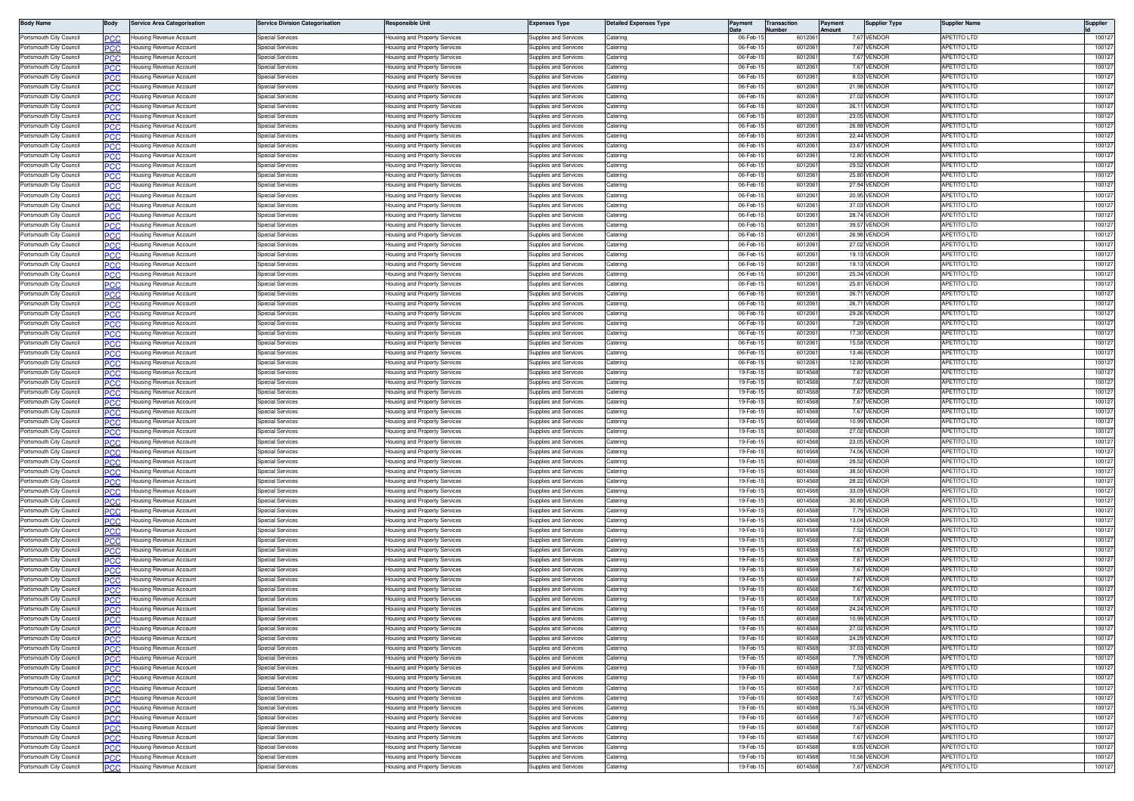| <b>Body Name</b>                                   | 3ody       | <b>Service Area Categorisation</b>                        | ervice Division Categorisation       | Responsible Unit                                               | Expenses Type                                  | <b>Jetailed Expenses Type</b> | Payment              | <b>Transaction</b> | 'ayment | Supplier Type                | Supplier Name                            | Supplier         |
|----------------------------------------------------|------------|-----------------------------------------------------------|--------------------------------------|----------------------------------------------------------------|------------------------------------------------|-------------------------------|----------------------|--------------------|---------|------------------------------|------------------------------------------|------------------|
| Portsmouth City Council                            | .c         | Housing Revenue Account                                   | pecial Services                      | lousing and Property Services                                  | Supplies and Services                          | Caterino                      | 06-Feb-              | 601206             |         | 7.67 VENDOR                  | <b>APETITO LTD</b>                       | 10012            |
| Portsmouth City Council                            | 'CC        | Housing Revenue Account                                   | pecial Services                      | lousing and Property Services                                  | upplies and Services                           | atering                       | 06-Feb-              | 601206             |         | 7.67 VENDOR                  | <b>PETITO LTD</b>                        | 10012            |
| Portsmouth City Council                            | <b>CC</b>  | Housing Revenue Account                                   | pecial Services                      | lousing and Property Services                                  | upplies and Services                           | atering                       | 06-Feb-              | 601206             |         | 7.67 VENDOR                  | <b>APETITO LTD</b>                       | 10012            |
| Portsmouth City Council<br>Portsmouth City Council |            | lousing Revenue Account                                   | pecial Services<br>Special Services  | lousing and Property Services                                  | upplies and Services<br>upplies and Services   | atering<br>atering            | 06-Feb<br>06-Feb-    | 601206<br>601206   |         | 7.67 VENDOF<br>8.53 VENDOF   | PETITO LTD<br><b>APETITO LTD</b>         | 10012<br>10012   |
| Portsmouth City Council                            | PCC        | Housing Revenue Account<br>Housing Revenue Account        | Special Services                     | lousing and Property Services<br>lousing and Property Services | upplies and Services                           | atering                       | 06-Feb-              | 601206             |         | 21.98 VENDOF                 | <b>APETITO LTD</b>                       | 10012            |
| Portsmouth City Council                            | PCC        | Housing Revenue Account                                   | Special Services                     | lousing and Property Services                                  | Supplies and Services                          | Catering                      | 06-Feb-              | 601206             |         | 27.02 VENDOR                 | APETITO LTD                              | 10012            |
| Portsmouth City Council                            |            | Housing Revenue Account                                   | Special Services                     | lousing and Property Services                                  | Supplies and Services                          | Caterino                      | 06-Feb-              | 601206             |         | 26.11 VENDOR                 | <b>APETITO LTD</b>                       | 10012            |
| Portsmouth City Council                            | °СС        | Housing Revenue Account                                   | Special Services                     | lousing and Property Services                                  | upplies and Services                           | aterino                       | 06-Feb-              | 601206             |         | 23.05 VENDOR                 | APETITO LTD                              | 10012            |
| Portsmouth City Council                            | сc         | Housing Revenue Account                                   | Special Services                     | lousing and Property Services                                  | upplies and Services                           | atering                       | 06-Feb-              | 601206             |         | 26.88 VENDOF                 | <b>APETITO LTD</b>                       | 10012            |
| Portsmouth City Council                            | 'CC        | lousing Revenue Account                                   | pecial Services                      | lousing and Property Services                                  | upplies and Services                           | atering                       | 06-Feb-              | 601206             |         | 22.44 VENDOR                 | PETITO LTD                               | 10012            |
| Portsmouth City Council                            | PCC.       | Housing Revenue Account                                   | pecial Services                      | lousing and Property Services                                  | upplies and Services                           | atering                       | 06-Feb-              | 601206             |         | 23.67 VENDOR                 | <b>APETITO LTD</b>                       | 10012            |
| Portsmouth City Council<br>Portsmouth City Council | 'CC        | lousing Revenue Account<br>Housing Revenue Account        | pecial Services<br>Special Services  | lousing and Property Services<br>lousing and Property Services | upplies and Services<br>upplies and Services   | atering<br>atering            | 06-Feb-<br>06-Feb-   | 601206<br>601206   |         | 12.80 VENDOF<br>29.52 VENDOF | PETITO LTD<br>APETITO LTD                | 10012<br>10012   |
| Portsmouth City Council                            | PCC<br>сc  | Housing Revenue Account                                   | Special Services                     | lousing and Property Services                                  | Supplies and Services                          | atering                       | 06-Feb-              | 601206             |         | 25.80 VENDOF                 | <b>APETITO LTD</b>                       | 10012            |
| Portsmouth City Council                            | PCC        | Housing Revenue Account                                   | Special Services                     | <del>l</del> ousing and Property Services                      | Supplies and Services                          | Catering                      | 06-Feb-              | 601206             |         | 27.94 VENDOR                 | <b>APETITO LTD</b>                       | 10012            |
| Portsmouth City Council                            |            | lousing Revenue Account                                   | Special Services                     | lousing and Property Services                                  | Supplies and Services                          | aterino                       | 06-Feb-              | 601206             |         | 20.95 VENDOR                 | <b>APETITO LTD</b>                       | 10012            |
| Portsmouth City Council                            | CC         | lousing Revenue Account                                   | Special Services                     | lousing and Property Services                                  | upplies and Services                           | atering                       | 06-Feb-              | 601206             |         | 37.03 VENDOR                 | PETITO LTD                               | 10012            |
| Portsmouth City Council                            | °СС        | Housing Revenue Account                                   | Special Services                     | lousing and Property Services                                  | upplies and Services                           | Catering                      | 06-Feb-              | 601206             |         | 28.74 VENDOF                 | <b>APETITO LTD</b>                       | 10012            |
| Portsmouth City Council                            | CC         | lousing Revenue Account                                   | pecial Services                      | lousing and Property Services                                  | upplies and Services                           | atering                       | 06-Feb-              | 601206             |         | 39.57 VENDOR                 | <b>APETITO LTD</b>                       | 10012            |
| Portsmouth City Council<br>Portsmouth City Council | PСC        | Housing Revenue Account                                   | pecial Services                      | lousing and Property Services                                  | upplies and Services                           | atering<br>atering            | 06-Feb-1<br>06-Feb-  | 601206<br>601206   |         | 26.98 VENDOR<br>27.02 VENDOF | <b>APETITO LTD</b><br><b>APETITO LTD</b> | 10012<br>10012   |
| Portsmouth City Council                            | ncr<br>PCC | lousing Revenue Account<br>Housing Revenue Account        | pecial Services<br>Special Services  | lousing and Property Services<br>lousing and Property Services | upplies and Services<br>Supplies and Services  | atering                       | 06-Feb-              | 601206             |         | 19.13 VENDOR                 | APETITO LTD                              | 10012            |
| Portsmouth City Council                            |            | lousing Revenue Account                                   | Special Services                     | lousing and Property Services                                  | upplies and Services                           | atering                       | 06-Feb-1             | 601206             |         | 19.13 VENDOR                 | <b>APETITO LTD</b>                       | 10012            |
| Portsmouth City Council                            | 'CC        | Housing Revenue Account                                   | Special Services                     | lousing and Property Services                                  | Supplies and Services                          | Catering                      | 06-Feb-              | 601206             |         | 25.34 VENDOR                 | <b>APETITO LTD</b>                       | 100127           |
| Portsmouth City Council                            |            | lousing Revenue Account                                   | Special Services                     | lousing and Property Services                                  | Supplies and Services                          | Caterino                      | 06-Feb-              | 601206             |         | 25.81 VENDOR                 | APETITO LTD                              | 100127           |
| Portsmouth City Council                            | 'CC        | lousing Revenue Account                                   | Special Services                     | lousing and Property Services                                  | upplies and Services                           | Caterino                      | 06-Feb-              | 601206             |         | 26.71 VENDOR                 | PETITO LTD                               | 100127           |
| Portsmouth City Council                            | PCC.       | Housing Revenue Account                                   | pecial Services                      | lousing and Property Services                                  | upplies and Services                           | atering                       | 06-Feb-              | 601206             |         | 26.71 VENDOF                 | <b>APETITO LTD</b>                       | 10012            |
| Portsmouth City Council                            | cс         | lousing Revenue Account                                   | pecial Services                      | lousing and Property Services                                  | upplies and Services                           | atering                       | 06-Feb-              | 601206             |         | 29.26 VENDOF                 | <b>APETITO LTD</b>                       | 10012            |
| Portsmouth City Council<br>Portsmouth City Council | PCC.       | Housing Revenue Account                                   | <b>Special Services</b>              | lousing and Property Services                                  | Supplies and Services                          | Catering<br>atering           | 06-Feb-1<br>06-Feb-  | 601206<br>601206   |         | 7.29 VENDOR<br>17.30 VENDOR  | APETITO LTD<br>APETITO LTD               | 100127<br>10012  |
| Portsmouth City Council                            | ٢C٢<br>ንርር | Housing Revenue Account<br>Housing Revenue Account        | Special Services<br>Special Services | lousing and Property Services<br>lousing and Property Services | Supplies and Services<br>Supplies and Services | atering                       | 06-Feb-              | 601206             |         | 15.58 VENDOR                 | <b>APETITO LTD</b>                       | 10012            |
| Portsmouth City Council                            |            | lousing Revenue Account                                   | Special Services                     | lousing and Property Services                                  | Supplies and Services                          | atering                       | 06-Feb-1             | 601206             |         | 13.46 VENDOR                 | <b>APETITO LTD</b>                       | 100127           |
| Portsmouth City Council                            | PCC        | Housing Revenue Account                                   | Special Services                     | lousing and Property Services                                  | Supplies and Services                          | Catering                      | 06-Feb-1             | 601206             |         | 12.80 VENDOR                 | <b>APETITO LTD</b>                       | 100127           |
| Portsmouth City Council                            | cс         | lousing Revenue Account                                   | Special Services                     | lousing and Property Services                                  | upplies and Services                           | atering                       | 19-Feb-              | 601456             |         | 7.67 VENDOR                  | <b>APETITO LTD</b>                       | 100127           |
| Portsmouth City Council                            | 'CC        | lousing Revenue Account                                   | Special Services                     | lousing and Property Services                                  | upplies and Services                           | aterino                       | 19-Feb-1             | 601456             |         | 7.67 VENDOR                  | <b>APETITO LTD</b>                       | 10012            |
| Portsmouth City Council                            | PCC.       | Housing Revenue Account                                   | pecial Services                      | lousing and Property Services                                  | upplies and Services                           | atering                       | 19-Feb-1             | 601456             |         | 7.67 VENDOF                  | <b>APETITO LTD</b>                       | 10012            |
| Portsmouth City Council                            | cс         | Housing Revenue Account                                   | pecial Services                      | lousing and Property Services                                  | upplies and Services                           | atering                       | 19-Feb-1             | 601456             |         | 7.67 VENDOF                  | PETITO LTD                               | 10012            |
| Portsmouth City Council<br>Portsmouth City Council | PCC        | Housing Revenue Account                                   | pecial Services<br>pecial Services   | lousing and Property Services                                  | upplies and Services                           | atering<br>atering            | 19-Feb-<br>19-Feb-   | 601456<br>601456   |         | 7.67 VENDOR<br>10.99 VENDOR  | <b>APETITO LTD</b><br><b>APETITO LTD</b> | 10012<br>10012   |
| Portsmouth City Council                            | ንርር        | Housing Revenue Account<br>Housing Revenue Account        | Special Services                     | lousing and Property Services<br>lousing and Property Services | upplies and Services<br>Supplies and Services  | aterino                       | 19-Feb-              | 601456             |         | 27.02 VENDOR                 | <b>APETITO LTD</b>                       | 10012            |
| Portsmouth City Council                            | cс         | Housing Revenue Account                                   | Special Services                     | lousing and Property Services                                  | Supplies and Services                          | Caterino                      | 19-Feb-1             | 601456             |         | 23.05 VENDOR                 | <b>APETITO LTD</b>                       | 100127           |
| Portsmouth City Council                            | сC         | lousing Revenue Account                                   | pecial Services                      | lousing and Property Services                                  | upplies and Services                           | atering                       | 19-Feb-              | 601456             |         | 74.06 VENDOR                 | PETITO LTD                               | 100127           |
| Portsmouth City Council                            | .c         | Housing Revenue Account                                   | pecial Services                      | lousing and Property Services                                  | upplies and Services                           | aterino                       | 19-Feb-              | 601456             |         | 28.52 VENDOR                 | <b>APETITO LTD</b>                       | 10012            |
| Portsmouth City Council                            | C.C        | lousing Revenue Account                                   | pecial Services                      | lousing and Property Services                                  | upplies and Services                           | atering                       | 19-Feb               | 60145              |         | 38.50 VENDOF                 | PETITO LTD                               | 10012            |
| Portsmouth City Council                            | 'CC        | Housing Revenue Account                                   | pecial Services                      | lousing and Property Services                                  | upplies and Services                           | atering                       | 19-Feb-1             | 601456             |         | 28.22 VENDOF                 | <b>APETITO LTD</b>                       | 10012            |
| Portsmouth City Council<br>Portsmouth City Council | C.C        | lousing Revenue Account                                   | pecial Services<br>Special Services  | lousing and Property Services                                  | upplies and Services                           | atering                       | 19-Feb-<br>19-Feb-   | 601456<br>601456   |         | 33.09 VENDOF<br>30.80 VENDOR | <b>APETITO LTD</b><br><b>APETITO LTD</b> | 10012<br>10012   |
| Portsmouth City Council                            | המפ        | Housing Revenue Account<br>Housing Revenue Account        | Special Services                     | lousing and Property Services<br>lousing and Property Services | Supplies and Services<br>Supplies and Services | Catering<br>Catering          | 19-Feb-              | 601456             |         | 7.79 VENDOF                  | APETITO LTD                              | 10012            |
| Portsmouth City Council                            | .cr        | Housing Revenue Account                                   | Special Services                     | lousing and Property Services                                  | upplies and Services                           | Catering                      | 19-Feb-              | 601456             |         | 13.04 VENDOR                 | <b>APETITO LTD</b>                       | 10012            |
| Portsmouth City Council                            |            | lousing Revenue Account                                   | pecial Services                      | lousing and Property Services                                  | upplies and Services                           | aterino                       | 19-Feb-              | 601456             |         | 7.52 VENDOR                  | <b>APETITO LTD</b>                       | 100127           |
| Portsmouth City Council                            | 'CC        | lousing Revenue Account                                   | pecial Services                      | lousing and Property Services                                  | upplies and Services                           | atering                       | 19-Feb-              | 601456             |         | 7.67 VENDOR                  | <b>PETITO LTD</b>                        | 100127           |
| Portsmouth City Council                            | PCC.       | Housing Revenue Account                                   | Special Services                     | lousing and Property Services                                  | upplies and Services                           | Caterino                      | 19-Feb-              | 601456             |         | 7.67 VENDOR                  | <b>APETITO LTD</b>                       | 10012            |
| Portsmouth City Council                            | C.C        | lousing Revenue Account                                   | pecial Services                      | lousing and Property Services                                  | upplies and Services                           | atering                       | 19-Feb-              | 601456             |         | 7.67 VENDOF                  | <b>APETITO LTD</b>                       | 10012            |
| Portsmouth City Counci                             | PCC        | Housing Revenue Account                                   | pecial Services                      | lousing and Property Services                                  | upplies and Services                           | atering                       | 19-Feb-1             | 601456             |         | 7.67 VENDOR                  | <b>APETITO LTD</b>                       | 10012            |
| Portsmouth City Council<br>Portsmouth City Council | .cr        | Housing Revenue Account                                   | Special Services<br>Special Services | lousing and Property Services                                  | Supplies and Services                          | atering                       | 19-Feb-<br>19-Feb-   | 601456<br>601456   |         | 7.67 VENDOF<br>7.67 VENDOR   | <b>APETITO LTD</b><br><b>APETITO LTD</b> | 10012<br>10012   |
| Portsmouth City Council                            | PCC        | Housing Revenue Account<br>lousing Revenue Account        | Special Services                     | lousing and Property Services<br>lousing and Property Services | Supplies and Services<br>upplies and Services  | Catering<br>aterino           | 19-Feb-              | 601456             |         | 7.67 VENDOR                  | <b>APETITO LTD</b>                       | 10012            |
| Portsmouth City Council                            | °СС        | Housing Revenue Account                                   | Special Services                     | lousing and Property Services                                  | Supplies and Services                          | aterino                       | 19-Feb-              | 601456             |         | <b>24.24 VENDOF</b>          | <b>APETITO LTD</b>                       | 100127           |
| Portsmouth City Council                            |            | Housing Revenue Account                                   | pecial Services                      | lousing and Property Services                                  | upplies and Services                           | atering                       | 19-Feb-1             | 601456             |         | 10.99 VENDOF                 | <b>APETITO LTD</b>                       | 100127           |
| Portsmouth City Council                            | PСC        | Housing Revenue Account                                   | pecial Services                      | lousing and Property Services                                  | upplies and Services                           | Catering                      | 19-Feb-1             | 601456             |         | 27.02 VENDOR                 | APETITO LTD                              | 100127           |
| Portsmouth City Council                            | PCC        | Housing Revenue Account                                   | pecial Services                      | lousing and Property Services                                  | upplies and Services                           | atering                       | 19-Feb-1             | 601456             |         | 24.29 VENDOR                 | <b>APETITO LTD</b>                       | 100127           |
| Portsmouth City Council                            | PСC        | lousing Revenue Account                                   | pecial Services                      | lousing and Property Services                                  | upplies and Services                           | atering                       | 19-Feb-1             | 601456             |         | 37.03 VENDOR                 | <b>APETITO LTD</b>                       | 100127           |
| Portsmouth City Council                            | PCC        | Housing Revenue Account                                   | Special Services                     | lousing and Property Services                                  | Supplies and Services                          | atering                       | 19-Feb-1             | 601456             |         | 7.79 VENDOR                  | APETITO LTD                              | 100127           |
| Portsmouth City Council<br>Portsmouth City Council | сc         | Housing Revenue Account<br><b>Housing Revenue Account</b> | Special Services<br>Special Services | lousing and Property Services<br>lousing and Property Services | Supplies and Services<br>Supplies and Services | atering<br>Catering           | 19-Feb-1<br>19-Feb-1 | 601456<br>601456   |         | 7.52 VENDOR<br>7.67 VENDOR   | <b>APETITO LTD</b><br><b>APETITO LTD</b> | 100127<br>100127 |
| Portsmouth City Council                            | PСC        | Housing Revenue Account                                   | Special Services                     | lousing and Property Services                                  | Supplies and Services                          | Catering                      | 19-Feb-1             | 601456             |         | 7.67 VENDOR                  | <b>APETITO LTD</b>                       | 100127           |
| Portsmouth City Council                            | PСC        | Housing Revenue Account                                   | <b>Special Services</b>              | <b>Housing and Property Services</b>                           | <b>Supplies and Services</b>                   | Catering                      | 19-Feb-1             | 6014568            |         | 7.67 VENDOR                  | APETITO LTD                              | 100127           |
| Portsmouth City Council                            | сc         | Housing Revenue Account                                   | <b>Special Services</b>              | lousing and Property Services                                  | Supplies and Services                          | Catering                      | 19-Feb-1             | 601456             |         | 15.34 VENDOR                 | <b>APETITO LTD</b>                       | 100127           |
| Portsmouth City Council                            | сC         | Housing Revenue Account                                   | pecial Services                      | lousing and Property Services                                  | upplies and Services                           | atering                       | 19-Feb-1             | 601456             |         | 7.67 VENDOR                  | APETITO LTD                              | 100127           |
| Portsmouth City Council                            | PCC.       | Housing Revenue Account                                   | Special Services                     | lousing and Property Services                                  | Supplies and Services                          | atering                       | 19-Feb-1             | 601456             |         | 7.67 VENDOR                  | <b>APETITO LTD</b>                       | 100127           |
| Portsmouth City Council                            | PCC        | Housing Revenue Account                                   | <b>Special Services</b>              | lousing and Property Services                                  | Supplies and Services                          | Catering                      | 19-Feb-1             | 601456             |         | 7.67 VENDOR                  | APETITO LTD                              | 100127           |
| Portsmouth City Council                            | PCC        | Housing Revenue Account                                   | Special Services                     | Housing and Property Services                                  | Supplies and Services                          | Catering                      | 19-Feb-1             | 601456             |         | 8.05 VENDOR                  | APETITO LTD                              | 100127           |
| Portsmouth City Council                            | сc         | Housing Revenue Account                                   | <b>Special Services</b>              | lousing and Property Services                                  | Supplies and Services                          | atering                       | 19-Feb-1             | 601456             |         | 10.56 VENDOR                 | APETITO LTD                              | 100127           |
| Portsmouth City Council                            | PCC        | Housing Revenue Account                                   | <b>Special Services</b>              | Housing and Property Services                                  | Supplies and Services                          | Catering                      | 19-Feb-1             | 6014568            |         | 7.67 VENDOR                  | APETITO LTD                              | 100127           |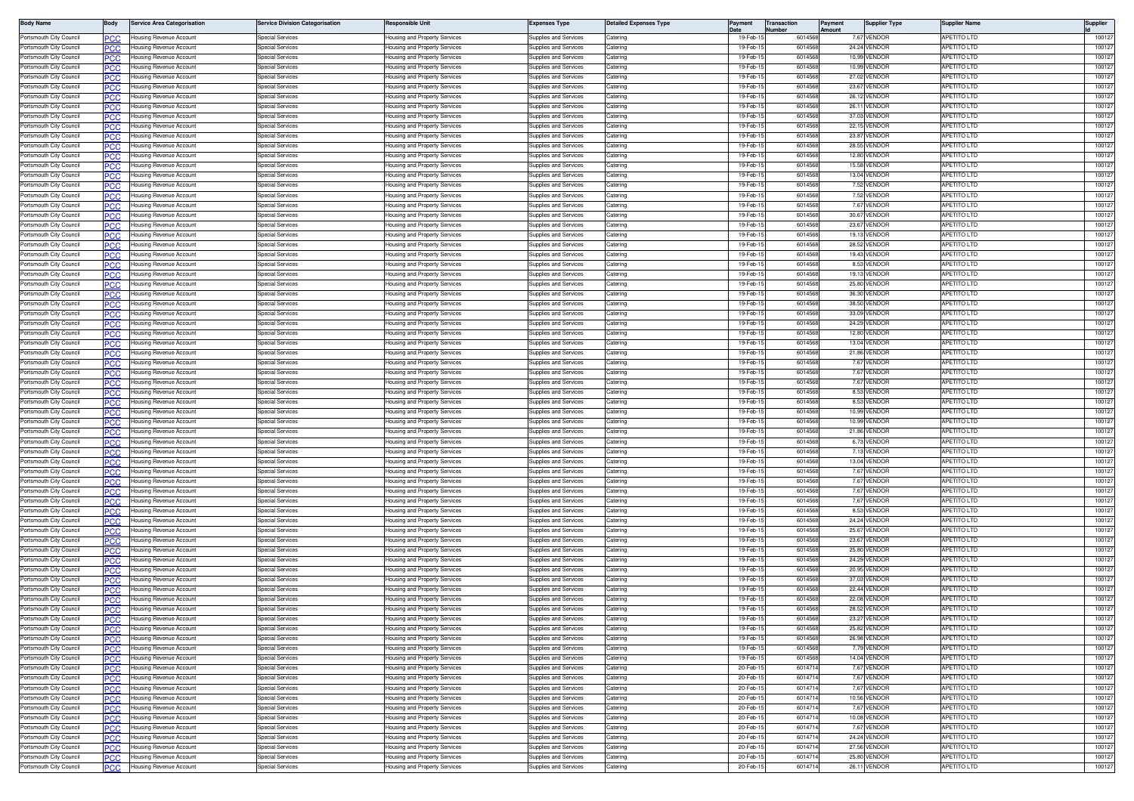| <b>Body Name</b>                                   | 3ody        | <b>Service Area Categorisation</b>                 | ervice Division Categorisation       | <b>Responsible Unit</b>                                        | Expenses Type                                  | <b>Jetailed Expenses Type</b> | Payment              | <b>Transaction</b> | 'ayment | Supplier Type                | Supplier Name                            | Supplier         |
|----------------------------------------------------|-------------|----------------------------------------------------|--------------------------------------|----------------------------------------------------------------|------------------------------------------------|-------------------------------|----------------------|--------------------|---------|------------------------------|------------------------------------------|------------------|
| Portsmouth City Council                            | .c          | Housing Revenue Account                            | pecial Services                      | lousing and Property Services                                  | Supplies and Services                          | Caterino                      | 19-Feb-              | 601456             |         | 7.67 VENDOR                  | <b>APETITO LTD</b>                       | 10012            |
| Portsmouth City Council                            | 'CC         | Housing Revenue Account                            | pecial Services                      | lousing and Property Services                                  | upplies and Services                           | atering                       | 19-Feb-              | 601456             |         | 24.24 VENDOR                 | <b>PETITO LTD</b>                        | 10012            |
| Portsmouth City Council                            | <b>CC</b>   | Housing Revenue Account                            | pecial Services                      | lousing and Property Services                                  | upplies and Services                           | atering                       | 19-Feb-1             | 601456             |         | 10.99 VENDOR                 | <b>APETITO LTD</b>                       | 10012            |
| Portsmouth City Council<br>Portsmouth City Council |             | lousing Revenue Account                            | pecial Services<br>Special Services  | lousing and Property Services                                  | upplies and Services<br>upplies and Services   | atering<br>atering            | 19-Feb<br>19-Feb-1   | 601456<br>601456   |         | 10.99 VENDOF                 | PETITO LTD<br><b>APETITO LTD</b>         | 10012<br>10012   |
| Portsmouth City Council                            | PCC         | Housing Revenue Account<br>Housing Revenue Account | Special Services                     | lousing and Property Services<br>lousing and Property Services | upplies and Services                           | atering                       | 19-Feb-              | 601456             |         | 27.02 VENDOF<br>23.67 VENDOF | <b>APETITO LTD</b>                       | 10012            |
| Portsmouth City Council                            | PCC         | Housing Revenue Account                            | Special Services                     | lousing and Property Services                                  | Supplies and Services                          | Catering                      | 19-Feb-1             | 601456             |         | 26.12 VENDOR                 | APETITO LTD                              | 10012            |
| Portsmouth City Council                            |             | Housing Revenue Account                            | Special Services                     | lousing and Property Services                                  | Supplies and Services                          | Caterino                      | 19-Feb-              | 601456             |         | 26.11 VENDOR                 | <b>APETITO LTD</b>                       | 10012            |
| Portsmouth City Council                            | °СС         | Housing Revenue Account                            | Special Services                     | lousing and Property Services                                  | upplies and Services                           | aterino                       | 19-Feb-              | 601456             |         | 37.03 VENDOR                 | APETITO LTD                              | 10012            |
| Portsmouth City Council                            | сc          | Housing Revenue Account                            | Special Services                     | lousing and Property Services                                  | upplies and Services                           | atering                       | 19-Feb-1             | 601456             |         | 22.15 VENDOF                 | <b>APETITO LTD</b>                       | 10012            |
| Portsmouth City Council                            | 'CC         | lousing Revenue Account                            | pecial Services                      | lousing and Property Services                                  | upplies and Services                           | atering                       | 19-Feb-1             | 601456             |         | 23.87 VENDOF                 | PETITO LTD                               | 10012            |
| Portsmouth City Council                            | PCC.        | Housing Revenue Account                            | pecial Services                      | lousing and Property Services                                  | upplies and Services                           | atering                       | 19-Feb-1             | 601456             |         | 28.55 VENDOR                 | <b>APETITO LTD</b>                       | 10012            |
| Portsmouth City Council<br>Portsmouth City Council | 'CC         | lousing Revenue Account<br>Housing Revenue Account | pecial Services<br>Special Services  | lousing and Property Services<br>lousing and Property Services | upplies and Services<br>upplies and Services   | atering<br>atering            | 19-Feb-<br>19-Feb-   | 601456<br>601456   |         | 12.80 VENDOF<br>15.58 VENDOF | PETITO LTD<br>APETITO LTD                | 10012<br>10012   |
| Portsmouth City Council                            | PCC<br>сc   | Housing Revenue Account                            | Special Services                     | lousing and Property Services                                  | Supplies and Services                          | atering                       | 19-Feb-1             | 601456             |         | 13.04 VENDOF                 | <b>APETITO LTD</b>                       | 10012            |
| Portsmouth City Council                            | PCC         | Housing Revenue Account                            | Special Services                     | <del>l</del> ousing and Property Services                      | Supplies and Services                          | Catering                      | 19-Feb-1             | 601456             |         | 7.52 VENDOR                  | <b>APETITO LTD</b>                       | 10012            |
| Portsmouth City Council                            |             | lousing Revenue Account                            | Special Services                     | lousing and Property Services                                  | Supplies and Services                          | aterino                       | 19-Feb-              | 601456             |         | 7.52 VENDOR                  | <b>APETITO LTD</b>                       | 10012            |
| Portsmouth City Council                            | CC          | lousing Revenue Account                            | Special Services                     | lousing and Property Services                                  | upplies and Services                           | atering                       | 19-Feb-              | 601456             |         | 7.67 VENDOR                  | PETITO LTD                               | 10012            |
| Portsmouth City Council                            | °СС         | Housing Revenue Account                            | Special Services                     | lousing and Property Services                                  | upplies and Services                           | Catering                      | 19-Feb-              | 601456             |         | 30.67 VENDOF                 | <b>APETITO LTD</b>                       | 10012            |
| Portsmouth City Council                            | CC          | lousing Revenue Account                            | pecial Services                      | lousing and Property Services                                  | upplies and Services                           | atering                       | 19-Feb-1             | 601456             |         | 23.67 VENDOF                 | <b>APETITO LTD</b>                       | 10012            |
| Portsmouth City Council<br>Portsmouth City Council | PСC         | Housing Revenue Account                            | pecial Services                      | lousing and Property Services                                  | upplies and Services                           | atering<br>atering            | 19-Feb-1<br>19-Feb-  | 601456<br>601456   |         | 19.13 VENDOR<br>28.52 VENDOF | <b>APETITO LTD</b><br><b>APETITO LTD</b> | 10012<br>10012   |
| Portsmouth City Council                            | ncr<br>PCC  | lousing Revenue Account<br>Housing Revenue Account | pecial Services<br>Special Services  | lousing and Property Services<br>lousing and Property Services | upplies and Services<br>Supplies and Services  | atering                       | 19-Feb-1             | 601456             |         | 19.43 VENDOR                 | APETITO LTD                              | 10012            |
| Portsmouth City Council                            |             | lousing Revenue Account                            | Special Services                     | lousing and Property Services                                  | upplies and Services                           | atering                       | 19-Feb-1             | 601456             |         | 8.53 VENDOR                  | <b>APETITO LTD</b>                       | 10012            |
| Portsmouth City Council                            | 'CC         | Housing Revenue Account                            | Special Services                     | lousing and Property Services                                  | Supplies and Services                          | Catering                      | 19-Feb-              | 601456             |         | 19.13 VENDOR                 | <b>APETITO LTD</b>                       | 100127           |
| Portsmouth City Council                            |             | lousing Revenue Account                            | Special Services                     | lousing and Property Services                                  | Supplies and Services                          | Caterino                      | 19-Feb-              | 601456             |         | 25.80 VENDOR                 | APETITO LTD                              | 10012            |
| Portsmouth City Council                            | 'CC         | lousing Revenue Account                            | Special Services                     | lousing and Property Services                                  | upplies and Services                           | Caterino                      | 19-Feb-1             | 601456             |         | 36.30 VENDOR                 | PETITO LTD                               | 100127           |
| Portsmouth City Council                            | PCC.        | Housing Revenue Account                            | pecial Services                      | lousing and Property Services                                  | upplies and Services                           | atering                       | 19-Feb-1             | 601456             |         | 38.50 VENDOF                 | <b>APETITO LTD</b>                       | 10012            |
| Portsmouth City Council                            | cс          | lousing Revenue Account                            | pecial Services                      | lousing and Property Services                                  | upplies and Services                           | atering                       | 19-Feb-              | 601456             |         | 33.09 VENDOF                 | <b>APETITO LTD</b>                       | 10012            |
| Portsmouth City Council<br>Portsmouth City Council | PCC.        | Housing Revenue Account                            | <b>Special Services</b>              | lousing and Property Services<br>lousing and Property Services | Supplies and Services                          | Catering<br>atering           | 19-Feb-1<br>19-Feb-  | 601456<br>601456   |         | 24.29 VENDOR<br>12.80 VENDOF | APETITO LTD<br>APETITO LTD               | 100127<br>10012  |
| Portsmouth City Council                            | ٢C٢<br>PC.C | Housing Revenue Account<br>Housing Revenue Account | Special Services<br>Special Services | lousing and Property Services                                  | Supplies and Services<br>Supplies and Services | atering                       | 19-Feb-              | 601456             |         | 13.04 VENDOR                 | <b>APETITO LTD</b>                       | 10012            |
| Portsmouth City Council                            |             | lousing Revenue Account                            | Special Services                     | lousing and Property Services                                  | Supplies and Services                          | atering                       | 19-Feb-1             | 601456             |         | 21.86 VENDOR                 | <b>APETITO LTD</b>                       | 100127           |
| Portsmouth City Council                            | PCC         | Housing Revenue Account                            | Special Services                     | lousing and Property Services                                  | Supplies and Services                          | Catering                      | 19-Feb-1             | 601456             |         | 7.67 VENDOR                  | <b>APETITO LTD</b>                       | 100127           |
| Portsmouth City Council                            | cс          | lousing Revenue Account                            | Special Services                     | lousing and Property Services                                  | upplies and Services                           | atering                       | 19-Feb-              | 601456             |         | 7.67 VENDOR                  | <b>APETITO LTD</b>                       | 100127           |
| Portsmouth City Council                            | 'CC         | lousing Revenue Account                            | Special Services                     | lousing and Property Services                                  | upplies and Services                           | aterino                       | 19-Feb-1             | 601456             |         | 7.67 VENDOR                  | <b>APETITO LTD</b>                       | 10012            |
| Portsmouth City Council                            | PCC.        | Housing Revenue Account                            | pecial Services                      | lousing and Property Services                                  | upplies and Services                           | atering                       | 19-Feb-1             | 601456             |         | 8.53 VENDOF                  | <b>APETITO LTD</b>                       | 10012            |
| Portsmouth City Council                            | cс          | Housing Revenue Account                            | pecial Services                      | lousing and Property Services                                  | upplies and Services                           | atering                       | 19-Feb-1             | 601456             |         | 8.53 VENDOF                  | PETITO LTD                               | 10012            |
| Portsmouth City Council<br>Portsmouth City Council | PCC         | Housing Revenue Account                            | pecial Services<br>pecial Services   | lousing and Property Services                                  | upplies and Services                           | atering<br>atering            | 19-Feb-<br>19-Feb-   | 601456<br>601456   |         | 10.99 VENDOR<br>10.99 VENDOR | <b>APETITO LTD</b><br><b>APETITO LTD</b> | 10012<br>10012   |
| Portsmouth City Council                            | PC.C        | Housing Revenue Account<br>Housing Revenue Account | Special Services                     | lousing and Property Services<br>lousing and Property Services | upplies and Services<br>Supplies and Services  | aterino                       | 19-Feb-              | 601456             |         | 21.86 VENDOR                 | <b>APETITO LTD</b>                       | 10012            |
| Portsmouth City Council                            | cс          | Housing Revenue Account                            | Special Services                     | lousing and Property Services                                  | Supplies and Services                          | Caterino                      | 19-Feb-1             | 601456             |         | 6.73 VENDOR                  | <b>APETITO LTD</b>                       | 100127           |
| Portsmouth City Council                            | сC          | lousing Revenue Account                            | pecial Services                      | lousing and Property Services                                  | upplies and Services                           | atering                       | 19-Feb-              | 601456             |         | 7.13 VENDOR                  | PETITO LTD                               | 100127           |
| Portsmouth City Council                            | .c          | Housing Revenue Account                            | pecial Services                      | lousing and Property Services                                  | upplies and Services                           | aterino                       | 19-Feb-              | 601456             |         | 13.04 VENDOF                 | <b>APETITO LTD</b>                       | 10012            |
| Portsmouth City Council                            | C.C         | lousing Revenue Account                            | pecial Services                      | lousing and Property Services                                  | upplies and Services                           | atering                       | 19-Feb               | 60145              |         | 7.67 VENDOF                  | PETITO LTD                               | 10012            |
| Portsmouth City Council                            | 'CC         | Housing Revenue Account                            | pecial Services                      | lousing and Property Services                                  | upplies and Services                           | atering                       | 19-Feb-1             | 601456             |         | 7.67 VENDOF                  | <b>APETITO LTD</b>                       | 10012            |
| Portsmouth City Council<br>Portsmouth City Council | C.C         | lousing Revenue Account                            | pecial Services<br>Special Services  | lousing and Property Services                                  | upplies and Services                           | atering                       | 19-Feb-<br>19-Feb-   | 601456<br>601456   |         | 7.67 VENDOF<br>7.67 VENDOR   | <b>APETITO LTD</b><br><b>APETITO LTD</b> | 10012<br>10012   |
| Portsmouth City Council                            | המפ         | Housing Revenue Account<br>Housing Revenue Account | Special Services                     | lousing and Property Services<br>lousing and Property Services | Supplies and Services<br>Supplies and Services | Catering<br>Catering          | 19-Feb-              | 601456             |         | 8.53 VENDOF                  | APETITO LTD                              | 10012            |
| Portsmouth City Council                            | .cr         | Housing Revenue Account                            | Special Services                     | lousing and Property Services                                  | upplies and Services                           | Catering                      | 19-Feb-              | 601456             |         | 24.24 VENDOR                 | <b>APETITO LTD</b>                       | 10012            |
| Portsmouth City Council                            |             | lousing Revenue Account                            | pecial Services                      | lousing and Property Services                                  | upplies and Services                           | aterino                       | 19-Feb-              | 601456             |         | 25.67 VENDOR                 | <b>APETITO LTD</b>                       | 100127           |
| Portsmouth City Council                            | 'CC         | lousing Revenue Account                            | pecial Services                      | lousing and Property Services                                  | upplies and Services                           | atering                       | 19-Feb-1             | 601456             |         | 23.67 VENDOR                 | <b>PETITO LTD</b>                        | 100127           |
| Portsmouth City Council                            | PCC.        | Housing Revenue Account                            | Special Services                     | lousing and Property Services                                  | upplies and Services                           | Caterino                      | 19-Feb-              | 601456             |         | 25.80 VENDOR                 | <b>APETITO LTD</b>                       | 10012            |
| Portsmouth City Council                            | C.C         | lousing Revenue Account                            | pecial Services                      | lousing and Property Services                                  | upplies and Services                           | atering                       | 19-Feb-              | 601456             |         | 24.29 VENDOF                 | PETITO LTD                               | 10012            |
| Portsmouth City Counci                             | PCC         | Housing Revenue Account                            | pecial Services                      | lousing and Property Services                                  | upplies and Services                           | atering                       | 19-Feb-              | 601456             |         | 20.95 VENDOR                 | <b>APETITO LTD</b>                       | 10012            |
| Portsmouth City Council<br>Portsmouth City Council | .cr         | Housing Revenue Account                            | Special Services<br>Special Services | lousing and Property Services                                  | Supplies and Services                          | atering                       | 19-Feb-<br>19-Feb-   | 601456<br>601456   |         | 37.03 VENDOR<br>22.44 VENDOR | <b>APETITO LTD</b><br><b>APETITO LTD</b> | 10012<br>10012   |
| Portsmouth City Council                            | PCC         | Housing Revenue Account<br>lousing Revenue Account | Special Services                     | lousing and Property Services<br>lousing and Property Services | Supplies and Services<br>upplies and Services  | Catering<br>aterino           | 19-Feb-              | 601456             |         | 22.08 VENDOR                 | <b>APETITO LTD</b>                       | 10012            |
| Portsmouth City Council                            | °СС         | Housing Revenue Account                            | Special Services                     | lousing and Property Services                                  | Supplies and Services                          | aterino                       | 19-Feb-              | 601456             |         | 28.52 VENDOF                 | <b>APETITO LTD</b>                       | 100127           |
| Portsmouth City Council                            |             | Housing Revenue Account                            | pecial Services                      | lousing and Property Services                                  | upplies and Services                           | atering                       | 19-Feb-1             | 601456             |         | 23.27 VENDOF                 | <b>APETITO LTD</b>                       | 100127           |
| Portsmouth City Council                            | PСC         | Housing Revenue Account                            | pecial Services                      | lousing and Property Services                                  | upplies and Services                           | Catering                      | 19-Feb-1             | 601456             |         | 25.82 VENDOR                 | APETITO LTD                              | 100127           |
| Portsmouth City Council                            | PCC         | Housing Revenue Account                            | pecial Services                      | lousing and Property Services                                  | upplies and Services                           | atering                       | 19-Feb-1             | 601456             |         | 26.98 VENDOR                 | <b>APETITO LTD</b>                       | 100127           |
| Portsmouth City Council                            | PСC         | lousing Revenue Account                            | pecial Services                      | lousing and Property Services                                  | upplies and Services                           | atering                       | 19-Feb-1             | 601456             |         | 7.79 VENDOR                  | <b>APETITO LTD</b>                       | 100127           |
| Portsmouth City Council                            | PCC         | Housing Revenue Account                            | Special Services                     | lousing and Property Services                                  | Supplies and Services                          | atering                       | 19-Feb-1             | 601456             |         | 14.04 VENDOR                 | APETITO LTD                              | 100127           |
| Portsmouth City Council<br>Portsmouth City Council | сc          | Housing Revenue Account<br>Housing Revenue Account | Special Services<br>Special Services | lousing and Property Services<br>lousing and Property Services | Supplies and Services<br>Supplies and Services | atering<br>Catering           | 20-Feb-1<br>20-Feb-1 | 601471<br>601471   |         | 7.67 VENDOR<br>7.67 VENDOR   | <b>APETITO LTD</b><br><b>APETITO LTD</b> | 100127<br>100127 |
| Portsmouth City Council                            | PСC         | Housing Revenue Account                            | Special Services                     | lousing and Property Services                                  | <b>Supplies and Services</b>                   | Catering                      | 20-Feb-1             | 601471             |         | 7.67 VENDOR                  | <b>APETITO LTD</b>                       | 100127           |
| Portsmouth City Council                            | PСC         | Housing Revenue Account                            | <b>Special Services</b>              | <b>Housing and Property Services</b>                           | <b>Supplies and Services</b>                   | Catering                      | 20-Feb-1             | 601471             |         | 10.56 VENDOR                 | APETITO LTD                              | 100127           |
| Portsmouth City Council                            | сc          | Housing Revenue Account                            | <b>Special Services</b>              | lousing and Property Services                                  | Supplies and Services                          | Catering                      | 20-Feb-1             | 601471             |         | 7.67 VENDOR                  | <b>APETITO LTD</b>                       | 100127           |
| Portsmouth City Council                            | сC          | Housing Revenue Account                            | pecial Services                      | lousing and Property Services                                  | upplies and Services                           | atering                       | 20-Feb-1             | 601471             |         | 10.08 VENDOR                 | APETITO LTD                              | 100127           |
| Portsmouth City Council                            | PCC.        | Housing Revenue Account                            | Special Services                     | lousing and Property Services                                  | Supplies and Services                          | atering                       | 20-Feb-              | 601471             |         | 7.67 VENDOR                  | <b>APETITO LTD</b>                       | 100127           |
| Portsmouth City Council                            | PCC         | Housing Revenue Account                            | <b>Special Services</b>              | lousing and Property Services                                  | Supplies and Services                          | Catering                      | 20-Feb-1             | 601471             |         | 24.24 VENDOR                 | APETITO LTD                              | 100127           |
| Portsmouth City Council                            | PCC         | Housing Revenue Account                            | Special Services                     | Housing and Property Services                                  | Supplies and Services                          | Catering                      | 20-Feb-              | 601471             |         | 27.56 VENDOR                 | APETITO LTD                              | 100127           |
| Portsmouth City Council                            | сc          | Housing Revenue Account                            | <b>Special Services</b>              | lousing and Property Services                                  | Supplies and Services                          | atering                       | 20-Feb-1             | 601471             |         | 25.80 VENDOR                 | APETITO LTD                              | 100127           |
| Portsmouth City Council                            | PCC         | Housing Revenue Account                            | <b>Special Services</b>              | Housing and Property Services                                  | Supplies and Services                          | Catering                      | 20-Feb-1             | 601471             |         | 26.11 VENDOR                 | APETITO LTD                              | 100127           |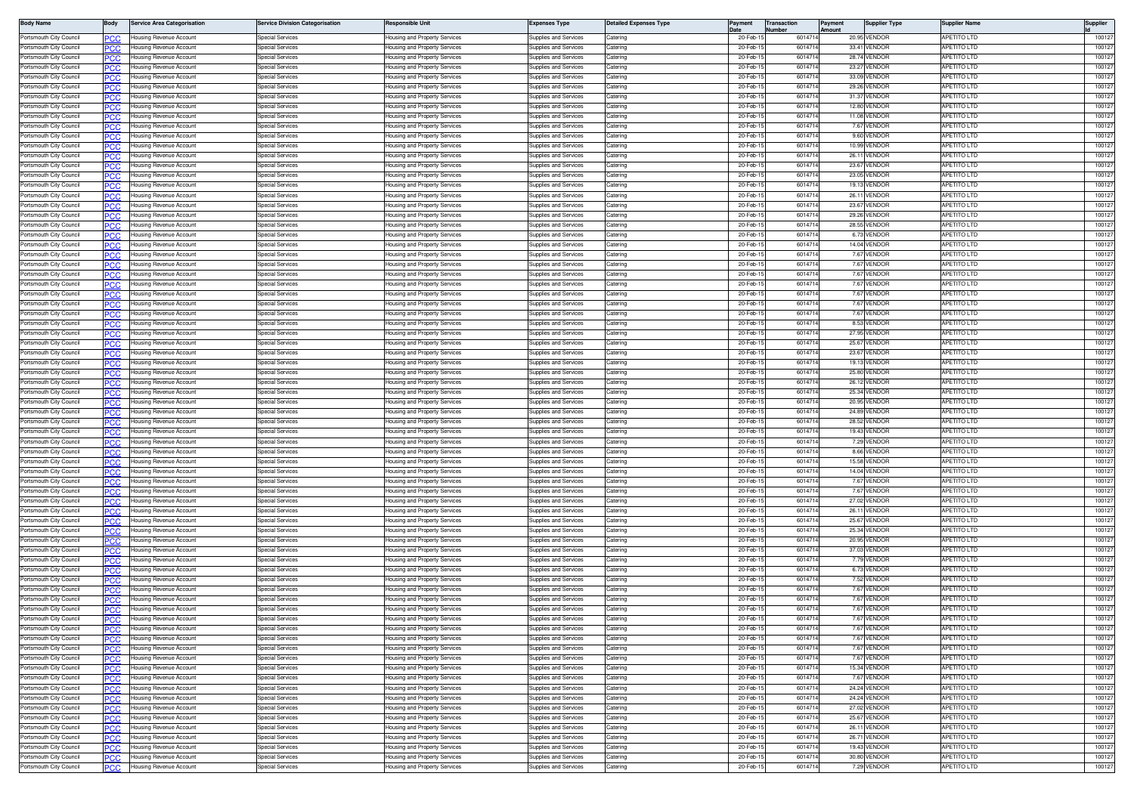| <b>Body Name</b>                                   | 3ody       | <b>Service Area Categorisation</b>                        | ervice Division Categorisation                     | Responsible Unit                                               | Expenses Type                                  | <b>Jetailed Expenses Type</b> | Payment              | <b>Transaction</b> | ayment | <b>Supplier Type</b>         | Supplier Name                            | Supplier         |
|----------------------------------------------------|------------|-----------------------------------------------------------|----------------------------------------------------|----------------------------------------------------------------|------------------------------------------------|-------------------------------|----------------------|--------------------|--------|------------------------------|------------------------------------------|------------------|
| Portsmouth City Council                            | .c         | Housing Revenue Account                                   | pecial Services                                    | lousing and Property Services                                  | Supplies and Services                          | Caterino                      | 20-Feb-              | 60147              |        | 20.95 VENDOR                 | <b>APETITO LTD</b>                       | 10012            |
| Portsmouth City Council                            | 'CC        | Housing Revenue Account                                   | pecial Services                                    | lousing and Property Services                                  | upplies and Services                           | atering                       | 20-Feb-              | 60147              |        | 33.41 VENDOR                 | <b>PETITO LTD</b>                        | 10012            |
| Portsmouth City Council                            | <b>CC</b>  | Housing Revenue Account                                   | pecial Services                                    | lousing and Property Services                                  | upplies and Services                           | atering                       | 20-Feb-              | 601471             |        | 28.74 VENDOR                 | <b>APETITO LTD</b>                       | 10012            |
| Portsmouth City Council                            |            | lousing Revenue Account                                   | pecial Services                                    | lousing and Property Services                                  | upplies and Services                           | atering                       | 20-Feb               | 60147              |        | 23.27 VENDOF                 | PETITO LTD                               | 10012            |
| Portsmouth City Council<br>Portsmouth City Council | PCC        | Housing Revenue Account<br>Housing Revenue Account        | Special Services<br>Special Services               | lousing and Property Services<br>lousing and Property Services | upplies and Services<br>upplies and Services   | atering<br>atering            | 20-Feb-<br>20-Feb-   | 601471<br>60147    |        | 33.09 VENDOF<br>29.26 VENDOF | <b>APETITO LTD</b><br><b>APETITO LTD</b> | 10012<br>10012   |
| Portsmouth City Council                            | PCC        | Housing Revenue Account                                   | Special Services                                   | lousing and Property Services                                  | Supplies and Services                          | Catering                      | 20-Feb-              | 601471             |        | 31.37 VENDOR                 | APETITO LTD                              | 10012            |
| Portsmouth City Council                            |            | Housing Revenue Account                                   | Special Services                                   | lousing and Property Services                                  | Supplies and Services                          | Caterino                      | 20-Feb-              | 601471             |        | 12.80 VENDOR                 | <b>APETITO LTD</b>                       | 10012            |
| Portsmouth City Council                            | °СС        | Housing Revenue Account                                   | <b>Special Services</b>                            | lousing and Property Services                                  | upplies and Services                           | aterino                       | 20-Feb-              | 601471             |        | 11.08 VENDOR                 | APETITO LTD                              | 10012            |
| Portsmouth City Council                            | сc         | Housing Revenue Account                                   | Special Services                                   | lousing and Property Services                                  | upplies and Services                           | atering                       | 20-Feb-              | 601471             |        | 7.67 VENDOF                  | <b>APETITO LTD</b>                       | 10012            |
| Portsmouth City Council                            | 'CC        | lousing Revenue Account                                   | pecial Services                                    | lousing and Property Services                                  | upplies and Services                           | atering                       | 20-Feb-              | 601471             |        | 9.60 VENDOR                  | PETITO LTD                               | 10012            |
| Portsmouth City Council                            | PCC.       | Housing Revenue Account                                   | pecial Services                                    | lousing and Property Services                                  | upplies and Services                           | atering                       | 20-Feb-1             | 601471             |        | 10.99 VENDOR                 | <b>APETITO LTD</b>                       | 10012            |
| Portsmouth City Council<br>Portsmouth City Council | 'CC        | lousing Revenue Account                                   | pecial Services<br>Special Services                | lousing and Property Services                                  | upplies and Services<br>upplies and Services   | atering<br>atering            | 20-Feb-<br>20-Feb-   | 60147<br>60147     |        | 26.11 VENDOF<br>23.67 VENDOF | PETITO LTD<br>APETITO LTD                | 10012<br>10012   |
| Portsmouth City Council                            | PCC<br>сc  | Housing Revenue Account<br>Housing Revenue Account        | Special Services                                   | lousing and Property Services<br>lousing and Property Services | Supplies and Services                          | atering                       | 20-Feb-              | 60147              |        | 23.05 VENDOR                 | <b>APETITO LTD</b>                       | 10012            |
| Portsmouth City Council                            | PCC        | Housing Revenue Account                                   | Special Services                                   | <del>l</del> ousing and Property Services                      | Supplies and Services                          | Catering                      | 20-Feb-              | 601471             |        | 19.13 VENDOR                 | <b>APETITO LTD</b>                       | 10012            |
| Portsmouth City Council                            |            | lousing Revenue Account                                   | Special Services                                   | lousing and Property Services                                  | Supplies and Services                          | aterino                       | 20-Feb-              | 60147              |        | 26.11 VENDOR                 | <b>APETITO LTD</b>                       | 10012            |
| Portsmouth City Council                            | CC         | lousing Revenue Account                                   | Special Services                                   | lousing and Property Services                                  | upplies and Services                           | atering                       | 20-Feb-              | 601471             |        | 23.67 VENDOR                 | PETITO LTD                               | 10012            |
| Portsmouth City Council                            | °СС        | Housing Revenue Account                                   | Special Services                                   | lousing and Property Services                                  | upplies and Services                           | Catering                      | 20-Feb-              | 601471             |        | 29.26 VENDOR                 | <b>APETITO LTD</b>                       | 10012            |
| Portsmouth City Council                            | CC         | lousing Revenue Account                                   | pecial Services                                    | lousing and Property Services                                  | upplies and Services                           | atering                       | 20-Feb-              | 601471             |        | 28.55 VENDOR                 | <b>APETITO LTD</b>                       | 10012            |
| Portsmouth City Council                            | PСC        | Housing Revenue Account                                   | pecial Services                                    | lousing and Property Services                                  | upplies and Services                           | atering                       | 20-Feb-              | 601471             |        | 6.73 VENDOR                  | <b>APETITO LTD</b>                       | 10012            |
| Portsmouth City Council                            | ncr        | lousing Revenue Account                                   | pecial Services                                    | lousing and Property Services                                  | upplies and Services                           | atering                       | 20-Feb-              | 60147              |        | 14.04 VENDOF                 | <b>APETITO LTD</b>                       | 10012            |
| Portsmouth City Council<br>Portsmouth City Council | PCC        | Housing Revenue Account<br>lousing Revenue Account        | Special Services<br>Special Services               | lousing and Property Services<br>lousing and Property Services | Supplies and Services<br>upplies and Services  | atering<br>atering            | 20-Feb-<br>20-Feb-1  | 601471<br>601471   |        | 7.67 VENDOR<br>7.67 VENDOR   | APETITO LTD<br><b>APETITO LTD</b>        | 10012<br>10012   |
| Portsmouth City Council                            | 'CC        | Housing Revenue Account                                   | <b>Special Services</b>                            | lousing and Property Services                                  | Supplies and Services                          | Catering                      | 20-Feb-              | 601471             |        | 7.67 VENDOR                  | <b>APETITO LTD</b>                       | 100127           |
| Portsmouth City Council                            |            | lousing Revenue Account                                   | Special Services                                   | lousing and Property Services                                  | Supplies and Services                          | Caterino                      | 20-Feb-              | 601471             |        | 7.67 VENDOR                  | APETITO LTD                              | 100127           |
| Portsmouth City Council                            | 'CC        | lousing Revenue Account                                   | Special Services                                   | lousing and Property Services                                  | upplies and Services                           | Caterino                      | 20-Feb-              | 601471             |        | 7.67 VENDOR                  | PETITO LTD                               | 100127           |
| Portsmouth City Council                            | PCC.       | Housing Revenue Account                                   | pecial Services                                    | lousing and Property Services                                  | upplies and Services                           | atering                       | 20-Feb-              | 601471             |        | 7.67 VENDOF                  | <b>APETITO LTD</b>                       | 10012            |
| Portsmouth City Council                            | cс         | lousing Revenue Account                                   | pecial Services                                    | lousing and Property Services                                  | upplies and Services                           | atering                       | 20-Feb-              | 601471             |        | 7.67 VENDOF                  | <b>APETITO LTD</b>                       | 10012            |
| Portsmouth City Council                            | PCC.       | Housing Revenue Account                                   | <b>Special Services</b>                            | lousing and Property Services                                  | Supplies and Services                          | Catering                      | 20-Feb-1             | 601471             |        | 8.53 VENDOR                  | APETITO LTD                              | 100127           |
| Portsmouth City Council                            | ٢C٢        | Housing Revenue Account                                   | Special Services                                   | lousing and Property Services                                  | Supplies and Services                          | atering                       | 20-Feb-              | 60147              |        | 27.95 VENDOR                 | APETITO LTD                              | 10012            |
| Portsmouth City Council                            | PC.C       | Housing Revenue Account                                   | Special Services                                   | lousing and Property Services                                  | Supplies and Services                          | atering                       | 20-Feb-              | 601471             |        | 25.67 VENDOR                 | <b>APETITO LTD</b>                       | 10012            |
| Portsmouth City Council                            |            | Housing Revenue Account                                   | Special Services                                   | lousing and Property Services                                  | Supplies and Services                          | atering                       | 20-Feb-1             | 601471             |        | 23.67 VENDOR                 | <b>APETITO LTD</b>                       | 100127           |
| Portsmouth City Council                            | PCC        | Housing Revenue Account                                   | <b>Special Services</b>                            | lousing and Property Services                                  | Supplies and Services                          | Catering                      | 20-Feb-              | 601471             |        | 19.13 VENDOR                 | <b>APETITO LTD</b>                       | 100127           |
| Portsmouth City Council                            | cс         | lousing Revenue Account                                   | Special Services                                   | lousing and Property Services                                  | upplies and Services                           | atering                       | 20-Feb-              | 60147              |        | 25.80 VENDOR                 | <b>APETITO LTD</b>                       | 100127           |
| Portsmouth City Council                            | 'CC        | lousing Revenue Account                                   | Special Services                                   | lousing and Property Services                                  | upplies and Services                           | atering                       | 20-Feb-              | 601471             |        | 26.12 VENDOR                 | <b>APETITO LTD</b>                       | 10012            |
| Portsmouth City Council<br>Portsmouth City Council | PCC.       | Housing Revenue Account                                   | pecial Services<br>pecial Services                 | lousing and Property Services                                  | upplies and Services<br>upplies and Services   | atering<br>atering            | 20-Feb-<br>20-Feb-   | 601471<br>601471   |        | 25.34 VENDOF<br>20.95 VENDOF | <b>APETITO LTD</b><br>PETITO LTD         | 10012<br>10012   |
| Portsmouth City Council                            | cс<br>PCC  | Housing Revenue Account<br>Housing Revenue Account        | pecial Services                                    | lousing and Property Services<br>lousing and Property Services | upplies and Services                           | atering                       | 20-Feb-              | 60147              |        | 24.89 VENDOR                 | <b>APETITO LTD</b>                       | 10012            |
| Portsmouth City Council                            |            | Housing Revenue Account                                   | pecial Services                                    | lousing and Property Services                                  | upplies and Services                           | atering                       | 20-Feb-              | 60147              |        | 28.52 VENDOR                 | <b>APETITO LTD</b>                       | 10012            |
| Portsmouth City Council                            | PC.C       | Housing Revenue Account                                   | Special Services                                   | lousing and Property Services                                  | Supplies and Services                          | aterino                       | 20-Feb-              | 601471             |        | 19.43 VENDOR                 | <b>APETITO LTD</b>                       | 10012            |
| Portsmouth City Council                            | cс         | Housing Revenue Account                                   | Special Services                                   | lousing and Property Services                                  | Supplies and Services                          | Caterino                      | 20-Feb-              | 601471             |        | 7.29 VENDOR                  | <b>APETITO LTD</b>                       | 100127           |
| Portsmouth City Council                            | сC         | lousing Revenue Account                                   | pecial Services                                    | lousing and Property Services                                  | upplies and Services                           | atering                       | 20-Feb-              | 60147              |        | 8.66 VENDOR                  | PETITO LTD                               | 100127           |
| Portsmouth City Council                            | .c         | Housing Revenue Account                                   | pecial Services                                    | lousing and Property Services                                  | upplies and Services                           | aterino                       | 20-Feb-              | 60147              |        | 15.58 VENDOF                 | <b>APETITO LTD</b>                       | 10012            |
| Portsmouth City Council                            | C.C        | lousing Revenue Account                                   | pecial Services                                    | lousing and Property Services                                  | upplies and Services                           | atering                       | 20-Feb               | 60147              |        | 14.04 VENDOF                 | PETITO LTD                               | 10012            |
| Portsmouth City Council                            | 'CC        | Housing Revenue Account                                   | pecial Services                                    | lousing and Property Services                                  | upplies and Services                           | atering                       | 20-Feb-              | 601471             |        | 7.67 VENDOF                  | <b>APETITO LTD</b>                       | 10012            |
| Portsmouth City Council                            | C.C        | lousing Revenue Account                                   | pecial Services                                    | lousing and Property Services                                  | upplies and Services                           | atering                       | 20-Feb-              | 601471             |        | 7.67 VENDOF                  | <b>APETITO LTD</b>                       | 10012            |
| Portsmouth City Council                            | המפ        | Housing Revenue Account                                   | Special Services                                   | lousing and Property Services                                  | Supplies and Services                          | Catering                      | 20-Feb-              | 601471             |        | 27.02 VENDOR                 | <b>APETITO LTD</b>                       | 10012            |
| Portsmouth City Council<br>Portsmouth City Council |            | Housing Revenue Account<br>Housing Revenue Account        | Special Services<br>Special Services               | lousing and Property Services<br>lousing and Property Services | Supplies and Services<br>upplies and Services  | Catering<br>Catering          | 20-Feb-<br>20-Feb-   | 60147<br>601471    |        | 26.11 VENDOF<br>25.67 VENDOR | APETITO LTD<br><b>APETITO LTD</b>        | 10012<br>10012   |
| Portsmouth City Council                            | .cr        | lousing Revenue Account                                   | pecial Services                                    | lousing and Property Services                                  | upplies and Services                           | aterino                       | 20-Feb-              | 601471             |        | 25.34 VENDOR                 | <b>APETITO LTD</b>                       | 100127           |
| Portsmouth City Council                            | 'CC        | lousing Revenue Account                                   | pecial Services                                    | lousing and Property Services                                  | upplies and Services                           | atering                       | 20-Feb-              | 60147              |        | 20.95 VENDOR                 | <b>PETITO LTD</b>                        | 100127           |
| Portsmouth City Council                            | PCC.       | <b>Housing Revenue Account</b>                            | Special Services                                   | lousing and Property Services                                  | upplies and Services                           | Caterino                      | 20-Feb-              | 60147              |        | 37.03 VENDOR                 | <b>APETITO LTD</b>                       | 10012            |
| Portsmouth City Council                            | C.C        | lousing Revenue Account                                   | pecial Services                                    | lousing and Property Services                                  | upplies and Services                           | atering                       | 20-Feb-              | 60147              |        | 7.79 VENDOF                  | <b>APETITO LTD</b>                       | 10012            |
| Portsmouth City Counci                             | PCC        | Housing Revenue Account                                   | pecial Services                                    | lousing and Property Services                                  | upplies and Services                           | atering                       | 20-Feb-              | 601471             |        | 6.73 VENDOR                  | <b>APETITO LTD</b>                       | 10012            |
| Portsmouth City Council                            | .cr        | Housing Revenue Account                                   | Special Services                                   | lousing and Property Services                                  | Supplies and Services                          | atering                       | 20-Feb-              | 60147              |        | 7.52 VENDOF                  | <b>APETITO LTD</b>                       | 10012            |
| Portsmouth City Council                            | PCC        | Housing Revenue Account                                   | Special Services                                   | lousing and Property Services                                  | Supplies and Services                          | Catering                      | 20-Feb-              | 60147              |        | 7.67 VENDOR                  | <b>APETITO LTD</b>                       | 10012            |
| Portsmouth City Council                            |            | lousing Revenue Account                                   | Special Services                                   | lousing and Property Services                                  | upplies and Services                           | aterino                       | 20-Feb-              | 60147              |        | 7.67 VENDOR                  | <b>APETITO LTD</b>                       | 10012            |
| Portsmouth City Council                            | PСC        | Housing Revenue Account                                   | Special Services                                   | lousing and Property Services                                  | Supplies and Services                          | aterino                       | 20-Feb-              | 601471             |        | 7.67 VENDOF                  | <b>APETITO LTD</b>                       | 100127           |
| Portsmouth City Council                            | cс         | Housing Revenue Account                                   | pecial Services                                    | lousing and Property Services                                  | upplies and Services                           | atering                       | 20-Feb-              | 601471             |        | 7.67 VENDOF                  | <b>APETITO LTD</b>                       | 100127           |
| Portsmouth City Council<br>Portsmouth City Council | PСC        | Housing Revenue Account<br><b>Housing Revenue Account</b> | pecial Services<br>pecial Services                 | lousing and Property Services<br>lousing and Property Services | upplies and Services<br>upplies and Services   | Catering<br>atering           | 20-Feb-1<br>20-Feb-1 | 601471<br>601471   |        | 7.67 VENDOR<br>7.67 VENDOR   | APETITO LTD<br><b>APETITO LTD</b>        | 100127<br>100127 |
| Portsmouth City Council                            | PCC<br>PСC | lousing Revenue Account                                   | pecial Services                                    | lousing and Property Services                                  | upplies and Services                           | atering                       | 20-Feb-1             | 601471             |        | 7.67 VENDOR                  | <b>APETITO LTD</b>                       | 100127           |
| Portsmouth City Council                            | PCC        | Housing Revenue Account                                   | Special Services                                   | lousing and Property Services                                  | Supplies and Services                          | atering                       | 20-Feb-              | 601471             |        | 7.67 VENDOR                  | APETITO LTD                              | 100127           |
| Portsmouth City Council                            | сc         | Housing Revenue Account                                   | Special Services                                   | lousing and Property Services                                  | Supplies and Services                          | atering                       | 20-Feb-1             | 601471             |        | 15.34 VENDOR                 | <b>APETITO LTD</b>                       | 100127           |
| Portsmouth City Council                            | PСC        | Housing Revenue Account                                   | Special Services                                   | lousing and Property Services                                  | Supplies and Services                          | Catering                      | 20-Feb-1             | 601471             |        | 7.67 VENDOR                  | <b>APETITO LTD</b>                       | 100127           |
| Portsmouth City Council                            |            | Housing Revenue Account                                   | Special Services                                   | lousing and Property Services                                  | Supplies and Services                          | Catering                      | 20-Feb-1             | 601471             |        | 24.24 VENDOR                 | <b>APETITO LTD</b>                       | 100127           |
| Portsmouth City Council                            | PСC        | Housing Revenue Account                                   | <b>Special Services</b>                            | <b>Housing and Property Services</b>                           | <b>Supplies and Services</b>                   | Catering                      | 20-Feb-1             | 601471             |        | 24.24 VENDOR                 | APETITO LTD                              | 100127           |
| Portsmouth City Council                            | сc         | Housing Revenue Account                                   | <b>Special Services</b>                            | lousing and Property Services                                  | Supplies and Services                          | Catering                      | 20-Feb-1             | 601471             |        | 27.02 VENDOR                 | <b>APETITO LTD</b>                       | 100127           |
| Portsmouth City Council                            | сC         | Housing Revenue Account                                   | pecial Services                                    | lousing and Property Services                                  | upplies and Services                           | atering                       | 20-Feb-1             | 601471             |        | 25.67 VENDOR                 | APETITO LTD                              | 100127           |
| Portsmouth City Council                            | PCC.       | Housing Revenue Account                                   | Special Services                                   | lousing and Property Services                                  | Supplies and Services                          | atering                       | 20-Feb-              | 601471             |        | 26.11 VENDOR                 | <b>APETITO LTD</b>                       | 100127           |
| Portsmouth City Council                            | PCC        | Housing Revenue Account                                   | <b>Special Services</b>                            | lousing and Property Services                                  | Supplies and Services                          | Catering                      | 20-Feb-1             | 601471             |        | 26.71 VENDOR                 | APETITO LTD                              | 100127           |
| Portsmouth City Council                            | PCC        | Housing Revenue Account                                   | Special Services                                   | Housing and Property Services                                  | Supplies and Services                          | Catering                      | 20-Feb-              | 601471             |        | 19.43 VENDOR                 | APETITO LTD                              | 100127           |
| Portsmouth City Council<br>Portsmouth City Council | сc         | Housing Revenue Account                                   | <b>Special Services</b><br><b>Special Services</b> | lousing and Property Services                                  | Supplies and Services<br>Supplies and Services | atering                       | 20-Feb-1<br>20-Feb-1 | 601471<br>601471   |        | 30.80 VENDOR<br>7.29 VENDOR  | APETITO LTD<br>APETITO LTD               | 100127<br>100127 |
|                                                    | PCC        | Housing Revenue Account                                   |                                                    | Housing and Property Services                                  |                                                | Catering                      |                      |                    |        |                              |                                          |                  |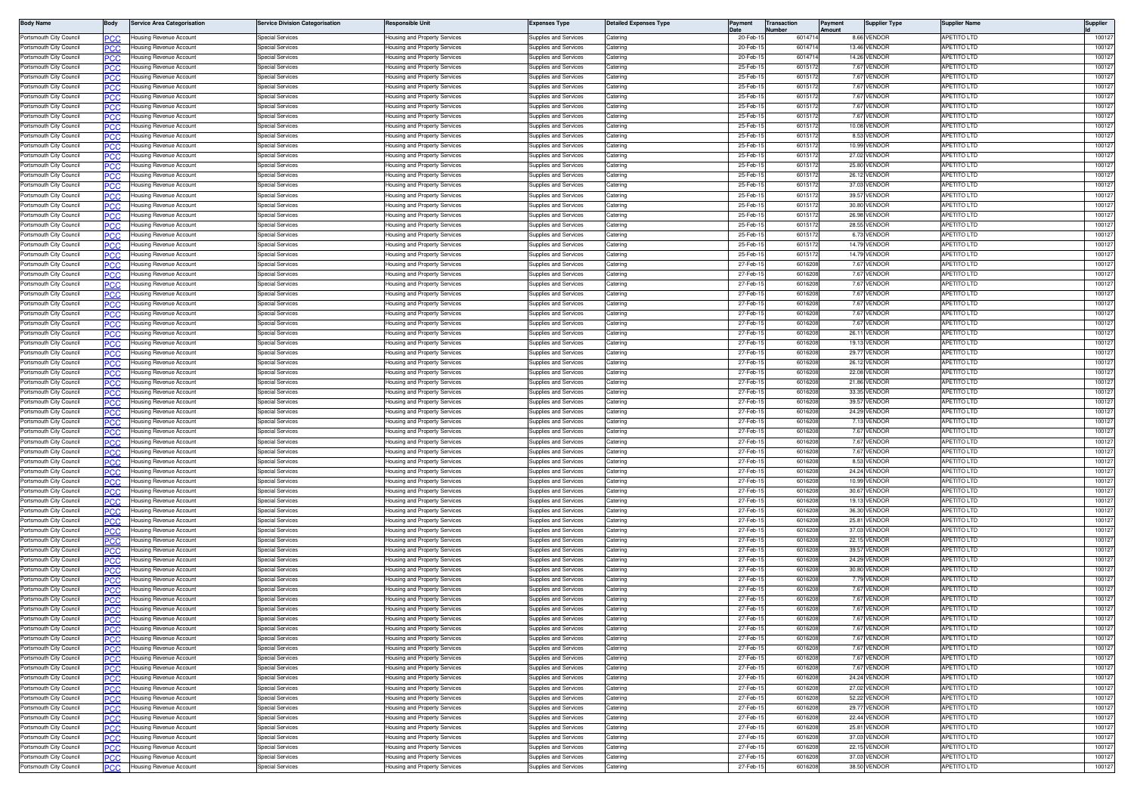| <b>Body Name</b>                                   | 3ody        | <b>Service Area Categorisation</b>                 | ervice Division Categorisation                     | Responsible Unit                                               | Expenses Type                                  | <b>Jetailed Expenses Type</b> | Payment              | <b>Transaction</b> | ayment | <b>Supplier Type</b>         | Supplier Name                            | Supplier         |
|----------------------------------------------------|-------------|----------------------------------------------------|----------------------------------------------------|----------------------------------------------------------------|------------------------------------------------|-------------------------------|----------------------|--------------------|--------|------------------------------|------------------------------------------|------------------|
| Portsmouth City Council                            | .c          | Housing Revenue Account                            | pecial Services                                    | lousing and Property Services                                  | Supplies and Services                          | Caterino                      | 20-Feb-              | 60147              |        | 8.66 VENDOR                  | <b>APETITO LTD</b>                       | 10012            |
| Portsmouth City Council                            | 'CC         | Housing Revenue Account                            | pecial Services                                    | lousing and Property Services                                  | upplies and Services                           | atering                       | 20-Feb-              | 60147              |        | 13.46 VENDOR                 | <b>PETITO LTD</b>                        | 10012            |
| Portsmouth City Council                            | <b>CC</b>   | Housing Revenue Account                            | pecial Services                                    | lousing and Property Services                                  | upplies and Services                           | atering                       | 20-Feb-              | 601471             |        | 14.26 VENDOR                 | <b>APETITO LTD</b>                       | 10012            |
| Portsmouth City Council<br>Portsmouth City Council |             | lousing Revenue Account                            | pecial Services<br>Special Services                | lousing and Property Services                                  | upplies and Services<br>upplies and Services   | atering<br>atering            | 25-Feb<br>25-Feb-    | 60151<br>601517    |        | 7.67 VENDOF                  | PETITO LTD<br><b>APETITO LTD</b>         | 10012<br>10012   |
| Portsmouth City Council                            | PCC         | Housing Revenue Account<br>Housing Revenue Account | Special Services                                   | lousing and Property Services<br>lousing and Property Services | upplies and Services                           | atering                       | 25-Feb-              | 601517             |        | 7.67 VENDOF<br>7.67 VENDOF   | <b>APETITO LTD</b>                       | 10012            |
| Portsmouth City Council                            | PCC         | Housing Revenue Account                            | Special Services                                   | lousing and Property Services                                  | Supplies and Services                          | Catering                      | 25-Feb-              | 601517             |        | 7.67 VENDOR                  | APETITO LTD                              | 10012            |
| Portsmouth City Council                            |             | Housing Revenue Account                            | Special Services                                   | lousing and Property Services                                  | Supplies and Services                          | Caterino                      | 25-Feb-              | 60151              |        | 7.67 VENDOR                  | <b>APETITO LTD</b>                       | 10012            |
| Portsmouth City Council                            | °СС         | Housing Revenue Account                            | Special Services                                   | lousing and Property Services                                  | upplies and Services                           | aterino                       | 25-Feb-              | 601517             |        | 7.67 VENDOR                  | APETITO LTD                              | 10012            |
| Portsmouth City Council                            | сc          | Housing Revenue Account                            | Special Services                                   | lousing and Property Services                                  | upplies and Services                           | atering                       | 25-Feb-              | 601517             |        | 10.08 VENDOF                 | <b>APETITO LTD</b>                       | 10012            |
| Portsmouth City Council                            | 'CC         | lousing Revenue Account                            | pecial Services                                    | lousing and Property Services                                  | upplies and Services                           | atering                       | 25-Feb-1             | 601517             |        | 8.53 VENDOR                  | PETITO LTD                               | 10012            |
| Portsmouth City Council                            | PCC.        | Housing Revenue Account                            | pecial Services                                    | lousing and Property Services                                  | upplies and Services                           | atering                       | 25-Feb-              | 601517             |        | 10.99 VENDOR                 | <b>APETITO LTD</b>                       | 10012            |
| Portsmouth City Council<br>Portsmouth City Council | 'CC         | lousing Revenue Account<br>Housing Revenue Account | pecial Services<br>Special Services                | lousing and Property Services<br>lousing and Property Services | upplies and Services<br>upplies and Services   | atering<br>atering            | 25-Feb-<br>25-Feb-   | 60151<br>60151     |        | 27.02 VENDOF<br>25.80 VENDOF | PETITO LTD<br>APETITO LTD                | 10012<br>10012   |
| Portsmouth City Council                            | PCC<br>сc   | Housing Revenue Account                            | Special Services                                   | lousing and Property Services                                  | Supplies and Services                          | atering                       | 25-Feb-              | 601517             |        | 26.12 VENDOR                 | <b>APETITO LTD</b>                       | 10012            |
| Portsmouth City Council                            | PCC         | Housing Revenue Account                            | Special Services                                   | <del>l</del> ousing and Property Services                      | Supplies and Services                          | Catering                      | 25-Feb-              | 60151              |        | 37.03 VENDOR                 | <b>APETITO LTD</b>                       | 10012            |
| Portsmouth City Council                            |             | lousing Revenue Account                            | Special Services                                   | lousing and Property Services                                  | Supplies and Services                          | aterino                       | 25-Feb-              | 60151              |        | 39.57 VENDOR                 | <b>APETITO LTD</b>                       | 10012            |
| Portsmouth City Council                            | CC          | lousing Revenue Account                            | Special Services                                   | lousing and Property Services                                  | upplies and Services                           | atering                       | 25-Feb-              | 601517             |        | 30.80 VENDOR                 | PETITO LTD                               | 10012            |
| Portsmouth City Council                            | °СС         | Housing Revenue Account                            | Special Services                                   | lousing and Property Services                                  | upplies and Services                           | Catering                      | 25-Feb-              | 601517             |        | 26.98 VENDOF                 | <b>APETITO LTD</b>                       | 10012            |
| Portsmouth City Council                            | CC          | lousing Revenue Account                            | pecial Services                                    | lousing and Property Services                                  | upplies and Services                           | atering                       | 25-Feb-              | 601517             |        | 28.55 VENDOR                 | <b>APETITO LTD</b>                       | 10012            |
| Portsmouth City Council<br>Portsmouth City Council | PСC         | Housing Revenue Account                            | pecial Services                                    | lousing and Property Services                                  | upplies and Services                           | atering<br>atering            | 25-Feb-<br>25-Feb-   | 601517<br>60151    |        | 6.73 VENDOR<br>14.79 VENDOF  | <b>APETITO LTD</b><br><b>APETITO LTD</b> | 10012<br>10012   |
| Portsmouth City Council                            | ncr<br>PCC  | lousing Revenue Account<br>Housing Revenue Account | pecial Services<br>Special Services                | lousing and Property Services<br>lousing and Property Services | upplies and Services<br>Supplies and Services  | atering                       | 25-Feb-              | 60151              |        | 14.79 VENDOR                 | APETITO LTD                              | 10012            |
| Portsmouth City Council                            |             | lousing Revenue Account                            | Special Services                                   | lousing and Property Services                                  | upplies and Services                           | atering                       | 27-Feb-1             | 601620             |        | 7.67 VENDOR                  | <b>APETITO LTD</b>                       | 10012            |
| Portsmouth City Council                            | 'CC         | Housing Revenue Account                            | Special Services                                   | lousing and Property Services                                  | Supplies and Services                          | Catering                      | 27-Feb-              | 601620             |        | 7.67 VENDOR                  | <b>APETITO LTD</b>                       | 100127           |
| Portsmouth City Council                            |             | lousing Revenue Account                            | Special Services                                   | lousing and Property Services                                  | Supplies and Services                          | Caterino                      | 27-Feb-              | 601620             |        | 7.67 VENDOR                  | APETITO LTD                              | 10012            |
| Portsmouth City Council                            | 'CC         | lousing Revenue Account                            | Special Services                                   | lousing and Property Services                                  | upplies and Services                           | Caterino                      | 27-Feb-              | 601620             |        | 7.67 VENDOR                  | PETITO LTD                               | 100127           |
| Portsmouth City Council                            | PCC.        | Housing Revenue Account                            | pecial Services                                    | lousing and Property Services                                  | upplies and Services                           | atering                       | 27-Feb-1             | 601620             |        | 7.67 VENDOF                  | <b>APETITO LTD</b>                       | 10012            |
| Portsmouth City Council                            | cс          | lousing Revenue Account                            | pecial Services                                    | lousing and Property Services                                  | upplies and Services                           | atering                       | 27-Feb-              | 601620             |        | 7.67 VENDOF                  | <b>APETITO LTD</b>                       | 10012            |
| Portsmouth City Council<br>Portsmouth City Council | PCC.        | Housing Revenue Account                            | <b>Special Services</b>                            | lousing and Property Services                                  | Supplies and Services                          | Catering<br>atering           | 27-Feb-1<br>27-Feb-  | 601620<br>60162    |        | 7.67 VENDOR<br>26.11 VENDOR  | APETITO LTD<br>APETITO LTD               | 100127<br>10012  |
| Portsmouth City Council                            | ٢C٢<br>PC.C | Housing Revenue Account<br>Housing Revenue Account | Special Services<br>Special Services               | lousing and Property Services<br>lousing and Property Services | Supplies and Services<br>Supplies and Services | atering                       | 27-Feb-              | 601620             |        | 19.13 VENDOR                 | <b>APETITO LTD</b>                       | 10012            |
| Portsmouth City Council                            |             | Housing Revenue Account                            | Special Services                                   | lousing and Property Services                                  | Supplies and Services                          | atering                       | 27-Feb-1             | 601620             |        | 29.77 VENDOR                 | <b>APETITO LTD</b>                       | 100127           |
| Portsmouth City Council                            | PCC         | Housing Revenue Account                            | Special Services                                   | lousing and Property Services                                  | Supplies and Services                          | Catering                      | 27-Feb-              | 601620             |        | 26.12 VENDOR                 | <b>APETITO LTD</b>                       | 100127           |
| Portsmouth City Council                            | cс          | lousing Revenue Account                            | Special Services                                   | lousing and Property Services                                  | upplies and Services                           | atering                       | 27-Feb-              | 601620             |        | 22.08 VENDOR                 | <b>APETITO LTD</b>                       | 100127           |
| Portsmouth City Council                            | 'CC         | lousing Revenue Account                            | Special Services                                   | lousing and Property Services                                  | upplies and Services                           | aterino                       | 27-Feb-1             | 601620             |        | 21.86 VENDOR                 | <b>APETITO LTD</b>                       | 10012            |
| Portsmouth City Council                            | PCC.        | Housing Revenue Account                            | pecial Services                                    | lousing and Property Services                                  | upplies and Services                           | atering                       | 27-Feb-1             | 601620             |        | 33.35 VENDOF                 | <b>APETITO LTD</b>                       | 10012            |
| Portsmouth City Council                            | cс          | Housing Revenue Account                            | pecial Services                                    | lousing and Property Services                                  | upplies and Services                           | atering                       | 27-Feb-              | 601620             |        | 39.57 VENDOF                 | PETITO LTD                               | 10012            |
| Portsmouth City Council<br>Portsmouth City Council | PCC         | Housing Revenue Account                            | pecial Services<br>pecial Services                 | lousing and Property Services                                  | upplies and Services                           | atering<br>atering            | 27-Feb-<br>27-Feb-   | 601620<br>601620   |        | 24.29 VENDOR<br>7.13 VENDOR  | <b>APETITO LTD</b><br><b>APETITO LTD</b> | 10012<br>10012   |
| Portsmouth City Council                            | PC.C        | Housing Revenue Account<br>Housing Revenue Account | Special Services                                   | lousing and Property Services<br>lousing and Property Services | upplies and Services<br>Supplies and Services  | aterino                       | 27-Feb-              | 601620             |        | 7.67 VENDOR                  | <b>APETITO LTD</b>                       | 10012            |
| Portsmouth City Council                            | cс          | Housing Revenue Account                            | Special Services                                   | lousing and Property Services                                  | Supplies and Services                          | Caterino                      | 27-Feb-1             | 601620             |        | 7.67 VENDOR                  | <b>APETITO LTD</b>                       | 100127           |
| Portsmouth City Council                            | сC          | lousing Revenue Account                            | pecial Services                                    | lousing and Property Services                                  | upplies and Services                           | atering                       | 27-Feb-              | 601620             |        | 7.67 VENDOR                  | PETITO LTD                               | 100127           |
| Portsmouth City Council                            | .c          | Housing Revenue Account                            | pecial Services                                    | lousing and Property Services                                  | upplies and Services                           | aterino                       | 27-Feb-              | 601620             |        | 8.53 VENDOF                  | <b>APETITO LTD</b>                       | 10012            |
| Portsmouth City Council                            | C.C         | lousing Revenue Account                            | pecial Services                                    | lousing and Property Services                                  | upplies and Services                           | atering                       | 27-Feb               | 60162              |        | 24.24 VENDOF                 | PETITO LTD                               | 10012            |
| Portsmouth City Council                            | 'CC         | Housing Revenue Account                            | pecial Services                                    | lousing and Property Services                                  | upplies and Services                           | atering                       | 27-Feb-              | 601620             |        | 10.99 VENDOF                 | <b>APETITO LTD</b>                       | 10012            |
| Portsmouth City Council<br>Portsmouth City Council | C.C         | lousing Revenue Account                            | pecial Services<br>Special Services                | lousing and Property Services                                  | upplies and Services                           | atering                       | 27-Feb-<br>27-Feb-   | 601620<br>601620   |        | 30.67 VENDOF<br>19.13 VENDOR | <b>APETITO LTD</b><br><b>APETITO LTD</b> | 10012<br>10012   |
| Portsmouth City Council                            | המפ         | Housing Revenue Account<br>Housing Revenue Account | Special Services                                   | lousing and Property Services<br>lousing and Property Services | Supplies and Services<br>Supplies and Services | Catering<br>Catering          | 27-Feb-              | 601620             |        | 36.30 VENDOF                 | APETITO LTD                              | 10012            |
| Portsmouth City Council                            | .cr         | Housing Revenue Account                            | Special Services                                   | lousing and Property Services                                  | upplies and Services                           | Catering                      | 27-Feb-              | 601620             |        | 25.81 VENDOR                 | <b>APETITO LTD</b>                       | 10012            |
| Portsmouth City Council                            |             | lousing Revenue Account                            | pecial Services                                    | lousing and Property Services                                  | upplies and Services                           | aterino                       | 27-Feb-1             | 601620             |        | 37.03 VENDOR                 | <b>APETITO LTD</b>                       | 100127           |
| Portsmouth City Council                            | 'CC         | lousing Revenue Account                            | pecial Services                                    | lousing and Property Services                                  | upplies and Services                           | atering                       | 27-Feb-              | 601620             |        | 22.15 VENDOR                 | <b>PETITO LTD</b>                        | 100127           |
| Portsmouth City Council                            | PCC.        | Housing Revenue Account                            | Special Services                                   | lousing and Property Services                                  | upplies and Services                           | Caterino                      | 27-Feb-1             | 601620             |        | 39.57 VENDOR                 | <b>APETITO LTD</b>                       | 10012            |
| Portsmouth City Council                            | C.C         | lousing Revenue Account                            | pecial Services                                    | lousing and Property Services                                  | upplies and Services                           | atering                       | 27-Feb-              | 60162              |        | 24.29 VENDOF                 | PETITO LTD                               | 10012            |
| Portsmouth City Counci                             | PCC         | Housing Revenue Account                            | pecial Services                                    | lousing and Property Services                                  | upplies and Services                           | atering                       | 27-Feb-              | 601620             |        | 30.80 VENDOR                 | <b>APETITO LTD</b>                       | 10012            |
| Portsmouth City Council<br>Portsmouth City Council | .cr         | Housing Revenue Account                            | Special Services<br>Special Services               | lousing and Property Services                                  | Supplies and Services                          | atering                       | 27-Feb-<br>27-Feb-   | 601620<br>601620   |        | 7.79 VENDOF                  | <b>APETITO LTD</b><br><b>APETITO LTD</b> | 10012<br>10012   |
| Portsmouth City Council                            | PCC         | Housing Revenue Account<br>lousing Revenue Account | Special Services                                   | lousing and Property Services<br>lousing and Property Services | Supplies and Services<br>upplies and Services  | Catering<br>aterino           | 27-Feb-              | 601620             |        | 7.67 VENDOR<br>7.67 VENDOR   | <b>APETITO LTD</b>                       | 10012            |
| Portsmouth City Council                            | °СС         | Housing Revenue Account                            | Special Services                                   | lousing and Property Services                                  | Supplies and Services                          | aterino                       | 27-Feb-              | 601620             |        | 7.67 VENDOF                  | <b>APETITO LTD</b>                       | 100127           |
| Portsmouth City Council                            |             | Housing Revenue Account                            | pecial Services                                    | lousing and Property Services                                  | upplies and Services                           | atering                       | 27-Feb-1             | 601620             |        | 7.67 VENDOF                  | <b>APETITO LTD</b>                       | 100127           |
| Portsmouth City Council                            | PСC         | <b>Housing Revenue Account</b>                     | pecial Services                                    | lousing and Property Services                                  | upplies and Services                           | Catering                      | 27-Feb-1             | 601620             |        | 7.67 VENDOR                  | APETITO LTD                              | 100127           |
| Portsmouth City Council                            | PCC         | Housing Revenue Account                            | pecial Services                                    | lousing and Property Services                                  | upplies and Services                           | atering                       | 27-Feb-1             | 601620             |        | 7.67 VENDOR                  | <b>APETITO LTD</b>                       | 100127           |
| Portsmouth City Council                            | PСC         | lousing Revenue Account                            | pecial Services                                    | lousing and Property Services                                  | upplies and Services                           | atering                       | 27-Feb-1             | 601620             |        | 7.67 VENDOR                  | <b>APETITO LTD</b>                       | 100127           |
| Portsmouth City Council                            | PCC         | Housing Revenue Account                            | Special Services                                   | lousing and Property Services                                  | Supplies and Services                          | atering                       | 27-Feb-              | 601620             |        | 7.67 VENDOR                  | APETITO LTD                              | 100127           |
| Portsmouth City Council<br>Portsmouth City Council | сc          | Housing Revenue Account<br>Housing Revenue Account | Special Services<br>Special Services               | Housing and Property Services                                  | Supplies and Services<br>Supplies and Services | atering<br>Catering           | 27-Feb-1<br>27-Feb-1 | 601620<br>601620   |        | 7.67 VENDOR<br>24.24 VENDOR  | <b>APETITO LTD</b><br><b>APETITO LTD</b> | 100127<br>100127 |
| Portsmouth City Council                            | PСC         | Housing Revenue Account                            | Special Services                                   | lousing and Property Services<br>lousing and Property Services | <b>Supplies and Services</b>                   | Catering                      | 27-Feb-1             | 601620             |        | 27.02 VENDOR                 | <b>APETITO LTD</b>                       | 100127           |
| Portsmouth City Council                            | PСC         | Housing Revenue Account                            | <b>Special Services</b>                            | <b>Housing and Property Services</b>                           | <b>Supplies and Services</b>                   | Catering                      | 27-Feb-1             | 601620             |        | 52.22 VENDOR                 | APETITO LTD                              | 100127           |
| Portsmouth City Council                            | сc          | Housing Revenue Account                            | <b>Special Services</b>                            | lousing and Property Services                                  | Supplies and Services                          | Catering                      | 27-Feb-1             | 601620             |        | 29.77 VENDOR                 | <b>APETITO LTD</b>                       | 100127           |
| Portsmouth City Council                            | сC          | Housing Revenue Account                            | pecial Services                                    | lousing and Property Services                                  | upplies and Services                           | atering                       | 27-Feb-1             | 601620             |        | 22.44 VENDOR                 | APETITO LTD                              | 100127           |
| Portsmouth City Council                            | PCC.        | Housing Revenue Account                            | Special Services                                   | lousing and Property Services                                  | Supplies and Services                          | atering                       | 27-Feb-              | 601620             |        | 25.81 VENDOR                 | <b>APETITO LTD</b>                       | 100127           |
| Portsmouth City Council                            | PCC         | Housing Revenue Account                            | <b>Special Services</b>                            | lousing and Property Services                                  | Supplies and Services                          | Catering                      | 27-Feb-1             | 601620             |        | 37.03 VENDOR                 | APETITO LTD                              | 100127           |
| Portsmouth City Council                            | PCC         | Housing Revenue Account                            | Special Services                                   | Housing and Property Services                                  | Supplies and Services                          | Catering                      | 27-Feb-              | 601620             |        | 22.15 VENDOR                 | APETITO LTD                              | 100127           |
| Portsmouth City Council<br>Portsmouth City Council | сc          | Housing Revenue Account<br>Housing Revenue Account | <b>Special Services</b><br><b>Special Services</b> | lousing and Property Services                                  | Supplies and Services<br>Supplies and Services | atering                       | 27-Feb-1<br>27-Feb-1 | 601620<br>6016208  |        | 37.03 VENDOR<br>38.50 VENDOR | APETITO LTD<br>APETITO LTD               | 100127<br>100127 |
|                                                    | PCC         |                                                    |                                                    | Housing and Property Services                                  |                                                | Catering                      |                      |                    |        |                              |                                          |                  |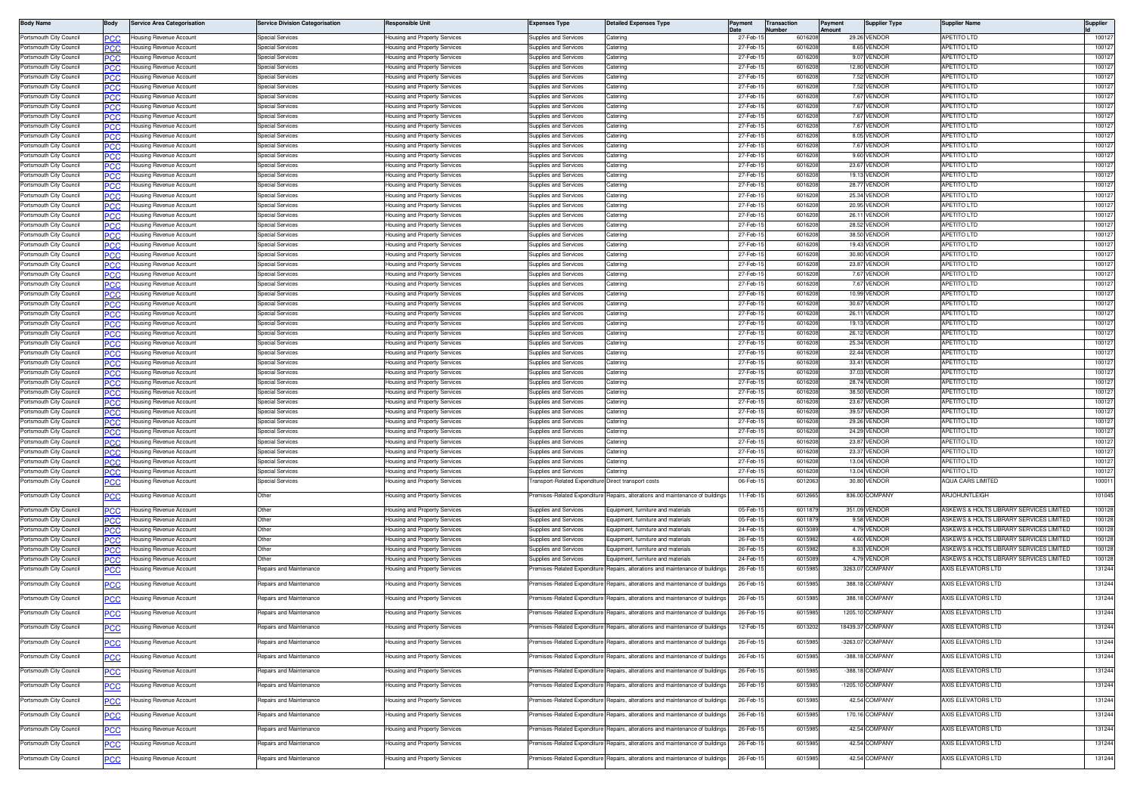| <b>Body Name</b>        | 3ody       | <b>Service Area Categorisation</b> | <b>Service Division Categorisation</b> | Responsible Unit                          | <b>Expenses Type</b>                                | <b>Detailed Expenses Type</b>                                                  |          | Transaction<br>lumber | <b>Payment</b><br>moun | <b>Supplier Type</b> | Supplier Name                                      | Supplier |
|-------------------------|------------|------------------------------------|----------------------------------------|-------------------------------------------|-----------------------------------------------------|--------------------------------------------------------------------------------|----------|-----------------------|------------------------|----------------------|----------------------------------------------------|----------|
| Portsmouth City Council |            | Housing Revenue Account            | pecial Services                        | lousing and Property Services             | <b>Supplies and Services</b>                        | Catering                                                                       | 27-Feb-1 | 6016208               |                        | 29.26 VENDOR         | <b>APETITO LTD</b>                                 | 10012    |
| Portsmouth City Council | ንር )ር      | Housing Revenue Account            | pecial Services                        | lousing and Property Services             | Supplies and Services                               | atering                                                                        | 27-Feb-1 | 601620                |                        | 8.65 VENDOR          | <b>APETITO LTD</b>                                 | 10012    |
| Portsmouth City Council | PCC        | Housing Revenue Account            | Special Services                       | <del>l</del> ousing and Property Services | <b>Supplies and Services</b>                        | Catering                                                                       | 27-Feb-1 | 601620                |                        | 9.07 VENDOR          | <b>APETITO LTD</b>                                 | 10012    |
| Portsmouth City Council |            | Housing Revenue Account            | Special Services                       | lousing and Property Services             | Supplies and Services                               | Caterino                                                                       | 27-Feb-1 | 601620                |                        | 12.80 VENDOR         | <b>APETITO LTD</b>                                 | 10012    |
| Portsmouth City Council |            | Housing Revenue Account            | Special Services                       | lousing and Property Services             | <b>Supplies and Services</b>                        | Caterino                                                                       | 27-Feb-1 | 6016208               |                        | 7.52 VENDOR          | <b>APETITO LTD</b>                                 | 10012    |
| Portsmouth City Council |            | Housing Revenue Account            | Special Services                       | lousing and Property Services             | Supplies and Services                               | Catering                                                                       | 27-Feb-  | 601620                |                        | 7.52 VENDOR          | <b>APETITO LTD</b>                                 | 10012    |
| Portsmouth City Council |            | Housing Revenue Account            | Special Services                       | lousing and Property Services             | Supplies and Services                               | Catering                                                                       | 27-Feb-1 | 6016208               |                        | 7.67 VENDOR          | <b>APETITO LTD</b>                                 | 10012    |
| Portsmouth City Council | חמפ        | Housing Revenue Account            | pecial Service:                        | lousing and Property Services             | Supplies and Services                               | Catering                                                                       | 27-Feb-1 | 601620                |                        | 7.67 VENDOR          | APETITO LTD                                        | 10012    |
| Portsmouth City Council |            | Housing Revenue Account            | pecial Services                        | lousing and Property Services             | Supplies and Services                               | Catering                                                                       | 27-Feb-1 | 601620                |                        | 7.67 VENDOR          | APETITO LTD                                        | 10012    |
| Portsmouth City Council |            | Housing Revenue Account            | Special Services                       | lousing and Property Services             | Supplies and Services                               | Catering                                                                       | 27-Feb-1 | 601620                |                        | 7.67 VENDOR          | APETITO LTD                                        | 10012    |
| Portsmouth City Council |            | Housing Revenue Account            | Special Services                       | lousing and Property Services             | Supplies and Services                               | atering                                                                        | 27-Feb-1 | 601620                |                        | 8.05 VENDOR          | APETITO LTD                                        | 10012    |
| Portsmouth City Council | PCC        | Housing Revenue Account            | Special Services                       | lousing and Property Services             | Supplies and Services                               | Catering                                                                       | 27-Feb-1 | 6016208               |                        | 7.67 VENDOR          | <b>APETITO LTD</b>                                 | 10012    |
| Portsmouth City Council |            | Housing Revenue Account            | Special Services                       | lousing and Property Services             | Supplies and Services                               | atering                                                                        | 27-Feb-1 | 6016208               |                        | 9.60 VENDOR          | <b>APETITO LTD</b>                                 | 10012    |
| Portsmouth City Council |            | Housing Revenue Account            | Special Services                       | lousing and Property Services             | Supplies and Services                               | Catering                                                                       | 27-Feb-1 | 601620                |                        | 23.67 VENDOR         | <b>APETITO LTD</b>                                 | 10012    |
| Portsmouth City Council |            | Housing Revenue Account            | <b>Special Services</b>                | lousing and Property Services             | Supplies and Services                               | Catering                                                                       | 27-Feb-1 | 601620                |                        | 19.13 VENDOR         | APETITO LTD                                        | 10012    |
| Portsmouth City Council |            | lousing Revenue Account            | pecial Services                        | lousing and Property Services             | upplies and Services                                | atering                                                                        | 27-Feb-1 | 6016208               |                        | 28.77 VENDOF         | <b>APETITO LTD</b>                                 | 10012    |
| Portsmouth City Council | PCC        | <b>Housing Revenue Account</b>     | pecial Services                        | lousing and Property Services             | Supplies and Services                               | Catering                                                                       | 27-Feb-1 | 601620                |                        | 25.34 VENDOR         | APETITO LTD                                        | 10012    |
| Portsmouth City Council |            | Housing Revenue Account            | pecial Service                         | lousing and Property Services             | <b>Supplies and Services</b>                        | atering                                                                        | 27-Feb-  | 601620                |                        | 20.95 VENDOR         | APETITO LTD                                        | 10012    |
| Portsmouth City Council | PCC        | Housing Revenue Account            | Special Services                       | lousing and Property Services             | Supplies and Services                               | Catering                                                                       | 27-Feb-1 | 601620                |                        | 26.11 VENDOR         | APETITO LTD                                        | 10012    |
| Portsmouth City Council |            | Housing Revenue Account            | Special Service:                       | lousing and Property Services             | Supplies and Services                               | atering                                                                        | 27-Feb-1 | 6016208               |                        | 28.52 VENDOR         | <b>APETITO LTD</b>                                 | 10012    |
| Portsmouth City Council | ĸю         | <b>Housing Revenue Account</b>     | Special Services                       | lousing and Property Services             | <b>Supplies and Services</b>                        | Catering                                                                       | 27-Feb-1 | 601620                |                        | 38.50 VENDOR         | <b>APETITO LTD</b>                                 | 10012    |
| Portsmouth City Council |            | Housing Revenue Account            | pecial Service                         | lousing and Property Services             | Supplies and Services                               | Catering                                                                       | 27-Feb-  | 601620                |                        | 19.43 VENDOR         | <b>APETITO LTD</b>                                 | 10012    |
| Portsmouth City Council | 'СС        | Housing Revenue Account            | Special Services                       | lousing and Property Services             | Supplies and Services                               | Caterino                                                                       | 27-Feb-1 | 601620                |                        | 30.80 VENDOR         | <b>APETITO LTD</b>                                 | 10012    |
| Portsmouth City Council | <b>CC.</b> | Housing Revenue Account            | pecial Service                         | lousing and Property Services             | upplies and Services                                | atering                                                                        | 27-Feb-1 | 601620                |                        | 23.87 VENDOR         | APETITO LTD                                        | 10012    |
| Portsmouth City Council |            | <b>Housing Revenue Account</b>     | pecial Service:                        | lousing and Property Services             | upplies and Services                                | atering                                                                        | 27-Feb-1 | 601620                |                        | 7.67 VENDOF          | <b>APETITO LTD</b>                                 | 10012    |
| Portsmouth City Council | PCC        | <b>Housing Revenue Account</b>     | pecial Service                         | lousing and Property Services             | Supplies and Services                               | Catering                                                                       | 27-Feb-1 | 601620                |                        | 7.67 VENDOR          | APETITO LTD                                        | 10012    |
| Portsmouth City Council |            | Housing Revenue Account            | pecial Services                        | lousing and Property Services             | Supplies and Services                               | atering                                                                        | 27-Feb-  | 601620                |                        | 10.99 VENDOF         | <b>APETITO LTD</b>                                 | 10012    |
| Portsmouth City Council | PCC        | Housing Revenue Account            | Special Services                       | lousing and Property Services             | Supplies and Services                               | Catering                                                                       | 27-Feb-1 | 601620                |                        | 30.67 VENDOR         | APETITO LTD                                        | 10012    |
| Portsmouth City Council |            | Housing Revenue Account            | Special Services                       | <del>l</del> ousing and Property Services | Supplies and Services                               | Catering                                                                       | 27-Feb-1 | 601620                |                        | 26.11 VENDOF         | <b>APETITO LTD</b>                                 | 10012    |
| Portsmouth City Council | ĸю         | Housina Revenue Account            | Special Services                       | lousing and Property Services             | Supplies and Services                               | Catering                                                                       | 27-Feb-1 | 601620                |                        | 19.13 VENDOR         | <b>APETITO LTD</b>                                 | 10012    |
| Portsmouth City Council |            | Housing Revenue Account            | Special Services                       | lousing and Property Services             | Supplies and Services                               | Catering                                                                       | 27-Feb-  | 601620                |                        | 26.12 VENDOR         | <b>APETITO LTD</b>                                 | 10012    |
| Portsmouth City Council |            | Housing Revenue Account            | Special Services                       | lousing and Property Services             | Supplies and Services                               | Catering                                                                       | 27-Feb-1 | 601620                |                        | 25.34 VENDOR         | <b>APETITO LTD</b>                                 | 10012    |
| Portsmouth City Council | PCC.       | <b>Housing Revenue Account</b>     | pecial Service                         | lousing and Property Services             | Supplies and Services                               | atering                                                                        | 27-Feb-1 | 6016208               |                        | 22.44 VENDOR         | APETITO LTD                                        | 10012    |
| Portsmouth City Council |            | Housing Revenue Account            | pecial Service:                        | lousing and Property Services             | upplies and Services                                | atering                                                                        | 27-Feb-1 | 6016208               |                        | 33.41 VENDOR         | APETITO LTD                                        | 10012    |
| Portsmouth City Council | PCC        | Housing Revenue Account            | Special Services                       | lousing and Property Services             | Supplies and Services                               | Catering                                                                       | 27-Feb-1 | 601620                |                        | 37.03 VENDOR         | APETITO LTD                                        | 10012    |
| Portsmouth City Council |            | Housing Revenue Account            | Special Services                       | lousing and Property Services             | <b>Supplies and Services</b>                        | Catering                                                                       | 27-Feb-1 | 601620                |                        | 28.74 VENDOR         | APETITO LTD                                        | 10012    |
| Portsmouth City Council |            | Housing Revenue Account            | pecial Services                        | lousing and Property Services             | <b>Supplies and Services</b>                        | aterino                                                                        | 27-Feb-1 | 601620                |                        | 38.50 VENDOR         | <b>APETITO LTD</b>                                 | 10012    |
| Portsmouth City Council |            | Housing Revenue Account            | Special Services                       | lousing and Property Services             | <b>Supplies and Services</b>                        | atering                                                                        | 27-Feb-1 | 6016208               |                        | 23.67 VENDOR         | <b>APETITO LTD</b>                                 | 10012    |
| Portsmouth City Council | °СС        | Housing Revenue Account            | Special Services                       | lousing and Property Services             | Supplies and Services                               | Catering                                                                       | 27-Feb-1 | 601620                |                        | 39.57 VENDOR         | <b>APETITO LTD</b>                                 | 10012    |
| Portsmouth City Council |            | Housing Revenue Account            | Special Services                       | lousing and Property Services             | Supplies and Services                               | Catering                                                                       | 27-Feb-  | 601620                |                        | 29.26 VENDOR         | APETITO LTD                                        | 10012    |
| Portsmouth City Council |            | lousing Revenue Account            | pecial Service:                        | lousing and Property Services             | upplies and Services                                | atering                                                                        | 27-Feb-1 | 601620                |                        | 24.29 VENDOF         | <b>APETITO LTD</b>                                 | 10012    |
| Portsmouth City Council | PCC        | <b>Housing Revenue Account</b>     | pecial Services                        | lousing and Property Services             | Supplies and Services                               | atering                                                                        | 27-Feb-1 | 6016208               |                        | 23.87 VENDOR         | APETITO LTD                                        | 10012    |
| Portsmouth City Council |            | Housing Revenue Account            | pecial Services                        | lousing and Property Services             | Supplies and Services                               | atering                                                                        | 27-Feb-1 | 601620                |                        | 23.37 VENDOR         | APETITO LTD                                        | 10012    |
| Portsmouth City Council | PCC        | Housing Revenue Account            | Special Services                       | lousing and Property Services             | Supplies and Services                               | Catering                                                                       | 27-Feb-1 | 601620                |                        | 13.04 VENDOR         | APETITO LTD                                        | 10012    |
| Portsmouth City Council |            | Housing Revenue Account            | Special Service                        | lousing and Property Services             | Supplies and Services                               | Caterino                                                                       | 27-Feb-  | 601620                |                        | 13.04 VENDOR         | <b>APETITO LTD</b>                                 | 10012    |
| Portsmouth City Council | °СС        | lousing Revenue Account            | Special Services                       | lousing and Property Services             | ransport-Related Expenditure Direct transport costs |                                                                                | 06-Feb-1 | 601206                |                        | 30.80 VENDOR         | <b>AQUA CARS LIMITED</b>                           | 10001    |
| Portsmouth City Council |            | Housing Revenue Account            | Other                                  | lousing and Property Services             |                                                     | Premises-Related Expenditure Repairs, alterations and maintenance of buildings | 11-Feb-1 | 601266                |                        | 836.00 COMPANY       | ARJOHUNTLEIGH                                      | 101045   |
|                         |            |                                    |                                        |                                           |                                                     |                                                                                |          |                       |                        |                      |                                                    |          |
| Portsmouth City Council | PCC        | <b>Housing Revenue Account</b>     | Other                                  | lousing and Property Services             | <b>Supplies and Services</b>                        | Equipment, furniture and materials                                             | 05-Feb-1 | 601187                |                        | 351.09 VENDOR        | ASKEWS & HOLTS LIBRARY SERVICES LIMITED            | 10012    |
| Portsmouth City Council |            | Housing Revenue Account            | )ther                                  | lousing and Property Services             | Supplies and Services                               | Equipment, furniture and materials                                             | 05-Feb-  | 601187                |                        | 9.58 VENDOF          | <b>ASKEWS &amp; HOLTS LIBRARY SERVICES LIMITED</b> | 10012    |
| Portsmouth City Council | PCC        | Housing Revenue Account            | Other                                  | lousing and Property Services             | Supplies and Services                               | Equipment, furniture and materials                                             | 24-Feb-1 | 601508                |                        | 4.79 VENDOR          | ASKEWS & HOLTS LIBRARY SERVICES LIMITED            | 10012    |
| Portsmouth City Council |            | Housing Revenue Account            | Other                                  | <del>l</del> ousing and Property Services | Supplies and Services                               | Equipment, furniture and materials                                             | 26-Feb-1 | 601598                |                        | 4.60 VENDOR          | ASKEWS & HOLTS LIBRARY SERVICES LIMITED            | 10012    |
| Portsmouth City Council | PCC        | Housing Revenue Account            | Other                                  | <del>l</del> ousing and Property Services | Supplies and Services                               | Equipment, furniture and materials                                             | 26-Feb-1 | 601598                |                        | 8.33 VENDOR          | ASKEWS & HOLTS LIBRARY SERVICES LIMITED            | 100128   |
| Portsmouth City Council |            | Housing Revenue Account            | )ther                                  | lousing and Property Services             | Supplies and Services                               | Equipment, furniture and materials                                             | 24-Feb-  | 601508                |                        | 4.79 VENDOR          | ASKEWS & HOLTS LIBRARY SERVICES LIMITED            | 10012    |
| Portsmouth City Council |            | lousing Revenue Account            | Repairs and Maintenance                | lousing and Property Services             | emises-Related Expenditure                          | Repairs, alterations and maintenance of buildings                              | 26-Feb-  | 601598                |                        | 3263.07 COMPANY      | XIS ELEVATORS LTD                                  | 13124    |
| Portsmouth City Council | сc         | Housing Revenue Account            | Repairs and Maintenance                | lousing and Property Services             | Premises-Related Expenditure                        | Repairs, alterations and maintenance of building                               | 26-Feb-  | 601598                |                        | 388.18 COMPANY       | AXIS ELEVATORS LTD                                 | 131244   |
|                         |            |                                    |                                        |                                           |                                                     |                                                                                |          |                       |                        |                      |                                                    |          |
| Portsmouth City Council | °СС        | Housing Revenue Account            | epairs and Maintenance                 | lousing and Property Services             | remises-Related Expenditure                         | lepairs, alterations and maintenance of building                               | 26-Feb-1 | 601598                |                        | 388.18 COMPANY       | AXIS ELEVATORS LTD                                 | 131244   |
| Portsmouth City Council |            | Housing Revenue Account            | <b>Repairs and Maintenance</b>         | lousing and Property Services             | Premises-Related Expenditure                        | Repairs, alterations and maintenance of building                               | 26-Feb-1 | 601598                |                        | 1205.10 COMPANY      | AXIS ELEVATORS LTD                                 | 131244   |
|                         |            |                                    |                                        |                                           |                                                     |                                                                                |          |                       |                        |                      |                                                    |          |
| Portsmouth City Council |            | Housing Revenue Account            | Repairs and Maintenance                | lousing and Property Services             | remises-Related Expenditure                         | Repairs, alterations and maintenance of buildings                              | 12-Feb-1 | 601320                |                        | 18439.37 COMPANY     | AXIS ELEVATORS LTD                                 | 131244   |
| Portsmouth City Council | PСC        | Housing Revenue Account            | Repairs and Maintenance                | lousing and Property Services             |                                                     | remises-Related Expenditure Repairs, alterations and maintenance of buildings  | 26-Feb-1 | 601598                |                        | -3263.07 COMPANY     | <b>XXIS ELEVATORS LTD</b>                          | 131244   |
|                         |            |                                    |                                        |                                           |                                                     |                                                                                |          |                       |                        |                      |                                                    |          |
| Portsmouth City Council | <u>PCC</u> | Housing Revenue Account            | Repairs and Maintenance                | Housing and Property Services             |                                                     | Premises-Related Expenditure Repairs, alterations and maintenance of buildings | 26-Feb-1 | 6015985               |                        | -388.18 COMPANY      | AXIS ELEVATORS LTD                                 | 131244   |
| Portsmouth City Council | <u>PCC</u> | Housing Revenue Account            | Repairs and Maintenance                | lousing and Property Services             | remises-Related Expenditure                         | Repairs, alterations and maintenance of buildings                              | 26-Feb-1 | 601598                |                        | -388.18 COMPANY      | AXIS ELEVATORS LTD                                 | 131244   |
|                         |            |                                    |                                        |                                           |                                                     |                                                                                |          |                       |                        |                      |                                                    |          |
| Portsmouth City Council | <u>PCC</u> | Housing Revenue Account            | Repairs and Maintenance                | lousing and Property Services             | remises-Related Expenditure                         | Repairs, alterations and maintenance of buildings                              | 26-Feb-1 | 6015985               |                        | -1205.10 COMPANY     | AXIS ELEVATORS LTD                                 | 131244   |
| Portsmouth City Council | <u>CC</u>  | Housing Revenue Account            | Repairs and Maintenance                | lousing and Property Services             | remises-Related Expenditure                         | Repairs, alterations and maintenance of buildings                              | 26-Feb-1 | 6015985               |                        | 42.54 COMPANY        | AXIS ELEVATORS LTD                                 | 131244   |
| Portsmouth City Council |            | Housing Revenue Account            | Repairs and Maintenance                |                                           | remises-Related Expenditure                         | Repairs, alterations and maintenance of buildings                              | 26-Feb-1 | 601598                |                        | 170.16 COMPANY       | AXIS ELEVATORS LTD                                 | 131244   |
|                         | PСC        |                                    |                                        | lousing and Property Services             |                                                     |                                                                                |          |                       |                        |                      |                                                    |          |
| Portsmouth City Council | <u>PCC</u> | Housing Revenue Account            | Repairs and Maintenance                | lousing and Property Services             |                                                     | Premises-Related Expenditure Repairs, alterations and maintenance of buildings | 26-Feb-1 | 6015985               |                        | 42.54 COMPANY        | AXIS ELEVATORS LTD                                 | 131244   |
| Portsmouth City Council |            | Housing Revenue Account            | Repairs and Maintenance                | lousing and Property Services             | remises-Related Expenditure                         | Repairs, alterations and maintenance of buildings                              | 26-Feb-1 | 601598                |                        | 42.54 COMPANY        | AXIS ELEVATORS LTD                                 | 131244   |
|                         | <u>PCC</u> |                                    |                                        |                                           |                                                     |                                                                                |          |                       |                        |                      |                                                    |          |
| Portsmouth City Council | <u>CC</u>  | Housing Revenue Account            | Repairs and Maintenance                | lousing and Property Services             |                                                     | Premises-Related Expenditure Repairs, alterations and maintenance of buildings | 26-Feb-1 | 6015985               |                        | 42.54 COMPANY        | AXIS ELEVATORS LTD                                 | 131244   |
|                         |            |                                    |                                        |                                           |                                                     |                                                                                |          |                       |                        |                      |                                                    |          |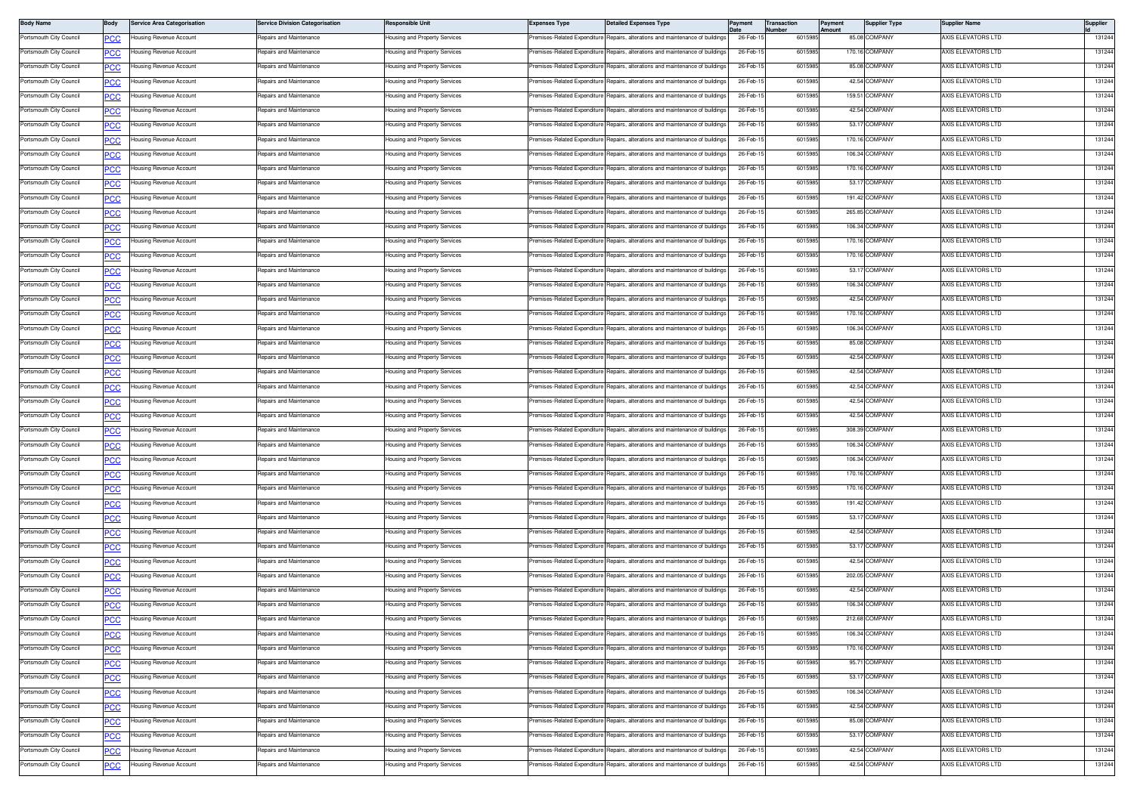| <b>Body Name</b>        | Body        | <b>Service Area Categorisation</b> | <b>Service Division Categorisation</b>                    | Responsible Unit              | <b>Expenses Type</b>        | <b>Detailed Expenses Type</b>                                                 | Paymen    | Transaction<br>umber | Payment<br>Amount | <b>Supplier Type</b> | <b>Supplier Name</b> | Supplier |
|-------------------------|-------------|------------------------------------|-----------------------------------------------------------|-------------------------------|-----------------------------|-------------------------------------------------------------------------------|-----------|----------------------|-------------------|----------------------|----------------------|----------|
| Portsmouth City Council | <b>CC</b>   | lousing Revenue Account            | Repairs and Maintenance                                   | lousing and Property Services |                             | remises-Related Expenditure Repairs, alterations and maintenance of buildings | 26-Feb-1  | 6015985              |                   | 85.08 COMPANY        | AXIS ELEVATORS LTD   | 131244   |
| Portsmouth City Council | <u>PCC</u>  | lousing Revenue Account            | Repairs and Maintenance                                   | lousing and Property Services |                             | remises-Related Expenditure Repairs, alterations and maintenance of buildings | 26-Feb-1  | 601598               |                   | 170.16 COMPANY       | AXIS ELEVATORS LTD   | 131244   |
| Portsmouth City Council | <u>PCC</u>  | lousing Revenue Account            | Repairs and Maintenance                                   | lousing and Property Services |                             | remises-Related Expenditure Repairs, alterations and maintenance of buildings | 26-Feb-1  | 6015985              |                   | 85.08 COMPANY        | AXIS ELEVATORS LTD   | 131244   |
| Portsmouth City Council | <b>PCC</b>  | lousing Revenue Account            | Repairs and Maintenance                                   | Housing and Property Services | remises-Related Expenditure | Repairs, alterations and maintenance of buildings                             | 26-Feb-1  | 601598               |                   | 42.54 COMPANY        | AXIS ELEVATORS LTD   | 131244   |
| Portsmouth City Council | <b>PCC</b>  | lousing Revenue Account            | Repairs and Maintenance                                   | lousing and Property Services | remises-Related Expenditure | Repairs, alterations and maintenance of buildings                             | 26-Feb-1  | 6015985              |                   | 159.51 COMPANY       | AXIS ELEVATORS LTD   | 131244   |
| Portsmouth City Council | <b>CC</b>   | lousing Revenue Account            | Repairs and Maintenance                                   | lousing and Property Services | remises-Related Expenditure | Repairs, alterations and maintenance of buildings                             | 26-Feb-1  | 6015985              |                   | 42.54 COMPANY        | AXIS ELEVATORS LTD   | 131244   |
| Portsmouth City Council | <b>PCC</b>  | lousing Revenue Account            | Repairs and Maintenance                                   | lousing and Property Services | emises-Related Expenditure  | Repairs, alterations and maintenance of buildings                             | 26-Feb-1  | 601598               |                   | 53.17 COMPANY        | AXIS ELEVATORS LTD   | 131244   |
| Portsmouth City Council | <b>PCC</b>  | lousing Revenue Account            | Repairs and Maintenance                                   | lousing and Property Services | remises-Related Expenditure | Repairs, alterations and maintenance of buildings                             | 26-Feb-1  | 6015985              |                   | 170.16 COMPANY       | AXIS ELEVATORS LTD   | 131244   |
| Portsmouth City Council | PCC         | lousing Revenue Account            | Repairs and Maintenance                                   | lousing and Property Services | remises-Related Expenditure | Repairs, alterations and maintenance of building:                             | 26-Feb-1  | 601598               |                   | 106.34 COMPANY       | AXIS ELEVATORS LTD   | 131244   |
| Portsmouth City Council | <b>PCC</b>  | lousing Revenue Account            | Repairs and Maintenance                                   | Housing and Property Services | remises-Related Expenditure | Repairs, alterations and maintenance of buildings                             | 26-Feb-1  | 6015985              |                   | 170.16 COMPANY       | AXIS ELEVATORS LTD   | 131244   |
| Portsmouth City Council | <u>PCC</u>  | lousing Revenue Account            | Repairs and Maintenance                                   | lousing and Property Services | remises-Related Expenditure | Repairs, alterations and maintenance of building                              | 26-Feb-1  | 6015985              |                   | 53.17 COMPANY        | AXIS ELEVATORS LTD   | 131244   |
| Portsmouth City Council | <u>PCC</u>  | lousing Revenue Account            | Repairs and Maintenance                                   | lousing and Property Services | emises-Related Expenditure  | Repairs, alterations and maintenance of buildings                             | 26-Feb-1  | 6015985              |                   | 191.42 COMPANY       | AXIS ELEVATORS LTD   | 131244   |
| Portsmouth City Council | <u>PCC</u>  | lousing Revenue Account            | <b>Benairs and Maintenance</b>                            | lousing and Property Services | remises-Related Expenditure | Benairs, alterations and maintenance of buildings                             | 26-Feb-1  | 6015985              |                   | 265.85 COMPANY       | AXIS ELEVATORS LTD   | 131244   |
| Portsmouth City Council | <u>PCC</u>  | lousing Revenue Account            | Repairs and Maintenance                                   | Housing and Property Services | remises-Related Expenditure | Repairs, alterations and maintenance of buildings                             | 26-Feb-1  | 601598               |                   | 106.34 COMPANY       | AXIS ELEVATORS LTD   | 131244   |
| Portsmouth City Council | <b>PCC</b>  | lousing Revenue Account            | Repairs and Maintenance                                   | lousing and Property Services | remises-Related Expenditure | Repairs, alterations and maintenance of buildings                             | 26-Feb-1  | 6015985              |                   | 170.16 COMPANY       | AXIS ELEVATORS LTD   | 131244   |
| Portsmouth City Council | <b>CC</b>   | lousing Revenue Account            | Repairs and Maintenance                                   | lousing and Property Services | remises-Related Expenditure | Repairs, alterations and maintenance of buildings                             | 26-Feb-1  | 6015985              |                   | 170.16 COMPANY       | AXIS ELEVATORS LTD   | 131244   |
| Portsmouth City Council | <u>PCC</u>  | lousing Revenue Account            | Repairs and Maintenance                                   | lousing and Property Services |                             | remises-Related Expenditure Repairs, alterations and maintenance of buildings | 26-Feb-1  | 601598               |                   | 53.17 COMPANY        | AXIS ELEVATORS LTD   | 131244   |
| Portsmouth City Council |             | lousing Revenue Account            | Repairs and Maintenance                                   | lousing and Property Services | remises-Related Expenditure | Benairs, alterations and maintenance of buildings                             | 26-Feb-1  | 6015985              |                   | 106.34 COMPANY       | AXIS ELEVATORS LTD   | 131244   |
| Portsmouth City Council | <b>PCC</b>  | lousing Revenue Account            | Repairs and Maintenance                                   | Housing and Property Services | remises-Related Expenditure | Repairs, alterations and maintenance of building:                             | 26-Feb-1  | 601598               |                   | 42.54 COMPANY        | AXIS ELEVATORS LTD   | 131244   |
| Portsmouth City Council | PCC         | lousing Revenue Account            | Repairs and Maintenance                                   |                               | emises-Related Expenditure  | Repairs, alterations and maintenance of buildings                             | 26-Feb-1  | 6015985              |                   | 170.16 COMPANY       | AXIS ELEVATORS LTD   | 131244   |
|                         | <u>PCC</u>  |                                    |                                                           | lousing and Property Services |                             | Repairs, alterations and maintenance of buildings                             | 26-Feb-   | 6015985              |                   | 106.34 COMPANY       |                      | 131244   |
| Portsmouth City Council | <u>PCC</u>  | lousing Revenue Account            | Repairs and Maintenance                                   | lousing and Property Services | remises-Related Expenditure | Repairs, alterations and maintenance of buildings                             |           |                      |                   |                      | AXIS ELEVATORS LTD   | 131244   |
| Portsmouth City Council | <u>PCC</u>  | lousing Revenue Account            | Repairs and Maintenance<br><b>Repairs and Maintenance</b> | lousing and Property Services | emises-Related Expenditure  |                                                                               | 26-Feb-1  | 6015985              |                   | 85.08 COMPANY        | AXIS ELEVATORS LTD   |          |
| Portsmouth City Council | <u>PCC</u>  | lousing Revenue Account            |                                                           | lousing and Property Services | remises-Related Expenditure | Benairs, alterations and maintenance of buildings                             | 26-Feb-1  | 6015985              |                   | 42.54 COMPANY        | AXIS ELEVATORS LTD   | 131244   |
| Portsmouth City Council | <b>PCC</b>  | lousing Revenue Account            | Repairs and Maintenance                                   | Housing and Property Services | remises-Related Expenditure | Repairs, alterations and maintenance of buildings                             | 26-Feb-1  | 601598               |                   | 42.54 COMPANY        | AXIS ELEVATORS LTD   | 131244   |
| Portsmouth City Council | <u>PCC</u>  | lousing Revenue Account            | Repairs and Maintenance                                   | lousing and Property Services | remises-Related Expenditure | Repairs, alterations and maintenance of buildings                             | 26-Feb-1  | 6015985              |                   | 42.54 COMPANY        | AXIS ELEVATORS LTD   | 131244   |
| Portsmouth City Council | <b>CC</b>   | lousing Revenue Account            | Repairs and Maintenance                                   | lousing and Property Services | remises-Related Expenditure | Repairs, alterations and maintenance of buildings                             | 26-Feb-1  | 6015985              |                   | 42.54 COMPANY        | AXIS ELEVATORS LTD   | 131244   |
| Portsmouth City Council | <u>PCC</u>  | lousing Revenue Account            | Repairs and Maintenance                                   | lousing and Property Services |                             | remises-Related Expenditure Repairs, alterations and maintenance of buildings | 26-Feb-1  | 601598               |                   | 42.54 COMPANY        | AXIS ELEVATORS LTD   | 131244   |
| Portsmouth City Council | <b>PCC</b>  | lousing Revenue Account            | Repairs and Maintenance                                   | Housing and Property Services |                             | remises-Related Expenditure Repairs, alterations and maintenance of buildings | 26-Feb-1  | 6015985              |                   | 308.39 COMPANY       | AXIS ELEVATORS LTD   | 131244   |
| Portsmouth City Council | <b>PCC</b>  | lousing Revenue Account            | Repairs and Maintenance                                   | Housing and Property Services | remises-Related Expenditure | Repairs, alterations and maintenance of building:                             | 26-Feb-1  | 601598               |                   | 106.34 COMPANY       | AXIS ELEVATORS LTD   | 131244   |
| Portsmouth City Council | PСC         | lousing Revenue Account            | Repairs and Maintenance                                   | lousing and Property Services | emises-Related Expenditure  | Repairs, alterations and maintenance of buildings                             | 26-Feb-1  | 6015985              |                   | 106.34 COMPANY       | AXIS ELEVATORS LTD   | 131244   |
| Portsmouth City Council | <u>PCC</u>  | lousing Revenue Account            | Repairs and Maintenance                                   | lousing and Property Services | remises-Related Expenditure | Repairs, alterations and maintenance of buildings                             | 26-Feb-1  | 6015985              |                   | 170.16 COMPANY       | AXIS ELEVATORS LTD   | 131244   |
| Portsmouth City Council | <b>PCC</b>  | lousing Revenue Account            | Repairs and Maintenance                                   | lousing and Property Services | emises-Related Expenditure  | Repairs, alterations and maintenance of buildings                             | 26-Feb-1  | 601598               |                   | 170.16 COMPANY       | AXIS ELEVATORS LTD   | 131244   |
| Portsmouth City Council | <u>PCC</u>  | lousing Revenue Account            | Repairs and Maintenance                                   | lousing and Property Services | remises-Related Expenditure | Repairs, alterations and maintenance of buildings                             | 26-Feb-1  | 6015985              |                   | 191.42 COMPANY       | AXIS ELEVATORS LTD   | 131244   |
| Portsmouth City Council | PCC         | lousing Revenue Account            | Repairs and Maintenance                                   | lousing and Property Services | remises-Related Expenditure | Repairs, alterations and maintenance of buildings                             | 26-Feb-1  | 601598               |                   | 53.17 COMPANY        | AXIS ELEVATORS LTD   | 131244   |
| Portsmouth City Council | <u>PCC</u>  | lousing Revenue Account            | Repairs and Maintenance                                   | lousing and Property Services | emises-Related Expenditure  | Repairs, alterations and maintenance of buildings                             | 26-Feb-1  | 6015985              |                   | 42.54 COMPANY        | AXIS ELEVATORS LTD   | 131244   |
| Portsmouth City Council | <b>CC</b>   | lousing Revenue Account            | Repairs and Maintenance                                   | lousing and Property Services | remises-Related Expenditure | Repairs, alterations and maintenance of buildings                             | 26-Feb-1  | 6015985              |                   | 53.17 COMPANY        | AXIS ELEVATORS LTD   | 131244   |
| Portsmouth City Council | <u>PCC</u>  | lousing Revenue Account            | Repairs and Maintenance                                   | lousing and Property Services |                             | remises-Related Expenditure Repairs, alterations and maintenance of buildings | 26-Feb-1  | 601598               |                   | 42.54 COMPANY        | AXIS ELEVATORS LTD   | 131244   |
| Portsmouth City Council | <u>PCC</u>  | lousing Revenue Account            | Repairs and Maintenance                                   | Housing and Property Services |                             | remises-Related Expenditure Repairs, alterations and maintenance of buildings | 26-Feb-1  | 6015985              |                   | 202.05 COMPANY       | AXIS ELEVATORS LTD   | 131244   |
| Portsmouth City Council | <u>PCC</u>  | lousing Revenue Account            | Repairs and Maintenance                                   | Housing and Property Services | remises-Related Expenditure | Repairs, alterations and maintenance of building                              | 26-Feb-1  | 601598               |                   | 42.54 COMPANY        | AXIS ELEVATORS LTD   | 131244   |
| Portsmouth City Council | <u>CC</u>   | lousing Revenue Account            | Repairs and Maintenance                                   | lousing and Property Services | emises-Related Expenditure  | Repairs, alterations and maintenance of building                              | 26-Feb-1  | 6015985              |                   | 106.34 COMPANY       | AXIS ELEVATORS LTD   | 131244   |
| Portsmouth City Council | <b>PCC</b>  | Housing Revenue Account            | Repairs and Maintenance                                   | Housing and Property Services |                             | remises-Related Expenditure Repairs, alterations and maintenance of buildings | 26-Feb-1  | 6015985              |                   | 212.68 COMPANY       | AXIS ELEVATORS LTD   | 131244   |
| Portsmouth City Council | <b>PCC</b>  | lousing Revenue Account            | Repairs and Maintenance                                   | lousing and Property Services | emises-Related Expenditure  | Repairs, alterations and maintenance of buildings                             | 26-Feb-15 | 6015985              |                   | 106.34 COMPANY       | AXIS ELEVATORS LTD   | 131244   |
| Portsmouth City Council | <b>PCC</b>  | lousing Revenue Account            | Repairs and Maintenance                                   | Housing and Property Services | remises-Related Expenditure | Repairs, alterations and maintenance of buildings                             | 26-Feb-1  | 6015985              |                   | 170.16 COMPANY       | AXIS ELEVATORS LTD   | 131244   |
| Portsmouth City Council | PCC         | lousing Revenue Account            | Repairs and Maintenance                                   | lousing and Property Services | remises-Related Expenditure | Repairs, alterations and maintenance of buildings                             | 26-Feb-1  | 6015985              |                   | 95.71 COMPANY        | AXIS ELEVATORS LTD   | 131244   |
| Portsmouth City Council | <u>PCC</u>  | lousing Revenue Account            | Repairs and Maintenance                                   | lousing and Property Services | emises-Related Expenditure  | Repairs, alterations and maintenance of buildings                             | 26-Feb-1  | 6015985              |                   | 53.17 COMPANY        | AXIS ELEVATORS LTD   | 131244   |
| Portsmouth City Council | <u>PCC</u>  | lousing Revenue Account            | Repairs and Maintenance                                   | lousing and Property Services | remises-Related Expenditure | Repairs, alterations and maintenance of buildings                             | 26-Feb-1  | 6015985              |                   | 106.34 COMPANY       | AXIS ELEVATORS LTD   | 131244   |
| Portsmouth City Council |             | lousing Revenue Account            | Repairs and Maintenance                                   | Housing and Property Services | emises-Related Expenditure  | Repairs, alterations and maintenance of buildings                             | 26-Feb-1  | 6015985              |                   | 42.54 COMPANY        | AXIS ELEVATORS LTD   | 131244   |
| Portsmouth City Council | <b>PCC</b>  | lousing Revenue Account            | Repairs and Maintenance                                   | Housing and Property Services | remises-Related Expenditure | Repairs, alterations and maintenance of buildings                             | 26-Feb-1  | 6015985              |                   | 85.08 COMPANY        | AXIS ELEVATORS LTD   | 131244   |
|                         | <b>PCC</b>  |                                    |                                                           |                               |                             |                                                                               |           |                      |                   |                      | AXIS ELEVATORS LTD   |          |
| Portsmouth City Council | <b>PCC</b>  | lousing Revenue Account            | Repairs and Maintenance                                   | Housing and Property Services | remises-Related Expenditure | Repairs, alterations and maintenance of buildings                             | 26-Feb-1  | 601598               |                   | 53.17 COMPANY        |                      | 131244   |
| Portsmouth City Council | <u>PCC </u> | lousing Revenue Account            | Repairs and Maintenance                                   | lousing and Property Services | emises-Related Expenditure  | Repairs, alterations and maintenance of buildings                             | 26-Feb-1  | 601598               |                   | 42.54 COMPANY        | AXIS ELEVATORS LTD   | 131244   |
| Portsmouth City Council | <b>PCC</b>  | lousing Revenue Account            | Repairs and Maintenance                                   | lousing and Property Services | remises-Related Expenditure | Repairs, alterations and maintenance of buildings                             | 26-Feb-1  | 6015985              |                   | 42.54 COMPANY        | AXIS ELEVATORS LTD   | 131244   |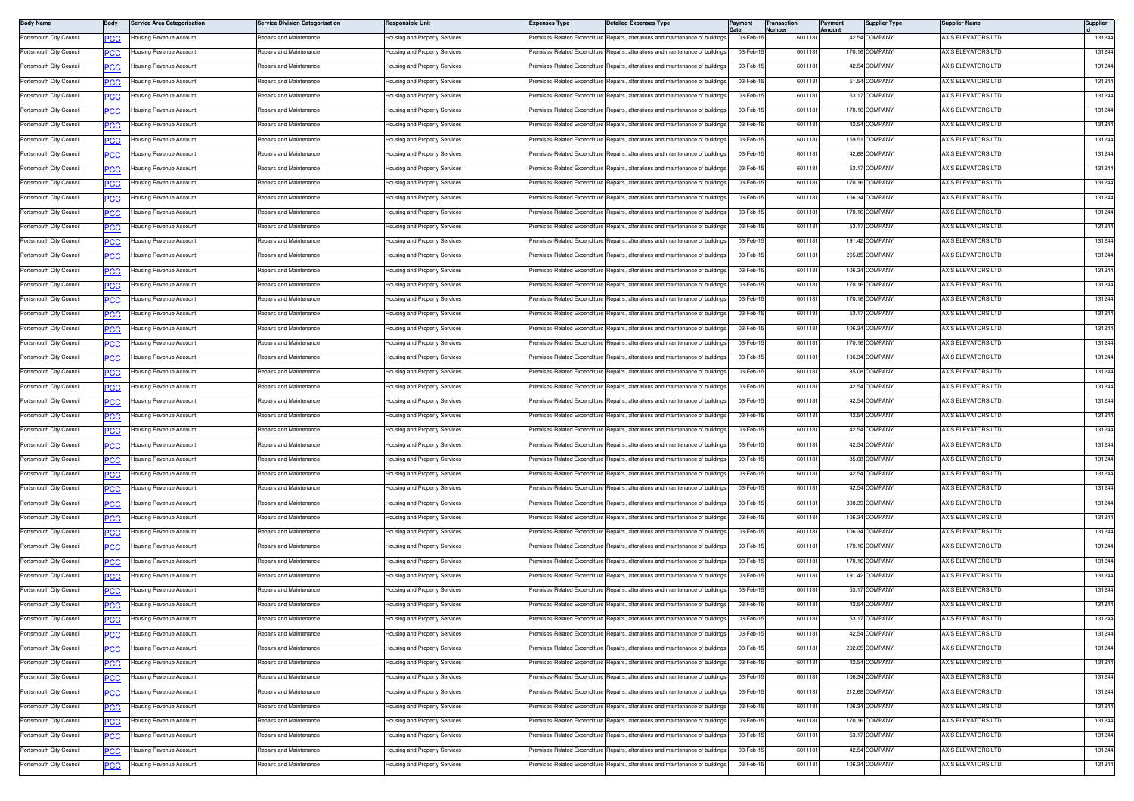| <b>Body Name</b>        | Body        | <b>Service Area Categorisation</b> | <b>Service Division Categorisation</b> | Responsible Unit                     | <b>Expenses Type</b>         | <b>Detailed Expenses Type</b>                                                  | Payment              | <b>Transaction</b><br>lumber | Payment<br>Amount | <b>Supplier Type</b>           | Supplier Name             | <b>Supplier</b>  |
|-------------------------|-------------|------------------------------------|----------------------------------------|--------------------------------------|------------------------------|--------------------------------------------------------------------------------|----------------------|------------------------------|-------------------|--------------------------------|---------------------------|------------------|
| Portsmouth City Council | сc          | lousing Revenue Account            | Repairs and Maintenance                | Housing and Property Services        |                              | remises-Related Expenditure Repairs, alterations and maintenance of buildings  | 03-Feb-1             | 6011181                      |                   | 42.54 COMPANY                  | AXIS ELEVATORS LTD        | 131244           |
| Portsmouth City Council | <u>PCC</u>  | lousing Revenue Account            | Repairs and Maintenance                | lousing and Property Services        | remises-Related Expenditure  | Repairs, alterations and maintenance of buildings                              | 03-Feb-1             | 6011181                      |                   | 170.16 COMPANY                 | AXIS ELEVATORS LTD        | 131244           |
| Portsmouth City Council | <u>PCC</u>  | lousing Revenue Account            | Repairs and Maintenance                | Housing and Property Services        | Premises-Related Expenditure | Benairs, alterations and maintenance of buildings                              | 03-Feb-1             | 601118                       |                   | 42.54 COMPANY                  | AXIS ELEVATORS LTD        | 131244           |
| Portsmouth City Council | <u>PCC</u>  | Housing Revenue Account            | Repairs and Maintenance                | Housing and Property Services        | Premises-Related Expenditure | Repairs, alterations and maintenance of building                               | 03-Feb-              | 601118                       |                   | 51.54 COMPANY                  | AXIS ELEVATORS LTD        | 131244           |
| Portsmouth City Council | <b>PCC</b>  | lousing Revenue Account            | Repairs and Maintenance                | Housing and Property Services        | Premises-Related Expenditure | Repairs, alterations and maintenance of building                               | 03-Feb-1             | 6011181                      |                   | 53.17 COMPANY                  | AXIS ELEVATORS LTD        | 131244           |
| Portsmouth City Council | <u>CC</u>   | lousing Revenue Account            | Repairs and Maintenance                | Housing and Property Services        | remises-Related Expenditure  | Repairs, alterations and maintenance of building                               | 03-Feb-1             | 6011181                      |                   | 170.16 COMPANY                 | AXIS ELEVATORS LTD        | 131244           |
| Portsmouth City Council | <b>PCC</b>  | lousing Revenue Account            | Repairs and Maintenance                | lousing and Property Services        | remises-Related Expenditure  | Repairs, alterations and maintenance of buildings                              | 03-Feb-1             | 6011181                      |                   | 42.54 COMPANY                  | AXIS ELEVATORS LTD        | 131244           |
| Portsmouth City Council | <u>сс</u>   | lousing Revenue Account            | Repairs and Maintenance                | Housing and Property Services        | Premises-Related Expenditure | Repairs, alterations and maintenance of building                               | 03-Feb-1             | 6011181                      |                   | 159.51 COMPANY                 | AXIS ELEVATORS LTD        | 131244           |
| Portsmouth City Council | <b>PCC</b>  | Housing Revenue Account            | Repairs and Maintenance                | Housing and Property Services        | Premises-Related Expenditure | Repairs, alterations and maintenance of building                               | 03-Feb-1             | 601118                       |                   | 42.68 COMPANY                  | AXIS ELEVATORS LTD        | 131244           |
| Portsmouth City Council | <b>PCC</b>  | Housing Revenue Account            | Repairs and Maintenance                | Housing and Property Services        | Premises-Related Expenditure | Repairs, alterations and maintenance of building                               | 03-Feb-15            | 6011181                      |                   | 53.17 COMPANY                  | AXIS ELEVATORS LTD        | 131244           |
| Portsmouth City Council | <u>PCC</u>  | lousing Revenue Account            | Repairs and Maintenance                | Housing and Property Services        | remises-Related Expenditure  | Repairs, alterations and maintenance of building                               | 03-Feb-1             | 6011181                      |                   | 170.16 COMPANY                 | AXIS ELEVATORS LTD        | 131244           |
| Portsmouth City Council | <b>PCC</b>  | Housing Revenue Account            | Repairs and Maintenance                | lousing and Property Services        | remises-Related Expenditure  | Repairs, alterations and maintenance of buildings                              | 03-Feb-1             | 6011181                      |                   | 106.34 COMPANY                 | <b>VXIS ELEVATORS LTD</b> | 131244           |
| Portsmouth City Council | <u>PCC</u>  | <b>Housing Revenue Account</b>     | Repairs and Maintenance                | Housing and Property Services        | Premises-Related Expenditure | Repairs, alterations and maintenance of building                               | 03-Feb-1             | 6011181                      |                   | 170.16 COMPANY                 | AXIS ELEVATORS LTD        | 131244           |
| Portsmouth City Council | PCC         | Housing Revenue Account            | Repairs and Maintenance                | Housing and Property Services        | remises-Related Expenditure  | Repairs, alterations and maintenance of building                               | 03-Feb-1             | 601118                       |                   | 53.17 COMPANY                  | AXIS ELEVATORS LTD        | 131244           |
| Portsmouth City Council | <b>PCC</b>  | lousing Revenue Account            | Repairs and Maintenance                | Housing and Property Services        | Premises-Related Expenditure | Repairs, alterations and maintenance of buildings                              | 03-Feb-15            | 6011181                      |                   | 191.42 COMPANY                 | AXIS ELEVATORS LTD        | 131244           |
| Portsmouth City Council | <u>PCC</u>  | lousing Revenue Account            | Repairs and Maintenance                | lousing and Property Services        | remises-Related Expenditure  | Repairs, alterations and maintenance of building                               | 03-Feb-1             | 6011181                      |                   | 265.85 COMPANY                 | AXIS ELEVATORS LTD        | 131244           |
| Portsmouth City Council | <u>PCC</u>  | Housing Revenue Account            | Repairs and Maintenance                | Housing and Property Services        | remises-Related Expenditure  | Repairs, alterations and maintenance of building                               | 03-Feb-1             | 6011181                      |                   | 106.34 COMPANY                 | AXIS ELEVATORS LTD        | 131244           |
| Portsmouth City Council | <u>PCC</u>  | lousing Revenue Account            | Repairs and Maintenance                | Housing and Property Services        |                              | Premises-Related Expenditure Repairs, alterations and maintenance of building  | 03-Feb-1             | 601118                       |                   | 170.16 COMPANY                 | AXIS ELEVATORS LTD        | 131244           |
| Portsmouth City Council | <u>PCC</u>  | Housing Revenue Account            | Repairs and Maintenance                | Housing and Property Services        | Premises-Related Expenditure | Repairs, alterations and maintenance of building                               | 03-Feb-1             | 6011181                      |                   | 170.16 COMPANY                 | AXIS ELEVATORS LTD        | 131244           |
| Portsmouth City Council | <u>PCC</u>  | lousing Revenue Account            | Repairs and Maintenance                | Housing and Property Services        | remises-Related Expenditure  | lepairs, alterations and maintenance of building                               | 03-Feb-1             | 6011181                      |                   | 53.17 COMPANY                  | AXIS ELEVATORS LTD        | 131244           |
| Portsmouth City Council | <u>CC</u>   | lousing Revenue Account            | Repairs and Maintenance                | lousing and Property Services        | remises-Related Expenditure  | Repairs, alterations and maintenance of building                               | 03-Feb-1             | 6011181                      |                   | 106.34 COMPANY                 | AXIS ELEVATORS LTD        | 131244           |
| Portsmouth City Council | <u>PCC</u>  | lousing Revenue Account            | Repairs and Maintenance                | lousing and Property Services        | remises-Related Expenditure  | Repairs, alterations and maintenance of buildings                              | 03-Feb-1             | 6011181                      |                   | 170.16 COMPANY                 | AXIS ELEVATORS LTD        | 131244           |
| Portsmouth City Council | <u>сс</u>   | lousing Revenue Account            | Repairs and Maintenance                | Housing and Property Services        | Premises-Related Expenditure | Repairs, alterations and maintenance of buildings                              | 03-Feb-1             | 6011181                      |                   | 106.34 COMPANY                 | AXIS ELEVATORS LTD        | 131244           |
| Portsmouth City Council | <b>PCC</b>  | Housing Revenue Account            | Repairs and Maintenance                | Housing and Property Services        | Premises-Related Expenditure | Repairs, alterations and maintenance of building                               | 03-Feb-1             | 601118                       |                   | 85.08 COMPANY                  | AXIS ELEVATORS LTD        | 131244           |
| Portsmouth City Council | <u>PCC</u>  | lousing Revenue Account            | Repairs and Maintenance                | Housing and Property Services        | remises-Related Expenditure  | Repairs, alterations and maintenance of building                               | 03-Feb-15            | 6011181                      |                   | 42.54 COMPANY                  | AXIS ELEVATORS LTD        | 131244           |
| Portsmouth City Council |             | Housing Revenue Account            | Repairs and Maintenance                | Housing and Property Services        | Premises-Related Expenditure | Repairs, alterations and maintenance of building                               | 03-Feb-1             | 6011181                      |                   | 42.54 COMPANY                  | AXIS ELEVATORS LTD        | 131244           |
| Portsmouth City Council | <b>CC</b>   | Housing Revenue Account            | Repairs and Maintenance                | Housing and Property Services        | remises-Related Expenditure  | Repairs, alterations and maintenance of buildings                              | 03-Feb-1             | 6011181                      |                   | 42.54 COMPANY                  | <b>VXIS ELEVATORS LTD</b> | 131244           |
| Portsmouth City Council | <b>PCC</b>  | <b>Housing Revenue Account</b>     | Repairs and Maintenance                | Housing and Property Services        | Premises-Related Expenditure | Repairs, alterations and maintenance of building                               | 03-Feb-1             | 6011181                      |                   | 42.54 COMPANY                  | AXIS ELEVATORS LTD        | 131244           |
|                         | <u>PCC</u>  | lousing Revenue Account            | Repairs and Maintenance                |                                      | remises-Related Expenditure  | Repairs, alterations and maintenance of building                               | 03-Feb-1             | 601118                       |                   | 42.54 COMPANY                  | AXIS ELEVATORS LTD        | 131244           |
| Portsmouth City Council | PCC         |                                    |                                        | Housing and Property Services        |                              |                                                                                |                      |                              |                   |                                |                           |                  |
| Portsmouth City Council |             | lousing Revenue Account            | Repairs and Maintenance                | Housing and Property Services        | remises-Related Expenditure  | lepairs, alterations and maintenance of building                               | 03-Feb-1<br>03-Feb-1 | 6011181                      |                   | 85.08 COMPANY<br>42.54 COMPANY | AXIS ELEVATORS LTD        | 131244<br>131244 |
| Portsmouth City Council | <u>PCC</u>  | lousing Revenue Account            | Repairs and Maintenance                | lousing and Property Services        | remises-Related Expenditure  | Repairs, alterations and maintenance of building                               |                      | 6011181                      |                   |                                | AXIS ELEVATORS LTD        |                  |
| Portsmouth City Council | <u>PCC</u>  | Housing Revenue Account            | Repairs and Maintenance                | lousing and Property Services        | remises-Related Expenditure  | Repairs, alterations and maintenance of buildings                              | 03-Feb-1             | 6011181                      |                   | 42.54 COMPANY                  | <b>VXIS ELEVATORS LTD</b> | 131244           |
| Portsmouth City Council | <u>PCC</u>  | lousing Revenue Account            | Repairs and Maintenance                | Housing and Property Services        | Premises-Related Expenditure | Repairs, alterations and maintenance of building                               | 03-Feb-1             | 601118                       |                   | 308.39 COMPANY                 | AXIS ELEVATORS LTD        | 131244           |
| Portsmouth City Council | <u>PCC</u>  | Housing Revenue Account            | Repairs and Maintenance                | Housing and Property Services        | Premises-Related Expenditure | Repairs, alterations and maintenance of building                               | 03-Feb-1             | 601118                       |                   | 106.34 COMPANY                 | AXIS ELEVATORS LTD        | 131244           |
| Portsmouth City Council | <u>PCC</u>  | lousing Revenue Account            | Repairs and Maintenance                | Housing and Property Services        | remises-Related Expenditure  | Repairs, alterations and maintenance of building                               | 03-Feb-1             | 6011181                      |                   | 106.34 COMPANY                 | AXIS ELEVATORS LTD        | 131244           |
| Portsmouth City Council | <u>CC</u>   | lousing Revenue Account            | Repairs and Maintenance                | lousing and Property Services        | remises-Related Expenditure  | Repairs, alterations and maintenance of building                               | 03-Feb-1             | 6011181                      |                   | 170.16 COMPANY                 | AXIS ELEVATORS LTD        | 131244           |
| Portsmouth City Council | <u>PCC</u>  | lousing Revenue Account            | Repairs and Maintenance                | Housing and Property Services        | remises-Related Expenditure  | Repairs, alterations and maintenance of buildings                              | 03-Feb-1             | 6011181                      |                   | 170.16 COMPANY                 | AXIS ELEVATORS LTD        | 131244           |
| Portsmouth City Council | <u>CC</u>   | Housing Revenue Account            | Repairs and Maintenance                | Housing and Property Services        | Premises-Related Expenditure | Benairs, alterations and maintenance of building                               | 03-Feb-1             | 6011181                      |                   | 191.42 COMPANY                 | AXIS ELEVATORS LTD        | 131244           |
| Portsmouth City Council | <u>PCC</u>  | Housing Revenue Account            | Repairs and Maintenance                | Housing and Property Services        | Premises-Related Expenditure | Repairs, alterations and maintenance of building                               | 03-Feb-1             | 601118                       |                   | 53.17 COMPANY                  | AXIS ELEVATORS LTD        | 131244           |
| Portsmouth City Council | <u>CC</u>   | Housing Revenue Account            | Repairs and Maintenance                | <b>Housing and Property Services</b> | remises-Related Expenditure  | Repairs, alterations and maintenance of building                               | 03-Feb-15            | 6011181                      |                   | 42.54 COMPANY                  | AXIS ELEVATORS LTD        | 131244           |
| Portsmouth City Council | <b>PCC</b>  | Housing Revenue Account            | Repairs and Maintenance                | Housing and Property Services        |                              | Premises-Related Expenditure Repairs, alterations and maintenance of buildings | 03-Feb-15            | 6011181                      |                   | 53.17 COMPANY                  | AXIS ELEVATORS LTD        | 131244           |
| Portsmouth City Council | <b>PCC</b>  | lousing Revenue Account            | Repairs and Maintenance                | lousing and Property Services        | remises-Related Expenditure  | Repairs, alterations and maintenance of buildings                              | 03-Feb-1             | 6011181                      |                   | 42.54 COMPANY                  | AXIS ELEVATORS LTD        | 131244           |
| Portsmouth City Council | <b>PCC</b>  | lousing Revenue Account            | Repairs and Maintenance                | Housing and Property Services        | Premises-Related Expenditure | Repairs, alterations and maintenance of buildings                              | 03-Feb-15            | 6011181                      |                   | 202.05 COMPANY                 | AXIS ELEVATORS LTD        | 131244           |
| Portsmouth City Council | <u>PCC</u>  | Housing Revenue Account            | Repairs and Maintenance                | Housing and Property Services        | remises-Related Expenditure  | Repairs, alterations and maintenance of building                               | 03-Feb-1             | 6011181                      |                   | 42.54 COMPANY                  | AXIS ELEVATORS LTD        | 131244           |
| Portsmouth City Council |             | lousing Revenue Account            | Repairs and Maintenance                | lousing and Property Services        | remises-Related Expenditure  | Repairs, alterations and maintenance of building                               | 03-Feb-15            | 6011181                      |                   | 106.34 COMPANY                 | AXIS ELEVATORS LTD        | 131244           |
| Portsmouth City Council | <u>PCC</u>  | lousing Revenue Account            | Repairs and Maintenance                | Housing and Property Services        | Premises-Related Expenditure | Repairs, alterations and maintenance of buildings                              | 03-Feb-15            | 6011181                      |                   | 212.68 COMPANY                 | AXIS ELEVATORS LTD        | 131244           |
| Portsmouth City Council | <u>PCC</u>  | Housing Revenue Account            | Repairs and Maintenance                | lousing and Property Services        | remises-Related Expenditure  | Repairs, alterations and maintenance of buildings                              | 03-Feb-1             | 6011181                      |                   | 106.34 COMPANY                 | AXIS ELEVATORS LTD        | 131244           |
| Portsmouth City Council | <b>PCC</b>  | lousing Revenue Account            | Repairs and Maintenance                | Housing and Property Services        | Premises-Related Expenditure | Repairs, alterations and maintenance of buildings                              | 03-Feb-1             | 601118                       |                   | 170.16 COMPANY                 | AXIS ELEVATORS LTD        | 131244           |
| Portsmouth City Council | <u>PCC</u>  | Housing Revenue Account            | Repairs and Maintenance                | Housing and Property Services        | Premises-Related Expenditure | Repairs, alterations and maintenance of building                               | 03-Feb-1             | 6011181                      |                   | 53.17 COMPANY                  | AXIS ELEVATORS LTD        | 131244           |
| Portsmouth City Council | <u>PCC </u> | lousing Revenue Account            | Repairs and Maintenance                | lousing and Property Services        | remises-Related Expenditure  | lepairs, alterations and maintenance of building                               | 03-Feb-15            | 6011181                      |                   | 42.54 COMPANY                  | AXIS ELEVATORS LTD        | 131244           |
| Portsmouth City Council | <b>CC</b>   | Housing Revenue Account            | Repairs and Maintenance                | Housing and Property Services        | Premises-Related Expenditure | Repairs, alterations and maintenance of buildings                              | 03-Feb-1             | 6011181                      |                   | 106.34 COMPANY                 | AXIS ELEVATORS LTD        | 131244           |
|                         |             |                                    |                                        |                                      |                              |                                                                                |                      |                              |                   |                                |                           |                  |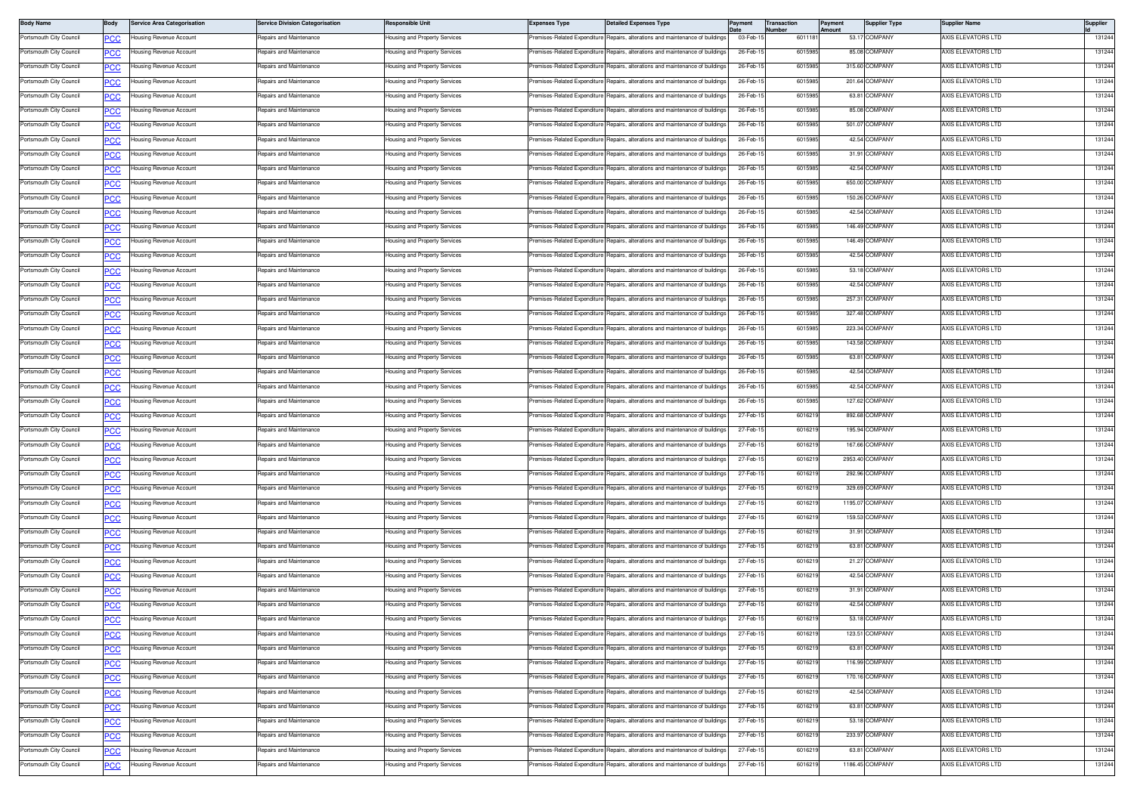| <b>Body Name</b>        | Body             | <b>Service Area Categorisation</b> | <b>Service Division Categorisation</b> | Responsible Unit                                               | <b>Expenses Type</b>         | Detailed Expenses Type                                                         | Payment   | Transaction<br>Number | Payment<br>Amount | <b>Supplier Type</b> | <b>Supplier Name</b>      | Supplier |
|-------------------------|------------------|------------------------------------|----------------------------------------|----------------------------------------------------------------|------------------------------|--------------------------------------------------------------------------------|-----------|-----------------------|-------------------|----------------------|---------------------------|----------|
| Portsmouth City Council | PСC              | lousing Revenue Account            | Repairs and Maintenance                | lousing and Property Services                                  | remises-Related Expenditure  | Repairs, alterations and maintenance of buildings                              | 03-Feb-1  | 6011181               |                   | 53.17 COMPANY        | <b>\XIS ELEVATORS LTD</b> | 131244   |
| Portsmouth City Council | <u>PCC</u>       | lousing Revenue Account            | Repairs and Maintenance                | <del>l</del> ousing and Property Services                      | remises-Related Expenditure  | Repairs, alterations and maintenance of buildings                              | 26-Feb-1  | 601598                |                   | 85.08 COMPANY        | <b>AXIS ELEVATORS LTD</b> | 131244   |
| Portsmouth City Council | <b>PCC</b>       | lousing Revenue Account            | Repairs and Maintenance                | Housing and Property Services                                  | remises-Related Expenditure  | Repairs, alterations and maintenance of buildings                              | 26-Feb-1  | 6015985               |                   | 315.60 COMPANY       | AXIS ELEVATORS LTD        | 131244   |
| Portsmouth City Council | PСC              | lousing Revenue Account            | Repairs and Maintenance                | Housing and Property Services                                  | Premises-Related Expenditure | Repairs, alterations and maintenance of buildings                              | 26-Feb-1  | 6015985               |                   | 201.64 COMPANY       | AXIS ELEVATORS LTD        | 131244   |
| Portsmouth City Council | <u>PCC</u>       | lousing Revenue Account            | Repairs and Maintenance                | lousing and Property Services                                  | remises-Related Expenditure  | Repairs, alterations and maintenance of buildings                              | 26-Feb-1  | 6015985               |                   | 63.81 COMPANY        | AXIS ELEVATORS LTD        | 131244   |
| Portsmouth City Council | <u>CC </u>       | lousing Revenue Account            | Repairs and Maintenance                | <b>Housing and Property Services</b>                           | Premises-Related Expenditure | Repairs, alterations and maintenance of buildings                              | 26-Feb-1  | 6015985               |                   | 85.08 COMPANY        | AXIS ELEVATORS LTD        | 131244   |
| Portsmouth City Council | <b>PCC</b>       | lousing Revenue Account            | Repairs and Maintenance                | Housing and Property Services                                  | remises-Related Expenditure  | Repairs, alterations and maintenance of building                               | 26-Feb-1  | 6015985               |                   | 501.07 COMPANY       | AXIS ELEVATORS LTD        | 131244   |
| Portsmouth City Council | <b>PCC</b>       | lousing Revenue Account            | Repairs and Maintenance                | Housing and Property Services                                  | remises-Related Expenditure  | Repairs, alterations and maintenance of buildings                              | 26-Feb-1  | 601598                |                   | 42.54 COMPANY        | AXIS ELEVATORS LTD        | 131244   |
| Portsmouth City Council | PСC              | lousing Revenue Account            | Repairs and Maintenance                | Housing and Property Services                                  | Premises-Related Expenditure | Repairs, alterations and maintenance of building                               | 26-Feb-1  | 6015985               |                   | 31.91 COMPANY        | AXIS ELEVATORS LTD        | 131244   |
| Portsmouth City Council | <u>'CC</u>       | lousing Revenue Account            | Repairs and Maintenance                | lousing and Property Services                                  | remises-Related Expenditure  | Repairs, alterations and maintenance of buildings                              | 26-Feb-1  | 6015985               |                   | 42.54 COMPANY        | AXIS ELEVATORS LTD        | 131244   |
| Portsmouth City Council | <u>PCC</u>       | lousing Revenue Account            | Repairs and Maintenance                | <b>Housing and Property Services</b>                           | remises-Related Expenditure  | Repairs, alterations and maintenance of buildings                              | 26-Feb-1  | 6015985               |                   | 650.00 COMPANY       | AXIS ELEVATORS LTD        | 131244   |
| Portsmouth City Council | <u>PCC</u>       | lousing Revenue Account            | Repairs and Maintenance                | lousing and Property Services                                  | remises-Related Expenditure  | Repairs, alterations and maintenance of buildings                              | 26-Feb-1  | 601598                |                   | 150.26 COMPANY       | <b>AXIS ELEVATORS LTD</b> | 131244   |
| Portsmouth City Council | <u>PCC</u>       | lousing Revenue Account            | Repairs and Maintenance                | Housing and Property Services                                  | remises-Related Expenditure  | Repairs, alterations and maintenance of buildings                              | 26-Feb-1  | 601598                |                   | 42.54 COMPANY        | AXIS ELEVATORS LTD        | 131244   |
| Portsmouth City Council | °СС              | lousing Revenue Account            | Repairs and Maintenance                | lousing and Property Services                                  | remises-Related Expenditure  | Repairs, alterations and maintenance of buildings                              | 26-Feb-1  | 6015985               |                   | 146.49 COMPANY       | AXIS ELEVATORS LTD        | 131244   |
| Portsmouth City Council | <b>PCC</b>       | lousing Revenue Account            | Repairs and Maintenance                | lousing and Property Services                                  | remises-Related Expenditure  | Repairs, alterations and maintenance of buildings                              | 26-Feb-1  | 6015985               |                   | 146.49 COMPANY       | AXIS ELEVATORS LTD        | 131244   |
| Portsmouth City Council | <u>PCC</u>       | Housing Revenue Account            | Repairs and Maintenance                | Housing and Property Services                                  | Premises-Related Expenditure | Repairs, alterations and maintenance of buildings                              | 26-Feb-1  | 6015985               |                   | 42.54 COMPANY        | AXIS ELEVATORS LTD        | 131244   |
| Portsmouth City Council | <u>PCC</u>       | Housing Revenue Account            | Repairs and Maintenance                | Housing and Property Services                                  | remises-Related Expenditure  | Repairs, alterations and maintenance of building                               | 26-Feb-1  | 601598                |                   | 53.18 COMPANY        | <b>\XIS ELEVATORS LTD</b> | 131244   |
| Portsmouth City Council | <b>PCC</b>       | lousing Revenue Account            | Repairs and Maintenance                | Housing and Property Services                                  | remises-Related Expenditure  | Repairs, alterations and maintenance of buildings                              | 26-Feb-1  | 601598                |                   | 42.54 COMPANY        | AXIS ELEVATORS LTD        | 131244   |
| Portsmouth City Council | °СС              | lousing Revenue Account            | Repairs and Maintenance                | Housing and Property Services                                  | Premises-Related Expenditure | Repairs, alterations and maintenance of building                               | 26-Feb-1  | 6015985               |                   | 257.31 COMPANY       | AXIS ELEVATORS LTD        | 131244   |
| Portsmouth City Council | <u>PCC </u>      | Housing Revenue Account            | Repairs and Maintenance                | lousing and Property Services                                  | Premises-Related Expenditure | Repairs, alterations and maintenance of buildings                              | 26-Feb-1  | 6015985               |                   | 327.48 COMPANY       | AXIS ELEVATORS LTD        | 131244   |
| Portsmouth City Council | <u>CC </u>       | lousing Revenue Account            | Repairs and Maintenance                | Housing and Property Services                                  | remises-Related Expenditure  | Repairs, alterations and maintenance of buildings                              | 26-Feb-1  | 6015985               |                   | 223.34 COMPANY       | AXIS ELEVATORS LTD        | 131244   |
| Portsmouth City Council | <u>PCC</u>       | Housing Revenue Account            | Repairs and Maintenance                | Housing and Property Services                                  | remises-Related Expenditure  | Repairs, alterations and maintenance of buildings                              | 26-Feb-1  | 601598                |                   | 143.58 COMPANY       | <b>XXIS ELEVATORS LTD</b> | 131244   |
| Portsmouth City Council | <u>PCC</u>       | lousing Revenue Account            | Repairs and Maintenance                | Housing and Property Services                                  | Premises-Related Expenditure | Repairs, alterations and maintenance of buildings                              | 26-Feb-1  | 601598                |                   | 63.81 COMPANY        | AXIS ELEVATORS LTD        | 131244   |
| Portsmouth City Council | ٥с               | lousing Revenue Account            | Repairs and Maintenance                | Housing and Property Services                                  | Premises-Related Expenditure | Repairs, alterations and maintenance of buildings                              | 26-Feb-1  | 6015985               |                   | 42.54 COMPANY        | AXIS ELEVATORS LTD        | 131244   |
| Portsmouth City Council | <u>PCC</u>       | lousing Revenue Account            | Repairs and Maintenance                | lousing and Property Services                                  | remises-Related Expenditure  | Repairs, alterations and maintenance of buildings                              | 26-Feb-1  | 601598                |                   | 42.54 COMPANY        | AXIS ELEVATORS LTD        | 131244   |
| Portsmouth City Council | <u>PCC</u>       | Housing Revenue Account            | Repairs and Maintenance                | Housing and Property Services                                  |                              | Premises-Related Expenditure Repairs, alterations and maintenance of buildings | 26-Feb-1  | 6015985               |                   | 127.62 COMPANY       | AXIS ELEVATORS LTD        | 131244   |
| Portsmouth City Council | <b>PCC</b>       | lousing Revenue Account            | Repairs and Maintenance                | Housing and Property Services                                  | remises-Related Expenditure  | Repairs, alterations and maintenance of building                               | 27-Feb-1  | 601621                |                   | 892.68 COMPANY       | <b>\XIS ELEVATORS LTD</b> | 131244   |
| Portsmouth City Council | <b>PCC</b>       | Housing Revenue Account            | Repairs and Maintenance                | Housing and Property Services                                  | Premises-Related Expenditure | Repairs, alterations and maintenance of buildings                              | 27-Feb-1  | 601621                |                   | 195.94 COMPANY       | AXIS ELEVATORS LTD        | 131244   |
| Portsmouth City Council | °СС              | lousing Revenue Account            | Repairs and Maintenance                | Housing and Property Services                                  | remises-Related Expenditure  | Repairs, alterations and maintenance of building                               | 27-Feb-1  | 601621                |                   | 167.66 COMPANY       | AXIS ELEVATORS LTD        | 131244   |
| Portsmouth City Council | PCC              | Housing Revenue Account            | Repairs and Maintenance                | lousing and Property Services                                  | remises-Related Expenditure  | Repairs, alterations and maintenance of buildings                              | 27-Feb-1  | 601621                |                   | 2953.40 COMPANY      | <b>\XIS ELEVATORS LTD</b> | 131244   |
| Portsmouth City Council | <u>CC </u>       | lousing Revenue Account            | Repairs and Maintenance                | Housing and Property Services                                  | Premises-Related Expenditure | Repairs, alterations and maintenance of buildings                              | 27-Feb-1  | 6016219               |                   | 292.96 COMPANY       | AXIS ELEVATORS LTD        | 131244   |
| Portsmouth City Council | <b>PCC</b>       | Housing Revenue Account            | Repairs and Maintenance                | Housing and Property Services                                  | remises-Related Expenditure  | Repairs, alterations and maintenance of buildings                              | 27-Feb-1  | 601621                |                   | 329.69 COMPANY       | <b>XXIS ELEVATORS LTD</b> | 131244   |
| Portsmouth City Council | <u>PCC</u>       | lousing Revenue Account            | Repairs and Maintenance                | Housing and Property Services                                  | remises-Related Expenditure  | Repairs, alterations and maintenance of buildings                              | 27-Feb-15 | 601621                |                   | 1195.07 COMPANY      | AXIS ELEVATORS LTD        | 131244   |
| Portsmouth City Council | PСC              | Housing Revenue Account            | Repairs and Maintenance                | Housing and Property Services                                  | Premises-Related Expenditure | Repairs, alterations and maintenance of buildings                              | 27-Feb-1  | 6016219               |                   | 159.53 COMPANY       | AXIS ELEVATORS LTD        | 131244   |
| Portsmouth City Council | PCC              | lousing Revenue Account            | Repairs and Maintenance                | lousing and Property Services                                  | remises-Related Expenditure  | Repairs, alterations and maintenance of buildings                              | 27-Feb-1  | 601621                |                   | 31.91 COMPANY        | AXIS ELEVATORS LTD        | 131244   |
| Portsmouth City Council | <b>PCC</b>       | Housing Revenue Account            | Repairs and Maintenance                | Housing and Property Services                                  |                              | Premises-Related Expenditure Repairs, alterations and maintenance of buildings | 27-Feb-1  | 6016219               |                   | 63.81 COMPANY        | AXIS ELEVATORS LTD        | 131244   |
| Portsmouth City Council | <u>PCC</u>       | lousing Revenue Account            | Repairs and Maintenance                | Housing and Property Services                                  | remises-Related Expenditure  | Repairs, alterations and maintenance of building                               | 27-Feb-1  | 601621                |                   | 21.27 COMPANY        | AXIS ELEVATORS LTD        | 131244   |
| Portsmouth City Council | <b>PCC</b>       | Housing Revenue Account            | Repairs and Maintenance                | Housing and Property Services                                  | remises-Related Expenditure  | Repairs, alterations and maintenance of buildings                              | 27-Feb-1  | 601621                |                   | 42.54 COMPANY        | AXIS ELEVATORS LTD        | 131244   |
| Portsmouth City Council |                  | lousing Revenue Account            | Repairs and Maintenance                | Housing and Property Services                                  | remises-Related Expenditure  | Repairs, alterations and maintenance of building                               | 27-Feb-1  | 601621                |                   | 31.91 COMPANY        | AXIS ELEVATORS LTD        | 131244   |
| Portsmouth City Council | PCC              | Housing Revenue Account            | Repairs and Maintenance                | lousing and Property Services                                  | remises-Related Expenditure  | Repairs, alterations and maintenance of buildings                              | 27-Feb-1  | 601621                |                   | 42.54 COMPANY        | <b>\XIS ELEVATORS LTD</b> | 131244   |
| Portsmouth City Council | <b>PCC</b>       | Housing Revenue Account            | Repairs and Maintenance                | Housing and Property Services                                  |                              | Premises-Related Expenditure Repairs, alterations and maintenance of buildings | 27-Feb-15 | 6016219               |                   | 53.18 COMPANY        | AXIS ELEVATORS LTD        | 131244   |
| Portsmouth City Council |                  | lousing Revenue Account            | Repairs and Maintenance                | Housing and Property Services                                  |                              | remises-Related Expenditure Repairs, alterations and maintenance of buildings  | 27-Feb-1  | 601621                |                   | 123.51 COMPANY       | AXIS ELEVATORS LTD        | 131244   |
| Portsmouth City Council | <b>PCC</b>       | lousing Revenue Account            | Repairs and Maintenance                | Housing and Property Services                                  |                              | remises-Related Expenditure Repairs, alterations and maintenance of buildings  | 27-Feb-1  | 601621                |                   | 63.81 COMPANY        | AXIS ELEVATORS LTD        | 131244   |
| Portsmouth City Council | <b>PCC</b>       | Housing Revenue Account            | Repairs and Maintenance                | Housing and Property Services                                  |                              | Premises-Related Expenditure Repairs, alterations and maintenance of buildings | 27-Feb-1  | 6016219               |                   | 116.99 COMPANY       | AXIS ELEVATORS LTD        | 131244   |
| Portsmouth City Council | $\overline{PCC}$ | Housing Revenue Account            | Repairs and Maintenance                | Housing and Property Services                                  | Premises-Related Expenditure | Repairs, alterations and maintenance of buildings                              | 27-Feb-1  | 6016219               |                   | 170.16 COMPANY       | AXIS ELEVATORS LTD        | 131244   |
| Portsmouth City Council | PCC              |                                    | Repairs and Maintenance                |                                                                |                              | Premises-Related Expenditure Repairs, alterations and maintenance of buildings | 27-Feb-1  |                       |                   | 42.54 COMPANY        | AXIS ELEVATORS LTD        | 131244   |
|                         | $\overline{PC}$  | Housing Revenue Account            | Repairs and Maintenance                | Housing and Property Services<br>lousing and Property Services |                              |                                                                                | 27-Feb-1  | 6016219<br>601621     |                   | 63.81 COMPANY        | AXIS ELEVATORS LTD        | 131244   |
| Portsmouth City Council | <b>PCC</b>       | Housing Revenue Account            |                                        |                                                                |                              | remises-Related Expenditure Repairs, alterations and maintenance of buildings  | 27-Feb-15 |                       |                   | 53.18 COMPANY        | AXIS ELEVATORS LTD        | 131244   |
| Portsmouth City Council | <b>PCC</b>       | Housing Revenue Account            | Repairs and Maintenance                | Housing and Property Services                                  |                              | remises-Related Expenditure Repairs, alterations and maintenance of buildings  |           | 6016219               |                   |                      |                           |          |
| Portsmouth City Council | $\overline{PCC}$ | lousing Revenue Account            | Repairs and Maintenance                | lousing and Property Services                                  | Premises-Related Expenditure | Repairs, alterations and maintenance of buildings                              | 27-Feb-1  | 6016219               |                   | 233.97 COMPANY       | AXIS ELEVATORS LTD        | 131244   |
| Portsmouth City Council | <b>PCC</b>       | Housing Revenue Account            | Repairs and Maintenance                | lousing and Property Services                                  | remises-Related Expenditure  | Repairs, alterations and maintenance of buildings                              | 27-Feb-1  | 601621                |                   | 63.81 COMPANY        | AXIS ELEVATORS LTD        | 131244   |
| Portsmouth City Council | <u>PCC </u>      | Housing Revenue Account            | Repairs and Maintenance                | <b>Housing and Property Services</b>                           |                              | Premises-Related Expenditure Repairs, alterations and maintenance of buildings | 27-Feb-15 | 6016219               |                   | 1186.45 COMPANY      | AXIS ELEVATORS LTD        | 131244   |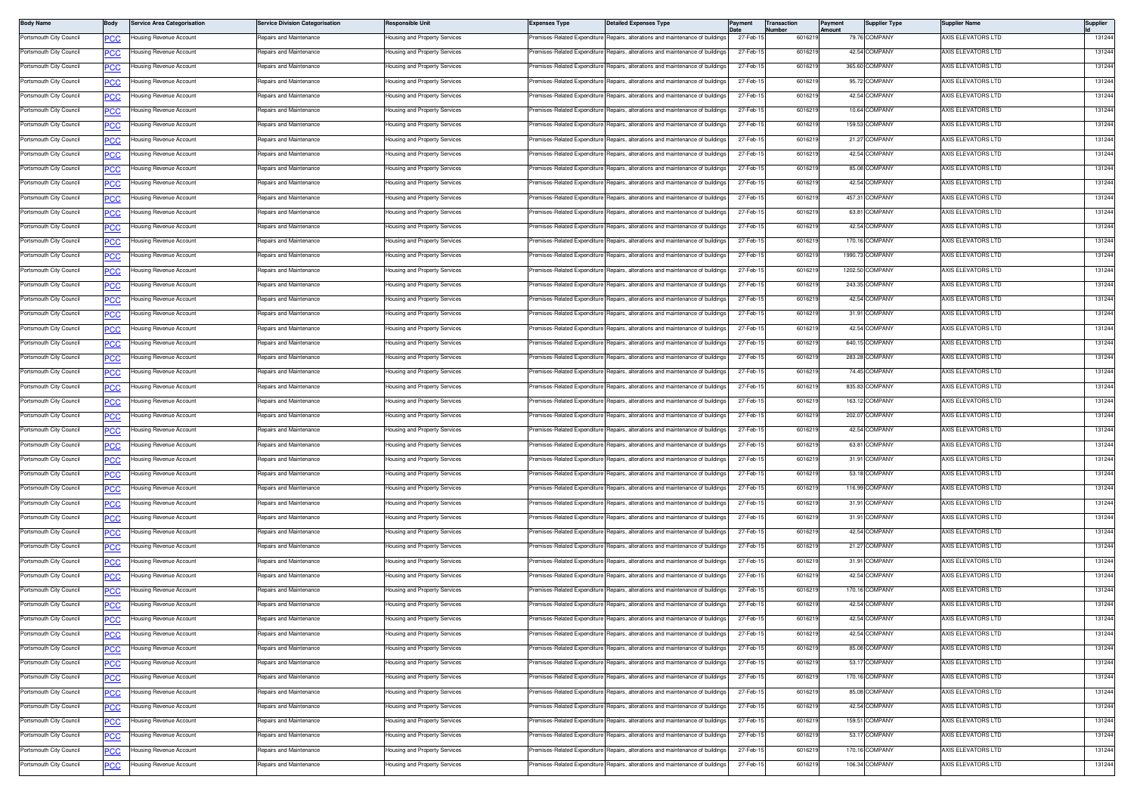| <b>Body Name</b>        | Body        | <b>Service Area Categorisation</b> | <b>Service Division Categorisation</b> | Responsible Unit                     | <b>Expenses Type</b>         | <b>Detailed Expenses Type</b>                                                  | Payment              | <b>Transaction</b><br>lumber | Payment<br>Amount | <b>Supplier Type</b>           | Supplier Name             | <b>Supplier</b>  |
|-------------------------|-------------|------------------------------------|----------------------------------------|--------------------------------------|------------------------------|--------------------------------------------------------------------------------|----------------------|------------------------------|-------------------|--------------------------------|---------------------------|------------------|
| Portsmouth City Council | сc          | lousing Revenue Account            | Repairs and Maintenance                | lousing and Property Services        |                              | remises-Related Expenditure Repairs, alterations and maintenance of buildings  | 27-Feb-1             | 601621                       |                   | 79.76 COMPANY                  | AXIS ELEVATORS LTD        | 131244           |
| Portsmouth City Council | <u>PCC</u>  | lousing Revenue Account            | Repairs and Maintenance                | lousing and Property Services        | remises-Related Expenditure  | Repairs, alterations and maintenance of buildings                              | 27-Feb-1             | 601621                       |                   | 42.54 COMPANY                  | AXIS ELEVATORS LTD        | 131244           |
| Portsmouth City Council | <u>PCC</u>  | lousing Revenue Account            | Repairs and Maintenance                | <b>Housing and Property Services</b> | Premises-Related Expenditure | Repairs, alterations and maintenance of buildings                              | 27-Feb-1             | 601621                       |                   | 365.60 COMPANY                 | AXIS ELEVATORS LTD        | 131244           |
| Portsmouth City Council | <u>PCC</u>  | Housing Revenue Account            | Repairs and Maintenance                | Housing and Property Services        | Premises-Related Expenditure | Repairs, alterations and maintenance of building                               | 27-Feb-              | 601621                       |                   | 95.72 COMPANY                  | AXIS ELEVATORS LTD        | 131244           |
| Portsmouth City Council | <b>PCC</b>  | lousing Revenue Account            | Repairs and Maintenance                | Housing and Property Services        | Premises-Related Expenditure | Repairs, alterations and maintenance of building                               | 27-Feb-1             | 601621                       |                   | 42.54 COMPANY                  | AXIS ELEVATORS LTD        | 131244           |
| Portsmouth City Council | <u>CC</u>   | lousing Revenue Account            | Repairs and Maintenance                | Housing and Property Services        | remises-Related Expenditure  | Repairs, alterations and maintenance of building                               | 27-Feb-1             | 6016219                      |                   | 10.64 COMPANY                  | AXIS ELEVATORS LTD        | 131244           |
| Portsmouth City Council | <b>PCC</b>  | lousing Revenue Account            | Repairs and Maintenance                | lousing and Property Services        | remises-Related Expenditure  | Repairs, alterations and maintenance of buildings                              | 27-Feb-1             | 601621                       |                   | 159.53 COMPANY                 | AXIS ELEVATORS LTD        | 131244           |
| Portsmouth City Council | <u>сс</u>   | Housing Revenue Account            | Repairs and Maintenance                | Housing and Property Services        | Premises-Related Expenditure | Repairs, alterations and maintenance of buildings                              | 27-Feb-1             | 6016219                      |                   | 21.27 COMPANY                  | AXIS ELEVATORS LTD        | 131244           |
| Portsmouth City Council | <b>PCC</b>  | Housing Revenue Account            | Repairs and Maintenance                | Housing and Property Services        | Premises-Related Expenditure | Repairs, alterations and maintenance of building                               | 27-Feb-1             | 60162                        |                   | 42.54 COMPANY                  | AXIS ELEVATORS LTD        | 131244           |
| Portsmouth City Council | <b>PCC</b>  | Housing Revenue Account            | Repairs and Maintenance                | Housing and Property Services        | Premises-Related Expenditure | Repairs, alterations and maintenance of building                               | 27-Feb-1             | 601621                       |                   | 85.08 COMPANY                  | AXIS ELEVATORS LTD        | 131244           |
| Portsmouth City Council | <u>PCC</u>  | lousing Revenue Account            | Repairs and Maintenance                | Housing and Property Services        | remises-Related Expenditure  | Repairs, alterations and maintenance of building                               | 27-Feb-1             | 6016219                      |                   | 42.54 COMPANY                  | AXIS ELEVATORS LTD        | 131244           |
| Portsmouth City Council | <b>PCC</b>  | Housing Revenue Account            | Repairs and Maintenance                | lousing and Property Services        | remises-Related Expenditure  | Repairs, alterations and maintenance of buildings                              | 27-Feb-1             | 601621                       |                   | 457.31 COMPANY                 | <b>VXIS ELEVATORS LTD</b> | 131244           |
| Portsmouth City Council | <u>PCC</u>  | <b>Housing Revenue Account</b>     | Repairs and Maintenance                | Housing and Property Services        | Premises-Related Expenditure | Repairs, alterations and maintenance of building                               | 27-Feb-1             | 601621                       |                   | 63.81 COMPANY                  | AXIS ELEVATORS LTD        | 131244           |
| Portsmouth City Council | PCC         | Housing Revenue Account            | Repairs and Maintenance                | Housing and Property Services        | remises-Related Expenditure  | Repairs, alterations and maintenance of building                               | 27-Feb-1             | 601621                       |                   | 42.54 COMPANY                  | AXIS ELEVATORS LTD        | 131244           |
| Portsmouth City Council | <b>PCC</b>  | lousing Revenue Account            | Repairs and Maintenance                | Housing and Property Services        | Premises-Related Expenditure | Repairs, alterations and maintenance of buildings                              | 27-Feb-15            | 601621                       |                   | 170.16 COMPANY                 | AXIS ELEVATORS LTD        | 131244           |
| Portsmouth City Council | <u>PCC</u>  | lousing Revenue Account            | Repairs and Maintenance                | lousing and Property Services        | remises-Related Expenditure  | Repairs, alterations and maintenance of building                               | 27-Feb-1             | 6016219                      |                   | 1990.73 COMPANY                | AXIS ELEVATORS LTD        | 131244           |
| Portsmouth City Council | <u>PCC</u>  | Housing Revenue Account            | Repairs and Maintenance                | Housing and Property Services        | remises-Related Expenditure  | Repairs, alterations and maintenance of building                               | 27-Feb-1             | 601621                       |                   | 1202.50 COMPANY                | <b>VXIS ELEVATORS LTD</b> | 131244           |
| Portsmouth City Council | <u>PCC</u>  | lousing Revenue Account            | Repairs and Maintenance                | Housing and Property Services        |                              | Premises-Related Expenditure Repairs, alterations and maintenance of building  | 27-Feb-1             | 601621                       |                   | 243.35 COMPANY                 | AXIS ELEVATORS LTD        | 131244           |
| Portsmouth City Council | <u>PCC</u>  | Housing Revenue Account            | Repairs and Maintenance                | Housing and Property Services        | Premises-Related Expenditure | Repairs, alterations and maintenance of building                               | 27-Feb-              | 601621                       |                   | 42.54 COMPANY                  | AXIS ELEVATORS LTD        | 131244           |
| Portsmouth City Council | <u>PCC</u>  | lousing Revenue Account            | Repairs and Maintenance                | Housing and Property Services        | remises-Related Expenditure  | lepairs, alterations and maintenance of building                               | 27-Feb-1             | 601621                       |                   | 31.91 COMPANY                  | AXIS ELEVATORS LTD        | 131244           |
| Portsmouth City Council | <b>CC</b>   | lousing Revenue Account            | Repairs and Maintenance                | lousing and Property Services        | remises-Related Expenditure  | Repairs, alterations and maintenance of building                               | 27-Feb-1             | 6016219                      |                   | 42.54 COMPANY                  | AXIS ELEVATORS LTD        | 131244           |
| Portsmouth City Council | <u>PCC</u>  | lousing Revenue Account            | Repairs and Maintenance                | <b>Housing and Property Services</b> | remises-Related Expenditure  | Repairs, alterations and maintenance of buildings                              | 27-Feb-1             | 601621                       |                   | 640.15 COMPANY                 | AXIS ELEVATORS LTD        | 131244           |
| Portsmouth City Council | <u>сс</u>   | lousing Revenue Account            | Repairs and Maintenance                | Housing and Property Services        | Premises-Related Expenditure | Repairs, alterations and maintenance of buildings                              | 27-Feb-1             | 601621                       |                   | 283.28 COMPANY                 | AXIS ELEVATORS LTD        | 131244           |
| Portsmouth City Council | <b>PCC</b>  | Housing Revenue Account            | Repairs and Maintenance                | Housing and Property Services        | Premises-Related Expenditure | Repairs, alterations and maintenance of building                               | 27-Feb-1             | 601621                       |                   | 74.45 COMPANY                  | AXIS ELEVATORS LTD        | 131244           |
| Portsmouth City Council | <u>PCC</u>  | lousing Revenue Account            | Repairs and Maintenance                | Housing and Property Services        | remises-Related Expenditure  | Repairs, alterations and maintenance of building                               | 27-Feb-1             | 601621                       |                   | 835.83 COMPANY                 | AXIS ELEVATORS LTD        | 131244           |
| Portsmouth City Council |             | Housing Revenue Account            | Repairs and Maintenance                | Housing and Property Services        | Premises-Related Expenditure | Repairs, alterations and maintenance of building                               | 27-Feb-1             | 6016219                      |                   | 163.12 COMPANY                 | AXIS ELEVATORS LTD        | 131244           |
| Portsmouth City Council | <u>PCC</u>  | Housing Revenue Account            | Repairs and Maintenance                | Housing and Property Services        | remises-Related Expenditure  | Repairs, alterations and maintenance of buildings                              | 27-Feb-1             | 601621                       |                   | 202.07 COMPANY                 | <b>VXIS ELEVATORS LTD</b> | 131244           |
| Portsmouth City Council | <b>PCC</b>  | <b>Housing Revenue Account</b>     | Repairs and Maintenance                | Housing and Property Services        | Premises-Related Expenditure | Repairs, alterations and maintenance of building                               | 27-Feb-1             | 6016219                      |                   | 42.54 COMPANY                  | AXIS ELEVATORS LTD        | 131244           |
| Portsmouth City Council | <b>PCC</b>  | Housing Revenue Account            | Repairs and Maintenance                |                                      | remises-Related Expenditure  | Repairs, alterations and maintenance of building                               | 27-Feb-1             | 601621                       |                   | 63.81 COMPANY                  | AXIS ELEVATORS LTD        | 131244           |
|                         | PCC         |                                    |                                        | Housing and Property Services        |                              |                                                                                |                      |                              |                   |                                |                           |                  |
| Portsmouth City Council | <u>PCC</u>  | lousing Revenue Account            | Repairs and Maintenance                | lousing and Property Services        | remises-Related Expenditure  | lepairs, alterations and maintenance of building                               | 27-Feb-1<br>27-Feb-1 | 601621                       |                   | 31.91 COMPANY<br>53.18 COMPANY | AXIS ELEVATORS LTD        | 131244<br>131244 |
| Portsmouth City Council | <u>PCC</u>  | lousing Revenue Account            | Repairs and Maintenance                | lousing and Property Services        | remises-Related Expenditure  | Repairs, alterations and maintenance of building                               |                      | 6016219                      |                   |                                | AXIS ELEVATORS LTD        |                  |
| Portsmouth City Council | <u>PCC</u>  | Housing Revenue Account            | Repairs and Maintenance                | lousing and Property Services        | remises-Related Expenditure  | Repairs, alterations and maintenance of buildings                              | 27-Feb-1             | 601621                       |                   | 116.99 COMPANY                 | <b>VXIS ELEVATORS LTD</b> | 131244           |
| Portsmouth City Council | <u>PCC</u>  | lousing Revenue Account            | Repairs and Maintenance                | Housing and Property Services        | Premises-Related Expenditure | Repairs, alterations and maintenance of building                               | 27-Feb-1             | 601621                       |                   | 31.91 COMPANY                  | AXIS ELEVATORS LTD        | 131244           |
| Portsmouth City Council | <u>PCC</u>  | Housing Revenue Account            | Repairs and Maintenance                | Housing and Property Services        | Premises-Related Expenditure | Repairs, alterations and maintenance of building                               | 27-Feb-1             | 601621                       |                   | 31.91 COMPANY                  | AXIS ELEVATORS LTD        | 131244           |
| Portsmouth City Council | <u>PCC</u>  | lousing Revenue Account            | Repairs and Maintenance                | Housing and Property Services        | remises-Related Expenditure  | Repairs, alterations and maintenance of building                               | 27-Feb-1             | 601621                       |                   | 42.54 COMPANY                  | AXIS ELEVATORS LTD        | 131244           |
| Portsmouth City Council | <u>CC</u>   | lousing Revenue Account            | Repairs and Maintenance                | lousing and Property Services        | remises-Related Expenditure  | Repairs, alterations and maintenance of building                               | 27-Feb-1             | 6016219                      |                   | 21.27 COMPANY                  | AXIS ELEVATORS LTD        | 131244           |
| Portsmouth City Council | <u>PCC</u>  | lousing Revenue Account            | Repairs and Maintenance                | lousing and Property Services        | remises-Related Expenditure  | Repairs, alterations and maintenance of buildings                              | 27-Feb-1             | 601621                       |                   | 31.91 COMPANY                  | AXIS ELEVATORS LTD        | 131244           |
| Portsmouth City Council | <u>CC</u>   | Housing Revenue Account            | Repairs and Maintenance                | Housing and Property Services        | Premises-Related Expenditure | Repairs, alterations and maintenance of building                               | 27-Feb-1             | 601621                       |                   | 42.54 COMPANY                  | AXIS ELEVATORS LTD        | 131244           |
| Portsmouth City Council | <b>PCC</b>  | Housing Revenue Account            | Repairs and Maintenance                | Housing and Property Services        | Premises-Related Expenditure | Repairs, alterations and maintenance of building                               | 27-Feb-1             | 601621                       |                   | 170.16 COMPANY                 | AXIS ELEVATORS LTD        | 131244           |
| Portsmouth City Council | <u>CC</u>   | Housing Revenue Account            | Repairs and Maintenance                | <b>Housing and Property Services</b> | remises-Related Expenditure  | Repairs, alterations and maintenance of building                               | 27-Feb-1             | 601621                       |                   | 42.54 COMPANY                  | AXIS ELEVATORS LTD        | 131244           |
| Portsmouth City Council | <b>PCC</b>  | Housing Revenue Account            | Repairs and Maintenance                | Housing and Property Services        |                              | Premises-Related Expenditure Repairs, alterations and maintenance of buildings | 27-Feb-15            | 6016219                      |                   | 42.54 COMPANY                  | AXIS ELEVATORS LTD        | 131244           |
| Portsmouth City Council | <b>PCC</b>  | lousing Revenue Account            | Repairs and Maintenance                | lousing and Property Services        | remises-Related Expenditure  | Repairs, alterations and maintenance of buildings                              | 27-Feb-1             | 6016219                      |                   | 42.54 COMPANY                  | AXIS ELEVATORS LTD        | 131244           |
| Portsmouth City Council | <b>PCC</b>  | lousing Revenue Account            | Repairs and Maintenance                | Housing and Property Services        | Premises-Related Expenditure | Repairs, alterations and maintenance of buildings                              | 27-Feb-1             | 6016219                      |                   | 85.08 COMPANY                  | AXIS ELEVATORS LTD        | 131244           |
| Portsmouth City Council | <u>PCC</u>  | Housing Revenue Account            | Repairs and Maintenance                | Housing and Property Services        | remises-Related Expenditure  | Repairs, alterations and maintenance of building                               | 27-Feb-1             | 601621                       |                   | 53.17 COMPANY                  | AXIS ELEVATORS LTD        | 131244           |
| Portsmouth City Council |             | lousing Revenue Account            | Repairs and Maintenance                | lousing and Property Services        | remises-Related Expenditure  | Repairs, alterations and maintenance of building                               | 27-Feb-15            | 601621                       |                   | 170.16 COMPANY                 | AXIS ELEVATORS LTD        | 131244           |
| Portsmouth City Council | <u>PCC</u>  | lousing Revenue Account            | Repairs and Maintenance                | Housing and Property Services        | Premises-Related Expenditure | Repairs, alterations and maintenance of buildings                              | 27-Feb-15            | 6016219                      |                   | 85.08 COMPANY                  | AXIS ELEVATORS LTD        | 131244           |
| Portsmouth City Council | <u>PCC</u>  | Housing Revenue Account            | Repairs and Maintenance                | lousing and Property Services        | remises-Related Expenditure  | Repairs, alterations and maintenance of buildings                              | 27-Feb-1             | 601621                       |                   | 42.54 COMPANY                  | AXIS ELEVATORS LTD        | 131244           |
| Portsmouth City Council | <b>PCC</b>  | lousing Revenue Account            | Repairs and Maintenance                | Housing and Property Services        | Premises-Related Expenditure | Repairs, alterations and maintenance of buildings                              | 27-Feb-1             | 601621                       |                   | 159.51 COMPANY                 | AXIS ELEVATORS LTD        | 131244           |
| Portsmouth City Council | <u>PCC</u>  | Housing Revenue Account            | Repairs and Maintenance                | Housing and Property Services        | Premises-Related Expenditure | Repairs, alterations and maintenance of building                               | 27-Feb-1             | 601621                       |                   | 53.17 COMPANY                  | AXIS ELEVATORS LTD        | 131244           |
| Portsmouth City Council | <u>PCC </u> | lousing Revenue Account            | Repairs and Maintenance                | lousing and Property Services        | remises-Related Expenditure  | lepairs, alterations and maintenance of building                               | 27-Feb-1             | 601621                       |                   | 170.16 COMPANY                 | AXIS ELEVATORS LTD        | 131244           |
| Portsmouth City Council | <b>CC</b>   | Housing Revenue Account            | Repairs and Maintenance                | Housing and Property Services        | Premises-Related Expenditure | Repairs, alterations and maintenance of buildings                              | 27-Feb-1             | 6016219                      |                   | 106.34 COMPANY                 | AXIS ELEVATORS LTD        | 131244           |
|                         |             |                                    |                                        |                                      |                              |                                                                                |                      |                              |                   |                                |                           |                  |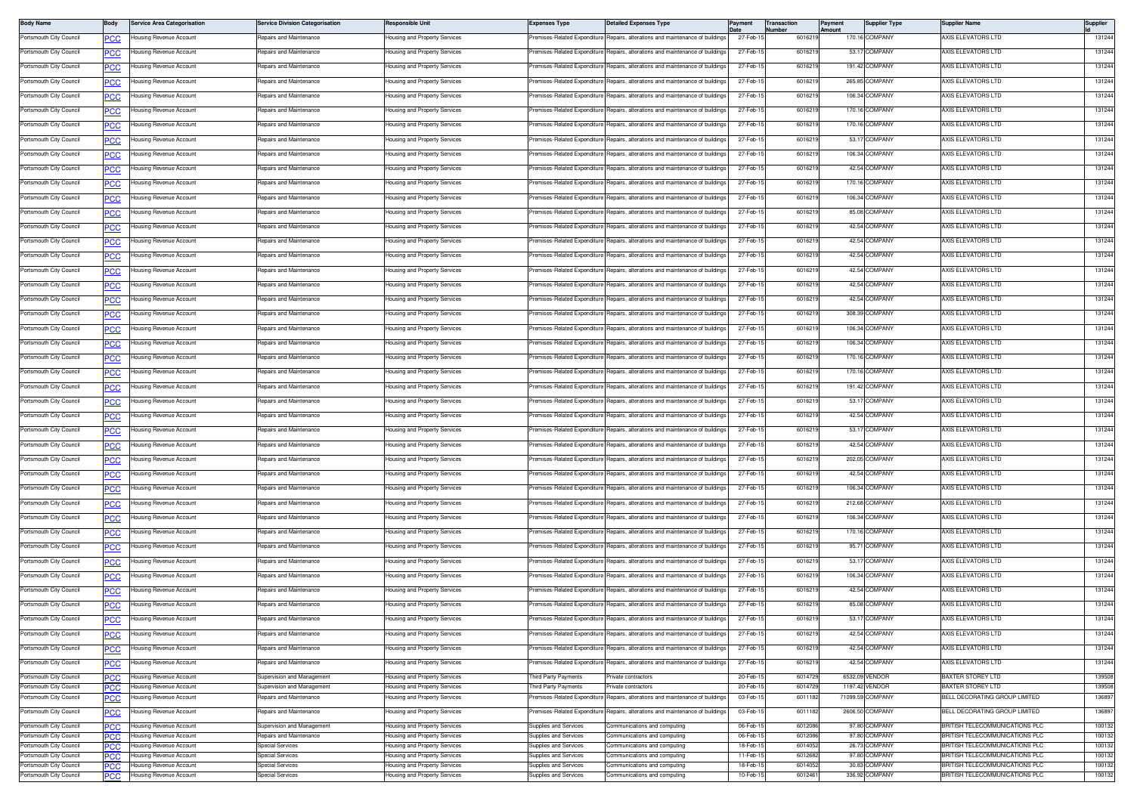| <b>Body Name</b>                                   | Body               | Service Area Categorisation                        | <b>Service Division Categorisation</b>                   | Responsible Unit                                               | <b>Expenses Type</b>                           | <b>Detailed Expenses Type</b>                                                  | Payment              | Transaction<br>lumber | Payment<br>Amount | <b>Supplier Type</b>             | <b>Supplier Name</b>                                             | Supplier         |
|----------------------------------------------------|--------------------|----------------------------------------------------|----------------------------------------------------------|----------------------------------------------------------------|------------------------------------------------|--------------------------------------------------------------------------------|----------------------|-----------------------|-------------------|----------------------------------|------------------------------------------------------------------|------------------|
| Portsmouth City Council                            | <b>PCC</b>         | lousing Revenue Account                            | Repairs and Maintenance                                  | lousing and Property Services                                  | remises-Related Expenditure                    | Repairs, alterations and maintenance of buildings                              | 27-Feb-1             | 601621                |                   | 170.16 COMPANY                   | AXIS ELEVATORS LTD                                               | 131244           |
| Portsmouth City Council                            | <u>PCC</u>         | lousing Revenue Account                            | Repairs and Maintenance                                  | lousing and Property Services                                  | remises-Related Expenditure                    | Repairs, alterations and maintenance of buildings                              | 27-Feb-1             | 601621                |                   | 53.17 COMPANY                    | AXIS ELEVATORS LTD                                               | 131244           |
| Portsmouth City Council                            | <b>PCC</b>         | lousing Revenue Account                            | Repairs and Maintenance                                  | lousing and Property Services                                  | Premises-Related Expenditure                   | Repairs, alterations and maintenance of buildings                              | 27-Feb-1             | 601621                |                   | 191.42 COMPANY                   | AXIS ELEVATORS LTD                                               | 131244           |
| Portsmouth City Council                            | PСC                | lousing Revenue Account                            | Repairs and Maintenance                                  | Housing and Property Services                                  | remises-Related Expenditure                    | Repairs, alterations and maintenance of buildings                              | 27-Feb-1             | 601621                |                   | 265.85 COMPANY                   | AXIS ELEVATORS LTD                                               | 131244           |
| Portsmouth City Council                            | <u>PCC</u>         | lousing Revenue Account                            | Repairs and Maintenance                                  | lousing and Property Services                                  | remises-Related Expenditure                    | Repairs, alterations and maintenance of buildings                              | 27-Feb-1             | 601621                |                   | 106.34 COMPANY                   | AXIS ELEVATORS LTD                                               | 131244           |
| Portsmouth City Council                            | <u>PCC</u>         | lousing Revenue Account                            | Repairs and Maintenance                                  | Housing and Property Services                                  | Premises-Related Expenditure                   | Repairs, alterations and maintenance of buildings                              | 27-Feb-1             | 601621                |                   | 170.16 COMPANY                   | AXIS ELEVATORS LTD                                               | 131244           |
| Portsmouth City Council                            | <u>PCC</u>         | Housing Revenue Account                            | Repairs and Maintenance                                  | lousing and Property Services                                  | Premises-Related Expenditure                   | Repairs, alterations and maintenance of building:                              | 27-Feb-              | 601621                |                   | 170.16 COMPANY                   | AXIS ELEVATORS LTD                                               | 131244           |
| Portsmouth City Council                            | <b>PCC</b>         | lousing Revenue Account                            | Repairs and Maintenance                                  | Housing and Property Services                                  |                                                | Premises-Related Expenditure Repairs, alterations and maintenance of buildings | 27-Feb-1             | 601621                |                   | 53.17 COMPANY                    | AXIS ELEVATORS LTD                                               | 131244           |
| Portsmouth City Council                            | PСC                | lousing Revenue Account                            | Repairs and Maintenance                                  | Housing and Property Services                                  | Premises-Related Expenditure                   | Repairs, alterations and maintenance of buildings                              | 27-Feb-1             | 601621                |                   | 106.34 COMPANY                   | AXIS ELEVATORS LTD                                               | 131244           |
| Portsmouth City Council                            | <b>PCC</b>         | lousing Revenue Account                            | Repairs and Maintenance                                  | lousing and Property Services                                  | remises-Related Expenditure                    | Repairs, alterations and maintenance of buildings                              | 27-Feb-1             | 601621                |                   | 42.54 COMPANY                    | AXIS ELEVATORS LTD                                               | 131244           |
| Portsmouth City Council                            | <u>PCC</u>         | lousing Revenue Account                            | Repairs and Maintenance                                  | lousing and Property Services                                  | remises-Related Expenditure                    | Repairs, alterations and maintenance of buildings                              | 27-Feb-1             | 601621                |                   | 170.16 COMPANY                   | AXIS ELEVATORS LTD                                               | 131244           |
| Portsmouth City Council                            | <b>PCC</b>         | lousing Revenue Account                            | Repairs and Maintenance                                  | <b>Housing and Property Services</b>                           | remises-Related Expenditure                    | Repairs, alterations and maintenance of building                               | 27-Feb-1             | 601621                |                   | 106.34 COMPANY                   | AXIS ELEVATORS LTD                                               | 131244           |
| Portsmouth City Council                            |                    | lousing Revenue Account                            | Repairs and Maintenance                                  | lousing and Property Services                                  | remises-Related Expenditure                    | Repairs, alterations and maintenance of buildings                              | 27-Feb-1             | 601621                |                   | 85.08 COMPANY                    | AXIS ELEVATORS LTD                                               | 131244           |
| Portsmouth City Council                            | <b>PCC</b>         | lousing Revenue Account                            | Repairs and Maintenance                                  | Housing and Property Services                                  | remises-Related Expenditure                    | Repairs, alterations and maintenance of buildings                              | 27-Feb-1             | 601621                |                   | 42.54 COMPANY                    | AXIS ELEVATORS LTD                                               | 131244           |
| Portsmouth City Council                            | PСC                | lousing Revenue Account                            | Repairs and Maintenance                                  | lousing and Property Services                                  | remises-Related Expenditure                    | Repairs, alterations and maintenance of buildings                              | 27-Feb-1             | 601621                |                   | 42.54 COMPANY                    | AXIS ELEVATORS LTD                                               | 131244           |
|                                                    | <u>PCC</u>         |                                                    | Repairs and Maintenance                                  |                                                                |                                                | Premises-Related Expenditure Repairs, alterations and maintenance of buildings | 27-Feb-1             |                       |                   | 42.54 COMPANY                    | AXIS ELEVATORS LTD                                               | 131244           |
| Portsmouth City Council                            |                    | Housing Revenue Account                            |                                                          | Housing and Property Services                                  |                                                |                                                                                |                      | 601621                |                   |                                  |                                                                  |                  |
| Portsmouth City Council                            | <u>PCC</u>         | lousing Revenue Account                            | Repairs and Maintenance                                  | lousing and Property Services                                  | remises-Related Expenditure                    | Repairs, alterations and maintenance of building                               | 27-Feb-              | 601621                |                   | 42.54 COMPANY                    | <b>VXIS ELEVATORS LTD</b>                                        | 131244           |
| Portsmouth City Council                            | <b>PCC</b>         | Housing Revenue Account                            | Repairs and Maintenance                                  | Housing and Property Services                                  |                                                | Premises-Related Expenditure Repairs, alterations and maintenance of buildings | 27-Feb-1             | 601621                |                   | 42.54 COMPANY                    | AXIS ELEVATORS LTD                                               | 131244           |
| Portsmouth City Council                            | PСC                | lousing Revenue Account                            | Repairs and Maintenance                                  | Housing and Property Services                                  | Premises-Related Expenditure                   | Repairs, alterations and maintenance of building:                              | 27-Feb-1             | 601621                |                   | 42.54 COMPANY                    | AXIS ELEVATORS LTD                                               | 131244           |
| Portsmouth City Council                            | <b>PCC</b>         | lousing Revenue Account                            | Repairs and Maintenance                                  | lousing and Property Services                                  | remises-Related Expenditure                    | Repairs, alterations and maintenance of buildings                              | 27-Feb-1             | 601621                |                   | 308.39 COMPANY                   | AXIS ELEVATORS LTD                                               | 131244           |
| Portsmouth City Council                            | <u>PCC</u>         | lousing Revenue Account                            | Repairs and Maintenance                                  | Housing and Property Services                                  |                                                | Premises-Related Expenditure Repairs, alterations and maintenance of buildings | 27-Feb-1             | 601621                |                   | 106.34 COMPANY                   | AXIS ELEVATORS LTD                                               | 131244           |
| Portsmouth City Council                            | <b>PCC</b>         | Housing Revenue Account                            | Repairs and Maintenance                                  | lousing and Property Services                                  | remises-Related Expenditure                    | Repairs, alterations and maintenance of building                               | 27-Feb-1             | 601621                |                   | 106.34 COMPANY                   | AXIS ELEVATORS LTD                                               | 131244           |
| Portsmouth City Council                            | <b>PCC</b>         | lousing Revenue Account                            | Repairs and Maintenance                                  | <b>Housing and Property Services</b>                           | remises-Related Expenditure                    | Repairs, alterations and maintenance of buildings                              | 27-Feb-1             | 601621                |                   | 170.16 COMPANY                   | AXIS ELEVATORS LTD                                               | 131244           |
| Portsmouth City Council                            | PСC                | lousing Revenue Account                            | Repairs and Maintenance                                  | Housing and Property Services                                  | remises-Related Expenditure                    | Repairs, alterations and maintenance of buildings                              | 27-Feb-1             | 601621                |                   | 170.16 COMPANY                   | AXIS ELEVATORS LTD                                               | 131244           |
| Portsmouth City Council                            | <u>PCC</u>         | lousing Revenue Account                            | Repairs and Maintenance                                  | lousing and Property Services                                  | remises-Related Expenditure                    | Repairs, alterations and maintenance of buildings                              | 27-Feb-1             | 601621                |                   | 191.42 COMPANY                   | AXIS ELEVATORS LTD                                               | 131244           |
| Portsmouth City Council                            |                    | Housing Revenue Account                            | <b>Benairs and Maintenance</b>                           | Housing and Property Services                                  |                                                | Premises-Related Expenditure Repairs, alterations and maintenance of buildings | 27-Feb-1             | 6016219               |                   | 53.17 COMPANY                    | AXIS ELEVATORS LTD                                               | 131244           |
| Portsmouth City Council                            | <u>PCC</u>         | Housing Revenue Account                            | Repairs and Maintenance                                  | lousing and Property Services                                  | remises-Related Expenditure                    | Repairs, alterations and maintenance of building:                              | 27-Feb-              | 601621                |                   | 42.54 COMPANY                    | AXIS ELEVATORS LTD                                               | 131244           |
| Portsmouth City Council                            | <b>PCC</b>         | Housing Revenue Account                            | Repairs and Maintenance                                  | Housing and Property Services                                  |                                                | Premises-Related Expenditure Repairs, alterations and maintenance of buildings | 27-Feb-1             | 601621                |                   | 53.17 COMPANY                    | AXIS ELEVATORS LTD                                               | 131244           |
| Portsmouth City Council                            | PСC                | lousing Revenue Account                            | Repairs and Maintenance                                  | Housing and Property Services                                  | Premises-Related Expenditure                   | Repairs, alterations and maintenance of building:                              | 27-Feb-1             | 601621                |                   | 42.54 COMPANY                    | AXIS ELEVATORS LTD                                               | 131244           |
| Portsmouth City Council                            | PCC                | lousing Revenue Account                            | Repairs and Maintenance                                  | lousing and Property Services                                  | remises-Related Expenditure                    | Repairs, alterations and maintenance of buildings                              | 27-Feb-1             | 601621                |                   | 202.05 COMPANY                   | AXIS ELEVATORS LTD                                               | 131244           |
| Portsmouth City Council                            | <u>PCC</u>         | lousing Revenue Account                            | Repairs and Maintenance                                  | lousing and Property Services                                  |                                                | Premises-Related Expenditure Repairs, alterations and maintenance of buildings | 27-Feb-1             | 601621                |                   | 42.54 COMPANY                    | AXIS ELEVATORS LTD                                               | 131244           |
| Portsmouth City Council                            | <b>PCC</b>         | Housing Revenue Account                            | Repairs and Maintenance                                  | lousing and Property Services                                  | remises-Related Expenditure                    | Repairs, alterations and maintenance of building                               | 27-Feb-1             | 601621                |                   | 106.34 COMPANY                   | AXIS ELEVATORS LTD                                               | 131244           |
| Portsmouth City Council                            | <b>PCC</b>         | lousing Revenue Account                            | Repairs and Maintenance                                  | Housing and Property Services                                  |                                                | Premises-Related Expenditure Repairs, alterations and maintenance of buildings | 27-Feb-1             | 601621                |                   | 212.68 COMPANY                   | AXIS ELEVATORS LTD                                               | 131244           |
| Portsmouth City Council                            | PСC                | Housing Revenue Account                            | Repairs and Maintenance                                  | Housing and Property Services                                  | Premises-Related Expenditure                   | Repairs, alterations and maintenance of buildings                              | 27-Feb-1             | 601621                |                   | 106.34 COMPANY                   | AXIS ELEVATORS LTD                                               | 131244           |
| Portsmouth City Council                            | <b>PCC</b>         | lousing Revenue Account                            | Repairs and Maintenance                                  | lousing and Property Services                                  | Premises-Related Expenditure                   | Repairs, alterations and maintenance of buildings                              | 27-Feb-1             | 601621                |                   | 170.16 COMPANY                   | AXIS ELEVATORS LTD                                               | 131244           |
| Portsmouth City Council                            | <u>PCC</u>         | Housing Revenue Account                            | Repairs and Maintenance                                  | Housing and Property Services                                  |                                                | Premises-Related Expenditure Repairs, alterations and maintenance of buildings | 27-Feb-1             | 6016219               |                   | 95.71 COMPANY                    | AXIS ELEVATORS LTD                                               | 131244           |
| Portsmouth City Council                            |                    | Housing Revenue Account                            | Repairs and Maintenance                                  | lousing and Property Services                                  | remises-Related Expenditure                    | Repairs, alterations and maintenance of building                               | 27-Feb-1             | 601621                |                   | 53.17 COMPANY                    | AXIS ELEVATORS LTD                                               | 131244           |
| Portsmouth City Council                            | <u>PCC</u>         | Housing Revenue Account                            | Repairs and Maintenance                                  | Housing and Property Services                                  |                                                | Premises-Related Expenditure Repairs, alterations and maintenance of buildings | 27-Feb-1             | 601621                |                   | 106.34 COMPANY                   | AXIS ELEVATORS LTD                                               | 131244           |
| Portsmouth City Council                            | <b>PCC</b>         | lousing Revenue Account                            | Repairs and Maintenance                                  | Housing and Property Services                                  | remises-Related Expenditure                    | Repairs, alterations and maintenance of building                               | 27-Feb-1             | 601621                |                   | 42.54 COMPANY                    | AXIS ELEVATORS LTD                                               | 131244           |
| Portsmouth City Council                            |                    | Housing Revenue Account                            | Repairs and Maintenance                                  | lousing and Property Services                                  | remises-Related Expenditure                    | Repairs, alterations and maintenance of buildings                              | 27-Feb-1             | 601621                |                   | 85.08 COMPANY                    | AXIS ELEVATORS LTD                                               | 131244           |
| Portsmouth City Council                            | <b>PCC</b>         |                                                    | Repairs and Maintenance                                  |                                                                |                                                | Premises-Related Expenditure Repairs, alterations and maintenance of buildings | 27-Feb-1             | 6016219               |                   | 53.17 COMPANY                    | AXIS ELEVATORS LTD                                               | 131244           |
|                                                    | <b>PCC</b>         | Housing Revenue Account                            |                                                          | Housing and Property Services                                  |                                                | Repairs, alterations and maintenance of buildings                              |                      |                       |                   | 42.54 COMPANY                    |                                                                  | 131244           |
| Portsmouth City Council                            | <u>PCC</u>         | lousing Revenue Account                            | Repairs and Maintenance                                  | lousing and Property Services                                  | remises-Related Expenditure                    |                                                                                | 27-Feb-1             | 601621                |                   |                                  | AXIS ELEVATORS LTD                                               |                  |
| Portsmouth City Council                            | <b>PCC</b>         | lousing Revenue Account                            | Repairs and Maintenance                                  | Housing and Property Services                                  |                                                | remises-Related Expenditure Repairs, alterations and maintenance of buildings  | 27-Feb-1             | 601621                |                   | 42.54 COMPANY                    | AXIS ELEVATORS LTD                                               | 131244           |
| Portsmouth City Council                            | $\overline{PCC}$   | lousing Revenue Account                            | Repairs and Maintenance                                  | Housing and Property Services                                  |                                                | Premises-Related Expenditure Repairs, alterations and maintenance of building  | 27-Feb-1             | 6016219               |                   | 42.54 COMPANY                    | AXIS ELEVATORS LTD                                               | 131244           |
| Portsmouth City Council<br>Portsmouth City Council | <b>PCC</b><br>PCC. | lousing Revenue Account<br>lousing Revenue Account | Supervision and Management<br>Supervision and Management | lousing and Property Services<br>lousing and Property Services | hird Party Payments<br>hird Party Payments     | rivate contractors<br>rivate contractors                                       | 20-Feb-1<br>20-Feb-1 | 6014729<br>6014729    |                   | 6532.09 VENDOR<br>1197.42 VENDOR | BAXTER STOREY LTD<br>BAXTER STOREY LTD                           | 139508<br>139508 |
| Portsmouth City Council                            | 'CC                | ousing Revenue Account                             | Repairs and Maintenance                                  | lousing and Property Services                                  | emises-Related Expenditure                     | Repairs, alterations and maintenance of building                               | 03-Feb-1             | 6011182               |                   | 71099.59 COMPANY                 | BELL DECORATING GROUP LIMITED                                    | 136897           |
| Portsmouth City Council                            | <u>PCC</u>         | lousing Revenue Account                            | Repairs and Maintenance                                  | lousing and Property Services                                  | remises-Related Expenditure                    | Repairs, alterations and maintenance of buildings                              | 03-Feb-1             | 6011182               |                   | 2606.50 COMPANY                  | BELL DECORATING GROUP LIMITED                                    | 136897           |
| Portsmouth City Council                            | PCC                | Housing Revenue Account                            | Supervision and Management                               | lousing and Property Services                                  | Supplies and Services                          | Communications and computing                                                   | 06-Feb-1             | 6012086               |                   | 97.80 COMPANY                    | BRITISH TELECOMMUNICATIONS PLC                                   | 100132           |
| Portsmouth City Council                            | nr                 | lousing Revenue Account                            | Repairs and Maintenance                                  | lousing and Property Services                                  | Supplies and Services                          | Communications and computing                                                   | 06-Feb-1             | 601208                |                   | 97.80 COMPANY<br>26.73 COMPANY   | BRITISH TELECOMMUNICATIONS PLC                                   | 100132           |
| Portsmouth City Council<br>Portsmouth City Council | PCC<br>PCC.        | Housing Revenue Account<br>lousing Revenue Account | <b>Special Services</b><br><b>Special Services</b>       | lousing and Property Services<br>lousing and Property Services | Supplies and Services<br>Supplies and Services | communications and computing<br>ommunications and computing                    | 18-Feb-1<br>11-Feb-1 | 6014052<br>6012682    |                   | 97.80 COMPANY                    | BRITISH TELECOMMUNICATIONS PLC<br>BRITISH TELECOMMUNICATIONS PLC | 100132<br>100132 |
| Portsmouth City Council                            | PCC                | Housing Revenue Account                            | <b>Special Services</b>                                  | Housing and Property Services                                  | Supplies and Services                          | Communications and computing                                                   | 18-Feb-1             | 6014052               |                   | 30.83 COMPANY                    | BRITISH TELECOMMUNICATIONS PLC                                   | 100132           |
| Portsmouth City Council                            | <b>PCC</b>         | Housing Revenue Account                            | Special Services                                         | Housing and Property Services                                  | Supplies and Services                          | Communications and computing                                                   | 10-Feb-1             | 6012461               |                   | 336.92 COMPANY                   | BRITISH TELECOMMUNICATIONS PLC                                   | 100132           |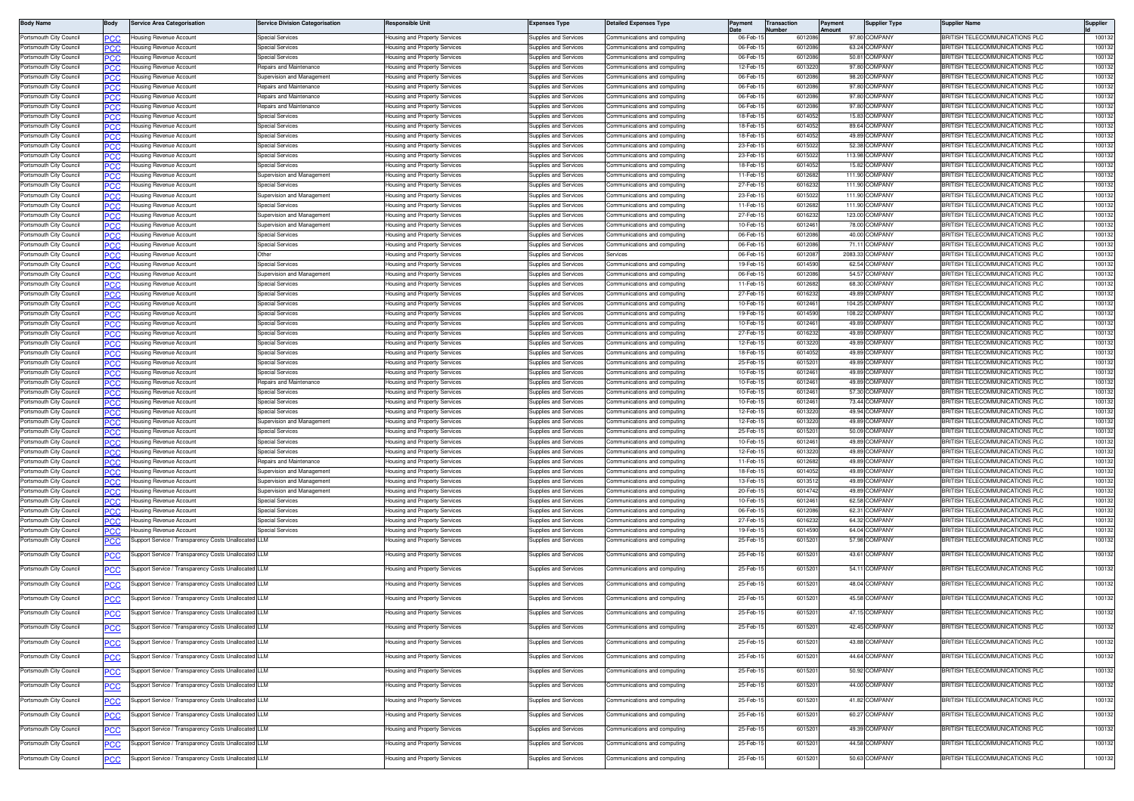| <b>Body Name</b>                                   | iody        | Service Area Categorisation                          | <b>Service Division Categorisation</b>                | Responsible Unit                                               | <b>Expenses Type</b>                           | <b>Detailed Expenses Type</b>                                | 'avment             | ransactior       | ayment<br>mount | Supplier Type                    | Supplier Name                                                  | Supplier       |
|----------------------------------------------------|-------------|------------------------------------------------------|-------------------------------------------------------|----------------------------------------------------------------|------------------------------------------------|--------------------------------------------------------------|---------------------|------------------|-----------------|----------------------------------|----------------------------------------------------------------|----------------|
| ortsmouth City Council                             | сc          | Housing Revenue Account                              | Special Services                                      | Housing and Property Services                                  | Supplies and Services                          | Communications and computing                                 | 06-Feb-             | 601208           |                 | 97.80 COMPANY                    | RITISH TELECOMMUNICATIONS PLC                                  | 10013          |
| ortsmouth City Council                             | сc          | Housing Revenue Account                              | Special Services                                      | Housing and Property Services                                  | Supplies and Services                          | communications and computing                                 | 06-Feb-             | 601208           | 63.24           | COMPANY                          | RITISH TELECOMMUNICATIONS PLC                                  | 100132         |
| Portsmouth City Council                            | <b>CC.</b>  | lousing Revenue Account                              | Special Service:                                      | Housing and Property Services                                  | Supplies and Services                          | ommunications and computing                                  | 06-Feb-             | 601208           | 50.81           | <b>COMPANY</b>                   | RITISH TELECOMMUNICATIONS PLC                                  | 10013          |
| ortsmouth City Council                             | 'CC         | ousing Revenue Accoun                                | epairs and Maintenance                                | lousing and Property Services                                  | upplies and Services                           | ommunications and computing                                  | 12-Feb              | 60132            | 97.8            | <b>OMPANY</b>                    | RITISH TELECOMMUNICATIONS PLC                                  | 10013          |
| ortsmouth City Council?                            | PCC         | Housing Revenue Account                              | Supervision and Management                            | Housing and Property Services                                  | <b>Supplies and Services</b>                   | Communications and computing                                 | 06-Feb-             | 601208           |                 | 98.20 COMPANY                    | RITISH TELECOMMUNICATIONS PLC                                  | 10013          |
| 'ortsmouth City Council                            | 'CC         | lousing Revenue Account                              | Repairs and Maintenance                               | Housing and Property Services                                  | Supplies and Services                          | Communications and computing                                 | 06-Feb-             | 601208           |                 | 97.80 COMPANY                    | RITISH TELECOMMUNICATIONS PLC                                  | 10013          |
| ortsmouth City Council?                            | ንርር         | Housing Revenue Account                              | Repairs and Maintenance                               | Housing and Property Services                                  | Supplies and Services                          | Communications and computing                                 | 06-Feb-             | 601208           |                 | 97.80 COMPANY                    | <b>BRITISH TELECOMMUNICATIONS PLC</b>                          | 10013          |
| Portsmouth City Council                            |             | Housina Revenue Account                              | Repairs and Maintenance                               | Housing and Property Services                                  | Supplies and Services                          | ommunications and computing                                  | 06-Feb-             | 601208           | 97.80           | <b>COMPANY</b>                   | RITISH TELECOMMUNICATIONS PLC                                  | 10013          |
| ortsmouth City Council<br>ortsmouth City Council   | °СС         | Housina Revenue Account<br>Housing Revenue Account   | Special Services<br><b>Special Services</b>           | Housing and Property Services                                  | Supplies and Services<br>Supplies and Services | Communications and computing<br>Communications and computing | 18-Feb-1<br>18-Feb- | 601405<br>601405 | 15.83           | <b>COMPANY</b><br>89.64 COMPANY  | RITISH TELECOMMUNICATIONS PLC<br>RITISH TELECOMMUNICATIONS PLC | 10013<br>10013 |
| ortsmouth City Council                             | 'nС<br>сc   | lousing Revenue Account                              | <b>Special Services</b>                               | Housing and Property Services<br>lousing and Property Services | Supplies and Services                          | Communications and computing                                 | 18-Feb-1            | 601405           |                 | 49.89 COMPANY                    | RITISH TELECOMMUNICATIONS PLC                                  | 10013          |
| 'ortsmouth City Council                            | PCC.        | lousing Revenue Accoun                               | Special Service:                                      | Housing and Property Services                                  | <b>Supplies and Services</b>                   | communications and computing                                 | 23-Feb-1            | 601502           |                 | 52.38 COMPANY                    | RITISH TELECOMMUNICATIONS PLC                                  | 10013          |
| ortsmouth City Council                             | °СС         | ousina Revenue Accoun                                | Special Services                                      | lousing and Property Services                                  | upplies and Services                           | mmunications and computing                                   | 23-Feb-             | 601502           | 113.98          | <b>COMPANY</b>                   | RITISH TELECOMMUNICATIONS PLC                                  | 10013          |
| 'ortsmouth City Council                            | PCC         | Housing Revenue Account                              | <b>Special Services</b>                               | lousing and Property Services                                  | <b>Supplies and Services</b>                   | Communications and computing                                 | 18-Feb-             | 601405           |                 | 15.82 COMPANY                    | <b>RITISH TELECOMMUNICATIONS PLC</b>                           | 10013          |
| ortsmouth City Council?                            | °СС         | lousing Revenue Account                              | Supervision and Management                            | Housing and Property Services                                  | Supplies and Services                          | Communications and computing                                 | 11-Feb-             | 601268           |                 | 111.90 COMPANY                   | RITISH TELECOMMUNICATIONS PLC                                  | 10013          |
| 'ortsmouth City Council                            | PСC         | Housing Revenue Account                              | <b>Special Services</b>                               | Housing and Property Services                                  | Supplies and Services                          | Communications and computing                                 | 27-Feb-1            | 601623           | 111.90          | <b>COMPANY</b>                   | RITISH TELECOMMUNICATIONS PLC                                  | 10013          |
| 'ortsmouth City Council                            |             | lousing Revenue Account                              | Supervision and Management                            | Housing and Property Services                                  | <b>Supplies and Services</b>                   | communications and computing                                 | 23-Feb-             | 601502           | 111.9           | <b>COMPANY</b>                   | <b>IRITISH TELECOMMUNICATIONS PLC</b>                          | 10013          |
| ortsmouth City Council                             | °СС         | lousing Revenue Account                              | <b>Special Services</b>                               | Housing and Property Services                                  | Supplies and Services                          | communications and computing                                 | 11-Feb-             | 601268           | 111.9           | <b>OMPANY</b>                    | RITISH TELECOMMUNICATIONS PLC                                  | 10013          |
| ortsmouth City Council                             | °СС         | lousing Revenue Account                              | Supervision and Management                            | Housing and Property Services                                  | Supplies and Services                          | communications and computing                                 | 27-Feb-             | 601623           |                 | 123.00 COMPANY                   | RITISH TELECOMMUNICATIONS PLC                                  | 10013          |
| ortsmouth City Council                             | сc          | ousing Revenue Account                               | Supervision and Management                            | lousing and Property Services                                  | upplies and Services                           | ommunications and computing                                  | 10-Feb-1            | 601246           |                 | 78.00 COMPANY                    | RITISH TELECOMMUNICATIONS PLC                                  | 10013          |
| ortsmouth City Council                             | PCC         | ousing Revenue Accoun                                | Special Service                                       | Housing and Property Services                                  | Supplies and Services                          | ommunications and computing                                  | 06-Feb-             | 601208           |                 | 40.00 COMPANY                    | RITISH TELECOMMUNICATIONS PLC                                  | 10013          |
| 'ortsmouth City Council                            | ርር          | ousing Revenue Account                               | <b>Special Services</b>                               | Housing and Property Services                                  | Supplies and Services                          | Communications and computing                                 | 06-Feb              | 601208           | 71.1            | <b>COMPANY</b>                   | RITISH TELECOMMUNICATIONS PLC                                  | 10013          |
| 'ortsmouth City Council<br>ortsmouth City Council  | PCC         | Housing Revenue Account<br>Housing Revenue Account   | Other<br>Special Services                             | Housing and Property Services<br>Housing and Property Services | Supplies and Services<br>supplies and Services | services<br>communications and computing                     | 06-Feb-<br>19-Feb-  | 601208<br>601459 |                 | 2083.33 COMPANY<br>62.54 COMPANY | RITISH TELECOMMUNICATIONS PLC<br>RITISH TELECOMMUNICATIONS PLC | 10013<br>10013 |
| ortsmouth City Council                             | ٢C<br>PCC   | Housing Revenue Account                              | Supervision and Management                            | Housing and Property Services                                  | <b>Supplies and Services</b>                   | Communications and computing                                 | 06-Feb-             | 601208           | 54.57           | <b>COMPANY</b>                   | <b>IRITISH TELECOMMUNICATIONS PLC</b>                          | 10013          |
| ortsmouth City Council                             |             | lousing Revenue Account                              | Special Service                                       | Housing and Property Services                                  | <b>Supplies and Services</b>                   | communications and computing                                 | 11-Feb-             | 601268           | 68.30           | <b>COMPANY</b>                   | RITISH TELECOMMUNICATIONS PLC                                  | 10013          |
| ortsmouth City Council                             | .c          | Housing Revenue Account                              | <b>Special Services</b>                               | lousing and Property Services                                  | Supplies and Services                          | Communications and computing                                 | 27-Feb-             | 601623           | 49.89           | <b>COMPANY</b>                   | RITISH TELECOMMUNICATIONS PLC                                  | 10013          |
| ortsmouth City Council                             | PCC.        | lousing Revenue Account                              | <b>Special Services</b>                               | Housing and Property Services                                  | Supplies and Services                          | communications and computing                                 | 10-Feb-             | 601246           |                 | 104.25 COMPANY                   | RITISH TELECOMMUNICATIONS PLC                                  | 10013          |
| ortsmouth City Council                             | 'CC         | ousing Revenue Accoun                                | Special Service                                       | lousing and Property Services                                  | upplies and Services                           | ommunications and computing                                  | 19-Feb-1            | 601459           |                 | 108.22 COMPANY                   | RITISH TELECOMMUNICATIONS PLC                                  | 10013          |
| Portsmouth City Council                            | PCC         | Housing Revenue Accoun                               | Special Service                                       | Housing and Property Services                                  | Supplies and Services                          | Communications and computing                                 | 10-Feb-1            | 601246           |                 | 49.89 COMPANY                    | BRITISH TELECOMMUNICATIONS PLC                                 | 10013          |
| 'ortsmouth City Council                            | ርር          | lousing Revenue Account                              | <b>Special Services</b>                               | Housing and Property Services                                  | Supplies and Services                          | Communications and computing                                 | 27-Feb-             | 601623           | 49.89 C         | <b>COMPANY</b>                   | RITISH TELECOMMUNICATIONS PLC                                  | 10013          |
| 'ortsmouth City Council                            | ∍сс         | Housing Revenue Account                              | <b>Special Services</b>                               | Housing and Property Services                                  | Supplies and Services                          | Communications and computing                                 | 12-Feb-             | 601322           |                 | 49.89 COMPANY                    | RITISH TELECOMMUNICATIONS PLC                                  | 10013          |
| Portsmouth City Council                            | сc          | Housing Revenue Account                              | <b>Special Services</b>                               | Housing and Property Services                                  | supplies and Services                          | Communications and computing                                 | 18-Feb-1            | 601405           |                 | 49.89 COMPANY                    | <b>IRITISH TELECOMMUNICATIONS PLC</b>                          | 10013          |
| Portsmouth City Council                            | PCC         | <b>Housing Revenue Account</b>                       | Special Services                                      | Housing and Property Services                                  | Supplies and Services                          | Communications and computing                                 | 25-Feb-1            | 601520           |                 | 49.89 COMPANY                    | RITISH TELECOMMUNICATIONS PLC                                  | 100132         |
| ortsmouth City Council                             | сc          | lousing Revenue Account                              | Special Services                                      | Housing and Property Services                                  | Supplies and Services                          | ommunications and computing                                  | 10-Feb-             | 601246           | 49.89           | <b>COMPANY</b>                   | RITISH TELECOMMUNICATIONS PLC                                  | 10013          |
| ortsmouth City Council                             | PCC         | Housing Revenue Account                              | Repairs and Maintenance                               | Housing and Property Services                                  | Supplies and Services                          | communications and computing                                 | 10-Feb-1            | 601246           | 49.89           | <b>COMPANY</b>                   | RITISH TELECOMMUNICATIONS PLC                                  | 10013          |
| ortsmouth City Council                             | PCC.        | Iousina Revenue Account                              | Special Service                                       | Housing and Property Services                                  | <b>Supplies and Services</b>                   | ommunications and computing                                  | 10-Feb-             | 601246           |                 | 57.30 COMPANY                    | RITISH TELECOMMUNICATIONS PLC                                  | 10013          |
| ortsmouth City Council                             | °СС         | ousing Revenue Accoun                                | Special Services                                      | Housing and Property Services                                  | upplies and Services                           | ommunications and computing                                  | 10-Feb-<br>12-Feb-1 | 601246<br>601322 |                 | 73.44 COMPANY<br>49.94 COMPANY   | RITISH TELECOMMUNICATIONS PLC<br>RITISH TELECOMMUNICATIONS PLC | 10013<br>10013 |
| 'ortsmouth City Council<br>'ortsmouth City Council | PCC<br>PC.C | Housing Revenue Account<br>lousing Revenue Account   | <b>Special Services</b><br>Supervision and Management | Housing and Property Services<br>Housing and Property Services | Supplies and Services<br>upplies and Services  | communications and computing<br>Communications and computing | 12-Feb-             | 601322           |                 | 49.89 COMPANY                    | <b>BRITISH TELECOMMUNICATIONS PLC</b>                          | 10013          |
| ortsmouth City Council                             | PCC         | Housing Revenue Account                              | Special Services                                      | Housing and Property Services                                  | <b>Supplies and Services</b>                   | communications and computing                                 | 25-Feb-             | 601520           |                 | 50.09 COMPANY                    | RITISH TELECOMMUNICATIONS PLC                                  | 10013          |
| Portsmouth City Council                            | сc          | Housing Revenue Accoun                               | Special Services                                      | Housing and Property Services                                  | Supplies and Services                          | Communications and computing                                 | 10-Feb-             | 601246           |                 | 49.89 COMPANY                    | RITISH TELECOMMUNICATIONS PLC                                  | 10013          |
| ortsmouth City Council                             | °СС         | Housing Revenue Account                              | Special Services                                      | Housing and Property Services                                  | Supplies and Services                          | communications and computing                                 | 12-Feb-1            | 601322           |                 | 49.89 COMPANY                    | RITISH TELECOMMUNICATIONS PLC                                  | 10013          |
| ortsmouth City Council                             | сc          | Housing Revenue Account                              | Repairs and Maintenance                               | Housing and Property Services                                  | Supplies and Services                          | communications and computing                                 | 11-Feb-1            | 601268           |                 | 49.89 COMPANY                    | RITISH TELECOMMUNICATIONS PLC                                  | 10013          |
| ortsmouth City Council                             |             | ousing Revenue Accoun                                | Supervision and Management                            | lousing and Property Services                                  | upplies and Services                           | ommunications and computing                                  | 18-Feb-             | 60140            | 49.89           | <b>OMPANY</b>                    | RITISH TELECOMMUNICATIONS PLC                                  | 10013          |
| Portsmouth City Council                            | PCC         | lousing Revenue Accoun                               | Supervision and Management                            | Housing and Property Services                                  | <b>Supplies and Services</b>                   | Communications and computing                                 | 13-Feb-             | 60135            |                 | 49.89 COMPANY                    | RITISH TELECOMMUNICATIONS PLC                                  | 10013          |
| 'ortsmouth City Council                            | 'CC         | ousing Revenue Accoun                                | Supervision and Management                            | Housing and Property Services                                  | upplies and Services                           | ommunications and computing                                  | 20-Feb-             | 601474           |                 | 49.89 COMPANY                    | RITISH TELECOMMUNICATIONS PLC                                  | 10013          |
| 'ortsmouth City Council                            | PCC         | Housing Revenue Account                              | <b>Special Services</b>                               | Housing and Property Services                                  | Supplies and Services                          | Communications and computing                                 | 10-Feb-             | 601246           |                 | 62.58 COMPANY                    | RITISH TELECOMMUNICATIONS PLC                                  | 10013          |
| 'ortsmouth City Council                            |             | Housing Revenue Account                              | Special Service                                       | Housing and Property Services                                  | Supplies and Services                          | Communications and computing                                 | 06-Feb-             | 601208           |                 | 62.31 COMPANY                    | <b>BRITISH TELECOMMUNICATIONS PLC</b>                          | 10013          |
| ortsmouth City Council                             | ርር          | Housing Revenue Account                              | Special Services                                      | Housing and Property Services                                  | <b>Supplies and Services</b>                   | Communications and computing                                 | 27-Feb-             | 601623           | 64.32           | <b>COMPANY</b>                   | RITISH TELECOMMUNICATIONS PLC                                  | 10013          |
| ortsmouth City Council<br>ortsmouth City Council   | сc          | lousing Revenue Account                              | Special Services<br>LLM                               | Housing and Property Services                                  | Supplies and Services                          | ommunications and computing?<br>ommunications and computing  | 19-Feb-             | 601459           | 64.04           | COMPANY                          | RITISH TELECOMMUNICATIONS PLC<br>RITISH TELECOMMUNICATIONS PLC | 10013          |
|                                                    | <u>PCC</u>  | Support Service / Transparency Costs Unallocated     |                                                       | lousing and Property Services                                  | Supplies and Services                          |                                                              | 25-Feb-1            | 601520           | 57.98           | <b>COMPANY</b>                   |                                                                | 10013          |
| ortsmouth City Council                             | °СС         | Support Service / Transparency Costs Unallocated LLM |                                                       | Housing and Property Services                                  | Supplies and Services                          | Communications and computing                                 | 25-Feb-1            | 601520           |                 | 43.61 COMPANY                    | <b>BRITISH TELECOMMUNICATIONS PLC</b>                          | 100132         |
| 'ortsmouth City Council                            | <u>PCC</u>  | Support Service / Transparency Costs Unallocated LLM |                                                       | lousing and Property Services                                  | Supplies and Services                          | Communications and computing                                 | 25-Feb-             | 601520           |                 | 54.11 COMPANY                    | RITISH TELECOMMUNICATIONS PLC                                  | 10013          |
|                                                    |             |                                                      |                                                       |                                                                |                                                |                                                              |                     |                  |                 |                                  |                                                                |                |
| ortsmouth City Council                             | <u>CC</u>   | Support Service / Transparency Costs Unallocated LLM |                                                       | lousing and Property Services                                  | Supplies and Services                          | communications and computing                                 | 25-Feb-1            | 601520           |                 | 48.04 COMPANY                    | <b>BRITISH TELECOMMUNICATIONS PLC</b>                          | 100132         |
| ortsmouth City Council                             |             | Jupport Service / Transparency Costs Unallocate      | I LLM                                                 | lousing and Property Services                                  | Supplies and Services                          | ommunications and computing                                  | 25-Feb-             | 601520           |                 | 45.58 COMPANY                    | RITISH TELECOMMUNICATIONS PLC                                  | 100132         |
| ortsmouth City Council                             |             | Support Service / Transparency Costs Unallocated LLM |                                                       | lousing and Property Services                                  | Supplies and Services                          | ommunications and computing                                  | 25-Feb-1            | 601520           |                 | 47.15 COMPANY                    | RITISH TELECOMMUNICATIONS PLC                                  | 100132         |
|                                                    | <u>PCC</u>  |                                                      |                                                       |                                                                |                                                |                                                              |                     |                  |                 |                                  |                                                                |                |
| Portsmouth City Council                            | <u>CC</u>   | Support Service / Transparency Costs Unallocated LLM |                                                       | <b>Housing and Property Services</b>                           | Supplies and Services                          | Communications and computing                                 | 25-Feb-1            | 6015201          |                 | 42.45 COMPANY                    | BRITISH TELECOMMUNICATIONS PLC                                 | 100132         |
| Portsmouth City Council                            | <u>PCC</u>  | Support Service / Transparency Costs Unallocated LLM |                                                       | Housing and Property Services                                  | Supplies and Services                          | Communications and computing                                 | 25-Feb-1            | 601520           |                 | 43.88 COMPANY                    | RITISH TELECOMMUNICATIONS PLC                                  | 100132         |
|                                                    |             |                                                      |                                                       |                                                                |                                                |                                                              |                     |                  |                 |                                  |                                                                |                |
| Portsmouth City Council                            | <u>PCC</u>  | Support Service / Transparency Costs Unallocated LLM |                                                       | Housing and Property Services                                  | Supplies and Services                          | Communications and computing                                 | 25-Feb-1            | 6015201          |                 | 44.64 COMPANY                    | BRITISH TELECOMMUNICATIONS PLC                                 | 100132         |
| Portsmouth City Council                            | PCC         | Support Service / Transparency Costs Unallocated LLM |                                                       | lousing and Property Services                                  | Supplies and Services                          | Communications and computing                                 | 25-Feb-1            | 601520           |                 | 50.92 COMPANY                    | <b>BRITISH TELECOMMUNICATIONS PLC</b>                          | 100132         |
| Portsmouth City Council                            |             | Support Service / Transparency Costs Unallocated LLM |                                                       | lousing and Property Services                                  | <b>Supplies and Services</b>                   | ommunications and computing                                  | 25-Feb-1            | 601520           |                 | 44.00 COMPANY                    | RITISH TELECOMMUNICATIONS PLC                                  | 100132         |
|                                                    | <u>PCC</u>  |                                                      |                                                       |                                                                |                                                |                                                              |                     |                  |                 |                                  |                                                                |                |
| Portsmouth City Council                            | <u>PCC</u>  | Support Service / Transparency Costs Unallocated LLM |                                                       | Housing and Property Services                                  | Supplies and Services                          | Communications and computing                                 | 25-Feb-1            | 6015201          |                 | 41.82 COMPANY                    | BRITISH TELECOMMUNICATIONS PLC                                 | 100132         |
| ortsmouth City Council                             | <u>PCC</u>  | Support Service / Transparency Costs Unallocated LLM |                                                       | lousing and Property Services                                  | Supplies and Services                          | Communications and computing                                 | 25-Feb-             | 601520           |                 | 60.27 COMPANY                    | <b>BRITISH TELECOMMUNICATIONS PLC</b>                          | 100132         |
|                                                    |             |                                                      |                                                       |                                                                |                                                |                                                              |                     | 601520           |                 | 49.39 COMPANY                    | BRITISH TELECOMMUNICATIONS PLC                                 | 100132         |
| Portsmouth City Council                            | <u>PCC</u>  | Support Service / Transparency Costs Unallocated LLM |                                                       | Housing and Property Services                                  | Supplies and Services                          | Communications and computing                                 | 25-Feb-1            |                  |                 |                                  |                                                                |                |
| Portsmouth City Council                            | PCC         | Support Service / Transparency Costs Unallocated LLM |                                                       | Housing and Property Services                                  | Supplies and Services                          | Communications and computing                                 | 25-Feb-1            | 601520           |                 | 44.58 COMPANY                    | RITISH TELECOMMUNICATIONS PLC                                  | 100132         |
| ortsmouth City Council                             | <u>PCC</u>  | Support Service / Transparency Costs Unallocated LLM |                                                       | lousing and Property Services                                  | Supplies and Services                          | communications and computing                                 | 25-Feb-1            | 601520           |                 | 50.63 COMPANY                    | <b>BRITISH TELECOMMUNICATIONS PLC</b>                          | 100132         |
|                                                    |             |                                                      |                                                       |                                                                |                                                |                                                              |                     |                  |                 |                                  |                                                                |                |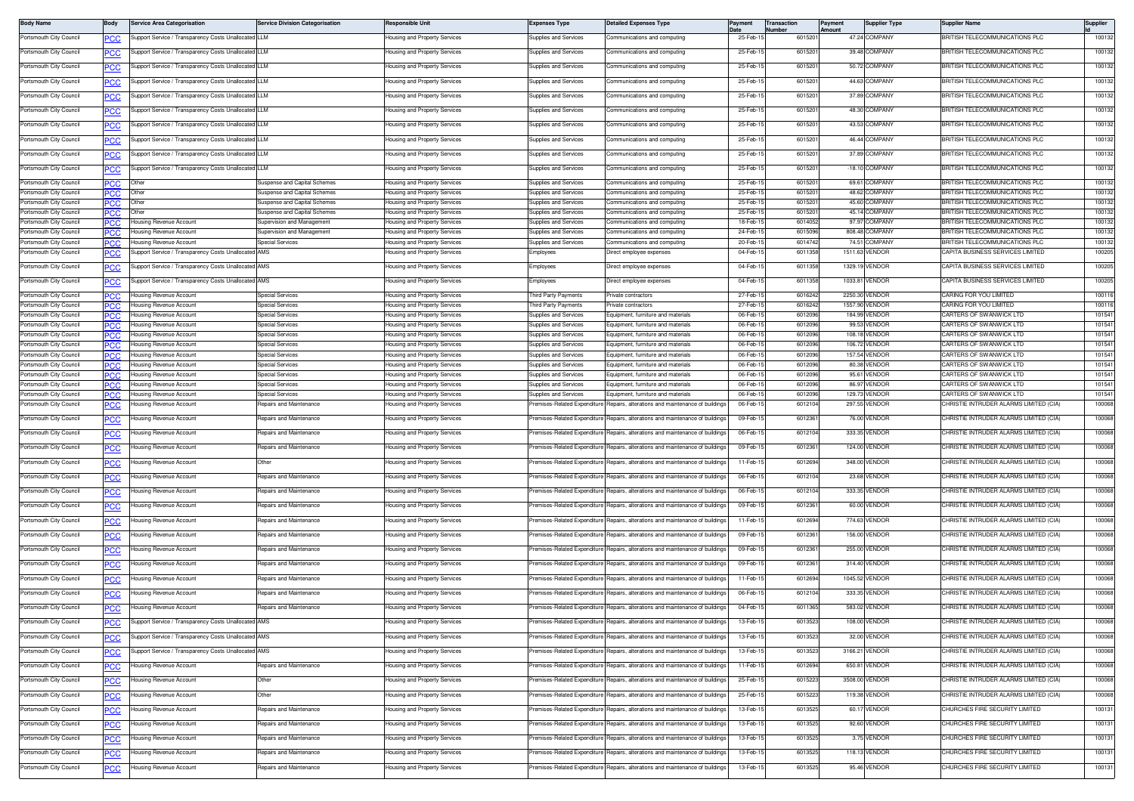| <b>Body Name</b>                                   | Body              | <b>Service Area Categorisation</b>                                             | <b>Service Division Categorisation</b>                       | lesponsible Unit                                               | <b>Expenses Type</b>                                  | <b>Detailed Expenses Type</b>                                                  | Payment              | <b>Transaction</b><br>lumber | Payment<br>Amount | <b>Supplier Type</b>            | Supplier Name                                                      | Supplier         |
|----------------------------------------------------|-------------------|--------------------------------------------------------------------------------|--------------------------------------------------------------|----------------------------------------------------------------|-------------------------------------------------------|--------------------------------------------------------------------------------|----------------------|------------------------------|-------------------|---------------------------------|--------------------------------------------------------------------|------------------|
| Portsmouth City Council                            | ∍сс               | upport Service / Transparency Costs Unallocated LLM                            |                                                              | lousing and Property Services                                  | Supplies and Services                                 | communications and computing                                                   | 25-Feb-1             | 601520                       |                   | 47.24 COMPANY                   | <b>BRITISH TELECOMMUNICATIONS PLC</b>                              | 100132           |
| Portsmouth City Council                            | <u>PCC</u>        | Support Service / Transparency Costs Unallocated LLM                           |                                                              | lousing and Property Services                                  | <b>Supplies and Services</b>                          | ommunications and computing                                                    | 25-Feb-              | 601520                       |                   | 39.48 COMPANY                   | <b>BRITISH TELECOMMUNICATIONS PLC</b>                              | 100132           |
| Portsmouth City Council                            | <b>PCC</b>        | upport Service / Transparency Costs Unallocated LLM                            |                                                              | lousing and Property Services                                  | Supplies and Services                                 | Communications and computing                                                   | 25-Feb-1             | 601520                       |                   | 50.72 COMPANY                   | BRITISH TELECOMMUNICATIONS PLC                                     | 100132           |
| Portsmouth City Council                            | PСC               | upport Service / Transparency Costs Unallocated LLM                            |                                                              | lousing and Property Services                                  | Supplies and Services                                 | ommunications and computing                                                    | 25-Feb-1             | 601520                       |                   | 44.63 COMPANY                   | BRITISH TELECOMMUNICATIONS PLC                                     | 100132           |
| Portsmouth City Council                            | <b>PCC</b>        | Support Service / Transparency Costs Unallocated LLM                           |                                                              | lousing and Property Services                                  | Supplies and Services                                 | ommunications and computing                                                    | 25-Feb-1             | 601520                       |                   | 37.89 COMPANY                   | BRITISH TELECOMMUNICATIONS PLC                                     | 100132           |
| Portsmouth City Council                            |                   | Support Service / Transparency Costs Unallocated LLM                           |                                                              | lousing and Property Services                                  | Supplies and Services                                 | Communications and computing                                                   | 25-Feb-1             | 601520                       |                   | 48.30 COMPANY                   | BRITISH TELECOMMUNICATIONS PLC                                     | 100132           |
|                                                    | <u>'CC</u>        |                                                                                |                                                              |                                                                |                                                       |                                                                                |                      |                              |                   |                                 |                                                                    |                  |
| Portsmouth City Council                            | <b>PCC</b>        | Support Service / Transparency Costs Unallocated LLM                           |                                                              | lousing and Property Services                                  | <b>Supplies and Services</b>                          | communications and computing                                                   | 25-Feb-              | 601520                       |                   | 43.53 COMPANY                   | RITISH TELECOMMUNICATIONS PLC                                      | 100132           |
| Portsmouth City Council                            | <b>PCC</b>        | Support Service / Transparency Costs Unallocated LLM                           |                                                              | lousing and Property Services                                  | Supplies and Services                                 | Communications and computing                                                   | 25-Feb-1             | 601520                       |                   | 46.44 COMPANY                   | BRITISH TELECOMMUNICATIONS PLC                                     | 100132           |
| Portsmouth City Council                            | PСC               | Support Service / Transparency Costs Unallocated LLM                           |                                                              | lousing and Property Services                                  | Supplies and Services                                 | Communications and computing                                                   | 25-Feb-1             | 601520                       |                   | 37.89 COMPANY                   | BRITISH TELECOMMUNICATIONS PLC                                     | 100132           |
| Portsmouth City Council                            | <u>CC</u>         | Support Service / Transparency Costs Unallocated LLM                           |                                                              | lousing and Property Services                                  | Supplies and Services                                 | communications and computing                                                   | 25-Feb-1             | 601520                       |                   | -18.10 COMPANY                  | BRITISH TELECOMMUNICATIONS PLC                                     | 100132           |
| Portsmouth City Council                            | PСC               | Other                                                                          | Suspense and Capital Schemes                                 | <b>Housing and Property Services</b>                           | Supplies and Services                                 | Communications and computing                                                   | 25-Feb-              | 601520                       |                   | 69.61 COMPANY                   | BRITISH TELECOMMUNICATIONS PLC                                     | 100132           |
| Portsmouth City Council                            | PCC               | Other                                                                          | Suspense and Capital Schemes                                 | lousing and Property Services                                  | Supplies and Services                                 | Communications and computing                                                   | 25-Feb-1             | 601520                       |                   | 48.62 COMPANY                   | BRITISH TELECOMMUNICATIONS PLC                                     | 100132           |
| Portsmouth City Council<br>Portsmouth City Council | PCC.              | Other                                                                          | Suspense and Capital Schemes<br>Suspense and Capital Schemes | lousing and Property Services<br>lousing and Property Services | <b>Supplies and Services</b><br>supplies and Services | ommunications and computing<br>ommunications and computing                     | 25-Feb-<br>25-Feb-   | 601520<br>601520             |                   | 45.60 COMPANY<br>45.14 COMPANY  | BRITISH TELECOMMUNICATIONS PLC<br>RITISH TELECOMMUNICATIONS PLC    | 100132<br>100132 |
| Portsmouth City Council                            | <b>PCC</b>        | Housing Revenue Account                                                        | Supervision and Management                                   | lousing and Property Services                                  | Supplies and Services                                 | Communications and computing                                                   | 18-Feb-1             | 6014052                      |                   | 97.97 COMPANY                   | BRITISH TELECOMMUNICATIONS PLC                                     | 100132           |
| Portsmouth City Council                            | המפ               | lousing Revenue Account                                                        | Supervision and Management                                   | lousing and Property Services                                  | <b>Supplies and Services</b>                          | Communications and computing                                                   | 24-Feb-1             | 6015096                      |                   | 808.48 COMPANY                  | <b>BRITISH TELECOMMUNICATIONS PLC</b>                              | 100132           |
| Portsmouth City Council<br>Portsmouth City Council | PCC               | Housing Revenue Account<br>upport Service / Transparency Costs Unallocated AMS | <b>Special Services</b>                                      | Housing and Property Services<br>lousing and Property Services | Supplies and Services<br>Employees                    | Communications and computing<br>Direct employee expenses                       | 20-Feb-1<br>04-Feb-1 | 6014742<br>6011358           |                   | 74.51 COMPANY<br>1511.63 VENDOR | BRITISH TELECOMMUNICATIONS PLC<br>CAPITA BUSINESS SERVICES LIMITED | 100132<br>100205 |
|                                                    | <u>'CC</u>        |                                                                                |                                                              |                                                                |                                                       |                                                                                |                      |                              |                   |                                 |                                                                    |                  |
| Portsmouth City Council                            | <b>PCC</b>        | Support Service / Transparency Costs Unallocated AMS                           |                                                              | Housing and Property Services                                  | Employees                                             | Direct employee expenses                                                       | 04-Feb-              | 601135                       |                   | 1329.19 VENDOR                  | CAPITA BUSINESS SERVICES LIMITED                                   | 100205           |
| Portsmouth City Council                            | <u>PCC</u>        | Support Service / Transparency Costs Unallocated AMS                           |                                                              | Housing and Property Services                                  | Employees                                             | Direct employee expenses                                                       | 04-Feb-1             | 601135                       |                   | 1033.81 VENDOR                  | CAPITA BUSINESS SERVICES LIMITED                                   | 100205           |
| Portsmouth City Council                            | PCC.              | Housing Revenue Account                                                        | Special Services                                             | Housing and Property Services                                  | Third Party Payments                                  | Private contractors                                                            | 27-Feb-1             | 6016242                      |                   | 2250.30 VENDOE                  | CARING FOR YOU LIMITED                                             | 100116           |
| Portsmouth City Council<br>Portsmouth City Council | .c<br><b>PCC</b>  | lousing Revenue Account<br>Housing Revenue Account                             | <b>Special Services</b><br><b>Special Services</b>           | lousing and Property Services<br>Housing and Property Services | hird Party Payments<br>Supplies and Services          | rivate contractors<br>Equipment, furniture and materials                       | 27-Feb-<br>06-Feb-1  | 601624<br>6012096            |                   | 1557.90 VENDOF<br>184.99 VENDOR | CARING FOR YOU LIMITED<br>CARTERS OF SWANWICK LTD                  | 100116<br>101541 |
| Portsmouth City Council                            |                   | lousing Revenue Account                                                        | <b>Special Services</b>                                      | Housing and Property Services                                  | <b>Supplies and Services</b>                          | Equipment, furniture and materials                                             | 06-Feb-              | 601209                       |                   | 99.53 VENDOR                    | CARTERS OF SWANWICK LTD                                            | 101541           |
| Portsmouth City Council                            | PCC               | Housing Revenue Account                                                        | <b>Special Services</b>                                      | Housing and Property Services                                  | Supplies and Services                                 | Equipment, furniture and materials                                             | 06-Feb-1             | 6012096                      |                   | 108.18 VENDOR                   | CARTERS OF SWANWICK LTD                                            | 101541           |
| Portsmouth City Council<br>Portsmouth City Council | ٢C                | lousing Revenue Account<br>Housing Revenue Account                             | Special Services<br>Special Services                         | lousing and Property Services<br>lousing and Property Services | <b>Supplies and Services</b><br>Supplies and Services | Equipment, furniture and materials<br>Fouinment, furniture and materials       | 06-Feb-1<br>06-Feb-1 | 6012096<br>6012096           |                   | 106.72 VENDOR<br>157.54 VENDOR  | CARTERS OF SWANWICK LTD<br>CARTERS OF SWANWICK LTD                 | 101541<br>101541 |
| Portsmouth City Council                            | PCC               | lousing Revenue Account                                                        | <b>Special Services</b>                                      | lousing and Property Services                                  | Supplies and Services                                 | Equipment, furniture and materials                                             | 06-Feb-              | 601209                       |                   | 80.38 VENDOR                    | CARTERS OF SWANWICK LTD                                            | 101541           |
| Portsmouth City Council                            | PCC               | Housing Revenue Account                                                        | Special Services                                             | lousing and Property Services                                  | Supplies and Services                                 | Equipment, furniture and materials                                             | 06-Feb-              | 6012096                      |                   | 95.61 VENDOR                    | CARTERS OF SWANWICK LTD                                            | 101541           |
| Portsmouth City Council<br>Portsmouth City Council | PCC.              | lousing Revenue Account                                                        | <b>Special Services</b><br>Special Services                  | lousing and Property Services                                  | Supplies and Services<br>supplies and Services        | cuipment, furniture and materials<br>Equipment, furniture and materials        | 06-Feb-1<br>06-Feb-  | 6012096<br>601209            |                   | 86.97 VENDOR<br>129.73 VENDOR   | CARTERS OF SWANWICK LTD<br>CARTERS OF SWANWICK LTD                 | 101541<br>101541 |
| Portsmouth City Council                            | 'CC<br><b>PCC</b> | lousing Revenue Account<br>lousing Revenue Account                             | Repairs and Maintenance                                      | lousing and Property Services<br>lousing and Property Services | remises-Related Expenditure                           | Repairs, alterations and maintenance of building                               | 06-Feb-              | 601210                       |                   | 297.55 VENDOR                   | CHRISTIE INTRUDER ALARMS LIMITED (CIA)                             | 100068           |
| Portsmouth City Council                            | <b>PCC</b>        | lousing Revenue Account                                                        | Repairs and Maintenance                                      | Housing and Property Services                                  | remises-Related Expenditure                           | Repairs, alterations and maintenance of building                               | 09-Feb-1             | 601236                       |                   | 76.00 VENDOR                    | CHRISTIE INTRUDER ALARMS LIMITED (CIA)                             | 100068           |
|                                                    |                   | lousing Revenue Account                                                        | Repairs and Maintenance                                      |                                                                | Premises-Related Expenditure                          | Repairs, alterations and maintenance of buildings                              | 06-Feb-1             | 601210                       |                   | 333.35 VENDOR                   | CHRISTIE INTRUDER ALARMS LIMITED (CIA)                             | 100068           |
| Portsmouth City Council                            | сc                |                                                                                |                                                              | lousing and Property Services                                  |                                                       |                                                                                |                      |                              |                   |                                 |                                                                    |                  |
| Portsmouth City Council                            | <u>PCC</u>        | lousing Revenue Account                                                        | Repairs and Maintenance                                      | lousing and Property Services                                  | remises-Related Expenditure                           | Repairs, alterations and maintenance of building                               | 09-Feb-1             | 601236                       |                   | 124.00 VENDOR                   | HRISTIE INTRUDER ALARMS LIMITED (CIA)                              | 100068           |
| Portsmouth City Council                            | <u>CC</u>         | lousing Revenue Account                                                        | Other                                                        | Housing and Property Services                                  | remises-Related Expenditure                           | Repairs, alterations and maintenance of buildings                              | 11-Feb-1             | 6012694                      |                   | 348.00 VENDOR                   | CHRISTIE INTRUDER ALARMS LIMITED (CIA)                             | 100068           |
| Portsmouth City Council                            | PCC               | lousing Revenue Account                                                        | Repairs and Maintenance                                      | lousing and Property Services                                  | remises-Related Expenditure                           | epairs, alterations and maintenance of building                                | 06-Feb-              | 601210                       |                   | 23.68 VENDOF                    | CHRISTIE INTRUDER ALARMS LIMITED (CIA)                             | 100068           |
| Portsmouth City Council                            | <u>CC</u>         | ousing Revenue Account                                                         | Repairs and Maintenance                                      | lousing and Property Services                                  | emises-Related Expenditure                            | epairs, alterations and maintenance of building:                               | 06-Feb-1             | 6012104                      |                   | 333.35 VENDOR                   | CHRISTIE INTRUDER ALARMS LIMITED (CIA)                             | 100068           |
| Portsmouth City Council                            | PСC               | lousing Revenue Account                                                        | Repairs and Maintenance                                      | lousing and Property Services                                  | remises-Related Expenditure                           | Repairs, alterations and maintenance of buildings                              | 09-Feb-1             | 601236                       |                   | 60.00 VENDOR                    | CHRISTIE INTRUDER ALARMS LIMITED (CIA)                             | 100068           |
| Portsmouth City Council                            | <u>PCC</u>        | lousing Revenue Account                                                        | Repairs and Maintenance                                      | lousing and Property Services                                  | remises-Related Expenditure                           | Repairs, alterations and maintenance of building                               | 11-Feb-1             | 601269                       |                   | 774.63 VENDOR                   | HRISTIE INTRUDER ALARMS LIMITED (CIA)                              | 100068           |
| Portsmouth City Council                            | <u>PCC</u>        | lousing Revenue Account                                                        | Repairs and Maintenance                                      | Housing and Property Services                                  | remises-Related Expenditure                           | Repairs, alterations and maintenance of buildings                              | 09-Feb-1             | 601236                       |                   | 156.00 VENDOR                   | CHRISTIE INTRUDER ALARMS LIMITED (CIA)                             | 100068           |
| Portsmouth City Council                            |                   | lousing Revenue Account                                                        | Repairs and Maintenance                                      | Housing and Property Services                                  | Premises-Related Expenditure                          | Repairs, alterations and maintenance of building                               | 09-Feb-              | 601236                       |                   | 255.00 VENDOR                   | CHRISTIE INTRUDER ALARMS LIMITED (CIA)                             | 100068           |
|                                                    | <b>PCC</b>        |                                                                                |                                                              |                                                                |                                                       |                                                                                |                      |                              |                   |                                 |                                                                    |                  |
| Portsmouth City Council                            | <b>PCC</b>        | lousing Revenue Account                                                        | Repairs and Maintenance                                      | Housing and Property Services                                  | remises-Related Expenditure                           | lepairs, alterations and maintenance of building                               | 09-Feb-1             | 601236                       |                   | 314.40 VENDOR                   | CHRISTIE INTRUDER ALARMS LIMITED (CIA)                             | 100068           |
| Portsmouth City Council                            | <u>'СС</u>        | lousing Revenue Account                                                        | Repairs and Maintenance                                      | Housing and Property Services                                  | Premises-Related Expenditure                          | Repairs, alterations and maintenance of buildings                              | 11-Feb-1             | 601269                       |                   | 1045.52 VENDOR                  | CHRISTIE INTRUDER ALARMS LIMITED (CIA)                             | 100068           |
| Portsmouth City Council                            | PCC               | <del>l</del> ousing Revenue Account                                            | Repairs and Maintenance                                      | lousing and Property Services                                  | remises-Related Expenditure                           | Repairs, alterations and maintenance of building                               | 06-Feb-              | 601210                       |                   | 333.35 VENDOF                   | HRISTIE INTRUDER ALARMS LIMITED (CIA)                              | 100068           |
| Portsmouth City Council                            | <u>CC</u>         | Housing Revenue Account                                                        | Repairs and Maintenance                                      | Housing and Property Services                                  |                                                       | Premises-Related Expenditure Repairs, alterations and maintenance of buildings | 04-Feb-1             | 6011365                      |                   | 583.02 VENDOR                   | CHRISTIE INTRUDER ALARMS LIMITED (CIA)                             | 100068           |
| Portsmouth City Council                            |                   | Support Service / Transparency Costs Unallocated AMS                           |                                                              | Housing and Property Services                                  |                                                       | Premises-Related Expenditure Repairs, alterations and maintenance of buildings | 13-Feb-1             | 6013523                      |                   | 108.00 VENDOR                   | CHRISTIE INTRUDER ALARMS LIMITED (CIA)                             | 100068           |
| Portsmouth City Council                            | <u>CC</u>         | Support Service / Transparency Costs Unallocated AMS                           |                                                              | lousing and Property Services                                  | emises-Related Expenditure                            | Repairs, alterations and maintenance of buildings                              | 13-Feb-15            | 601352                       |                   | 32.00 VENDOR                    | CHRISTIE INTRUDER ALARMS LIMITED (CIA)                             | 100068           |
| Portsmouth City Council                            | <u>PCC</u>        | Support Service / Transparency Costs Unallocated AMS                           |                                                              | Housing and Property Services                                  | remises-Related Expenditure                           | Repairs, alterations and maintenance of buildings                              | 13-Feb-1             | 6013523                      |                   | 3166.21 VENDOR                  | CHRISTIE INTRUDER ALARMS LIMITED (CIA)                             | 100068           |
| Portsmouth City Council                            |                   | lousing Revenue Account                                                        | Repairs and Maintenance                                      | lousing and Property Services                                  | remises-Related Expenditure                           | Repairs, alterations and maintenance of buildings                              | 11-Feb-1             | 6012694                      |                   | 650.81 VENDOR                   | CHRISTIE INTRUDER ALARMS LIMITED (CIA)                             | 100068           |
|                                                    | PCC               |                                                                                |                                                              |                                                                |                                                       |                                                                                |                      |                              |                   | 3508.00 VENDOR                  | CHRISTIE INTRUDER ALARMS LIMITED (CIA)                             | 100068           |
| Portsmouth City Council                            | <u>PCC</u>        | Housing Revenue Account                                                        | Other                                                        | Housing and Property Services                                  |                                                       | remises-Related Expenditure Repairs, alterations and maintenance of buildings  | 25-Feb-1             | 6015223                      |                   |                                 |                                                                    |                  |
| Portsmouth City Council                            | <b>PCC</b>        | lousing Revenue Account                                                        | Other                                                        | Housing and Property Services                                  | Premises-Related Expenditure                          | Repairs, alterations and maintenance of building:                              | 25-Feb-              | 601522                       |                   | 119.38 VENDOR                   | CHRISTIE INTRUDER ALARMS LIMITED (CIA)                             | 100068           |
| Portsmouth City Council                            | <b>PCC</b>        | lousing Revenue Account                                                        | Repairs and Maintenance                                      | lousing and Property Services                                  | remises-Related Expenditure                           | Repairs, alterations and maintenance of buildings                              | 13-Feb-1             | 601352                       |                   | 60.17 VENDOR                    | CHURCHES FIRE SECURITY LIMITED                                     | 100131           |
| Portsmouth City Council                            | <u>CC</u>         | lousing Revenue Account                                                        | Repairs and Maintenance                                      | lousing and Property Services                                  | Premises-Related Expenditure                          | Repairs, alterations and maintenance of buildings                              | 13-Feb-1             | 6013525                      |                   | 92.60 VENDOR                    | CHURCHES FIRE SECURITY LIMITED                                     | 100131           |
| Portsmouth City Council                            | <u>PCC</u>        | <del>l</del> ousing Revenue Account                                            | Repairs and Maintenance                                      | lousing and Property Services                                  | remises-Related Expenditure*                          | Repairs, alterations and maintenance of buildings                              | 13-Feb-1             | 601352                       |                   | 3.75 VENDOR                     | CHURCHES FIRE SECURITY LIMITED                                     | 100131           |
| Portsmouth City Council                            | <u>'CC</u>        | lousing Revenue Account                                                        | Repairs and Maintenance                                      | Housing and Property Services                                  | remises-Related Expenditure                           | Repairs, alterations and maintenance of buildings                              | 13-Feb-1             | 601352                       |                   | 118.13 VENDOR                   | CHURCHES FIRE SECURITY LIMITED                                     | 100131           |
| Portsmouth City Council                            | <u>PCC</u>        | lousing Revenue Account                                                        | Repairs and Maintenance                                      | Housing and Property Services                                  | remises-Related Expenditure                           | Repairs, alterations and maintenance of building:                              | 13-Feb-1             | 601352                       |                   | 95.46 VENDOR                    | CHURCHES FIRE SECURITY LIMITED                                     | 100131           |
|                                                    |                   |                                                                                |                                                              |                                                                |                                                       |                                                                                |                      |                              |                   |                                 |                                                                    |                  |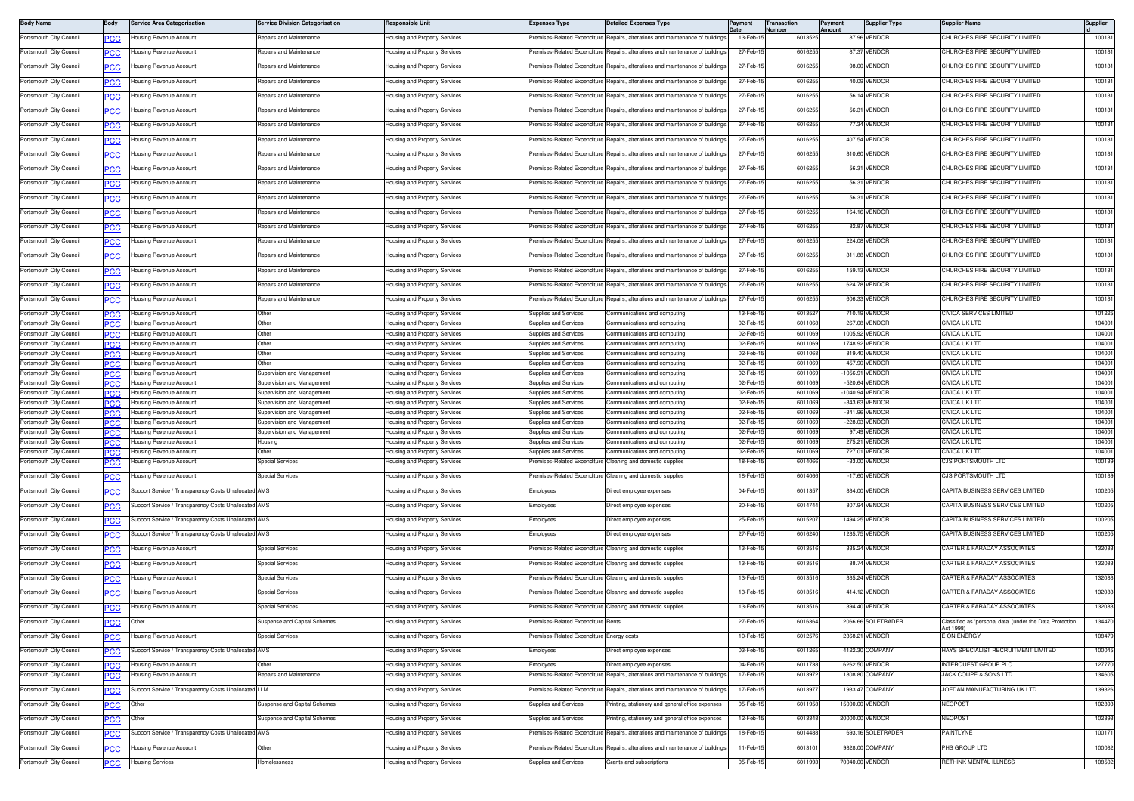| <b>Body Name</b>                                   | Body       | Service Area Categorisation                          | <b>Service Division Categorisation</b>                   | <b>Responsible Uni</b>                                                | <b>Expenses Type</b>                                  | <b>Detailed Expenses Type</b>                                                  | Payment              | <b>Transaction</b><br>Number | Payment<br>Amount | <b>Supplier Type</b>              | <b>Supplier Name</b>                                                  | Supplier         |
|----------------------------------------------------|------------|------------------------------------------------------|----------------------------------------------------------|-----------------------------------------------------------------------|-------------------------------------------------------|--------------------------------------------------------------------------------|----------------------|------------------------------|-------------------|-----------------------------------|-----------------------------------------------------------------------|------------------|
| Portsmouth City Council                            | PCC        | lousing Revenue Account                              | Repairs and Maintenance                                  | Housing and Property Services                                         | remises-Related Expenditure                           | Repairs, alterations and maintenance of buildings                              | 13-Feb-1             | 6013525                      |                   | 87.96 VENDOR                      | CHURCHES FIRE SECURITY LIMITED                                        | 100131           |
| Portsmouth City Council                            |            | ousing Revenue Account                               | Repairs and Maintenance                                  | lousing and Property Services                                         | emises-Related Expenditure                            | Repairs, alterations and maintenance of buildings                              | 27-Feb-1             | 6016255                      |                   | 87.37 VENDOR                      | <b>CHURCHES FIRE SECURITY LIMITED</b>                                 | 100131           |
| Portsmouth City Council                            | PСC        | lousing Revenue Account                              | Repairs and Maintenance                                  | lousing and Property Services                                         | Premises-Related Expenditure                          | Repairs, alterations and maintenance of buildings                              | 27-Feb-1             | 601625                       |                   | 98.00 VENDOR                      | CHURCHES FIRE SECURITY LIMITED                                        | 100131           |
| Portsmouth City Council                            | PCC        | lousina Revenue Account                              | <b>Repairs and Maintenance</b>                           | Housing and Property Services                                         | remises-Related Expenditure                           | Repairs, alterations and maintenance of building                               | 27-Feb-1             | 601625                       |                   | 40.09 VENDOR                      | CHURCHES FIRE SECURITY LIMITED                                        | 100131           |
| Portsmouth City Council                            | <u>CC </u> | lousing Revenue Account                              | Repairs and Maintenance                                  | Housing and Property Services                                         | Premises-Related Expenditure                          | Repairs, alterations and maintenance of buildings                              | 27-Feb-1             | 6016255                      |                   | 56.14 VENDOR                      | CHURCHES FIRE SECURITY LIMITED                                        | 100131           |
| Portsmouth City Council                            | <b>PCC</b> | lousing Revenue Account                              | Repairs and Maintenance                                  | lousing and Property Services                                         | remises-Related Expenditure                           | Repairs, alterations and maintenance of building                               | 27-Feb-1             | 601625                       |                   | 56.31 VENDOR                      | CHURCHES FIRE SECURITY LIMITED                                        | 100131           |
| Portsmouth City Council                            | <u>CC</u>  | lousing Revenue Account                              | Repairs and Maintenance                                  | lousing and Property Services                                         | emises-Related Expenditure                            | Repairs, alterations and maintenance of building                               | 27-Feb-1             | 601625                       |                   | 77.34 VENDOR                      | CHURCHES FIRE SECURITY LIMITED                                        | 100131           |
| Portsmouth City Council                            |            | lousing Revenue Account                              | Repairs and Maintenance                                  | Housing and Property Services                                         | Premises-Related Expenditure                          | Repairs, alterations and maintenance of buildings                              | 27-Feb-1             | 6016255                      |                   | 407.54 VENDOR                     | CHURCHES FIRE SECURITY LIMITED                                        | 100131           |
|                                                    | <u>PCC</u> |                                                      | Repairs and Maintenance                                  |                                                                       | remises-Related Expenditure                           | Repairs, alterations and maintenance of building                               | 27-Feb-              | 601625                       |                   | 310.60 VENDOR                     | <b>CHURCHES FIRE SECURITY LIMITED</b>                                 | 100131           |
| Portsmouth City Council                            | PCC        | lousing Revenue Account                              |                                                          | Housing and Property Services                                         |                                                       |                                                                                |                      |                              |                   |                                   |                                                                       |                  |
| Portsmouth City Council                            | <u>'CC</u> | lousing Revenue Account                              | Repairs and Maintenance                                  | Housing and Property Services                                         | Premises-Related Expenditure                          | Repairs, alterations and maintenance of buildings                              | 27-Feb-1             | 6016255                      |                   | 56.31 VENDOR                      | CHURCHES FIRE SECURITY LIMITED                                        | 100131           |
| Portsmouth City Council                            | <b>PCC</b> | lousing Revenue Account                              | Repairs and Maintenance                                  | Housing and Property Services                                         | remises-Related Expenditure                           | Repairs, alterations and maintenance of building                               | 27-Feb-1             | 601625                       |                   | 56.31 VENDOR                      | CHURCHES FIRE SECURITY LIMITED                                        | 100131           |
| Portsmouth City Council                            | <u>CC</u>  | lousing Revenue Account                              | Repairs and Maintenance                                  | lousing and Property Services                                         | emises-Related Expenditure                            | Repairs, alterations and maintenance of buildings                              | 27-Feb-1             | 601625                       |                   | 56.31 VENDOR                      | CHURCHES FIRE SECURITY LIMITED                                        | 100131           |
| Portsmouth City Council                            | °СС        | lousing Revenue Account                              | Repairs and Maintenance                                  | Housing and Property Services                                         | Premises-Related Expenditure                          | Repairs, alterations and maintenance of buildings                              | 27-Feb-1             | 6016255                      |                   | 164.16 VENDOR                     | CHURCHES FIRE SECURITY LIMITED                                        | 100131           |
| Portsmouth City Council                            | ∍сс        | Housing Revenue Account                              | Repairs and Maintenance                                  | lousing and Property Services                                         | remises-Related Expenditure                           | Repairs, alterations and maintenance of building                               | 27-Feb-1             | 6016255                      |                   | 82.87 VENDOR                      | CHURCHES FIRE SECURITY LIMITED                                        | 100131           |
| Portsmouth City Council                            | <u>CC </u> | lousing Revenue Account                              | Repairs and Maintenance                                  | Housing and Property Services                                         | Premises-Related Expenditure                          | Repairs, alterations and maintenance of buildings                              | 27-Feb-1             | 6016255                      |                   | 224.08 VENDOR                     | CHURCHES FIRE SECURITY LIMITED                                        | 100131           |
| Portsmouth City Council                            | <b>PCC</b> | Housing Revenue Account                              | Repairs and Maintenance                                  | Housing and Property Services                                         |                                                       | Premises-Related Expenditure Repairs, alterations and maintenance of buildings | 27-Feb-1             | 6016255                      |                   | 311.88 VENDOR                     | CHURCHES FIRE SECURITY LIMITED                                        | 100131           |
| Portsmouth City Council                            | <u>PCC</u> | lousing Revenue Account                              | Repairs and Maintenance                                  | lousing and Property Services                                         | emises-Related Expenditure                            | Repairs, alterations and maintenance of building                               | 27-Feb-1             | 601625                       |                   | 159.13 VENDOR                     | CHURCHES FIRE SECURITY LIMITED                                        | 100131           |
| Portsmouth City Council                            | <b>PCC</b> | lousing Revenue Account                              | Repairs and Maintenance                                  | lousing and Property Services                                         | Premises-Related Expenditure                          | Repairs, alterations and maintenance of buildings                              | 27-Feb-1             | 6016255                      |                   | 624.78 VENDOR                     | CHURCHES FIRE SECURITY LIMITED                                        | 100131           |
| Portsmouth City Council                            | PCC        | lousing Revenue Account                              | Repairs and Maintenance                                  | Housing and Property Services                                         | remises-Related Expenditure                           | Repairs, alterations and maintenance of building                               | 27-Feb-1             | 601625                       |                   | 606.33 VENDOR                     | CHURCHES FIRE SECURITY LIMITED                                        | 100131           |
| Portsmouth City Council                            | PСC        | Housing Revenue Account                              | Other                                                    | Housing and Property Services                                         | Supplies and Services                                 | Communications and computing                                                   | 13-Feb-1             | 601352                       |                   | 710.19 VENDOR                     | CIVICA SERVICES LIMITED                                               | 101225           |
| Portsmouth City Council                            | PCC.       | Housing Revenue Account                              | Other                                                    | lousing and Property Services                                         | <b>Supplies and Services</b>                          | Communications and computing                                                   | 02-Feb-1             | 6011068                      |                   | 267.08 VENDOR                     | CIVICA UK LTD                                                         | 104001           |
| Portsmouth City Council                            |            | Housing Revenue Account                              | Other                                                    | Housing and Property Services                                         | <b>Supplies and Services</b>                          | Communications and computing                                                   | 02-Feb-1             | 6011069                      |                   | 1005.92 VENDOR                    | CIVICA UK LTD                                                         | 104001           |
| Portsmouth City Council<br>Portsmouth City Council | PCC<br>PСC | Housing Revenue Account<br>Housing Revenue Account   | Other<br>Other                                           | lousing and Property Services<br><b>Housing and Property Services</b> | Supplies and Services<br>Supplies and Services        | Communications and computing<br>Communications and computing                   | 02-Feb-1<br>02-Feb-1 | 6011069<br>6011068           |                   | 1748.92 VENDOR<br>819.40 VENDOR   | CIVICA UK LTD<br>CIVICA UK LTD                                        | 104001<br>104001 |
| Portsmouth City Council                            | המפ        | lousing Revenue Account                              |                                                          | lousing and Property Services                                         | upplies and Services                                  | ommunications and computing                                                    | 02-Feb-1             | 601106                       |                   | 457.90 VENDOF                     | CIVICA UK LTD                                                         | 104001           |
| Portsmouth City Council                            | <b>PCC</b> | Housing Revenue Account                              | Supervision and Management                               | Housing and Property Services                                         | Supplies and Services                                 | communications and computing                                                   | 02-Feb-1             | 6011069                      |                   | -1056.91 VENDOR                   | CIVICA UK LTD                                                         | 104001           |
| Portsmouth City Council<br>Portsmouth City Council | PCC        | lousing Revenue Account<br>Housing Revenue Account   | Supervision and Management<br>Supervision and Management | Housing and Property Services<br>Housing and Property Services        | <b>Supplies and Services</b><br>Supplies and Services | communications and computing<br>Communications and computing                   | 02-Feb-1<br>02-Feb-1 | 6011069<br>6011069           |                   | -520.64 VENDOR<br>-1040.94 VENDOR | CIVICA UK LTD<br>CIVICA UK LTD                                        | 104001<br>104001 |
| Portsmouth City Council                            | <b>PCC</b> | Housina Revenue Account                              | Supervision and Management                               | Housing and Property Services                                         | <b>Supplies and Services</b>                          | Communications and computing                                                   | 02-Feb-1             | 6011069                      |                   | -343.63 VENDOR                    | CIVICA UK LTD                                                         | 104001           |
| Portsmouth City Council                            | PCC        | Housing Revenue Account                              | Supervision and Management                               | Housing and Property Services                                         | <b>Supplies and Services</b>                          | Communications and computing                                                   | 02-Feb-1             | 6011069                      |                   | -341.96 VENDOR                    | CIVICA UK LTD                                                         | 104001           |
| Portsmouth City Council                            |            | lousing Revenue Account                              | Supervision and Management                               | lousing and Property Services                                         | Supplies and Services                                 | Communications and computing                                                   | 02-Feb-1             | 601106                       |                   | -228.03 VENDOR                    | CIVICA UK LTD                                                         | 104001           |
| Portsmouth City Council                            | PCC        | Housing Revenue Account                              | Supervision and Management                               | lousing and Property Services                                         | Supplies and Services                                 | Communications and computing                                                   | 02-Feb-1             | 601106                       |                   | 97.49 VENDOR                      | CIVICA UK LTD                                                         | 104001           |
| Portsmouth City Council<br>Portsmouth City Council | PCC.       | lousing Revenue Account<br>lousing Revenue Account   | <b>Housing</b>                                           | Housing and Property Services<br>lousing and Property Services        | Supplies and Services<br>upplies and Services         | Communications and computing<br>ommunications and computing                    | 02-Feb-<br>02-Feb-   | 6011069<br>601106            |                   | 275.21 VENDOR<br>727.01 VENDOF    | CIVICA UK LTD<br>CIVICA UK LTD                                        | 104001<br>104001 |
| Portsmouth City Council                            | <b>PCC</b> | lousing Revenue Account                              | <b>Special Services</b>                                  | Housing and Property Services                                         |                                                       | Premises-Related Expenditure Cleaning and domestic supplies                    | 18-Feb-1             | 6014066                      |                   | -33.00 VENDOR                     | CJS PORTSMOUTH LTD                                                    | 100139           |
| Portsmouth City Council                            | <b>PCC</b> | lousing Revenue Account                              | <b>Special Services</b>                                  | Housing and Property Services                                         | remises-Related Expenditure                           | Cleaning and domestic supplies                                                 | 18-Feb-1             | 6014066                      |                   | -17.60 VENDOR                     | <b>US PORTSMOUTH LTD</b>                                              | 100139           |
| Portsmouth City Council                            | <u>PCC</u> | Support Service / Transparency Costs Unallocated AMS |                                                          | lousing and Property Services                                         | Employees                                             | Direct employee expenses                                                       | 04-Feb-1             | 6011357                      |                   | 834.00 VENDOR                     | CAPITA BUSINESS SERVICES LIMITED                                      | 100205           |
| Portsmouth City Council                            | <u>PCC</u> | Support Service / Transparency Costs Unallocated     | AMS                                                      | lousing and Property Services                                         | :mployees                                             | Direct employee expenses                                                       | 20-Feb-              | 601474                       |                   | 807.94 VENDOR                     | CAPITA BUSINESS SERVICES LIMITED                                      | 100205           |
| Portsmouth City Council                            |            | Support Service / Transparency Costs Unallocated AMS |                                                          | Housing and Property Services                                         | Employees                                             | Direct employee expenses                                                       | 25-Feb-1             | 601520                       |                   | 1494.25 VENDOR                    | CAPITA BUSINESS SERVICES LIMITED                                      | 100205           |
|                                                    | PCC        |                                                      |                                                          |                                                                       |                                                       |                                                                                |                      |                              |                   |                                   |                                                                       |                  |
| Portsmouth City Council                            | PCC        | upport Service / Transparency Costs Unallocated AMS  |                                                          | Housing and Property Services                                         | Employees                                             | Direct employee expenses                                                       | 27-Feb-1             | 601624                       |                   | 1285.75 VENDOR                    | CAPITA BUSINESS SERVICES LIMITED                                      | 100205           |
| Portsmouth City Council                            | <u>CC</u>  | lousing Revenue Account                              | <b>Special Services</b>                                  | Housing and Property Services                                         | remises-Related Expenditure                           | Cleaning and domestic supplies                                                 | 13-Feb-1             | 601351                       |                   | 335.24 VENDOR                     | CARTER & FARADAY ASSOCIATES                                           | 132083           |
| Portsmouth City Council                            | <u>PCC</u> | lousing Revenue Account                              | <b>Special Services</b>                                  | Housing and Property Services                                         |                                                       | Premises-Related Expenditure Cleaning and domestic supplies                    | 13-Feb-1             | 6013516                      |                   | 88.74 VENDOR                      | CARTER & FARADAY ASSOCIATES                                           | 132083           |
| Portsmouth City Council                            | <b>PCC</b> | lousing Revenue Account                              | <b>Special Services</b>                                  | Housing and Property Services                                         |                                                       | remises-Related Expenditure Cleaning and domestic supplies                     | 13-Feb-1             | 6013516                      |                   | 335.24 VENDOR                     | CARTER & FARADAY ASSOCIATES                                           | 132083           |
| Portsmouth City Council                            | °СС        | lousing Revenue Account                              | <b>Special Services</b>                                  | Housing and Property Services                                         |                                                       | remises-Related Expenditure Cleaning and domestic supplies                     | 13-Feb-1             | 601351                       |                   | 414.12 VENDOR                     | CARTER & FARADAY ASSOCIATES                                           | 132083           |
| Portsmouth City Council                            | <b>PCC</b> | Housing Revenue Account                              | <b>Special Services</b>                                  | Housing and Property Services                                         |                                                       | Premises-Related Expenditure Cleaning and domestic supplies                    | 13-Feb-1             | 6013516                      |                   | 394.40 VENDOR                     | CARTER & FARADAY ASSOCIATES                                           | 132083           |
| Portsmouth City Council                            |            | Other                                                | Suspense and Capital Schemes                             | Housing and Property Services                                         | Premises-Related Expenditure Rents                    |                                                                                | 27-Feb-15            | 6016364                      |                   | 2066.66 SOLETRADER                | Classified as 'personal data' (under the Data Protection<br>Act 1998) | 134470           |
| Portsmouth City Council                            | <u>PCC</u> | lousing Revenue Account                              | Special Services                                         | Housing and Property Services                                         | Premises-Related Expenditure                          | Energy costs                                                                   | 10-Feb-1             | 6012576                      |                   | 2368.21 VENDOR                    | E ON ENERGY                                                           | 108479           |
| Portsmouth City Council                            | <b>PCC</b> | Support Service / Transparency Costs Unallocated     | AMS                                                      | lousing and Property Services                                         | :mployees                                             | Direct employee expenses                                                       | 03-Feb-1             | 6011265                      |                   | 4122.30 COMPANY                   | HAYS SPECIALIST RECRUITMENT LIMITED                                   | 100045           |
| Portsmouth City Council                            | <b>PCC</b> | Housing Revenue Account                              | Other                                                    | Housing and Property Services                                         | Employees                                             | Direct employee expenses                                                       | 04-Feb-1             | 6011738                      |                   | 6262.50 VENDOR                    | INTERQUEST GROUP PLC                                                  | 127770           |
| Portsmouth City Council                            | <u>PCC</u> | lousing Revenue Account                              | Repairs and Maintenance                                  | lousing and Property Services                                         | remises-Related Expenditure                           | Repairs, alterations and maintenance of building                               | 17-Feb-1             | 601397                       |                   | 1808.80 COMPANY                   | <b>JACK COUPE &amp; SONS LTD</b>                                      | 134605           |
| Portsmouth City Council                            | <b>PCC</b> | Support Service / Transparency Costs Unallocated     | <b>LLM</b>                                               | Housing and Property Services                                         | remises-Related Expenditure                           | Repairs, alterations and maintenance of buildings                              | 17-Feb-1             | 601397                       |                   | 1933.47 COMPANY                   | JOEDAN MANUFACTURING UK LTD                                           | 139326           |
| Portsmouth City Council                            | PСC        | Other                                                | Suspense and Capital Schemes                             | Housing and Property Services                                         | Supplies and Services                                 | rinting, stationery and general office expenses                                | 05-Feb-1             | 6011958                      |                   | 15000.00 VENDOR                   | NEOPOST                                                               | 102893           |
| Portsmouth City Council                            | PСC        | Other                                                | Suspense and Capital Schemes                             | lousing and Property Services                                         | Supplies and Services                                 | inting, stationery and general office expenses                                 | 12-Feb-1             | 601334                       |                   | 20000.00 VENDOR                   | <b>VEOPOST</b>                                                        | 102893           |
| Portsmouth City Council                            |            | Support Service / Transparency Costs Unallocated AMS |                                                          | Housing and Property Services                                         | Premises-Related Expenditure                          | Repairs, alterations and maintenance of buildings                              | 18-Feb-1             | 6014488                      |                   | 693.16 SOLETRADER                 | <b>AINTLYNE</b>                                                       | 100171           |
|                                                    | <u>PCC</u> |                                                      |                                                          |                                                                       |                                                       |                                                                                |                      |                              |                   |                                   | <b>HS GROUP LTD</b>                                                   | 100082           |
| Portsmouth City Council                            | <u>PCC</u> | lousing Revenue Account                              | Other                                                    | <del>l</del> ousing and Property Services                             | remises-Related Expenditure                           | Repairs, alterations and maintenance of building                               | 11-Feb-1             | 601310                       |                   | 9828.00 COMPANY                   |                                                                       |                  |
| Portsmouth City Council                            | <b>PCC</b> | Housing Services                                     | Homelessness                                             | Housing and Property Services                                         | Supplies and Services                                 | Grants and subscriptions                                                       | 05-Feb-1             | 6011993                      |                   | 70040.00 VENDOR                   | RETHINK MENTAL ILLNESS                                                | 108502           |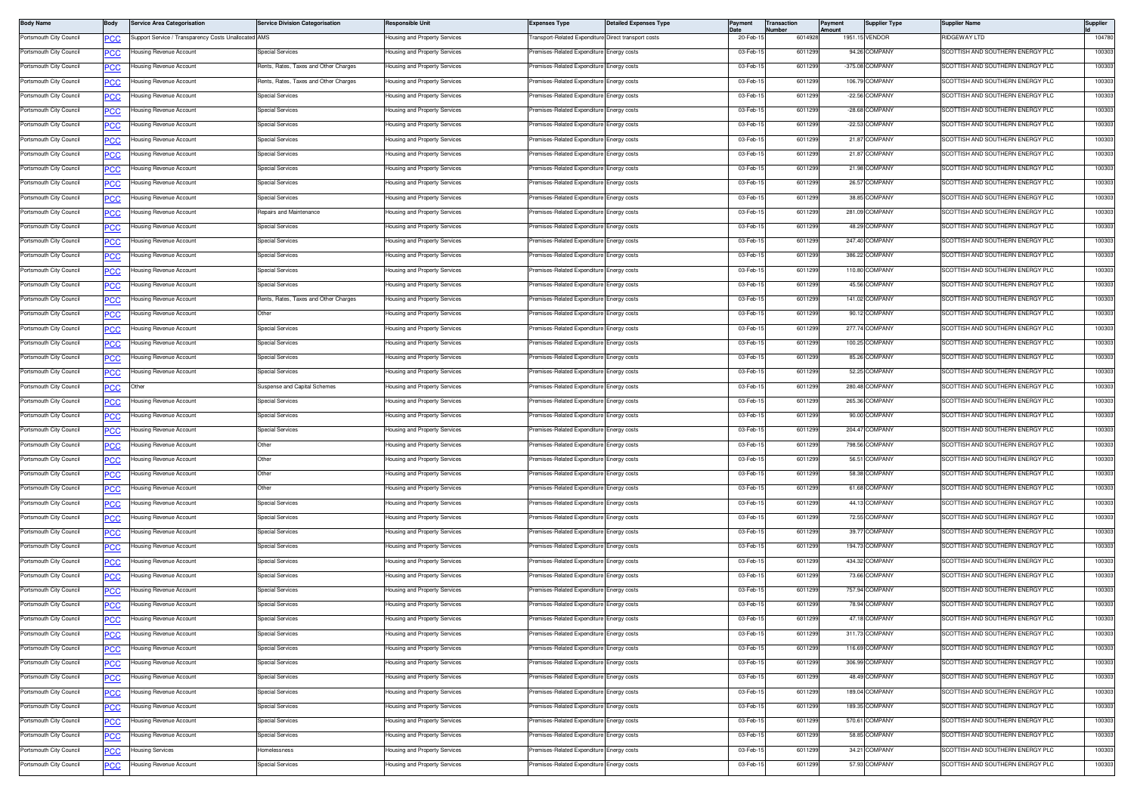| <b>Body Name</b>        | Body       | <b>Service Area Categorisation</b>                   | <b>Service Division Categorisation</b> | Responsible Unit                     | <b>Expenses Type</b>                                | <b>Detailed Expenses Type</b> |          | Transactior<br>lumber | 'ayment<br>mount | <b>Supplier Type</b>             | Supplier Name                                                        | <b>Supplier</b> |
|-------------------------|------------|------------------------------------------------------|----------------------------------------|--------------------------------------|-----------------------------------------------------|-------------------------------|----------|-----------------------|------------------|----------------------------------|----------------------------------------------------------------------|-----------------|
| Portsmouth City Council | <u>сс</u>  | Support Service / Transparency Costs Unallocated AMS |                                        | Housing and Property Services        | ransport-Related Expenditure Direct transport costs |                               | 20-Feb-1 | 6014928               |                  | 1951.15 VENDOR                   | IIDGEWAY LTD                                                         | 104780          |
| Portsmouth City Council | <u>PCC</u> | lousing Revenue Account                              | Special Services                       | lousing and Property Services        | remises-Related Expenditure Energy costs            |                               | 03-Feb-1 | 6011299               |                  | 94.26 COMPANY                    | <b>SCOTTISH AND SOUTHERN ENERGY PLC</b>                              | 100303          |
| Portsmouth City Council | <u>PCC</u> | lousing Revenue Account                              | Rents, Rates, Taxes and Other Charges  | Housing and Property Services        | remises-Related Expenditure                         | Energy costs                  | 03-Feb-1 | 601129                |                  | -375.08 COMPANY                  | SCOTTISH AND SOUTHERN ENERGY PLC                                     | 100303          |
| Portsmouth City Council | <u>PCC</u> | lousing Revenue Account                              | Rents, Rates, Taxes and Other Charges  | Housing and Property Services        | Premises-Related Expenditure                        | Energy costs                  | 03-Feb-1 | 601129                |                  | 106.79 COMPANY                   | SCOTTISH AND SOUTHERN ENERGY PLC                                     | 100303          |
| Portsmouth City Council | <u>PCC</u> | lousing Revenue Account                              | <b>Special Services</b>                | Housing and Property Services        | remises-Related Expenditure                         | Energy costs                  | 03-Feb-1 | 601129                |                  | -22.56 COMPANY                   | SCOTTISH AND SOUTHERN ENERGY PLC                                     | 100303          |
| Portsmouth City Council | <u>CC</u>  | lousing Revenue Account                              | Special Services                       | Housing and Property Services        | remises-Related Expenditure Energy costs            |                               | 03-Feb-1 | 6011299               |                  | -28.68 COMPANY                   | SCOTTISH AND SOUTHERN ENERGY PLC                                     | 100303          |
| Portsmouth City Council | <u>PCC</u> | lousing Revenue Account                              | Special Services                       | lousing and Property Services        | remises-Related Expenditure                         | Energy costs                  | 03-Feb-1 | 601129                |                  | -22.53 COMPANY                   | SCOTTISH AND SOUTHERN ENERGY PLC                                     | 100303          |
| Portsmouth City Council | <u>сс</u>  | Housing Revenue Account                              | <b>Special Services</b>                | Housing and Property Services        | Premises-Related Expenditure                        | Energy costs                  | 03-Feb-1 | 6011299               |                  | 21.87 COMPANY                    | SCOTTISH AND SOUTHERN ENERGY PLC                                     | 100303          |
| Portsmouth City Council | PCC        | Housing Revenue Account                              | <b>Special Services</b>                | Housing and Property Services        | remises-Related Expenditure                         | Energy costs                  | 03-Feb-1 | 601129                |                  | 21.87 COMPANY                    | SCOTTISH AND SOUTHERN ENERGY PLC                                     | 100303          |
| Portsmouth City Council | <u>PCC</u> | Housing Revenue Account                              | <b>Special Services</b>                | Housing and Property Services        | Premises-Related Expenditure                        | Energy costs                  | 03-Feb-1 | 6011299               |                  | 21.98 COMPANY                    | SCOTTISH AND SOUTHERN ENERGY PLC                                     | 100303          |
| Portsmouth City Council | <u>CC</u>  | lousing Revenue Account                              | Special Services                       | Housing and Property Services        | remises-Related Expenditure                         | Energy costs                  | 03-Feb-1 | 6011299               |                  | 26.57 COMPANY                    | SCOTTISH AND SOUTHERN ENERGY PLC                                     | 100303          |
| Portsmouth City Council | <u>PCC</u> | Housing Revenue Account                              | Special Services                       | lousing and Property Services        | remises-Related Expenditure                         | Energy costs                  | 03-Feb-1 | 6011299               |                  | 38.85 COMPANY                    | <b>SCOTTISH AND SOUTHERN ENERGY PLC</b>                              | 100303          |
| Portsmouth City Council | <u>PCC</u> | lousing Revenue Account                              | Repairs and Maintenance                | Housing and Property Services        | remises-Related Expenditure                         | Energy costs                  | 03-Feb-1 | 6011299               |                  | 281.09 COMPANY                   | SCOTTISH AND SOUTHERN ENERGY PLC                                     | 100303          |
| Portsmouth City Council | PCC        | Housing Revenue Account                              | <b>Special Services</b>                | Housing and Property Services        | remises-Related Expenditure                         | Energy costs                  | 03-Feb-1 | 601129                |                  | 48.29 COMPANY                    | SCOTTISH AND SOUTHERN ENERGY PLC                                     | 100303          |
| Portsmouth City Council | <u>PCC</u> | Housing Revenue Account                              | <b>Special Services</b>                | Housing and Property Services        | remises-Related Expenditure                         | Energy costs                  | 03-Feb-1 | 6011299               |                  | 247.40 COMPANY                   | SCOTTISH AND SOUTHERN ENERGY PLC                                     | 100303          |
| Portsmouth City Council | <u>CC</u>  | lousing Revenue Account                              | <b>Special Services</b>                | Housing and Property Services        | remises-Related Expenditure Energy costs            |                               | 03-Feb-1 | 601129                |                  | 386.22 COMPANY                   | SCOTTISH AND SOUTHERN ENERGY PLC                                     | 100303          |
| Portsmouth City Council | <u>PCC</u> | Housing Revenue Account                              | Special Services                       | lousing and Property Services        | Premises-Related Expenditure Energy costs           |                               | 03-Feb-1 | 6011299               |                  | 110.80 COMPANY                   | SCOTTISH AND SOUTHERN ENERGY PLC                                     | 100303          |
| Portsmouth City Council | <u>PCC</u> | lousing Revenue Account                              | <b>Special Services</b>                | Housing and Property Services        | remises-Related Expenditure                         | Energy costs                  | 03-Feb-1 | 601129                |                  | 45.56 COMPANY                    | SCOTTISH AND SOUTHERN ENERGY PLC                                     | 100303          |
| Portsmouth City Council | <u>PCC</u> | Housing Revenue Account                              | Rents, Rates, Taxes and Other Charges  | Housing and Property Services        | Premises-Related Expenditure                        | Energy costs                  | 03-Feb-1 | 601129                |                  | 141.02 COMPANY                   | SCOTTISH AND SOUTHERN ENERGY PLC                                     | 100303          |
| Portsmouth City Council | <u>PCC</u> | lousing Revenue Account                              | Other                                  | Housing and Property Services        | remises-Related Expenditure                         | nergy costs                   | 03-Feb-1 | 601129                |                  | 90.12 COMPANY                    | COTTISH AND SOUTHERN ENERGY PLC                                      | 100303          |
| Portsmouth City Council | <u>CC</u>  | lousing Revenue Account                              | Special Services                       | Housing and Property Services        | remises-Related Expenditure Energy costs            |                               | 03-Feb-1 | 6011299               |                  | 277.74 COMPANY                   | SCOTTISH AND SOUTHERN ENERGY PLC                                     | 100303          |
| Portsmouth City Council | <u>PCC</u> | lousing Revenue Account                              | Special Services                       | lousing and Property Services        | remises-Related Expenditure Energy costs            |                               | 03-Feb-1 | 6011299               |                  | 100.25 COMPANY                   | SCOTTISH AND SOUTHERN ENERGY PLC                                     | 100303          |
| Portsmouth City Council | <u>сс</u>  | Housing Revenue Account                              | <b>Special Services</b>                | Housing and Property Services        | remises-Related Expenditure                         | Energy costs                  | 03-Feb-1 | 6011299               |                  | 85.26 COMPANY                    | SCOTTISH AND SOUTHERN ENERGY PLC                                     | 100303          |
| Portsmouth City Council | PCC        | Housing Revenue Account                              | <b>Special Services</b>                | Housing and Property Services        | remises-Related Expenditure                         | Energy costs                  | 03-Feb-1 | 601129                |                  | 52.25 COMPANY                    | SCOTTISH AND SOUTHERN ENERGY PLC                                     | 100303          |
| Portsmouth City Council |            | Other                                                | Suspense and Capital Schemes           | <b>Housing and Property Services</b> | emises-Related Expenditure                          | inergy costs                  | 03-Feb-1 | 6011299               |                  | 280.48 COMPANY                   | <b>SCOTTISH AND SOUTHERN ENERGY PLC</b>                              | 100303          |
| Portsmouth City Council | <u>CC</u>  | Housing Revenue Account                              | <b>Special Services</b>                | Housing and Property Services        | Premises-Related Expenditure Energy costs           |                               | 03-Feb-1 | 6011299               |                  | 265.36 COMPANY                   | SCOTTISH AND SOUTHERN ENERGY PLC                                     | 100303          |
| Portsmouth City Council | <u>PCC</u> | Housing Revenue Account                              | Special Services                       | lousing and Property Services        | remises-Related Expenditure                         | Energy costs                  | 03-Feb-1 | 6011299               |                  | 90.00 COMPANY                    | <b>SCOTTISH AND SOUTHERN ENERGY PLC</b>                              | 100303          |
| Portsmouth City Council | <u>'CC</u> | lousing Revenue Account                              | <b>Special Services</b>                | Housing and Property Services        | remises-Related Expenditure                         | Energy costs                  | 03-Feb-1 | 6011299               |                  | 204.47 COMPANY                   | SCOTTISH AND SOUTHERN ENERGY PLC                                     | 100303          |
| Portsmouth City Council | PCC        | lousing Revenue Account                              | Other                                  | lousing and Property Services        | remises-Related Expenditure                         | inergy costs                  | 03-Feb-1 | 601129                |                  | 798.56 COMPANY                   | SCOTTISH AND SOUTHERN ENERGY PLC                                     | 100303          |
| Portsmouth City Council | °СС        | lousing Revenue Account                              | Other                                  | Housing and Property Services        | emises-Related Expenditure                          | nergy costs                   | 03-Feb-1 | 6011299               |                  | 56.51 COMPANY                    | SCOTTISH AND SOUTHERN ENERGY PLC                                     | 100303          |
| Portsmouth City Council | <u>CC</u>  | lousing Revenue Account                              | Other                                  | Housing and Property Services        | remises-Related Expenditure Energy costs            |                               | 03-Feb-1 | 601129                |                  | 58.38 COMPANY                    | SCOTTISH AND SOUTHERN ENERGY PLC                                     | 100303          |
| Portsmouth City Council |            | Housing Revenue Account                              | Other                                  | lousing and Property Services        | remises-Related Expenditure                         | Energy costs                  | 03-Feb-1 | 6011299               |                  | 61.68 COMPANY                    | SCOTTISH AND SOUTHERN ENERGY PLC                                     | 100303          |
| Portsmouth City Council | <u>PCC</u> | lousing Revenue Account                              | Special Services                       | Housing and Property Services        | remises-Related Expenditure                         | Energy costs                  | 03-Feb-1 | 601129                |                  | 44.13 COMPANY                    | SCOTTISH AND SOUTHERN ENERGY PLC                                     | 100303          |
| Portsmouth City Council | <u>PCC</u> | Housing Revenue Account                              | <b>Special Services</b>                | Housing and Property Services        | Premises-Related Expenditure                        | Energy costs                  | 03-Feb-1 | 601129                |                  | 72.55 COMPANY                    | SCOTTISH AND SOUTHERN ENERGY PLC                                     | 100303          |
| Portsmouth City Council | <u>PCC</u> | lousing Revenue Account                              | <b>Special Services</b>                | Housing and Property Services        | remises-Related Expenditure                         | inergy costs                  | 03-Feb-1 | 601129                |                  | 39.77 COMPANY                    | COTTISH AND SOUTHERN ENERGY PLC                                      | 100303          |
| Portsmouth City Council | °СС        | lousing Revenue Account                              | <b>Special Services</b>                | Housing and Property Services        | remises-Related Expenditure Energy costs            |                               | 03-Feb-1 | 6011299               |                  | 194.73 COMPANY                   | SCOTTISH AND SOUTHERN ENERGY PLC                                     | 100303          |
| Portsmouth City Council | <u>сс</u>  | lousing Revenue Account                              | Special Services                       | lousing and Property Services        | Premises-Related Expenditure Energy costs           |                               | 03-Feb-1 | 6011299               |                  | 434.32 COMPANY                   | <b>SCOTTISH AND SOUTHERN ENERGY PLC</b>                              | 100303          |
| Portsmouth City Council | <u>PCC</u> | Housing Revenue Account                              | <b>Special Services</b>                | Housing and Property Services        | Premises-Related Expenditure                        | Energy costs                  | 03-Feb-1 | 601129                |                  | 73.66 COMPANY                    | SCOTTISH AND SOUTHERN ENERGY PLC                                     | 100303          |
| Portsmouth City Council | <u>сс</u>  | Housing Revenue Account                              | <b>Special Services</b>                |                                      |                                                     |                               | 03-Feb-1 | 601129                |                  | 757.94 COMPANY                   | SCOTTISH AND SOUTHERN ENERGY PLC                                     | 100303          |
|                         | <u>PCC</u> |                                                      |                                        | Housing and Property Services        | remises-Related Expenditure                         | Energy costs                  |          |                       |                  |                                  |                                                                      |                 |
| Portsmouth City Council | сc         | Housing Revenue Account                              | <b>Special Services</b>                | Housing and Property Services        | remises-Related Expenditure                         | nergy costs                   | 03-Feb-1 | 601129                |                  | 78.94 COMPANY                    | <b>SCOTTISH AND SOUTHERN ENERGY PLC</b>                              | 100303          |
| Portsmouth City Council | <b>PCC</b> | <b>Housing Revenue Account</b>                       | <b>Special Services</b>                | Housing and Property Services        | Premises-Related Expenditure Energy costs           |                               | 03-Feb-1 | 6011299               |                  | 47.18 COMPANY                    | SCOTTISH AND SOUTHERN ENERGY PLC                                     | 100303          |
| Portsmouth City Council | <b>PCC</b> | Housing Revenue Account                              | Special Services                       | lousing and Property Services        | remises-Related Expenditure Energy costs            |                               | 03-Feb-1 | 6011299               |                  | 311.73 COMPANY<br>116.69 COMPANY | SCOTTISH AND SOUTHERN ENERGY PLC<br>SCOTTISH AND SOUTHERN ENERGY PLC | 100303          |
| Portsmouth City Council | <b>PCC</b> | Housing Revenue Account                              | <b>Special Services</b>                | Housing and Property Services        | remises-Related Expenditure Energy costs            |                               | 03-Feb-1 | 6011299               |                  |                                  |                                                                      | 100303          |
| Portsmouth City Council | <u>PCC</u> | Housing Revenue Account                              | <b>Special Services</b>                | Housing and Property Services        | remises-Related Expenditure                         | Energy costs                  | 03-Feb-1 | 6011299               |                  | 306.99 COMPANY                   | SCOTTISH AND SOUTHERN ENERGY PLC                                     | 100303          |
| Portsmouth City Council |            | lousing Revenue Account                              | <b>Special Services</b>                | Housing and Property Services        | emises-Related Expenditure                          | inergy costs                  | 03-Feb-1 | 6011299               |                  | 48.49 COMPANY                    | SCOTTISH AND SOUTHERN ENERGY PLC                                     | 100303          |
| Portsmouth City Council | <u>CC</u>  | Housing Revenue Account                              | Special Services                       | Housing and Property Services        | remises-Related Expenditure Energy costs            |                               | 03-Feb-1 | 6011299               |                  | 189.04 COMPANY                   | SCOTTISH AND SOUTHERN ENERGY PLC                                     | 100303          |
| Portsmouth City Council | <u>PCC</u> | Housing Revenue Account                              | Special Services                       | lousing and Property Services        | remises-Related Expenditure                         | Energy costs                  | 03-Feb-1 | 6011299               |                  | 189.35 COMPANY                   | SCOTTISH AND SOUTHERN ENERGY PLC                                     | 100303          |
| Portsmouth City Council | <u>PCC</u> | Housing Revenue Account                              | <b>Special Services</b>                | Housing and Property Services        | remises-Related Expenditure                         | Energy costs                  | 03-Feb-1 | 601129                |                  | 570.61 COMPANY                   | SCOTTISH AND SOUTHERN ENERGY PLC                                     | 100303          |
| Portsmouth City Council | <u>PCC</u> | Housing Revenue Account                              | <b>Special Services</b>                | Housing and Property Services        | remises-Related Expenditure                         | inergy costs                  | 03-Feb-1 | 6011299               |                  | 58.85 COMPANY                    | SCOTTISH AND SOUTHERN ENERGY PLC                                     | 100303          |
| Portsmouth City Council |            | lousing Services                                     | lomelessness                           | Housing and Property Services        | remises-Related Expenditure                         | hergy costs                   | 03-Feb-1 | 6011299               |                  | 34.21 COMPANY                    | SCOTTISH AND SOUTHERN ENERGY PLC                                     | 100303          |
| Portsmouth City Council | <u>'СС</u> | Housing Revenue Account                              | <b>Special Services</b>                | Housing and Property Services        | Premises-Related Expenditure Energy costs           |                               | 03-Feb-1 | 6011299               |                  | 57.93 COMPANY                    | SCOTTISH AND SOUTHERN ENERGY PLC                                     | 100303          |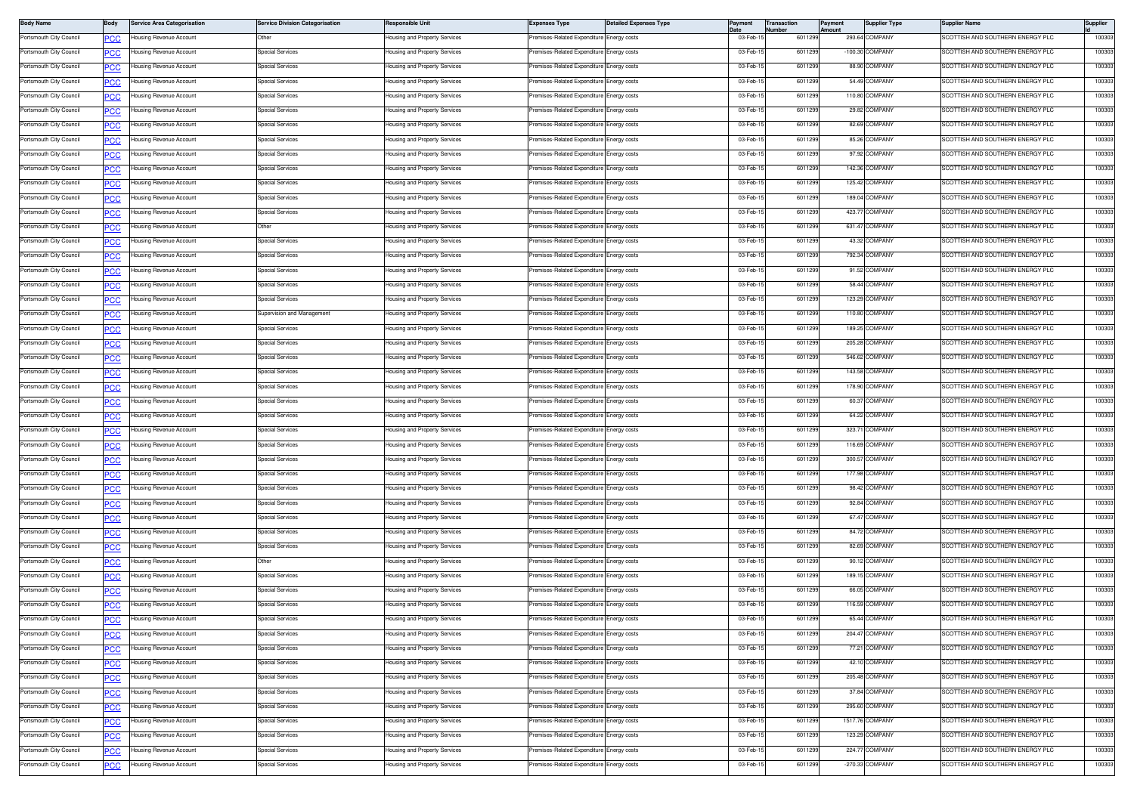| <b>Body Name</b>        | Body       | Service Area Categorisation    | <b>Service Division Categorisation</b> | Responsible Unit              | <b>Expenses Type</b>                      | <b>Detailed Expenses Type</b> | Payment   | Transaction<br>Number | Payment<br><b>\mount</b> | <b>Supplier Type</b> | Supplier Name                    | Supplier |
|-------------------------|------------|--------------------------------|----------------------------------------|-------------------------------|-------------------------------------------|-------------------------------|-----------|-----------------------|--------------------------|----------------------|----------------------------------|----------|
| Portsmouth City Council | <u>CC</u>  | lousing Revenue Account        | Other                                  | Housing and Property Services | remises-Related Expenditure Energy costs  |                               | 03-Feb-1  | 601129                |                          | 293.64 COMPANY       | SCOTTISH AND SOUTHERN ENERGY PLC | 100303   |
| Portsmouth City Council |            | ousing Revenue Account         | <b>Special Services</b>                | lousing and Property Services | emises-Related Expenditure Energy costs   |                               | 03-Feb-15 | 601129                |                          | -100.30 COMPANY      | SCOTTISH AND SOUTHERN ENERGY PLC | 100303   |
| Portsmouth City Council | сc         | Housing Revenue Account        | <b>Special Services</b>                | lousing and Property Services | remises-Related Expenditure Energy costs  |                               | 03-Feb-1  | 601129                |                          | 88.90 COMPANY        | SCOTTISH AND SOUTHERN ENERGY PLC | 100303   |
| Portsmouth City Council | PCC        | Housing Revenue Account        | Special Services                       | Housing and Property Services | remises-Related Expenditure Energy costs  |                               | 03-Feb-1  | 601129                |                          | 54.49 COMPANY        | SCOTTISH AND SOUTHERN ENERGY PLC | 100303   |
| Portsmouth City Council | <u>PCC</u> | Housing Revenue Account        | <b>Special Services</b>                | Housing and Property Services | Premises-Related Expenditure Energy costs |                               | 03-Feb-1  | 601129                |                          | 110.80 COMPANY       | SCOTTISH AND SOUTHERN ENERGY PLC | 100303   |
| Portsmouth City Council | <b>PCC</b> | Housing Revenue Account        | <b>Special Services</b>                | Housing and Property Services | Premises-Related Expenditure Energy costs |                               | 03-Feb-1  | 601129                |                          | 29.82 COMPANY        | SCOTTISH AND SOUTHERN ENERGY PLC | 100303   |
| Portsmouth City Council | ∪ט         | lousing Revenue Account        | <b>Special Services</b>                | Housing and Property Services | remises-Related Expenditure               | Energy costs                  | 03-Feb-1  | 601129                |                          | 82.69 COMPANY        | SCOTTISH AND SOUTHERN ENERGY PLC | 100303   |
| Portsmouth City Council | сc         | Housing Revenue Account        | <b>Special Services</b>                | Housing and Property Services | Premises-Related Expenditure Energy costs |                               | 03-Feb-1  | 601129                |                          | 85.26 COMPANY        | SCOTTISH AND SOUTHERN ENERGY PLC | 100303   |
| Portsmouth City Council | PCC        | Housing Revenue Account        | Special Services                       | Housing and Property Services | Premises-Related Expenditure              | Energy costs                  | 03-Feb-1  | 601129                |                          | 97.92 COMPANY        | SCOTTISH AND SOUTHERN ENERGY PLC | 100303   |
| Portsmouth City Council | <u>PCC</u> | Housing Revenue Account        | <b>Special Services</b>                | Housing and Property Services | remises-Related Expenditure Energy costs  |                               | 03-Feb-1  | 601129                |                          | 142.36 COMPANY       | SCOTTISH AND SOUTHERN ENERGY PLC | 100303   |
| Portsmouth City Council | <b>PCC</b> | Housing Revenue Account        | <b>Special Services</b>                | Housing and Property Services | Premises-Related Expenditure Energy costs |                               | 03-Feb-1  | 601129                |                          | 125.42 COMPANY       | SCOTTISH AND SOUTHERN ENERGY PLC | 100303   |
| Portsmouth City Council |            | lousing Revenue Account        | <b>Special Services</b>                | Housing and Property Services | emises-Related Expenditure                | Energy costs                  | 03-Feb-1  | 601129                |                          | 189.04 COMPANY       | SCOTTISH AND SOUTHERN ENERGY PLC | 100303   |
| Portsmouth City Council |            | <b>Housing Revenue Account</b> | <b>Special Services</b>                | Housing and Property Services | Premises-Related Expenditure Energy costs |                               | 03-Feb-1  | 601129                |                          | 423.77 COMPANY       | SCOTTISH AND SOUTHERN ENERGY PLC | 100303   |
| Portsmouth City Council | <u>PCC</u> | Housing Revenue Account        | Other                                  | Housing and Property Services | Premises-Related Expenditure Energy costs |                               | 03-Feb-1  | 601129                |                          | 631.47 COMPANY       | SCOTTISH AND SOUTHERN ENERGY PLC | 100303   |
| Portsmouth City Council | <u>PCC</u> | Housing Revenue Account        | <b>Special Services</b>                | Housing and Property Services | remises-Related Expenditure Energy costs  |                               | 03-Feb-1  | 601129                |                          | 43.32 COMPANY        | SCOTTISH AND SOUTHERN ENERGY PLC | 100303   |
| Portsmouth City Council | <u>PCC</u> | Housing Revenue Account        | <b>Special Services</b>                | Housing and Property Services | Premises-Related Expenditure Energy costs |                               | 03-Feb-1  | 601129                |                          | 792.34 COMPANY       | SCOTTISH AND SOUTHERN ENERGY PLC | 100303   |
| Portsmouth City Council |            | lousing Revenue Account        | <b>Special Services</b>                | Housing and Property Services | remises-Related Expenditure               | Energy costs                  | 03-Feb-15 | 601129                |                          | 91.52 COMPANY        | SCOTTISH AND SOUTHERN ENERGY PLC | 100303   |
| Portsmouth City Council | сc         | lousing Revenue Account        | <b>Special Services</b>                | Housing and Property Services | Premises-Related Expenditure Energy costs |                               | 03-Feb-1  | 601129                |                          | 58.44 COMPANY        | SCOTTISH AND SOUTHERN ENERGY PLC | 100303   |
| Portsmouth City Council | PСC        | Housing Revenue Account        | Special Services                       | Housing and Property Services | remises-Related Expenditure               | Energy costs                  | 03-Feb-1  | 601129                |                          | 123.29 COMPANY       | SCOTTISH AND SOUTHERN ENERGY PLC | 100303   |
| Portsmouth City Council |            | Housing Revenue Account        | Supervision and Management             | Housing and Property Services | Premises-Related Expenditure Energy costs |                               | 03-Feb-1  | 601129                |                          | 110.80 COMPANY       | SCOTTISH AND SOUTHERN ENERGY PLC | 100303   |
| Portsmouth City Council | <u>PCC</u> | Housing Revenue Account        | <b>Special Services</b>                | Housing and Property Services | Premises-Related Expenditure Energy costs |                               | 03-Feb-15 | 601129                |                          | 189.25 COMPANY       | SCOTTISH AND SOUTHERN ENERGY PLC | 100303   |
| Portsmouth City Council | <u>PCC</u> | lousing Revenue Account        | <b>Special Services</b>                | lousing and Property Services | emises-Related Expenditure                | Energy costs                  | 03-Feb-1  | 601129                |                          | 205.28 COMPANY       | COTTISH AND SOUTHERN ENERGY PLC  | 100303   |
| Portsmouth City Council | ◡          | lousing Revenue Account        | <b>Special Services</b>                | Housing and Property Services | remises-Related Expenditure Energy costs  |                               | 03-Feb-1  | 601129                |                          | 546.62 COMPANY       | SCOTTISH AND SOUTHERN ENERGY PLC | 100303   |
|                         | сc         |                                |                                        |                               |                                           |                               |           | 601129                |                          | 143.58 COMPANY       |                                  | 100303   |
| Portsmouth City Council | PCC        | lousing Revenue Account        | Special Services                       | Housing and Property Services | remises-Related Expenditure Energy costs  |                               | 03-Feb-1  |                       |                          |                      | SCOTTISH AND SOUTHERN ENERGY PLC |          |
| Portsmouth City Council | <u>PCC</u> | Housing Revenue Account        | <b>Special Services</b>                | Housing and Property Services | Premises-Related Expenditure Energy costs |                               | 03-Feb-1  | 601129                |                          | 178.90 COMPANY       | SCOTTISH AND SOUTHERN ENERGY PLC | 100303   |
| Portsmouth City Council | <b>PCC</b> | Housing Revenue Account        | <b>Special Services</b>                | Housing and Property Services | Premises-Related Expenditure Energy costs |                               | 03-Feb-15 | 601129                |                          | 60.37 COMPANY        | SCOTTISH AND SOUTHERN ENERGY PLC | 100303   |
| Portsmouth City Council |            | lousing Revenue Account        | <b>Special Services</b>                | Housing and Property Services | emises-Related Expenditure                | Energy costs                  | 03-Feb-1  | 601129                |                          | 64.22 COMPANY        | SCOTTISH AND SOUTHERN ENERGY PLC | 100303   |
| Portsmouth City Council | <u>cc</u>  | lousing Revenue Account        | <b>Special Services</b>                | Housing and Property Services | Premises-Related Expenditure Energy costs |                               | 03-Feb-1  | 601129                |                          | 323.71 COMPANY       | SCOTTISH AND SOUTHERN ENERGY PLC | 100303   |
| Portsmouth City Council | <u>PCC</u> | Housing Revenue Account        | Special Services                       | Housing and Property Services | Premises-Related Expenditure              | Energy costs                  | 03-Feb-1  | 601129                |                          | 116.69 COMPANY       | SCOTTISH AND SOUTHERN ENERGY PLC | 100303   |
| Portsmouth City Council | <u>PCC</u> | Housing Revenue Account        | <b>Special Services</b>                | Housing and Property Services | Premises-Related Expenditure Energy costs |                               | 03-Feb-1  | 601129                |                          | 300.57 COMPANY       | SCOTTISH AND SOUTHERN ENERGY PLC | 100303   |
| Portsmouth City Council | <u>CC </u> | Housing Revenue Account        | <b>Special Services</b>                | Housing and Property Services | Premises-Related Expenditure Energy costs |                               | 03-Feb-1  | 601129                |                          | 177.98 COMPANY       | SCOTTISH AND SOUTHERN ENERGY PLC | 100303   |
| Portsmouth City Council |            | lousing Revenue Account        | <b>Special Services</b>                | Housing and Property Services | emises-Related Expenditure Energy costs   |                               | 03-Feb-15 | 601129                |                          | 98.42 COMPANY        | SCOTTISH AND SOUTHERN ENERGY PLC | 100303   |
| Portsmouth City Council |            | lousing Revenue Account        | <b>Special Services</b>                | Housing and Property Services | remises-Related Expenditure Energy costs  |                               | 03-Feb-1  | 601129                |                          | 92.84 COMPANY        | SCOTTISH AND SOUTHERN ENERGY PLC | 100303   |
| Portsmouth City Council | PCC        | Housing Revenue Account        | Special Services                       | Housing and Property Services | Premises-Related Expenditure Energy costs |                               | 03-Feb-1  | 601129                |                          | 67.47 COMPANY        | SCOTTISH AND SOUTHERN ENERGY PLC | 100303   |
| Portsmouth City Council | PCC        | Housing Revenue Account        | <b>Special Services</b>                | Housing and Property Services | Premises-Related Expenditure Energy costs |                               | 03-Feb-1  | 601129                |                          | 84.72 COMPANY        | SCOTTISH AND SOUTHERN ENERGY PLC | 100303   |
| Portsmouth City Council | <u>PCC</u> | Housing Revenue Account        | <b>Special Services</b>                | Housing and Property Services | Premises-Related Expenditure Energy costs |                               | 03-Feb-1  | 601129                |                          | 82.69 COMPANY        | SCOTTISH AND SOUTHERN ENERGY PLC | 100303   |
| Portsmouth City Council | ◡          | lousing Revenue Account        | Other                                  | lousing and Property Services | emises-Related Expenditure                | Energy costs                  | 03-Feb-1  | 601129                |                          | 90.12 COMPANY        | SCOTTISH AND SOUTHERN ENERGY PLC | 100303   |
| Portsmouth City Council | сc         | Housing Revenue Account        | <b>Special Services</b>                | Housing and Property Services | Premises-Related Expenditure Energy costs |                               | 03-Feb-1  | 601129                |                          | 189.15 COMPANY       | SCOTTISH AND SOUTHERN ENERGY PLC | 100303   |
| Portsmouth City Council | <u>PCC</u> | lousing Revenue Account        | Special Services                       | lousing and Property Services | remises-Related Expenditure               | Energy costs                  | 03-Feb-1  | 601129                |                          | 66.05 COMPANY        | SCOTTISH AND SOUTHERN ENERGY PLC | 100303   |
| Portsmouth City Council | PCC        | Housing Revenue Account        | <b>Special Services</b>                | Housing and Property Services | Premises-Related Expenditure Energy costs |                               | 03-Feb-1  | 601129                |                          | 116.59 COMPANY       | SCOTTISH AND SOUTHERN ENERGY PLC | 100303   |
| Portsmouth City Council | <b>PCC</b> | Housing Revenue Account        | <b>Special Services</b>                | Housing and Property Services | Premises-Related Expenditure Energy costs |                               | 03-Feb-15 | 6011299               |                          | 65.44 COMPANY        | SCOTTISH AND SOUTHERN ENERGY PLC | 100303   |
| Portsmouth City Council | <u>'CC</u> | lousing Revenue Account        | Special Services                       | lousing and Property Services | emises-Related Expenditure Energy costs   |                               | 03-Feb-1  | 601129                |                          | 204.47 COMPANY       | SCOTTISH AND SOUTHERN ENERGY PLC | 100303   |
| Portsmouth City Council | <b>PCC</b> | Housing Revenue Account        | <b>Special Services</b>                | Housing and Property Services | Premises-Related Expenditure Energy costs |                               | 03-Feb-1  | 601129                |                          | 77.21 COMPANY        | SCOTTISH AND SOUTHERN ENERGY PLC | 100303   |
| Portsmouth City Council | <u>PCC</u> | lousing Revenue Account        | <b>Special Services</b>                | lousing and Property Services | Premises-Related Expenditure              | Energy costs                  | 03-Feb-1  | 601129                |                          | 42.10 COMPANY        | SCOTTISH AND SOUTHERN ENERGY PLC | 100303   |
| Portsmouth City Council | <u>PCC</u> | Housing Revenue Account        | Special Services                       | Housing and Property Services | Premises-Related Expenditure Energy costs |                               | 03-Feb-15 | 6011299               |                          | 205.48 COMPANY       | SCOTTISH AND SOUTHERN ENERGY PLC | 100303   |
| Portsmouth City Council | <b>PCC</b> | Housing Revenue Account        | Special Services                       | Housing and Property Services | Premises-Related Expenditure Energy costs |                               | 03-Feb-1  | 601129                |                          | 37.84 COMPANY        | SCOTTISH AND SOUTHERN ENERGY PLC | 100303   |
| Portsmouth City Council | <u>'CC</u> | lousing Revenue Account        | <b>Special Services</b>                | lousing and Property Services | remises-Related Expenditure Energy costs  |                               | 03-Feb-15 | 6011299               |                          | 295.60 COMPANY       | SCOTTISH AND SOUTHERN ENERGY PLC | 100303   |
| Portsmouth City Council | <b>PCC</b> | Housing Revenue Account        | <b>Special Services</b>                | Housing and Property Services | Premises-Related Expenditure Energy costs |                               | 03-Feb-1  | 6011299               |                          | 1517.76 COMPANY      | SCOTTISH AND SOUTHERN ENERGY PLC | 100303   |
| Portsmouth City Council | <u>PCC</u> | Housing Revenue Account        | <b>Special Services</b>                | lousing and Property Services | Premises-Related Expenditure Energy costs |                               | 03-Feb-1  | 601129                |                          | 123.29 COMPANY       | SCOTTISH AND SOUTHERN ENERGY PLC | 100303   |
| Portsmouth City Council | <b>PCC</b> | Housing Revenue Account        | <b>Special Services</b>                | Housing and Property Services | Premises-Related Expenditure Energy costs |                               | 03-Feb-1  | 6011299               |                          | 224.77 COMPANY       | SCOTTISH AND SOUTHERN ENERGY PLC | 100303   |
| Portsmouth City Council |            | Housing Revenue Account        | Special Services                       | Housing and Property Services | Premises-Related Expenditure Energy costs |                               | 03-Feb-1  | 6011299               |                          | -270.33 COMPANY      | SCOTTISH AND SOUTHERN ENERGY PLC | 100303   |
|                         | <u>PCC</u> |                                |                                        |                               |                                           |                               |           |                       |                          |                      |                                  |          |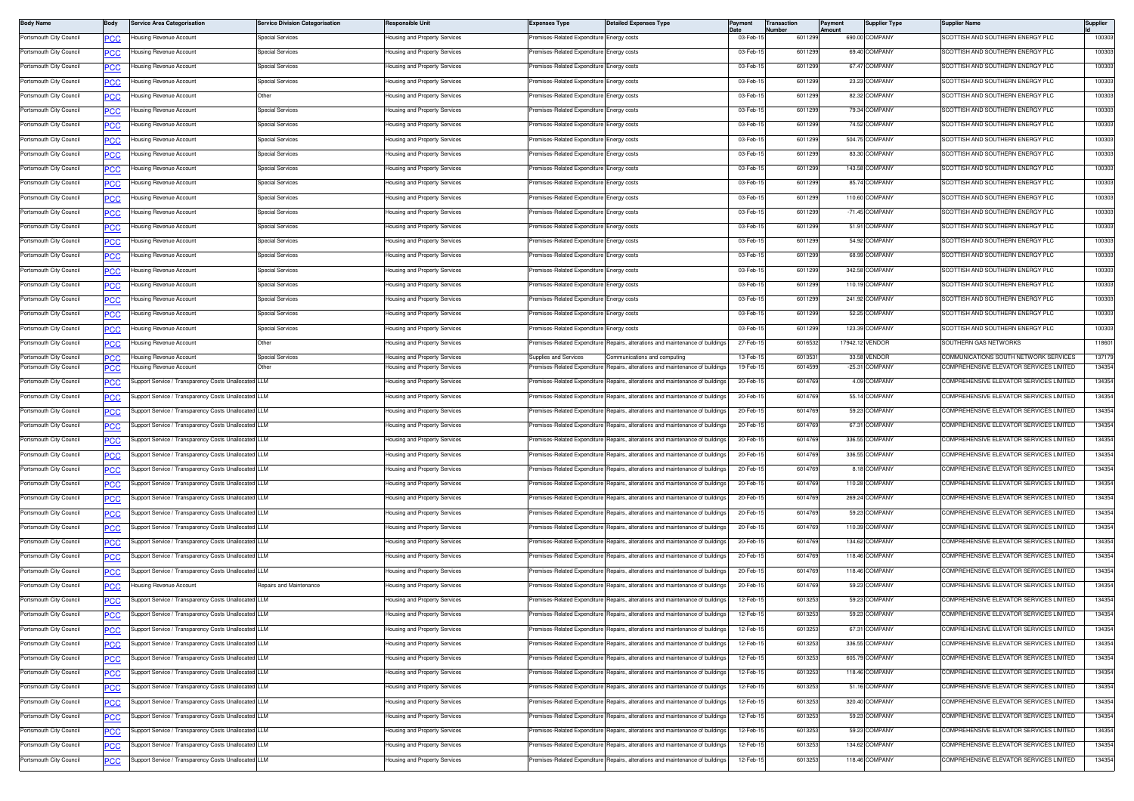| <b>Body Name</b>        | Body       | <b>Service Area Categorisation</b>                   | <b>Service Division Categorisation</b> | Responsible Unit              | <b>Expenses Type</b>                      | <b>Detailed Expenses Type</b>                                                  | Payment   | Transaction<br>Number | Payment<br>mount | <b>Supplier Type</b> | Supplier Name                           | Supplier |
|-------------------------|------------|------------------------------------------------------|----------------------------------------|-------------------------------|-------------------------------------------|--------------------------------------------------------------------------------|-----------|-----------------------|------------------|----------------------|-----------------------------------------|----------|
| Portsmouth City Council | <u>PCC</u> | lousing Revenue Account                              | <b>Special Services</b>                | lousing and Property Services | remises-Related Expenditure Energy costs  |                                                                                | 03-Feb-1  | 6011299               |                  | 690.00 COMPANY       | COTTISH AND SOUTHERN ENERGY PLC         | 100303   |
| Portsmouth City Council |            | lousing Revenue Account                              | <b>Special Services</b>                | Housing and Property Services | Premises-Related Expenditure Energy costs |                                                                                | 03-Feb-1  | 601129                |                  | 69.40 COMPANY        | SCOTTISH AND SOUTHERN ENERGY PLC        | 100303   |
| Portsmouth City Council |            | lousing Revenue Account                              | <b>Special Services</b>                | Housing and Property Services | remises-Related Expenditure               | Energy costs                                                                   | 03-Feb-1  | 6011299               |                  | 67.47 COMPANY        | SCOTTISH AND SOUTHERN ENERGY PLC        | 100303   |
| Portsmouth City Council | PCC        | Housing Revenue Account                              | <b>Special Services</b>                | lousing and Property Services | remises-Related Expenditure               | Energy costs                                                                   | 03-Feb-1  | 6011299               |                  | 23.23 COMPANY        | <b>SCOTTISH AND SOUTHERN ENERGY PLC</b> | 100303   |
| Portsmouth City Council | <u>PCC</u> | Housing Revenue Account                              | Other                                  | Housing and Property Services | remises-Related Expenditure               | Energy costs                                                                   | 03-Feb-1  | 6011299               |                  | 82.32 COMPANY        | SCOTTISH AND SOUTHERN ENERGY PLC        | 100303   |
| Portsmouth City Council | <u>PCC</u> | Housing Revenue Account                              | Special Services                       | lousing and Property Services | remises-Related Expenditure               | Energy costs                                                                   | 03-Feb-1  | 601129                |                  | 79.34 COMPANY        | <b>SCOTTISH AND SOUTHERN ENERGY PLC</b> | 100303   |
| Portsmouth City Council | <b>PCC</b> | Housing Revenue Account                              | <b>Special Services</b>                | Housing and Property Services | Premises-Related Expenditure Energy costs |                                                                                | 03-Feb-1  | 601129                |                  | 74.52 COMPANY        | SCOTTISH AND SOUTHERN ENERGY PLC        | 100303   |
| Portsmouth City Council | сc         | Housing Revenue Account                              | Special Services                       | Housing and Property Services | remises-Related Expenditure               | Energy costs                                                                   | 03-Feb-1  | 6011299               |                  | 504.75 COMPANY       | SCOTTISH AND SOUTHERN ENERGY PLC        | 100303   |
| Portsmouth City Council | PCC        | Housing Revenue Account                              | Special Services                       | lousing and Property Services | Premises-Related Expenditure              | nergy costs                                                                    | 03-Feb-1  | 6011299               |                  | 83.30 COMPANY        | <b>SCOTTISH AND SOUTHERN ENERGY PLC</b> | 100303   |
| Portsmouth City Council | <u>PCC</u> | Housing Revenue Account                              | Special Services                       | Housing and Property Services | Premises-Related Expenditure Energy costs |                                                                                | 03-Feb-1  | 6011299               |                  | 143.58 COMPANY       | SCOTTISH AND SOUTHERN ENERGY PLC        | 100303   |
| Portsmouth City Council | <u>PCC</u> | lousing Revenue Account                              | Special Services                       | lousing and Property Services | remises-Related Expenditure               | Energy costs                                                                   | 03-Feb-1  | 601129                |                  | 85.74 COMPANY        | <b>SCOTTISH AND SOUTHERN ENERGY PLC</b> | 100303   |
| Portsmouth City Council |            | Housing Revenue Account                              | <b>Special Services</b>                | lousing and Property Services | remises-Related Expenditure               | Energy costs                                                                   | 03-Feb-1  | 6011299               |                  | 110.60 COMPANY       | SCOTTISH AND SOUTHERN ENERGY PLC        | 100303   |
| Portsmouth City Council |            | lousing Revenue Account                              | Special Services                       | Housing and Property Services | emises-Related Expenditure                | Energy costs                                                                   | 03-Feb-1  | 6011299               |                  | -71.45 COMPANY       | SCOTTISH AND SOUTHERN ENERGY PLC        | 100303   |
| Portsmouth City Council | PCC        | Housing Revenue Account                              | <b>Special Services</b>                | lousing and Property Services | remises-Related Expenditure               | Energy costs                                                                   | 03-Feb-1  | 601129                |                  | 51.91 COMPANY        | COTTISH AND SOUTHERN ENERGY PLC         | 100303   |
| Portsmouth City Council | <u>PCC</u> | Housing Revenue Account                              | Special Services                       | Housing and Property Services | Premises-Related Expenditure Energy costs |                                                                                | 03-Feb-1  | 6011299               |                  | 54.92 COMPANY        | SCOTTISH AND SOUTHERN ENERGY PLC        | 100303   |
| Portsmouth City Council | <u>PCC</u> | Housing Revenue Account                              | <b>Special Services</b>                | Housing and Property Services | Premises-Related Expenditure Energy costs |                                                                                | 03-Feb-1  | 601129                |                  | 68.99 COMPANY        | SCOTTISH AND SOUTHERN ENERGY PLC        | 100303   |
| Portsmouth City Council |            | Housing Revenue Account                              | <b>Special Services</b>                | Housing and Property Services | Premises-Related Expenditure Energy costs |                                                                                | 03-Feb-1  | 601129                |                  | 342.58 COMPANY       | SCOTTISH AND SOUTHERN ENERGY PLC        | 100303   |
| Portsmouth City Council |            | lousing Revenue Account                              | Special Services                       | Housing and Property Services | remises-Related Expenditure               | Energy costs                                                                   | 03-Feb-1  | 6011299               |                  | 110.19 COMPANY       | SCOTTISH AND SOUTHERN ENERGY PLC        | 100303   |
| Portsmouth City Council | <u>PCC</u> | Housing Revenue Account                              | Special Services                       | lousing and Property Services | remises-Related Expenditure               | nergy costs                                                                    | 03-Feb-1  | 6011299               |                  | 241.92 COMPANY       | <b>SCOTTISH AND SOUTHERN ENERGY PLC</b> | 100303   |
| Portsmouth City Council | <u>PCC</u> | Housing Revenue Account                              | <b>Special Services</b>                | Housing and Property Services | remises-Related Expenditure               | Energy costs                                                                   | 03-Feb-1  | 6011299               |                  | 52.25 COMPANY        | SCOTTISH AND SOUTHERN ENERGY PLC        | 100303   |
| Portsmouth City Council | <u>PCC</u> | lousing Revenue Account                              | Special Services                       | lousing and Property Services | Premises-Related Expenditure              | Energy costs                                                                   | 03-Feb-1  | 601129                |                  | 123.39 COMPANY       | <b>SCOTTISH AND SOUTHERN ENERGY PLC</b> | 100303   |
| Portsmouth City Council | <b>PCC</b> | lousing Revenue Account                              | Other                                  | Housing and Property Services | remises-Related Expenditure               | Repairs, alterations and maintenance of building                               | 27-Feb-1  | 601653                |                  | 17942.12 VENDOR      | SOUTHERN GAS NETWORKS                   | 118601   |
| Portsmouth City Council | חמפ        | Housing Revenue Account                              | Special Services                       | Housing and Property Services | Supplies and Services                     | Communications and computing                                                   | 13-Feb-1  | 601353                |                  | 33.58 VENDOR         | COMMUNICATIONS SOUTH NETWORK SERVICES   | 137179   |
| Portsmouth City Council |            | lousing Revenue Account                              | Other                                  | lousing and Property Services | emises-Related Expenditure                | Repairs, alterations and maintenance of buildings                              | 19-Feb-1  | 601459                |                  | -25.31 COMPANY       | OMPREHENSIVE ELEVATOR SERVICES LIMITED  | 134354   |
| Portsmouth City Council |            | Support Service / Transparency Costs Unallocated LLM |                                        | Housing and Property Services | remises-Related Expenditure               | Repairs, alterations and maintenance of building                               | 20-Feb-1  | 6014769               |                  | 4.09 COMPANY         | COMPREHENSIVE ELEVATOR SERVICES LIMITED | 134354   |
| Portsmouth City Council | <u>PCC</u> | Support Service / Transparency Costs Unallocated     | <b>LLM</b>                             | lousing and Property Services | remises-Related Expenditure               | Repairs, alterations and maintenance of buildings                              | 20-Feb-1  | 601476                |                  | 55.14 COMPANY        | OMPREHENSIVE ELEVATOR SERVICES LIMITED  | 134354   |
| Portsmouth City Council | <u>PCC</u> | Support Service / Transparency Costs Unallocated LLM |                                        | lousing and Property Services | remises-Related Expenditure               | Repairs, alterations and maintenance of building                               | 20-Feb-1  | 6014769               |                  | 59.23 COMPANY        | COMPREHENSIVE ELEVATOR SERVICES LIMITED | 134354   |
| Portsmouth City Council | <b>PCC</b> | Support Service / Transparency Costs Unallocated LLM |                                        | lousing and Property Services | remises-Related Expenditure               | Repairs, alterations and maintenance of building                               | 20-Feb-1  | 601476                |                  | 67.31 COMPANY        | COMPREHENSIVE ELEVATOR SERVICES LIMITED | 134354   |
| Portsmouth City Council | <u>PCC</u> | Support Service / Transparency Costs Unallocated LLM |                                        | lousing and Property Services | emises-Related Expenditure                | Repairs, alterations and maintenance of buildings                              | 20-Feb-1  | 6014769               |                  | 336.55 COMPANY       | COMPREHENSIVE ELEVATOR SERVICES LIMITED | 134354   |
| Portsmouth City Council |            | Support Service / Transparency Costs Unallocated LLM |                                        | lousing and Property Services | remises-Related Expenditure               | Repairs, alterations and maintenance of buildings                              | 20-Feb-1  | 601476                |                  | 336.55 COMPANY       | COMPREHENSIVE ELEVATOR SERVICES LIMITED | 134354   |
| Portsmouth City Council | <u>PCC</u> | Support Service / Transparency Costs Unallocated LLM |                                        | lousing and Property Services | remises-Related Expenditure               | Repairs, alterations and maintenance of buildings                              | 20-Feb-1  | 6014769               |                  | 8.18 COMPANY         | OMPREHENSIVE ELEVATOR SERVICES LIMITED  | 134354   |
| Portsmouth City Council | <u>PCC</u> | Support Service / Transparency Costs Unallocated LLM |                                        | Housing and Property Services | remises-Related Expenditure               | Repairs, alterations and maintenance of buildings                              | 20-Feb-1  | 6014769               |                  | 110.28 COMPANY       | COMPREHENSIVE ELEVATOR SERVICES LIMITED | 134354   |
| Portsmouth City Council | <u>PCC</u> | Support Service / Transparency Costs Unallocated LLM |                                        | Housing and Property Services | Premises-Related Expenditure I            | Repairs, alterations and maintenance of buildings                              | 20-Feb-1  | 601476                |                  | 269.24 COMPANY       | COMPREHENSIVE ELEVATOR SERVICES LIMITED | 134354   |
| Portsmouth City Council | <u>PCC</u> | Support Service / Transparency Costs Unallocated     | I LLM                                  | lousing and Property Services | remises-Related Expenditure               | Repairs, alterations and maintenance of building                               | 20-Feb-1  | 601476                |                  | 59.23 COMPANY        | OMPREHENSIVE ELEVATOR SERVICES LIMITED  | 134354   |
| Portsmouth City Council |            | Support Service / Transparency Costs Unallocated LLM |                                        | lousing and Property Services | Premises-Related Expenditure              | Repairs, alterations and maintenance of buildings                              | 20-Feb-1  | 6014769               |                  | 110.39 COMPANY       | COMPREHENSIVE ELEVATOR SERVICES LIMITED | 134354   |
| Portsmouth City Council | <u>PCC</u> | Support Service / Transparency Costs Unallocated LLM |                                        | lousing and Property Services | Premises-Related Expenditure              | Repairs, alterations and maintenance of buildings                              | 20-Feb-1  | 6014769               |                  | 134.62 COMPANY       | OMPREHENSIVE ELEVATOR SERVICES LIMITED  | 134354   |
| Portsmouth City Council | <u>PCC</u> | Support Service / Transparency Costs Unallocated LLM |                                        | lousing and Property Services | remises-Related Expenditure               | Repairs, alterations and maintenance of building                               | 20-Feb-1  | 6014769               |                  | 118.46 COMPANY       | COMPREHENSIVE ELEVATOR SERVICES LIMITED | 134354   |
| Portsmouth City Council | <u>PCC</u> | Support Service / Transparency Costs Unallocated LLM |                                        | lousing and Property Services | remises-Related Expenditure               | Repairs, alterations and maintenance of building                               | 20-Feb-1  | 601476                |                  | 118.46 COMPANY       | COMPREHENSIVE ELEVATOR SERVICES LIMITED | 134354   |
| Portsmouth City Council |            | lousing Revenue Account                              | Repairs and Maintenance                | lousing and Property Services | emises-Related Expenditure                | Repairs, alterations and maintenance of buildings                              | 20-Feb-1  | 601476                |                  | 59.23 COMPANY        | OMPREHENSIVE ELEVATOR SERVICES LIMITED  | 134354   |
| Portsmouth City Council |            | Support Service / Transparency Costs Unallocated LLM |                                        | lousing and Property Services | remises-Related Expenditure               | Repairs, alterations and maintenance of buildings                              | 12-Feb-1  | 601325                |                  | 59.23 COMPANY        | COMPREHENSIVE ELEVATOR SERVICES LIMITED | 134354   |
| Portsmouth City Council | <b>PCC</b> | Support Service / Transparency Costs Unallocated LLM |                                        | lousing and Property Services | remises-Related Expenditure               | Repairs, alterations and maintenance of buildings                              | 12-Feb-1  | 601325                |                  | 59.23 COMPANY        | OMPREHENSIVE ELEVATOR SERVICES LIMITED  | 134354   |
| Portsmouth City Council |            | Support Service / Transparency Costs Unallocated LLM |                                        | Housing and Property Services |                                           | Premises-Related Expenditure Repairs, alterations and maintenance of buildings | 12-Feb-15 | 6013253               |                  | 67.31 COMPANY        | COMPREHENSIVE ELEVATOR SERVICES LIMITED | 134354   |
| Portsmouth City Council | <b>PCC</b> | Support Service / Transparency Costs Unallocated LLM |                                        | lousing and Property Services |                                           | remises-Related Expenditure Repairs, alterations and maintenance of buildings  | 12-Feb-1  | 6013253               |                  | 336.55 COMPANY       | COMPREHENSIVE ELEVATOR SERVICES LIMITED | 134354   |
| Portsmouth City Council | <u>CC</u>  | Support Service / Transparency Costs Unallocated LLM |                                        | lousing and Property Services | emises-Related Expenditure                | Repairs, alterations and maintenance of buildings                              | 12-Feb-15 | 6013253               |                  | 605.79 COMPANY       | COMPREHENSIVE ELEVATOR SERVICES LIMITED | 134354   |
| Portsmouth City Council | <u>CC</u>  | Support Service / Transparency Costs Unallocated LLM |                                        | Housing and Property Services | Premises-Related Expenditure              | Repairs, alterations and maintenance of buildings                              | 12-Feb-1  | 6013253               |                  | 118.46 COMPANY       | COMPREHENSIVE ELEVATOR SERVICES LIMITED | 134354   |
| Portsmouth City Council | <b>PCC</b> | Support Service / Transparency Costs Unallocated LLM |                                        | lousing and Property Services | remises-Related Expenditure               | Repairs, alterations and maintenance of buildings                              | 12-Feb-1  | 601325                |                  | 51.16 COMPANY        | OMPREHENSIVE ELEVATOR SERVICES LIMITED  | 134354   |
| Portsmouth City Council | <u>PCC</u> | Support Service / Transparency Costs Unallocated LLM |                                        | Housing and Property Services | remises-Related Expenditure               | Repairs, alterations and maintenance of buildings                              | 12-Feb-1  | 6013253               |                  | 320.40 COMPANY       | COMPREHENSIVE ELEVATOR SERVICES LIMITED | 134354   |
| Portsmouth City Council | <u>PCC</u> | Support Service / Transparency Costs Unallocated LLM |                                        | Housing and Property Services | Premises-Related Expenditure              | Repairs, alterations and maintenance of buildings                              | 12-Feb-1  | 601325                |                  | 59.23 COMPANY        | COMPREHENSIVE ELEVATOR SERVICES LIMITED | 134354   |
| Portsmouth City Council | <b>PCC</b> | Support Service / Transparency Costs Unallocated LLM |                                        | lousing and Property Services | remises-Related Expenditure               | Repairs, alterations and maintenance of buildings                              | 12-Feb-1  | 601325                |                  | 59.23 COMPANY        | COMPREHENSIVE ELEVATOR SERVICES LIMITED | 134354   |
| Portsmouth City Council | <u>CC</u>  | Support Service / Transparency Costs Unallocated LLM |                                        | Housing and Property Services | Premises-Related Expenditure              | Repairs, alterations and maintenance of buildings                              | 12-Feb-1  | 601325                |                  | 134.62 COMPANY       | COMPREHENSIVE ELEVATOR SERVICES LIMITED | 134354   |
| Portsmouth City Council | <u>PCC</u> | Support Service / Transparency Costs Unallocated LLM |                                        | lousing and Property Services | Premises-Related Expenditure              | Repairs, alterations and maintenance of buildings                              | 12-Feb-1  | 601325                |                  | 118.46 COMPANY       | COMPREHENSIVE ELEVATOR SERVICES LIMITED | 134354   |
|                         |            |                                                      |                                        |                               |                                           |                                                                                |           |                       |                  |                      |                                         |          |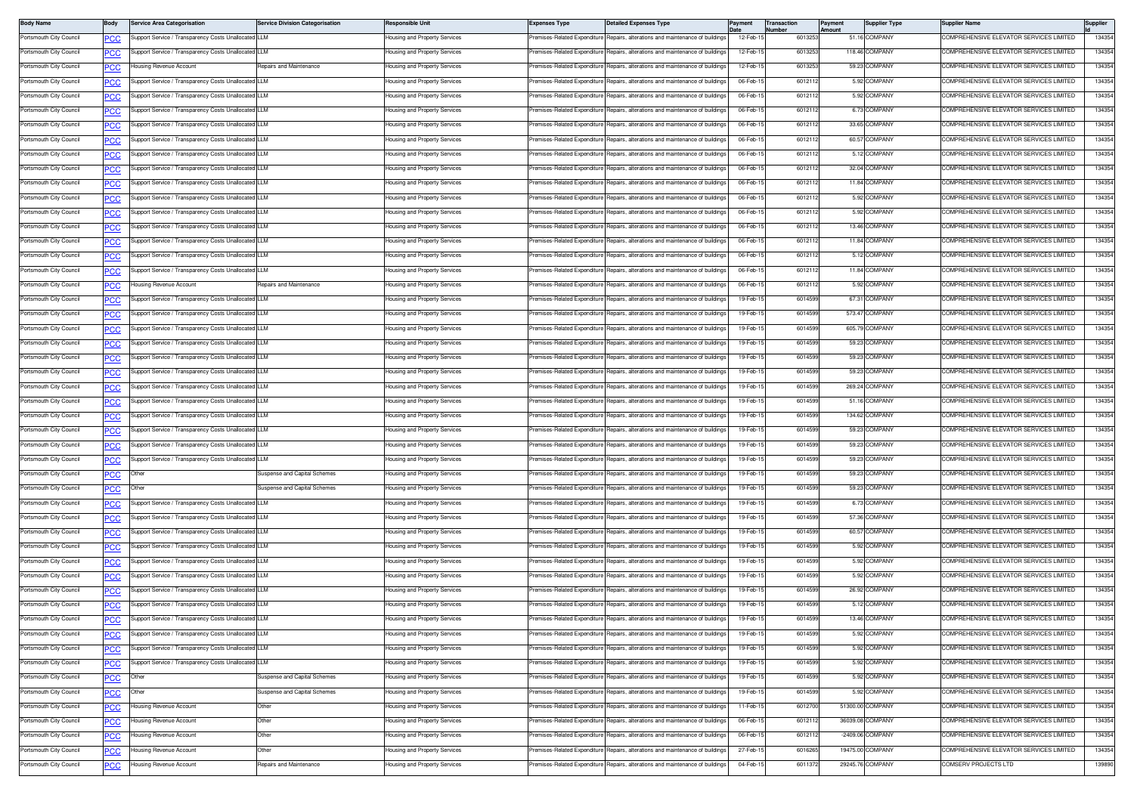| <b>Body Name</b>        | Body        | <b>Service Area Categorisation</b>                   | <b>Service Division Categorisation</b> | Responsible Unit              | <b>Expenses Type</b>         | <b>Detailed Expenses Type</b>                                                  | ayment    | ransaction<br>lumber | Payment<br><b>Imount</b> | <b>Supplier Type</b> | Supplier Name                           | Supplier |
|-------------------------|-------------|------------------------------------------------------|----------------------------------------|-------------------------------|------------------------------|--------------------------------------------------------------------------------|-----------|----------------------|--------------------------|----------------------|-----------------------------------------|----------|
| Portsmouth City Council | PCC         | Support Service / Transparency Costs Unallocated LLM |                                        | lousing and Property Services | remises-Related Expenditure  | Repairs, alterations and maintenance of buildings                              | 12-Feb-   | 601325               |                          | 51.16 COMPANY        | COMPREHENSIVE ELEVATOR SERVICES LIMITED | 134354   |
| Portsmouth City Council | <u>PCC</u>  | Support Service / Transparency Costs Unallocated LLM |                                        | lousing and Property Services | remises-Related Expenditure  | Repairs, alterations and maintenance of buildings                              | 12-Feb-1  | 601325               |                          | 118.46 COMPANY       | OMPREHENSIVE ELEVATOR SERVICES LIMITED  | 134354   |
| Portsmouth City Council | <u>PCC</u>  | lousing Revenue Account                              | <b>Repairs and Maintenance</b>         | lousing and Property Services | Premises-Related Expenditure | Repairs, alterations and maintenance of buildings                              | 12-Feb-1  | 601325               |                          | 59.23 COMPANY        | COMPREHENSIVE ELEVATOR SERVICES LIMITED | 134354   |
| Portsmouth City Council | сC          | Support Service / Transparency Costs Unallocated LLM |                                        | lousing and Property Services | remises-Related Expenditure  | epairs, alterations and maintenance of building                                | 06-Feb-1  | 601211               |                          | 5.92 COMPANY         | COMPREHENSIVE ELEVATOR SERVICES LIMITED | 134354   |
| Portsmouth City Council | <u>PCC</u>  | Support Service / Transparency Costs Unallocated LLM |                                        | lousing and Property Services | Premises-Related Expenditure | lepairs, alterations and maintenance of buildings                              | 06-Feb-1  | 601211               |                          | 5.92 COMPANY         | OMPREHENSIVE ELEVATOR SERVICES LIMITED  | 134354   |
| Portsmouth City Council | <u>PCC</u>  | Support Service / Transparency Costs Unallocated LLM |                                        | lousing and Property Services | Premises-Related Expenditure | Repairs, alterations and maintenance of buildings                              | 06-Feb-1  | 6012112              |                          | 6.73 COMPANY         | COMPREHENSIVE ELEVATOR SERVICES LIMITED | 134354   |
| Portsmouth City Council | <u>PCC</u>  | Support Service / Transparency Costs Unallocated LLM |                                        | lousing and Property Services | Premises-Related Expenditure | Repairs, alterations and maintenance of building                               | 06-Feb-1  | 601211               |                          | 33.65 COMPANY        | OMPREHENSIVE ELEVATOR SERVICES LIMITED  | 134354   |
| Portsmouth City Council | <u>PCC</u>  | Support Service / Transparency Costs Unallocated LLM |                                        | lousing and Property Services |                              | Premises-Related Expenditure Repairs, alterations and maintenance of buildings | 06-Feb-1  | 601211               |                          | 60.57 COMPANY        | COMPREHENSIVE ELEVATOR SERVICES LIMITED | 134354   |
| Portsmouth City Council | PСC         | Support Service / Transparency Costs Unallocated LLM |                                        | lousing and Property Services | Premises-Related Expenditure | Repairs, alterations and maintenance of building                               | 06-Feb-1  | 601211               |                          | 5.12 COMPANY         | COMPREHENSIVE ELEVATOR SERVICES LIMITED | 134354   |
| Portsmouth City Council | <b>PCC</b>  | Support Service / Transparency Costs Unallocated     |                                        | lousing and Property Services | remises-Related Expenditure  | lepairs, alterations and maintenance of buildings                              | 06-Feb-1  | 601211               |                          | 32.04 COMPANY        | OMPREHENSIVE ELEVATOR SERVICES LIMITED  | 134354   |
| Portsmouth City Council | <u>PCC</u>  | Support Service / Transparency Costs Unallocated LLM |                                        | lousing and Property Services | Premises-Related Expenditure | Repairs, alterations and maintenance of buildings                              | 06-Feb-1  | 601211               |                          | 11.84 COMPANY        | COMPREHENSIVE ELEVATOR SERVICES LIMITED | 134354   |
| Portsmouth City Council | <b>PCC</b>  | Support Service / Transparency Costs Unallocated LLM |                                        | lousing and Property Services | Premises-Related Expenditure | Repairs, alterations and maintenance of building                               | 06-Feb-1  | 601211               |                          | 5.92 COMPANY         | OMPREHENSIVE ELEVATOR SERVICES LIMITED  | 134354   |
| Portsmouth City Council | <u>PCC</u>  | Support Service / Transparency Costs Unallocated LLM |                                        | lousing and Property Services | Premises-Related Expenditure | Repairs, alterations and maintenance of building                               | 06-Feb-1  | 601211               |                          | 5.92 COMPANY         | COMPREHENSIVE ELEVATOR SERVICES LIMITED | 134354   |
| Portsmouth City Council | PСC         | upport Service / Transparency Costs Unallocated LLM  |                                        | lousing and Property Services | Premises-Related Expenditure | Repairs, alterations and maintenance of building                               | 06-Feb-1  | 601211               |                          | 13.46 COMPANY        | COMPREHENSIVE ELEVATOR SERVICES LIMITED | 134354   |
| Portsmouth City Council | <b>PCC</b>  | Support Service / Transparency Costs Unallocated LLM |                                        | lousing and Property Services | remises-Related Expenditure  | lepairs, alterations and maintenance of buildings                              | 06-Feb-1  | 601211               |                          | 11.84 COMPANY        | OMPREHENSIVE ELEVATOR SERVICES LIMITED  | 134354   |
| Portsmouth City Council | <b>PCC</b>  | Support Service / Transparency Costs Unallocated LLM |                                        | Housing and Property Services | Premises-Related Expenditure | Repairs, alterations and maintenance of building                               | 06-Feb-1  | 601211               |                          | 5.12 COMPANY         | COMPREHENSIVE ELEVATOR SERVICES LIMITED | 134354   |
| Portsmouth City Council | <u>PCC</u>  | Support Service / Transparency Costs Unallocated LLM |                                        | lousing and Property Services | remises-Related Expenditure  | Repairs, alterations and maintenance of building                               | 06-Feb-1  | 601211               |                          | 11.84 COMPANY        | OMPREHENSIVE ELEVATOR SERVICES LIMITED  | 134354   |
| Portsmouth City Council | <u>PCC</u>  | lousing Revenue Account                              | Repairs and Maintenance                | lousing and Property Services | Premises-Related Expenditure | Repairs, alterations and maintenance of building                               | 06-Feb-1  | 601211               |                          | 5.92 COMPANY         | COMPREHENSIVE ELEVATOR SERVICES LIMITED | 134354   |
| Portsmouth City Council | ٥с          | Support Service / Transparency Costs Unallocated LLM |                                        | lousing and Property Services | Premises-Related Expenditure | epairs, alterations and maintenance of building                                | 19-Feb-1  | 6014599              |                          | 67.31 COMPANY        | COMPREHENSIVE ELEVATOR SERVICES LIMITED | 134354   |
| Portsmouth City Council | <u>PCC</u>  | Support Service / Transparency Costs Unallocated LLM |                                        | lousing and Property Services | Premises-Related Expenditure | lepairs, alterations and maintenance of buildings                              | 19-Feb-1  | 6014599              |                          | 573.47 COMPANY       | OMPREHENSIVE ELEVATOR SERVICES LIMITED  | 134354   |
| Portsmouth City Council |             | Support Service / Transparency Costs Unallocated LLM |                                        | lousing and Property Services | Premises-Related Expenditure | Repairs, alterations and maintenance of building                               | 19-Feb-1  | 6014599              |                          | 605.79 COMPANY       | COMPREHENSIVE ELEVATOR SERVICES LIMITED | 134354   |
| Portsmouth City Council |             | Support Service / Transparency Costs Unallocated LLM |                                        | lousing and Property Services | Premises-Related Expenditure | Repairs, alterations and maintenance of building                               | 19-Feb-1  | 601459               |                          | 59.23 COMPANY        | OMPREHENSIVE ELEVATOR SERVICES LIMITED  | 134354   |
| Portsmouth City Council | <u>PCC</u>  | Support Service / Transparency Costs Unallocated LLM |                                        | lousing and Property Services | Premises-Related Expenditure | Repairs, alterations and maintenance of building                               | 19-Feb-1  | 601459               |                          | 59.23 COMPANY        | COMPREHENSIVE ELEVATOR SERVICES LIMITED | 134354   |
| Portsmouth City Council | <u>PCC</u>  | upport Service / Transparency Costs Unallocated LLM  |                                        | lousing and Property Services | remises-Related Expenditure  | lepairs, alterations and maintenance of building                               | 19-Feb-1  | 601459               |                          | 59.23 COMPANY        | COMPREHENSIVE ELEVATOR SERVICES LIMITED | 134354   |
| Portsmouth City Council | PСC         |                                                      |                                        |                               |                              |                                                                                |           |                      |                          | 269.24 COMPANY       | OMPREHENSIVE ELEVATOR SERVICES LIMITED  |          |
|                         | <u>PCC</u>  | Support Service / Transparency Costs Unallocated LLM |                                        | lousing and Property Services | Premises-Related Expenditure | Repairs, alterations and maintenance of buildings                              | 19-Feb-1  | 6014599              |                          |                      |                                         | 134354   |
| Portsmouth City Council | <u>PCC</u>  | Support Service / Transparency Costs Unallocated LLM |                                        | lousing and Property Services | Premises-Related Expenditure | Repairs, alterations and maintenance of building                               | 19-Feb-1  | 6014599              |                          | 51.16 COMPANY        | OMPREHENSIVE ELEVATOR SERVICES LIMITED  | 134354   |
| Portsmouth City Council | <b>PCC</b>  | Support Service / Transparency Costs Unallocated LLM |                                        | lousing and Property Services | Premises-Related Expenditure | Repairs, alterations and maintenance of building                               | 19-Feb-1  | 601459               |                          | 134.62 COMPANY       | OMPREHENSIVE ELEVATOR SERVICES LIMITED  | 134354   |
| Portsmouth City Council | <b>PCC</b>  | Support Service / Transparency Costs Unallocated LLM |                                        | lousing and Property Services | Premises-Related Expenditure | Repairs, alterations and maintenance of building                               | 19-Feb-1  | 601459               |                          | 59.23 COMPANY        | COMPREHENSIVE ELEVATOR SERVICES LIMITED | 134354   |
| Portsmouth City Council | PСC         | Support Service / Transparency Costs Unallocated LLM |                                        | Housing and Property Services | Premises-Related Expenditure | Repairs, alterations and maintenance of building                               | 19-Feb-1  | 601459               |                          | 59.23 COMPANY        | COMPREHENSIVE ELEVATOR SERVICES LIMITED | 134354   |
| Portsmouth City Council | PСC         | Support Service / Transparency Costs Unallocated LLM |                                        | lousing and Property Services | Premises-Related Expenditure | Repairs, alterations and maintenance of buildings                              | 19-Feb-1  | 6014599              |                          | 59.23 COMPANY        | OMPREHENSIVE ELEVATOR SERVICES LIMITED  | 134354   |
| Portsmouth City Council | <u>PCC </u> | Other                                                | Suspense and Capital Schemes           | Housing and Property Services | Premises-Related Expenditure | Repairs, alterations and maintenance of building                               | 19-Feb-1  | 6014599              |                          | 59.23 COMPANY        | COMPREHENSIVE ELEVATOR SERVICES LIMITED | 134354   |
| Portsmouth City Council | <u>PCC</u>  | Jther                                                | Suspense and Capital Schemes           | lousing and Property Services | remises-Related Expenditure  | Repairs, alterations and maintenance of buildings                              | 19-Feb-1  | 601459               |                          | 59.23 COMPANY        | OMPREHENSIVE ELEVATOR SERVICES LIMITED  | 134354   |
| Portsmouth City Council | <u>'CC</u>  | Support Service / Transparency Costs Unallocated LLM |                                        | lousing and Property Services | Premises-Related Expenditure | Repairs, alterations and maintenance of building                               | 19-Feb-1  | 601459               |                          | 6.73 COMPANY         | COMPREHENSIVE ELEVATOR SERVICES LIMITED | 134354   |
| Portsmouth City Council | сc          | Support Service / Transparency Costs Unallocated LLM |                                        | lousing and Property Services | Premises-Related Expenditure | epairs, alterations and maintenance of building                                | 19-Feb-1  | 6014599              |                          | 57.36 COMPANY        | COMPREHENSIVE ELEVATOR SERVICES LIMITED | 134354   |
| Portsmouth City Council | PCC         | Support Service / Transparency Costs Unallocated LLM |                                        | lousing and Property Services | Premises-Related Expenditure | lepairs, alterations and maintenance of buildings                              | 19-Feb-1  | 601459               |                          | 60.57 COMPANY        | COMPREHENSIVE ELEVATOR SERVICES LIMITED | 134354   |
| Portsmouth City Council |             | Support Service / Transparency Costs Unallocated LLM |                                        | Housing and Property Services | Premises-Related Expenditure | Repairs, alterations and maintenance of buildings                              | 19-Feb-1  | 6014599              |                          | 5.92 COMPANY         | COMPREHENSIVE ELEVATOR SERVICES LIMITED | 134354   |
| Portsmouth City Council | <u>PCC</u>  | Support Service / Transparency Costs Unallocated LLM |                                        | lousing and Property Services | Premises-Related Expenditure | Repairs, alterations and maintenance of building                               | 19-Feb-1  | 601459               |                          | 5.92 COMPANY         | COMPREHENSIVE ELEVATOR SERVICES LIMITED | 134354   |
| Portsmouth City Council | <u>PCC</u>  | Support Service / Transparency Costs Unallocated LLM |                                        | lousing and Property Services |                              | Premises-Related Expenditure Repairs, alterations and maintenance of buildings | 19-Feb-1  | 601459               |                          | 5.92 COMPANY         | COMPREHENSIVE ELEVATOR SERVICES LIMITED | 134354   |
| Portsmouth City Council |             | upport Service / Transparency Costs Unallocated LLM  |                                        | lousing and Property Services | Premises-Related Expenditure | lepairs, alterations and maintenance of building                               | 19-Feb-1  | 601459               |                          | 26.92 COMPANY        | COMPREHENSIVE ELEVATOR SERVICES LIMITED | 134354   |
| Portsmouth City Council | PCC         | Support Service / Transparency Costs Unallocated LLM |                                        | lousing and Property Services | Premises-Related Expenditure | Repairs, alterations and maintenance of buildings                              | 19-Feb-1  | 6014599              |                          | 5.12 COMPANY         | OMPREHENSIVE ELEVATOR SERVICES LIMITED  | 134354   |
| Portsmouth City Council | <b>PCC</b>  | Support Service / Transparency Costs Unallocated LLM |                                        | Housing and Property Services |                              | Premises-Related Expenditure Repairs, alterations and maintenance of buildings | 19-Feb-15 | 6014599              |                          | 13.46 COMPANY        | COMPREHENSIVE ELEVATOR SERVICES LIMITED | 134354   |
| Portsmouth City Council | <b>PCC</b>  | Support Service / Transparency Costs Unallocated LLM |                                        | lousing and Property Services | Premises-Related Expenditure | Repairs, alterations and maintenance of buildings                              | 19-Feb-1  | 6014599              |                          | 5.92 COMPANY         | COMPREHENSIVE ELEVATOR SERVICES LIMITED | 134354   |
| Portsmouth City Council | <b>PCC</b>  | Support Service / Transparency Costs Unallocated LLM |                                        | lousing and Property Services |                              | Premises-Related Expenditure Repairs, alterations and maintenance of buildings | 19-Feb-1  | 6014599              |                          | 5.92 COMPANY         | COMPREHENSIVE ELEVATOR SERVICES LIMITED | 134354   |
| Portsmouth City Council | <u>PCC</u>  | Support Service / Transparency Costs Unallocated LLM |                                        | lousing and Property Services | Premises-Related Expenditure | Repairs, alterations and maintenance of buildings                              | 19-Feb-1  | 601459               |                          | 5.92 COMPANY         | COMPREHENSIVE ELEVATOR SERVICES LIMITED | 134354   |
| Portsmouth City Council | PCC         | Other                                                | Suspense and Capital Schemes           | lousing and Property Services | Premises-Related Expenditure | Repairs, alterations and maintenance of buildings                              | 19-Feb-1  | 6014599              |                          | 5.92 COMPANY         | COMPREHENSIVE ELEVATOR SERVICES LIMITED | 134354   |
| Portsmouth City Council | <u>PCC</u>  | Other                                                | Suspense and Capital Schemes           | lousing and Property Services | Premises-Related Expenditure | Repairs, alterations and maintenance of buildings                              | 19-Feb-1  | 6014599              |                          | 5.92 COMPANY         | COMPREHENSIVE ELEVATOR SERVICES LIMITED | 134354   |
| Portsmouth City Council | <b>PCC</b>  | Housing Revenue Account                              | Other                                  | lousing and Property Services | Premises-Related Expenditure | Repairs, alterations and maintenance of buildings                              | 11-Feb-1  | 6012700              |                          | 51300.00 COMPANY     | COMPREHENSIVE ELEVATOR SERVICES LIMITED | 134354   |
| Portsmouth City Council | <b>PCC</b>  | Housing Revenue Account                              | Other                                  | lousing and Property Services | Premises-Related Expenditure | Repairs, alterations and maintenance of buildings                              | 06-Feb-1  | 6012112              |                          | 36039.08 COMPANY     | COMPREHENSIVE ELEVATOR SERVICES LIMITED | 134354   |
| Portsmouth City Council | PСC         | Housing Revenue Account                              | Other                                  | lousing and Property Services | Premises-Related Expenditure | epairs, alterations and maintenance of buildings                               | 06-Feb-1  | 6012112              |                          | -2409.06 COMPANY     | COMPREHENSIVE ELEVATOR SERVICES LIMITED | 134354   |
| Portsmouth City Council | PCC         | lousing Revenue Account                              | Other                                  | lousing and Property Services | Premises-Related Expenditure | Repairs, alterations and maintenance of buildings                              | 27-Feb-1  | 601626               |                          | 19475.00 COMPANY     | COMPREHENSIVE ELEVATOR SERVICES LIMITED | 134354   |
| Portsmouth City Council | <u>PCC</u>  | Housing Revenue Account                              | Repairs and Maintenance                | lousing and Property Services | Premises-Related Expenditure | Repairs, alterations and maintenance of buildings                              | 04-Feb-1  | 6011372              |                          | 29245.76 COMPANY     | COMSERV PROJECTS LTD                    | 139890   |
|                         |             |                                                      |                                        |                               |                              |                                                                                |           |                      |                          |                      |                                         |          |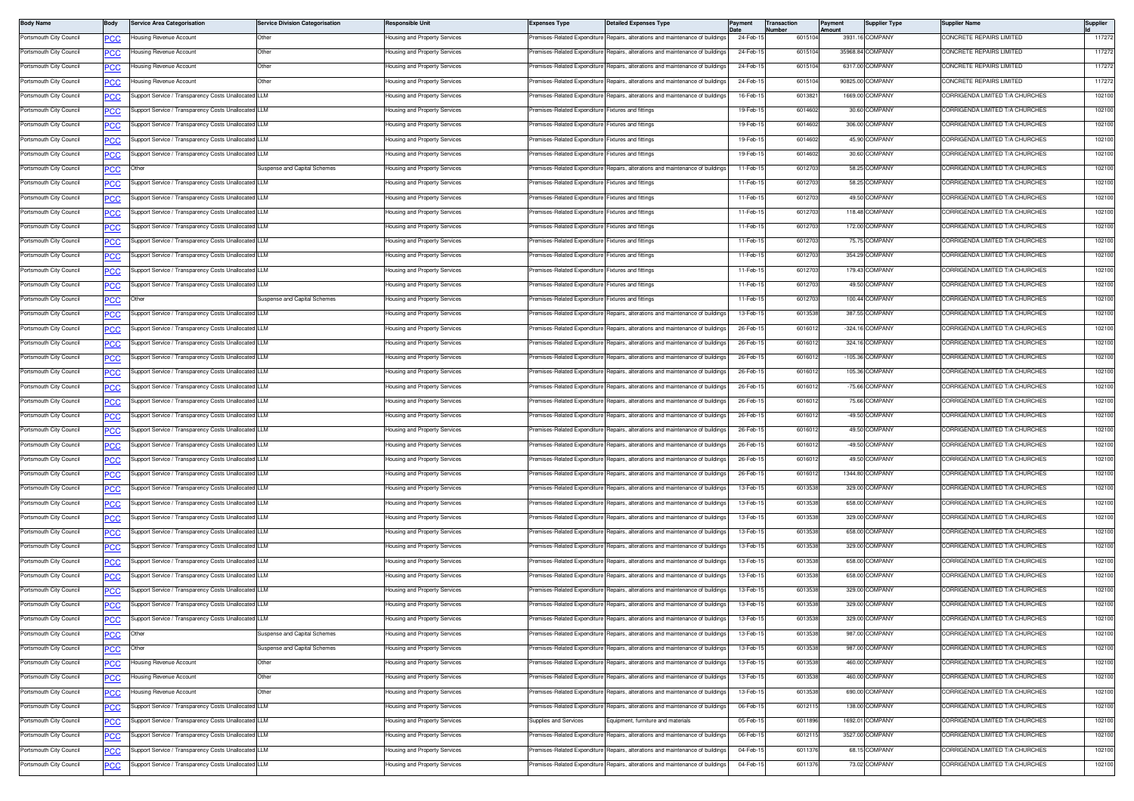| <b>Body Name</b>        | Body       | <b>Service Area Categorisation</b>                   | <b>Service Division Categorisation</b> | Responsible Unit                          | <b>Expenses Type</b>                               | <b>Detailed Expenses Type</b>                                                  | 'ayment   | <b>Transaction</b><br>lumber | Payment<br>Amount | <b>Supplier Type</b> | Supplier Name                   | Supplier |
|-------------------------|------------|------------------------------------------------------|----------------------------------------|-------------------------------------------|----------------------------------------------------|--------------------------------------------------------------------------------|-----------|------------------------------|-------------------|----------------------|---------------------------------|----------|
| Portsmouth City Council | PCC        | lousing Revenue Account                              | Other                                  | Housing and Property Services             | remises-Related Expenditure                        | Repairs, alterations and maintenance of buildings                              | 24-Feb-1  | 601510                       |                   | 3931.16 COMPANY      | CONCRETE REPAIRS LIMITED        | 117272   |
| Portsmouth City Council | <u>PCC</u> | lousing Revenue Account                              | Other                                  | lousing and Property Services             | remises-Related Expenditure                        | Repairs, alterations and maintenance of buildings                              | 24-Feb-1  | 601510                       |                   | 35968.84 COMPANY     | ONCRETE REPAIRS LIMITED         | 117272   |
| Portsmouth City Council |            | Housing Revenue Account                              | Other                                  | lousing and Property Services             | remises-Related Expenditure                        | Repairs, alterations and maintenance of buildings                              | 24-Feb-1  | 601510                       |                   | 6317.00 COMPANY      | CONCRETE REPAIRS LIMITED        | 117272   |
| Portsmouth City Council | сc         | lousing Revenue Account                              | Other                                  | Housing and Property Services             | remises-Related Expenditure                        | Repairs, alterations and maintenance of building                               | 24-Feb-1  | 601510                       |                   | 90825.00 COMPANY     | CONCRETE REPAIRS LIMITED        | 117272   |
| Portsmouth City Council | <u>cc</u>  | Support Service / Transparency Costs Unallocated LLM |                                        | lousing and Property Services             | remises-Related Expenditure                        | Repairs, alterations and maintenance of buildings                              | 16-Feb-1  | 601382                       |                   | 1669.00 COMPANY      | ORRIGENDA LIMITED T/A CHURCHES  | 102100   |
| Portsmouth City Council | <u>PCC</u> | Support Service / Transparency Costs Unallocated LLM |                                        | lousing and Property Services             | remises-Related Expenditure                        | Fixtures and fittings                                                          | 19-Feb-1  | 6014602                      |                   | 30.60 COMPANY        | ORRIGENDA LIMITED T/A CHURCHES  | 102100   |
| Portsmouth City Council | <u>PCC</u> | Support Service / Transparency Costs Unallocated LLM |                                        | <del>l</del> ousing and Property Services | Premises-Related Expenditure Fixtures and fittings |                                                                                | 19-Feb-1  | 601460                       |                   | 306.00 COMPANY       | ORRIGENDA LIMITED T/A CHURCHES  | 102100   |
| Portsmouth City Council | <u>PCC</u> | Support Service / Transparency Costs Unallocated LLM |                                        | Housing and Property Services             | Premises-Related Expenditure Fixtures and fittings |                                                                                | 19-Feb-1  | 601460                       |                   | 45.90 COMPANY        | CORRIGENDA LIMITED T/A CHURCHES | 102100   |
| Portsmouth City Council | сc         | Support Service / Transparency Costs Unallocated     | LLM                                    | Housing and Property Services             | remises-Related Expenditure I                      | <b>Fixtures and fittings</b>                                                   | 19-Feb-1  | 6014602                      |                   | 30.60 COMPANY        | CORRIGENDA LIMITED T/A CHURCHES | 102100   |
| Portsmouth City Council | <u>cc</u>  | Other                                                | Suspense and Capital Schemes           | lousing and Property Services             | emises-Related Expenditure                         | Repairs, alterations and maintenance of buildings                              | 11-Feb-1  | 601270                       |                   | 58.25 COMPANY        | ORRIGENDA LIMITED T/A CHURCHES  | 102100   |
| Portsmouth City Council | <u>PCC</u> | Support Service / Transparency Costs Unallocated LLM |                                        | Housing and Property Services             | Premises-Related Expenditure Fixtures and fittings |                                                                                | 11-Feb-1  | 601270                       |                   | 58.25 COMPANY        | CORRIGENDA LIMITED T/A CHURCHES | 102100   |
| Portsmouth City Council | <u>PCC</u> | Support Service / Transparency Costs Unallocated LLM |                                        | lousing and Property Services             | remises-Related Expenditure Fixtures and fittings  |                                                                                | 11-Feb-1  | 601270                       |                   | 49.50 COMPANY        | ORRIGENDA LIMITED T/A CHURCHES  | 102100   |
| Portsmouth City Council | <b>PCC</b> | Support Service / Transparency Costs Unallocated LLM |                                        | lousing and Property Services             | remises-Related Expenditure Fixtures and fittings  |                                                                                | 11-Feb-1  | 601270                       |                   | 118.48 COMPANY       | CORRIGENDA LIMITED T/A CHURCHES | 102100   |
| Portsmouth City Council | сc         | Support Service / Transparency Costs Unallocated LLM |                                        | Housing and Property Services             | remises-Related Expenditure Fixtures and fittings  |                                                                                | 11-Feb-1  | 601270                       |                   | 172.00 COMPANY       | CORRIGENDA LIMITED T/A CHURCHES | 102100   |
| Portsmouth City Council | <u>'CC</u> | Support Service / Transparency Costs Unallocated LLM |                                        | lousing and Property Services             | remises-Related Expenditure                        | Fixtures and fittings                                                          | 11-Feb-1  | 6012703                      |                   | 75.75 COMPANY        | ORRIGENDA LIMITED T/A CHURCHES  | 102100   |
| Portsmouth City Council | <u>PCC</u> | Support Service / Transparency Costs Unallocated LLM |                                        | Housing and Property Services             | Premises-Related Expenditure Fixtures and fittings |                                                                                | 11-Feb-1  | 601270                       |                   | 354.29 COMPANY       | CORRIGENDA LIMITED T/A CHURCHES | 102100   |
| Portsmouth City Council | <u>PCC</u> | Support Service / Transparency Costs Unallocated LLM |                                        | lousing and Property Services             | remises-Related Expenditure Fixtures and fittings  |                                                                                | 11-Feb-1  | 601270                       |                   | 179.43 COMPANY       | ORRIGENDA LIMITED T/A CHURCHES  | 102100   |
| Portsmouth City Council | <u>PCC</u> | Support Service / Transparency Costs Unallocated LLM |                                        | lousing and Property Services             | Premises-Related Expenditure Fixtures and fittings |                                                                                | 11-Feb-1  | 601270                       |                   | 49.50 COMPANY        | CORRIGENDA LIMITED T/A CHURCHES | 102100   |
| Portsmouth City Council | сc         | Other                                                | Suspense and Capital Schemes           | Housing and Property Services             | remises-Related Expenditure                        | ixtures and fittings                                                           | 11-Feb-1  | 601270                       |                   | 100.44 COMPANY       | CORRIGENDA LIMITED T/A CHURCHES | 102100   |
| Portsmouth City Council | <u>PCC</u> | Support Service / Transparency Costs Unallocated LLM |                                        | lousing and Property Services             | remises-Related Expenditure                        | Repairs, alterations and maintenance of buildings                              | 13-Feb-1  | 601353                       |                   | 387.55 COMPANY       | ORRIGENDA LIMITED T/A CHURCHES  | 102100   |
| Portsmouth City Council | <u>PCC</u> | Support Service / Transparency Costs Unallocated LLM |                                        | Housing and Property Services             | Premises-Related Expenditure                       | Repairs, alterations and maintenance of buildings                              | 26-Feb-1  | 601601                       |                   | $-324.16$ COMPANY    | CORRIGENDA LIMITED T/A CHURCHES | 102100   |
| Portsmouth City Council | <u>PCC</u> | Support Service / Transparency Costs Unallocated LLM |                                        | <del>l</del> ousing and Property Services | remises-Related Expenditure                        | Repairs, alterations and maintenance of building                               | 26-Feb-1  | 601601                       |                   | 324.16 COMPANY       | OBBIGENDA LIMITED T/A CHUBCHES  | 102100   |
| Portsmouth City Council |            | Support Service / Transparency Costs Unallocated LLM |                                        | Housing and Property Services             | Premises-Related Expenditure I                     | Repairs, alterations and maintenance of buildings                              | 26-Feb-1  | 601601                       |                   | $-105.36$ COMPANY    | CORRIGENDA LIMITED T/A CHURCHES | 102100   |
| Portsmouth City Council | сc         | Support Service / Transparency Costs Unallocated LLM |                                        | Housing and Property Services             | remises-Related Expenditure                        | Repairs, alterations and maintenance of building                               | 26-Feb-1  | 601601                       |                   | 105.36 COMPANY       | ORRIGENDA LIMITED T/A CHURCHES  | 102100   |
| Portsmouth City Council | <u>PCC</u> | Support Service / Transparency Costs Unallocated LLM |                                        | lousing and Property Services             | remises-Related Expenditure                        | Repairs, alterations and maintenance of buildings                              | 26-Feb-1  | 601601                       |                   | -75.66 COMPANY       | ORRIGENDA LIMITED T/A CHURCHES  | 102100   |
| Portsmouth City Council | <u>PCC</u> | Support Service / Transparency Costs Unallocated LLM |                                        | lousing and Property Services             | Premises-Related Expenditure                       | Repairs, alterations and maintenance of buildings                              | 26-Feb-1  | 601601                       |                   | 75.66 COMPANY        | ORRIGENDA LIMITED T/A CHURCHES  | 102100   |
| Portsmouth City Council | <u>PCC</u> | Support Service / Transparency Costs Unallocated LLM |                                        | lousing and Property Services             | Premises-Related Expenditure                       | Repairs, alterations and maintenance of building                               | 26-Feb-1  | 601601                       |                   | -49.50 COMPANY       | ORRIGENDA LIMITED T/A CHURCHES  | 102100   |
| Portsmouth City Council | <b>PCC</b> | Support Service / Transparency Costs Unallocated LLM |                                        | Housing and Property Services             | Premises-Related Expenditure I                     | Repairs, alterations and maintenance of building                               | 26-Feb-1  | 601601                       |                   | 49.50 COMPANY        | CORRIGENDA LIMITED T/A CHURCHES | 102100   |
| Portsmouth City Council | сc         | Support Service / Transparency Costs Unallocated LLM |                                        | Housing and Property Services             | Premises-Related Expenditure                       | Repairs, alterations and maintenance of building                               | 26-Feb-1  | 601601                       |                   | -49.50 COMPANY       | CORRIGENDA LIMITED T/A CHURCHES | 102100   |
| Portsmouth City Council | PCC        | Support Service / Transparency Costs Unallocated     |                                        | lousing and Property Services             | Premises-Related Expenditure                       | Repairs, alterations and maintenance of buildings                              | 26-Feb-1  | 601601                       |                   | 49.50 COMPANY        | ORRIGENDA LIMITED T/A CHURCHES  | 102100   |
| Portsmouth City Council | <u>PCC</u> | Support Service / Transparency Costs Unallocated LLM |                                        | Housing and Property Services             | Premises-Related Expenditure                       | Repairs, alterations and maintenance of buildings                              | 26-Feb-1  | 601601                       |                   | 1344.80 COMPANY      | ORRIGENDA LIMITED T/A CHURCHES  | 102100   |
| Portsmouth City Council | <u>PCC</u> | Support Service / Transparency Costs Unallocated LLM |                                        | lousing and Property Services             | remises-Related Expenditure                        | Repairs, alterations and maintenance of building                               | 13-Feb-1  | 601353                       |                   | 329.00 COMPANY       | ORRIGENDA LIMITED T/A CHURCHES  | 102100   |
| Portsmouth City Council |            | Support Service / Transparency Costs Unallocated LLM |                                        | lousing and Property Services             | remises-Related Expenditure                        | Repairs, alterations and maintenance of buildings                              | 13-Feb-1  | 601353                       |                   | 658.00 COMPANY       | CORRIGENDA LIMITED T/A CHURCHES | 102100   |
| Portsmouth City Council | °СС        | Support Service / Transparency Costs Unallocated LLM |                                        | Housing and Property Services             | remises-Related Expenditure                        | Repairs, alterations and maintenance of building                               | 13-Feb-1  | 6013538                      |                   | 329.00 COMPANY       | CORRIGENDA LIMITED T/A CHURCHES | 102100   |
| Portsmouth City Council | PCC        | Support Service / Transparency Costs Unallocated LLM |                                        | lousing and Property Services             | remises-Related Expenditure                        | Repairs, alterations and maintenance of buildings                              | 13-Feb-1  | 601353                       |                   | 658.00 COMPANY       | ORRIGENDA LIMITED T/A CHURCHES  | 102100   |
| Portsmouth City Council | <u>PCC</u> | Support Service / Transparency Costs Unallocated LLM |                                        | Housing and Property Services             | Premises-Related Expenditure                       | Repairs, alterations and maintenance of buildings                              | 13-Feb-1  | 6013538                      |                   | 329.00 COMPANY       | CORRIGENDA LIMITED T/A CHURCHES | 102100   |
| Portsmouth City Council | <u>PCC</u> | Support Service / Transparency Costs Unallocated LLM |                                        | <del>l</del> ousing and Property Services | remises-Related Expenditure                        | Repairs, alterations and maintenance of building                               | 13-Feb-1  | 601353                       |                   | 658.00 COMPANY       | ORRIGENDA LIMITED T/A CHURCHES  | 102100   |
| Portsmouth City Council |            | Support Service / Transparency Costs Unallocated LLM |                                        | Housing and Property Services             | Premises-Related Expenditure I                     | Repairs, alterations and maintenance of buildings                              | 13-Feb-1  | 601353                       |                   | 658.00 COMPANY       | CORRIGENDA LIMITED T/A CHURCHES | 102100   |
| Portsmouth City Council |            | Support Service / Transparency Costs Unallocated LLM |                                        | Housing and Property Services             | remises-Related Expenditure                        | Repairs, alterations and maintenance of building                               | 13-Feb-1  | 6013538                      |                   | 329.00 COMPANY       | CORRIGENDA LIMITED T/A CHURCHES | 102100   |
| Portsmouth City Council | PCC        | Support Service / Transparency Costs Unallocated LLM |                                        | lousing and Property Services             | remises-Related Expenditure                        | Repairs, alterations and maintenance of building                               | 13-Feb-1  | 601353                       |                   | 329.00 COMPANY       | ORRIGENDA LIMITED T/A CHURCHES  | 102100   |
| Portsmouth City Council | <b>PCC</b> | Support Service / Transparency Costs Unallocated LLM |                                        | Housing and Property Services             |                                                    | Premises-Related Expenditure Repairs, alterations and maintenance of buildings | 13-Feb-15 | 6013538                      |                   | 329.00 COMPANY       | CORRIGENDA LIMITED T/A CHURCHES | 102100   |
| Portsmouth City Council | <u>PCC</u> | Other                                                | Suspense and Capital Schemes           | lousing and Property Services             | remises-Related Expenditure                        | Repairs, alterations and maintenance of buildings                              | 13-Feb-1  | 6013538                      |                   | 987.00 COMPANY       | ORRIGENDA LIMITED T/A CHURCHES  | 102100   |
| Portsmouth City Council | <b>PCC</b> | Other                                                | Suspense and Capital Schemes           | Housing and Property Services             |                                                    | Premises-Related Expenditure Repairs, alterations and maintenance of buildings | 13-Feb-1  | 6013538                      |                   | 987.00 COMPANY       | CORRIGENDA LIMITED T/A CHURCHES | 102100   |
| Portsmouth City Council | сc         | lousing Revenue Account                              | Other                                  | Housing and Property Services             | remises-Related Expenditure                        | Repairs, alterations and maintenance of buildings                              | 13-Feb-1  | 6013538                      |                   | 460.00 COMPANY       | CORRIGENDA LIMITED T/A CHURCHES | 102100   |
| Portsmouth City Council | PCC        | Housing Revenue Account                              | Other                                  | lousing and Property Services             | Premises-Related Expenditure                       | Repairs, alterations and maintenance of buildings                              | 13-Feb-1  | 6013538                      |                   | 460.00 COMPANY       | CORRIGENDA LIMITED T/A CHURCHES | 102100   |
| Portsmouth City Council | <b>PCC</b> | Housing Revenue Account                              | Other                                  | Housing and Property Services             | Premises-Related Expenditure                       | Repairs, alterations and maintenance of buildings                              | 13-Feb-1  | 6013538                      |                   | 690.00 COMPANY       | CORRIGENDA LIMITED T/A CHURCHES | 102100   |
| Portsmouth City Council | <b>PCC</b> | Support Service / Transparency Costs Unallocated LLM |                                        | lousing and Property Services             | remises-Related Expenditure                        | Repairs, alterations and maintenance of buildings                              | 06-Feb-1  | 601211                       |                   | 138.00 COMPANY       | CORRIGENDA LIMITED T/A CHURCHES | 102100   |
| Portsmouth City Council | <b>PCC</b> | Support Service / Transparency Costs Unallocated LLM |                                        | lousing and Property Services             | Supplies and Services                              | Equipment, furniture and materials                                             | 05-Feb-1  | 6011896                      |                   | 1692.01 COMPANY      | CORRIGENDA LIMITED T/A CHURCHES | 102100   |
| Portsmouth City Council | PСC        | Support Service / Transparency Costs Unallocated LLM |                                        | Housing and Property Services             | remises-Related Expenditure                        | Repairs, alterations and maintenance of buildings                              | 06-Feb-1  | 601211                       |                   | 3527.00 COMPANY      | CORRIGENDA LIMITED T/A CHURCHES | 102100   |
| Portsmouth City Council | PCC        | Support Service / Transparency Costs Unallocated LLM |                                        | lousing and Property Services             | remises-Related Expenditure                        | Repairs, alterations and maintenance of buildings                              | 04-Feb-1  | 601137                       |                   | 68.15 COMPANY        | CORRIGENDA LIMITED T/A CHURCHES | 102100   |
| Portsmouth City Council | <b>PCC</b> | Support Service / Transparency Costs Unallocated LLM |                                        | lousing and Property Services             | remises-Related Expenditure                        | Repairs, alterations and maintenance of buildings                              | 04-Feb-1  | 6011376                      |                   | 73.02 COMPANY        | CORRIGENDA LIMITED T/A CHURCHES | 102100   |
|                         |            |                                                      |                                        |                                           |                                                    |                                                                                |           |                              |                   |                      |                                 |          |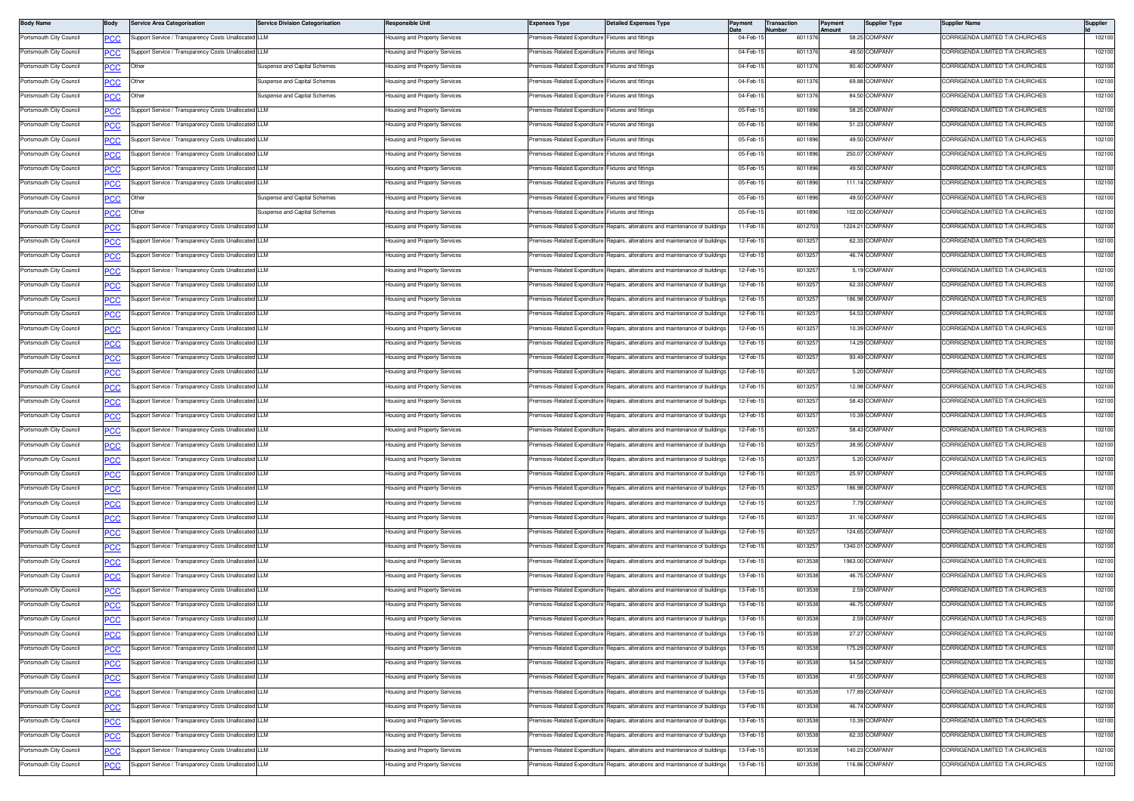| <b>Body Name</b>        | Body           | <b>Service Area Categorisation</b>                   | <b>Service Division Categorisation</b> | Responsible Unit              | <b>Expenses Type</b>                               | <b>Detailed Expenses Type</b>                                                  |          | Transactior<br>lumber | Payment<br><b>Imount</b> | <b>Supplier Type</b> | Supplier Name                   | <b>Supplier</b> |
|-------------------------|----------------|------------------------------------------------------|----------------------------------------|-------------------------------|----------------------------------------------------|--------------------------------------------------------------------------------|----------|-----------------------|--------------------------|----------------------|---------------------------------|-----------------|
| Portsmouth City Council | <b>PCC</b>     | Support Service / Transparency Costs Unallocated LLM |                                        | lousing and Property Services | Premises-Related Expenditure Fixtures and fittings |                                                                                | 04-Feb-1 | 6011376               |                          | 58.25 COMPANY        | ORRIGENDA LIMITED T/A CHURCHES  | 102100          |
| Portsmouth City Council | <u>PCC</u>     | Support Service / Transparency Costs Unallocated LLM |                                        | lousing and Property Services | Premises-Related Expenditure Fixtures and fittings |                                                                                | 04-Feb-1 | 601137                |                          | 49.50 COMPANY        | ORRIGENDA LIMITED T/A CHURCHES  | 102100          |
| Portsmouth City Council | <u>PCC</u>     | Other                                                | Suspense and Capital Schemes           | lousing and Property Services | Premises-Related Expenditure Fixtures and fittings |                                                                                | 04-Feb-1 | 601137                |                          | 80.40 COMPANY        | CORRIGENDA LIMITED T/A CHURCHES | 102100          |
| Portsmouth City Council | PCC            | Other                                                | Suspense and Capital Schemes           | lousing and Property Services | Premises-Related Expenditure Fixtures and fittings |                                                                                | 04-Feb-1 | 601137                |                          | 69.88 COMPANY        | CORRIGENDA LIMITED T/A CHURCHES | 102100          |
| Portsmouth City Council | <u>PCC</u>     | Other                                                | Suspense and Capital Schemes           | lousing and Property Services | Premises-Related Expenditure Fixtures and fittings |                                                                                | 04-Feb-1 | 601137                |                          | 84.50 COMPANY        | CORRIGENDA LIMITED T/A CHURCHES | 102100          |
| Portsmouth City Council | $\overline{C}$ | Support Service / Transparency Costs Unallocated LLM |                                        | lousing and Property Services | Premises-Related Expenditure Fixtures and fittings |                                                                                | 05-Feb-1 | 6011896               |                          | 58.25 COMPANY        | CORRIGENDA LIMITED T/A CHURCHES | 102100          |
| Portsmouth City Council | <u>PCC</u>     | Support Service / Transparency Costs Unallocated LLM |                                        | lousing and Property Services | Premises-Related Expenditure Fixtures and fittings |                                                                                | 05-Feb-1 | 6011896               |                          | 51.23 COMPANY        | CORRIGENDA LIMITED T/A CHURCHES | 102100          |
| Portsmouth City Council | ∍CC            | Support Service / Transparency Costs Unallocated LLM |                                        | lousing and Property Services | Premises-Related Expenditure                       | <b>Fixtures and fittings</b>                                                   | 05-Feb-1 | 6011896               |                          | 49.50 COMPANY        | CORRIGENDA LIMITED T/A CHURCHES | 102100          |
| Portsmouth City Council | PCC            | Support Service / Transparency Costs Unallocated LLM |                                        | lousing and Property Services | Premises-Related Expenditure                       | Fixtures and fittings                                                          | 05-Feb-1 | 6011896               |                          | 250.07 COMPANY       | CORRIGENDA LIMITED T/A CHURCHES | 102100          |
| Portsmouth City Council | <b>PCC</b>     | Support Service / Transparency Costs Unallocated LLM |                                        | lousing and Property Services | Premises-Related Expenditure Fixtures and fittings |                                                                                | 05-Feb-1 | 6011896               |                          | 49.50 COMPANY        | CORRIGENDA LIMITED T/A CHURCHES | 102100          |
| Portsmouth City Council | <b>PCC</b>     | Support Service / Transparency Costs Unallocated LLM |                                        | lousing and Property Services | Premises-Related Expenditure                       | Fixtures and fittings                                                          | 05-Feb-1 | 6011896               |                          | 111.14 COMPANY       | CORRIGENDA LIMITED T/A CHURCHES | 102100          |
| Portsmouth City Council | <u>PCC</u>     | Other                                                | Suspense and Capital Schemes           | lousing and Property Services | Premises-Related Expenditure                       | Fixtures and fittings                                                          | 05-Feb-1 | 6011896               |                          | 49.50 COMPANY        | ORRIGENDA LIMITED T/A CHURCHES  | 102100          |
| Portsmouth City Council |                | Other                                                | Suspense and Capital Schemes           | Housing and Property Services | Premises-Related Expenditure                       | Fixtures and fittings                                                          | 05-Feb-1 | 6011896               |                          | 102.00 COMPANY       | CORRIGENDA LIMITED T/A CHURCHES | 102100          |
| Portsmouth City Council | <u>'CC</u>     | upport Service / Transparency Costs Unallocated LLM  |                                        | lousing and Property Services | Premises-Related Expenditure                       | Repairs, alterations and maintenance of building                               | 11-Feb-1 | 601270                |                          | 1224.21 COMPANY      | CORRIGENDA LIMITED T/A CHURCHES | 102100          |
| Portsmouth City Council | PCC            | Support Service / Transparency Costs Unallocated LLM |                                        |                               | Premises-Related Expenditure                       | Repairs, alterations and maintenance of buildings                              | 12-Feb-1 | 6013257               |                          | 62.33 COMPANY        | CORRIGENDA LIMITED T/A CHURCHES | 102100          |
|                         | <b>PCC</b>     |                                                      |                                        | Housing and Property Services |                                                    |                                                                                |          |                       |                          | 46.74 COMPANY        |                                 |                 |
| Portsmouth City Council | <u>PCC</u>     | Support Service / Transparency Costs Unallocated LLM |                                        | lousing and Property Services | Premises-Related Expenditure                       | Repairs, alterations and maintenance of buildings                              | 12-Feb-1 | 6013257               |                          |                      | CORRIGENDA LIMITED T/A CHURCHES | 102100          |
| Portsmouth City Council | <b>PCC</b>     | Support Service / Transparency Costs Unallocated LLM |                                        | lousing and Property Services | Premises-Related Expenditure                       | Repairs, alterations and maintenance of buildings                              | 12-Feb-1 | 601325                |                          | 5.19 COMPANY         | ORRIGENDA LIMITED T/A CHURCHES  | 102100          |
| Portsmouth City Council | <u>PCC</u>     | Support Service / Transparency Costs Unallocated LLM |                                        | Housing and Property Services | Premises-Related Expenditure                       | Benairs, alterations and maintenance of building                               | 12-Feb-1 | 601325                |                          | 62.33 COMPANY        | CORRIGENDA LIMITED T/A CHURCHES | 102100          |
| Portsmouth City Council | <b>PCC</b>     | Support Service / Transparency Costs Unallocated LLM |                                        | Housing and Property Services | Premises-Related Expenditure                       | Repairs, alterations and maintenance of building                               | 12-Feb-1 | 601325                |                          | 186.98 COMPANY       | CORRIGENDA LIMITED T/A CHURCHES | 102100          |
| Portsmouth City Council | <u>PCC</u>     | Support Service / Transparency Costs Unallocated LLM |                                        | lousing and Property Services | remises-Related Expenditure                        | lepairs, alterations and maintenance of building                               | 12-Feb-1 | 6013257               |                          | 54.53 COMPANY        | ORRIGENDA LIMITED T/A CHURCHES  | 102100          |
| Portsmouth City Council | $\overline{C}$ | Support Service / Transparency Costs Unallocated LLM |                                        | lousing and Property Services | Premises-Related Expenditure                       | Repairs, alterations and maintenance of buildings                              | 12-Feb-1 | 6013257               |                          | 10.39 COMPANY        | CORRIGENDA LIMITED T/A CHURCHES | 102100          |
| Portsmouth City Council | <b>PCC</b>     | Support Service / Transparency Costs Unallocated LLM |                                        | lousing and Property Services | Premises-Related Expenditure                       | Repairs, alterations and maintenance of buildings                              | 12-Feb-1 | 601325                |                          | 14.29 COMPANY        | CORRIGENDA LIMITED T/A CHURCHES | 102100          |
| Portsmouth City Council | ∍CC            | Support Service / Transparency Costs Unallocated LLM |                                        | lousing and Property Services | Premises-Related Expenditure                       | Repairs, alterations and maintenance of buildings                              | 12-Feb-1 | 6013257               |                          | 93.49 COMPANY        | CORRIGENDA LIMITED T/A CHURCHES | 102100          |
| Portsmouth City Council | PCC            | Support Service / Transparency Costs Unallocated LLM |                                        | lousing and Property Services | Premises-Related Expenditure                       | Repairs, alterations and maintenance of building                               | 12-Feb-1 | 601325                |                          | 5.20 COMPANY         | CORRIGENDA LIMITED T/A CHURCHES | 102100          |
| Portsmouth City Council | <u>PCC</u>     | Support Service / Transparency Costs Unallocated LLM |                                        | lousing and Property Services | Premises-Related Expenditure                       | lepairs, alterations and maintenance of buildings                              | 12-Feb-1 | 6013257               |                          | 12.98 COMPANY        | ORRIGENDA LIMITED T/A CHURCHES  | 102100          |
| Portsmouth City Council | <b>PCC</b>     | Support Service / Transparency Costs Unallocated LLM |                                        | lousing and Property Services | Premises-Related Expenditure                       | Repairs, alterations and maintenance of buildings                              | 12-Feb-1 | 6013257               |                          | 58.43 COMPANY        | CORRIGENDA LIMITED T/A CHURCHES | 102100          |
| Portsmouth City Council | <b>PCC</b>     | Support Service / Transparency Costs Unallocated LLM |                                        | lousing and Property Services | Premises-Related Expenditure                       | Repairs, alterations and maintenance of buildings                              | 12-Feb-1 | 601325                |                          | 10.39 COMPANY        | ORRIGENDA LIMITED T/A CHURCHES  | 102100          |
| Portsmouth City Council | ∍CC            | Support Service / Transparency Costs Unallocated LLM |                                        | lousing and Property Services | Premises-Related Expenditure                       | Repairs, alterations and maintenance of building                               | 12-Feb-1 | 601325                |                          | 58.43 COMPANY        | CORRIGENDA LIMITED T/A CHURCHES | 102100          |
| Portsmouth City Council | PCC            | Support Service / Transparency Costs Unallocated LLM |                                        | lousing and Property Services | Premises-Related Expenditure                       | lepairs, alterations and maintenance of building                               | 12-Feb-1 | 601325                |                          | 38.95 COMPANY        | CORRIGENDA LIMITED T/A CHURCHES | 102100          |
| Portsmouth City Council | PСC            | upport Service / Transparency Costs Unallocated LLM  |                                        | lousing and Property Services | remises-Related Expenditure                        | epairs, alterations and maintenance of buildings                               | 12-Feb-1 | 6013257               |                          | 5.20 COMPANY         | ORRIGENDA LIMITED T/A CHURCHES  | 102100          |
| Portsmouth City Council | <b>PCC</b>     | Support Service / Transparency Costs Unallocated LLM |                                        | lousing and Property Services | Premises-Related Expenditure                       | Repairs, alterations and maintenance of buildings                              | 12-Feb-1 | 6013257               |                          | 25.97 COMPANY        | CORRIGENDA LIMITED T/A CHURCHES | 102100          |
| Portsmouth City Council | <u>PCC</u>     | Support Service / Transparency Costs Unallocated LLM |                                        | lousing and Property Services | Premises-Related Expenditure                       | Repairs, alterations and maintenance of buildings                              | 12-Feb-1 | 601325                |                          | 186.98 COMPANY       | ORRIGENDA LIMITED T/A CHURCHES  | 102100          |
| Portsmouth City Council | <u>PCC</u>     | Support Service / Transparency Costs Unallocated LLM |                                        | lousing and Property Services | Premises-Related Expenditure                       | Repairs, alterations and maintenance of building                               | 12-Feb-1 | 601325                |                          | 7.79 COMPANY         | CORRIGENDA LIMITED T/A CHURCHES | 102100          |
| Portsmouth City Council | PCC            | Support Service / Transparency Costs Unallocated LLM |                                        | lousing and Property Services | Premises-Related Expenditure                       | Repairs, alterations and maintenance of building                               | 12-Feb-1 | 601325                |                          | 31.16 COMPANY        | CORRIGENDA LIMITED T/A CHURCHES | 102100          |
| Portsmouth City Council | <u>PCC</u>     | Support Service / Transparency Costs Unallocated LLM |                                        | lousing and Property Services | remises-Related Expenditure                        | lepairs, alterations and maintenance of building                               | 12-Feb-1 | 6013257               |                          | 124.65 COMPANY       | ORRIGENDA LIMITED T/A CHURCHES  | 102100          |
| Portsmouth City Council | <u>PCC</u>     | Support Service / Transparency Costs Unallocated LLM |                                        | lousing and Property Services | Premises-Related Expenditure                       | Repairs, alterations and maintenance of buildings                              | 12-Feb-1 | 6013257               |                          | 1340.01 COMPANY      | CORRIGENDA LIMITED T/A CHURCHES | 102100          |
| Portsmouth City Council |                | Support Service / Transparency Costs Unallocated LLM |                                        | lousing and Property Services | Premises-Related Expenditure                       | Repairs, alterations and maintenance of buildings                              | 13-Feb-1 | 6013538               |                          | 1963.00 COMPANY      | CORRIGENDA LIMITED T/A CHURCHES | 102100          |
| Portsmouth City Council | <b>PCC</b>     | Support Service / Transparency Costs Unallocated LLM |                                        | lousing and Property Services | Premises-Related Expenditure                       | Repairs, alterations and maintenance of building                               | 13-Feb-1 | 6013538               |                          | 46.75 COMPANY        | CORRIGENDA LIMITED T/A CHURCHES | 102100          |
| Portsmouth City Council | ∍CC            | Support Service / Transparency Costs Unallocated LLM |                                        | Housing and Property Services | Premises-Related Expenditure                       | Repairs, alterations and maintenance of building                               | 13-Feb-1 | 601353                |                          | 2.59 COMPANY         | CORRIGENDA LIMITED T/A CHURCHES | 102100          |
| Portsmouth City Council | <u>PCC</u>     | Support Service / Transparency Costs Unallocated LLM |                                        | lousing and Property Services | remises-Related Expenditure                        | Repairs, alterations and maintenance of building                               | 13-Feb-1 | 6013538               |                          | 46.75 COMPANY        | ORRIGENDA LIMITED T/A CHURCHES  | 102100          |
| Portsmouth City Council | PСC            | Support Service / Transparency Costs Unallocated LLM |                                        |                               |                                                    | Premises-Related Expenditure Repairs, alterations and maintenance of buildings |          |                       |                          | 2.59 COMPANY         | CORRIGENDA LIMITED T/A CHURCHES |                 |
|                         | <b>PCC</b>     |                                                      |                                        | lousing and Property Services |                                                    |                                                                                | 13-Feb-1 | 6013538               |                          |                      |                                 | 102100          |
| Portsmouth City Council | <b>PCC</b>     | Support Service / Transparency Costs Unallocated LLM |                                        | lousing and Property Services | Premises-Related Expenditure                       | Repairs, alterations and maintenance of buildings                              | 13-Feb-1 | 6013538               |                          | 27.27 COMPANY        | CORRIGENDA LIMITED T/A CHURCHES | 102100          |
| Portsmouth City Council | <b>PCC</b>     | Support Service / Transparency Costs Unallocated LLM |                                        | lousing and Property Services | Premises-Related Expenditure                       | Repairs, alterations and maintenance of buildings                              | 13-Feb-1 | 6013538               |                          | 175.29 COMPANY       | CORRIGENDA LIMITED T/A CHURCHES | 102100          |
| Portsmouth City Council | <b>PCC</b>     | upport Service / Transparency Costs Unallocated LLM  |                                        | lousing and Property Services | Premises-Related Expenditure                       | Repairs, alterations and maintenance of buildings                              | 13-Feb-1 | 6013538               |                          | 54.54 COMPANY        | CORRIGENDA LIMITED T/A CHURCHES | 102100          |
| Portsmouth City Council | <u>PCC</u>     | upport Service / Transparency Costs Unallocated LLM  |                                        | lousing and Property Services | remises-Related Expenditure                        | Repairs, alterations and maintenance of buildings                              | 13-Feb-1 | 6013538               |                          | 41.55 COMPANY        | CORRIGENDA LIMITED T/A CHURCHES | 102100          |
| Portsmouth City Council | <u>CC</u>      | upport Service / Transparency Costs Unallocated LLM  |                                        | lousing and Property Services | Premises-Related Expenditure                       | Repairs, alterations and maintenance of buildings                              | 13-Feb-1 | 6013538               |                          | 177.89 COMPANY       | CORRIGENDA LIMITED T/A CHURCHES | 102100          |
| Portsmouth City Council | <b>PCC</b>     | Support Service / Transparency Costs Unallocated LLM |                                        | lousing and Property Services | Premises-Related Expenditure                       | Repairs, alterations and maintenance of buildings                              | 13-Feb-1 | 6013538               |                          | 46.74 COMPANY        | CORRIGENDA LIMITED T/A CHURCHES | 102100          |
| Portsmouth City Council | <b>PCC</b>     | Support Service / Transparency Costs Unallocated LLM |                                        | lousing and Property Services | Premises-Related Expenditure                       | Repairs, alterations and maintenance of buildings                              | 13-Feb-1 | 6013538               |                          | 10.39 COMPANY        | CORRIGENDA LIMITED T/A CHURCHES | 102100          |
| Portsmouth City Council | <b>PCC</b>     | Support Service / Transparency Costs Unallocated LLM |                                        | Housing and Property Services | Premises-Related Expenditure                       | lepairs, alterations and maintenance of buildings                              | 13-Feb-1 | 601353                |                          | 62.33 COMPANY        | CORRIGENDA LIMITED T/A CHURCHES | 102100          |
| Portsmouth City Council |                | upport Service / Transparency Costs Unallocated LLM  |                                        | lousing and Property Services | remises-Related Expenditure                        | epairs, alterations and maintenance of building                                | 13-Feb-1 | 6013538               |                          | 140.23 COMPANY       | ORRIGENDA LIMITED T/A CHURCHES  | 102100          |
| Portsmouth City Council | <u>PCC</u>     | Support Service / Transparency Costs Unallocated LLM |                                        | lousing and Property Services | Premises-Related Expenditure                       | Repairs, alterations and maintenance of buildings                              | 13-Feb-1 | 6013538               |                          | 116.86 COMPANY       | CORRIGENDA LIMITED T/A CHURCHES | 102100          |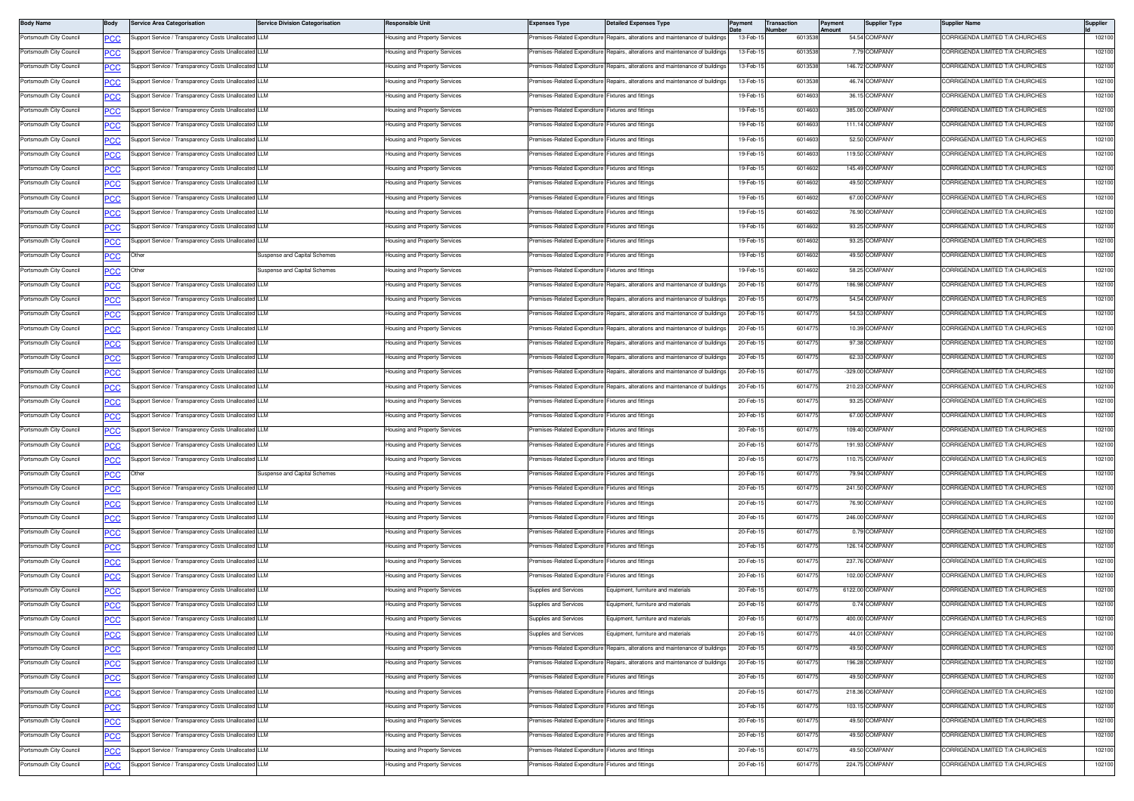| <b>Body Name</b>        | Body           | Service Area Categorisation                          | <b>Service Division Categorisation</b> | Responsible Unit              | <b>Expenses Type</b>                               | <b>Detailed Expenses Type</b>                                                  | ayment   | ransaction<br>lumber | Payment<br>mount | <b>Supplier Type</b> | Supplier Name                   | Supplier |
|-------------------------|----------------|------------------------------------------------------|----------------------------------------|-------------------------------|----------------------------------------------------|--------------------------------------------------------------------------------|----------|----------------------|------------------|----------------------|---------------------------------|----------|
| Portsmouth City Council | PСC            | Support Service / Transparency Costs Unallocated LLM |                                        | lousing and Property Services | Premises-Related Expenditure                       | Repairs, alterations and maintenance of buildings                              | 13-Feb-1 | 6013538              |                  | 54.54 COMPANY        | ORRIGENDA LIMITED T/A CHURCHES  | 102100   |
| Portsmouth City Council | <u>PCC</u>     | Support Service / Transparency Costs Unallocated LLM |                                        | lousing and Property Services | remises-Related Expenditure                        | Repairs, alterations and maintenance of buildings                              | 13-Feb-1 | 601353               |                  | 7.79 COMPANY         | ORRIGENDA LIMITED T/A CHURCHES  | 102100   |
| Portsmouth City Council | <u>PCC</u>     | Support Service / Transparency Costs Unallocated LLM |                                        | lousing and Property Services | Premises-Related Expenditure                       | Repairs, alterations and maintenance of buildings                              | 13-Feb-1 | 6013538              |                  | 146.72 COMPANY       | CORRIGENDA LIMITED T/A CHURCHES | 102100   |
| Portsmouth City Council | сC             | upport Service / Transparency Costs Unallocated LLM  |                                        | lousing and Property Services | Premises-Related Expenditure                       | lepairs, alterations and maintenance of building                               | 13-Feb-1 | 6013538              |                  | 46.74 COMPANY        | CORRIGENDA LIMITED T/A CHURCHES | 102100   |
| Portsmouth City Council | ∍CC            | Support Service / Transparency Costs Unallocated LLM |                                        | lousing and Property Services | Premises-Related Expenditure                       | ixtures and fittings                                                           | 19-Feb-1 | 601460               |                  | 36.15 COMPANY        | ORRIGENDA LIMITED T/A CHURCHES  | 102100   |
| Portsmouth City Council | <u>PCC</u>     | Support Service / Transparency Costs Unallocated LLM |                                        | lousing and Property Services | Premises-Related Expenditure Fixtures and fittings |                                                                                | 19-Feb-1 | 601460               |                  | 385.00 COMPANY       | CORRIGENDA LIMITED T/A CHURCHES | 102100   |
| Portsmouth City Council | <u>PCC</u>     | Support Service / Transparency Costs Unallocated LLM |                                        | lousing and Property Services | Premises-Related Expenditure                       | Fixtures and fittings                                                          | 19-Feb-1 | 601460               |                  | 111.14 COMPANY       | ORRIGENDA LIMITED T/A CHURCHES  | 102100   |
| Portsmouth City Council | <u>PCC</u>     | Support Service / Transparency Costs Unallocated LLM |                                        | lousing and Property Services | Premises-Related Expenditure Fixtures and fittings |                                                                                | 19-Feb-1 | 601460               |                  | 52.50 COMPANY        | CORRIGENDA LIMITED T/A CHURCHES | 102100   |
| Portsmouth City Council | PСC            | Support Service / Transparency Costs Unallocated LLM |                                        | lousing and Property Services | Premises-Related Expenditure                       | Fixtures and fittings                                                          | 19-Feb-1 | 601460               |                  | 119.50 COMPANY       | CORRIGENDA LIMITED T/A CHURCHES | 102100   |
| Portsmouth City Council | <b>PCC</b>     | Support Service / Transparency Costs Unallocated LLM |                                        | lousing and Property Services | Premises-Related Expenditure                       | ixtures and fittings                                                           | 19-Feb-1 | 6014602              |                  | 145.49 COMPANY       | ORRIGENDA LIMITED T/A CHURCHES  | 102100   |
| Portsmouth City Council | <u>PCC</u>     | Support Service / Transparency Costs Unallocated LLM |                                        | lousing and Property Services | Premises-Related Expenditure                       | Fixtures and fittings                                                          | 19-Feb-1 | 601460               |                  | 49.50 COMPANY        | CORRIGENDA LIMITED T/A CHURCHES | 102100   |
| Portsmouth City Council | <b>PCC</b>     | Support Service / Transparency Costs Unallocated LLM |                                        | lousing and Property Services | Premises-Related Expenditure                       | <b>Fixtures and fittings</b>                                                   | 19-Feb-1 | 601460               |                  | 67.00 COMPANY        | ORRIGENDA LIMITED T/A CHURCHES  | 102100   |
| Portsmouth City Council | <b>PCC</b>     | Support Service / Transparency Costs Unallocated LLM |                                        | lousing and Property Services | Premises-Related Expenditure Fixtures and fittings |                                                                                | 19-Feb-1 | 601460               |                  | 76.90 COMPANY        | CORRIGENDA LIMITED T/A CHURCHES | 102100   |
| Portsmouth City Council | PСC            | Support Service / Transparency Costs Unallocated LLM |                                        | lousing and Property Services | Premises-Related Expenditure                       | Fixtures and fittings                                                          | 19-Feb-1 | 601460               |                  | 93.25 COMPANY        | CORRIGENDA LIMITED T/A CHURCHES | 102100   |
| Portsmouth City Council | <b>PCC</b>     | Support Service / Transparency Costs Unallocated LLM |                                        | lousing and Property Services | Premises-Related Expenditure                       | ixtures and fittings                                                           | 19-Feb-1 | 601460               |                  | 93.25 COMPANY        | ORRIGENDA LIMITED T/A CHURCHES  | 102100   |
| Portsmouth City Council | <u>PCC </u>    | Other                                                | Suspense and Capital Schemes           | Housing and Property Services | Premises-Related Expenditure Fixtures and fittings |                                                                                | 19-Feb-1 | 6014602              |                  | 49.50 COMPANY        | CORRIGENDA LIMITED T/A CHURCHES | 102100   |
| Portsmouth City Council | <u>PCC</u>     | ⊃ther                                                | Suspense and Capital Schemes           | lousing and Property Services | remises-Related Expenditure                        | Fixtures and fittings                                                          | 19-Feb-1 | 601460               |                  | 58.25 COMPANY        | ORRIGENDA LIMITED T/A CHURCHES  | 102100   |
| Portsmouth City Council | <u>'CC</u>     | Support Service / Transparency Costs Unallocated LLM |                                        | lousing and Property Services | Premises-Related Expenditure                       | Repairs, alterations and maintenance of building                               | 20-Feb-1 | 601477               |                  | 186.98 COMPANY       | CORRIGENDA LIMITED T/A CHURCHES | 102100   |
| Portsmouth City Council | ٥с             | Support Service / Transparency Costs Unallocated LLM |                                        | lousing and Property Services | Premises-Related Expenditure                       | lepairs, alterations and maintenance of building                               | 20-Feb-1 | 601477               |                  | 54.54 COMPANY        | CORRIGENDA LIMITED T/A CHURCHES | 102100   |
| Portsmouth City Council | <u>PCC</u>     | Support Service / Transparency Costs Unallocated LLM |                                        | lousing and Property Services | Premises-Related Expenditure                       | lepairs, alterations and maintenance of buildings                              | 20-Feb-1 | 601477               |                  | 54.53 COMPANY        | ORRIGENDA LIMITED T/A CHURCHES  | 102100   |
| Portsmouth City Council |                | Support Service / Transparency Costs Unallocated LLM |                                        | lousing and Property Services | Premises-Related Expenditure                       | Benairs, alterations and maintenance of building                               | 20-Feb-1 | 601477               |                  | 10.39 COMPANY        | CORRIGENDA LIMITED T/A CHURCHES | 102100   |
| Portsmouth City Council | <u>PCC</u>     | Support Service / Transparency Costs Unallocated LLM |                                        | lousing and Property Services | Premises-Related Expenditure                       | Repairs, alterations and maintenance of building                               | 20-Feb-1 | 601477               |                  | 97.38 COMPANY        | ORRIGENDA LIMITED T/A CHURCHES  | 102100   |
| Portsmouth City Council | <u>PCC</u>     | Support Service / Transparency Costs Unallocated LLM |                                        | lousing and Property Services | Premises-Related Expenditure                       | Repairs, alterations and maintenance of building                               | 20-Feb-1 | 601477               |                  | 62.33 COMPANY        | CORRIGENDA LIMITED T/A CHURCHES | 102100   |
| Portsmouth City Council | <u>PCC</u>     | upport Service / Transparency Costs Unallocated LLM  |                                        | lousing and Property Services | remises-Related Expenditure                        | lepairs, alterations and maintenance of building                               | 20-Feb-1 | 601477               |                  | -329.00 COMPANY      | CORRIGENDA LIMITED T/A CHURCHES | 102100   |
|                         | PСC            |                                                      |                                        |                               |                                                    | Repairs, alterations and maintenance of buildings                              |          |                      |                  |                      | ORRIGENDA LIMITED T/A CHURCHES  |          |
| Portsmouth City Council | <u>PCC</u>     | Support Service / Transparency Costs Unallocated LLM |                                        | lousing and Property Services | Premises-Related Expenditure                       |                                                                                | 20-Feb-1 | 601477               |                  | 210.23 COMPANY       | CORRIGENDA LIMITED T/A CHURCHES | 102100   |
| Portsmouth City Council | <u>PCC</u>     | Support Service / Transparency Costs Unallocated LLM |                                        | lousing and Property Services | Premises-Related Expenditure Fixtures and fittings |                                                                                | 20-Feb-1 | 601477               |                  | 93.25 COMPANY        |                                 | 102100   |
| Portsmouth City Council | <b>PCC</b>     | Support Service / Transparency Costs Unallocated LLM |                                        | lousing and Property Services | Premises-Related Expenditure Fixtures and fittings |                                                                                | 20-Feb-1 | 601477               |                  | 67.00 COMPANY        | ORRIGENDA LIMITED T/A CHURCHES  | 102100   |
| Portsmouth City Council | <b>PCC</b>     | Support Service / Transparency Costs Unallocated LLM |                                        | lousing and Property Services | Premises-Related Expenditure Fixtures and fittings |                                                                                | 20-Feb-1 | 601477               |                  | 109.40 COMPANY       | CORRIGENDA LIMITED T/A CHURCHES | 102100   |
| Portsmouth City Council | PСC            | Support Service / Transparency Costs Unallocated LLM |                                        | Housing and Property Services | Premises-Related Expenditure                       | Fixtures and fittings                                                          | 20-Feb-1 | 601477               |                  | 191.93 COMPANY       | CORRIGENDA LIMITED T/A CHURCHES | 102100   |
| Portsmouth City Council | PСC            | Support Service / Transparency Costs Unallocated LLM |                                        | lousing and Property Services | Premises-Related Expenditure                       | Fixtures and fittings                                                          | 20-Feb-1 | 601477               |                  | 110.75 COMPANY       | ORRIGENDA LIMITED T/A CHURCHES  | 102100   |
| Portsmouth City Council | $\overline{C}$ | Other                                                | Suspense and Capital Schemes           | lousing and Property Services | Premises-Related Expenditure Fixtures and fittings |                                                                                | 20-Feb-1 | 601477               |                  | 79.94 COMPANY        | CORRIGENDA LIMITED T/A CHURCHES | 102100   |
| Portsmouth City Council | <u>PCC</u>     | Support Service / Transparency Costs Unallocated LLM |                                        | lousing and Property Services | remises-Related Expenditure                        | Fixtures and fittings                                                          | 20-Feb-1 | 601477               |                  | 241.50 COMPANY       | ORRIGENDA LIMITED T/A CHURCHES  | 102100   |
| Portsmouth City Council | <u>PCC</u>     | Support Service / Transparency Costs Unallocated LLM |                                        | lousing and Property Services | Premises-Related Expenditure Fixtures and fittings |                                                                                | 20-Feb-1 | 601477               |                  | 76.90 COMPANY        | CORRIGENDA LIMITED T/A CHURCHES | 102100   |
| Portsmouth City Council | ٥с             | Support Service / Transparency Costs Unallocated LLM |                                        | lousing and Property Services | Premises-Related Expenditure                       | Fixtures and fittings                                                          | 20-Feb-1 | 601477               |                  | 246.00 COMPANY       | CORRIGENDA LIMITED T/A CHURCHES | 102100   |
| Portsmouth City Council | PCC            | Support Service / Transparency Costs Unallocated LLM |                                        | lousing and Property Services | Premises-Related Expenditure                       | ixtures and fittings                                                           | 20-Feb-1 | 601477               |                  | 0.79 COMPANY         | CORRIGENDA LIMITED T/A CHURCHES | 102100   |
| Portsmouth City Council | <u>PCC</u>     | Support Service / Transparency Costs Unallocated LLM |                                        | lousing and Property Services | Premises-Related Expenditure Fixtures and fittings |                                                                                | 20-Feb-1 | 601477               |                  | 126.14 COMPANY       | CORRIGENDA LIMITED T/A CHURCHES | 102100   |
| Portsmouth City Council | <u>PCC</u>     | Support Service / Transparency Costs Unallocated LLM |                                        | lousing and Property Services | Premises-Related Expenditure Fixtures and fittings |                                                                                | 20-Feb-1 | 601477               |                  | 237.76 COMPANY       | ORRIGENDA LIMITED T/A CHURCHES  | 102100   |
| Portsmouth City Council | <u>PCC</u>     | Support Service / Transparency Costs Unallocated LLM |                                        | lousing and Property Services | Premises-Related Expenditure Fixtures and fittings |                                                                                | 20-Feb-1 | 601477               |                  | 102.00 COMPANY       | CORRIGENDA LIMITED T/A CHURCHES | 102100   |
| Portsmouth City Council |                | upport Service / Transparency Costs Unallocated LLM  |                                        | lousing and Property Services | <b>Supplies and Services</b>                       | cuipment, furniture and materials                                              | 20-Feb-1 | 601477               |                  | 6122.00 COMPANY      | CORRIGENDA LIMITED T/A CHURCHES | 102100   |
| Portsmouth City Council | PCC            | Support Service / Transparency Costs Unallocated LLM |                                        | lousing and Property Services | Supplies and Services                              | <b>Equipment, furniture and materials</b>                                      | 20-Feb-1 | 601477               |                  | 0.74 COMPANY         | ORRIGENDA LIMITED T/A CHURCHES  | 102100   |
| Portsmouth City Council | <b>PCC</b>     | Support Service / Transparency Costs Unallocated LLM |                                        | Housing and Property Services | Supplies and Services                              | Equipment, furniture and materials                                             | 20-Feb-1 | 6014775              |                  | 400.00 COMPANY       | CORRIGENDA LIMITED T/A CHURCHES | 102100   |
| Portsmouth City Council | <b>PCC</b>     | Support Service / Transparency Costs Unallocated LLM |                                        | lousing and Property Services | Supplies and Services                              | quipment, furniture and materials                                              | 20-Feb-1 | 601477               |                  | 44.01 COMPANY        | CORRIGENDA LIMITED T/A CHURCHES | 102100   |
| Portsmouth City Council | <b>PCC</b>     | Support Service / Transparency Costs Unallocated LLM |                                        | lousing and Property Services |                                                    | Premises-Related Expenditure Repairs, alterations and maintenance of buildings | 20-Feb-1 | 6014775              |                  | 49.50 COMPANY        | CORRIGENDA LIMITED T/A CHURCHES | 102100   |
| Portsmouth City Council | $\overline{C}$ | Support Service / Transparency Costs Unallocated LLM |                                        | lousing and Property Services |                                                    | Premises-Related Expenditure Repairs, alterations and maintenance of building  | 20-Feb-1 | 6014775              |                  | 196.28 COMPANY       | CORRIGENDA LIMITED T/A CHURCHES | 102100   |
| Portsmouth City Council | PCC            | Support Service / Transparency Costs Unallocated LLM |                                        | lousing and Property Services | Premises-Related Expenditure                       | Fixtures and fittings                                                          | 20-Feb-1 | 601477               |                  | 49.50 COMPANY        | CORRIGENDA LIMITED T/A CHURCHES | 102100   |
| Portsmouth City Council | <u>PCC</u>     | Support Service / Transparency Costs Unallocated LLM |                                        | lousing and Property Services | Premises-Related Expenditure Fixtures and fittings |                                                                                | 20-Feb-1 | 601477               |                  | 218.36 COMPANY       | CORRIGENDA LIMITED T/A CHURCHES | 102100   |
| Portsmouth City Council | <b>PCC</b>     | Support Service / Transparency Costs Unallocated LLM |                                        | lousing and Property Services | remises-Related Expenditure Fixtures and fittings  |                                                                                | 20-Feb-1 | 601477               |                  | 103.15 COMPANY       | CORRIGENDA LIMITED T/A CHURCHES | 102100   |
| Portsmouth City Council | <b>PCC</b>     | Support Service / Transparency Costs Unallocated LLM |                                        | lousing and Property Services | Premises-Related Expenditure Fixtures and fittings |                                                                                | 20-Feb-1 | 601477               |                  | 49.50 COMPANY        | CORRIGENDA LIMITED T/A CHURCHES | 102100   |
| Portsmouth City Council | PСC            | Support Service / Transparency Costs Unallocated LLM |                                        | lousing and Property Services | Premises-Related Expenditure                       | Fixtures and fittings                                                          | 20-Feb-1 | 601477               |                  | 49.50 COMPANY        | CORRIGENDA LIMITED T/A CHURCHES | 102100   |
| Portsmouth City Council | PCC            | Support Service / Transparency Costs Unallocated LLM |                                        | lousing and Property Services | Premises-Related Expenditure                       | Fixtures and fittings                                                          | 20-Feb-1 | 601477               |                  | 49.50 COMPANY        | CORRIGENDA LIMITED T/A CHURCHES | 102100   |
| Portsmouth City Council | <u>PCC</u>     | Support Service / Transparency Costs Unallocated LLM |                                        | lousing and Property Services | Premises-Related Expenditure Fixtures and fittings |                                                                                | 20-Feb-1 | 6014775              |                  | 224.75 COMPANY       | CORRIGENDA LIMITED T/A CHURCHES | 102100   |
|                         |                |                                                      |                                        |                               |                                                    |                                                                                |          |                      |                  |                      |                                 |          |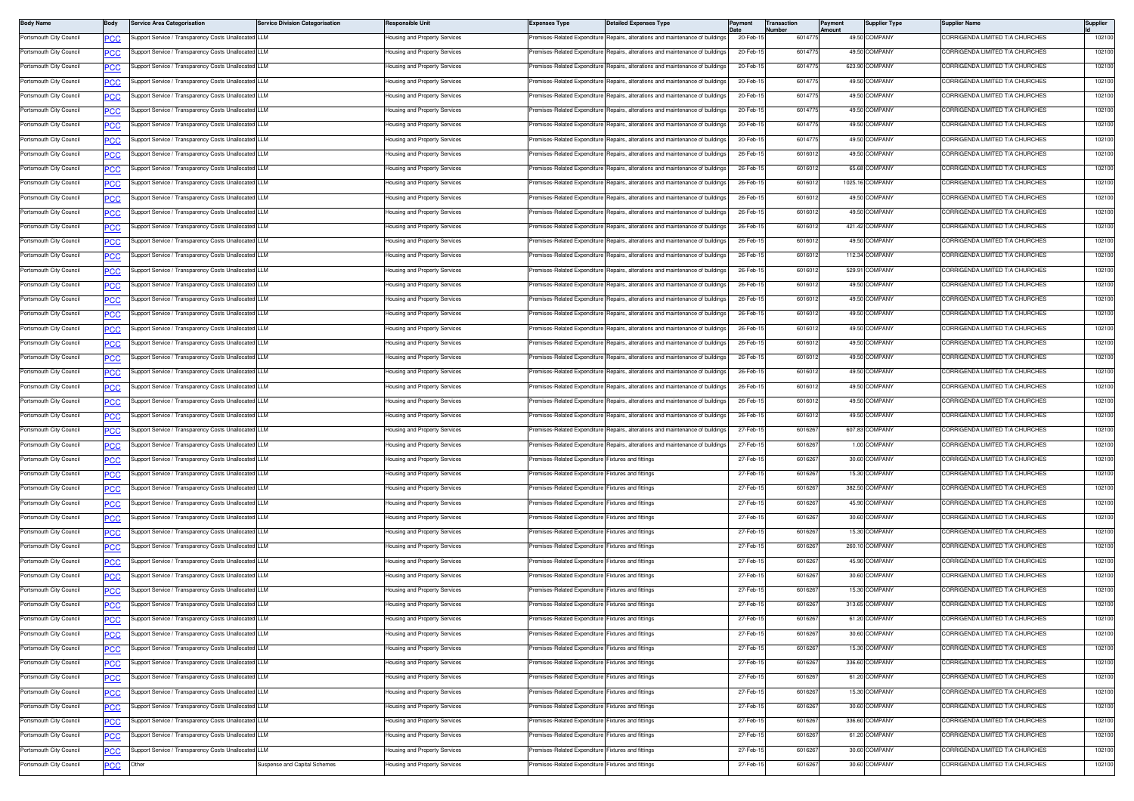| <b>Body Name</b>        | Body       | <b>Service Area Categorisation</b>                   | <b>Service Division Categorisation</b> | Responsible Unit              | <b>Expenses Type</b>                               | <b>Detailed Expenses Type</b>                                                  | 'ayment   | Transaction<br>lumber | Payment<br>mount | <b>Supplier Type</b> | Supplier Name                   | Supplier |
|-------------------------|------------|------------------------------------------------------|----------------------------------------|-------------------------------|----------------------------------------------------|--------------------------------------------------------------------------------|-----------|-----------------------|------------------|----------------------|---------------------------------|----------|
| Portsmouth City Council | эсс        | Support Service / Transparency Costs Unallocated LLM |                                        | lousing and Property Services | remises-Related Expenditure                        | Repairs, alterations and maintenance of buildings                              | 20-Feb-1  | 601477                |                  | 49.50 COMPANY        | ORRIGENDA LIMITED T/A CHURCHES  | 102100   |
| Portsmouth City Council | <u>PCC</u> | Support Service / Transparency Costs Unallocated LLM |                                        | lousing and Property Services | remises-Related Expenditure                        | Repairs, alterations and maintenance of buildings                              | 20-Feb-1  | 601477                |                  | 49.50 COMPANY        | ORRIGENDA LIMITED T/A CHURCHES  | 102100   |
| Portsmouth City Council |            | Support Service / Transparency Costs Unallocated LLM |                                        | lousing and Property Services | remises-Related Expenditure                        | Repairs, alterations and maintenance of buildings                              | 20-Feb-1  | 60147                 |                  | 623.90 COMPANY       | CORRIGENDA LIMITED T/A CHURCHES | 102100   |
| Portsmouth City Council |            | Support Service / Transparency Costs Unallocated LLM |                                        | Housing and Property Services | remises-Related Expenditure                        | Repairs, alterations and maintenance of building                               | 20-Feb-1  | 601477                |                  | 49.50 COMPANY        | CORRIGENDA LIMITED T/A CHURCHES | 102100   |
| Portsmouth City Council | <u>cc</u>  | Support Service / Transparency Costs Unallocated LLM |                                        | lousing and Property Services | remises-Related Expenditure                        | Repairs, alterations and maintenance of buildings                              | 20-Feb-1  | 601477                |                  | 49.50 COMPANY        | ORRIGENDA LIMITED T/A CHURCHES  | 102100   |
| Portsmouth City Council | <u>PCC</u> | Support Service / Transparency Costs Unallocated LLM |                                        | lousing and Property Services | Premises-Related Expenditure                       | Repairs, alterations and maintenance of buildings                              | 20-Feb-1  | 601477                |                  | 49.50 COMPANY        | ORRIGENDA LIMITED T/A CHURCHES  | 102100   |
| Portsmouth City Council | <u>PCC</u> | Support Service / Transparency Costs Unallocated LLM |                                        | lousing and Property Services | remises-Related Expenditure                        | Repairs, alterations and maintenance of building                               | 20-Feb-1  | 601477                |                  | 49.50 COMPANY        | ORRIGENDA LIMITED T/A CHURCHES  | 102100   |
| Portsmouth City Council |            | Support Service / Transparency Costs Unallocated LLM |                                        | Housing and Property Services |                                                    | Premises-Related Expenditure Repairs, alterations and maintenance of buildings | 20-Feb-1  | 601477                |                  | 49.50 COMPANY        | CORRIGENDA LIMITED T/A CHURCHES | 102100   |
| Portsmouth City Council | cс         | Support Service / Transparency Costs Unallocated LLM |                                        | Housing and Property Services | remises-Related Expenditure                        | Repairs, alterations and maintenance of building                               | 26-Feb-1  | 601601                |                  | 49.50 COMPANY        | ORRIGENDA LIMITED T/A CHURCHES  | 102100   |
| Portsmouth City Council | <u>cc</u>  | Support Service / Transparency Costs Unallocated     | <b>LLM</b>                             | lousing and Property Services | emises-Related Expenditure                         | Repairs, alterations and maintenance of buildings                              | 26-Feb-1  | 601601                |                  | 65.68 COMPANY        | ORRIGENDA LIMITED T/A CHURCHES  | 102100   |
| Portsmouth City Council | <u>PCC</u> | Support Service / Transparency Costs Unallocated LLM |                                        | lousing and Property Services | Premises-Related Expenditure                       | Repairs, alterations and maintenance of buildings                              | 26-Feb-1  | 601601                |                  | 1025.16 COMPANY      | CORRIGENDA LIMITED T/A CHURCHES | 102100   |
| Portsmouth City Council | <u>PCC</u> | Support Service / Transparency Costs Unallocated LLM |                                        | lousing and Property Services | remises-Related Expenditure                        | Repairs, alterations and maintenance of building                               | 26-Feb-1  | 601601                |                  | 49.50 COMPANY        | ORRIGENDA LIMITED T/A CHURCHES  | 102100   |
| Portsmouth City Council | <b>PCC</b> | Support Service / Transparency Costs Unallocated LLM |                                        | lousing and Property Services | remises-Related Expenditure                        | Repairs, alterations and maintenance of building                               | 26-Feb-1  | 601601                |                  | 49.50 COMPANY        | CORRIGENDA LIMITED T/A CHURCHES | 102100   |
| Portsmouth City Council | cс         | Support Service / Transparency Costs Unallocated     | I LLM                                  | Housing and Property Services | remises-Related Expenditure                        | Repairs, alterations and maintenance of building                               | 26-Feb-1  | 601601                |                  | 421.42 COMPANY       | ORRIGENDA LIMITED T/A CHURCHES  | 102100   |
| Portsmouth City Council | <u>'CC</u> | Support Service / Transparency Costs Unallocated LLM |                                        | lousing and Property Services | remises-Related Expenditure                        | Repairs, alterations and maintenance of buildings                              | 26-Feb-1  | 601601                |                  | 49.50 COMPANY        | ORRIGENDA LIMITED T/A CHURCHES  | 102100   |
| Portsmouth City Council | <u>PCC</u> | Support Service / Transparency Costs Unallocated LLM |                                        | Housing and Property Services | Premises-Related Expenditure                       | Repairs, alterations and maintenance of building                               | 26-Feb-1  | 601601                |                  | 112.34 COMPANY       | CORRIGENDA LIMITED T/A CHURCHES | 102100   |
| Portsmouth City Council | <u>PCC</u> | Support Service / Transparency Costs Unallocated LLM |                                        | lousing and Property Services | remises-Related Expenditure                        | Repairs, alterations and maintenance of building                               | 26-Feb-1  | 601601                |                  | 529.91 COMPANY       | ORRIGENDA LIMITED T/A CHURCHES  | 102100   |
| Portsmouth City Council |            | Support Service / Transparency Costs Unallocated LLM |                                        | lousing and Property Services | remises-Related Expenditure                        | Repairs, alterations and maintenance of buildings                              | 26-Feb-1  | 601601                |                  | 49.50 COMPANY        | CORRIGENDA LIMITED T/A CHURCHES | 102100   |
| Portsmouth City Council | сc         | Support Service / Transparency Costs Unallocated LLM |                                        | Housing and Property Services | remises-Related Expenditure                        | Repairs, alterations and maintenance of building                               | 26-Feb-1  | 601601                |                  | 49.50 COMPANY        | CORRIGENDA LIMITED T/A CHURCHES | 102100   |
| Portsmouth City Council | <u>PCC</u> | Support Service / Transparency Costs Unallocated     | LLM                                    | lousing and Property Services | remises-Related Expenditure                        | Repairs, alterations and maintenance of buildings                              | 26-Feb-1  | 601601                |                  | 49.50 COMPANY        | ORRIGENDA LIMITED T/A CHURCHES  | 102100   |
| Portsmouth City Council | <u>PCC</u> | Support Service / Transparency Costs Unallocated LLM |                                        | lousing and Property Services | Premises-Related Expenditure                       | Repairs, alterations and maintenance of buildings                              | 26-Feb-1  | 601601                |                  | 49.50 COMPANY        | CORRIGENDA LIMITED T/A CHURCHES | 102100   |
| Portsmouth City Council | <u>PCC</u> | Support Service / Transparency Costs Unallocated LLM |                                        | lousing and Property Services | remises-Related Expenditure                        | Repairs, alterations and maintenance of building                               | 26-Feb-1  | 601601                |                  | 49.50 COMPANY        | ORRIGENDA LIMITED T/A CHURCHES  | 102100   |
| Portsmouth City Council |            | Support Service / Transparency Costs Unallocated LLM |                                        | lousing and Property Services | Premises-Related Expenditure                       | Repairs, alterations and maintenance of buildings                              | 26-Feb-1  | 601601                |                  | 49.50 COMPANY        | CORRIGENDA LIMITED T/A CHURCHES | 102100   |
| Portsmouth City Council | cс         | Support Service / Transparency Costs Unallocated LLM |                                        | Housing and Property Services | remises-Related Expenditure                        | Repairs, alterations and maintenance of building                               | 26-Feb-1  | 601601                |                  | 49.50 COMPANY        | ORRIGENDA LIMITED T/A CHURCHES  | 102100   |
| Portsmouth City Council | <u>CC </u> | Support Service / Transparency Costs Unallocated LLM |                                        | lousing and Property Services | remises-Related Expenditure                        | Repairs, alterations and maintenance of buildings                              | 26-Feb-1  | 601601                |                  | 49.50 COMPANY        | ORRIGENDA LIMITED T/A CHURCHES  | 102100   |
| Portsmouth City Council | <u>PCC</u> | Support Service / Transparency Costs Unallocated LLM |                                        | lousing and Property Services | Premises-Related Expenditure                       | Repairs, alterations and maintenance of buildings                              | 26-Feb-1  | 601601                |                  | 49.50 COMPANY        | ORRIGENDA LIMITED T/A CHURCHES  | 102100   |
| Portsmouth City Council | <u>PCC</u> | Support Service / Transparency Costs Unallocated LLM |                                        | lousing and Property Services | remises-Related Expenditure                        | Repairs, alterations and maintenance of building                               | 26-Feb-1  | 601601                |                  | 49.50 COMPANY        | ORRIGENDA LIMITED T/A CHURCHES  | 102100   |
| Portsmouth City Council | <b>PCC</b> | Support Service / Transparency Costs Unallocated LLM |                                        | Housing and Property Services |                                                    | Premises-Related Expenditure Repairs, alterations and maintenance of building  | 27-Feb-1  | 601626                |                  | 607.83 COMPANY       | CORRIGENDA LIMITED T/A CHURCHES | 102100   |
| Portsmouth City Council | сc         | Support Service / Transparency Costs Unallocated LLM |                                        | Housing and Property Services |                                                    | Premises-Related Expenditure Repairs, alterations and maintenance of building  | 27-Feb-1  | 601626                |                  | 1.00 COMPANY         | ORRIGENDA LIMITED T/A CHURCHES  | 102100   |
| Portsmouth City Council | PCC        | Support Service / Transparency Costs Unallocated     |                                        | lousing and Property Services | Premises-Related Expenditure                       | Fixtures and fittings                                                          | 27-Feb-1  | 601626                |                  | 30.60 COMPANY        | ORRIGENDA LIMITED T/A CHURCHES  | 102100   |
| Portsmouth City Council | <u>CC</u>  | Support Service / Transparency Costs Unallocated LLM |                                        | Housing and Property Services | Premises-Related Expenditure Fixtures and fittings |                                                                                | 27-Feb-1  | 601626                |                  | 15.30 COMPANY        | ORRIGENDA LIMITED T/A CHURCHES  | 102100   |
| Portsmouth City Council | <u>PCC</u> | Support Service / Transparency Costs Unallocated LLM |                                        | lousing and Property Services | remises-Related Expenditure                        | Fixtures and fittings                                                          | 27-Feb-1  | 601626                |                  | 382.50 COMPANY       | ORRIGENDA LIMITED T/A CHURCHES  | 102100   |
| Portsmouth City Council |            | Support Service / Transparency Costs Unallocated LLM |                                        | lousing and Property Services | remises-Related Expenditure Fixtures and fittings  |                                                                                | 27-Feb-1  | 601626                |                  | 45.90 COMPANY        | CORRIGENDA LIMITED T/A CHURCHES | 102100   |
| Portsmouth City Council |            | Support Service / Transparency Costs Unallocated LLM |                                        | Housing and Property Services | remises-Related Expenditure                        | Fixtures and fittings                                                          | 27-Feb-1  | 6016267               |                  | 30.60 COMPANY        | CORRIGENDA LIMITED T/A CHURCHES | 102100   |
| Portsmouth City Council | PCC        | Support Service / Transparency Costs Unallocated LLM |                                        | lousing and Property Services | remises-Related Expenditure                        | ixtures and fittings                                                           | 27-Feb-1  | 601626                |                  | 15.30 COMPANY        | ORRIGENDA LIMITED T/A CHURCHES  | 102100   |
| Portsmouth City Council | <u>PCC</u> | Support Service / Transparency Costs Unallocated LLM |                                        | Housing and Property Services | Premises-Related Expenditure Fixtures and fittings |                                                                                | 27-Feb-1  | 6016267               |                  | 260.10 COMPANY       | CORRIGENDA LIMITED T/A CHURCHES | 102100   |
| Portsmouth City Council | <u>PCC</u> | Support Service / Transparency Costs Unallocated LLM |                                        | lousing and Property Services | remises-Related Expenditure Fixtures and fittings  |                                                                                | 27-Feb-1  | 601626                |                  | 45.90 COMPANY        | ORRIGENDA LIMITED T/A CHURCHES  | 102100   |
| Portsmouth City Council |            | Support Service / Transparency Costs Unallocated LLM |                                        | Housing and Property Services | Premises-Related Expenditure Fixtures and fittings |                                                                                | 27-Feb-1  | 601626                |                  | 30.60 COMPANY        | CORRIGENDA LIMITED T/A CHURCHES | 102100   |
| Portsmouth City Council |            | Support Service / Transparency Costs Unallocated LLM |                                        | Housing and Property Services | remises-Related Expenditure                        | Fixtures and fittings                                                          | 27-Feb-1  | 601626                |                  | 15.30 COMPANY        | ORRIGENDA LIMITED T/A CHURCHES  | 102100   |
| Portsmouth City Council | PCC        | Support Service / Transparency Costs Unallocated LLM |                                        | lousing and Property Services | remises-Related Expenditure                        | ixtures and fittings                                                           | 27-Feb-1  | 601626                |                  | 313.65 COMPANY       | ORRIGENDA LIMITED T/A CHURCHES  | 102100   |
| Portsmouth City Council | <b>PCC</b> | Support Service / Transparency Costs Unallocated LLM |                                        | Housing and Property Services | Premises-Related Expenditure Fixtures and fittings |                                                                                | 27-Feb-15 | 6016267               |                  | 61.20 COMPANY        | CORRIGENDA LIMITED T/A CHURCHES | 102100   |
| Portsmouth City Council | <u>PCC</u> | Support Service / Transparency Costs Unallocated LLM |                                        | lousing and Property Services | remises-Related Expenditure                        | Fixtures and fittings                                                          | 27-Feb-1  | 601626                |                  | 30.60 COMPANY        | CORRIGENDA LIMITED T/A CHURCHES | 102100   |
| Portsmouth City Council | <b>PCC</b> | Support Service / Transparency Costs Unallocated LLM |                                        | Housing and Property Services | Premises-Related Expenditure Fixtures and fittings |                                                                                | 27-Feb-1  | 601626                |                  | 15.30 COMPANY        | CORRIGENDA LIMITED T/A CHURCHES | 102100   |
| Portsmouth City Council | <b>CC</b>  | Support Service / Transparency Costs Unallocated LLM |                                        | Housing and Property Services | Premises-Related Expenditure Fixtures and fittings |                                                                                | 27-Feb-1  | 6016267               |                  | 336.60 COMPANY       | CORRIGENDA LIMITED T/A CHURCHES | 102100   |
| Portsmouth City Council | PCC        | Support Service / Transparency Costs Unallocated LLM |                                        | lousing and Property Services | Premises-Related Expenditure                       | ixtures and fittings                                                           | 27-Feb-1  | 601626                |                  | 61.20 COMPANY        | CORRIGENDA LIMITED T/A CHURCHES | 102100   |
| Portsmouth City Council | <b>PCC</b> | Support Service / Transparency Costs Unallocated LLM |                                        | lousing and Property Services | Premises-Related Expenditure Fixtures and fittings |                                                                                | 27-Feb-1  | 601626                |                  | 15.30 COMPANY        | CORRIGENDA LIMITED T/A CHURCHES | 102100   |
| Portsmouth City Council | <u>PCC</u> | Support Service / Transparency Costs Unallocated LLM |                                        | lousing and Property Services | remises-Related Expenditure Fixtures and fittings  |                                                                                | 27-Feb-1  | 601626                |                  | 30.60 COMPANY        | CORRIGENDA LIMITED T/A CHURCHES | 102100   |
| Portsmouth City Council | <b>PCC</b> | Support Service / Transparency Costs Unallocated LLM |                                        | lousing and Property Services | remises-Related Expenditure Fixtures and fittings  |                                                                                | 27-Feb-1  | 601626                |                  | 336.60 COMPANY       | CORRIGENDA LIMITED T/A CHURCHES | 102100   |
| Portsmouth City Council | PСC        | Support Service / Transparency Costs Unallocated LLM |                                        | Housing and Property Services | remises-Related Expenditure I                      | Fixtures and fittings                                                          | 27-Feb-1  | 601626                |                  | 61.20 COMPANY        | CORRIGENDA LIMITED T/A CHURCHES | 102100   |
| Portsmouth City Council | PCC        | Support Service / Transparency Costs Unallocated LLM |                                        | lousing and Property Services | remises-Related Expenditure                        | Fixtures and fittings                                                          | 27-Feb-1  | 601626                |                  | 30.60 COMPANY        | CORRIGENDA LIMITED T/A CHURCHES | 102100   |
| Portsmouth City Council | <u>PCC</u> | Other                                                | Suspense and Capital Schemes           | Housing and Property Services | remises-Related Expenditure Fixtures and fittings  |                                                                                | 27-Feb-1  | 601626                |                  | 30.60 COMPANY        | CORRIGENDA LIMITED T/A CHURCHES | 102100   |
|                         |            |                                                      |                                        |                               |                                                    |                                                                                |           |                       |                  |                      |                                 |          |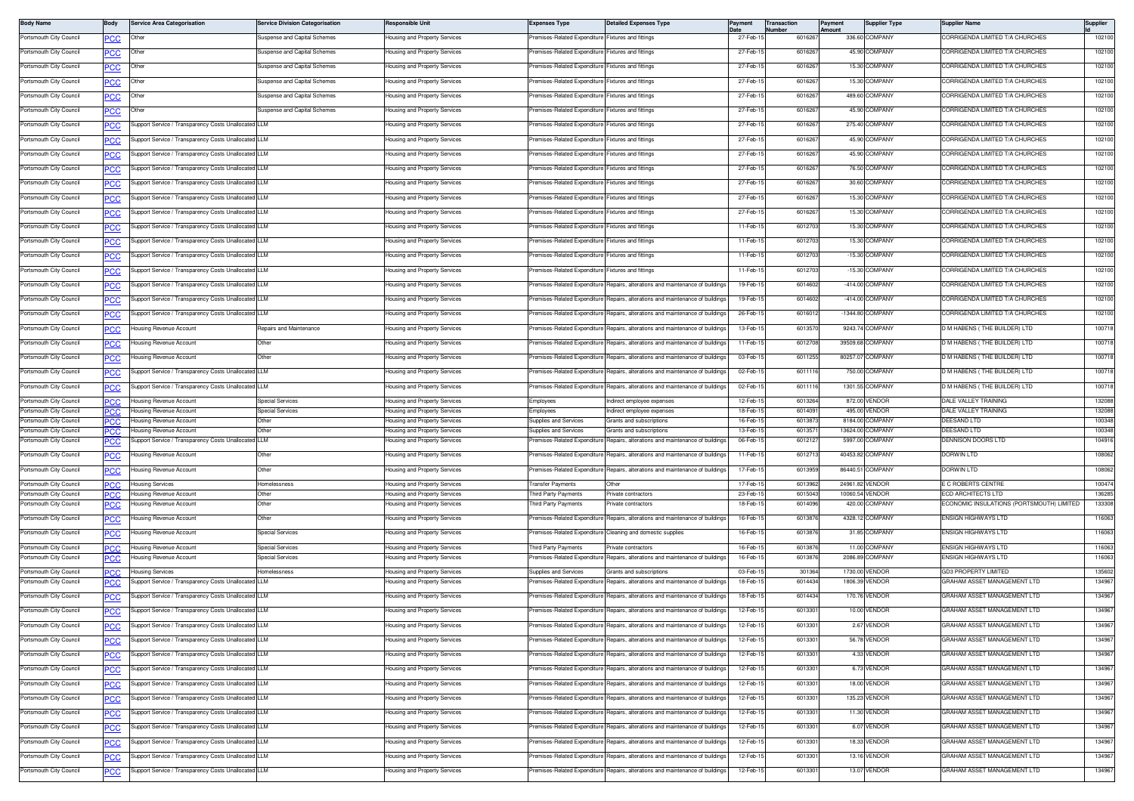| <b>Body Name</b>                                   | Body       | <b>Service Area Categorisation</b>                                      | <b>Service Division Categorisation</b> | Responsible Unit                                               | <b>Expenses Type</b>                                        | <b>Detailed Expenses Type</b>                                                  | 'ayment              | ransaction<br>lumber | Payment<br><b>Imount</b> | <b>Supplier Type</b>             | Supplier Name                                                 | Supplier         |
|----------------------------------------------------|------------|-------------------------------------------------------------------------|----------------------------------------|----------------------------------------------------------------|-------------------------------------------------------------|--------------------------------------------------------------------------------|----------------------|----------------------|--------------------------|----------------------------------|---------------------------------------------------------------|------------------|
| Portsmouth City Council                            | PCC        | Other                                                                   | Suspense and Capital Schemes           | lousing and Property Services                                  | Premises-Related Expenditure                                | Fixtures and fittings                                                          | 27-Feb-1             | 601626               |                          | 336.60 COMPANY                   | CORRIGENDA LIMITED T/A CHURCHES                               | 102100           |
| Portsmouth City Council                            | <u>PCC</u> | Other                                                                   | Suspense and Capital Schemes           | lousing and Property Services                                  | Premises-Related Expenditure                                | Fixtures and fittings                                                          | 27-Feb-1             | 601626               |                          | 45.90 COMPANY                    | ORRIGENDA LIMITED T/A CHURCHES                                | 102100           |
| Portsmouth City Council                            | <b>PCC</b> | Other                                                                   | Suspense and Capital Schemes           | lousing and Property Services                                  | Premises-Related Expenditure                                | Fixtures and fittings                                                          | 27-Feb-1             | 601626               |                          | 15.30 COMPANY                    | CORRIGENDA LIMITED T/A CHURCHES                               | 102100           |
| Portsmouth City Council                            | сC         | Other                                                                   | Suspense and Capital Schemes           | lousing and Property Services                                  | remises-Related Expenditure                                 | ixtures and fittings                                                           | 27-Feb-1             | 6016267              |                          | 15.30 COMPANY                    | CORRIGENDA LIMITED T/A CHURCHES                               | 102100           |
| Portsmouth City Council                            | <u>PCC</u> | Other                                                                   | Suspense and Capital Schemes           | lousing and Property Services                                  | Premises-Related Expenditure                                | ixtures and fittings                                                           | 27-Feb-1             | 6016267              |                          | 489.60 COMPANY                   | CORRIGENDA LIMITED T/A CHURCHES                               | 102100           |
| Portsmouth City Council                            | <u>CC</u>  | Other                                                                   | Suspense and Capital Schemes           | lousing and Property Services                                  | Premises-Related Expenditure                                | Fixtures and fittings                                                          | 27-Feb-1             | 6016267              |                          | 45.90 COMPANY                    | CORRIGENDA LIMITED T/A CHURCHES                               | 102100           |
| Portsmouth City Council                            |            | Support Service / Transparency Costs Unallocated LLM                    |                                        | lousing and Property Services                                  | Premises-Related Expenditure                                | Fixtures and fittings                                                          | 27-Feb-1             | 601626               |                          | 275.40 COMPANY                   | CORRIGENDA LIMITED T/A CHURCHES                               | 102100           |
|                                                    | <u>PCC</u> |                                                                         |                                        |                                                                |                                                             |                                                                                |                      |                      |                          |                                  |                                                               |                  |
| Portsmouth City Council                            | <u>PCC</u> | Support Service / Transparency Costs Unallocated LLM                    |                                        | lousing and Property Services                                  | Premises-Related Expenditure Fixtures and fittings          |                                                                                | 27-Feb-1             | 6016267              |                          | 45.90 COMPANY                    | CORRIGENDA LIMITED T/A CHURCHES                               | 102100           |
| Portsmouth City Council                            | PСC        | upport Service / Transparency Costs Unallocated LLM                     |                                        | lousing and Property Services                                  | Premises-Related Expenditure                                | Fixtures and fittings                                                          | 27-Feb-1             | 601626               |                          | 45.90 COMPANY                    | CORRIGENDA LIMITED T/A CHURCHES                               | 102100           |
| Portsmouth City Council                            | <b>PCC</b> | Support Service / Transparency Costs Unallocated                        | III M                                  | lousing and Property Services                                  | remises-Related Expenditure                                 | ixtures and fittings                                                           | 27-Feb-1             | 6016267              |                          | 76.50 COMPANY                    | CORRIGENDA LIMITED T/A CHURCHES                               | 102100           |
| Portsmouth City Council                            | <u>PCC</u> | upport Service / Transparency Costs Unallocated LLM                     |                                        | lousing and Property Services                                  | Premises-Related Expenditure                                | Fixtures and fittings                                                          | 27-Feb-1             | 601626               |                          | 30.60 COMPANY                    | CORRIGENDA LIMITED T/A CHURCHES                               | 102100           |
| Portsmouth City Council                            | <b>PCC</b> | Support Service / Transparency Costs Unallocated LLM                    |                                        | lousing and Property Services                                  | Premises-Related Expenditure                                | <b>Fixtures and fittings</b>                                                   | 27-Feb-1             | 601626               |                          | 15.30 COMPANY                    | ORRIGENDA LIMITED T/A CHURCHES                                | 102100           |
| Portsmouth City Council                            | <b>PCC</b> | Support Service / Transparency Costs Unallocated LLM                    |                                        | lousing and Property Services                                  | Premises-Related Expenditure Fixtures and fittings          |                                                                                | 27-Feb-1             | 601626               |                          | 15.30 COMPANY                    | CORRIGENDA LIMITED T/A CHURCHES                               | 102100           |
| Portsmouth City Council                            | ٥с         | upport Service / Transparency Costs Unallocated LLM                     |                                        | lousing and Property Services                                  | Premises-Related Expenditure                                | Fixtures and fittings                                                          | 11-Feb-1             | 601270               |                          | 15.30 COMPANY                    | CORRIGENDA LIMITED T/A CHURCHES                               | 102100           |
| Portsmouth City Council                            | ∍CC        | Support Service / Transparency Costs Unallocated LLM                    |                                        | lousing and Property Services                                  | remises-Related Expenditure                                 | ixtures and fittings                                                           | 11-Feb-1             | 601270               |                          | 15.30 COMPANY                    | ORRIGENDA LIMITED T/A CHURCHES                                | 102100           |
| Portsmouth City Council                            | ∍CC        | Support Service / Transparency Costs Unallocated LLM                    |                                        | Housing and Property Services                                  | Premises-Related Expenditure Fixtures and fittings          |                                                                                | 11-Feb-1             | 6012703              |                          | -15.30 COMPANY                   | CORRIGENDA LIMITED T/A CHURCHES                               | 102100           |
| Portsmouth City Council                            |            | Support Service / Transparency Costs Unallocated LLM                    |                                        | lousing and Property Services                                  | Premises-Related Expenditure                                | Fixtures and fittings                                                          | 11-Feb-1             | 601270               |                          | -15.30 COMPANY                   | ORRIGENDA LIMITED T/A CHURCHES                                | 102100           |
|                                                    | <u>PCC</u> |                                                                         |                                        |                                                                | Premises-Related Expenditure                                |                                                                                |                      | 6014602              |                          | -414.00 COMPANY                  | CORRIGENDA LIMITED T/A CHURCHES                               |                  |
| Portsmouth City Council                            | <b>PCC</b> | Support Service / Transparency Costs Unallocated LLM                    |                                        | lousing and Property Services                                  |                                                             | Repairs, alterations and maintenance of buildings                              | 19-Feb-1             |                      |                          |                                  |                                                               | 102100           |
| Portsmouth City Council                            | ٥с         | Support Service / Transparency Costs Unallocated LLM                    |                                        | lousing and Property Services                                  | Premises-Related Expenditure                                | epairs, alterations and maintenance of building                                | 19-Feb-1             | 6014602              |                          | -414.00 COMPANY                  | CORRIGENDA LIMITED T/A CHURCHES                               | 102100           |
| Portsmouth City Council                            | <u>PCC</u> | Support Service / Transparency Costs Unallocated LLM                    |                                        | lousing and Property Services                                  | Premises-Related Expenditure                                | lepairs, alterations and maintenance of buildings                              | 26-Feb-1             | 601601               |                          | -1344.80 COMPANY                 | CORRIGENDA LIMITED T/A CHURCHES                               | 102100           |
| Portsmouth City Council                            | <u>PCC</u> | Housing Revenue Account                                                 | Repairs and Maintenance                | lousing and Property Services                                  | Premises-Related Expenditure                                | Repairs, alterations and maintenance of buildings                              | 13-Feb-1             | 601357               |                          | 9243.74 COMPANY                  | M HABENS (THE BUILDER) LTD                                    | 100718           |
| Portsmouth City Council                            | <b>PCC</b> | lousing Revenue Account                                                 | Other                                  | lousing and Property Services                                  | remises-Related Expenditure                                 | Repairs, alterations and maintenance of building                               | 11-Feb-1             | 601270               |                          | 39509.68 COMPANY                 | M HABENS (THE BUILDER) LTD                                    | 100718           |
| Portsmouth City Council                            | <b>PCC</b> | Housing Revenue Account                                                 | Other                                  | lousing and Property Services                                  | Premises-Related Expenditure                                | Repairs, alterations and maintenance of building                               | 03-Feb-1             | 601125               |                          | 80257.07 COMPANY                 | D M HABENS (THE BUILDER) LTD                                  | 100718           |
| Portsmouth City Council                            | PСC        | upport Service / Transparency Costs Unallocated LLM                     |                                        | lousing and Property Services                                  | Premises-Related Expenditure                                | lepairs, alterations and maintenance of building                               | 02-Feb-1             | 6011116              |                          | 750.00 COMPANY                   | M HABENS (THE BUILDER) LTD                                    | 100718           |
| Portsmouth City Council                            | ∍CC        | Support Service / Transparency Costs Unallocated LLM                    |                                        | lousing and Property Services                                  | Premises-Related Expenditure                                | Repairs, alterations and maintenance of buildings                              | 02-Feb-1             | 601111               |                          | 1301.55 COMPANY                  | M HABENS (THE BUILDER) LTD                                    | 100718           |
| Portsmouth City Council                            | ٥С         | Housing Revenue Account                                                 | <b>Special Services</b>                | Housing and Property Services                                  | Employees                                                   | ndirect employee expenses                                                      | 12-Feb-1             | 6013264              |                          | 872.00 VENDOR                    | DALE VALLEY TRAINING                                          | 132088           |
| Portsmouth City Council                            | PCC        | Housing Revenue Account                                                 | <b>Special Services</b>                | lousing and Property Services                                  | <b>Employees</b>                                            | ndirect employee expenses                                                      | 18-Feb-1             | 601409               |                          | 495.00 VENDOR                    | <b>DALE VALLEY TRAINING</b>                                   | 132088           |
| Portsmouth City Council                            | PCC.       | lousing Revenue Account                                                 | Other                                  | lousing and Property Services                                  | Supplies and Services                                       | <b>Grants and subscriptions</b>                                                | 16-Feb-1             | 601387               |                          | 8184.00 COMPANY                  | DEESAND LTD                                                   | 100348           |
| Portsmouth City Council                            | PCC        | lousing Revenue Account                                                 | Othe                                   | lousing and Property Services                                  | Supplies and Services                                       | irants and subscriptions                                                       | 13-Feb-1             | 601357               |                          | 13624.00 COMPANY                 | <b>DEESAND LTD</b>                                            | 100348           |
| Portsmouth City Council                            | <b>PCC</b> | upport Service / Transparency Costs Unallocated LLM                     |                                        | lousing and Property Services                                  | remises-Related Expenditure                                 | Repairs, alterations and maintenance of building                               | 06-Feb-1             | 601212               |                          | 5997.00 COMPANY                  | DENNISON DOORS LTD                                            | 104916           |
| Portsmouth City Council                            | <b>PCC</b> | Housing Revenue Account                                                 | Other                                  | lousing and Property Services                                  | Premises-Related Expenditure                                | Repairs, alterations and maintenance of buildings                              | 11-Feb-1             | 601271               |                          | 40453.82 COMPANY                 | Dorwin Ltd                                                    | 108062           |
| Portsmouth City Council                            | <b>PCC</b> | lousing Revenue Account                                                 | Other                                  | lousing and Property Services                                  | Premises-Related Expenditure                                | Repairs, alterations and maintenance of buildings                              | 17-Feb-1             | 601395               |                          | 86440.51 COMPANY                 | DORWIN LTD                                                    | 108062           |
| Portsmouth City Council                            | PCC        | Housing Services                                                        | Homelessness                           | Housing and Property Services                                  | ransfer Payments                                            | Other                                                                          | 17-Feb-1             | 601396               |                          | 24961.82 VENDOR                  | C ROBERTS CENTRE                                              | 100474           |
| Portsmouth City Council<br>Portsmouth City Council | PСC        | Housing Revenue Account<br>lousing Revenue Account                      | Other<br>Other                         | lousing and Property Services<br>lousing and Property Services | hird Party Payments<br>hird Party Payments                  | rivate contractors<br>rivate contractors                                       | 23-Feb-1<br>18-Feb-1 | 601504<br>601409     | 420.00                   | 10060.54 VENDOR<br>COMPANY       | CD ARCHITECTS LTD<br>CONOMIC INSULATIONS (PORTSMOUTH) LIMITED | 136285<br>133308 |
|                                                    | <u>PCC</u> |                                                                         |                                        |                                                                |                                                             |                                                                                |                      |                      |                          |                                  |                                                               |                  |
| Portsmouth City Council                            | PСC        | lousing Revenue Account                                                 | Other                                  | lousing and Property Services                                  | Premises-Related Expenditure                                | Repairs, alterations and maintenance of buildings                              | 16-Feb-1             | 601387               |                          | 4328.12 COMPANY                  | ENSIGN HIGHWAYS LTD                                           | 116063           |
| Portsmouth City Council                            | <u>PCC</u> | lousing Revenue Account                                                 | Special Services                       | lousing and Property Services                                  | Premises-Related Expenditure                                | Cleaning and domestic supplies                                                 | 16-Feb-1             | 601387               |                          | 31.85 COMPANY                    | NSIGN HIGHWAYS LTD                                            | 116063           |
| Portsmouth City Council                            | PCC        | Housing Revenue Account                                                 | <b>Special Services</b>                | Housing and Property Services                                  | Third Party Payments<br>Premises-Related Expenditure        | rivate contractors                                                             | 16-Feb-1             | 6013876              |                          | 11.00 COMPANY                    | ENSIGN HIGHWAYS LTD                                           | 116063<br>116063 |
| Portsmouth City Council                            | <b>PCC</b> | lousing Revenue Account                                                 | Special Services                       | lousing and Property Services                                  |                                                             | Repairs, alterations and maintenance of building                               | 16-Feb-1             | 601387               |                          | 2086.89 COMPANY                  | NSIGN HIGHWAYS LTD                                            |                  |
| Portsmouth City Council<br>Portsmouth City Council | PСC<br>PCC | Housing Services<br>upport Service / Transparency Costs Unallocated LLM | Homelessness                           | Housing and Property Services<br>lousing and Property Services | <b>Supplies and Services</b><br>remises-Related Expenditure | irants and subscriptions<br>Repairs, alterations and maintenance of building   | 03-Feb-1<br>18-Feb-1 | 301364<br>601443     |                          | 1730.00 VENDOR<br>1806.39 VENDOR | <b>ID3 PROPERTY LIMITED</b><br>GRAHAM ASSET MANAGEMENT LTD    | 135602<br>13496  |
| Portsmouth City Council                            |            | upport Service / Transparency Costs Unallocated LLM                     |                                        | lousing and Property Services                                  | remises-Related Expenditure                                 | Repairs, alterations and maintenance of building                               | 18-Feb-1             | 6014434              |                          | 170.76 VENDOR                    | GRAHAM ASSET MANAGEMENT LTD                                   | 134967           |
|                                                    | <b>PCC</b> |                                                                         |                                        |                                                                |                                                             |                                                                                |                      |                      |                          |                                  |                                                               |                  |
| Portsmouth City Council                            | <u>PCC</u> | Support Service / Transparency Costs Unallocated LLM                    |                                        | lousing and Property Services                                  |                                                             | Premises-Related Expenditure Repairs, alterations and maintenance of buildings | 12-Feb-1             | 601330               |                          | 10.00 VENDOR                     | GRAHAM ASSET MANAGEMENT LTD                                   | 134967           |
| Portsmouth City Council                            |            | upport Service / Transparency Costs Unallocated LLM                     |                                        | lousing and Property Services                                  | emises-Helated Expenditure                                  | Repairs, alterations and maintenance of building                               | 12-Feb-1             | 601330               |                          | 2.6/ VENDOR                      | IRAHAM ASSET MANAGEMENT LTD                                   | 13496.           |
| Portsmouth City Council                            | <b>PCC</b> | Support Service / Transparency Costs Unallocated LLM                    |                                        | Housing and Property Services                                  |                                                             | Premises-Related Expenditure Repairs, alterations and maintenance of buildings | 12-Feb-1             | 601330               |                          | 56.78 VENDOR                     | GRAHAM ASSET MANAGEMENT LTD                                   | 134967           |
| Portsmouth City Council                            | <b>PCC</b> | Support Service / Transparency Costs Unallocated LLM                    |                                        | Housing and Property Services                                  | Premises-Related Expenditure                                | Repairs, alterations and maintenance of buildings                              | 12-Feb-1             | 601330               |                          | 4.33 VENDOR                      | GRAHAM ASSET MANAGEMENT LTD                                   | 134967           |
| Portsmouth City Council                            | <u>PCC</u> | Support Service / Transparency Costs Unallocated LLM                    |                                        | lousing and Property Services                                  | Premises-Related Expenditure                                | Repairs, alterations and maintenance of buildings                              | 12-Feb-1             | 601330               |                          | 6.73 VENDOR                      | GRAHAM ASSET MANAGEMENT LTD                                   | 134967           |
| Portsmouth City Council                            | <u>PCC</u> | Support Service / Transparency Costs Unallocated LLM                    |                                        | lousing and Property Services                                  | Premises-Related Expenditure                                | Repairs, alterations and maintenance of buildings                              | 12-Feb-1             | 601330               |                          | 18.00 VENDOR                     | GRAHAM ASSET MANAGEMENT LTD                                   | 134967           |
| Portsmouth City Council                            | <u>PCC</u> | Support Service / Transparency Costs Unallocated LLM                    |                                        | lousing and Property Services                                  | Premises-Related Expenditure                                | Repairs, alterations and maintenance of buildings                              | 12-Feb-1             | 601330               |                          | 135.23 VENDOR                    | GRAHAM ASSET MANAGEMENT LTD                                   | 134967           |
| Portsmouth City Council                            | <b>PCC</b> | Support Service / Transparency Costs Unallocated LLM                    |                                        | Housing and Property Services                                  | Premises-Related Expenditure                                | Repairs, alterations and maintenance of buildings                              | 12-Feb-1             | 601330               |                          | 11.30 VENDOR                     | GRAHAM ASSET MANAGEMENT LTD                                   | 134967           |
| Portsmouth City Council                            | <b>PCC</b> | Support Service / Transparency Costs Unallocated LLM                    |                                        | Housing and Property Services                                  | Premises-Related Expenditure                                | Repairs, alterations and maintenance of building                               | 12-Feb-1             | 601330               |                          | 6.07 VENDOR                      | GRAHAM ASSET MANAGEMENT LTD                                   | 134967           |
| Portsmouth City Council                            |            | upport Service / Transparency Costs Unallocated LLM                     |                                        | lousing and Property Services                                  | remises-Related Expenditure                                 | Repairs, alterations and maintenance of buildings                              | 12-Feb-1             | 601330               |                          | 18.33 VENDOR                     | GRAHAM ASSET MANAGEMENT LTD                                   | 134967           |
| Portsmouth City Council                            | <u>PCC</u> |                                                                         |                                        |                                                                |                                                             | Repairs, alterations and maintenance of buildings                              |                      |                      |                          | 13.16 VENDOR                     | GRAHAM ASSET MANAGEMENT LTD                                   |                  |
|                                                    | <u>PCC</u> | Support Service / Transparency Costs Unallocated LLM                    |                                        | lousing and Property Services                                  | Premises-Related Expenditure                                |                                                                                | 12-Feb-1             | 601330               |                          |                                  |                                                               | 134967           |
| Portsmouth City Council                            | <u>PCC</u> | Support Service / Transparency Costs Unallocated LLM                    |                                        | lousing and Property Services                                  | Premises-Related Expenditure                                | Repairs, alterations and maintenance of buildings                              | 12-Feb-1             | 601330               |                          | 13.07 VENDOR                     | GRAHAM ASSET MANAGEMENT LTD                                   | 134967           |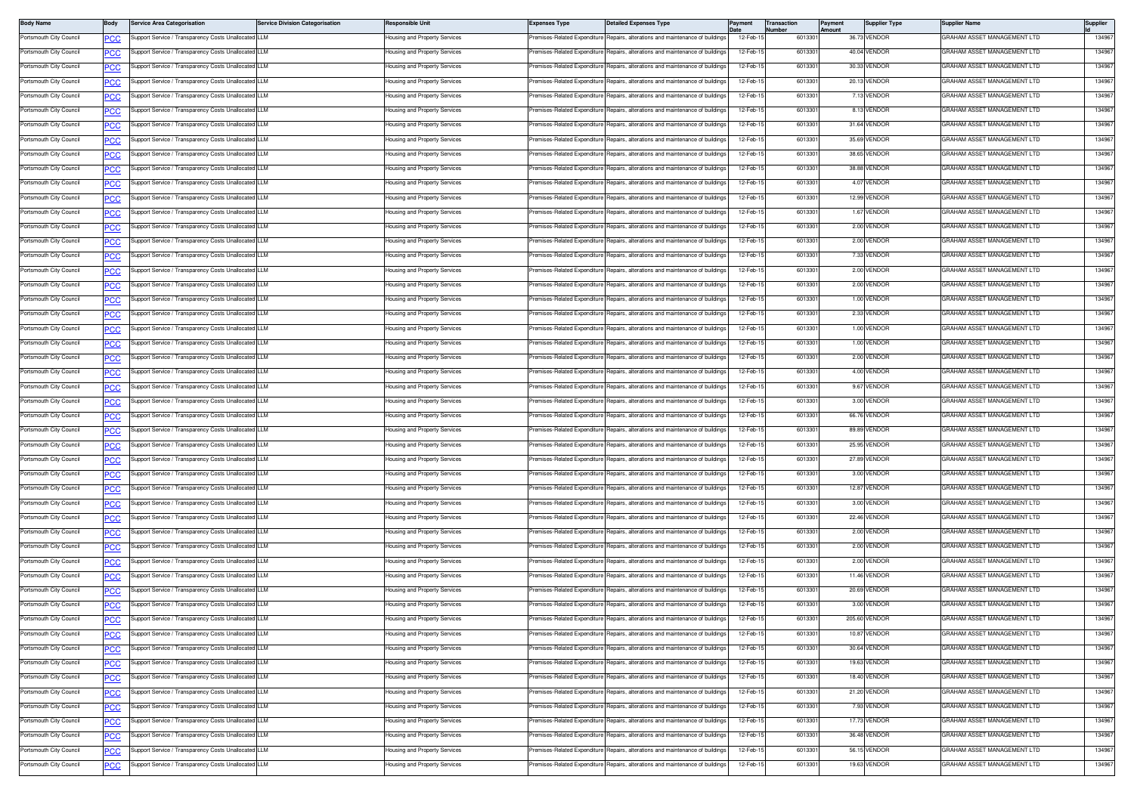| <b>Body Name</b>        | Body       | <b>Service Area Categorisation</b>                   | <b>Service Division Categorisation</b> | Responsible Unit                          | <b>Expenses Type</b>         | Detailed Expenses Type                                                         | Payment   | <b>Transaction</b><br>lumber | Payment<br>Amount | <b>Supplier Type</b> | Supplier Name                      | Supplier |
|-------------------------|------------|------------------------------------------------------|----------------------------------------|-------------------------------------------|------------------------------|--------------------------------------------------------------------------------|-----------|------------------------------|-------------------|----------------------|------------------------------------|----------|
| Portsmouth City Council | PCC        | Support Service / Transparency Costs Unallocated LLM |                                        | Housing and Property Services             | remises-Related Expenditure  | Repairs, alterations and maintenance of buildings                              | 12-Feb-1  | 601330                       |                   | 36.73 VENDOR         | GRAHAM ASSET MANAGEMENT LTD        | 134967   |
| Portsmouth City Council | <u>PCC</u> | Support Service / Transparency Costs Unallocated LLM |                                        | <del>l</del> ousing and Property Services | remises-Related Expenditure  | Repairs, alterations and maintenance of building                               | 12-Feb-1  | 601330                       |                   | 40.04 VENDOR         | GRAHAM ASSET MANAGEMENT LTD        | 134967   |
| Portsmouth City Council |            | Support Service / Transparency Costs Unallocated LLM |                                        | Housing and Property Services             | Premises-Related Expenditure | Repairs, alterations and maintenance of buildings                              | 12-Feb-1  | 601330                       |                   | 30.33 VENDOR         | GRAHAM ASSET MANAGEMENT LTD        | 134967   |
| Portsmouth City Council |            | Support Service / Transparency Costs Unallocate      | <b>LLM</b>                             | Housing and Property Services             | remises-Related Expenditure  | lepairs, alterations and maintenance of building                               | 12-Feb-1  | 601330                       |                   | 20.13 VENDOR         | GRAHAM ASSET MANAGEMENT LTD        | 134967   |
| Portsmouth City Council | <u>cc</u>  | Support Service / Transparency Costs Unallocated     | I LLM                                  | lousing and Property Services             | remises-Related Expenditure  | lepairs, alterations and maintenance of building                               | 12-Feb-1  | 601330                       |                   | 7.13 VENDOR          | GRAHAM ASSET MANAGEMENT LTD        | 134967   |
| Portsmouth City Council | <b>PCC</b> | Support Service / Transparency Costs Unallocated LLM |                                        | Housing and Property Services             | Premises-Related Expenditure | Repairs, alterations and maintenance of building                               | 12-Feb-1  | 6013301                      |                   | 8.13 VENDOR          | GRAHAM ASSET MANAGEMENT LTD        | 134967   |
| Portsmouth City Council | <u>PCC</u> | Support Service / Transparency Costs Unallocated LLM |                                        | Housing and Property Services             | remises-Related Expenditure  | Repairs, alterations and maintenance of building                               | 12-Feb-1  | 601330                       |                   | 31.64 VENDOR         | GRAHAM ASSET MANAGEMENT LTD        | 134967   |
| Portsmouth City Council |            | Support Service / Transparency Costs Unallocated LLM |                                        | Housing and Property Services             | Premises-Related Expenditure | Repairs, alterations and maintenance of building                               | 12-Feb-1  | 601330                       |                   | 35.69 VENDOR         | GRAHAM ASSET MANAGEMENT LTD        | 134967   |
| Portsmouth City Council | cс         | Support Service / Transparency Costs Unallocated     | LLM                                    | Housing and Property Services             | Premises-Related Expenditure | Repairs, alterations and maintenance of building                               | 12-Feb-1  | 601330                       |                   | 38.65 VENDOR         | GRAHAM ASSET MANAGEMENT LTD        | 134967   |
| Portsmouth City Council |            | Support Service / Transparency Costs Unallocated     | <b>LLM</b>                             | lousing and Property Services             | remises-Related Expenditure  | lepairs, alterations and maintenance of building                               | 12-Feb-1  | 601330                       |                   | 38.88 VENDOR         | GRAHAM ASSET MANAGEMENT LTD        | 134967   |
| Portsmouth City Council | <b>PCC</b> | Support Service / Transparency Costs Unallocated LLM |                                        | Housing and Property Services             | remises-Related Expenditure  | Repairs, alterations and maintenance of building                               | 12-Feb-1  | 601330                       |                   | 4.07 VENDOR          | GRAHAM ASSET MANAGEMENT LTD        | 134967   |
| Portsmouth City Council | <u>PCC</u> | Support Service / Transparency Costs Unallocated LLM |                                        | Housing and Property Services             | remises-Related Expenditure  | Repairs, alterations and maintenance of building                               | 12-Feb-1  | 601330                       |                   | 12.99 VENDOR         | <b>SRAHAM ASSET MANAGEMENT LTD</b> | 134967   |
| Portsmouth City Council |            | Support Service / Transparency Costs Unallocated LLM |                                        | lousing and Property Services             | Premises-Related Expenditure | Repairs, alterations and maintenance of building                               | 12-Feb-1  | 601330                       |                   | 1.67 VENDOR          | GRAHAM ASSET MANAGEMENT LTD        | 134967   |
| Portsmouth City Council | cс         | Support Service / Transparency Costs Unallocated LLM |                                        | Housing and Property Services             | Premises-Related Expenditure | Repairs, alterations and maintenance of building                               | 12-Feb-1  | 601330                       |                   | 2.00 VENDOR          | GRAHAM ASSET MANAGEMENT LTD        | 134967   |
| Portsmouth City Council |            | Support Service / Transparency Costs Unallocated     | <b>LLM</b>                             | lousing and Property Services             | remises-Related Expenditure  | Repairs, alterations and maintenance of buildings                              | 12-Feb-1  | 601330                       |                   | 2.00 VENDOR          | GRAHAM ASSET MANAGEMENT LTD        | 134967   |
| Portsmouth City Council | <b>PCC</b> | Support Service / Transparency Costs Unallocated LLM |                                        | Housing and Property Services             | Premises-Related Expenditure | Repairs, alterations and maintenance of building                               | 12-Feb-1  | 6013301                      |                   | 7.33 VENDOR          | GRAHAM ASSET MANAGEMENT LTD        | 134967   |
| Portsmouth City Council | <u>PCC</u> | Support Service / Transparency Costs Unallocated LLM |                                        | <del>l</del> ousing and Property Services | remises-Related Expenditure  | Repairs, alterations and maintenance of building                               | 12-Feb-1  | 601330                       |                   | 2.00 VENDOR          | GRAHAM ASSET MANAGEMENT LTD        | 134967   |
| Portsmouth City Council |            | Support Service / Transparency Costs Unallocated LLM |                                        | Housing and Property Services             | Premises-Related Expenditure | Repairs, alterations and maintenance of building                               | 12-Feb-1  | 601330                       |                   | 2.00 VENDOR          | GRAHAM ASSET MANAGEMENT LTD        | 134967   |
| Portsmouth City Council | сc         | Support Service / Transparency Costs Unallocate      | <b>LLM</b>                             | lousing and Property Services             | remises-Related Expenditure  | Repairs, alterations and maintenance of building                               | 12-Feb-1  | 601330                       |                   | 1.00 VENDOR          | GRAHAM ASSET MANAGEMENT LTD        | 134967   |
| Portsmouth City Council | <u>PCC</u> | Support Service / Transparency Costs Unallocated     | LLM                                    | lousing and Property Services             | remises-Related Expenditure  | lepairs, alterations and maintenance of building                               | 12-Feb-1  | 601330                       |                   | 2.33 VENDOR          | GRAHAM ASSET MANAGEMENT LTD        | 134967   |
| Portsmouth City Council | <b>PCC</b> | Support Service / Transparency Costs Unallocated LLM |                                        | Housing and Property Services             | Premises-Related Expenditure | Repairs, alterations and maintenance of building                               | 12-Feb-1  | 6013301                      |                   | 1.00 VENDOR          | GRAHAM ASSET MANAGEMENT LTD        | 134967   |
| Portsmouth City Council | <u>PCC</u> | Support Service / Transparency Costs Unallocated LLM |                                        | <del>l</del> ousing and Property Services | remises-Related Expenditure  | Repairs, alterations and maintenance of building                               | 12-Feb-1  | 601330                       |                   | 1.00 VENDOR          | GRAHAM ASSET MANAGEMENT LTD        | 134967   |
| Portsmouth City Council |            | Support Service / Transparency Costs Unallocated LLM |                                        | Housing and Property Services             | Premises-Related Expenditure | Repairs, alterations and maintenance of building                               | 12-Feb-1  | 601330                       |                   | 2.00 VENDOR          | GRAHAM ASSET MANAGEMENT LTD        | 134967   |
| Portsmouth City Council |            | Support Service / Transparency Costs Unallocated     | ILLM                                   | Housing and Property Services             | remises-Related Expenditure  | lepairs, alterations and maintenance of building                               | 12-Feb-1  | 601330                       |                   | 4.00 VENDOR          | GRAHAM ASSET MANAGEMENT LTD        | 134967   |
| Portsmouth City Council | <u>PCC</u> | Support Service / Transparency Costs Unallocated     |                                        | Housing and Property Services             | remises-Related Expenditure  | Repairs, alterations and maintenance of buildings                              | 12-Feb-1  | 601330                       |                   | 9.67 VENDOR          | GRAHAM ASSET MANAGEMENT LTD        | 134967   |
| Portsmouth City Council | <b>PCC</b> | Support Service / Transparency Costs Unallocated LLM |                                        | Housing and Property Services             | Premises-Related Expenditure | Repairs, alterations and maintenance of building                               | 12-Feb-1  | 6013301                      |                   | 3.00 VENDOR          | GRAHAM ASSET MANAGEMENT LTD        | 134967   |
| Portsmouth City Council | <u>PCC</u> | Support Service / Transparency Costs Unallocated LLM |                                        | Housing and Property Services             | remises-Related Expenditure  | Repairs, alterations and maintenance of building                               | 12-Feb-1  | 601330                       |                   | 66.76 VENDOR         | GRAHAM ASSET MANAGEMENT LTD        | 134967   |
| Portsmouth City Council |            | Support Service / Transparency Costs Unallocated LLM |                                        | Housing and Property Services             | Premises-Related Expenditure | Repairs, alterations and maintenance of building                               | 12-Feb-1  | 601330                       |                   | 89.89 VENDOR         | GRAHAM ASSET MANAGEMENT LTD        | 134967   |
| Portsmouth City Council |            | Support Service / Transparency Costs Unallocated LLM |                                        | Housing and Property Services             | Premises-Related Expenditure | Repairs, alterations and maintenance of building                               | 12-Feb-1  | 601330                       |                   | 25.95 VENDOR         | GRAHAM ASSET MANAGEMENT LTD        | 134967   |
| Portsmouth City Council | PCC        | Support Service / Transparency Costs Unallocated     |                                        | lousing and Property Services             | remises-Related Expenditure  | Repairs, alterations and maintenance of building                               | 12-Feb-1  | 601330                       |                   | 27.89 VENDOR         | GRAHAM ASSET MANAGEMENT LTD        | 134967   |
| Portsmouth City Council | <u>PCC</u> | Support Service / Transparency Costs Unallocated LLM |                                        | Housing and Property Services             | Premises-Related Expenditure | Repairs, alterations and maintenance of building                               | 12-Feb-1  | 6013301                      |                   | 3.00 VENDOR          | GRAHAM ASSET MANAGEMENT LTD        | 134967   |
| Portsmouth City Council | <u>PCC</u> | Support Service / Transparency Costs Unallocated LLM |                                        | <del>l</del> ousing and Property Services | remises-Related Expenditure  | Repairs, alterations and maintenance of building                               | 12-Feb-1  | 6013301                      |                   | 12.87 VENDOR         | GRAHAM ASSET MANAGEMENT LTD        | 134967   |
| Portsmouth City Council |            | Support Service / Transparency Costs Unallocated LLM |                                        | Housing and Property Services             | Premises-Related Expenditure | Repairs, alterations and maintenance of building:                              | 12-Feb-1  | 601330                       |                   | 3.00 VENDOR          | GRAHAM ASSET MANAGEMENT LTD        | 134967   |
| Portsmouth City Council |            | Support Service / Transparency Costs Unallocated LLM |                                        | Housing and Property Services             | remises-Related Expenditure  | Repairs, alterations and maintenance of building                               | 12-Feb-1  | 601330                       |                   | 22.46 VENDOR         | GRAHAM ASSET MANAGEMENT LTD        | 134967   |
| Portsmouth City Council |            | Support Service / Transparency Costs Unallocated     | <b>LLM</b>                             | lousing and Property Services             | remises-Related Expenditure  | lepairs, alterations and maintenance of building                               | 12-Feb-1  | 601330                       |                   | 2.00 VENDOR          | GRAHAM ASSET MANAGEMENT LTD        | 134967   |
| Portsmouth City Council | PCC        | Support Service / Transparency Costs Unallocated LLM |                                        | Housing and Property Services             | Premises-Related Expenditure | Benairs, alterations and maintenance of building                               | 12-Feb-1  | 6013301                      |                   | 2.00 VENDOR          | GRAHAM ASSET MANAGEMENT LTD        | 134967   |
| Portsmouth City Council | <b>PCC</b> | Support Service / Transparency Costs Unallocated LLM |                                        | Housing and Property Services             | remises-Related Expenditure* | Repairs, alterations and maintenance of building                               | 12-Feb-1  | 601330                       |                   | 2.00 VENDOR          | GRAHAM ASSET MANAGEMENT LTD        | 134967   |
| Portsmouth City Council | <b>PCC</b> | Support Service / Transparency Costs Unallocated LLM |                                        | lousing and Property Services             | Premises-Related Expenditure | Repairs, alterations and maintenance of building                               | 12-Feb-1  | 601330                       |                   | 11.46 VENDOR         | GRAHAM ASSET MANAGEMENT LTD        | 134967   |
| Portsmouth City Council |            | Support Service / Transparency Costs Unallocated     | LLM                                    | Housing and Property Services             | Premises-Related Expenditure | Repairs, alterations and maintenance of building                               | 12-Feb-1  | 601330                       |                   | 20.69 VENDOR         | GRAHAM ASSET MANAGEMENT LTD        | 134967   |
| Portsmouth City Council |            | Support Service / Transparency Costs Unallocated     |                                        | lousing and Property Services             | remises-Related Expenditure  | Repairs, alterations and maintenance of building                               | 12-Feb-1  | 601330                       |                   | 3.00 VENDOR          | GRAHAM ASSET MANAGEMENT LTD        | 134967   |
| Portsmouth City Council | PCC        | Support Service / Transparency Costs Unallocated LLM |                                        | Housing and Property Services             |                              | Premises-Related Expenditure Repairs, alterations and maintenance of buildings | 12-Feb-1  | 6013301                      |                   | 205.60 VENDOR        | GRAHAM ASSET MANAGEMENT LTD        | 134967   |
| Portsmouth City Council | <b>PCC</b> | Support Service / Transparency Costs Unallocated LLM |                                        | lousing and Property Services             | Premises-Related Expenditure | Repairs, alterations and maintenance of buildings                              | 12-Feb-1  | 6013301                      |                   | 10.87 VENDOR         | GRAHAM ASSET MANAGEMENT LTD        | 134967   |
|                         | <u>PCC</u> |                                                      |                                        |                                           |                              |                                                                                |           | 601330                       |                   |                      | GRAHAM ASSET MANAGEMENT LTD        | 134967   |
| Portsmouth City Council | <b>PCC</b> | Support Service / Transparency Costs Unallocated LLM |                                        | Housing and Property Services             |                              | Premises-Related Expenditure Repairs, alterations and maintenance of buildings | 12-Feb-1  |                              |                   | 30.64 VENDOR         |                                    |          |
| Portsmouth City Council | <u>CC</u>  | Support Service / Transparency Costs Unallocated LLM |                                        | Housing and Property Services             | Premises-Related Expenditure | Repairs, alterations and maintenance of building                               | 12-Feb-1  | 601330                       |                   | 19.63 VENDOR         | GRAHAM ASSET MANAGEMENT LTD        | 134967   |
| Portsmouth City Council | <b>PCC</b> | Support Service / Transparency Costs Unallocated LLM |                                        | lousing and Property Services             | Premises-Related Expenditure | Repairs, alterations and maintenance of building                               | 12-Feb-1  | 601330                       |                   | 18.40 VENDOR         | GRAHAM ASSET MANAGEMENT LTD        | 134967   |
| Portsmouth City Council | <b>PCC</b> | Support Service / Transparency Costs Unallocated LLM |                                        | Housing and Property Services             | Premises-Related Expenditure | Repairs, alterations and maintenance of building                               | 12-Feb-1  | 6013301                      |                   | 21.20 VENDOR         | GRAHAM ASSET MANAGEMENT LTD        | 134967   |
| Portsmouth City Council | <b>PCC</b> | Support Service / Transparency Costs Unallocated LLM |                                        | lousing and Property Services             | remises-Related Expenditure  | Repairs, alterations and maintenance of building                               | 12-Feb-1  | 601330                       |                   | 7.93 VENDOR          | GRAHAM ASSET MANAGEMENT LTD        | 134967   |
| Portsmouth City Council | <b>PCC</b> | Support Service / Transparency Costs Unallocated LLM |                                        | lousing and Property Services             | Premises-Related Expenditure | Repairs, alterations and maintenance of buildings                              | 12-Feb-15 | 601330                       |                   | 17.73 VENDOR         | GRAHAM ASSET MANAGEMENT LTD        | 134967   |
| Portsmouth City Council | ۲CС        | Support Service / Transparency Costs Unallocated LLM |                                        | Housing and Property Services             | remises-Related Expenditure  | Repairs, alterations and maintenance of building                               | 12-Feb-15 | 601330                       |                   | 36.48 VENDOR         | GRAHAM ASSET MANAGEMENT LTD        | 134967   |
| Portsmouth City Council | <b>PCC</b> | Support Service / Transparency Costs Unallocated LLM |                                        | lousing and Property Services             | remises-Related Expenditure  | Repairs, alterations and maintenance of building                               | 12-Feb-1  | 601330                       |                   | 56.15 VENDOR         | GRAHAM ASSET MANAGEMENT LTD        | 134967   |
| Portsmouth City Council | <b>PCC</b> | Support Service / Transparency Costs Unallocated LLM |                                        | Housing and Property Services             |                              | Premises-Related Expenditure Repairs, alterations and maintenance of buildings | 12-Feb-15 | 6013301                      |                   | 19.63 VENDOR         | GRAHAM ASSET MANAGEMENT LTD        | 134967   |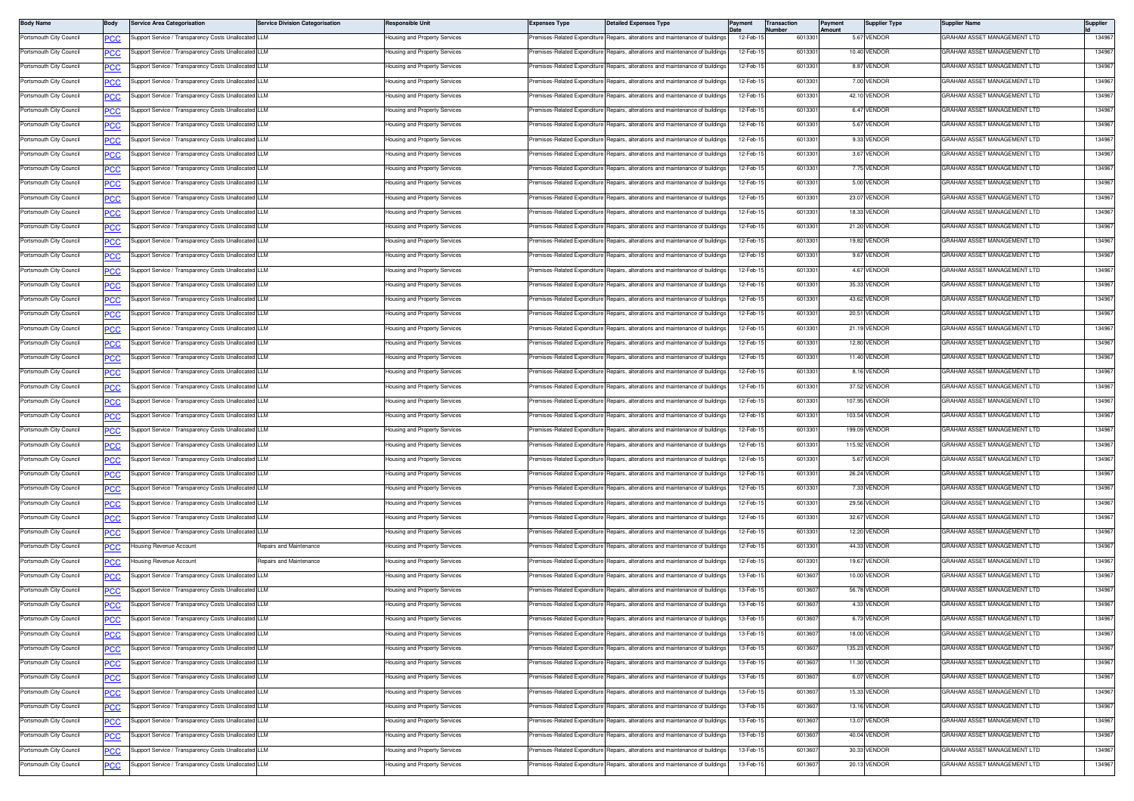| <b>Body Name</b>        | Body             | Service Area Categorisation                          | <b>Service Division Categorisation</b> | Responsible Unit              | <b>Expenses Type</b>         | <b>Detailed Expenses Type</b>                                                  | Payment   | <b>Transaction</b><br>lumber | ayment<br>mount | <b>Supplier Type</b> | Supplier Name                      | Supplier |
|-------------------------|------------------|------------------------------------------------------|----------------------------------------|-------------------------------|------------------------------|--------------------------------------------------------------------------------|-----------|------------------------------|-----------------|----------------------|------------------------------------|----------|
| Portsmouth City Council | PCC              | upport Service / Transparency Costs Unallocated LLM  |                                        | lousing and Property Services | remises-Related Expenditure  | Repairs, alterations and maintenance of buildings                              | 12-Feb-1  | 601330                       |                 | 5.67 VENDOR          | GRAHAM ASSET MANAGEMENT LTD        | 134967   |
| Portsmouth City Council | <u>PCC</u>       | upport Service / Transparency Costs Unallocated LLM  |                                        | lousing and Property Services | remises-Related Expenditure  | Repairs, alterations and maintenance of buildings                              | 12-Feb-1  | 601330                       |                 | 10.40 VENDOF         | GRAHAM ASSET MANAGEMENT LTD        | 134967   |
| Portsmouth City Council | <u>PCC</u>       | Support Service / Transparency Costs Unallocated LLM |                                        | lousing and Property Services | remises-Related Expenditure  | Repairs, alterations and maintenance of buildings                              | 12-Feb-1  | 601330                       |                 | 8.87 VENDOR          | GRAHAM ASSET MANAGEMENT LTD        | 134967   |
| Portsmouth City Council | сC               | upport Service / Transparency Costs Unallocated LLM  |                                        | lousing and Property Services | remises-Related Expenditure  | Repairs, alterations and maintenance of building                               | 12-Feb-1  | 601330                       |                 | 7.00 VENDOR          | GRAHAM ASSET MANAGEMENT LTD        | 134967   |
| Portsmouth City Council | <u>PCC</u>       | Support Service / Transparency Costs Unallocated LLM |                                        | lousing and Property Services | remises-Related Expenditure  | Repairs, alterations and maintenance of buildings                              | 12-Feb-1  | 601330                       |                 | 42.10 VENDOR         | GRAHAM ASSET MANAGEMENT LTD        | 134967   |
| Portsmouth City Council | <u>PCC</u>       | Support Service / Transparency Costs Unallocated LLM |                                        | lousing and Property Services | Premises-Related Expenditure | Repairs, alterations and maintenance of buildings                              | 12-Feb-1  | 601330                       |                 | 6.47 VENDOR          | GRAHAM ASSET MANAGEMENT LTD        | 134967   |
| Portsmouth City Council | <u>PCC</u>       | Support Service / Transparency Costs Unallocated LLM |                                        | lousing and Property Services | remises-Related Expenditure  | Repairs, alterations and maintenance of building                               | 12-Feb-1  | 601330                       |                 | 5.67 VENDOR          | GRAHAM ASSET MANAGEMENT LTD        | 134967   |
| Portsmouth City Council | <b>PCC</b>       | Support Service / Transparency Costs Unallocated LLM |                                        | lousing and Property Services |                              | Premises-Related Expenditure Repairs, alterations and maintenance of buildings | 12-Feb-1  | 601330                       |                 | 9.33 VENDOR          | GRAHAM ASSET MANAGEMENT LTD        | 134967   |
| Portsmouth City Council | PСC              | upport Service / Transparency Costs Unallocated LLM  |                                        | Housing and Property Services | remises-Related Expenditure  | Repairs, alterations and maintenance of building                               | 12-Feb-1  | 601330                       |                 | 3.67 VENDOR          | GRAHAM ASSET MANAGEMENT LTD        | 134967   |
| Portsmouth City Council | <b>PCC</b>       | Support Service / Transparency Costs Unallocated LLM |                                        | lousing and Property Services | emises-Related Expenditure   | Repairs, alterations and maintenance of buildings                              | 12-Feb-1  | 601330                       |                 | 7.75 VENDOR          | GRAHAM ASSET MANAGEMENT LTD        | 134967   |
| Portsmouth City Council | <u>PCC</u>       | upport Service / Transparency Costs Unallocated LLM  |                                        | lousing and Property Services | Premises-Related Expenditure | Repairs, alterations and maintenance of buildings                              | 12-Feb-1  | 601330                       |                 | 5.00 VENDOR          | GRAHAM ASSET MANAGEMENT LTD        | 134967   |
| Portsmouth City Council | <b>PCC</b>       | Support Service / Transparency Costs Unallocated LLM |                                        | lousing and Property Services | remises-Related Expenditure  | Repairs, alterations and maintenance of building                               | 12-Feb-1  | 601330                       |                 | 23.07 VENDOE         | GRAHAM ASSET MANAGEMENT LTD        | 134967   |
| Portsmouth City Council | <b>PCC</b>       | Support Service / Transparency Costs Unallocated LLM |                                        | lousing and Property Services | remises-Related Expenditure  | Repairs, alterations and maintenance of buildings                              | 12-Feb-1  | 601330                       |                 | 18.33 VENDOR         | GRAHAM ASSET MANAGEMENT LTD        | 134967   |
| Portsmouth City Council | PСC              | upport Service / Transparency Costs Unallocated LLM  |                                        | lousing and Property Services | remises-Related Expenditure  | Repairs, alterations and maintenance of buildings                              | 12-Feb-1  | 601330                       |                 | 21.20 VENDOR         | GRAHAM ASSET MANAGEMENT LTD        | 134967   |
| Portsmouth City Council | <b>PCC</b>       | Support Service / Transparency Costs Unallocated LLM |                                        | lousing and Property Services | remises-Related Expenditure  | Repairs, alterations and maintenance of buildings                              | 12-Feb-1  | 601330                       |                 | 19.82 VENDOR         | GRAHAM ASSET MANAGEMENT LTD        | 134967   |
| Portsmouth City Council | <b>PCC</b>       | Support Service / Transparency Costs Unallocated LLM |                                        | lousing and Property Services | Premises-Related Expenditure | Repairs, alterations and maintenance of buildings                              | 12-Feb-1  | 601330                       |                 | 9.67 VENDOR          | GRAHAM ASSET MANAGEMENT LTD        | 134967   |
| Portsmouth City Council | <u>PCC</u>       | upport Service / Transparency Costs Unallocated LLM  |                                        | lousing and Property Services | remises-Related Expenditure  | Repairs, alterations and maintenance of building                               | 12-Feb-1  | 601330                       |                 | 4.67 VENDOR          | GRAHAM ASSET MANAGEMENT LTD        | 134967   |
| Portsmouth City Council | <u>PCC</u>       | Support Service / Transparency Costs Unallocated LLM |                                        | lousing and Property Services | Premises-Related Expenditure | Repairs, alterations and maintenance of buildings                              | 12-Feb-1  | 601330                       |                 | 35.33 VENDOR         | GRAHAM ASSET MANAGEMENT LTD        | 134967   |
| Portsmouth City Council | PСC              | upport Service / Transparency Costs Unallocated LLM  |                                        | lousing and Property Services | remises-Related Expenditure  | Repairs, alterations and maintenance of building                               | 12-Feb-1  | 601330                       |                 | 43.62 VENDOR         | GRAHAM ASSET MANAGEMENT LTD        | 134967   |
| Portsmouth City Council | <u>PCC</u>       | Support Service / Transparency Costs Unallocated LLM |                                        | lousing and Property Services | remises-Related Expenditure  | Repairs, alterations and maintenance of buildings                              | 12-Feb-1  | 601330                       |                 | 20.51 VENDOR         | <b>GRAHAM ASSET MANAGEMENT LTD</b> | 13496    |
| Portsmouth City Council |                  | Support Service / Transparency Costs Unallocated LLM |                                        | lousing and Property Services | Premises-Related Expenditure | Renairs, alterations and maintenance of buildings                              | 12-Feb-1  | 601330                       |                 | 21.19 VENDOR         | GRAHAM ASSET MANAGEMENT LTD        | 134967   |
| Portsmouth City Council | <u>PCC</u>       | Support Service / Transparency Costs Unallocated LLM |                                        | lousing and Property Services | remises-Related Expenditure  | Repairs, alterations and maintenance of building                               | 12-Feb-1  | 601330                       |                 | 12.80 VENDOR         | GRAHAM ASSET MANAGEMENT LTD        | 134967   |
| Portsmouth City Council | <u>PCC</u>       | Support Service / Transparency Costs Unallocated LLM |                                        | lousing and Property Services | remises-Related Expenditure  | Repairs, alterations and maintenance of buildings                              | 12-Feb-1  | 601330                       |                 | 11.40 VENDOR         | GRAHAM ASSET MANAGEMENT LTD        | 134967   |
| Portsmouth City Council | <b>PCC</b>       | upport Service / Transparency Costs Unallocated LLM  |                                        | lousing and Property Services | remises-Related Expenditure  | Repairs, alterations and maintenance of buildings                              | 12-Feb-1  | 601330                       |                 | 8.16 VENDOR          | GRAHAM ASSET MANAGEMENT LTD        | 134967   |
|                         | PСC              |                                                      |                                        | lousing and Property Services |                              |                                                                                |           |                              |                 |                      | GRAHAM ASSET MANAGEMENT LTD        |          |
| Portsmouth City Council | <u>PCC </u>      | Support Service / Transparency Costs Unallocated LLM |                                        |                               | remises-Related Expenditure  | Repairs, alterations and maintenance of buildings                              | 12-Feb-1  | 601330                       |                 | 37.52 VENDOR         |                                    | 134967   |
| Portsmouth City Council | <u>PCC</u>       | upport Service / Transparency Costs Unallocated LLM  |                                        | lousing and Property Services | Premises-Related Expenditure | Repairs, alterations and maintenance of buildings                              | 12-Feb-1  | 601330                       |                 | 107.95 VENDOR        | GRAHAM ASSET MANAGEMENT LTD        | 134967   |
| Portsmouth City Council | <b>PCC</b>       | Support Service / Transparency Costs Unallocated LLM |                                        | lousing and Property Services | Premises-Related Expenditure | Repairs, alterations and maintenance of building                               | 12-Feb-1  | 601330                       |                 | 103.54 VENDOR        | GRAHAM ASSET MANAGEMENT LTD        | 134967   |
| Portsmouth City Council | <b>PCC</b>       | Support Service / Transparency Costs Unallocated LLM |                                        | lousing and Property Services |                              | Premises-Related Expenditure Repairs, alterations and maintenance of buildings | 12-Feb-1  | 601330                       |                 | 199.09 VENDOR        | GRAHAM ASSET MANAGEMENT LTD        | 134967   |
| Portsmouth City Council | PСC              | upport Service / Transparency Costs Unallocated LLM  |                                        | Housing and Property Services | Premises-Related Expenditure | Repairs, alterations and maintenance of buildings                              | 12-Feb-1  | 601330                       |                 | 115.92 VENDOR        | GRAHAM ASSET MANAGEMENT LTD        | 134967   |
| Portsmouth City Council | PСC              | Support Service / Transparency Costs Unallocated LLM |                                        | lousing and Property Services | Premises-Related Expenditure | Repairs, alterations and maintenance of buildings                              | 12-Feb-1  | 601330                       |                 | 5.67 VENDOR          | GRAHAM ASSET MANAGEMENT LTD        | 134967   |
| Portsmouth City Council | <u>PCC</u>       | Support Service / Transparency Costs Unallocated LLM |                                        | lousing and Property Services | Premises-Related Expenditure | Repairs, alterations and maintenance of buildings                              | 12-Feb-1  | 601330                       |                 | 26.24 VENDOR         | GRAHAM ASSET MANAGEMENT LTD        | 134967   |
| Portsmouth City Council | <b>PCC</b>       | Support Service / Transparency Costs Unallocated LLM |                                        | lousing and Property Services | remises-Related Expenditure  | Repairs, alterations and maintenance of building                               | 12-Feb-1  | 601330                       |                 | 7.33 VENDOR          | GRAHAM ASSET MANAGEMENT LTD        | 134967   |
| Portsmouth City Council | <u>PCC</u>       | Support Service / Transparency Costs Unallocated LLM |                                        | lousing and Property Services | remises-Related Expenditure  | Repairs, alterations and maintenance of buildings                              | 12-Feb-1  | 601330                       |                 | 29.56 VENDOR         | GRAHAM ASSET MANAGEMENT LTD        | 134967   |
| Portsmouth City Council | ٥с               | upport Service / Transparency Costs Unallocated LLM  |                                        | lousing and Property Services | remises-Related Expenditure  | Repairs, alterations and maintenance of building                               | 12-Feb-1  | 601330                       |                 | 32.67 VENDOR         | GRAHAM ASSET MANAGEMENT LTD        | 134967   |
| Portsmouth City Council | PCC              | Support Service / Transparency Costs Unallocated LLM |                                        | lousing and Property Services | remises-Related Expenditure  | Repairs, alterations and maintenance of buildings                              | 12-Feb-1  | 601330                       |                 | 12.20 VENDOR         | GRAHAM ASSET MANAGEMENT LTD        | 13496    |
| Portsmouth City Council | <u>PCC</u>       | Housing Revenue Account                              | Repairs and Maintenance                | Housing and Property Services | Premises-Related Expenditure | Repairs, alterations and maintenance of buildings                              | 12-Feb-1  | 601330                       |                 | 44.33 VENDOR         | GRAHAM ASSET MANAGEMENT LTD        | 134967   |
| Portsmouth City Council | <u>PCC</u>       | Housing Revenue Account                              | Repairs and Maintenance                | lousing and Property Services | remises-Related Expenditure  | Repairs, alterations and maintenance of building                               | 12-Feb-1  | 601330                       |                 | 19.67 VENDOR         | GRAHAM ASSET MANAGEMENT LTD        | 134967   |
| Portsmouth City Council | <b>PCC</b>       | Support Service / Transparency Costs Unallocated LLM |                                        | lousing and Property Services |                              | Premises-Related Expenditure Repairs, alterations and maintenance of buildings | 13-Feb-1  | 601360                       |                 | 10.00 VENDOR         | GRAHAM ASSET MANAGEMENT LTD        | 134967   |
| Portsmouth City Council |                  | upport Service / Transparency Costs Unallocated LLM  |                                        | lousing and Property Services | remises-Related Expenditure  | Repairs, alterations and maintenance of building                               | 13-Feb-1  | 601360                       |                 | 56.78 VENDOR         | GRAHAM ASSET MANAGEMENT LTD        | 134967   |
| Portsmouth City Council | PCC              | Support Service / Transparency Costs Unallocated LLM |                                        | lousing and Property Services | remises-Related Expenditure  | Repairs, alterations and maintenance of buildings                              | 13-Feb-1  | 601360                       |                 | 4.33 VENDOR          | <b>GRAHAM ASSET MANAGEMENT LTD</b> | 134967   |
| Portsmouth City Council | <b>PCC</b>       | Support Service / Transparency Costs Unallocated LLM |                                        | Housing and Property Services |                              | Premises-Related Expenditure Repairs, alterations and maintenance of buildings | 13-Feb-15 | 601360                       |                 | 6.73 VENDOR          | GRAHAM ASSET MANAGEMENT LTD        | 134967   |
| Portsmouth City Council | <b>PCC</b>       | Support Service / Transparency Costs Unallocated LLM |                                        | lousing and Property Services | remises-Related Expenditure  | Repairs, alterations and maintenance of buildings                              | 13-Feb-1  | 601360                       |                 | 18.00 VENDOR         | GRAHAM ASSET MANAGEMENT LTD        | 134967   |
| Portsmouth City Council | <b>PCC</b>       | Support Service / Transparency Costs Unallocated LLM |                                        | lousing and Property Services |                              | remises-Related Expenditure Repairs, alterations and maintenance of buildings  | 13-Feb-15 | 601360                       |                 | 135.23 VENDOR        | GRAHAM ASSET MANAGEMENT LTD        | 134967   |
| Portsmouth City Council | $\overline{PCC}$ | upport Service / Transparency Costs Unallocated LLM  |                                        | Housing and Property Services |                              | remises-Related Expenditure Repairs, alterations and maintenance of buildings  | 13-Feb-1  | 601360                       |                 | 11.30 VENDOR         | GRAHAM ASSET MANAGEMENT LTD        | 134967   |
| Portsmouth City Council | PCC              | Support Service / Transparency Costs Unallocated LLM |                                        | lousing and Property Services | Premises-Related Expenditure | Repairs, alterations and maintenance of buildings                              | 13-Feb-1  | 601360                       |                 | 6.07 VENDOR          | GRAHAM ASSET MANAGEMENT LTD        | 134967   |
| Portsmouth City Council | <u>PCC</u>       | Support Service / Transparency Costs Unallocated LLM |                                        | lousing and Property Services |                              | Premises-Related Expenditure Repairs, alterations and maintenance of buildings | 13-Feb-1  | 601360                       |                 | 15.33 VENDOR         | GRAHAM ASSET MANAGEMENT LTD        | 134967   |
| Portsmouth City Council | <b>PCC</b>       | Support Service / Transparency Costs Unallocated LLM |                                        | lousing and Property Services | remises-Related Expenditure  | Repairs, alterations and maintenance of buildings                              | 13-Feb-1  | 601360                       |                 | 13.16 VENDOR         | GRAHAM ASSET MANAGEMENT LTD        | 134967   |
| Portsmouth City Council | <b>PCC</b>       | Support Service / Transparency Costs Unallocated LLM |                                        | lousing and Property Services | remises-Related Expenditure  | Repairs, alterations and maintenance of buildings                              | 13-Feb-15 | 601360                       |                 | 13.07 VENDOR         | GRAHAM ASSET MANAGEMENT LTD        | 134967   |
| Portsmouth City Council | PСC              | upport Service / Transparency Costs Unallocated LLM  |                                        | lousing and Property Services | remises-Related Expenditure  | Repairs, alterations and maintenance of buildings                              | 13-Feb-15 | 601360                       |                 | 40.04 VENDOR         | GRAHAM ASSET MANAGEMENT LTD        | 134967   |
| Portsmouth City Council | <b>PCC</b>       | Support Service / Transparency Costs Unallocated LLM |                                        | lousing and Property Services | remises-Related Expenditure  | Repairs, alterations and maintenance of buildings                              | 13-Feb-1  | 601360                       |                 | 30.33 VENDOR         | GRAHAM ASSET MANAGEMENT LTD        | 134967   |
| Portsmouth City Council | <u>PCC</u>       | Support Service / Transparency Costs Unallocated LLM |                                        | lousing and Property Services |                              | remises-Related Expenditure Repairs, alterations and maintenance of buildings  | 13-Feb-15 | 601360                       |                 | 20.13 VENDOR         | GRAHAM ASSET MANAGEMENT LTD        | 134967   |
|                         |                  |                                                      |                                        |                               |                              |                                                                                |           |                              |                 |                      |                                    |          |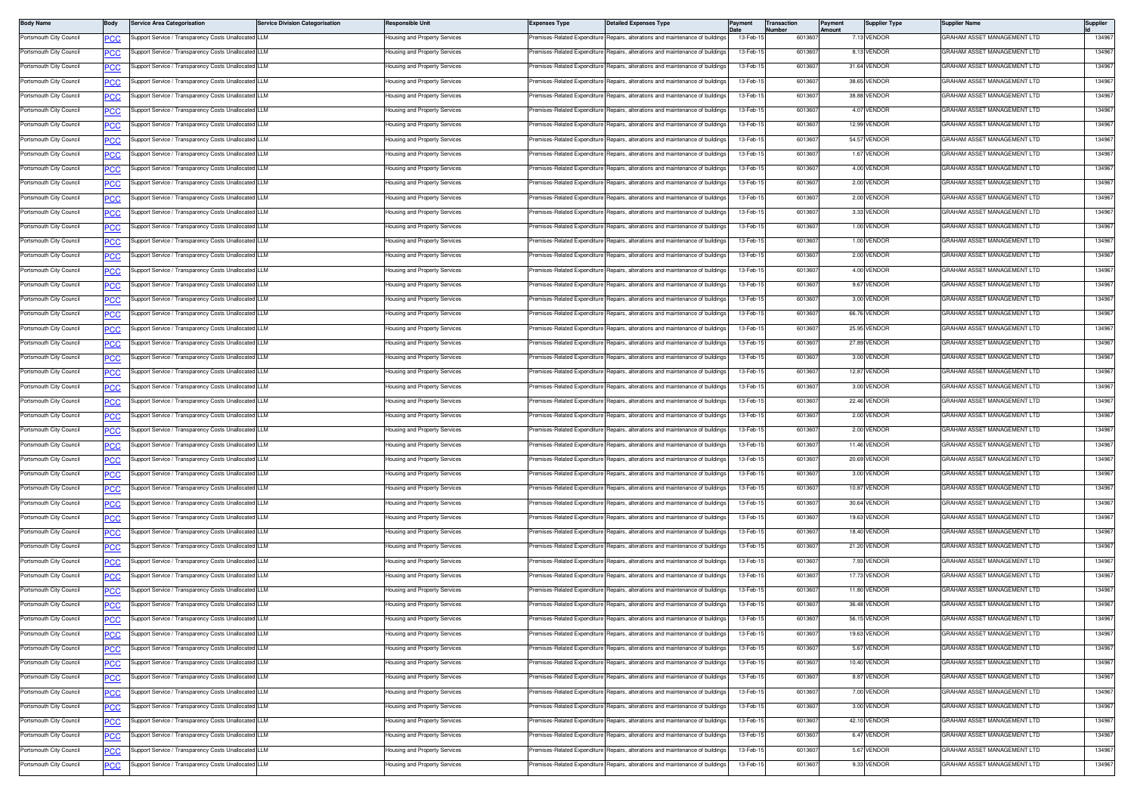| <b>Body Name</b>        | Body           | <b>Service Area Categorisation</b>                   | <b>Service Division Categorisation</b> | Responsible Unit              | <b>Expenses Type</b>         | <b>Detailed Expenses Type</b>                                                  | Payment   | <b>Transaction</b><br>lumber | ayment<br>mount | <b>Supplier Type</b> | Supplier Name                      | Supplier |
|-------------------------|----------------|------------------------------------------------------|----------------------------------------|-------------------------------|------------------------------|--------------------------------------------------------------------------------|-----------|------------------------------|-----------------|----------------------|------------------------------------|----------|
| Portsmouth City Council | PCC            | upport Service / Transparency Costs Unallocated LLM  |                                        | lousing and Property Services | remises-Related Expenditure  | Repairs, alterations and maintenance of buildings                              | 13-Feb-1  | 601360                       |                 | 7.13 VENDOR          | GRAHAM ASSET MANAGEMENT LTD        | 134967   |
| Portsmouth City Council | <u>PCC</u>     | upport Service / Transparency Costs Unallocated LLM  |                                        | lousing and Property Services | remises-Related Expenditure  | Repairs, alterations and maintenance of buildings                              | 13-Feb-1  | 601360                       |                 | 8.13 VENDOF          | GRAHAM ASSET MANAGEMENT LTD        | 134967   |
| Portsmouth City Council | <u>PCC</u>     | Support Service / Transparency Costs Unallocated LLM |                                        | lousing and Property Services | remises-Related Expenditure  | Repairs, alterations and maintenance of buildings                              | 13-Feb-1  | 601360                       |                 | 31.64 VENDOR         | GRAHAM ASSET MANAGEMENT LTD        | 134967   |
| Portsmouth City Council | сC             | upport Service / Transparency Costs Unallocated LLM  |                                        | lousing and Property Services | remises-Related Expenditure  | Repairs, alterations and maintenance of building                               | 13-Feb-1  | 601360                       |                 | 38.65 VENDOR         | GRAHAM ASSET MANAGEMENT LTD        | 134967   |
| Portsmouth City Council | ∍CC            | upport Service / Transparency Costs Unallocated LLM  |                                        | lousing and Property Services | remises-Related Expenditure  | Repairs, alterations and maintenance of buildings                              | 13-Feb-1  | 601360                       |                 | 38.88 VENDOR         | GRAHAM ASSET MANAGEMENT LTD        | 134967   |
| Portsmouth City Council | <u>PCC</u>     | Support Service / Transparency Costs Unallocated LLM |                                        | lousing and Property Services | Premises-Related Expenditure | Repairs, alterations and maintenance of buildings                              | 13-Feb-1  | 601360                       |                 | 4.07 VENDOR          | GRAHAM ASSET MANAGEMENT LTD        | 134967   |
| Portsmouth City Council | <u>PCC</u>     | Support Service / Transparency Costs Unallocated LLM |                                        | lousing and Property Services | remises-Related Expenditure  | Repairs, alterations and maintenance of building                               | 13-Feb-1  | 601360                       |                 | 12.99 VENDOR         | GRAHAM ASSET MANAGEMENT LTD        | 134967   |
| Portsmouth City Council | <b>PCC</b>     | Support Service / Transparency Costs Unallocated LLM |                                        | lousing and Property Services |                              | Premises-Related Expenditure Repairs, alterations and maintenance of buildings | 13-Feb-1  | 601360                       |                 | 54.57 VENDOR         | GRAHAM ASSET MANAGEMENT LTD        | 134967   |
| Portsmouth City Council | PСC            | Support Service / Transparency Costs Unallocated LLM |                                        | Housing and Property Services | remises-Related Expenditure  | Repairs, alterations and maintenance of building                               | 13-Feb-1  | 601360                       |                 | 1.67 VENDOR          | GRAHAM ASSET MANAGEMENT LTD        | 134967   |
| Portsmouth City Council | $\overline{C}$ | Support Service / Transparency Costs Unallocated LLM |                                        | lousing and Property Services | emises-Related Expenditure   | Repairs, alterations and maintenance of buildings                              | 13-Feb-1  | 601360                       |                 | 4.00 VENDOR          | GRAHAM ASSET MANAGEMENT LTD        | 134967   |
| Portsmouth City Council | <u>PCC</u>     | upport Service / Transparency Costs Unallocated LLM  |                                        | lousing and Property Services | remises-Related Expenditure  | Repairs, alterations and maintenance of buildings                              | 13-Feb-1  | 601360                       |                 | 2.00 VENDOR          | GRAHAM ASSET MANAGEMENT LTD        | 134967   |
| Portsmouth City Council | <b>PCC</b>     | Support Service / Transparency Costs Unallocated LLM |                                        | lousing and Property Services | remises-Related Expenditure  | Repairs, alterations and maintenance of building                               | 13-Feb-1  | 601360                       |                 | 2.00 VENDOF          | GRAHAM ASSET MANAGEMENT LTD        | 134967   |
| Portsmouth City Council | <b>PCC</b>     | Support Service / Transparency Costs Unallocated LLM |                                        | lousing and Property Services | remises-Related Expenditure  | Repairs, alterations and maintenance of buildings                              | 13-Feb-1  | 601360                       |                 | 3.33 VENDOR          | GRAHAM ASSET MANAGEMENT LTD        | 134967   |
| Portsmouth City Council | ٥с             | upport Service / Transparency Costs Unallocated LLM  |                                        | lousing and Property Services | remises-Related Expenditure  | Repairs, alterations and maintenance of buildings                              | 13-Feb-1  | 601360                       |                 | 1.00 VENDOR          | GRAHAM ASSET MANAGEMENT LTD        | 134967   |
| Portsmouth City Council | $\overline{C}$ | Support Service / Transparency Costs Unallocated LLM |                                        | lousing and Property Services | remises-Related Expenditure  | Repairs, alterations and maintenance of buildings                              | 13-Feb-1  | 601360                       |                 | 1.00 VENDOR          | GRAHAM ASSET MANAGEMENT LTD        | 134967   |
| Portsmouth City Council | <b>PCC</b>     | Support Service / Transparency Costs Unallocated LLM |                                        | lousing and Property Services | Premises-Related Expenditure | Repairs, alterations and maintenance of buildings                              | 13-Feb-1  | 601360                       |                 | 2.00 VENDOR          | GRAHAM ASSET MANAGEMENT LTD        | 134967   |
| Portsmouth City Council | <u>PCC</u>     | upport Service / Transparency Costs Unallocated LLM  |                                        | lousing and Property Services | remises-Related Expenditure  | Repairs, alterations and maintenance of building                               | 13-Feb-1  | 601360                       |                 | 4.00 VENDOR          | GRAHAM ASSET MANAGEMENT LTD        | 134967   |
| Portsmouth City Council | <b>PCC</b>     | Support Service / Transparency Costs Unallocated LLM |                                        | lousing and Property Services | Premises-Related Expenditure | Repairs, alterations and maintenance of buildings                              | 13-Feb-1  | 601360                       |                 | 9.67 VENDOR          | GRAHAM ASSET MANAGEMENT LTD        | 134967   |
| Portsmouth City Council | PСC            | upport Service / Transparency Costs Unallocated LLM  |                                        | lousing and Property Services | remises-Related Expenditure  | Repairs, alterations and maintenance of building                               | 13-Feb-1  | 601360                       |                 | 3.00 VENDOR          | GRAHAM ASSET MANAGEMENT LTD        | 134967   |
| Portsmouth City Council | <u>PCC</u>     | Support Service / Transparency Costs Unallocated LLM |                                        | lousing and Property Services | remises-Related Expenditure  | Repairs, alterations and maintenance of buildings                              | 13-Feb-1  | 601360                       |                 | 66.76 VENDOR         | <b>GRAHAM ASSET MANAGEMENT LTD</b> | 13496    |
| Portsmouth City Council | <u>PCC</u>     | Support Service / Transparency Costs Unallocated LLM |                                        | lousing and Property Services | Premises-Related Expenditure | Renairs, alterations and maintenance of buildings                              | 13-Feb-1  | 601360                       |                 | 25.95 VENDOR         | GRAHAM ASSET MANAGEMENT LTD        | 134967   |
| Portsmouth City Council | <u>PCC</u>     | Support Service / Transparency Costs Unallocated LLM |                                        | lousing and Property Services | remises-Related Expenditure  | Repairs, alterations and maintenance of building                               | 13-Feb-1  | 601360                       |                 | 27.89 VENDOR         | GRAHAM ASSET MANAGEMENT LTD        | 13496    |
| Portsmouth City Council | <b>PCC</b>     | Support Service / Transparency Costs Unallocated LLM |                                        | lousing and Property Services | remises-Related Expenditure  | Repairs, alterations and maintenance of buildings                              | 13-Feb-1  | 601360                       |                 | 3.00 VENDOR          | GRAHAM ASSET MANAGEMENT LTD        | 134967   |
| Portsmouth City Council | PСC            | upport Service / Transparency Costs Unallocated LLM  |                                        | lousing and Property Services | remises-Related Expenditure  | Repairs, alterations and maintenance of buildings                              | 13-Feb-1  | 601360                       |                 | 12.87 VENDOR         | GRAHAM ASSET MANAGEMENT LTD        | 134967   |
| Portsmouth City Council | <u>PCC</u>     | Support Service / Transparency Costs Unallocated LLM |                                        | lousing and Property Services | remises-Related Expenditure  | Repairs, alterations and maintenance of buildings                              | 13-Feb-1  | 601360                       |                 | 3.00 VENDOR          | GRAHAM ASSET MANAGEMENT LTD        | 134967   |
| Portsmouth City Council | <u>PCC</u>     | Support Service / Transparency Costs Unallocated LLM |                                        | lousing and Property Services | Premises-Related Expenditure | Repairs, alterations and maintenance of buildings                              | 13-Feb-1  | 601360                       |                 | 22.46 VENDOR         | GRAHAM ASSET MANAGEMENT LTD        | 134967   |
| Portsmouth City Council | <b>PCC</b>     | Support Service / Transparency Costs Unallocated LLM |                                        | lousing and Property Services | Premises-Related Expenditure | Repairs, alterations and maintenance of building                               | 13-Feb-1  | 601360                       |                 | 2.00 VENDOR          | GRAHAM ASSET MANAGEMENT LTD        | 134967   |
| Portsmouth City Council | <b>PCC</b>     | Support Service / Transparency Costs Unallocated LLM |                                        | lousing and Property Services | Premises-Related Expenditure | Repairs, alterations and maintenance of building                               | 13-Feb-1  | 601360                       |                 | 2.00 VENDOR          | GRAHAM ASSET MANAGEMENT LTD        | 134967   |
| Portsmouth City Council | PСC            | upport Service / Transparency Costs Unallocated LLM  |                                        | Housing and Property Services | Premises-Related Expenditure | Repairs, alterations and maintenance of buildings                              | 13-Feb-1  | 601360                       |                 | 11.46 VENDOR         | GRAHAM ASSET MANAGEMENT LTD        | 134967   |
| Portsmouth City Council | PСC            | Support Service / Transparency Costs Unallocated LLM |                                        | lousing and Property Services | Premises-Related Expenditure | Repairs, alterations and maintenance of buildings                              | 13-Feb-1  | 601360                       |                 | 20.69 VENDOR         | GRAHAM ASSET MANAGEMENT LTD        | 134967   |
| Portsmouth City Council | $\overline{C}$ | Support Service / Transparency Costs Unallocated LLM |                                        | lousing and Property Services | Premises-Related Expenditure | Repairs, alterations and maintenance of buildings                              | 13-Feb-1  | 601360                       |                 | 3.00 VENDOR          | GRAHAM ASSET MANAGEMENT LTD        | 134967   |
| Portsmouth City Council | <b>PCC</b>     | Support Service / Transparency Costs Unallocated LLM |                                        | lousing and Property Services | remises-Related Expenditure  | Repairs, alterations and maintenance of building                               | 13-Feb-1  | 601360                       |                 | 10.87 VENDOR         | GRAHAM ASSET MANAGEMENT LTD        | 134967   |
| Portsmouth City Council | <u>PCC</u>     | Support Service / Transparency Costs Unallocated LLM |                                        | lousing and Property Services | remises-Related Expenditure  | Repairs, alterations and maintenance of buildings                              | 13-Feb-1  | 601360                       |                 | 30.64 VENDOR         | GRAHAM ASSET MANAGEMENT LTD        | 134967   |
| Portsmouth City Council | ٥с             | upport Service / Transparency Costs Unallocated LLM  |                                        | lousing and Property Services | remises-Related Expenditure  | Repairs, alterations and maintenance of building                               | 13-Feb-1  | 601360                       |                 | 19.63 VENDOR         | GRAHAM ASSET MANAGEMENT LTD        | 134967   |
| Portsmouth City Council | PCC            | Support Service / Transparency Costs Unallocated LLM |                                        | lousing and Property Services | remises-Related Expenditure  | Repairs, alterations and maintenance of buildings                              | 13-Feb-1  | 601360                       |                 | 18.40 VENDOR         | GRAHAM ASSET MANAGEMENT LTD        | 13496    |
| Portsmouth City Council | <u>PCC</u>     | Support Service / Transparency Costs Unallocated LLM |                                        | lousing and Property Services | Premises-Related Expenditure | Renairs, alterations and maintenance of buildings                              | 13-Feb-1  | 601360                       |                 | 21.20 VENDOR         | GRAHAM ASSET MANAGEMENT LTD        | 134967   |
| Portsmouth City Council | <u>PCC</u>     | Support Service / Transparency Costs Unallocated LLM |                                        | lousing and Property Services | remises-Related Expenditure  | Repairs, alterations and maintenance of building                               | 13-Feb-1  | 601360                       |                 | 7.93 VENDOR          | GRAHAM ASSET MANAGEMENT LTD        | 13496    |
| Portsmouth City Council | <b>PCC</b>     | Support Service / Transparency Costs Unallocated LLM |                                        | lousing and Property Services |                              | Premises-Related Expenditure Repairs, alterations and maintenance of buildings | 13-Feb-1  | 601360                       |                 | 17.73 VENDOR         | GRAHAM ASSET MANAGEMENT LTD        | 134967   |
| Portsmouth City Council |                | upport Service / Transparency Costs Unallocated LLM  |                                        | lousing and Property Services | remises-Related Expenditure  | Repairs, alterations and maintenance of building                               | 13-Feb-1  | 601360                       |                 | 11.80 VENDOR         | GRAHAM ASSET MANAGEMENT LTD        | 134967   |
| Portsmouth City Council | PCC            | Support Service / Transparency Costs Unallocated LLM |                                        | lousing and Property Services | remises-Related Expenditure  | Repairs, alterations and maintenance of buildings                              | 13-Feb-1  | 601360                       |                 | 36.48 VENDOR         | GRAHAM ASSET MANAGEMENT LTD        | 134967   |
| Portsmouth City Council | <b>PCC</b>     | Support Service / Transparency Costs Unallocated LLM |                                        | Housing and Property Services |                              | Premises-Related Expenditure Repairs, alterations and maintenance of buildings | 13-Feb-15 | 601360                       |                 | 56.15 VENDOR         | GRAHAM ASSET MANAGEMENT LTD        | 134967   |
| Portsmouth City Council | <b>PCC</b>     | Support Service / Transparency Costs Unallocated LLM |                                        | lousing and Property Services | remises-Related Expenditure  | Repairs, alterations and maintenance of buildings                              | 13-Feb-1  | 601360                       |                 | 19.63 VENDOR         | GRAHAM ASSET MANAGEMENT LTD        | 134967   |
| Portsmouth City Council | <b>PCC</b>     | Support Service / Transparency Costs Unallocated LLM |                                        | lousing and Property Services |                              | remises-Related Expenditure Repairs, alterations and maintenance of buildings  | 13-Feb-15 | 601360                       |                 | 5.67 VENDOR          | GRAHAM ASSET MANAGEMENT LTD        | 134967   |
| Portsmouth City Council | $\overline{C}$ | upport Service / Transparency Costs Unallocated LLM  |                                        | Housing and Property Services |                              | remises-Related Expenditure Repairs, alterations and maintenance of buildings  | 13-Feb-1  | 601360                       |                 | 10.40 VENDOR         | GRAHAM ASSET MANAGEMENT LTD        | 134967   |
| Portsmouth City Council | PCC            | Support Service / Transparency Costs Unallocated LLM |                                        | lousing and Property Services | Premises-Related Expenditure | Repairs, alterations and maintenance of buildings                              | 13-Feb-1  | 601360                       |                 | 8.87 VENDOR          | GRAHAM ASSET MANAGEMENT LTD        | 134967   |
| Portsmouth City Council | <u>PCC</u>     | Support Service / Transparency Costs Unallocated LLM |                                        | lousing and Property Services |                              | Premises-Related Expenditure Repairs, alterations and maintenance of buildings | 13-Feb-1  | 601360                       |                 | 7.00 VENDOR          | GRAHAM ASSET MANAGEMENT LTD        | 134967   |
| Portsmouth City Council | <b>PCC</b>     | Support Service / Transparency Costs Unallocated LLM |                                        | lousing and Property Services | remises-Related Expenditure  | Repairs, alterations and maintenance of buildings                              | 13-Feb-1  | 601360                       |                 | 3.00 VENDOR          | GRAHAM ASSET MANAGEMENT LTD        | 134967   |
| Portsmouth City Council | <b>PCC</b>     | Support Service / Transparency Costs Unallocated LLM |                                        | lousing and Property Services | remises-Related Expenditure  | Repairs, alterations and maintenance of buildings                              | 13-Feb-15 | 601360                       |                 | 42.10 VENDOR         | GRAHAM ASSET MANAGEMENT LTD        | 134967   |
| Portsmouth City Council | PСC            | upport Service / Transparency Costs Unallocated LLM  |                                        | lousing and Property Services | remises-Related Expenditure  | Repairs, alterations and maintenance of buildings                              | 13-Feb-15 | 601360                       |                 | 6.47 VENDOR          | GRAHAM ASSET MANAGEMENT LTD        | 134967   |
| Portsmouth City Council | <b>PCC</b>     | Support Service / Transparency Costs Unallocated LLM |                                        | lousing and Property Services | remises-Related Expenditure  | Repairs, alterations and maintenance of buildings                              | 13-Feb-1  | 601360                       |                 | 5.67 VENDOR          | GRAHAM ASSET MANAGEMENT LTD        | 134967   |
| Portsmouth City Council |                | Support Service / Transparency Costs Unallocated LLM |                                        | lousing and Property Services | remises-Related Expenditure  | Repairs, alterations and maintenance of buildings                              | 13-Feb-15 | 601360                       |                 | 9.33 VENDOR          | GRAHAM ASSET MANAGEMENT LTD        | 134967   |
|                         | <u>PCC</u>     |                                                      |                                        |                               |                              |                                                                                |           |                              |                 |                      |                                    |          |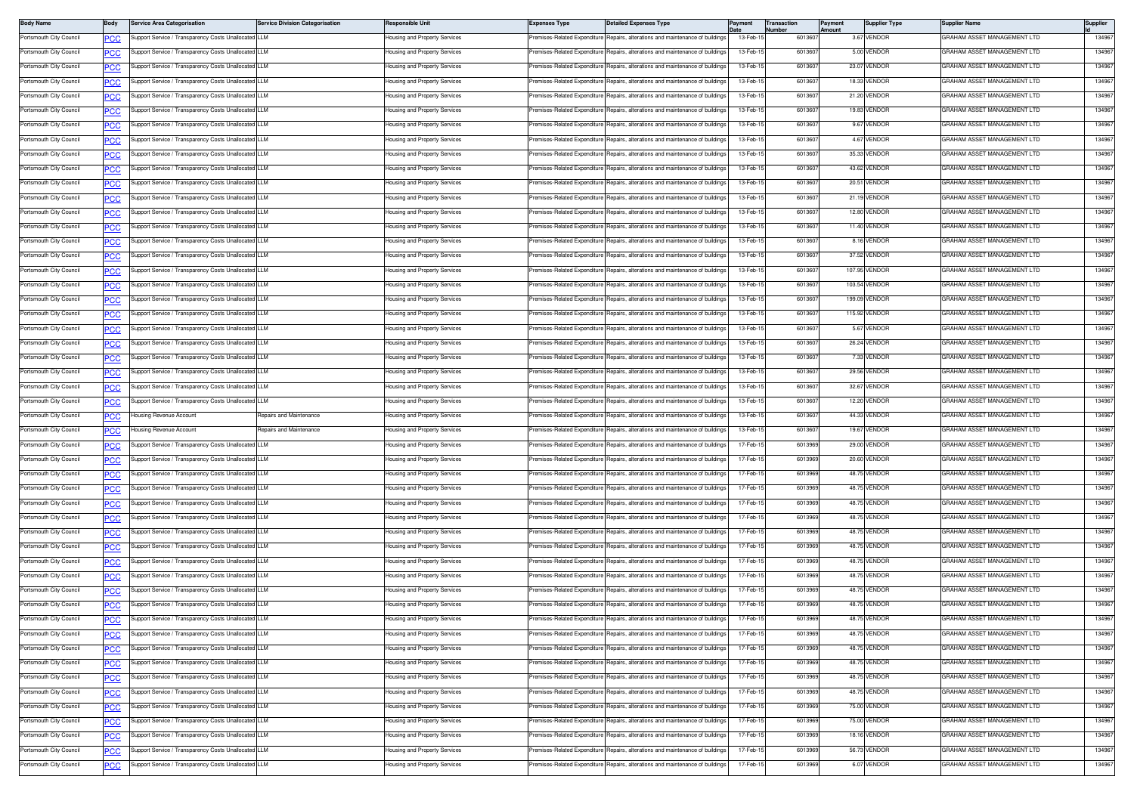| <b>Body Name</b>        | Body       | <b>Service Area Categorisation</b>                   | <b>Service Division Categorisation</b> | Responsible Unit              | <b>Expenses Type</b>           | <b>Detailed Expenses Type</b>                                                                                                      | ayment    | <b>Fransaction</b><br>lumber | Payment<br>mount | <b>Supplier Type</b> | Supplier Name                      | Supplier |
|-------------------------|------------|------------------------------------------------------|----------------------------------------|-------------------------------|--------------------------------|------------------------------------------------------------------------------------------------------------------------------------|-----------|------------------------------|------------------|----------------------|------------------------------------|----------|
| Portsmouth City Council | PCC        | Support Service / Transparency Costs Unallocated LLM |                                        | lousing and Property Services | remises-Related Expenditure    | Repairs, alterations and maintenance of buildings                                                                                  | 13-Feb-   | 601360                       |                  | 3.67 VENDOR          | GRAHAM ASSET MANAGEMENT LTD        | 134967   |
| Portsmouth City Council | <u>PCC</u> | Support Service / Transparency Costs Unallocated LLM |                                        | lousing and Property Services | remises-Related Expenditure    | Repairs, alterations and maintenance of buildings                                                                                  | 13-Feb-1  | 601360                       |                  | 5.00 VENDOR          | GRAHAM ASSET MANAGEMENT LTD        | 134967   |
| Portsmouth City Council |            | Support Service / Transparency Costs Unallocated LLM |                                        | lousing and Property Services | remises-Related Expenditure    | Renairs, alterations and maintenance of buildings                                                                                  | 13-Feb-1  | 601360                       |                  | 23.07 VENDOR         | GRAHAM ASSET MANAGEMENT LTD        | 134967   |
| Portsmouth City Council |            | Support Service / Transparency Costs Unallocated LLM |                                        | lousing and Property Services | remises-Related Expenditure    | Repairs, alterations and maintenance of building                                                                                   | 13-Feb-1  | 601360                       |                  | 18.33 VENDOR         | GRAHAM ASSET MANAGEMENT LTD        | 134967   |
| Portsmouth City Council | <u>cc</u>  | Support Service / Transparency Costs Unallocated LLM |                                        | lousing and Property Services | remises-Related Expenditure    | Repairs, alterations and maintenance of buildings                                                                                  | 13-Feb-1  | 601360                       |                  | 21.20 VENDOR         | GRAHAM ASSET MANAGEMENT LTD        | 134967   |
| Portsmouth City Council | <u>PCC</u> | Support Service / Transparency Costs Unallocated LLM |                                        | lousing and Property Services | Premises-Related Expenditure   | Repairs, alterations and maintenance of buildings                                                                                  | 13-Feb-1  | 601360                       |                  | 19.83 VENDOR         | GRAHAM ASSET MANAGEMENT LTD        | 134967   |
| Portsmouth City Council | <u>PCC</u> | Support Service / Transparency Costs Unallocated LLM |                                        | lousing and Property Services | remises-Related Expenditure    | Repairs, alterations and maintenance of building                                                                                   | 13-Feb-1  | 601360                       |                  | 9.67 VENDOR          | GRAHAM ASSET MANAGEMENT LTD        | 134967   |
| Portsmouth City Council |            | Support Service / Transparency Costs Unallocated LLM |                                        | lousing and Property Services |                                | Premises-Related Expenditure Repairs, alterations and maintenance of buildings                                                     | 13-Feb-1  | 601360                       |                  | 4.67 VENDOR          | GRAHAM ASSET MANAGEMENT LTD        | 134967   |
| Portsmouth City Council | сc         | Support Service / Transparency Costs Unallocated LLM |                                        | Housing and Property Services | remises-Related Expenditure    | Repairs, alterations and maintenance of building                                                                                   | 13-Feb-1  | 601360                       |                  | 35.33 VENDOR         | GRAHAM ASSET MANAGEMENT LTD        | 134967   |
| Portsmouth City Council | <u>cc</u>  | Support Service / Transparency Costs Unallocated     | <b>LLM</b>                             | lousing and Property Services | emises-Related Expenditure     | Repairs, alterations and maintenance of buildings                                                                                  | 13-Feb-1  | 601360                       |                  | 43.62 VENDOR         | RAHAM ASSET MANAGEMENT LTD         | 134967   |
| Portsmouth City Council | <u>PCC</u> | Support Service / Transparency Costs Unallocated LLM |                                        | lousing and Property Services | remises-Related Expenditure    | Repairs, alterations and maintenance of buildings                                                                                  | 13-Feb-1  | 601360                       |                  | 20.51 VENDOR         | GRAHAM ASSET MANAGEMENT LTD        | 134967   |
| Portsmouth City Council | <u>PCC</u> | Support Service / Transparency Costs Unallocated LLM |                                        | lousing and Property Services | remises-Related Expenditure    | Repairs, alterations and maintenance of building                                                                                   | 13-Feb-1  | 601360                       |                  | 21.19 VENDOR         | GRAHAM ASSET MANAGEMENT LTD        | 134967   |
| Portsmouth City Council | <b>PCC</b> | Support Service / Transparency Costs Unallocated LLM |                                        | lousing and Property Services | remises-Related Expenditure    | Repairs, alterations and maintenance of building                                                                                   | 13-Feb-1  | 601360                       |                  | 12.80 VENDOR         | <b>GRAHAM ASSET MANAGEMENT LTD</b> | 134967   |
| Portsmouth City Council | cс         | Support Service / Transparency Costs Unallocated     | <b>LLM</b>                             | Housing and Property Services | remises-Related Expenditure    | Repairs, alterations and maintenance of buildings                                                                                  | 13-Feb-1  | 601360                       |                  | 11.40 VENDOR         | GRAHAM ASSET MANAGEMENT LTD        | 134967   |
| Portsmouth City Council | <u>'CC</u> | Support Service / Transparency Costs Unallocated     | <b>LLM</b>                             | lousing and Property Services | remises-Related Expenditure    | Repairs, alterations and maintenance of buildings                                                                                  | 13-Feb-1  | 601360                       |                  | 8.16 VENDOR          | RAHAM ASSET MANAGEMENT LTD         | 134967   |
| Portsmouth City Council | <u>PCC</u> | Support Service / Transparency Costs Unallocated LLM |                                        | Housing and Property Services | Premises-Related Expenditure   | Repairs, alterations and maintenance of building                                                                                   | 13-Feb-1  | 601360                       |                  | 37.52 VENDOR         | GRAHAM ASSET MANAGEMENT LTD        | 134967   |
| Portsmouth City Council | <u>PCC</u> | Support Service / Transparency Costs Unallocated LLM |                                        | lousing and Property Services | remises-Related Expenditure    | Repairs, alterations and maintenance of building                                                                                   | 13-Feb-1  | 601360                       |                  | 107.95 VENDOR        | GRAHAM ASSET MANAGEMENT LTD        | 134967   |
| Portsmouth City Council |            | Support Service / Transparency Costs Unallocated LLM |                                        | lousing and Property Services | remises-Related Expenditure    | Repairs, alterations and maintenance of buildings                                                                                  | 13-Feb-1  | 601360                       |                  | 103.54 VENDOR        | GRAHAM ASSET MANAGEMENT LTD        | 134967   |
| Portsmouth City Council | сc         | Support Service / Transparency Costs Unallocated LLM |                                        | Housing and Property Services | remises-Related Expenditure    | Repairs, alterations and maintenance of building                                                                                   | 13-Feb-1  | 601360                       |                  | 199.09 VENDOR        | <b>GRAHAM ASSET MANAGEMENT LTD</b> | 134967   |
| Portsmouth City Council | <u>PCC</u> | Support Service / Transparency Costs Unallocated     |                                        | lousing and Property Services | remises-Related Expenditure    | Repairs, alterations and maintenance of buildings                                                                                  | 13-Feb-1  | 601360                       |                  | 115.92 VENDOR        | RAHAM ASSET MANAGEMENT LTD         | 134967   |
| Portsmouth City Council | <u>PCC</u> | Support Service / Transparency Costs Unallocated LLM |                                        | lousing and Property Services | Premises-Related Expenditure   | Repairs, alterations and maintenance of building                                                                                   | 13-Feb-1  | 601360                       |                  | 5.67 VENDOR          | GRAHAM ASSET MANAGEMENT LTD        | 134967   |
| Portsmouth City Council | <u>PCC</u> | Support Service / Transparency Costs Unallocated     | I LLM                                  | lousing and Property Services | remises-Related Expenditure    | Renairs, alterations and maintenance of building                                                                                   | 13-Feb-1  | 601360                       |                  | 26.24 VENDOR         | GRAHAM ASSET MANAGEMENT LTD        | 134967   |
| Portsmouth City Council |            | Support Service / Transparency Costs Unallocated LLM |                                        | lousing and Property Services | remises-Related Expenditure    | Repairs, alterations and maintenance of buildings                                                                                  | 13-Feb-1  | 601360                       |                  | 7.33 VENDOR          | GRAHAM ASSET MANAGEMENT LTD        | 134967   |
| Portsmouth City Council | сc         | Support Service / Transparency Costs Unallocated LLM |                                        | Housing and Property Services | remises-Related Expenditure    | Repairs, alterations and maintenance of building                                                                                   | 13-Feb-1  | 601360                       |                  | 29.56 VENDOR         | GRAHAM ASSET MANAGEMENT LTD        | 134967   |
| Portsmouth City Council | <u>PCC</u> | Support Service / Transparency Costs Unallocated LLM |                                        | lousing and Property Services | remises-Related Expenditure    | Repairs, alterations and maintenance of buildings                                                                                  | 13-Feb-1  | 601360                       |                  | 32.67 VENDOR         | RAHAM ASSET MANAGEMENT LTD         | 134967   |
| Portsmouth City Council | <u>PCC</u> | Support Service / Transparency Costs Unallocated LLM |                                        | Housing and Property Services | Premises-Related Expenditure   | Repairs, alterations and maintenance of building                                                                                   | 13-Feb-1  | 601360                       |                  | 12.20 VENDOR         | GRAHAM ASSET MANAGEMENT LTD        | 134967   |
| Portsmouth City Council | <u>PCC</u> | Housing Revenue Account                              | Repairs and Maintenance                | lousing and Property Services | Premises-Related Expenditure   | Repairs, alterations and maintenance of building                                                                                   | 13-Feb-1  | 601360                       |                  | 44.33 VENDOR         | GRAHAM ASSET MANAGEMENT LTD        | 134967   |
| Portsmouth City Council | <b>PCC</b> | Housing Revenue Account                              | Repairs and Maintenance                | Housing and Property Services | Premises-Related Expenditure   | Repairs, alterations and maintenance of building                                                                                   | 13-Feb-1  | 601360                       |                  | 19.67 VENDOR         | GRAHAM ASSET MANAGEMENT LTD        | 134967   |
| Portsmouth City Council | сc         | Support Service / Transparency Costs Unallocated LLM |                                        | Housing and Property Services | Premises-Related Expenditure   | Repairs, alterations and maintenance of building                                                                                   | 17-Feb-1  | 601396                       |                  | 29.00 VENDOR         | GRAHAM ASSET MANAGEMENT LTD        | 134967   |
| Portsmouth City Council | PCC        | Support Service / Transparency Costs Unallocated     |                                        | lousing and Property Services | Premises-Related Expenditure   | Repairs, alterations and maintenance of buildings                                                                                  | 17-Feb-1  | 6013969                      |                  | 20.60 VENDOR         | RAHAM ASSET MANAGEMENT LTD         | 134967   |
| Portsmouth City Council | <u>PCC</u> | Support Service / Transparency Costs Unallocated LLM |                                        | lousing and Property Services | Premises-Related Expenditure   | Repairs, alterations and maintenance of building                                                                                   | 17-Feb-1  | 6013969                      |                  | 48.75 VENDOR         | GRAHAM ASSET MANAGEMENT LTD        | 134967   |
| Portsmouth City Council | <u>PCC</u> | Support Service / Transparency Costs Unallocated LLM |                                        | lousing and Property Services | remises-Related Expenditure    | Repairs, alterations and maintenance of building                                                                                   | 17-Feb-1  | 601396                       |                  | 48.75 VENDOR         | GRAHAM ASSET MANAGEMENT LTD        | 134967   |
| Portsmouth City Council |            | Support Service / Transparency Costs Unallocated LLM |                                        | lousing and Property Services | remises-Related Expenditure    | Repairs, alterations and maintenance of buildings                                                                                  | 17-Feb-1  | 601396                       |                  | 48.75 VENDOR         | GRAHAM ASSET MANAGEMENT LTD        | 134967   |
| Portsmouth City Council |            | Support Service / Transparency Costs Unallocated LLM |                                        | Housing and Property Services | remises-Related Expenditure    | Repairs, alterations and maintenance of building                                                                                   | 17-Feb-1  | 601396                       |                  | 48.75 VENDOR         | GRAHAM ASSET MANAGEMENT LTD        | 134967   |
| Portsmouth City Council | PCC        | Support Service / Transparency Costs Unallocated     | LLM                                    | lousing and Property Services | remises-Related Expenditure    | Repairs, alterations and maintenance of buildings                                                                                  | 17-Feb-1  | 601396                       |                  | 48.75 VENDOR         | GRAHAM ASSET MANAGEMENT LTD        | 134967   |
| Portsmouth City Council | <u>PCC</u> | Support Service / Transparency Costs Unallocated LLM |                                        | Housing and Property Services | Premises-Related Expenditure   | Repairs, alterations and maintenance of buildings                                                                                  | 17-Feb-1  | 6013969                      |                  | 48.75 VENDOR         | GRAHAM ASSET MANAGEMENT LTD        | 134967   |
| Portsmouth City Council | <u>PCC</u> | Support Service / Transparency Costs Unallocated LLM |                                        | lousing and Property Services | remises-Related Expenditure    | Repairs, alterations and maintenance of building                                                                                   | 17-Feb-1  | 601396                       |                  | 48.75 VENDOR         | GRAHAM ASSET MANAGEMENT LTD        | 134967   |
| Portsmouth City Council |            | Support Service / Transparency Costs Unallocated LLM |                                        | lousing and Property Services | Premises-Related Expenditure I | Repairs, alterations and maintenance of buildings                                                                                  | 17-Feb-1  | 601396                       |                  | 48.75 VENDOR         | GRAHAM ASSET MANAGEMENT LTD        | 134967   |
| Portsmouth City Council |            | Support Service / Transparency Costs Unallocated LLM |                                        | Housing and Property Services | remises-Related Expenditure    | Repairs, alterations and maintenance of building                                                                                   | 17-Feb-1  | 601396                       |                  | 48.75 VENDOR         | GRAHAM ASSET MANAGEMENT LTD        | 134967   |
| Portsmouth City Council | PCC        | Support Service / Transparency Costs Unallocated LLM |                                        | lousing and Property Services | remises-Related Expenditure    | Repairs, alterations and maintenance of buildings                                                                                  | 17-Feb-1  | 601396                       |                  | 48.75 VENDOR         | RAHAM ASSET MANAGEMENT LTD         | 134967   |
| Portsmouth City Council | <b>PCC</b> | Support Service / Transparency Costs Unallocated LLM |                                        | Housing and Property Services |                                | Premises-Related Expenditure Repairs, alterations and maintenance of buildings                                                     | 17-Feb-15 | 6013969                      |                  | 48.75 VENDOR         | GRAHAM ASSET MANAGEMENT LTD        | 134967   |
| Portsmouth City Council | <u>PCC</u> | Support Service / Transparency Costs Unallocated LLM |                                        | lousing and Property Services | remises-Related Expenditure    | Repairs, alterations and maintenance of buildings                                                                                  | 17-Feb-1  | 6013969                      |                  | 48.75 VENDOR         | GRAHAM ASSET MANAGEMENT LTD        | 134967   |
| Portsmouth City Council | <b>PCC</b> | Support Service / Transparency Costs Unallocated LLM |                                        | lousing and Property Services |                                | Premises-Related Expenditure Repairs, alterations and maintenance of buildings                                                     | 17-Feb-1  | 6013969                      |                  | 48.75 VENDOR         | GRAHAM ASSET MANAGEMENT LTD        | 134967   |
| Portsmouth City Council | <b>CC</b>  | Support Service / Transparency Costs Unallocated LLM |                                        | Housing and Property Services | remises-Related Expenditure    | Repairs, alterations and maintenance of buildings                                                                                  | 17-Feb-1  | 6013969                      |                  | 48.75 VENDOR         | GRAHAM ASSET MANAGEMENT LTD        | 134967   |
| Portsmouth City Council | PCC        | Support Service / Transparency Costs Unallocated LLM |                                        | lousing and Property Services | Premises-Related Expenditure   | Repairs, alterations and maintenance of buildings                                                                                  | 17-Feb-1  | 6013969                      |                  | 48.75 VENDOR         | GRAHAM ASSET MANAGEMENT LTD        | 134967   |
| Portsmouth City Council |            | Support Service / Transparency Costs Unallocated LLM |                                        | lousing and Property Services |                                | Premises-Related Expenditure Repairs, alterations and maintenance of buildings                                                     | 17-Feb-1  | 6013969                      |                  | 48.75 VENDOR         | GRAHAM ASSET MANAGEMENT LTD        | 134967   |
| Portsmouth City Council | <b>PCC</b> | Support Service / Transparency Costs Unallocated LLM |                                        | lousing and Property Services | remises-Related Expenditure    | Repairs, alterations and maintenance of buildings                                                                                  | 17-Feb-1  | 601396                       |                  | 75.00 VENDOR         | GRAHAM ASSET MANAGEMENT LTD        | 134967   |
| Portsmouth City Council | <b>PCC</b> | Support Service / Transparency Costs Unallocated LLM |                                        | lousing and Property Services | remises-Related Expenditure    | Repairs, alterations and maintenance of buildings                                                                                  | 17-Feb-1  | 6013969                      |                  | 75.00 VENDOR         | GRAHAM ASSET MANAGEMENT LTD        | 134967   |
| Portsmouth City Council | <b>PCC</b> | Support Service / Transparency Costs Unallocated LLM |                                        | Housing and Property Services | remises-Related Expenditure    | Repairs, alterations and maintenance of buildings                                                                                  | 17-Feb-1  | 6013969                      |                  | 18.16 VENDOR         | GRAHAM ASSET MANAGEMENT LTD        | 134967   |
|                         | PСC        |                                                      |                                        |                               |                                |                                                                                                                                    | 17-Feb-1  | 6013969                      |                  | 56.73 VENDOR         | GRAHAM ASSET MANAGEMENT LTD        | 134967   |
| Portsmouth City Council | <u>PCC</u> | Support Service / Transparency Costs Unallocated LLM |                                        | lousing and Property Services | remises-Related Expenditure    | Repairs, alterations and maintenance of buildings<br>remises-Related Expenditure Repairs, alterations and maintenance of buildings |           |                              |                  |                      | GRAHAM ASSET MANAGEMENT LTD        |          |
| Portsmouth City Council | <b>PCC</b> | Support Service / Transparency Costs Unallocated LLM |                                        | lousing and Property Services |                                |                                                                                                                                    | 17-Feb-1  | 6013969                      |                  | 6.07 VENDOR          |                                    | 134967   |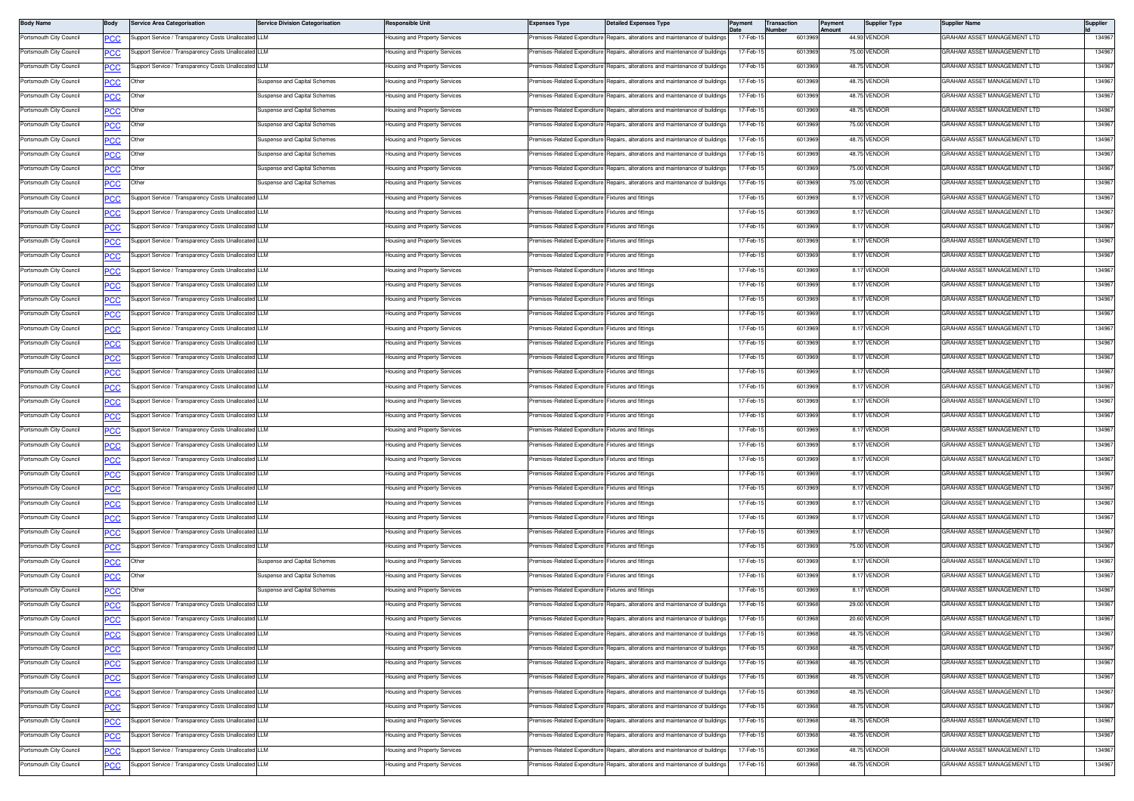| <b>Body Name</b>        | Body             | Service Area Categorisation                          | <b>Service Division Categorisation</b> | Responsible Unit                          | <b>Expenses Type</b>                               | <b>Detailed Expenses Type</b>                                                  | Payment   | Transaction<br>lumber | Payment<br>Amount | <b>Supplier Type</b> | Supplier Name               | Supplier |
|-------------------------|------------------|------------------------------------------------------|----------------------------------------|-------------------------------------------|----------------------------------------------------|--------------------------------------------------------------------------------|-----------|-----------------------|-------------------|----------------------|-----------------------------|----------|
| Portsmouth City Council | PCC              | Support Service / Transparency Costs Unallocated LLM |                                        | lousing and Property Services             | remises-Related Expenditure                        | Repairs, alterations and maintenance of buildings                              | 17-Feb-1  | 6013969               |                   | 44.93 VENDOR         | GRAHAM ASSET MANAGEMENT LTD | 134967   |
| Portsmouth City Council | <u>PCC</u>       | upport Service / Transparency Costs Unallocated LLM  |                                        | <del>l</del> ousing and Property Services | remises-Related Expenditure                        | Repairs, alterations and maintenance of buildings                              | 17-Feb-1  | 6013969               |                   | 75.00 VENDOR         | GRAHAM ASSET MANAGEMENT LTD | 134967   |
| Portsmouth City Council | <b>PCC</b>       | Support Service / Transparency Costs Unallocated LLM |                                        | lousing and Property Services             | Premises-Related Expenditure                       | Repairs, alterations and maintenance of buildings                              | 17-Feb-1  | 6013969               |                   | 48.75 VENDOR         | GRAHAM ASSET MANAGEMENT LTD | 134967   |
| Portsmouth City Council | сC               | Other                                                | Suspense and Capital Schemes           | Housing and Property Services             | remises-Related Expenditure                        | lepairs, alterations and maintenance of building                               | 17-Feb-1  | 6013969               |                   | 48.75 VENDOR         | GRAHAM ASSET MANAGEMENT LTD | 134967   |
| Portsmouth City Council | <u>CC </u>       | Other                                                | Suspense and Capital Schemes           | Housing and Property Services             | remises-Related Expenditure                        | Repairs, alterations and maintenance of buildings                              | 17-Feb-1  | 6013969               |                   | 48.75 VENDOR         | GRAHAM ASSET MANAGEMENT LTD | 134967   |
| Portsmouth City Council | <u>CC </u>       | Other                                                | Suspense and Capital Schemes           | Housing and Property Services             | Premises-Related Expenditure                       | Repairs, alterations and maintenance of buildings                              | 17-Feb-1  | 6013969               |                   | 48.75 VENDOR         | GRAHAM ASSET MANAGEMENT LTD | 134967   |
| Portsmouth City Council | <u>PCC</u>       | Other                                                | Suspense and Capital Schemes           | lousing and Property Services             | Premises-Related Expenditure                       | Repairs, alterations and maintenance of building                               | 17-Feb-   | 6013969               |                   | 75.00 VENDOR         | GRAHAM ASSET MANAGEMENT LTD | 134967   |
| Portsmouth City Council | <u>PCC</u>       | Other                                                | Suspense and Capital Schemes           | Housing and Property Services             |                                                    | Premises-Related Expenditure Repairs, alterations and maintenance of buildings | 17-Feb-1  | 6013969               |                   | 48.75 VENDOR         | GRAHAM ASSET MANAGEMENT LTD | 134967   |
| Portsmouth City Council | сc               | Other                                                | Suspense and Capital Schemes           | Housing and Property Services             | Premises-Related Expenditure                       | Repairs, alterations and maintenance of building:                              | 17-Feb-1  | 601396                |                   | 48.75 VENDOR         | GRAHAM ASSET MANAGEMENT LTD | 134967   |
| Portsmouth City Council | <u>CC</u>        | Other                                                | Suspense and Capital Schemes           | lousing and Property Services             | remises-Related Expenditure                        | Repairs, alterations and maintenance of buildings                              | 17-Feb-1  | 6013969               |                   | 75.00 VENDOR         | GRAHAM ASSET MANAGEMENT LTD | 134967   |
| Portsmouth City Council | $\overline{C}$   | Other                                                | Suspense and Capital Schemes           | Housing and Property Services             | remises-Related Expenditure                        | Repairs, alterations and maintenance of buildings                              | 17-Feb-1  | 6013969               |                   | 75.00 VENDOR         | GRAHAM ASSET MANAGEMENT LTD | 134967   |
| Portsmouth City Council | <u>PCC</u>       | upport Service / Transparency Costs Unallocated LLM  |                                        | lousing and Property Services             | remises-Related Expenditure                        | Fixtures and fittings                                                          | 17-Feb-1  | 601396                |                   | 8.17 VENDOR          | GRAHAM ASSET MANAGEMENT LTD | 134967   |
| Portsmouth City Council | <u>PCC</u>       | upport Service / Transparency Costs Unallocated LLM  |                                        | lousing and Property Services             | remises-Related Expenditure Fixtures and fittings  |                                                                                | 17-Feb-1  | 6013969               |                   | 8.17 VENDOR          | GRAHAM ASSET MANAGEMENT LTD | 134967   |
| Portsmouth City Council | сC               | upport Service / Transparency Costs Unallocated LLM  |                                        | lousing and Property Services             | remises-Related Expenditure                        | Fixtures and fittings                                                          | 17-Feb-1  | 6013969               |                   | 8.17 VENDOR          | GRAHAM ASSET MANAGEMENT LTD | 134967   |
| Portsmouth City Council | $\overline{C}$   | Support Service / Transparency Costs Unallocated LLM |                                        | lousing and Property Services             | remises-Related Expenditure                        | Fixtures and fittings                                                          | 17-Feb-1  | 601396                |                   | 8.17 VENDOR          | GRAHAM ASSET MANAGEMENT LTD | 134967   |
| Portsmouth City Council | <u>PCC</u>       | Support Service / Transparency Costs Unallocated LLM |                                        | Housing and Property Services             | Premises-Related Expenditure Fixtures and fittings |                                                                                | 17-Feb-1  | 6013969               |                   | 8.17 VENDOR          | GRAHAM ASSET MANAGEMENT LTD | 134967   |
| Portsmouth City Council | <u>PCC</u>       | Support Service / Transparency Costs Unallocated LLM |                                        | <del>l</del> ousing and Property Services | remises-Related Expenditure Fixtures and fittings  |                                                                                | 17-Feb-   | 6013969               |                   | 8.17 VENDOR          | GRAHAM ASSET MANAGEMENT LTD | 134967   |
| Portsmouth City Council | <b>PCC</b>       | Support Service / Transparency Costs Unallocated LLM |                                        | Housing and Property Services             | Premises-Related Expenditure Fixtures and fittings |                                                                                | 17-Feb-1  | 6013969               |                   | 8.17 VENDOR          | GRAHAM ASSET MANAGEMENT LTD | 134967   |
| Portsmouth City Council | сC               | upport Service / Transparency Costs Unallocated LLM  |                                        | Housing and Property Services             | Premises-Related Expenditure Fixtures and fittings |                                                                                | 17-Feb-1  | 6013969               |                   | 8.17 VENDOR          | GRAHAM ASSET MANAGEMENT LTD | 134967   |
| Portsmouth City Council | <u>PCC</u>       | Support Service / Transparency Costs Unallocated LLM |                                        | lousing and Property Services             | remises-Related Expenditure                        | Fixtures and fittings                                                          | 17-Feb-1  | 6013969               |                   | 8.17 VENDOR          | GRAHAM ASSET MANAGEMENT LTD | 134967   |
| Portsmouth City Council | <u>CC </u>       | Support Service / Transparency Costs Unallocated LLM |                                        | lousing and Property Services             | Premises-Related Expenditure Fixtures and fittings |                                                                                | 17-Feb-1  | 6013969               |                   | 8.17 VENDOR          | GRAHAM ASSET MANAGEMENT LTD | 134967   |
| Portsmouth City Council | <b>PCC</b>       | Support Service / Transparency Costs Unallocated LLM |                                        | lousing and Property Services             | remises-Related Expenditure                        | Fixtures and fittings                                                          | 17-Feb-1  | 601396                |                   | 8.17 VENDOR          | GRAHAM ASSET MANAGEMENT LTD | 134967   |
| Portsmouth City Council | <u>PCC</u>       | Support Service / Transparency Costs Unallocated LLM |                                        | lousing and Property Services             | remises-Related Expenditure Fixtures and fittings  |                                                                                | 17-Feb-1  | 6013969               |                   | 8.17 VENDOR          | GRAHAM ASSET MANAGEMENT LTD | 134967   |
| Portsmouth City Council | ٥СС              | Support Service / Transparency Costs Unallocated LLM |                                        | Housing and Property Services             | remises-Related Expenditure Fixtures and fittings  |                                                                                | 17-Feb-1  | 6013969               |                   | 8.17 VENDOR          | GRAHAM ASSET MANAGEMENT LTD | 134967   |
| Portsmouth City Council | <u>PCC</u>       | Support Service / Transparency Costs Unallocated LLM |                                        | lousing and Property Services             | remises-Related Expenditure                        | Fixtures and fittings                                                          | 17-Feb-1  | 601396                |                   | 8.17 VENDOR          | GRAHAM ASSET MANAGEMENT LTD | 134967   |
| Portsmouth City Council | <u>PCC</u>       | Support Service / Transparency Costs Unallocated LLM |                                        | Housing and Property Services             | Premises-Related Expenditure Fixtures and fittings |                                                                                | 17-Feb-1  | 6013969               |                   | 8.17 VENDOR          | GRAHAM ASSET MANAGEMENT LTD | 134967   |
| Portsmouth City Council | <u>PCC</u>       | Support Service / Transparency Costs Unallocated LLM |                                        | <del>l</del> ousing and Property Services | remises-Related Expenditure Fixtures and fittings  |                                                                                | 17-Feb-1  | 601396                |                   | 8.17 VENDOR          | GRAHAM ASSET MANAGEMENT LTD | 134967   |
| Portsmouth City Council | <b>PCC</b>       | Support Service / Transparency Costs Unallocated LLM |                                        | Housing and Property Services             | Premises-Related Expenditure Fixtures and fittings |                                                                                | 17-Feb-1  | 6013969               |                   | 8.17 VENDOR          | GRAHAM ASSET MANAGEMENT LTD | 134967   |
| Portsmouth City Council | PСC              | Support Service / Transparency Costs Unallocated LLM |                                        | Housing and Property Services             | Premises-Related Expenditure Fixtures and fittings |                                                                                | 17-Feb-1  | 6013969               |                   | 8.17 VENDOR          | GRAHAM ASSET MANAGEMENT LTD | 134967   |
| Portsmouth City Council | PСC              | Support Service / Transparency Costs Unallocated LLM |                                        | lousing and Property Services             | remises-Related Expenditure                        | Fixtures and fittings                                                          | 17-Feb-1  | 601396                |                   | 8.17 VENDOR          | GRAHAM ASSET MANAGEMENT LTD | 134967   |
| Portsmouth City Council | <u>CC </u>       | Support Service / Transparency Costs Unallocated LLM |                                        | lousing and Property Services             | Premises-Related Expenditure Fixtures and fittings |                                                                                | 17-Feb-1  | 6013969               |                   | -8.17 VENDOR         | GRAHAM ASSET MANAGEMENT LTD | 134967   |
| Portsmouth City Council | <b>PCC</b>       | Support Service / Transparency Costs Unallocated LLM |                                        | lousing and Property Services             | remises-Related Expenditure                        | Fixtures and fittings                                                          | 17-Feb-1  | 601396                |                   | 8.17 VENDOR          | GRAHAM ASSET MANAGEMENT LTD | 134967   |
| Portsmouth City Council | <b>PCC</b>       | Support Service / Transparency Costs Unallocated LLM |                                        | Housing and Property Services             | Premises-Related Expenditure Fixtures and fittings |                                                                                | 17-Feb-1  | 6013969               |                   | 8.17 VENDOR          | GRAHAM ASSET MANAGEMENT LTD | 134967   |
| Portsmouth City Council | ٥СС              | Support Service / Transparency Costs Unallocated LLM |                                        | Housing and Property Services             | Premises-Related Expenditure Fixtures and fittings |                                                                                | 17-Feb-1  | 6013969               |                   | 8.17 VENDOR          | GRAHAM ASSET MANAGEMENT LTD | 134967   |
| Portsmouth City Council | PСC              | Support Service / Transparency Costs Unallocated LLM |                                        | lousing and Property Services             | remises-Related Expenditure                        | Fixtures and fittings                                                          | 17-Feb-1  | 601396                |                   | 8.17 VENDOR          | GRAHAM ASSET MANAGEMENT LTD | 134967   |
| Portsmouth City Council |                  | Support Service / Transparency Costs Unallocated LLM |                                        | Housing and Property Services             | Premises-Related Expenditure Fixtures and fittings |                                                                                | 17-Feb-1  | 6013969               |                   | 75.00 VENDOR         | GRAHAM ASSET MANAGEMENT LTD | 134967   |
| Portsmouth City Council | <u>PCC</u>       | Jther                                                | Suspense and Capital Schemes           | lousing and Property Services             | remises-Related Expenditure Fixtures and fittings  |                                                                                | 17-Feb-1  | 601396                |                   | 8.17 VENDOR          | GRAHAM ASSET MANAGEMENT LTD | 134967   |
| Portsmouth City Council | <b>PCC</b>       | Other                                                | Suspense and Capital Schemes           | lousing and Property Services             | Premises-Related Expenditure Fixtures and fittings |                                                                                | 17-Feb-1  | 6013969               |                   | 8.17 VENDOR          | GRAHAM ASSET MANAGEMENT LTD | 134967   |
| Portsmouth City Council |                  | Other                                                | Suspense and Capital Schemes           | Housing and Property Services             | remises-Related Expenditure                        | Fixtures and fittings                                                          | 17-Feb-1  | 601396                |                   | 8.17 VENDOR          | GRAHAM ASSET MANAGEMENT LTD | 134967   |
| Portsmouth City Council | PСC              | Support Service / Transparency Costs Unallocated LLM |                                        | lousing and Property Services             | remises-Related Expenditure                        | Repairs, alterations and maintenance of buildings                              | 17-Feb-1  | 6013968               |                   | 29.00 VENDOR         | GRAHAM ASSET MANAGEMENT LTD | 134967   |
| Portsmouth City Council | <b>PCC</b>       | Support Service / Transparency Costs Unallocated LLM |                                        | Housing and Property Services             |                                                    | Premises-Related Expenditure Repairs, alterations and maintenance of buildings | 17-Feb-1  | 6013968               |                   | 20.60 VENDOR         | GRAHAM ASSET MANAGEMENT LTD | 134967   |
| Portsmouth City Council | <b>PCC</b>       | upport Service / Transparency Costs Unallocated LLM  |                                        | lousing and Property Services             | Premises-Related Expenditure                       | Repairs, alterations and maintenance of buildings                              | 17-Feb-1  | 6013968               |                   | 48.75 VENDOR         | GRAHAM ASSET MANAGEMENT LTD | 134967   |
| Portsmouth City Council | <b>PCC</b>       | Support Service / Transparency Costs Unallocated LLM |                                        | lousing and Property Services             |                                                    | Premises-Related Expenditure Repairs, alterations and maintenance of buildings | 17-Feb-1  | 6013968               |                   | 48.75 VENDOR         | GRAHAM ASSET MANAGEMENT LTD | 134967   |
| Portsmouth City Council | $\overline{PCC}$ | Support Service / Transparency Costs Unallocated LLM |                                        | Housing and Property Services             |                                                    | Premises-Related Expenditure Repairs, alterations and maintenance of buildings | 17-Feb-1  | 6013968               |                   | 48.75 VENDOR         | GRAHAM ASSET MANAGEMENT LTD | 134967   |
| Portsmouth City Council | PCC              | Support Service / Transparency Costs Unallocated LLM |                                        | lousing and Property Services             | Premises-Related Expenditure                       | Repairs, alterations and maintenance of buildings                              | 17-Feb-1  | 6013968               |                   | 48.75 VENDOR         | GRAHAM ASSET MANAGEMENT LTD | 134967   |
| Portsmouth City Council | <u>PCC</u>       | Support Service / Transparency Costs Unallocated LLM |                                        | lousing and Property Services             |                                                    | Premises-Related Expenditure Repairs, alterations and maintenance of buildings | 17-Feb-1  | 6013968               |                   | 48.75 VENDOR         | GRAHAM ASSET MANAGEMENT LTD | 134967   |
| Portsmouth City Council | <b>PCC</b>       | upport Service / Transparency Costs Unallocated LLM  |                                        | lousing and Property Services             | remises-Related Expenditure                        | Repairs, alterations and maintenance of buildings                              | 17-Feb-1  | 6013968               |                   | 48.75 VENDOR         | GRAHAM ASSET MANAGEMENT LTD | 134967   |
| Portsmouth City Council | <b>PCC</b>       | upport Service / Transparency Costs Unallocated LLM  |                                        | lousing and Property Services             | remises-Related Expenditure                        | Repairs, alterations and maintenance of buildings                              | 17-Feb-15 | 6013968               |                   | 48.75 VENDOR         | GRAHAM ASSET MANAGEMENT LTD | 134967   |
| Portsmouth City Council | PСC              | upport Service / Transparency Costs Unallocated LLM  |                                        | lousing and Property Services             | remises-Related Expenditure                        | lepairs, alterations and maintenance of buildings                              | 17-Feb-1  | 6013968               |                   | 48.75 VENDOR         | GRAHAM ASSET MANAGEMENT LTD | 134967   |
| Portsmouth City Council | <b>PCC</b>       | Support Service / Transparency Costs Unallocated LLM |                                        | lousing and Property Services             | remises-Related Expenditure                        | Repairs, alterations and maintenance of buildings                              | 17-Feb-1  | 6013968               |                   | 48.75 VENDOR         | GRAHAM ASSET MANAGEMENT LTD | 134967   |
| Portsmouth City Council | <u>PCC</u>       | Support Service / Transparency Costs Unallocated LLM |                                        | Housing and Property Services             |                                                    | remises-Related Expenditure Repairs, alterations and maintenance of buildings  | 17-Feb-1  | 6013968               |                   | 48.75 VENDOR         | GRAHAM ASSET MANAGEMENT LTD | 134967   |
|                         |                  |                                                      |                                        |                                           |                                                    |                                                                                |           |                       |                   |                      |                             |          |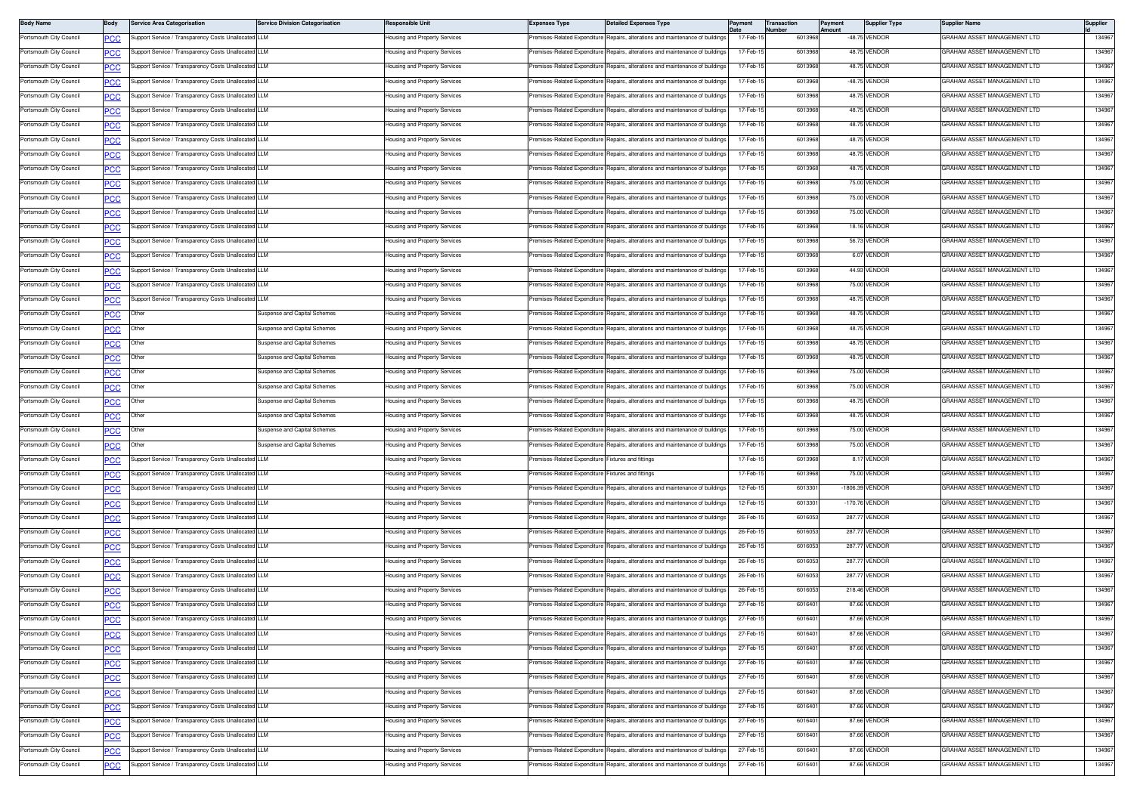| <b>Body Name</b>                                   | Body                     | Service Area Categorisation                          | <b>Service Division Categorisation</b> | Responsible Unit                                               | <b>Expenses Type</b>                               | <b>Detailed Expenses Type</b>                                                                                                       | Payment              | <b>Transaction</b><br>lumber | ayment<br>mount | <b>Supplier Type</b>         | Supplier Name               | Supplier         |
|----------------------------------------------------|--------------------------|------------------------------------------------------|----------------------------------------|----------------------------------------------------------------|----------------------------------------------------|-------------------------------------------------------------------------------------------------------------------------------------|----------------------|------------------------------|-----------------|------------------------------|-----------------------------|------------------|
| Portsmouth City Council                            | ∍сс                      | upport Service / Transparency Costs Unallocated LLM  |                                        | lousing and Property Services                                  | remises-Related Expenditure                        | Repairs, alterations and maintenance of buildings                                                                                   | 17-Feb-1             | 601396                       |                 | -48.75 VENDOR                | GRAHAM ASSET MANAGEMENT LTD | 134967           |
| Portsmouth City Council                            | <u>PCC</u>               | upport Service / Transparency Costs Unallocated LLM  |                                        | lousing and Property Services                                  | remises-Related Expenditure                        | Repairs, alterations and maintenance of buildings                                                                                   | 17-Feb-1             | 601396                       |                 | 48.75 VENDOR                 | GRAHAM ASSET MANAGEMENT LTD | 134967           |
| Portsmouth City Council                            | <b>PCC</b>               | Support Service / Transparency Costs Unallocated LLM |                                        | lousing and Property Services                                  | remises-Related Expenditure                        | Repairs, alterations and maintenance of buildings                                                                                   | 17-Feb-1             | 601396                       |                 | 48.75 VENDOR                 | GRAHAM ASSET MANAGEMENT LTD | 134967           |
| Portsmouth City Council                            | сC                       | upport Service / Transparency Costs Unallocated LLM  |                                        | lousing and Property Services                                  | remises-Related Expenditure                        | Repairs, alterations and maintenance of building                                                                                    | 17-Feb-1             | 601396                       |                 | -48.75 VENDOR                | GRAHAM ASSET MANAGEMENT LTD | 134967           |
| Portsmouth City Council                            | <u>PCC</u>               | upport Service / Transparency Costs Unallocated LLM  |                                        | lousing and Property Services                                  | remises-Related Expenditure                        | Repairs, alterations and maintenance of buildings                                                                                   | 17-Feb-1             | 601396                       |                 | 48.75 VENDOR                 | GRAHAM ASSET MANAGEMENT LTD | 134967           |
| Portsmouth City Council                            | <u>PCC</u>               | Support Service / Transparency Costs Unallocated LLM |                                        | lousing and Property Services                                  | Premises-Related Expenditure                       | Repairs, alterations and maintenance of buildings                                                                                   | 17-Feb-1             | 601396                       |                 | 48.75 VENDOR                 | GRAHAM ASSET MANAGEMENT LTD | 134967           |
| Portsmouth City Council                            | <u>PCC</u>               | Support Service / Transparency Costs Unallocated LLM |                                        | lousing and Property Services                                  | remises-Related Expenditure                        | Repairs, alterations and maintenance of building                                                                                    | 17-Feb-1             | 601396                       |                 | 48.75 VENDOF                 | GRAHAM ASSET MANAGEMENT LTD | 134967           |
| Portsmouth City Council                            | <b>PCC</b>               | Support Service / Transparency Costs Unallocated LLM |                                        | lousing and Property Services                                  |                                                    | Premises-Related Expenditure Repairs, alterations and maintenance of buildings                                                      | 17-Feb-1             | 601396                       |                 | 48.75 VENDOR                 | GRAHAM ASSET MANAGEMENT LTD | 134967           |
| Portsmouth City Council                            | PСC                      | upport Service / Transparency Costs Unallocated LLM  |                                        | lousing and Property Services                                  | remises-Related Expenditure                        | Repairs, alterations and maintenance of building                                                                                    | 17-Feb-1             | 601396                       |                 | 48.75 VENDOR                 | GRAHAM ASSET MANAGEMENT LTD | 134967           |
| Portsmouth City Council                            | <b>PCC</b>               | Support Service / Transparency Costs Unallocated LLM |                                        | lousing and Property Services                                  | emises-Related Expenditure                         | Repairs, alterations and maintenance of buildings                                                                                   | 17-Feb-1             | 601396                       |                 | 48.75 VENDOR                 | GRAHAM ASSET MANAGEMENT LTD | 134967           |
| Portsmouth City Council                            | <u>PCC</u>               | upport Service / Transparency Costs Unallocated LLM  |                                        | lousing and Property Services                                  | remises-Related Expenditure                        | Repairs, alterations and maintenance of buildings                                                                                   | 17-Feb-1             | 601396                       |                 | 75.00 VENDOR                 | GRAHAM ASSET MANAGEMENT LTD | 134967           |
| Portsmouth City Council                            | <b>PCC</b>               | Support Service / Transparency Costs Unallocated LLM |                                        | lousing and Property Services                                  | remises-Related Expenditure                        | Renairs, alterations and maintenance of buildings                                                                                   | 17-Feb-1             | 601396                       |                 | 75.00 VENDOR                 | GRAHAM ASSET MANAGEMENT LTD | 134967           |
| Portsmouth City Council                            | <b>PCC</b>               | Support Service / Transparency Costs Unallocated LLM |                                        | lousing and Property Services                                  | remises-Related Expenditure                        | Repairs, alterations and maintenance of buildings                                                                                   | 17-Feb-1             | 601396                       |                 | 75.00 VENDOR                 | GRAHAM ASSET MANAGEMENT LTD | 134967           |
| Portsmouth City Council                            | PСC                      | upport Service / Transparency Costs Unallocated LLM  |                                        | lousing and Property Services                                  | remises-Related Expenditure                        | Repairs, alterations and maintenance of buildings                                                                                   | 17-Feb-1             | 601396                       |                 | 18.16 VENDOR                 | GRAHAM ASSET MANAGEMENT LTD | 134967           |
| Portsmouth City Council                            | <b>PCC</b>               | Support Service / Transparency Costs Unallocated LLM |                                        | lousing and Property Services                                  | remises-Related Expenditure                        | Repairs, alterations and maintenance of buildings                                                                                   | 17-Feb-1             | 601396                       |                 | 56.73 VENDOR                 | GRAHAM ASSET MANAGEMENT LTD | 134967           |
| Portsmouth City Council                            | <b>PCC</b>               | Support Service / Transparency Costs Unallocated LLM |                                        | lousing and Property Services                                  | Premises-Related Expenditure                       | Repairs, alterations and maintenance of buildings                                                                                   | 17-Feb-1             | 601396                       |                 | 6.07 VENDOR                  | GRAHAM ASSET MANAGEMENT LTD | 134967           |
| Portsmouth City Council                            | <b>PCC</b>               | upport Service / Transparency Costs Unallocated LLM  |                                        | lousing and Property Services                                  | remises-Related Expenditure                        | Repairs, alterations and maintenance of building                                                                                    | 17-Feb-1             | 601396                       |                 | 44.93 VENDOF                 | GRAHAM ASSET MANAGEMENT LTD | 134967           |
| Portsmouth City Council                            | <b>PCC</b>               | Support Service / Transparency Costs Unallocated LLM |                                        | lousing and Property Services                                  | Premises-Related Expenditure                       | Repairs, alterations and maintenance of buildings                                                                                   | 17-Feb-1             | 601396                       |                 | 75.00 VENDOR                 | GRAHAM ASSET MANAGEMENT LTD | 134967           |
| Portsmouth City Council                            | PСC                      | Support Service / Transparency Costs Unallocated LLM |                                        | lousing and Property Services                                  | remises-Related Expenditure                        | Repairs, alterations and maintenance of building                                                                                    | 17-Feb-1             | 601396                       |                 | 48.75 VENDOR                 | GRAHAM ASSET MANAGEMENT LTD | 134967           |
| Portsmouth City Council                            | <u>PCC</u>               | Other                                                | Suspense and Capital Schemes           | lousing and Property Services                                  | remises-Related Expenditure                        | Repairs, alterations and maintenance of buildings                                                                                   | 17-Feb-1             | 601396                       |                 | 48.75 VENDOR                 | GRAHAM ASSET MANAGEMENT LTD | 13496            |
| Portsmouth City Council                            | <u>PCC</u>               | Other                                                | Suspense and Capital Schemes           | lousing and Property Services                                  | remises-Related Expenditure                        | Renairs, alterations and maintenance of buildings                                                                                   | 17-Feb-1             | 601396                       |                 | 48.75 VENDOR                 | GRAHAM ASSET MANAGEMENT LTD | 134967           |
| Portsmouth City Council                            | <u>PCC</u>               | Other                                                | Suspense and Capital Schemes           | lousing and Property Services                                  | remises-Related Expenditure                        | Repairs, alterations and maintenance of building                                                                                    | 17-Feb-1             | 601396                       |                 | 48.75 VENDOF                 | GRAHAM ASSET MANAGEMENT LTD | 13496            |
| Portsmouth City Council                            | <b>PCC</b>               | Other                                                | Suspense and Capital Schemes           | lousing and Property Services                                  | remises-Related Expenditure                        | Repairs, alterations and maintenance of buildings                                                                                   | 17-Feb-1             | 601396                       |                 | 48.75 VENDOR                 | GRAHAM ASSET MANAGEMENT LTD | 134967           |
| Portsmouth City Council                            | PСC                      | Other                                                | Suspense and Capital Schemes           | lousing and Property Services                                  | remises-Related Expenditure                        | Repairs, alterations and maintenance of buildings                                                                                   | 17-Feb-1             | 601396                       |                 | 75.00 VENDOR                 | GRAHAM ASSET MANAGEMENT LTD | 134967           |
| Portsmouth City Council                            | <u>PCC</u>               | Other                                                | Suspense and Capital Schemes           | lousing and Property Services                                  | remises-Related Expenditure                        | Repairs, alterations and maintenance of buildings                                                                                   | 17-Feb-1             | 601396                       |                 | 75.00 VENDOR                 | GRAHAM ASSET MANAGEMENT LTD | 134967           |
| Portsmouth City Council                            | <u>CC </u>               | Other                                                | Suspense and Capital Schemes           | lousing and Property Services                                  | Premises-Related Expenditure                       | Repairs, alterations and maintenance of buildings                                                                                   | 17-Feb-1             | 601396                       |                 | 48.75 VENDOR                 | GRAHAM ASSET MANAGEMENT LTD | 134967           |
| Portsmouth City Council                            | <b>PCC</b>               | Other                                                | Suspense and Capital Schemes           | lousing and Property Services                                  | Premises-Related Expenditure                       | Repairs, alterations and maintenance of building                                                                                    | 17-Feb-1             | 601396                       |                 | 48.75 VENDOR                 | GRAHAM ASSET MANAGEMENT LTD | 134967           |
| Portsmouth City Council                            | <u>PCC</u>               | Other                                                | Suspense and Capital Schemes           | lousing and Property Services                                  |                                                    | Premises-Related Expenditure Repairs, alterations and maintenance of buildings                                                      | 17-Feb-1             | 601396                       |                 | 75.00 VENDOR                 | GRAHAM ASSET MANAGEMENT LTD | 134967           |
| Portsmouth City Council                            | сc                       | Other                                                | Suspense and Capital Schemes           | Housing and Property Services                                  |                                                    | Premises-Related Expenditure Repairs, alterations and maintenance of building                                                       | 17-Feb-1             | 601396                       |                 | 75.00 VENDOR                 | GRAHAM ASSET MANAGEMENT LTD | 134967           |
| Portsmouth City Council                            | ∍сс                      | Support Service / Transparency Costs Unallocated LLM |                                        | lousing and Property Services                                  | Premises-Related Expenditure                       | Fixtures and fittings                                                                                                               | 17-Feb-1             | 601396                       |                 | 8.17 VENDOR                  | GRAHAM ASSET MANAGEMENT LTD | 134967           |
| Portsmouth City Council                            | <b>PCC</b>               | Support Service / Transparency Costs Unallocated LLM |                                        | lousing and Property Services                                  | Premises-Related Expenditure Fixtures and fittings |                                                                                                                                     | 17-Feb-1             | 601396                       |                 | 75.00 VENDOR                 | GRAHAM ASSET MANAGEMENT LTD | 134967           |
| Portsmouth City Council                            | <b>PCC</b>               | upport Service / Transparency Costs Unallocated LLM  |                                        | lousing and Property Services                                  | remises-Related Expenditure                        | Repairs, alterations and maintenance of building                                                                                    | 12-Feb-1             | 601330                       |                 | -1806.39 VENDOR              | GRAHAM ASSET MANAGEMENT LTD | 134967           |
| Portsmouth City Council                            | <u>PCC</u>               | Support Service / Transparency Costs Unallocated LLM |                                        | lousing and Property Services                                  | remises-Related Expenditure                        | Repairs, alterations and maintenance of buildings                                                                                   | 12-Feb-1             | 601330                       |                 | -170.76 VENDOR               | GRAHAM ASSET MANAGEMENT LTD | 134967           |
| Portsmouth City Council                            | ٥СС                      | upport Service / Transparency Costs Unallocated LLM  |                                        | lousing and Property Services                                  | remises-Related Expenditure                        | Repairs, alterations and maintenance of building                                                                                    | 26-Feb-1             | 601605                       |                 | 287.77 VENDOR                | GRAHAM ASSET MANAGEMENT LTD | 134967           |
| Portsmouth City Council                            | PCC                      | Support Service / Transparency Costs Unallocated LLM |                                        | lousing and Property Services                                  | remises-Related Expenditure                        | Repairs, alterations and maintenance of buildings                                                                                   | 26-Feb-1             | 601605                       |                 | 287.77 VENDOR                | GRAHAM ASSET MANAGEMENT LTD | 13496            |
| Portsmouth City Council                            | <u>PCC</u>               | Support Service / Transparency Costs Unallocated LLM |                                        | lousing and Property Services                                  | Premises-Related Expenditure                       | Renairs, alterations and maintenance of buildings                                                                                   | 26-Feb-1             | 601605                       |                 | 287.77 VENDOR                | GRAHAM ASSET MANAGEMENT LTD | 134967           |
| Portsmouth City Council                            |                          | Support Service / Transparency Costs Unallocated LLM |                                        | lousing and Property Services                                  | remises-Related Expenditure                        | Repairs, alterations and maintenance of building                                                                                    | 26-Feb-1             | 601605                       |                 | 287.77 VENDOR                | GRAHAM ASSET MANAGEMENT LTD | 13496            |
| Portsmouth City Council                            | <u>PCC</u><br><b>PCC</b> | Support Service / Transparency Costs Unallocated LLM |                                        | lousing and Property Services                                  | Premises-Related Expenditure                       | Repairs, alterations and maintenance of buildings                                                                                   | 26-Feb-1             | 601605                       |                 | 287.77 VENDOR                | GRAHAM ASSET MANAGEMENT LTD | 134967           |
| Portsmouth City Council                            |                          | upport Service / Transparency Costs Unallocated LLM  |                                        | lousing and Property Services                                  | remises-Related Expenditure                        | Repairs, alterations and maintenance of building                                                                                    | 26-Feb-1             | 601605                       |                 | 218.46 VENDOR                | GRAHAM ASSET MANAGEMENT LTD | 134967           |
| Portsmouth City Council                            |                          | Support Service / Transparency Costs Unallocated LLM |                                        | lousing and Property Services                                  | remises-Related Expenditure                        | Repairs, alterations and maintenance of buildings                                                                                   | 27-Feb-1             | 601640                       |                 | 87.66 VENDOR                 | GRAHAM ASSET MANAGEMENT LTD | 134967           |
| Portsmouth City Council                            | PCC<br><b>PCC</b>        | Support Service / Transparency Costs Unallocated LLM |                                        | Housing and Property Services                                  |                                                    | Premises-Related Expenditure Repairs, alterations and maintenance of buildings                                                      | 27-Feb-15            | 6016401                      |                 | 87.66 VENDOR                 | GRAHAM ASSET MANAGEMENT LTD | 134967           |
| Portsmouth City Council                            |                          | Support Service / Transparency Costs Unallocated LLM |                                        | lousing and Property Services                                  | remises-Related Expenditure                        | Repairs, alterations and maintenance of buildings                                                                                   | 27-Feb-1             | 601640                       |                 | 87.66 VENDOR                 | GRAHAM ASSET MANAGEMENT LTD | 134967           |
| Portsmouth City Council                            | <b>PCC</b>               | Support Service / Transparency Costs Unallocated LLM |                                        | lousing and Property Services                                  |                                                    | remises-Related Expenditure Repairs, alterations and maintenance of buildings                                                       | 27-Feb-1             | 601640                       |                 | 87.66 VENDOR                 | GRAHAM ASSET MANAGEMENT LTD | 134967           |
| Portsmouth City Council                            | <b>PCC</b>               |                                                      |                                        |                                                                |                                                    | remises-Related Expenditure Repairs, alterations and maintenance of buildings                                                       | 27-Feb-1             | 601640                       |                 | 87.66 VENDOR                 | GRAHAM ASSET MANAGEMENT LTD | 134967           |
| Portsmouth City Council                            | $\overline{PCC}$         | upport Service / Transparency Costs Unallocated LLM  |                                        | Housing and Property Services<br>lousing and Property Services | Premises-Related Expenditure                       | Repairs, alterations and maintenance of buildings                                                                                   |                      |                              |                 | 87.66 VENDOR                 | GRAHAM ASSET MANAGEMENT LTD |                  |
|                                                    | PCC                      | Support Service / Transparency Costs Unallocated LLM |                                        |                                                                |                                                    |                                                                                                                                     | 27-Feb-1             | 601640                       |                 |                              | GRAHAM ASSET MANAGEMENT LTD | 134967           |
| Portsmouth City Council<br>Portsmouth City Council | <u>PCC</u>               | Support Service / Transparency Costs Unallocated LLM |                                        | lousing and Property Services                                  | remises-Related Expenditure                        | Premises-Related Expenditure Repairs, alterations and maintenance of buildings<br>Repairs, alterations and maintenance of buildings | 27-Feb-1<br>27-Feb-1 | 601640<br>601640             |                 | 87.66 VENDOR<br>87.66 VENDOR | GRAHAM ASSET MANAGEMENT LTD | 134967<br>134967 |
|                                                    | <b>PCC</b>               | Support Service / Transparency Costs Unallocated LLM |                                        | lousing and Property Services<br>lousing and Property Services |                                                    |                                                                                                                                     | 27-Feb-1             | 601640                       |                 | 87.66 VENDOR                 |                             | 134967           |
| Portsmouth City Council                            | <b>PCC</b>               | Support Service / Transparency Costs Unallocated LLM |                                        |                                                                | remises-Related Expenditure                        | Repairs, alterations and maintenance of buildings                                                                                   |                      |                              |                 |                              | GRAHAM ASSET MANAGEMENT LTD |                  |
| Portsmouth City Council                            | PСC                      | upport Service / Transparency Costs Unallocated LLM  |                                        | lousing and Property Services                                  | remises-Related Expenditure                        | Repairs, alterations and maintenance of buildings                                                                                   | 27-Feb-15            | 601640                       |                 | 87.66 VENDOR                 | GRAHAM ASSET MANAGEMENT LTD | 134967           |
| Portsmouth City Council                            | <b>PCC</b>               | Support Service / Transparency Costs Unallocated LLM |                                        | lousing and Property Services                                  | remises-Related Expenditure                        | Repairs, alterations and maintenance of buildings                                                                                   | 27-Feb-1             | 601640                       |                 | 87.66 VENDOR                 | GRAHAM ASSET MANAGEMENT LTD | 134967           |
| Portsmouth City Council                            | <u>PCC</u>               | Support Service / Transparency Costs Unallocated LLM |                                        | lousing and Property Services                                  | remises-Related Expenditure                        | Repairs, alterations and maintenance of buildings                                                                                   | 27-Feb-1             | 601640                       |                 | 87.66 VENDOR                 | GRAHAM ASSET MANAGEMENT LTD | 134967           |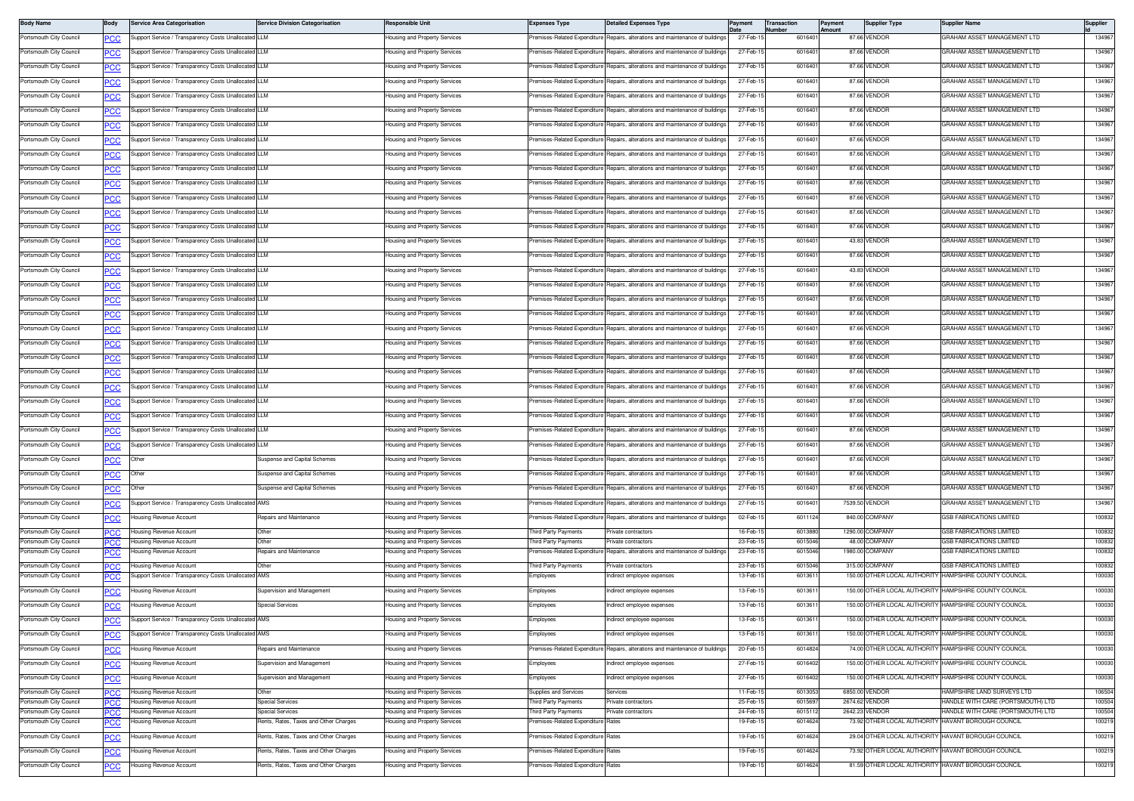| <b>Body Name</b>                                   | Body              | <b>Service Area Categorisation</b>                   | <b>Service Division Categorisation</b> | Responsible Unit                                               | <b>Expenses Type</b>                       | <b>Detailed Expenses Type</b>                                                  |                      | Transaction<br>lumber | ayment<br>mount | <b>Supplier Type</b>             | <b>Supplier Name</b>                                               | Supplier         |
|----------------------------------------------------|-------------------|------------------------------------------------------|----------------------------------------|----------------------------------------------------------------|--------------------------------------------|--------------------------------------------------------------------------------|----------------------|-----------------------|-----------------|----------------------------------|--------------------------------------------------------------------|------------------|
| Portsmouth City Council                            | PСC               | upport Service / Transparency Costs Unallocated LLM  |                                        | lousing and Property Services                                  |                                            | remises-Related Expenditure Repairs, alterations and maintenance of buildings  | 27-Feb-1             | 601640                |                 | 87.66 VENDOR                     | GRAHAM ASSET MANAGEMENT LTD                                        | 134967           |
| Portsmouth City Council                            | <u>PCC</u>        | Support Service / Transparency Costs Unallocated LLM |                                        | lousing and Property Services                                  | remises-Related Expenditure                | Repairs, alterations and maintenance of buildings                              | 27-Feb-1             | 601640                |                 | 87.66 VENDOR                     | GRAHAM ASSET MANAGEMENT LTD                                        | 134967           |
| Portsmouth City Council                            | <b>PCC</b>        | Support Service / Transparency Costs Unallocated LLM |                                        | lousing and Property Services                                  | remises-Related Expenditure                | Renairs, alterations and maintenance of buildings                              | 27-Feb-1             | 601640                |                 | 87.66 VENDOR                     | GRAHAM ASSET MANAGEMENT LTD                                        | 134967           |
| Portsmouth City Council                            | PCC               | Support Service / Transparency Costs Unallocated LLM |                                        | lousing and Property Services                                  | Premises-Related Expenditure               | Repairs, alterations and maintenance of building                               | 27-Feb-1             | 601640                |                 | 87.66 VENDOR                     | GRAHAM ASSET MANAGEMENT LTD                                        | 13496            |
| Portsmouth City Council                            | <b>PCC</b>        | upport Service / Transparency Costs Unallocated LLM  |                                        | Housing and Property Services                                  | remises-Related Expenditure                | Repairs, alterations and maintenance of buildings                              | 27-Feb-1             | 601640                |                 | 87.66 VENDOR                     | GRAHAM ASSET MANAGEMENT LTD                                        | 134967           |
| Portsmouth City Council                            | <b>PCC</b>        | upport Service / Transparency Costs Unallocated LLM  |                                        | lousing and Property Services                                  | remises-Related Expenditure                | Repairs, alterations and maintenance of buildings                              | 27-Feb-1             | 601640                |                 | 87.66 VENDOR                     | GRAHAM ASSET MANAGEMENT LTD                                        | 134967           |
| Portsmouth City Council                            | <u>PCC</u>        | Support Service / Transparency Costs Unallocated LLM |                                        | lousing and Property Services                                  | remises-Related Expenditure                | Repairs, alterations and maintenance of buildings                              | 27-Feb-1             | 601640                |                 | 87.66 VENDOR                     | GRAHAM ASSET MANAGEMENT LTD                                        | 134967           |
| Portsmouth City Council                            | <u>CC</u>         | Support Service / Transparency Costs Unallocated LLM |                                        | lousing and Property Services                                  | remises-Related Expenditure                | Repairs, alterations and maintenance of buildings                              | 27-Feb-1             | 601640                |                 | 87.66 VENDOR                     | GRAHAM ASSET MANAGEMENT LTD                                        | 134967           |
| Portsmouth City Council                            | PCC               | Support Service / Transparency Costs Unallocated LLM |                                        | lousing and Property Services                                  | remises-Related Expenditure                | Repairs, alterations and maintenance of building                               | 27-Feb-1             | 601640                |                 | 87.66 VENDOR                     | GRAHAM ASSET MANAGEMENT LTD                                        | 13496            |
| Portsmouth City Council                            | <b>PCC</b>        | Support Service / Transparency Costs Unallocated LLM |                                        | Housing and Property Services                                  | Premises-Related Expenditure               | Repairs, alterations and maintenance of buildings                              | 27-Feb-15            | 601640                |                 | 87.66 VENDOR                     | GRAHAM ASSET MANAGEMENT LTD                                        | 134967           |
| Portsmouth City Council                            | <b>PCC</b>        | upport Service / Transparency Costs Unallocated LLM  |                                        | lousing and Property Services                                  | remises-Related Expenditure                | Repairs, alterations and maintenance of building                               | 27-Feb-1             | 601640                |                 | 87.66 VENDOR                     | GRAHAM ASSET MANAGEMENT LTD                                        | 134967           |
| Portsmouth City Council                            |                   | Support Service / Transparency Costs Unallocated LLM |                                        | lousing and Property Services                                  | remises-Related Expenditure                | Repairs, alterations and maintenance of buildings                              | 27-Feb-1             | 601640                |                 | 87.66 VENDOR                     | <b>GRAHAM ASSET MANAGEMENT LTD</b>                                 | 134967           |
| Portsmouth City Council                            | <b>PCC</b>        | Support Service / Transparency Costs Unallocated LLM |                                        | lousing and Property Services                                  | remises-Related Expenditure                | Repairs, alterations and maintenance of buildings                              | 27-Feb-1             | 601640                |                 | 87.66 VENDOR                     | GRAHAM ASSET MANAGEMENT LTD                                        | 134967           |
|                                                    | <u>CC</u>         |                                                      |                                        |                                                                |                                            |                                                                                |                      |                       |                 |                                  |                                                                    |                  |
| Portsmouth City Council                            | PCC               | upport Service / Transparency Costs Unallocated LLM  |                                        | lousing and Property Services                                  | remises-Related Expenditure                | Repairs, alterations and maintenance of building                               | 27-Feb-1             | 601640                |                 | 87.66 VENDOF                     | GRAHAM ASSET MANAGEMENT LTD                                        | 13496            |
| Portsmouth City Council                            | <b>PCC</b>        | Support Service / Transparency Costs Unallocated LLM |                                        | Housing and Property Services                                  | Premises-Related Expenditure               | Repairs, alterations and maintenance of buildings                              | 27-Feb-15            | 601640                |                 | 43.83 VENDOR                     | GRAHAM ASSET MANAGEMENT LTD                                        | 134967           |
| Portsmouth City Council                            | <b>PCC</b>        | upport Service / Transparency Costs Unallocated LLM  |                                        | lousing and Property Services                                  | remises-Related Expenditure                | Repairs, alterations and maintenance of buildings                              | 27-Feb-1             | 601640                |                 | 87.66 VENDOR                     | GRAHAM ASSET MANAGEMENT LTD                                        | 134967           |
| Portsmouth City Council                            | <u>PCC</u>        | Support Service / Transparency Costs Unallocated LLM |                                        | lousing and Property Services                                  | Premises-Related Expenditure               | Repairs, alterations and maintenance of buildings                              | 27-Feb-1             | 601640                |                 | 43.83 VENDOR                     | GRAHAM ASSET MANAGEMENT LTD                                        | 134967           |
| Portsmouth City Council                            | <b>PCC</b>        | Support Service / Transparency Costs Unallocated LLM |                                        | lousing and Property Services                                  | remises-Related Expenditure                | Renairs, alterations and maintenance of buildings                              | 27-Feb-1             | 601640                |                 | 87.66 VENDOR                     | GRAHAM ASSET MANAGEMENT LTD                                        | 134967           |
| Portsmouth City Council                            | PCC               | Support Service / Transparency Costs Unallocated LLM |                                        | lousing and Property Services                                  | Premises-Related Expenditure               | Repairs, alterations and maintenance of building                               | 27-Feb-1             | 601640                |                 | 87.66 VENDOR                     | GRAHAM ASSET MANAGEMENT LTD                                        | 134967           |
| Portsmouth City Council                            | <u>PCC</u>        | upport Service / Transparency Costs Unallocated      | <b>ILLM</b>                            | lousing and Property Services                                  | remises-Related Expenditure                | Repairs, alterations and maintenance of building                               | 27-Feb-1             | 601640                |                 | 87.66 VENDOR                     | GRAHAM ASSET MANAGEMENT LTD                                        | 134967           |
| Portsmouth City Council                            | <b>PCC</b>        | Support Service / Transparency Costs Unallocated LLM |                                        | lousing and Property Services                                  | remises-Related Expenditure                | Repairs, alterations and maintenance of buildings                              | 27-Feb-1             | 601640                |                 | 87.66 VENDOR                     | GRAHAM ASSET MANAGEMENT LTD                                        | 134967           |
| Portsmouth City Council                            | <u>PCC</u>        | Support Service / Transparency Costs Unallocated LLM |                                        | lousing and Property Services                                  | remises-Related Expenditure                | Repairs, alterations and maintenance of buildings                              | 27-Feb-1             | 601640                |                 | 87.66 VENDOR                     | GRAHAM ASSET MANAGEMENT LTD                                        | 134967           |
| Portsmouth City Council                            | <b>PCC</b>        | Support Service / Transparency Costs Unallocated LLM |                                        | lousing and Property Services                                  | remises-Related Expenditure                | Repairs, alterations and maintenance of buildings                              | 27-Feb-1             | 601640                |                 | 87.66 VENDOR                     | GRAHAM ASSET MANAGEMENT LTD                                        | 134967           |
| Portsmouth City Council                            | PCC               | Support Service / Transparency Costs Unallocated LLM |                                        | lousing and Property Services                                  | remises-Related Expenditure                | Repairs, alterations and maintenance of building                               | 27-Feb-1             | 601640                |                 | 87.66 VENDOF                     | GRAHAM ASSET MANAGEMENT LTD                                        | 13496            |
| Portsmouth City Council                            | <u>PCC</u>        | Support Service / Transparency Costs Unallocated LLM |                                        | lousing and Property Services                                  | remises-Related Expenditure                | Repairs, alterations and maintenance of buildings                              | 27-Feb-1             | 601640                |                 | 87.66 VENDOR                     | GRAHAM ASSET MANAGEMENT LTD                                        | 134967           |
| Portsmouth City Council                            | <b>PCC</b>        | Support Service / Transparency Costs Unallocated LLM |                                        | lousing and Property Services                                  | Premises-Related Expenditure               | Repairs, alterations and maintenance of buildings                              | 27-Feb-1             | 601640                |                 | 87.66 VENDOR                     | GRAHAM ASSET MANAGEMENT LTD                                        | 134967           |
| Portsmouth City Council                            | <b>PCC</b>        | Support Service / Transparency Costs Unallocated LLM |                                        | lousing and Property Services                                  | remises-Related Expenditure                | Repairs, alterations and maintenance of buildings                              | 27-Feb-1             | 601640                |                 | 87.66 VENDOR                     | <b>GRAHAM ASSET MANAGEMENT LTD</b>                                 | 134967           |
| Portsmouth City Council                            | <u>CC</u>         | Support Service / Transparency Costs Unallocated LLM |                                        | lousing and Property Services                                  | Premises-Related Expenditure               | Repairs, alterations and maintenance of buildings                              | 27-Feb-1             | 601640                |                 | 87.66 VENDOR                     | GRAHAM ASSET MANAGEMENT LTD                                        | 134967           |
| Portsmouth City Council                            | PCC               | Support Service / Transparency Costs Unallocated LLM |                                        | lousing and Property Services                                  | remises-Related Expenditure                | Repairs, alterations and maintenance of building                               | 27-Feb-1             | 601640                |                 | 87.66 VENDOR                     | GRAHAM ASSET MANAGEMENT LTD                                        | 13496            |
| Portsmouth City Council                            |                   | Other                                                | Suspense and Capital Schemes           | lousing and Property Services                                  | emises-Related Expenditure                 | epairs, alterations and maintenance of buildings                               | 27-Feb-1             | 601640                |                 | 87.66 VENDOR                     | GRAHAM ASSET MANAGEMENT LTD                                        | 134967           |
| Portsmouth City Council                            | сC                | Other                                                | Suspense and Capital Schemes           | lousing and Property Services                                  | remises-Related Expenditure                | Repairs, alterations and maintenance of buildings                              | 27-Feb-1             | 601640                |                 | 87.66 VENDOR                     | GRAHAM ASSET MANAGEMENT LTD                                        | 134967           |
|                                                    | $\overline{cc}$   |                                                      |                                        |                                                                |                                            |                                                                                |                      |                       |                 |                                  |                                                                    |                  |
| Portsmouth City Council                            | <u>PCC</u>        | Other                                                | Suspense and Capital Schemes           | lousing and Property Services                                  | remises-Related Expenditure                | Repairs, alterations and maintenance of buildings                              | 27-Feb-1             | 601640                |                 | 87.66 VENDOR                     | GRAHAM ASSET MANAGEMENT LTD                                        | 134967           |
| Portsmouth City Council                            | <u>cc</u>         | Support Service / Transparency Costs Unallocated AMS |                                        | lousing and Property Services                                  | remises-Related Expenditure                | Repairs, alterations and maintenance of building                               | 27-Feb-1             | 601640                |                 | 7539.50 VENDOR                   | GRAHAM ASSET MANAGEMENT LTD                                        | 134967           |
| Portsmouth City Council                            | PCC               | Housing Revenue Account                              | Repairs and Maintenance                | Housing and Property Services                                  | Premises-Related Expenditure               | Repairs, alterations and maintenance of building                               | 02-Feb-1             | 601112                |                 | 840.00 COMPANY                   | <b>3SB FABRICATIONS LIMITED</b>                                    | 100832           |
| Portsmouth City Council<br>Portsmouth City Council | .c                | Housing Revenue Account<br>lousing Revenue Account   | Other<br>Other                         | lousing and Property Services<br>lousing and Property Services | hird Party Payments<br>hird Party Payments | rivate contractors<br>Private contractors                                      | 16-Feb-1<br>23-Feb-1 | 601388<br>601504      |                 | 1290.00 COMPANY<br>48.00 COMPANY | <b>SSB FABRICATIONS LIMITED</b><br><b>3SB FABRICATIONS LIMITED</b> | 100832<br>100832 |
| Portsmouth City Council                            | <b>PCC</b><br>'CC | lousing Revenue Account                              | Repairs and Maintenance                | lousing and Property Services                                  | emises-Related Expenditure                 | Repairs, alterations and maintenance of building                               | 23-Feb-1             | 601504                |                 | 1980.00 COMPANY                  | <b>GSB FABRICATIONS LIMITED</b>                                    | 100832           |
| Portsmouth City Council                            | PCC.              | Housing Revenue Account                              | Other                                  | Housing and Property Services                                  | Third Party Payments                       | Private contractors                                                            | 23-Feb-1             | 601504                |                 | 315.00 COMPANY                   | GSB FABRICATIONS LIMITED                                           | 100832           |
| Portsmouth City Council                            | PCC               | upport Service / Transparency Costs Unallocated AMS  |                                        | lousing and Property Services                                  | mployees                                   | ndirect employee expenses                                                      | 13-Feb-1             | 601361                |                 |                                  | 150.00 OTHER LOCAL AUTHORITY HAMPSHIRE COUNTY COUNCIL              | 100030           |
| Portsmouth City Council                            | PСC               | lousing Revenue Account                              | Supervision and Management             | Housing and Property Services                                  | :mployees                                  | ndirect employee expenses                                                      | 13-Feb-1             | 601361                |                 |                                  | 150.00 OTHER LOCAL AUTHORITY HAMPSHIRE COUNTY COUNCIL              | 100030           |
| Portsmouth City Council                            | PСC               | lousing Revenue Account                              | Special Services                       | lousing and Property Services                                  | <b>Employees</b>                           | direct employee expenses                                                       | 13-Feb-1             | 601361                |                 | 150.00 OTHER LOCAL AUTHORITY     | HAMPSHIRE COUNTY COUNCIL                                           | 100030           |
| Portsmouth City Council                            | <b>PCC</b>        | Support Service / Transparency Costs Unallocated AMS |                                        | Housing and Property Services                                  | Employees                                  | Indirect employee expenses                                                     | 13-Feb-15            | 601361                |                 |                                  | 150.00 OTHER LOCAL AUTHORITY HAMPSHIRE COUNTY COUNCIL              | 100030           |
| Portsmouth City Council                            | <u>PCC</u>        | Support Service / Transparency Costs Unallocated AMS |                                        | lousing and Property Services                                  | Employees                                  | ndirect employee expenses                                                      | 13-Feb-1             | 601361                |                 |                                  | 150.00 OTHER LOCAL AUTHORITY HAMPSHIRE COUNTY COUNCIL              | 100030           |
| Portsmouth City Council                            | <b>PCC</b>        | lousing Revenue Account                              | Repairs and Maintenance                | Housing and Property Services                                  |                                            | Premises-Related Expenditure Repairs, alterations and maintenance of buildings | 20-Feb-1             | 601482                |                 |                                  | 74.00 OTHER LOCAL AUTHORITY HAMPSHIRE COUNTY COUNCIL               | 100030           |
| Portsmouth City Council                            | $\overline{PCC}$  | lousing Revenue Account                              | Supervision and Management             | Housing and Property Services                                  | Employees                                  | ndirect employee expenses                                                      | 27-Feb-1             | 601640                |                 |                                  | 150.00 OTHER LOCAL AUTHORITY HAMPSHIRE COUNTY COUNCIL              | 100030           |
| Portsmouth City Council                            | PCC               | lousing Revenue Account                              | Supervision and Management             | lousing and Property Services                                  | Employees                                  | ndirect employee expenses                                                      | 27-Feb-1             | 601640                |                 |                                  | 150.00 OTHER LOCAL AUTHORITY HAMPSHIRE COUNTY COUNCIL              | 100030           |
| Portsmouth City Council                            |                   | Housing Revenue Account                              | Other                                  | Housing and Property Services                                  | Supplies and Services                      | Services                                                                       | $11-Feb-1$           | 601305                |                 | 6850.00 VENDOR                   | HAMPSHIRE LAND SURVEYS LTD                                         | 106504           |
| Portsmouth City Council                            | PСC<br>PCC        | Housing Revenue Account                              | Special Services                       | lousing and Property Services                                  | hird Party Payments                        | rivate contractors                                                             | 25-Feb-1             | 601569                |                 | 2674.62 VENDOR                   | IANDLE WITH CARE (PORTSMOUTH) LTD                                  | 100504           |
| Portsmouth City Council                            | PCC.              | lousing Revenue Account                              | Special Services                       | lousing and Property Services                                  | hird Party Payments                        | rivate contractors                                                             | 24-Feb-1             | 601511                |                 | 2642.23 VENDOR                   | HANDLE WITH CARE (PORTSMOUTH) LTD                                  | 100504           |
| Portsmouth City Council                            | <u>CC </u>        | ousing Revenue Account                               | Rents, Rates, Taxes and Other Charges  | ousing and Property Services                                   | emises-Related Expenditure                 |                                                                                | 19-Feb-1             | 601462                |                 |                                  | 73.92 OTHER LOCAL AUTHORITY HAVANT BOROUGH COUNCIL                 | 100219           |
| Portsmouth City Council                            |                   | lousing Revenue Account                              | Rents, Rates, Taxes and Other Charges  | lousing and Property Services                                  | Premises-Related Expenditure               | Rates                                                                          | 19-Feb-1             | 601462                |                 |                                  | 29.04 OTHER LOCAL AUTHORITY HAVANT BOROUGH COUNCIL                 | 100219           |
| Portsmouth City Council                            | <u>PCC</u>        | lousing Revenue Account                              | Rents, Rates, Taxes and Other Charges  | lousing and Property Services                                  | remises-Related Expenditure                | lates                                                                          | 19-Feb-1             | 601462                |                 |                                  | 73.92 OTHER LOCAL AUTHORITY HAVANT BOROUGH COUNCIL                 | 100219           |
| Portsmouth City Council                            | <u>CC </u>        | Housing Revenue Account                              | Rents, Rates, Taxes and Other Charges  | Housing and Property Services                                  | remises-Related Expenditure                | Rates                                                                          | 19-Feb-1             | 6014624               |                 |                                  | 81.59 OTHER LOCAL AUTHORITY HAVANT BOROUGH COUNCIL                 | 100219           |
|                                                    |                   |                                                      |                                        |                                                                |                                            |                                                                                |                      |                       |                 |                                  |                                                                    |                  |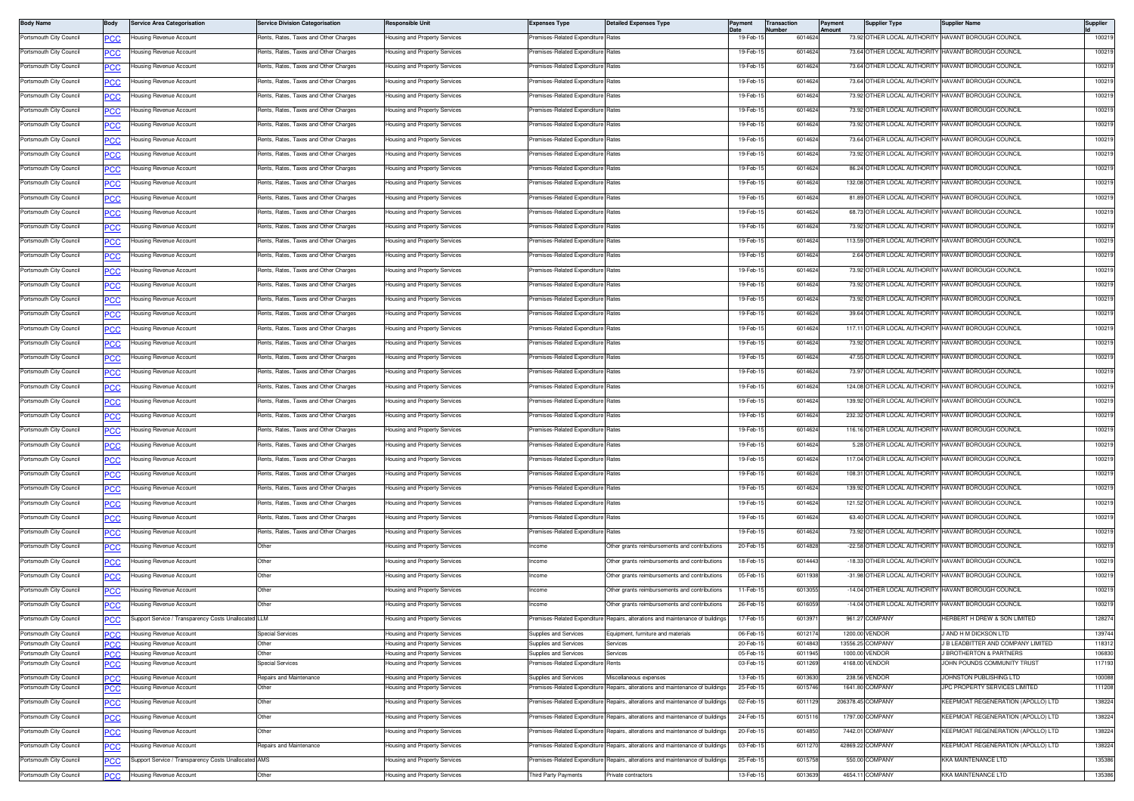| <b>Body Name</b>                                   | Body       | Service Area Categorisation                          | Service Division Categorisation       | <b>Responsible Unit</b>                                        | Expenses Type                                        | <b>Detailed Expenses Type</b>                                                  | Pavment              | <b>Transaction</b><br>Number | Payment<br>Amount | <b>Supplier Type</b>             | Supplier Name                                            | Supplier         |
|----------------------------------------------------|------------|------------------------------------------------------|---------------------------------------|----------------------------------------------------------------|------------------------------------------------------|--------------------------------------------------------------------------------|----------------------|------------------------------|-------------------|----------------------------------|----------------------------------------------------------|------------------|
| Portsmouth City Council                            | <u>PCC</u> | Housing Revenue Account                              | Rents, Rates, Taxes and Other Charges | Housing and Property Services                                  | Premises-Related Expenditure Rates                   |                                                                                | 19-Feb-1             | 6014624                      |                   |                                  | 73.92 OTHER LOCAL AUTHORITY HAVANT BOROUGH COUNCIL       | 100219           |
| Portsmouth City Council                            | <b>PCC</b> | Housing Revenue Account                              | Rents, Rates, Taxes and Other Charges | Housing and Property Services                                  | Premises-Related Expenditure Rates                   |                                                                                | 19-Feb-1             | 6014624                      |                   |                                  | 73.64 OTHER LOCAL AUTHORITY HAVANT BOROUGH COUNCIL       | 100219           |
| Portsmouth City Council                            | <u>PCC</u> | <b>Housing Revenue Account</b>                       | Rents, Rates, Taxes and Other Charges | lousing and Property Services                                  | remises-Related Expenditure                          | Rates                                                                          | 19-Feb-1             | 6014624                      |                   |                                  | 73.64 OTHER LOCAL AUTHORITY HAVANT BOROUGH COUNCIL       | 100219           |
| Portsmouth City Council                            | PCC        | Housing Revenue Account                              | Rents, Rates, Taxes and Other Charges | lousing and Property Services                                  | Premises-Related Expenditure                         | Rates                                                                          | 19-Feb-1             | 6014624                      |                   |                                  | 73.64 OTHER LOCAL AUTHORITY HAVANT BOROUGH COUNCIL       | 100219           |
| Portsmouth City Council                            | <b>PCC</b> | Housing Revenue Account                              | Rents, Rates, Taxes and Other Charges | lousing and Property Services                                  | Premises-Related Expenditure Rates                   |                                                                                | 19-Feb-1             | 6014624                      |                   |                                  | 73.92 OTHER LOCAL AUTHORITY HAVANT BOROUGH COUNCIL       | 100219           |
| Portsmouth City Council                            | <u>PCC</u> | Housing Revenue Account                              | Rents, Rates, Taxes and Other Charges | <b>Housing and Property Services</b>                           | Premises-Related Expenditure Rates                   |                                                                                | 19-Feb-1             | 6014624                      |                   |                                  | 73.92 OTHER LOCAL AUTHORITY HAVANT BOROUGH COUNCIL       | 100219           |
| Portsmouth City Council                            | <b>PCC</b> | Housing Revenue Account                              | Rents, Rates, Taxes and Other Charges | Housing and Property Services                                  | Premises-Related Expenditure Rates                   |                                                                                | 19-Feb-1             | 6014624                      |                   |                                  | 73.92 OTHER LOCAL AUTHORITY HAVANT BOROUGH COUNCIL       | 100219           |
| Portsmouth City Council                            | <u>PCC</u> | Housing Revenue Account                              | Rents, Rates, Taxes and Other Charges | lousing and Property Services                                  | remises-Related Expenditure                          | Rates                                                                          | 19-Feb-1             | 6014624                      |                   |                                  | 73.64 OTHER LOCAL AUTHORITY HAVANT BOROUGH COUNCIL       | 100219           |
| Portsmouth City Council                            |            | Housing Revenue Account                              | Rents, Rates, Taxes and Other Charges | lousing and Property Services                                  | Premises-Related Expenditure                         | Rates                                                                          | 19-Feb-1             | 6014624                      |                   |                                  | 73.92 OTHER LOCAL AUTHORITY HAVANT BOROUGH COUNCIL       | 100219           |
| Portsmouth City Council                            |            | Housing Revenue Account                              | Rents, Rates, Taxes and Other Charges | lousing and Property Services                                  | Premises-Related Expenditure                         | Rates                                                                          | 19-Feb-1             | 6014624                      |                   | 86.24 OTHER LOCAL AUTHORITY      | HAVANT BOROUGH COUNCIL                                   | 100219           |
| Portsmouth City Council                            | <b>PCC</b> | Housing Revenue Account                              | Rents, Rates, Taxes and Other Charges | Housing and Property Services                                  | Premises-Related Expenditure                         | Rates                                                                          | 19-Feb-15            | 6014624                      |                   |                                  | 132.08 OTHER LOCAL AUTHORITY HAVANT BOROUGH COUNCIL      | 100219           |
|                                                    | <u>PCC</u> |                                                      |                                       |                                                                |                                                      |                                                                                |                      |                              |                   |                                  |                                                          |                  |
| Portsmouth City Council                            | <b>PCC</b> | Housing Revenue Account                              | Rents, Rates, Taxes and Other Charges | lousing and Property Services                                  | remises-Related Expenditure Rates                    |                                                                                | 19-Feb-1             | 6014624                      |                   |                                  | 81.89 OTHER LOCAL AUTHORITY HAVANT BOROUGH COUNCIL       | 100219           |
| Portsmouth City Council                            | <b>PCC</b> | Housing Revenue Account                              | Rents, Rates, Taxes and Other Charges | lousing and Property Services                                  | remises-Related Expenditure                          | Rates                                                                          | 19-Feb-1             | 6014624                      |                   |                                  | 68.73 OTHER LOCAL AUTHORITY HAVANT BOROUGH COUNCIL       | 100219           |
| Portsmouth City Council                            | PCC        | Housing Revenue Account                              | Rents, Rates, Taxes and Other Charges | lousing and Property Services                                  | remises-Related Expenditure                          | Rates                                                                          | 19-Feb-1             | 6014624                      |                   |                                  | 73.92 OTHER LOCAL AUTHORITY HAVANT BOROUGH COUNCIL       | 100219           |
| Portsmouth City Council                            | <b>PCC</b> | Housing Revenue Account                              | Rents, Rates, Taxes and Other Charges | <b>Housing and Property Services</b>                           | Premises-Related Expenditure Rates                   |                                                                                | 19-Feb-1             | 6014624                      |                   |                                  | 113.59 OTHER LOCAL AUTHORITY HAVANT BOROUGH COUNCIL      | 100219           |
| Portsmouth City Council                            | <u>PCC</u> | Housing Revenue Account                              | Rents, Rates, Taxes and Other Charges | <b>Housing and Property Services</b>                           | Premises-Related Expenditure Rates                   |                                                                                | 19-Feb-1             | 6014624                      |                   |                                  | 2.64 OTHER LOCAL AUTHORITY HAVANT BOROUGH COUNCIL        | 100219           |
| Portsmouth City Council                            | <b>PCC</b> | Housing Revenue Account                              | Rents, Rates, Taxes and Other Charges | Housing and Property Services                                  | Premises-Related Expenditure Rates                   |                                                                                | 19-Feb-1             | 6014624                      |                   |                                  | 73.92 OTHER LOCAL AUTHORITY HAVANT BOROUGH COUNCIL       | 100219           |
| Portsmouth City Council                            | <u>PCC</u> | Housing Revenue Account                              | Rents, Rates, Taxes and Other Charges | lousing and Property Services                                  | emises-Related Expenditure                           | Rates                                                                          | 19-Feb-1             | 6014624                      |                   |                                  | 73.92 OTHER LOCAL AUTHORITY HAVANT BOROUGH COUNCIL       | 100219           |
| Portsmouth City Council                            | PCC        | Housing Revenue Account                              | Rents, Rates, Taxes and Other Charges | lousing and Property Services                                  | Premises-Related Expenditure Rates                   |                                                                                | 19-Feb-1             | 6014624                      |                   |                                  | 73.92 OTHER LOCAL AUTHORITY HAVANT BOROUGH COUNCIL       | 100219           |
| Portsmouth City Council                            | <b>PCC</b> | Housing Revenue Account                              | Rents, Rates, Taxes and Other Charges | lousing and Property Services                                  | remises-Related Expenditure                          | Rates                                                                          | 19-Feb-1             | 601462                       |                   | 39.64 OTHER LOCAL AUTHORITY      | <b>HAVANT BOROUGH COUNCIL</b>                            | 100219           |
| Portsmouth City Council                            | <u>PCC</u> | Housing Revenue Account                              | Rents, Rates, Taxes and Other Charges | Housing and Property Services                                  | remises-Related Expenditure                          | Rates                                                                          | 19-Feb-1             | 6014624                      |                   |                                  | 117.11 OTHER LOCAL AUTHORITY HAVANT BOROUGH COUNCIL      | 100219           |
| Portsmouth City Council                            | <b>PCC</b> | Housing Revenue Account                              | Rents, Rates, Taxes and Other Charges | lousing and Property Services                                  | remises-Related Expenditure                          | Rates                                                                          | 19-Feb-1             | 6014624                      |                   |                                  | 73.92 OTHER LOCAL AUTHORITY HAVANT BOROUGH COUNCIL       | 100219           |
| Portsmouth City Council                            | <u>PCC</u> | lousing Revenue Account                              | Rents, Rates, Taxes and Other Charges | lousing and Property Services                                  | remises-Related Expenditure                          | Rates                                                                          | 19-Feb-1             | 6014624                      |                   |                                  | 47.55 OTHER LOCAL AUTHORITY HAVANT BOROUGH COUNCIL       | 100219           |
| Portsmouth City Council                            | PCC        | Housing Revenue Account                              | Rents, Rates, Taxes and Other Charges | lousing and Property Services                                  | remises-Related Expenditure                          | Rates                                                                          | 19-Feb-1             | 6014624                      |                   |                                  | 73.97 OTHER LOCAL AUTHORITY HAVANT BOROUGH COUNCIL       | 100219           |
| Portsmouth City Council                            |            | Housing Revenue Account                              | Rents, Rates, Taxes and Other Charges | lousing and Property Services                                  | remises-Related Expenditure                          | Rates                                                                          | 19-Feb-1             | 6014624                      |                   |                                  | 124.08 OTHER LOCAL AUTHORITY HAVANT BOROUGH COUNCIL      | 100219           |
|                                                    | <b>PCC</b> |                                                      |                                       |                                                                |                                                      |                                                                                | 19-Feb-1             | 6014624                      |                   |                                  | 139.92 OTHER LOCAL AUTHORITY HAVANT BOROUGH COUNCIL      | 100219           |
| Portsmouth City Council                            | <u>PCC</u> | Housing Revenue Account                              | Rents, Rates, Taxes and Other Charges | <b>Housing and Property Services</b>                           | Premises-Related Expenditure Rates                   |                                                                                |                      |                              |                   |                                  |                                                          |                  |
| Portsmouth City Council                            | <b>PCC</b> | Housing Revenue Account                              | Rents, Rates, Taxes and Other Charges | Housing and Property Services                                  | Premises-Related Expenditure Rates                   |                                                                                | 19-Feb-1             | 6014624                      |                   |                                  | 232.32 OTHER LOCAL AUTHORITY HAVANT BOROUGH COUNCIL      | 100219           |
| Portsmouth City Council                            | <u>PCC</u> | Housing Revenue Account                              | Rents, Rates, Taxes and Other Charges | lousing and Property Services                                  | remises-Related Expenditure                          | Rates                                                                          | 19-Feb-1             | 6014624                      |                   |                                  | 116.16 OTHER LOCAL AUTHORITY HAVANT BOROUGH COUNCIL      | 100219           |
| Portsmouth City Council                            | PCC        | Housing Revenue Account                              | Rents, Rates, Taxes and Other Charges | lousing and Property Services                                  | Premises-Related Expenditure Rates                   |                                                                                | 19-Feb-1             | 6014624                      |                   |                                  | 5.28 OTHER LOCAL AUTHORITY HAVANT BOROUGH COUNCIL        | 100219           |
| Portsmouth City Council                            | PCC        | Housing Revenue Account                              | Rents, Rates, Taxes and Other Charges | lousing and Property Services                                  | remises-Related Expenditure                          | Rates                                                                          | 19-Feb-1             | 6014624                      |                   | 117.04 OTHER LOCAL AUTHORITY     | HAVANT BOROUGH COUNCIL                                   | 100219           |
| Portsmouth City Council                            | <u>PCC</u> | Housing Revenue Account                              | Rents, Rates, Taxes and Other Charges | Housing and Property Services                                  | Premises-Related Expenditure                         | Rates                                                                          | 19-Feb-15            | 6014624                      |                   |                                  | 108.31 OTHER LOCAL AUTHORITY HAVANT BOROUGH COUNCIL      | 100219           |
| Portsmouth City Council                            | <b>PCC</b> | Housing Revenue Account                              | Rents, Rates, Taxes and Other Charges | lousing and Property Services                                  | remises-Related Expenditure                          | Rates                                                                          | 19-Feb-1             | 6014624                      |                   |                                  | 139.92 OTHER LOCAL AUTHORITY HAVANT BOROUGH COUNCIL      | 100219           |
| Portsmouth City Council                            | <u>PCC</u> | lousing Revenue Account                              | Rents, Rates, Taxes and Other Charges | lousing and Property Services                                  | remises-Related Expenditure                          | Rates                                                                          | 19-Feb-1             | 6014624                      |                   |                                  | 121.52 OTHER LOCAL AUTHORITY HAVANT BOROUGH COUNCIL      | 100219           |
| Portsmouth City Council                            | PCC        | Housing Revenue Account                              | Rents, Rates, Taxes and Other Charges | lousing and Property Services                                  | remises-Related Expenditure                          | Rates                                                                          | 19-Feb-1             | 6014624                      |                   |                                  | 63.40 OTHER LOCAL AUTHORITY HAVANT BOROUGH COUNCIL       | 100219           |
| Portsmouth City Council                            | <b>PCC</b> | Housing Revenue Account                              | Rents, Rates, Taxes and Other Charges | lousing and Property Services                                  | Premises-Related Expenditure Rates                   |                                                                                | 19-Feb-1             | 6014624                      |                   |                                  | 73.92 OTHER LOCAL AUTHORITY HAVANT BOROUGH COUNCIL       | 100219           |
| Portsmouth City Council                            | <u>PCC</u> | Housing Revenue Account                              | Other                                 | Housing and Property Services                                  | Income                                               | Other grants reimbursements and contributions                                  | 20-Feb-15            | 6014828                      |                   |                                  | -22.58 OTHER LOCAL AUTHORITY HAVANT BOROUGH COUNCIL      | 100219           |
| Portsmouth City Council                            | <b>PCC</b> | Housing Revenue Account                              | Other                                 | Housing and Property Services                                  | Income                                               | Other grants reimbursements and contributions                                  | 18-Feb-1             | 6014443                      |                   |                                  | -18.33 OTHER LOCAL AUTHORITY HAVANT BOROUGH COUNCIL      | 100219           |
| Portsmouth City Council                            | <u>PCC</u> | Housing Revenue Account                              | Other                                 | lousing and Property Services                                  | ncome                                                | Other grants reimbursements and contributions                                  | 05-Feb-1             | 6011938                      |                   |                                  | -31.98 OTHER LOCAL AUTHORITY HAVANT BOROUGH COUNCIL      | 100219           |
| Portsmouth City Council                            | PСC        | Housing Revenue Account                              | Other                                 | Housing and Property Services                                  | Income                                               | Other grants reimbursements and contributions                                  | 11-Feb-1             | 6013055                      |                   |                                  | -14.04 OTHER LOCAL AUTHORITY HAVANT BOROUGH COUNCIL      | 100219           |
| Portsmouth City Council                            | PCC        | Housing Revenue Account                              | Other                                 | lousing and Property Services                                  | Income                                               | Other grants reimbursements and contributions                                  | 26-Feb-1             | 6016059                      |                   |                                  | -14.04 OTHER LOCAL AUTHORITY HAVANT BOROUGH COUNCIL      | 100219           |
| Portsmouth City Council                            | <b>PCC</b> | Support Service / Transparency Costs Unallocated LLM |                                       | Housing and Property Services                                  |                                                      | Premises-Related Expenditure Repairs, alterations and maintenance of buildings | 17-Feb-15            | 6013971                      |                   | 961.27 COMPANY                   | HERBERT H DREW & SON LIMITED                             | 128274           |
| Portsmouth City Council                            | <b>PCC</b> | Housing Revenue Account                              | Special Services                      | Housing and Property Services                                  | Supplies and Services                                | Equipment, furniture and materials                                             | 06-Feb-1             | 601217                       |                   | 1200.00 VENDOR                   | J AND H M DICKSON LTD                                    | 139744           |
| Portsmouth City Council                            | PCC        | Housing Revenue Account                              | Other                                 | Housing and Property Services                                  | Supplies and Services                                | Services                                                                       | 20-Feb-1             | 601484                       |                   | 13556.25 COMPANY                 | J B LEADBITTER AND COMPANY LIMITED                       | 118312           |
| Portsmouth City Council                            | <b>PCC</b> | Housing Revenue Account                              | Other                                 | Housing and Property Services                                  | Supplies and Services                                | Services                                                                       | 05-Feb-1             | 6011945                      |                   | 1000.00 VENDOR                   | <b>BROTHERTON &amp; PARTNERS</b>                         | 106830           |
| Portsmouth City Council                            | <u>PCC</u> | Housing Revenue Account                              | <b>Special Services</b>               | Housing and Property Services                                  | remises-Related Expenditure                          | ents?                                                                          | 03-Feb-1             | 6011269                      |                   | 4168.00 VENDOR                   | JOHN POUNDS COMMUNITY TRUST                              | 117193           |
| Portsmouth City Council<br>Portsmouth City Council | <b>PCC</b> | Housing Revenue Account<br>lousing Revenue Account   | Repairs and Maintenance<br>Other      | Housing and Property Services<br>lousing and Property Services | Supplies and Services<br>remises-Related Expenditure | Aiscellaneous expenses<br>Repairs, alterations and maintenance of building     | 13-Feb-1<br>25-Feb-1 | 601363<br>601574             |                   | 238.56 VENDOR<br>1641.80 COMPANY | JOHNSTON PUBLISHING LTD<br>JPC PROPERTY SERVICES LIMITED | 100088<br>111208 |
| Portsmouth City Council                            | <u>PCC</u> |                                                      |                                       |                                                                |                                                      |                                                                                | 02-Feb-1             | 6011129                      |                   | 206378.45 COMPANY                | KEEPMOAT REGENERATION (APOLLO) LTD                       | 138224           |
|                                                    | <b>PCC</b> | Housing Revenue Account                              | Other                                 | Housing and Property Services                                  | Premises-Related Expenditure                         | Repairs, alterations and maintenance of building                               |                      |                              |                   |                                  |                                                          |                  |
| Portsmouth City Council                            | <u>PCC</u> | lousing Revenue Account                              | Other                                 | Housing and Property Services                                  | remises-Related Expenditure                          | lepairs, alterations and maintenance of building                               | 24-Feb-1             | 601511                       |                   | 1797.00 COMPANY                  | KEEPMOAT REGENERATION (APOLLO) LTD                       | 138224           |
| Portsmouth City Council                            | <u>PCC</u> | Housing Revenue Account                              | Other                                 | lousing and Property Services                                  | Premises-Related Expenditure                         | Repairs, alterations and maintenance of buildings                              | 20-Feb-1             | 6014850                      |                   | 7442.01 COMPANY                  | KEEPMOAT REGENERATION (APOLLO) LTD                       | 138224           |
| Portsmouth City Council                            | <u>PCC</u> | Housing Revenue Account                              | Repairs and Maintenance               | lousing and Property Services                                  | remises-Related Expenditure                          | Repairs, alterations and maintenance of building                               | 03-Feb-1             | 6011270                      |                   | 42869.22 COMPANY                 | KEEPMOAT REGENERATION (APOLLO) LTD                       | 138224           |
| Portsmouth City Council                            | <u>PCC</u> | Support Service / Transparency Costs Unallocated AMS |                                       | lousing and Property Services                                  | Premises-Related Expenditure                         | Repairs, alterations and maintenance of building                               | 25-Feb-1             | 6015758                      |                   | 550.00 COMPANY                   | <b>KKA MAINTENANCE LTD</b>                               | 135386           |
| Portsmouth City Council                            | <b>PCC</b> | Housing Revenue Account                              | Other                                 | Housing and Property Services                                  | Third Party Payments                                 | rivate contractors                                                             | 13-Feb-1             | 601363                       |                   | 4654.11 COMPANY                  | KKA MAINTENANCE LTD                                      | 135386           |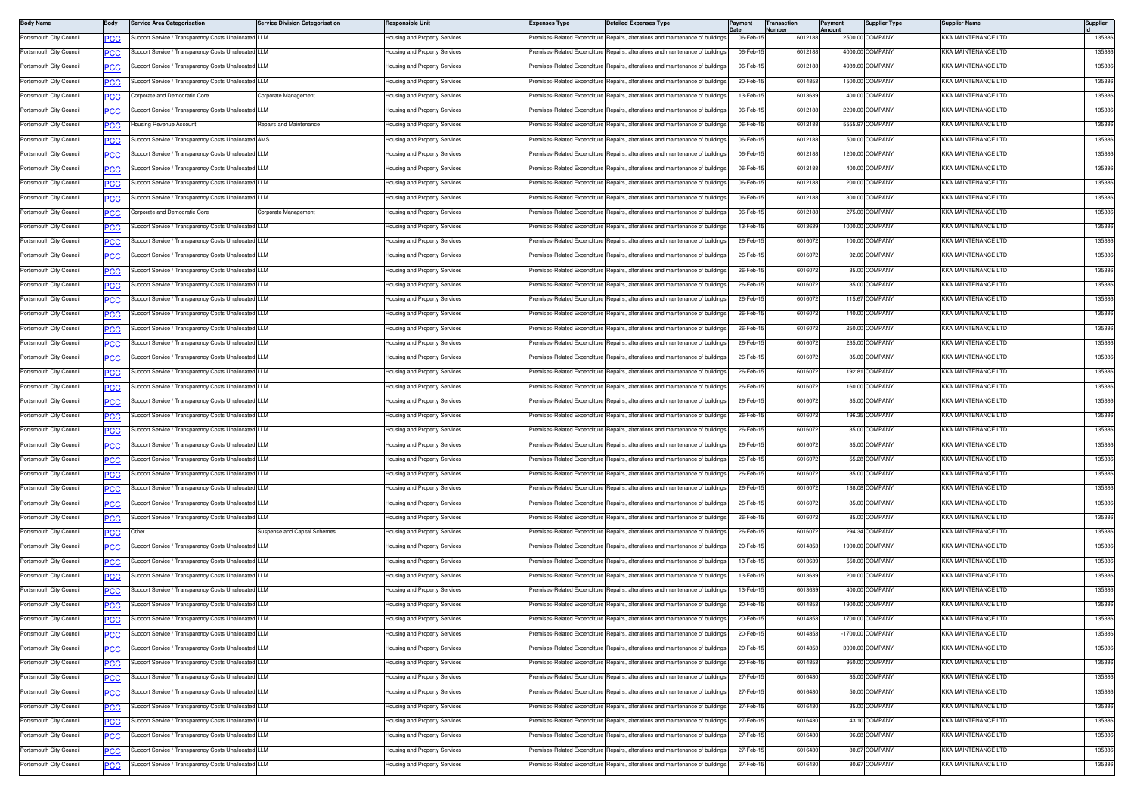| <b>Body Name</b>        | Body                     | <b>Service Area Categorisation</b>                                                                           | <b>Service Division Categorisation</b> | <b>Responsible Unit</b>              | <b>Expenses Type</b>                                        | <b>Detailed Expenses Type</b>                                                  | Payment   | <b>Transaction</b><br>lumber | Payment<br><b>Amount</b> | <b>Supplier Type</b> | Supplier Name              | Supplier |
|-------------------------|--------------------------|--------------------------------------------------------------------------------------------------------------|----------------------------------------|--------------------------------------|-------------------------------------------------------------|--------------------------------------------------------------------------------|-----------|------------------------------|--------------------------|----------------------|----------------------------|----------|
| Portsmouth City Council | <u>cc</u>                | Support Service / Transparency Costs Unallocated LLM                                                         |                                        | Housing and Property Services        |                                                             | remises-Related Expenditure Repairs, alterations and maintenance of buildings  | 06-Feb-1  | 601218                       |                          | 2500.00 COMPANY      | KKA MAINTENANCE LTD        | 135386   |
| Portsmouth City Council | <u>PCC</u>               | Support Service / Transparency Costs Unallocated LLM                                                         |                                        | lousing and Property Services        | remises-Related Expenditure                                 | Repairs, alterations and maintenance of buildings                              | 06-Feb-1  | 6012188                      |                          | 4000.00 COMPANY      | (KA MAINTENANCE LTD        | 135386   |
| Portsmouth City Council | <u>PCC</u>               | Support Service / Transparency Costs Unallocated LLM                                                         |                                        | Housing and Property Services        | Premises-Related Expenditure                                | Repairs, alterations and maintenance of building                               | 06-Feb-1  | 601218                       |                          | 4989.60 COMPANY      | KKA MAINTENANCE LTD        | 135386   |
| Portsmouth City Council | <u>PCC</u>               | Support Service / Transparency Costs Unallocated LLM                                                         |                                        | Housing and Property Services        | Premises-Related Expenditure                                | Repairs, alterations and maintenance of building                               | 20-Feb-1  | 601485                       |                          | 1500.00 COMPANY      | KKA MAINTENANCE LTD        | 135386   |
| Portsmouth City Council | <b>PCC</b>               | Corporate and Democratic Core                                                                                | Corporate Management                   | Housing and Property Services        | Premises-Related Expenditure                                | Repairs, alterations and maintenance of building                               | 13-Feb-1  | 6013639                      |                          | 400.00 COMPANY       | KKA MAINTENANCE LTD        | 135386   |
| Portsmouth City Council | <u>CC</u>                | Support Service / Transparency Costs Unallocated LLM                                                         |                                        | Housing and Property Services        | remises-Related Expenditure                                 | Repairs, alterations and maintenance of building                               | 06-Feb-1  | 6012188                      |                          | 2200.00 COMPANY      | KKA MAINTENANCE LTD        | 135386   |
| Portsmouth City Council | <b>PCC</b>               | lousing Revenue Account                                                                                      | Repairs and Maintenance                | lousing and Property Services        | remises-Related Expenditure                                 | Repairs, alterations and maintenance of buildings                              | 06-Feb-1  | 6012188                      |                          | 5555.97 COMPANY      | <b>KKA MAINTENANCE LTD</b> | 135386   |
| Portsmouth City Council | <u>cc</u>                | Support Service / Transparency Costs Unallocated AMS                                                         |                                        | Housing and Property Services        | Premises-Related Expenditure                                | Repairs, alterations and maintenance of building                               | 06-Feb-1  | 6012188                      |                          | 500.00 COMPANY       | KKA MAINTENANCE LTD        | 135386   |
| Portsmouth City Council | <b>PCC</b>               | Support Service / Transparency Costs Unallocated LLM                                                         |                                        | Housing and Property Services        | Premises-Related Expenditure                                | Repairs, alterations and maintenance of building                               | 06-Feb-1  | 601218                       |                          | 1200.00 COMPANY      | KKA MAINTENANCE LTD        | 135386   |
| Portsmouth City Council | <b>PCC</b>               | Support Service / Transparency Costs Unallocated LLM                                                         |                                        | Housing and Property Services        | Premises-Related Expenditure                                | Repairs, alterations and maintenance of building                               | 06-Feb-15 | 6012188                      |                          | 400.00 COMPANY       | KKA MAINTENANCE LTD        | 135386   |
| Portsmouth City Council | <u>PCC</u>               | Support Service / Transparency Costs Unallocated LLM                                                         |                                        | lousing and Property Services        | remises-Related Expenditure                                 | Repairs, alterations and maintenance of building                               | 06-Feb-1  | 6012188                      |                          | 200.00 COMPANY       | KKA MAINTENANCE LTD        | 135386   |
| Portsmouth City Council | <b>PCC</b>               | Support Service / Transparency Costs Unallocated LLM                                                         |                                        | lousing and Property Services        | remises-Related Expenditure                                 | Repairs, alterations and maintenance of buildings                              | 06-Feb-1  | 6012188                      |                          | 300.00 COMPANY       | (KA MAINTENANCE LTD        | 135386   |
| Portsmouth City Council | <u>PCC</u>               | Corporate and Democratic Core                                                                                | Corporate Management                   | Housing and Property Services        | Premises-Related Expenditure                                | Repairs, alterations and maintenance of building                               | 06-Feb-1  | 6012188                      |                          | 275.00 COMPANY       | KKA MAINTENANCE LTD        | 135386   |
| Portsmouth City Council | PCC                      | Support Service / Transparency Costs Unallocated LLM                                                         |                                        | Housing and Property Services        | remises-Related Expenditure                                 | Repairs, alterations and maintenance of building                               | 13-Feb-1  | 601363                       |                          | 1000.00 COMPANY      | KKA MAINTENANCE LTD        | 135386   |
| Portsmouth City Council | <b>PCC</b>               | Support Service / Transparency Costs Unallocated LLM                                                         |                                        | Housing and Property Services        | Premises-Related Expenditure                                | Repairs, alterations and maintenance of buildings                              | 26-Feb-15 | 6016072                      |                          | 100.00 COMPANY       | KKA MAINTENANCE LTD        | 135386   |
| Portsmouth City Council | <u>PCC</u>               | Support Service / Transparency Costs Unallocated LLM                                                         |                                        | lousing and Property Services        | remises-Related Expenditure                                 | Repairs, alterations and maintenance of building                               | 26-Feb-1  | 6016072                      |                          | 92.06 COMPANY        | KKA MAINTENANCE LTD        | 135386   |
| Portsmouth City Council | <u>PCC</u>               | Support Service / Transparency Costs Unallocated LLM                                                         |                                        | Housing and Property Services        | remises-Related Expenditure                                 | Repairs, alterations and maintenance of building                               | 26-Feb-1  | 6016072                      |                          | 35.00 COMPANY        | (KA MAINTENANCE LTD        | 135386   |
| Portsmouth City Council | <b>PCC</b>               | Support Service / Transparency Costs Unallocated LLM                                                         |                                        | Housing and Property Services        |                                                             | Premises-Related Expenditure Repairs, alterations and maintenance of building  | 26-Feb-1  | 6016072                      |                          | 35.00 COMPANY        | KKA MAINTENANCE LTD        | 135386   |
| Portsmouth City Council | <u>PCC</u>               | Support Service / Transparency Costs Unallocated LLM                                                         |                                        | Housing and Property Services        | Premises-Related Expenditure                                | Repairs, alterations and maintenance of building                               | 26-Feb-1  | 601607                       |                          | 115.67 COMPANY       | KKA MAINTENANCE LTD        | 135386   |
| Portsmouth City Council | <u>PCC</u>               | Support Service / Transparency Costs Unallocated                                                             | I LLM                                  | Housing and Property Services        | remises-Related Expenditure                                 | lepairs, alterations and maintenance of building                               | 26-Feb-1  | 601607                       |                          | 140.00 COMPANY       | KKA MAINTENANCE LTD        | 135386   |
| Portsmouth City Council | <u>CC</u>                | Support Service / Transparency Costs Unallocated LLM                                                         |                                        | lousing and Property Services        | remises-Related Expenditure                                 | Repairs, alterations and maintenance of building                               | 26-Feb-1  | 6016072                      |                          | 250.00 COMPANY       | KKA MAINTENANCE LTD        | 135386   |
| Portsmouth City Council | <u>PCC</u>               | Support Service / Transparency Costs Unallocated LLM                                                         |                                        | lousing and Property Services        | remises-Related Expenditure                                 | Repairs, alterations and maintenance of buildings                              | 26-Feb-1  | 6016072                      |                          | 235.00 COMPANY       | <b>KA MAINTENANCE LTD</b>  | 135386   |
| Portsmouth City Council | <u>сс</u>                | Support Service / Transparency Costs Unallocated LLM                                                         |                                        | Housing and Property Services        | Premises-Related Expenditure                                | Repairs, alterations and maintenance of buildings                              | 26-Feb-1  | 6016072                      |                          | 35.00 COMPANY        | KKA MAINTENANCE LTD        | 135386   |
| Portsmouth City Council | <b>PCC</b>               | Support Service / Transparency Costs Unallocated LLM                                                         |                                        | Housing and Property Services        | Premises-Related Expenditure                                | Repairs, alterations and maintenance of building                               | 26-Feb-1  | 601607                       |                          | 192.81 COMPANY       | KKA MAINTENANCE LTD        | 135386   |
| Portsmouth City Council | <u>PCC</u>               | Support Service / Transparency Costs Unallocated LLM                                                         |                                        | Housing and Property Services        | remises-Related Expenditure                                 | Repairs, alterations and maintenance of building                               | 26-Feb-1  | 601607                       |                          | 160.00 COMPANY       | KKA MAINTENANCE LTD        | 135386   |
| Portsmouth City Council | <b>CC</b>                | Support Service / Transparency Costs Unallocated LLM                                                         |                                        | Housing and Property Services        | Premises-Related Expenditure                                | Repairs, alterations and maintenance of building                               | 26-Feb-1  | 6016072                      |                          | 35.00 COMPANY        | KKA MAINTENANCE LTD        | 135386   |
| Portsmouth City Council | <b>PCC</b>               | Support Service / Transparency Costs Unallocated LLM                                                         |                                        | Housing and Property Services        | remises-Related Expenditure                                 | Repairs, alterations and maintenance of buildings                              | 26-Feb-1  | 6016072                      |                          | 196.35 COMPANY       | <b>KA MAINTENANCE LTD</b>  | 135386   |
| Portsmouth City Council | <b>PCC</b>               | Support Service / Transparency Costs Unallocated LLM                                                         |                                        | Housing and Property Services        | Premises-Related Expenditure                                | Repairs, alterations and maintenance of building                               | 26-Feb-1  | 6016072                      |                          | 35.00 COMPANY        | KKA MAINTENANCE LTD        | 135386   |
| Portsmouth City Council | PCC                      | Support Service / Transparency Costs Unallocated LLM                                                         |                                        | Housing and Property Services        | remises-Related Expenditure                                 | Repairs, alterations and maintenance of building                               | 26-Feb-1  | 601607                       |                          | 35.00 COMPANY        | KKA MAINTENANCE LTD        | 135386   |
| Portsmouth City Council |                          | Support Service / Transparency Costs Unallocated LLM                                                         |                                        | lousing and Property Services        | remises-Related Expenditure                                 | lepairs, alterations and maintenance of building                               | 26-Feb-1  | 6016072                      |                          | 55.28 COMPANY        | KKA MAINTENANCE LTD        | 135386   |
| Portsmouth City Council | <u>PCC</u>               | Support Service / Transparency Costs Unallocated LLM                                                         |                                        | lousing and Property Services        | remises-Related Expenditure                                 | Repairs, alterations and maintenance of building                               | 26-Feb-1  | 6016072                      |                          | 35.00 COMPANY        | KKA MAINTENANCE LTD        | 135386   |
| Portsmouth City Council | <u>PCC</u>               | Support Service / Transparency Costs Unallocated LLM                                                         |                                        | lousing and Property Services        | remises-Related Expenditure                                 | Repairs, alterations and maintenance of buildings                              | 26-Feb-1  | 6016072                      |                          | 138.08 COMPANY       | KA MAINTENANCE LTD         | 135386   |
| Portsmouth City Council | <u>PCC</u>               | Support Service / Transparency Costs Unallocated LLM                                                         |                                        | Housing and Property Services        | Premises-Related Expenditure                                | Repairs, alterations and maintenance of building                               | 26-Feb-1  | 6016072                      |                          | 35.00 COMPANY        | KKA MAINTENANCE LTD        | 135386   |
| Portsmouth City Council | <u>PCC</u>               | Support Service / Transparency Costs Unallocated LLM                                                         |                                        | Housing and Property Services        | Premises-Related Expenditure                                | Repairs, alterations and maintenance of building                               | 26-Feb-1  | 601607                       |                          | 85.00 COMPANY        | KKA MAINTENANCE LTD        | 135386   |
| Portsmouth City Council |                          | Othe                                                                                                         | Suspense and Capital Schemes           | Housing and Property Services        | remises-Related Expenditure                                 | Repairs, alterations and maintenance of building                               | 26-Feb-1  | 6016072                      |                          | 294.34 COMPANY       | KKA MAINTENANCE LTD        | 135386   |
| Portsmouth City Council | <u>CC</u>                | Support Service / Transparency Costs Unallocated LLM                                                         |                                        | lousing and Property Services        | remises-Related Expenditure                                 | Repairs, alterations and maintenance of building                               | 20-Feb-1  | 6014853                      |                          | 1900.00 COMPANY      | KKA MAINTENANCE LTD        | 135386   |
| Portsmouth City Council |                          | Support Service / Transparency Costs Unallocated LLM                                                         |                                        | lousing and Property Services        | remises-Related Expenditure                                 | Repairs, alterations and maintenance of building                               | 13-Feb-1  | 6013639                      |                          | 550.00 COMPANY       | <b>KA MAINTENANCE LTD</b>  | 135386   |
| Portsmouth City Council | <u>PCC</u><br><b>CC</b>  | Support Service / Transparency Costs Unallocated LLM                                                         |                                        | <b>Housing and Property Services</b> | Premises-Related Expenditure                                | Repairs, alterations and maintenance of building                               | 13-Feb-1  | 6013639                      |                          | 200.00 COMPANY       | KKA MAINTENANCE LTD        | 135386   |
| Portsmouth City Council |                          | Support Service / Transparency Costs Unallocated LLM                                                         |                                        | lousing and Property Services        | Premises-Related Expenditure                                | Repairs, alterations and maintenance of building                               | 13-Feb-1  | 601363                       |                          | 400.00 COMPANY       | KKA MAINTENANCE LTD        | 135386   |
| Portsmouth City Council | <u>PCC</u>               | Support Service / Transparency Costs Unallocated                                                             | I LLM                                  | Housing and Property Services        | remises-Related Expenditure                                 | Repairs, alterations and maintenance of building                               | 20-Feb-1  | 601485                       |                          | 1900.00 COMPANY      | KKA MAINTENANCE LTD        | 135386   |
| Portsmouth City Council | <u>'СС</u><br><b>PCC</b> | Support Service / Transparency Costs Unallocated LLM                                                         |                                        | Housing and Property Services        |                                                             | Premises-Related Expenditure Repairs, alterations and maintenance of buildings | 20-Feb-15 | 6014853                      |                          | 1700.00 COMPANY      | KKA MAINTENANCE LTD        | 135386   |
| Portsmouth City Council |                          | Support Service / Transparency Costs Unallocated LLM                                                         |                                        | lousing and Property Services        | remises-Related Expenditure                                 | Repairs, alterations and maintenance of buildings                              | 20-Feb-1  | 6014853                      |                          | -1700.00 COMPANY     | <b>KKA MAINTENANCE LTD</b> | 135386   |
| Portsmouth City Council | <b>PCC</b>               | Support Service / Transparency Costs Unallocated LLM                                                         |                                        | Housing and Property Services        | Premises-Related Expenditure                                | Repairs, alterations and maintenance of buildings                              | 20-Feb-1  | 6014853                      |                          | 3000.00 COMPANY      | <b>KKA MAINTENANCE LTD</b> | 135386   |
| Portsmouth City Council | <b>PCC</b>               | Support Service / Transparency Costs Unallocated LLM                                                         |                                        | Housing and Property Services        | remises-Related Expenditure                                 | Repairs, alterations and maintenance of building                               | 20-Feb-1  | 6014853                      |                          | 950.00 COMPANY       | KKA MAINTENANCE LTD        | 135386   |
|                         | <u>PCC</u>               |                                                                                                              |                                        | lousing and Property Services        | remises-Related Expenditure                                 | Repairs, alterations and maintenance of building                               | 27-Feb-15 | 6016430                      |                          | 35.00 COMPANY        | KKA MAINTENANCE LTD        | 135386   |
| Portsmouth City Council |                          | Support Service / Transparency Costs Unallocated LLM<br>Support Service / Transparency Costs Unallocated LLM |                                        |                                      |                                                             | Repairs, alterations and maintenance of building                               | 27-Feb-1  | 6016430                      |                          | 50.00 COMPANY        | KKA MAINTENANCE LTD        | 135386   |
| Portsmouth City Council | <u>PCC</u>               | Support Service / Transparency Costs Unallocated LLM                                                         |                                        | Housing and Property Services        | Premises-Related Expenditure<br>remises-Related Expenditure | Repairs, alterations and maintenance of buildings                              | 27-Feb-1  | 6016430                      |                          | 35.00 COMPANY        | (KA MAINTENANCE LTD        | 135386   |
| Portsmouth City Council | <b>PCC</b>               |                                                                                                              |                                        | lousing and Property Services        |                                                             |                                                                                | 27-Feb-1  | 6016430                      |                          | 43.10 COMPANY        | KKA MAINTENANCE LTD        | 135386   |
| Portsmouth City Council | <b>PCC</b>               | Support Service / Transparency Costs Unallocated LLM                                                         |                                        | Housing and Property Services        | Premises-Related Expenditure                                | Repairs, alterations and maintenance of buildings                              |           |                              |                          |                      |                            |          |
| Portsmouth City Council | <u>PCC</u>               | Support Service / Transparency Costs Unallocated LLM                                                         |                                        | Housing and Property Services        | Premises-Related Expenditure                                | Repairs, alterations and maintenance of building                               | 27-Feb-1  | 601643                       |                          | 96.68 COMPANY        | KKA MAINTENANCE LTD        | 135386   |
| Portsmouth City Council |                          | Support Service / Transparency Costs Unallocate                                                              | <b>LLM</b>                             | lousing and Property Services        | remises-Related Expenditure                                 | lepairs, alterations and maintenance of building                               | 27-Feb-1  | 6016430                      |                          | 80.67 COMPANY        | KKA MAINTENANCE LTD        | 135386   |
| Portsmouth City Council | <u>PCC</u>               | Support Service / Transparency Costs Unallocated LLM                                                         |                                        | Housing and Property Services        | Premises-Related Expenditure                                | Repairs, alterations and maintenance of building                               | 27-Feb-1  | 6016430                      |                          | 80.67 COMPANY        | KKA MAINTENANCE LTD        | 135386   |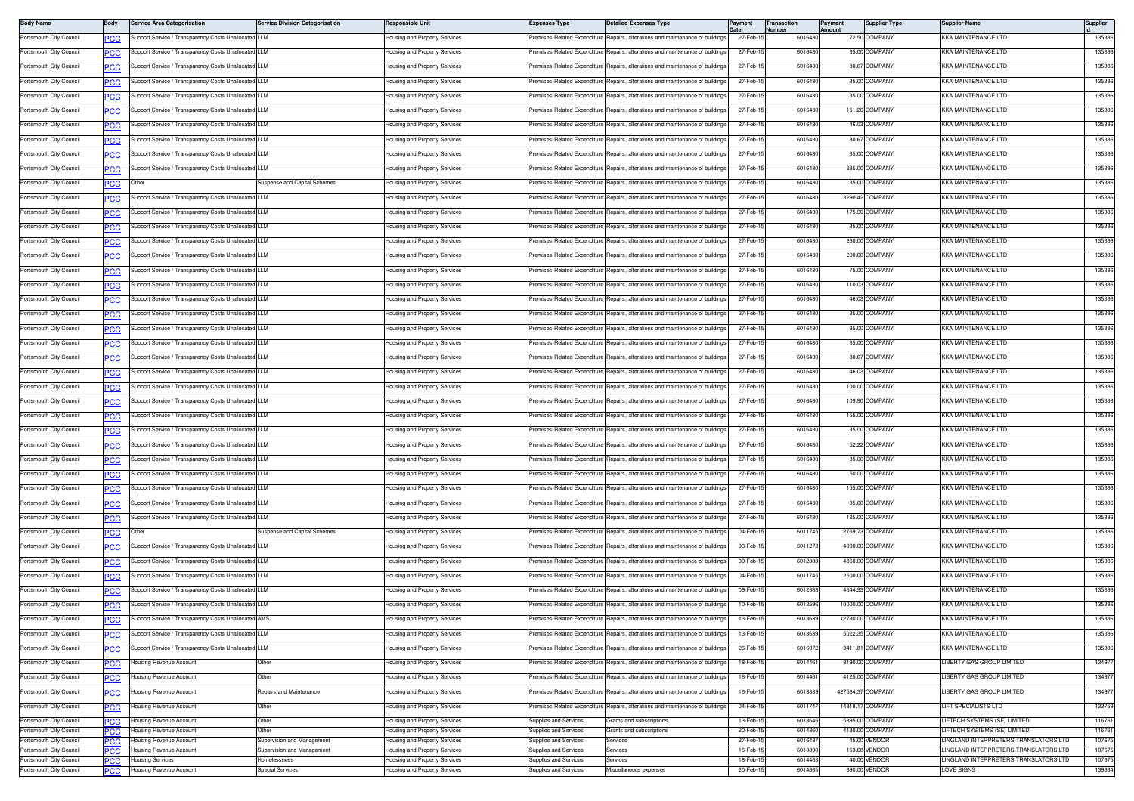| <b>Body Name</b>                                   | Body           | <b>Service Area Categorisation</b>                   | <b>Service Division Categorisation</b>     | Responsible Unit                                               | <b>Expenses Type</b>                                  | <b>Detailed Expenses Type</b>                                                  |                      | Transaction<br>lumber | ayment<br>mount | <b>Supplier Type</b>               | Supplier Name                                                                | Supplier         |
|----------------------------------------------------|----------------|------------------------------------------------------|--------------------------------------------|----------------------------------------------------------------|-------------------------------------------------------|--------------------------------------------------------------------------------|----------------------|-----------------------|-----------------|------------------------------------|------------------------------------------------------------------------------|------------------|
| Portsmouth City Council                            | PСC            | upport Service / Transparency Costs Unallocated LLM  |                                            | lousing and Property Services                                  |                                                       | remises-Related Expenditure Repairs, alterations and maintenance of buildings  | 27-Feb-1             | 601643                |                 | 72.50 COMPANY                      | <b>KKA MAINTENANCE LTD</b>                                                   | 135386           |
| Portsmouth City Council                            | <u>PCC</u>     | Support Service / Transparency Costs Unallocated LLM |                                            | lousing and Property Services                                  | Premises-Related Expenditure                          | Repairs, alterations and maintenance of buildings                              | 27-Feb-1             | 601643                |                 | 35.00 COMPANY                      | <b>KKA MAINTENANCE LTD</b>                                                   | 135386           |
| Portsmouth City Council                            | <b>PCC</b>     | Support Service / Transparency Costs Unallocated LLM |                                            | lousing and Property Services                                  | remises-Related Expenditure                           | Repairs, alterations and maintenance of buildings                              | 27-Feb-1             | 601643                |                 | 80.67 COMPANY                      | KKA MAINTENANCE LTD                                                          | 135386           |
| Portsmouth City Council                            | PCC            | Support Service / Transparency Costs Unallocated LLM |                                            | lousing and Property Services                                  | Premises-Related Expenditure                          | Repairs, alterations and maintenance of building                               | 27-Feb-1             | 601643                |                 | 35.00 COMPANY                      | KKA MAINTENANCE LTD                                                          | 135386           |
| Portsmouth City Council                            | <b>PCC</b>     | Support Service / Transparency Costs Unallocated LLM |                                            | lousing and Property Services                                  | Premises-Related Expenditure                          | Repairs, alterations and maintenance of buildings                              | 27-Feb-1             | 601643                |                 | 35.00 COMPANY                      | KKA MAINTENANCE LTD                                                          | 135386           |
| Portsmouth City Council                            | $\overline{C}$ | upport Service / Transparency Costs Unallocated LLM  |                                            | lousing and Property Services                                  | remises-Related Expenditure                           | Repairs, alterations and maintenance of buildings                              | 27-Feb-1             | 6016430               |                 | 151.20 COMPANY                     | KKA MAINTENANCE LTD                                                          | 135386           |
| Portsmouth City Council                            | <u>PCC</u>     | Support Service / Transparency Costs Unallocated LLM |                                            | lousing and Property Services                                  | Premises-Related Expenditure                          | Repairs, alterations and maintenance of buildings                              | 27-Feb-1             | 601643                |                 | 46.03 COMPANY                      | <b>KKA MAINTENANCE LTD</b>                                                   | 135386           |
| Portsmouth City Council                            | ∍CC            | Support Service / Transparency Costs Unallocated LLM |                                            | lousing and Property Services                                  | Premises-Related Expenditure                          | Repairs, alterations and maintenance of buildings                              | 27-Feb-1             | 601643                |                 | 80.67 COMPANY                      | KKA MAINTENANCE LTD                                                          | 135386           |
| Portsmouth City Council                            | PCC            | Support Service / Transparency Costs Unallocated LLM |                                            | lousing and Property Services                                  | Premises-Related Expenditure                          | Repairs, alterations and maintenance of building                               | 27-Feb-1             | 601643                |                 | 35.00 COMPANY                      | KKA MAINTENANCE LTD                                                          | 135386           |
| Portsmouth City Council                            | <b>PCC</b>     | Support Service / Transparency Costs Unallocated LLM |                                            | Housing and Property Services                                  | Premises-Related Expenditure                          | Repairs, alterations and maintenance of buildings                              | 27-Feb-15            | 6016430               |                 | 235.00 COMPANY                     | KKA MAINTENANCE LTD                                                          | 135386           |
| Portsmouth City Council                            | <b>PCC</b>     | Other                                                | Suspense and Capital Schemes               | lousing and Property Services                                  | remises-Related Expenditure                           | Repairs, alterations and maintenance of buildings                              | 27-Feb-1             | 6016430               |                 | 35.00 COMPANY                      | KKA MAINTENANCE LTD                                                          | 135386           |
| Portsmouth City Council                            | <u>PCC</u>     | Support Service / Transparency Costs Unallocated LLM |                                            | lousing and Property Services                                  | remises-Related Expenditure                           | Repairs, alterations and maintenance of buildings                              | 27-Feb-1             | 601643                |                 | 3290.42 COMPANY                    | <b>KKA MAINTENANCE LTD</b>                                                   | 135386           |
| Portsmouth City Council                            | <b>PCC</b>     | Support Service / Transparency Costs Unallocated LLM |                                            | lousing and Property Services                                  | remises-Related Expenditure                           | Repairs, alterations and maintenance of buildings                              | 27-Feb-1             | 601643                |                 | 175.00 COMPANY                     | KKA MAINTENANCE LTD                                                          | 135386           |
| Portsmouth City Council                            | PCC            | upport Service / Transparency Costs Unallocated LLM  |                                            | lousing and Property Services                                  | remises-Related Expenditure                           | Repairs, alterations and maintenance of building                               | 27-Feb-1             | 601643                |                 | 35.00 COMPANY                      | KKA MAINTENANCE LTD                                                          | 135386           |
| Portsmouth City Council                            |                | Support Service / Transparency Costs Unallocated LLM |                                            | Housing and Property Services                                  | Premises-Related Expenditure                          | Repairs, alterations and maintenance of buildings                              | 27-Feb-15            | 6016430               |                 | 260.00 COMPANY                     | KKA MAINTENANCE LTD                                                          | 135386           |
| Portsmouth City Council                            | <b>PCC</b>     | upport Service / Transparency Costs Unallocated LLM  |                                            | lousing and Property Services                                  | remises-Related Expenditure                           | Repairs, alterations and maintenance of buildings                              | 27-Feb-1             | 601643                |                 | 200.00 COMPANY                     | <b>KKA MAINTENANCE LTD</b>                                                   | 135386           |
| Portsmouth City Council                            | <b>PCC</b>     | Support Service / Transparency Costs Unallocated LLM |                                            | lousing and Property Services                                  | Premises-Related Expenditure                          | Repairs, alterations and maintenance of buildings                              | 27-Feb-1             | 601643                |                 | 75.00 COMPANY                      | <b>KKA MAINTENANCE LTD</b>                                                   | 135386           |
|                                                    | <b>PCC</b>     |                                                      |                                            |                                                                | Premises-Related Expenditure                          | Benairs, alterations and maintenance of buildings                              | 27-Feb-1             |                       |                 | 110.03 COMPANY                     |                                                                              |                  |
| Portsmouth City Council                            | <b>PCC</b>     | Support Service / Transparency Costs Unallocated LLM |                                            | lousing and Property Services                                  |                                                       |                                                                                |                      | 601643                |                 |                                    | KKA MAINTENANCE LTD                                                          | 135386           |
| Portsmouth City Council                            | <b>PCC</b>     | Support Service / Transparency Costs Unallocated LLM |                                            | Housing and Property Services                                  | Premises-Related Expenditure                          | Repairs, alterations and maintenance of building                               | 27-Feb-1             | 601643                |                 | 46.03 COMPANY                      | KKA MAINTENANCE LTD                                                          | 135386           |
| Portsmouth City Council                            | <b>PCC</b>     | upport Service / Transparency Costs Unallocated LLM  |                                            | lousing and Property Services                                  | remises-Related Expenditure                           | Repairs, alterations and maintenance of building                               | 27-Feb-1             | 601643                |                 | 35.00 COMPANY                      | KKA MAINTENANCE LTD                                                          | 135386           |
| Portsmouth City Council                            | $\overline{C}$ | Support Service / Transparency Costs Unallocated LLM |                                            | lousing and Property Services                                  | remises-Related Expenditure                           | Repairs, alterations and maintenance of buildings                              | 27-Feb-1             | 6016430               |                 | 35.00 COMPANY                      | <b>KKA MAINTENANCE LTD</b>                                                   | 135386           |
| Portsmouth City Council                            | <u>PCC</u>     | Support Service / Transparency Costs Unallocated LLM |                                            | lousing and Property Services                                  | remises-Related Expenditure                           | Repairs, alterations and maintenance of buildings                              | 27-Feb-1             | 601643                |                 | 35.00 COMPANY                      | <b>KKA MAINTENANCE LTD</b>                                                   | 135386           |
| Portsmouth City Council                            | ∍CC            | Support Service / Transparency Costs Unallocated LLM |                                            | lousing and Property Services                                  | remises-Related Expenditure                           | Repairs, alterations and maintenance of buildings                              | 27-Feb-1             | 601643                |                 | 80.67 COMPANY                      | KKA MAINTENANCE LTD                                                          | 135386           |
| Portsmouth City Council                            | PCC            | Support Service / Transparency Costs Unallocated LLM |                                            | lousing and Property Services                                  | remises-Related Expenditure                           | Repairs, alterations and maintenance of building                               | 27-Feb-1             | 601643                |                 | 46.03 COMPANY                      | KKA MAINTENANCE LTD                                                          | 135386           |
| Portsmouth City Council                            | <b>PCC</b>     | Support Service / Transparency Costs Unallocated LLM |                                            | lousing and Property Services                                  | remises-Related Expenditure                           | Repairs, alterations and maintenance of buildings                              | 27-Feb-1             | 601643                |                 | 100.00 COMPANY                     | <b>KKA MAINTENANCE LTD</b>                                                   | 135386           |
| Portsmouth City Council                            | $\overline{C}$ | Support Service / Transparency Costs Unallocated LLM |                                            | lousing and Property Services                                  | Premises-Related Expenditure                          | Repairs, alterations and maintenance of buildings                              | 27-Feb-1             | 601643                |                 | 109.90 COMPANY                     | <b>KKA MAINTENANCE LTD</b>                                                   | 135386           |
| Portsmouth City Council                            | <b>PCC</b>     | Support Service / Transparency Costs Unallocated LLM |                                            | lousing and Property Services                                  | remises-Related Expenditure                           | Repairs, alterations and maintenance of buildings                              | 27-Feb-1             | 601643                |                 | 155.00 COMPANY                     | <b>KKA MAINTENANCE LTD</b>                                                   | 135386           |
| Portsmouth City Council                            | <b>PCC</b>     | Support Service / Transparency Costs Unallocated LLM |                                            | lousing and Property Services                                  | Premises-Related Expenditure                          | Repairs, alterations and maintenance of buildings                              | 27-Feb-1             | 601643                |                 | 35.00 COMPANY                      | KKA MAINTENANCE LTD                                                          | 135386           |
| Portsmouth City Council                            | PCC            | upport Service / Transparency Costs Unallocated LLM  |                                            | lousing and Property Services                                  | remises-Related Expenditure                           | Repairs, alterations and maintenance of building                               | 27-Feb-1             | 601643                |                 | 52.22 COMPANY                      | KKA MAINTENANCE LTD                                                          | 135386           |
| Portsmouth City Council                            | сC             | upport Service / Transparency Costs Unallocated LLM  |                                            | lousing and Property Services                                  | emises-Related Expenditure                            | Repairs, alterations and maintenance of buildings                              | 27-Feb-1             | 601643                |                 | 35.00 COMPANY                      | <b>KKA MAINTENANCE LTD</b>                                                   | 135386           |
| Portsmouth City Council                            | <u>CC</u>      | upport Service / Transparency Costs Unallocated LLM  |                                            | lousing and Property Services                                  | remises-Related Expenditure                           | Repairs, alterations and maintenance of buildings                              | 27-Feb-1             | 601643                |                 | 50.00 COMPANY                      | <b>KKA MAINTENANCE LTD</b>                                                   | 135386           |
| Portsmouth City Council                            | <b>PCC</b>     | Support Service / Transparency Costs Unallocated LLM |                                            | lousing and Property Services                                  | remises-Related Expenditure                           | Repairs, alterations and maintenance of buildings                              | 27-Feb-1             | 601643                |                 | 155.00 COMPANY                     | <b>KKA MAINTENANCE LTD</b>                                                   | 135386           |
| Portsmouth City Council                            | <u>PCC</u>     | Support Service / Transparency Costs Unallocated LLM |                                            | lousing and Property Services                                  | remises-Related Expenditure                           | Repairs, alterations and maintenance of buildings                              | 27-Feb-1             | 601643                |                 | 35.00 COMPANY                      | KKA MAINTENANCE LTD                                                          | 135386           |
| Portsmouth City Council                            | PCC            | Support Service / Transparency Costs Unallocated LLM |                                            | Housing and Property Services                                  | Premises-Related Expenditure                          | Repairs, alterations and maintenance of building                               | 27-Feb-1             | 601643                |                 | 125.00 COMPANY                     | KKA MAINTENANCE LTD                                                          | 135386           |
| Portsmouth City Council                            | сC             | Other                                                | Suspense and Capital Schemes               | lousing and Property Services                                  | remises-Related Expenditure                           | Repairs, alterations and maintenance of buildings                              | 04-Feb-1             | 601174                |                 | 2769.73 COMPANY                    | KKA MAINTENANCE LTD                                                          | 135386           |
| Portsmouth City Council                            | <b>PCC</b>     | Support Service / Transparency Costs Unallocated LLM |                                            | lousing and Property Services                                  | Premises-Related Expenditure                          | Repairs, alterations and maintenance of buildings                              | 03-Feb-1             | 601127                |                 | 4000.00 COMPANY                    | <b>KKA MAINTENANCE LTD</b>                                                   | 135386           |
| Portsmouth City Council                            | <u>PCC</u>     | Support Service / Transparency Costs Unallocated LLM |                                            | lousing and Property Services                                  | Premises-Related Expenditure                          | Repairs, alterations and maintenance of buildings                              | 09-Feb-1             | 601238                |                 | 4860.00 COMPANY                    | <b>KKA MAINTENANCE LTD</b>                                                   | 135386           |
| Portsmouth City Council                            | ∍CC            | Support Service / Transparency Costs Unallocated LLM |                                            | lousing and Property Services                                  | Premises-Related Expenditure                          | Renairs, alterations and maintenance of buildings                              | 04-Feb-1             | 601174                |                 | 2500.00 COMPANY                    | KKA MAINTENANCE LTD                                                          | 135386           |
| Portsmouth City Council                            | <b>PCC</b>     | Support Service / Transparency Costs Unallocated LLM |                                            | lousing and Property Services                                  | remises-Related Expenditure                           | Repairs, alterations and maintenance of building                               | 09-Feb-1             | 601238                |                 | 4344.93 COMPANY                    | KKA MAINTENANCE LTD                                                          | 135386           |
| Portsmouth City Council                            | сC             | Support Service / Transparency Costs Unallocated     | ILLM                                       | lousing and Property Services                                  | remises-Related Expenditure                           | Repairs, alterations and maintenance of buildings                              | 10-Feb-1             | 601259                |                 | 10000.00 COMPANY                   | <b>KKA MAINTENANCE LTD</b>                                                   | 135386           |
| Portsmouth City Council                            | <b>PCC</b>     | Support Service / Transparency Costs Unallocated AMS |                                            | Housing and Property Services                                  |                                                       | Premises-Related Expenditure Repairs, alterations and maintenance of buildings | 13-Feb-15            | 6013639               |                 | 12730.00 COMPANY                   | KKA MAINTENANCE LTD                                                          | 135386           |
| Portsmouth City Council                            | <b>PCC</b>     | Support Service / Transparency Costs Unallocated LLM |                                            | lousing and Property Services                                  | remises-Related Expenditure                           | Repairs, alterations and maintenance of buildings                              | 13-Feb-15            | 6013639               |                 | 5022.35 COMPANY                    | KKA MAINTENANCE LTD                                                          | 135386           |
| Portsmouth City Council                            | <b>PCC</b>     | Support Service / Transparency Costs Unallocated LLM |                                            | lousing and Property Services                                  | remises-Related Expenditure                           | Repairs, alterations and maintenance of buildings                              | 26-Feb-1             | 601607                |                 | 3411.81 COMPANY                    | KKA MAINTENANCE LTD                                                          | 135386           |
| Portsmouth City Council                            |                | lousing Revenue Account                              | Other                                      | lousing and Property Services                                  | remises-Related Expenditure                           | Repairs, alterations and maintenance of buildings                              | 18-Feb-1             | 601446                |                 | 8190.00 COMPANY                    | <b>IBERTY GAS GROUP LIMITED</b>                                              | 134977           |
| Portsmouth City Council                            | <b>PCC</b>     | lousing Revenue Account                              | Other                                      | lousing and Property Services                                  | emises-Related Expenditure                            | Repairs, alterations and maintenance of buildings                              | 18-Feb-15            | 601446                |                 | 4125.00 COMPANY                    | IBERTY GAS GROUP LIMITED                                                     | 134977           |
| Portsmouth City Council                            | <u>PCC</u>     | lousing Revenue Account                              | Repairs and Maintenance                    |                                                                | remises-Related Expenditure                           | Repairs, alterations and maintenance of buildings                              | 16-Feb-1             | 601388                |                 | 427564.37 COMPANY                  | <b>IBERTY GAS GROUP LIMITED</b>                                              | 134977           |
|                                                    | <u>CC</u>      |                                                      |                                            | Housing and Property Services                                  |                                                       | Repairs, alterations and maintenance of buildings                              |                      |                       |                 |                                    |                                                                              |                  |
| Portsmouth City Council                            | <b>PCC</b>     | lousing Revenue Account                              | Other                                      | lousing and Property Services                                  | Premises-Related Expenditure                          |                                                                                | 04-Feb-1             | 601174                |                 | 14818.17 COMPANY                   | IFT SPECIALISTS LTD                                                          | 133759           |
| Portsmouth City Council<br>Portsmouth City Council | PCC<br>PCC     | Housing Revenue Account<br>Housing Revenue Account   | Other<br>Other                             | Housing and Property Services<br>lousing and Property Services | Supplies and Services<br>Supplies and Services        | Grants and subscriptions<br>Grants and subscriptions                           | 13-Feb-1<br>20-Feb-1 | 601364<br>601486      |                 | 5895.00 COMPANY<br>4180.00 COMPANY | LIFTECH SYSTEMS (SE) LIMITED<br>IFTECH SYSTEMS (SE) LIMITED                  | 116761<br>116761 |
| Portsmouth City Council                            | CС             | lousing Revenue Account                              | Supervision and Management                 | lousing and Property Services                                  | Supplies and Services                                 | iervices                                                                       | 27-Feb-1             | 601643                |                 | 45.00 VENDOR                       | INGLAND INTERPRETERS-TRANSLATORS LTD                                         | 107675           |
| Portsmouth City Council<br>Portsmouth City Council | PCC<br>PCC.    | Housing Revenue Account<br>Housing Services          | Supervision and Management<br>Homelessness | lousing and Property Services<br>lousing and Property Services | Supplies and Services<br><b>Supplies and Services</b> | Services<br>iervices                                                           | 16-Feb-1<br>18-Feb-1 | 601389<br>601446      |                 | 163.68 VENDOR<br>40.00 VENDOR      | INGLAND INTERPRETERS-TRANSLATORS LTD<br>INGLAND INTERPRETERS-TRANSLATORS LTD | 107675<br>107675 |
| Portsmouth City Council                            | PCC            | Housing Revenue Account                              | Special Services                           | lousing and Property Services                                  | Supplies and Services                                 | liscellaneous expenses                                                         | 20-Feb-1             | 601486                |                 | 690.00 VENDOR                      | LOVE SIGNS                                                                   | 139834           |
|                                                    |                |                                                      |                                            |                                                                |                                                       |                                                                                |                      |                       |                 |                                    |                                                                              |                  |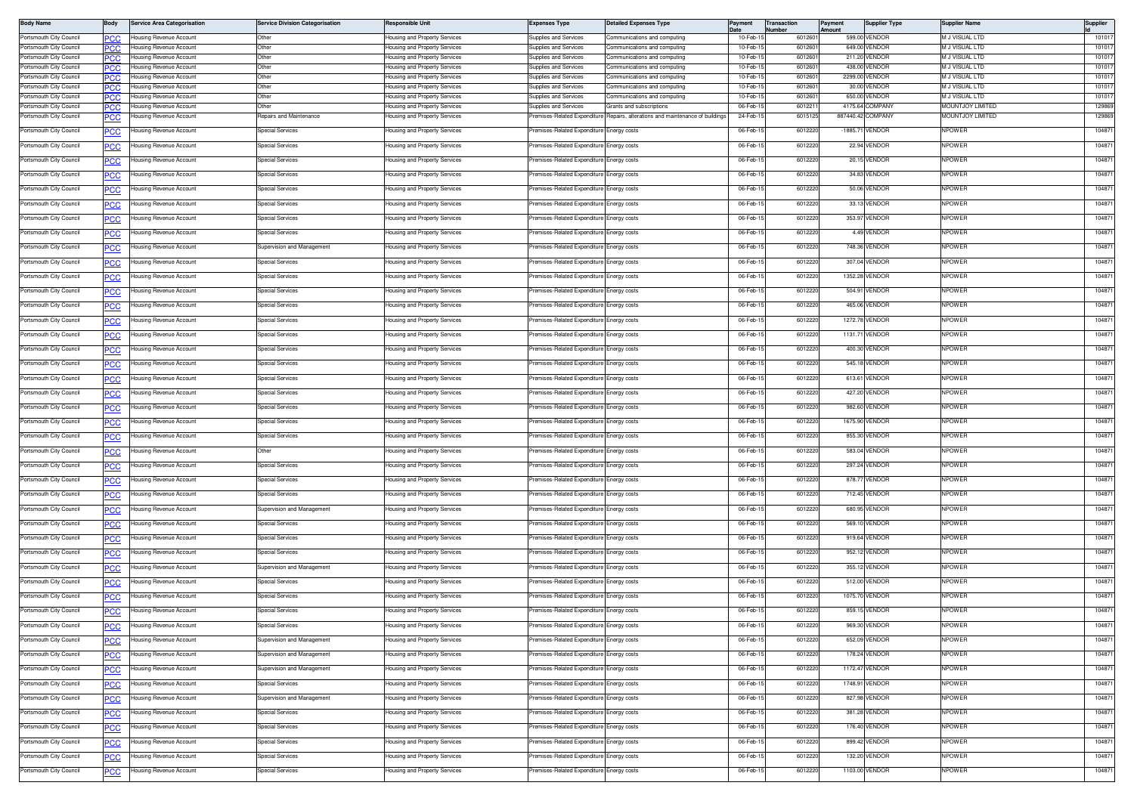| <b>Body Name</b>                                   | Body        | <b>Service Area Categorisation</b>                               | <b>Service Division Categorisation</b> | Responsible Unit                                               | Expenses Type                                  | <b>Detailed Expenses Type</b>                               | Payment              | <b>Transaction</b><br>Vumber | Payment<br>Amount | <b>Supplier Type</b>             | Supplier Name                             | Supplier         |
|----------------------------------------------------|-------------|------------------------------------------------------------------|----------------------------------------|----------------------------------------------------------------|------------------------------------------------|-------------------------------------------------------------|----------------------|------------------------------|-------------------|----------------------------------|-------------------------------------------|------------------|
| Portsmouth City Council                            |             | <b>Housing Revenue Account</b>                                   | Other                                  | Housing and Property Services                                  | Supplies and Services                          | Communications and computing                                | 10-Feb-              | 6012601                      |                   | 599.00 VENDOR                    | M J VISUAL LTD                            | 101017           |
| Portsmouth City Council<br>Portsmouth City Council | PCC         | <b>Housing Revenue Account</b><br><b>Housing Revenue Account</b> | Other<br>Other                         | Housing and Property Services<br>lousing and Property Services | Supplies and Services<br>Supplies and Services | Communications and computing<br>ommunications and computing | 10-Feb-1<br>10-Feb-1 | 601260<br>601260             | 211.20            | 649.00 VENDOR<br>VENDOR          | <b>M J VISUAL LTD</b><br>M J VISUAL LTD   | 101017<br>101017 |
| Portsmouth City Council                            |             | <b>Housing Revenue Account</b>                                   | Other                                  | lousing and Property Services                                  | Supplies and Services                          | ommunications and computing                                 | 10-Feb-1             | 601260                       |                   | 438.00 VENDOR                    | VI J VISUAL LTD                           | 101017           |
| Portsmouth City Council                            | 'nС         | Housing Revenue Account                                          | Other                                  | lousing and Property Services                                  | Supplies and Services                          | ommunications and computing                                 | 10-Feb-1             | 601260                       |                   | 2299.00 VENDOR                   | M J VISUAL LTD                            | 101017           |
| Portsmouth City Council                            |             | Housing Revenue Account                                          | ther                                   | lousing and Property Services                                  | upplies and Services                           | ommunications and computing                                 | 10-Feb-1             | 60126                        |                   | 30.00 VENDOR                     | M J VISUAL LTD                            | 101017           |
| Portsmouth City Council<br>Portsmouth City Council | <b>PCC</b>  | Housing Revenue Account<br>Housing Revenue Account               | Other<br>)the                          | lousing and Property Services<br>lousing and Property Services | Supplies and Services<br>upplies and Services  | ommunications and computing<br>Grants and subscriptions     | 10-Feb-1<br>06-Feb-  | 601260<br>60122              |                   | 650.00 VENDOR<br>4175.64 COMPANY | M J VISUAL LTD<br><b>MOUNTJOY LIMITED</b> | 101017<br>129869 |
| Portsmouth City Council                            | <u>PCC</u>  | Housing Revenue Account                                          | Repairs and Maintenance                | lousing and Property Services                                  | remises-Related Expenditure                    | Repairs, alterations and maintenance of building:           | 24-Feb-1             | 6015125                      |                   | 887440.42 COMPANY                | <b>MOUNTJOY LIMITED</b>                   | 129869           |
| Portsmouth City Council                            |             | Housing Revenue Account                                          | Special Services                       | lousing and Property Services                                  | remises-Related Expenditure                    | Energy costs                                                | 06-Feb-1             | 6012220                      |                   | -1885.71 VENDOR                  | NPOWER                                    | 104871           |
| Portsmouth City Council                            |             | Housing Revenue Account                                          | Special Services                       | lousing and Property Services                                  | remises-Related Expenditure                    | nergy costs                                                 | 06-Feb-1             | 6012220                      |                   | 22.94 VENDOR                     | NPOWER                                    | 104871           |
| Portsmouth City Council                            |             | Housing Revenue Account                                          | Special Services                       | lousing and Property Services                                  | remises-Related Expenditure                    | nergy costs                                                 | 06-Feb-1             | 6012220                      |                   | 20.15 VENDOR                     | <b>NPOWER</b>                             | 104871           |
| Portsmouth City Council                            | <u>PCC</u>  | Housing Revenue Account                                          | Special Services                       | Housing and Property Services                                  | Premises-Related Expenditure                   | Energy costs                                                | 06-Feb-1             | 6012220                      |                   | 34.83 VENDOR                     | NPOWER                                    | 104871           |
| Portsmouth City Council                            | <u>PCC</u>  | Housing Revenue Account                                          | Special Services                       | lousing and Property Services                                  | remises-Related Expenditure                    | Energy costs                                                | 06-Feb-1             | 601222                       |                   | 50.06 VENDOR                     | <b>NPOWER</b>                             | 104871           |
| Portsmouth City Council                            | <u>CC </u>  | Housing Revenue Account                                          | Special Services                       | lousing and Property Services                                  | remises-Related Expenditure                    | Energy costs                                                | 06-Feb-1             | 6012220                      |                   | 33.13 VENDOR                     | NPOWER                                    | 104871           |
| Portsmouth City Council                            |             | Housing Revenue Account                                          | Special Services                       | lousing and Property Services                                  | remises-Related Expenditure                    | nergy costs                                                 | 06-Feb-1             | 6012220                      |                   | 353.97 VENDOR                    | <b>NPOWER</b>                             | 104871           |
|                                                    |             |                                                                  |                                        |                                                                |                                                |                                                             |                      |                              |                   |                                  |                                           |                  |
| Portsmouth City Council                            | <u>PCC</u>  | Housing Revenue Account                                          | <b>Special Services</b>                | lousing and Property Services                                  | remises-Related Expenditure                    | nergy costs                                                 | 06-Feb-1             | 6012220                      |                   | 4.49 VENDOR                      | <b>NPOWER</b>                             | 104871           |
| Portsmouth City Council                            | <u>PCC</u>  | Housing Revenue Account                                          | Supervision and Management             | lousing and Property Services                                  | remises-Related Expenditure                    | nergy costs                                                 | 06-Feb-1             | 6012220                      |                   | 748.36 VENDOR                    | <b>NPOWER</b>                             | 104871           |
| Portsmouth City Council                            | <u> °СС</u> | Housing Revenue Account                                          | Special Services                       | lousing and Property Services                                  | remises-Related Expenditure                    | nergy costs                                                 | 06-Feb-1             | 601222                       |                   | 307.04 VENDOR                    | <b>NPOWER</b>                             | 104871           |
| Portsmouth City Council                            |             | Housing Revenue Account                                          | Special Services                       | lousing and Property Services                                  | remises-Related Expenditure                    | Energy costs                                                | 06-Feb-1             | 6012220                      |                   | 1352.28 VENDOR                   | <b>NPOWER</b>                             | 104871           |
| Portsmouth City Council                            |             | Housing Revenue Account                                          | Special Services                       | Housing and Property Services                                  | remises-Related Expenditure                    | nergy costs                                                 | 06-Feb-1             | 6012220                      |                   | 504.91 VENDOR                    | NPOWER                                    | 104871           |
| Portsmouth City Council                            | <u>PCC</u>  | Housing Revenue Account                                          | Special Services                       | lousing and Property Services                                  | remises-Related Expenditure                    | Inergy costs                                                | 06-Feb-1             | 6012220                      |                   | 465.06 VENDOR                    | NPOWER                                    | 104871           |
| Portsmouth City Council                            |             | Housing Revenue Account                                          | <b>Special Services</b>                | lousing and Property Services                                  | remises-Related Expenditure                    | Energy costs                                                | 06-Feb-1             | 6012220                      |                   | 1272.78 VENDOR                   | <b>NPOWER</b>                             | 104871           |
| Portsmouth City Council                            | <u>PCC</u>  | Housing Revenue Account                                          | Special Services                       | lousing and Property Services                                  | remises-Related Expenditure                    | inergy costs                                                | 06-Feb-1             | 601222                       |                   | 1131.71 VENDOR                   | <b>NPOWER</b>                             | 104871           |
| Portsmouth City Council                            |             | Housing Revenue Account                                          | Special Services                       | lousing and Property Services                                  | remises-Related Expenditure                    | Energy costs                                                | 06-Feb-1             | 601222                       |                   | 400.30 VENDOR                    | <b>NPOWER</b>                             | 104871           |
| Portsmouth City Council                            |             | Housing Revenue Account                                          | Special Services                       | Housing and Property Services                                  | remises-Related Expenditure                    | nergy costs                                                 | 06-Feb-1             | 6012220                      |                   | 545.18 VENDOR                    | <b>NPOWER</b>                             | 104871           |
| Portsmouth City Council                            | <u>PCC</u>  | <b>Housing Revenue Account</b>                                   | Special Services                       | lousing and Property Services                                  | remises-Related Expenditure                    | nergy costs                                                 | 06-Feb-1             | 601222                       |                   | 613.61 VENDOR                    | <b>NPOWER</b>                             | 104871           |
| Portsmouth City Council                            |             | <b>Housing Revenue Account</b>                                   | <b>Special Services</b>                | lousing and Property Services                                  | remises-Related Expenditure                    | nergy costs                                                 | 06-Feb-1             | 6012220                      |                   | 427.20 VENDOR                    | <b>NPOWER</b>                             | 104871           |
| Portsmouth City Council                            | <u>PCC</u>  | Housing Revenue Account                                          | Special Services                       | lousing and Property Services                                  | remises-Related Expenditure                    | Energy costs                                                | 06-Feb-1             | 601222                       |                   | 982.60 VENDOR                    | <b>NPOWER</b>                             | 104871           |
| Portsmouth City Council                            |             | Housing Revenue Account                                          | Special Services                       | lousing and Property Services                                  | remises-Related Expenditure                    | Energy costs                                                | 06-Feb-1             | 601222                       |                   | 1675.90 VENDOR                   | <b>NPOWER</b>                             | 104871           |
| Portsmouth City Council                            |             | Housing Revenue Account                                          | pecial Services                        | lousing and Property Services                                  | remises-Related Expenditure                    | nergy costs                                                 | 06-Feb-1             | 6012220                      |                   | 855.30 VENDOR                    | <b>NPOWER</b>                             | 104871           |
| Portsmouth City Council                            | <u>PCC</u>  | Housing Revenue Account                                          | Other                                  | lousing and Property Services                                  | remises-Related Expenditure                    | nergy costs                                                 | 06-Feb-1             | 601222                       |                   | 583.04 VENDOR                    | <b>NPOWER</b>                             | 104871           |
| Portsmouth City Council                            | <u>CC </u>  | Housing Revenue Account                                          | Special Services                       | lousing and Property Services                                  | remises-Related Expenditure                    | nergy costs                                                 | 06-Feb-1             | 6012220                      |                   | 297.24 VENDOR                    | <b>NPOWER</b>                             | 104871           |
| Portsmouth City Council                            | <u>CC </u>  | Housing Revenue Account                                          | Special Services                       | lousing and Property Services                                  | remises-Related Expenditure                    | Energy costs                                                | 06-Feb-1             | 601222                       |                   | 878.77 VENDOR                    | <b>NPOWER</b>                             | 104871           |
| Portsmouth City Council                            |             | <b>Housing Revenue Account</b>                                   | <b>Special Services</b>                | lousing and Property Services                                  | Premises-Related Expenditure                   | Energy costs                                                | 06-Feb-1             | 6012220                      |                   | 712.45 VENDOR                    | NPOWER                                    | 104871           |
| Portsmouth City Council                            |             | Housing Revenue Account                                          | Supervision and Management             | lousing and Property Services                                  | remises-Related Expenditure                    | nergy costs                                                 | 06-Feb-1             | 6012220                      |                   | 680.95 VENDOR                    | <b>NPOWER</b>                             | 104871           |
| Portsmouth City Council                            | <u>PCC</u>  | Housing Revenue Account                                          | Special Services                       | lousing and Property Services                                  | remises-Related Expenditure                    | nergy costs                                                 | 06-Feb-1             | 6012220                      |                   | 569.10 VENDOR                    | <b>NPOWER</b>                             | 104871           |
| Portsmouth City Council                            | <u>PCC</u>  | Housing Revenue Account                                          | Special Services                       | lousing and Property Services                                  | remises-Related Expenditure                    | nergy costs                                                 | 06-Feb-1             | 6012220                      |                   | 919.64 VENDOR                    | <b>NPOWER</b>                             | 104871           |
| Portsmouth City Council                            | <u>PCC</u>  | Housing Revenue Account                                          | Special Services                       | lousing and Property Services                                  | remises-Related Expenditure                    | Energy costs                                                | 06-Feb-1             | 601222                       |                   | 952.12 VENDOR                    | <b>NPOWER</b>                             | 104871           |
| Portsmouth City Council                            |             | Housing Revenue Account                                          | Supervision and Management             | lousing and Property Services                                  | remises-Related Expenditure                    | Energy costs                                                | 06-Feb-1             | 601222                       |                   | 355.12 VENDOR                    | <b>NPOWER</b>                             | 104871           |
| Portsmouth City Council                            |             | Housing Revenue Account                                          | Special Services                       | lousing and Property Services                                  | remises-Related Expenditure                    | nergy costs                                                 | 06-Feb-1             | 6012220                      |                   | 512.00 VENDOR                    | <b>NPOWER</b>                             | 104871           |
| Portsmouth City Council                            | <u>PCC</u>  | Housing Revenue Account                                          | <b>Special Services</b>                | lousing and Property Services                                  | remises-Related Expenditure                    | Inergy costs                                                | 06-Feb-1             | 6012220                      |                   | 1075.70 VENDOR                   | <b>NPOWER</b>                             | 104871           |
| Portsmouth City Council                            |             | <b>Housing Revenue Account</b>                                   | Special Services                       | lousing and Property Services                                  | Premises-Related Expenditure                   | Energy costs                                                | 06-Feb-1             | 6012220                      | 859.15            | VENDOR                           | <b>NPOWER</b>                             | 104871           |
| Portsmouth City Council                            |             | <b>Housing Revenue Account</b>                                   | pecial Services                        | lousing and Property Services                                  | remises-Related Expenditure Energy costs       |                                                             | 06-Feb-              | 601222                       |                   | 969.30 VENDOR                    | NPOWER                                    | 10487            |
| Portsmouth City Council                            | <b>PCC</b>  | Housing Revenue Account                                          | Supervision and Management             | lousing and Property Services                                  | Premises-Related Expenditure Energy costs      |                                                             | 06-Feb-15            | 6012220                      |                   | 652.09 VENDOR                    | NPOWER                                    | 104871           |
| Portsmouth City Council                            | PСC         | Housing Revenue Account                                          | Supervision and Management             | Housing and Property Services                                  | remises-Related Expenditure                    | inergy costs                                                | 06-Feb-1             | 6012220                      |                   | 178.24 VENDOR                    | NPOWER                                    | 104871           |
| Portsmouth City Council                            | <u>PCC</u>  | Housing Revenue Account                                          | Supervision and Management             | lousing and Property Services                                  | remises-Related Expenditure                    | inergy costs                                                | 06-Feb-1             | 6012220                      |                   | 1172.47 VENDOR                   | <b>NPOWER</b>                             | 104871           |
| Portsmouth City Council                            | <u>PCC</u>  | Housing Revenue Account                                          | <b>Special Services</b>                | lousing and Property Services                                  | remises-Related Expenditure                    | inergy costs                                                | 06-Feb-15            | 6012220                      |                   | 1748.91 VENDOR                   | <b>NPOWER</b>                             | 104871           |
| Portsmouth City Council                            | <u>PCC</u>  | Housing Revenue Account                                          | Supervision and Management             | Housing and Property Services                                  | remises-Related Expenditure Energy costs       |                                                             | 06-Feb-1             | 6012220                      |                   | 827.98 VENDOR                    | NPOWER                                    | 104871           |
| Portsmouth City Council                            | <u>PCC</u>  | Housing Revenue Account                                          | Special Services                       | lousing and Property Services                                  | remises-Related Expenditure                    | inergy costs                                                | 06-Feb-15            | 6012220                      |                   | 381.28 VENDOR                    | NPOWER                                    | 104871           |
| Portsmouth City Council                            |             | Housing Revenue Account                                          | Special Services                       | Housing and Property Services                                  | remises-Related Expenditure                    | inergy costs                                                | 06-Feb-15            | 6012220                      |                   | 176.40 VENDOR                    | NPOWER                                    | 104871           |
| Portsmouth City Council                            | <u>PCC</u>  | Housing Revenue Account                                          | Special Services                       | lousing and Property Services                                  | remises-Related Expenditure                    | nergy costs                                                 | 06-Feb-1             | 6012220                      |                   | 899.42 VENDOR                    | <b>NPOWER</b>                             | 104871           |
| Portsmouth City Council                            | <u>PCC</u>  | <b>Housing Revenue Account</b>                                   | <b>Special Services</b>                | lousing and Property Services                                  | remises-Related Expenditure                    | nergy costs                                                 | 06-Feb-15            | 6012220                      |                   | 132.20 VENDOR                    | NPOWER                                    | 104871           |
| Portsmouth City Council                            | <u>PCC</u>  | Housing Revenue Account                                          | Special Services                       | Housing and Property Services                                  | remises-Related Expenditure Energy costs       |                                                             | 06-Feb-15            | 6012220                      |                   | 1103.00 VENDOR                   | npower                                    | 104871           |
|                                                    |             |                                                                  |                                        |                                                                |                                                |                                                             |                      |                              |                   |                                  |                                           |                  |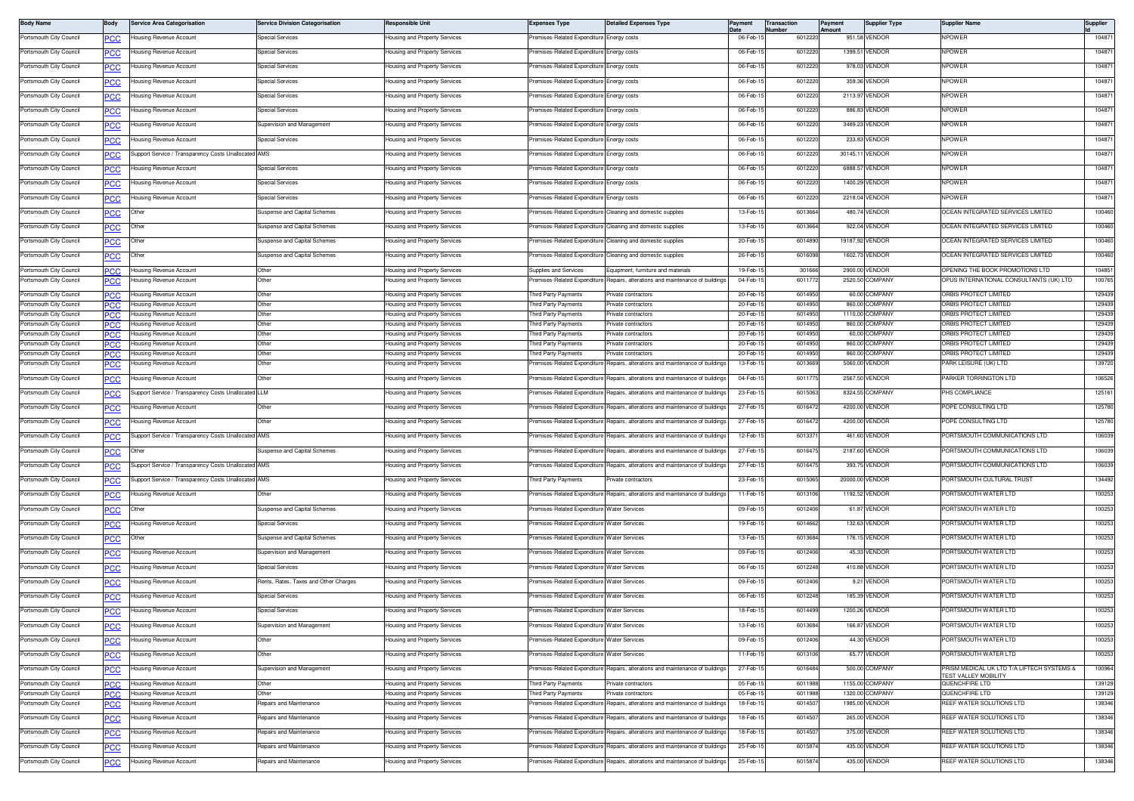| <b>Body Name</b>                                   | Body             | Service Area Categorisation                          | <b>Service Division Categorisation</b> | <b>Responsible Unit</b>                                        | <b>Expenses Type</b>                        | <b>Detailed Expenses Type</b>                                                  | Payment             | <b>Transaction</b><br><b>Number</b> | <b>Payment</b><br>Amount | <b>Supplier Type</b>            | <b>Supplier Nam</b>                            | Supplier         |
|----------------------------------------------------|------------------|------------------------------------------------------|----------------------------------------|----------------------------------------------------------------|---------------------------------------------|--------------------------------------------------------------------------------|---------------------|-------------------------------------|--------------------------|---------------------------------|------------------------------------------------|------------------|
| Portsmouth City Council                            | <b>PCC</b>       | lousing Revenue Account                              | Special Services                       | lousing and Property Services                                  | remises-Related Expenditure Energy costs    |                                                                                | 06-Feb-             | 6012220                             |                          | 951.58 VENDOR                   | <b>NPOWER</b>                                  | 104871           |
| Portsmouth City Council                            | <u>CC </u>       | ousing Revenue Account                               | Special Services                       | lousing and Property Services                                  | emises-Related Expenditure                  | Energy costs                                                                   | 06-Feb-1            | 6012220                             |                          | 1399.51 VENDOR                  | <b>IPOWER</b>                                  | 104871           |
| Portsmouth City Council                            | PСC              | lousing Revenue Account                              | Special Services                       | lousing and Property Services                                  | remises-Related Expenditure                 | Energy costs                                                                   | 06-Feb-1            | 6012220                             |                          | 978.03 VENDOR                   | <b>NPOWER</b>                                  | 104871           |
| Portsmouth City Council                            | PCC              | lousing Revenue Account                              | <b>Special Services</b>                | lousing and Property Services                                  | remises-Related Expenditure                 | Energy costs                                                                   | 06-Feb-             | 601222                              |                          | 359.36 VENDOR                   | <b>IPOWER</b>                                  | 104871           |
| Portsmouth City Council                            | <u>PCC</u>       | lousing Revenue Account                              | <b>Special Services</b>                | Housing and Property Services                                  | remises-Related Expenditure Energy costs    |                                                                                | 06-Feb-1            | 6012220                             |                          | 2113.97 VENDOR                  | <b>NPOWER</b>                                  | 104871           |
| Portsmouth City Council                            | <b>PCC</b>       | lousing Revenue Account                              | <b>Special Services</b>                | Housing and Property Services                                  | Premises-Related Expenditure Energy costs   |                                                                                | 06-Feb-             | 6012220                             |                          | 886.83 VENDOR                   | <b>NPOWER</b>                                  | 104871           |
| Portsmouth City Council                            | <b>PCC</b>       | lousing Revenue Account                              | Supervision and Management             | lousing and Property Services                                  | emises-Related Expenditure                  | Energy costs                                                                   | 06-Feb-1            | 601222                              |                          | 3489.23 VENDOR                  | <b>IPOWER</b>                                  | 104871           |
| Portsmouth City Council                            | <b>PCC</b>       | lousing Revenue Account                              | <b>Special Services</b>                | lousing and Property Services                                  | Premises-Related Expenditure Energy costs   |                                                                                | 06-Feb-1            | 6012220                             |                          | 233.83 VENDOR                   | <b>NPOWER</b>                                  | 104871           |
| Portsmouth City Council                            | PCC              | Support Service / Transparency Costs Unallocated     | <b>AMS</b>                             | lousing and Property Services                                  | remises-Related Expenditure                 | nergy costs:                                                                   | 06-Feb-             | 601222                              | 30145.1                  | VENDOR                          | <b>IPOWER</b>                                  | 104871           |
| Portsmouth City Council                            |                  | lousing Revenue Account                              | Special Services                       | Housing and Property Services                                  | remises-Related Expenditure                 | Energy costs                                                                   | 06-Feb-1            | 6012220                             |                          | 6888.57 VENDOR                  | NPOWER                                         | 104871           |
| Portsmouth City Council                            | <u>'CC</u>       | lousing Revenue Account                              | <b>Special Services</b>                |                                                                | remises-Related Expenditure Energy costs    |                                                                                | 06-Feb-             | 6012220                             |                          | 1400.29 VENDOR                  | <b>NPOWER</b>                                  | 104871           |
|                                                    | <b>PCC</b>       |                                                      |                                        | lousing and Property Services                                  |                                             |                                                                                |                     |                                     |                          |                                 |                                                |                  |
| Portsmouth City Council                            | <u>CC</u>        | lousing Revenue Account                              | Special Services                       | lousing and Property Services                                  | emises-Related Expenditure                  | Energy costs                                                                   | 06-Feb-1            | 6012220                             |                          | 2218.04 VENDOR                  | <b>IPOWER</b>                                  | 104871           |
| Portsmouth City Council                            | $\overline{C}$   | Other                                                | Suspense and Capital Schemes           | lousing and Property Services                                  | remises-Related Expenditure                 | Cleaning and domestic supplies                                                 | 13-Feb-1            | 6013664                             |                          | 480.74 VENDOR                   | OCEAN INTEGRATED SERVICES LIMITED              | 100460           |
| Portsmouth City Council                            | PCC              | Other                                                | Suspense and Capital Schemes           | lousing and Property Services                                  | remises-Related Expenditure                 | Cleaning and domestic supplies                                                 | 13-Feb-1            | 6013664                             |                          | 922.04 VENDOR                   | CEAN INTEGRATED SERVICES LIMITED               | 100460           |
| Portsmouth City Council                            |                  | Other                                                | Suspense and Capital Schemes           | Housing and Property Services                                  |                                             | Premises-Related Expenditure Cleaning and domestic supplies                    | 20-Feb-1            | 6014890                             |                          | 19187.92 VENDOR                 | OCEAN INTEGRATED SERVICES LIMITED              | 100460           |
| Portsmouth City Council                            | <b>PCC</b>       | Other                                                | Suspense and Capital Schemes           | Housing and Property Services                                  |                                             | Premises-Related Expenditure Cleaning and domestic supplies                    | 26-Feb-1            | 6016098                             |                          | 1602.73 VENDOR                  | OCEAN INTEGRATED SERVICES LIMITED              | 100460           |
| Portsmouth City Council                            | PCC              | lousing Revenue Account                              | Other                                  | lousing and Property Services                                  | Supplies and Services                       | Equipment, furniture and materials                                             | 19-Feb-1            | 301666                              |                          | 2900.00 VENDOR                  | OPENING THE BOOK PROMOTIONS LTD                | 104851           |
| Portsmouth City Council                            | PСC              | ousing Revenue Account                               | Other                                  | lousing and Property Services                                  | emises-Related Expenditure                  | Repairs, alterations and maintenance of building                               | 04-Feb-1            | 601177                              |                          | 2520.50 COMPANY                 | PUS INTERNATIONAL CONSULTANTS (UK) LTD         | 100765           |
| Portsmouth City Council                            | PCC              | lousing Revenue Account                              | Other                                  | lousing and Property Services                                  | hird Party Payments                         | rivate contractors                                                             | 20-Feb-1            | 6014950                             |                          | 60.00 COMPANY<br>860.00 COMPANY | ORBIS PROTECT LIMITED                          | 129439<br>129439 |
| Portsmouth City Council<br>Portsmouth City Council | PCC.<br>PCC      | lousing Revenue Account<br>Housing Revenue Account   | Other<br>Other                         | lousing and Property Services<br>Housing and Property Services | hird Party Payments<br>hird Party Payments  | rivate contractors<br>Private contractors                                      | 20-Feb-<br>20-Feb-1 | 6014950<br>6014950                  |                          | 1110.00 COMPANY                 | ORBIS PROTECT LIMITED<br>ORBIS PROTECT LIMITED | 129439           |
| Portsmouth City Council                            | <b>PCC</b>       | Housing Revenue Account                              | Other                                  | Housing and Property Services                                  | Third Party Payments                        | Private contractors                                                            | 20-Feb-1            | 6014950                             |                          | 860.00 COMPANY                  | ORBIS PROTECT LIMITED                          | 129439           |
| Portsmouth City Council<br>Portsmouth City Council |                  | lousing Revenue Account<br>Housing Revenue Account   | Other<br>Other                         | Housing and Property Services<br>lousing and Property Services | hird Party Payments<br>nird Party Payments  | Private contractors<br>rivate contractors                                      | 20-Feb-<br>20-Feb-1 | 601495<br>6014950                   |                          | 60.00 COMPANY<br>860.00 COMPANY | ORBIS PROTECT LIMITED<br>ORBIS PROTECT LIMITED | 129439<br>129439 |
| Portsmouth City Council                            | PC.C<br>°СС      | Housing Revenue Account                              | Other                                  | lousing and Property Services                                  | hird Party Payments                         | rivate contractors                                                             | 20-Feb-1            | 6014950                             |                          | 860.00 COMPANY                  | ORBIS PROTECT LIMITED                          | 129439           |
| Portsmouth City Council                            | <u>PCC</u>       | lousing Revenue Account                              | Other                                  | lousing and Property Services                                  | remises-Related Expenditure                 | Repairs, alterations and maintenance of building                               | 13-Feb-1            | 6013669                             |                          | 5060.00 VENDOR                  | ARK LEISURE (UK) LTD                           | 139720           |
| Portsmouth City Council                            |                  | lousing Revenue Account                              | Other                                  | Housing and Property Services                                  |                                             | remises-Related Expenditure Repairs, alterations and maintenance of buildings  | 04-Feb-             | 601177                              |                          | 2567.50 VENDOR                  | PARKER TORRINGTON LTD                          | 106526           |
| Portsmouth City Council                            | <u>PCC</u>       | Support Service / Transparency Costs Unallocated LLM |                                        | Housing and Property Services                                  | Premises-Related Expenditure                | Repairs, alterations and maintenance of buildings                              | 23-Feb-1            | 601506                              |                          | 8324.55 COMPANY                 | <b>PHS COMPLIANCE</b>                          | 125161           |
| Portsmouth City Council                            | <b>PCC</b>       | lousing Revenue Account                              | Other                                  | lousing and Property Services                                  | emises-Related Expenditure                  | Repairs, alterations and maintenance of buildings                              | 27-Feb-1            | 601647                              |                          | 4200.00 VENDOR                  | POPE CONSULTING LTD                            | 125780           |
| Portsmouth City Council                            | PСC              | lousing Revenue Account                              | Other                                  | lousing and Property Services                                  | Premises-Related Expenditure                | Repairs, alterations and maintenance of buildings                              | 27-Feb-1            | 6016472                             |                          | 4200.00 VENDOR                  | POPE CONSULTING LTD                            | 125780           |
| Portsmouth City Council                            | <b>PCC</b>       | Support Service / Transparency Costs Unallocated AMS |                                        | lousing and Property Services                                  | remises-Related Expenditure                 | Repairs, alterations and maintenance of buildings                              | 12-Feb-1            | 601337                              |                          | 461.60 VENDOR                   | PORTSMOUTH COMMUNICATIONS LTD                  | 106039           |
| Portsmouth City Council                            |                  | Other                                                | Suspense and Capital Schemes           | Housing and Property Services                                  | remises-Related Expenditure                 | Repairs, alterations and maintenance of buildings                              | 27-Feb-1            | 601647                              |                          | 2187.60 VENDOR                  | PORTSMOUTH COMMUNICATIONS LTD                  | 106039           |
| Portsmouth City Council                            | <u>CC</u>        | Support Service / Transparency Costs Unallocated AMS |                                        | lousing and Property Services                                  |                                             | Premises-Related Expenditure Repairs, alterations and maintenance of buildings | 27-Feb-             | 601647                              |                          | 393.75 VENDOR                   | PORTSMOUTH COMMUNICATIONS LTD                  | 106039           |
|                                                    | <b>PCC</b>       |                                                      |                                        |                                                                |                                             |                                                                                |                     |                                     |                          |                                 |                                                |                  |
| Portsmouth City Council                            | <u>PCC</u>       | Support Service / Transparency Costs Unallocated AMS |                                        | lousing and Property Services                                  | Third Party Payments                        | rivate contractors                                                             | 23-Feb-1            | 6015065                             |                          | 20000.00 VENDOR                 | PORTSMOUTH CULTURAL TRUST                      | 134492           |
| Portsmouth City Council                            | <b>PCC</b>       | lousing Revenue Account                              | Other                                  | lousing and Property Services                                  |                                             | Premises-Related Expenditure Repairs, alterations and maintenance of buildings | 11-Feb-1            | 6013106                             |                          | 1192.52 VENDOR                  | PORTSMOUTH WATER LTD                           | 100253           |
| Portsmouth City Council                            | <b>PCC</b>       | Other                                                | Suspense and Capital Schemes           | lousing and Property Services                                  | remises-Related Expenditure Water Services  |                                                                                | 09-Feb-1            | 6012406                             |                          | 61.87 VENDOR                    | ORTSMOUTH WATER LTD                            | 100253           |
| Portsmouth City Council                            |                  | Housing Revenue Account                              | <b>Special Services</b>                | <b>Housing and Property Services</b>                           | Premises-Related Expenditure Water Services |                                                                                | 19-Feb-1            | 6014662                             |                          | 132.63 VENDOR                   | PORTSMOUTH WATER LTD                           | 100253           |
| Portsmouth City Council                            | <u>PCC</u>       | Other                                                | Suspense and Capital Schemes           | Housing and Property Services                                  | Premises-Related Expenditure Water Services |                                                                                | 13-Feb-1            | 6013684                             |                          | 176.15 VENDOR                   | PORTSMOUTH WATER LTD                           | 100253           |
| Portsmouth City Council                            | $\overline{C}$   | lousing Revenue Account                              | Supervision and Management             | lousing and Property Services                                  | remises-Related Expenditure Water Services  |                                                                                | 09-Feb-1            | 6012406                             |                          | 45.33 VENDOR                    | PORTSMOUTH WATER LTD                           | 100253           |
| Portsmouth City Council                            |                  | lousing Revenue Account                              | Special Services                       | Housing and Property Services                                  | remises-Related Expenditure Water Services  |                                                                                | 06-Feb-1            | 6012248                             |                          | 410.88 VENDOR                   | PORTSMOUTH WATER LTD                           | 100253           |
| Portsmouth City Council                            | <b>PCC</b>       | lousing Revenue Account                              | Rents, Rates, Taxes and Other Charges  | lousing and Property Services                                  | remises-Related Expenditure Water Services  |                                                                                | 09-Feb-1            | 6012406                             |                          | 9.21 VENDOR                     | PORTSMOUTH WATER LTD                           | 100253           |
| Portsmouth City Council                            | <u>CC</u>        | Housing Revenue Account                              | Special Services                       | Housing and Property Services                                  | remises-Related Expenditure Water Services  |                                                                                | $06 - Feb - 1$      | 6012248                             |                          | 185.39 VENDOR                   | PORTSMOUTH WATER LTD                           | 100253           |
| Portsmouth City Council                            | <b>PCC</b>       | Housing Revenue Account                              | <b>Special Services</b>                | Housing and Property Services                                  | Premises-Related Expenditure Water Services |                                                                                | 18-Feb-1            | 6014499                             |                          | 1200.26 VENDOR                  | PORTSMOUTH WATER LTD                           | 100253           |
| <b>JILSINOULII CILY COUNCI</b>                     |                  | using Hevenue Account                                | pervisioni and ivianagement            | using and Property Services                                    |                                             | ater Services                                                                  | 19-LAD.             | <b>DU 1901</b>                      | 100.0                    | <b>ENDUM</b>                    | JH I SMUU I FI WA I EH L I U                   | 100233           |
| Portsmouth City Council                            | $\overline{C}$   | lousing Revenue Account                              | Other                                  | Housing and Property Services                                  | Premises-Related Expenditure Water Services |                                                                                | 09-Feb-1            | 6012406                             |                          | 44.30 VENDOR                    | PORTSMOUTH WATER LTD                           | 100253           |
| Portsmouth City Council                            | <b>PCC</b>       | lousing Revenue Account                              | Other                                  | lousing and Property Services                                  | remises-Related Expenditure Water Services  |                                                                                | 11-Feb-1            | 6013106                             |                          | 65.77 VENDOR                    | PORTSMOUTH WATER LTD                           | 100253           |
| Portsmouth City Council                            |                  | lousing Revenue Account                              | Supervision and Management             | Housing and Property Services                                  |                                             | remises-Related Expenditure Repairs, alterations and maintenance of buildings  | 27-Feb-1            | 6016484                             |                          | 500.00 COMPANY                  | PRISM MEDICAL UK LTD T/A LIFTECH SYSTEMS &     | 100964           |
|                                                    |                  |                                                      |                                        |                                                                |                                             |                                                                                |                     |                                     |                          | 1155.00 COMPANY                 | <b>EST VALLEY MOBILITY</b>                     | 139129           |
| Portsmouth City Council<br>Portsmouth City Council | <b>PCC</b><br>сc | Housing Revenue Account<br>Housing Revenue Account   | Other<br>Other                         | Housing and Property Services<br>Housing and Property Services | Third Party Payments<br>hird Party Payments | Private contractors<br>Private contractors                                     | 05-Feb-<br>05-Feb-1 | 6011988<br>6011988                  |                          | 1320.00 COMPANY                 | QUENCHFIRE LTD<br>QUENCHFIRE LTD               | 139129           |
| Portsmouth City Council                            | <u>PCC</u>       | Housing Revenue Account                              | Repairs and Maintenance                | lousing and Property Services                                  | remises-Related Expenditure                 | Repairs, alterations and maintenance of building                               | 18-Feb-1            | 601450                              |                          | 1985.00 VENDOR                  | REEF WATER SOLUTIONS LTD                       | 138346           |
| Portsmouth City Council                            | <u>PCC</u>       | lousing Revenue Account                              | Repairs and Maintenance                | Housing and Property Services                                  |                                             | Premises-Related Expenditure Repairs, alterations and maintenance of buildings | 18-Feb-1            | 6014507                             |                          | 265.00 VENDOR                   | REEF WATER SOLUTIONS LTD                       | 138346           |
| Portsmouth City Council                            | <u>PCC</u>       | Housing Revenue Account                              | Repairs and Maintenance                | Housing and Property Services                                  |                                             | Premises-Related Expenditure Repairs, alterations and maintenance of buildings | 18-Feb-1            | 6014507                             |                          | 375.00 VENDOR                   | REEF WATER SOLUTIONS LTD                       | 138346           |
| Portsmouth City Council                            | <u>PCC </u>      | lousing Revenue Account                              | Repairs and Maintenance                | lousing and Property Services                                  | remises-Related Expenditure                 | Repairs, alterations and maintenance of buildings                              | 25-Feb-1            | 6015874                             |                          | 435.00 VENDOR                   | REEF WATER SOLUTIONS LTD                       | 138346           |
| Portsmouth City Council                            | <u>PCC</u>       | lousing Revenue Account                              | Repairs and Maintenance                | lousing and Property Services                                  | remises-Related Expenditure                 | Repairs, alterations and maintenance of buildings                              | 25-Feb-1            | 601587                              |                          | 435.00 VENDOR                   | REEF WATER SOLUTIONS LTD                       | 138346           |
|                                                    |                  |                                                      |                                        |                                                                |                                             |                                                                                |                     |                                     |                          |                                 |                                                |                  |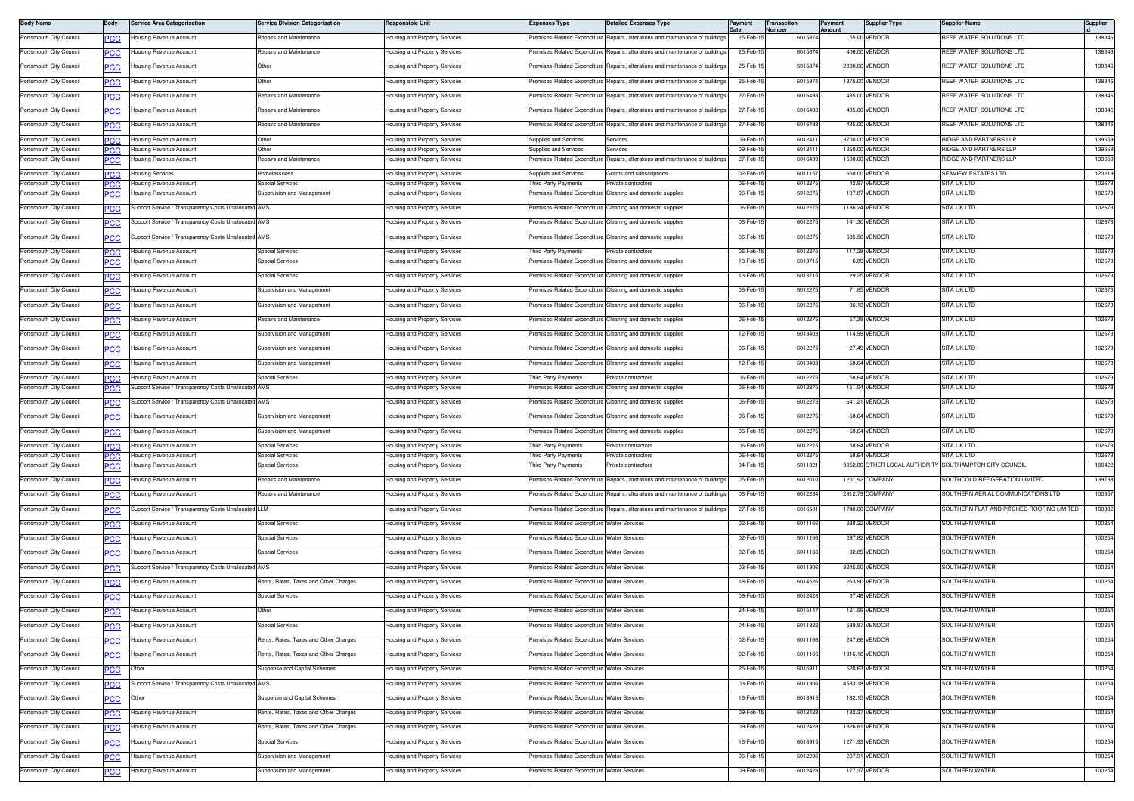| <b>Body Name</b>                                   | Body              | Service Area Categorisation                                      | <b>Service Division Categorisation</b> | <b>Responsible Unit</b>                                        | Expenses Type                                  | <b>Detailed Expenses Type</b>                                                  | Payment              | Transaction<br>Number | Payment<br>Amount | <b>Supplier Type</b>                          | Supplier Name                                    | Supplier         |
|----------------------------------------------------|-------------------|------------------------------------------------------------------|----------------------------------------|----------------------------------------------------------------|------------------------------------------------|--------------------------------------------------------------------------------|----------------------|-----------------------|-------------------|-----------------------------------------------|--------------------------------------------------|------------------|
| Portsmouth City Council                            | <u>PCC</u>        | Housing Revenue Account                                          | Repairs and Maintenance                | Housing and Property Services                                  |                                                | Premises-Related Expenditure Repairs, alterations and maintenance of buildings | 25-Feb-1             | 6015874               |                   | 55.00 VENDOR                                  | REEF WATER SOLUTIONS LTD                         | 138346           |
| Portsmouth City Council                            | <b>PCC</b>        | Housing Revenue Account                                          | Repairs and Maintenance                | lousing and Property Services                                  | remises-Related Expenditure                    | Repairs, alterations and maintenance of building                               | 25-Feb-1             | 6015874               |                   | 406.00 VENDOR                                 | REEF WATER SOLUTIONS LTD                         | 138346           |
| Portsmouth City Council                            | <b>PCC</b>        | lousing Revenue Account                                          | Other                                  | lousing and Property Services                                  | remises-Related Expenditure                    | Repairs, alterations and maintenance of buildings                              | 25-Feb-1             | 601587                |                   | 2880.00 VENDOR                                | REEF WATER SOLUTIONS LTD                         | 138346           |
| Portsmouth City Council                            | PCC               | lousing Revenue Account                                          | Other                                  | lousing and Property Services                                  | Premises-Related Expenditure                   | lepairs, alterations and maintenance of building                               | 25-Feb-1             | 6015874               |                   | 1375.00 VENDOR                                | REEF WATER SOLUTIONS LTD                         | 138346           |
| Portsmouth City Council                            | <b>PCC</b>        | Housing Revenue Account                                          | Repairs and Maintenance                | lousing and Property Services                                  | Premises-Related Expenditure                   | Benairs, alterations and maintenance of building                               | 27-Feb-1             | 6016493               |                   | 435.00 VENDOR                                 | REEF WATER SOLUTIONS LTD                         | 138346           |
| Portsmouth City Council                            |                   | Housing Revenue Account                                          | Repairs and Maintenance                | <b>Housing and Property Services</b>                           | Premises-Related Expenditure                   | Repairs, alterations and maintenance of building                               | 27-Feb-1             | 6016493               |                   | 435.00 VENDOR                                 | REEF WATER SOLUTIONS LTD                         | 138346           |
| Portsmouth City Council                            | <u>PCC</u>        | Housing Revenue Account                                          | Repairs and Maintenance                | Housing and Property Services                                  | Premises-Related Expenditure                   | Repairs, alterations and maintenance of building                               | 27-Feb-1             | 6016493               |                   | 435.00 VENDOR                                 | REEF WATER SOLUTIONS LTD                         | 138346           |
|                                                    | <b>PCC</b>        |                                                                  |                                        |                                                                |                                                |                                                                                |                      |                       |                   |                                               |                                                  |                  |
| Portsmouth City Council<br>Portsmouth City Council | PCC<br><b>PCC</b> | <b>Housing Revenue Account</b><br><b>Housing Revenue Account</b> | Other<br>Other                         | Housing and Property Services<br>Housing and Property Services | Supplies and Services<br>Supplies and Services | ervices<br>Services                                                            | 09-Feb-1<br>09-Feb-1 | 601241<br>601241      |                   | 3700.00 VENDOR<br>1250.00 VENDOR              | RIDGE AND PARTNERS LLF<br>RIDGE AND PARTNERS LLF | 139659<br>139659 |
| Portsmouth City Council                            | <b>PCC</b>        | lousing Revenue Account                                          | Repairs and Maintenance                | lousing and Property Services                                  | remises-Related Expenditure                    | lepairs, alterations and maintenance of buildings                              | 27-Feb-1             | 6016499               |                   | 1500.00 VENDOR                                | RIDGE AND PARTNERS LLP                           | 139659           |
| Portsmouth City Council                            | PCC.              | <b>Housing Services</b>                                          | Homelessness                           | Housing and Property Services                                  | Supplies and Services                          | Grants and subscriptions                                                       | 02-Feb-1             | 6011157               |                   | 660.00 VENDOR                                 | SEAVIEW ESTATES LTD                              | 120219           |
| Portsmouth City Council                            | <b>PCC</b>        | Housing Revenue Account                                          | <b>Special Services</b>                | Housing and Property Services                                  | hird Party Payments                            | rivate contractors                                                             | 06-Feb-              | 601227                |                   | 42.97 VENDOF                                  | SITA UK LTD                                      | 102673           |
| Portsmouth City Council                            | <b>PCC</b>        | Housing Revenue Account                                          | Supervision and Management             | Housing and Property Services                                  | Premises-Related Expenditure                   | Cleaning and domestic supplies                                                 | 06-Feb-1             | 601227                |                   | 107.87 VENDOR                                 | SITA UK LTD                                      | 102673           |
| Portsmouth City Council                            | <u>PCC</u>        | Support Service / Transparency Costs Unallocated AMS             |                                        | Housing and Property Services                                  | remises-Related Expenditure                    | Cleaning and domestic supplies                                                 | 06-Feb-1             | 601227                |                   | 1186.24 VENDOR                                | SITA UK LTD                                      | 102673           |
| Portsmouth City Council                            | <b>PCC</b>        | Support Service / Transparency Costs Unallocated AMS             |                                        | Housing and Property Services                                  |                                                | remises-Related Expenditure Cleaning and domestic supplies                     | 06-Feb-1             | 6012275               |                   | 141.30 VENDOR                                 | SITA UK LTD                                      | 102673           |
| Portsmouth City Council                            | <b>PCC</b>        | Support Service / Transparency Costs Unallocated AMS             |                                        | lousing and Property Services                                  |                                                | remises-Related Expenditure Cleaning and domestic supplies                     | 06-Feb-1             | 601227                |                   | 585.50 VENDOR                                 | SITA UK LTD                                      | 102673           |
| Portsmouth City Council                            | PCC               | Housing Revenue Account                                          | <b>Special Services</b>                | lousing and Property Services                                  | hird Party Payments                            | rivate contractors                                                             | 06-Feb-1             | 601227                |                   | 117.28 VENDOR                                 | SITA UK LTD                                      | 102673           |
| Portsmouth City Council                            | <u>PCC</u>        | lousing Revenue Account                                          | <b>Special Services</b>                | lousing and Property Services                                  | remises-Related Expenditure                    | Cleaning and domestic supplies                                                 | 13-Feb-1             | 601371                |                   | 6.89 VENDOR                                   | SITA UK LTD                                      | 102673           |
| Portsmouth City Council                            | <u>PCC</u>        | Housing Revenue Account                                          | <b>Special Services</b>                | Housing and Property Services                                  |                                                | Premises-Related Expenditure Cleaning and domestic supplies                    | 13-Feb-15            | 601371                |                   | 29.25 VENDOR                                  | SITA UK LTD                                      | 102673           |
| Portsmouth City Council                            | <b>PCC</b>        | Housing Revenue Account                                          | Supervision and Management             | Housing and Property Services                                  | Premises-Related Expenditure                   | Cleaning and domestic supplies                                                 | 06-Feb-1             | 601227                |                   | 71.85 VENDOR                                  | SITA UK LTD                                      | 102673           |
| Portsmouth City Council                            | <u>PCC</u>        | Housing Revenue Account                                          | Supervision and Management             | Housing and Property Services                                  | remises-Related Expenditure                    | leaning and domestic supplies                                                  | 06-Feb-1             | 601227                |                   | 86.13 VENDOR                                  | SITA UK LTD                                      | 102673           |
| Portsmouth City Council                            |                   | Housing Revenue Account                                          | Repairs and Maintenance                | Housing and Property Services                                  | Premises-Related Expenditure                   | Cleaning and domestic supplies                                                 | 06-Feb-1             | 6012275               |                   | 57.38 VENDOR                                  | SITA UK LTD                                      | 102673           |
| Portsmouth City Council                            | <u>PCC</u>        | Housing Revenue Account                                          | Supervision and Management             | lousing and Property Services                                  |                                                | remises-Related Expenditure Cleaning and domestic supplies                     | 12-Feb-1             | 6013403               |                   | 114.99 VENDOR                                 | SITA UK LTD                                      | 102673           |
|                                                    | <u>PCC</u>        |                                                                  |                                        |                                                                |                                                |                                                                                |                      |                       |                   |                                               |                                                  |                  |
| Portsmouth City Council                            | <u>PCC</u>        | Housing Revenue Account                                          | Supervision and Management             | Housing and Property Services                                  | Premises-Related Expenditure                   | Cleaning and domestic supplies                                                 | 06-Feb-1             | 601227                |                   | 27.49 VENDOR                                  | SITA UK LTD                                      | 102673           |
| Portsmouth City Council                            | <b>PCC</b>        | Housing Revenue Account                                          | Supervision and Management             | lousing and Property Services                                  |                                                | Premises-Related Expenditure Cleaning and domestic supplies                    | 12-Feb-1             | 6013403               |                   | 58.64 VENDOR                                  | <b>SITA UK LTD</b>                               | 102673           |
| Portsmouth City Council                            | PCC.              | <b>Housing Revenue Account</b>                                   | <b>Special Services</b>                | Housing and Property Services                                  | hird Party Payments                            | ivate contractors                                                              | 06-Feb-1             | 601227                |                   | 58.64 VENDOF                                  | SITA UK LTD                                      | 102673           |
| Portsmouth City Council                            | <b>PCC</b>        | Support Service / Transparency Costs Unallocated AMS             |                                        | lousing and Property Services                                  | remises-Related Expenditure                    | Cleaning and domestic supplies                                                 | 06-Feb-1             | 601227                |                   | 151.94 VENDOR                                 | SITA UK LTD                                      | 102673           |
| Portsmouth City Council                            | <u>PCC</u>        | Support Service / Transparency Costs Unallocated AMS             |                                        | Housing and Property Services                                  | remises-Related Expenditure                    | leaning and domestic supplies                                                  | 06-Feb-1             | 601227                |                   | 641.21 VENDOR                                 | SITA UK LTD                                      | 102673           |
| Portsmouth City Council                            | <u>PCC</u>        | Housing Revenue Account                                          | Supervision and Management             | Housing and Property Services                                  |                                                | Premises-Related Expenditure Cleaning and domestic supplies                    | 06-Feb-1             | 6012275               |                   | $-58.64$ VENDOR                               | SITA UK LTD                                      | 102673           |
| Portsmouth City Council                            | <u>PCC</u>        | Housing Revenue Account                                          | Supervision and Management             | lousing and Property Services                                  |                                                | remises-Related Expenditure Cleaning and domestic supplies                     | 06-Feb-1             | 601227                |                   | 58.64 VENDOR                                  | SITA UK LTD                                      | 102673           |
| Portsmouth City Council                            | <b>PCC</b>        | <b>Housing Revenue Account</b>                                   | <b>Special Services</b>                | Housing and Property Services                                  | Third Party Payments                           | rivate contractors                                                             | 06-Feb-1             | 601227                |                   | 58.64 VENDOR                                  | SITA UK LTD                                      | 102673           |
| Portsmouth City Council<br>Portsmouth City Council | IPC.C<br>PCC      | Housing Revenue Account<br>lousing Revenue Account               | Special Services<br>Special Services   | lousing and Property Services<br>Housing and Property Services | hird Party Payments<br>hird Party Payments     | rivate contractors<br>rivate contractors                                       | 06-Feb-1<br>04-Feb-1 | 601227<br>6011821     |                   | 58.64 VENDOR<br>9952.80 OTHER LOCAL AUTHORITY | SITA UK LTD<br>SOUTHAMPTON CITY COUNCIL          | 102673<br>100422 |
| Portsmouth City Council                            |                   | Housing Revenue Account                                          | Repairs and Maintenance                | Housing and Property Services                                  |                                                | Premises-Related Expenditure Repairs, alterations and maintenance of building  | 05-Feb-1             | 601201                |                   | 1201.92 COMPANY                               | SOUTHCOLD REFIGERATION LIMITED                   | 139738           |
| Portsmouth City Council                            | <b>PCC</b>        | Housing Revenue Account                                          | Repairs and Maintenance                | Housing and Property Services                                  |                                                | Premises-Related Expenditure Repairs, alterations and maintenance of building  | 06-Feb-1             | 6012284               |                   | 2812.79 COMPANY                               | SOUTHERN AERIAL COMMUNICATIONS LTD               | 100357           |
| Portsmouth City Council                            | <b>PCC</b>        | Support Service / Transparency Costs Unallocated LLM             |                                        | Housing and Property Services                                  | Premises-Related Expenditure                   | Repairs, alterations and maintenance of building                               | 27-Feb-1             | 6016531               |                   | 1740.00 COMPANY                               | SOUTHERN FLAT AND PITCHED ROOFING LIMITED        | 100332           |
|                                                    | PCC               |                                                                  |                                        |                                                                |                                                |                                                                                |                      |                       |                   |                                               |                                                  | 100254           |
| Portsmouth City Council                            | <b>PCC</b>        | Housing Revenue Account                                          | <b>Special Services</b>                | lousing and Property Services                                  | remises-Related Expenditure Water Services     |                                                                                | 02-Feb-1             | 6011166               |                   | 238.22 VENDOR                                 | SOUTHERN WATER                                   |                  |
| Portsmouth City Council                            | PСC               | Housing Revenue Account                                          | <b>Special Services</b>                | lousing and Property Services                                  | Premises-Related Expenditure Water Services    |                                                                                | 02-Feb-1             | 6011166               |                   | 297.82 VENDOR                                 | SOUTHERN WATER                                   | 100254           |
| Portsmouth City Council                            | <b>PCC</b>        | Housing Revenue Account                                          | <b>Special Services</b>                | lousing and Property Services                                  | remises-Related Expenditure Water Services     |                                                                                | 02-Feb-1             | 6011166               |                   | 92.85 VENDOR                                  | SOUTHERN WATEF                                   | 100254           |
| Portsmouth City Council                            | <b>PCC</b>        | Support Service / Transparency Costs Unallocated AMS             |                                        | Housing and Property Services                                  | Premises-Related Expenditure Water Services    |                                                                                | 03-Feb-1             | 6011306               |                   | 3245.50 VENDOR                                | SOUTHERN WATER                                   | 100254           |
| Portsmouth City Council                            |                   | lousing Revenue Account                                          | Rents, Rates, Taxes and Other Charges  | Housing and Property Services                                  | remises-Related Expenditure Water Services     |                                                                                | 18-Feb-1             | 6014526               |                   | 263.90 VENDOR                                 | SOUTHERN WATER                                   | 100254           |
| Portsmouth City Council                            | <u>PCC</u>        | Housing Revenue Account                                          | <b>Special Services</b>                | lousing and Property Services                                  | remises-Related Expenditure Water Services     |                                                                                | 09-Feb-1             | 6012428               |                   | 37.48 VENDOR                                  | SOUTHERN WATER                                   | 100254           |
| Portsmouth City Council                            | <u>PCC</u>        | Housing Revenue Account                                          | Other                                  | Housing and Property Services                                  | Premises-Related Expenditure Water Services    |                                                                                | 24-Feb-1             | 6015147               |                   | 121.59 VENDOR                                 | SOUTHERN WATER                                   | 100254           |
| Portsmouth City Council                            |                   | lousing Revenue Account                                          | Special Services                       | lousing and Property Services                                  | remises-Related Expenditure Water Services     |                                                                                | 04-Feb-1             | 6011822               |                   | 539.87 VENDOR                                 | SOUTHERN WATER                                   | 100254           |
| Portsmouth City Council                            | <b>PCC</b>        | Housing Revenue Account                                          | Rents, Rates, Taxes and Other Charges  | Housing and Property Services                                  | Premises-Related Expenditure Water Services    |                                                                                | 02-Feb-15            | 6011166               |                   | 247.66 VENDOR                                 | SOUTHERN WATER                                   | 100254           |
| Portsmouth City Council                            | <b>PCC</b>        | Housing Revenue Account                                          | Rents, Rates, Taxes and Other Charges  | Housing and Property Services                                  | Premises-Related Expenditure Water Services    |                                                                                | 02-Feb-15            | 6011166               |                   | 1316.18 VENDOR                                | SOUTHERN WATER                                   | 100254           |
| Portsmouth City Council                            | <b>PCC</b>        | Other                                                            | Suspense and Capital Schemes           | lousing and Property Services                                  | remises-Related Expenditure Water Services     |                                                                                | 25-Feb-1             | 601591                |                   | 520.63 VENDOR                                 | SOUTHERN WATER                                   | 100254           |
| Portsmouth City Council                            | <u>PCC</u>        | Support Service / Transparency Costs Unallocated AMS             |                                        | Housing and Property Services                                  | Premises-Related Expenditure Water Services    |                                                                                | 03-Feb-15            | 6011306               |                   | 4583.18 VENDOR                                | SOUTHERN WATER                                   | 100254           |
| Portsmouth City Council                            | <u>PCC</u>        | Other                                                            | Suspense and Capital Schemes           | lousing and Property Services                                  | remises-Related Expenditure Water Services     |                                                                                | 16-Feb-1             | 6013915               |                   | 182.15 VENDOR                                 | SOUTHERN WATER                                   | 100254           |
| Portsmouth City Council                            | <b>PCC</b>        | Housing Revenue Account                                          | Rents, Rates, Taxes and Other Charges  | Housing and Property Services                                  | Premises-Related Expenditure Water Services    |                                                                                | 09-Feb-15            | 6012428               |                   | 182.37 VENDOR                                 | SOUTHERN WATER                                   | 100254           |
| Portsmouth City Council                            | PCC               | Housing Revenue Account                                          | Rents, Rates, Taxes and Other Charges  | Housing and Property Services                                  | Premises-Related Expenditure Water Services    |                                                                                | 09-Feb-1             | 6012428               |                   | 1826.81 VENDOR                                | SOUTHERN WATER                                   | 100254           |
| Portsmouth City Council                            | <b>PCC</b>        | Housing Revenue Account                                          | <b>Special Services</b>                | lousing and Property Services                                  | Premises-Related Expenditure Water Services    |                                                                                | 16-Feb-1             | 601391                |                   | 1271.93 VENDOR                                | SOUTHERN WATER                                   | 100254           |
| Portsmouth City Council                            |                   | Housing Revenue Account                                          | Supervision and Management             | Housing and Property Services                                  | Premises-Related Expenditure Water Services    |                                                                                | 06-Feb-15            | 6012286               |                   | 207.91 VENDOR                                 | SOUTHERN WATER                                   | 100254           |
| Portsmouth City Council                            | <b>PCC</b>        | Housing Revenue Account                                          | Supervision and Management             | Housing and Property Services                                  | remises-Related Expenditure Water Services     |                                                                                |                      | 6012428               |                   | 177.37 VENDOR                                 | SOUTHERN WATER                                   | 100254           |
|                                                    | <b>PCC</b>        |                                                                  |                                        |                                                                |                                                |                                                                                | 09-Feb-1             |                       |                   |                                               |                                                  |                  |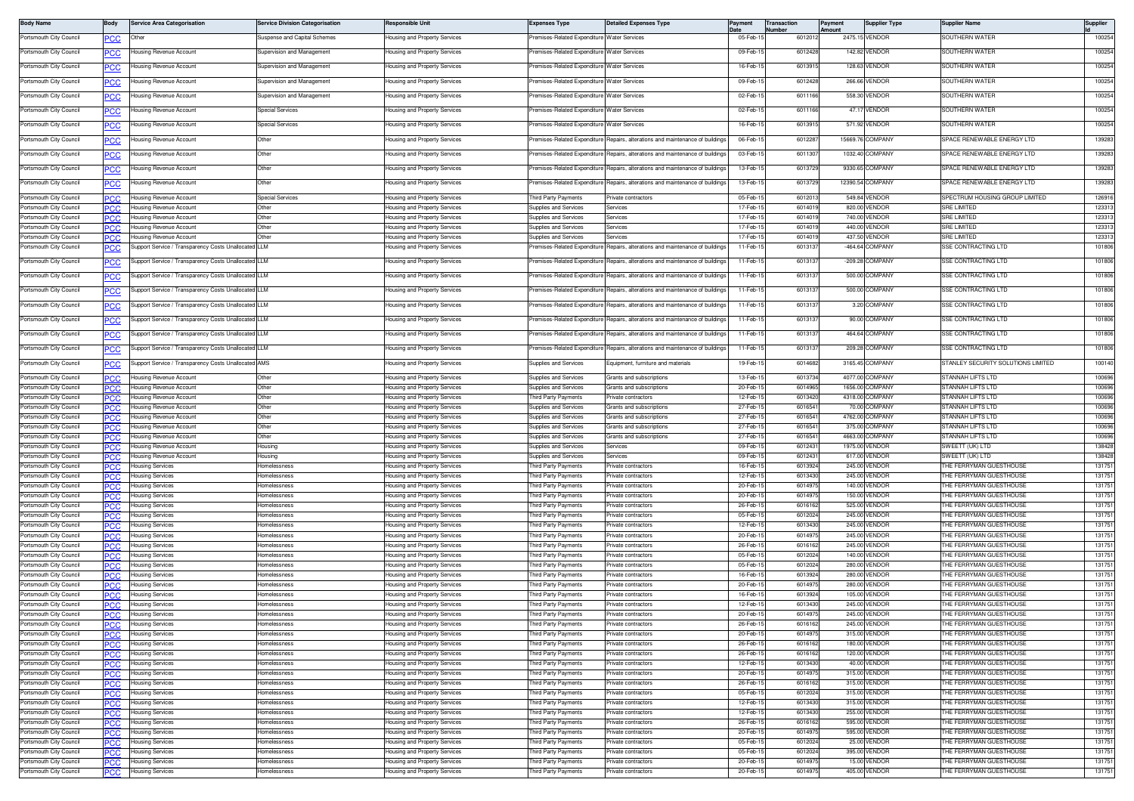| <b>Body Name</b>                                   | Body        | <b>Service Area Categorisation</b>                   | <b>Service Division Categorisation</b> | Responsible Unit                                                      | <b>Expenses Type</b>                                  | <b>Detailed Expenses Type</b>                                      | Pavment              | Transaction<br>lumber | Payment<br>Amount | <b>Supplier Type</b>               | Supplier Name                                             | Supplier         |
|----------------------------------------------------|-------------|------------------------------------------------------|----------------------------------------|-----------------------------------------------------------------------|-------------------------------------------------------|--------------------------------------------------------------------|----------------------|-----------------------|-------------------|------------------------------------|-----------------------------------------------------------|------------------|
| Portsmouth City Council                            | <u>PCC</u>  | Other                                                | Suspense and Capital Schemes           | Housing and Property Services                                         | remises-Related Expenditure Water Services            |                                                                    | 05-Feb-              | 6012012               |                   | 2475.15 VENDOR                     | SOUTHERN WATER                                            | 100254           |
| Portsmouth City Council                            |             | lousing Revenue Account                              | Supervision and Management             | Housing and Property Services                                         | Premises-Related Expenditure Water Services           |                                                                    | 09-Feb-1             | 6012428               |                   | 142.82 VENDOR                      | SOUTHERN WATER                                            | 100254           |
| Portsmouth City Council                            |             | lousing Revenue Account                              | Supervision and Management             | Housing and Property Services                                         | Premises-Related Expenditure Water Services           |                                                                    | 16-Feb-1             | 6013915               |                   | 128.63 VENDOR                      | SOUTHERN WATER                                            | 100254           |
| Portsmouth City Council                            | PCC         | lousing Revenue Account                              | Supervision and Management             | lousing and Property Services                                         | remises-Related Expenditure Water Services            |                                                                    | 09-Feb-1             | 6012428               |                   | 266.66 VENDOR                      | SOUTHERN WATER                                            | 100254           |
| Portsmouth City Council                            |             | <b>Housing Revenue Account</b>                       | Supervision and Management             | Housing and Property Services                                         | Premises-Related Expenditure Water Services           |                                                                    | 02-Feb-1             | 6011166               |                   | 558.30 VENDOR                      | SOUTHERN WATER                                            | 100254           |
|                                                    | <u>PCC</u>  |                                                      | Special Services                       |                                                                       |                                                       |                                                                    | 02-Feb-1             | 601116                | 47.17             | VENDOR                             | SOUTHERN WATER                                            | 100254           |
| Portsmouth City Council                            | <u>PCC</u>  | lousing Revenue Account                              |                                        | Housing and Property Services                                         | remises-Related Expenditure Water Services            |                                                                    |                      |                       |                   |                                    |                                                           |                  |
| Portsmouth City Council                            |             | lousing Revenue Account                              | <b>Special Services</b>                | Housing and Property Services                                         | Premises-Related Expenditure Water Services           |                                                                    | 16-Feb-1             | 601391                |                   | 571.92 VENDOR                      | SOUTHERN WATER                                            | 100254           |
| Portsmouth City Council                            | СC          | lousing Revenue Account                              | Other                                  | Housing and Property Services                                         | Premises-Related Expenditure                          | Repairs, alterations and maintenance of building                   | 06-Feb-1             | 601228                |                   | 15669.76 COMPANY                   | SPACE RENEWABLE ENERGY LTD                                | 139283           |
| Portsmouth City Council                            | PСC         | lousing Revenue Account                              | Other                                  | lousing and Property Services                                         | remises-Related Expenditure                           | Repairs, alterations and maintenance of building                   | 03-Feb-1             | 601130                |                   | 1032.40 COMPANY                    | SPACE RENEWABLE ENERGY LTD                                | 139283           |
| Portsmouth City Council                            | <u>PCC</u>  | Housing Revenue Account                              | Other                                  | Housing and Property Services                                         | Premises-Related Expenditure                          | Benairs, alterations and maintenance of building                   | 13-Feb-1             | 6013729               |                   | 9330.65 COMPANY                    | SPACE RENEWABLE ENERGY LTD                                | 139283           |
| Portsmouth City Council                            | <u>PCC</u>  | Housing Revenue Account                              | Other                                  | <del>l</del> ousing and Property Services                             | remises-Related Expenditure                           | Repairs, alterations and maintenance of building                   | 13-Feb-1             | 601372                |                   | 12390.54 COMPANY                   | PACE RENEWABLE ENERGY LTD                                 | 139283           |
| Portsmouth City Council                            |             | Housing Revenue Account                              | Special Services                       | Housing and Property Services                                         | Third Party Payments                                  | rivate contractors                                                 | 05-Feb-1             | 601201                |                   | 549.84 VENDOR                      | SPECTRUM HOUSING GROUP LIMITED                            | 126916           |
| Portsmouth City Council                            | <b>PCC</b>  | lousing Revenue Account                              | Other                                  | Housing and Property Services                                         | Supplies and Services                                 | Services                                                           | 17-Feb-              | 601401                |                   | 820.00 VENDOF                      | SRE LIMITED                                               | 123313           |
| Portsmouth City Council                            |             | lousing Revenue Account                              | Other                                  | Housing and Property Services                                         | <b>Supplies and Services</b>                          | Services                                                           | 17-Feb-1             | 601401                |                   | 740.00 VENDOR                      | <b>SRE LIMITED</b>                                        | 123313           |
| Portsmouth City Council                            | PCC         | Housing Revenue Account                              | Other                                  | Housing and Property Services                                         | Supplies and Services                                 | Services                                                           | 17-Feb-1             | 601401                |                   | 440.00 VENDOR                      | <b>SRE LIMITED</b>                                        | 123313           |
| Portsmouth City Council                            |             | lousing Revenue Account                              | ther                                   | Housing and Property Services                                         | Supplies and Services                                 | ervices                                                            | 17-Feb-              | 60140                 |                   | 437.50 VENDOR                      | <b>RE LIMITED</b>                                         | 123313           |
| Portsmouth City Council                            | نت          | Support Service / Transparency Costs Unallocated     | <b>LLM</b>                             | lousing and Property Services                                         | remises-Related Expenditure                           | Repairs, alterations and maintenance of building                   | $11-Feb-$            | 601313                |                   | -464.64 COMPANY                    | SE CONTRACTING LTD                                        | 101806           |
| Portsmouth City Council                            | <u>CC</u>   | Support Service / Transparency Costs Unallocated LLM |                                        | Housing and Property Services                                         | Premises-Related Expenditure                          | Repairs, alterations and maintenance of building                   | 11-Feb-1             | 601313                |                   | -209.28 COMPANY                    | SSE CONTRACTING LTD                                       | 101806           |
| Portsmouth City Council                            | <u>PCC</u>  | Support Service / Transparency Costs Unallocated     | 11M                                    | Housing and Property Services                                         | Premises-Related Expenditure                          | Repairs, alterations and maintenance of building                   | 11-Feb-1             | 601313                |                   | 500.00 COMPANY                     | SSE CONTRACTING LTD                                       | 101806           |
| Portsmouth City Council                            |             | Support Service / Transparency Costs Unallocated LLM |                                        | Housing and Property Services                                         | Premises-Related Expenditure                          | Repairs, alterations and maintenance of building                   | 11-Feb-1             | 601313                |                   | 500.00 COMPANY                     | SSE CONTRACTING LTD                                       | 101806           |
|                                                    |             |                                                      |                                        | lousing and Property Services                                         | remises-Related Expenditure                           | Repairs, alterations and maintenance of building                   | 11-Feb-1             | 601313                |                   | 3.20 COMPANY                       | SSE CONTRACTING LTD                                       | 101806           |
| Portsmouth City Council                            | <u>CC</u>   | Support Service / Transparency Costs Unallocated LLM |                                        |                                                                       |                                                       |                                                                    |                      |                       |                   |                                    |                                                           |                  |
| Portsmouth City Council                            | <u>PCC</u>  | Support Service / Transparency Costs Unallocated LLM |                                        | lousing and Property Services                                         | remises-Related Expenditure                           | Repairs, alterations and maintenance of building                   | 11-Feb-1             | 601313                |                   | 90.00 COMPANY                      | SE CONTRACTING LTD                                        | 101806           |
| Portsmouth City Council                            | <u>PCC</u>  | Support Service / Transparency Costs Unallocated LLM |                                        | Housing and Property Services                                         | Premises-Related Expenditure                          | Repairs, alterations and maintenance of building                   | 11-Feb-1             | 601313                |                   | 464.64 COMPANY                     | SSE CONTRACTING LTD                                       | 101806           |
| Portsmouth City Council                            | <u>PCC</u>  | Support Service / Transparency Costs Unallocate      | LLM                                    | Housing and Property Services                                         | remises-Related Expenditure                           | Repairs, alterations and maintenance of building                   | 11-Feb-1             | 601313                |                   | 209.28 COMPANY                     | SSE CONTRACTING LTD                                       | 101806           |
| Portsmouth City Council                            | <b>PCC</b>  | Support Service / Transparency Costs Unallocated AMS |                                        | Housing and Property Services                                         | Supplies and Services                                 | Equipment, furniture and materials                                 | 19-Feb-1             | 601468                |                   | 3165.45 COMPANY                    | STANLEY SECURITY SOLUTIONS LIMITED                        | 100140           |
|                                                    |             |                                                      |                                        |                                                                       |                                                       |                                                                    |                      |                       |                   |                                    |                                                           |                  |
| Portsmouth City Council<br>Portsmouth City Council | <b>CC.</b>  | Housing Revenue Account<br>lousing Revenue Account   | Other<br>Other                         | Housing and Property Services<br>Housing and Property Services        | Supplies and Services<br><b>Supplies and Services</b> | <b>Grants and subscriptions</b><br><b>Grants and subscriptions</b> | 13-Feb-1<br>20-Feb-1 | 6013734<br>601496     |                   | 4077.00 COMPANY<br>1656.00 COMPANY | STANNAH LIFTS LTD<br>STANNAH LIFTS LTD                    | 100696<br>100696 |
| Portsmouth City Council                            | <b>PCC</b>  | Housing Revenue Account                              | Other                                  | Housing and Property Services                                         | Third Party Payments                                  | rivate contractors                                                 | 12-Feb-1             | 601342                |                   | 4318.00 COMPANY                    | STANNAH LIFTS LTD                                         | 100696           |
| Portsmouth City Council                            |             | lousing Revenue Account                              | Other                                  | Housing and Property Services                                         | Supplies and Services                                 | Grants and subscriptions                                           | 27-Feb-1             | 601654                |                   | 70.00 COMPANY                      | STANNAH LIFTS LTD                                         | 100696           |
| Portsmouth City Council                            | PCC         | lousing Revenue Account                              | Other                                  | Housing and Property Services                                         | Supplies and Services                                 | Grants and subscriptions                                           | 27-Feb-              | 601654                |                   | 4762.00 COMPANY                    | TANNAH LIFTS LTD                                          | 100696           |
| Portsmouth City Council                            |             | Housing Revenue Account                              | Other                                  | Housing and Property Services                                         | Supplies and Services                                 | Grants and subscriptions                                           | 27-Feb-1             | 601654                |                   | 375.00 COMPANY                     | TANNAH LIFTS LTD                                          | 100696           |
| Portsmouth City Council                            | °CC         | Housing Revenue Account                              | Other                                  | Housing and Property Services                                         | Supplies and Services                                 | Grants and subscriptions                                           | 27-Feb-1             | 601654                |                   | 4663.00 COMPANY                    | TANNAH LIFTS LTD                                          | 100696           |
| Portsmouth City Council<br>Portsmouth City Council |             | Housing Revenue Account<br>lousing Revenue Account   | Housing<br>lousing                     | <b>Housing and Property Services</b><br>Housing and Property Services | Supplies and Services<br>upplies and Services         | Services<br>ervices                                                | 09-Feb-<br>09-Feb-1  | 601243<br>601243      |                   | 1975.00 VENDOR<br>617.00 VENDOF    | SWEETT (UK) LTD<br>SWEETT (UK) LTD                        | 138428<br>138428 |
| Portsmouth City Council                            | PCC         | <del>l</del> ousing Services                         | Homelessness                           | Housing and Property Services                                         | hird Party Payments                                   | rivate contractors                                                 | 16-Feb-1             | 6013924               |                   | 245.00 VENDOR                      | HE FERRYMAN GUESTHOUSE                                    | 131751           |
| Portsmouth City Council                            |             | lousing Services                                     | Homelessness                           | Housing and Property Services                                         | hird Party Payments                                   | rivate contractors                                                 | 12-Feb-1             | 601343                |                   | 245.00 VENDOR                      | HE FERRYMAN GUESTHOUSE                                    | 131751           |
| Portsmouth City Council                            | <b>PCC</b>  | Housing Services                                     | Homelessness                           | Housing and Property Services                                         | Third Party Payments                                  | rivate contractors                                                 | 20-Feb-              | 601497                |                   | 140.00 VENDOR                      | <b>HE FERRYMAN GUESTHOUSE</b>                             | 131751           |
| Portsmouth City Council                            |             | <b>Housing Services</b>                              | <b>Homelessness</b>                    | Housing and Property Services                                         | hird Party Payments                                   | rivate contractors                                                 | 20-Feb-1             | 601497                |                   | 150.00 VENDOR                      | <b>THE FERRYMAN GUESTHOUSE</b>                            | 131751           |
| Portsmouth City Council<br>Portsmouth City Council | PCC         | <b>Housing Services</b><br><b>Housing Services</b>   | Homelessness<br>Homelessness           | <b>Housing and Property Services</b><br>Housing and Property Services | hird Party Payments<br>hird Party Payments            | rivate contractors<br>rivate contractors                           | 26-Feb-1<br>05-Feb-  | 601616<br>6012024     |                   | 525.00 VENDOR<br>245.00 VENDOR     | HE FERRYMAN GUESTHOUSE<br>HE FERRYMAN GUESTHOUSE          | 131751<br>131751 |
| Portsmouth City Council                            | сc<br>'CC   | <b>Housing Services</b>                              | Homelessness                           | Housing and Property Services                                         | hird Party Payments                                   | rivate contractors                                                 | 12-Feb-1             | 6013430               |                   | 245.00 VENDOR                      | HE FERRYMAN GUESTHOUSE                                    | 131751           |
| Portsmouth City Council                            | <b>CC</b>   | <b>Housing Services</b>                              | Homelessness                           | lousing and Property Services                                         | hird Party Payments                                   | rivate contractors                                                 | 20-Feb-              | 6014975               |                   | 245.00 VENDOR                      | <b>HE FERRYMAN GUESTHOUSE</b>                             | 131751           |
| Portsmouth City Council                            |             | lousing Services                                     | lomelessness                           | Housing and Property Services                                         | aird Party Payments                                   | ivate contractors                                                  | 26-Feb-              | 601616                |                   | 245.00 VENDOR                      | HE FERRYMAN GUESTHOUSE                                    | 131751           |
| Portsmouth City Council                            | <b>PCC</b>  | <b>Housing Services</b>                              | Homelessness                           | Housing and Property Services                                         | hird Party Payments                                   | rivate contractors                                                 | 05-Feb-1             | 6012024               |                   | 140.00 VENDOR                      | THE FERRYMAN GUESTHOUSE                                   | 131751           |
| Portsmouth City Council<br>Portsmouth City Council | PCC         | lousing Services<br>Housing Services                 | Homelessness<br>Homelessness           | Housing and Property Services<br>Housing and Property Services        | hird Party Payments<br>hird Party Payments            | rivate contractors<br>Private contractors                          | 05-Feb-1<br>16-Feb-1 | 601202<br>6013924     |                   | 280.00 VENDOR<br>280.00 VENDOR     | HE FERRYMAN GUESTHOUSE<br>THE FERRYMAN GUESTHOUSE         | 131751<br>131751 |
| Portsmouth City Council                            |             | <b>Housing Services</b>                              | Homelessness                           | Housing and Property Services                                         | hird Party Payments                                   | rivate contractors                                                 | 20-Feb-1             | 601497                |                   | 280.00 VENDOR                      | THE FERRYMAN GUESTHOUSE                                   | 131751           |
| Portsmouth City Council                            |             | <b>Housing Services</b>                              | Homelessness                           | Housing and Property Services                                         | hird Party Payments                                   | rivate contractors                                                 | 16-Feb-              | 601392                |                   | 105,00 VENDOR                      | HE FERRYMAN GUESTHOUSE                                    | 131751           |
| Portsmouth City Council                            |             | <b>Housing Services</b>                              | Homelessness                           | Housing and Property Services                                         | hird Party Payments                                   | ivate contractors                                                  | 12-Feb-              | 601343                |                   | 245.00 VENDOR                      | HE FERRYMAN GUESTHOUSE                                    | 131751           |
| Portsmouth City Council                            | PCC         | <b>Housing Services</b>                              | Homelessness<br>nmeleccnes             | <b>Housing and Property Services</b>                                  | hird Party Payments<br>ird Party Payments             | rivate contractors                                                 | 20-Feb-1<br>26-Feh-  | 601497<br>6016        | 245.00            | 245.00 VENDOR<br><b>FNDOF</b>      | <b>THE FERRYMAN GUESTHOUSE</b><br>HE FERRYMAN GLIESTHOLIS | 131751           |
| Portsmouth City Council<br>Portsmouth City Council | PСC         | pusing Service<br>lousing Services                   | omelessness                            | lousing and Property Services<br>lousing and Property Services        | hird Party Payments                                   | ivate contracto<br>ivate contractors                               | 20-Feb-1             | 601497                |                   | 315.00 VENDOR                      | <b>HE FERRYMAN GUESTHOUSE</b>                             | 131751           |
| Portsmouth City Council                            | <b>PCC</b>  | lousing Services                                     | Homelessness                           | Housing and Property Services                                         | hird Party Payments                                   | rivate contractors                                                 | 26-Feb-1             | 6016162               |                   | 180.00 VENDOR                      | HE FERRYMAN GUESTHOUSE                                    | 131751           |
| Portsmouth City Council                            | <b>PCC</b>  | lousing Services                                     | Homelessness                           | Housing and Property Services                                         | Third Party Payments                                  | rivate contractors                                                 | 26-Feb-1             | 6016162               |                   | 120.00 VENDOR                      | <b>HE FERRYMAN GUESTHOUSE</b>                             | 131751           |
| Portsmouth City Council                            | <b>PCC</b>  | Housing Services                                     | Homelessness                           | Housing and Property Services                                         | hird Party Payments                                   | rivate contractors                                                 | 12-Feb-1             | 601343                |                   | 40.00 VENDOR                       | <b>HE FERRYMAN GUESTHOUSE</b>                             | 131751           |
| Portsmouth City Council<br>Portsmouth City Council |             | lousing Services<br><b>Housing Services</b>          | Homelessness<br>Homelessness           | Housing and Property Services<br>Housing and Property Services        | hird Party Payments<br>hird Party Payments            | rivate contractors<br>rivate contractors                           | 20-Feb-<br>26-Feb-1  | 601497<br>6016162     |                   | 315.00 VENDOR<br>315.00 VENDOR     | <b>HE FERRYMAN GUESTHOUSE</b><br>HE FERRYMAN GUESTHOUSE   | 131751<br>131751 |
| Portsmouth City Council                            | PCC<br>PСC  | Housing Services                                     | Homelessness                           | Housing and Property Services                                         | hird Party Payments                                   | rivate contractors                                                 | 05-Feb-              | 6012024               |                   | 315.00 VENDOR                      | <b>HE FERRYMAN GUESTHOUSE</b>                             | 131751           |
| Portsmouth City Council                            |             | lousing Services                                     | Homelessness                           | Housing and Property Services                                         | hird Party Payments                                   | rivate contractors                                                 | 12-Feb-1             | 601343                |                   | 315.00 VENDOR                      | <b>HE FERRYMAN GUESTHOUSE</b>                             | 131751           |
| Portsmouth City Council                            | PCC         | <b>Housing Services</b>                              | Homelessness                           | Housing and Property Services                                         | Third Party Payments                                  | rivate contractors                                                 | 12-Feb-1             | 601343                |                   | 255.00 VENDOR                      | THE FERRYMAN GUESTHOUSE                                   | 131751           |
| Portsmouth City Council                            |             | lousing Services                                     | Homelessness                           | Housing and Property Services                                         | hird Party Payments                                   | rivate contractors                                                 | 26-Feb-1             | 601616                |                   | 595.00 VENDOR                      | THE FERRYMAN GUESTHOUSE                                   | 131751           |
| Portsmouth City Council                            | <b>PCC</b>  | lousing Services                                     | Homelessness                           | Housing and Property Services                                         | hird Party Payments                                   | rivate contractors                                                 | 20-Feb-              | 601497                |                   | 595.00 VENDOR                      | <b>HE FERRYMAN GUESTHOUSE</b>                             | 131751           |
| Portsmouth City Council<br>Portsmouth City Council | °СС<br>PC.C | lousing Services<br>Housing Services                 | Homelessness<br>Homelessness           | Housing and Property Services<br>Housing and Property Services        | Third Party Payments<br>hird Party Payments           | rivate contractors<br>rivate contractors                           | 05-Feb-1<br>05-Feb-  | 6012024<br>6012024    |                   | 25.00 VENDOR<br>395.00 VENDOR      | THE FERRYMAN GUESTHOUSE<br><b>HE FERRYMAN GUESTHOUSE</b>  | 131751<br>131751 |
| Portsmouth City Council                            |             | Housing Services                                     | Homelessness                           | Housing and Property Services                                         | 'hird Party Payments                                  | rivate contractors                                                 | 20-Feb-              | 601497                |                   | 15.00 VENDOR                       | HE FERRYMAN GUESTHOUSE                                    | 131751           |
| Portsmouth City Council                            | IPC.C       | <b>Housing Services</b>                              | Homelessness                           | Housing and Property Services                                         | hird Party Payments                                   | rivate contractors                                                 | 20-Feb-1             | 6014975               |                   | 405.00 VENDOR                      | <b>HE FERRYMAN GUESTHOUSE</b>                             | 131751           |
|                                                    |             |                                                      |                                        |                                                                       |                                                       |                                                                    |                      |                       |                   |                                    |                                                           |                  |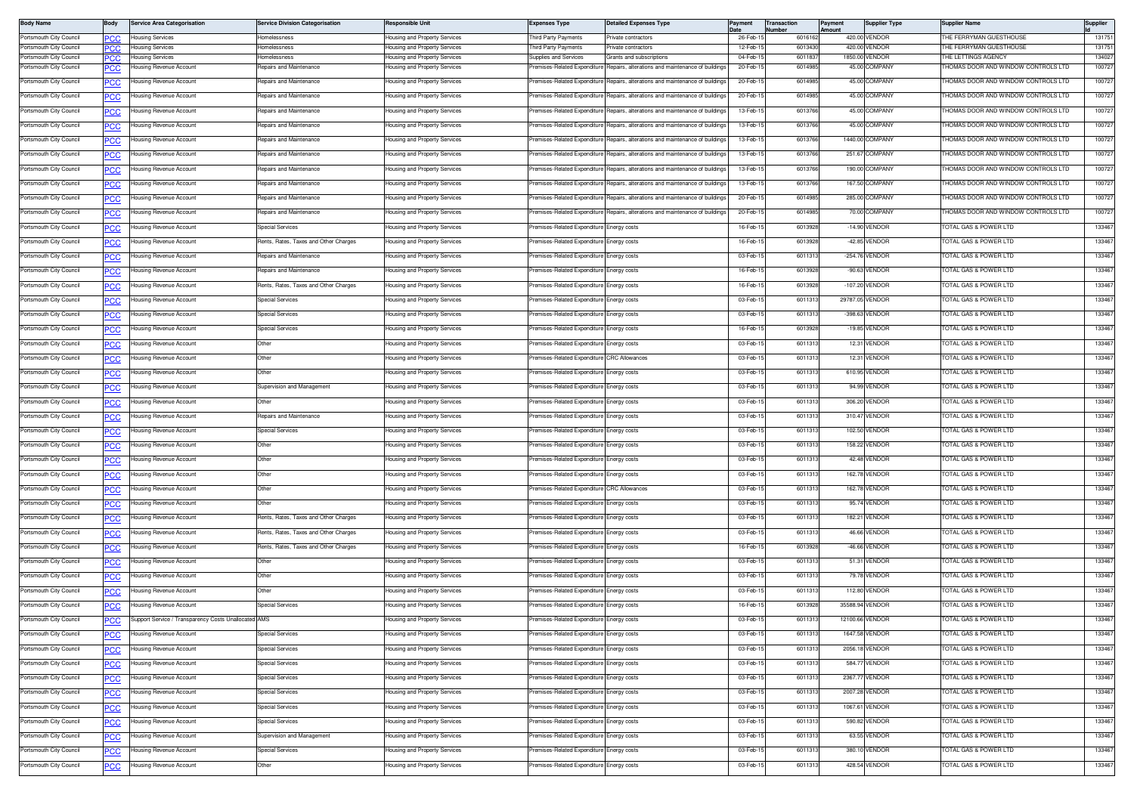| <b>Body Name</b>                                   | 3ody             | <b>Service Area Categorisation</b>                   | <b>Service Division Categorisation</b> | Responsible Unit                                               | Expenses Type                               | <b>Detailed Expenses Type</b>                                                | Payment              | <b>Transaction</b><br>umbe | Payment<br>Amount | <b>Supplier Type</b>            | <b>Supplier Name</b>                                | Supplier         |
|----------------------------------------------------|------------------|------------------------------------------------------|----------------------------------------|----------------------------------------------------------------|---------------------------------------------|------------------------------------------------------------------------------|----------------------|----------------------------|-------------------|---------------------------------|-----------------------------------------------------|------------------|
| Portsmouth City Council                            | PСC              | lousing Services                                     | Homelessness                           | lousing and Property Services                                  | hird Party Payments                         | rivate contractors                                                           | 26-Feb-              | 6016162                    |                   | 420.00 VENDOR                   | HE FERRYMAN GUESTHOUSE                              | 131751           |
| Portsmouth City Council<br>Portsmouth City Council | PСC              | Housing Services<br><b>Housing Services</b>          | Homelessness<br>tomelessness           | lousing and Property Services                                  | hird Party Payments<br>upplies and Services | rivate contractors<br>Grants and subscriptions                               | 12-Feb-1<br>04-Feb-1 | 6013430<br>601183          |                   | 420.00 VENDOR<br>1850.00 VENDOR | <b>HE FERRYMAN GUESTHOUSE</b><br>HE LETTINGS AGENCY | 131751<br>134027 |
| Portsmouth City Council                            | PCC<br><u>CC</u> | ousing Revenue Account                               | Repairs and Maintenance                | lousing and Property Services<br>lousing and Property Services | emises-Related Expenditure                  | Repairs, alterations and maintenance of building                             | 20-Feb-1             | 601498                     |                   | 45.00 COMPANY                   | HOMAS DOOR AND WINDOW CONTROLS LTD                  | 100727           |
| Portsmouth City Council                            | PСC              | lousing Revenue Account                              | Repairs and Maintenance                | lousing and Property Services                                  | Premises-Related Expenditure                | Repairs, alterations and maintenance of buildings                            | 20-Feb-1             | 6014985                    |                   | 45.00 COMPANY                   | HOMAS DOOR AND WINDOW CONTROLS LTD                  | 100727           |
| Portsmouth City Council                            |                  | Housing Revenue Account                              | Repairs and Maintenance                | lousing and Property Services                                  | remises-Related Expenditure                 | Benairs, alterations and maintenance of buildings                            | 20-Feb-1             | 6014985                    |                   | 45.00 COMPANY                   | HOMAS DOOR AND WINDOW CONTROLS LTD                  | 100727           |
| Portsmouth City Council                            | <b>PCC</b>       | Housing Revenue Account                              | <b>Benairs and Maintenance</b>         | lousing and Property Services                                  | remises-Related Expenditure                 | Repairs, alterations and maintenance of buildings                            | 13-Feb-1             | 6013766                    |                   | 45.00 COMPANY                   | HOMAS DOOR AND WINDOW CONTROLS LTD                  | 100727           |
|                                                    | <b>PCC</b>       |                                                      |                                        |                                                                |                                             |                                                                              |                      |                            |                   |                                 | HOMAS DOOR AND WINDOW CONTROLS LTD                  | 100727           |
| Portsmouth City Council                            | <u>PCC</u>       | Housing Revenue Account                              | Repairs and Maintenance                | lousing and Property Services                                  | remises-Related Expenditure                 | Repairs, alterations and maintenance of building:                            | 13-Feb-1             | 6013766                    |                   | 45.00 COMPANY                   |                                                     |                  |
| Portsmouth City Council                            | <u>PCC</u>       | lousing Revenue Account                              | Repairs and Maintenance                | lousing and Property Services                                  | emises-Related Expenditure                  | Repairs, alterations and maintenance of buildings                            | 13-Feb-1             | 6013766                    |                   | 1440.00 COMPANY                 | HOMAS DOOR AND WINDOW CONTROLS LTD                  | 100727           |
| Portsmouth City Council                            | PCC              | lousing Revenue Account                              | Repairs and Maintenance                | lousing and Property Services                                  | remises-Related Expenditure                 | Repairs, alterations and maintenance of buildings                            | 13-Feb-1             | 6013766                    |                   | 251.67 COMPANY                  | HOMAS DOOR AND WINDOW CONTROLS LTD                  | 100727           |
| Portsmouth City Council                            | <u>PCC</u>       | Housing Revenue Account                              | Repairs and Maintenance                | lousing and Property Services                                  | remises-Related Expenditure                 | Renairs, alterations and maintenance of building                             | 13-Feb-1             | 6013766                    |                   | 190.00 COMPANY                  | HOMAS DOOR AND WINDOW CONTROLS LTD                  | 100727           |
| Portsmouth City Council                            | <u>PCC</u>       | Housing Revenue Account                              | Repairs and Maintenance                | lousing and Property Services                                  | remises-Related Expenditure                 | Repairs, alterations and maintenance of building                             | 13-Feb-1             | 6013766                    |                   | 167.50 COMPANY                  | HOMAS DOOR AND WINDOW CONTROLS LTD                  | 100727           |
| Portsmouth City Council                            | <u>PCC</u>       | Housing Revenue Account                              | Repairs and Maintenance                | lousing and Property Services                                  |                                             | remises-Related Expenditure Repairs, alterations and maintenance of building | 20-Feb-1             | 601498                     |                   | 285.00 COMPANY                  | HOMAS DOOR AND WINDOW CONTROLS LTD                  | 100727           |
| Portsmouth City Council                            | <b>PCC</b>       | lousing Revenue Account                              | Repairs and Maintenance                | lousing and Property Services                                  | emises-Related Expenditure                  | Repairs, alterations and maintenance of buildings                            | 20-Feb-1             | 6014985                    |                   | 70.00 COMPANY                   | HOMAS DOOR AND WINDOW CONTROLS LTD                  | 100727           |
| Portsmouth City Council                            | ∍сс              | lousing Revenue Account                              | <b>Special Services</b>                | lousing and Property Services                                  | remises-Related Expenditure                 | Energy costs                                                                 | 16-Feb-1             | 6013928                    |                   | -14.90 VENDOR                   | OTAL GAS & POWER LTD                                | 133467           |
| Portsmouth City Council                            | <b>PCC</b>       | Housing Revenue Account                              | Rents, Rates, Taxes and Other Charges  | lousing and Property Services                                  | remises-Related Expenditure                 | Energy costs                                                                 | 16-Feb-1             | 6013928                    |                   | -42.85 VENDOR                   | OTAL GAS & POWER LTD                                | 133467           |
| Portsmouth City Council                            | <b>PCC</b>       | Housing Revenue Account                              | Repairs and Maintenance                | lousing and Property Services                                  | remises-Related Expenditure                 | Energy costs                                                                 | 03-Feb-1             | 6011313                    |                   | -254.76 VENDOR                  | OTAL GAS & POWER LTD                                | 133467           |
| Portsmouth City Council                            |                  | Housing Revenue Account                              | Repairs and Maintenance                | lousing and Property Services                                  | remises-Related Expenditure Energy costs    |                                                                              | 16-Feb-1             | 6013928                    |                   | -90.63 VENDOR                   | <b>OTAL GAS &amp; POWER LTD</b>                     | 133467           |
| Portsmouth City Council                            | <b>PCC</b>       | lousing Revenue Account                              | Rents, Rates, Taxes and Other Charges  | lousing and Property Services                                  | emises-Related Expenditure                  | Energy costs                                                                 | 16-Feb-1             | 6013928                    |                   | -107.20 VENDOR                  | OTAL GAS & POWER LTD                                | 133467           |
| Portsmouth City Council                            | PCC              | lousing Revenue Account                              | <b>Special Services</b>                | lousing and Property Services                                  | remises-Related Expenditure                 | Energy costs                                                                 | 03-Feb-1             | 6011313                    |                   | 29787.05 VENDOR                 | OTAL GAS & POWER LTD                                | 133467           |
| Portsmouth City Council                            | <u>PCC</u>       | Housing Revenue Account                              | <b>Special Services</b>                | lousing and Property Services                                  | remises-Related Expenditure                 | Energy costs                                                                 | 03-Feb-1             | 6011313                    |                   | -398.63 VENDOR                  | OTAL GAS & POWER LTD                                | 133467           |
| Portsmouth City Council                            | <u>PCC</u>       | Housing Revenue Account                              | <b>Special Services</b>                | lousing and Property Services                                  | remises-Related Expenditure                 | Energy costs                                                                 | 16-Feb-1             | 6013928                    |                   | -19.85 VENDOR                   | OTAL GAS & POWER LTD                                | 133467           |
| Portsmouth City Council                            | <u>PCC</u>       | Housing Revenue Account                              | Other                                  | lousing and Property Services                                  | remises-Related Expenditure Energy costs    |                                                                              | 03-Feb-1             | 6011313                    |                   | 12.31 VENDOR                    | OTAL GAS & POWER LTD                                | 133467           |
| Portsmouth City Council                            | <b>PCC</b>       | lousing Revenue Account                              | Other                                  | lousing and Property Services                                  | emises-Related Expenditure                  | <b>CRC Allowances</b>                                                        | 03-Feb-1             | 601131                     |                   | 12.31 VENDOR                    | OTAL GAS & POWER LTD                                | 133467           |
| Portsmouth City Council                            | ∍сс              | lousing Revenue Account                              | Other                                  | lousing and Property Services                                  | remises-Related Expenditure                 | Energy costs                                                                 | 03-Feb-1             | 6011313                    |                   | 610.95 VENDOR                   | OTAL GAS & POWER LTD                                | 133467           |
| Portsmouth City Council                            |                  | Housing Revenue Account                              | Supervision and Management             | lousing and Property Services                                  | remises-Related Expenditure                 | inergy costs                                                                 | 03-Feb-1             | 601131                     |                   | 94.99 VENDOR                    | OTAL GAS & POWER LTD                                | 133467           |
| Portsmouth City Council                            | <u>PCC</u>       | Housing Revenue Account                              | Other                                  | lousing and Property Services                                  | remises-Related Expenditure                 |                                                                              | 03-Feb-1             | 6011313                    |                   | 306.20 VENDOR                   | <b>OTAL GAS &amp; POWER LTD</b>                     | 133467           |
|                                                    | <b>PCC</b>       |                                                      | Repairs and Maintenance                |                                                                | remises-Related Expenditure Energy costs    | Energy costs                                                                 | 03-Feb-1             | 6011313                    |                   | 310.47 VENDOR                   | <b>OTAL GAS &amp; POWER LTD</b>                     | 133467           |
| Portsmouth City Council                            |                  | Housing Revenue Account                              |                                        | lousing and Property Services                                  |                                             |                                                                              |                      |                            |                   |                                 |                                                     | 133467           |
| Portsmouth City Council                            | <b>PCC</b>       | lousing Revenue Account                              | <b>Special Services</b>                | lousing and Property Services                                  | emises-Related Expenditure                  | Energy costs                                                                 | 03-Feb-1             | 6011313                    |                   | 102.50 VENDOR                   | OTAL GAS & POWER LTD                                |                  |
| Portsmouth City Council                            | PCC              | lousing Revenue Account                              | Other                                  | lousing and Property Services                                  | remises-Related Expenditure                 | Energy costs                                                                 | 03-Feb-1             | 6011313                    |                   | 158.22 VENDOR                   | OTAL GAS & POWER LTD                                | 133467           |
| Portsmouth City Council                            | <u>PCC</u>       | Housing Revenue Account                              | Other                                  | lousing and Property Services                                  | emises-Related Expenditure                  | nergy costs                                                                  | 03-Feb-1             | 6011313                    |                   | 42.48 VENDOR                    | OTAL GAS & POWER LTD                                | 133467           |
| Portsmouth City Council                            |                  | Housing Revenue Account                              | Other                                  | lousing and Property Services                                  | Premises-Related Expenditure                | Energy costs                                                                 | 03-Feb-1             | 6011313                    |                   | 162.78 VENDOR                   | OTAL GAS & POWER LTD                                | 133467           |
| Portsmouth City Council                            | <u>PCC</u>       | Housing Revenue Account                              | Other                                  | lousing and Property Services                                  | remises-Related Expenditure CRC Allowances  |                                                                              | 03-Feb-1             | 6011313                    |                   | 162.78 VENDOR                   | TOTAL GAS & POWER LTD                               | 133467           |
| Portsmouth City Council                            | <u>PCC</u>       | lousing Revenue Account                              | Other                                  | lousing and Property Services                                  | emises-Related Expenditure                  | Energy costs                                                                 | 03-Feb-1             | 6011313                    |                   | 95.74 VENDOR                    | OTAL GAS & POWER LTD                                | 133467           |
| Portsmouth City Council                            | ∍сс              | lousing Revenue Account                              | Rents, Rates, Taxes and Other Charges  | lousing and Property Services                                  | remises-Related Expenditure                 | Energy costs                                                                 | 03-Feb-1             | 6011313                    |                   | 182.21 VENDOR                   | OTAL GAS & POWER LTD                                | 133467           |
| Portsmouth City Council                            | <u>PCC</u>       | Housing Revenue Account                              | Rents, Rates, Taxes and Other Charges  | <del>l</del> ousing and Property Services                      | remises-Related Expenditure                 | inergy costs                                                                 | 03-Feb-1             | 601131                     |                   | 46.66 VENDOR                    | OTAL GAS & POWER LTD                                | 133467           |
| Portsmouth City Council                            | <b>PCC</b>       | Housing Revenue Account                              | Rents, Rates, Taxes and Other Charges  | lousing and Property Services                                  | remises-Related Expenditure                 | nergy costs                                                                  | 16-Feb-1             | 6013928                    |                   | -46.66 VENDOR                   | <b>OTAL GAS &amp; POWER LTD</b>                     | 133467           |
| Portsmouth City Council                            | <u>PCC</u>       | Housing Revenue Account                              | Other                                  | lousing and Property Services                                  | remises-Related Expenditure Energy costs    |                                                                              | 03-Feb-1             | 6011313                    |                   | 51.31 VENDOR                    | OTAL GAS & POWER LTD                                | 133467           |
| Portsmouth City Council                            | <b>PCC</b>       | Housing Revenue Account                              | Other                                  | lousing and Property Services                                  | emises-Related Expenditure                  | Energy costs                                                                 | 03-Feb-1             | 6011313                    |                   | 79.78 VENDOR                    | OTAL GAS & POWER LTD                                | 133467           |
| Portsmouth City Council                            | PСC              | lousing Revenue Account                              | Other                                  | lousing and Property Services                                  | remises-Related Expenditure                 | Energy costs                                                                 | 03-Feb-1             | 6011313                    |                   | 112.80 VENDOR                   | OTAL GAS & POWER LTD                                | 133467           |
| Portsmouth City Council                            | PСC              | Housing Revenue Account                              | <b>Special Services</b>                | lousing and Property Services                                  | remises-Related Expenditure                 | inergy costs                                                                 | 16-Feb-1             | 601392                     |                   | 35588.94 VENDOR                 | OTAL GAS & POWER LTD                                | 133467           |
| Portsmouth City Council                            | <b>PCC</b>       | Support Service / Transparency Costs Unallocated AMS |                                        | Housing and Property Services                                  | Premises-Related Expenditure Energy costs   |                                                                              | 03-Feb-15            | 6011313                    |                   | 12100.66 VENDOR                 | TOTAL GAS & POWER LTD                               | 133467           |
| Portsmouth City Council                            | <u>PCC</u>       | Housing Revenue Account                              | <b>Special Services</b>                | Housing and Property Services                                  | remises-Related Expenditure Energy costs    |                                                                              | 03-Feb-1             | 6011313                    |                   | 1647.58 VENDOR                  | OTAL GAS & POWER LTD                                | 133467           |
| Portsmouth City Council                            | <b>PCC</b>       | lousing Revenue Account                              | Special Services                       | lousing and Property Services                                  | emises-Related Expenditure                  | Energy costs                                                                 | 03-Feb-15            | 6011313                    |                   | 2056.18 VENDOR                  | OTAL GAS & POWER LTD                                | 133467           |
| Portsmouth City Council                            | <u>PCC</u>       | Housing Revenue Account                              | Special Services                       | lousing and Property Services                                  | remises-Related Expenditure                 | Energy costs                                                                 | 03-Feb-1             | 6011313                    |                   | 584.77 VENDOR                   | OTAL GAS & POWER LTD                                | 133467           |
| Portsmouth City Council                            | <u>PCC</u>       | Housing Revenue Account                              | <b>Special Services</b>                | lousing and Property Services                                  | remises-Related Expenditure                 | Energy costs                                                                 | 03-Feb-1             | 6011313                    |                   | 2367.77 VENDOR                  | OTAL GAS & POWER LTD                                | 133467           |
| Portsmouth City Council                            | <b>PCC</b>       | Housing Revenue Account                              | <b>Special Services</b>                | Housing and Property Services                                  | Premises-Related Expenditure                | Energy costs                                                                 | 03-Feb-1             | 6011313                    |                   | 2007.28 VENDOR                  | OTAL GAS & POWER LTD                                | 133467           |
| Portsmouth City Council                            | <u>PCC</u>       | Housing Revenue Account                              | <b>Special Services</b>                | Housing and Property Services                                  | remises-Related Expenditure Energy costs    |                                                                              | 03-Feb-1             | 6011313                    |                   | 1067.61 VENDOR                  | OTAL GAS & POWER LTD                                | 133467           |
| Portsmouth City Council                            | <b>PCC</b>       | Housing Revenue Account                              | Special Services                       | lousing and Property Services                                  | emises-Related Expenditure                  | nergy costs                                                                  | 03-Feb-1             | 6011313                    |                   | 590.82 VENDOR                   | OTAL GAS & POWER LTD                                | 133467           |
| Portsmouth City Council                            | <b>PCC</b>       | lousing Revenue Account                              | Supervision and Management             | lousing and Property Services                                  | remises-Related Expenditure                 | Energy costs                                                                 | 03-Feb-1             | 6011313                    |                   | 63.55 VENDOR                    | OTAL GAS & POWER LTD                                | 133467           |
| Portsmouth City Council                            | <b>PCC</b>       | Housing Revenue Account                              | Special Services                       | lousing and Property Services                                  | remises-Related Expenditure                 | nergy costs                                                                  | 03-Feb-1             | 6011313                    |                   | 380.10 VENDOR                   | OTAL GAS & POWER LTD                                | 133467           |
| Portsmouth City Council                            |                  | Housing Revenue Account                              | Other                                  | Housing and Property Services                                  | Premises-Related Expenditure                | Energy costs                                                                 | 03-Feb-1             | 6011313                    |                   | 428.54 VENDOR                   | <b>OTAL GAS &amp; POWER LTD</b>                     | 133467           |
|                                                    | <b>PCC</b>       |                                                      |                                        |                                                                |                                             |                                                                              |                      |                            |                   |                                 |                                                     |                  |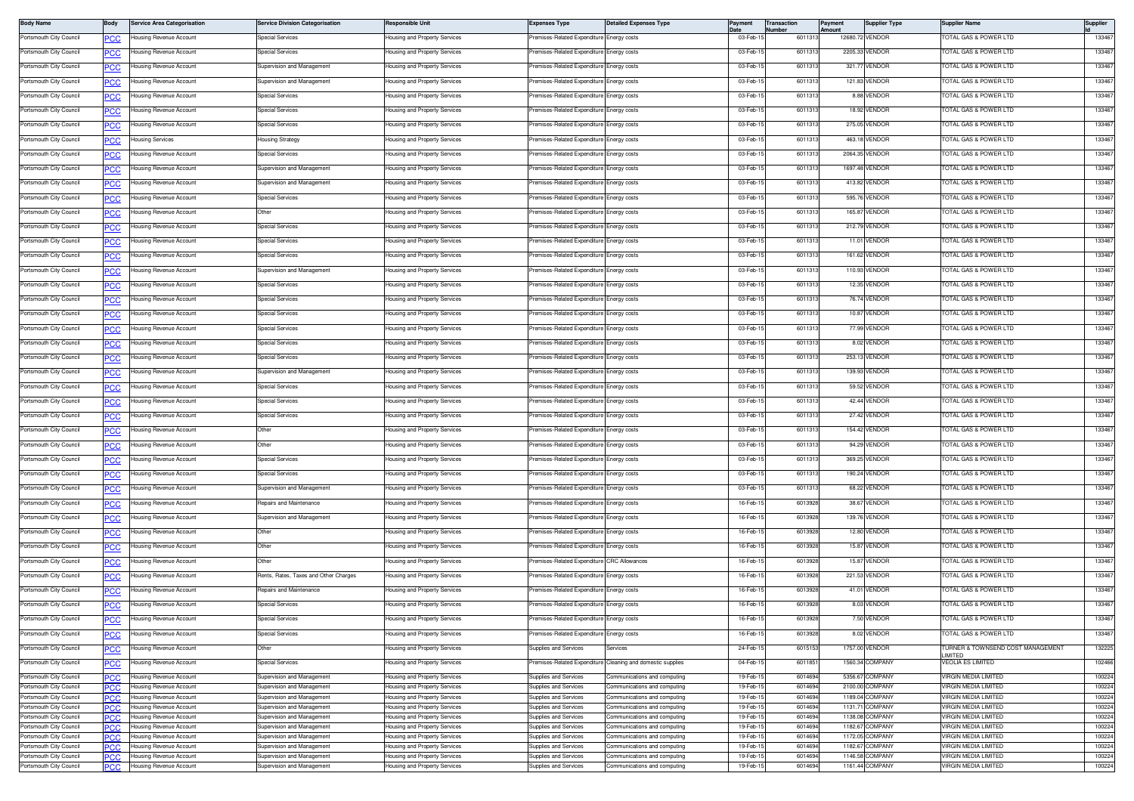| <b>Body Name</b>                                   | Body              | <b>Service Area Categorisation</b>                 | <b>Service Division Categorisation</b>                   | Responsible Unit                                               | Expenses Type                                  | <b>Detailed Expenses Type</b>                                | Payment              | Transaction<br>Number | Payment<br>Amount | <b>Supplier Type</b>               | <b>Supplier Name</b>                                     | Supplier         |
|----------------------------------------------------|-------------------|----------------------------------------------------|----------------------------------------------------------|----------------------------------------------------------------|------------------------------------------------|--------------------------------------------------------------|----------------------|-----------------------|-------------------|------------------------------------|----------------------------------------------------------|------------------|
| Portsmouth City Council                            | <u>PCC</u>        | lousing Revenue Account                            | <b>Special Services</b>                                  | lousing and Property Services                                  | remises-Related Expenditure Energy costs       |                                                              | 03-Feb-1             | 601131                |                   | 12680.72 VENDOR                    | OTAL GAS & POWER LTD                                     | 133467           |
| Portsmouth City Council                            |                   | lousing Revenue Account                            | <b>Special Services</b>                                  | Housing and Property Services                                  | remises-Related Expenditure Energy costs       |                                                              | 03-Feb-1             | 601131                |                   | 2205.33 VENDOR                     | OTAL GAS & POWER LTD                                     | 133467           |
| Portsmouth City Council                            |                   | lousing Revenue Account                            | Supervision and Management                               | Housing and Property Services                                  | remises-Related Expenditure                    | Energy costs                                                 | 03-Feb-1             | 6011313               |                   | 321.77 VENDOR                      | OTAL GAS & POWER LTD                                     | 133467           |
| Portsmouth City Council                            | PCC               | lousing Revenue Account                            | Supervision and Management                               | Housing and Property Services                                  | emises-Related Expenditure Energy costs        |                                                              | 03-Feb-1             | 601131                |                   | 121.83 VENDOR                      | OTAL GAS & POWER LTD                                     | 133467           |
| Portsmouth City Council                            | PCC               | Housing Revenue Account                            | <b>Special Services</b>                                  | Housing and Property Services                                  | remises-Related Expenditure Energy costs       |                                                              | 03-Feb-1             | 6011313               |                   | 8.88 VENDOR                        | OTAL GAS & POWER LTD                                     | 133467           |
| Portsmouth City Council                            | <u>PCC</u>        | Housing Revenue Account                            | Special Services                                         | lousing and Property Services                                  | emises-Related Expenditure Energy costs        |                                                              | 03-Feb-1             | 601131                |                   | 18.92 VENDOR                       | OTAL GAS & POWER LTD                                     | 133467           |
| Portsmouth City Council                            |                   | lousing Revenue Account                            | <b>Special Services</b>                                  | Housing and Property Services                                  | remises-Related Expenditure Energy costs       |                                                              | 03-Feb-1             | 6011313               |                   | 275.05 VENDOR                      | OTAL GAS & POWER LTD                                     | 133467           |
| Portsmouth City Council                            | сC                | lousing Services                                   | <b>Housing Strategy</b>                                  | lousing and Property Services                                  | remises-Related Expenditure                    | Energy costs                                                 | 03-Feb-1             | 6011313               |                   | 463.18 VENDOR                      | OTAL GAS & POWER LTD                                     | 133467           |
| Portsmouth City Council                            | PCC               | lousing Revenue Account                            | Special Services                                         | lousing and Property Services                                  | emises-Related Expenditure                     | Energy costs                                                 | 03-Feb-1             | 601131                |                   | 2064.35 VENDOR                     | OTAL GAS & POWER LTD                                     | 133467           |
| Portsmouth City Council                            | <u>PCC</u>        | Housing Revenue Account                            | Supervision and Management                               | Housing and Property Services                                  | remises-Related Expenditure Energy costs       |                                                              | 03-Feb-1             | 6011313               |                   | 1697.48 VENDOR                     | OTAL GAS & POWER LTD                                     | 133467           |
| Portsmouth City Council                            | <u>PCC</u>        | Housina Revenue Account                            | Supervision and Management                               | <del>l</del> ousing and Property Services                      | emises-Related Expenditure                     | Energy costs                                                 | 03-Feb-1             | 601131                |                   | 413.82 VENDOR                      | OTAL GAS & POWER LTD                                     | 133467           |
| Portsmouth City Council                            |                   | Housing Revenue Account                            | <b>Special Services</b>                                  | Housing and Property Services                                  | remises-Related Expenditure Energy costs       |                                                              | 03-Feb-1             | 601131                |                   | 595.76 VENDOR                      | OTAL GAS & POWER LTD                                     | 133467           |
| Portsmouth City Council                            |                   | lousing Revenue Account                            | Other                                                    | lousing and Property Services                                  | remises-Related Expenditure                    | Energy costs                                                 | 03-Feb-1             | 6011313               |                   | 165.87 VENDOR                      | OTAL GAS & POWER LTD                                     | 133467           |
| Portsmouth City Council                            | PCC               | lousing Revenue Account                            | Special Services                                         | lousing and Property Services                                  | remises-Related Expenditure Energy costs       |                                                              | 03-Feb-1             | 601131                |                   | 212.79 VENDOR                      | OTAL GAS & POWER LTD                                     | 133467           |
| Portsmouth City Council                            | <u>PCC</u>        | lousing Revenue Account                            | <b>Special Services</b>                                  | Housing and Property Services                                  | remises-Related Expenditure Energy costs       |                                                              | 03-Feb-1             | 6011313               |                   | 11.01 VENDOR                       | OTAL GAS & POWER LTD                                     | 133467           |
| Portsmouth City Council                            |                   | lousing Revenue Account                            | <b>Special Services</b>                                  | lousing and Property Services                                  | remises-Related Expenditure                    | Energy costs                                                 | 03-Feb-1             | 601131                |                   | 161.62 VENDOR                      | OTAL GAS & POWER LTD                                     | 133467           |
| Portsmouth City Council                            | <u>PCC</u>        | lousing Revenue Account                            | Supervision and Management                               | Housing and Property Services                                  | remises-Related Expenditure Energy costs       |                                                              | 03-Feb-1             | 6011313               |                   | 110.93 VENDOR                      | OTAL GAS & POWER LTD                                     | 133467           |
| Portsmouth City Council                            |                   | lousing Revenue Account                            | <b>Special Services</b>                                  | Housing and Property Services                                  | remises-Related Expenditure                    | Energy costs                                                 | 03-Feb-1             | 6011313               |                   | 12.35 VENDOR                       | OTAL GAS & POWER LTD                                     | 133467           |
|                                                    | сC                |                                                    |                                                          |                                                                |                                                |                                                              |                      |                       |                   | 76.74 VENDOR                       |                                                          | 133467           |
| Portsmouth City Council                            | PCC               | lousing Revenue Account                            | <b>Special Services</b>                                  | lousing and Property Services                                  | emises-Related Expenditure                     | Energy costs                                                 | 03-Feb-1             | 601131                |                   |                                    | OTAL GAS & POWER LTD                                     |                  |
| Portsmouth City Council                            | <u>PCC</u>        | Housing Revenue Account                            | Special Services                                         | lousing and Property Services                                  | remises-Related Expenditure Energy costs       |                                                              | 03-Feb-1             | 6011313               |                   | 10.87 VENDOR                       | OTAL GAS & POWER LTD                                     | 133467           |
| Portsmouth City Council                            | <u>PCC</u>        | Housing Revenue Account                            | <b>Special Services</b>                                  | Housing and Property Services                                  | remises-Related Expenditure Energy costs       |                                                              | 03-Feb-1             | 6011313               |                   | 77.99 VENDOR                       | OTAL GAS & POWER LTD                                     | 133467           |
| Portsmouth City Council                            |                   | lousing Revenue Account                            | <b>Special Services</b>                                  | Housing and Property Services                                  | remises-Related Expenditure Energy costs       |                                                              | 03-Feb-1             | 601131                |                   | 8.02 VENDOR                        | OTAL GAS & POWER LTD                                     | 133467           |
| Portsmouth City Council                            |                   | lousing Revenue Account                            | <b>Special Services</b>                                  | lousing and Property Services                                  | remises-Related Expenditure                    | Energy costs                                                 | 03-Feb-1             | 6011313               |                   | 253.13 VENDOR                      | OTAL GAS & POWER LTD                                     | 133467           |
| Portsmouth City Council                            | PCC               | lousing Revenue Account                            | Supervision and Management                               | lousing and Property Services                                  | emises-Related Expenditure Energy costs        |                                                              | 03-Feb-1             | 601131                |                   | 139.93 VENDOR                      | OTAL GAS & POWER LTD                                     | 133467           |
| Portsmouth City Council                            | <u>PCC</u>        | lousing Revenue Account                            | <b>Special Services</b>                                  | Housing and Property Services                                  | remises-Related Expenditure Energy costs       |                                                              | 03-Feb-1             | 6011313               |                   | 59.52 VENDOR                       | OTAL GAS & POWER LTD                                     | 133467           |
| Portsmouth City Council                            | <u>PCC</u>        | lousing Revenue Account                            | <b>Special Services</b>                                  | lousing and Property Services                                  | remises-Related Expenditure                    | Energy costs                                                 | 03-Feb-1             | 601131                |                   | 42.44 VENDOR                       | <b>OTAL GAS &amp; POWER LTD</b>                          | 133467           |
| Portsmouth City Council                            |                   | lousing Revenue Account                            | <b>Special Services</b>                                  | Housing and Property Services                                  | remises-Related Expenditure Energy costs       |                                                              | 03-Feb-1             | 6011313               |                   | 27.42 VENDOR                       | OTAL GAS & POWER LTD                                     | 133467           |
| Portsmouth City Council                            | сc                | lousing Revenue Account                            | Other                                                    | Housing and Property Services                                  | remises-Related Expenditure                    | Energy costs                                                 | 03-Feb-1             | 6011313               |                   | 154.42 VENDOR                      | OTAL GAS & POWER LTD                                     | 133467           |
| Portsmouth City Council                            | PCC               | lousing Revenue Account                            | Other                                                    | lousing and Property Services                                  | remises-Related Expenditure                    | Energy costs                                                 | 03-Feb-1             | 6011313               |                   | 94.29 VENDOR                       | OTAL GAS & POWER LTD                                     | 133467           |
| Portsmouth City Council                            | <u>PCC</u>        | Housing Revenue Account                            | Special Services                                         | Housing and Property Services                                  | remises-Related Expenditure Energy costs       |                                                              | 03-Feb-1             | 6011313               |                   | 369.25 VENDOR                      | OTAL GAS & POWER LTD                                     | 133467           |
| Portsmouth City Council                            | <u>PCC</u>        | Housing Revenue Account                            | <b>Special Services</b>                                  | Housing and Property Services                                  | remises-Related Expenditure                    | Energy costs                                                 | 03-Feb-1             | 6011313               |                   | 190.24 VENDOR                      | OTAL GAS & POWER LTD                                     | 133467           |
| Portsmouth City Council                            |                   | lousing Revenue Account                            | Supervision and Management                               | Housing and Property Services                                  | remises-Related Expenditure Energy costs       |                                                              | 03-Feb-1             | 6011313               |                   | 68.22 VENDOR                       | OTAL GAS & POWER LTD                                     | 133467           |
| Portsmouth City Council                            |                   | lousing Revenue Account                            | Repairs and Maintenance                                  | lousing and Property Services                                  | remises-Related Expenditure                    | Energy costs                                                 | 16-Feb-1             | 6013928               |                   | 38.67 VENDOR                       | OTAL GAS & POWER LTD                                     | 133467           |
| Portsmouth City Council                            | PCC               | lousing Revenue Account                            | Supervision and Management                               | lousing and Property Services                                  | emises-Related Expenditure                     | Energy costs                                                 | 16-Feb-1             | 6013928               |                   | 139.76 VENDOR                      | OTAL GAS & POWER LTD                                     | 133467           |
| Portsmouth City Council                            | <u>PCC</u>        | lousing Revenue Account                            | Other                                                    | Housing and Property Services                                  | remises-Related Expenditure Energy costs       |                                                              | 16-Feb-1             | 6013928               |                   | 12.80 VENDOR                       | OTAL GAS & POWER LTD                                     | 133467           |
| Portsmouth City Council                            | <u>PCC</u>        | Housing Revenue Account                            | Other                                                    | lousing and Property Services                                  | remises-Related Expenditure Energy costs       |                                                              | 16-Feb-1             | 6013928               |                   | 15.87 VENDOR                       | <b>OTAL GAS &amp; POWER LTD</b>                          | 133467           |
| Portsmouth City Council                            |                   | lousing Revenue Account                            | Other                                                    | Housing and Property Services                                  | remises-Related Expenditure CRC Allowances     |                                                              | 16-Feb-1             | 601392                |                   | 15.87 VENDOR                       | OTAL GAS & POWER LTD                                     | 133467           |
| Portsmouth City Council                            | cс                | lousing Revenue Account                            | Rents, Rates, Taxes and Other Charges                    | Housing and Property Services                                  | remises-Related Expenditure                    | Energy costs                                                 | 16-Feb-1             | 6013928               |                   | 221.53 VENDOR                      | OTAL GAS & POWER LTD                                     | 133467           |
| Portsmouth City Council                            | <u>PCC</u>        | Housing Revenue Account                            | Repairs and Maintenance                                  | Housing and Property Services                                  | emises-Related Expenditure                     | Energy costs                                                 | 16-Feb-1             | 6013928               |                   | 41.01 VENDOR                       | OTAL GAS & POWER LTD                                     | 133467           |
| Portsmouth City Council                            | <u>PCC </u>       | <b>Housing Revenue Account</b>                     | <b>Special Services</b>                                  | Housing and Property Services                                  | remises-Related Expenditure Energy costs       |                                                              | 16-Feb-1             | 6013928               |                   | 8.03 VENDOR                        | OTAL GAS & POWER LTD                                     | 133467           |
| Portsmouth City Council                            | <b>PCC</b>        | Housing Revenue Account                            | <b>Special Services</b>                                  | Housing and Property Services                                  | Premises-Related Expenditure Energy costs      |                                                              | 16-Feb-1             | 6013928               |                   | 7.50 VENDOR                        | TOTAL GAS & POWER LTD                                    | 133467           |
| Portsmouth City Council                            | <b>PCC</b>        | lousing Revenue Account                            | <b>Special Services</b>                                  | lousing and Property Services                                  | emises-Related Expenditure                     | Energy costs                                                 | 16-Feb-15            | 6013928               |                   | 8.02 VENDOR                        | OTAL GAS & POWER LTD                                     | 133467           |
| Portsmouth City Council                            | сC                | lousing Revenue Account                            | Other                                                    | lousing and Property Services                                  | Supplies and Services                          | iervices                                                     | 24-Feb-1             | 6015153               |                   | 1757.00 VENDOR                     | URNER & TOWNSEND COST MANAGEMENT                         | 132225           |
| Portsmouth City Council                            | <b>PCC</b>        | lousing Revenue Account                            | Special Services                                         | lousing and Property Services                                  | remises-Related Expenditure                    | Cleaning and domestic supplies                               | 04-Feb-1             | 6011851               |                   | 1560.34 COMPANY                    | <b>IMITED</b><br>VEOLIA ES LIMITED                       | 102466           |
| Portsmouth City Council                            | PСC               | lousing Revenue Account                            | Supervision and Management                               | Housing and Property Services                                  | <b>Supplies and Services</b>                   | Communications and computing                                 | 19-Feb-1             | 6014694               |                   | 5356.67 COMPANY                    | VIRGIN MEDIA LIMITED                                     | 100224           |
| Portsmouth City Council                            | PCC               | lousing Revenue Account                            | Supervision and Management                               | Housing and Property Services                                  | Supplies and Services                          | Communications and computing                                 | 19-Feb-1             | 6014694               |                   | 2100.00 COMPANY                    | <b>IRGIN MEDIA LIMITED</b>                               | 100224           |
| Portsmouth City Council                            |                   | lousing Revenue Account                            | Supervision and Management                               | Housing and Property Services                                  | Supplies and Services                          | Communications and computing                                 | 19-Feb-              | 601469                |                   | 1189.04 COMPANY                    | VIRGIN MEDIA LIMITED                                     | 100224           |
| Portsmouth City Council<br>Portsmouth City Council | PCC<br><b>PCC</b> | lousing Revenue Account<br>lousing Revenue Account | Supervision and Management<br>Supervision and Management | lousing and Property Services<br>lousing and Property Services | upplies and Services<br>Supplies and Services  | ommunications and computing<br>Communications and computing  | 19-Feb-1<br>19-Feb-1 | 601469<br>6014694     |                   | 1131.71 COMPANY<br>1138.08 COMPANY | <b>/IRGIN MEDIA LIMITED</b><br>VIRGIN MEDIA LIMITED      | 100224<br>100224 |
| Portsmouth City Council                            | PCC               | lousing Revenue Account                            | Supervision and Management                               | lousing and Property Services                                  | Supplies and Services                          | Communications and computing                                 | 19-Feb-1             | 6014694               |                   | 1182.67 COMPANY                    | VIRGIN MEDIA LIMITED                                     | 100224           |
| Portsmouth City Council                            | <b>PCC</b>        | lousing Revenue Account                            | Supervision and Management                               | Housing and Property Services                                  | Supplies and Services                          | Communications and computing                                 | 19-Feb-1             | 601469                |                   | 1172.05 COMPANY                    | VIRGIN MEDIA LIMITED                                     | 100224           |
| Portsmouth City Council                            | PCC               | lousing Revenue Account                            | Supervision and Management                               | lousing and Property Services                                  | Supplies and Services                          | communications and computing                                 | 19-Feb-1             | 6014694               |                   | 1182.67 COMPANY<br>1146.58 COMPANY | <b>/IRGIN MEDIA LIMITED</b>                              | 100224           |
| Portsmouth City Council<br>Portsmouth City Council | <b>PCC</b>        | lousing Revenue Account<br>lousing Revenue Account | Supervision and Management<br>Supervision and Management | lousing and Property Services<br>lousing and Property Services | Supplies and Services<br>Supplies and Services | Communications and computing<br>Communications and computing | 19-Feb-1<br>19-Feb-1 | 6014694<br>6014694    |                   | 1161.44 COMPANY                    | <b>IRGIN MEDIA LIMITED</b><br><b>IRGIN MEDIA LIMITED</b> | 100224<br>100224 |
|                                                    | PCC               |                                                    |                                                          |                                                                |                                                |                                                              |                      |                       |                   |                                    |                                                          |                  |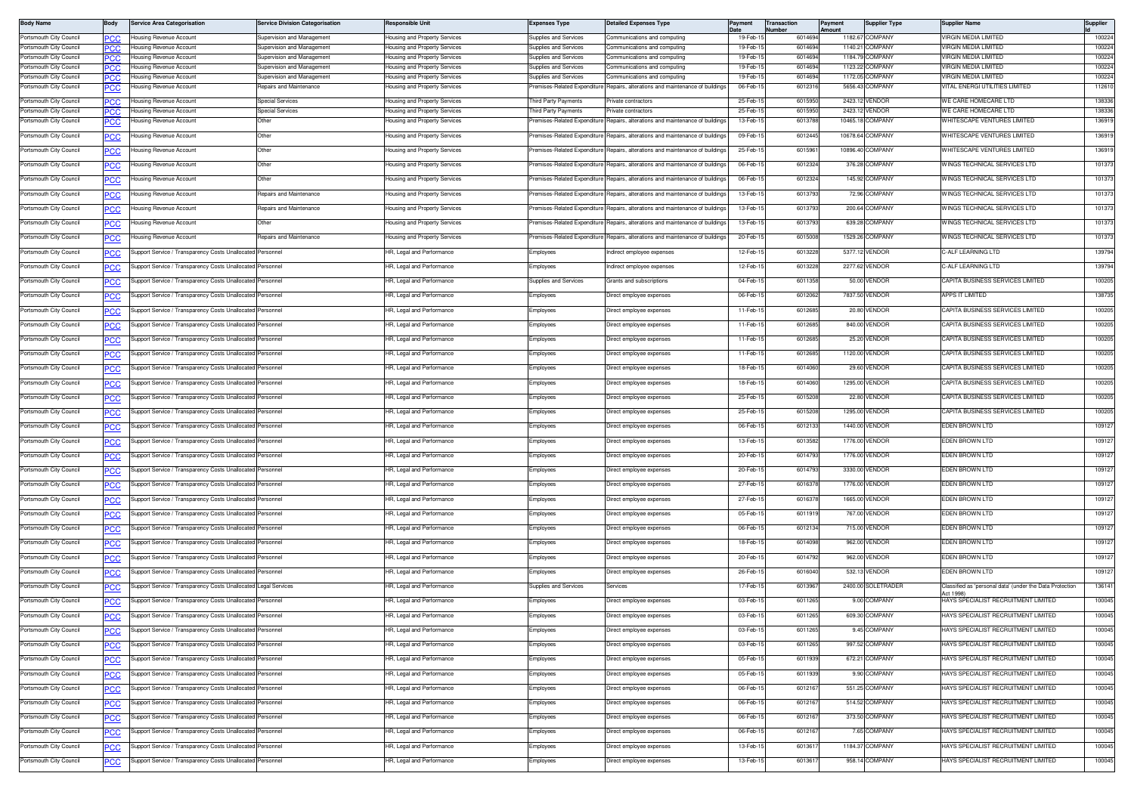| <b>Body Name</b>                                   | Body              | Service Area Categorisation                                     | <b>Service Division Categorisation</b>                   | Responsible Unit                                               | <b>Expenses Type</b>                                  | Detailed Expenses Type                                                        | Payment              | Transaction<br>lumber | Payment<br>Amount | <b>Supplier Type</b>               | Supplier Name                                                         | Supplier         |
|----------------------------------------------------|-------------------|-----------------------------------------------------------------|----------------------------------------------------------|----------------------------------------------------------------|-------------------------------------------------------|-------------------------------------------------------------------------------|----------------------|-----------------------|-------------------|------------------------------------|-----------------------------------------------------------------------|------------------|
| Portsmouth City Council                            | PСC               | lousing Revenue Account                                         | Supervision and Management                               | lousing and Property Services                                  | Supplies and Services                                 | Communications and computing                                                  | 19-Feb-              | 601469                |                   | 1182.67 COMPANY                    | VIRGIN MEDIA LIMITED                                                  | 100224           |
| Portsmouth City Council<br>Portsmouth City Council | CC.<br><b>PCC</b> | Housing Revenue Account<br>lousing Revenue Account              | Supervision and Management<br>Supervision and Management | lousing and Property Services                                  | Supplies and Services<br><b>Supplies and Services</b> | Communications and computing                                                  | 19-Feb-1<br>19-Feb-1 | 601469<br>601469      |                   | 1140.21 COMPANY<br>1184.79 COMPANY | 'IRGIN MEDIA LIMITED<br>VIRGIN MEDIA LIMITED                          | 100224<br>100224 |
| Portsmouth City Counci                             |                   | lousing Revenue Account                                         | Supervision and Management                               | lousing and Property Services<br>lousing and Property Services | upplies and Services                                  | ommunications and computing<br>ommunications and computing                    | 19-Feb-              | 601469                |                   | 1123.22 COMPANY                    | IRGIN MEDIA LIMITED                                                   | 100224           |
| Portsmouth City Council                            | <b>PCC</b>        | lousing Revenue Account                                         | Supervision and Management                               | Housing and Property Services                                  | Supplies and Services                                 | Communications and computing                                                  | 19-Feb-1             | 6014694               |                   | 1172.05 COMPANY                    | VIRGIN MEDIA LIMITED                                                  | 100224           |
| Portsmouth City Council                            | PCC               | lousing Revenue Account                                         | Repairs and Maintenance                                  | Housing and Property Services                                  |                                                       | remises-Related Expenditure Repairs, alterations and maintenance of buildings | 06-Feb-1             | 6012316               |                   | 5656.43 COMPANY                    | VITAL ENERGI UTILITIES LIMITED                                        | 112610           |
| Portsmouth City Council                            | <b>PCC</b>        | Housing Revenue Account                                         | <b>Special Services</b>                                  | Housing and Property Services                                  | hird Party Payments                                   | Private contractors                                                           | 25-Feb-              | 6015950               |                   | 2423.12 VENDOR                     | WE CARE HOMECARE LTD                                                  | 138336           |
| Portsmouth City Council                            |                   | lousing Revenue Account                                         | <b>Special Services</b>                                  | lousing and Property Services                                  | hird Party Payments                                   | rivate contractors                                                            | 25-Feb-              | 601595                |                   | 2423.12 VENDOR                     | WE CARE HOMECARE LTD                                                  | 138336           |
| Portsmouth City Council                            | <b>PCC</b>        | lousing Revenue Account                                         | Other                                                    | lousing and Property Services                                  | remises-Related Expenditure                           | Repairs, alterations and maintenance of building                              | 13-Feb-1             | 601378                |                   | 10465.18 COMPANY                   | WHITESCAPE VENTURES LIMITED                                           | 136919           |
| Portsmouth City Council                            | <b>PCC</b>        | Housing Revenue Account                                         | Other                                                    | Housing and Property Services                                  | Premises-Related Expenditure                          | Repairs, alterations and maintenance of buildings                             | 09-Feb-1             | 6012445               |                   | 10678.64 COMPANY                   | WHITESCAPE VENTURES LIMITED                                           | 136919           |
| Portsmouth City Council                            | <b>CC</b>         | lousing Revenue Account                                         | Other                                                    | Housing and Property Services                                  | Premises-Related Expenditure                          | Repairs, alterations and maintenance of buildings                             | 25-Feb-1             | 601596                |                   | 10896.40 COMPANY                   | WHITESCAPE VENTURES LIMITED                                           | 136919           |
| Portsmouth City Council                            | <u>PCC</u>        | lousing Revenue Account                                         | Other                                                    | lousing and Property Services                                  | remises-Related Expenditure                           | Repairs, alterations and maintenance of buildings                             | 06-Feb-              | 6012324               |                   | 376.28 COMPANY                     | VINGS TECHNICAL SERVICES LTD                                          | 101373           |
| Portsmouth City Council                            | <u>'CC</u>        | lousing Revenue Account                                         | Other                                                    | lousing and Property Services                                  | remises-Related Expenditure                           | Repairs, alterations and maintenance of buildings                             | 06-Feb-1             | 6012324               |                   | 145.92 COMPANY                     | WINGS TECHNICAL SERVICES LTD                                          | 101373           |
| Portsmouth City Council                            | PCC               | lousing Revenue Account                                         | Repairs and Maintenance                                  | Housing and Property Services                                  | Premises-Related Expenditure                          | lepairs, alterations and maintenance of building                              | 13-Feb-1             | 601379                |                   | 72.96 COMPANY                      | WINGS TECHNICAL SERVICES LTD                                          | 101373           |
| Portsmouth City Council                            | <u>PCC</u>        | lousing Revenue Account                                         | Repairs and Maintenance                                  | Housing and Property Services                                  | remises-Related Expenditure                           | lepairs, alterations and maintenance of building                              | 13-Feb-1             | 6013793               |                   | 200.64 COMPANY                     | WINGS TECHNICAL SERVICES LTD                                          | 101373           |
| Portsmouth City Council                            | <b>CC</b>         | lousing Revenue Account                                         | Other                                                    | Housing and Property Services                                  | Premises-Related Expenditure                          | Repairs, alterations and maintenance of buildings                             | 13-Feb-1             | 6013793               |                   | 639.28 COMPANY                     | WINGS TECHNICAL SERVICES LTD                                          | 101373           |
| Portsmouth City Council                            | <u>PCC</u>        | lousing Revenue Account                                         | Repairs and Maintenance                                  | lousing and Property Services                                  | Premises-Related Expenditure                          | Repairs, alterations and maintenance of buildings                             | 20-Feb-1             | 6015008               |                   | 1529.26 COMPANY                    | VINGS TECHNICAL SERVICES LTD                                          | 101373           |
| Portsmouth City Council                            | <u>CC</u>         | Support Service / Transparency Costs Unallocated Personnel      |                                                          | HR, Legal and Performance                                      | Employees                                             | Indirect employee expenses                                                    | 12-Feb-1             | 6013228               |                   | 5377.12 VENDOR                     | -ALF LEARNING LTD                                                     | 139794           |
| Portsmouth City Council                            | PCC               | Support Service / Transparency Costs Unallocated                | Personnel                                                | HR, Legal and Performance                                      | Employees                                             | Indirect employee expenses                                                    | 12-Feb-1             | 601322                |                   | 2277.62 VENDOR                     | C-ALF LEARNING LTD                                                    | 139794           |
| Portsmouth City Council                            | <u>PCC</u>        | upport Service / Transparency Costs Unallocate                  | ersonnel                                                 | HR, Legal and Performance                                      | Supplies and Services                                 | Grants and subscriptions                                                      | 04-Feb-1             | 601135                |                   | 50.00 VENDOR                       | CAPITA BUSINESS SERVICES LIMITED                                      | 100205           |
| Portsmouth City Council                            | <b>CC</b>         | Support Service / Transparency Costs Unallocated Personnel      |                                                          | HR, Legal and Performance                                      | Employees                                             | Direct employee expenses                                                      | 06-Feb-1             | 6012062               |                   | 7837.50 VENDOR                     | APPS IT LIMITED                                                       | 138735           |
| Portsmouth City Council                            | <u>PCC</u>        | Support Service / Transparency Costs Unallocated                | Personnel                                                | IR, Legal and Performance                                      | Employees                                             | Direct emplovee expenses                                                      | 11-Feb-1             | 601268                |                   | 20.80 VENDOR                       | APITA BUSINESS SERVICES LIMITED                                       | 100205           |
| Portsmouth City Council                            | <u>CC</u>         | Support Service / Transparency Costs Unallocated Personnel      |                                                          | HR, Legal and Performance                                      | Employees                                             | Direct employee expenses                                                      | 11-Feb-1             | 6012685               |                   | 840.00 VENDOR                      | CAPITA BUSINESS SERVICES LIMITED                                      | 100205           |
| Portsmouth City Council                            | PCC               | upport Service / Transparency Costs Unallocated                 | Personnel                                                | HR, Legal and Performance                                      | Employees                                             | Direct employee expenses                                                      | 11-Feb-1             | 601268                |                   | 25.20 VENDOF                       | CAPITA BUSINESS SERVICES LIMITED                                      | 100205           |
| Portsmouth City Council                            | сC                | upport Service / Transparency Costs Unallocate                  | ersonnel                                                 | HR, Legal and Performance                                      | Employees                                             | Direct employee expenses                                                      | 11-Feb-1             | 601268                |                   | 1120.00 VENDOR                     | CAPITA BUSINESS SERVICES LIMITED                                      | 100205           |
| Portsmouth City Council                            | <u>cc</u>         | upport Service / Transparency Costs Unallocated Personnel       |                                                          | HR, Legal and Performance                                      | Employees                                             | Direct employee expenses                                                      | 18-Feb-1             | 6014060               |                   | 29.60 VENDOR                       | CAPITA BUSINESS SERVICES LIMITED                                      | 100205           |
| Portsmouth City Council                            | <u>PCC</u>        | Support Service / Transparency Costs Unallocated                | Personnel                                                | IR, Legal and Performance                                      | Employees                                             | Direct emplovee expenses                                                      | 18-Feb-1             | 6014060               |                   | 1295.00 VENDOR                     | APITA BUSINESS SERVICES LIMITED                                       | 100205           |
| Portsmouth City Council                            | <u>CC</u>         | Support Service / Transparency Costs Unallocated                | Personnel                                                | HR, Legal and Performance                                      | Employees                                             | Direct employee expenses                                                      | 25-Feb-1             | 6015208               |                   | 22.80 VENDOR                       | CAPITA BUSINESS SERVICES LIMITED                                      | 100205           |
| Portsmouth City Council                            | PCC               | Support Service / Transparency Costs Unallocated                | Personnel                                                | HR, Legal and Performance                                      | Employees                                             | Direct employee expenses                                                      | 25-Feb-              | 601520                |                   | 1295.00 VENDOR                     | CAPITA BUSINESS SERVICES LIMITED                                      | 100205           |
| Portsmouth City Council                            | сC                | upport Service / Transparency Costs Unallocate                  | ersonnel                                                 | HR, Legal and Performance                                      | Employees                                             | Direct employee expenses                                                      | 06-Feb-1             | 601213                |                   | 1440.00 VENDOR                     | EDEN BROWN LTD                                                        | 109127           |
| Portsmouth City Council                            |                   | Support Service / Transparency Costs Unallocated Personnel      |                                                          | HR, Legal and Performance                                      | Employees                                             | Direct employee expenses                                                      | 13-Feb-1             | 6013582               |                   | 1776.00 VENDOR                     | EDEN BROWN LTD                                                        | 109127           |
| Portsmouth City Council                            | <u>PCC</u>        | Support Service / Transparency Costs Unallocated                | Personnel                                                | IR, Legal and Performance                                      | Employees                                             | Direct employee expenses                                                      | 20-Feb-1             | 6014793               |                   | 1776.00 VENDOR                     | <b>EDEN BROWN LTD</b>                                                 | 109127           |
| Portsmouth City Council                            | <u>cc</u>         | Support Service / Transparency Costs Unallocated                | Personnel                                                | HR, Legal and Performance                                      | Employees                                             | Direct employee expenses                                                      | 20-Feb-1             | 6014793               |                   | 3330.00 VENDOR                     | EDEN BROWN LTD                                                        | 109127           |
| Portsmouth City Council                            | ∍сс               | upport Service / Transparency Costs Unallocated                 | Personnel                                                | HR, Legal and Performance                                      | Employees                                             | Direct employee expenses                                                      | 27-Feb-              | 601637                |                   | 1776.00 VENDOR                     | EDEN BROWN LTD                                                        | 109127           |
| Portsmouth City Council                            | сC                | upport Service / Transparency Costs Unallocate                  | ersonnel                                                 | HR, Legal and Performance                                      | Employees                                             | Direct employee expenses                                                      | 27-Feb-1             | 601637                |                   | 1665.00 VENDOR                     | EDEN BROWN LTD                                                        | 109127           |
| Portsmouth City Council                            | <u>cc</u>         | upport Service / Transparency Costs Unallocated Personnel       |                                                          | HR, Legal and Performance                                      | Employees                                             | Direct employee expenses                                                      | 05-Feb-1             | 6011919               |                   | 767.00 VENDOR                      | EDEN BROWN LTD                                                        | 109127           |
| Portsmouth City Council                            | <u>PCC</u>        | Support Service / Transparency Costs Unallocated                | Personnel                                                | IR, Legal and Performance                                      | Employees                                             | Direct employee expenses                                                      | 06-Feb-              | 6012134               |                   | 715.00 VENDOR                      | DEN BROWN LTD                                                         | 109127           |
| Portsmouth City Council                            | <u>'CC</u>        | Support Service / Transparency Costs Unallocated                | Personnel                                                | HR, Legal and Performance                                      | Employees                                             | Direct employee expenses                                                      | 18-Feb-1             | 601409                |                   | 962.00 VENDOR                      | <b>EDEN BROWN LTD</b>                                                 | 109127           |
| Portsmouth City Council                            | <b>PCC</b>        | Support Service / Transparency Costs Unallocated                | Personnel                                                | HR, Legal and Performance                                      | Employees                                             | Direct employee expenses                                                      | 20-Feb-              | 601479                |                   | 962.00 VENDOR                      | EDEN BROWN LTD                                                        | 109127           |
| Portsmouth City Council                            | PСC               | Support Service / Transparency Costs Unallocate                 | ersonnel                                                 | HR, Legal and Performance                                      | :mployees                                             | Direct employee expenses                                                      | 26-Feb-1             | 6016040               |                   | 532.13 VENDOR                      | EDEN BROWN LTD                                                        | 109127           |
| Portsmouth City Council                            | <b>CC</b>         | Support Service / Transparency Costs Unallocated Legal Services |                                                          | HR, Legal and Performance                                      | Supplies and Services                                 | Services                                                                      | 17-Feb-1             | 6013967               |                   | 2400.00 SOLETRADER                 | Classified as 'personal data' (under the Data Protection<br>Act 1998) | 136141           |
| Portsmouth City Council                            | <u>PCC</u>        | Support Service / Transparency Costs Unallocated                | Personnel                                                | IR, Legal and Performance                                      | Employees                                             | Direct employee expenses                                                      | 03-Feb-1             | 601126                |                   | 9.00 COMPANY                       | HAYS SPECIALIST RECRUITMENT LIMITED                                   | 100045           |
| Portsmouth City Council                            | <u>PCC</u>        | Support Service / Transparency Costs Unallocated Personnel      |                                                          | HR, Legal and Performance                                      | Employees                                             | Direct employee expenses                                                      | 03-Feb-1             | 6011265               |                   | 609.30 COMPANY                     | HAYS SPECIALIST RECRUITMENT LIMITED                                   | 100045           |
| Portsmouth City Council                            | <b>PCC</b>        | upport Service / Transparency Costs Unallocated                 | Personnel                                                | HR, Legal and Performance                                      | Employees                                             | Direct employee expenses                                                      | 03-Feb-1             | 601126                |                   | 9.45 COMPANY                       | HAYS SPECIALIST RECRUITMENT LIMITED                                   | 100045           |
| Portsmouth City Council                            | <u>PCC</u>        | Support Service / Transparency Costs Unallocated                | Personnel                                                | HR, Legal and Performance                                      | <b>Employees</b>                                      | Direct employee expenses                                                      | 03-Feb-1             | 6011265               |                   | 997.52 COMPANY                     | HAYS SPECIALIST RECRUITMENT LIMITED                                   | 100045           |
| Portsmouth City Council                            | <u>PCC</u>        | upport Service / Transparency Costs Unallocated Personnel       |                                                          | HR, Legal and Performance                                      | Employees                                             | Direct employee expenses                                                      | 05-Feb-1             | 6011939               |                   | 672.21 COMPANY                     | HAYS SPECIALIST RECRUITMENT LIMITED                                   | 100045           |
| Portsmouth City Council                            | <b>PCC</b>        | Support Service / Transparency Costs Unallocated Personnel      |                                                          | HR, Legal and Performance                                      | Employees                                             | Direct employee expenses                                                      | 05-Feb-1             | 6011939               |                   | 9.90 COMPANY                       | HAYS SPECIALIST RECRUITMENT LIMITED                                   | 100045           |
| Portsmouth City Council                            | <u>PCC</u>        | upport Service Transparency Costs Unallocated Personnel         |                                                          | HR, Legal and Performance                                      | Employees                                             | Direct employee expenses                                                      | 06-Feb-1             | 601216                |                   | 551.25 COMPANY                     | HAYS SPECIALIST RECRUITMENT LIMITED                                   | 100045           |
| Portsmouth City Council                            | <b>PCC</b>        | upport Service / Transparency Costs Unallocated                 | Personnel                                                | HR, Legal and Performance                                      | Employees                                             | Direct employee expenses                                                      | 06-Feb-              | 601216                |                   | 514.52 COMPANY                     | HAYS SPECIALIST RECRUITMENT LIMITED                                   | 100045           |
| Portsmouth City Council                            | <u>PCC</u>        | upport Service / Transparency Costs Unallocate                  | ersonnel                                                 | HR, Legal and Performance                                      | :mployees                                             | Direct employee expenses                                                      | 06-Feb-1             | 601216                |                   | 373.50 COMPANY                     | HAYS SPECIALIST RECRUITMENT LIMITED                                   | 100045           |
| Portsmouth City Council                            | <u>CC</u>         | Support Service / Transparency Costs Unallocated Personnel      |                                                          | HR, Legal and Performance                                      | Employees                                             | Direct employee expenses                                                      | 06-Feb-1             | 601216                |                   | 7.65 COMPANY                       | HAYS SPECIALIST RECRUITMENT LIMITED                                   | 100045           |
| Portsmouth City Council                            | <u>PCC</u>        | Support Service / Transparency Costs Unallocated                | Personnel                                                | HR, Legal and Performance                                      | Employees                                             | Direct employee expenses                                                      | 13-Feb-1             | 601361                |                   | 1184.37 COMPANY                    | HAYS SPECIALIST RECRUITMENT LIMITED                                   | 100045           |
| Portsmouth City Council                            |                   | Support Service / Transparency Costs Unallocated Personnel      |                                                          | HR, Legal and Performance                                      | Employees                                             | Direct employee expenses                                                      | 13-Feb-1             | 601361                |                   | 958.14 COMPANY                     | HAYS SPECIALIST RECRUITMENT LIMITED                                   | 100045           |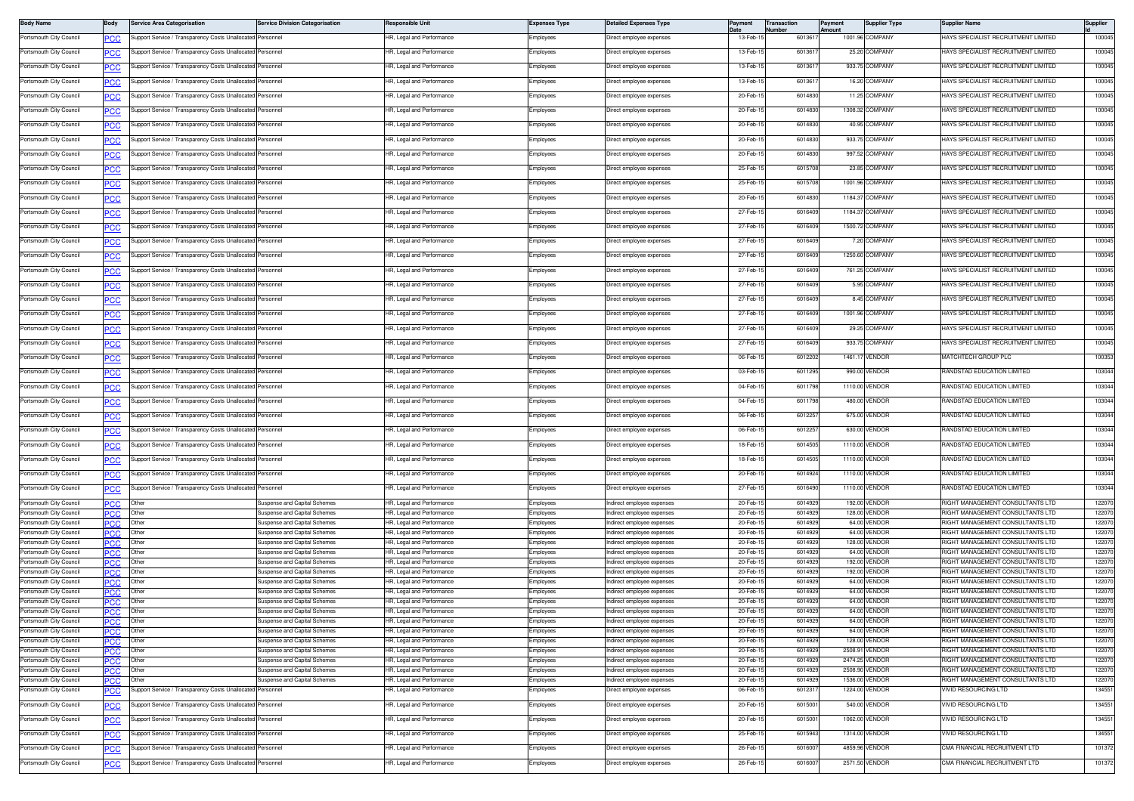| <b>Body Name</b>                                   | Body                     | Service Area Categorisation                                | <b>Service Division Categorisation</b>                              | <b>Responsible Unit</b>                                | <b>Expenses Type</b>   | <b>Detailed Expenses Type</b>                          | Payment              | <b>Transaction</b><br>Number | Payment<br>Amount | <b>Supplier Type</b>          | <b>Supplier Name</b>                                                        | Supplier         |
|----------------------------------------------------|--------------------------|------------------------------------------------------------|---------------------------------------------------------------------|--------------------------------------------------------|------------------------|--------------------------------------------------------|----------------------|------------------------------|-------------------|-------------------------------|-----------------------------------------------------------------------------|------------------|
| Portsmouth City Council                            | PCC                      | upport Service / Transparency Costs Unallocated            | Personnel                                                           | HR, Legal and Performance                              | Employees              | Direct employee expenses                               | 13-Feb-1             | 601361                       |                   | 1001.96 COMPANY               | HAYS SPECIALIST RECRUITMENT LIMITED                                         | 100045           |
| Portsmouth City Council                            |                          | upport Service / Transparency Costs Unallocate             | Personnel                                                           | IR, Legal and Performance                              | Employees              | Direct employee expenses                               | 13-Feb-1             | 601361                       |                   | 25.20 COMPANY                 | HAYS SPECIALIST RECRUITMENT LIMITED                                         | 100045           |
| Portsmouth City Council                            | PСC                      | Support Service / Transparency Costs Unallocated           | ersonnel                                                            | HR, Legal and Performance                              | Employees              | Direct emplovee expenses                               | 13-Feb-1             | 601361                       |                   | 933.75 COMPANY                | HAYS SPECIALIST RECRUITMENT LIMITED                                         | 100045           |
| Portsmouth City Council                            | PCC                      | Support Service / Transparency Costs Unallocate            | ersonnel                                                            | HR, Legal and Performance                              | Employees              | Direct employee expenses                               | 13-Feb-1             | 601361                       |                   | 16.20 COMPANY                 | HAYS SPECIALIST RECRUITMENT LIMITED                                         | 100045           |
| Portsmouth City Council                            |                          | Support Service / Transparency Costs Unallocated           | Personnel                                                           | HR, Legal and Performance                              |                        |                                                        | 20-Feb-1             | 6014830                      |                   | 11.25 COMPANY                 | HAYS SPECIALIST RECRUITMENT LIMITED                                         | 100045           |
|                                                    | <u>CC </u>               |                                                            |                                                                     |                                                        | Employees              | Direct employee expenses                               |                      |                              |                   |                               |                                                                             |                  |
| Portsmouth City Council                            | <b>PCC</b>               | Support Service / Transparency Costs Unallocated           | Personnel                                                           | HR, Legal and Performance                              | Employees              | Direct employee expenses                               | 20-Feb-1             | 601483                       |                   | 1308.32 COMPANY               | HAYS SPECIALIST RECRUITMENT LIMITED                                         | 100045           |
| Portsmouth City Council                            | <u>CC</u>                | Support Service / Transparency Costs Unallocate            | ersonnel                                                            | IR, Legal and Performance                              | mployees               | Direct employee expenses                               | 20-Feb-              | 6014830                      |                   | 40.95 COMPANY                 | HAYS SPECIALIST RECRUITMENT LIMITED                                         | 100045           |
| Portsmouth City Council                            | <u>PCC</u>               | Support Service / Transparency Costs Unallocated           | Personnel                                                           | HR, Legal and Performance                              | Employees              | Direct employee expenses                               | 20-Feb-1             | 6014830                      |                   | 933.75 COMPANY                | HAYS SPECIALIST RECRUITMENT LIMITED                                         | 100045           |
| Portsmouth City Council                            | PCC                      | Support Service / Transparency Costs Unallocate            | ersonnel                                                            | HR, Legal and Performance                              | Employees              | Direct employee expenses                               | 20-Feb-              | 601483                       |                   | 997.52 COMPANY                | HAYS SPECIALIST RECRUITMENT LIMITED                                         | 100045           |
| Portsmouth City Council                            | <u>'CC</u>               | Support Service / Transparency Costs Unallocate            | ersonnel                                                            | HR, Legal and Performance                              | Employees              | Direct employee expenses                               | 25-Feb-1             | 6015708                      |                   | 23.85 COMPANY                 | HAYS SPECIALIST RECRUITMENT LIMITED                                         | 100045           |
| Portsmouth City Council                            | <b>PCC</b>               | upport Service / Transparency Costs Unallocated            | Personnel                                                           | HR, Legal and Performance                              | Employees              | Direct employee expenses                               | 25-Feb-1             | 6015708                      |                   | 1001.96 COMPANY               | HAYS SPECIALIST RECRUITMENT LIMITED                                         | 100045           |
| Portsmouth City Council                            | <u>CC</u>                | upport Service / Transparency Costs Unallocate             | ersonnel                                                            | IR, Legal and Performance                              | Employees              | Direct employee expenses                               | 20-Feb-1             | 6014830                      |                   | 1184.37 COMPANY               | HAYS SPECIALIST RECRUITMENT LIMITED                                         | 100045           |
| Portsmouth City Council                            |                          | Support Service / Transparency Costs Unallocated           | Personnel                                                           | HR, Legal and Performance                              | Employees              | Direct employee expenses                               | 27-Feb-1             | 601640                       |                   | 1184.37 COMPANY               | HAYS SPECIALIST RECRUITMENT LIMITED                                         | 100045           |
|                                                    | PСC                      |                                                            |                                                                     |                                                        |                        |                                                        |                      |                              |                   |                               |                                                                             |                  |
| Portsmouth City Council                            | ∍сс                      | Support Service / Transparency Costs Unallocate            | ersonnel                                                            | HR, Legal and Performance                              | Employees              | Direct employee expenses                               | 27-Feb-1             | 6016409                      |                   | 1500.72 COMPANY               | HAYS SPECIALIST RECRUITMENT LIMITED                                         | 100045           |
| Portsmouth City Council                            | <u>CC </u>               | Support Service / Transparency Costs Unallocated           | Personnel                                                           | HR, Legal and Performance                              | Employees              | Direct employee expenses                               | 27-Feb-1             | 6016409                      |                   | 7.20 COMPANY                  | HAYS SPECIALIST RECRUITMENT LIMITED                                         | 100045           |
| Portsmouth City Council                            | <b>PCC</b>               | Support Service / Transparency Costs Unallocated Personnel |                                                                     | HR, Legal and Performance                              | Employees              | Direct employee expenses                               | 27-Feb-1             | 6016409                      |                   | 1250.60 COMPANY               | HAYS SPECIALIST RECRUITMENT LIMITED                                         | 100045           |
| Portsmouth City Council                            | <u>PCC</u>               | Support Service / Transparency Costs Unallocate            | ersonnel                                                            | R, Legal and Performance                               | :mployees              | Direct employee expenses                               | 27-Feb-1             | 6016409                      |                   | 761.25 COMPANY                | HAYS SPECIALIST RECRUITMENT LIMITED                                         | 100045           |
| Portsmouth City Council                            | <b>CC</b>                | Support Service / Transparency Costs Unallocated           | Personnel                                                           | HR, Legal and Performance                              | Employees              | Direct employee expenses                               | 27-Feb-1             | 6016409                      |                   | 5.95 COMPANY                  | HAYS SPECIALIST RECRUITMENT LIMITED                                         | 100045           |
| Portsmouth City Council                            | PCC                      | Support Service / Transparency Costs Unallocate            | ersonnel                                                            | HR, Legal and Performance                              | Employees              | Direct employee expenses                               | 27-Feb-1             | 601640                       |                   | 8.45 COMPANY                  | HAYS SPECIALIST RECRUITMENT LIMITED                                         | 100045           |
| Portsmouth City Council                            |                          | Support Service / Transparency Costs Unallocated           | Personnel                                                           | HR, Legal and Performance                              | Employees              | Direct employee expenses                               | 27-Feb-1             | 6016409                      |                   | 1001.96 COMPANY               | HAYS SPECIALIST RECRUITMENT LIMITED                                         | 100045           |
| Portsmouth City Council                            |                          | upport Service / Transparency Costs Unallocated            | Personnel                                                           | HR, Legal and Performance                              | Employees              | Direct employee expenses                               | 27-Feb-1             | 6016409                      |                   | 29.25 COMPANY                 | HAYS SPECIALIST RECRUITMENT LIMITED                                         | 100045           |
|                                                    | <b>PCC</b>               | upport Service / Transparency Costs Unallocated            |                                                                     |                                                        |                        |                                                        |                      |                              |                   |                               |                                                                             | 100045           |
| Portsmouth City Council                            | <u>cc</u>                |                                                            | ersonnel                                                            | IR, Legal and Performance                              | Employees              | Direct employee expenses                               | 27-Feb-1             | 6016409                      |                   | 933.75 COMPANY                | HAYS SPECIALIST RECRUITMENT LIMITED                                         |                  |
| Portsmouth City Council                            | °СС                      | Support Service / Transparency Costs Unallocated           | Personnel                                                           | HR, Legal and Performance                              | Employees              | Direct employee expenses                               | 06-Feb-1             | 6012202                      |                   | 1461.17 VENDOR                | MATCHTECH GROUP PLC                                                         | 100353           |
| Portsmouth City Council                            | ∍сс                      | Support Service / Transparency Costs Unallocated           | ersonnel                                                            | HR, Legal and Performance                              | Employees              | Direct employee expenses                               | 03-Feb-1             | 6011295                      |                   | 990.00 VENDOR                 | RANDSTAD EDUCATION LIMITED                                                  | 103044           |
| Portsmouth City Council                            |                          | Support Service / Transparency Costs Unallocated           | Personnel                                                           | HR, Legal and Performance                              | Employees              | Direct employee expenses                               | 04-Feb-15            | 6011798                      |                   | 1110.00 VENDOR                | RANDSTAD EDUCATION LIMITED                                                  | 103044           |
| Portsmouth City Council                            | <b>PCC</b>               | Support Service / Transparency Costs Unallocated Personnel |                                                                     | HR, Legal and Performance                              | Employees              | Direct employee expenses                               | 04-Feb-1             | 6011798                      |                   | 480.00 VENDOR                 | RANDSTAD EDUCATION LIMITED                                                  | 103044           |
| Portsmouth City Council                            | <b>PCC</b>               | upport Service / Transparency Costs Unallocate             | ersonnel                                                            | R, Legal and Performance                               | Employees              | Direct employee expenses                               | 06-Feb-1             | 601225                       |                   | 675.00 VENDOR                 | RANDSTAD EDUCATION LIMITED                                                  | 103044           |
| Portsmouth City Council                            | PСC                      | Support Service / Transparency Costs Unallocated           | Personnel                                                           | HR, Legal and Performance                              | Employees              | Direct employee expenses                               | 06-Feb-1             | 601225                       |                   | 630.00 VENDOR                 | RANDSTAD EDUCATION LIMITED                                                  | 103044           |
| Portsmouth City Council                            | PCC                      | Support Service / Transparency Costs Unallocate            | ersonnel                                                            | HR, Legal and Performance                              | Employees              | Direct employee expenses                               | 18-Feb-1             | 601450                       |                   | 1110.00 VENDOR                | RANDSTAD EDUCATION LIMITED                                                  | 103044           |
| Portsmouth City Council                            |                          |                                                            | Personnel                                                           |                                                        |                        |                                                        | 18-Feb-1             | 6014505                      |                   | 1110.00 VENDOR                | RANDSTAD EDUCATION LIMITED                                                  | 103044           |
|                                                    | PCC                      | Support Service / Transparency Costs Unallocated           |                                                                     | HR, Legal and Performance                              | Employees              | Direct employee expenses                               |                      |                              |                   |                               |                                                                             |                  |
| Portsmouth City Council                            | <b>PCC</b>               | Support Service / Transparency Costs Unallocated           | Personnel                                                           | HR, Legal and Performance                              | Employees              | Direct employee expenses                               | 20-Feb-1             | 6014924                      |                   | 1110.00 VENDOR                | RANDSTAD EDUCATION LIMITED                                                  | 103044           |
| Portsmouth City Council                            | <u>cc</u>                | Support Service / Transparency Costs Unallocated           | Personnel                                                           | IR, Legal and Performance                              | Employees              | Direct employee expenses                               | 27-Feb-1             | 6016490                      |                   | 1110.00 VENDOR                | RANDSTAD EDUCATION LIMITED                                                  | 103044           |
| Portsmouth City Council                            |                          | Other                                                      | Suspense and Capital Schemes                                        | HR, Legal and Performance                              | Employees              | ndirect employee expenses                              | 20-Feb-              | 601492                       |                   | 192.00 VENDOR                 | RIGHT MANAGEMENT CONSULTANTS LTD                                            | 122070           |
| Portsmouth City Council<br>Portsmouth City Council | PCC<br>PCC.              | Other<br>Other                                             | Suspense and Capital Schemes<br><b>Suspense and Capital Schemes</b> | HR, Legal and Performance<br>HR, Legal and Performance | Employees<br>:mployees | ndirect employee expenses<br>ndirect employee expenses | 20-Feb-<br>20-Feb-1  | 601492<br>6014929            |                   | 128.00 VENDOR<br>64.00 VENDOR | RIGHT MANAGEMENT CONSULTANTS LTD<br><b>NGHT MANAGEMENT CONSULTANTS LTD</b>  | 122070<br>122070 |
| Portsmouth City Council                            | PCC                      | Other                                                      | Suspense and Capital Scheme:                                        | IR, Legal and Performance                              | :mployees              | ndirect employee expenses                              | 20-Feb-1             | 601492                       |                   | 64.00 VENDOR                  | <b>NGHT MANAGEMENT CONSULTANTS LTD</b>                                      | 122070           |
| Portsmouth City Council                            | <b>PCC</b>               | Other                                                      | Suspense and Capital Schemes                                        | HR, Legal and Performance                              | Employees              | ndirect employee expenses                              | 20-Feb-1             | 601492                       |                   | 128.00 VENDOR                 | RIGHT MANAGEMENT CONSULTANTS LTD                                            | 122070           |
| Portsmouth City Council                            | <b>PCC</b>               | Other                                                      | Suspense and Capital Schemes                                        | HR, Legal and Performance                              | Employees              | ndirect employee expenses                              | 20-Feb-1             | 601492                       |                   | 64.00 VENDOR                  | RIGHT MANAGEMENT CONSULTANTS LTD                                            | 122070           |
| Portsmouth City Council                            | <b>PCC</b>               | Other                                                      | Suspense and Capital Schemes                                        | HR, Legal and Performance                              | Employees              | ndirect employee expenses                              | 20-Feb-              | 601492                       |                   | 192.00 VENDOR                 | RIGHT MANAGEMENT CONSULTANTS LTD<br><b>RIGHT MANAGEMENT CONSULTANTS LTD</b> | 122070           |
| Portsmouth City Council<br>Portsmouth City Council | °СС                      | Other<br>Other                                             | Suspense and Capital Schemes<br>Suspense and Capital Schemes        | HR, Legal and Performance<br>HR, Legal and Performance | Employees<br>Employees | ndirect employee expenses<br>ndirect employee expenses | 20-Feb-<br>20-Feb-1  | 601492<br>601492             |                   | 192.00 VENDOR<br>64.00 VENDOR | RIGHT MANAGEMENT CONSULTANTS LTD                                            | 122070<br>122070 |
| Portsmouth City Council                            | PСC<br>PСC               | Other                                                      | Suspense and Capital Schemes                                        | HR, Legal and Performance                              | Employees              | ndirect employee expenses                              | 20-Feb-              | 601492                       |                   | 64.00 VENDOR                  | RIGHT MANAGEMENT CONSULTANTS LTD                                            | 122070           |
| Portsmouth City Council                            | PCC                      | Othe                                                       | <b>Suspense and Capital Schemes</b>                                 | R, Legal and Performance                               | mployees               | ndirect employee expenses                              | 20-Feb-              | 60149                        |                   | 64.00 VENDOR                  | IIGHT MANAGEMENT CONSULTANTS LTD                                            | 122070           |
| Portsmouth City Council                            | <b>PCC</b>               | Other                                                      | Suspense and Capital Schemes                                        | HR, Legal and Performance                              | :mployees              | ndirect employee expenses                              | 20-Feb-1             | 6014929                      |                   | 64.00 VENDOR                  | <b>NGHT MANAGEMENT CONSULTANTS LTD</b>                                      | 122070           |
| Portsmouth City Council                            |                          | Other                                                      | Suspense and Capital Schemes                                        | HR, Legal and Performance                              | Employees              | Indirect employee expenses                             | 20-Feb-15            | 6014929                      |                   | 64.00 VENDOR                  | RIGHT MANAGEMENT CONSULTANTS LTD                                            | 122070           |
| Portsmouth City Council<br>Portsmouth City Council | <b>PCC</b>               | Other                                                      | Suspense and Capital Schemes<br>Suspense and Capital Schemes        | HR, Legal and Performance                              | Employees              | ndirect employee expenses                              | 20-Feb-1<br>20-Feb-1 | 601492<br>6014929            |                   | 64.00 VENDOR<br>128.00 VENDOR | RIGHT MANAGEMENT CONSULTANTS LTD<br>RIGHT MANAGEMENT CONSULTANTS LTD        | 122070<br>122070 |
| Portsmouth City Council                            | <b>PCC</b><br><b>PCC</b> | Other<br>Other                                             | Suspense and Capital Schemes                                        | HR, Legal and Performance<br>HR, Legal and Performance | Employees<br>Employees | ndirect employee expenses<br>ndirect employee expenses | 20-Feb-1             | 601492                       |                   | 2508.91 VENDOR                | RIGHT MANAGEMENT CONSULTANTS LTD                                            | 122070           |
| Portsmouth City Council                            | °СС                      | Other                                                      | Suspense and Capital Schemes                                        | HR, Legal and Performance                              | Employees              | ndirect employee expenses                              | 20-Feb-1             | 6014929                      |                   | 2474.25 VENDOR                | <b>RIGHT MANAGEMENT CONSULTANTS LTD</b>                                     | 122070           |
| Portsmouth City Council                            | PCC                      | Other                                                      | Suspense and Capital Schemes                                        | HR, Legal and Performance                              | Employees              | ndirect employee expenses                              | 20-Feb-1             | 601492                       |                   | 2508.90 VENDOR                | RIGHT MANAGEMENT CONSULTANTS LTD                                            | 122070           |
| Portsmouth City Council                            | <b>PCC</b>               | Other                                                      | Suspense and Capital Schemes                                        | HR, Legal and Performance                              | Employees              | ndirect employee expenses                              | 20-Feb-1             | 6014929                      |                   | 1536.00 VENDOR                | RIGHT MANAGEMENT CONSULTANTS LTD                                            | 122070           |
| Portsmouth City Council                            |                          | upport Service / Transparency Costs Unallocate             | ersonnel                                                            | R, Legal and Performance                               | mployees               | lirect employee expenses                               | 06-Feb-1             | 601231                       |                   | 1224.00 VENDOR                | <b>IVID RESOURCING LTD</b>                                                  | 134551           |
| Portsmouth City Council                            |                          | Support Service / Transparency Costs Unallocated           | Personnel                                                           | HR, Legal and Performance                              | Employees              | Direct employee expenses                               | 20-Feb-1             | 6015001                      |                   | 540.00 VENDOR                 | /IVID RESOURCING LTD                                                        | 134551           |
| Portsmouth City Council                            | <u>PCC</u>               | Support Service / Transparency Costs Unallocate            | ersonnel                                                            | HR. Legal and Performance                              | Employees              | Direct employee expenses                               | 20-Feb-              | 601500                       |                   | 1062.00 VENDOR                | /IVID RESOURCING LTD                                                        | 134551           |
| Portsmouth City Council                            | <u>PCC</u>               | Support Service / Transparency Costs Unallocate            | ersonnel                                                            | HR, Legal and Performance                              | Employees              | Direct employee expenses                               | 25-Feb-1             | 6015943                      |                   | 1314.00 VENDOR                | VIVID RESOURCING LTD                                                        | 134551           |
| Portsmouth City Council                            | <b>PCC</b>               | Support Service / Transparency Costs Unallocated           | Personnel                                                           | HR, Legal and Performance                              | Employees              | Direct employee expenses                               | 26-Feb-1             | 601600                       |                   | 4859.96 VENDOR                | CMA FINANCIAL RECRUITMENT LTD                                               | 101372           |
| Portsmouth City Council                            | <b>CC</b>                | Support Service / Transparency Costs Unallocated           | Personnel                                                           | HR, Legal and Performance                              | Employees              | Direct employee expenses                               | 26-Feb-1             | 601600                       |                   | 2571.50 VENDOR                | CMA FINANCIAL RECRUITMENT LTD                                               | 101372           |
|                                                    |                          |                                                            |                                                                     |                                                        |                        |                                                        |                      |                              |                   |                               |                                                                             |                  |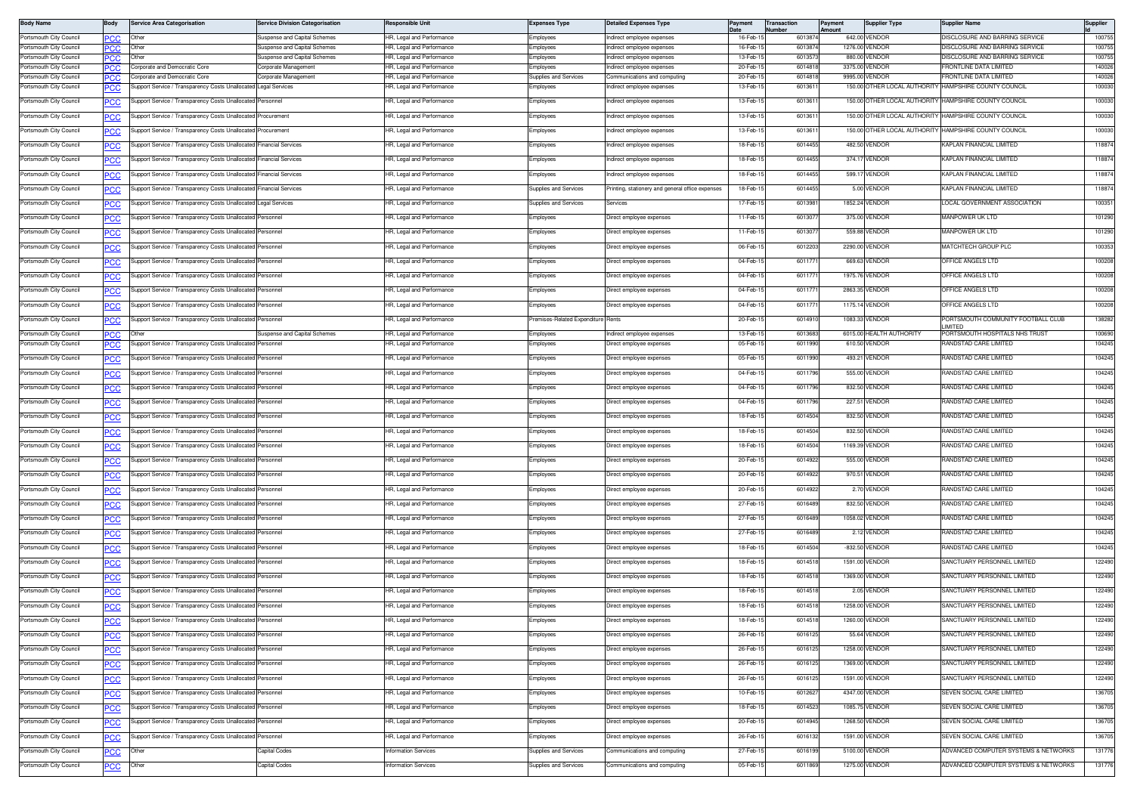| <b>Body Name</b>                                   | Body              | <b>Service Area Categorisation</b>                                                                  | <b>Service Division Categorisation</b>               | <b>Responsible Unit</b>                                | Expenses Type                     | <b>Detailed Expenses Type</b>                            | Payment              | Transaction<br>lumber | Payment<br>Amount | <b>Supplier Type</b>                      | Supplier Name                                           | Supplier         |
|----------------------------------------------------|-------------------|-----------------------------------------------------------------------------------------------------|------------------------------------------------------|--------------------------------------------------------|-----------------------------------|----------------------------------------------------------|----------------------|-----------------------|-------------------|-------------------------------------------|---------------------------------------------------------|------------------|
| Portsmouth City Council                            | PСC               | Other                                                                                               | Suspense and Capital Schemes                         | IR, Legal and Performance                              | Employees                         | Indirect employee expenses                               | 16-Feb-1             | 6013874               |                   | 642.00 VENDOR                             | DISCLOSURE AND BARRING SERVICE                          | 100755           |
| Portsmouth City Council                            | PCC               | Other                                                                                               | Suspense and Capital Schemes                         | HR. Legal and Performance                              | Employees                         | Indirect employee expenses                               | 16-Feb-1             | 6013874               |                   | 1276.00 VENDOR                            | DISCLOSURE AND BARRING SERVICE                          | 100755           |
| Portsmouth City Council<br>Portsmouth City Council | °СС               | Other<br>Corporate and Democratic Core                                                              | Suspense and Capital Schemes<br>Corporate Management | IR, Legal and Performance<br>IR, Legal and Performance | <i>imployees</i><br>mployees      | Indirect emplovee expenses<br>Indirect employee expenses | 13-Feb-1<br>20-Feb-1 | 601357<br>601481      |                   | 880.00 VENDOR<br>3375.00 VENDOR           | ISCLOSURE AND BARRING SERVICE<br>RONTLINE DATA LIMITED  | 100755<br>140026 |
| Portsmouth City Council                            | PCC<br>PCC        | orporate and Democratic Core                                                                        | Corporate Management                                 | HR, Legal and Performance                              | Supplies and Services             | Communications and computing                             | 20-Feb-              | 6014818               |                   | 9995.00 VENDOR                            | RONTLINE DATA LIMITED                                   | 140026           |
| Portsmouth City Council                            | <u>'CC</u>        | upport Service / Transparency Costs Unallocated                                                     | Legal Services                                       | R, Legal and Performance                               | mployees                          | ndirect employee expenses                                | 13-Feb-1             | 601361                |                   | 150.00 OTHER LOCAL AUTHORITY              | HAMPSHIRE COUNTY COUNCIL                                | 100030           |
| Portsmouth City Council                            | PCC               | Support Service / Transparency Costs Unallocated Personnel                                          |                                                      | HR, Legal and Performance                              | Employees                         | Indirect employee expenses                               | 13-Feb-1             | 601361                |                   |                                           | 150.00 OTHER LOCAL AUTHORITY HAMPSHIRE COUNTY COUNCIL   | 100030           |
| Portsmouth City Council                            | <u>PCC</u>        | Support Service / Transparency Costs Unallocated Procurement                                        |                                                      | HR, Legal and Performance                              | Employees                         | Indirect employee expenses                               | 13-Feb-1             | 601361                |                   | 150.00 OTHER LOCAL AUTHORITY              | HAMPSHIRE COUNTY COUNCIL                                | 100030           |
| Portsmouth City Council                            | <b>PCC</b>        | Support Service / Transparency Costs Unallocated                                                    | Procurement                                          | HR, Legal and Performance                              | Employees                         | Indirect employee expenses                               | 13-Feb-1             | 6013611               |                   |                                           | 150.00 OTHER LOCAL AUTHORITY HAMPSHIRE COUNTY COUNCIL   | 100030           |
| Portsmouth City Council                            | PCC               | Support Service / Transparency Costs Unallocated                                                    | <b>Financial Services</b>                            | HR, Legal and Performance                              | :mployees                         | Indirect employee expenses                               | 18-Feb-1             | 601445                |                   | 482.50 VENDOR                             | KAPLAN FINANCIAL LIMITED                                | 118874           |
| Portsmouth City Council                            | <u>PCC</u>        | Support Service / Transparency Costs Unallocate                                                     | inancial Services                                    | IR, Legal and Performance                              | mployees                          | ndirect employee expenses                                | 18-Feb-1             | 6014455               |                   | 374.17 VENDOR                             | KAPLAN FINANCIAL LIMITED                                | 118874           |
| Portsmouth City Council                            | PCC               | Support Service / Transparency Costs Unallocated Financial Services                                 |                                                      | HR, Legal and Performance                              | :mployees                         | Indirect employee expenses                               | 18-Feb-1             | 6014455               |                   | 599.17 VENDOR                             | KAPLAN FINANCIAL LIMITED                                | 118874           |
| Portsmouth City Council                            | <u>PCC</u>        | Support Service / Transparency Costs Unallocated Financial Services                                 |                                                      | HR. Legal and Performance                              | Supplies and Services             | Printing, stationery and general office expenses         | 18-Feb-1             | 6014455               |                   | 5.00 VENDOR                               | KAPLAN FINANCIAL LIMITED                                | 118874           |
| Portsmouth City Council                            | <u>PCC</u>        | Support Service / Transparency Costs Unallocated Legal Services                                     |                                                      | HR, Legal and Performance                              | <b>Supplies and Services</b>      | Services                                                 | 17-Feb-1             | 6013981               |                   | 1852.24 VENDOR                            | LOCAL GOVERNMENT ASSOCIATION                            | 100351           |
| Portsmouth City Council                            | <u>PCC</u>        | Support Service / Transparency Costs Unallocated                                                    | Personnel                                            | HR, Legal and Performance                              | Employees                         | Direct employee expenses                                 | 11-Feb-1             | 60130                 |                   | 375.00 VENDOR                             | MANPOWER UK LTD                                         | 101290           |
| Portsmouth City Council                            | <u>CC</u>         | Support Service / Transparency Costs Unallocate                                                     | ersonnel                                             | IR, Legal and Performance                              | mployees                          | Direct employee expenses                                 | 11-Feb-1             | 601307                |                   | 559.88 VENDOR                             | MANPOWER UK LTD                                         | 101290           |
| Portsmouth City Council                            | <u>PCC</u>        | Support Service / Transparency Costs Unallocated                                                    | Personnel                                            | HR, Legal and Performance                              | Employees                         | Direct employee expenses                                 | 06-Feb-1             | 6012203               |                   | 2290.00 VENDOR                            | MATCHTECH GROUP PLC                                     | 100353           |
| Portsmouth City Council                            | <u>PCC</u>        | Support Service / Transparency Costs Unallocated                                                    | Personnel                                            | HR, Legal and Performance                              | :mployees                         | Direct employee expenses                                 | 04-Feb-              | 601177                |                   | 669.63 VENDOR                             | OFFICE ANGELS LTD                                       | 100208           |
| Portsmouth City Council                            | <u>PCC</u>        | Support Service / Transparency Costs Unallocate                                                     | Personnel                                            | HR, Legal and Performance                              | Employees                         | Direct employee expenses                                 | 04-Feb-1             | 601177                |                   | 1975.76 VENDOR                            | OFFICE ANGELS LTD                                       | 100208           |
| Portsmouth City Council                            | <u>PCC</u>        | Support Service / Transparency Costs Unallocated                                                    | Personnel                                            | HR, Legal and Performance                              | :mployees                         | Direct employee expenses                                 | 04-Feb-1             | 601177                |                   | 2863.35 VENDOR                            | OFFICE ANGELS LTD                                       | 100208           |
| Portsmouth City Council                            | <u>PCC</u>        | Support Service / Transparency Costs Unallocate                                                     | ersonnel                                             | IR, Legal and Performance                              | Employees                         | Direct employee expenses                                 | 04-Feb-1             | 601177                |                   | 1175.14 VENDOR                            | OFFICE ANGELS LTD                                       | 100208           |
| Portsmouth City Council                            | PCC               | Support Service / Transparency Costs Unallocated                                                    | Personnel                                            | HR, Legal and Performance                              | remises-Related Expenditure Rents |                                                          | 20-Feb-1             | 6014910               |                   | 1083.33 VENDOR                            | PORTSMOUTH COMMUNITY FOOTBALL CLUB<br><b>IMITED</b>     | 138282           |
| Portsmouth City Council<br>Portsmouth City Council | <b>PCC</b>        | l Jther<br>Support Service / Transparency Costs Unallocated                                         | Suspense and Capital Schemes<br>Personnel            | HR, Legal and Performance<br>IR, Legal and Performance | Employees<br>mployees             | Indirect employee expenses<br>Direct employee expenses   | 13-Feb-1<br>05-Feb-1 | 6013683<br>6011990    |                   | 6015.00 HEALTH AUTHORITY<br>610.50 VENDOR | PORTSMOUTH HOSPITALS NHS TRUST<br>RANDSTAD CARE LIMITED | 100690<br>104245 |
| Portsmouth City Council                            | <u>CC</u>         | Support Service / Transparency Costs Unallocated                                                    | Personnel                                            | HR, Legal and Performance                              | :mployees                         | Direct employee expenses                                 | 05-Feb-1             | 6011990               |                   | 493.21 VENDOR                             | RANDSTAD CARE LIMITED                                   | 104245           |
|                                                    | <u>PCC</u>        |                                                                                                     |                                                      |                                                        |                                   |                                                          |                      |                       |                   |                                           | RANDSTAD CARE LIMITED                                   | 104245           |
| Portsmouth City Council                            | <b>PCC</b>        | Support Service / Transparency Costs Unallocated                                                    | Personnel                                            | HR, Legal and Performance                              | Employees                         | Direct employee expenses                                 | 04-Feb-1             | 6011796               |                   | 555.00 VENDOR                             |                                                         |                  |
| Portsmouth City Council                            | <u>PCC</u>        | Support Service / Transparency Costs Unallocated                                                    | Personnel                                            | HR, Legal and Performance                              | Employees                         | Direct employee expenses                                 | 04-Feb-1             | 6011796               |                   | 832.50 VENDOR                             | RANDSTAD CARE LIMITED                                   | 104245           |
| Portsmouth City Council<br>Portsmouth City Council | <u>CC</u>         | Support Service / Transparency Costs Unallocate<br>Support Service / Transparency Costs Unallocated | Personnel<br>Personnel                               | IR, Legal and Performance<br>HR, Legal and Performance | mployees                          | Direct employee expenses                                 | 04-Feb-1<br>18-Feb-1 | 6011796<br>6014504    |                   | 227.51 VENDOR<br>832.50 VENDOR            | RANDSTAD CARE LIMITED<br>RANDSTAD CARE LIMITED          | 104245<br>104245 |
| Portsmouth City Council                            | <u>PCC</u>        | Support Service / Transparency Costs Unallocated                                                    | Personnel                                            | IR, Legal and Performance                              | :mployees                         | Direct employee expenses                                 | 18-Feb-1             | 6014504               |                   | 832.50 VENDOR                             | RANDSTAD CARE LIMITED                                   | 104245           |
| Portsmouth City Council                            | <u>PCC</u>        | Support Service / Transparency Costs Unallocated                                                    | Personnel                                            | HR, Legal and Performance                              | Employees<br>:mployees            | Direct employee expenses<br>Direct employee expenses     | 18-Feb-1             | 6014504               |                   | 1169.39 VENDOR                            | RANDSTAD CARE LIMITED                                   | 104245           |
| Portsmouth City Council                            | PCC<br><u>PCC</u> | Support Service / Transparency Costs Unallocate                                                     | Personnel                                            | IR, Legal and Performance                              | Employees                         | Direct employee expenses                                 | 20-Feb-1             | 6014922               |                   | 555.00 VENDOR                             | RANDSTAD CARE LIMITED                                   | 104245           |
| Portsmouth City Council                            | <u>PCC</u>        | Support Service / Transparency Costs Unallocate                                                     | ersonnel                                             | HR, Legal and Performance                              | mployees                          | Direct employee expenses                                 | 20-Feb-              | 6014922               |                   | 970.51 VENDOR                             | RANDSTAD CARE LIMITED                                   | 104245           |
| Portsmouth City Council                            | <u>PCC</u>        | Support Service / Transparency Costs Unallocated                                                    | Personnel                                            | HR, Legal and Performance                              | <i>imployees</i>                  | Direct employee expenses                                 | 20-Feb-1             | 6014922               |                   | 2.70 VENDOR                               | RANDSTAD CARE LIMITED                                   | 104245           |
| Portsmouth City Council                            | <u>PCC</u>        | Support Service / Transparency Costs Unallocated                                                    | Personnel                                            | HR, Legal and Performance                              | mployees                          | Direct employee expenses                                 | 27-Feb-1             | 601648                |                   | 832.50 VENDOR                             | RANDSTAD CARE LIMITED                                   | 104245           |
| Portsmouth City Council                            | <u>PCC</u>        | Support Service / Transparency Costs Unallocated                                                    | Personnel                                            | HR, Legal and Performance                              | :mployees                         | Direct employee expenses                                 | 27-Feb-1             | 6016489               |                   | 1058.02 VENDOR                            | RANDSTAD CARE LIMITED                                   | 104245           |
| Portsmouth City Council                            | <u>PCC</u>        | Support Service / Transparency Costs Unallocate                                                     | Personnel                                            | HR, Legal and Performance                              | :mployees                         | Direct employee expenses                                 | 27-Feb-1             | 6016489               |                   | 2.12 VENDOR                               | RANDSTAD CARE LIMITED                                   | 104245           |
| Portsmouth City Council                            | <u>PCC</u>        | Support Service / Transparency Costs Unallocated                                                    | Personnel                                            | HR, Legal and Performance                              | mployees                          | Direct employee expenses                                 | 18-Feb-1             | 6014504               |                   | -832.50 VENDOR                            | RANDSTAD CARE LIMITED                                   | 104245           |
| Portsmouth City Council                            |                   | Support Service / Transparency Costs Unallocated                                                    | Personnel                                            | HR, Legal and Performance                              | Employees                         | Direct employee expenses                                 | 18-Feb-1             | 6014518               |                   | 1591.00 VENDOR                            | SANCTUARY PERSONNEL LIMITED                             | 122490           |
| Portsmouth City Council                            | <u>PCC</u>        | Support Service / Transparency Costs Unallocated                                                    | Personnel                                            | HR. Legal and Performance                              | Employees                         | Direct employee expenses                                 | 18-Feb-1             | 6014518               |                   | 1369.00 VENDOR                            | SANCTUARY PERSONNEL LIMITED                             | 122490           |
| Portsmouth City Council                            | <u>PCC</u><br>PCC | Support Service / Transparency Costs Unallocated                                                    | Personnel                                            | HR. Legal and Performance                              | Employees                         | Direct employee expenses                                 | 18-Feb-1             | 6014518               |                   | 2.05 VENDOR                               | SANCTUARY PERSONNEL LIMITED                             | 122490           |
| Portsmouth City Council                            | <b>CC</b>         | Support Service / Transparency Costs Unallocated                                                    | Personnel                                            | HR, Legal and Performance                              | Employees                         | Direct employee expenses                                 | 18-Feb-1             | 6014518               |                   | 1258.00 VENDOR                            | SANCTUARY PERSONNEL LIMITED                             | 122490           |
| Portsmouth City Council                            |                   | Support Service / Transparency Costs Unallocated Personnel                                          |                                                      | HR, Legal and Performance                              | Employees                         | Direct employee expenses                                 | 18-Feb-15            | 6014518               |                   | 1260.00 VENDOR                            | SANCTUARY PERSONNEL LIMITED                             | 122490           |
| Portsmouth City Council                            | <b>PCC</b>        | Support Service / Transparency Costs Unallocated Personnel                                          |                                                      | HR, Legal and Performance                              | mployees                          | Direct employee expenses                                 | 26-Feb-1             | 6016125               |                   | 55.64 VENDOR                              | SANCTUARY PERSONNEL LIMITED                             | 122490           |
| Portsmouth City Council                            | <b>PCC</b>        | Support Service / Transparency Costs Unallocated                                                    | Personnel                                            | HR, Legal and Performance                              | mployees                          | Direct employee expenses                                 | 26-Feb-1             | 601612                |                   | 1258.00 VENDOR                            | SANCTUARY PERSONNEL LIMITED                             | 122490           |
| Portsmouth City Council                            | <u>PCC</u>        | Support Service / Transparency Costs Unallocated                                                    | Personnel                                            | HR, Legal and Performance                              | :mployees                         | Direct employee expenses                                 | 26-Feb-1             | 6016125               |                   | 1369.00 VENDOR                            | SANCTUARY PERSONNEL LIMITED                             | 122490           |
| Portsmouth City Council                            | °СС               | Support Service / Transparency Costs Unallocate                                                     | Personnel                                            | HR, Legal and Performance                              | mployees                          | Direct employee expenses                                 | 26-Feb-1             | 6016125               |                   | 1591.00 VENDOR                            | SANCTUARY PERSONNEL LIMITED                             | 122490           |
| Portsmouth City Council                            | <u>PCC</u>        | Support Service / Transparency Costs Unallocated                                                    | Personnel                                            | HR, Legal and Performance                              | mployees                          | Direct employee expenses                                 | 10-Feb-1             | 601262                |                   | 4347.00 VENDOR                            | SEVEN SOCIAL CARE LIMITED                               | 136705           |
| Portsmouth City Council                            | <u>PCC</u>        | upport Service / Transparency Costs Unallocated                                                     | Personnel                                            | HR, Legal and Performance                              | Employees                         | Direct employee expenses                                 | 18-Feb-1             | 6014523               |                   | 1085.75 VENDOR                            | SEVEN SOCIAL CARE LIMITED                               | 136705           |
| Portsmouth City Council                            | <b>PCC</b>        | Support Service / Transparency Costs Unallocated                                                    | Personnel                                            | HR, Legal and Performance                              | :mployees                         | Direct employee expenses                                 | 20-Feb-1             | 601494                |                   | 1268.50 VENDOR                            | SEVEN SOCIAL CARE LIMITED                               | 136705           |
| Portsmouth City Council                            | <b>PCC</b>        | Support Service / Transparency Costs Unallocated                                                    | Personnel                                            | HR, Legal and Performance                              | Employees                         | Direct employee expenses                                 | 26-Feb-1             | 6016132               |                   | 1591.00 VENDOR                            | SEVEN SOCIAL CARE LIMITED                               | 136705           |
| Portsmouth City Council                            | °СС               | Other                                                                                               | Capital Codes                                        | nformation Services                                    | Supplies and Services             | Communications and computing                             | 27-Feb-1             | 6016199               |                   | 5100.00 VENDOR                            | ADVANCED COMPUTER SYSTEMS & NETWORKS                    | 131776           |
| Portsmouth City Council                            | $\overline{C}$    | Other                                                                                               | Capital Codes                                        | <b>nformation Services</b>                             | upplies and Services              | Communications and computing                             | 05-Feb-1             | 6011869               |                   | 1275.00 VENDOR                            | ADVANCED COMPUTER SYSTEMS & NETWORKS                    | 131776           |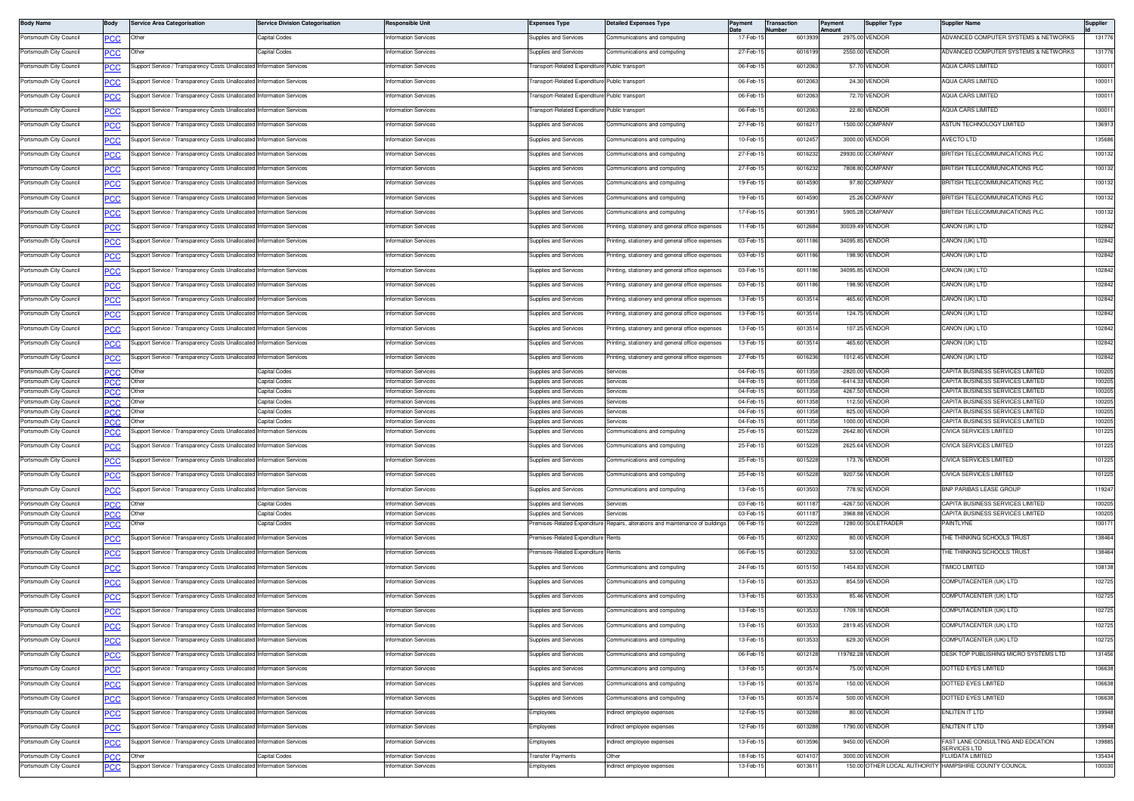| <b>Body Name</b>                                   | Body               | <b>Service Area Categorisation</b>                                    | <b>Service Division Categorisation</b> | Responsible Uni                            | <b>Expenses Type</b>                                         | <b>Detailed Expenses Type</b>                     | Paymen                | Transaction<br><b>Number</b> | Payment<br>Amount | <b>Supplier Type</b>                 | <b>Supplier Name</b>                                                            | Supplier         |
|----------------------------------------------------|--------------------|-----------------------------------------------------------------------|----------------------------------------|--------------------------------------------|--------------------------------------------------------------|---------------------------------------------------|-----------------------|------------------------------|-------------------|--------------------------------------|---------------------------------------------------------------------------------|------------------|
| Portsmouth City Council                            | PСC                | Other                                                                 | Capital Codes                          | nformation Services                        | Supplies and Services                                        | Communications and computing                      | 17-Feb-1              | 601393                       |                   | 2975.00 VENDOR                       | ADVANCED COMPUTER SYSTEMS & NETWORKS                                            | 131776           |
| Portsmouth City Council                            | <u>PCC</u>         | Other                                                                 | Capital Codes                          | nformation Services                        | Supplies and Services                                        | Communications and computing                      | 27-Feb-1              | 6016199                      |                   | 2550.00 VENDOR                       | ADVANCED COMPUTER SYSTEMS & NETWORKS                                            | 131776           |
| Portsmouth City Council                            | <b>PCC</b>         | Support Service / Transparency Costs Unallocated                      | <b>Information Services</b>            | <b>Information Services</b>                | Transport-Related Expenditure Public transport               |                                                   | 06-Feb-1              | 6012063                      |                   | 57.70 VENDOR                         | <b>AQUA CARS LIMITED</b>                                                        | 100011           |
| Portsmouth City Council                            | PCC                | upport Service / Transparency Costs Unallocated                       | <b>Information Services</b>            | nformation Services                        | ransport-Related Expenditure Public transport                |                                                   | 06-Feb-               | 601206                       |                   | 24.30 VENDOR                         | AQUA CARS LIMITED                                                               | 100011           |
| Portsmouth City Council                            | <b>PCC</b>         | Support Service / Transparency Costs Unallocated                      | <b>Information Services</b>            | nformation Services                        | ransport-Related Expenditure Public transport                |                                                   | 06-Feb-1              | 601206                       |                   | 72.70 VENDOR                         | AQUA CARS LIMITED                                                               | 100011           |
| Portsmouth City Council                            | <b>PCC</b>         | upport Service / Transparency Costs Unallocated                       | <b>Information Services</b>            | <b>nformation Services</b>                 | ransport-Related Expenditure Public transport                |                                                   | 06-Feb-1              | 6012063                      |                   | 22.80 VENDOR                         | <b>AQUA CARS LIMITED</b>                                                        | 100011           |
| Portsmouth City Council                            | <b>PCC</b>         | Support Service / Transparency Costs Unallocated Information Services |                                        | nformation Services                        | <b>Supplies and Services</b>                                 | Communications and computing                      | 27-Feb-1              | 601621                       |                   | 1500.00 COMPANY                      | ASTUN TECHNOLOGY LIMITED                                                        | 136913           |
| Portsmouth City Council                            | <b>PCC</b>         | Support Service / Transparency Costs Unallocated Information Services |                                        | Information Services                       | Supplies and Services                                        | Communications and computing                      | 10-Feb-1              | 6012457                      |                   | 3000.00 VENDOR                       | <b>AVECTO LTD</b>                                                               | 135686           |
| Portsmouth City Council                            | PCC                | upport Service / Transparency Costs Unallocated                       | nformation Services                    | nformation Services                        | Supplies and Services                                        | communications and computing                      | 27-Feb-1              | 601623                       |                   | 29930.00 COMPANY                     | BRITISH TELECOMMUNICATIONS PLC                                                  | 100132           |
| Portsmouth City Council                            | <b>PCC</b>         | Support Service / Transparency Costs Unallocated Information Services |                                        | Information Services                       | Supplies and Services                                        | Communications and computing                      | 27-Feb-15             | 6016232                      |                   | 7808.80 COMPANY                      | BRITISH TELECOMMUNICATIONS PLC                                                  | 100132           |
| Portsmouth City Council                            |                    | upport Service / Transparency Costs Unallocated                       | <b>Information Services</b>            | nformation Services                        | Supplies and Services                                        | ommunications and computing                       | 19-Feb-1              | 6014590                      |                   | 97.80 COMPANY                        | BRITISH TELECOMMUNICATIONS PLC                                                  | 100132           |
| Portsmouth City Council                            | <b>CC</b>          | Support Service / Transparency Costs Unallocated Information Services |                                        | nformation Services                        | <b>Supplies and Services</b>                                 | Communications and computing                      | 19-Feb-1              | 6014590                      |                   | 25.26 COMPANY                        | <b>BRITISH TELECOMMUNICATIONS PLC</b>                                           | 100132           |
| Portsmouth City Council                            | <b>PCC</b>         |                                                                       | <b>Information Services</b>            |                                            |                                                              |                                                   | 17-Feb-1              | 6013951                      |                   | 5905.28 COMPANY                      | BRITISH TELECOMMUNICATIONS PLC                                                  | 100132           |
|                                                    | <u>PCC</u>         | Support Service / Transparency Costs Unallocated                      |                                        | Information Services                       | Supplies and Services                                        | Communications and computing                      |                       |                              |                   |                                      |                                                                                 |                  |
| Portsmouth City Council                            | <b>PCC</b>         | Support Service / Transparency Costs Unallocated                      | <b>Information Services</b>            | nformation Services                        | Supplies and Services                                        | rinting, stationery and general office expenses   | 11-Feb-1              | 60126                        |                   | 30039.49 VENDOR                      | CANON (UK) LTD                                                                  | 102842           |
| Portsmouth City Council                            | <b>PCC</b>         | Support Service / Transparency Costs Unallocated                      | Information Services                   | nformation Services                        | Supplies and Services                                        | rinting, stationery and general office expenses   | 03-Feb-1              | 601118                       |                   | 34095.85 VENDOR                      | CANON (UK) LTD                                                                  | 102842           |
| Portsmouth City Council                            | <b>PCC</b>         | Support Service / Transparency Costs Unallocated Information Services |                                        | nformation Services                        | Supplies and Services                                        | rinting, stationery and general office expenses   | 03-Feb-1              | 6011186                      |                   | 198.90 VENDOR                        | CANON (UK) LTD                                                                  | 102842           |
| Portsmouth City Council                            | <b>PCC</b>         | Support Service / Transparency Costs Unallocated Information Services |                                        | nformation Services                        | Supplies and Services                                        | rinting, stationery and general office expenses   | 03-Feb-1              | 6011186                      |                   | 34095.85 VENDOR                      | Canon (UK) LTD                                                                  | 102842           |
| Portsmouth City Council                            | <b>PCC</b>         | Support Service / Transparency Costs Unallocated Information Services |                                        | Information Services                       | Supplies and Services                                        | rinting, stationery and general office expenses   | 03-Feb-1              | 6011186                      |                   | 198.90 VENDOR                        | CANON (UK) LTD                                                                  | 102842           |
| Portsmouth City Council                            | PCC                | upport Service / Transparency Costs Unallocated                       | Information Services                   | nformation Services                        | Supplies and Services                                        | rinting, stationery and general office expenses   | 13-Feb-1              | 601351                       |                   | 465.60 VENDOR                        | CANON (UK) LTD                                                                  | 102842           |
| Portsmouth City Council                            | <u>PCC</u>         | Support Service / Transparency Costs Unallocated                      | nformation Services                    | nformation Services                        | Supplies and Services                                        | inting, stationery and general office expenses    | 13-Feb-1              | 601351                       |                   | 124.75 VENDOR                        | CANON (UK) LTD                                                                  | 102842           |
| Portsmouth City Council                            | <b>PCC</b>         | Support Service / Transparency Costs Unallocated                      | <b>Information Services</b>            | nformation Services                        | Supplies and Services                                        | rinting, stationery and general office expenses   | 13-Feb-1              | 6013514                      |                   | 107.25 VENDOR                        | CANON (UK) LTD                                                                  | 102842           |
| Portsmouth City Council                            | <b>PCC</b>         | Support Service / Transparency Costs Unallocated                      | <b>Information Services</b>            | nformation Services                        | <b>Supplies and Services</b>                                 | rinting, stationery and general office expenses   | 13-Feb-1              | 601351                       |                   | 465.60 VENDOR                        | Canon (UK) LTD                                                                  | 102842           |
| Portsmouth City Council                            | <u>PCC</u>         | Support Service / Transparency Costs Unallocated Information Services |                                        | <b>Information Services</b>                | Supplies and Services                                        | Printing, stationery and general office expenses  | 27-Feb-1              | 6016236                      |                   | 1012.45 VENDOR                       | CANON (UK) LTD                                                                  | 102842           |
| Portsmouth City Council                            | <b>PCC</b>         | Other                                                                 | Capital Codes                          | <b>Information Services</b>                | Supplies and Services                                        | Services                                          | 04-Feb-1              | 601135                       |                   | -2820.00 VENDOR                      | CAPITA BUSINESS SERVICES LIMITED                                                | 100205           |
| Portsmouth City Council                            | сc                 | Other                                                                 | Capital Codes                          | nformation Services                        | <b>Supplies and Services</b>                                 | Services                                          | 04-Feb-1              | 6011358                      |                   | -6414.33 VENDOR                      | CAPITA BUSINESS SERVICES LIMITED                                                | 100205           |
| Portsmouth City Council<br>Portsmouth City Council | PCC<br>PСC         | Other<br>Other                                                        | Capital Codes<br>Capital Codes         | nformation Services<br>nformation Services | <b>Supplies and Services</b><br><b>Supplies and Services</b> | Services<br>Services                              | 04-Feb-1<br>04-Feb-1  | 601135<br>6011358            |                   | 4267.50 VENDOR<br>112,50 VENDOR      | CAPITA BUSINESS SERVICES LIMITED<br>CAPITA BUSINESS SERVICES LIMITED            | 100205<br>100205 |
| Portsmouth City Council                            | PCC                | Other                                                                 | Capital Codes                          | nformation Services                        | Supplies and Services                                        | Services                                          | 04-Feb-1              | 6011358                      |                   | 825.00 VENDOR                        | CAPITA BUSINESS SERVICES LIMITED                                                | 100205           |
| Portsmouth City Council                            | PCC.               | Other                                                                 | Capital Codes                          | nformation Services                        | Supplies and Services                                        | Services                                          | 04-Feb-               | 601135                       |                   | 1000.00 VENDOR                       | CAPITA BUSINESS SERVICES LIMITED                                                | 100205           |
| Portsmouth City Council                            |                    | upport Service / Transparency Costs Unallocate                        | nformation Services                    | nformation Services                        | upplies and Services                                         | mmunications and computing                        | 25-Feb-               | 601522                       |                   | 2642.80 VENDOR                       | CIVICA SERVICES LIMITED                                                         | 101225           |
| Portsmouth City Council                            | PСC                | Support Service / Transparency Costs Unallocated                      | <b>Information Services</b>            | nformation Services                        | Supplies and Services                                        | Communications and computing                      | 25-Feb-1              | 6015228                      |                   | 2625.64 VENDOR                       | CIVICA SERVICES LIMITED                                                         | 101225           |
| Portsmouth City Council                            | <u>PCC</u>         | Support Service / Transparency Costs Unallocated                      | nformation Services                    | <b>nformation Services</b>                 | Supplies and Services                                        | communications and computing                      | 25-Feb-               | 601522                       |                   | 173.76 VENDOR                        | CIVICA SERVICES LIMITED                                                         | 101225           |
| Portsmouth City Council                            | <u>PCC</u>         | Support Service / Transparency Costs Unallocated                      | <b>Information Services</b>            | Information Services                       | Supplies and Services                                        | Communications and computing                      | 25-Feb-1              | 6015228                      |                   | 9207.56 VENDOR                       | CIVICA SERVICES LIMITED                                                         | 101225           |
| Portsmouth City Council                            | <b>PCC</b>         | Support Service / Transparency Costs Unallocated Information Services |                                        | nformation Services                        | Supplies and Services                                        | Communications and computing                      | 13-Feb-1              | 601350                       |                   | 778.92 VENDOR                        | BNP PARIBAS LEASE GROUP                                                         | 119247           |
| Portsmouth City Council                            | PCC                | Other                                                                 | Capital Codes                          | nformation Services                        | upplies and Services                                         | ervice:                                           | 03-Feb-1              | 601118                       |                   | -4267.50 VENDOR                      | CAPITA BUSINESS SERVICES LIMITED                                                | 100205           |
| Portsmouth City Council                            | <b>PCC</b>         | Other                                                                 | Capital Codes                          | nformation Services                        | Supplies and Services                                        | Services                                          | 03-Feb-               | 601118<br>601222             |                   | 3968.88 VENDOR<br>1280.00 SOLETRADER | CAPITA BUSINESS SERVICES LIMITED<br><b>PAINTLYNE</b>                            | 100205<br>100171 |
| Portsmouth City Council                            | <u>PCC</u>         | Other                                                                 | Capital Codes                          | nformation Services                        | remises-Related Expenditure                                  | Repairs, alterations and maintenance of buildings | 06-Feb-1              |                              |                   |                                      |                                                                                 |                  |
| Portsmouth City Council                            | PСC                | Support Service / Transparency Costs Unallocated Information Services |                                        | nformation Services                        | Premises-Related Expenditure                                 | Rents                                             | 06-Feb-1              | 6012302                      |                   | 80.00 VENDOR                         | THE THINKING SCHOOLS TRUST                                                      | 138464           |
| Portsmouth City Council                            | PCC                | Support Service / Transparency Costs Unallocated                      | <b>Information Services</b>            | nformation Services                        | remises-Related Expenditure                                  | Rents                                             | 06-Feb-1              | 601230                       |                   | 53.00 VENDOR                         | <b>HE THINKING SCHOOLS TRUST</b>                                                | 138464           |
| Portsmouth City Council                            | <b>PCC</b>         | Support Service / Transparency Costs Unallocated Information Services |                                        | Information Services                       | Supplies and Services                                        | Communications and computing                      | 24-Feb-1              | 6015150                      |                   | 1454.83 VENDOR                       | <b>IMICO LIMITED</b>                                                            | 108138           |
| Portsmouth City Council                            | <u>PCC</u>         | Support Service / Transparency Costs Unallocated                      | nformation Services                    | nformation Services                        | <b>Supplies and Services</b>                                 | ommunications and computing                       | 13-Feb-1              | 601353                       |                   | 854.59 VENDOR                        | COMPUTACENTER (UK) LTD                                                          | 102725           |
| Portsmouth City Council                            | <b>PCC</b>         | Support Service / Transparency Costs Unallocated Information Services |                                        | <b>Information Services</b>                | Supplies and Services                                        | Communications and computing                      | 13-Feb-1              | 601353                       |                   | 85.46 VENDOR                         | COMPUTACENTER (UK) LTD                                                          | 102725           |
| Portsmouth City Council                            |                    | Support Service / Transparency Costs Unallocated Information Services |                                        | nformation Services                        | Supplies and Services                                        | Communications and computing                      | 13-Feb-1              | 6013533                      |                   | 1709.18 VENDOR                       | COMPUTACENTER (UK) LTD                                                          | 102725           |
| Portsmouth City Council                            |                    | upport service / Transparency Costs Unallocate                        | rormation Services                     | iformation Services                        | upplies and Services                                         | ommunications and computing                       | 13-Feb-               | <b>60135</b>                 |                   | 2819.45 VENDOR                       | OMPUTACENTER (UK) LTD                                                           | 102/25           |
| Portsmouth City Council                            | <b>PCC</b>         | Support Service / Transparency Costs Unallocated Information Services |                                        | Information Services                       | Supplies and Services                                        | Communications and computing                      | 13-Feb-15             | 6013533                      |                   | 629.30 VENDOR                        | COMPUTACENTER (UK) LTD                                                          | 102725           |
| Portsmouth City Council                            | <u>PCC</u>         | Support Service / Transparency Costs Unallocated                      | Information Services                   | nformation Services                        | Supplies and Services                                        | communications and computing                      | 06-Feb-1              | 601212                       |                   | 119782.28 VENDOR                     | DESK TOP PUBLISHING MICRO SYSTEMS LTD                                           | 131456           |
| Portsmouth City Council                            | <b>PCC</b>         | Support Service / Transparency Costs Unallocated Information Services |                                        | Information Services                       | Supplies and Services                                        | Communications and computing                      | 13-Feb-15             | 601357                       |                   | 75.00 VENDOR                         | DOTTED EYES LIMITED                                                             | 106638           |
| Portsmouth City Council                            | <u>PCC</u>         | Support Service / Transparency Costs Unallocated Information Services |                                        | nformation Services                        | Supplies and Services                                        | Communications and computing                      | 13-Feb-1              | 6013574                      |                   | 150.00 VENDOR                        | DOTTED EYES LIMITED                                                             | 106638           |
| Portsmouth City Council                            | PCC                | Support Service / Transparency Costs Unallocated Information Services |                                        | nformation Services                        | Supplies and Services                                        | Communications and computing                      | 13-Feb-1              | 601357                       |                   | 500.00 VENDOR                        | DOTTED EYES LIMITED                                                             | 106638           |
| Portsmouth City Council                            | <b>PCC</b>         | Support Service / Transparency Costs Unallocated Information Services |                                        | <b>Information Services</b>                | Employees                                                    | ndirect employee expenses                         | 12-Feb-1              | 6013288                      |                   | 80.00 VENDOR                         | ENLITEN IT LTD                                                                  | 139948           |
| Portsmouth City Council                            |                    | Support Service / Transparency Costs Unallocated                      | nformation Services                    | nformation Services                        | Employees                                                    | ndirect employee expenses                         | 12-Feb-1              | 601328                       |                   | 1790.00 VENDOR                       | ENLITEN IT LTD                                                                  | 139948           |
| Portsmouth City Council                            | <u>PCC</u>         | Support Service / Transparency Costs Unallocated Information Services |                                        | Information Services                       | Employees                                                    | ndirect employee expenses                         | 13-Feb-15             | 6013596                      |                   | 9450.00 VENDOR                       | AST LANE CONSULTING AND EDCATION                                                | 139885           |
|                                                    | <b>PCC</b>         |                                                                       |                                        |                                            |                                                              |                                                   |                       |                              |                   | 3000.00 VENDOR                       | <b>SERVICES LTD</b>                                                             |                  |
| Portsmouth City Council<br>Portsmouth City Council | PCC.<br><u>PCC</u> | Other<br>Support Service / Transparency Costs Unallocated             | Capital Codes<br>Information Services  | nformation Services<br>nformation Services | ransfer Payments<br>Employees                                | Other<br>ndirect employee expenses                | 18-Feb-1<br>13-Feb-15 | 601410<br>601361             |                   |                                      | <b>LUIDATA LIMITED</b><br>150.00 OTHER LOCAL AUTHORITY HAMPSHIRE COUNTY COUNCIL | 135434<br>100030 |
|                                                    |                    |                                                                       |                                        |                                            |                                                              |                                                   |                       |                              |                   |                                      |                                                                                 |                  |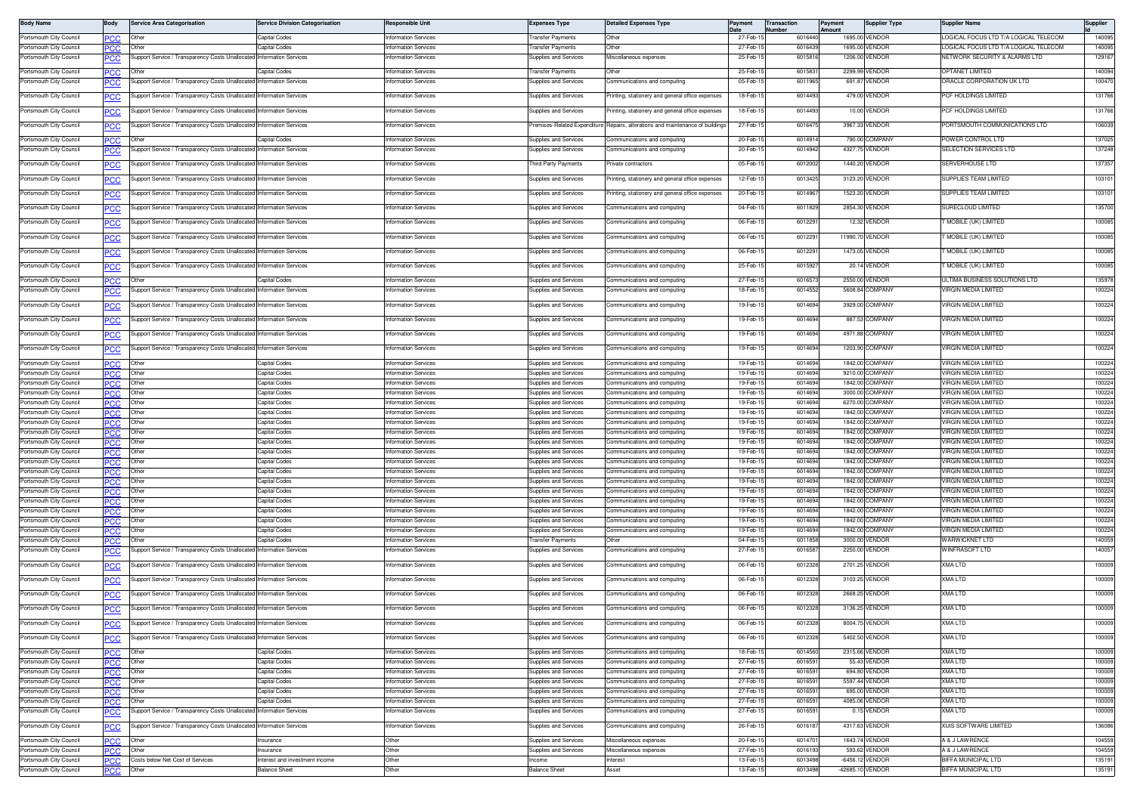| <b>Body Name</b>                                   | Body               | Service Area Categorisation                                           | <b>Service Division Categorisation</b> | Responsible Unit                                    | Expenses Type                                                | <b>Detailed Expenses Type</b>                                                  | Payment              | <b>Transaction</b><br>umher | Payment<br>Amount | <b>Supplier Type</b>               | <b>Supplier Name</b>                                | Supplier         |
|----------------------------------------------------|--------------------|-----------------------------------------------------------------------|----------------------------------------|-----------------------------------------------------|--------------------------------------------------------------|--------------------------------------------------------------------------------|----------------------|-----------------------------|-------------------|------------------------------------|-----------------------------------------------------|------------------|
| Portsmouth City Council                            | PСC                | Other                                                                 | Capital Codes                          | Information Services                                | <b>Transfer Payments</b>                                     | Other                                                                          | 27-Feb-              | 6016440                     |                   | 1695.00 VENDOR                     | LOGICAL FOCUS LTD T/A LOGICAL TELECOM               | 140095           |
| Portsmouth City Council                            | PСC                | Other                                                                 | Capital Codes                          | nformation Services                                 | ransfer Payments                                             | Other                                                                          | 27-Feb-              | 6016439                     |                   | 1695.00 VENDOR                     | OGICAL FOCUS LTD T/A LOGICAL TELECOM                | 140095           |
| Portsmouth City Council                            | <u>'CC</u>         | upport Service / Transparency Costs Unallocated Information Services  |                                        | nformation Services                                 | upplies and Services                                         | Miscellaneous expenses                                                         | 25-Feb-1             | 601581                      |                   | 1206.00 VENDOR                     | <b>NETWORK SECURITY &amp; ALARMS LTD</b>            | 129167           |
| Portsmouth City Council                            | <b>PCC</b>         | Other                                                                 | Capital Codes                          | nformation Services                                 | Fransfer Payments                                            | Other                                                                          | 25-Feb-1             | 601583                      |                   | 2299.99 VENDOR                     | <b>PTANET LIMITED</b>                               | 140094           |
| Portsmouth City Council                            | PСC                | Support Service / Transparency Costs Unallocated Information Services |                                        | nformation Services                                 | Supplies and Services                                        | Communications and computing                                                   | 05-Feb-              | 601196                      |                   | 691.87 VENDOR                      | ORACLE CORPORATION UK LTD                           | 100470           |
| Portsmouth City Council                            | <u>PCC</u>         | upport Service / Transparency Costs Unallocated                       | <b>Information Services</b>            | nformation Services                                 | Supplies and Services                                        | Printing, stationery and general office expenses                               | 18-Feb-1             | 601449                      |                   | 479.00 VENDOF                      | PCF HOLDINGS LIMITED                                | 131766           |
| Portsmouth City Council                            | <b>PCC</b>         | Support Service / Transparency Costs Unallocated                      | <b>Information Services</b>            | <b>Information Services</b>                         | Supplies and Services                                        | Printing, stationery and general office expenses                               | 18-Feb-1             | 6014493                     |                   | 10.00 VENDOR                       | PCF HOLDINGS LIMITED                                | 131766           |
| Portsmouth City Council                            | <b>PCC</b>         | Support Service / Transparency Costs Unallocated Information Services |                                        | Information Services                                |                                                              | Premises-Related Expenditure Repairs, alterations and maintenance of buildings | 27-Feb-1             | 6016475                     |                   | 3967.33 VENDOR                     | PORTSMOUTH COMMUNICATIONS LTD                       | 106039           |
| Portsmouth City Council                            | PСC                | Other                                                                 | Capital Codes                          | <b>nformation Services</b>                          | Supplies and Services                                        | Communications and computing                                                   | 20-Feb-1             | 601491                      |                   | 790.00 COMPANY                     | POWER CONTROL LTD                                   | 137025           |
| Portsmouth City Council                            | сC                 | upport Service / Transparency Costs Unallocated                       | Information Services                   | nformation Services                                 | Supplies and Services                                        | Communications and computing                                                   | 20-Feb-              | 6014942                     |                   | 4327.75 VENDOR                     | SELECTION SERVICES LTD                              | 137248           |
| Portsmouth City Council                            |                    | Support Service / Transparency Costs Unallocated Information Services |                                        | <b>nformation Services</b>                          | hird Party Payments                                          | rivate contractors                                                             | 05-Feb-1             | 6012002                     |                   | 1440.20 VENDOR                     | ERVERHOUSE LTD                                      | 137357           |
|                                                    | <u>PCC</u>         |                                                                       |                                        |                                                     |                                                              |                                                                                |                      |                             |                   |                                    |                                                     |                  |
| Portsmouth City Council                            | <u>CC</u>          | Support Service / Transparency Costs Unallocated Information Services |                                        | Information Services                                | Supplies and Services                                        | Printing, stationery and general office expenses                               | 12-Feb-1             | 6013425                     |                   | 3123.20 VENDOR                     | SUPPLIES TEAM LIMITED                               | 103101           |
| Portsmouth City Council                            | PCC                | upport Service / Transparency Costs Unallocated                       | Information Services                   | Information Services                                | Supplies and Services                                        | Printing, stationery and general office expenses                               | 20-Feb-              | 601496                      |                   | 1523.20 VENDOR                     | SUPPLIES TEAM LIMITED                               | 103101           |
| Portsmouth City Council                            | <u>PCC</u>         | upport Service / Transparency Costs Unallocated                       | <b>nformation Services</b>             | nformation Services                                 | <b>Supplies and Services</b>                                 | ommunications and computing                                                    | 04-Feb-1             | 6011829                     |                   | 2854.30 VENDOR                     | SURECLOUD LIMITED                                   | 135700           |
| Portsmouth City Council                            | <u>CC</u>          | upport Service / Transparency Costs Unallocated Information Services  |                                        | Information Services                                | Supplies and Services                                        | Communications and computing                                                   | 06-Feb-1             | 601229                      |                   | 12.32 VENDOR                       | T MOBILE (UK) LIMITED                               | 100085           |
| Portsmouth City Council                            | <u>PCC</u>         | Support Service / Transparency Costs Unallocated Information Services |                                        | <b>nformation Services</b>                          | Supplies and Services                                        | Communications and computing                                                   | 06-Feb-1             | 601229                      |                   | 11990.70 VENDOR                    | MOBILE (UK) LIMITED                                 | 100085           |
| Portsmouth City Council                            |                    | Support Service / Transparency Costs Unallocated Information Services |                                        | Information Services                                | Supplies and Services                                        | Communications and computing                                                   | 06-Feb-1             | 601229                      |                   | 1473.05 VENDOR                     | MOBILE (UK) LIMITED                                 | 100085           |
|                                                    | <b>PCC</b>         |                                                                       |                                        |                                                     |                                                              |                                                                                |                      |                             |                   |                                    |                                                     |                  |
| Portsmouth City Council                            | PCC                | Support Service / Transparency Costs Unallocated                      | <b>Information Services</b>            | nformation Services                                 | Supplies and Services                                        | Communications and computing                                                   | 25-Feb-              | 601592                      |                   | 20.14 VENDOR                       | MOBILE (UK) LIMITED                                 | 100085           |
| Portsmouth City Council                            | сc                 |                                                                       | apital Codes                           | Information Services                                | Supplies and Services                                        | ommunications and computing                                                    | 27-Feb-              | 601657                      |                   | 2550.00 VENDOR                     | ULTIMA BUSINESS SOLUTIONS LTD                       | 135978           |
| Portsmouth City Council                            | <b>PCC</b>         | upport Service / Transparency Costs Unallocated                       | <b>Information Services</b>            | nformation Services                                 | Supplies and Services                                        | ommunications and computing                                                    | 18-Feb-              | 601455                      |                   | 5608.84 COMPANY                    | VIRGIN MEDIA LIMITED                                | 100224           |
| Portsmouth City Council                            | <u>'CC</u>         | upport Service / Transparency Costs Unallocated                       | <b>nformation Services</b>             | nformation Services                                 | Supplies and Services                                        | mmunications and computing                                                     | 19-Feb-1             | 601469                      |                   | 3929.00 COMPANY                    | VIRGIN MEDIA LIMITED                                | 100224           |
| Portsmouth City Council                            | PСC                | Support Service / Transparency Costs Unallocated Information Services |                                        | nformation Services                                 | Supplies and Services                                        | Communications and computing                                                   | 19-Feb-1             | 6014694                     |                   | 887.53 COMPANY                     | VIRGIN MEDIA LIMITED                                | 100224           |
| Portsmouth City Council                            | <u>PCC</u>         | Support Service / Transparency Costs Unallocated Information Services |                                        | nformation Services                                 | <b>Supplies and Services</b>                                 | communications and computing                                                   | 19-Feb-1             | 6014694                     |                   | 4971.88 COMPANY                    | <b>IRGIN MEDIA LIMITED</b>                          | 100224           |
| Portsmouth City Council                            |                    | Support Service / Transparency Costs Unallocated Information Services |                                        | Information Services                                | Supplies and Services                                        | Communications and computing                                                   | 19-Feb-1             | 6014694                     |                   | 1203.90 COMPANY                    | VIRGIN MEDIA LIMITED                                | 100224           |
|                                                    | <u>PCC</u>         |                                                                       |                                        |                                                     |                                                              |                                                                                |                      |                             |                   |                                    |                                                     |                  |
| Portsmouth City Council<br>Portsmouth City Council | <b>PCC</b><br>PCC  | Other<br>Other                                                        | Capital Codes<br>Capital Codes         | Information Services<br>Information Services        | Supplies and Services<br><b>Supplies and Services</b>        | Communications and computing<br>Communications and computing                   | 19-Feb-<br>19-Feb-   | 601469<br>601469            |                   | 1842.00 COMPANY<br>9210.00 COMPANY | VIRGIN MEDIA LIMITED<br><b>VIRGIN MEDIA LIMITED</b> | 100224<br>100224 |
| Portsmouth City Council                            | <b>PCC</b>         | Other                                                                 | Capital Codes                          | nformation Services                                 | <b>Supplies and Services</b>                                 | Communications and computing                                                   | 19-Feb-1             | 601469                      |                   | 1842.00 COMPANY                    | <b>IRGIN MEDIA LIMITED</b>                          | 100224           |
| Portsmouth City Council                            | ٥СС                | Other                                                                 | Capital Codes                          | nformation Services                                 | <b>Supplies and Services</b>                                 | Communications and computing                                                   | 19-Feb-1             | 6014694                     |                   | 3000.00 COMPANY                    | <b>IRGIN MEDIA LIMITED</b>                          | 100224           |
| Portsmouth City Council                            | PCC.               | Other                                                                 | Capital Codes                          | nformation Services                                 | Supplies and Services                                        | Communications and computing                                                   | 19-Feb-1             | 601469                      |                   | 6270.00 COMPANY                    | IRGIN MEDIA LIMITED                                 | 100224           |
| Portsmouth City Council<br>Portsmouth City Council | PСC<br>PCC         | Other<br>Other                                                        | Capital Codes<br>Capital Codes         | nformation Services<br>nformation Services          | Supplies and Services<br>upplies and Services                | Communications and computing<br>ommunications and computing                    | 19-Feb-1<br>19-Feb-1 | 601469<br>601469            |                   | 1842.00 COMPANY<br>1842.00 COMPANY | VIRGIN MEDIA LIMITED<br><b>/IRGIN MEDIA LIMITED</b> | 100224<br>100224 |
| Portsmouth City Council                            | PCC.               | Other                                                                 | Capital Codes                          | nformation Services                                 | <b>Supplies and Services</b>                                 | ommunications and computing                                                    | 19-Feb-1             | 6014694                     |                   | 1842.00 COMPANY                    | VIRGIN MEDIA LIMITED                                | 100224           |
| Portsmouth City Council                            | PCC.               | Other                                                                 | Capital Codes                          | Information Services                                | Supplies and Services                                        | Communications and computing                                                   | 19-Feb-1             | 6014694                     |                   | 1842.00 COMPANY                    | VIRGIN MEDIA LIMITED                                | 100224           |
| Portsmouth City Council                            | <b>PCC</b>         | Other                                                                 | Capital Codes                          | nformation Services                                 | Supplies and Services                                        | Communications and computing                                                   | 19-Feb-1             | 601469                      |                   | 1842.00 COMPANY                    | VIRGIN MEDIA LIMITED                                | 100224           |
| Portsmouth City Council<br>Portsmouth City Council | ٥СС<br><b>PCC</b>  | Other<br>Other                                                        | Capital Codes<br>Capital Codes         | nformation Services<br>nformation Services          | <b>Supplies and Services</b><br><b>Supplies and Services</b> | Communications and computing<br>Communications and computing                   | 19-Feb-<br>19-Feb-   | 601469<br>601469            |                   | 1842.00 COMPANY<br>1842.00 COMPANY | <b>/IRGIN MEDIA LIMITED</b><br>VIRGIN MEDIA LIMITED | 100224<br>100224 |
| Portsmouth City Council                            | сc                 | Other                                                                 | Capital Codes                          | nformation Services                                 | <b>Supplies and Services</b>                                 | Communications and computing                                                   | 19-Feb-1             | 6014694                     |                   | 1842.00 COMPANY                    | <b>IRGIN MEDIA LIMITED</b>                          | 100224           |
| Portsmouth City Council                            | PCC                | Other                                                                 | Capital Codes                          | <b>nformation Services</b>                          | Supplies and Services                                        | Communications and computing                                                   | 19-Feb-1             | 601469                      |                   | 1842.00 COMPANY                    | IRGIN MEDIA LIMITED                                 | 100224           |
| Portsmouth City Council                            | PCC.               | Other                                                                 | Capital Codes                          | nformation Services                                 | Supplies and Services                                        | Communications and computing                                                   | 19-Feb-              | 6014694                     |                   | 1842.00 COMPANY                    | VIRGIN MEDIA LIMITED                                | 100224           |
| Portsmouth City Council<br>Portsmouth City Council | PCC                | Other<br>Other                                                        | Capital Codes<br>Capital Codes         | <b>nformation Services</b><br>nformation Services   | upplies and Services<br><b>Supplies and Services</b>         | ommunications and computing<br>communications and computing                    | 19-Feb-1<br>19-Feb-1 | 601469<br>6014694           |                   | 1842.00 COMPANY<br>1842.00 COMPANY | <b>/IRGIN MEDIA LIMITED</b><br>VIRGIN MEDIA LIMITED | 100224<br>100224 |
| Portsmouth City Council                            | <b>PCC</b><br>PC.C | Other                                                                 | Capital Codes                          | nformation Services                                 | Supplies and Services                                        | Communications and computing                                                   | 19-Feb-1             | 601469                      |                   | 1842.00 COMPANY                    | <b>VIRGIN MEDIA LIMITED</b>                         | 100224           |
| Portsmouth City Council                            | <b>PCC</b>         | Other                                                                 | Capital Codes                          | Information Services                                | Fransfer Payments                                            | Other                                                                          | 04-Feb-              | 601185                      |                   | 3000.00 VENDOR                     | WARWICKNET LTD                                      | 140059           |
| Portsmouth City Council                            | <u>'CC</u>         | upport Service / Transparency Costs Unallocated Information Services  |                                        | nformation Services                                 | Supplies and Services                                        | Communications and computing                                                   | 27-Feb-1             | 6016587                     |                   | 2250.00 VENDOR                     | <b>WINFRASOFT LTD</b>                               | 140057           |
| Portsmouth City Council                            | PCC                | upport Service / Transparency Costs Unallocated Information Services  |                                        | Information Services                                | Supplies and Services                                        | Communications and computing                                                   | 06-Feb-              | 601232                      |                   | 2701.25 VENDOR                     | XMA LTD                                             | 100009           |
| Portsmouth City Council                            | <u> СС</u>         | upport Service / Transparency Costs Unallocated                       | <b>nformation Services</b>             | nformation Services                                 | <b>Supplies and Services</b>                                 | ommunications and computing                                                    | 06-Feb-1             | 6012328                     |                   | 3103.25 VENDOR                     | XMA LTD                                             | 100009           |
| Portsmouth City Council                            |                    | Support Service / Transparency Costs Unallocated Information Services |                                        | nformation Services                                 | Supplies and Services                                        | Communications and computing                                                   | 06-Feb-              | 6012328                     |                   | 2668.25 VENDOR                     | KMA LTD                                             | 100009           |
|                                                    | <u>CC</u>          |                                                                       |                                        |                                                     |                                                              |                                                                                |                      |                             |                   |                                    |                                                     |                  |
| Portsmouth City Council                            | <b>PCC</b>         | Support Service / Transparency Costs Unallocated Information Services |                                        | nformation Services                                 | Supplies and Services                                        | Communications and computing                                                   | 06-Feb-1             | 6012328                     |                   | 3136.25 VENDOR                     | KMA LTD                                             | 100009           |
|                                                    |                    |                                                                       |                                        |                                                     |                                                              |                                                                                |                      |                             |                   |                                    |                                                     |                  |
| Portsmouth City Council                            | <b>PCC</b>         | Support Service / Transparency Costs Unallocated Information Services |                                        | Information Services                                | Supplies and Services                                        | Communications and computing                                                   | 06-Feb-              | 6012328                     |                   | 5402.50 VENDOR                     | XMA LTD                                             | 100009           |
| Portsmouth City Council                            | PCC.               | Other                                                                 | Capital Codes                          | Information Services                                | Supplies and Services                                        | Communications and computing                                                   | 18-Feb-1             | 601456                      |                   | 2315.66 VENDOR                     | XMA LTD                                             | 100009           |
| Portsmouth City Council                            | <b>PCC</b>         | Other                                                                 | Capital Codes                          | Information Services                                | Supplies and Services                                        | Communications and computing                                                   | 27-Feb-              | 601659                      |                   | 55.43 VENDOR                       | XMA LTD                                             | 100009           |
| Portsmouth City Council                            | <b>PCC</b>         | Other                                                                 | Capital Codes                          | <b>Information Services</b>                         | <b>Supplies and Services</b>                                 | Communications and computing                                                   | 27-Feb-1             | 601659                      |                   | 694.80 VENDOR                      | XMA LTD<br><b>XMA LTD</b>                           | 100009<br>100009 |
| Portsmouth City Council<br>Portsmouth City Council | <b>PCC</b><br>PCC  | Other<br>Other                                                        | Capital Codes<br>Capital Codes         | <b>Information Services</b><br>Information Services | Supplies and Services<br><b>Supplies and Services</b>        | Communications and computing<br>Communications and computing                   | 27-Feb-1<br>27-Feb-1 | 6016591<br>601659           |                   | 5597.44 VENDOR<br>695.00 VENDOR    | XMA LTD                                             | 100009           |
| Portsmouth City Council                            | PCC.               | Other                                                                 | Capital Codes                          | nformation Services                                 | Supplies and Services                                        | Communications and computing                                                   | 27-Feb-1             | 6016591                     |                   | 4085.06 VENDOR                     | KMA LTD                                             | 100009           |
| Portsmouth City Council                            | PCC                | Support Service / Transparency Costs Unallocated Information Services |                                        | nformation Services                                 | Supplies and Services                                        | Communications and computing                                                   | 27-Feb-1             | 601659                      |                   | 0.15 VENDOR                        | <b>KMA LTD</b>                                      | 100009           |
| Portsmouth City Council                            | PCC                | Support Service / Transparency Costs Unallocated Information Services |                                        | nformation Services                                 | Supplies and Services                                        | Communications and computing                                                   | 26-Feb-1             | 601618                      |                   | 4317.63 VENDOR                     | XUIS SOFTWARE LIMITED                               | 136086           |
| Portsmouth City Council                            | <b>PCC</b>         | Other                                                                 | Insurance                              | Other                                               | Supplies and Services                                        | Miscellaneous expenses                                                         | 20-Feb-              | 601470                      |                   | 1643.74 VENDOR                     | A & J LAWRENCE                                      | 104559           |
| Portsmouth City Council                            | PCC                | Other                                                                 | Insurance                              | Other                                               | Supplies and Services                                        | Miscellaneous expenses                                                         | 27-Feb-1             | 601619                      |                   | 593.62 VENDOR                      | A & J LAWRENCE                                      | 104559           |
| Portsmouth City Council                            | PCC                | Costs below Net Cost of Services                                      | Interest and investment income         | Other                                               | ncome                                                        | Interest                                                                       | 13-Feb-1             | 601349                      |                   | -6456.12 VENDOR                    | BIFFA MUNICIPAL LTD                                 | 135191           |
| Portsmouth City Council                            | <b>PCC</b>         | Other                                                                 | <b>Balance Sheet</b>                   | Other                                               | <b>Balance Sheet</b>                                         | Asset                                                                          | 13-Feb-1             | 6013498                     |                   | -42685.10 VENDOR                   | <b>BIFFA MUNICIPAL LTD</b>                          | 135191           |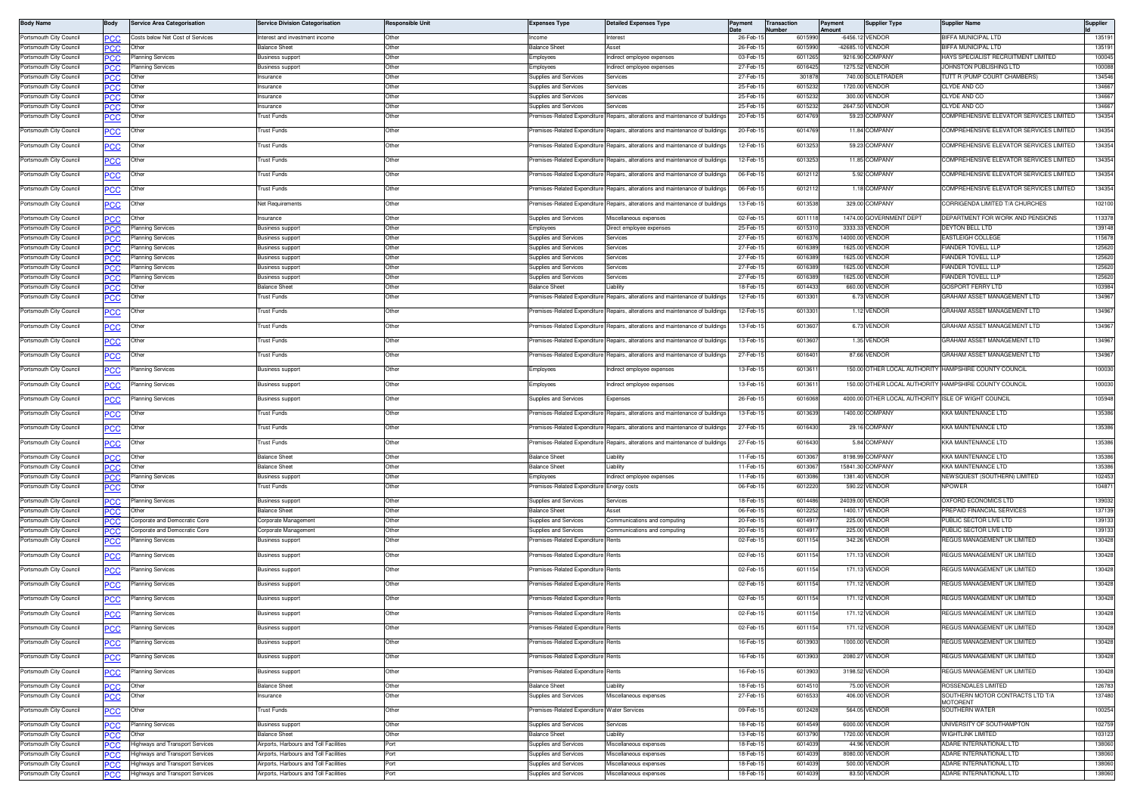| <b>Body Name</b>                                   | Body                     | <b>Service Area Categorisation</b>                             | <b>Service Division Categorisation</b>             | Responsible Unit | <b>Expenses Type</b>                                        | <b>Detailed Expenses Type</b>                                                  | Payment              | <b>Transaction</b><br><b>Number</b> | Payment<br><b>\mount</b>            | <b>Supplier Type</b>          | Supplier Name                                                     | Supplier         |
|----------------------------------------------------|--------------------------|----------------------------------------------------------------|----------------------------------------------------|------------------|-------------------------------------------------------------|--------------------------------------------------------------------------------|----------------------|-------------------------------------|-------------------------------------|-------------------------------|-------------------------------------------------------------------|------------------|
| Portsmouth City Council                            | PСC                      | Costs below Net Cost of Services                               | Interest and investment income                     | Other            | Income                                                      | Interest                                                                       | 26-Feb-              | 601599                              | -6456.12 VENDOR                     |                               | <b>BIFFA MUNICIPAL LTD</b>                                        | 135191           |
| Portsmouth City Council                            | °CC                      | Other                                                          | <b>Balance Sheet</b>                               | Other            | Balance Sheet                                               | Asset                                                                          | 26-Feb-1             | 601599                              | -42685.10 VENDOR                    |                               | <b>IFFA MUNICIPAL LTD</b>                                         | 135191           |
| Portsmouth City Council                            | сc                       | <b>Planning Services</b>                                       | Business support                                   | Other            | Employees                                                   | ndirect employee expenses                                                      | 03-Feb-              | 601126                              | 9216.90 COMPANY                     |                               | IAYS SPECIALIST RECRUITMENT LIMITED                               | 100045           |
| ortsmouth City Council                             | PCC.                     | <b>Planning Services</b>                                       | <b>Business support</b>                            | Other            | Employees                                                   | ndirect employee expenses                                                      | 27-Feb-1             | 601642                              | 1275.52 VENDOR                      |                               | OHNSTON PUBLISHING LTD                                            | 100088           |
| Portsmouth City Council<br>Portsmouth City Council | PCC.                     | Other<br>Othe                                                  | Insurance<br><b>nsurance</b>                       | Other<br>Other   | Supplies and Services<br>upplies and Services               | Services<br>ervices                                                            | 27-Feb-1<br>25-Feb-  | 30187<br>601523                     | 740.00 SOLETRADER<br>1720.00 VENDOR |                               | UTT R (PUMP COURT CHAMBERS)<br>LYDE AND CO                        | 134546<br>134667 |
| Portsmouth City Council                            | PСC<br>PCC.              | Other                                                          | nsurance                                           | Other            | Supplies and Services                                       | Services                                                                       | 25-Feb-              | 601523                              | 300.00 VENDOR                       |                               | CLYDE AND CO                                                      | 13466            |
| ortsmouth City Council                             | PCC                      |                                                                | nsurance                                           | Other            | Supplies and Services                                       | ervices                                                                        | 25-Feb-              | 601523                              | 2647.50 VENDOR                      |                               | CLYDE AND CO                                                      | 13466            |
| Portsmouth City Council                            | <u>PCC</u>               | Other                                                          | <b>Trust Funds</b>                                 | Other            | remises-Related Expenditure                                 | Repairs, alterations and maintenance of building                               | 20-Feb-1             | 601476                              | 59.23 COMPANY                       |                               | COMPREHENSIVE ELEVATOR SERVICES LIMITED                           | 134354           |
| Portsmouth City Council                            | <u>PCC</u>               | Other                                                          | <b>Trust Funds</b>                                 | Other            | Premises-Related Expenditure                                | Repairs, alterations and maintenance of buildings                              | 20-Feb-1             | 601476                              | 11.84 COMPANY                       |                               | COMPREHENSIVE ELEVATOR SERVICES LIMITED                           | 134354           |
| Portsmouth City Council                            | <b>PCC</b>               | Other                                                          | Trust Funds                                        | Other            | Premises-Related Expenditure                                | Repairs, alterations and maintenance of buildings                              | 12-Feb-1             | 601325                              | 59.23 COMPANY                       |                               | COMPREHENSIVE ELEVATOR SERVICES LIMITED                           | 134354           |
| Portsmouth City Council                            | <u>PCC</u>               | Other                                                          | rust Funds                                         | Other            | remises-Related Expenditure                                 | Repairs, alterations and maintenance of buildings                              | 12-Feb-1             | 601325                              | 11.85 COMPANY                       |                               | COMPREHENSIVE ELEVATOR SERVICES LIMITED                           | 134354           |
| Portsmouth City Council                            |                          | Other                                                          | <b>Trust Funds</b>                                 | Other            | Premises-Related Expenditure                                | Repairs, alterations and maintenance of buildings                              | 06-Feb-              | 601211                              | 5.92 COMPANY                        |                               | COMPREHENSIVE ELEVATOR SERVICES LIMITED                           | 134354           |
| Portsmouth City Council                            | <u>PCC</u>               | Other                                                          | Trust Funds                                        | Other            | Premises-Related Expenditure                                | Repairs, alterations and maintenance of building                               | 06-Feb-              | 601211                              | 1.18 COMPANY                        |                               | COMPREHENSIVE ELEVATOR SERVICES LIMITED                           | 134354           |
| ortsmouth City Council?                            | <u>PCC</u>               | Other                                                          | Net Requirements                                   | Other            |                                                             | Premises-Related Expenditure Repairs, alterations and maintenance of buildings | 13-Feb-1             | 601353                              | 329.00 COMPANY                      |                               | CORRIGENDA LIMITED T/A CHURCHES                                   | 102100           |
| Portsmouth City Council                            | PCC.                     | Other                                                          | Insurance                                          | Other            | Supplies and Services                                       | Miscellaneous expenses                                                         | 02-Feb-1             | 601111                              |                                     | 1474.00 GOVERNMENT DEPT       | DEPARTMENT FOR WORK AND PENSIONS                                  | 113378           |
| ortsmouth City Council                             | PСC                      | Planning Services                                              | lusiness support                                   | Other            | :mployee                                                    | Direct employee expenses                                                       | 25-Feb-              | 60153                               | 3333.33 VENDOR                      |                               | EYTON BELL LTD                                                    | 139148           |
| ortsmouth City Council                             | PCC                      | Planning Services                                              | <b>Business support</b>                            | Other            | Supplies and Services                                       | Services                                                                       | 27-Feb-1             | 601637                              | 14000.00 VENDOF                     |                               | <b>ASTLEIGH COLLEGE</b>                                           | 11567            |
| Portsmouth City Council<br>Portsmouth City Council | °СС                      | Planning Services<br><b>Planning Services</b>                  | <b>Business support</b><br><b>Business support</b> | Other<br>Other   | Supplies and Services<br><b>Supplies and Services</b>       | ervices<br>Services                                                            | 27-Feb-1<br>27-Feb-1 | 601638<br>601638                    | 1625.00 VENDOR<br>1625.00 VENDOR    |                               | <b>IANDER TOVELL LLF</b><br><b>IANDER TOVELL LLP</b>              | 125620<br>125620 |
| Portsmouth City Council                            | PCC<br>сc                | Planning Services                                              | <b>Business support</b>                            | Other            | Supplies and Services                                       | Services                                                                       | 27-Feb-              | 601638                              | 1625.00 VENDOR                      |                               | <b>IANDER TOVELL LLF</b>                                          | 125620           |
| ortsmouth City Council                             | °СС                      | Planning Services                                              | <b>Business support</b>                            | Other            | Supplies and Services                                       | ervices                                                                        | 27-Feb-              | 601638                              | 1625.00 VENDOR                      |                               | <b>IANDER TOVELL LLF</b>                                          | 125620           |
| Portsmouth City Council                            | PСC                      | Other                                                          | <b>Balance Sheet</b>                               | Other            | Balance Sheet                                               | iability                                                                       | 18-Feb-              | 601443                              | 660.00 VENDOR                       |                               | GOSPORT FERRY LTD                                                 | 103984           |
| ortsmouth City Council                             | <u>CC</u>                |                                                                | rust Funds                                         | Other            | emises-Related Expenditure                                  | lepairs, alterations and maintenance of building                               | 12-Feb-1             | 601330                              | 6.73 VENDOR                         |                               | GRAHAM ASSET MANAGEMENT LTD                                       | 134967           |
| Portsmouth City Council                            | <u>PCC</u>               | Other                                                          | Trust Funds                                        | Other            | Premises-Related Expenditure                                | Repairs, alterations and maintenance of buildings                              | 12-Feb-1             | 601330                              | 1.12 VENDOR                         |                               | GRAHAM ASSET MANAGEMENT LTD                                       | 134967           |
| ortsmouth City Council?                            | <u>PCC</u>               | Othei                                                          | <b>Trust Funds</b>                                 | Other            | remises-Related Expenditure                                 | Repairs, alterations and maintenance of building                               | 13-Feb-              | 601360                              | 6.73 VENDOR                         |                               | GRAHAM ASSET MANAGEMENT LTD                                       | 134967           |
| ortsmouth City Council?                            | эсс                      | Other                                                          | Trust Funds                                        | Other            | Premises-Related Expenditure                                | Repairs, alterations and maintenance of buildings                              | 13-Feb-1             | 601360                              | 1.35 VENDOR                         |                               | <b>GRAHAM ASSET MANAGEMENT LTD</b>                                | 134967           |
| Portsmouth City Council                            | эсс                      | Other                                                          | <b>Trust Funds</b>                                 | Other            |                                                             | Premises-Related Expenditure Repairs, alterations and maintenance of building  | 27-Feb-1             | 601640                              | 87.66 VENDOR                        |                               | GRAHAM ASSET MANAGEMENT LTD                                       | 134967           |
| Portsmouth City Council                            | <b>CC</b>                | lanning Services                                               | Business support                                   | Other            | Employees                                                   | ndirect employee expenses                                                      | 13-Feb-1             | 601361                              |                                     |                               | 150.00 OTHER LOCAL AUTHORITY HAMPSHIRE COUNTY COUNCIL             | 100030           |
| Portsmouth City Council                            | <u>PCC</u>               | lanning Services                                               | <b>Business support</b>                            | Other            | Employees                                                   | ndirect employee expenses                                                      | 13-Feb-1             | 601361                              |                                     |                               | 150.00 OTHER LOCAL AUTHORITY HAMPSHIRE COUNTY COUNCIL             | 100030           |
| Portsmouth City Council                            | <u>PCC</u>               | Planning Services                                              | Business support                                   | Other            | Supplies and Services                                       | Expenses                                                                       | 26-Feb-              | 601606                              |                                     | 4000.00 OTHER LOCAL AUTHORITY | <b>ISLE OF WIGHT COUNCIL</b>                                      | 105948           |
| ortsmouth City Council?                            | <u>PCC</u>               | Other                                                          | <b>Trust Funds</b>                                 | Other            |                                                             | Premises-Related Expenditure Repairs, alterations and maintenance of buildings | 13-Feb-1             | 601363                              | 1400.00 COMPANY                     |                               | KKA MAINTENANCE LTD                                               | 135386           |
| Portsmouth City Council                            | <u>PCC</u>               | Other                                                          | <b>Trust Funds</b>                                 | Other            | Premises-Related Expenditure                                | Repairs, alterations and maintenance of building                               | 27-Feb-1             | 601643                              | 29.16 COMPANY                       |                               | <b>KKA MAINTENANCE LTD</b>                                        | 135386           |
| ortsmouth City Council                             | <b>CC</b>                | Other                                                          | Trust Funds                                        | Other            | remises-Related Expenditure                                 | Repairs, alterations and maintenance of buildings                              | 27-Feb-1             | 601643                              | 5.84 COMPANY                        |                               | <b>KKA MAINTENANCE LTD</b>                                        | 135386           |
| Portsmouth City Council                            | °СС                      | Other                                                          | <b>Balance Sheet</b>                               | Other            | <b>Balance Sheet</b>                                        | iability                                                                       | 11-Feb-1             | 601306                              | 8198.99 COMPANY                     |                               | <b>KKA MAINTENANCE LTD</b>                                        | 135386           |
| Portsmouth City Council<br>ortsmouth City Council  | °СС                      | Other                                                          | <b>Balance Sheet</b>                               | Other<br>Other   | <b>Balance Sheet</b><br>Employee                            | iability                                                                       | 11-Feb-1<br>11-Feb-1 | 601306<br>601308                    | 15841.30 COMPANY<br>1381.40 VENDOR  |                               | <b>KA MAINTENANCE LTD</b><br><b>NEW SQUEST (SOUTHERN) LIMITED</b> | 135386<br>102453 |
| ortsmouth City Council                             | PCC.                     | <b>Planning Services</b>                                       | Business suppor<br><b>Trust Funds</b>              | Other            | emises-Related Expenditure                                  | ndirect employee expenses<br>Energy costs                                      | 06-Feb-1             | 601222                              | 590.22 VENDOR                       |                               | <b>IPOWER</b>                                                     | 10487            |
|                                                    | °СС                      |                                                                |                                                    |                  |                                                             |                                                                                |                      |                                     |                                     |                               |                                                                   |                  |
| Portsmouth City Council                            | <b>CC.</b>               | <b>Planning Services</b>                                       | <b>Business support</b>                            | Other            | Supplies and Services                                       | Services                                                                       | 18-Feb-1             | 601448                              | 24039.00 VENDOR                     |                               | OXFORD ECONOMICS LTD                                              | 139032           |
| ortsmouth City Council                             | PC.C                     |                                                                | lalance Sheet                                      | Other            | lance Shee                                                  |                                                                                | 06-Feb-              | 601225                              | 1400.1<br><b>VENDOF</b>             |                               | REPAID FINANCIAL SERVICES                                         | 137139           |
| Portsmouth City Council<br>ortsmouth City Council  | PCC.                     | Corporate and Democratic Core<br>Corporate and Democratic Core | Corporate Management                               | Other<br>Other   | supplies and Services<br><b>Supplies and Services</b>       | Communications and computing                                                   | 20-Feb-1<br>20-Feb-  | 601491<br>601491                    | 225.00 VENDOR<br>225.00 VENDOR      |                               | UBLIC SECTOR LIVE LTD<br>UBLIC SECTOR LIVE LTD                    | 139133<br>139133 |
| Portsmouth City Council                            | ንርር                      | lanning Services                                               | Corporate Management<br><b>Business support</b>    | Other            | remises-Related Expenditure                                 | Communications and computing<br>Rents                                          | 02-Feb-1             | 601115                              | 342.26 VENDOR                       |                               | REGUS MANAGEMENT UK LIMITED                                       | 130428           |
|                                                    | PСC                      |                                                                |                                                    |                  | Premises-Related Expenditure                                |                                                                                |                      |                                     |                                     |                               |                                                                   |                  |
| Portsmouth City Council                            | <u>PCC</u>               | Planning Services                                              | <b>Business support</b>                            | Other            |                                                             | Rents                                                                          | 02-Feb-1             | 601115                              | 171.13 VENDOR                       |                               | REGUS MANAGEMENT UK LIMITED                                       | 130428           |
| Portsmouth City Council                            | <b>PCC</b>               | Planning Services<br>lanning Services                          | Business support                                   | Other            | remises-Related Expenditure                                 | Rents                                                                          | 02-Feb-1             | 6011154                             | 171.13 VENDOR                       |                               | REGUS MANAGEMENT UK LIMITED                                       | 130428           |
| Portsmouth City Council<br>Portsmouth City Council | <u>PCC</u>               |                                                                | Business support                                   | Other<br>Other   | remises-Related Expenditure<br>Premises-Related Expenditure | Rents<br>Rents                                                                 | 02-Feb-1<br>02-Feb-1 | 601115<br>60111                     | 171.12 VENDOR<br>171.12 VENDOR      |                               | <b>IEGUS MANAGEMENT UK LIMITED</b><br>REGUS MANAGEMENT UK LIMITED | 130428<br>130428 |
| Portsmouth City Council                            | ٥с<br>PCC                | lanning Services<br>lanning Services                           | <b>Business support</b><br><b>Business support</b> | Other            | Premises-Related Expenditure                                | Rents                                                                          | 02-Feb-1             | 601115                              | 171.12 VENDOR                       |                               | REGUS MANAGEMENT UK LIMITED                                       | 130428           |
| Portsmouth City Council                            | <u>PCC</u>               | Planning Services                                              | <b>Business support</b>                            | Other            | Premises-Related Expenditure Rents                          |                                                                                | 02-Feb-15            | 6011154                             | 171.12 VENDOR                       |                               | REGUS MANAGEMENT UK LIMITED                                       | 130428           |
| Portsmouth City Council                            | <u>PCC</u>               | Planning Services                                              | <b>Business support</b>                            | Other            | remises-Related Expenditure Rents                           |                                                                                | 16-Feb-15            | 601390                              | 1000.00 VENDOR                      |                               | REGUS MANAGEMENT UK LIMITED                                       | 130428           |
| Portsmouth City Council                            | <u>PCC</u>               | lanning Services                                               | <b>Business support</b>                            | Other            | remises-Related Expenditure Rents                           |                                                                                | 16-Feb-1             | 601390                              | 2080.27 VENDOR                      |                               | REGUS MANAGEMENT UK LIMITED                                       | 130428           |
| Portsmouth City Council                            | <u>PCC</u>               | Planning Services                                              | <b>Business support</b>                            | Other            | Premises-Related Expenditure Rents                          |                                                                                | 16-Feb-1             | 601390                              | 3198.52 VENDOR                      |                               | REGUS MANAGEMENT UK LIMITED                                       | 130428           |
| Portsmouth City Council                            |                          | Other                                                          | <b>Balance Sheet</b>                               | Other            | <b>Balance Sheet</b>                                        | Liability                                                                      | 18-Feb-1             | 601451                              | 75.00 VENDOR                        |                               | ROSSENDALES LIMITED                                               | 126783           |
| Portsmouth City Council                            | <b>PCC</b><br><b>PCC</b> | Other                                                          | Insurance                                          | Other            | Supplies and Services                                       | Aiscellaneous expenses                                                         | 27-Feb-1             | 601653                              | 406.00 VENDOR                       |                               | SOUTHERN MOTOR CONTRACTS LTD T/A                                  | 137480           |
| Portsmouth City Council                            | PCC                      | Other                                                          | Trust Funds                                        | Other            | Premises-Related Expenditure Water Services                 |                                                                                | 09-Feb-1             | 601242                              | 564.05 VENDOR                       |                               | <b>MOTORENT</b><br>SOUTHERN WATER                                 | 100254           |
| Portsmouth City Council                            |                          | Planning Services                                              | <b>Business support</b>                            | Other            | Supplies and Services                                       | Services                                                                       | 18-Feb-1             | 601454                              | 6000.00 VENDOR                      |                               | <b>JNIVERSITY OF SOUTHAMPTON</b>                                  | 102759           |
| Portsmouth City Council                            | PСC<br><b>PCC</b>        | Other                                                          | <b>Balance Sheet</b>                               | Other            | <b>Balance Sheet</b>                                        | iability                                                                       | 13-Feb-1             | 601379                              | 1720.00 VENDOR                      |                               | WIGHTLINK LIMITED                                                 | 103123           |
| ortsmouth City Council                             | PCC                      | Highways and Transport Services                                | Airports, Harbours and Toll Facilities             | 'nrt             | Supplies and Services                                       | iscellaneous expenses                                                          | 18-Feb-1             | 601403                              | 44.96 VENDOR                        |                               | ADARE INTERNATIONAL LTD                                           | 138060           |
| Portsmouth City Council                            | PCC                      | Highways and Transport Services                                | Airports, Harbours and Toll Facilities             | Port             | Supplies and Services                                       | Miscellaneous expenses                                                         | 18-Feb-1             | 601403                              | 8080.00 VENDOR                      |                               | ADARE INTERNATIONAL LTD                                           | 138060           |
| Portsmouth City Council                            | <b>PCC</b>               | Highways and Transport Services                                | Airports, Harbours and Toll Facilities             | Port             | Supplies and Services                                       | Miscellaneous expenses                                                         | 18-Feb-1             | 601403                              | 500.00 VENDOR                       |                               | ADARE INTERNATIONAL LTD                                           | 138060           |
| Portsmouth City Council                            | PCC.                     | <b>Highways and Transport Services</b>                         | Airports, Harbours and Toll Facilities             | Port             | Supplies and Services                                       | Miscellaneous expenses                                                         | 18-Feb-1             | 601403                              | 83.50 VENDOR                        |                               | ADARE INTERNATIONAL LTD                                           | 138060           |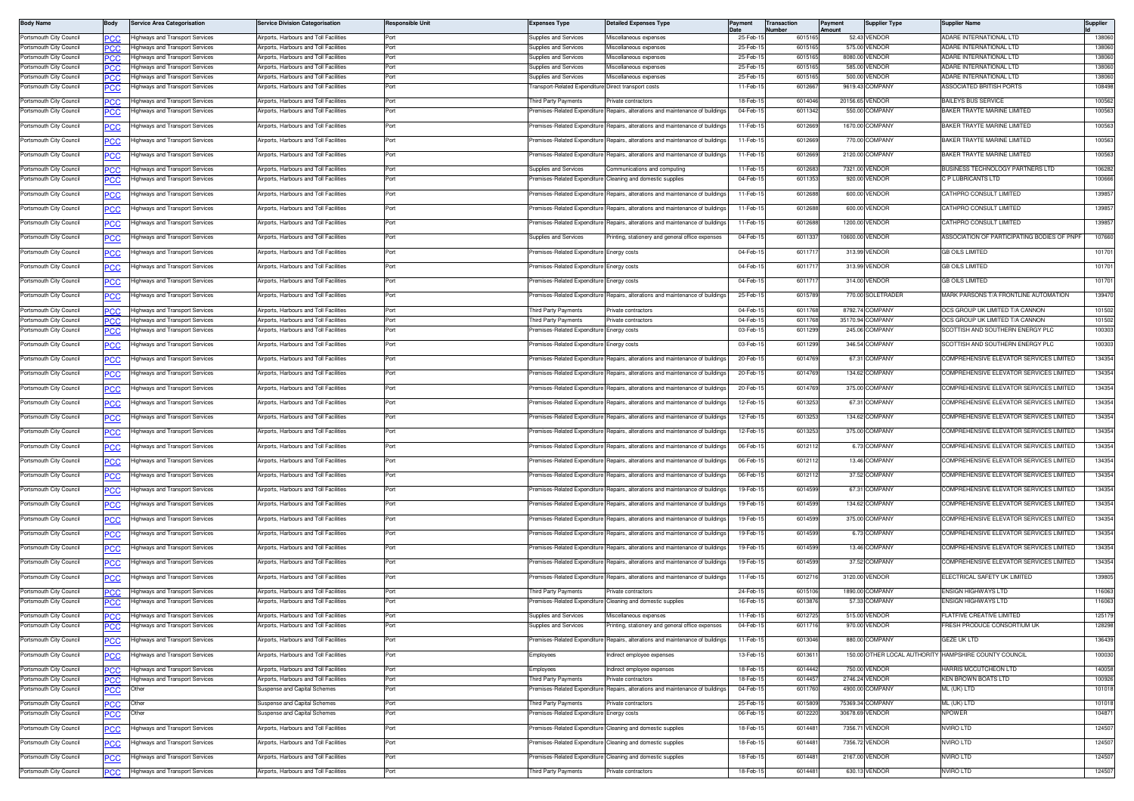| <b>Body Name</b>                                   | Body              | <b>Service Area Categorisation</b>                                        | <b>Service Division Categorisation</b>                                          | Responsible Unit | Expenses Type                                       | <b>Detailed Expenses Type</b>                                                 | Payment             | Transaction<br><b>Number</b> | Payment<br>Amount | <b>Supplier Type</b>           | Supplier Name                                         | Supplier         |
|----------------------------------------------------|-------------------|---------------------------------------------------------------------------|---------------------------------------------------------------------------------|------------------|-----------------------------------------------------|-------------------------------------------------------------------------------|---------------------|------------------------------|-------------------|--------------------------------|-------------------------------------------------------|------------------|
| Portsmouth City Council                            | PСC               | <b>Highways and Transport Services</b>                                    | Airports, Harbours and Toll Facilities                                          | Port             | Supplies and Services                               | Miscellaneous expenses                                                        | 25-Feb-             | 6015165                      |                   | 52.43 VENDOR                   | ADARE INTERNATIONAL LTD                               | 138060           |
| Portsmouth City Council                            | PCC.              | Highways and Transport Services                                           | Airports, Harbours and Toll Facilities                                          | Port             | Supplies and Services                               | Miscellaneous expenses                                                        | 25-Feb-1            | 601516                       |                   | 575.00 VENDOR                  | ADARE INTERNATIONAL LTD                               | 138060           |
| Portsmouth City Council                            | PCC.              | Highways and Transport Services<br><b>Highways and Transport Services</b> | <b>Niroorts, Harbours and Toll Facilities</b>                                   | Port             | supplies and Services                               | Miscellaneous expenses<br>iscellaneous expenses                               | 25-Feb-1            | 601516                       |                   | 8080.00 VENDOR                 | ADARE INTERNATIONAL LTD                               | 138060           |
| Portsmouth City Council<br>Portsmouth City Council | °СС<br>PCC        | Highways and Transport Services                                           | irports, Harbours and Toll Facilities<br>Airports, Harbours and Toll Facilities | Port<br>Port     | upplies and Services<br>upplies and Services        | Miscellaneous expenses                                                        | 25-Feb-<br>25-Feb-1 | 601516<br>601516             |                   | 585.00 VENDOR<br>500.00 VENDOR | ADARE INTERNATIONAL LTD<br>ADARE INTERNATIONAL LTD    | 138060<br>138060 |
| Portsmouth City Council                            | PСC               | Highways and Transport Services                                           | Airports, Harbours and Toll Facilities                                          | Port             | ransport-Related Expenditure Direct transport costs |                                                                               | 11-Feb-15           | 6012667                      |                   | 9619.43 COMPANY                | ASSOCIATED BRITISH PORTS                              | 108498           |
| Portsmouth City Council                            | PCC               | <b>Highways and Transport Services</b>                                    | Airports, Harbours and Toll Facilities                                          | Port             | hird Party Payments                                 | Private contractors                                                           | 18-Feb-1            | 6014046                      |                   | 20156.65 VENDOR                | <b>BAILEYS BUS SERVICE</b>                            | 100562           |
| Portsmouth City Council                            | <u>CC</u>         | Highways and Transport Services                                           | Airports, Harbours and Toll Facilities                                          | Port             | remises-Related Expenditure                         | Repairs, alterations and maintenance of buildings                             | 04-Feb-15           | 6011342                      |                   | 550.00 COMPANY                 | BAKER TRAYTE MARINE LIMITED                           | 100563           |
| Portsmouth City Council                            |                   | Highways and Transport Services                                           | Airports, Harbours and Toll Facilities                                          | Port             | remises-Related Expenditure                         | Repairs, alterations and maintenance of building                              | 11-Feb-1            | 6012669                      |                   | 1670.00 COMPANY                | BAKER TRAYTE MARINE LIMITED                           | 100563           |
|                                                    | <b>CC</b>         |                                                                           |                                                                                 |                  |                                                     |                                                                               |                     |                              |                   |                                |                                                       |                  |
| Portsmouth City Council                            | PСC               | Highways and Transport Services                                           | Airports, Harbours and Toll Facilities                                          | Port             | remises-Related Expenditure                         | Repairs, alterations and maintenance of buildings                             | 11-Feb-1            | 6012669                      |                   | 770.00 COMPANY                 | BAKER TRAYTE MARINE LIMITED                           | 100563           |
| Portsmouth City Council                            | PСC               | <b>Highways and Transport Services</b>                                    | Airports, Harbours and Toll Facilities                                          | Port             | Premises-Related Expenditure                        | Benairs, alterations and maintenance of buildings                             | 11-Feb-1            | 6012669                      |                   | 2120.00 COMPANY                | BAKER TRAYTE MARINE LIMITED                           | 100563           |
| Portsmouth City Council                            | PCC               | Highways and Transport Services                                           | Airports, Harbours and Toll Facilities                                          | Port             | Supplies and Services                               | Communications and computing                                                  | 11-Feb-1            | 601268                       |                   | 7321.00 VENDOR                 | BUSINESS TECHNOLOGY PARTNERS LTD                      | 106282           |
| Portsmouth City Council                            | сc                | lighways and Transport Services                                           | Airports. Harbours and Toll Facilities                                          | Port             | remises-Related Expenditure                         | leaning and domestic supplies                                                 | 04-Feb-1            | 6011353                      |                   | 920.00 VENDOR                  | C P LUBRICANTS LTD                                    | 100666           |
| Portsmouth City Council                            | PСC               | Highways and Transport Services                                           | Airports, Harbours and Toll Facilities                                          | Port             | remises-Related Expenditure                         | Repairs, alterations and maintenance of building                              | 11-Feb-1            | 601268                       |                   | 600.00 VENDOR                  | CATHPRO CONSULT LIMITED                               | 139857           |
| Portsmouth City Council                            | <u>PCC</u>        | <b>Highways and Transport Services</b>                                    | irports, Harbours and Toll Facilities                                           | Port             | emises-Related Expenditure                          | Repairs, alterations and maintenance of building:                             | 11-Feb-1            | 6012688                      |                   | 600.00 VENDOR                  | CATHPRO CONSULT LIMITED                               | 139857           |
| Portsmouth City Council                            | <b>PCC</b>        | Highways and Transport Services                                           | Airports, Harbours and Toll Facilities                                          | Port             | remises-Related Expenditure                         | Repairs, alterations and maintenance of buildings                             | 11-Feb-1            | 6012688                      |                   | 1200.00 VENDOR                 | CATHPRO CONSULT LIMITED                               | 139857           |
| Portsmouth City Council                            |                   | lighways and Transport Services                                           | Airports, Harbours and Toll Facilities                                          | Port             | Supplies and Services                               | rinting, stationery and general office expenses                               | 04-Feb-1            | 6011337                      |                   | 10600.00 VENDOR                | SSOCIATION OF PARTICIPATING BODIES OF PNPF            | 107660           |
|                                                    | <u>PCC</u>        |                                                                           |                                                                                 |                  |                                                     |                                                                               |                     |                              |                   |                                |                                                       |                  |
| Portsmouth City Council                            | <u>PCC</u>        | <b>Highways and Transport Services</b>                                    | Airports, Harbours and Toll Facilities                                          | Port             | remises-Related Expenditure Energy costs            |                                                                               | 04-Feb-1            | 601171                       |                   | 313.99 VENDOR                  | <b>GB OILS LIMITED</b>                                | 101701           |
| Portsmouth City Council                            | PСC               | Highways and Transport Services                                           | Airports, Harbours and Toll Facilities                                          | Port             | remises-Related Expenditure                         | nergy costs:                                                                  | 04-Feb-1            | 601171                       |                   | 313.99 VENDOR                  | <b>GB OILS LIMITED</b>                                | 101701           |
| Portsmouth City Council                            | <u>CC</u>         | <b>Highways and Transport Services</b>                                    | irports, Harbours and Toll Facilities                                           | Port             | emises-Related Expenditure                          | nergy costs                                                                   | 04-Feb-1            | 601171                       |                   | 314.00 VENDOR                  | GB OILS LIMITED                                       | 101701           |
| Portsmouth City Council                            | <b>CC</b>         | <b>Highways and Transport Services</b>                                    | Airports, Harbours and Toll Facilities                                          | Port             |                                                     | remises-Related Expenditure Repairs, alterations and maintenance of buildings | 25-Feb-1            | 6015789                      |                   | 770.00 SOLETRADER              | MARK PARSONS T/A FRONTLINE AUTOMATION                 | 139470           |
| Portsmouth City Council                            |                   | Highways and Transport Services                                           | Airports, Harbours and Toll Facilities                                          | Port             | hird Party Payments                                 | Private contractors                                                           | 04-Feb-1            | 6011768                      |                   | 8792.74 COMPANY                | OCS GROUP UK LIMITED T/A CANNON                       | 101502           |
| Portsmouth City Council                            | PСC<br>PСC        | <b>Highways and Transport Services</b>                                    | Airports, Harbours and Toll Facilities                                          | Port             | hird Party Payments                                 | rivate contractors                                                            | 04-Feb-1            | 6011768                      |                   | 35170.94 COMPANY               | OCS GROUP UK LIMITED T/A CANNON                       | 101502           |
| Portsmouth City Council                            | сc                | lighways and Transport Services                                           | irports, Harbours and Toll Facilities                                           | Port             | emises-Related Expenditure                          | inergy costs                                                                  | 03-Feb-1            | 6011299                      |                   | 245.06 COMPANY                 | SCOTTISH AND SOUTHERN ENERGY PLC                      | 100303           |
| Portsmouth City Council                            | <b>PCC</b>        | Highways and Transport Services                                           | Airports, Harbours and Toll Facilities                                          | Port             | remises-Related Expenditure Energy costs            |                                                                               | 03-Feb-1            | 6011299                      |                   | 346.54 COMPANY                 | SCOTTISH AND SOUTHERN ENERGY PLC                      | 100303           |
| Portsmouth City Council                            |                   | Highways and Transport Services                                           | Airports, Harbours and Toll Facilities                                          | Port             | emises-Related Expenditure                          | Repairs, alterations and maintenance of building                              | 20-Feb-1            | 6014769                      |                   | 67.31 COMPANY                  | COMPREHENSIVE ELEVATOR SERVICES LIMITED               | 134354           |
|                                                    | <b>PCC</b>        |                                                                           |                                                                                 |                  |                                                     |                                                                               |                     |                              |                   |                                |                                                       |                  |
| Portsmouth City Council                            | сc                | <b>Highways and Transport Services</b>                                    | Airports, Harbours and Toll Facilities                                          | Port             | remises-Related Expenditure                         | Repairs, alterations and maintenance of buildings                             | 20-Feb-1            | 6014769                      |                   | 134.62 COMPANY                 | COMPREHENSIVE ELEVATOR SERVICES LIMITED               | 134354           |
| Portsmouth City Council                            | PСC               | <b>Highways and Transport Services</b>                                    | Airports, Harbours and Toll Facilities                                          | Port             | remises-Related Expenditure                         | Repairs, alterations and maintenance of buildings                             | 20-Feb-1            | 6014769                      |                   | 375.00 COMPANY                 | COMPREHENSIVE ELEVATOR SERVICES LIMITED               | 134354           |
| Portsmouth City Council                            | сc                | Highways and Transport Services                                           | Airports, Harbours and Toll Facilities                                          | Port             | emises-Related Expenditur                           | lepairs, alterations and maintenance of building                              | 12-Feb-1            | 6013253                      |                   | 67.31 COMPANY                  | COMPREHENSIVE ELEVATOR SERVICES LIMITED               | 134354           |
| Portsmouth City Council                            | <b>PCC</b>        | Highways and Transport Services                                           | Airports, Harbours and Toll Facilities                                          | Port             | remises-Related Expenditure                         | Repairs, alterations and maintenance of buildings                             | 12-Feb-1            | 6013253                      |                   | 134.62 COMPANY                 | COMPREHENSIVE ELEVATOR SERVICES LIMITED               | 134354           |
| Portsmouth City Council                            |                   | Highways and Transport Services                                           | Airports, Harbours and Toll Facilities                                          | Port             | remises-Related Expenditure                         | Repairs, alterations and maintenance of building                              | 12-Feb-1            | 601325                       |                   | 375.00 COMPANY                 | COMPREHENSIVE ELEVATOR SERVICES LIMITED               | 134354           |
|                                                    | <u>PCC</u>        |                                                                           |                                                                                 |                  |                                                     |                                                                               |                     |                              |                   |                                |                                                       |                  |
| Portsmouth City Council                            | ٥СС               | Highways and Transport Services                                           | Airports, Harbours and Toll Facilities                                          | Port             | remises-Related Expenditure                         | Repairs, alterations and maintenance of buildings                             | 06-Feb-1            | 601211                       |                   | 6.73 COMPANY                   | COMPREHENSIVE ELEVATOR SERVICES LIMITED               | 134354           |
| Portsmouth City Council                            | ٥СС               | Highways and Transport Services                                           | Airports, Harbours and Toll Facilities                                          | Port             | remises-Related Expenditure                         | Repairs, alterations and maintenance of building                              | 06-Feb-1            | 601211                       |                   | 13.46 COMPANY                  | COMPREHENSIVE ELEVATOR SERVICES LIMITED               | 134354           |
| Portsmouth City Council                            | <u>CC</u>         | <b>Highways and Transport Services</b>                                    | irports, Harbours and Toll Facilities                                           | Port             | emises-Related Expenditure                          | Repairs, alterations and maintenance of building                              | 06-Feb-1            | 601211                       |                   | 37.52 COMPANY                  | COMPREHENSIVE ELEVATOR SERVICES LIMITED               | 134354           |
| Portsmouth City Council                            | <u>PCC</u>        | Highways and Transport Services                                           | Airports, Harbours and Toll Facilities                                          | Port             | remises-Related Expenditure                         | Repairs, alterations and maintenance of buildings                             | 19-Feb-1            | 6014599                      |                   | 67.31 COMPANY                  | COMPREHENSIVE ELEVATOR SERVICES LIMITED               | 134354           |
| Portsmouth City Council                            | <b>PCC</b>        | <b>Highways and Transport Services</b>                                    | Airports, Harbours and Toll Facilities                                          | Port             | emises-Related Expenditure                          | Repairs, alterations and maintenance of building                              | 19-Feb-1            | 6014599                      |                   | 134.62 COMPANY                 | COMPREHENSIVE ELEVATOR SERVICES LIMITED               | 134354           |
|                                                    |                   |                                                                           |                                                                                 |                  |                                                     |                                                                               |                     |                              |                   |                                | COMPREHENSIVE ELEVATOR SERVICES LIMITED               |                  |
| Portsmouth City Council                            | сc                | Highways and Transport Services                                           | Airports, Harbours and Toll Facilities                                          | Port             |                                                     | remises-Related Expenditure Repairs, alterations and maintenance of building  | 19-Feb-1            | 6014599                      |                   | 375.00 COMPANY                 |                                                       | 134354           |
| Portsmouth City Council                            | ٥СС               | <b>Highways and Transport Services</b>                                    | Airports, Harbours and Toll Facilities                                          | Port             | remises-Related Expenditure                         | Repairs, alterations and maintenance of building                              | 19-Feb-1            | 6014599                      |                   | 6.73 COMPANY                   | COMPREHENSIVE ELEVATOR SERVICES LIMITED               | 134354           |
| Portsmouth City Council                            | сc                | Highways and Transport Services                                           | Airports, Harbours and Toll Facilities                                          | Port             | emises-Related Expenditure                          | Repairs, alterations and maintenance of building:                             | 19-Feb-1            | 6014599                      |                   | 13.46 COMPANY                  | COMPREHENSIVE ELEVATOR SERVICES LIMITED               | 134354           |
| Portsmouth City Council                            | <u>PCC</u>        | Highways and Transport Services                                           | Airports, Harbours and Toll Facilities                                          | Port             | remises-Related Expenditure                         | Repairs, alterations and maintenance of building                              | 19-Feb-1            | 6014599                      |                   | 37.52 COMPANY                  | COMPREHENSIVE ELEVATOR SERVICES LIMITED               | 134354           |
| Portsmouth City Council                            | <b>PCC</b>        | Highways and Transport Services                                           | <b>Nirports, Harbours and Toll Facilities</b>                                   | Port             | emises-Related Expenditure                          | Repairs, alterations and maintenance of buildings                             | 11-Feb-1            | 601271                       |                   | 3120.00 VENDOR                 | ELECTRICAL SAFETY UK LIMITED                          | 139805           |
| Portsmouth City Council                            |                   | Highways and Transport Services                                           | Airports, Harbours and Toll Facilities                                          | Port             | hird Party Payments                                 | rivate contractors                                                            | 24-Feb-1            | 601510                       |                   | 1890.00 COMPANY                | ENSIGN HIGHWAYS LTD                                   | 116063           |
| Portsmouth City Council                            | PCC<br><u>PCC</u> | Highways and Transport Services                                           | <b>Nirports, Harbours and Toll Facilities</b>                                   | Port             | emises-Related Expenditure                          | Cleaning and domestic supplies                                                | 16-Feb-             | 601387                       |                   | 57.33 COMPANY                  | <b>INSIGN HIGHWAYS LTD</b>                            | 116063           |
| Portsmouth City Council                            |                   | Highways and Transport Services                                           | Airports, Harbours and Toll Facilities                                          | Port             | Supplies and Services                               | Miscellaneous expenses                                                        | 11-Feb-1            | 601272                       |                   | 515.00 VENDOR                  | FLATFIVE CREATIVE LIMITED                             | 125179           |
| Portsmouth City Council                            | PCC               | Highways and Transport Services                                           | irports, Harbours and Toll Facilities                                           | Port             | upplies and Services                                | Printing, stationery and general office expenses                              | 04-Feb-1            | 6011716                      |                   | 970.00 VENDOR                  | FRESH PRODUCE CONSORTIUM UK                           | 128298           |
| Portsmouth City Council                            |                   | Highways and Transport Services                                           | Airports, Harbours and Toll Facilities                                          | Port             |                                                     | remises-Related Expenditure Repairs, alterations and maintenance of buildings | 11-Feb-15           | 6013046                      |                   | 880.00 COMPANY                 | GEZE UK LTD                                           | 136439           |
|                                                    | <b>PCC</b>        |                                                                           |                                                                                 |                  |                                                     |                                                                               |                     |                              |                   |                                |                                                       |                  |
| Portsmouth City Council                            | PСC               | Highways and Transport Services                                           | Airports, Harbours and Toll Facilities                                          | Port             | Employees                                           | Indirect employee expenses                                                    | 13-Feb-15           | 6013611                      |                   |                                | 150.00 OTHER LOCAL AUTHORITY HAMPSHIRE COUNTY COUNCIL | 100030           |
| Portsmouth City Council                            | PCC⊹              | Highways and Transport Services                                           | Airports, Harbours and Toll Facilities                                          | Port             | Employees                                           | Indirect employee expenses                                                    | 18-Feb-1            | 6014442                      |                   | 750.00 VENDOR                  | HARRIS MCCUTCHEON LTD                                 | 140058           |
| Portsmouth City Council                            | PCC.              | Highways and Transport Services                                           | Airports, Harbours and Toll Facilities                                          | Port             | hird Party Payments                                 | Private contractors                                                           | 18-Feb-1            | 601445                       |                   | 2746.24 VENDOR                 | KEN BROWN BOATS LTD                                   | 100926           |
| Portsmouth City Council                            | <b>PCC</b>        | Other                                                                     | uspense and Capital Schemes                                                     | Port             | emises-Related Expenditure                          | Repairs, alterations and maintenance of buildings                             | 04-Feb-1            | 6011760                      |                   | 4900.00 COMPANY                | ML (UK) LTD                                           | 101018           |
| Portsmouth City Council                            | PCC               | Other                                                                     | Suspense and Capital Schemes                                                    | Port             | Third Party Payments                                | Private contractors                                                           | 25-Feb-1            | 6015809                      |                   | 75369.34 COMPANY               | ML (UK) LTD                                           | 101018           |
| Portsmouth City Council                            | <b>CC</b>         | Other                                                                     | Suspense and Capital Schemes                                                    | Port             | emises-Related Expenditure                          | Energy costs                                                                  | 06-Feb-1            | 601222                       |                   | 30678.69 VENDOR                | NPOWER                                                | 104871           |
| Portsmouth City Council                            | <u>PCC</u>        | Highways and Transport Services                                           | Airports, Harbours and Toll Facilities                                          | Port             |                                                     | Premises-Related Expenditure Cleaning and domestic supplies                   | 18-Feb-1            | 6014481                      |                   | 7356.71 VENDOR                 | NVIRO LTD                                             | 124507           |
| Portsmouth City Council                            | <u>PCC</u>        | Highways and Transport Services                                           | Airports, Harbours and Toll Facilities                                          | Port             | remises-Related Expenditure                         | Cleaning and domestic supplies                                                | 18-Feb-1            | 6014481                      |                   | 7356.72 VENDOR                 | <b>VVIRO LTD</b>                                      | 124507           |
| Portsmouth City Council                            | <u>PCC</u>        | Highways and Transport Services                                           | Airports, Harbours and Toll Facilities                                          | Port             |                                                     | Premises-Related Expenditure Cleaning and domestic supplies                   | 18-Feb-15           | 6014481                      |                   | 2167.00 VENDOR                 | NVIRO LTD                                             | 124507           |
| Portsmouth City Council                            | PCC               | Highways and Transport Services                                           | Airports, Harbours and Toll Facilities                                          | Port             | hird Party Payments                                 | Private contractors                                                           | 18-Feb-15           | 6014481                      |                   | 630.13 VENDOR                  | <b>NVIRO LTD</b>                                      | 124507           |
|                                                    |                   |                                                                           |                                                                                 |                  |                                                     |                                                                               |                     |                              |                   |                                |                                                       |                  |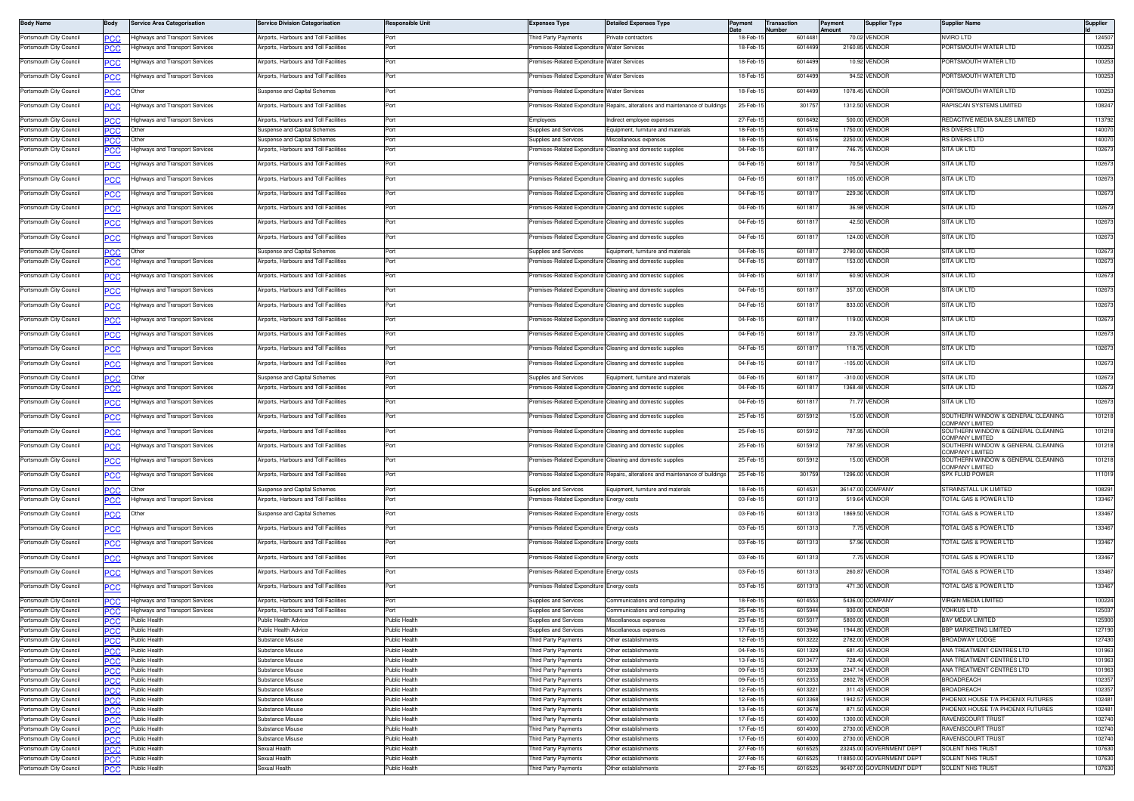| <b>Body Name</b>                                   | Body                     | <b>Service Area Categorisation</b>               | <b>Service Division Categorisation</b>                                 | <b>Responsible Unit</b>        | <b>Expenses Type</b>                                 | <b>Detailed Expenses Type</b>                                                  | Payment               | <b>Transaction</b><br>umber | Payment<br>Amount | <b>Supplier Type</b>                                 | <b>Supplier Name</b>                                         | Supplier         |
|----------------------------------------------------|--------------------------|--------------------------------------------------|------------------------------------------------------------------------|--------------------------------|------------------------------------------------------|--------------------------------------------------------------------------------|-----------------------|-----------------------------|-------------------|------------------------------------------------------|--------------------------------------------------------------|------------------|
| Portsmouth City Council                            | PCC.                     | lighways and Transport Services                  | Airports, Harbours and Toll Facilities                                 | Port                           | hird Party Payments                                  | rivate contractors                                                             | 18-Feb-1              | 6014481                     |                   | 70.02 VENDOR                                         | NVIRO LTD                                                    | 124507           |
| Portsmouth City Council                            | <u>'СС</u>               | lighways and Transport Services                  | <b>Virports, Harbours and Toll Facilities</b>                          | Port                           | emises-Related Expenditure                           | <b>Nater Services</b>                                                          | 18-Feb-1              | 6014499                     |                   | 2160.85 VENDOR                                       | ORTSMOUTH WATER LTD                                          | 100253           |
| Portsmouth City Council                            | <u>PCC</u>               | lighways and Transport Services                  | Airports, Harbours and Toll Facilities                                 | Port                           | remises-Related Expenditure Water Services           |                                                                                | 18-Feb-1              | 6014499                     |                   | 10.92 VENDOR                                         | PORTSMOUTH WATER LTD                                         | 100253           |
| Portsmouth City Council                            | <u>PCC</u>               | Highways and Transport Services                  | Airports, Harbours and Toll Facilities                                 | Port                           | remises-Related Expenditure Water Services           |                                                                                | 18-Feb-1              | 6014499                     |                   | 94.52 VENDOR                                         | PORTSMOUTH WATER LTD                                         | 100253           |
| Portsmouth City Council                            |                          | Other                                            | Suspense and Capital Schemes                                           | Port                           | remises-Related Expenditure Water Services           |                                                                                | 18-Feb-1              | 6014499                     |                   | 1078.45 VENDOR                                       | PORTSMOUTH WATER LTD                                         | 100253           |
|                                                    | <b>PCC</b>               |                                                  |                                                                        |                                |                                                      |                                                                                |                       |                             |                   |                                                      |                                                              |                  |
| Portsmouth City Council                            | PСC                      | lighways and Transport Services                  | Airports, Harbours and Toll Facilities                                 | Port                           |                                                      | remises-Related Expenditure Repairs, alterations and maintenance of buildings  | 25-Feb-1              | 30175                       |                   | 1312.50 VENDOR                                       | RAPISCAN SYSTEMS LIMITED                                     | 108247           |
| Portsmouth City Council                            | PСC                      | lighways and Transport Services                  | Airports, Harbours and Toll Facilities                                 | Port                           | imployees                                            | ndirect employee expenses                                                      | 27-Feb-1              | 6016492                     |                   | 500.00 VENDOR                                        | REDACTIVE MEDIA SALES LIMITED                                | 113792           |
| Portsmouth City Council                            | <b>PCC</b>               | Other                                            | Suspense and Capital Schemes                                           | Port<br>Port                   | upplies and Services                                 | Equipment, furniture and materials                                             | 18-Feb-1<br>18-Feb-1  | 601451<br>601451            |                   | 1750.00 VENDOR                                       | RS DIVERS LTD<br>RS DIVERS LTD                               | 140070<br>140070 |
| Portsmouth City Council<br>Portsmouth City Council | ∍сс                      | lighways and Transport Services                  | Suspense and Capital Schemes<br>Airports, Harbours and Toll Facilities | Port                           | supplies and Services<br>remises-Related Expenditure | iscellaneous expenses<br>Cleaning and domestic supplies                        | 04-Feb-1              | 601181                      |                   | 2250.00 VENDOR<br>746.75 VENDOR                      | SITA UK LTD                                                  | 102673           |
| Portsmouth City Council                            |                          | lighways and Transport Services                  | Airports, Harbours and Toll Facilities                                 | Port                           |                                                      | remises-Related Expenditure Cleaning and domestic supplies                     | 04-Feb-15             | 6011817                     |                   | 70.54 VENDOR                                         | SITA UK LTD                                                  | 102673           |
|                                                    | <u>PCC</u>               |                                                  |                                                                        |                                |                                                      |                                                                                |                       |                             |                   |                                                      |                                                              |                  |
| Portsmouth City Council                            | PСC                      | ighways and Transport Services                   | Airports, Harbours and Toll Facilities                                 | Port                           | emises-Related Expenditure                           | Cleaning and domestic supplies                                                 | 04-Feb-1              | 601181                      |                   | 105.00 VENDOR                                        | SITA UK LTD                                                  | 102673           |
| Portsmouth City Council                            |                          | Highways and Transport Services                  | Airports, Harbours and Toll Facilities                                 | Port                           | remises-Related Expenditure                          | Cleaning and domestic supplies                                                 | 04-Feb-1              | 6011817                     |                   | 229.36 VENDOR                                        | ITA UK LTD                                                   | 102673           |
| Portsmouth City Council                            | <b>PCC</b>               | lighways and Transport Services                  | Airports, Harbours and Toll Facilities                                 | Port                           | remises-Related Expenditure                          | Cleaning and domestic supplies                                                 | 04-Feb-1              | 6011817                     |                   | 36.98 VENDOR                                         | SITA UK LTD                                                  | 102673           |
| Portsmouth City Council                            | <u>PCC</u>               | Highways and Transport Services                  | Airports, Harbours and Toll Facilities                                 | Port                           |                                                      | remises-Related Expenditure Cleaning and domestic supplies                     | 04-Feb-1              | 601181                      |                   | 42.50 VENDOR                                         | SITA UK LTD                                                  | 102673           |
| Portsmouth City Council                            | <u>PCC</u>               | lighways and Transport Services                  | Airports, Harbours and Toll Facilities                                 | Port                           |                                                      | remises-Related Expenditure Cleaning and domestic supplies                     | 04-Feb-1              | 601181                      |                   | 124.00 VENDOR                                        | SITA UK LTD                                                  | 102673           |
|                                                    |                          | Other                                            |                                                                        | Port                           | Supplies and Services                                | Equipment, furniture and material                                              | 04-Feb-1              | 601181                      |                   | 2790.00 VENDOR                                       | SITA UK LTD                                                  | 102673           |
| Portsmouth City Council<br>Portsmouth City Council | PCC<br><u>PCC</u>        | ighways and Transport Services                   | Suspense and Capital Schemes<br>\irports, Harbours and Toll Facilities | Port                           | emises-Related Expenditure                           | Cleaning and domestic supplies                                                 | 04-Feb-1              | 601181                      |                   | 153.00 VENDOR                                        | ITA UK LTD                                                   | 102673           |
|                                                    |                          |                                                  |                                                                        |                                |                                                      |                                                                                |                       |                             |                   |                                                      | SITA UK LTD                                                  | 102673           |
| Portsmouth City Council                            | PСC                      | lighways and Transport Services                  | Airports, Harbours and Toll Facilities                                 | Port                           | remises-Related Expenditure                          | Cleaning and domestic supplies                                                 | 04-Feb-1              | 601181                      |                   | 60.90 VENDOR                                         |                                                              |                  |
| Portsmouth City Council                            | <u>PCC</u>               | Highways and Transport Services                  | Airports, Harbours and Toll Facilities                                 | Port                           | remises-Related Expenditure                          | Cleaning and domestic supplies                                                 | 04-Feb-1              | 6011817                     |                   | 357.00 VENDOR                                        | SITA UK LTD                                                  | 102673           |
| Portsmouth City Council                            | <b>PCC</b>               | lighways and Transport Services                  | Airports, Harbours and Toll Facilities                                 | Port                           | remises-Related Expenditure                          | Cleaning and domestic supplies                                                 | 04-Feb-1              | 6011817                     |                   | 833.00 VENDOR                                        | SITA UK LTD                                                  | 102673           |
| Portsmouth City Council                            |                          | lighways and Transport Services                  | Airports, Harbours and Toll Facilities                                 | Port                           |                                                      | remises-Related Expenditure Cleaning and domestic supplies                     | 04-Feb-1              | 601181                      |                   | 119.00 VENDOR                                        | SITA UK LTD                                                  | 102673           |
| Portsmouth City Council                            | <u>PCC</u>               | ighways and Transport Services                   | Airports, Harbours and Toll Facilities                                 | Port                           | emises-Related Expenditure                           | Cleaning and domestic supplies                                                 | 04-Feb-1              | 601181                      |                   | 23.75 VENDOR                                         | SITA UK LTD                                                  | 102673           |
| Portsmouth City Council                            |                          | lighways and Transport Services                  | Airports, Harbours and Toll Facilities                                 | Port                           | remises-Related Expenditure                          | Cleaning and domestic supplies                                                 | 04-Feb-               | 601181                      |                   | 118.75 VENDOR                                        | SITA UK LTD                                                  | 102673           |
|                                                    | $\overline{PCC}$         |                                                  |                                                                        |                                |                                                      |                                                                                |                       |                             |                   |                                                      |                                                              |                  |
| Portsmouth City Council                            | <u>PCC</u>               | Highways and Transport Services                  | Airports, Harbours and Toll Facilities                                 | Port                           |                                                      | remises-Related Expenditure Cleaning and domestic supplies                     | 04-Feb-1              | 601181                      |                   | -105.00 VENDOR                                       | SITA UK LTD                                                  | 102673           |
| Portsmouth City Council                            | PСC                      | Other                                            | Suspense and Capital Schemes                                           | Port                           | Supplies and Services                                | Equipment, furniture and materials                                             | 04-Feb-1              | 601181                      |                   | -310.00 VENDOR                                       | <b>SITA UK LTD</b>                                           | 102673           |
| Portsmouth City Council                            | <u>PCC</u>               | lighways and Transport Services                  | Airports, Harbours and Toll Facilities                                 | Port                           | remises-Related Expenditure                          | Cleaning and domestic supplies                                                 | 04-Feb-1              | 601181                      |                   | 1368.48 VENDOR                                       | SITA UK LTD                                                  | 102673           |
| Portsmouth City Council                            | <b>PCC</b>               | lighways and Transport Services                  | Airports, Harbours and Toll Facilities                                 | Port                           | remises-Related Expenditure                          | Cleaning and domestic supplies                                                 | 04-Feb-1              | 6011817                     |                   | 71.77 VENDOR                                         | SITA UK LTD                                                  | 102673           |
| Portsmouth City Council                            |                          | lighways and Transport Services                  | Airports, Harbours and Toll Facilities                                 | Port                           |                                                      | remises-Related Expenditure Cleaning and domestic supplies                     | 25-Feb-1              | 6015912                     |                   | 15.00 VENDOR                                         | SOUTHERN WINDOW & GENERAL CLEANING<br><b>OMPANY LIMITED</b>  | 101218           |
| Portsmouth City Council                            | <b>PCC</b>               | ighways and Transport Services                   | Airports, Harbours and Toll Facilities                                 | Port                           | emises-Related Expenditure                           | Cleaning and domestic supplies                                                 | 25-Feb-1              | 6015912                     |                   | 787.95 VENDOR                                        | SOUTHERN WINDOW & GENERAL CLEANING                           | 101218           |
| Portsmouth City Council                            | PСC                      | lighways and Transport Services                  | Airports, Harbours and Toll Facilities                                 | Port                           | remises-Related Expenditure                          | Cleaning and domestic supplies                                                 | 25-Feb-1              | 6015912                     |                   | 787.95 VENDOR                                        | OMPANY LIMITED<br>SOUTHERN WINDOW & GENERAL CLEANING         | 101218           |
| Portsmouth City Council                            |                          | Highways and Transport Services                  | Airports, Harbours and Toll Facilities                                 | Port                           | remises-Related Expenditure                          | Cleaning and domestic supplies                                                 | 25-Feb-               | 6015912                     |                   | 15.00 VENDOR                                         | <b>COMPANY LIMITED</b><br>SOUTHERN WINDOW & GENERAL CLEANING | 101218           |
|                                                    |                          |                                                  |                                                                        |                                |                                                      |                                                                                |                       |                             |                   |                                                      | OMPANY LIMITED                                               |                  |
| Portsmouth City Council                            | <u>PCC</u>               | Highways and Transport Services                  | Airports, Harbours and Toll Facilities                                 | Port                           |                                                      | Premises-Related Expenditure Repairs, alterations and maintenance of buildings | 25-Feb-1              | 301759                      |                   | 1296.00 VENDOR                                       | SPX FLUID POWER                                              | 111019           |
| Portsmouth City Council                            | PCC.                     | Other                                            | Suspense and Capital Schemes                                           | Port                           | Supplies and Services                                | Equipment, furniture and materials                                             | 18-Feb-1              | 601453                      |                   | 36147.00 COMPANY                                     | STRAINSTALL UK LIMITED                                       | 108291           |
| Portsmouth City Council                            | <u>PCC</u>               | lighways and Transport Services                  | Airports, Harbours and Toll Facilities                                 | Port                           | remises-Related Expenditure                          | Energy costs                                                                   | 03-Feb-1              | 6011313                     |                   | 519.64 VENDOR                                        | TOTAL GAS & POWER LTD                                        | 133467           |
| Portsmouth City Council                            |                          | Other                                            | Suspense and Capital Schemes                                           | Port                           | remises-Related Expenditure                          | Energy costs                                                                   | 03-Feb-1              | 6011313                     |                   | 1869.50 VENDOR                                       | OTAL GAS & POWER LTD                                         | 133467           |
| Portsmouth City Council                            | <b>CC</b>                | lighways and Transport Services                  | Airports, Harbours and Toll Facilities                                 | Port                           | emises-Related Expenditure                           | Energy costs                                                                   | 03-Feb-1              | 601131                      |                   | 7.75 VENDOR                                          | OTAL GAS & POWER LTD                                         | 133467           |
| Portsmouth City Council                            | <b>PCC</b>               | lighways and Transport Services                  | Airports, Harbours and Toll Facilities                                 | Port                           | remises-Related Expenditure                          | Energy costs                                                                   | 03-Feb-1              | 6011313                     |                   | 57.96 VENDOR                                         | OTAL GAS & POWER LTD                                         | 133467           |
| Portsmouth City Council                            | <u>PCC</u>               | Highways and Transport Services                  | Airports, Harbours and Toll Facilities                                 | Port                           | remises-Related Expenditure                          | nergy costs                                                                    | 03-Feb-1              | 601131                      |                   | 7.75 VENDOR                                          | OTAL GAS & POWER LTD                                         | 133467           |
| Portsmouth City Council                            |                          |                                                  |                                                                        | Port                           | remises-Related Expenditure                          |                                                                                | 03-Feb-1              | 6011313                     |                   | 260.87 VENDOR                                        | OTAL GAS & POWER LTD                                         | 133467           |
|                                                    | $\overline{C}$           | lighways and Transport Services                  | Airports, Harbours and Toll Facilities                                 |                                |                                                      | Energy costs                                                                   |                       |                             |                   |                                                      |                                                              |                  |
| Portsmouth City Council                            | <u>PCC</u>               | Highways and Transport Services                  | Airports, Harbours and Toll Facilities                                 | Port                           | Premises-Related Expenditure Energy costs            |                                                                                | 03-Feb-15             | 6011313                     |                   | 471.30 VENDOR                                        | OTAL GAS & POWER LTD                                         | 133467           |
| Portsmouth City Council                            | °СС                      | ighways and Transport Services                   | Airports, Harbours and Toll Facilities                                 | Port                           | upplies and Services                                 | ommunications and computing                                                    | 18-Feb-1              | 601455                      |                   | 5436.00 COMPANY                                      | <b>/IRGIN MEDIA LIMITED</b>                                  | 100224           |
| Portsmouth City Council<br>Portsmouth City Council | PCC                      | lighways and Transport Services<br>Public Health | Airports, Harbours and Toll Facilities<br>Public Health Advice         | Port<br>Public Health          | supplies and Services<br>Supplies and Services       | Communications and computing<br>Miscellaneous expenses                         | 25-Feb-1<br>23-Feb-15 | 6015944<br>6015017          |                   | 930.00 VENDOR<br>5800.00 VENDOR                      | <b>OHKUS LTD</b><br>BAY MEDIA LIMITED                        | 125037<br>125900 |
| Portsmouth City Council                            | <u>PCC</u><br><b>PCC</b> | Public Health                                    | Public Health Advice                                                   | Public Health                  | supplies and Services                                | liscellaneous expenses                                                         | 17-Feb-1              | 6013946                     |                   | 1944.80 VENDOR                                       | BBP MARKETING LIMITED                                        | 127190           |
| Portsmouth City Council                            | PСC                      | <b>Public Health</b>                             | Substance Misuse                                                       | Public Health                  | Third Party Payments                                 | Other establishments                                                           | 12-Feb-1              | 6013222                     |                   | 2782.00 VENDOR                                       | BROADWAY LODGE                                               | 127430           |
| Portsmouth City Council                            | PCC                      | Public Health                                    | Substance Misuse                                                       | Public Health                  | hird Party Payments                                  | Other establishments                                                           | 04-Feb-1              | 6011329                     |                   | 681.43 VENDOR                                        | ANA TREATMENT CENTRES LTD                                    | 101963           |
| Portsmouth City Council<br>Portsmouth City Council | PСC                      | Public Health<br>Public Health                   | Substance Misuse<br>Substance Misuse                                   | Public Health<br>Public Health | hird Party Payments<br>hird Party Payments           | Other establishments<br>Other establishments                                   | 13-Feb-1<br>09-Feb-1  | 601347<br>6012338           |                   | 728.40 VENDOR<br>2347.14 VENDOR                      | ANA TREATMENT CENTRES LTD<br>ANA TREATMENT CENTRES LTD       | 101963<br>101963 |
| Portsmouth City Council                            | PСC<br><b>PCC</b>        | <b>Public Health</b>                             | Substance Misuse                                                       | Public Health                  | hird Party Payments                                  | Other establishments                                                           | 09-Feb-1              | 6012353                     |                   | 2802.78 VENDOR                                       | <b>BROADREACH</b>                                            | 102357           |
| Portsmouth City Council                            | ∍сс                      | ublic Health                                     | Substance Misuse                                                       | Public Health                  | hird Party Payments                                  | Other establishments                                                           | 12-Feb-1              | 601322                      |                   | 311.43 VENDOR                                        | <b>BROADREACH</b>                                            | 102357           |
| Portsmouth City Council                            | <b>PCC</b>               | Public Health                                    | Substance Misuse                                                       | Public Health                  | hird Party Payments                                  | Other establishments                                                           | 12-Feb-1              | 6013368                     |                   | 1942.57 VENDOR                                       | <b>PHOENIX HOUSE T/A PHOENIX FUTURES</b>                     | 102481           |
| Portsmouth City Council<br>Portsmouth City Council | PСC                      | Public Health                                    | Substance Misuse                                                       | Public Health<br>Public Health | Third Party Payments                                 | Other establishments                                                           | 13-Feb-1<br>17-Feb-1  | 6013678<br>6014000          |                   | 871.50 VENDOR<br>1300.00 VENDOR                      | PHOENIX HOUSE T/A PHOENIX FUTURES<br>RAVENSCOURT TRUST       | 102481<br>102740 |
| Portsmouth City Council                            | PCC<br>PСC               | Public Health<br>Public Health                   | Substance Misuse<br>Substance Misuse                                   | Public Health                  | hird Party Payments<br>Third Party Payments          | Other establishments<br>Other establishments                                   | 17-Feb-1              | 6014000                     |                   | 2730.00 VENDOR                                       | RAVENSCOURT TRUST                                            | 102740           |
| Portsmouth City Council                            | PCC                      | Public Health                                    | Substance Misuse                                                       | Public Health                  | hird Party Payments                                  | Other establishments                                                           | 17-Feb-1              | 6014000                     |                   | 2730.00 VENDOR                                       | RAVENSCOURT TRUST                                            | 102740           |
| Portsmouth City Council                            | °СС                      | Public Health                                    | Sexual Health                                                          | ublic Health                   | hird Party Payments                                  | Other establishments                                                           | 27-Feb-               | 601652                      |                   | 23245.00 GOVERNMENT DEPT                             | <b>SOLENT NHS TRUST</b>                                      | 107630           |
| Portsmouth City Council<br>Portsmouth City Council | PCC.                     | Public Health<br>Public Health                   | Sexual Health<br>Sexual Health                                         | Public Health<br>Public Health | hird Party Payments                                  | Other establishments<br>Other establishments                                   | 27-Feb-1<br>27-Feb-1  | 601652<br>6016525           |                   | 18850.00 GOVERNMENT DEPT<br>96407.00 GOVERNMENT DEPT | SOLENT NHS TRUST<br>SOLENT NHS TRUST                         | 107630<br>107630 |
|                                                    | <b>PCC</b>               |                                                  |                                                                        |                                | hird Party Payments                                  |                                                                                |                       |                             |                   |                                                      |                                                              |                  |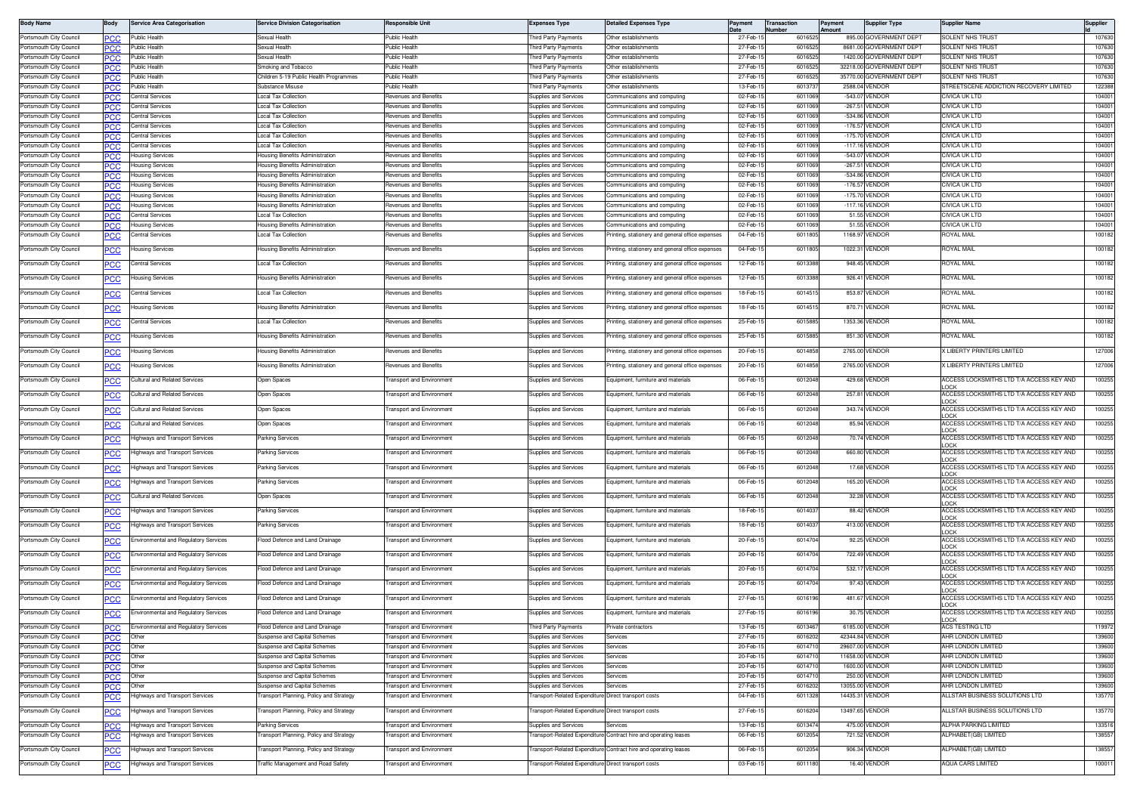| <b>Body Name</b>                                   | Body        | <b>Service Area Categorisation</b>          | <b>Service Division Categorisation</b>                                 | <b>Responsible Unit</b>                                              | <b>Expenses Type</b>                                | <b>Detailed Expenses Type</b>                                    | Paymen               | Transaction<br>Number | Payment<br>Amount | <b>Supplier Type</b>                                | <b>Supplier Name</b>                            | Supplier         |
|----------------------------------------------------|-------------|---------------------------------------------|------------------------------------------------------------------------|----------------------------------------------------------------------|-----------------------------------------------------|------------------------------------------------------------------|----------------------|-----------------------|-------------------|-----------------------------------------------------|-------------------------------------------------|------------------|
| Portsmouth City Council                            |             | Public Health                               | Sexual Health                                                          | Public Health                                                        | hird Party Payments                                 | Other establishments                                             | 27-Feb-1             | 6016525               |                   | 895.00 GOVERNMENT DEPT                              | SOLENT NHS TRUST                                | 107630           |
| Portsmouth City Council                            |             | Public Healt                                | exual Health                                                           | Public Health                                                        | hird Party Payments                                 | Other establishments                                             | 27-Feb-              | 60165                 |                   | 8681.00 GOVERNMENT DEPT                             | <b>SOLENT NHS TRUS</b>                          | 107630           |
| Portsmouth City Council<br>Portsmouth City Council | <b>PCC</b>  | Public Health<br>Public Health              | iexual Health                                                          | Public Health<br>Public Health                                       | hird Party Payments                                 | Other establishments<br>Other establishments                     | 27-Feb-1<br>27-Feb-1 | 601652<br>601652      |                   | 1420.00 GOVERNMENT DEPT<br>32218.00 GOVERNMENT DEPT | SOLENT NHS TRUST<br>SOLENT NHS TRUST            | 107630<br>107630 |
| Portsmouth City Council                            | н ж<br>PCC  | <b>Public Health</b>                        | imoking and Tobacco<br>Children 5-19 Public Health Programmes          | Public Health                                                        | hird Party Payments<br>hird Party Payments          | Other establishments                                             | 27-Feb-1             | 601652                |                   | 35770.00 GOVERNMENT DEPT                            | SOLENT NHS TRUST                                | 107630           |
| Portsmouth City Council                            |             | Public Health                               | Substance Misuse                                                       | Public Health                                                        | hird Party Payments                                 | Other establishments                                             | 13-Feb-1             | 601373                |                   | 2588.04 VENDOR                                      | STREETSCENE ADDICTION RECOVERY LIMITED          | 122388           |
| Portsmouth City Council                            | PCC         | <b>Central Services</b>                     | <b>Local Tax Collection</b>                                            | Revenues and Benefits                                                | Supplies and Services                               | Communications and computing                                     | 02-Feb-1             | 601106                |                   | -543.07 VENDOR                                      | CIVICA UK LTD                                   | 104001           |
| Portsmouth City Council                            |             | Central Services                            | <b>Local Tax Collection</b>                                            | Revenues and Benefits                                                | Supplies and Services                               | Communications and computing                                     | 02-Feb-1             | 601106                | $-267.5$          | VENDOR                                              | CIVICA UK LTD                                   | 104001           |
| Portsmouth City Council                            |             | Central Services                            | ocal Tax Collection                                                    | levenues and Benefits                                                | upplies and Services                                | Communications and computing                                     | 02-Feb-1             | 601106                |                   | -534.86 VENDOR                                      | CIVICA UK LTD                                   | 104001           |
| Portsmouth City Council                            | PCC.        | Central Services                            | ocal Tax Collection                                                    | levenues and Benefits                                                | upplies and Services                                | Communications and computing                                     | 02-Feb-1             | 601106                |                   | -176.57 VENDOR                                      | CIVICA UK LTD                                   | 104001           |
| Portsmouth City Council<br>Portsmouth City Council | PCC         | Central Services<br><b>Central Services</b> | Local Tax Collection<br>Local Tax Collection                           | Revenues and Benefits<br>Revenues and Benefits                       | supplies and Services<br>Supplies and Services      | Communications and computing<br>Communications and computing     | 02-Feb-1<br>02-Feb-1 | 601106<br>601106      |                   | -175.70 VENDOR<br>-117.16 VENDOR                    | CIVICA UK LTD<br>CIVICA UK LTD                  | 104001<br>104001 |
| Portsmouth City Council                            |             | <b>Housing Services</b>                     | Housing Benefits Administration                                        | levenues and Benefits                                                | Supplies and Services                               | Communications and computing                                     | 02-Feb-1             | 601106                |                   | -543.07 VENDOR                                      | CIVICA UK LTD                                   | 104001           |
| Portsmouth City Council                            | PCC         | <b>Housing Services</b>                     | lousing Benefits Administration                                        | Revenues and Benefits                                                | Supplies and Services                               | Communications and computing                                     | 02-Feb-1             | 601106                |                   | -267.51 VENDOR                                      | CIVICA UK LTD                                   | 104001           |
| Portsmouth City Council                            |             | <b>Housing Services</b>                     | Housing Benefits Administration                                        | Revenues and Benefits                                                | Supplies and Services                               | Communications and computing                                     | 02-Feb-1             | 601106                |                   | -534.86 VENDOR                                      | CIVICA UK LTD                                   | 104001           |
| Portsmouth City Council                            | °СС         | <b>Housing Services</b>                     | lousing Benefits Administration                                        | Revenues and Benefits                                                | Supplies and Services                               | Communications and computing                                     | 02-Feb-1             | 601106                |                   | -176.57 VENDOR                                      | CIVICA UK LTD                                   | 104001           |
| Portsmouth City Council                            |             | <b>Housing Services</b>                     | lousing Benefits Administration                                        | Revenues and Benefits<br>evenues and Benefits                        | Supplies and Services                               | Communications and computing                                     | 02-Feb-              | 601106                |                   | -175.70 VENDOR                                      | CIVICA UK LTD                                   | 104001           |
| Portsmouth City Council<br>Portsmouth City Council | PCC         | lousing Services<br>Central Services        | lousing Benefits Administration<br>ocal Tax Collection                 | evenues and Benefits                                                 | upplies and Services<br>upplies and Services        | ommunications and computing<br>Communications and computing      | 02-Feb-1<br>02-Feb-1 | 601106<br>6011069     |                   | -117.16 VENDOR<br>51.55 VENDOR                      | CIVICA UK LTD<br>CIVICA UK LTD                  | 104001<br>104001 |
| Portsmouth City Council                            |             | <b>Housing Services</b>                     | Housing Benefits Administration                                        | tevenues and Benefits                                                | supplies and Services                               | Communications and computing                                     | 02-Feb-              | 601106                |                   | 51.55 VENDOR                                        | CIVICA UK LTD                                   | 104001           |
| Portsmouth City Council                            |             | Central Services                            | Local Tax Collection                                                   | levenues and Benefits                                                | supplies and Services                               | Printing, stationery and general office expenses                 | 04-Feb-1             | 6011805               |                   | 1168.97 VENDOR                                      | <b>ROYAL MAIL</b>                               | 100182           |
| Portsmouth City Council                            |             | Housing Services                            | lousing Benefits Administration                                        | evenues and Benefits                                                 | upplies and Services                                | rinting, stationery and general office expenses                  | 04-Feb-1             | 6011805               |                   | 1022.31 VENDOR                                      | ROYAL MAIL                                      | 100182           |
|                                                    |             |                                             |                                                                        |                                                                      |                                                     |                                                                  |                      |                       |                   |                                                     |                                                 |                  |
| Portsmouth City Council                            |             | Central Services                            | <b>Local Tax Collection</b>                                            | levenues and Benefits                                                | Supplies and Services                               | rinting, stationery and general office expenses                  | 12-Feb-1             | 6013388               |                   | 948.45 VENDOR                                       | ROYAL MAIL                                      | 100182           |
| Portsmouth City Council                            |             | lousing Services                            | lousing Benefits Administration                                        | evenues and Benefits                                                 | upplies and Services                                | rinting, stationery and general office expenses                  | 12-Feb-1             | 601338                | 926.41            | <b>VENDOR</b>                                       | <b>IOYAL MAIL</b>                               | 100182           |
| Portsmouth City Council                            |             | Central Services                            | <b>Local Tax Collection</b>                                            | Revenues and Benefits                                                | <b>Supplies and Services</b>                        | rinting, stationery and general office expenses                  | 18-Feb-1             | 6014515               |                   | 853.87 VENDOR                                       | <b>ROYAL MAIL</b>                               | 100182           |
|                                                    |             |                                             |                                                                        | <b>Revenues and Benefits</b>                                         |                                                     |                                                                  |                      |                       |                   |                                                     | ROYAL MAIL                                      |                  |
| Portsmouth City Council                            | PCC         | <b>Housing Services</b>                     | Housing Benefits Administration                                        |                                                                      | Supplies and Services                               | Printing, stationery and general office expenses                 | 18-Feb-1             | 601451                |                   | 870.71 VENDOR                                       |                                                 | 100182           |
| Portsmouth City Council                            |             | Central Services                            | Local Tax Collection                                                   | evenues and Benefits                                                 | upplies and Services                                | rinting, stationery and general office expenses                  | 25-Feb-1             | 601588                |                   | 1353.36 VENDOR                                      | ROYAL MAIL                                      | 100182           |
| Portsmouth City Council                            | <u>'CC</u>  | <b>Housing Services</b>                     | lousing Benefits Administration                                        | levenues and Benefits                                                | Supplies and Services                               | Printing, stationery and general office expenses                 | 25-Feb-1             | 6015885               |                   | 851.30 VENDOR                                       | ROYAL MAIL                                      | 100182           |
| Portsmouth City Council                            |             | <b>Housing Services</b>                     | lousing Benefits Administration                                        | evenues and Benefits                                                 | upplies and Services                                | rinting, stationery and general office expenses                  | 20-Feb-1             | 6014858               |                   | 2765.00 VENDOR                                      | LIBERTY PRINTERS LIMITED                        | 127006           |
|                                                    | ርር          |                                             |                                                                        |                                                                      |                                                     |                                                                  |                      |                       |                   |                                                     |                                                 |                  |
| Portsmouth City Council                            |             | Housing Services                            | Housing Benefits Administration                                        | levenues and Benefits                                                | Supplies and Services                               | Printing, stationery and general office expenses                 | 20-Feb-1             | 6014858               |                   | 2765.00 VENDOR                                      | X LIBERTY PRINTERS LIMITED                      | 127006           |
| Portsmouth City Council                            | PCC         | Cultural and Related Services               | Open Spaces                                                            | <b>Fransport and Environment</b>                                     | Supplies and Services                               | Equipment, furniture and materials                               | 06-Feb-1             | 601204                |                   | 429.68 VENDOR                                       | ACCESS LOCKSMITHS LTD T/A ACCESS KEY AND        | 100255           |
| Portsmouth City Council                            |             | Cultural and Related Services               | Open Spaces                                                            | ransport and Environment                                             | upplies and Services                                | quipment, furniture and materials                                | 06-Feb-1             | 601204                |                   | 257.81 VENDOR                                       | ACCESS LOCKSMITHS LTD T/A ACCESS KEY AND        | 100255           |
| Portsmouth City Council                            |             | Cultural and Related Services               | Open Spaces                                                            | <b>Transport and Environment</b>                                     | Supplies and Services                               | Equipment, furniture and materials                               | 06-Feb-1             | 6012048               |                   | 343.74 VENDOR                                       | OCK<br>ACCESS LOCKSMITHS LTD T/A ACCESS KEY AND | 100255           |
|                                                    | <u>'CC</u>  |                                             |                                                                        |                                                                      |                                                     |                                                                  |                      |                       |                   |                                                     | OCK                                             |                  |
| Portsmouth City Council                            |             | Cultural and Related Services               | Open Spaces                                                            | ransport and Environment                                             | Supplies and Services                               | Equipment, furniture and materials                               | 06-Feb-1             | 601204                |                   | 85.94 VENDOR                                        | ACCESS LOCKSMITHS LTD T/A ACCESS KEY AND<br>OCK | 100255           |
| Portsmouth City Council                            |             | Highways and Transport Services             | Parking Services                                                       | Fransport and Environment                                            | Supplies and Services                               | Equipment, furniture and materials                               | 06-Feb-1             | 6012048               |                   | 70.74 VENDOR                                        | ACCESS LOCKSMITHS LTD T/A ACCESS KEY AND        | 100255           |
| Portsmouth City Council                            | PСC         | Highways and Transport Services             | Parking Services                                                       | <b>Fransport and Environment</b>                                     | Supplies and Services                               | Equipment, furniture and materials                               | 06-Feb-1             | 601204                |                   | 660.80 VENDOR                                       | OCK<br>ACCESS LOCKSMITHS LTD T/A ACCESS KEY AND | 100255           |
| Portsmouth City Council                            |             | lighways and Transport Services             | arking Services                                                        | ransport and Environment                                             | upplies and Services                                | quipment, furniture and materials                                | 06-Feb-1             | 6012048               |                   | 17.68 VENDOR                                        | OCK<br>ACCESS LOCKSMITHS LTD T/A ACCESS KEY AND | 100255           |
|                                                    | 'СС         |                                             |                                                                        |                                                                      |                                                     |                                                                  |                      |                       |                   |                                                     | OCK                                             |                  |
| Portsmouth City Council                            | יטע         | Highways and Transport Services             | Parking Services                                                       | <b>Transport and Environment</b>                                     | Supplies and Services                               | Equipment, furniture and materials                               | 06-Feb-1             | 6012048               |                   | 165.20 VENDOR                                       | ACCESS LOCKSMITHS LTD T/A ACCESS KEY AND<br>OCK | 100255           |
| Portsmouth City Council                            |             | Cultural and Related Services               | Open Spaces                                                            | ransport and Environment                                             | Supplies and Services                               | Equipment, furniture and materials                               | 06-Feb-1             | 601204                |                   | 32.28 VENDOR                                        | ACCESS LOCKSMITHS LTD T/A ACCESS KEY AND<br>OCK | 100255           |
| Portsmouth City Council                            |             | Highways and Transport Services             | Parking Services                                                       | Fransport and Environment                                            | Supplies and Services                               | Equipment, furniture and materials                               | 18-Feb-1             | 601403                |                   | 88.42 VENDOR                                        | ACCESS LOCKSMITHS LTD T/A ACCESS KEY AND        | 100255           |
| Portsmouth City Council                            |             | Highways and Transport Services             | Parking Services                                                       | <b>Fransport and Environment</b>                                     | Supplies and Services                               | Equipment, furniture and materials                               | 18-Feb-1             | 601403                |                   | 413.00 VENDOR                                       | OCK<br>ACCESS LOCKSMITHS LTD T/A ACCESS KEY AND | 100255           |
|                                                    | PCC         |                                             |                                                                        |                                                                      |                                                     |                                                                  |                      |                       |                   |                                                     | OCK                                             |                  |
| Portsmouth City Council                            | <u> °СС</u> | Environmental and Regulatory Services       | lood Defence and Land Drainage                                         | ransport and Environment                                             | supplies and Services                               | cuipment, furniture and materials                                | 20-Feb-1             | 6014704               |                   | 92.25 VENDOR                                        | ACCESS LOCKSMITHS LTD T/A ACCESS KEY AND<br>OCK | 100255           |
| Portsmouth City Council                            | יטע         | Environmental and Regulatory Services       | lood Defence and Land Drainage                                         | <b>Transport and Environment</b>                                     | Supplies and Services                               | Equipment, furniture and materials                               | 20-Feb-1             | 6014704               |                   | 722.49 VENDOR                                       | ACCESS LOCKSMITHS LTD T/A ACCESS KEY AND        | 100255           |
| Portsmouth City Council                            | <u>CC </u>  | Environmental and Regulatory Services       | lood Defence and Land Drainage                                         | ransport and Environment                                             | Supplies and Services                               | Equipment, furniture and materials                               | 20-Feb-1             | 6014704               | 532.17            | VENDOR                                              | OCK<br>ACCESS LOCKSMITHS LTD T/A ACCESS KEY AND | 100255           |
| Portsmouth City Council                            |             | Environmental and Regulatory Services       | Flood Defence and Land Drainage                                        | <b>Fransport and Environment</b>                                     | Supplies and Services                               | Equipment, furniture and materials                               | 20-Feb-1             | 6014704               |                   | 97.43 VENDOR                                        | nck<br>ACCESS LOCKSMITHS LTD T/A ACCESS KEY AND | 100255           |
|                                                    |             |                                             |                                                                        |                                                                      |                                                     |                                                                  |                      |                       |                   |                                                     | OCK                                             |                  |
| Portsmouth City Council                            |             | Environmental and Regulatory Services       | lood Defence and Land Drainage                                         | <b>Fransport and Environment</b>                                     | Supplies and Services                               | Equipment, furniture and materials                               | 27-Feb-              | 601619                |                   | 481.67 VENDOR                                       | ACCESS LOCKSMITHS LTD T/A ACCESS KEY AND<br>OCK | 100255           |
| Portsmouth City Council                            | <u>CC</u>   | Environmental and Regulatory Services       | lood Defence and Land Drainage                                         | ransport and Environment                                             | upplies and Services                                | cuipment, furniture and materials                                | 27-Feb-1             | 6016196               |                   | 30.75 VENDOR                                        | ACCESS LOCKSMITHS LTD T/A ACCESS KEY AND        | 100255           |
| Portsmouth City Council                            |             | Environmental and Regulatory Services       | Flood Defence and Land Drainage                                        | Transport and Environment                                            | Third Party Payments                                | Private contractors                                              | 13-Feb-15            | 6013467               |                   | 6185.00 VENDOR                                      | ACS TESTING LTD                                 | 119972           |
| Portsmouth City Council                            | PCC         | Other                                       | uspense and Capital Schemes                                            | <b>Transport and Environment</b>                                     | upplies and Services                                | iervices                                                         | 27-Feb-1             | 6016202               |                   | 42344.84 VENDOR                                     | AHR LONDON LIMITED                              | 139600           |
| Portsmouth City Council                            | <b>PCC</b>  | Other                                       | suspense and Capital Schemes                                           | <b>Transport and Environment</b>                                     | Supplies and Services                               | Services                                                         | 20-Feb-1             | 601471                |                   | 29607.00 VENDOR                                     | AHR LONDON LIMITED                              | 139600           |
| Portsmouth City Council                            | PCC         | Other                                       | Suspense and Capital Schemes                                           | <b>Fransport and Environment</b>                                     | Supplies and Services                               | iervices                                                         | 20-Feb-1             | 601471                |                   | 11658.00 VENDOR                                     | AHR LONDON LIMITED                              | 139600           |
| Portsmouth City Council                            | PCC         | Other                                       | Suspense and Capital Schemes                                           | <b>Fransport and Environment</b>                                     | Supplies and Services                               | Services                                                         | 20-Feb-1             | 6014710               |                   | 1600.00 VENDOR                                      | AHR LONDON LIMITED                              | 139600           |
| Portsmouth City Council<br>Portsmouth City Council | PCC         | Other                                       | Suspense and Capital Schemes                                           | <b>Transport and Environment</b>                                     | Supplies and Services<br>Supplies and Services      | Services<br>Services                                             | 20-Feb-1<br>27-Feb-1 | 601471<br>6016202     |                   | 250.00 VENDOR<br>13055.00 VENDOR                    | AHR LONDON LIMITED<br>AHR LONDON LIMITED        | 139600<br>139600 |
| Portsmouth City Council                            | PCC         | Other<br>lighways and Transport Services    | Suspense and Capital Schemes<br>ransport Planning, Policy and Strategy | <b>Transport and Environment</b><br><b>Transport and Environment</b> | ransport-Related Expenditure Direct transport costs |                                                                  | 04-Feb-1             | 6011328               |                   | 14435.31 VENDOR                                     | ALLSTAR BUSINESS SOLUTIONS LTD                  | 135770           |
|                                                    | <u>CC </u>  |                                             |                                                                        |                                                                      |                                                     |                                                                  |                      |                       |                   |                                                     |                                                 |                  |
| Portsmouth City Council                            | <u>PCC</u>  | <b>Highways and Transport Services</b>      | ransport Planning, Policy and Strategy                                 | <b>Fransport and Environment</b>                                     | ransport-Related Expenditure Direct transport costs |                                                                  | 27-Feb-1             | 601620                |                   | 13497.65 VENDOR                                     | ALLSTAR BUSINESS SOLUTIONS LTD                  | 135770           |
| Portsmouth City Council                            | PCC         | Highways and Transport Services             | Parking Services                                                       | <b>Fransport and Environment</b>                                     | Supplies and Services                               | Services                                                         | 13-Feb-1             | 6013474               |                   | 475.00 VENDOR                                       | ALPHA PARKING LIMITED                           | 133516           |
| Portsmouth City Council                            | <u>PCC</u>  | Highways and Transport Services             | ransport Planning, Policy and Strategy                                 | <b>Transport and Environment</b>                                     |                                                     | ransport-Related Expenditure Contract hire and operating leases  | 06-Feb-1             | 6012054               |                   | 721.52 VENDOR                                       | ALPHABET(GB) LIMITED                            | 138557           |
| Portsmouth City Council                            | <u>PCC</u>  | Highways and Transport Services             | ransport Planning, Policy and Strategy                                 | <b>Fransport and Environment</b>                                     |                                                     | Fransport-Related Expenditure Contract hire and operating leases | 06-Feb-1             | 601205                |                   | 906.34 VENDOR                                       | ALPHABET(GB) LIMITED                            | 138557           |
| Portsmouth City Council                            | <b>CC</b>   | Highways and Transport Services             | raffic Management and Road Safety                                      | <b>Transport and Environment</b>                                     | ransport-Related Expenditure Direct transport costs |                                                                  | 03-Feb-1             | 6011180               |                   | 16.40 VENDOR                                        | <b>AQUA CARS LIMITED</b>                        | 100011           |
|                                                    |             |                                             |                                                                        |                                                                      |                                                     |                                                                  |                      |                       |                   |                                                     |                                                 |                  |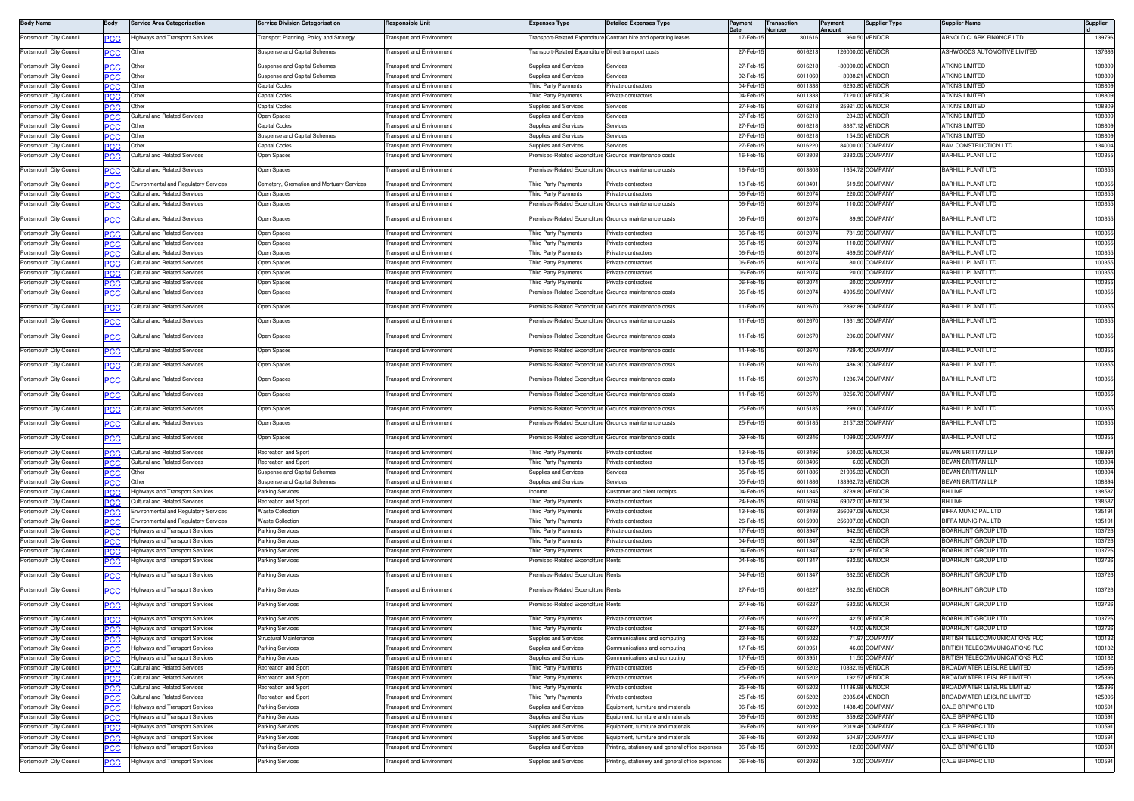| <b>Body Name</b>                                   | Body                     | Service Area Categorisation                                               | ervice Division Categorisation                              | Responsible Unit                                                     | <b>Expenses Type</b>                                       | etailed Expenses Type                                                  | Payment              | Transaction<br>lumber | Payment<br>Amount | <b>Supplier Type</b>               | Supplier Name                                        | Supplier         |
|----------------------------------------------------|--------------------------|---------------------------------------------------------------------------|-------------------------------------------------------------|----------------------------------------------------------------------|------------------------------------------------------------|------------------------------------------------------------------------|----------------------|-----------------------|-------------------|------------------------------------|------------------------------------------------------|------------------|
| ortsmouth City Council                             | PCC                      | lighways and Transport Services                                           | ransport Planning, Policy and Strategy                      | ransport and Environment                                             |                                                            | ransport-Related Expenditure Contract hire and operating leases        | $17-Feb-$            | 301616                |                   | 960.50 VENDOR                      | <b>IRNOLD CLARK FINANCE LTD</b>                      | 139796           |
| Portsmouth City Council                            | <u>PCC</u>               | Other                                                                     | uspense and Capital Schemes                                 | ransport and Environment                                             | ransport-Related Expenditure Direct transport costs        |                                                                        | 27-Feb-              | 601621                |                   | 126000.00 VENDOR                   | <b>ISHWOODS AUTOMOTIVE LIMITED</b>                   | 137686           |
|                                                    |                          |                                                                           |                                                             |                                                                      |                                                            |                                                                        | 27-Feb-1             | 60162                 |                   | -30000.00 VENDOR                   | <b>ITKINS LIMITED</b>                                | 108809           |
| Portsmouth City Council<br>Portsmouth City Council | PCC<br>PCC               | Other<br>Other                                                            | uspense and Capital Schemes<br>Suspense and Capital Schemes | ransport and Environment<br><b>Fransport and Environment</b>         | Supplies and Services<br>upplies and Services              | ervices<br>ervices                                                     | 02-Feb-1             | 6011060               |                   | 3038.21 VENDOR                     | <b>ITKINS I IMITED</b>                               | 108809           |
| Portsmouth City Council                            | PСC                      | Othe                                                                      | Capital Codes                                               | <b>Fransport and Environment</b>                                     | hird Party Payments                                        | rivate contractors                                                     | 04-Feb-1             | 6011338               |                   | 6293.80 VENDOR                     | <b>TKINS LIMITED</b>                                 | 108809           |
| Portsmouth City Council                            | PCC.                     | Other                                                                     | Capital Codes                                               | <b>Transport and Environment</b>                                     | hird Party Payments                                        | rivate contractors                                                     | 04-Feb-1             | 6011338               |                   | 7120.00 VENDOR                     | <b>ITKINS LIMITED</b>                                | 108809           |
| ortsmouth City Council                             | PCC                      | Othe                                                                      | Capital Codes                                               | ransport and Environment                                             | Supplies and Services                                      | ervices                                                                | 27-Feb-              | 60162                 |                   | 25921.00 VENDOR                    | <b>TKINS LIMITED</b>                                 | 108809           |
| ortsmouth City Council                             | PСC                      | Cultural and Related Services                                             | pen Spaces                                                  | ransport and Environment                                             | upplies and Services                                       | ervices                                                                | 27-Feb-              | 60162                 |                   | 234.33 VENDOR                      | <b>ITKINS LIMITED</b>                                | 108809           |
| Portsmouth City Council                            | <b>PCC</b>               |                                                                           | Capital Codes                                               | ransport and Environment                                             | supplies and Services                                      | ervices                                                                | 27-Feb-1             | 601621                |                   | 8387.12 VENDOR                     | <b>ITKINS LIMITED</b>                                | 108809           |
| Portsmouth City Council<br>Portsmouth City Council | PCC<br>PCC               | Othe<br>Other                                                             | uspense and Capital Schemes<br>Capital Codes                | ransport and Environment<br><b>Fransport and Environment</b>         | supplies and Services<br>Supplies and Services             | ervice:<br>ervices                                                     | 27-Feb-1<br>27-Feb-  | 601621<br>601622      |                   | 154.50 VENDOR<br>84000.00 COMPANY  | <b>ITKINS LIMITED</b><br><b>BAM CONSTRUCTION LTD</b> | 108809<br>134004 |
| 'ortsmouth City Council                            | <u>.cc</u>               | ultural and Related Services                                              | pen Spaces                                                  | ransport and Environment                                             | emises-Related Expenditure                                 | irounds maintenance costs                                              | 16-Feb-1             | 6013808               |                   | 2382.05 COMPANY                    | <b>BARHILL PLANT LTD</b>                             | 100355           |
| Portsmouth City Council                            | PCC                      | Cultural and Related Services                                             | <b>Open Spaces</b>                                          | <b>Transport and Environment</b>                                     | remises-Related Expenditure Grounds maintenance costs      |                                                                        | 16-Feb-1             | 6013808               |                   | 1654.72 COMPANY                    | <b>BARHILL PLANT LTD</b>                             | 100355           |
| Portsmouth City Counci                             | PCC                      | Environmental and Regulatory Services                                     | lemetery, Cremation and Mortuary Services                   | ransport and Environment                                             | hird Party Payments                                        | rivate contractors                                                     | 13-Feb-1             | 601349                |                   | 519.50 COMPANY                     | <b>BARHILL PLANT LTD</b>                             | 100355           |
| Portsmouth City Council                            | PCC.                     | Cultural and Related Services                                             | Jpen Spaces                                                 | ransport and Environment                                             | hird Party Payments                                        | rivate contractors                                                     | 06-Feb-1             | 601207                |                   | 220.00 COMPANY                     | <b>BARHILL PLANT LTD</b>                             | 100355           |
| ortsmouth City Council                             | эсс                      | ultural and Related Services                                              | Jpen Spaces                                                 | ransport and Environment                                             | remises-Related Expenditure                                | irounds maintenance costs                                              | 06-Feb-1             | 601207                |                   | 110.00 COMPANY                     | <b>BARHILL PLANT LTD</b>                             | 100355           |
| Portsmouth City Council                            | PCC                      | Cultural and Related Services                                             | Open Spaces                                                 | ransport and Environment                                             | remises-Related Expenditure Grounds maintenance costs      |                                                                        | 06-Feb-1             | 601207                |                   | 89.90 COMPANY                      | <b>BARHILL PLANT LTD</b>                             | 100355           |
| Portsmouth City Council                            | PCC                      | Cultural and Related Services                                             | pen Spaces                                                  | ransport and Environment                                             | hird Party Payments                                        | rivate contractors                                                     | 06-Feb-1             | 601207                |                   | 781.90 COMPANY                     | <b>BARHILL PLANT LTD</b>                             | 100355           |
| Portsmouth City Council                            | <b>PCC</b>               | Cultural and Related Services                                             | Open Spaces                                                 | ransport and Environment                                             | hird Party Payments                                        | rivate contractors                                                     | 06-Feb-1             | 601207                |                   | 110.00 COMPANY                     | BARHILL PLANT LTD                                    | 100355           |
| ortsmouth City Council                             | ecc                      | <b>Cultural and Related Services</b>                                      | pen Spaces                                                  | ransport and Environment                                             | hird Party Payments                                        | ivate contractors                                                      | 06-Feb-1             | 601207                |                   | 469.50 COMPANY                     | BARHILL PLANT LTD                                    | 100355           |
| Portsmouth City Council                            | PCC                      | Cultural and Related Services                                             | Jpen Spaces                                                 | <b>Fransport and Environment</b>                                     | hird Party Payments                                        | rivate contractors                                                     | 06-Feb-1             | 601207                |                   | 80.00 COMPANY                      | <b>BARHILL PLANT LTD</b>                             | 100355           |
| Portsmouth City Council<br>Portsmouth City Council | PCC                      | Cultural and Related Services<br><b>Cultural and Related Services</b>     | )pen Spaces<br>Open Spaces                                  | <b>Fransport and Environment</b><br><b>Transport and Environment</b> | hird Party Payments<br>hird Party Payments                 | rivate contractors<br>rivate contractors                               | 06-Feb-1<br>06-Feb-1 | 601207<br>601207      |                   | 20.00 COMPANY<br>20.00 COMPANY     | BARHILL PLANT LTD<br><b>BARHILL PLANT LTD</b>        | 100355<br>100355 |
| Portsmouth City Council                            | PCC<br>°СС               | ultural and Related Services                                              | <b>Open Spaces</b>                                          | ransport and Environment                                             | remises-Related Expenditure                                | Grounds maintenance costs                                              | 06-Feb-1             | 601207                |                   | 4995.50 COMPANY                    | <b>BARHILL PLANT LTD</b>                             | 100355           |
|                                                    |                          |                                                                           |                                                             |                                                                      |                                                            |                                                                        |                      |                       |                   |                                    |                                                      | 100355           |
| Portsmouth City Council<br>Portsmouth City Council | PCC                      | Cultural and Related Services<br><b>Cultural and Related Services</b>     | Open Spaces<br>)pen Spaces                                  | <b>Fransport and Environment</b><br>ransport and Environment         | remises-Related Expenditure<br>remises-Related Expenditure | Grounds maintenance costs<br>irounds maintenance costs                 | 11-Feb-1<br>11-Feb-1 | 601267<br>6012670     |                   | 2892.86 COMPANY<br>1361.90 COMPANY | <b>BARHILL PLANT LTD</b><br><b>BARHILL PLANT LTD</b> | 100355           |
| Portsmouth City Council                            | <u>PCC</u><br><b>PCC</b> | Cultural and Related Services                                             | Open Spaces                                                 | ransport and Environment                                             | remises-Related Expenditure Grounds maintenance costs      |                                                                        | 11-Feb-1             | 6012670               |                   | 206.00 COMPANY                     | <b>BARHILL PLANT LTD</b>                             | 100355           |
| Portsmouth City Council                            | <u>PCC</u>               | Cultural and Related Services                                             | Open Spaces                                                 | ransport and Environment                                             |                                                            | remises-Related Expenditure Grounds maintenance costs                  | 11-Feb-1             | 601267                |                   | 729.40 COMPANY                     | BARHILL PLANT LTD                                    | 100355           |
| Portsmouth City Council                            | эсс                      | Cultural and Related Services                                             | <b>Open Spaces</b>                                          | <b>Transport and Environment</b>                                     | remises-Related Expenditure                                | Grounds maintenance costs                                              | 11-Feb-1             | 601267                |                   | 486.30 COMPANY                     | BARHILL PLANT LTD                                    | 100355           |
| ortsmouth City Council?                            | PCC                      | Cultural and Related Services                                             | Open Spaces                                                 | <b>Transport and Environment</b>                                     | remises-Related Expenditure                                | Grounds maintenance costs                                              | 11-Feb-1             | 601267                |                   | 1286.74 COMPANY                    | <b>BARHILL PLANT LTD</b>                             | 100355           |
| ortsmouth City Council                             | °СС                      | <b>Cultural and Related Services</b>                                      | pen Spaces                                                  | ransport and Environment                                             | remises-Related Expenditure                                | irounds maintenance costs                                              | 11-Feb-1             | 601267                |                   | 3256.70 COMPANY                    | <b>BARHILL PLANT LTD</b>                             | 100355           |
| ortsmouth City Council                             | <u>PCC</u>               | Cultural and Related Services                                             | Open Spaces                                                 | ransport and Environment                                             | remises-Related Expenditure                                | Grounds maintenance costs                                              | 25-Feb-1             | 6015185               |                   | 299.00 COMPANY                     | BARHILL PLANT LTD                                    | 100355           |
| ortsmouth City Council                             | PCC                      | Cultural and Related Services                                             | pen Spaces                                                  | ransport and Environment                                             | remises-Related Expenditure                                | Grounds maintenance costs                                              | 25-Feb-              | 601518                |                   | 2157.33 COMPANY                    | BARHILL PLANT LTD                                    | 100355           |
| Portsmouth City Council                            | PСC                      | Cultural and Related Services                                             | <b>Open Spaces</b>                                          | <b>Transport and Environment</b>                                     | remises-Related Expenditure                                | Grounds maintenance costs                                              | 09-Feb-1             | 6012346               |                   | 1099.00 COMPANY                    | <b>BARHILL PLANT LTD</b>                             | 100355           |
| ortsmouth City Council?                            | <b>PCC</b>               | Cultural and Related Services                                             | lecreation and Sport                                        | <b>Fransport and Environment</b>                                     | hird Party Payments                                        | rivate contractors                                                     | 13-Feb-1             | 6013496               |                   | 500.00 VENDOR                      | BEVAN BRITTAN LLP                                    | 108894           |
| Portsmouth City Council                            | PCC                      | <b>Cultural and Related Services</b>                                      | Recreation and Spor                                         | <b>Fransport and Environment</b>                                     | 'hird Party Payments                                       | 'rivate contractors                                                    | 13-Feb-1             | 601349                |                   | 6.00 VENDOR                        | <b>BEVAN BRITTAN LLP</b>                             | 108894           |
| ortsmouth City Council                             | PCC                      | Other                                                                     | uspense and Capital Schemes                                 | ransport and Environment                                             | Supplies and Services                                      | services                                                               | 05-Feb-              | 601188                |                   | 21905.33 VENDOR                    | BEVAN BRITTAN LLP                                    | 108894           |
| Portsmouth City Council<br>ortsmouth City Council  | °СС                      | Other<br>Highways and Transport Services                                  | uspense and Capital Schemes<br>arking Services              | ransport and Environment<br>ransport and Environment                 | Supplies and Services<br>acome                             | Services<br>ustomer and client receipts                                | 05-Feb-1<br>04-Feb-1 | 6011886<br>601134     |                   | 133962.73 VENDOR<br>3739.80 VENDOR | <b>BEVAN BRITTAN LLP</b><br><b>SH LIVE</b>           | 108894<br>138587 |
| Portsmouth City Council                            | PCC<br>PCC               | Cultural and Related Services                                             | Recreation and Sport                                        | ransport and Environment                                             | hird Party Payments                                        | rivate contractors                                                     | 24-Feb-1             | 601509                |                   | 69072.00 VENDOR                    | <b>BH LIVE</b>                                       | 138587           |
| ortsmouth City Council                             | PCC                      | nvironmental and Regulatory Services                                      | Vaste Collection                                            | ransport and Environment                                             | hird Party Payments                                        | ivate contractors                                                      | 13-Feb-1             | 601349                |                   | 256097.08 VENDOR                   | <b>SIFFA MUNICIPAL LTD</b>                           | 135191           |
| Portsmouth City Council                            | PCC.                     | Environmental and Regulatory Services                                     | Vaste Collection                                            | ransport and Environment                                             | hird Party Payments                                        | rivate contractors                                                     | 26-Feb-1             | 601599                |                   | 256097.08 VENDOR                   | BIFFA MUNICIPAL LTD                                  | 135191           |
| Portsmouth City Council                            | PCC                      | Highways and Transport Services                                           | Parking Services                                            | <b>Fransport and Environment</b>                                     | hird Party Payments                                        | rivate contractors                                                     | 17-Feb-1             | 6013947               |                   | 942.50 VENDOR                      | <b>BOARHUNT GROUP LTD</b>                            | 103726           |
| Portsmouth City Council                            | PCC                      | Highways and Transport Services                                           | Parking Services                                            | <b>Fransport and Environment</b>                                     | hird Party Payments                                        | rivate contractors                                                     | 04-Feb-1             | 601134                |                   | 42.50 VENDOR                       | BOARHUNT GROUP LTD                                   | 103726           |
| Portsmouth City Council                            | ∍сс                      | <b>Highways and Transport Services</b>                                    | Parking Services                                            | ransport and Environment<br>ransport and Environment                 | hird Party Payments<br>remises-Related Expenditure         | rivate contractors                                                     | 04-Feb-<br>04-Feb-   | 601134                |                   | 42.50 VENDOR                       | BOARHUNT GROUP LTD<br><b>BOARHUNT GROUP LTD</b>      | 103726<br>103726 |
| Portsmouth City Council                            | PCC                      | Highways and Transport Services                                           | arking Services                                             |                                                                      |                                                            | lents                                                                  |                      | 601134                |                   | 632.50 VENDOR                      |                                                      |                  |
| Portsmouth City Council                            | <u>PCC</u>               | lighways and Transport Services                                           | Parking Services                                            | <b>Transport and Environment</b>                                     | remises-Related Expenditur                                 | ents                                                                   | 04-Feb-1             | 601134                |                   | 632.50 VENDOR                      | BOARHUNT GROUP LTD                                   | 103726           |
| Portsmouth City Council                            | PCC                      | Highways and Transport Services                                           | arking Services                                             | <b>Transport and Environment</b>                                     | remises-Related Expenditure                                | lents                                                                  | 27-Feb-1             | 601622                |                   | 632.50 VENDOR                      | BOARHUNT GROUP LTD                                   | 103726           |
| Portsmouth City Council                            | <u>PCC</u>               | <b>Highways and Transport Services</b>                                    | arking Services                                             | ransport and Environment                                             | remises-Related Expenditure                                | ents                                                                   | 27-Feb-1             | 601622                |                   | 632.50 VENDOR                      | <b>BOARHUNT GROUP LTD</b>                            | 103726           |
| Portsmouth City Council                            | <b>PCC</b>               | Highways and Transport Services                                           | Parking Services                                            | <b>Fransport and Environment</b>                                     | Third Party Payments                                       | rivate contractors                                                     | 27-Feb-1             | 6016227               |                   | 42.50 VENDOR                       | <b>BOARHUNT GROUP LTD</b>                            | 103726           |
| Portsmouth City Council<br>Portsmouth City Council | PCC.                     | Highways and Transport Services<br><b>Highways and Transport Services</b> | arking Services<br>tructural Maintenance                    | <b>Transport and Environment</b><br>ransport and Environment         | hird Party Payments<br>upplies and Services                | rivate contractors<br>ommunications and computing                      | 27-Feb-1<br>23-Feb-1 | 601622<br>6015022     |                   | 44.00 VENDOR<br>71.97 COMPANY      | BOARHUNT GROUP LTD<br>BRITISH TELECOMMUNICATIONS PLC | 103726<br>100132 |
| Portsmouth City Council                            | PCC.<br>PCC              | <b>Highways and Transport Services</b>                                    | arking Services                                             | ransport and Environment                                             | upplies and Services                                       | ommunications and computing                                            | 17-Feb-1             | 601395                |                   | 46.00 COMPANY                      | BRITISH TELECOMMUNICATIONS PLC                       | 100132           |
| Portsmouth City Council                            | PCC                      | Highways and Transport Services                                           | Parking Services                                            | <b>Fransport and Environment</b>                                     | Supplies and Services                                      | ommunications and computing                                            | 17-Feb-1             | 601395                |                   | 11.50 COMPANY                      | BRITISH TEI FCOMMUNICATIONS PLC                      | 100132           |
| Portsmouth City Council                            | ℃С                       | Cultural and Related Services                                             | Recreation and Sport                                        | <b>Fransport and Environment</b>                                     | hird Party Payments                                        | rivate contractors                                                     | 25-Feb-1             | 6015202               |                   | 10832.19 VENDOR                    | <b>BROADWATER LEISURE LIMITED</b>                    | 125396           |
| Portsmouth City Council                            | PCC                      | Cultural and Related Services                                             | lecreation and Sport                                        | <b>Transport and Environment</b>                                     | hird Party Payments                                        | rivate contractors                                                     | 25-Feb-1             | 601520                |                   | 192.57 VENDOR                      | BROADWATER LEISURE LIMITED                           | 125396           |
| Portsmouth City Council                            | ℃С                       | Cultural and Related Services                                             | Recreation and Sport                                        | <b>Transport and Environment</b>                                     | hird Party Payments                                        | rivate contractors                                                     | 25-Feb-1             | 601520                |                   | 11186.98 VENDOR                    | BROADWATER LEISURE LIMITED                           | 125396           |
| ortsmouth City Council                             | °CC                      | Cultural and Related Services                                             | Recreation and Sport                                        | ransport and Environment                                             | hird Party Payments                                        | rivate contractors                                                     | 25-Feb-              | 6015202               |                   | 2035.64 VENDOR                     | BROADWATER LEISURE LIMITED                           | 125396           |
| Portsmouth City Council<br>Portsmouth City Council | PCC                      | Highways and Transport Services<br>lighways and Transport Services        | Parking Services<br>arking Services                         | ransport and Environment<br>ransport and Environment                 | <b>Supplies and Services</b><br>upplies and Services       | quipment, furniture and materials<br>quipment, furniture and materials | 06-Feb-<br>06-Feb-1  | 6012092<br>6012092    |                   | 1438.49 COMPANY<br>359.62 COMPANY  | ALE BRIPARC LTD<br>ALE BRIPARC LTD                   | 100591<br>100591 |
| Portsmouth City Council                            | PСC<br>PCC.              | <b>Highways and Transport Services</b>                                    | arking Services                                             | ransport and Environment                                             | upplies and Services                                       | quipment, furniture and materials                                      | 06-Feb-1             | 601209                |                   | 2019.48 COMPANY                    | CALE BRIPARC LTD                                     | 100591           |
| 'ortsmouth City Council                            | PCC                      | Highways and Transport Services                                           | Parking Services                                            | ransport and Environment                                             | upplies and Services                                       | quipment, furniture and materials                                      | 06-Feb-              | 601209                |                   | 504.87 COMPANY                     | CALE BRIPARC LTD                                     | 100591           |
| Portsmouth City Council                            | эсс                      | Highways and Transport Services                                           | Parking Services                                            | ransport and Environment                                             | supplies and Services                                      | rinting, stationery and general office expenses                        | 06-Feb-              | 601209                |                   | 12.00 COMPANY                      | CALE BRIPARC LTD                                     | 100591           |
| ortsmouth City Council                             | <u>PCC</u>               | Highways and Transport Services                                           | Parking Services                                            | ransport and Environment                                             | upplies and Services                                       | rinting, stationery and general office expenses                        | 06-Feb-1             | 6012092               |                   | 3.00 COMPANY                       | CALE BRIPARC LTD                                     | 100591           |
|                                                    |                          |                                                                           |                                                             |                                                                      |                                                            |                                                                        |                      |                       |                   |                                    |                                                      |                  |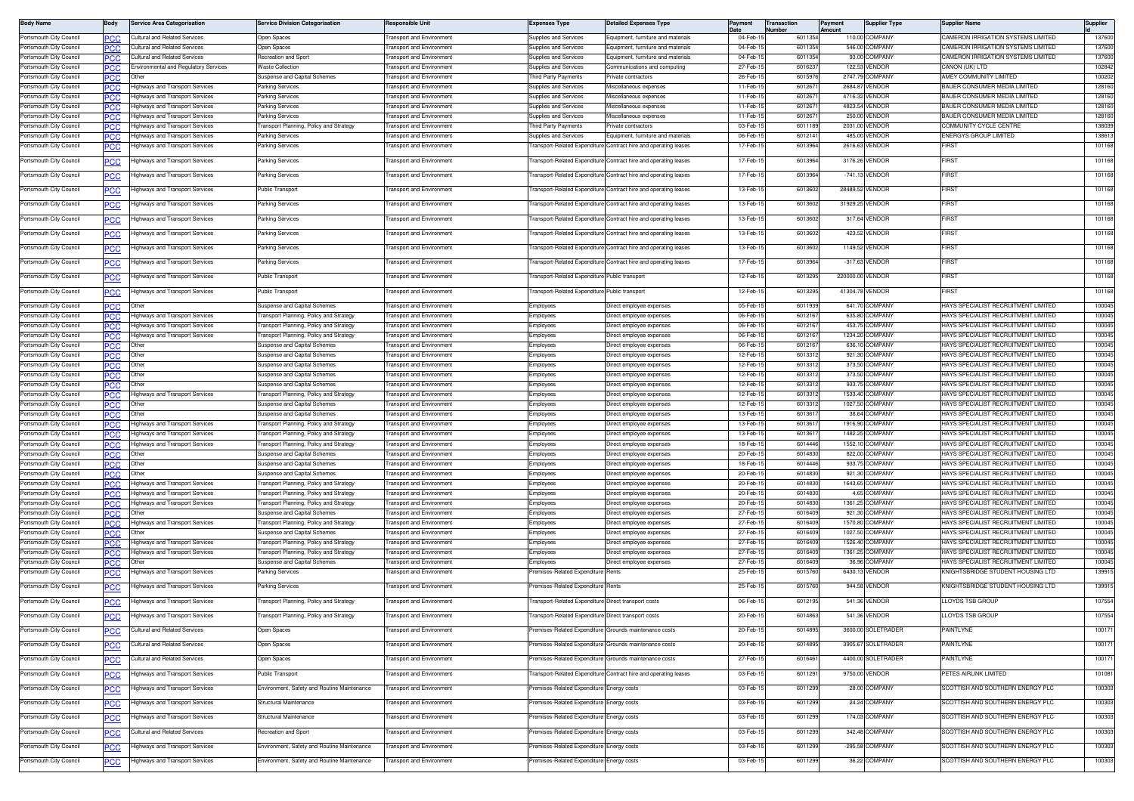| <b>Body Name</b>                                   | Body        | <b>Service Area Categorisation</b>                                        | <b>Service Division Categorisation</b>                                 | <b>Responsible Unit</b>                             | Expenses Type                                         | Detailed Expenses Type                                          | Pavment              | <b>Transaction</b><br>Number | Payment<br>Amount | <b>Supplier Type</b>      | Supplier Name                                                              | Supplier         |
|----------------------------------------------------|-------------|---------------------------------------------------------------------------|------------------------------------------------------------------------|-----------------------------------------------------|-------------------------------------------------------|-----------------------------------------------------------------|----------------------|------------------------------|-------------------|---------------------------|----------------------------------------------------------------------------|------------------|
| Portsmouth City Council                            | °СС         | Cultural and Related Services                                             | Open Spaces                                                            | ransport and Environment                            | Supplies and Services                                 | Equipment, furniture and materials                              | 04-Feb-              | 601135                       |                   | 110.00 COMPANY            | CAMERON IRRIGATION SYSTEMS LIMITED                                         | 137600           |
| Portsmouth City Council                            | °CC         | Cultural and Related Services                                             | <b>Den Spaces</b>                                                      | ransport and Environment                            | Supplies and Services                                 | Equipment, furniture and materials                              | 04-Feb-1             | 601135                       | 546.00            | COMPANY                   | CAMERON IRRIGATION SYSTEMS LIMITED                                         | 137600           |
| ortsmouth City Council                             |             | <b>Cultural and Related Services</b>                                      | ecreation and Spor                                                     | ansport and Environmen                              | upplies and Services                                  | Equipment, furniture and materials                              | 04-Feb-              | 601135                       | 93.0              | <b>COMPANY</b>            | CAMERON IRRIGATION SYSTEMS LIMITED                                         | 137600           |
| ortsmouth City Council                             | °CC         | Environmental and Regulatory Services                                     | Vaste Collection                                                       | ransport and Environment                            | upplies and Services                                  | Communications and computing                                    | 27-Feb-1             | 601623                       | 122.5             | <b>ENDOR</b>              | ANON (UK) LTD                                                              | 102842           |
| ortsmouth City Council<br>Portsmouth City Council  | PCC.        |                                                                           | uspense and Capital Schemes                                            | ransport and Environment                            | hird Party Payments                                   | rivate contractors                                              | 26-Feb-              | 601597                       | 2747.79           | COMPANY                   | AMEY COMMUNITY LIMITED                                                     | 100202           |
| Portsmouth City Council                            | .CC<br>PCC. | Highways and Transport Services<br><b>Highways and Transport Services</b> | Parking Services<br>Parking Services                                   | ansport and Environmer<br>ransport and Environmen   | upplies and Services<br>supplies and Services         | Miscellaneous expense:<br>Miscellaneous expenses                | 11-Feb-<br>11-Feb-1  | 60126<br>60126               | 2684.8<br>4716.32 | <b>ENDOR</b><br>VENDOR    | BAUER CONSUMER MEDIA LIMITED<br>BAUER CONSUMER MEDIA LIMITED               | 128160<br>128160 |
| 'ortsmouth City Council                            | המי         | Highways and Transport Services                                           | Parking Services                                                       | ransport and Environmen                             | supplies and Services                                 | liscellaneous expenses                                          | 11-Feb-              | 60126                        | 4823.5            | VENDOR                    | BAUER CONSUMER MEDIA LIMITED                                               | 128160           |
| Portsmouth City Council                            | PCC         | Highways and Transport Services                                           | Parking Services                                                       | ransport and Environment                            | supplies and Services                                 | Miscellaneous expenses                                          | 11-Feb-1             | 601267                       | 250.00            | VENDOR                    | BAUER CONSUMER MEDIA LIMITED                                               | 128160           |
| Portsmouth City Council                            | сc          | <b>Highways and Transport Services</b>                                    | <b>Transport Planning, Policy and Strategy</b>                         | ransport and Environment                            | hird Party Payments                                   | Private contractors                                             | 03-Feb-1             | 601118                       | 2031.00           | VENDOR                    | COMMUNITY CYCLE CENTRE                                                     | 138039           |
| Portsmouth City Council                            | °CC         | <b>Highways and Transport Services</b>                                    | Parking Services                                                       | ransport and Environment                            | upplies and Services                                  | Equipment, furniture and materials                              | 06-Feb-1             | 601214                       | 485.00            | VENDOR                    | <b>INERGYS GROUP LIMITED</b>                                               | 138613           |
| ortsmouth City Council                             | °СС         | lighways and Transport Services                                           | arking Services                                                        | ransport and Environmen                             | ransport-Related Expenditure                          | Contract hire and operating leases                              | 17-Feb-1             | 601396                       | 2616.63           | <b>ENDOR</b>              | <b>IRS</b>                                                                 | 101168           |
| ortsmouth City Council                             | °СС         | Highways and Transport Services                                           | Parking Services                                                       | ansport and Environment                             |                                                       | ransport-Related Expenditure Contract hire and operating leases | 17-Feb-              | 601396                       |                   | 3176.26 VENDOR            | <b>IRST</b>                                                                | 101168           |
| 'ortsmouth City Council                            | °СС         | Highways and Transport Services                                           | Parking Services                                                       | ransport and Environment                            |                                                       | ransport-Related Expenditure Contract hire and operating leases | 17-Feb-1             | 6013964                      |                   | -741.13 VENDOR            | <b>IRST</b>                                                                | 101168           |
| Portsmouth City Council                            | <u>PCC</u>  | Highways and Transport Services                                           | Public Transport                                                       | ransport and Environment                            |                                                       | ransport-Related Expenditure Contract hire and operating leases | 13-Feb-1             | 601360                       |                   | 28489.52 VENDOR           | FIRST                                                                      | 101168           |
| ortsmouth City Council                             | сc          | lighways and Transport Services                                           | arking Services                                                        | ansport and Environmen                              |                                                       | ansport-Related Expenditure Contract hire and operating leases  | 13-Feb-              | 601360                       | 31929.2           | <b>VENDOF</b>             | irs1                                                                       | 101168           |
| ortsmouth City Council                             | <b>PCC</b>  | lighways and Transport Services                                           | Parking Services                                                       | ransport and Environment                            |                                                       | ransport-Related Expenditure Contract hire and operating leases | 13-Feb-1             | 601360                       |                   | 317.64 VENDOR             | <b>IRST</b>                                                                | 101168           |
| 'ortsmouth City Council                            | эсс         | Highways and Transport Services                                           | Parking Services                                                       | ransport and Environment                            | ransport-Related Expenditure                          | Contract hire and operating leases                              | 13-Feb-              | 601360                       | 423.52            | <b>/ENDOR</b>             | <b>IRST</b>                                                                | 101168           |
| 'ortsmouth City Council                            | эсс         | Highways and Transport Services                                           | Parking Services                                                       | ransport and Environment                            |                                                       | ransport-Related Expenditure Contract hire and operating leases | 13-Feb-1             | 601360                       |                   | 1149.52 VENDOR            | FIRST                                                                      | 101168           |
| Portsmouth City Council                            | <u>PCC</u>  | Highways and Transport Services                                           | Parking Services                                                       | ransport and Environment                            |                                                       | ransport-Related Expenditure Contract hire and operating leases | 17-Feb-1             | 601396                       |                   | -317.63 VENDOR            | FIRST                                                                      | 101168           |
| 'ortsmouth City Council                            |             | lighways and Transport Services                                           | ublic Transpor                                                         | ansport and Environmen                              | ansport-Related Expenditure                           | Public transpor                                                 | 12-Feb-              | 601329                       | 220000.0          | VENDOR                    | <b>IRST</b>                                                                | 101168           |
| Portsmouth City Council                            | <u>PCC</u>  | lighways and Transport Services                                           | Public Transport                                                       | ransport and Environment                            | ransport-Related Expenditure Public transport         |                                                                 | 12-Feb-1             | 601329                       | 41304.7           | VENDOR                    | <b>FIRS</b>                                                                | 101168           |
| Portsmouth City Council                            | PCC         |                                                                           | Suspense and Capital Schemes                                           | ransport and Environment                            | Employees                                             | Direct employee expenses                                        | 05-Feb-1             | 601193                       | 641.7             | <b>COMPANY</b>            | HAYS SPECIALIST RECRUITMENT LIMITED                                        | 100045           |
| Portsmouth City Council                            | °CC         | Highways and Transport Services                                           | ransport Planning, Policy and Strategy                                 | ransport and Environment                            | Employees                                             | Direct employee expenses                                        | 06-Feb-              | 601216                       | 635.80            | COMPANY                   | HAYS SPECIALIST RECRUITMENT LIMITED                                        | 100045           |
| 'ortsmouth City Council                            | °CC         | <b>Highways and Transport Services</b>                                    | ransport Planning, Policy and Strategy                                 | ransport and Environment                            | mployees                                              | Direct emplovee expenses                                        | 06-Feb-1             | 601216                       | 453.7             | OMPANY                    | IAYS SPECIALIST RECRUITMENT LIMITED                                        | 100045           |
| ortsmouth City Council                             | PCC.        | <b>Highways and Transport Services</b>                                    | ransport Planning, Policy and Strategy                                 | ransport and Environmen                             | imployees                                             | Direct employee expenses                                        | 06-Feb-              | 601216                       | 1234.20           | <b>COMPANY</b>            | HAYS SPECIALIST RECRUITMENT LIMITED                                        | 100045           |
| ortsmouth City Council                             | °CC         |                                                                           | ispense and Capital Scheme                                             | ansport and Environmer                              | mployees                                              | lirect employee expenses                                        | 06-Feb-              | 60121                        | 636.1             | OMPAN'                    | HAYS SPECIALIST RECRUITMENT LIMITED                                        | 100045           |
| Portsmouth City Council                            | PCC.        | Other                                                                     | Suspense and Capital Schemes                                           | ransport and Environmen                             | :mployees                                             | Direct employee expenses                                        | 12-Feb-1             | 60133                        | 921.30            | COMPANY                   | HAYS SPECIALIST RECRUITMENT LIMITED                                        | 100045           |
| 'ortsmouth City Council                            | PCC         | Other                                                                     | uspense and Capital Schemes                                            | ransport and Environmen                             | mployees                                              | Direct employee expenses                                        | 12-Feb-              | 60133                        |                   | 373.50 COMPANY            | HAYS SPECIALIST RECRUITMENT LIMITED                                        | 100045<br>100045 |
| 'ortsmouth City Council<br>Portsmouth City Council | PCC<br>сc   | Other<br>Other                                                            | Suspense and Capital Schemes<br>Suspense and Capital Schemes           | ransport and Environment<br>ransport and Environmen | :mployees<br>:mployees                                | Direct employee expenses<br>Direct employee expenses            | 12-Feb-1<br>12-Feb-  | 601331<br>601331             | 933.75            | 373.50 COMPANY<br>COMPANY | HAYS SPECIALIST RECRUITMENT LIMITED<br>HAYS SPECIALIST RECRUITMENT LIMITED | 100045           |
| Portsmouth City Council                            | PСC         | Highways and Transport Services                                           | ransport Planning, Policy and Strategy                                 | ransport and Environment                            | Employees                                             | Direct employee expenses                                        | 12-Feb-1             | 60133                        | 1533.40           | COMPANY                   | HAYS SPECIALIST RECRUITMENT LIMITED                                        | 100045           |
| ortsmouth City Council                             | °СС         | Other                                                                     | uspense and Capital Schemes                                            | ansport and Environmen                              | imployees                                             | Direct employee expenses                                        | 12-Feb-              | 60133                        | 1027.5            | <b>OMPANY</b>             | HAYS SPECIALIST RECRUITMENT LIMITED                                        | 100045           |
| ortsmouth City Council                             | PCC.        | Other                                                                     | uspense and Capital Schemes                                            | ansport and Environment                             | mployees                                              | Direct employee expenses                                        | 13-Feb-1             | 60136                        | 38.64             | OMPANY                    | HAYS SPECIALIST RECRUITMENT LIMITED                                        | 100045           |
| Portsmouth City Council                            | PCC.        | Highways and Transport Services                                           | ransport Planning, Policy and Strategy                                 | ansport and Environmen                              | imployees                                             | Direct employee expenses                                        | 13-Feb-              | 60136                        | 1916.90           | OMPANY                    | HAYS SPECIALIST RECRUITMENT LIMITED                                        | 100045           |
| Portsmouth City Council                            | сc          | Highways and Transport Services                                           | ransport Planning, Policy and Strategy                                 | ansport and Environmer                              | mployees                                              | Direct employee expenses                                        | 13-Feb-              | 60136                        | 1482.25           | <b>OMPANY</b>             | HAYS SPECIALIST RECRUITMENT LIMITED                                        | 100045           |
| Portsmouth City Council                            | PCC.        | Highways and Transport Services                                           | ransport Planning, Policy and Strategy                                 | ransport and Environment                            | imployees                                             | Direct employee expenses                                        | 18-Feb-              | 60144                        | 1552.1            | COMPANY                   | HAYS SPECIALIST RECRUITMENT LIMITED                                        | 100045           |
| 'ortsmouth City Council                            | ℃С          |                                                                           | uspense and Capital Schemes                                            | ransport and Environmen                             | imployees                                             | Direct employee expenses                                        | 20-Feb-              | 601483                       | 822.00            | COMPANY                   | HAYS SPECIALIST RECRUITMENT LIMITED                                        | 100045           |
| Portsmouth City Council                            | PCC         | Other                                                                     | Suspense and Capital Schemes                                           | ransport and Environment                            | :mployees                                             | Direct employee expenses                                        | 18-Feb-              | 601444                       | 933.7             | OMPANY                    | HAYS SPECIALIST RECRUITMENT LIMITED                                        | 100045           |
| Portsmouth City Council<br>ortsmouth City Council  | сc          | Othe<br><b>Highways and Transport Services</b>                            | Suspense and Capital Schemes<br>ransport Planning, Policy and Strategy | ransport and Environmen<br>ransport and Environment | <i>imployees</i><br>mployees                          | Direct employee expenses<br>Direct employee expenses            | 20-Feb-1<br>20-Feb-1 | 601483<br>601483             | 921.30<br>1643.65 | COMPANY<br><b>COMPANY</b> | HAYS SPECIALIST RECRUITMENT LIMITED<br>HAYS SPECIALIST RECRUITMENT LIMITED | 100045<br>100045 |
| ortsmouth City Council                             | ℃С<br>°СC   | <b>Highways and Transport Services</b>                                    | ransport Planning, Policy and Strategy                                 | ransport and Environment                            | <i>imployees</i>                                      | Direct employee expenses                                        | 20-Feb-              | 601483                       | 4.65              | <b>COMPANY</b>            | HAYS SPECIALIST RECRUITMENT LIMITED                                        | 100045           |
| 'ortsmouth City Council                            | °CC         | Highways and Transport Services                                           | ransport Planning, Policy and Strategy                                 | ransport and Environment                            | mployees                                              | Direct employee expenses                                        | 20-Feb-              | 601483                       | 1361.25           | <b>OMPANY</b>             | HAYS SPECIALIST RECRUITMENT LIMITED                                        | 100045           |
| Portsmouth City Council                            | PCC.        |                                                                           | uspense and Capital Scheme:                                            | ansport and Environmen                              | :mployees                                             | Direct employee expenses                                        | 27-Feb-              | 601640                       | 921.30            | OMPANY                    | HAYS SPECIALIST RECRUITMENT LIMITED                                        | 100045           |
| ortsmouth City Council                             | PСC         | Highways and Transport Services                                           | ransport Planning, Policy and Strategy                                 | ansport and Environmen                              | mployees                                              | Direct employee expenses                                        | 27-Feb-1             | 601640                       |                   | 1570.80 COMPANY           | HAYS SPECIALIST RECRUITMENT LIMITED                                        | 100045           |
| Portsmouth City Council                            | PCC         |                                                                           | uspense and Capital Schemes                                            | ransport and Environment                            | :mployees                                             | Direct employee expenses                                        | 27-Feb-1             | 601640                       |                   | 1027.50 COMPANY           | HAYS SPECIALIST RECRUITMENT LIMITED                                        | 100045           |
| Portsmouth City Council                            | 'СC         | Highways and Transport Services                                           | ransport Planning, Policy and Strategy                                 | ransport and Environmen                             | :mployees                                             | Direct employee expenses                                        | 27-Feb-1             | 601640                       | 1526.40           | COMPANY                   | HAYS SPECIALIST RECRUITMENT LIMITED                                        | 100045           |
| Portsmouth City Council                            | PCC         | Highways and Transport Services                                           | ransport Planning, Policy and Strategy                                 | ransport and Environment                            | imployees                                             | Direct employee expenses                                        | 27-Feb-              | 601640                       | 1361.2            | OMPANY                    | HAYS SPECIALIST RECRUITMENT LIMITED                                        | 100045           |
| Portsmouth City Council                            | 'CC         |                                                                           | Suspense and Capital Schemes                                           | ransport and Environmen                             | :mplovees                                             | Direct employee expenses                                        | 27-Feb-              | 601640                       | 36.9              | COMPANY                   | HAYS SPECIALIST RECRUITMENT LIMITED                                        | 100045           |
| ortsmouth City Council                             | °СС         | Highways and Transport Services                                           | arking Services                                                        | ansport and Environment                             | emises-Related Expenditure                            | Rents                                                           | 25-Feb-1             | 601576                       | 6430.1            | <b>ENDOR</b>              | (NIGHTSBRIDGE STUDENT HOUSING LTD                                          | 139915           |
| ortsmouth City Council                             | °СС         | Highways and Transport Services                                           | Parking Services                                                       | ransport and Environment                            | remises-Related Expenditure                           | Rents                                                           | 25-Feb-1             | 6015760                      |                   | 944.58 VENDOR             | KNIGHTSBRIDGE STUDENT HOUSING LTD                                          | 139915           |
| 'ortsmouth City Council                            | °СС         | lighways and Transport Services                                           | ransport Planning, Policy and Strategy                                 | ransport and Environment                            | ransport-Related Expenditure Direct transport costs   |                                                                 | 06-Feb-              | 601219                       | 541.36            | <b>ENDOF</b>              | LLOYDS TSB GROUI                                                           | 107554           |
| Portsmouth City Council                            | <u>PCC</u>  | <b>Highways and Transport Services</b>                                    | <b>Transport Planning, Policy and Strategy</b>                         | <b>Transport and Environment</b>                    | ransport-Related Expenditure Direct transport costs   |                                                                 | 20-Feb-1             | 6014863                      |                   | 541.36 VENDOR             | LLOYDS TSB GROUP                                                           | 107554           |
| Portsmouth City Council                            | <b>PCC</b>  | Cultural and Related Services                                             | pen Spaces                                                             | ansport and Environment                             |                                                       | emises-Related Expenditure Grounds maintenance costs            | 20-Feb-1             | 6014895                      |                   | 3600.00 SOLETRADER        | <b>AINTLYNE</b>                                                            | 100171           |
| Portsmouth City Council                            | <u>PCC</u>  | Cultural and Related Services                                             | Open Spaces                                                            | ransport and Environment                            |                                                       | emises-Related Expenditure Grounds maintenance costs            | 20-Feb-1             | 6014895                      |                   | 3905.67 SOLETRADER        | AINTLYNE                                                                   | 100171           |
| Portsmouth City Council                            | <u>PCC</u>  | Cultural and Related Services                                             | Open Spaces                                                            | <b>Transport and Environment</b>                    | remises-Related Expenditure Grounds maintenance costs |                                                                 | 27-Feb-1             | 6016461                      |                   | 4400.00 SOLETRADER        | PAINTLYNE                                                                  | 100171           |
| Portsmouth City Council                            | <u>PCC</u>  | Highways and Transport Services                                           | Public Transport                                                       | Fransport and Environment                           |                                                       | ransport-Related Expenditure Contract hire and operating leases | 03-Feb-1             | 6011291                      |                   | 9750.00 VENDOR            | PETES AIRLINK LIMITED                                                      | 101081           |
| Portsmouth City Council                            | <u>PCC</u>  | Highways and Transport Services                                           | Environment, Safety and Routine Maintenance                            | <b>Transport and Environment</b>                    | remises-Related Expenditure                           | Energy costs                                                    | 03-Feb-1             | 6011299                      |                   | 28.00 COMPANY             | SCOTTISH AND SOUTHERN ENERGY PLC                                           | 100303           |
| Portsmouth City Council                            | <b>PCC</b>  | Highways and Transport Services                                           | Structural Maintenance                                                 | ransport and Environment                            | remises-Related Expenditure                           | Energy costs                                                    | 03-Feb-1             | 6011299                      |                   | 24.24 COMPANY             | SCOTTISH AND SOUTHERN ENERGY PLC                                           | 100303           |
| Portsmouth City Council                            | <u>PCC</u>  | Highways and Transport Services                                           | Structural Maintenance                                                 | ransport and Environment                            | emises-Related Expenditure                            | Energy costs                                                    | 03-Feb-1             | 6011299                      |                   | 174.03 COMPANY            | SCOTTISH AND SOUTHERN ENERGY PLC                                           | 100303           |
| Portsmouth City Council                            | <u>PCC</u>  | Cultural and Related Services                                             | Recreation and Sport                                                   | ransport and Environment                            | remises-Related Expenditure Energy costs              |                                                                 | 03-Feb-1             | 6011299                      |                   | 342.48 COMPANY            | SCOTTISH AND SOUTHERN ENERGY PLC                                           | 100303           |
| ortsmouth City Council?                            | <u>PCC</u>  | Highways and Transport Services                                           | Environment, Safety and Routine Maintenance                            | <b>Fransport and Environment</b>                    | remises-Related Expenditure                           | Energy costs                                                    | 03-Feb-1             | 6011299                      |                   | -295.58 COMPANY           | SCOTTISH AND SOUTHERN ENERGY PLC                                           | 100303           |
| ortsmouth City Council                             | <u>PCC</u>  | Highways and Transport Services                                           | Environment, Safety and Routine Maintenance                            | ransport and Environment                            | remises-Related Expenditure                           | Energy costs                                                    | 03-Feb-1             | 6011299                      |                   | 36.22 COMPANY             | SCOTTISH AND SOUTHERN ENERGY PLC                                           | 100303           |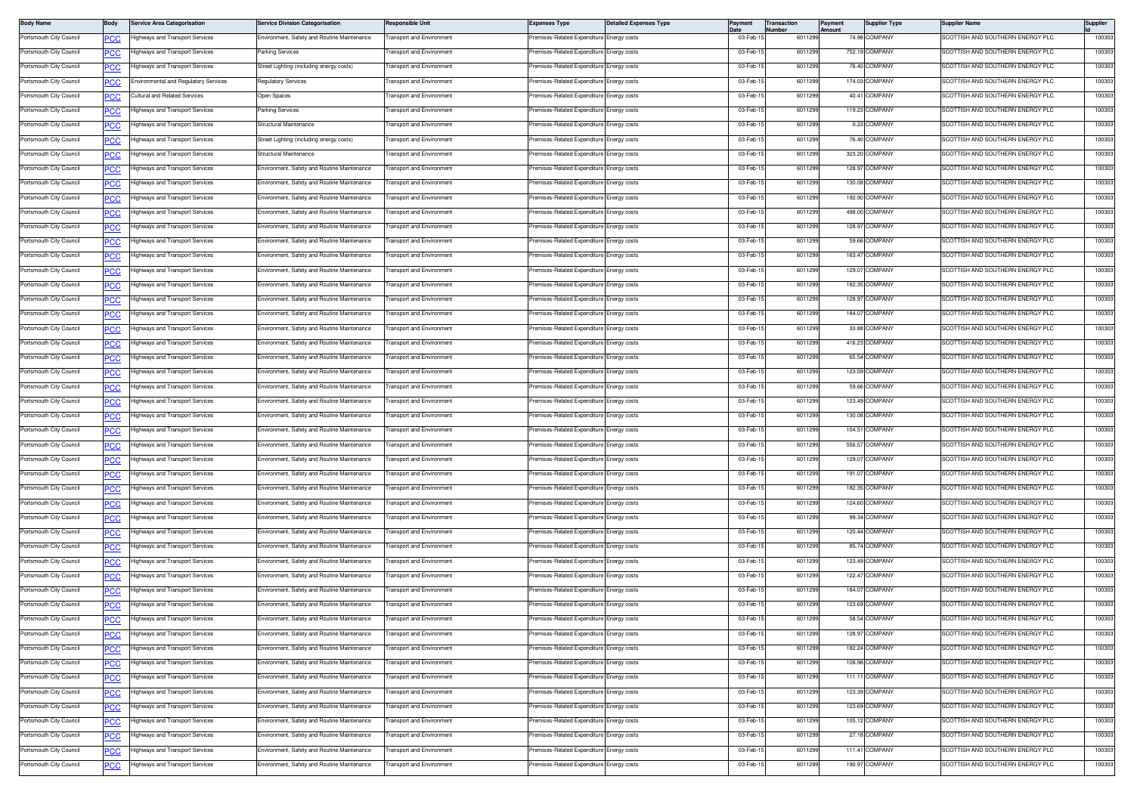| <b>Body Name</b>        | Body       | <b>Service Area Categorisation</b>                                 | <b>Service Division Categorisation</b>      | <b>Responsible Unit</b>                              | <b>Expenses Type</b>                                        | <b>Detailed Expenses Type</b> | Payment              | Transaction<br>Number | 'ayment<br>Amount | <b>Supplier Type</b> | <b>Supplier Name</b>                                                 | Supplier         |
|-------------------------|------------|--------------------------------------------------------------------|---------------------------------------------|------------------------------------------------------|-------------------------------------------------------------|-------------------------------|----------------------|-----------------------|-------------------|----------------------|----------------------------------------------------------------------|------------------|
| Portsmouth City Council | <u>PCC</u> | lighways and Transport Services                                    | Environment, Safety and Routine Maintenance | <b>Fransport and Environment</b>                     | remises-Related Expenditure Energy costs                    |                               | 03-Feb-1             | 601129                |                   | 74.98 COMPANY        | SCOTTISH AND SOUTHERN ENERGY PLC                                     | 100303           |
| Portsmouth City Council | <u>PCC</u> | lighways and Transport Services                                    | Parking Services                            | ransport and Environment                             | remises-Related Expenditure                                 | Energy costs                  | 03-Feb-15            | 601129                |                   | 752.19 COMPANY       | SCOTTISH AND SOUTHERN ENERGY PLC                                     | 100303           |
| Portsmouth City Council | PСC        | Highways and Transport Services                                    | Street Lighting (including energy costs)    | ransport and Environment                             | Premises-Related Expenditure                                | Energy costs                  | 03-Feb-1             | 601129                |                   | 76.40 COMPANY        | SCOTTISH AND SOUTHERN ENERGY PLC                                     | 100303           |
| Portsmouth City Council | °СС        | Environmental and Requlatory Services                              | Regulatory Services                         | ransport and Environment                             | remises-Related Expenditure                                 | Energy costs                  | 03-Feb-1             | 601129                |                   | 174.03 COMPANY       | <b>SCOTTISH AND SOUTHERN ENERGY PLC</b>                              | 100303           |
| Portsmouth City Council | <u>PCC</u> | Cultural and Related Services                                      | Open Spaces                                 | <b>Transport and Environment</b>                     | Premises-Related Expenditure Energy costs                   |                               | 03-Feb-1             | 601129                |                   | 40.41 COMPANY        | SCOTTISH AND SOUTHERN ENERGY PLC                                     | 100303           |
| ortsmouth City Council  | <u>PCC</u> | Highways and Transport Services                                    | <b>Parking Services</b>                     | ransport and Environment                             | Premises-Related Expenditure                                | Energy costs                  | 03-Feb-1             | 601129                |                   | 119.23 COMPANY       | SCOTTISH AND SOUTHERN ENERGY PLC                                     | 100303           |
| ortsmouth City Council  | <u>PCC</u> | lighways and Transport Services                                    | Structural Maintenance                      | ansport and Environment                              | remises-Related Expenditure                                 | Energy costs                  | 03-Feb-15            | 601129                |                   | 0.23 COMPANY         | SCOTTISH AND SOUTHERN ENERGY PLC                                     | 100303           |
| ortsmouth City Council  | <b>PCC</b> | Highways and Transport Services                                    | Street Lighting (including energy costs)    | ransport and Environment                             | Premises-Related Expenditure                                | inergy costs                  | 03-Feb-1             | 601129                |                   | 76.40 COMPANY        | SCOTTISH AND SOUTHERN ENERGY PLC                                     | 100303           |
| Portsmouth City Council | PСC        | Highways and Transport Services                                    | Structural Maintenance                      | ransport and Environment                             | remises-Related Expenditure                                 | Energy costs                  | 03-Feb-1             | 601129                |                   | 323.20 COMPANY       | <b>SCOTTISH AND SOUTHERN ENERGY PLC</b>                              | 100303           |
| 'ortsmouth City Council | <u>PCC</u> | Highways and Transport Services                                    | Environment, Safety and Routine Maintenance | <b>Fransport and Environment</b>                     | Premises-Related Expenditure Energy costs                   |                               | 03-Feb-1             | 601129                |                   | 128.97 COMPANY       | SCOTTISH AND SOUTHERN ENERGY PLC                                     | 100303           |
| ortsmouth City Council  | <u>PCC</u> | Highways and Transport Services                                    | Environment, Safety and Routine Maintenance | <b>Fransport and Environment</b>                     | Premises-Related Expenditure                                | Energy costs                  | 03-Feb-1             | 601129                |                   | 130.08 COMPANY       | SCOTTISH AND SOUTHERN ENERGY PLC                                     | 100303           |
| ortsmouth City Council  | <u>PCC</u> | lighways and Transport Services                                    | Environment, Safety and Routine Maintenance | ransport and Environment                             | remises-Related Expenditure                                 | nergy costs                   | 03-Feb-1             | 601129                |                   | 192.90 COMPANY       | COTTISH AND SOUTHERN ENERGY PLC                                      | 100303           |
| Portsmouth City Council | PСC        | lighways and Transport Services                                    | Environment, Safety and Routine Maintenance | ransport and Environment                             | Premises-Related Expenditure                                | Energy costs                  | 03-Feb-1             | 601129                |                   | 498.00 COMPANY       | SCOTTISH AND SOUTHERN ENERGY PLC                                     | 100303           |
| Portsmouth City Council | PCC        | Highways and Transport Services                                    | Environment, Safety and Routine Maintenance | ransport and Environment                             | Premises-Related Expenditure                                | Energy costs                  | 03-Feb-1             | 601129                |                   | 128.97 COMPANY       | SCOTTISH AND SOUTHERN ENERGY PLC                                     | 100303           |
| Portsmouth City Council | <u>PCC</u> | Highways and Transport Services                                    | Environment, Safety and Routine Maintenance | <b>Fransport and Environment</b>                     | Premises-Related Expenditure Energy costs                   |                               | 03-Feb-1             | 601129                |                   | 59.66 COMPANY        | SCOTTISH AND SOUTHERN ENERGY PLC                                     | 100303           |
| Portsmouth City Council | <u>PCC</u> | Highways and Transport Services                                    | Environment, Safety and Routine Maintenance | <b>Transport and Environment</b>                     | Premises-Related Expenditure Energy costs                   |                               | 03-Feb-15            | 601129                |                   | 163.47 COMPANY       | SCOTTISH AND SOUTHERN ENERGY PLC                                     | 100303           |
| 'ortsmouth City Council | <u>PCC</u> | lighways and Transport Services                                    | invironment, Safety and Routine Maintenance | ransport and Environment                             | emises-Related Expenditure                                  | Energy costs                  | 03-Feb-1             | 601129                |                   | 129.07 COMPANY       | COTTISH AND SOUTHERN ENERGY PLC                                      | 100303           |
| Portsmouth City Council | <u>PCC</u> | lighways and Transport Services                                    | Environment, Safety and Routine Maintenance | ransport and Environment                             | Premises-Related Expenditure                                | Energy costs                  | 03-Feb-1             | 601129                |                   | 182.35 COMPANY       | SCOTTISH AND SOUTHERN ENERGY PLC                                     | 100303           |
| Portsmouth City Council |            | Highways and Transport Services                                    | Environment, Safety and Routine Maintenance | ransport and Environment                             | remises-Related Expenditure                                 | nergy costs                   | 03-Feb-1             | 601129                |                   | 128.97 COMPANY       | SCOTTISH AND SOUTHERN ENERGY PLC                                     | 100303           |
| 'ortsmouth City Council | <u>PCC</u> | Highways and Transport Services                                    | Environment, Safety and Routine Maintenance | <b>Fransport and Environment</b>                     | Premises-Related Expenditure Energy costs                   |                               | 03-Feb-1             | 601129                |                   | 184.07 COMPANY       | SCOTTISH AND SOUTHERN ENERGY PLC                                     | 100303           |
| Portsmouth City Council | <u>PCC</u> | Highways and Transport Services                                    | Environment, Safety and Routine Maintenance | <b>Transport and Environment</b>                     | Premises-Related Expenditure                                | Energy costs                  | 03-Feb-1             | 601129                |                   | 33.88 COMPANY        | SCOTTISH AND SOUTHERN ENERGY PLC                                     | 100303           |
| ortsmouth City Council  | <u>PCC</u> | Highways and Transport Services                                    | Environment, Safety and Routine Maintenance | ransport and Environment                             | remises-Related Expenditure                                 | Energy costs                  | 03-Feb-1             | 601129                |                   | 416.23 COMPANY       | <b>SCOTTISH AND SOUTHERN ENERGY PLC</b>                              | 100303           |
| Portsmouth City Council | <b>PCC</b> | lighways and Transport Services                                    | Environment, Safety and Routine Maintenance | <b>Transport and Environment</b>                     | Premises-Related Expenditure                                | Energy costs                  | 03-Feb-1             | 601129                |                   | 65.54 COMPANY        | SCOTTISH AND SOUTHERN ENERGY PLC                                     | 100303           |
| Portsmouth City Council |            | Highways and Transport Services                                    | Environment, Safety and Routine Maintenance | ransport and Environment                             | Premises-Related Expenditure                                | nergy costs                   | 03-Feb-1             | 601129                |                   | 123.59 COMPANY       | SCOTTISH AND SOUTHERN ENERGY PLC                                     | 100303           |
| ortsmouth City Council  | PСC        | Highways and Transport Services                                    | Environment, Safety and Routine Maintenance | <b>Fransport and Environment</b>                     | Premises-Related Expenditure Energy costs                   |                               | 03-Feb-1             | 601129                |                   | 59.66 COMPANY        | SCOTTISH AND SOUTHERN ENERGY PLC                                     | 100303           |
|                         | <u>PCC</u> |                                                                    | Environment, Safety and Routine Maintenance |                                                      |                                                             |                               |                      |                       |                   | 123.49 COMPANY       |                                                                      |                  |
| Portsmouth City Council | <u>PCC</u> | Highways and Transport Services<br>lighways and Transport Services | Environment, Safety and Routine Maintenance | ransport and Environment<br>ransport and Environment | Premises-Related Expenditure<br>remises-Related Expenditure | Energy costs                  | 03-Feb-1<br>03-Feb-1 | 601129<br>601129      |                   | 130.08 COMPANY       | SCOTTISH AND SOUTHERN ENERGY PLC<br>SCOTTISH AND SOUTHERN ENERGY PLC | 100303<br>100303 |
| ortsmouth City Council  | <u>PCC</u> |                                                                    |                                             |                                                      |                                                             | Energy costs                  |                      |                       |                   | 104.51 COMPANY       | SCOTTISH AND SOUTHERN ENERGY PLC                                     |                  |
| ortsmouth City Council  | <b>PCC</b> | Highways and Transport Services                                    | Environment, Safety and Routine Maintenance | ransport and Environment<br>ransport and Environment | Premises-Related Expenditure                                | Energy costs                  | 03-Feb-1<br>03-Feb-1 | 601129<br>601129      |                   | 556.57 COMPANY       | <b>SCOTTISH AND SOUTHERN ENERGY PLC</b>                              | 100303<br>100303 |
| Portsmouth City Council | °СС        | <b>Highways and Transport Services</b>                             | Environment, Safety and Routine Maintenance |                                                      | Premises-Related Expenditure                                | Energy costs                  |                      |                       |                   |                      |                                                                      |                  |
| 'ortsmouth City Council | PСC        | Highways and Transport Services                                    | Environment, Safety and Routine Maintenance | <b>Fransport and Environment</b>                     | Premises-Related Expenditure Energy costs                   |                               | 03-Feb-1             | 601129                |                   | 129.07 COMPANY       | SCOTTISH AND SOUTHERN ENERGY PLC                                     | 100303           |
| Portsmouth City Council | <u>PCC</u> | Highways and Transport Services                                    | Environment, Safety and Routine Maintenance | <b>Transport and Environment</b>                     | Premises-Related Expenditure Energy costs                   |                               | 03-Feb-1             | 601129                |                   | 191.07 COMPANY       | SCOTTISH AND SOUTHERN ENERGY PLC                                     | 100303           |
| ortsmouth City Council  | <u>PCC</u> | lighways and Transport Services                                    | Environment, Safety and Routine Maintenance | ransport and Environment                             | remises-Related Expenditure                                 | Energy costs                  | 03-Feb-15            | 601129                |                   | 182.35 COMPANY       | <b>SCOTTISH AND SOUTHERN ENERGY PLC</b>                              | 100303           |
| ortsmouth City Council  | PСC        | lighways and Transport Services                                    | Environment, Safety and Routine Maintenance | ransport and Environment                             | remises-Related Expenditure                                 | Energy costs                  | 03-Feb-1             | 601129                |                   | 124.60 COMPANY       | SCOTTISH AND SOUTHERN ENERGY PLC                                     | 100303           |
| Portsmouth City Council | PСC        | Highways and Transport Services                                    | Environment, Safety and Routine Maintenance | ransport and Environment                             | remises-Related Expenditure                                 | Energy costs                  | 03-Feb-1             | 601129                |                   | 99.34 COMPANY        | <b>SCOTTISH AND SOUTHERN ENERGY PLC</b>                              | 100303           |
| 'ortsmouth City Council | PСC        | Highways and Transport Services                                    | Environment, Safety and Routine Maintenance | ransport and Environment                             | Premises-Related Expenditure                                | Energy costs                  | 03-Feb-1             | 601129                |                   | 120.44 COMPANY       | SCOTTISH AND SOUTHERN ENERGY PLC                                     | 100303           |
| Portsmouth City Council | <u>PCC</u> | Highways and Transport Services                                    | Environment, Safety and Routine Maintenance | <b>Transport and Environment</b>                     | Premises-Related Expenditure Energy costs                   |                               | 03-Feb-15            | 601129                |                   | 85.74 COMPANY        | SCOTTISH AND SOUTHERN ENERGY PLC                                     | 100303           |
| 'ortsmouth City Council | <u>PCC</u> | lighways and Transport Services                                    | Environment, Safety and Routine Maintenance | ransport and Environment                             | remises-Related Expenditure                                 | Energy costs                  | 03-Feb-1             | 601129                |                   | 123.49 COMPANY       | COTTISH AND SOUTHERN ENERGY PLC                                      | 100303           |
| Portsmouth City Council | PСC        | Highways and Transport Services                                    | Environment, Safety and Routine Maintenance | ransport and Environment                             | Premises-Related Expenditure                                | inergy costs                  | 03-Feb-1             | 601129                |                   | 122.47 COMPANY       | SCOTTISH AND SOUTHERN ENERGY PLC                                     | 100303           |
| Portsmouth City Council | <u>PCC</u> | Highways and Transport Services                                    | Environment, Safety and Routine Maintenance | ransport and Environment                             | Premises-Related Expenditure                                | nergy costs                   | 03-Feb-1             | 601129                |                   | 184.07 COMPANY       | <b>SCOTTISH AND SOUTHERN ENERGY PLC</b>                              | 100303           |
| 'ortsmouth City Council | <u>PCC</u> | Highways and Transport Services                                    | Environment, Safety and Routine Maintenance | <b>Fransport and Environment</b>                     | Premises-Related Expenditure Energy costs                   |                               | 03-Feb-1             | 601129                |                   | 123.69 COMPANY       | SCOTTISH AND SOUTHERN ENERGY PLC                                     | 100303           |
| Portsmouth City Council | <b>PCC</b> | Highways and Transport Services                                    | Environment, Safety and Routine Maintenance | <b>Transport and Environment</b>                     | Premises-Related Expenditure Energy costs                   |                               | 03-Feb-15            | 6011299               |                   | 58.54 COMPANY        | SCOTTISH AND SOUTHERN ENERGY PLC                                     | 100303           |
| Portsmouth City Council | <u>PCC</u> | lighways and Transport Services                                    | Environment, Safety and Routine Maintenance | ransport and Environment                             | remises-Related Expenditure                                 | Energy costs                  | 03-Feb-15            | 601129                |                   | 128.97 COMPANY       | SCOTTISH AND SOUTHERN ENERGY PLC                                     | 100303           |
| Portsmouth City Council | <b>PCC</b> | <b>Highways and Transport Services</b>                             | Environment, Safety and Routine Maintenance | Fransport and Environment                            | Premises-Related Expenditure                                | Energy costs                  | 03-Feb-1             | 601129                |                   | 182.24 COMPANY       | SCOTTISH AND SOUTHERN ENERGY PLC                                     | 100303           |
| Portsmouth City Council | <u>PCC</u> | Highways and Transport Services                                    | Environment, Safety and Routine Maintenance | ransport and Environment                             | Premises-Related Expenditure                                | Energy costs                  | 03-Feb-1             | 601129                |                   | 108.98 COMPANY       | SCOTTISH AND SOUTHERN ENERGY PLC                                     | 100303           |
| Portsmouth City Council | <u>PCC</u> | Highways and Transport Services                                    | Environment, Safety and Routine Maintenance | <b>Fransport and Environment</b>                     | Premises-Related Expenditure Energy costs                   |                               | 03-Feb-15            | 6011299               |                   | 111.11 COMPANY       | SCOTTISH AND SOUTHERN ENERGY PLC                                     | 100303           |
| Portsmouth City Council | <u>PCC</u> | Highways and Transport Services                                    | Environment, Safety and Routine Maintenance | <b>Transport and Environment</b>                     | Premises-Related Expenditure Energy costs                   |                               | 03-Feb-15            | 6011299               |                   | 123.39 COMPANY       | SCOTTISH AND SOUTHERN ENERGY PLC                                     | 100303           |
| Portsmouth City Council | <u>PCC</u> | lighways and Transport Services                                    | Environment, Safety and Routine Maintenance | ransport and Environment                             | remises-Related Expenditure                                 | Energy costs                  | 03-Feb-15            | 601129                |                   | 123.69 COMPANY       | SCOTTISH AND SOUTHERN ENERGY PLC                                     | 100303           |
| Portsmouth City Council | <b>PCC</b> | Highways and Transport Services                                    | Environment, Safety and Routine Maintenance | <b>Transport and Environment</b>                     | Premises-Related Expenditure                                | Energy costs                  | 03-Feb-1             | 6011299               |                   | 105.12 COMPANY       | SCOTTISH AND SOUTHERN ENERGY PLC                                     | 100303           |
| Portsmouth City Council | <u>PCC</u> | Highways and Transport Services                                    | Environment, Safety and Routine Maintenance | ransport and Environment                             | Premises-Related Expenditure                                | Energy costs                  | 03-Feb-1             | 601129                |                   | 27.18 COMPANY        | SCOTTISH AND SOUTHERN ENERGY PLC                                     | 100303           |
| ortsmouth City Council  | <u>PCC</u> | Highways and Transport Services                                    | Environment, Safety and Routine Maintenance | ransport and Environment                             | Premises-Related Expenditure                                | Energy costs                  | 03-Feb-1             | 601129                |                   | 111.41 COMPANY       | SCOTTISH AND SOUTHERN ENERGY PLC                                     | 100303           |
| ortsmouth City Council  | <u>PCC</u> | Highways and Transport Services                                    | Environment, Safety and Routine Maintenance | ransport and Environment                             | Premises-Related Expenditure Energy costs                   |                               | 03-Feb-15            | 6011299               |                   | 190.97 COMPANY       | SCOTTISH AND SOUTHERN ENERGY PLC                                     | 100303           |
|                         |            |                                                                    |                                             |                                                      |                                                             |                               |                      |                       |                   |                      |                                                                      |                  |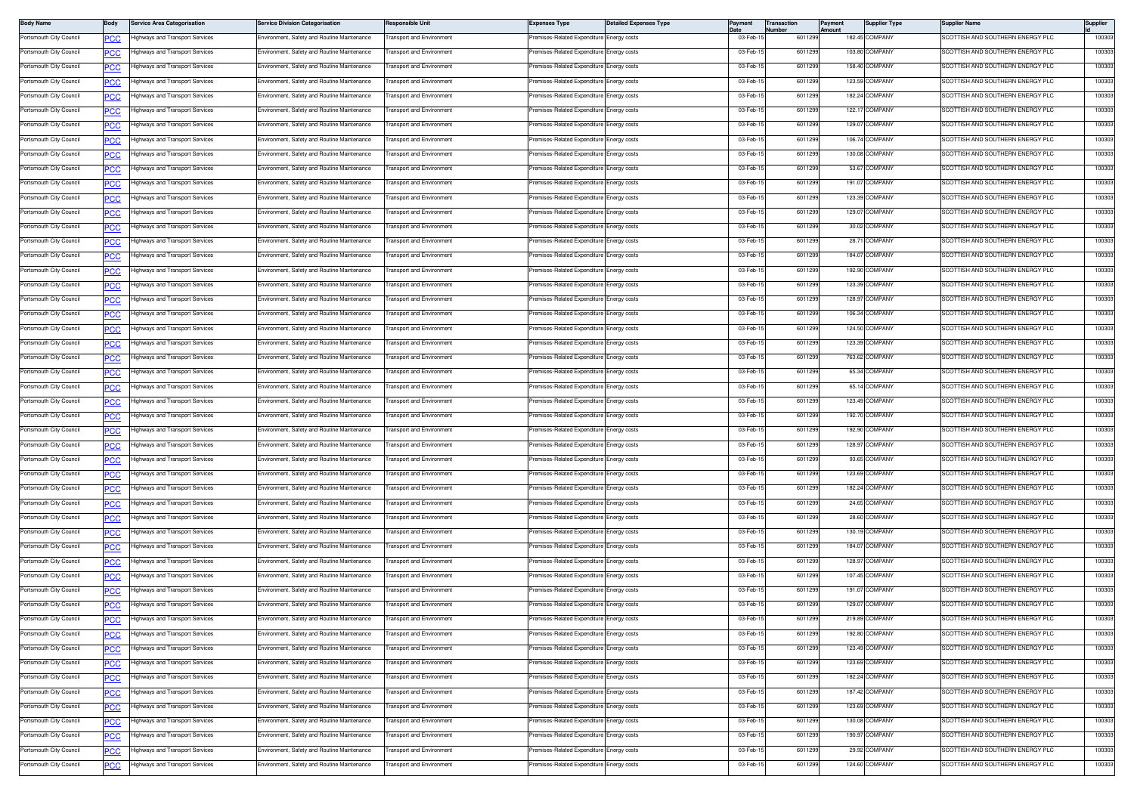| <b>Body Name</b>        | Body       | <b>Service Area Categorisation</b>     | <b>Service Division Categorisation</b>      | <b>Responsible Unit</b>          | <b>Expenses Type</b>                      | <b>Detailed Expenses Type</b> | Payment   | Transaction<br>Number | Payment<br>Amount | <b>Supplier Type</b> | <b>Supplier Name</b>                    | Supplier |
|-------------------------|------------|----------------------------------------|---------------------------------------------|----------------------------------|-------------------------------------------|-------------------------------|-----------|-----------------------|-------------------|----------------------|-----------------------------------------|----------|
| Portsmouth City Council | <u>PCC</u> | lighways and Transport Services        | Environment, Safety and Routine Maintenance | ransport and Environment         | remises-Related Expenditure Energy costs  |                               | 03-Feb-1  | 601129                |                   | 182.45 COMPANY       | <b>SCOTTISH AND SOUTHERN ENERGY PLC</b> | 100303   |
| Portsmouth City Council |            | ighways and Transport Services         | Environment, Safety and Routine Maintenance | ransport and Environment         | emises-Related Expenditure                | Energy costs                  | 03-Feb-1  | 6011299               |                   | 103.80 COMPANY       | SCOTTISH AND SOUTHERN ENERGY PLC        | 100303   |
| Portsmouth City Council | сc         | lighways and Transport Services        | Environment, Safety and Routine Maintenance | ransport and Environment         | remises-Related Expenditure Energy costs  |                               | 03-Feb-1  | 6011299               |                   | 158.40 COMPANY       | SCOTTISH AND SOUTHERN ENERGY PLC        | 100303   |
| Portsmouth City Council | PCC        | lighways and Transport Services        | Environment, Safety and Routine Maintenance | ransport and Environment         | remises-Related Expenditure               | Energy costs                  | 03-Feb-1  | 601129                |                   | 123.59 COMPANY       | <b>SCOTTISH AND SOUTHERN ENERGY PLC</b> | 100303   |
| Portsmouth City Council | <u>PCC</u> | Highways and Transport Services        | Environment, Safety and Routine Maintenance | <b>Transport and Environment</b> | Premises-Related Expenditure Energy costs |                               | 03-Feb-1  | 6011299               |                   | 182.24 COMPANY       | SCOTTISH AND SOUTHERN ENERGY PLC        | 100303   |
| Portsmouth City Council | <b>PCC</b> | lighways and Transport Services        | Environment, Safety and Routine Maintenance | ransport and Environment         | Premises-Related Expenditure Energy costs |                               | 03-Feb-1  | 601129                |                   | 122.17 COMPANY       | SCOTTISH AND SOUTHERN ENERGY PLC        | 100303   |
| Portsmouth City Council | <u>'CC</u> | lighways and Transport Services        | Environment, Safety and Routine Maintenance | ransport and Environment         | remises-Related Expenditure               | Energy costs                  | 03-Feb-1  | 601129                |                   | 129.07 COMPANY       | <b>SCOTTISH AND SOUTHERN ENERGY PLC</b> | 100303   |
| Portsmouth City Council | <b>PCC</b> | lighways and Transport Services        | Environment, Safety and Routine Maintenance | ransport and Environment         | Premises-Related Expenditure              | Energy costs                  | 03-Feb-1  | 601129                |                   | 106.74 COMPANY       | SCOTTISH AND SOUTHERN ENERGY PLC        | 100303   |
| Portsmouth City Council | <b>PCC</b> | Highways and Transport Services        | Environment, Safety and Routine Maintenance | ransport and Environment         | <b>Premises-Related Expenditure</b>       | Energy costs                  | 03-Feb-1  | 601129                |                   | 130.08 COMPANY       | SCOTTISH AND SOUTHERN ENERGY PLC        | 100303   |
| Portsmouth City Council | <u>PCC</u> | lighways and Transport Services        | Environment, Safety and Routine Maintenance | <b>Transport and Environment</b> | remises-Related Expenditure               | Energy costs                  | 03-Feb-1  | 6011299               |                   | 53.67 COMPANY        | SCOTTISH AND SOUTHERN ENERGY PLC        | 100303   |
| Portsmouth City Council | <b>PCC</b> | lighways and Transport Services        | Environment, Safety and Routine Maintenance | ransport and Environment         | Premises-Related Expenditure Energy costs |                               | 03-Feb-1  | 601129                |                   | 191.07 COMPANY       | SCOTTISH AND SOUTHERN ENERGY PLC        | 100303   |
| Portsmouth City Council |            | lighways and Transport Services        | Environment, Safety and Routine Maintenance | ransport and Environment         | emises-Related Expenditure                | Energy costs                  | 03-Feb-1  | 601129                |                   | 123.39 COMPANY       | <b>SCOTTISH AND SOUTHERN ENERGY PLC</b> | 100303   |
| Portsmouth City Council | <u>ب ب</u> | lighways and Transport Services        | Environment, Safety and Routine Maintenance | ransport and Environment         | Premises-Related Expenditure Energy costs |                               | 03-Feb-1  | 6011299               |                   | 129.07 COMPANY       | SCOTTISH AND SOUTHERN ENERGY PLC        | 100303   |
| Portsmouth City Council | <u>'CC</u> | Highways and Transport Services        | Environment, Safety and Routine Maintenance | ransport and Environment         | remises-Related Expenditure               | inergy costs                  | 03-Feb-1  | 601129                |                   | 30.02 COMPANY        | SCOTTISH AND SOUTHERN ENERGY PLC        | 100303   |
| Portsmouth City Council | <u>PCC</u> |                                        |                                             | <b>Fransport and Environment</b> |                                           |                               | 03-Feb-1  | 6011299               |                   | 28.71 COMPANY        | SCOTTISH AND SOUTHERN ENERGY PLC        | 100303   |
|                         | <u>PCC</u> | lighways and Transport Services        | Environment, Safety and Routine Maintenance |                                  | remises-Related Expenditure               | Energy costs                  |           |                       |                   |                      |                                         |          |
| Portsmouth City Council | <u>PCC</u> | lighways and Transport Services        | Environment, Safety and Routine Maintenance | ransport and Environment         | Premises-Related Expenditure Energy costs |                               | 03-Feb-1  | 601129                |                   | 184.07 COMPANY       | SCOTTISH AND SOUTHERN ENERGY PLC        | 100303   |
| Portsmouth City Council |            | ighways and Transport Services         | Environment, Safety and Routine Maintenance | ransport and Environment         | remises-Related Expenditure               | Energy costs                  | 03-Feb-1  | 6011299               |                   | 192.90 COMPANY       | SCOTTISH AND SOUTHERN ENERGY PLC        | 100303   |
| Portsmouth City Council | сc         | lighways and Transport Services        | Environment, Safety and Routine Maintenance | ransport and Environment         | Premises-Related Expenditure Energy costs |                               | 03-Feb-1  | 6011299               |                   | 123.39 COMPANY       | SCOTTISH AND SOUTHERN ENERGY PLC        | 100303   |
| Portsmouth City Council | PCC        | lighways and Transport Services        | Environment, Safety and Routine Maintenance | ransport and Environment         | remises-Related Expenditure               | inergy costs                  | 03-Feb-1  | 601129                |                   | 128.97 COMPANY       | <b>SCOTTISH AND SOUTHERN ENERGY PLC</b> | 100303   |
| Portsmouth City Council | <u>PCC</u> | Highways and Transport Services        | Environment, Safety and Routine Maintenance | <b>Fransport and Environment</b> | remises-Related Expenditure               | Energy costs                  | 03-Feb-1  | 6011299               |                   | 106.34 COMPANY       | SCOTTISH AND SOUTHERN ENERGY PLC        | 100303   |
| Portsmouth City Council | <b>PCC</b> | Highways and Transport Services        | Environment, Safety and Routine Maintenance | <b>Fransport and Environment</b> | Premises-Related Expenditure Energy costs |                               | 03-Feb-1  | 6011299               |                   | 124.50 COMPANY       | SCOTTISH AND SOUTHERN ENERGY PLC        | 100303   |
| Portsmouth City Council | <u>'CC</u> | lighways and Transport Services        | Environment, Safety and Routine Maintenance | ransport and Environment         | emises-Related Expenditure                | Energy costs                  | 03-Feb-1  | 6011299               |                   | 123.39 COMPANY       | <b>SCOTTISH AND SOUTHERN ENERGY PLC</b> | 100303   |
| Portsmouth City Council | сc         | lighways and Transport Services        | Environment, Safety and Routine Maintenance | ransport and Environment         | remises-Related Expenditure               | Energy costs                  | 03-Feb-1  | 601129                |                   | 763.62 COMPANY       | SCOTTISH AND SOUTHERN ENERGY PLC        | 100303   |
| Portsmouth City Council | PCC        | Highways and Transport Services        | Environment, Safety and Routine Maintenance | ransport and Environment         | remises-Related Expenditure               | Energy costs                  | 03-Feb-1  | 601129                |                   | 65.34 COMPANY        | SCOTTISH AND SOUTHERN ENERGY PLC        | 100303   |
| Portsmouth City Council | <u>PCC</u> | Highways and Transport Services        | Environment, Safety and Routine Maintenance | <b>Fransport and Environment</b> | Premises-Related Expenditure Energy costs |                               | 03-Feb-1  | 601129                |                   | 65.14 COMPANY        | SCOTTISH AND SOUTHERN ENERGY PLC        | 100303   |
| Portsmouth City Council | <b>PCC</b> | lighways and Transport Services        | Environment, Safety and Routine Maintenance | <b>Transport and Environment</b> | Premises-Related Expenditure Energy costs |                               | 03-Feb-1  | 6011299               |                   | 123.49 COMPANY       | SCOTTISH AND SOUTHERN ENERGY PLC        | 100303   |
| Portsmouth City Council | ◡◡         | lighways and Transport Services        | Environment, Safety and Routine Maintenance | ransport and Environment         | remises-Related Expenditure               | Energy costs                  | 03-Feb-1  | 601129                |                   | 192.70 COMPANY       | COTTISH AND SOUTHERN ENERGY PLC         | 100303   |
| Portsmouth City Council | <u>PCC</u> | lighways and Transport Services        | Environment, Safety and Routine Maintenance | ransport and Environment         | Premises-Related Expenditure Energy costs |                               | 03-Feb-1  | 6011299               |                   | 192.90 COMPANY       | SCOTTISH AND SOUTHERN ENERGY PLC        | 100303   |
| Portsmouth City Council | <u>PCC</u> | Highways and Transport Services        | Environment, Safety and Routine Maintenance | ransport and Environment         | remises-Related Expenditure               | Energy costs                  | 03-Feb-1  | 601129                |                   | 128.97 COMPANY       | <b>SCOTTISH AND SOUTHERN ENERGY PLC</b> | 100303   |
| Portsmouth City Council | <u>PCC</u> | Highways and Transport Services        | Environment, Safety and Routine Maintenance | <b>Fransport and Environment</b> | Premises-Related Expenditure I            | Energy costs                  | 03-Feb-1  | 6011299               |                   | 93.65 COMPANY        | SCOTTISH AND SOUTHERN ENERGY PLC        | 100303   |
| Portsmouth City Council | <u>PCC</u> | lighways and Transport Services        | Environment, Safety and Routine Maintenance | ransport and Environment         | Premises-Related Expenditure Energy costs |                               | 03-Feb-1  | 601129                |                   | 123.69 COMPANY       | SCOTTISH AND SOUTHERN ENERGY PLC        | 100303   |
| Portsmouth City Council |            | ighways and Transport Services         | Environment, Safety and Routine Maintenance | ransport and Environment         | emises-Related Expenditure                | Energy costs                  | 03-Feb-1  | 6011299               |                   | 182.24 COMPANY       | SCOTTISH AND SOUTHERN ENERGY PLC        | 100303   |
| Portsmouth City Council | сc         | lighways and Transport Services        | Environment, Safety and Routine Maintenance | ransport and Environment         | remises-Related Expenditure               | Energy costs                  | 03-Feb-1  | 6011299               |                   | 24.65 COMPANY        | SCOTTISH AND SOUTHERN ENERGY PLC        | 100303   |
| Portsmouth City Council | PCC        | lighways and Transport Services        | Environment, Safety and Routine Maintenance | ransport and Environment         | remises-Related Expenditure               | Energy costs                  | 03-Feb-1  | 601129                |                   | 28.60 COMPANY        | <b>SCOTTISH AND SOUTHERN ENERGY PLC</b> | 100303   |
| Portsmouth City Council | PCC        | Highways and Transport Services        | Environment, Safety and Routine Maintenance | <b>Fransport and Environment</b> | Premises-Related Expenditure Energy costs |                               | 03-Feb-1  | 6011299               |                   | 130.19 COMPANY       | SCOTTISH AND SOUTHERN ENERGY PLC        | 100303   |
| Portsmouth City Council | <b>PCC</b> | Highways and Transport Services        | Environment, Safety and Routine Maintenance | <b>Fransport and Environment</b> | Premises-Related Expenditure Energy costs |                               | 03-Feb-1  | 6011299               |                   | 184.07 COMPANY       | SCOTTISH AND SOUTHERN ENERGY PLC        | 100303   |
| Portsmouth City Council | ∪ט         | lighways and Transport Services        | Environment, Safety and Routine Maintenance | ransport and Environment         | emises-Related Expenditure                | Energy costs                  | 03-Feb-1  | 6011299               |                   | 128.97 COMPANY       | <b>SCOTTISH AND SOUTHERN ENERGY PLC</b> | 100303   |
| Portsmouth City Council | сc         | lighways and Transport Services        | Environment, Safety and Routine Maintenance | ransport and Environment         | remises-Related Expenditure               | Energy costs                  | 03-Feb-1  | 601129                |                   | 107.45 COMPANY       | SCOTTISH AND SOUTHERN ENERGY PLC        | 100303   |
| Portsmouth City Council |            | Highways and Transport Services        | Environment, Safety and Routine Maintenance | ransport and Environment         | remises-Related Expenditure               | nergy costs:                  | 03-Feb-1  | 601129                |                   | 191.07 COMPANY       | <b>SCOTTISH AND SOUTHERN ENERGY PLC</b> | 100303   |
| Portsmouth City Council |            | Highways and Transport Services        | Environment, Safety and Routine Maintenance | <b>Fransport and Environment</b> | Premises-Related Expenditure              | Energy costs                  | 03-Feb-1  | 601129                |                   | 129.07 COMPANY       | SCOTTISH AND SOUTHERN ENERGY PLC        | 100303   |
| Portsmouth City Council | PCC        | <b>Highways and Transport Services</b> | Environment, Safety and Routine Maintenance | <b>Transport and Environment</b> | Premises-Related Expenditure Energy costs |                               | 03-Feb-15 | 6011299               |                   | 219.89 COMPANY       | SCOTTISH AND SOUTHERN ENERGY PLC        | 100303   |
| Portsmouth City Council | <b>PCC</b> | lighways and Transport Services        | Environment, Safety and Routine Maintenance | ransport and Environment         | emises-Related Expenditure Energy costs   |                               | 03-Feb-1  | 6011299               |                   | 192.80 COMPANY       | <b>SCOTTISH AND SOUTHERN ENERGY PLC</b> | 100303   |
|                         | <u>'CC</u> |                                        |                                             | ransport and Environment         | Premises-Related Expenditure Energy costs |                               |           |                       |                   | 123.49 COMPANY       | SCOTTISH AND SOUTHERN ENERGY PLC        |          |
| Portsmouth City Council | <b>PCC</b> | lighways and Transport Services        | Environment, Safety and Routine Maintenance |                                  |                                           |                               | 03-Feb-1  | 6011299               |                   |                      |                                         | 100303   |
| Portsmouth City Council | <u>PCC</u> | lighways and Transport Services        | Environment, Safety and Routine Maintenance | ransport and Environment         | Premises-Related Expenditure              | Energy costs                  | 03-Feb-1  | 6011299               |                   | 123.69 COMPANY       | SCOTTISH AND SOUTHERN ENERGY PLC        | 100303   |
| Portsmouth City Council | <u>PCC</u> | Highways and Transport Services        | Environment, Safety and Routine Maintenance | Transport and Environment        | Premises-Related Expenditure Energy costs |                               | 03-Feb-15 | 6011299               |                   | 182.24 COMPANY       | SCOTTISH AND SOUTHERN ENERGY PLC        | 100303   |
| Portsmouth City Council | <b>PCC</b> | lighways and Transport Services        | Environment, Safety and Routine Maintenance | ransport and Environment         | Premises-Related Expenditure Energy costs |                               | 03-Feb-1  | 601129                |                   | 187.42 COMPANY       | SCOTTISH AND SOUTHERN ENERGY PLC        | 100303   |
| Portsmouth City Council | <u>'CC</u> | lighways and Transport Services        | Environment, Safety and Routine Maintenance | ransport and Environment         | remises-Related Expenditure I             | Energy costs                  | 03-Feb-15 | 6011299               |                   | 123.69 COMPANY       | SCOTTISH AND SOUTHERN ENERGY PLC        | 100303   |
| Portsmouth City Council | <b>PCC</b> | lighways and Transport Services        | Environment, Safety and Routine Maintenance | ransport and Environment         | Premises-Related Expenditure Energy costs |                               | 03-Feb-1  | 6011299               |                   | 130.08 COMPANY       | SCOTTISH AND SOUTHERN ENERGY PLC        | 100303   |
| Portsmouth City Council | <u>PCC</u> | lighways and Transport Services        | Environment, Safety and Routine Maintenance | ransport and Environment         | Premises-Related Expenditure              | Energy costs                  | 03-Feb-1  | 6011299               |                   | 190.97 COMPANY       | SCOTTISH AND SOUTHERN ENERGY PLC        | 100303   |
| Portsmouth City Council | <b>PCC</b> | Highways and Transport Services        | Environment, Safety and Routine Maintenance | <b>Transport and Environment</b> | Premises-Related Expenditure Energy costs |                               | 03-Feb-1  | 6011299               |                   | 29.92 COMPANY        | SCOTTISH AND SOUTHERN ENERGY PLC        | 100303   |
| Portsmouth City Council | <u>PCC</u> | Highways and Transport Services        | Environment, Safety and Routine Maintenance | ransport and Environment         | Premises-Related Expenditure Energy costs |                               | 03-Feb-1  | 6011299               |                   | 124.60 COMPANY       | SCOTTISH AND SOUTHERN ENERGY PLC        | 100303   |
|                         |            |                                        |                                             |                                  |                                           |                               |           |                       |                   |                      |                                         |          |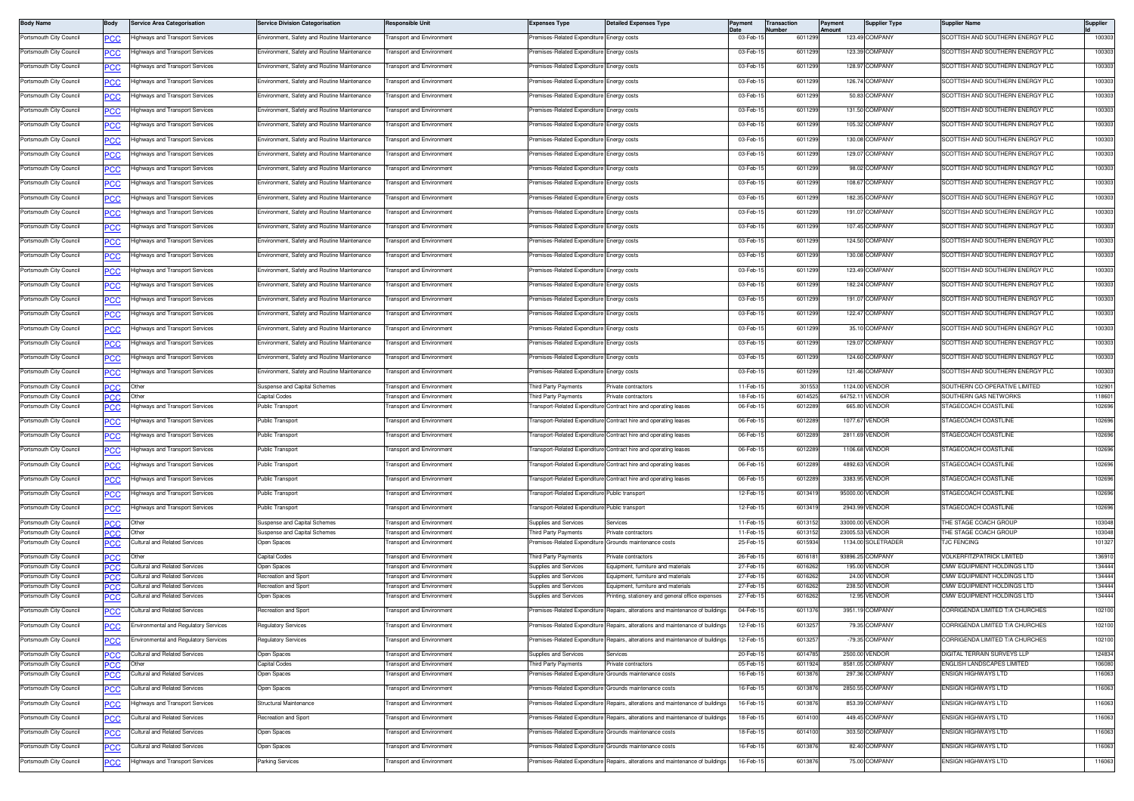| <b>Body Name</b>                                   | Body               | <b>Service Area Categorisation</b>                            | <b>Service Division Categorisation</b>                       | <b>Responsible Unit</b>                                      | <b>Expenses Type</b>                                  | <b>Detailed Expenses Type</b>                                                  | Payment              | <b>Transaction</b><br><b>Number</b> | Payment<br>Amount | <b>Supplier Type</b>               | <b>Supplier Name</b>                                          | Supplier         |
|----------------------------------------------------|--------------------|---------------------------------------------------------------|--------------------------------------------------------------|--------------------------------------------------------------|-------------------------------------------------------|--------------------------------------------------------------------------------|----------------------|-------------------------------------|-------------------|------------------------------------|---------------------------------------------------------------|------------------|
| Portsmouth City Council                            |                    | lighways and Transport Services                               | Environment, Safety and Routine Maintenance                  | ransport and Environment                                     | remises-Related Expenditure Energy costs              |                                                                                | 03-Feb-1             | 601129                              |                   | 123.49 COMPANY                     | SCOTTISH AND SOUTHERN ENERGY PLC                              | 100303           |
| Portsmouth City Council                            |                    | lighways and Transport Services                               | Environment, Safety and Routine Maintenance                  | ransport and Environment                                     | remises-Related Expenditure                           | Energy costs                                                                   | 03-Feb-15            | 6011299                             |                   | 123.39 COMPANY                     | <b>SCOTTISH AND SOUTHERN ENERGY PLC</b>                       | 100303           |
| Portsmouth City Council                            | сc                 | lighways and Transport Services                               | Environment, Safety and Routine Maintenance                  | ransport and Environment                                     | remises-Related Expenditure                           | nergy costs                                                                    | 03-Feb-1             | 6011299                             |                   | 128.97 COMPANY                     | SCOTTISH AND SOUTHERN ENERGY PLC                              | 100303           |
| Portsmouth City Council                            | PCC                | lighways and Transport Services                               | Environment, Safety and Routine Maintenance                  | ransport and Environment                                     | remises-Related Expenditure                           | Energy costs                                                                   | 03-Feb-1             | 601129                              |                   | 126.74 COMPANY                     | <b>SCOTTISH AND SOUTHERN ENERGY PLC</b>                       | 100303           |
| Portsmouth City Council                            | <u>PCC</u>         | lighways and Transport Services                               | Environment, Safety and Routine Maintenance                  | <b>Transport and Environment</b>                             | Premises-Related Expenditure Energy costs             |                                                                                | 03-Feb-1             | 6011299                             |                   | 50.83 COMPANY                      | SCOTTISH AND SOUTHERN ENERGY PLC                              | 100303           |
| Portsmouth City Council                            | <b>PCC</b>         | lighways and Transport Services                               | Environment, Safety and Routine Maintenance                  | <b>Fransport and Environment</b>                             | Premises-Related Expenditure                          | Energy costs                                                                   | 03-Feb-1             | 601129                              |                   | 131.50 COMPANY                     | SCOTTISH AND SOUTHERN ENERGY PLC                              | 100303           |
| Portsmouth City Council                            |                    | lighways and Transport Services                               | Environment, Safety and Routine Maintenance                  | ransport and Environment                                     | remises-Related Expenditure                           | nergy costs                                                                    | 03-Feb-1             | 6011299                             |                   | 105.32 COMPANY                     | <b>SCOTTISH AND SOUTHERN ENERGY PLC</b>                       | 100303           |
| Portsmouth City Council                            | <b>PCC</b>         | lighways and Transport Services                               | Environment, Safety and Routine Maintenance                  | ransport and Environment                                     | Premises-Related Expenditure                          | nergy costs                                                                    | 03-Feb-1             | 6011299                             |                   | 130.08 COMPANY                     | SCOTTISH AND SOUTHERN ENERGY PLC                              | 100303           |
| Portsmouth City Council                            | <b>PCC</b>         | lighways and Transport Services                               | Environment, Safety and Routine Maintenance                  | ransport and Environment                                     | remises-Related Expenditure                           | nergy costs                                                                    | 03-Feb-1             | 601129                              |                   | 129.07 COMPANY                     | <b>SCOTTISH AND SOUTHERN ENERGY PLC</b>                       | 100303           |
| Portsmouth City Council                            |                    | lighways and Transport Services                               | Environment, Safety and Routine Maintenance                  | <b>Fransport and Environment</b>                             | Premises-Related Expenditure                          | Energy costs                                                                   | 03-Feb-1             | 6011299                             |                   | 98.02 COMPANY                      | SCOTTISH AND SOUTHERN ENERGY PLC                              | 100303           |
| Portsmouth City Council                            | <u>PCC</u>         |                                                               | Environment, Safety and Routine Maintenance                  | <b>Fransport and Environment</b>                             | remises-Related Expenditure                           |                                                                                | 03-Feb-1             | 601129                              |                   | 108.67 COMPANY                     | SCOTTISH AND SOUTHERN ENERGY PLC                              | 100303           |
|                                                    | <b>PCC</b>         | lighways and Transport Services                               |                                                              |                                                              |                                                       | Energy costs                                                                   |                      |                                     |                   |                                    |                                                               |                  |
| Portsmouth City Council                            |                    | lighways and Transport Services                               | nvironment, Safety and Routine Maintenance                   | ransport and Environment                                     | remises-Related Expenditure                           | nergy costs                                                                    | 03-Feb-1             | 601129                              |                   | 182.35 COMPANY                     | <b>SCOTTISH AND SOUTHERN ENERGY PLC</b>                       | 100303           |
| Portsmouth City Council                            | <b>PCC</b>         | lighways and Transport Services                               | Environment, Safety and Routine Maintenance                  | <b>Transport and Environment</b>                             | remises-Related Expenditure                           | nergy costs                                                                    | 03-Feb-1             | 6011299                             |                   | 191.07 COMPANY                     | SCOTTISH AND SOUTHERN ENERGY PLC                              | 100303           |
| Portsmouth City Council                            | <u>PCC</u>         | lighways and Transport Services                               | Environment, Safety and Routine Maintenance                  | ransport and Environment                                     | remises-Related Expenditure                           | nergy costs                                                                    | 03-Feb-1             | 601129                              |                   | 107.45 COMPANY                     | <b>SCOTTISH AND SOUTHERN ENERGY PLC</b>                       | 100303           |
| Portsmouth City Council                            | <u>PCC</u>         | lighways and Transport Services                               | Environment, Safety and Routine Maintenance                  | <b>Fransport and Environment</b>                             | Premises-Related Expenditure                          | nergy costs                                                                    | 03-Feb-1             | 6011299                             |                   | 124.50 COMPANY                     | SCOTTISH AND SOUTHERN ENERGY PLC                              | 100303           |
| Portsmouth City Council                            | <u>PCC</u>         | Highways and Transport Services                               | Environment, Safety and Routine Maintenance                  | ransport and Environment                                     | remises-Related Expenditure                           | Energy costs                                                                   | 03-Feb-              | 6011299                             |                   | 130.08 COMPANY                     | SCOTTISH AND SOUTHERN ENERGY PLC                              | 100303           |
| Portsmouth City Council                            |                    | lighways and Transport Services                               | Environment, Safety and Routine Maintenance                  | ransport and Environment                                     | remises-Related Expenditure                           | nergy costs                                                                    | 03-Feb-1             | 6011299                             |                   | 123.49 COMPANY                     | SCOTTISH AND SOUTHERN ENERGY PLC                              | 100303           |
| Portsmouth City Council                            | сc                 | lighways and Transport Services                               | Environment, Safety and Routine Maintenance                  | ransport and Environment                                     | remises-Related Expenditure                           | nergy costs                                                                    | 03-Feb-1             | 6011299                             |                   | 182.24 COMPANY                     | SCOTTISH AND SOUTHERN ENERGY PLC                              | 100303           |
| Portsmouth City Council                            | PCC                | lighways and Transport Services                               | Environment, Safety and Routine Maintenance                  | ransport and Environment                                     | remises-Related Expenditure                           | nergy costs                                                                    | 03-Feb-1             | 601129                              |                   | 191.07 COMPANY                     | <b>SCOTTISH AND SOUTHERN ENERGY PLC</b>                       | 100303           |
| Portsmouth City Council                            | <u>PCC</u>         | lighways and Transport Services                               | Environment, Safety and Routine Maintenance                  | <b>Fransport and Environment</b>                             | Premises-Related Expenditure                          | Energy costs                                                                   | 03-Feb-1             | 6011299                             |                   | 122.47 COMPANY                     | SCOTTISH AND SOUTHERN ENERGY PLC                              | 100303           |
| Portsmouth City Council                            | <u>PCC</u>         | Highways and Transport Services                               | Environment, Safety and Routine Maintenance                  | <b>Transport and Environment</b>                             | Premises-Related Expenditure Energy costs             |                                                                                | 03-Feb-1             | 6011299                             |                   | 35.10 COMPANY                      | SCOTTISH AND SOUTHERN ENERGY PLC                              | 100303           |
| Portsmouth City Council                            | <u>CC</u>          | lighways and Transport Services                               | Environment, Safety and Routine Maintenance                  | ransport and Environment                                     | remises-Related Expenditure                           | nergy costs                                                                    | 03-Feb-1             | 6011299                             |                   | 129.07 COMPANY                     | <b>SCOTTISH AND SOUTHERN ENERGY PLC</b>                       | 100303           |
| Portsmouth City Council                            | °СС                | lighways and Transport Services                               | Environment, Safety and Routine Maintenance                  | <b>Transport and Environment</b>                             | remises-Related Expenditure                           | nergy costs                                                                    | 03-Feb-1             | 6011299                             |                   | 124.60 COMPANY                     | SCOTTISH AND SOUTHERN ENERGY PLC                              | 100303           |
|                                                    |                    | lighways and Transport Services                               | Environment, Safety and Routine Maintenance                  | ransport and Environment                                     | remises-Related Expenditure                           |                                                                                | 03-Feb-1             | 601129                              |                   | 121.46 COMPANY                     | <b>SCOTTISH AND SOUTHERN ENERGY PLC</b>                       | 100303           |
| Portsmouth City Council                            | <u>PCC</u>         |                                                               |                                                              |                                                              |                                                       | Energy costs                                                                   |                      |                                     |                   |                                    |                                                               |                  |
| Portsmouth City Council<br>Portsmouth City Council | <u>PCC</u><br>IPCC | Other<br>Other                                                | Suspense and Capital Schemes<br>Capital Codes                | <b>Fransport and Environment</b><br>ransport and Environment | Third Party Payments<br>hird Party Payments           | rivate contractors<br>rivate contractors                                       | 11-Feb-1<br>18-Feb-1 | 301553<br>601452                    | 64752.11          | 1124.00 VENDOR<br><b>VENDOR</b>    | SOUTHERN CO-OPERATIVE LIMITED<br><b>SOUTHERN GAS NETWORKS</b> | 102901<br>118601 |
| Portsmouth City Council                            | 'СС                | lighways and Transport Services                               | Public Transport                                             | ransport and Environment                                     |                                                       | Fransport-Related Expenditure Contract hire and operating leases               | 06-Feb-1             | 601228                              |                   | 665.80 VENDOR                      | STAGECOACH COASTLINE                                          | 102696           |
| Portsmouth City Council                            | <u>PCC</u>         | lighways and Transport Services                               | Public Transport                                             | ransport and Environment                                     |                                                       | Fransport-Related Expenditure Contract hire and operating leases               | 06-Feb-              | 601228                              |                   | 1077.67 VENDOR                     | STAGECOACH COASTLINE                                          | 102696           |
| Portsmouth City Council                            | <b>PCC</b>         | lighways and Transport Services                               | Public Transport                                             | <b>Fransport and Environment</b>                             |                                                       | Transport-Related Expenditure Contract hire and operating leases               | 06-Feb-1             | 601228                              |                   | 2811.69 VENDOR                     | STAGECOACH COASTLINE                                          | 102696           |
| Portsmouth City Council                            | <u>CC</u>          | lighways and Transport Services                               | Public Transport                                             | ransport and Environment                                     |                                                       | ransport-Related Expenditure Contract hire and operating leases                | 06-Feb-1             | 6012289                             |                   | 1106.68 VENDOR                     | STAGECOACH COASTLINE                                          | 102696           |
| Portsmouth City Council                            | <b>PCC</b>         | lighways and Transport Services                               | Public Transport                                             | ransport and Environment                                     |                                                       | ransport-Related Expenditure Contract hire and operating leases                | 06-Feb-1             | 601228                              |                   | 4892.63 VENDOR                     | TAGECOACH COASTLINE                                           | 102696           |
| Portsmouth City Council                            | °СС                | lighways and Transport Services                               | Public Transport                                             | <b>Transport and Environment</b>                             |                                                       | Fransport-Related Expenditure Contract hire and operating leases               | 06-Feb-1             | 601228                              |                   | 3383.95 VENDOR                     | <b>STAGECOACH COASTLINE</b>                                   | 102696           |
| Portsmouth City Council                            |                    | Highways and Transport Services                               | Public Transport                                             | ransport and Environment                                     | Transport-Related Expenditure Public transport        |                                                                                | 12-Feb-1             | 60134                               |                   | 95000.00 VENDOR                    | STAGECOACH COASTLINE                                          | 102696           |
| Portsmouth City Council                            | <u>PCC</u>         |                                                               |                                                              | <b>Fransport and Environment</b>                             | Transport-Related Expenditure Public transport        |                                                                                | 12-Feb-1             | 6013419                             |                   | 2943.99 VENDOR                     | STAGECOACH COASTLINE                                          | 102696           |
|                                                    | <b>PCC</b>         | Highways and Transport Services                               | Public Transport                                             |                                                              |                                                       |                                                                                |                      |                                     |                   |                                    |                                                               |                  |
| Portsmouth City Council<br>Portsmouth City Council | PCC.<br>PСC        | Other<br>Othe                                                 | Suspense and Capital Schemes<br>Suspense and Capital Schemes | ransport and Environment<br>ransport and Environmen          | Supplies and Services<br>hird Party Payments          | Services<br>ivate contractors                                                  | 11-Feb-1<br>11-Feb-  | 6013152<br>601315                   |                   | 33000.00 VENDOR<br>23005.53 VENDOR | <b>HE STAGE COACH GROUP</b><br><b>THE STAGE COACH GROUF</b>   | 103048<br>103048 |
| Portsmouth City Council                            | <u>PCC</u>         | Cultural and Related Services                                 | Open Spaces                                                  | ransport and Environment                                     | remises-Related Expenditure                           | Grounds maintenance costs                                                      | 25-Feb-1             | 601593                              |                   | 1134.00 SOLETRADER                 | <b>JC FENCING</b>                                             | 101327           |
| Portsmouth City Council                            |                    | Othe                                                          | Capital Codes                                                | ransport and Environment                                     | Third Party Payments                                  | rivate contractors                                                             | 26-Feb-1             | 601618                              |                   | 93896.25 COMPANY                   | VOLKERFITZPATRICK LIMITED                                     | 136910           |
| Portsmouth City Council                            | <b>PCC</b>         | Cultural and Related Services                                 | Open Spaces                                                  | <b>Transport and Environment</b>                             | Supplies and Services                                 | Equipment, furniture and materials                                             | 27-Feb-1             | 601626                              |                   | 195.00 VENDOR                      | CMW EQUIPMENT HOLDINGS LTD                                    | 134444           |
| Portsmouth City Council<br>Portsmouth City Council | IPCC               | ultural and Related Services<br>Cultural and Related Services | Recreation and Sport<br>Recreation and Sport                 | ransport and Environment<br><b>Fransport and Environment</b> | Supplies and Services<br>Supplies and Services        | Equipment, furniture and materials<br>Equipment, furniture and materials       | 27-Feb-1<br>27-Feb-1 | 601626<br>601626                    |                   | 24.00 VENDOR<br>238.50 VENDOR      | CMW EQUIPMENT HOLDINGS LTD<br>CMW EQUIPMENT HOLDINGS LTD      | 134444<br>134444 |
| Portsmouth City Council                            |                    | Cultural and Related Services                                 | <b>Open Spaces</b>                                           | ransport and Environment                                     | <b>Supplies and Services</b>                          | Printing, stationery and general office expenses                               | 27-Feb-1             | 6016262                             |                   | 12.95 VENDOR                       | CMW EQUIPMENT HOLDINGS LTD                                    | 134444           |
| Portsmouth City Council                            | <b>PCC</b>         | Cultural and Related Services                                 | <b>Recreation and Sport</b>                                  | ransport and Environment                                     |                                                       | Premises-Related Expenditure Repairs, alterations and maintenance of building  | 04-Feb-1             | 6011376                             |                   | 3951.19 COMPANY                    | CORRIGENDA LIMITED T/A CHURCHES                               | 102100           |
| wisinouth City Council                             |                    | ironmental and Hegulatory Services                            | guiatory Services                                            | isport and Environment                                       |                                                       | bairs, aiterations an                                                          | ız-reo               | <b>DUIJZ3</b>                       | 19.5              | <b>JIVIFAIV T</b>                  | JKKIGENDA LIMITED T/A CHUKCHES                                | 102100           |
| Portsmouth City Council                            | <u>CC</u>          | Environmental and Regulatory Services                         | Regulatory Services                                          | ransport and Environment                                     |                                                       | Premises-Related Expenditure Repairs, alterations and maintenance of buildings | 12-Feb-15            | 6013257                             |                   | -79.35 COMPANY                     | CORRIGENDA LIMITED T/A CHURCHES                               | 102100           |
| Portsmouth City Council                            | <b>PCC</b>         | Cultural and Related Services                                 | Open Spaces                                                  | ransport and Environment                                     | Supplies and Services                                 | Services                                                                       | 20-Feb-1             | 601478                              |                   | 2500.00 VENDOR                     | DIGITAL TERRAIN SURVEYS LLP                                   | 124834           |
| Portsmouth City Council                            | PCC                | Other                                                         | Capital Codes                                                | ransport and Environment                                     | hird Party Payments                                   | rivate contractors                                                             | 05-Feb-              | 601192                              |                   | 8581.05 COMPANY                    | <b>INGLISH LANDSCAPES LIMITED</b>                             | 106080           |
| Portsmouth City Council                            | <u>تاتا</u>        | ultural and Related Services                                  | <b>Open Spaces</b>                                           | ransport and Environment                                     | emises-Related Expenditure                            | Grounds maintenance costs                                                      | 16-Feb-1             | 601387                              |                   | 297.36 COMPANY                     | NSIGN HIGHWAYS LTD                                            | 116063           |
| Portsmouth City Council                            | <u>PCC</u>         | Cultural and Related Services                                 | Open Spaces                                                  | ransport and Environment                                     | Premises-Related Expenditure                          | Grounds maintenance costs                                                      | 16-Feb-1             | 601387                              |                   | 2850.55 COMPANY                    | ENSIGN HIGHWAYS LTD                                           | 116063           |
| Portsmouth City Council                            | <u>PCC</u>         | Highways and Transport Services                               | Structural Maintenance                                       | ransport and Environment                                     | remises-Related Expenditure                           | Repairs, alterations and maintenance of building                               | 16-Feb-1             | 601387                              |                   | 853.39 COMPANY                     | <b>INSIGN HIGHWAYS LTD</b>                                    | 116063           |
| Portsmouth City Council                            | <u>PCC</u>         | Cultural and Related Services                                 | Recreation and Sport                                         | <b>Fransport and Environment</b>                             | Premises-Related Expenditure                          | Repairs, alterations and maintenance of buildings                              | 18-Feb-1             | 6014100                             |                   | 449.45 COMPANY                     | ENSIGN HIGHWAYS LTD                                           | 116063           |
| Portsmouth City Council                            | <u>PCC</u>         | Cultural and Related Services                                 | Open Spaces                                                  | ransport and Environment                                     | remises-Related Expenditure Grounds maintenance costs |                                                                                | 18-Feb-1             | 6014100                             |                   | 303.50 COMPANY                     | ENSIGN HIGHWAYS LTD                                           | 116063           |
| Portsmouth City Council                            | <u>'CC</u>         | Cultural and Related Services                                 | Open Spaces                                                  | ransport and Environment                                     | remises-Related Expenditure                           | Grounds maintenance costs                                                      | 16-Feb-1             | 6013876                             |                   | 82.40 COMPANY                      | <b>INSIGN HIGHWAYS LTD</b>                                    | 116063           |
| Portsmouth City Council                            | <u>PCC</u>         | lighways and Transport Services                               | Parking Services                                             | ransport and Environment                                     | remises-Related Expenditure                           | Repairs, alterations and maintenance of building                               | 16-Feb-1             | 601387                              |                   | 75.00 COMPANY                      | ENSIGN HIGHWAYS LTD                                           | 116063           |
|                                                    |                    |                                                               |                                                              |                                                              |                                                       |                                                                                |                      |                                     |                   |                                    |                                                               |                  |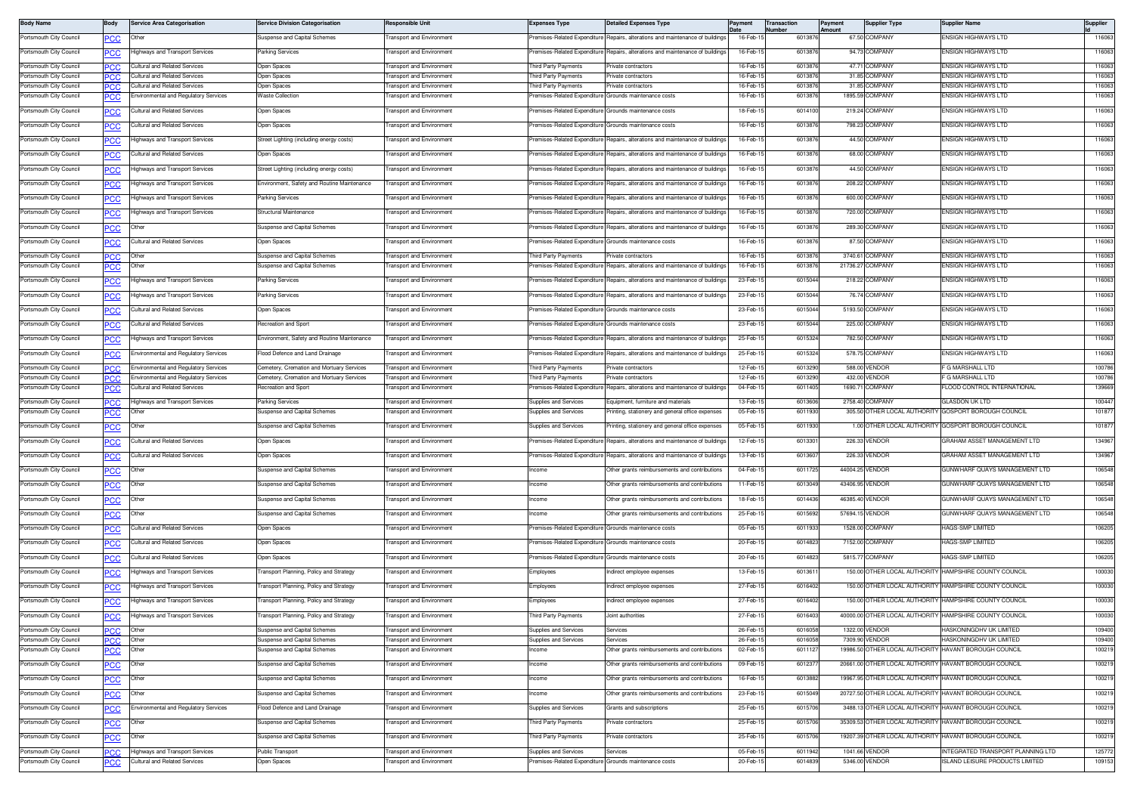| <b>Body Name</b>                                   | Body              | Service Area Categorisation                                                   | <b>Service Division Categorisation</b>                                                 | Responsible Unit                                                     | <b>Expenses Type</b>                                   | <b>Jetailed Expenses Type</b>                                                 | Payment              | Transaction<br>Number | Payment<br>Amount | <b>Supplier Type</b>             | Supplier Name                                                       | Supplier         |
|----------------------------------------------------|-------------------|-------------------------------------------------------------------------------|----------------------------------------------------------------------------------------|----------------------------------------------------------------------|--------------------------------------------------------|-------------------------------------------------------------------------------|----------------------|-----------------------|-------------------|----------------------------------|---------------------------------------------------------------------|------------------|
| Portsmouth City Council                            | <b>PCC</b>        | Other                                                                         | Suspense and Capital Schemes                                                           | ransport and Environment                                             |                                                        | remises-Related Expenditure Repairs, alterations and maintenance of buildings | 16-Feb-1             | 6013876               |                   | 67.50 COMPANY                    | <b>ENSIGN HIGHWAYS LTD</b>                                          | 116063           |
| Portsmouth City Council                            | <u>PCC</u>        | lighways and Transport Services                                               | Parking Services                                                                       | ransport and Environment                                             |                                                        | remises-Related Expenditure Repairs, alterations and maintenance of buildings | 16-Feb-1             | 6013876               |                   | 94.73 COMPANY                    | ENSIGN HIGHWAYS LTD                                                 | 116063           |
| Portsmouth City Council                            | PСC               | Cultural and Related Services                                                 | Open Spaces                                                                            | ransport and Environment                                             | Third Party Payments                                   | Private contractors                                                           | 16-Feb-1             | 601387                |                   | 47.71 COMPANY                    | ENSIGN HIGHWAYS LTD                                                 | 116063           |
| Portsmouth City Council                            | PCC               | Cultural and Related Services                                                 | Open Spaces                                                                            | <b>Transport and Environment</b>                                     | hird Party Payments                                    | Private contractors                                                           | 16-Feb-1             | 6013876               |                   | 31.85 COMPANY                    | ENSIGN HIGHWAYS LTD                                                 | 116063           |
| Portsmouth City Council                            | PСC               | Jultural and Related Services                                                 | Open Spaces                                                                            | <b>Transport and Environment</b>                                     | hird Party Payments                                    | rivate contractors                                                            | 16-Feb-1             | 601387                |                   | 31.85 COMPANY                    | <b>INSIGN HIGHWAYS LTD</b>                                          | 116063           |
| Portsmouth City Council                            | <u>PCC</u>        | nvironmental and Regulatory Services                                          | <b>Waste Collection</b>                                                                | ransport and Environment                                             | remises-Related Expenditure Grounds maintenance costs  |                                                                               | 16-Feb-1             | 601387                |                   | 1895.59 COMPANY                  | <b>INSIGN HIGHWAYS LTD</b>                                          | 116063           |
| Portsmouth City Council                            | <b>PCC</b>        | Cultural and Related Services                                                 | Open Spaces                                                                            | <b>Transport and Environment</b>                                     | Premises-Related Expenditure Grounds maintenance costs |                                                                               | 18-Feb-15            | 6014100               |                   | 219.24 COMPANY                   | ENSIGN HIGHWAYS LTD                                                 | 116063           |
| Portsmouth City Council                            | <u>PCC</u>        | ultural and Related Services                                                  | Open Spaces                                                                            | ransport and Environment                                             | remises-Related Expenditure Grounds maintenance costs  |                                                                               | 16-Feb-1             | 601387                |                   | 798.23 COMPANY                   | <b>ENSIGN HIGHWAYS LTD</b>                                          | 116063           |
| Portsmouth City Council                            | $\overline{C}$    | ighways and Transport Services                                                | Street Lighting (including energy costs)                                               | ransport and Environment                                             | remises-Related Expenditure                            | Repairs, alterations and maintenance of building                              | 16-Feb-15            | 6013876               |                   | 44.50 COMPANY                    | ENSIGN HIGHWAYS LTD                                                 | 116063           |
| Portsmouth City Council                            | PCC               | Cultural and Related Services                                                 | Open Spaces                                                                            | ransport and Environment                                             | remises-Related Expenditure                            | Repairs, alterations and maintenance of building                              | 16-Feb-1             | 601387                |                   | 68.00 COMPANY                    | <b>ENSIGN HIGHWAYS LTD</b>                                          | 116063           |
| Portsmouth City Council                            | <b>PCC</b>        | lighways and Transport Services                                               | Street Lighting (including energy costs)                                               | ransport and Environment                                             | remises-Related Expenditure                            | Repairs, alterations and maintenance of building                              | 16-Feb-1             | 6013876               |                   | 44.50 COMPANY                    | ENSIGN HIGHWAYS LTD                                                 | 116063           |
| Portsmouth City Council                            | <u>PCC</u>        | lighways and Transport Services                                               | Environment, Safety and Routine Maintenance                                            | <b>Transport and Environment</b>                                     | Premises-Related Expenditure                           | Repairs, alterations and maintenance of buildings                             | 16-Feb-1             | 6013876               |                   | 208.22 COMPANY                   | ENSIGN HIGHWAYS LTD                                                 | 116063           |
| Portsmouth City Council                            | <u>PCC</u>        | lighways and Transport Services                                               | <b>Parking Services</b>                                                                | ransport and Environment                                             |                                                        | Premises-Related Expenditure Repairs, alterations and maintenance of building | 16-Feb-1             | 601387                |                   | 600.00 COMPANY                   | ENSIGN HIGHWAYS LTD                                                 | 116063           |
| Portsmouth City Council                            | <u>PCC</u>        | lighways and Transport Services                                               | Structural Maintenance                                                                 | ansport and Environment                                              | remises-Related Expenditure                            | Repairs, alterations and maintenance of building                              | 16-Feb-1             | 6013876               |                   | 720.00 COMPANY                   | <b>INSIGN HIGHWAYS LTD</b>                                          | 116063           |
| Portsmouth City Council                            | PCC               | Other                                                                         | Suspense and Capital Schemes                                                           | ransport and Environment                                             | remises-Related Expenditure                            | Repairs, alterations and maintenance of building                              | 16-Feb-1             | 601387                |                   | 289.30 COMPANY                   | <b>INSIGN HIGHWAYS LTD</b>                                          | 116063           |
| Portsmouth City Council                            | <b>PCC</b>        | Cultural and Related Services                                                 | Open Spaces                                                                            | <b>Transport and Environment</b>                                     | Premises-Related Expenditure Grounds maintenance costs |                                                                               | 16-Feb-1             | 6013876               |                   | 87.50 COMPANY                    | ENSIGN HIGHWAYS LTD                                                 | 116063           |
| Portsmouth City Council                            | PСC               | Other                                                                         | Suspense and Capital Schemes                                                           | ransport and Environment                                             | hird Party Payments                                    | rivate contractors                                                            | 16-Feb-1             | 601387                |                   | 3740.61 COMPANY                  | ENSIGN HIGHWAYS LTD                                                 | 116063           |
| Portsmouth City Council                            |                   | Other                                                                         | <b>Suspense and Capital Schemes</b>                                                    | ransport and Environment                                             | remises-Related Expenditure                            | Repairs, alterations and maintenance of building                              | 16-Feb-1             | 601387                | 21736.27          | COMPANY                          | <b>INSIGN HIGHWAYS LTD</b>                                          | 116063           |
| Portsmouth City Council                            | ∍сс               | lighways and Transport Services                                               | Parking Services                                                                       | <b>Fransport and Environment</b>                                     | Premises-Related Expenditure                           | Repairs, alterations and maintenance of buildings                             | 23-Feb-1             | 601504                |                   | 218.22 COMPANY                   | ENSIGN HIGHWAYS LTD                                                 | 116063           |
| Portsmouth City Council                            | <u>PCC</u>        | lighways and Transport Services                                               | <b>Parking Services</b>                                                                | ransport and Environment                                             | remises-Related Expenditure                            | Repairs, alterations and maintenance of building                              | 23-Feb-1             | 601504                |                   | 76.74 COMPANY                    | ENSIGN HIGHWAYS LTD                                                 | 116063           |
| Portsmouth City Council                            | $\overline{PCC}$  | Cultural and Related Services                                                 | Open Spaces                                                                            | ransport and Environment                                             | emises-Related Expenditure                             | Grounds maintenance costs                                                     | 23-Feb-1             | 601504                |                   | 5193.50 COMPANY                  | ENSIGN HIGHWAYS LTD                                                 | 116063           |
| Portsmouth City Council                            | <b>PCC</b>        | Cultural and Related Services                                                 | Recreation and Sport                                                                   | ransport and Environment                                             | remises-Related Expenditure                            | Grounds maintenance costs                                                     | 23-Feb-1             | 601504                |                   | 225.00 COMPANY                   | <b>ENSIGN HIGHWAYS LTD</b>                                          | 116063           |
| Portsmouth City Council                            |                   | lighways and Transport Services                                               | Environment, Safety and Routine Maintenance                                            | ransport and Environment                                             | remises-Related Expenditure                            | Repairs, alterations and maintenance of building                              | 25-Feb-1             | 6015324               |                   | 782.50 COMPANY                   | ENSIGN HIGHWAYS LTD                                                 | 116063           |
| Portsmouth City Council                            | <b>PCC</b>        | invironmental and Regulatory Services                                         | Flood Defence and Land Drainage                                                        | ransport and Environment                                             | remises-Related Expenditure                            | Repairs, alterations and maintenance of buildings                             | 25-Feb-1             | 6015324               |                   | 578.75 COMPANY                   | ENSIGN HIGHWAYS LTD                                                 | 116063           |
|                                                    | PСC               |                                                                               |                                                                                        |                                                                      |                                                        |                                                                               |                      |                       |                   |                                  |                                                                     |                  |
| Portsmouth City Council<br>Portsmouth City Council | <b>PCC</b><br>PСC | Environmental and Regulatory Services<br>nvironmental and Regulatory Services | Cemetery, Cremation and Mortuary Services<br>Cemetery, Cremation and Mortuary Services | <b>Transport and Environment</b><br>ransport and Environment         | hird Party Payments<br>hird Party Payments             | Private contractors<br>rivate contractors                                     | 12-Feb-1<br>12-Feb-  | 6013290<br>601329     |                   | 588.00 VENDOR<br>432.00 VENDOR   | F G MARSHALL LTD<br>G MARSHALL LTD                                  | 100786<br>100786 |
| Portsmouth City Council                            |                   | Cultural and Related Services                                                 | Recreation and Sport                                                                   | ransport and Environment                                             | remises-Related Expenditure                            | Repairs, alterations and maintenance of building                              | 04-Feb-1             | 6011405               |                   | 1690.71 COMPANY                  | LOOD CONTROL INTERNATIONAL                                          | 139669           |
| Portsmouth City Council                            | PСC               | lighways and Transport Services                                               | <b>Parking Services</b>                                                                | ransport and Environment                                             | <b>Supplies and Services</b>                           | Equipment, furniture and materials                                            | 13-Feb-1             | 6013606               |                   | 2758.40 COMPANY                  | <b>GLASDON UK LTD</b>                                               | 100447           |
| Portsmouth City Council                            | PСC               | Other                                                                         | Suspense and Capital Schemes                                                           | ransport and Environment                                             | Supplies and Services                                  | rinting, stationery and general office expenses                               | 05-Feb-1             | 601193                |                   | 305.50 OTHER LOCAL AUTHORITY     | GOSPORT BOROUGH COUNCIL                                             | 101877           |
| Portsmouth City Council                            | $\overline{C}$    | Other                                                                         | Suspense and Capital Schemes                                                           | ransport and Environment                                             | Supplies and Services                                  | inting, stationery and general office expenses                                | 05-Feb-1             | 6011930               |                   |                                  | 1.00 OTHER LOCAL AUTHORITY GOSPORT BOROUGH COUNCIL                  | 101877           |
| Portsmouth City Council                            | <u>PCC</u>        | <b>Cultural and Related Services</b>                                          | Open Spaces                                                                            | ransport and Environment                                             |                                                        | Premises-Related Expenditure Repairs, alterations and maintenance of building | 12-Feb-1             | 601330                |                   | 226.33 VENDOR                    | GRAHAM ASSET MANAGEMENT LTD                                         | 134967           |
| Portsmouth City Council                            | <b>PCC</b>        | Cultural and Related Services                                                 | Open Spaces                                                                            | ransport and Environment                                             | remises-Related Expenditure                            | Repairs, alterations and maintenance of buildings                             | 13-Feb-1             | 6013607               |                   | 226.33 VENDOR                    | RAHAM ASSET MANAGEMENT LTD                                          | 134967           |
| Portsmouth City Council                            | <b>PCC</b>        | Other                                                                         | Suspense and Capital Schemes                                                           | ransport and Environment                                             | Income                                                 | Other grants reimbursements and contributions                                 | 04-Feb-1             | 6011725               |                   | 44004.25 VENDOR                  | GUNWHARF QUAYS MANAGEMENT LTD                                       | 106548           |
| Portsmouth City Council                            | $\overline{PCC}$  | Other                                                                         | Suspense and Capital Schemes                                                           | ransport and Environment                                             | Income                                                 | Other grants reimbursements and contributions                                 | 11-Feb-1             | 601304                |                   | 43406.95 VENDOR                  | GUNWHARF QUAYS MANAGEMENT LTD                                       | 106548           |
| Portsmouth City Council                            | $\overline{C}$    | Other                                                                         | Suspense and Capital Schemes                                                           | ansport and Environment                                              | ncome                                                  | Other grants reimbursements and contributions                                 | 18-Feb-1             | 6014436               |                   | 46385.40 VENDOR                  | GUNWHARF QUAYS MANAGEMENT LTD                                       | 106548           |
| Portsmouth City Council                            | <u>PCC</u>        | Other                                                                         | Suspense and Capital Schemes                                                           | ransport and Environment                                             | ncome                                                  | Other grants reimbursements and contributions                                 | 25-Feb-1             | 6015692               |                   | 57694.15 VENDOR                  | GUNWHARF QUAYS MANAGEMENT LTD                                       | 106548           |
| Portsmouth City Council                            |                   | Cultural and Related Services                                                 | Open Spaces                                                                            | ransport and Environment                                             | remises-Related Expenditure Grounds maintenance costs  |                                                                               | 05-Feb-1             | 601193                |                   | 1528.00 COMPANY                  | <b>IAGS-SMP LIMITED</b>                                             | 106205           |
| Portsmouth City Council                            | <u>PCC</u>        | Cultural and Related Services                                                 | Open Spaces                                                                            | ransport and Environment                                             | Premises-Related Expenditure Grounds maintenance costs |                                                                               | 20-Feb-1             | 6014823               |                   | 7152.00 COMPANY                  | <b>HAGS-SMP LIMITED</b>                                             | 106205           |
|                                                    | <u>PCC</u>        | Cultural and Related Services                                                 |                                                                                        | ransport and Environment                                             | Premises-Related Expenditure Grounds maintenance costs |                                                                               | 20-Feb-1             | 601482                |                   | 5815.77 COMPANY                  | HAGS-SMP LIMITED                                                    | 106205           |
| Portsmouth City Council                            | <b>PCC</b>        |                                                                               | Open Spaces                                                                            |                                                                      |                                                        |                                                                               |                      |                       |                   |                                  |                                                                     |                  |
| Portsmouth City Council                            |                   | lighways and Transport Services                                               | ransport Planning, Policy and Strategy                                                 | ansport and Environment                                              | Employees                                              | ndirect employee expenses                                                     | 13-Feb-1             | 601361                |                   |                                  | 150.00 OTHER LOCAL AUTHORITY HAMPSHIRE COUNTY COUNCIL               | 100030           |
| Portsmouth City Council                            | <u>PCC</u>        | lighways and Transport Services                                               | Fransport Planning, Policy and Strategy                                                | ransport and Environment                                             | Employees                                              | ndirect employee expenses                                                     | 27-Feb-1             | 6016402               |                   |                                  | 150.00 OTHER LOCAL AUTHORITY HAMPSHIRE COUNTY COUNCIL               | 100030           |
| Portsmouth City Council                            | <u>PCC</u>        | lighways and Transport Services                                               | ransport Planning, Policy and Strategy                                                 | ransport and Environment                                             | <i>imployees</i>                                       | ndirect employee expenses                                                     | 27-Feb-1             | 601640                |                   |                                  | 150.00 OTHER LOCAL AUTHORITY HAMPSHIRE COUNTY COUNCIL               | 100030           |
| Portsmouth City Council                            | <u>PCC</u>        | lighways and Transport Services                                               | Transport Planning, Policy and Strategy                                                | ransport and Environment                                             | Third Party Payments                                   | Joint authorities                                                             | 27-Feb-15            | 6016403               |                   |                                  | 40000.00 OTHER LOCAL AUTHORITY HAMPSHIRE COUNTY COUNCIL             | 100030           |
| Portsmouth City Council<br>Portsmouth City Council | PCC.              | Other<br>Other                                                                | Suspense and Capital Schemes<br>Suspense and Capital Schemes                           | <b>Fransport and Environment</b><br><b>Fransport and Environment</b> | Supplies and Services<br>Supplies and Services         | Services<br>Services                                                          | 26-Feb-1<br>26-Feb-1 | 601605<br>6016058     |                   | 1322.00 VENDOR<br>7309.90 VENDOR | HASKONINGDHV UK LIMITED<br>HASKONINGDHV UK LIMITED                  | 109400<br>109400 |
| Portsmouth City Council                            | PCC<br><u>PCC</u> | Other                                                                         | Suspense and Capital Schemes                                                           | ransport and Environment                                             | ncome                                                  | Other grants reimbursements and contributions                                 | 02-Feb-1             | 601112                |                   |                                  | 19986.50 OTHER LOCAL AUTHORITY HAVANT BOROUGH COUNCIL               | 100219           |
| Portsmouth City Council                            |                   | Other                                                                         | Suspense and Capital Schemes                                                           | <b>Transport and Environment</b>                                     | Income                                                 | Other grants reimbursements and contributions                                 | 09-Feb-1             | 601237                |                   |                                  | 20661.00 OTHER LOCAL AUTHORITY HAVANT BOROUGH COUNCIL               | 100219           |
| Portsmouth City Council                            | $\overline{C}$    | Other                                                                         | Suspense and Capital Schemes                                                           | ransport and Environment                                             | ncome                                                  | Other grants reimbursements and contributions                                 | 16-Feb-1             | 601388                |                   |                                  | 19967.95 OTHER LOCAL AUTHORITY HAVANT BOROUGH COUNCIL               | 100219           |
| Portsmouth City Council                            |                   |                                                                               |                                                                                        |                                                                      |                                                        |                                                                               | 23-Feb-15            | 6015049               |                   |                                  | 20727.50 OTHER LOCAL AUTHORITY HAVANT BOROUGH COUNCIL               | 100219           |
|                                                    | <u>PCC</u>        | Other<br>invironmental and Regulatory Services                                | Suspense and Capital Schemes<br>Flood Defence and Land Drainage                        | ransport and Environment                                             | ncome                                                  | Other grants reimbursements and contributions                                 |                      |                       |                   |                                  |                                                                     | 100219           |
| Portsmouth City Council                            | <b>PCC</b>        |                                                                               |                                                                                        | Fransport and Environment                                            | <b>Supplies and Services</b>                           | Grants and subscriptions                                                      | 25-Feb-1             | 6015706               |                   |                                  | 3488.13 OTHER LOCAL AUTHORITY HAVANT BOROUGH COUNCIL                |                  |
| Portsmouth City Council                            | <u>PCC</u>        | Other                                                                         | Suspense and Capital Schemes                                                           | ransport and Environment                                             | hird Party Payments                                    | rivate contractors                                                            | 25-Feb-1             | 6015706               |                   |                                  | 35309.53 OTHER LOCAL AUTHORITY HAVANT BOROUGH COUNCIL               | 100219           |
| Portsmouth City Council                            |                   | Other                                                                         | Suspense and Capital Schemes                                                           | <b>Fransport and Environment</b>                                     | hird Party Payments                                    | rivate contractors                                                            | 25-Feb-1             | 601570                |                   |                                  | 19207.39 OTHER LOCAL AUTHORITY HAVANT BOROUGH COUNCIL               | 100219           |
| Portsmouth City Council<br>Portsmouth City Council | PСC               | lighways and Transport Services<br>ultural and Related Services               | Public Transport<br>Open Spaces                                                        | ransport and Environment<br>ransport and Environment                 | <b>Supplies and Services</b>                           | Services<br>remises-Related Expenditure Grounds maintenance costs             | 05-Feb-1<br>20-Feb-1 | 6011942<br>6014839    |                   | 1041.66 VENDOR<br>5346.00 VENDOR | INTEGRATED TRANSPORT PLANNING LTD<br>SLAND LEISURE PRODUCTS LIMITED | 125772<br>109153 |
|                                                    | <u>PCC</u>        |                                                                               |                                                                                        |                                                                      |                                                        |                                                                               |                      |                       |                   |                                  |                                                                     |                  |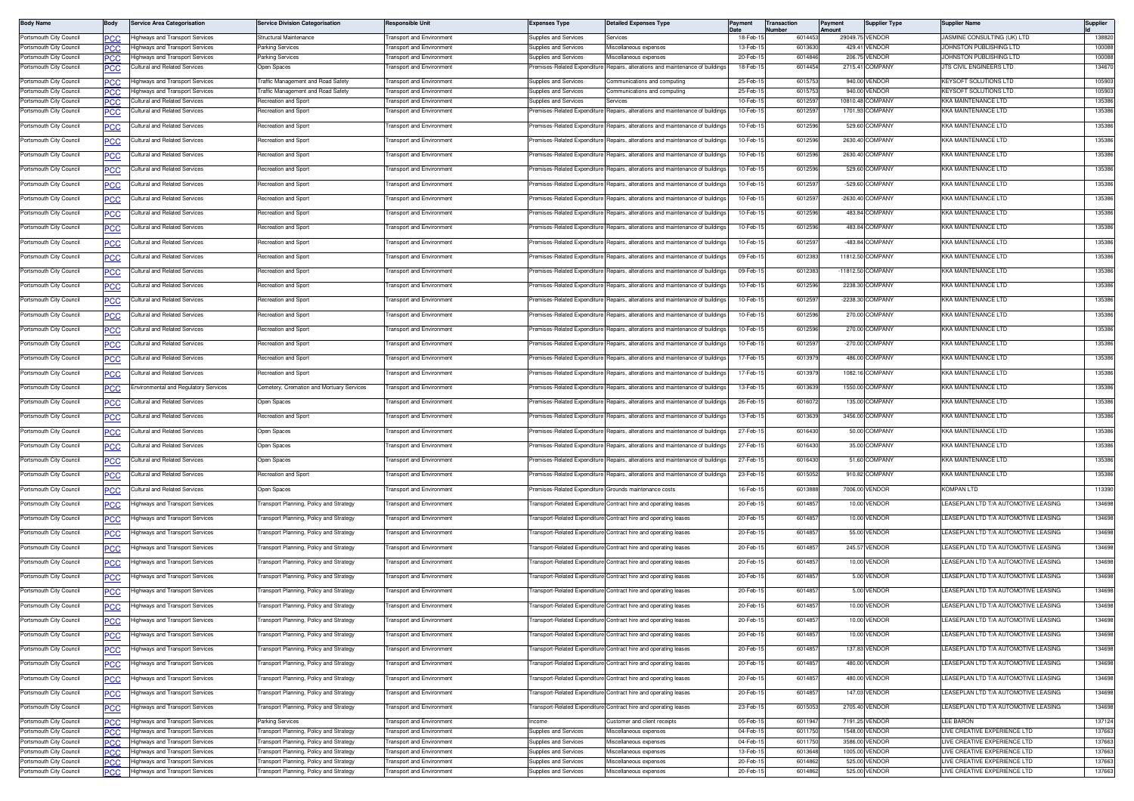| <b>Body Name</b>                                   | Body             | <b>Service Area Categorisation</b>                                 | <b>Service Division Categorisation</b>                                           | Responsible Unit                                            | <b>Expenses Type</b>                                       | <b>Detailed Expenses Type</b>                                                                                                        | Payment              | Transaction<br>Number | Payment<br>mount | <b>Supplier Type</b>             | Supplier Name                                                               | Supplier         |
|----------------------------------------------------|------------------|--------------------------------------------------------------------|----------------------------------------------------------------------------------|-------------------------------------------------------------|------------------------------------------------------------|--------------------------------------------------------------------------------------------------------------------------------------|----------------------|-----------------------|------------------|----------------------------------|-----------------------------------------------------------------------------|------------------|
| Portsmouth City Council                            | ∍сс              | lighways and Transport Services                                    | Structural Maintenance                                                           | <b>Fransport and Environment</b>                            | Supplies and Services                                      | Services                                                                                                                             | 18-Feb-1             | 601445                |                  | 29049.75 VENDOR                  | JASMINE CONSULTING (UK) LTD                                                 | 138820           |
| Portsmouth City Council                            | PCC              | lighways and Transport Services<br>lighways and Transport Services | arking Services                                                                  | ransport and Environment<br>ransport and Environmen         | Supplies and Services                                      | Miscellaneous expenses<br>Miscellaneous expenses                                                                                     | 13-Feb-1             | 601363<br>601484      |                  | 429.41 VENDOR<br>206.75 VENDOR   | OHNSTON PUBLISHING LTD                                                      | 100088           |
| Portsmouth City Council<br>Portsmouth City Council | <b>PCC</b>       | ultural and Related Services                                       | arking Services<br>Jpen Spaces                                                   | ansport and Environmen                                      | <b>Supplies and Services</b><br>emises-Related Expenditure | Repairs, alterations and maintenance of building                                                                                     | 20-Feb-1<br>18-Feb-1 | 601445                |                  | 2715.41 COMPANY                  | <b>IOHNSTON PUBLISHING LTD</b><br>TS CIVIL ENGINEERS LTD                    | 100088<br>13467  |
|                                                    |                  |                                                                    |                                                                                  |                                                             |                                                            |                                                                                                                                      |                      |                       |                  |                                  |                                                                             |                  |
| Portsmouth City Council<br>Portsmouth City Council |                  | lighways and Transport Services<br>ighways and Transport Services  | <b>Traffic Management and Road Safety</b><br>raffic Management and Road Safety   | <b>Transport and Environment</b><br>ransport and Environmen | Supplies and Services<br>upplies and Services              | Communications and computing<br>communications and computing                                                                         | 25-Feb-1<br>25-Feb-1 | 601575<br>601575      |                  | 940.00 VENDOR<br>940.00 VENDOR   | KEYSOFT SOLUTIONS LTD<br>EYSOFT SOLUTIONS LTD                               | 105903<br>105903 |
| Portsmouth City Council                            | ∍сс<br>PCC.      | ultural and Related Services                                       | Recreation and Sport                                                             | ransport and Environmen                                     | Supplies and Services                                      | Services                                                                                                                             | 10-Feb-1             | 601259                |                  | 10810.48 COMPANY                 | <b>(KA MAINTFNANCF I TD)</b>                                                | 135386           |
| Portsmouth City Council                            | ∍CC              | ultural and Related Services                                       | Recreation and Sport                                                             | ransport and Environment                                    |                                                            | remises-Related Expenditure Repairs, alterations and maintenance of buildings                                                        | 10-Feb-1             | 601259                |                  | 1701.93 COMPANY                  | KKA MAINTENANCE LTD                                                         | 135386           |
| Portsmouth City Council                            | <u>PCC</u>       | ultural and Related Services                                       | Recreation and Sport                                                             | ransport and Environment                                    |                                                            | Premises-Related Expenditure Repairs, alterations and maintenance of buildings                                                       | 10-Feb-1             | 601259                |                  | 529.60 COMPANY                   | KKA MAINTENANCE LTD                                                         | 135386           |
| Portsmouth City Council                            | <u>PCC</u>       | Cultural and Related Services                                      | Recreation and Sport                                                             | ransport and Environment                                    | remises-Related Expenditure                                | Repairs, alterations and maintenance of buildings                                                                                    | 10-Feb-1             | 601259                |                  | 2630.40 COMPANY                  | (KA MAINTENANCE LTD                                                         | 135386           |
| Portsmouth City Council                            | ∍сс              | <b>Cultural and Related Services</b>                               | Recreation and Sport                                                             | <b>Transport and Environment</b>                            |                                                            | Premises-Related Expenditure Repairs, alterations and maintenance of buildings                                                       | $10-Feb-1$           | 601259                |                  | 2630.40 COMPANY                  | <b>KKA MAINTENANCE LTD</b>                                                  | 135386           |
| Portsmouth City Council                            | <b>PCC</b>       | Cultural and Related Services                                      | Recreation and Sport                                                             | ransport and Environmen                                     | Premises-Related Expenditure                               | Repairs, alterations and maintenance of building                                                                                     | 10-Feb-1             | 601259                |                  | 529.60 COMPANY                   | <b>KKA MAINTENANCE LTD</b>                                                  | 135386           |
| Portsmouth City Council                            | <u>PCC</u>       | Cultural and Related Services                                      | Recreation and Sport                                                             | <b>Transport and Environment</b>                            | Premises-Related Expenditure                               | Repairs, alterations and maintenance of buildings                                                                                    | 10-Feb-1             | 601259                |                  | -529.60 COMPANY                  | KKA MAINTENANCE LTD                                                         | 135386           |
| Portsmouth City Council                            | <b>PCC</b>       | Cultural and Related Services                                      | Recreation and Sport                                                             | ransport and Environment                                    |                                                            | remises-Related Expenditure Repairs, alterations and maintenance of buildings                                                        | 10-Feb-1             | 601259                |                  | -2630.40 COMPANY                 | <b>KKA MAINTFNANCF I TD</b>                                                 | 135386           |
| Portsmouth City Council                            | PCC              | Cultural and Related Services                                      | Recreation and Sport                                                             | ransport and Environment                                    | remises-Related Expenditure                                | Repairs, alterations and maintenance of buildings                                                                                    | 10-Feb-1             | 601259                |                  | 483.84 COMPANY                   | <b>KKA MAINTENANCE LTD</b>                                                  | 135386           |
| Portsmouth City Council                            | ∍сс              | <b>Cultural and Related Services</b>                               | Recreation and Sport                                                             | <b>Transport and Environment</b>                            |                                                            | remises-Related Expenditure Repairs, alterations and maintenance of buildings                                                        | $10-Feb-1$           | 601259                |                  | 483.84 COMPANY                   | <b>KKA MAINTENANCE LTD</b>                                                  | 135386           |
| Portsmouth City Council                            | <u>PCC</u>       | Cultural and Related Services                                      | Recreation and Sport                                                             | <b>Fransport and Environment</b>                            | Premises-Related Expenditure                               | Repairs, alterations and maintenance of building                                                                                     | 10-Feb-1             | 601259                |                  | -483.84 COMPANY                  | <b>KKA MAINTENANCE LTD</b>                                                  | 135386           |
| Portsmouth City Council                            |                  | Cultural and Related Services                                      | Recreation and Sport                                                             | <b>Fransport and Environment</b>                            | Premises-Related Expenditure                               | Repairs, alterations and maintenance of buildings                                                                                    | 09-Feb-1             | 601238                |                  | 11812.50 COMPANY                 | <b>KKA MAINTENANCE LTD</b>                                                  | 135386           |
| Portsmouth City Council                            | PСC              | ultural and Related Services                                       | Recreation and Sport                                                             | ransport and Environment                                    | remises-Related Expenditure                                | Repairs, alterations and maintenance of buildings                                                                                    | 09-Feb-1             | 601238                |                  | -11812.50 COMPANY                | <b>KKA MAINTENANCE LTD</b>                                                  | 135386           |
| Portsmouth City Council                            | <b>PCC</b>       | Cultural and Related Services                                      | Recreation and Sport                                                             | ransport and Environment                                    | remises-Related Expenditure                                | Repairs, alterations and maintenance of buildings                                                                                    | 10-Feb-1             | 601259                |                  | 2238.30 COMPANY                  | <b>KA MAINTENANCE LTD</b>                                                   | 135386           |
| Portsmouth City Council                            | ∍сс              | Cultural and Related Services                                      | Recreation and Sport                                                             | <b>Transport and Environment</b>                            | Premises-Related Expenditure                               | Repairs, alterations and maintenance of buildings                                                                                    | $10-Feb-1$           | 601259                |                  | -2238.30 COMPANY                 | KKA MAINTENANCE LTD                                                         | 135386           |
| Portsmouth City Council                            | <u>PCC</u>       | Cultural and Related Services                                      | Recreation and Sport                                                             | ransport and Environmen                                     | Premises-Related Expenditure                               | Repairs, alterations and maintenance of building                                                                                     | 10-Feb-1             | 601259                |                  | 270.00 COMPANY                   | <b>KKA MAINTENANCE LTD</b>                                                  | 135386           |
| Portsmouth City Council                            | <u>PCC</u>       | Cultural and Related Services                                      | Recreation and Sport                                                             | ransport and Environment                                    | Premises-Related Expenditure                               | Repairs, alterations and maintenance of building                                                                                     | 10-Feb-1             | 6012596               |                  | 270.00 COMPANY                   | KKA MAINTENANCE LTD                                                         | 135386           |
| Portsmouth City Council                            | <u>PCC</u>       | Cultural and Related Services                                      | Recreation and Sport                                                             | ransport and Environment                                    |                                                            | remises-Related Expenditure Repairs, alterations and maintenance of buildings                                                        | 10-Feb-1             | 601259                |                  | -270.00 COMPANY                  | <b>KKA MAINTENANCE LTD</b>                                                  | 135386           |
| Portsmouth City Council                            | <u>PCC</u>       | Cultural and Related Services                                      | Recreation and Sport                                                             | ransport and Environment                                    | remises-Related Expenditure                                | Repairs, alterations and maintenance of buildings                                                                                    | 17-Feb-1             | 601397                |                  | 486.00 COMPANY                   | (KA MAINTENANCE LTD                                                         | 135386           |
| Portsmouth City Council                            |                  | <b>Cultural and Related Services</b>                               | Recreation and Sport                                                             | <b>Fransport and Environment</b>                            |                                                            | remises-Related Expenditure Repairs, alterations and maintenance of buildings                                                        | 17-Feb-1             | 601397                |                  | 1082.16 COMPANY                  | KKA MAINTENANCE LTD                                                         | 135386           |
| Portsmouth City Council                            | <u>PCC</u>       | nvironmental and Regulatory Services                               | Cemetery, Cremation and Mortuary Services                                        | ransport and Environmen                                     | Premises-Related Expenditure                               | Repairs, alterations and maintenance of building                                                                                     | 13-Feb-1             | 601363                |                  | 1550.00 COMPANY                  | <b>KKA MAINTENANCE LTD</b>                                                  | 135386           |
| Portsmouth City Council                            | <u>PCC</u>       | Cultural and Related Services                                      | Open Spaces                                                                      | <b>Fransport and Environment</b>                            |                                                            | Premises-Related Expenditure Repairs, alterations and maintenance of buildings                                                       | 26-Feb-1             | 601607                |                  | 135.00 COMPANY                   | KKA MAINTENANCE LTD                                                         | 135386           |
| Portsmouth City Council                            | PСC              | Cultural and Related Services                                      | Recreation and Sport                                                             | ransport and Environment                                    |                                                            | Premises-Related Expenditure Repairs, alterations and maintenance of buildings                                                       | 13-Feb-1             | 601363                |                  | 3456.00 COMPANY                  | KKA MAINTENANCE LTD                                                         | 135386           |
| Portsmouth City Council                            | <u>PCC</u>       | Cultural and Related Services                                      | Open Spaces                                                                      | ransport and Environment                                    | remises-Related Expenditure                                | Repairs, alterations and maintenance of buildings                                                                                    | 27-Feb-1             | 601643                |                  | 50.00 COMPANY                    | <b>KKA MAINTENANCE LTD</b>                                                  | 135386           |
| Portsmouth City Council                            | ∍сс              | Cultural and Related Services                                      | Open Spaces                                                                      | ransport and Environment                                    |                                                            | Premises-Related Expenditure Repairs, alterations and maintenance of buildings                                                       | 27-Feb-1             | 601643                |                  | 35.00 COMPANY                    | <b>KKA MAINTENANCE LTD</b>                                                  | 135386           |
| Portsmouth City Council                            | <u>PCC</u>       | Cultural and Related Services                                      | Open Spaces                                                                      | ransport and Environment                                    | Premises-Related Expenditure                               | Repairs, alterations and maintenance of building                                                                                     | 27-Feb-1             | 601643                |                  | 51.60 COMPANY                    | <b>KKA MAINTENANCE LTD</b>                                                  | 135386           |
| Portsmouth City Council                            | <u>PCC</u>       | <b>Cultural and Related Services</b>                               | Recreation and Sport                                                             | ransport and Environment                                    |                                                            | remises-Related Expenditure Repairs, alterations and maintenance of buildings                                                        | 23-Feb-1             | 601505                |                  | 910.82 COMPANY                   | KKA MAINTENANCE LTD                                                         | 135386           |
| Portsmouth City Council                            | PСC              | ultural and Related Services                                       | Open Spaces                                                                      | ransport and Environment                                    | remises-Related Expenditure Grounds maintenance costs      |                                                                                                                                      | 16-Feb-15            | 601388                |                  | 7006.00 VENDOR                   | <b>KOMPAN LTD</b>                                                           | 113390           |
| Portsmouth City Council                            |                  | lighways and Transport Services                                    | ransport Planning, Policy and Strategy                                           | ransport and Environment                                    |                                                            | ransport-Related Expenditure Contract hire and operating leases                                                                      | 20-Feb-1             | 601485                |                  | 10.00 VENDOR                     | EASEPLAN LTD T/A AUTOMOTIVE LEASING                                         | 134698           |
| Portsmouth City Council                            | <u>PCC</u>       | lighways and Transport Services                                    | ransport Planning, Policy and Strategy                                           | ransport and Environment                                    |                                                            | Fransport-Related Expenditure Contract hire and operating leases                                                                     | 20-Feb-1             | 601485                |                  | 10.00 VENDOR                     | LEASEPLAN LTD T/A AUTOMOTIVE LEASING                                        | 134698           |
|                                                    | PСC              |                                                                    |                                                                                  |                                                             |                                                            |                                                                                                                                      |                      |                       |                  |                                  |                                                                             |                  |
| Portsmouth City Council                            |                  | lighways and Transport Services                                    | ransport Planning, Policy and Strategy                                           | ransport and Environment                                    |                                                            | Fransport-Related Expenditure Contract hire and operating leases                                                                     | 20-Feb-1             | 601485                |                  | 55.00 VENDOR                     | EASEPLAN LTD T/A AUTOMOTIVE LEASING                                         | 134698           |
| Portsmouth City Council                            |                  | Highways and Transport Services                                    | <b>Transport Planning, Policy and Strategy</b>                                   | ransport and Environment                                    |                                                            | Transport-Related Expenditure Contract hire and operating leases                                                                     | 20-Feb-15            | 601485                |                  | 245.57 VENDOR                    | LEASEPLAN LTD T/A AUTOMOTIVE LEASING                                        | 134698           |
| Portsmouth City Council                            | <u>PCC</u>       | lighways and Transport Services                                    | ransport Planning, Policy and Strategy                                           | ransport and Environment                                    |                                                            | Fransport-Related Expenditure Contract hire and operating leases                                                                     | 20-Feb-1             | 601485                |                  | 10.00 VENDOR                     | EASEPLAN LTD T/A AUTOMOTIVE LEASING                                         | 134698           |
| Portsmouth City Council                            | <u>PCC</u>       | lighways and Transport Services                                    | ransport Planning, Policy and Strategy                                           | ransport and Environment                                    |                                                            | ransport-Related Expenditure Contract hire and operating leases                                                                      | 20-Feb-1             | 601485                |                  | 5.00 VENDOR                      | EASEPLAN LTD T/A AUTOMOTIVE LEASING                                         | 134698           |
| Portsmouth City Council                            | ٥с               | lighways and Transport Services                                    | ransport Planning, Policy and Strategy                                           | ransport and Environment                                    |                                                            | Fransport-Related Expenditure Contract hire and operating leases                                                                     | 20-Feb-1             | 601485                |                  | 5.00 VENDOR                      | LEASEPLAN LTD T/A AUTOMOTIVE LEASING                                        | 134698           |
| Portsmouth City Council                            | <u>PCC</u>       | Highways and Transport Services                                    | Transport Planning, Policy and Strategy                                          | ransport and Environment                                    |                                                            | Transport-Related Expenditure Contract hire and operating leases                                                                     | 20-Feb-1             | 601485                |                  | 10.00 VENDOR                     | LEASEPLAN LTD T/A AUTOMOTIVE LEASING                                        | 134698           |
| Portsmouth City Council                            | <b>PCC</b>       | Highways and Transport Services                                    | Transport Planning, Policy and Strategy                                          | <b>Transport and Environment</b>                            |                                                            | Transport-Related Expenditure Contract hire and operating leases                                                                     | 20-Feb-15            | 6014857               |                  | 10.00 VENDOR                     | LEASEPLAN LTD T/A AUTOMOTIVE LEASING                                        | 134698<br>134698 |
| Portsmouth City Council                            | <b>PCC</b>       | lighways and Transport Services                                    | ransport Planning, Policy and Strategy<br>ransport Planning, Policy and Strategy | ransport and Environment                                    |                                                            | Fransport-Related Expenditure Contract hire and operating leases<br>Fransport-Related Expenditure Contract hire and operating leases | 20-Feb-1             | 601485                |                  | 10.00 VENDOR<br>137.83 VENDOR    | LEASEPLAN LTD T/A AUTOMOTIVE LEASING<br>EASEPLAN LTD T/A AUTOMOTIVE LEASING |                  |
| Portsmouth City Council                            | <u>PCC</u>       | lighways and Transport Services                                    |                                                                                  | ransport and Environment                                    |                                                            |                                                                                                                                      | 20-Feb-1             | 601485                |                  |                                  | LEASEPLAN LTD T/A AUTOMOTIVE LEASING                                        | 134698           |
| Portsmouth City Council                            | <u>PCC</u>       | lighways and Transport Services                                    | <b>Transport Planning, Policy and Strategy</b>                                   | <b>Transport and Environment</b>                            |                                                            | Fransport-Related Expenditure Contract hire and operating leases                                                                     | 20-Feb-1             | 601485                |                  | 480.00 VENDOR                    |                                                                             | 134698           |
| Portsmouth City Council                            | PCC              | lighways and Transport Services                                    | ransport Planning, Policy and Strategy                                           | ransport and Environment                                    |                                                            | Fransport-Related Expenditure Contract hire and operating leases                                                                     | 20-Feb-1             | 601485                |                  | 480.00 VENDOR                    | LEASEPLAN LTD T/A AUTOMOTIVE LEASING                                        | 134698           |
| Portsmouth City Council                            | <u>PCC</u>       | lighways and Transport Services                                    | ransport Planning, Policy and Strategy                                           | ransport and Environment                                    |                                                            | Fransport-Related Expenditure Contract hire and operating leases                                                                     | 20-Feb-1             | 601485                |                  | 147.03 VENDOR                    | LEASEPLAN LTD T/A AUTOMOTIVE LEASING                                        | 134698           |
| Portsmouth City Council                            | $\overline{PCC}$ | ighways and Transport Services                                     | ransport Planning, Policy and Strategy                                           | ransport and Environment                                    |                                                            | Fransport-Related Expenditure Contract hire and operating leases                                                                     | 23-Feb-15            | 601505                |                  | 2705.40 VENDOR                   | LEASEPLAN LTD T/A AUTOMOTIVE LEASING                                        | 134698           |
| Portsmouth City Council<br>Portsmouth City Council | PCC              | lighways and Transport Services<br>lighways and Transport Services | Parking Services<br>ransport Planning, Policy and Strategy                       | ransport and Environment<br>ransport and Environment        | ncome<br>Supplies and Services                             | Customer and client receipts<br>Miscellaneous expenses                                                                               | 05-Feb-1<br>04-Feb-1 | 601194<br>601175      |                  | 7191.25 VENDOR<br>1548.00 VENDOR | EE BARON<br>LIVE CREATIVE EXPERIENCE LTD                                    | 137124<br>137663 |
| Portsmouth City Council                            | PCC<br>PСC       | lighways and Transport Services                                    | ansport Planning, Policy and Strategy                                            | ransport and Environment                                    | Supplies and Services                                      | liscellaneous expenses                                                                                                               | 04-Feb-1             | 601175                |                  | 3586.00 VENDOR                   | IVE CREATIVE EXPERIENCE LTD                                                 | 137663           |
| Portsmouth City Council                            | PCC              | lighways and Transport Services                                    | ransport Planning, Policy and Strategy                                           | <b>Fransport and Environment</b>                            | <b>Supplies and Services</b>                               | Miscellaneous expenses                                                                                                               | 13-Feb-1             | 601364                |                  | 1005.00 VENDOR                   | LIVE CREATIVE EXPERIENCE LTD                                                | 137663           |
| Portsmouth City Council                            | PCC              | ighways and Transport Services                                     | ransport Planning, Policy and Strategy                                           | ransport and Environment                                    | <b>Supplies and Services</b>                               | liscellaneous expenses                                                                                                               | 20-Feb-1             | 601486                |                  | 525.00 VENDOR                    | LIVE CREATIVE EXPERIENCE LTD                                                | 137663           |
| Portsmouth City Council                            | <b>PCC</b>       | lighways and Transport Services                                    | ransport Planning, Policy and Strategy                                           | <b>Fransport and Environment</b>                            | Supplies and Services                                      | Miscellaneous expenses                                                                                                               | 20-Feb-15            | 6014862               |                  | 525.00 VENDOR                    | LIVE CREATIVE EXPERIENCE LTD                                                | 137663           |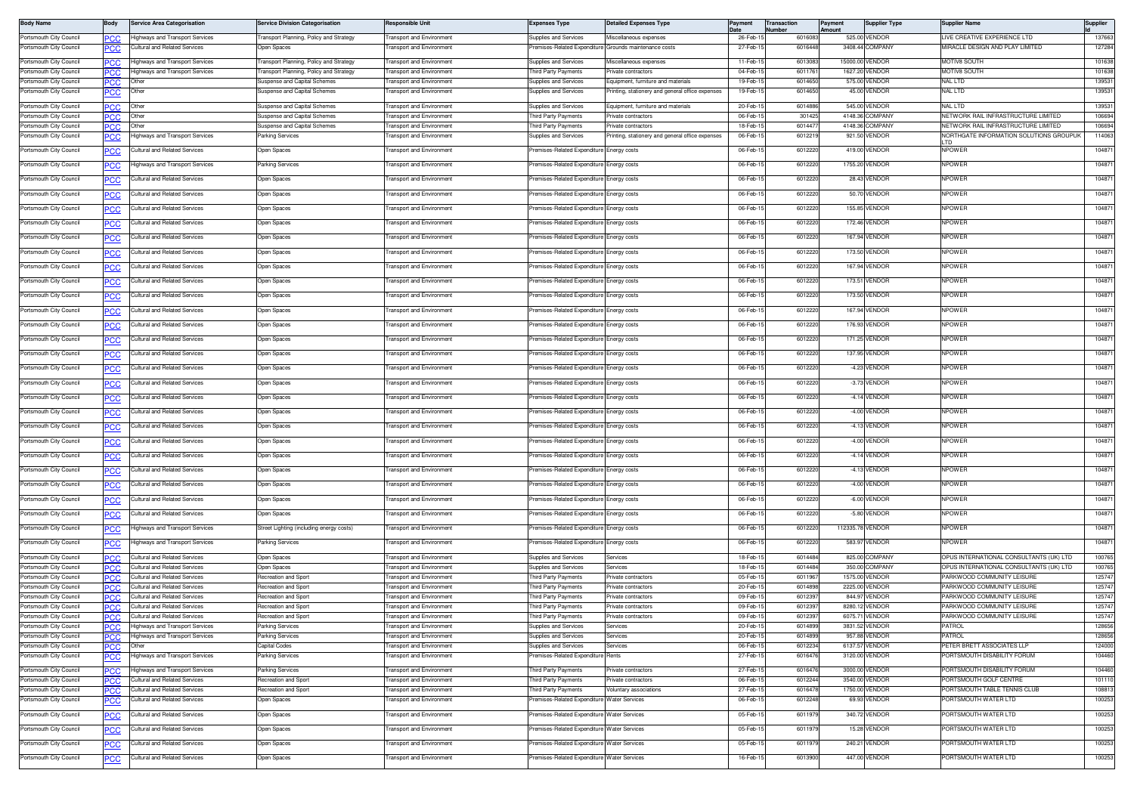| <b>Body Name</b>                                   | Body        | <b>Service Area Categorisation</b>                                      | ervice Division Categorisation                 | esponsible Unit                                      | Expenses Type                                                            | <b>Detailed Expenses Type</b>                                          | Payment              | Transaction<br>Number | Payment<br>Amount | <b>Supplier Type</b>             | <b>Supplier Name</b>                                                           | Supplier         |
|----------------------------------------------------|-------------|-------------------------------------------------------------------------|------------------------------------------------|------------------------------------------------------|--------------------------------------------------------------------------|------------------------------------------------------------------------|----------------------|-----------------------|-------------------|----------------------------------|--------------------------------------------------------------------------------|------------------|
| Portsmouth City Council                            |             | Highways and Transport Services                                         | ransport Planning, Policy and Strategy         | ransport and Environment                             | Supplies and Services                                                    | Miscellaneous expenses                                                 | 26-Feb-1             | 601608                |                   | 525.00 VENDOR                    | IVE CREATIVE EXPERIENCE LTD                                                    | 137663           |
| Portsmouth City Council                            | PCC         | Cultural and Related Services                                           | pen Spaces                                     | ansport and Environment                              |                                                                          | remises-Related Expenditure Grounds maintenance costs                  | 27-Feb-1             | 6016448               |                   | 3408.44 COMPANY                  | <b><i>IIRACLE DESIGN AND PLAY LIMITED</i></b>                                  | 127284           |
| Portsmouth City Council                            | PCC         | <b>Highways and Transport Services</b>                                  | <b>Transport Planning, Policy and Strategy</b> | <b>Transport and Environment</b>                     | <b>Supplies and Services</b>                                             | Miscellaneous expenses                                                 | 11-Feb-1             | 6013083               |                   | 15000.00 VENDOR                  | <b>MOTIV8 SOUTH</b>                                                            | 101638           |
| Portsmouth City Council                            | PCC         | Highways and Transport Services                                         | ransport Planning, Policy and Strategy         | ransport and Environment                             | hird Party Payments                                                      | Private contractors                                                    | 04-Feb-1             | 601176                |                   | 1627.20 VENDOR                   | MOTIV8 SOUTH                                                                   | 101638           |
| Portsmouth City Council                            |             | Other                                                                   | uspense and Capital Schemes                    | ransport and Environment                             | Supplies and Services                                                    | Equipment, furniture and materials                                     | 19-Feb-              | 601465                |                   | 575.00 VENDOR                    | NAL LTD                                                                        | 139531           |
| Portsmouth City Council                            | 'UC         | Other                                                                   | uspense and Capital Schemes                    | ansport and Environment                              | upplies and Services                                                     | rinting, stationery and general office expenses                        | 19-Feb-1             | 6014650               |                   | 45.00 VENDOR                     | VAL LTD                                                                        | 139531           |
| Portsmouth City Council                            |             | Other                                                                   | Suspense and Capital Schemes                   | ransport and Environment                             | Supplies and Services                                                    | Equipment, furniture and materials                                     | 20-Feb-1             | 601488                |                   | 545.00 VENDOR                    | <b>NAL LTD</b>                                                                 | 139531           |
| Portsmouth City Council                            | °СС         | Other                                                                   | uspense and Capital Schemes                    | ransport and Environment                             | hird Party Payments                                                      | rivate contractors                                                     | 06-Feb-              | 30142                 |                   | 4148.36 COMPANY                  | VETWORK RAIL INFRASTRUCTURE LIMITED                                            | 106694           |
| Portsmouth City Council<br>Portsmouth City Council | PCC         | Other<br>lighways and Transport Services                                | uspense and Capital Schemes<br>arking Services | ransport and Environmen<br>ansport and Environment   | hird Party Payments<br>upplies and Services                              | Private contractors<br>rinting, stationery and general office expenses | 18-Feb-1<br>06-Feb-1 | 601447<br>601221      |                   | 4148.36 COMPANY<br>921.50 VENDOR | NETWORK RAIL INFRASTRUCTURE LIMITED<br>NORTHGATE INFORMATION SOLUTIONS GROUPUK | 106694<br>114063 |
|                                                    | ʻСС         |                                                                         |                                                |                                                      |                                                                          |                                                                        |                      |                       |                   |                                  |                                                                                |                  |
| Portsmouth City Council                            | ٥с          | Cultural and Related Services                                           | Open Spaces                                    | ransport and Environment                             | remises-Related Expenditure Energy costs                                 |                                                                        | 06-Feb-1             | 6012220               |                   | 419.00 VENDOR                    | <b>NPOWER</b>                                                                  | 104871           |
| Portsmouth City Council                            | <u> عن </u> | <b>Highways and Transport Services</b>                                  | arking Services                                | ansport and Environment                              | emises-Related Expenditure Energy costs                                  |                                                                        | 06-Feb-1             | 601222                |                   | 1755.20 VENDOR                   | <b>IPOWER</b>                                                                  | 104871           |
| Portsmouth City Council                            |             | Cultural and Related Services                                           | <b>Open Spaces</b>                             | ransport and Environment                             | remises-Related Expenditure Energy costs                                 |                                                                        | 06-Feb-1             | 6012220               |                   | 28.43 VENDOR                     | <b>IPOWER</b>                                                                  | 104871           |
| Portsmouth City Council                            | PCC         | <b>Cultural and Related Services</b>                                    | Jpen Spaces                                    | ransport and Environment                             | remises-Related Expenditure                                              | Energy costs                                                           | 06-Feb-1             | 6012220               |                   | 50.70 VENDOR                     | <b>IPOWER</b>                                                                  | 104871           |
| Portsmouth City Council                            |             | Cultural and Related Services                                           | pen Spaces                                     | ansport and Environment                              | emises-Related Expenditure                                               | Energy costs                                                           | 06-Feb-1             | 6012220               |                   | 155.85 VENDOR                    | <b>IPOWER</b>                                                                  | 104871           |
| Portsmouth City Council                            |             | Cultural and Related Services                                           | Open Spaces                                    | ransport and Environment                             | remises-Related Expenditure Energy costs                                 |                                                                        | 06-Feb-1             | 6012220               |                   | 172.46 VENDOR                    | <b>IPOWER</b>                                                                  | 104871           |
|                                                    |             |                                                                         |                                                |                                                      |                                                                          |                                                                        |                      |                       |                   |                                  |                                                                                |                  |
| Portsmouth City Council                            |             | Cultural and Related Services                                           | Open Spaces                                    | ransport and Environment                             | remises-Related Expenditure Energy costs                                 |                                                                        | 06-Feb-1             | 6012220               |                   | 167.94 VENDOR                    | <b>IPOWER</b>                                                                  | 104871           |
| Portsmouth City Council                            |             | Cultural and Related Services                                           | Open Spaces                                    | ransport and Environment                             | remises-Related Expenditure Energy costs                                 |                                                                        | 06-Feb-1             | 6012220               |                   | 173.50 VENDOR                    | <b>NPOWER</b>                                                                  | 104871           |
| Portsmouth City Council                            | PCC         | Cultural and Related Services                                           | )pen Spaces                                    | ransport and Environment                             | remises-Related Expenditure                                              | Energy costs                                                           | 06-Feb-1             | 601222                |                   | 167.94 VENDOR                    | NPOWER                                                                         | 104871           |
| Portsmouth City Council                            | <u>PCC</u>  | Cultural and Related Services                                           | pen Spaces                                     | ansport and Environment                              | emises-Related Expenditure                                               | inergy costs                                                           | 06-Feb-1             | 6012220               |                   | 173.51 VENDOR                    | <b>IPOWER</b>                                                                  | 104871           |
| Portsmouth City Council                            |             | Cultural and Related Services                                           | pen Spaces                                     | ransport and Environment                             | remises-Related Expenditure Energy costs                                 |                                                                        | 06-Feb-1             | 6012220               |                   | 173.50 VENDOR                    | <b>NPOWER</b>                                                                  | 104871           |
|                                                    | <u>PCC</u>  |                                                                         |                                                |                                                      |                                                                          |                                                                        |                      |                       |                   |                                  |                                                                                |                  |
| Portsmouth City Council                            | <u>PCC</u>  | <b>Cultural and Related Services</b>                                    | Open Spaces                                    | ansport and Environment                              | remises-Related Expenditure Energy costs                                 |                                                                        | 06-Feb-1             | 6012220               |                   | 167.94 VENDOR                    | <b>IPOWER</b>                                                                  | 104871           |
| Portsmouth City Council                            |             | <b>Cultural and Related Services</b>                                    | Open Spaces                                    | ransport and Environment                             | remises-Related Expenditure Energy costs                                 |                                                                        | $06 - Feb - 1$       | 601222                |                   | 176.93 VENDOR                    | <b>IPOWER</b>                                                                  | 104871           |
| Portsmouth City Council                            | PCC         | <b>Cultural and Related Services</b>                                    | Open Spaces                                    | ransport and Environment                             | remises-Related Expenditure Energy costs                                 |                                                                        | 06-Feb-1             | 6012220               |                   | 171.25 VENDOR                    | <b>NPOWER</b>                                                                  | 104871           |
| Portsmouth City Council                            |             | Cultural and Related Services                                           | pen Spaces                                     | ansport and Environment                              | emises-Related Expenditure                                               | Energy costs                                                           | 06-Feb-1             | 601222                |                   | 137.95 VENDOR                    | <b>NPOWER</b>                                                                  | 104871           |
| Portsmouth City Council                            |             | Cultural and Related Services                                           | Open Spaces                                    | ransport and Environment                             | remises-Related Expenditure Energy costs                                 |                                                                        | 06-Feb-1             | 6012220               |                   | -4.23 VENDOR                     | <b>NPOWER</b>                                                                  | 104871           |
|                                                    | сc          |                                                                         |                                                |                                                      |                                                                          |                                                                        |                      |                       |                   |                                  |                                                                                |                  |
| Portsmouth City Council                            | PСC         | Cultural and Related Services                                           | Open Spaces                                    | ansport and Environment                              | emises-Related Expenditure Energy costs                                  |                                                                        | 06-Feb-1             | 6012220               |                   | -3.73 VENDOR                     | <b>IPOWER</b>                                                                  | 104871           |
| Portsmouth City Council                            |             | Cultural and Related Services                                           | Open Spaces                                    | ransport and Environment                             | remises-Related Expenditure                                              | Energy costs                                                           | 06-Feb-1             | 6012220               |                   | -4.14 VENDOR                     | <b>NPOWER</b>                                                                  | 104871           |
| Portsmouth City Council                            | PCC         | Cultural and Related Services                                           | )pen Spaces                                    | ransport and Environment                             | remises-Related Expenditure                                              | Energy costs                                                           | 06-Feb-1             | 6012220               |                   | -4.00 VENDOR                     | <b>IPOWER</b>                                                                  | 104871           |
| Portsmouth City Council                            | °СС         | Cultural and Related Services                                           | pen Spaces                                     | ansport and Environment                              | emises-Related Expenditure                                               | inergy costs                                                           | 06-Feb-1             | 6012220               |                   | -4.13 VENDOR                     | <b>IPOWER</b>                                                                  | 104871           |
| Portsmouth City Council                            | <b>PCC</b>  | Cultural and Related Services                                           | pen Spaces                                     | ransport and Environment                             | remises-Related Expenditure Energy costs                                 |                                                                        | 06-Feb-1             | 6012220               |                   | -4.00 VENDOR                     | <b>IPOWER</b>                                                                  | 104871           |
| Portsmouth City Council                            |             | <b>Cultural and Related Services</b>                                    | Open Spaces                                    | ansport and Environment                              | emises-Related Expenditure Energy costs                                  |                                                                        | 06-Feb-1             | 6012220               |                   | -4.14 VENDOR                     | <b>IPOWER</b>                                                                  | 104871           |
|                                                    |             |                                                                         |                                                |                                                      |                                                                          |                                                                        |                      |                       |                   |                                  |                                                                                |                  |
| Portsmouth City Council                            |             | Cultural and Related Services                                           | Open Spaces                                    | ransport and Environment                             | remises-Related Expenditure                                              | Energy costs                                                           | 06-Feb-1             | 6012220               |                   | -4.13 VENDOR                     | <b>IPOWER</b>                                                                  | 104871           |
| Portsmouth City Council                            | PCC         | Cultural and Related Services                                           | )pen Spaces                                    | ransport and Environment                             | remises-Related Expenditure                                              | Energy costs                                                           | 06-Feb-1             | 601222                |                   | -4.00 VENDOR                     | <b>NPOWER</b>                                                                  | 104871           |
| Portsmouth City Council                            | PСC         | Cultural and Related Services                                           | pen Spaces                                     | ansport and Environment                              | emises-Related Expenditure                                               | Energy costs                                                           | 06-Feb-1             | 6012220               |                   | -6.00 VENDOR                     | <b>IPOWER</b>                                                                  | 104871           |
| Portsmouth City Council                            | <b>PCC</b>  | Cultural and Related Services                                           | Open Spaces                                    | ransport and Environment                             | remises-Related Expenditure Energy costs                                 |                                                                        | 06-Feb-1             | 6012220               |                   | -5.80 VENDOR                     | <b>NPOWER</b>                                                                  | 104871           |
| Portsmouth City Council                            |             | Highways and Transport Services                                         | Street Lighting (including energy costs)       | ransport and Environment                             | remises-Related Expenditure Energy costs                                 |                                                                        | 06-Feb-1             | 6012220               |                   | 112335.78 VENDOR                 | <b>IPOWER</b>                                                                  | 104871           |
|                                                    | <u> РСС</u> |                                                                         |                                                |                                                      |                                                                          |                                                                        |                      |                       |                   |                                  |                                                                                |                  |
| Portsmouth City Council                            |             | lighways and Transport Services                                         | arking Services                                | <b>Fransport and Environment</b>                     | remises-Related Expenditure Energy costs                                 |                                                                        | 06-Feb-1             | 601222                |                   | 583.97 VENDOR                    | <b>NPOWER</b>                                                                  | 104871           |
| Portsmouth City Council                            | <b>PCC</b>  | <b>Cultural and Related Services</b>                                    | Open Spaces                                    | <b>Fransport and Environment</b>                     | Supplies and Services                                                    | Services                                                               | 18-Feb-1             | 6014484               |                   | 825.00 COMPANY                   | OPUS INTERNATIONAL CONSULTANTS (UK) LTD                                        | 100765           |
| Portsmouth City Council<br>Portsmouth City Council | PCC         | Cultural and Related Services<br>Cultural and Related Services          | )pen Spaces<br>lecreation and Sport            | ransport and Environment<br>ransport and Environment | Supplies and Services<br>hird Party Payments                             | Services<br>rivate contractors                                         | 18-Feb-1<br>05-Feb-1 | 601448<br>601196      |                   | 350.00 COMPANY<br>1575.00 VENDOR | OPUS INTERNATIONAL CONSULTANTS (UK) LTD<br>ARKWOOD COMMUNITY LEISURE           | 100765<br>125747 |
| Portsmouth City Council                            |             | Cultural and Related Services                                           | Recreation and Sport                           | <b>Fransport and Environment</b>                     | hird Party Payments                                                      | Private contractors                                                    | 20-Feb-1             | 601489                |                   | 2225.00 VENDOR                   | ARKWOOD COMMUNITY LEISURE                                                      | 125747           |
| Portsmouth City Council                            |             | Cultural and Related Services                                           | lecreation and Sport                           | ransport and Environment                             | hird Party Payments                                                      | rivate contractors                                                     | 09-Feb-1             | 601239                | 844.97            | VENDOR                           | ARKWOOD COMMUNITY LEISURE                                                      | 125747           |
| Portsmouth City Council                            | PCC         | Cultural and Related Services                                           | lecreation and Sport                           | ransport and Environment                             | hird Party Payments                                                      | rivate contractors                                                     | 09-Feb-              | 601239                |                   | 8280.12 VENDOR                   | ARKWOOD COMMUNITY LEISURE                                                      | 125747           |
| Portsmouth City Council<br>Portsmouth City Council | °СС         | <b>Cultural and Related Services</b><br>Highways and Transport Services | ecreation and Sport<br>arking Services         | ansport and Environment<br>ransport and Environment  | hird Party Payments<br><b>Supplies and Services</b>                      | rivate contractors<br>Services                                         | 09-Feb-1<br>20-Feb-1 | 601239<br>6014899     | 6075.71           | VENDOR<br>3831.52 VENDOR         | ARKWOOD COMMUNITY LEISURE<br>PATROL                                            | 125747<br>128656 |
| Portsmouth City Council                            | <b>PCC</b>  | Highways and Transport Services                                         | arking Services                                | <b>Fransport and Environment</b>                     | Supplies and Services                                                    | Services                                                               | 20-Feb-1             | 6014899               |                   | 957.88 VENDOR                    | PATROL                                                                         | 128656           |
| Portsmouth City Council                            | <b>PCC</b>  | Other                                                                   | Capital Codes                                  | Transport and Environment                            | Supplies and Services                                                    | Services                                                               | 06-Feb-1             | 6012234               |                   | 6137.57 VENDOR                   | PETER BRETT ASSOCIATES LLP                                                     | 124000           |
| Portsmouth City Council                            |             | lighways and Transport Services                                         | arking Services                                | <b>Transport and Environment</b>                     | remises-Related Expenditure                                              | Rents                                                                  | 27-Feb-1             | 601647                |                   | 3120.00 VENDOR                   | PORTSMOUTH DISABILITY FORUM                                                    | 104460           |
| Portsmouth City Council                            | <b>PCC</b>  | Highways and Transport Services                                         | arking Services                                | <b>Transport and Environment</b>                     | Third Party Payments                                                     | Private contractors                                                    | 27-Feb-1             | 6016476               |                   | 3000.00 VENDOR                   | PORTSMOUTH DISABILITY FORUM                                                    | 104460           |
| Portsmouth City Council                            | PCC         | Cultural and Related Services                                           | lecreation and Sport                           | <b>Transport and Environment</b>                     | Third Party Payments                                                     | Private contractors                                                    | 06-Feb-1             | 6012244               |                   | 3540.00 VENDOR                   | PORTSMOUTH GOLF CENTRE                                                         | 101110           |
| Portsmouth City Council                            | PCC         | Cultural and Related Services                                           | Recreation and Sport                           | <b>Transport and Environment</b>                     | <b>hird Party Payments</b><br>remises-Related Expenditure Water Services | Voluntary associations                                                 | 27-Feb-1<br>06-Feb-1 | 601647                |                   | 1750.00 VENDOR<br>69.93 VENDOR   | ORTSMOUTH TABLE TENNIS CLUB<br>ORTSMOUTH WATER LTD                             | 108813<br>100253 |
| Portsmouth City Council                            | <u>PCC</u>  | Cultural and Related Services                                           | )pen Spaces                                    | ransport and Environment                             |                                                                          |                                                                        |                      | 6012248               |                   |                                  |                                                                                |                  |
| Portsmouth City Council                            | <u>PCC</u>  | Cultural and Related Services                                           | Open Spaces                                    | ransport and Environment                             | remises-Related Expenditure Water Services                               |                                                                        | 05-Feb-1             | 601197                |                   | 340.72 VENDOR                    | PORTSMOUTH WATER LTD                                                           | 100253           |
| Portsmouth City Council                            | <u>PCC</u>  | Cultural and Related Services                                           | Open Spaces                                    | ransport and Environment                             | remises-Related Expenditure Water Services                               |                                                                        | 05-Feb-1             | 6011979               |                   | 15.28 VENDOR                     | PORTSMOUTH WATER LTD                                                           | 100253           |
| Portsmouth City Council                            | PCC         | Cultural and Related Services                                           | Open Spaces                                    | ransport and Environment                             | remises-Related Expenditure Water Services                               |                                                                        | 05-Feb-1             | 6011979               |                   | 240.21 VENDOR                    | PORTSMOUTH WATER LTD                                                           | 100253           |
| Portsmouth City Council                            | <u>PCC</u>  | Cultural and Related Services                                           | Open Spaces                                    | ansport and Environment                              | emises-Related Expenditure Water Services                                |                                                                        | 16-Feb-1             | 6013900               |                   | 447.00 VENDOR                    | PORTSMOUTH WATER LTD                                                           | 100253           |
|                                                    |             |                                                                         |                                                |                                                      |                                                                          |                                                                        |                      |                       |                   |                                  |                                                                                |                  |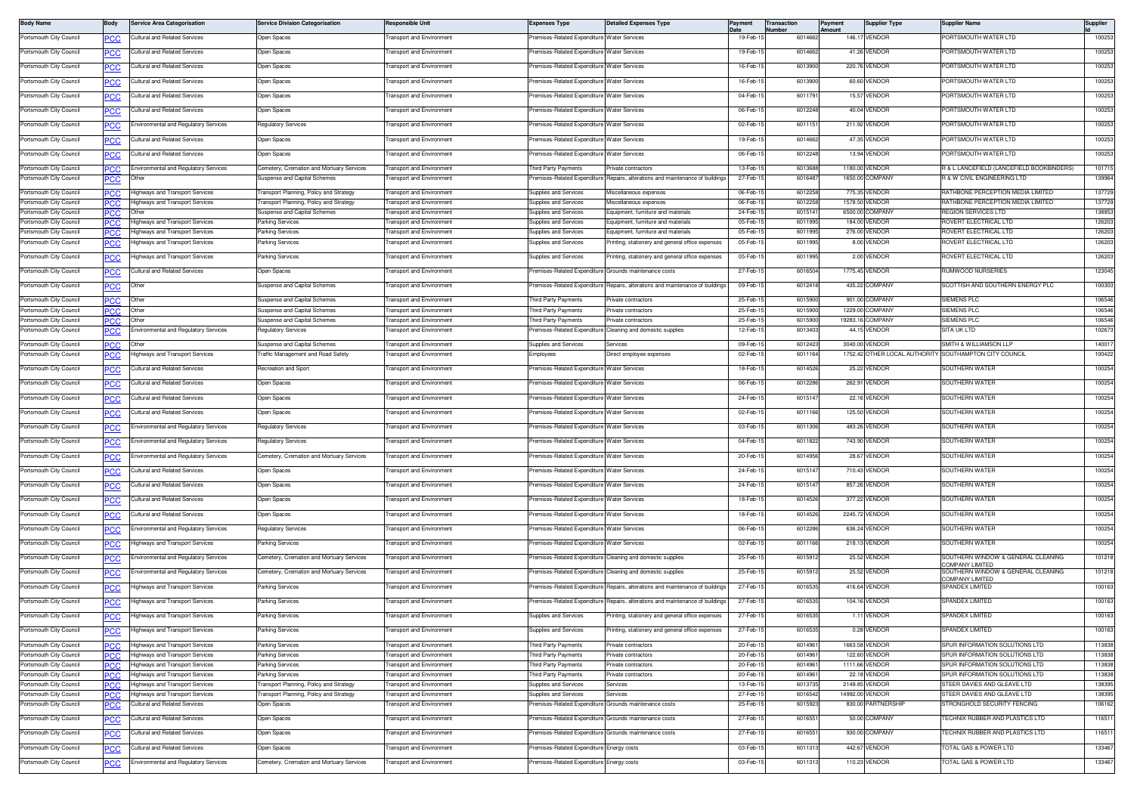| <b>Body Name</b>        | Body                     | Service Area Categorisation                  | <b>Service Division Categorisation</b>    | Responsible Unit                 | <b>Expenses Type</b>                                   | <b>Detailed Expenses Type</b>                                                  |          | <b>Transaction</b><br>umber | Payment<br>Amount | <b>Supplier Type</b> | <b>Supplier Name</b>                                   | Supplier |
|-------------------------|--------------------------|----------------------------------------------|-------------------------------------------|----------------------------------|--------------------------------------------------------|--------------------------------------------------------------------------------|----------|-----------------------------|-------------------|----------------------|--------------------------------------------------------|----------|
| Portsmouth City Council | <u>PCC</u>               | ultural and Related Services                 | Open Spaces                               | ransport and Environment         | remises-Related Expenditure                            | <b>Water Services</b>                                                          | 19-Feb-1 | 601466                      |                   | 146.17 VENDOR        | ORTSMOUTH WATER LTD                                    | 100253   |
| Portsmouth City Council |                          | ultural and Related Services                 | <b>Open Spaces</b>                        | ansport and Environment          | emises-Related Expenditure                             | <b>Water Services</b>                                                          | 19-Feb-1 | 601466                      |                   | 41.26 VENDOR         | ORTSMOUTH WATER LTD                                    | 100253   |
| Portsmouth City Council |                          | Cultural and Related Services                | <b>Open Spaces</b>                        | ransport and Environment         | emises-Related Expenditure Water Services              |                                                                                | 16-Feb-1 | 6013900                     |                   | 220.76 VENDOR        | PORTSMOUTH WATER LTD                                   | 100253   |
|                         |                          | ultural and Related Services                 |                                           |                                  | emises-Related Expenditure                             |                                                                                | 16-Feb-1 | 601390                      |                   | 60.60 VENDOR         | ORTSMOUTH WATER LTD                                    | 100253   |
| Portsmouth City Council | PCC                      |                                              | Open Spaces                               | ransport and Environment         |                                                        | <b>Water Services</b>                                                          |          |                             |                   |                      |                                                        |          |
| Portsmouth City Council | <u>PCC</u>               | Cultural and Related Services                | Open Spaces                               | <b>Fransport and Environment</b> | remises-Related Expenditure Water Services             |                                                                                | 04-Feb-1 | 6011791                     |                   | 15.57 VENDOR         | PORTSMOUTH WATER LTD                                   | 100253   |
| Portsmouth City Council | <u>PCC</u>               | Cultural and Related Services                | Open Spaces                               | ransport and Environment         | remises-Related Expenditure Water Services             |                                                                                | 06-Feb-1 | 6012248                     |                   | 40.04 VENDOR         | PORTSMOUTH WATER LTD                                   | 100253   |
| Portsmouth City Council | <u>cc</u>                | nvironmental and Regulatory Services         | Regulatory Services                       | ansport and Environment          | emises-Related Expenditure                             | <b>Water Services</b>                                                          | 02-Feb-  | 601115                      |                   | 211.92 VENDOR        | ORTSMOUTH WATER LTD                                    | 100253   |
| Portsmouth City Council | <b>PCC</b>               | <b>Cultural and Related Services</b>         | Open Spaces                               | ransport and Environment         | remises-Related Expenditure                            | Water Services                                                                 | 19-Feb-1 | 6014662                     |                   | 47.35 VENDOR         | PORTSMOUTH WATER LTD                                   | 100253   |
| Portsmouth City Council | <u>PCC</u>               | Cultural and Related Services                | Open Spaces                               | ransport and Environment         | remises-Related Expenditure                            | <b>Water Services</b>                                                          | 06-Feb-  | 601224                      |                   | 13.94 VENDOR         | PORTSMOUTH WATER LTD                                   | 100253   |
| Portsmouth City Council |                          | <b>Environmental and Regulatory Services</b> | Cemetery, Cremation and Mortuary Services | ransport and Environment         | hird Party Payments                                    | rivate contractors                                                             | 13-Feb-1 | 6013688                     |                   | 1180.00 VENDOR       | R & L LANCEFIELD (LANCEFIELD BOOKBINDERS)              | 101715   |
| Portsmouth City Council | PСC<br><u>PCC</u>        | Jther                                        | Suspense and Capital Schemes              | ransport and Environment         | emises-Related Expenditure                             | Repairs, alterations and maintenance of building                               | 27-Feb-1 | 601648                      |                   | 1650.00 COMPANY      | R & W CIVIL ENGINEERING LTD                            | 139964   |
| Portsmouth City Council | PCC                      | lighways and Transport Services              | Transport Planning, Policy and Strategy   | ransport and Environment         | Supplies and Services                                  | Miscellaneous expenses                                                         | 06-Feb-1 | 6012258                     |                   | 775.35 VENDOR        | RATHBONE PERCEPTION MEDIA LIMITED                      | 137729   |
| Portsmouth City Council | <b>PCC</b>               | Highways and Transport Services              | Transport Planning, Policy and Strategy   | ransport and Environment         | <b>Supplies and Services</b>                           | Miscellaneous expenses                                                         | 06-Feb-1 | 601225                      |                   | 1578.50 VENDOR       | RATHBONE PERCEPTION MEDIA LIMITED                      | 137729   |
| Portsmouth City Council |                          |                                              | Suspense and Capital Schemes              | ransport and Environment         | Supplies and Services                                  | Equipment, furniture and materials                                             | 24-Feb-  | 601514                      |                   | 6500.00 COMPANY      | <b>REGION SERVICES LTD</b>                             | 138853   |
| Portsmouth City Council | PCC                      | lighways and Transport Services              | Parking Services                          | ransport and Environment         | upplies and Services                                   | Equipment, furniture and materials                                             | 05-Feb-1 | 6011995                     |                   | 184.00 VENDOR        | ROVERT ELECTRICAL LTD                                  | 126203   |
| Portsmouth City Council | сc                       | lighways and Transport Services              | Parking Services                          | ransport and Environment         | upplies and Services                                   | Equipment, furniture and material                                              | 05-Feb-  | 6011995                     |                   | 276.00 VENDOR        | ROVERT ELECTRICAL LTD                                  | 126203   |
| Portsmouth City Council |                          | lighways and Transport Services              | arking Services                           | ransport and Environment         | upplies and Services                                   | rinting, stationery and general office expenses                                | 05-Feb-  | 6011995                     |                   | 8.00 VENDOR          | ROVERT ELECTRICAL LTD                                  | 126203   |
| Portsmouth City Council | <u>PCC</u>               | lighways and Transport Services              | Parking Services                          | ransport and Environment         | Supplies and Services                                  | Printing, stationery and general office expenses                               | 05-Feb-1 | 6011995                     |                   | 2.00 VENDOR          | ROVERT ELECTRICAL LTD                                  | 126203   |
| Portsmouth City Council | <u>PCC</u>               | <b>Cultural and Related Services</b>         | Open Spaces                               | ransport and Environment         | emises-Related Expenditure Grounds maintenance costs   |                                                                                | 27-Feb-  | 601650                      |                   | 1775.45 VENDOR       | <b>NUMWOOD NURSERIES</b>                               | 123045   |
| Portsmouth City Council | <u>CC</u>                | Other                                        | Suspense and Capital Schemes              | ransport and Environment         |                                                        | Premises-Related Expenditure Repairs, alterations and maintenance of buildings | 09-Feb-1 | 6012418                     |                   | 435.22 COMPANY       | SCOTTISH AND SOUTHERN ENERGY PLC                       | 100303   |
| Portsmouth City Council | °СС                      | Other                                        | Suspense and Capital Schemes              | ransport and Environment         | hird Party Payments                                    | Private contractors                                                            | 25-Feb-  | 6015900                     |                   | 901.00 COMPANY       | SIEMENS PLC                                            | 106546   |
| Portsmouth City Council | PCC                      | Other                                        | Suspense and Capital Schemes              | ransport and Environment         | hird Party Payments                                    | rivate contractors                                                             | 25-Feb-  | 6015900                     |                   | 1229.00 COMPANY      | <b>SIEMENS PLC</b>                                     | 106546   |
| Portsmouth City Council | <b>PCC</b>               | Other                                        | Suspense and Capital Schemes              | ransport and Environment         | hird Party Payments                                    | Private contractors                                                            | 25-Feb-1 | 6015900                     |                   | 19283.16 COMPANY     | <b>SIEMENS PLC</b>                                     | 106546   |
| Portsmouth City Council | <u>PCC</u>               | invironmental and Regulatory Services        | <b>Regulatory Services</b>                | ransport and Environment         |                                                        | remises-Related Expenditure Cleaning and domestic supplies                     | 12-Feb-1 | 6013403                     |                   | 44.15 VENDOR         | SITA UK LTD                                            | 102673   |
| Portsmouth City Council | <b>PCC</b>               | Other                                        | Suspense and Capital Schemes              | <b>Fransport and Environment</b> | Supplies and Services                                  | Services                                                                       | 09-Feb-1 | 601242                      |                   | 3040.00 VENDOR       | SMITH & WILLIAMSON LLP                                 | 140017   |
| Portsmouth City Council |                          | lighways and Transport Services              | Traffic Management and Road Safety        | ransport and Environment         | Employees                                              | Direct employee expenses                                                       | 02-Feb-1 | 6011164                     |                   |                      | 1752.42 OTHER LOCAL AUTHORITY SOUTHAMPTON CITY COUNCIL | 100422   |
| Portsmouth City Council | <u>PCC</u>               | Cultural and Related Services                | Recreation and Sport                      | ransport and Environment         | remises-Related Expenditure Water Services             |                                                                                | 18-Feb-1 | 6014526                     |                   | 25.22 VENDOR         | SOUTHERN WATER                                         | 100254   |
| Portsmouth City Council |                          | ultural and Related Services                 | Open Spaces                               | ransport and Environment         | emises-Related Expenditure                             | Water Services                                                                 | 06-Feb-1 | 601228                      |                   | 262.91 VENDOR        | SOUTHERN WATER                                         | 100254   |
| Portsmouth City Council | сc                       | Cultural and Related Services                | <b>Open Spaces</b>                        | ransport and Environment         | remises-Related Expenditure                            | <b>Water Services</b>                                                          | 24-Feb-1 | 601514                      |                   | 22.16 VENDOR         | SOUTHERN WATER                                         | 100254   |
| Portsmouth City Council | PCC                      | ultural and Related Services                 | <b>Open Spaces</b>                        | ransport and Environment         | emises-Related Expenditure                             | <b>Nater Services</b>                                                          | 02-Feb-  | 601116                      |                   | 125.50 VENDOR        | SOUTHERN WATER                                         | 100254   |
| Portsmouth City Council | <u>PCC</u>               | invironmental and Regulatory Services        | Regulatory Services                       | ransport and Environment         | remises-Related Expenditure Water Services             |                                                                                | 03-Feb-1 | 6011306                     |                   | 483.26 VENDOR        | SOUTHERN WATEF                                         | 100254   |
| Portsmouth City Council | <u>PCC </u>              | Environmental and Regulatory Services        | Regulatory Services                       | Fransport and Environment        | remises-Related Expenditure Water Services             |                                                                                | 04-Feb-1 | 6011822                     |                   | 743.90 VENDOR        | SOUTHERN WATER                                         | 100254   |
| Portsmouth City Council | <u>'CC</u>               | nvironmental and Regulatory Services         | emetery, Cremation and Mortuary Services  | ansport and Environment          | emises-Related Expenditure                             | <b>Water Services</b>                                                          | 20-Feb-  | 6014956                     |                   | 28.67 VENDOR         | SOUTHERN WATER                                         | 100254   |
| Portsmouth City Council | сC                       | Cultural and Related Services                | Open Spaces                               | ransport and Environment         | remises-Related Expenditure Water Services             |                                                                                | 24-Feb-1 | 601514                      |                   | 710.43 VENDOR        | SOUTHERN WATER                                         | 100254   |
| Portsmouth City Council | <u>PCC</u>               | ultural and Related Services                 | Open Spaces                               | ransport and Environment         | remises-Related Expenditure                            | <b>Water Services</b>                                                          | 24-Feb-1 | 601514                      |                   | 857.26 VENDOR        | SOUTHERN WATEF                                         | 100254   |
| Portsmouth City Council | <u>PCC</u>               | Cultural and Related Services                | Open Spaces                               | <b>Fransport and Environment</b> | remises-Related Expenditure Water Services             |                                                                                | 18-Feb-1 | 6014526                     |                   | 377.22 VENDOR        | SOUTHERN WATER                                         | 100254   |
| Portsmouth City Council | <u>PCC</u>               | <b>Cultural and Related Services</b>         | Open Spaces                               | ransport and Environment         | remises-Related Expenditure Water Services             |                                                                                | 18-Feb-1 | 6014526                     |                   | 2245.72 VENDOR       | SOUTHERN WATER                                         | 100254   |
| Portsmouth City Council | <u>cc</u>                | nvironmental and Regulatory Services         | Regulatory Services                       | ransport and Environment         | emises-Related Expenditure                             | Water Services                                                                 | 06-Feb-1 | 601228                      |                   | 636.24 VENDOR        | SOUTHERN WATER                                         | 100254   |
| Portsmouth City Council | °СС                      | lighways and Transport Services              | Parking Services                          | ransport and Environment         | remises-Related Expenditure                            | Water Services                                                                 | 02-Feb-1 | 6011166                     |                   | 218.13 VENDOR        | SOUTHERN WATER                                         | 100254   |
| Portsmouth City Council | <u>PCC</u>               | invironmental and Regulatory Services        | Cemetery, Cremation and Mortuary Services | ransport and Environment         | emises-Related Expenditure                             | Cleaning and domestic supplies                                                 | 25-Feb-  | 601591                      |                   | 25.52 VENDOR         | SOUTHERN WINDOW & GENERAL CLEANING                     | 101218   |
| Portsmouth City Council | PCC                      | Environmental and Regulatory Services        | Cemetery, Cremation and Mortuary Services | ransport and Environment         |                                                        | remises-Related Expenditure Cleaning and domestic supplies                     | 25-Feb-1 | 6015912                     |                   | 25.52 VENDOR         | COMPANY LIMITED<br>SOUTHERN WINDOW & GENERAL CLEANING  | 101218   |
| Portsmouth City Council | <u>PCC </u>              | lighways and Transport Services              | Parking Services                          | ransport and Environment         | remises-Related Expenditure                            | Repairs, alterations and maintenance of building:                              | 27-Feb-1 | 6016535                     |                   | 416.64 VENDOR        | COMPANY LIMITED<br>SPANDEX LIMITED                     | 100163   |
| Portsmouth City Council | 'CC                      | ighways and Transport Services               | Parking Services                          | ansport and Environmen           | emises-Related Expenditure                             | Repairs, alterations and maintenance of building                               | 27-Feb-  | 601653                      |                   | 104.16 VENDOR        | SPANDEX LIMITED                                        | 100163   |
| Portsmouth City Council | <u>PCC</u>               | lighways and Transport Services              | Parking Services                          | ransport and Environment         | <b>Supplies and Services</b>                           | Printing, stationery and general office expenses                               | 27-Feb-1 | 601653                      |                   | 1.11 VENDOR          | SPANDEX LIMITED                                        | 100163   |
| Portsmouth City Council |                          | lighways and Transport Services              | Parking Services                          | ransport and Environment         | upplies and Services                                   | Printing, stationery and general office expenses                               | 27-Feb-1 | 601653                      |                   | 0.28 VENDOR          | <b>SPANDEX LIMITED</b>                                 | 100163   |
| Portsmouth City Council | <b>PCC</b>               | Highways and Transport Services              | Parking Services                          | <b>Transport and Environment</b> | Third Party Payments                                   | Private contractors                                                            | 20-Feb-1 | 6014961                     |                   | 1663.58 VENDOR       | SPUR INFORMATION SOLUTIONS LTD                         | 113838   |
| Portsmouth City Council | <b>PCC</b><br><b>PCC</b> | Highways and Transport Services              | Parking Services                          | <b>Transport and Environment</b> | hird Party Payments                                    | Private contractors                                                            | 20-Feb-1 | 601496                      |                   | 122.60 VENDOR        | SPUR INFORMATION SOLUTIONS LTD                         | 113838   |
| Portsmouth City Council | °CC                      | lighways and Transport Services              | Parking Services                          | <b>Transport and Environment</b> | hird Party Payments                                    | Private contractors                                                            | 20-Feb-1 | 6014961                     |                   | 1111.66 VENDOR       | SPUR INFORMATION SOLUTIONS LTD                         | 113838   |
| Portsmouth City Council | PCC                      | lighways and Transport Services              | Parking Services                          | ransport and Environment         | hird Party Payments                                    | rivate contractors                                                             | 20-Feb-1 | 6014961                     |                   | 22.18 VENDOR         | SPUR INFORMATION SOLUTIONS LTD                         | 113838   |
| Portsmouth City Council | PCC                      | lighways and Transport Services              | Fransport Planning, Policy and Strategy   | ransport and Environment         | <b>Supplies and Services</b>                           | Services                                                                       | 13-Feb-1 | 6013735                     |                   | 2149.85 VENDOR       | STEER DAVIES AND GLEAVE LTD                            | 138395   |
| Portsmouth City Council | °СС                      | lighways and Transport Services              | ransport Planning, Policy and Strategy    | ransport and Environment         | upplies and Services                                   | iervices                                                                       | 27-Feb-1 | 6016542                     |                   | 14992.00 VENDOR      | STEER DAVIES AND GLEAVE LTD                            | 138395   |
| Portsmouth City Council | °СС                      | ultural and Related Services                 | <b>Open Spaces</b>                        | ransport and Environment         | remises-Related Expenditure                            | Grounds maintenance costs                                                      | 25-Feb-1 | 6015923                     |                   | 830.00 PARTNERSHIP   | STRONGHOLD SECURITY FENCING                            | 106162   |
| Portsmouth City Council | PCC                      | ultural and Related Services                 | Open Spaces                               | ransport and Environment         | emises-Related Expenditure                             | Grounds maintenance costs                                                      | 27-Feb-1 | 601655                      |                   | 50.00 COMPANY        | ECHNIX RUBBER AND PLASTICS LTD                         | 116511   |
| Portsmouth City Council | PCC                      | Cultural and Related Services                | Open Spaces                               | <b>Transport and Environment</b> | Premises-Related Expenditure Grounds maintenance costs |                                                                                | 27-Feb-1 | 6016551                     |                   | 930.00 COMPANY       | ECHNIX RUBBER AND PLASTICS LTD                         | 116511   |
| Portsmouth City Council | <u>PCC</u>               | ultural and Related Services                 | Open Spaces                               | ransport and Environment         | remises-Related Expenditure                            | Energy costs                                                                   | 03-Feb-  | 601131                      |                   | 442.67 VENDOR        | OTAL GAS & POWER LTD                                   | 133467   |
| Portsmouth City Council | <u>PCC</u>               | nvironmental and Regulatory Services         | Cemetery, Cremation and Mortuary Services | <b>Fransport and Environment</b> | Premises-Related Expenditure Energy costs              |                                                                                | 03-Feb-1 | 601131                      |                   | 110.23 VENDOR        | OTAL GAS & POWER LTD                                   | 133467   |
|                         |                          |                                              |                                           |                                  |                                                        |                                                                                |          |                             |                   |                      |                                                        |          |